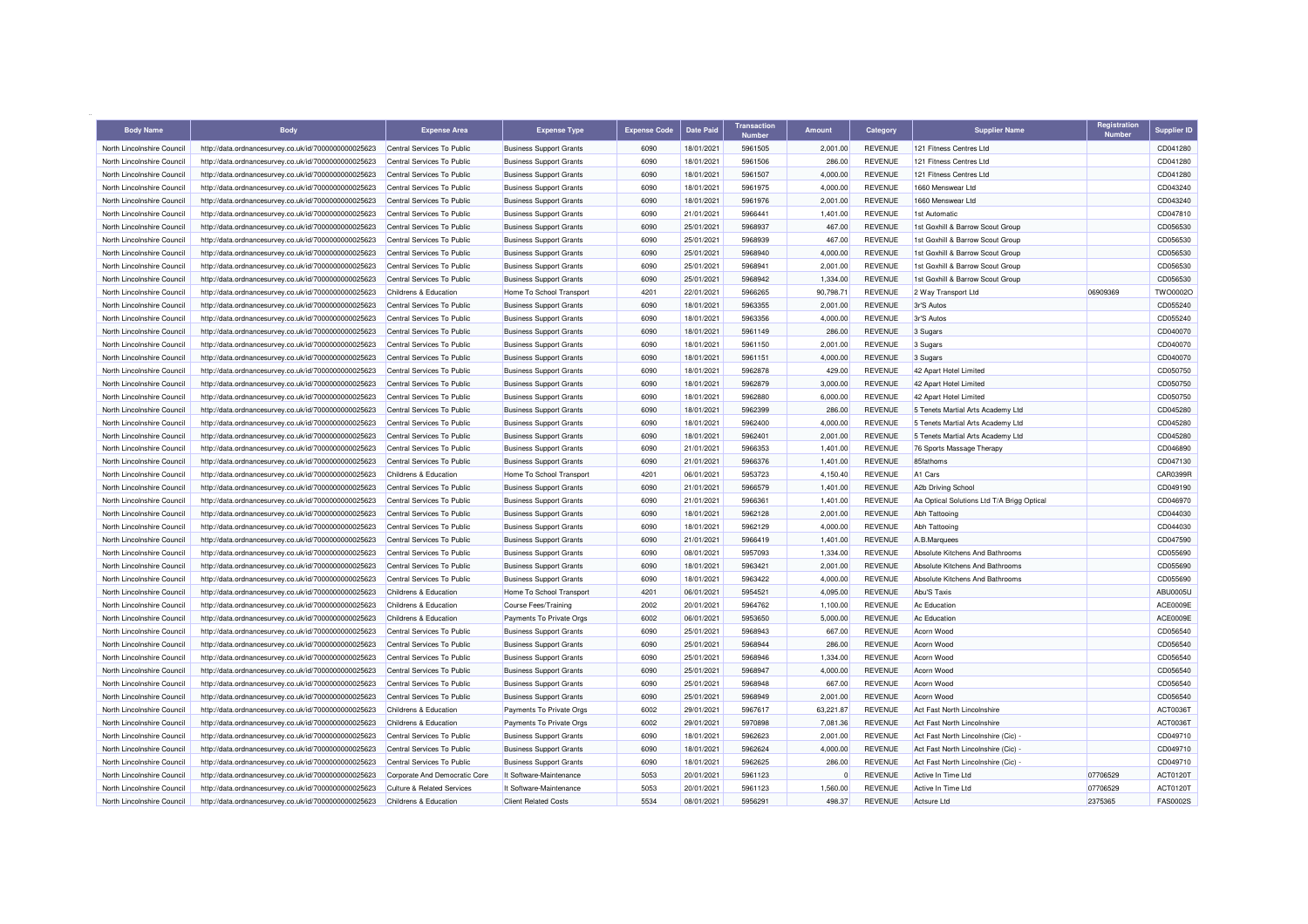| <b>Body Name</b>           | <b>Body</b>                                          | <b>Expense Area</b>                   | <b>Expense Type</b>            | Expense Code | Date Paid  | <b>Transaction</b> | <b>Amount</b> | Category       | <b>Supplier Name</b>                       | Registration<br><b>Number</b> | <b>Supplier ID</b>   |
|----------------------------|------------------------------------------------------|---------------------------------------|--------------------------------|--------------|------------|--------------------|---------------|----------------|--------------------------------------------|-------------------------------|----------------------|
| North Lincolnshire Council | http://data.ordnancesurvey.co.uk/id/7000000000025623 | Central Services To Public            | <b>Business Support Grants</b> | 6090         | 18/01/2021 | 5961505            | 2,001.00      | <b>REVENUE</b> | 121 Fitness Centres Ltd                    |                               | CD041280             |
| North Lincolnshire Council | http://data.ordnancesurvey.co.uk/id/7000000000025623 | Central Services To Public            | <b>Business Support Grants</b> | 6090         | 18/01/2021 | 5961506            | 286.00        | <b>REVENUE</b> | 121 Fitness Centres Ltd                    |                               | CD041280             |
| North Lincolnshire Council | http://data.ordnancesurvey.co.uk/id/7000000000025623 | Central Services To Public            | <b>Business Support Grants</b> | 6090         | 18/01/2021 | 5961507            | 4,000.00      | <b>REVENUE</b> | 121 Fitness Centres Ltd                    |                               | CD041280             |
| North Lincolnshire Council | http://data.ordnancesurvey.co.uk/id/7000000000025623 | Central Services To Public            | <b>Business Support Grants</b> | 6090         | 18/01/2021 | 5961975            | 4,000.00      | <b>REVENUE</b> | 1660 Menswear Ltd                          |                               | CD043240             |
| North Lincolnshire Council | http://data.ordnancesurvey.co.uk/id/7000000000025623 | Central Services To Public            | <b>Business Support Grants</b> | 6090         | 18/01/2021 | 5961976            | 2.001.00      | <b>REVENUE</b> | 1660 Menswear Ltd                          |                               | CD043240             |
| North Lincolnshire Council | http://data.ordnancesurvey.co.uk/id/7000000000025623 | Central Services To Public            | <b>Business Support Grants</b> | 6090         | 21/01/2021 | 5966441            | 1,401.00      | <b>REVENUE</b> | 1st Automatic                              |                               | CD047810             |
| North Lincolnshire Council | http://data.ordnancesurvey.co.uk/id/7000000000025623 | Central Services To Public            | <b>Business Support Grants</b> | 6090         | 25/01/2021 | 5968937            | 467.00        | <b>REVENUE</b> | 1st Goxhill & Barrow Scout Group           |                               | CD056530             |
| North Lincolnshire Council | http://data.ordnancesurvey.co.uk/id/7000000000025623 | Central Services To Public            | <b>Business Support Grants</b> | 6090         | 25/01/2021 | 5968939            | 467.00        | <b>REVENUE</b> | 1st Goxhill & Barrow Scout Group           |                               | CD056530             |
| North Lincolnshire Council | http://data.ordnancesurvey.co.uk/id/7000000000025623 | Central Services To Public            | <b>Business Support Grants</b> | 6090         | 25/01/2021 | 5968940            | 4,000.00      | <b>REVENUE</b> | 1st Goxhill & Barrow Scout Group           |                               | CD056530             |
| North Lincolnshire Council | http://data.ordnancesurvey.co.uk/id/7000000000025623 | Central Services To Public            | <b>Business Support Grants</b> | 6090         | 25/01/2021 | 5968941            | 2,001.00      | <b>REVENUE</b> | 1st Goxhill & Barrow Scout Group           |                               | CD056530             |
| North Lincolnshire Council | http://data.ordnancesurvey.co.uk/id/7000000000025623 | Central Services To Public            | <b>Business Support Grants</b> | 6090         | 25/01/2021 | 5968942            | 1,334.00      | <b>REVENUE</b> | 1st Goxhill & Barrow Scout Group           |                               | CD056530             |
| North Lincolnshire Council | http://data.ordnancesurvey.co.uk/id/7000000000025623 | Childrens & Education                 | Home To School Transport       | 4201         | 22/01/2021 | 5966265            | 90,798.71     | <b>REVENUE</b> | 2 Way Transport Ltd                        | 06909369                      | TWO0002O             |
| North Lincolnshire Council | http://data.ordnancesurvey.co.uk/id/7000000000025623 | Central Services To Public            | <b>Business Support Grants</b> | 6090         | 18/01/2021 | 5963355            | 2,001.00      | <b>REVENUE</b> | 3r'S Autos                                 |                               | CD055240             |
| North Lincolnshire Council | http://data.ordnancesurvey.co.uk/id/7000000000025623 | Central Services To Public            | <b>Business Support Grants</b> | 6090         | 18/01/2021 | 5963356            | 4,000.00      | <b>REVENUE</b> | 3r'S Autos                                 |                               | CD055240             |
| North Lincolnshire Council | http://data.ordnancesurvey.co.uk/id/7000000000025623 | Central Services To Public            | <b>Business Support Grants</b> | 6090         | 18/01/2021 | 5961149            | 286.00        | <b>REVENUE</b> | 3 Sugars                                   |                               | CD040070             |
| North Lincolnshire Council | http://data.ordnancesurvey.co.uk/id/7000000000025623 | Central Services To Public            | <b>Business Support Grants</b> | 6090         | 18/01/2021 | 5961150            | 2,001.00      | <b>REVENUE</b> | 3 Sugars                                   |                               | CD040070             |
| North Lincolnshire Council |                                                      | Central Services To Public            |                                | 6090         | 18/01/2021 | 5961151            | 4.000.00      | <b>REVENUE</b> |                                            |                               | CD040070             |
|                            | http://data.ordnancesurvey.co.uk/id/7000000000025623 |                                       | <b>Business Support Grants</b> |              |            |                    |               |                | 3 Sugars                                   |                               |                      |
| North Lincolnshire Council | http://data.ordnancesurvey.co.uk/id/7000000000025623 | Central Services To Public            | <b>Business Support Grants</b> | 6090         | 18/01/2021 | 5962878<br>5962879 | 429.00        | <b>REVENUE</b> | 42 Apart Hotel Limited                     |                               | CD050750<br>CD050750 |
| North Lincolnshire Council | http://data.ordnancesurvey.co.uk/id/7000000000025623 | Central Services To Public            | <b>Business Support Grants</b> | 6090         | 18/01/2021 |                    | 3,000.00      | <b>REVENUE</b> | 42 Apart Hotel Limited                     |                               |                      |
| North Lincolnshire Council | http://data.ordnancesurvey.co.uk/id/7000000000025623 | Central Services To Public            | <b>Business Support Grants</b> | 6090         | 18/01/2021 | 5962880            | 6,000.00      | <b>REVENUE</b> | 42 Apart Hotel Limited                     |                               | CD050750             |
| North Lincolnshire Council | http://data.ordnancesurvey.co.uk/id/7000000000025623 | Central Services To Public            | <b>Business Support Grants</b> | 6090         | 18/01/2021 | 5962399            | 286.00        | <b>REVENUE</b> | 5 Tenets Martial Arts Academy Ltd          |                               | CD045280             |
| North Lincolnshire Council | http://data.ordnancesurvey.co.uk/id/7000000000025623 | Central Services To Public            | <b>Business Support Grants</b> | 6090         | 18/01/2021 | 5962400            | 4,000.00      | <b>REVENUE</b> | 5 Tenets Martial Arts Academy Ltd          |                               | CD045280             |
| North Lincolnshire Council | http://data.ordnancesurvey.co.uk/id/7000000000025623 | Central Services To Public            | <b>Business Support Grants</b> | 6090         | 18/01/2021 | 5962401            | 2,001.00      | <b>REVENUE</b> | 5 Tenets Martial Arts Academy Ltd          |                               | CD045280             |
| North Lincolnshire Council | http://data.ordnancesurvey.co.uk/id/7000000000025623 | Central Services To Public            | <b>Business Support Grants</b> | 6090         | 21/01/2021 | 5966353            | 1,401.00      | <b>REVENUE</b> | 76 Sports Massage Therapy                  |                               | CD046890             |
| North Lincolnshire Council | http://data.ordnancesurvey.co.uk/id/7000000000025623 | Central Services To Public            | <b>Business Support Grants</b> | 6090         | 21/01/2021 | 5966376            | 1,401.00      | <b>REVENUE</b> | 85fathoms                                  |                               | CD047130             |
| North Lincolnshire Council | http://data.ordnancesurvey.co.uk/id/7000000000025623 | Childrens & Education                 | Home To School Transport       | 4201         | 06/01/2021 | 5953723            | 4.150.40      | <b>REVENUE</b> | A <sub>1</sub> Cars                        |                               | CAR0399R             |
| North Lincolnshire Council | http://data.ordnancesurvey.co.uk/id/7000000000025623 | Central Services To Public            | <b>Business Support Grants</b> | 6090         | 21/01/2021 | 5966579            | 1,401.00      | <b>REVENUE</b> | A2b Driving School                         |                               | CD049190             |
| North Lincolnshire Council | http://data.ordnancesurvey.co.uk/id/7000000000025623 | Central Services To Public            | <b>Business Support Grants</b> | 6090         | 21/01/2021 | 5966361            | 1,401.00      | <b>REVENUE</b> | Aa Optical Solutions Ltd T/A Brigg Optical |                               | CD046970             |
| North Lincolnshire Council | http://data.ordnancesurvey.co.uk/id/7000000000025623 | Central Services To Public            | <b>Business Support Grants</b> | 6090         | 18/01/2021 | 5962128            | 2.001.00      | <b>REVENUE</b> | Abh Tattooing                              |                               | CD044030             |
| North Lincolnshire Council | http://data.ordnancesurvey.co.uk/id/7000000000025623 | Central Services To Public            | <b>Business Support Grants</b> | 6090         | 18/01/2021 | 5962129            | 4,000.00      | <b>REVENUE</b> | Abh Tattooing                              |                               | CD044030             |
| North Lincolnshire Council | http://data.ordnancesurvey.co.uk/id/7000000000025623 | Central Services To Public            | <b>Business Support Grants</b> | 6090         | 21/01/2021 | 5966419            | 1,401.00      | <b>REVENUE</b> | A.B.Marquees                               |                               | CD047590             |
| North Lincolnshire Council | http://data.ordnancesurvey.co.uk/id/7000000000025623 | Central Services To Public            | <b>Business Support Grants</b> | 6090         | 08/01/2021 | 5957093            | 1,334.00      | <b>REVENUE</b> | Absolute Kitchens And Bathrooms            |                               | CD055690             |
| North Lincolnshire Council | http://data.ordnancesurvey.co.uk/id/7000000000025623 | Central Services To Public            | <b>Business Support Grants</b> | 6090         | 18/01/2021 | 5963421            | 2,001.00      | <b>REVENUE</b> | Absolute Kitchens And Bathrooms            |                               | CD055690             |
| North Lincolnshire Council | http://data.ordnancesurvey.co.uk/id/7000000000025623 | Central Services To Public            | <b>Business Support Grants</b> | 6090         | 18/01/2021 | 5963422            | 4,000.00      | <b>REVENUE</b> | Absolute Kitchens And Bathrooms            |                               | CD055690             |
| North Lincolnshire Council | http://data.ordnancesurvey.co.uk/id/7000000000025623 | Childrens & Education                 | Home To School Transport       | 4201         | 06/01/2021 | 5954521            | 4,095.00      | <b>REVENUE</b> | Abu'S Taxis                                |                               | ABU0005L             |
| North Lincolnshire Council | http://data.ordnancesurvey.co.uk/id/7000000000025623 | Childrens & Education                 | <b>Course Fees/Training</b>    | 2002         | 20/01/2021 | 5964762            | 1,100.00      | <b>REVENUE</b> | Ac Education                               |                               | ACE0009E             |
| North Lincolnshire Council | http://data.ordnancesurvey.co.uk/id/7000000000025623 | Childrens & Education                 | Payments To Private Orgs       | 6002         | 06/01/2021 | 5953650            | 5,000.00      | <b>REVENUE</b> | Ac Education                               |                               | ACE0009E             |
| North Lincolnshire Council | http://data.ordnancesurvey.co.uk/id/7000000000025623 | Central Services To Public            | <b>Business Support Grants</b> | 6090         | 25/01/2021 | 5968943            | 667.00        | <b>REVENUE</b> | Acorn Wood                                 |                               | CD056540             |
| North Lincolnshire Council | http://data.ordnancesurvey.co.uk/id/7000000000025623 | Central Services To Public            | <b>Business Support Grants</b> | 6090         | 25/01/2021 | 5968944            | 286.00        | <b>REVENUE</b> | Acorn Wood                                 |                               | CD056540             |
| North Lincolnshire Council | http://data.ordnancesurvey.co.uk/id/7000000000025623 | Central Services To Public            | <b>Business Support Grants</b> | 6090         | 25/01/2021 | 5968946            | 1,334.00      | <b>REVENUE</b> | Acorn Wood                                 |                               | CD056540             |
| North Lincolnshire Council | http://data.ordnancesurvey.co.uk/id/7000000000025623 | Central Services To Public            | <b>Business Support Grants</b> | 6090         | 25/01/2021 | 5968947            | 4,000.00      | <b>REVENUE</b> | Acorn Wood                                 |                               | CD056540             |
| North Lincolnshire Council | http://data.ordnancesurvey.co.uk/id/7000000000025623 | Central Services To Public            | <b>Business Support Grants</b> | 6090         | 25/01/2021 | 5968948            | 667.00        | <b>REVENUE</b> | Acorn Wood                                 |                               | CD056540             |
| North Lincolnshire Council | http://data.ordnancesurvey.co.uk/id/7000000000025623 | Central Services To Public            | <b>Business Support Grants</b> | 6090         | 25/01/2021 | 5968949            | 2,001.00      | <b>REVENUE</b> | Acorn Wood                                 |                               | CD056540             |
| North Lincolnshire Council | http://data.ordnancesurvey.co.uk/id/7000000000025623 | Childrens & Education                 | Payments To Private Orgs       | 6002         | 29/01/2021 | 5967617            | 63,221.87     | <b>REVENUE</b> | Act Fast North Lincolnshire                |                               | ACT00361             |
| North Lincolnshire Council | http://data.ordnancesurvey.co.uk/id/7000000000025623 | Childrens & Education                 | Payments To Private Orgs       | 6002         | 29/01/2021 | 5970898            | 7,081.36      | <b>REVENUE</b> | Act Fast North Lincolnshire                |                               | ACT0036T             |
| North Lincolnshire Council | http://data.ordnancesurvey.co.uk/id/7000000000025623 | Central Services To Public            | <b>Business Support Grants</b> | 6090         | 18/01/2021 | 5962623            | 2,001.00      | <b>REVENUE</b> | Act Fast North Lincolnshire (Cic)          |                               | CD049710             |
| North Lincolnshire Council | http://data.ordnancesurvey.co.uk/id/7000000000025623 | Central Services To Public            | <b>Business Support Grants</b> | 6090         | 18/01/2021 | 5962624            | 4,000.00      | <b>REVENUE</b> | Act Fast North Lincolnshire (Cic)          |                               | CD049710             |
| North Lincolnshire Council | http://data.ordnancesurvey.co.uk/id/7000000000025623 | Central Services To Public            | <b>Business Support Grants</b> | 6090         | 18/01/2021 | 5962625            | 286.00        | <b>REVENUE</b> | Act Fast North Lincolnshire (Cic)          |                               | CD049710             |
| North Lincolnshire Council | http://data.ordnancesurvey.co.uk/id/7000000000025623 | Corporate And Democratic Core         | It Software-Maintenance        | 5053         | 20/01/2021 | 5961123            | $\Omega$      | <b>REVENUE</b> | Active In Time I td                        | 07706529                      | ACT01201             |
| North Lincolnshire Council | http://data.ordnancesurvey.co.uk/id/7000000000025623 | <b>Culture &amp; Related Services</b> | It Software-Maintenance        | 5053         | 20/01/2021 | 5961123            | 1.560.00      | <b>REVENUE</b> | Active In Time Ltd                         | 07706529                      | ACT01201             |
| North Lincolnshire Council | http://data.ordnancesurvey.co.uk/id/7000000000025623 | Childrens & Education                 | <b>Client Related Costs</b>    | 5534         | 08/01/2021 | 595629             | 498.37        | <b>REVENUE</b> | Actsure I to                               | 2375365                       | <b>FAS0002S</b>      |
|                            |                                                      |                                       |                                |              |            |                    |               |                |                                            |                               |                      |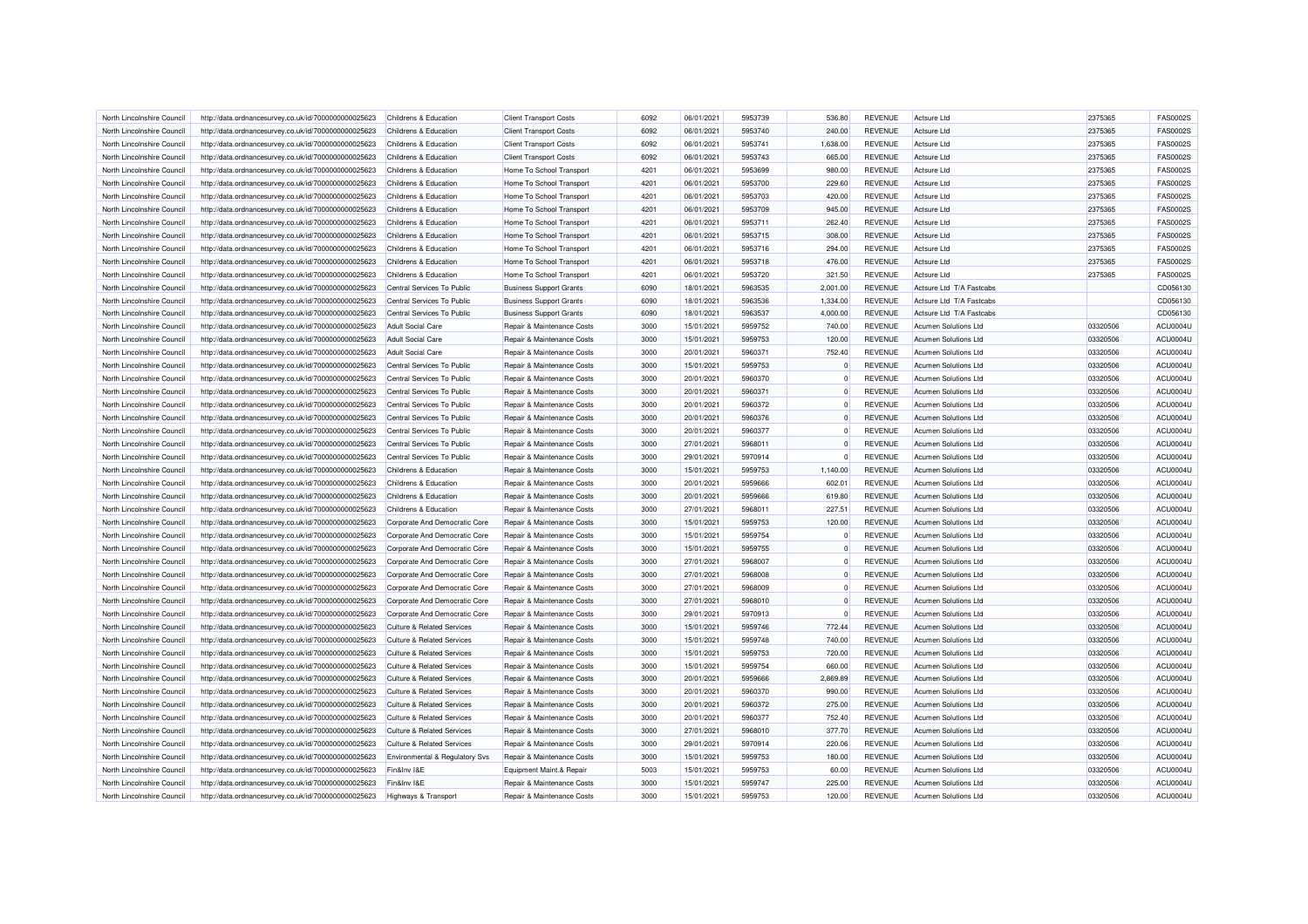| North Lincolnshire Council | http://data.ordnancesurvey.co.uk/id/7000000000025623 | Childrens & Education                 | <b>Client Transport Costs</b>  | 6092         | 06/01/2021 | 5953739            | 536.80             | <b>REVENUE</b> | Actsure Ltd                 | 2375365  | <b>FAS0002S</b>      |
|----------------------------|------------------------------------------------------|---------------------------------------|--------------------------------|--------------|------------|--------------------|--------------------|----------------|-----------------------------|----------|----------------------|
| North Lincolnshire Council | http://data.ordnancesurvey.co.uk/id/7000000000025623 | Childrens & Education                 | <b>Client Transport Costs</b>  | 6092         | 06/01/2021 | 5953740            | 240.00             | <b>REVENUE</b> | Actsure Ltd                 | 2375365  | <b>FAS0002S</b>      |
| North Lincolnshire Council | http://data.ordnancesurvey.co.uk/id/7000000000025623 | Childrens & Education                 | <b>Client Transport Costs</b>  | 6092         | 06/01/2021 | 5953741            | 1,638.00           | <b>REVENUE</b> | <b>Actsure Ltd</b>          | 2375365  | <b>FAS0002S</b>      |
| North Lincolnshire Council | http://data.ordnancesurvey.co.uk/id/7000000000025623 | Childrens & Education                 | <b>Client Transport Costs</b>  | 6092         | 06/01/2021 | 5953743            | 665.00             | <b>REVENUE</b> | Actsure Ltd                 | 2375365  | <b>FAS0002S</b>      |
| North Lincolnshire Council | http://data.ordnancesurvey.co.uk/id/7000000000025623 | Childrens & Education                 | Home To School Transport       | 4201         | 06/01/2021 | 5953699            | 980.00             | <b>REVENUE</b> | Actsure Ltd                 | 2375365  | <b>FAS0002S</b>      |
| North Lincolnshire Council | http://data.ordnancesurvey.co.uk/id/7000000000025623 | Childrens & Education                 | Home To School Transport       | 4201         | 06/01/2021 | 5953700            | 229.60             | <b>REVENUE</b> | Actsure Ltd                 | 2375365  | <b>FAS0002S</b>      |
| North Lincolnshire Council | http://data.ordnancesurvey.co.uk/id/7000000000025623 | Childrens & Education                 | Home To School Transport       | 4201         | 06/01/2021 | 5953703            | 420.00             | <b>REVENUE</b> | Actsure Ltd                 | 2375365  | <b>FAS0002S</b>      |
| North Lincolnshire Council | http://data.ordnancesurvey.co.uk/id/7000000000025623 | Childrens & Education                 | Home To School Transport       | 4201         | 06/01/2021 | 5953709            | 945.00             | <b>REVENUE</b> | Actsure Ltd                 | 2375365  | <b>FAS0002S</b>      |
| North Lincolnshire Council | http://data.ordnancesurvey.co.uk/id/7000000000025623 | Childrens & Education                 | Home To School Transport       | 4201         | 06/01/2021 | 5953711            | 262.40             | <b>REVENUE</b> | Actsure Ltd                 | 2375365  | <b>FAS0002S</b>      |
| North Lincolnshire Council | http://data.ordnancesurvey.co.uk/id/7000000000025623 | Childrens & Education                 | Home To School Transport       | 4201         | 06/01/2021 | 5953715            | 308.00             | <b>REVENUE</b> | Actsure Ltd                 | 2375365  | <b>FAS0002S</b>      |
| North Lincolnshire Council | http://data.ordnancesurvey.co.uk/id/7000000000025623 | Childrens & Education                 | Home To School Transport       | 4201         | 06/01/2021 | 5953716            | 294.00             | <b>REVENUE</b> | Actsure Ltd                 | 2375365  | <b>FAS0002S</b>      |
| North Lincolnshire Council | http://data.ordnancesurvey.co.uk/id/7000000000025623 | Childrens & Education                 | Home To School Transport       | 4201         | 06/01/2021 | 5953718            | 476.00             | <b>REVENUE</b> | Actsure Ltd                 | 2375365  | <b>FAS0002S</b>      |
| North Lincolnshire Council | http://data.ordnancesurvey.co.uk/id/7000000000025623 | Childrens & Education                 | Home To School Transport       | 4201         | 06/01/2021 | 5953720            | 321.50             | <b>REVENUE</b> | Actsure Ltd                 | 2375365  | <b>FAS0002S</b>      |
| North Lincolnshire Council | http://data.ordnancesurvey.co.uk/id/7000000000025623 | Central Services To Public            | <b>Business Support Grants</b> | 6090         | 18/01/2021 | 5963535            | 2,001.00           | REVENUE        | Actsure Ltd T/A Fastcabs    |          | CD056130             |
| North Lincolnshire Council | http://data.ordnancesurvey.co.uk/id/7000000000025623 | Central Services To Public            | <b>Business Support Grants</b> | 6090         | 18/01/2021 | 5963536            | 1,334.00           | <b>REVENUE</b> | Actsure Ltd T/A Fastcabs    |          | CD056130             |
| North Lincolnshire Council | http://data.ordnancesurvey.co.uk/id/7000000000025623 | Central Services To Public            | <b>Business Support Grants</b> | 6090         | 18/01/2021 | 5963537            | 4,000.00           | <b>REVENUE</b> | Actsure Ltd. T/A Fastcabs   |          | CD056130             |
| North Lincolnshire Council | http://data.ordnancesurvey.co.uk/id/7000000000025623 | <b>Adult Social Care</b>              | Repair & Maintenance Costs     | 3000         | 15/01/2021 | 5959752            | 740.00             | <b>REVENUE</b> | <b>Acumen Solutions Ltd</b> | 03320506 | ACU0004U             |
| North Lincolnshire Council | http://data.ordnancesurvey.co.uk/id/7000000000025623 | <b>Adult Social Care</b>              | Repair & Maintenance Costs     | 3000         | 15/01/2021 | 5959753            | 120.00             | <b>REVENUE</b> | Acumen Solutions Ltd        | 03320506 | ACU0004U             |
|                            |                                                      |                                       |                                |              |            |                    |                    |                |                             |          |                      |
| North Lincolnshire Council | http://data.ordnancesurvey.co.uk/id/7000000000025623 | <b>Adult Social Care</b>              | Repair & Maintenance Costs     | 3000<br>3000 | 20/01/2021 | 5960371<br>5959753 | 752.40<br>$\Omega$ | <b>REVENUE</b> | Acumen Solutions Ltd        | 03320506 | ACU0004U<br>ACU0004U |
| North Lincolnshire Council | http://data.ordnancesurvey.co.uk/id/7000000000025623 | Central Services To Public            | Repair & Maintenance Costs     |              | 15/01/2021 |                    |                    | <b>REVENUE</b> | Acumen Solutions Ltd        | 03320506 |                      |
| North Lincolnshire Council | http://data.ordnancesurvey.co.uk/id/7000000000025623 | Central Services To Public            | Repair & Maintenance Costs     | 3000         | 20/01/2021 | 5960370            | $\mathbf 0$        | <b>REVENUE</b> | Acumen Solutions Ltd        | 03320506 | ACU0004U             |
| North Lincolnshire Council | http://data.ordnancesurvey.co.uk/id/7000000000025623 | Central Services To Public            | Repair & Maintenance Costs     | 3000         | 20/01/2021 | 5960371            | $\mathbf 0$        | <b>REVENUE</b> | Acumen Solutions Ltd        | 03320506 | ACU0004U             |
| North Lincolnshire Council | http://data.ordnancesurvey.co.uk/id/7000000000025623 | Central Services To Public            | Repair & Maintenance Costs     | 3000         | 20/01/2021 | 5960372            | $\Omega$           | <b>REVENUE</b> | <b>Acumen Solutions Ltd</b> | 03320506 | ACU0004U             |
| North Lincolnshire Council | http://data.ordnancesurvey.co.uk/id/7000000000025623 | Central Services To Public            | Repair & Maintenance Costs     | 3000         | 20/01/2021 | 5960376            | $\Omega$           | <b>REVENUE</b> | <b>Acumen Solutions Ltd</b> | 03320506 | ACU0004U             |
| North Lincolnshire Council | http://data.ordnancesurvey.co.uk/id/7000000000025623 | Central Services To Public            | Repair & Maintenance Costs     | 3000         | 20/01/2021 | 5960377            | $\Omega$           | <b>REVENUE</b> | Acumen Solutions Ltd        | 03320506 | <b>ACU0004U</b>      |
| North Lincolnshire Council | http://data.ordnancesurvey.co.uk/id/7000000000025623 | Central Services To Public            | Repair & Maintenance Costs     | 3000         | 27/01/2021 | 5968011            | $\Omega$           | <b>REVENUE</b> | <b>Acumen Solutions Ltd</b> | 03320506 | ACU0004U             |
| North Lincolnshire Council | http://data.ordnancesurvey.co.uk/id/7000000000025623 | Central Services To Public            | Repair & Maintenance Costs     | 3000         | 29/01/2021 | 5970914            | $\Omega$           | <b>REVENUE</b> | Acumen Solutions Ltd        | 03320506 | ACU0004U             |
| North Lincolnshire Council | http://data.ordnancesurvey.co.uk/id/7000000000025623 | Childrens & Education                 | Repair & Maintenance Costs     | 3000         | 15/01/2021 | 5959753            | 1,140.00           | <b>REVENUE</b> | Acumen Solutions Ltd        | 03320506 | ACU0004U             |
| North Lincolnshire Council | http://data.ordnancesurvey.co.uk/id/7000000000025623 | Childrens & Education                 | Repair & Maintenance Costs     | 3000         | 20/01/2021 | 5959666            | 602.01             | <b>REVENUE</b> | Acumen Solutions Ltd        | 03320506 | ACU0004U             |
| North Lincolnshire Council | http://data.ordnancesurvey.co.uk/id/7000000000025623 | Childrens & Education                 | Repair & Maintenance Costs     | 3000         | 20/01/2021 | 5959666            | 619.80             | REVENUE        | Acumen Solutions Ltd        | 03320506 | <b>ACU0004U</b>      |
| North Lincolnshire Council | http://data.ordnancesurvey.co.uk/id/7000000000025623 | Childrens & Education                 | Repair & Maintenance Costs     | 3000         | 27/01/2021 | 5968011            | 227.51             | <b>REVENUE</b> | <b>Acumen Solutions Ltd</b> | 03320506 | ACU0004U             |
| North Lincolnshire Council | http://data.ordnancesurvey.co.uk/id/7000000000025623 | Corporate And Democratic Core         | Repair & Maintenance Costs     | 3000         | 15/01/2021 | 5959753            | 120.00             | <b>REVENUE</b> | <b>Acumen Solutions Ltd</b> | 03320506 | ACU0004U             |
| North Lincolnshire Council | http://data.ordnancesurvey.co.uk/id/7000000000025623 | Corporate And Democratic Core         | Repair & Maintenance Costs     | 3000         | 15/01/2021 | 5959754            | $\mathbf 0$        | <b>REVENUE</b> | Acumen Solutions Ltd        | 03320506 | ACU0004U             |
| North Lincolnshire Council | http://data.ordnancesurvey.co.uk/id/7000000000025623 | Corporate And Democratic Core         | Repair & Maintenance Costs     | 3000         | 15/01/2021 | 5959755            | $\Omega$           | <b>REVENUE</b> | Acumen Solutions Ltd        | 03320506 | ACU0004U             |
| North Lincolnshire Council | http://data.ordnancesurvey.co.uk/id/7000000000025623 | Corporate And Democratic Core         | Repair & Maintenance Costs     | 3000         | 27/01/2021 | 5968007            | $\mathbf 0$        | <b>REVENUE</b> | Acumen Solutions Ltd        | 03320506 | ACU0004U             |
| North Lincolnshire Council | http://data.ordnancesurvey.co.uk/id/7000000000025623 | Corporate And Democratic Core         | Repair & Maintenance Costs     | 3000         | 27/01/2021 | 5968008            | $\mathbf 0$        | <b>REVENUE</b> | Acumen Solutions Ltd        | 03320506 | ACU0004U             |
| North Lincolnshire Council | http://data.ordnancesurvey.co.uk/id/7000000000025623 | Corporate And Democratic Core         | Repair & Maintenance Costs     | 3000         | 27/01/2021 | 5968009            | $\Omega$           | <b>REVENUE</b> | Acumen Solutions Ltd        | 03320506 | ACU0004U             |
| North Lincolnshire Council | http://data.ordnancesurvey.co.uk/id/7000000000025623 | Corporate And Democratic Core         | Repair & Maintenance Costs     | 3000         | 27/01/2021 | 5968010            | $\mathbf 0$        | <b>REVENUE</b> | <b>Acumen Solutions Ltd</b> | 03320506 | ACU0004U             |
| North Lincolnshire Council | http://data.ordnancesurvey.co.uk/id/7000000000025623 | Corporate And Democratic Core         | Repair & Maintenance Costs     | 3000         | 29/01/2021 | 5970913            | $\Omega$           | <b>REVENUE</b> | Acumen Solutions Ltd        | 03320506 | ACU0004U             |
| North Lincolnshire Council | http://data.ordnancesurvey.co.uk/id/7000000000025623 | <b>Culture &amp; Related Services</b> | Repair & Maintenance Costs     | 3000         | 15/01/2021 | 5959746            | 772.44             | <b>REVENUE</b> | Acumen Solutions Ltd        | 03320506 | ACU0004U             |
| North Lincolnshire Council | http://data.ordnancesurvey.co.uk/id/7000000000025623 | <b>Culture &amp; Related Services</b> | Repair & Maintenance Costs     | 3000         | 15/01/2021 | 5959748            | 740.00             | <b>REVENUE</b> | Acumen Solutions Ltd        | 03320506 | ACU0004U             |
| North Lincolnshire Council | http://data.ordnancesurvey.co.uk/id/7000000000025623 | <b>Culture &amp; Related Services</b> | Repair & Maintenance Costs     | 3000         | 15/01/2021 | 5959753            | 720.00             | <b>REVENUE</b> | Acumen Solutions Ltd        | 03320506 | ACU0004U             |
| North Lincolnshire Council | http://data.ordnancesurvey.co.uk/id/7000000000025623 | <b>Culture &amp; Related Services</b> | Repair & Maintenance Costs     | 3000         | 15/01/2021 | 5959754            | 660.00             | <b>REVENUE</b> | Acumen Solutions Ltd        | 03320506 | ACU0004U             |
| North Lincolnshire Council | http://data.ordnancesurvey.co.uk/id/7000000000025623 | <b>Culture &amp; Related Services</b> | Repair & Maintenance Costs     | 3000         | 20/01/2021 | 5959666            | 2,869.89           | <b>REVENUE</b> | Acumen Solutions Ltd        | 03320506 | ACU0004U             |
| North Lincolnshire Council | http://data.ordnancesurvey.co.uk/id/7000000000025623 | <b>Culture &amp; Related Services</b> | Repair & Maintenance Costs     | 3000         | 20/01/2021 | 5960370            | 990.00             | <b>REVENUE</b> | Acumen Solutions Ltd        | 03320506 | ACU0004U             |
| North Lincolnshire Council | http://data.ordnancesurvey.co.uk/id/7000000000025623 | <b>Culture &amp; Related Services</b> | Repair & Maintenance Costs     | 3000         | 20/01/2021 | 5960372            | 275.00             | <b>REVENUE</b> | Acumen Solutions Ltd        | 03320506 | ACU0004U             |
| North Lincolnshire Council | http://data.ordnancesurvey.co.uk/id/7000000000025623 | <b>Culture &amp; Related Services</b> | Repair & Maintenance Costs     | 3000         | 20/01/2021 | 5960377            | 752.40             | <b>REVENUE</b> | Acumen Solutions Ltd        | 03320506 | ACU0004U             |
| North Lincolnshire Council | http://data.ordnancesurvey.co.uk/id/7000000000025623 | <b>Culture &amp; Related Services</b> | Repair & Maintenance Costs     | 3000         | 27/01/2021 | 5968010            | 377.70             | <b>REVENUE</b> | Acumen Solutions Ltd        | 03320506 | ACU0004U             |
| North Lincolnshire Council | http://data.ordnancesurvey.co.uk/id/7000000000025623 | <b>Culture &amp; Related Services</b> | Repair & Maintenance Costs     | 3000         | 29/01/2021 | 5970914            | 220.06             | <b>REVENUE</b> | Acumen Solutions Ltd        | 03320506 | ACU0004U             |
| North Lincolnshire Council | http://data.ordnancesurvey.co.uk/id/7000000000025623 | Environmental & Regulatory Svs        | Repair & Maintenance Costs     | 3000         | 15/01/2021 | 5959753            | 180.00             | <b>REVENUE</b> | Acumen Solutions Ltd        | 03320506 | ACU0004U             |
| North Lincolnshire Council | http://data.ordnancesurvey.co.uk/id/7000000000025623 | Fin&Inv I&E                           | Equipment Maint.& Repair       | 5003         | 15/01/2021 | 5959753            | 60.00              | <b>REVENUE</b> | Acumen Solutions Ltd        | 03320506 | ACU0004U             |
| North Lincolnshire Council | http://data.ordnancesurvey.co.uk/id/7000000000025623 | Fin&Inv I&E                           | Repair & Maintenance Costs     | 3000         | 15/01/2021 | 5959747            | 225.00             | <b>REVENUE</b> | <b>Acumen Solutions Ltd</b> | 03320506 | ACU0004U             |
| North Lincolnshire Council | http://data.ordnancesurvey.co.uk/id/7000000000025623 | <b>Highways &amp; Transport</b>       | Repair & Maintenance Costs     | 3000         | 15/01/2021 | 5959753            | 120.00             | <b>REVENUE</b> | Acumen Solutions Ltd        | 03320506 | ACU0004U             |
|                            |                                                      |                                       |                                |              |            |                    |                    |                |                             |          |                      |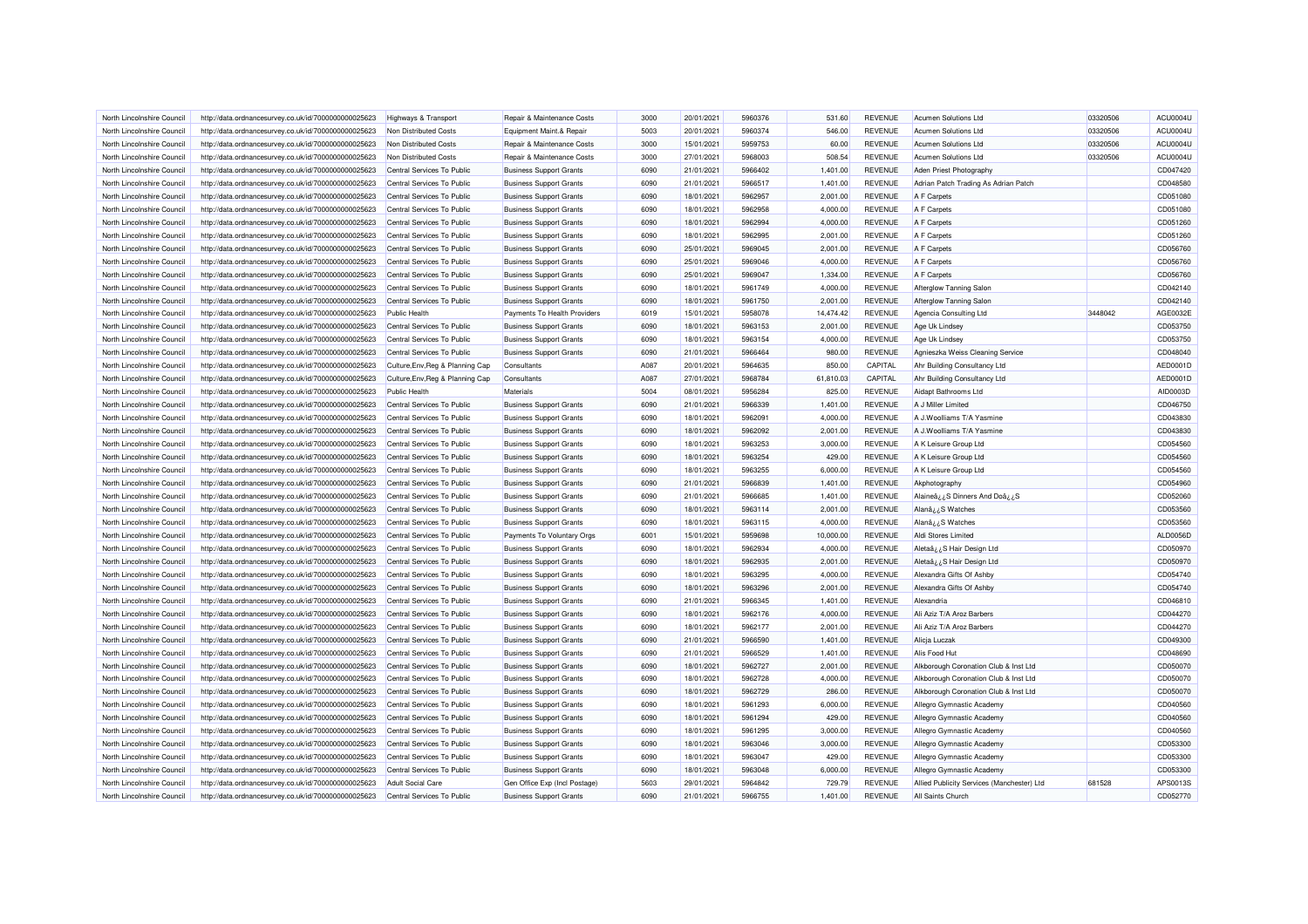| North Lincolnshire Council | http://data.ordnancesurvey.co.uk/id/7000000000025623 | Highways & Transport             | Repair & Maintenance Costs     | 3000 | 20/01/2021 | 5960376 | 531.60    | <b>REVENUE</b> | <b>Acumen Solutions Ltd</b>                | 03320506 | ACU0004U        |
|----------------------------|------------------------------------------------------|----------------------------------|--------------------------------|------|------------|---------|-----------|----------------|--------------------------------------------|----------|-----------------|
| North Lincolnshire Council | http://data.ordnancesurvey.co.uk/id/7000000000025623 | Non Distributed Costs            | Equipment Maint.& Repair       | 5003 | 20/01/2021 | 5960374 | 546.00    | <b>REVENUE</b> | <b>Acumen Solutions Ltd</b>                | 03320506 | ACU0004U        |
| North Lincolnshire Council | http://data.ordnancesurvey.co.uk/id/7000000000025623 | Non Distributed Costs            | Repair & Maintenance Costs     | 3000 | 15/01/2021 | 5959753 | 60.00     | <b>REVENUE</b> | Acumen Solutions Ltd                       | 03320506 | <b>ACU0004U</b> |
| North Lincolnshire Council | http://data.ordnancesurvey.co.uk/id/7000000000025623 | Non Distributed Costs            | Repair & Maintenance Costs     | 3000 | 27/01/2021 | 5968003 | 508.54    | <b>REVENUE</b> | <b>Acumen Solutions Ltd</b>                | 03320506 | ACU0004U        |
| North Lincolnshire Council | http://data.ordnancesurvey.co.uk/id/7000000000025623 | Central Services To Public       | <b>Business Support Grants</b> | 6090 | 21/01/2021 | 5966402 | 1,401.00  | <b>REVENUE</b> | Aden Priest Photography                    |          | CD047420        |
| North Lincolnshire Council | http://data.ordnancesurvey.co.uk/id/7000000000025623 | Central Services To Public       | <b>Business Support Grants</b> | 6090 | 21/01/2021 | 5966517 | 1,401.00  | <b>REVENUE</b> | Adrian Patch Trading As Adrian Patch       |          | CD048580        |
| North Lincolnshire Council | http://data.ordnancesurvey.co.uk/id/7000000000025623 | Central Services To Public       | <b>Business Support Grants</b> | 6090 | 18/01/2021 | 5962957 | 2,001.00  | <b>REVENUE</b> | A F Carpets                                |          | CD051080        |
| North Lincolnshire Council | http://data.ordnancesurvey.co.uk/id/7000000000025623 | Central Services To Public       | <b>Business Support Grants</b> | 6090 | 18/01/2021 | 5962958 | 4,000.00  | <b>REVENUE</b> | A F Carpets                                |          | CD051080        |
| North Lincolnshire Council | http://data.ordnancesurvey.co.uk/id/7000000000025623 | Central Services To Public       | <b>Business Support Grants</b> | 6090 | 18/01/2021 | 5962994 | 4,000.00  | <b>REVENUE</b> | A F Carpets                                |          | CD051260        |
| North Lincolnshire Council | http://data.ordnancesurvey.co.uk/id/7000000000025623 | Central Services To Public       | <b>Business Support Grants</b> | 6090 | 18/01/2021 | 5962995 | 2,001.00  | <b>REVENUE</b> | A F Carpets                                |          | CD051260        |
| North Lincolnshire Council | http://data.ordnancesurvey.co.uk/id/7000000000025623 | Central Services To Public       | <b>Business Support Grants</b> | 6090 | 25/01/2021 | 5969045 | 2,001.00  | <b>REVENUE</b> | A F Carpets                                |          | CD056760        |
| North Lincolnshire Council | http://data.ordnancesurvey.co.uk/id/7000000000025623 | Central Services To Public       | <b>Business Support Grants</b> | 6090 | 25/01/2021 | 5969046 | 4,000.00  | <b>REVENUE</b> | A F Carpets                                |          | CD056760        |
| North Lincolnshire Council | http://data.ordnancesurvey.co.uk/id/7000000000025623 | Central Services To Public       | <b>Business Support Grants</b> | 6090 | 25/01/2021 | 5969047 | 1,334.00  | <b>REVENUE</b> | A F Carpets                                |          | CD056760        |
| North Lincolnshire Council | http://data.ordnancesurvey.co.uk/id/7000000000025623 | Central Services To Public       | <b>Business Support Grants</b> | 6090 | 18/01/2021 | 5961749 | 4,000.00  | <b>REVENUE</b> | Afterglow Tanning Salon                    |          | CD042140        |
| North Lincolnshire Council | http://data.ordnancesurvey.co.uk/id/7000000000025623 | Central Services To Public       | <b>Business Support Grants</b> | 6090 | 18/01/2021 | 5961750 | 2,001.00  | <b>REVENUE</b> | Afterglow Tanning Salon                    |          | CD042140        |
| North Lincolnshire Council | http://data.ordnancesurvey.co.uk/id/7000000000025623 | Public Health                    | Payments To Health Providers   | 6019 | 15/01/2021 | 5958078 | 14,474.42 | <b>REVENUE</b> | Agencia Consulting Ltd                     | 3448042  | AGE0032E        |
| North Lincolnshire Council | http://data.ordnancesurvey.co.uk/id/7000000000025623 | Central Services To Public       | <b>Business Support Grants</b> | 6090 | 18/01/2021 | 5963153 | 2,001.00  | <b>REVENUE</b> | Age Uk Lindsey                             |          | CD053750        |
| North Lincolnshire Council | http://data.ordnancesurvey.co.uk/id/7000000000025623 | Central Services To Public       | <b>Business Support Grants</b> | 6090 | 18/01/2021 | 5963154 | 4,000.00  | <b>REVENUE</b> | Age Uk Lindsey                             |          | CD053750        |
| North Lincolnshire Council |                                                      | Central Services To Public       | <b>Business Support Grants</b> | 6090 | 21/01/2021 | 5966464 | 980.00    | <b>REVENUE</b> | Agnieszka Weiss Cleaning Service           |          | CD048040        |
| North Lincolnshire Council | http://data.ordnancesurvey.co.uk/id/7000000000025623 |                                  | Consultants                    | A087 | 20/01/2021 | 5964635 | 850.00    | CAPITAL        |                                            |          | AED0001D        |
|                            | http://data.ordnancesurvey.co.uk/id/7000000000025623 | Culture, Env, Reg & Planning Cap |                                |      |            |         |           |                | Ahr Building Consultancy Ltd               |          | AED0001D        |
| North Lincolnshire Council | http://data.ordnancesurvey.co.uk/id/7000000000025623 | Culture, Env, Reg & Planning Cap | Consultants                    | A087 | 27/01/2021 | 5968784 | 61,810.03 | CAPITAL        | Ahr Building Consultancy Ltd               |          |                 |
| North Lincolnshire Council | http://data.ordnancesurvey.co.uk/id/7000000000025623 | <b>Public Health</b>             | Materials                      | 5004 | 08/01/2021 | 5956284 | 825.00    | <b>REVENUE</b> | Aidapt Bathrooms Ltd                       |          | AID0003D        |
| North Lincolnshire Council | http://data.ordnancesurvey.co.uk/id/7000000000025623 | Central Services To Public       | <b>Business Support Grants</b> | 6090 | 21/01/2021 | 5966339 | 1.401.00  | <b>REVENUE</b> | A J Miller Limited                         |          | CD046750        |
| North Lincolnshire Council | http://data.ordnancesurvey.co.uk/id/7000000000025623 | Central Services To Public       | <b>Business Support Grants</b> | 6090 | 18/01/2021 | 5962091 | 4,000.00  | <b>REVENUE</b> | A J.Woolliams T/A Yasmine                  |          | CD043830        |
| North Lincolnshire Council | http://data.ordnancesurvey.co.uk/id/7000000000025623 | Central Services To Public       | <b>Business Support Grants</b> | 6090 | 18/01/2021 | 5962092 | 2,001.00  | <b>REVENUE</b> | A J.Woolliams T/A Yasmine                  |          | CD043830        |
| North Lincolnshire Council | http://data.ordnancesurvey.co.uk/id/7000000000025623 | Central Services To Public       | <b>Business Support Grants</b> | 6090 | 18/01/2021 | 5963253 | 3,000.00  | <b>REVENUE</b> | A K Leisure Group Ltd                      |          | CD054560        |
| North Lincolnshire Council | http://data.ordnancesurvey.co.uk/id/7000000000025623 | Central Services To Public       | <b>Business Support Grants</b> | 6090 | 18/01/2021 | 5963254 | 429.00    | <b>REVENUE</b> | A K Leisure Group Ltd                      |          | CD054560        |
| North Lincolnshire Council | http://data.ordnancesurvey.co.uk/id/7000000000025623 | Central Services To Public       | <b>Business Support Grants</b> | 6090 | 18/01/2021 | 5963255 | 6,000.00  | <b>REVENUE</b> | A K Leisure Group Ltd                      |          | CD054560        |
| North Lincolnshire Council | http://data.ordnancesurvey.co.uk/id/7000000000025623 | Central Services To Public       | <b>Business Support Grants</b> | 6090 | 21/01/2021 | 5966839 | 1,401.00  | <b>REVENUE</b> | Akphotography                              |          | CD054960        |
| North Lincolnshire Council | http://data.ordnancesurvey.co.uk/id/7000000000025623 | Central Services To Public       | <b>Business Support Grants</b> | 6090 | 21/01/2021 | 5966685 | 1,401.00  | <b>REVENUE</b> | Alaineâ ¿¿S Dinners And Doâ ¿¿S            |          | CD052060        |
| North Lincolnshire Council | http://data.ordnancesurvey.co.uk/id/7000000000025623 | Central Services To Public       | <b>Business Support Grants</b> | 6090 | 18/01/2021 | 5963114 | 2,001.00  | <b>REVENUE</b> | Alanâ¿¿S Watches                           |          | CD053560        |
| North Lincolnshire Council | http://data.ordnancesurvey.co.uk/id/7000000000025623 | Central Services To Public       | <b>Business Support Grants</b> | 6090 | 18/01/2021 | 5963115 | 4,000.00  | <b>REVENUE</b> | Alanâ¿¿S Watches                           |          | CD053560        |
| North Lincolnshire Council | http://data.ordnancesurvey.co.uk/id/7000000000025623 | Central Services To Public       | Payments To Voluntary Orgs     | 6001 | 15/01/2021 | 5959698 | 10,000.00 | <b>REVENUE</b> | Aldi Stores Limited                        |          | ALD0056D        |
| North Lincolnshire Council | http://data.ordnancesurvey.co.uk/id/7000000000025623 | Central Services To Public       | <b>Business Support Grants</b> | 6090 | 18/01/2021 | 5962934 | 4,000.00  | <b>REVENUE</b> | Aletaâ ¿¿S Hair Design Ltd                 |          | CD050970        |
| North Lincolnshire Council | http://data.ordnancesurvey.co.uk/id/7000000000025623 | Central Services To Public       | <b>Business Support Grants</b> | 6090 | 18/01/2021 | 5962935 | 2,001.00  | <b>REVENUE</b> | Aleta $a_{\lambda}$ ¿S Hair Design Ltd     |          | CD050970        |
| North Lincolnshire Council | http://data.ordnancesurvey.co.uk/id/7000000000025623 | Central Services To Public       | <b>Business Support Grants</b> | 6090 | 18/01/2021 | 5963295 | 4,000.00  | <b>REVENUE</b> | Alexandra Gifts Of Ashby                   |          | CD054740        |
| North Lincolnshire Council | http://data.ordnancesurvey.co.uk/id/7000000000025623 | Central Services To Public       | <b>Business Support Grants</b> | 6090 | 18/01/2021 | 5963296 | 2,001.00  | <b>REVENUE</b> | Alexandra Gifts Of Ashby                   |          | CD054740        |
| North Lincolnshire Council | http://data.ordnancesurvey.co.uk/id/7000000000025623 | Central Services To Public       | <b>Business Support Grants</b> | 6090 | 21/01/2021 | 5966345 | 1,401.00  | <b>REVENUE</b> | Alexandria                                 |          | CD046810        |
| North Lincolnshire Council | http://data.ordnancesurvey.co.uk/id/7000000000025623 | Central Services To Public       | <b>Business Support Grants</b> | 6090 | 18/01/2021 | 5962176 | 4,000.00  | <b>REVENUE</b> | Ali Aziz T/A Aroz Barbers                  |          | CD044270        |
| North Lincolnshire Council | http://data.ordnancesurvey.co.uk/id/7000000000025623 | Central Services To Public       | <b>Business Support Grants</b> | 6090 | 18/01/2021 | 5962177 | 2,001.00  | <b>REVENUE</b> | Ali Aziz T/A Aroz Barbers                  |          | CD044270        |
| North Lincolnshire Council | http://data.ordnancesurvey.co.uk/id/7000000000025623 | Central Services To Public       | <b>Business Support Grants</b> | 6090 | 21/01/2021 | 5966590 | 1,401.00  | <b>REVENUE</b> | Alicja Luczak                              |          | CD049300        |
| North Lincolnshire Council | http://data.ordnancesurvey.co.uk/id/7000000000025623 | Central Services To Public       | <b>Business Support Grants</b> | 6090 | 21/01/2021 | 5966529 | 1,401.00  | <b>REVENUE</b> | Alis Food Hut                              |          | CD048690        |
| North Lincolnshire Council | http://data.ordnancesurvey.co.uk/id/7000000000025623 | Central Services To Public       | <b>Business Support Grants</b> | 6090 | 18/01/2021 | 5962727 | 2,001.00  | <b>REVENUE</b> | Alkborough Coronation Club & Inst Ltd      |          | CD050070        |
| North Lincolnshire Council | http://data.ordnancesurvey.co.uk/id/7000000000025623 | Central Services To Public       | <b>Business Support Grants</b> | 6090 | 18/01/2021 | 5962728 | 4,000.00  | <b>REVENUE</b> | Alkborough Coronation Club & Inst Ltd      |          | CD050070        |
| North Lincolnshire Council | http://data.ordnancesurvey.co.uk/id/7000000000025623 | Central Services To Public       | <b>Business Support Grants</b> | 6090 | 18/01/2021 | 5962729 | 286.00    | <b>REVENUE</b> | Alkborough Coronation Club & Inst Ltd      |          | CD050070        |
| North Lincolnshire Council | http://data.ordnancesurvey.co.uk/id/7000000000025623 | Central Services To Public       | <b>Business Support Grants</b> | 6090 | 18/01/2021 | 5961293 | 6,000.00  | <b>REVENUE</b> | Allegro Gymnastic Academy                  |          | CD040560        |
| North Lincolnshire Council | http://data.ordnancesurvey.co.uk/id/7000000000025623 | Central Services To Public       | <b>Business Support Grants</b> | 6090 | 18/01/2021 | 5961294 | 429.00    | <b>REVENUE</b> | Allegro Gymnastic Academy                  |          | CD040560        |
| North Lincolnshire Council | http://data.ordnancesurvey.co.uk/id/7000000000025623 | Central Services To Public       | <b>Business Support Grants</b> | 6090 | 18/01/2021 | 5961295 | 3,000.00  | <b>REVENUE</b> | Allegro Gymnastic Academy                  |          | CD040560        |
| North Lincolnshire Council | http://data.ordnancesurvey.co.uk/id/7000000000025623 | Central Services To Public       | <b>Business Support Grants</b> | 6090 | 18/01/2021 | 5963046 | 3,000.00  | <b>REVENUE</b> | Allegro Gymnastic Academy                  |          | CD053300        |
| North Lincolnshire Council | http://data.ordnancesurvey.co.uk/id/7000000000025623 | Central Services To Public       | <b>Business Support Grants</b> | 6090 | 18/01/2021 | 5963047 | 429.00    | <b>REVENUE</b> | Allegro Gymnastic Academy                  |          | CD053300        |
| North Lincolnshire Council | http://data.ordnancesurvey.co.uk/id/7000000000025623 | Central Services To Public       | <b>Business Support Grants</b> | 6090 | 18/01/2021 | 5963048 | 6,000.00  | <b>REVENUE</b> | Allegro Gymnastic Academy                  |          | CD053300        |
| North Lincolnshire Council | http://data.ordnancesurvey.co.uk/id/7000000000025623 | <b>Adult Social Care</b>         | Gen Office Exp (Incl Postage)  | 5603 | 29/01/2021 | 5964842 | 729.79    | <b>REVENUE</b> | Allied Publicity Services (Manchester) Ltd | 681528   | APS0013S        |
| North Lincolnshire Council | http://data.ordnancesurvey.co.uk/id/7000000000025623 | Central Services To Public       | <b>Business Support Grants</b> | 6090 | 21/01/2021 | 5966755 | 1,401.00  | <b>REVENUE</b> | All Saints Church                          |          | CD052770        |
|                            |                                                      |                                  |                                |      |            |         |           |                |                                            |          |                 |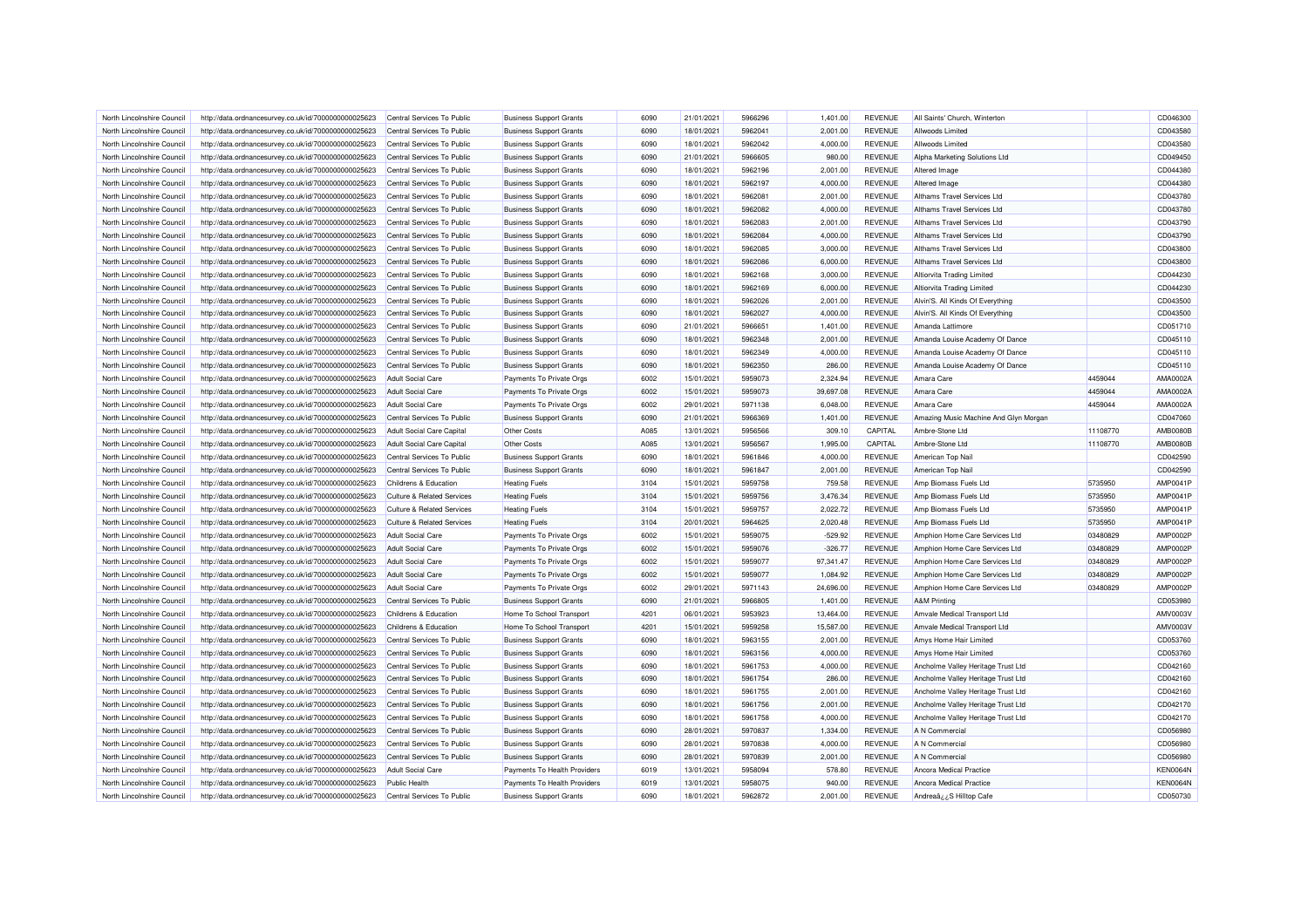| North Lincolnshire Council                               |                                                      |                                       |                                | 6090 | 21/01/2021 | 5966296            |           | <b>REVENUE</b>                   | All Saints' Church, Winterton         |          | CD046300             |
|----------------------------------------------------------|------------------------------------------------------|---------------------------------------|--------------------------------|------|------------|--------------------|-----------|----------------------------------|---------------------------------------|----------|----------------------|
|                                                          | http://data.ordnancesurvey.co.uk/id/7000000000025623 | Central Services To Public            | <b>Business Support Grants</b> |      |            |                    | 1,401.00  |                                  |                                       |          |                      |
| North Lincolnshire Council                               | http://data.ordnancesurvey.co.uk/id/7000000000025623 | Central Services To Public            | <b>Business Support Grants</b> | 6090 | 18/01/2021 | 5962041            | 2,001.00  | <b>REVENUE</b>                   | Allwoods Limited                      |          | CD043580             |
| North Lincolnshire Council                               | http://data.ordnancesurvey.co.uk/id/7000000000025623 | Central Services To Public            | <b>Business Support Grants</b> | 6090 | 18/01/2021 | 5962042            | 4,000.00  | <b>REVENUE</b>                   | Allwoods Limited                      |          | CD043580             |
| North Lincolnshire Council                               | http://data.ordnancesurvey.co.uk/id/7000000000025623 | Central Services To Public            | <b>Business Support Grants</b> | 6090 | 21/01/2021 | 5966605            | 980.00    | <b>REVENUE</b>                   | Alpha Marketing Solutions Ltd         |          | CD049450             |
| North Lincolnshire Council                               | http://data.ordnancesurvey.co.uk/id/7000000000025623 | Central Services To Public            | <b>Business Support Grants</b> | 6090 | 18/01/2021 | 5962196            | 2,001.00  | <b>REVENUE</b>                   | Altered Image                         |          | CD044380             |
| North Lincolnshire Council                               | http://data.ordnancesurvey.co.uk/id/7000000000025623 | Central Services To Public            | <b>Business Support Grants</b> | 6090 | 18/01/2021 | 5962197            | 4,000.00  | <b>REVENUE</b>                   | Altered Image                         |          | CD044380             |
| North Lincolnshire Council                               | http://data.ordnancesurvey.co.uk/id/7000000000025623 | Central Services To Public            | <b>Business Support Grants</b> | 6090 | 18/01/2021 | 5962081            | 2,001.00  | <b>REVENUE</b>                   | Althams Travel Services Ltd           |          | CD043780             |
| North Lincolnshire Council                               | http://data.ordnancesurvey.co.uk/id/7000000000025623 | Central Services To Public            | <b>Business Support Grants</b> | 6090 | 18/01/2021 | 5962082            | 4.000.00  | <b>REVENUE</b>                   | Althams Travel Services Ltd           |          | CD043780             |
| North Lincolnshire Council                               | http://data.ordnancesurvey.co.uk/id/7000000000025623 | Central Services To Public            | <b>Business Support Grants</b> | 6090 | 18/01/2021 | 5962083            | 2,001.00  | <b>REVENUE</b>                   | Althams Travel Services Ltd           |          | CD043790             |
| North Lincolnshire Council                               | http://data.ordnancesurvey.co.uk/id/7000000000025623 | Central Services To Public            | <b>Business Support Grants</b> | 6090 | 18/01/2021 | 5962084            | 4,000.00  | <b>REVENUE</b>                   | Althams Travel Services Ltd           |          | CD043790             |
| North Lincolnshire Council                               | http://data.ordnancesurvey.co.uk/id/7000000000025623 | Central Services To Public            | <b>Business Support Grants</b> | 6090 | 18/01/2021 | 5962085            | 3,000.00  | <b>REVENUE</b>                   | Althams Travel Services Ltd           |          | CD043800             |
| North Lincolnshire Council                               | http://data.ordnancesurvey.co.uk/id/7000000000025623 | Central Services To Public            | <b>Business Support Grants</b> | 6090 | 18/01/2021 | 5962086            | 6,000.00  | <b>REVENUE</b>                   | Althams Travel Services Ltd           |          | CD043800             |
| North Lincolnshire Council                               | http://data.ordnancesurvey.co.uk/id/7000000000025623 | Central Services To Public            | <b>Business Support Grants</b> | 6090 | 18/01/2021 | 5962168            | 3,000.00  | <b>REVENUE</b>                   | <b>Altiorvita Trading Limited</b>     |          | CD044230             |
| North Lincolnshire Council                               | http://data.ordnancesurvey.co.uk/id/7000000000025623 | Central Services To Public            | <b>Business Support Grants</b> | 6090 | 18/01/2021 | 5962169            | 6.000.00  | <b>REVENUE</b>                   | <b>Altiorvita Trading Limited</b>     |          | CD044230             |
| North Lincolnshire Council                               | http://data.ordnancesurvey.co.uk/id/7000000000025623 | Central Services To Public            | <b>Business Support Grants</b> | 6090 | 18/01/2021 | 5962026            | 2,001.00  | <b>REVENUE</b>                   | Alvin'S. All Kinds Of Everything      |          | CD043500             |
| North Lincolnshire Council                               | http://data.ordnancesurvey.co.uk/id/7000000000025623 | Central Services To Public            | <b>Business Support Grants</b> | 6090 | 18/01/2021 | 5962027            | 4,000.00  | <b>REVENUE</b>                   | Alvin'S. All Kinds Of Everything      |          | CD043500             |
| North Lincolnshire Council                               | http://data.ordnancesurvey.co.uk/id/7000000000025623 | Central Services To Public            | <b>Business Support Grants</b> | 6090 | 21/01/2021 | 5966651            | 1,401.00  | <b>REVENUE</b>                   | Amanda Lattimore                      |          | CD051710             |
| North Lincolnshire Council                               | http://data.ordnancesurvey.co.uk/id/7000000000025623 | Central Services To Public            | <b>Business Support Grants</b> | 6090 | 18/01/2021 | 5962348            | 2,001.00  | <b>REVENUE</b>                   | Amanda Louise Academy Of Dance        |          | CD045110             |
| North Lincolnshire Council                               | http://data.ordnancesurvey.co.uk/id/7000000000025623 | Central Services To Public            | <b>Business Support Grants</b> | 6090 | 18/01/2021 | 5962349            | 4,000.00  | <b>REVENUE</b>                   | Amanda Louise Academy Of Dance        |          | CD045110             |
| North Lincolnshire Council                               | http://data.ordnancesurvey.co.uk/id/7000000000025623 | Central Services To Public            | <b>Business Support Grants</b> | 6090 | 18/01/2021 | 5962350            | 286.00    | <b>REVENUE</b>                   | Amanda Louise Academy Of Dance        |          | CD045110             |
| North Lincolnshire Council                               | http://data.ordnancesurvey.co.uk/id/7000000000025623 | <b>Adult Social Care</b>              | Payments To Private Orgs       | 6002 | 15/01/2021 | 5959073            | 2,324.94  | <b>REVENUE</b>                   | Amara Care                            | 4459044  | AMA0002A             |
| North Lincolnshire Council                               |                                                      | <b>Adult Social Care</b>              |                                | 6002 | 15/01/2021 | 5959073            | 39,697.08 | <b>REVENUE</b>                   | Amara Care                            | 4459044  | AMA0002A             |
|                                                          | http://data.ordnancesurvey.co.uk/id/7000000000025623 |                                       | Payments To Private Orgs       |      |            |                    |           |                                  |                                       | 4459044  |                      |
| North Lincolnshire Council                               | http://data.ordnancesurvey.co.uk/id/7000000000025623 | <b>Adult Social Care</b>              | Payments To Private Orgs       | 6002 | 29/01/2021 | 5971138            | 6,048.00  | <b>REVENUE</b>                   | Amara Care                            |          | AMA0002A             |
| North Lincolnshire Council                               | http://data.ordnancesurvey.co.uk/id/7000000000025623 | Central Services To Public            | <b>Business Support Grants</b> | 6090 | 21/01/2021 | 5966369            | 1,401.00  | <b>REVENUE</b>                   | Amazing Music Machine And Glyn Morgan |          | CD047060             |
| North Lincolnshire Council                               | http://data.ordnancesurvey.co.uk/id/7000000000025623 | <b>Adult Social Care Capital</b>      | Other Costs                    | A085 | 13/01/2021 | 5956566            | 309.10    | CAPITAL                          | Ambre-Stone Ltd                       | 11108770 | <b>AMB0080B</b>      |
| North Lincolnshire Council                               | http://data.ordnancesurvey.co.uk/id/7000000000025623 | <b>Adult Social Care Capital</b>      | Other Costs                    | A085 | 13/01/2021 | 5956567            | 1,995.00  | CAPITAL                          | Ambre-Stone Ltd                       | 11108770 | <b>AMB0080B</b>      |
| North Lincolnshire Council                               | http://data.ordnancesurvey.co.uk/id/7000000000025623 | Central Services To Public            | <b>Business Support Grants</b> | 6090 | 18/01/2021 | 5961846            | 4,000.00  | <b>REVENUE</b>                   | American Top Nail                     |          | CD042590             |
| North Lincolnshire Council                               | http://data.ordnancesurvey.co.uk/id/7000000000025623 | Central Services To Public            | <b>Business Support Grants</b> | 6090 | 18/01/2021 | 5961847            | 2,001.00  | <b>REVENUE</b>                   | American Top Nail                     |          | CD042590             |
| North Lincolnshire Council                               | http://data.ordnancesurvey.co.uk/id/7000000000025623 | Childrens & Education                 | <b>Heating Fuels</b>           | 3104 | 15/01/2021 | 5959758            | 759.58    | <b>REVENUE</b>                   | Amp Biomass Fuels Ltd                 | 5735950  | <b>AMP0041P</b>      |
| North Lincolnshire Council                               | http://data.ordnancesurvey.co.uk/id/7000000000025623 | <b>Culture &amp; Related Services</b> | <b>Heating Fuels</b>           | 3104 | 15/01/2021 | 5959756            | 3,476.34  | <b>REVENUE</b>                   | Amp Biomass Fuels Ltd                 | 5735950  | AMP0041P             |
| North Lincolnshire Council                               | http://data.ordnancesurvey.co.uk/id/7000000000025623 | <b>Culture &amp; Related Services</b> | <b>Heating Fuels</b>           | 3104 | 15/01/2021 | 5959757            | 2,022.72  | <b>REVENUE</b>                   | Amp Biomass Fuels Ltd                 | 5735950  | AMP0041P             |
| North Lincolnshire Council                               | http://data.ordnancesurvey.co.uk/id/7000000000025623 | <b>Culture &amp; Related Services</b> | <b>Heating Fuels</b>           | 3104 | 20/01/2021 | 5964625            | 2,020.48  | <b>REVENUE</b>                   | Amp Biomass Fuels Ltd                 | 5735950  | AMP0041P             |
| North Lincolnshire Council                               | http://data.ordnancesurvey.co.uk/id/7000000000025623 | <b>Adult Social Care</b>              | Payments To Private Orgs       | 6002 | 15/01/2021 | 5959075            | $-529.92$ | <b>REVENUE</b>                   | Amphion Home Care Services Ltd        | 03480829 | <b>AMP0002P</b>      |
| North Lincolnshire Council                               | http://data.ordnancesurvey.co.uk/id/7000000000025623 | <b>Adult Social Care</b>              | Payments To Private Orgs       | 6002 | 15/01/2021 | 5959076            | $-326.77$ | <b>REVENUE</b>                   | Amphion Home Care Services Ltd        | 03480829 | <b>AMP0002P</b>      |
| North Lincolnshire Council                               | http://data.ordnancesurvey.co.uk/id/7000000000025623 | <b>Adult Social Care</b>              | Payments To Private Orgs       | 6002 | 15/01/2021 | 5959077            | 97,341.47 | <b>REVENUE</b>                   | Amphion Home Care Services Ltd        | 03480829 | AMP0002F             |
| North Lincolnshire Council                               | http://data.ordnancesurvey.co.uk/id/7000000000025623 | <b>Adult Social Care</b>              | Payments To Private Orgs       | 6002 | 15/01/2021 | 5959077            | 1,084.92  | <b>REVENUE</b>                   | Amphion Home Care Services Ltd        | 03480829 | AMP0002F             |
| North Lincolnshire Council                               | http://data.ordnancesurvey.co.uk/id/7000000000025623 | <b>Adult Social Care</b>              | Payments To Private Orgs       | 6002 | 29/01/2021 | 5971143            | 24,696.00 | <b>REVENUE</b>                   | Amphion Home Care Services Ltd        | 03480829 | AMP0002F             |
| North Lincolnshire Council                               | http://data.ordnancesurvey.co.uk/id/7000000000025623 | Central Services To Public            | <b>Business Support Grants</b> | 6090 | 21/01/2021 | 5966805            | 1,401.00  | <b>REVENUE</b>                   | <b>A&amp;M Printing</b>               |          | CD053980             |
| North Lincolnshire Council                               | http://data.ordnancesurvey.co.uk/id/7000000000025623 | Childrens & Education                 | Home To School Transport       | 4201 | 06/01/2021 | 5953923            | 13,464.00 | <b>REVENUE</b>                   | Amvale Medical Transport Ltd          |          | AMV0003\             |
| North Lincolnshire Council                               | http://data.ordnancesurvey.co.uk/id/7000000000025623 | Childrens & Education                 | Home To School Transport       | 4201 | 15/01/2021 | 5959258            | 15,587.00 | <b>REVENUE</b>                   | Amvale Medical Transport Ltd          |          | AMV0003\             |
| North Lincolnshire Council                               | http://data.ordnancesurvey.co.uk/id/7000000000025623 | Central Services To Public            | <b>Business Support Grants</b> | 6090 | 18/01/2021 | 5963155            | 2,001.00  | <b>REVENUE</b>                   | Amys Home Hair Limited                |          | CD053760             |
| North Lincolnshire Council                               | http://data.ordnancesurvey.co.uk/id/7000000000025623 | Central Services To Public            | <b>Business Support Grants</b> | 6090 | 18/01/2021 | 5963156            | 4.000.00  | <b>REVENUE</b>                   | Amys Home Hair Limited                |          | CD053760             |
| North Lincolnshire Council                               | http://data.ordnancesurvey.co.uk/id/7000000000025623 | Central Services To Public            | <b>Business Support Grants</b> | 6090 | 18/01/2021 | 5961753            | 4,000.00  | <b>REVENUE</b>                   | Ancholme Valley Heritage Trust Ltd    |          | CD042160             |
| North Lincolnshire Council                               | http://data.ordnancesurvey.co.uk/id/7000000000025623 | Central Services To Public            | <b>Business Support Grants</b> | 6090 | 18/01/2021 | 5961754            | 286.00    | <b>REVENUE</b>                   | Ancholme Valley Heritage Trust Ltd    |          | CD042160             |
| North Lincolnshire Council                               | http://data.ordnancesurvey.co.uk/id/7000000000025623 | Central Services To Public            | <b>Business Support Grants</b> | 6090 | 18/01/2021 | 5961755            | 2,001.00  | <b>REVENUE</b>                   | Ancholme Valley Heritage Trust Ltd    |          | CD042160             |
| North Lincolnshire Council                               | http://data.ordnancesurvey.co.uk/id/7000000000025623 | Central Services To Public            | <b>Business Support Grants</b> | 6090 | 18/01/2021 | 5961756            | 2,001.00  | <b>REVENUE</b>                   | Ancholme Valley Heritage Trust Ltd    |          | CD042170             |
| North Lincolnshire Council                               | http://data.ordnancesurvey.co.uk/id/7000000000025623 | Central Services To Public            | <b>Business Support Grants</b> | 6090 | 18/01/2021 | 5961758            | 4,000.00  | <b>REVENUE</b>                   | Ancholme Valley Heritage Trust Ltd    |          | CD042170             |
| North Lincolnshire Council                               | http://data.ordnancesurvey.co.uk/id/7000000000025623 | Central Services To Public            | <b>Business Support Grants</b> | 6090 | 28/01/2021 | 5970837            | 1,334.00  | <b>REVENUE</b>                   | A N Commercial                        |          | CD056980             |
|                                                          |                                                      |                                       |                                | 6090 |            |                    |           |                                  |                                       |          |                      |
| North Lincolnshire Council<br>North Lincolnshire Council | http://data.ordnancesurvey.co.uk/id/7000000000025623 | Central Services To Public            | <b>Business Support Grants</b> | 6090 | 28/01/2021 | 5970838<br>5970839 | 4,000.00  | <b>REVENUE</b><br><b>REVENUE</b> | A N Commercial<br>A N Commercial      |          | CD056980<br>CD056980 |
|                                                          | http://data.ordnancesurvey.co.uk/id/7000000000025623 | Central Services To Public            | <b>Business Support Grants</b> |      | 28/01/2021 |                    | 2,001.00  |                                  |                                       |          |                      |
| North Lincolnshire Council                               | http://data.ordnancesurvey.co.uk/id/7000000000025623 | <b>Adult Social Care</b>              | Payments To Health Providers   | 6019 | 13/01/2021 | 5958094            | 578.80    | <b>REVENUE</b>                   | Ancora Medical Practice               |          | <b>KEN0064N</b>      |
| North Lincolnshire Council                               | http://data.ordnancesurvey.co.uk/id/7000000000025623 | <b>Public Health</b>                  | Payments To Health Providers   | 6019 | 13/01/2021 | 5958075            | 940.00    | <b>REVENUE</b>                   | <b>Ancora Medical Practice</b>        |          | <b>KEN0064N</b>      |
| North Lincolnshire Council                               | http://data.ordnancesurvey.co.uk/id/7000000000025623 | Central Services To Public            | <b>Business Support Grants</b> | 6090 | 18/01/2021 | 5962872            | 2,001.00  | <b>REVENUE</b>                   | Andreaâ¿¿S Hilltop Cafe               |          | CD050730             |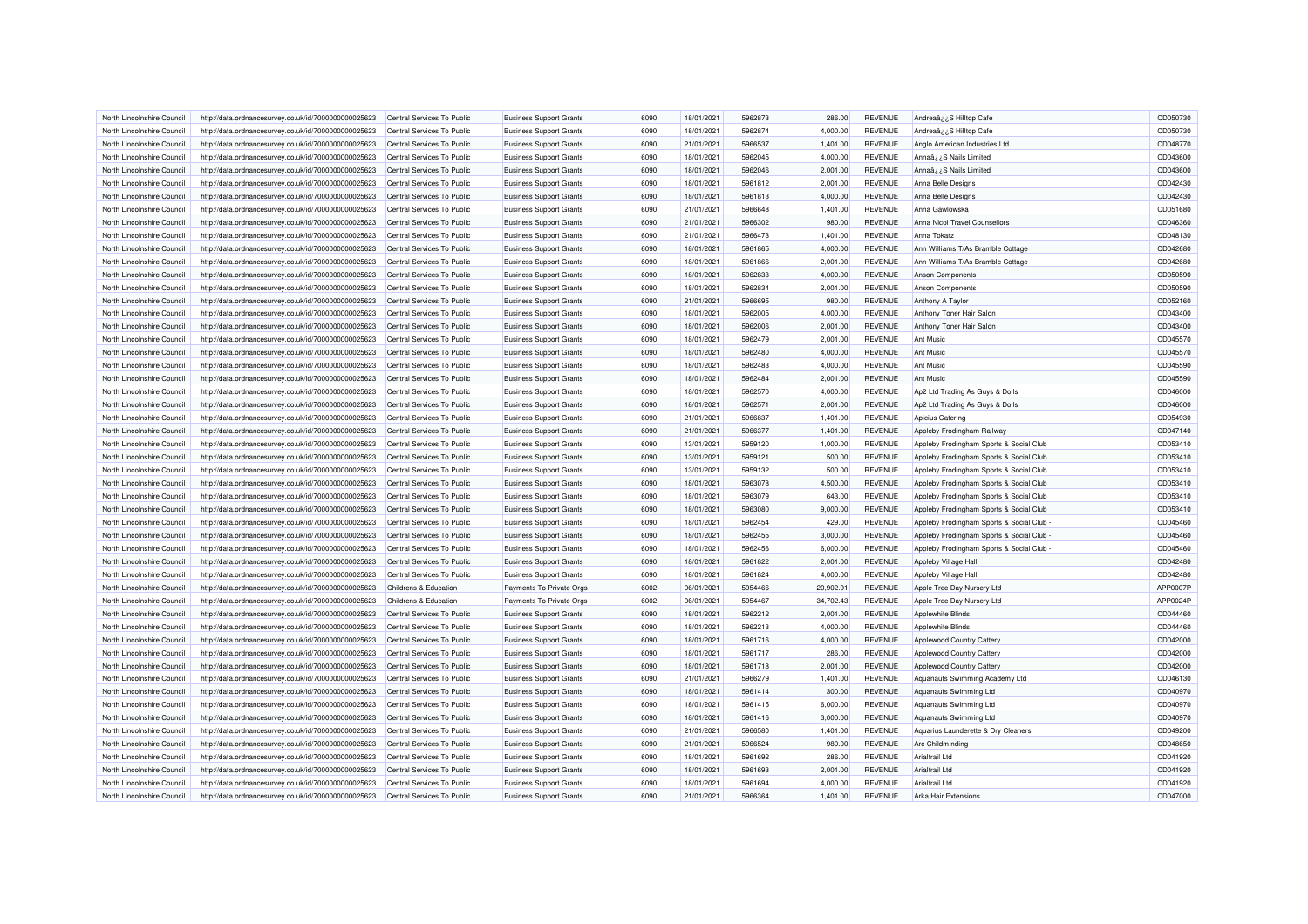| North Lincolnshire Council | http://data.ordnancesurvey.co.uk/id/7000000000025623 | Central Services To Public | <b>Business Support Grants</b> | 6090 | 18/01/2021               | 5962873            | 286.00               | <b>REVENUE</b>                   | Andrea $a_{\lambda}$ ¿S Hilltop Cafe    | CD050730 |
|----------------------------|------------------------------------------------------|----------------------------|--------------------------------|------|--------------------------|--------------------|----------------------|----------------------------------|-----------------------------------------|----------|
| North Lincolnshire Council | http://data.ordnancesurvey.co.uk/id/7000000000025623 | Central Services To Public | <b>Business Support Grants</b> | 6090 | 18/01/2021               | 5962874            | 4,000.00             | <b>REVENUE</b>                   | Andreaâ, ¿S Hilltop Cafe                | CD050730 |
| North Lincolnshire Council | http://data.ordnancesurvey.co.uk/id/7000000000025623 | Central Services To Public | <b>Business Support Grants</b> | 6090 | 21/01/2021               | 5966537            | 1,401.00             | <b>REVENUE</b>                   | Anglo American Industries Ltd           | CD048770 |
| North Lincolnshire Council | http://data.ordnancesurvey.co.uk/id/7000000000025623 | Central Services To Public | <b>Business Support Grants</b> | 6090 | 18/01/2021               | 5962045            | 4,000.00             | <b>REVENUE</b>                   | Annaâzz S Nails Limited                 | CD043600 |
| North Lincolnshire Council | http://data.ordnancesurvey.co.uk/id/7000000000025623 | Central Services To Public | <b>Business Support Grants</b> | 6090 | 18/01/2021               | 5962046            | 2,001.00             | <b>REVENUE</b>                   | Annaâ¿¿S Nails Limited                  | CD043600 |
| North Lincolnshire Council | http://data.ordnancesurvey.co.uk/id/7000000000025623 | Central Services To Public | <b>Business Support Grants</b> | 6090 | 18/01/2021               | 5961812            | 2,001.00             | <b>REVENUE</b>                   | Anna Belle Designs                      | CD042430 |
| North Lincolnshire Council | http://data.ordnancesurvey.co.uk/id/7000000000025623 | Central Services To Public | <b>Business Support Grants</b> | 6090 | 18/01/2021               | 5961813            | 4,000.00             | <b>REVENUE</b>                   | Anna Belle Designs                      | CD042430 |
| North Lincolnshire Council | http://data.ordnancesurvey.co.uk/id/7000000000025623 | Central Services To Public | <b>Business Support Grants</b> | 6090 | 21/01/2021               | 5966648            | 1,401.00             | <b>REVENUE</b>                   | Anna Gawlowska                          | CD051680 |
| North Lincolnshire Council | http://data.ordnancesurvey.co.uk/id/7000000000025623 | Central Services To Public | <b>Business Support Grants</b> | 6090 | 21/01/2021               | 5966302            | 980.00               | <b>REVENUE</b>                   | Anna Nicol Travel Counsellors           | CD046360 |
| North Lincolnshire Council | http://data.ordnancesurvey.co.uk/id/7000000000025623 | Central Services To Public | <b>Business Support Grants</b> | 6090 | 21/01/2021               | 5966473            | 1,401.00             | <b>REVENUE</b>                   | Anna Tokarz                             | CD048130 |
| North Lincolnshire Counci  | http://data.ordnancesurvey.co.uk/id/7000000000025623 | Central Services To Public | <b>Business Support Grants</b> | 6090 | 18/01/2021               | 5961865            | 4,000.00             | <b>REVENUE</b>                   | Ann Williams T/As Bramble Cottage       | CD042680 |
| North Lincolnshire Council | http://data.ordnancesurvey.co.uk/id/7000000000025623 | Central Services To Public | <b>Business Support Grants</b> | 6090 | 18/01/2021               | 5961866            | 2,001.00             | <b>REVENUE</b>                   | Ann Williams T/As Bramble Cottage       | CD042680 |
| North Lincolnshire Council | http://data.ordnancesurvey.co.uk/id/7000000000025623 | Central Services To Public | <b>Business Support Grants</b> | 6090 | 18/01/2021               | 5962833            | 4,000.00             | <b>REVENUE</b>                   | <b>Anson Components</b>                 | CD050590 |
| North Lincolnshire Council | http://data.ordnancesurvey.co.uk/id/7000000000025623 | Central Services To Public | <b>Business Support Grants</b> | 6090 | 18/01/2021               | 5962834            | 2,001.00             | <b>REVENUE</b>                   | Anson Components                        | CD050590 |
| North Lincolnshire Council | http://data.ordnancesurvey.co.uk/id/7000000000025623 | Central Services To Public | <b>Business Support Grants</b> | 6090 | 21/01/2021               | 5966695            | 980.00               | <b>REVENUE</b>                   | Anthony A Taylor                        | CD052160 |
| North Lincolnshire Council | http://data.ordnancesurvey.co.uk/id/7000000000025623 | Central Services To Public | <b>Business Support Grants</b> | 6090 | 18/01/2021               | 5962005            | 4,000.00             | <b>REVENUE</b>                   | Anthony Toner Hair Salon                | CD043400 |
| North Lincolnshire Council |                                                      | Central Services To Public |                                | 6090 | 18/01/2021               | 5962006            | 2,001.00             | <b>REVENUE</b>                   | Anthony Toner Hair Salon                | CD043400 |
|                            | http://data.ordnancesurvey.co.uk/id/7000000000025623 |                            | <b>Business Support Grants</b> |      |                          |                    |                      |                                  |                                         |          |
| North Lincolnshire Council | http://data.ordnancesurvey.co.uk/id/7000000000025623 | Central Services To Public | <b>Business Support Grants</b> | 6090 | 18/01/2021               | 5962479            | 2,001.00             | <b>REVENUE</b>                   | <b>Ant Music</b>                        | CD045570 |
| North Lincolnshire Council | http://data.ordnancesurvey.co.uk/id/7000000000025623 | Central Services To Public | <b>Business Support Grants</b> | 6090 | 18/01/2021               | 5962480            | 4,000.00             | <b>REVENUE</b>                   | <b>Ant Music</b>                        | CD045570 |
| North Lincolnshire Council | http://data.ordnancesurvey.co.uk/id/7000000000025623 | Central Services To Public | <b>Business Support Grants</b> | 6090 | 18/01/2021               | 5962483            | 4,000.00             | <b>REVENUE</b>                   | <b>Ant Music</b>                        | CD045590 |
| North Lincolnshire Council | http://data.ordnancesurvey.co.uk/id/7000000000025623 | Central Services To Public | <b>Business Support Grants</b> | 6090 | 18/01/2021               | 5962484            | 2,001.00             | <b>REVENUE</b>                   | <b>Ant Music</b>                        | CD045590 |
| North Lincolnshire Council | http://data.ordnancesurvey.co.uk/id/7000000000025623 | Central Services To Public | <b>Business Support Grants</b> | 6090 | 18/01/2021               | 5962570            | 4,000.00             | <b>REVENUE</b>                   | Ap2 Ltd Trading As Guys & Dolls         | CD046000 |
| North Lincolnshire Council | http://data.ordnancesurvey.co.uk/id/7000000000025623 | Central Services To Public | <b>Business Support Grants</b> | 6090 | 18/01/2021               | 5962571            | 2.001.00             | <b>REVENUE</b>                   | Ap2 Ltd Trading As Guys & Dolls         | CD046000 |
| North Lincolnshire Council | http://data.ordnancesurvey.co.uk/id/7000000000025623 | Central Services To Public | <b>Business Support Grants</b> | 6090 | 21/01/2021               | 5966837            | 1,401.00             | <b>REVENUE</b>                   | Apicius Catering                        | CD054930 |
| North Lincolnshire Council | http://data.ordnancesurvey.co.uk/id/7000000000025623 | Central Services To Public | <b>Business Support Grants</b> | 6090 | 21/01/2021               | 5966377            | 1,401.00             | <b>REVENUE</b>                   | Appleby Frodingham Railway              | CD047140 |
| North Lincolnshire Council | http://data.ordnancesurvey.co.uk/id/7000000000025623 | Central Services To Public | <b>Business Support Grants</b> | 6090 | 13/01/2021               | 5959120            | 1,000.00             | <b>REVENUE</b>                   | Appleby Frodingham Sports & Social Club | CD053410 |
| North Lincolnshire Council | http://data.ordnancesurvey.co.uk/id/7000000000025623 | Central Services To Public | <b>Business Support Grants</b> | 6090 | 13/01/2021               | 5959121            | 500.00               | <b>REVENUE</b>                   | Appleby Frodingham Sports & Social Club | CD053410 |
| North Lincolnshire Council | http://data.ordnancesurvey.co.uk/id/7000000000025623 | Central Services To Public | <b>Business Support Grants</b> | 6090 | 13/01/2021               | 5959132            | 500.00               | <b>REVENUE</b>                   | Appleby Frodingham Sports & Social Club | CD053410 |
| North Lincolnshire Council | http://data.ordnancesurvey.co.uk/id/7000000000025623 | Central Services To Public | <b>Business Support Grants</b> | 6090 | 18/01/2021               | 5963078            | 4,500.00             | <b>REVENUE</b>                   | Appleby Frodingham Sports & Social Club | CD053410 |
| North Lincolnshire Council | http://data.ordnancesurvey.co.uk/id/7000000000025623 | Central Services To Public | <b>Business Support Grants</b> | 6090 | 18/01/2021               | 5963079            | 643.00               | <b>REVENUE</b>                   | Appleby Frodingham Sports & Social Club | CD053410 |
| North Lincolnshire Council | http://data.ordnancesurvey.co.uk/id/7000000000025623 | Central Services To Public | <b>Business Support Grants</b> | 6090 | 18/01/2021               | 5963080            | 9,000.00             | <b>REVENUE</b>                   | Appleby Frodingham Sports & Social Club | CD053410 |
| North Lincolnshire Council | http://data.ordnancesurvey.co.uk/id/7000000000025623 | Central Services To Public | <b>Business Support Grants</b> | 6090 | 18/01/2021               | 5962454            | 429.00               | <b>REVENUE</b>                   | Appleby Frodingham Sports & Social Club | CD045460 |
| North Lincolnshire Counci  | http://data.ordnancesurvey.co.uk/id/7000000000025623 | Central Services To Public | <b>Business Support Grants</b> | 6090 | 18/01/2021               | 5962455            | 3,000.00             | <b>REVENUE</b>                   | Appleby Frodingham Sports & Social Club | CD045460 |
| North Lincolnshire Council | http://data.ordnancesurvey.co.uk/id/7000000000025623 | Central Services To Public | <b>Business Support Grants</b> | 6090 | 18/01/2021               | 5962456            | 6,000.00             | <b>REVENUE</b>                   | Appleby Frodingham Sports & Social Club | CD045460 |
| North Lincolnshire Council | http://data.ordnancesurvey.co.uk/id/7000000000025623 | Central Services To Public | <b>Business Support Grants</b> | 6090 | 18/01/2021               | 5961822            | 2,001.00             | <b>REVENUE</b>                   | Appleby Village Hall                    | CD042480 |
| North Lincolnshire Council | http://data.ordnancesurvey.co.uk/id/7000000000025623 | Central Services To Public | <b>Business Support Grants</b> | 6090 | 18/01/2021               | 5961824            | 4,000.00             | <b>REVENUE</b>                   | Appleby Village Hall                    | CD042480 |
| North Lincolnshire Council | http://data.ordnancesurvey.co.uk/id/7000000000025623 | Childrens & Education      | Payments To Private Orgs       | 6002 | 06/01/2021               | 5954466            | 20,902.9             | <b>REVENUE</b>                   | Apple Tree Day Nursery Ltd              | APP0007F |
| North Lincolnshire Council | http://data.ordnancesurvey.co.uk/id/7000000000025623 | Childrens & Education      | Payments To Private Orgs       | 6002 | 06/01/2021               | 5954467            | 34,702.43            | <b>REVENUE</b>                   | Apple Tree Day Nursery Ltd              | APP0024P |
| North Lincolnshire Council | http://data.ordnancesurvey.co.uk/id/7000000000025623 | Central Services To Public | <b>Business Support Grants</b> | 6090 | 18/01/2021               | 5962212            | 2,001.00             | <b>REVENUE</b>                   | Applewhite Blinds                       | CD044460 |
| North Lincolnshire Council | http://data.ordnancesurvey.co.uk/id/7000000000025623 | Central Services To Public | <b>Business Support Grants</b> | 6090 | 18/01/2021               | 5962213            | 4,000.00             | <b>REVENUE</b>                   | Applewhite Blinds                       | CD044460 |
| North Lincolnshire Council | http://data.ordnancesurvey.co.uk/id/7000000000025623 | Central Services To Public | <b>Business Support Grants</b> | 6090 | 18/01/2021               | 5961716            | 4,000.00             | <b>REVENUE</b>                   | Applewood Country Cattery               | CD042000 |
| North Lincolnshire Council | http://data.ordnancesurvey.co.uk/id/7000000000025623 | Central Services To Public | <b>Business Support Grants</b> | 6090 | 18/01/2021               | 5961717            | 286.00               | <b>REVENUE</b>                   | Applewood Country Cattery               | CD042000 |
| North Lincolnshire Council | http://data.ordnancesurvey.co.uk/id/7000000000025623 | Central Services To Public | <b>Business Support Grants</b> | 6090 | 18/01/2021               | 5961718            | 2,001.00             | <b>REVENUE</b>                   | Applewood Country Cattery               | CD042000 |
| North Lincolnshire Council | http://data.ordnancesurvey.co.uk/id/7000000000025623 | Central Services To Public | <b>Business Support Grants</b> | 6090 | 21/01/2021               | 5966279            | 1,401.00             | <b>REVENUE</b>                   | Aquanauts Swimming Academy Ltd          | CD046130 |
| North Lincolnshire Council | http://data.ordnancesurvey.co.uk/id/7000000000025623 | Central Services To Public | <b>Business Support Grants</b> | 6090 | 18/01/2021               | 5961414            | 300.00               | <b>REVENUE</b>                   | Aquanauts Swimming Ltd                  | CD040970 |
| North Lincolnshire Council | http://data.ordnancesurvey.co.uk/id/7000000000025623 | Central Services To Public | <b>Business Support Grants</b> | 6090 | 18/01/2021               | 5961415            | 6,000.00             | <b>REVENUE</b>                   | Aquanauts Swimming Ltd                  | CD040970 |
| North Lincolnshire Council | http://data.ordnancesurvey.co.uk/id/7000000000025623 | Central Services To Public | <b>Business Support Grants</b> | 6090 | 18/01/2021               | 5961416            | 3,000.00             | <b>REVENUE</b>                   | Aquanauts Swimming Ltd                  | CD040970 |
| North Lincolnshire Council | http://data.ordnancesurvey.co.uk/id/7000000000025623 | Central Services To Public | <b>Business Support Grants</b> | 6090 | 21/01/2021               | 5966580            | 1,401.00             | <b>REVENUE</b>                   | Aquarius Launderette & Dry Cleaners     | CD049200 |
| North Lincolnshire Council | http://data.ordnancesurvey.co.uk/id/7000000000025623 | Central Services To Public | <b>Business Support Grants</b> | 6090 | 21/01/2021               | 5966524            | 980.00               | <b>REVENUE</b>                   | Arc Childminding                        | CD048650 |
| North Lincolnshire Council | http://data.ordnancesurvey.co.uk/id/7000000000025623 | Central Services To Public | <b>Business Support Grants</b> | 6090 | 18/01/2021               | 5961692            | 286.00               | <b>REVENUE</b>                   | Arialtrail Ltd                          | CD041920 |
|                            |                                                      |                            | <b>Business Support Grants</b> | 6090 |                          |                    |                      |                                  | Arialtrail Ltd                          | CD041920 |
| North Lincolnshire Council | http://data.ordnancesurvey.co.uk/id/7000000000025623 | Central Services To Public |                                | 6090 | 18/01/2021<br>18/01/2021 | 5961693<br>5961694 | 2,001.00<br>4,000.00 | <b>REVENUE</b><br><b>REVENUE</b> |                                         | CD041920 |
| North Lincolnshire Council | http://data.ordnancesurvey.co.uk/id/7000000000025623 | Central Services To Public | <b>Business Support Grants</b> | 6090 | 21/01/2021               | 5966364            | 1,401.00             | <b>REVENUE</b>                   | Arialtrail Ltd                          | CD047000 |
| North Lincolnshire Council | http://data.ordnancesurvey.co.uk/id/7000000000025623 | Central Services To Public | <b>Business Support Grants</b> |      |                          |                    |                      |                                  | Arka Hair Extensions                    |          |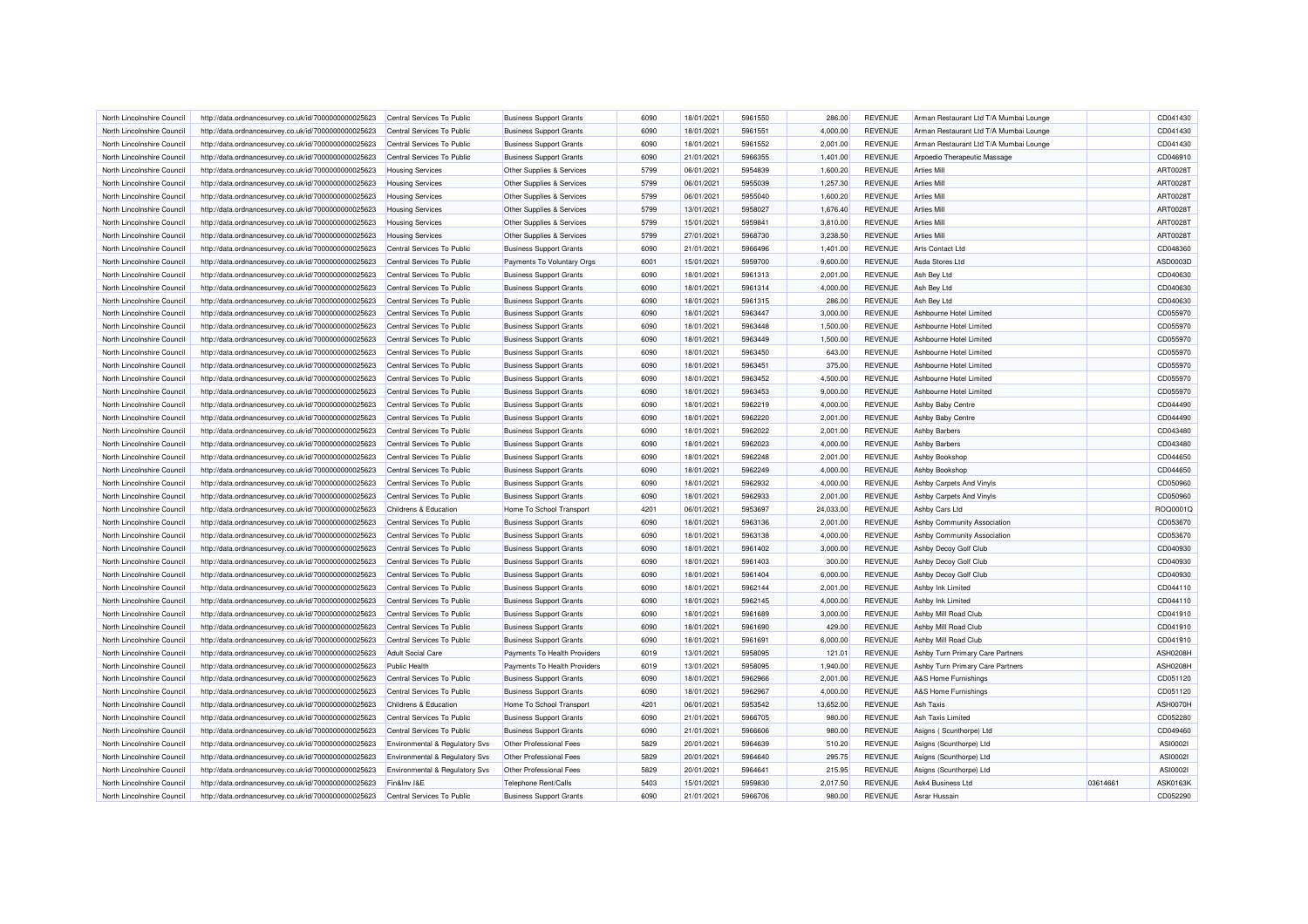| North Lincolnshire Council | http://data.ordnancesurvey.co.uk/id/7000000000025623 | Central Services To Public                | <b>Business Support Grants</b> | 6090         | 18/01/2021 | 5961550            | 286.00    | <b>REVENUE</b> | Arman Restaurant Ltd T/A Mumbai Lounge             |          | CD041430 |
|----------------------------|------------------------------------------------------|-------------------------------------------|--------------------------------|--------------|------------|--------------------|-----------|----------------|----------------------------------------------------|----------|----------|
| North Lincolnshire Council | http://data.ordnancesurvey.co.uk/id/7000000000025623 | Central Services To Public                | <b>Business Support Grants</b> | 6090         | 18/01/2021 | 5961551            | 4,000.00  | <b>REVENUE</b> | Arman Restaurant Ltd T/A Mumbai Lounge             |          | CD041430 |
| North Lincolnshire Council | http://data.ordnancesurvey.co.uk/id/7000000000025623 | Central Services To Public                | <b>Business Support Grants</b> | 6090         | 18/01/2021 | 5961552            | 2,001.00  | <b>REVENUE</b> | Arman Restaurant Ltd T/A Mumbai Lounge             |          | CD041430 |
| North Lincolnshire Council | http://data.ordnancesurvey.co.uk/id/7000000000025623 | Central Services To Public                | <b>Business Support Grants</b> | 6090         | 21/01/2021 | 5966355            | 1,401.00  | <b>REVENUE</b> | Arpoedio Therapeutic Massage                       |          | CD046910 |
| North Lincolnshire Council | http://data.ordnancesurvey.co.uk/id/7000000000025623 | <b>Housing Services</b>                   | Other Supplies & Services      | 5799         | 06/01/2021 | 5954839            | 1,600.20  | <b>REVENUE</b> | <b>Arties Mill</b>                                 |          | ART00281 |
| North Lincolnshire Council | http://data.ordnancesurvey.co.uk/id/7000000000025623 | <b>Housing Services</b>                   | Other Supplies & Services      | 5799         | 06/01/2021 | 5955039            | 1,257.30  | <b>REVENUE</b> | <b>Arties Mill</b>                                 |          | ART0028T |
| North Lincolnshire Council | http://data.ordnancesurvey.co.uk/id/7000000000025623 | <b>Housing Services</b>                   | Other Supplies & Services      | 5799         | 06/01/2021 | 5955040            | 1,600.20  | <b>REVENUE</b> | <b>Arties Mill</b>                                 |          | ART00281 |
| North Lincolnshire Council | http://data.ordnancesurvey.co.uk/id/7000000000025623 | <b>Housing Services</b>                   | Other Supplies & Services      | 5799         | 13/01/2021 | 5958027            | 1,676.40  | <b>REVENUE</b> | <b>Arties Mill</b>                                 |          | ART0028T |
| North Lincolnshire Council | http://data.ordnancesurvey.co.uk/id/7000000000025623 | <b>Housing Services</b>                   | Other Supplies & Services      | 5799         | 15/01/2021 | 5959841            | 3,810.00  | <b>REVENUE</b> | <b>Arties Mill</b>                                 |          | ART0028T |
| North Lincolnshire Council | http://data.ordnancesurvey.co.uk/id/7000000000025623 | <b>Housing Services</b>                   | Other Supplies & Services      | 5799         | 27/01/2021 | 5968730            | 3,238.50  | <b>REVENUE</b> | <b>Arties Mill</b>                                 |          | ART00281 |
| North Lincolnshire Council | http://data.ordnancesurvey.co.uk/id/7000000000025623 | Central Services To Public                | <b>Business Support Grants</b> | 6090         | 21/01/2021 | 5966496            | 1,401.00  | <b>REVENUE</b> | <b>Arts Contact Ltd</b>                            |          | CD048360 |
| North Lincolnshire Council | http://data.ordnancesurvey.co.uk/id/7000000000025623 | Central Services To Public                | Payments To Voluntary Orgs     | 6001         | 15/01/2021 | 5959700            | 9,600.00  | <b>REVENUE</b> | Asda Stores Ltd                                    |          | ASD0003D |
| North Lincolnshire Council | http://data.ordnancesurvey.co.uk/id/7000000000025623 | Central Services To Public                | <b>Business Support Grants</b> | 6090         | 18/01/2021 | 5961313            | 2,001.00  | <b>REVENUE</b> | Ash Bey Ltd                                        |          | CD040630 |
| North Lincolnshire Council | http://data.ordnancesurvey.co.uk/id/7000000000025623 | Central Services To Public                | <b>Business Support Grants</b> | 6090         | 18/01/2021 | 5961314            | 4,000.00  | <b>REVENUE</b> | Ash Bey Ltd                                        |          | CD040630 |
| North Lincolnshire Council | http://data.ordnancesurvey.co.uk/id/7000000000025623 | Central Services To Public                | <b>Business Support Grants</b> | 6090         | 18/01/2021 | 5961315            | 286.00    | <b>REVENUE</b> | Ash Bey Ltd                                        |          | CD040630 |
| North Lincolnshire Council | http://data.ordnancesurvey.co.uk/id/7000000000025623 | Central Services To Public                | <b>Business Support Grants</b> | 6090         | 18/01/2021 | 5963447            | 3,000.00  | <b>REVENUE</b> | Ashbourne Hotel Limited                            |          | CD055970 |
| North Lincolnshire Council | http://data.ordnancesurvey.co.uk/id/7000000000025623 | Central Services To Public                | <b>Business Support Grants</b> | 6090         | 18/01/2021 | 5963448            | 1,500.00  | REVENUE        | Ashbourne Hotel Limited                            |          | CD055970 |
| North Lincolnshire Council | http://data.ordnancesurvey.co.uk/id/7000000000025623 | Central Services To Public                | <b>Business Support Grants</b> | 6090         | 18/01/2021 | 5963449            | 1,500.00  | <b>REVENUE</b> | Ashbourne Hotel Limited                            |          | CD055970 |
|                            |                                                      |                                           |                                |              |            |                    |           |                |                                                    |          |          |
| North Lincolnshire Council | http://data.ordnancesurvey.co.uk/id/7000000000025623 | Central Services To Public                | <b>Business Support Grants</b> | 6090<br>6090 | 18/01/2021 | 5963450<br>5963451 | 643.00    | <b>REVENUE</b> | Ashbourne Hotel Limited<br>Ashbourne Hotel Limited |          | CD055970 |
| North Lincolnshire Council | http://data.ordnancesurvey.co.uk/id/7000000000025623 | Central Services To Public                | <b>Business Support Grants</b> |              | 18/01/2021 |                    | 375.00    | <b>REVENUE</b> |                                                    |          | CD055970 |
| North Lincolnshire Council | http://data.ordnancesurvey.co.uk/id/7000000000025623 | Central Services To Public                | <b>Business Support Grants</b> | 6090         | 18/01/2021 | 5963452            | 4,500.00  | <b>REVENUE</b> | Ashbourne Hotel Limited                            |          | CD055970 |
| North Lincolnshire Council | http://data.ordnancesurvey.co.uk/id/7000000000025623 | Central Services To Public                | <b>Business Support Grants</b> | 6090         | 18/01/2021 | 5963453            | 9,000.00  | <b>REVENUE</b> | Ashbourne Hotel Limited                            |          | CD055970 |
| North Lincolnshire Council | http://data.ordnancesurvey.co.uk/id/7000000000025623 | Central Services To Public                | <b>Business Support Grants</b> | 6090         | 18/01/2021 | 5962219            | 4.000.00  | <b>REVENUE</b> | <b>Ashby Baby Centre</b>                           |          | CD044490 |
| North Lincolnshire Council | http://data.ordnancesurvey.co.uk/id/7000000000025623 | Central Services To Public                | <b>Business Support Grants</b> | 6090         | 18/01/2021 | 5962220            | 2,001.00  | <b>REVENUE</b> | Ashby Baby Centre                                  |          | CD044490 |
| North Lincolnshire Council | http://data.ordnancesurvey.co.uk/id/7000000000025623 | Central Services To Public                | <b>Business Support Grants</b> | 6090         | 18/01/2021 | 5962022            | 2,001.00  | <b>REVENUE</b> | <b>Ashby Barbers</b>                               |          | CD043480 |
| North Lincolnshire Council | http://data.ordnancesurvey.co.uk/id/7000000000025623 | Central Services To Public                | <b>Business Support Grants</b> | 6090         | 18/01/2021 | 5962023            | 4,000.00  | <b>REVENUE</b> | <b>Ashby Barbers</b>                               |          | CD043480 |
| North Lincolnshire Council | http://data.ordnancesurvey.co.uk/id/7000000000025623 | Central Services To Public                | <b>Business Support Grants</b> | 6090         | 18/01/2021 | 5962248            | 2,001.00  | <b>REVENUE</b> | Ashby Bookshop                                     |          | CD044650 |
| North Lincolnshire Council | http://data.ordnancesurvey.co.uk/id/7000000000025623 | Central Services To Public                | <b>Business Support Grants</b> | 6090         | 18/01/2021 | 5962249            | 4,000.00  | <b>REVENUE</b> | Ashby Bookshop                                     |          | CD044650 |
| North Lincolnshire Council | http://data.ordnancesurvey.co.uk/id/7000000000025623 | Central Services To Public                | <b>Business Support Grants</b> | 6090         | 18/01/2021 | 5962932            | 4,000.00  | <b>REVENUE</b> | Ashby Carpets And Vinyls                           |          | CD050960 |
| North Lincolnshire Council | http://data.ordnancesurvey.co.uk/id/7000000000025623 | Central Services To Public                | <b>Business Support Grants</b> | 6090         | 18/01/2021 | 5962933            | 2,001.00  | <b>REVENUE</b> | Ashby Carpets And Vinyls                           |          | CD050960 |
| North Lincolnshire Council | http://data.ordnancesurvey.co.uk/id/7000000000025623 | Childrens & Education                     | Home To School Transport       | 4201         | 06/01/2021 | 5953697            | 24,033.00 | <b>REVENUE</b> | <b>Ashby Cars Ltd</b>                              |          | ROQ0001Q |
| North Lincolnshire Council | http://data.ordnancesurvey.co.uk/id/7000000000025623 | Central Services To Public                | <b>Business Support Grants</b> | 6090         | 18/01/2021 | 5963136            | 2,001.00  | <b>REVENUE</b> | Ashby Community Association                        |          | CD053670 |
| North Lincolnshire Council | http://data.ordnancesurvey.co.uk/id/7000000000025623 | Central Services To Public                | <b>Business Support Grants</b> | 6090         | 18/01/2021 | 5963138            | 4,000.00  | <b>REVENUE</b> | Ashby Community Association                        |          | CD053670 |
| North Lincolnshire Council | http://data.ordnancesurvey.co.uk/id/7000000000025623 | Central Services To Public                | <b>Business Support Grants</b> | 6090         | 18/01/2021 | 5961402            | 3,000.00  | <b>REVENUE</b> | Ashby Decoy Golf Club                              |          | CD040930 |
| North Lincolnshire Council | http://data.ordnancesurvey.co.uk/id/7000000000025623 | Central Services To Public                | <b>Business Support Grants</b> | 6090         | 18/01/2021 | 5961403            | 300.00    | <b>REVENUE</b> | Ashby Decoy Golf Club                              |          | CD040930 |
| North Lincolnshire Council | http://data.ordnancesurvey.co.uk/id/7000000000025623 | Central Services To Public                | <b>Business Support Grants</b> | 6090         | 18/01/2021 | 5961404            | 6,000.00  | <b>REVENUE</b> | Ashby Decoy Golf Club                              |          | CD040930 |
| North Lincolnshire Council | http://data.ordnancesurvey.co.uk/id/7000000000025623 | Central Services To Public                | <b>Business Support Grants</b> | 6090         | 18/01/2021 | 5962144            | 2,001.00  | <b>REVENUE</b> | Ashby Ink Limited                                  |          | CD044110 |
| North Lincolnshire Council | http://data.ordnancesurvey.co.uk/id/7000000000025623 | Central Services To Public                | <b>Business Support Grants</b> | 6090         | 18/01/2021 | 5962145            | 4,000.00  | <b>REVENUE</b> | Ashby Ink Limited                                  |          | CD044110 |
| North Lincolnshire Council | http://data.ordnancesurvey.co.uk/id/7000000000025623 | Central Services To Public                | <b>Business Support Grants</b> | 6090         | 18/01/2021 | 5961689            | 3,000.00  | <b>REVENUE</b> | Ashby Mill Road Club                               |          | CD041910 |
| North Lincolnshire Council | http://data.ordnancesurvey.co.uk/id/7000000000025623 | Central Services To Public                | <b>Business Support Grants</b> | 6090         | 18/01/2021 | 5961690            | 429.00    | <b>REVENUE</b> | Ashby Mill Road Club                               |          | CD041910 |
| North Lincolnshire Council | http://data.ordnancesurvey.co.uk/id/7000000000025623 | Central Services To Public                | <b>Business Support Grants</b> | 6090         | 18/01/2021 | 5961691            | 6,000.00  | <b>REVENUE</b> | Ashby Mill Road Club                               |          | CD041910 |
| North Lincolnshire Council | http://data.ordnancesurvey.co.uk/id/7000000000025623 | <b>Adult Social Care</b>                  | Payments To Health Providers   | 6019         | 13/01/2021 | 5958095            | 121.01    | <b>REVENUE</b> | Ashby Turn Primary Care Partners                   |          | ASH0208H |
| North Lincolnshire Council | http://data.ordnancesurvey.co.uk/id/7000000000025623 | <b>Public Health</b>                      | Payments To Health Providers   | 6019         | 13/01/2021 | 5958095            | 1,940.00  | <b>REVENUE</b> | Ashby Turn Primary Care Partners                   |          | ASH0208H |
| North Lincolnshire Council | http://data.ordnancesurvey.co.uk/id/7000000000025623 | Central Services To Public                | <b>Business Support Grants</b> | 6090         | 18/01/2021 | 5962966            | 2,001.00  | <b>REVENUE</b> | A&S Home Furnishings                               |          | CD051120 |
| North Lincolnshire Council | http://data.ordnancesurvey.co.uk/id/7000000000025623 | Central Services To Public                | <b>Business Support Grants</b> | 6090         | 18/01/2021 | 5962967            | 4,000.00  | <b>REVENUE</b> | A&S Home Furnishings                               |          | CD051120 |
| North Lincolnshire Council | http://data.ordnancesurvey.co.uk/id/7000000000025623 | <b>Childrens &amp; Education</b>          | Home To School Transport       | 4201         | 06/01/2021 | 5953542            | 13,652.00 | <b>REVENUE</b> | Ash Taxis                                          |          | ASH0070H |
| North Lincolnshire Council | http://data.ordnancesurvey.co.uk/id/7000000000025623 | Central Services To Public                | <b>Business Support Grants</b> | 6090         | 21/01/2021 | 5966705            | 980.00    | <b>REVENUE</b> | Ash Taxis Limited                                  |          | CD052280 |
| North Lincolnshire Council | http://data.ordnancesurvey.co.uk/id/7000000000025623 | Central Services To Public                | <b>Business Support Grants</b> | 6090         | 21/01/2021 | 5966606            | 980.00    | <b>REVENUE</b> | Asigns (Scunthorpe) Ltd                            |          | CD049460 |
| North Lincolnshire Council | http://data.ordnancesurvey.co.uk/id/7000000000025623 | Environmental & Regulatory Svs            | Other Professional Fees        | 5829         | 20/01/2021 | 5964639            | 510.20    | <b>REVENUE</b> | Asigns (Scunthorpe) Ltd                            |          | ASI00021 |
| North Lincolnshire Council | http://data.ordnancesurvey.co.uk/id/7000000000025623 | Environmental & Regulatory Svs            | Other Professional Fees        | 5829         | 20/01/2021 | 5964640            | 295.75    | <b>REVENUE</b> | Asigns (Scunthorpe) Ltd                            |          | ASI00021 |
| North Lincolnshire Council | http://data.ordnancesurvey.co.uk/id/7000000000025623 | <b>Environmental &amp; Regulatory Svs</b> | Other Professional Fees        | 5829         | 20/01/2021 | 5964641            | 215.95    | <b>REVENUE</b> | Asigns (Scunthorpe) Ltd                            |          | ASI00021 |
| North Lincolnshire Council | http://data.ordnancesurvey.co.uk/id/7000000000025623 | Fin&Inv I&E                               | Telephone Rent/Calls           | 5403         | 15/01/2021 | 5959830            | 2,017.50  | <b>REVENUE</b> | Ask4 Business Ltd                                  | 03614661 | ASK0163K |
| North Lincolnshire Council | http://data.ordnancesurvey.co.uk/id/7000000000025623 | Central Services To Public                | <b>Business Support Grants</b> | 6090         | 21/01/2021 | 5966706            | 980.00    | <b>REVENUE</b> | Asrar Hussain                                      |          | CD052290 |
|                            |                                                      |                                           |                                |              |            |                    |           |                |                                                    |          |          |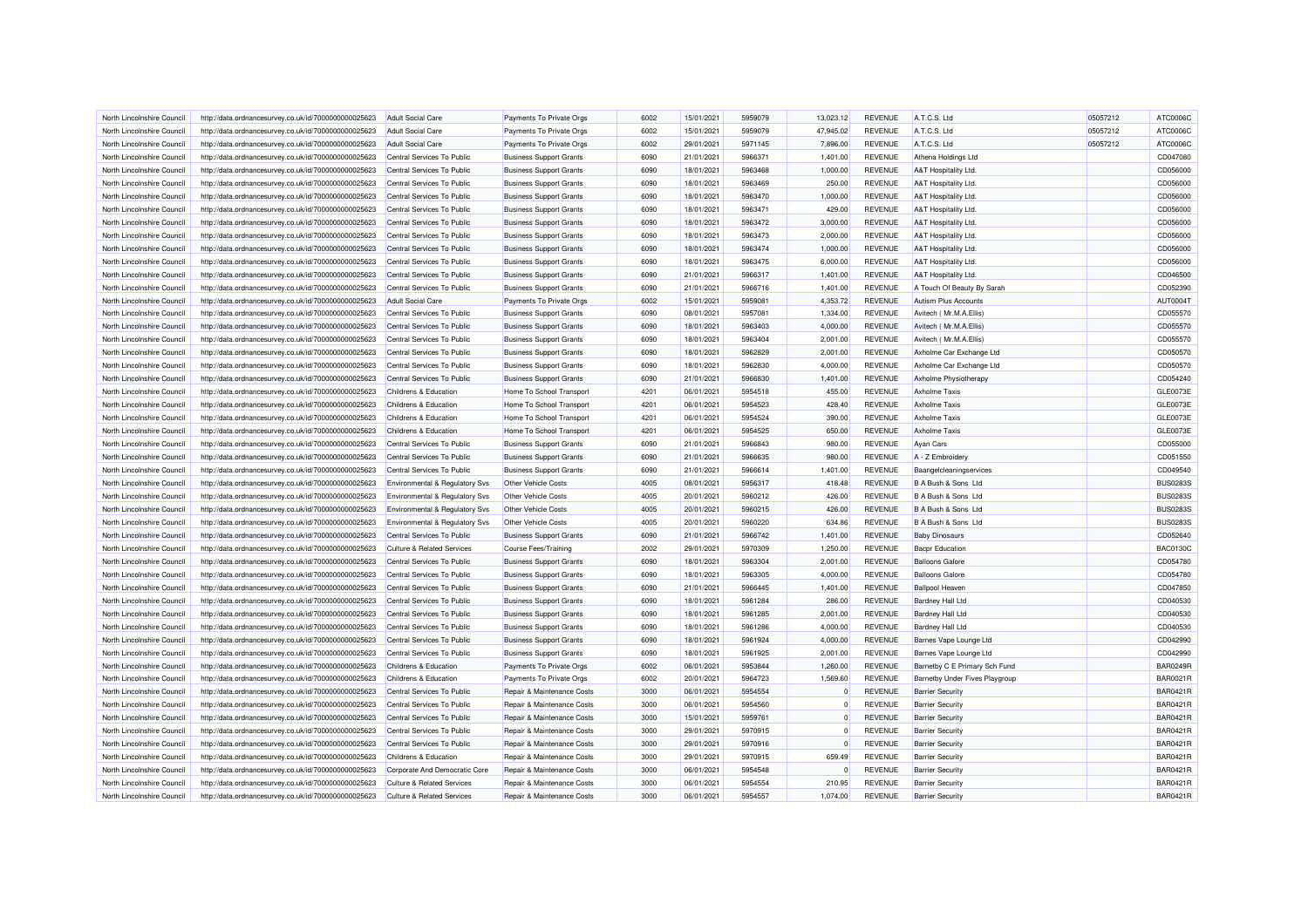| North Lincolnshire Council | http://data.ordnancesurvey.co.uk/id/7000000000025623 | Adult Social Care                         | Payments To Private Orgs       | 6002 | 15/01/2021 | 5959079 | 13.023.12   | <b>REVENUE</b> | A.T.C.S. Ltd                   | 05057212 | ATC0006C        |
|----------------------------|------------------------------------------------------|-------------------------------------------|--------------------------------|------|------------|---------|-------------|----------------|--------------------------------|----------|-----------------|
| North Lincolnshire Council | http://data.ordnancesurvey.co.uk/id/7000000000025623 | <b>Adult Social Care</b>                  | Payments To Private Orgs       | 6002 | 15/01/2021 | 5959079 | 47,945.02   | <b>REVENUE</b> | A.T.C.S. Ltd                   | 05057212 | ATC0006C        |
| North Lincolnshire Council | http://data.ordnancesurvey.co.uk/id/7000000000025623 | <b>Adult Social Care</b>                  | Payments To Private Orgs       | 6002 | 29/01/2021 | 5971145 | 7,896.00    | <b>REVENUE</b> | A.T.C.S. Ltd                   | 05057212 | ATC0006C        |
| North Lincolnshire Council | http://data.ordnancesurvey.co.uk/id/7000000000025623 | Central Services To Public                | <b>Business Support Grants</b> | 6090 | 21/01/2021 | 5966371 | 1,401.00    | <b>REVENUE</b> | Athena Holdings Ltd            |          | CD047080        |
| North Lincolnshire Council | http://data.ordnancesurvey.co.uk/id/7000000000025623 | Central Services To Public                | <b>Business Support Grants</b> | 6090 | 18/01/2021 | 5963468 | 1,000.00    | <b>REVENUE</b> | A&T Hospitality Ltd.           |          | CD056000        |
| North Lincolnshire Council | http://data.ordnancesurvey.co.uk/id/7000000000025623 | Central Services To Public                | <b>Business Support Grants</b> | 6090 | 18/01/2021 | 5963469 | 250.00      | <b>REVENUE</b> | A&T Hospitality Ltd.           |          | CD056000        |
| North Lincolnshire Council | http://data.ordnancesurvey.co.uk/id/7000000000025623 | Central Services To Public                | <b>Business Support Grants</b> | 6090 | 18/01/2021 | 5963470 | 1,000.00    | <b>REVENUE</b> | A&T Hospitality Ltd.           |          | CD056000        |
| North Lincolnshire Council | http://data.ordnancesurvey.co.uk/id/7000000000025623 | Central Services To Public                | <b>Business Support Grants</b> | 6090 | 18/01/2021 | 5963471 | 429.00      | <b>REVENUE</b> | A&T Hospitality Ltd.           |          | CD056000        |
| North Lincolnshire Council | http://data.ordnancesurvey.co.uk/id/7000000000025623 | Central Services To Public                | <b>Business Support Grants</b> | 6090 | 18/01/2021 | 5963472 | 3,000.00    | <b>REVENUE</b> | A&T Hospitality Ltd.           |          | CD056000        |
| North Lincolnshire Council | http://data.ordnancesurvey.co.uk/id/7000000000025623 | Central Services To Public                | <b>Business Support Grants</b> | 6090 | 18/01/2021 | 5963473 | 2,000.00    | <b>REVENUE</b> | A&T Hospitality Ltd.           |          | CD056000        |
| North Lincolnshire Council | http://data.ordnancesurvey.co.uk/id/7000000000025623 | Central Services To Public                | <b>Business Support Grants</b> | 6090 | 18/01/2021 | 5963474 | 1,000.00    | <b>REVENUE</b> | A&T Hospitality Ltd.           |          | CD056000        |
| North Lincolnshire Council | http://data.ordnancesurvey.co.uk/id/7000000000025623 | Central Services To Public                | <b>Business Support Grants</b> | 6090 | 18/01/2021 | 5963475 | 6,000.00    | <b>REVENUE</b> | A&T Hospitality Ltd.           |          | CD056000        |
| North Lincolnshire Council | http://data.ordnancesurvey.co.uk/id/7000000000025623 | Central Services To Public                | <b>Business Support Grants</b> | 6090 | 21/01/2021 | 5966317 | 1,401.00    | <b>REVENUE</b> | A&T Hospitality Ltd.           |          | CD046500        |
| North Lincolnshire Council | http://data.ordnancesurvey.co.uk/id/7000000000025623 | Central Services To Public                | <b>Business Support Grants</b> | 6090 | 21/01/2021 | 5966716 | 1,401.00    | <b>REVENUE</b> | A Touch Of Beauty By Sarah     |          | CD052390        |
| North Lincolnshire Council | http://data.ordnancesurvey.co.uk/id/7000000000025623 | <b>Adult Social Care</b>                  | Payments To Private Orgs       | 6002 | 15/01/2021 | 5959081 | 4,353.72    | <b>REVENUE</b> | Autism Plus Accounts           |          | AUT00041        |
| North Lincolnshire Council | http://data.ordnancesurvey.co.uk/id/7000000000025623 | Central Services To Public                | <b>Business Support Grants</b> | 6090 | 08/01/2021 | 5957081 | 1,334.00    | <b>REVENUE</b> | Avitech (Mr.M.A.Ellis)         |          | CD055570        |
| North Lincolnshire Council | http://data.ordnancesurvey.co.uk/id/7000000000025623 | Central Services To Public                | <b>Business Support Grants</b> | 6090 | 18/01/2021 | 5963403 | 4,000.00    | <b>REVENUE</b> | Avitech (Mr.M.A.Ellis)         |          | CD055570        |
| North Lincolnshire Council | http://data.ordnancesurvey.co.uk/id/7000000000025623 | Central Services To Public                | <b>Business Support Grants</b> | 6090 | 18/01/2021 | 5963404 | 2,001.00    | <b>REVENUE</b> | Avitech (Mr.M.A.Ellis)         |          | CD055570        |
| North Lincolnshire Council |                                                      | Central Services To Public                |                                | 6090 | 18/01/2021 | 5962829 | 2,001.00    | <b>REVENUE</b> | Axholme Car Exchange Ltd       |          | CD050570        |
|                            | http://data.ordnancesurvey.co.uk/id/7000000000025623 | Central Services To Public                | <b>Business Support Grants</b> | 6090 | 18/01/2021 | 5962830 | 4,000.00    | <b>REVENUE</b> |                                |          | CD050570        |
| North Lincolnshire Council | http://data.ordnancesurvey.co.uk/id/7000000000025623 |                                           | <b>Business Support Grants</b> |      |            |         |             |                | Axholme Car Exchange Ltd       |          | CD054240        |
| North Lincolnshire Council | http://data.ordnancesurvey.co.uk/id/7000000000025623 | Central Services To Public                | <b>Business Support Grants</b> | 6090 | 21/01/2021 | 5966830 | 1,401.00    | <b>REVENUE</b> | Axholme Physiotherapy          |          |                 |
| North Lincolnshire Council | http://data.ordnancesurvey.co.uk/id/7000000000025623 | Childrens & Education                     | Home To School Transport       | 4201 | 06/01/2021 | 5954518 | 455.00      | <b>REVENUE</b> | <b>Axholme Taxis</b>           |          | GLE0073E        |
| North Lincolnshire Council | http://data.ordnancesurvey.co.uk/id/7000000000025623 | <b>Childrens &amp; Education</b>          | Home To School Transport       | 4201 | 06/01/2021 | 5954523 | 428.40      | <b>REVENUE</b> | Axholme Taxis                  |          | GLE0073E        |
| North Lincolnshire Council | http://data.ordnancesurvey.co.uk/id/7000000000025623 | Childrens & Education                     | Home To School Transport       | 4201 | 06/01/2021 | 5954524 | 390.00      | <b>REVENUE</b> | <b>Axholme Taxis</b>           |          | GLE0073E        |
| North Lincolnshire Council | http://data.ordnancesurvey.co.uk/id/7000000000025623 | Childrens & Education                     | Home To School Transport       | 4201 | 06/01/2021 | 5954525 | 650.00      | <b>REVENUE</b> | <b>Axholme Taxis</b>           |          | <b>GLE0073E</b> |
| North Lincolnshire Council | http://data.ordnancesurvey.co.uk/id/7000000000025623 | Central Services To Public                | <b>Business Support Grants</b> | 6090 | 21/01/2021 | 5966843 | 980.00      | <b>REVENUE</b> | Ayan Cars                      |          | CD055000        |
| North Lincolnshire Council | http://data.ordnancesurvey.co.uk/id/7000000000025623 | Central Services To Public                | <b>Business Support Grants</b> | 6090 | 21/01/2021 | 5966635 | 980.00      | <b>REVENUE</b> | A - Z Embroidery               |          | CD051550        |
| North Lincolnshire Council | http://data.ordnancesurvey.co.uk/id/7000000000025623 | Central Services To Public                | <b>Business Support Grants</b> | 6090 | 21/01/2021 | 5966614 | 1,401.00    | <b>REVENUE</b> | Baangelcleaningservices        |          | CD049540        |
| North Lincolnshire Council | http://data.ordnancesurvey.co.uk/id/7000000000025623 | Environmental & Regulatory Svs            | <b>Other Vehicle Costs</b>     | 4005 | 08/01/2021 | 5956317 | 418.48      | <b>REVENUE</b> | B A Bush & Sons Ltd            |          | <b>BUS0283S</b> |
| North Lincolnshire Council | http://data.ordnancesurvey.co.uk/id/7000000000025623 | Environmental & Regulatory Svs            | Other Vehicle Costs            | 4005 | 20/01/2021 | 5960212 | 426.00      | <b>REVENUE</b> | B A Bush & Sons Ltd            |          | <b>BUS0283S</b> |
| North Lincolnshire Council | http://data.ordnancesurvey.co.uk/id/7000000000025623 | <b>Environmental &amp; Regulatory Svs</b> | Other Vehicle Costs            | 4005 | 20/01/2021 | 5960215 | 426.00      | <b>REVENUE</b> | B A Bush & Sons Ltd            |          | <b>BUS0283S</b> |
| North Lincolnshire Council | http://data.ordnancesurvey.co.uk/id/7000000000025623 | Environmental & Regulatory Svs            | Other Vehicle Costs            | 4005 | 20/01/2021 | 5960220 | 634.86      | <b>REVENUE</b> | B A Bush & Sons Ltd            |          | <b>BUS0283S</b> |
| North Lincolnshire Council | http://data.ordnancesurvey.co.uk/id/7000000000025623 | Central Services To Public                | <b>Business Support Grants</b> | 6090 | 21/01/2021 | 5966742 | 1,401.00    | <b>REVENUE</b> | <b>Baby Dinosaurs</b>          |          | CD052640        |
| North Lincolnshire Council | http://data.ordnancesurvey.co.uk/id/7000000000025623 | <b>Culture &amp; Related Services</b>     | <b>Course Fees/Training</b>    | 2002 | 29/01/2021 | 5970309 | 1,250.00    | <b>REVENUE</b> | <b>Bacpr Education</b>         |          | <b>BAC0130C</b> |
| North Lincolnshire Council | http://data.ordnancesurvey.co.uk/id/7000000000025623 | Central Services To Public                | <b>Business Support Grants</b> | 6090 | 18/01/2021 | 5963304 | 2,001.00    | <b>REVENUE</b> | <b>Balloons Galore</b>         |          | CD054780        |
| North Lincolnshire Council | http://data.ordnancesurvey.co.uk/id/7000000000025623 | Central Services To Public                | <b>Business Support Grants</b> | 6090 | 18/01/2021 | 5963305 | 4,000.00    | <b>REVENUE</b> | <b>Balloons Galore</b>         |          | CD054780        |
| North Lincolnshire Council | http://data.ordnancesurvey.co.uk/id/7000000000025623 | Central Services To Public                | <b>Business Support Grants</b> | 6090 | 21/01/2021 | 5966445 | 1,401.00    | <b>REVENUE</b> | <b>Ballpool Heaven</b>         |          | CD047850        |
| North Lincolnshire Council | http://data.ordnancesurvey.co.uk/id/7000000000025623 | Central Services To Public                | <b>Business Support Grants</b> | 6090 | 18/01/2021 | 5961284 | 286.00      | <b>REVENUE</b> | <b>Bardney Hall Ltd</b>        |          | CD040530        |
| North Lincolnshire Council | http://data.ordnancesurvey.co.uk/id/7000000000025623 | Central Services To Public                | <b>Business Support Grants</b> | 6090 | 18/01/2021 | 5961285 | 2,001.00    | <b>REVENUE</b> | <b>Bardney Hall Ltd</b>        |          | CD040530        |
| North Lincolnshire Council | http://data.ordnancesurvey.co.uk/id/7000000000025623 | Central Services To Public                | <b>Business Support Grants</b> | 6090 | 18/01/2021 | 5961286 | 4,000.00    | <b>REVENUE</b> | <b>Bardney Hall Ltd</b>        |          | CD040530        |
| North Lincolnshire Council | http://data.ordnancesurvey.co.uk/id/7000000000025623 | Central Services To Public                | <b>Business Support Grants</b> | 6090 | 18/01/2021 | 5961924 | 4,000.00    | <b>REVENUE</b> | Barnes Vape Lounge Ltd         |          | CD042990        |
| North Lincolnshire Council | http://data.ordnancesurvey.co.uk/id/7000000000025623 | Central Services To Public                | <b>Business Support Grants</b> | 6090 | 18/01/2021 | 5961925 | 2,001.00    | <b>REVENUE</b> | Barnes Vape Lounge Ltd         |          | CD042990        |
| North Lincolnshire Council | http://data.ordnancesurvey.co.uk/id/7000000000025623 | Childrens & Education                     | Payments To Private Orgs       | 6002 | 06/01/2021 | 5953844 | 1,260.00    | <b>REVENUE</b> | Barnetby C E Primary Sch Fund  |          | <b>BAR0249R</b> |
| North Lincolnshire Council | http://data.ordnancesurvey.co.uk/id/7000000000025623 | Childrens & Education                     | Payments To Private Orgs       | 6002 | 20/01/2021 | 5964723 | 1,569.60    | <b>REVENUE</b> | Barnetby Under Fives Playgroup |          | <b>BAR0021F</b> |
| North Lincolnshire Council | http://data.ordnancesurvey.co.uk/id/7000000000025623 | Central Services To Public                | Repair & Maintenance Costs     | 3000 | 06/01/2021 | 5954554 | $\mathbf 0$ | <b>REVENUE</b> | <b>Barrier Security</b>        |          | <b>BAR0421R</b> |
| North Lincolnshire Council | http://data.ordnancesurvey.co.uk/id/7000000000025623 | Central Services To Public                | Repair & Maintenance Costs     | 3000 | 06/01/2021 | 5954560 | $\Omega$    | <b>REVENUE</b> | <b>Barrier Security</b>        |          | <b>BAR0421R</b> |
| North Lincolnshire Council | http://data.ordnancesurvey.co.uk/id/7000000000025623 | Central Services To Public                | Repair & Maintenance Costs     | 3000 | 15/01/2021 | 5959761 | $\Omega$    | <b>REVENUE</b> | <b>Barrier Security</b>        |          | <b>BAR0421F</b> |
| North Lincolnshire Council | http://data.ordnancesurvey.co.uk/id/7000000000025623 | Central Services To Public                | Repair & Maintenance Costs     | 3000 | 29/01/2021 | 5970915 | $\Omega$    | REVENUE        | <b>Barrier Security</b>        |          | <b>BAR0421R</b> |
| North Lincolnshire Council | http://data.ordnancesurvey.co.uk/id/7000000000025623 | Central Services To Public                | Repair & Maintenance Costs     | 3000 | 29/01/2021 | 5970916 | $\Omega$    | <b>REVENUE</b> | <b>Barrier Security</b>        |          | <b>BAR0421R</b> |
| North Lincolnshire Council | http://data.ordnancesurvey.co.uk/id/7000000000025623 | Childrens & Education                     | Repair & Maintenance Costs     | 3000 | 29/01/2021 | 5970915 | 659.49      | <b>REVENUE</b> | <b>Barrier Security</b>        |          | <b>BAR0421R</b> |
| North Lincolnshire Council | http://data.ordnancesurvey.co.uk/id/7000000000025623 | Corporate And Democratic Core             | Repair & Maintenance Costs     | 3000 | 06/01/2021 | 5954548 | $\Omega$    | <b>REVENUE</b> | <b>Barrier Security</b>        |          | <b>BAR0421F</b> |
| North Lincolnshire Council | http://data.ordnancesurvey.co.uk/id/7000000000025623 | <b>Culture &amp; Related Services</b>     | Repair & Maintenance Costs     | 3000 | 06/01/2021 | 5954554 | 210.95      | <b>REVENUE</b> | <b>Barrier Security</b>        |          | <b>BAR0421F</b> |
| North Lincolnshire Council | http://data.ordnancesurvey.co.uk/id/7000000000025623 | <b>Culture &amp; Related Services</b>     | Repair & Maintenance Costs     | 3000 | 06/01/2021 | 5954557 | 1,074.00    | <b>REVENUE</b> | <b>Barrier Security</b>        |          | <b>BAR0421R</b> |
|                            |                                                      |                                           |                                |      |            |         |             |                |                                |          |                 |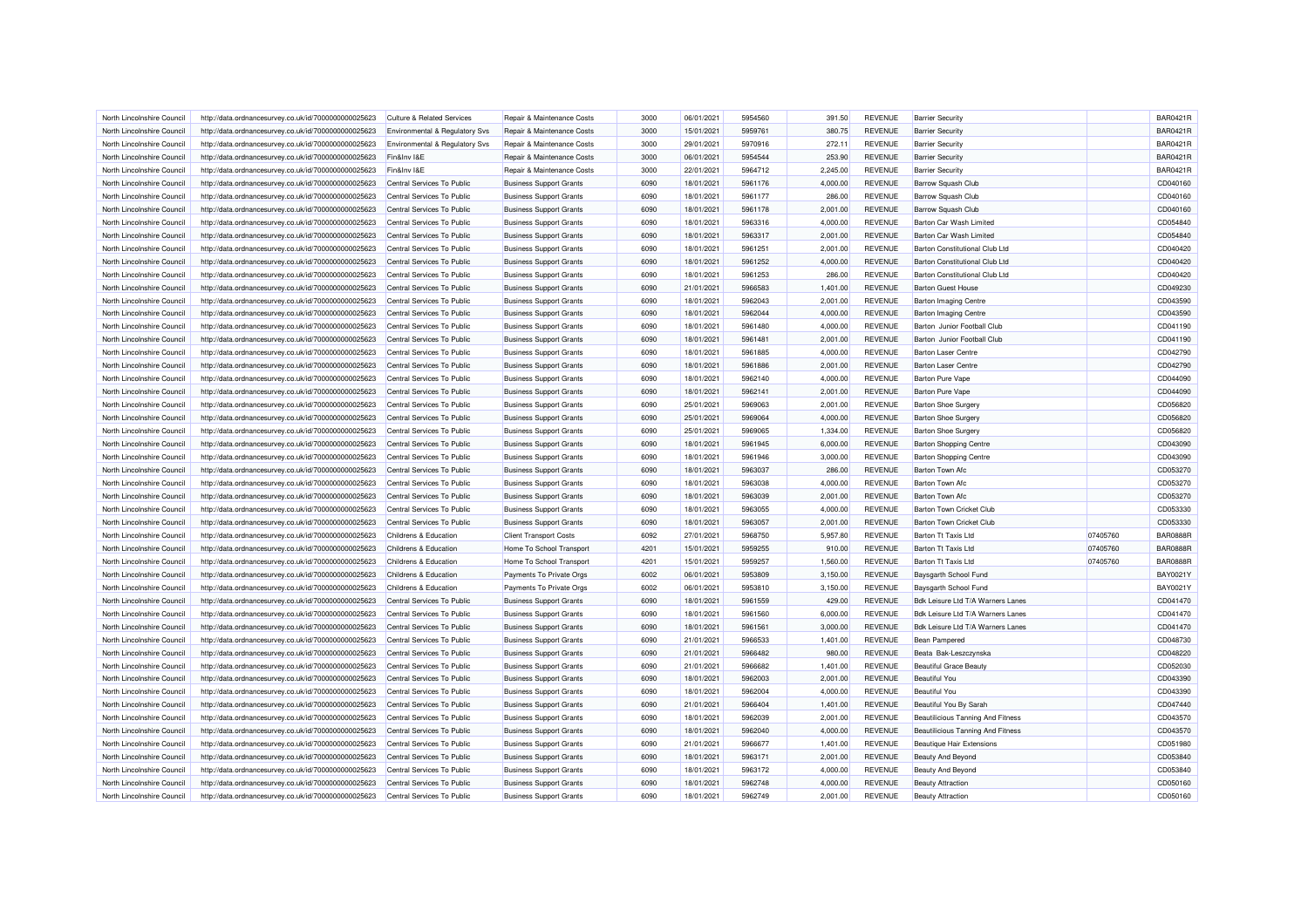| North Lincolnshire Council                               | http://data.ordnancesurvey.co.uk/id/7000000000025623 | Culture & Related Services                | Repair & Maintenance Costs     | 3000         | 06/01/2021 | 5954560 | 391.50   | <b>REVENUE</b> | <b>Barrier Security</b>                  |          | <b>BAR0421R</b> |
|----------------------------------------------------------|------------------------------------------------------|-------------------------------------------|--------------------------------|--------------|------------|---------|----------|----------------|------------------------------------------|----------|-----------------|
| North Lincolnshire Council                               | http://data.ordnancesurvey.co.uk/id/7000000000025623 | <b>Environmental &amp; Regulatory Svs</b> | Repair & Maintenance Costs     | 3000         | 15/01/2021 | 5959761 | 380.75   | <b>REVENUE</b> | <b>Barrier Security</b>                  |          | <b>BAR0421R</b> |
| North Lincolnshire Council                               | http://data.ordnancesurvey.co.uk/id/7000000000025623 | Environmental & Regulatory Svs            | Repair & Maintenance Costs     | 3000         | 29/01/2021 | 5970916 | 272.11   | <b>REVENUE</b> | <b>Barrier Security</b>                  |          | <b>BAR0421R</b> |
| North Lincolnshire Council                               | http://data.ordnancesurvey.co.uk/id/7000000000025623 | Fin&Inv I&E                               | Repair & Maintenance Costs     | 3000         | 06/01/2021 | 5954544 | 253.90   | <b>REVENUE</b> | <b>Barrier Security</b>                  |          | <b>BAR0421R</b> |
| North Lincolnshire Council                               | http://data.ordnancesurvey.co.uk/id/7000000000025623 | Fin&Inv I&E                               | Repair & Maintenance Costs     | 3000         | 22/01/2021 | 5964712 | 2,245.00 | <b>REVENUE</b> | <b>Barrier Security</b>                  |          | <b>BAR0421R</b> |
| North Lincolnshire Council                               | http://data.ordnancesurvey.co.uk/id/7000000000025623 | Central Services To Public                | <b>Business Support Grants</b> | 6090         | 18/01/2021 | 5961176 | 4,000.00 | <b>REVENUE</b> | Barrow Squash Club                       |          | CD040160        |
| North Lincolnshire Council                               | http://data.ordnancesurvey.co.uk/id/7000000000025623 | Central Services To Public                | <b>Business Support Grants</b> | 6090         | 18/01/2021 | 5961177 | 286.00   | <b>REVENUE</b> | <b>Barrow Squash Club</b>                |          | CD040160        |
| North Lincolnshire Council                               | http://data.ordnancesurvey.co.uk/id/7000000000025623 | Central Services To Public                | <b>Business Support Grants</b> | 6090         | 18/01/2021 | 5961178 | 2,001.00 | <b>REVENUE</b> | <b>Barrow Squash Club</b>                |          | CD040160        |
| North Lincolnshire Council                               | http://data.ordnancesurvey.co.uk/id/7000000000025623 | Central Services To Public                | <b>Business Support Grants</b> | 6090         | 18/01/2021 | 5963316 | 4,000.00 | <b>REVENUE</b> | Barton Car Wash Limited                  |          | CD054840        |
| North Lincolnshire Council                               | http://data.ordnancesurvey.co.uk/id/7000000000025623 | Central Services To Public                | <b>Business Support Grants</b> | 6090         | 18/01/2021 | 5963317 | 2,001.00 | <b>REVENUE</b> | Barton Car Wash Limited                  |          | CD054840        |
| North Lincolnshire Council                               | http://data.ordnancesurvey.co.uk/id/7000000000025623 | Central Services To Public                | <b>Business Support Grants</b> | 6090         | 18/01/2021 | 5961251 | 2,001.00 | <b>REVENUE</b> | Barton Constitutional Club I td          |          | CD040420        |
| North Lincolnshire Council                               | http://data.ordnancesurvey.co.uk/id/7000000000025623 | Central Services To Public                | <b>Business Support Grants</b> | 6090         | 18/01/2021 | 5961252 | 4,000.00 | <b>REVENUE</b> | <b>Barton Constitutional Club Ltd</b>    |          | CD040420        |
| North Lincolnshire Council                               | http://data.ordnancesurvey.co.uk/id/7000000000025623 | Central Services To Public                | <b>Business Support Grants</b> | 6090         | 18/01/2021 | 5961253 | 286.00   | <b>REVENUE</b> | <b>Barton Constitutional Club Ltd</b>    |          | CD040420        |
| North Lincolnshire Council                               | http://data.ordnancesurvey.co.uk/id/7000000000025623 | Central Services To Public                | <b>Business Support Grants</b> | 6090         | 21/01/2021 | 5966583 | 1,401.00 | <b>REVENUE</b> | <b>Barton Guest House</b>                |          | CD049230        |
| North Lincolnshire Council                               | http://data.ordnancesurvey.co.uk/id/7000000000025623 | Central Services To Public                | <b>Business Support Grants</b> | 6090         | 18/01/2021 | 5962043 | 2,001.00 | <b>REVENUE</b> | <b>Barton Imaging Centre</b>             |          | CD043590        |
| North Lincolnshire Council                               | http://data.ordnancesurvey.co.uk/id/7000000000025623 | Central Services To Public                | <b>Business Support Grants</b> | 6090         | 18/01/2021 | 5962044 | 4,000.00 | <b>REVENUE</b> | <b>Barton Imaging Centre</b>             |          | CD043590        |
| North Lincolnshire Council                               | http://data.ordnancesurvey.co.uk/id/7000000000025623 | Central Services To Public                | <b>Business Support Grants</b> | 6090         | 18/01/2021 | 5961480 | 4,000.00 | <b>REVENUE</b> | Barton Junior Football Club              |          | CD041190        |
| North Lincolnshire Council                               |                                                      |                                           | <b>Business Support Grants</b> | 6090         | 18/01/2021 | 5961481 | 2,001.00 | <b>REVENUE</b> | Barton Junior Football Club              |          | CD041190        |
|                                                          | http://data.ordnancesurvey.co.uk/id/7000000000025623 | Central Services To Public                |                                |              |            |         |          |                |                                          |          |                 |
| North Lincolnshire Council                               | http://data.ordnancesurvey.co.uk/id/7000000000025623 | Central Services To Public                | <b>Business Support Grants</b> | 6090         | 18/01/2021 | 5961885 | 4,000.00 | <b>REVENUE</b> | <b>Barton Laser Centre</b>               |          | CD042790        |
| North Lincolnshire Council                               | http://data.ordnancesurvey.co.uk/id/7000000000025623 | Central Services To Public                | <b>Business Support Grants</b> | 6090         | 18/01/2021 | 5961886 | 2,001.00 | <b>REVENUE</b> | <b>Barton Laser Centre</b>               |          | CD042790        |
| North Lincolnshire Council                               | http://data.ordnancesurvey.co.uk/id/7000000000025623 | Central Services To Public                | <b>Business Support Grants</b> | 6090         | 18/01/2021 | 5962140 | 4,000.00 | <b>REVENUE</b> | <b>Barton Pure Vape</b>                  |          | CD044090        |
| North Lincolnshire Council                               | http://data.ordnancesurvey.co.uk/id/7000000000025623 | Central Services To Public                | <b>Business Support Grants</b> | 6090         | 18/01/2021 | 5962141 | 2,001.00 | <b>REVENUE</b> | <b>Barton Pure Vape</b>                  |          | CD044090        |
| North Lincolnshire Council                               | http://data.ordnancesurvey.co.uk/id/7000000000025623 | Central Services To Public                | <b>Business Support Grants</b> | 6090         | 25/01/2021 | 5969063 | 2.001.00 | <b>REVENUE</b> | Barton Shoe Surgery                      |          | CD056820        |
| North Lincolnshire Council                               | http://data.ordnancesurvey.co.uk/id/7000000000025623 | Central Services To Public                | <b>Business Support Grants</b> | 6090         | 25/01/2021 | 5969064 | 4,000.00 | <b>REVENUE</b> | <b>Barton Shoe Surger</b>                |          | CD056820        |
| North Lincolnshire Council                               | http://data.ordnancesurvey.co.uk/id/7000000000025623 | Central Services To Public                | <b>Business Support Grants</b> | 6090         | 25/01/2021 | 5969065 | 1,334.00 | <b>REVENUE</b> | Barton Shoe Surgery                      |          | CD056820        |
| North Lincolnshire Council                               | http://data.ordnancesurvey.co.uk/id/7000000000025623 | Central Services To Public                | <b>Business Support Grants</b> | 6090         | 18/01/2021 | 5961945 | 6,000.00 | <b>REVENUE</b> | <b>Barton Shopping Centre</b>            |          | CD043090        |
| North Lincolnshire Council                               | http://data.ordnancesurvey.co.uk/id/7000000000025623 | Central Services To Public                | <b>Business Support Grants</b> | 6090         | 18/01/2021 | 5961946 | 3,000.00 | <b>REVENUE</b> | <b>Barton Shopping Centre</b>            |          | CD043090        |
| North Lincolnshire Council                               | http://data.ordnancesurvey.co.uk/id/7000000000025623 | Central Services To Public                | <b>Business Support Grants</b> | 6090         | 18/01/2021 | 5963037 | 286.00   | <b>REVENUE</b> | <b>Barton Town Afc</b>                   |          | CD053270        |
| North Lincolnshire Council                               | http://data.ordnancesurvey.co.uk/id/7000000000025623 | Central Services To Public                | <b>Business Support Grants</b> | 6090         | 18/01/2021 | 5963038 | 4,000.00 | <b>REVENUE</b> | <b>Barton Town Afc</b>                   |          | CD053270        |
| North Lincolnshire Council                               | http://data.ordnancesurvey.co.uk/id/7000000000025623 | Central Services To Public                | <b>Business Support Grants</b> | 6090         | 18/01/2021 | 5963039 | 2,001.00 | <b>REVENUE</b> | <b>Barton Town Afc</b>                   |          | CD053270        |
| North Lincolnshire Council                               | http://data.ordnancesurvey.co.uk/id/7000000000025623 | Central Services To Public                | <b>Business Support Grants</b> | 6090         | 18/01/2021 | 5963055 | 4,000.00 | <b>REVENUE</b> | Barton Town Cricket Club                 |          | CD053330        |
| North Lincolnshire Council                               | http://data.ordnancesurvey.co.uk/id/7000000000025623 | Central Services To Public                | <b>Business Support Grants</b> | 6090         | 18/01/2021 | 5963057 | 2,001.00 | <b>REVENUE</b> | Barton Town Cricket Club                 |          | CD053330        |
| North Lincolnshire Council                               | http://data.ordnancesurvey.co.uk/id/7000000000025623 | Childrens & Education                     | <b>Client Transport Costs</b>  | 6092         | 27/01/2021 | 5968750 | 5,957.80 | <b>REVENUE</b> | Barton Tt Taxis Ltd                      | 07405760 | <b>BAR0888R</b> |
| North Lincolnshire Council                               | http://data.ordnancesurvey.co.uk/id/7000000000025623 | Childrens & Education                     | Home To School Transport       | 4201         | 15/01/2021 | 5959255 | 910.00   | <b>REVENUE</b> | Barton Tt Taxis Ltd                      | 07405760 | <b>BAR0888R</b> |
| North Lincolnshire Council                               | http://data.ordnancesurvey.co.uk/id/7000000000025623 | Childrens & Education                     | Home To School Transport       | 4201         | 15/01/2021 | 5959257 | 1,560.00 | <b>REVENUE</b> | <b>Barton Tt Taxis Ltd</b>               | 07405760 | <b>BAR0888R</b> |
| North Lincolnshire Council                               | http://data.ordnancesurvey.co.uk/id/7000000000025623 | Childrens & Education                     | Payments To Private Orgs       | 6002         | 06/01/2021 | 5953809 | 3,150.00 | <b>REVENUE</b> | Baysgarth School Fund                    |          | BAY0021Y        |
| North Lincolnshire Council                               | http://data.ordnancesurvey.co.uk/id/7000000000025623 | Childrens & Education                     | Payments To Private Orgs       | 6002         | 06/01/2021 | 5953810 | 3,150.00 | <b>REVENUE</b> | Baysgarth School Fund                    |          | BAY0021Y        |
| North Lincolnshire Council                               | http://data.ordnancesurvey.co.uk/id/7000000000025623 | Central Services To Public                | <b>Business Support Grants</b> | 6090         | 18/01/2021 | 5961559 | 429.00   | <b>REVENUE</b> | Bdk Leisure Ltd T/A Warners Lanes        |          | CD041470        |
| North Lincolnshire Council                               | http://data.ordnancesurvey.co.uk/id/7000000000025623 | Central Services To Public                | <b>Business Support Grants</b> | 6090         | 18/01/2021 | 5961560 | 6,000.00 | <b>REVENUE</b> | Bdk Leisure Ltd T/A Warners Lanes        |          | CD041470        |
| North Lincolnshire Council                               | http://data.ordnancesurvey.co.uk/id/7000000000025623 | Central Services To Public                | <b>Business Support Grants</b> | 6090         | 18/01/2021 | 5961561 | 3,000.00 | <b>REVENUE</b> | Bdk Leisure Ltd T/A Warners Lanes        |          | CD041470        |
| North Lincolnshire Council                               | http://data.ordnancesurvey.co.uk/id/7000000000025623 | Central Services To Public                | <b>Business Support Grants</b> | 6090         | 21/01/2021 | 5966533 | 1,401.00 | <b>REVENUE</b> | Bean Pampered                            |          | CD048730        |
| North Lincolnshire Council                               | http://data.ordnancesurvey.co.uk/id/7000000000025623 | Central Services To Public                | <b>Business Support Grants</b> | 6090         | 21/01/2021 | 5966482 | 980.00   | <b>REVENUE</b> | Beata Bak-Leszczynska                    |          | CD048220        |
| North Lincolnshire Council                               | http://data.ordnancesurvey.co.uk/id/7000000000025623 | Central Services To Public                | <b>Business Support Grants</b> | 6090         | 21/01/2021 | 5966682 | 1,401.00 | <b>REVENUE</b> | <b>Beautiful Grace Beauty</b>            |          | CD052030        |
| North Lincolnshire Council                               | http://data.ordnancesurvey.co.uk/id/7000000000025623 | Central Services To Public                | <b>Business Support Grants</b> | 6090         | 18/01/2021 | 5962003 | 2,001.00 | <b>REVENUE</b> | <b>Beautiful You</b>                     |          | CD043390        |
| North Lincolnshire Council                               | http://data.ordnancesurvey.co.uk/id/7000000000025623 | Central Services To Public                | <b>Business Support Grants</b> | 6090         | 18/01/2021 | 5962004 | 4,000.00 | <b>REVENUE</b> | <b>Beautiful You</b>                     |          | CD043390        |
| North Lincolnshire Council                               | http://data.ordnancesurvey.co.uk/id/7000000000025623 | Central Services To Public                | <b>Business Support Grants</b> | 6090         | 21/01/2021 | 5966404 | 1,401.00 | <b>REVENUE</b> | Beautiful You By Sarah                   |          | CD047440        |
| North Lincolnshire Council                               | http://data.ordnancesurvey.co.uk/id/7000000000025623 | Central Services To Public                | <b>Business Support Grants</b> | 6090         | 18/01/2021 | 5962039 | 2,001.00 | <b>REVENUE</b> | Beautilicious Tanning And Fitness        |          | CD043570        |
| North Lincolnshire Council                               | http://data.ordnancesurvey.co.uk/id/7000000000025623 | Central Services To Public                | <b>Business Support Grants</b> | 6090         | 18/01/2021 | 5962040 | 4,000.00 | <b>REVENUE</b> | <b>Beautilicious Tanning And Fitness</b> |          | CD043570        |
|                                                          |                                                      |                                           |                                |              |            |         |          | <b>REVENUE</b> | <b>Beautique Hair Extensions</b>         |          | CD051980        |
| North Lincolnshire Council<br>North Lincolnshire Council | http://data.ordnancesurvey.co.uk/id/7000000000025623 | Central Services To Public                | <b>Business Support Grants</b> | 6090<br>6090 | 21/01/2021 | 5966677 | 1,401.00 |                |                                          |          |                 |
|                                                          | http://data.ordnancesurvey.co.uk/id/7000000000025623 | Central Services To Public                | <b>Business Support Grants</b> |              | 18/01/2021 | 5963171 | 2,001.00 | <b>REVENUE</b> | Beauty And Beyond                        |          | CD053840        |
| North Lincolnshire Council                               | http://data.ordnancesurvey.co.uk/id/7000000000025623 | Central Services To Public                | <b>Business Support Grants</b> | 6090         | 18/01/2021 | 5963172 | 4,000.00 | <b>REVENUE</b> | <b>Beauty And Beyond</b>                 |          | CD053840        |
| North Lincolnshire Council                               | http://data.ordnancesurvey.co.uk/id/7000000000025623 | Central Services To Public                | <b>Business Support Grants</b> | 6090         | 18/01/2021 | 5962748 | 4,000.00 | <b>REVENUE</b> | <b>Beauty Attraction</b>                 |          | CD050160        |
| North Lincolnshire Council                               | http://data.ordnancesurvey.co.uk/id/7000000000025623 | Central Services To Public                | <b>Business Support Grants</b> | 6090         | 18/01/2021 | 5962749 | 2,001.00 | <b>REVENUE</b> | <b>Beauty Attraction</b>                 |          | CD050160        |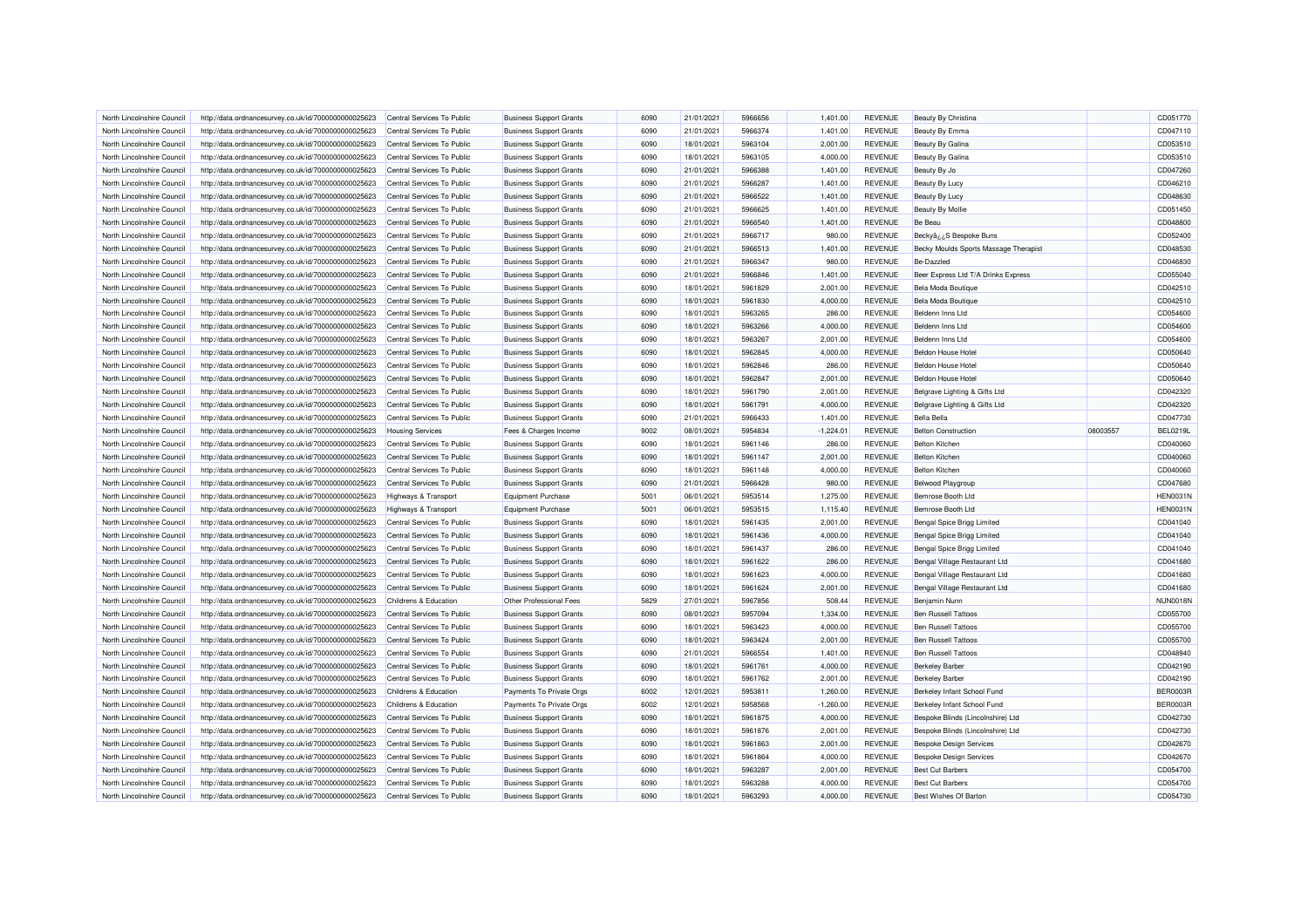| North Lincolnshire Council | http://data.ordnancesurvey.co.uk/id/7000000000025623 | Central Services To Public      | <b>Business Support Grants</b> | 6090 | 21/01/2021 | 5966656 | 1,401.00    | <b>REVENUE</b> | Beauty By Christina                   |          | CD051770        |
|----------------------------|------------------------------------------------------|---------------------------------|--------------------------------|------|------------|---------|-------------|----------------|---------------------------------------|----------|-----------------|
| North Lincolnshire Council | http://data.ordnancesurvey.co.uk/id/7000000000025623 | Central Services To Public      | <b>Business Support Grants</b> | 6090 | 21/01/2021 | 5966374 | 1,401.00    | <b>REVENUE</b> | Beauty By Emma                        |          | CD047110        |
| North Lincolnshire Council | http://data.ordnancesurvey.co.uk/id/7000000000025623 | Central Services To Public      | <b>Business Support Grants</b> | 6090 | 18/01/2021 | 5963104 | 2,001.00    | <b>REVENUE</b> | Beauty By Galina                      |          | CD053510        |
| North Lincolnshire Council | http://data.ordnancesurvey.co.uk/id/7000000000025623 | Central Services To Public      | <b>Business Support Grants</b> | 6090 | 18/01/2021 | 5963105 | 4,000.00    | <b>REVENUE</b> | Beauty By Galina                      |          | CD053510        |
| North Lincolnshire Council | http://data.ordnancesurvey.co.uk/id/7000000000025623 | Central Services To Public      | <b>Business Support Grants</b> | 6090 | 21/01/2021 | 5966388 | 1,401.00    | REVENUE        | Beauty By Jo                          |          | CD047260        |
| North Lincolnshire Council | http://data.ordnancesurvey.co.uk/id/7000000000025623 | Central Services To Public      | <b>Business Support Grants</b> | 6090 | 21/01/2021 | 5966287 | 1,401.00    | <b>REVENUE</b> | Beauty By Lucy                        |          | CD046210        |
| North Lincolnshire Council | http://data.ordnancesurvey.co.uk/id/7000000000025623 | Central Services To Public      | <b>Business Support Grants</b> | 6090 | 21/01/2021 | 5966522 | 1,401.00    | <b>REVENUE</b> | Beauty By Lucy                        |          | CD048630        |
| North Lincolnshire Council | http://data.ordnancesurvey.co.uk/id/7000000000025623 | Central Services To Public      | <b>Business Support Grants</b> | 6090 | 21/01/2021 | 5966625 | 1,401.00    | <b>REVENUE</b> | <b>Beauty By Mollie</b>               |          | CD051450        |
| North Lincolnshire Council | http://data.ordnancesurvey.co.uk/id/7000000000025623 | Central Services To Public      | <b>Business Support Grants</b> | 6090 | 21/01/2021 | 5966540 | 1,401.00    | <b>REVENUE</b> | Be Beau                               |          | CD048800        |
| North Lincolnshire Council | http://data.ordnancesurvey.co.uk/id/7000000000025623 | Central Services To Public      | <b>Business Support Grants</b> | 6090 | 21/01/2021 | 5966717 | 980.00      | <b>REVENUE</b> | BeckyâzzS Bespoke Buns                |          | CD052400        |
| North Lincolnshire Council | http://data.ordnancesurvey.co.uk/id/7000000000025623 | Central Services To Public      | <b>Business Support Grants</b> | 6090 | 21/01/2021 | 5966513 | 1,401.00    | <b>REVENUE</b> | Becky Moulds Sports Massage Therapist |          | CD048530        |
| North Lincolnshire Council | http://data.ordnancesurvey.co.uk/id/7000000000025623 | Central Services To Public      | <b>Business Support Grants</b> | 6090 | 21/01/2021 | 5966347 | 980.00      | <b>REVENUE</b> | Be-Dazzled                            |          | CD046830        |
| North Lincolnshire Council | http://data.ordnancesurvey.co.uk/id/7000000000025623 | Central Services To Public      | <b>Business Support Grants</b> | 6090 | 21/01/2021 | 5966846 | 1,401.00    | <b>REVENUE</b> | Beer Express Ltd T/A Drinks Express   |          | CD055040        |
| North Lincolnshire Council | http://data.ordnancesurvey.co.uk/id/7000000000025623 | Central Services To Public      | <b>Business Support Grants</b> | 6090 | 18/01/2021 | 5961829 | 2,001.00    | <b>REVENUE</b> | Bela Moda Boutique                    |          | CD042510        |
| North Lincolnshire Council | http://data.ordnancesurvey.co.uk/id/7000000000025623 | Central Services To Public      | <b>Business Support Grants</b> | 6090 | 18/01/2021 | 5961830 | 4,000.00    | <b>REVENUE</b> | Bela Moda Boutique                    |          | CD042510        |
|                            |                                                      |                                 |                                |      |            |         |             |                | Beldenn Inns I to                     |          |                 |
| North Lincolnshire Council | http://data.ordnancesurvey.co.uk/id/7000000000025623 | Central Services To Public      | <b>Business Support Grants</b> | 6090 | 18/01/2021 | 5963265 | 286.00      | <b>REVENUE</b> |                                       |          | CD054600        |
| North Lincolnshire Council | http://data.ordnancesurvey.co.uk/id/7000000000025623 | Central Services To Public      | <b>Business Support Grants</b> | 6090 | 18/01/2021 | 5963266 | 4,000.00    | <b>REVENUE</b> | Beldenn Inns Ltd                      |          | CD054600        |
| North Lincolnshire Council | http://data.ordnancesurvey.co.uk/id/7000000000025623 | Central Services To Public      | <b>Business Support Grants</b> | 6090 | 18/01/2021 | 5963267 | 2,001.00    | <b>REVENUE</b> | Beldenn Inns Ltd                      |          | CD054600        |
| North Lincolnshire Council | http://data.ordnancesurvey.co.uk/id/7000000000025623 | Central Services To Public      | <b>Business Support Grants</b> | 6090 | 18/01/2021 | 5962845 | 4,000.00    | <b>REVENUE</b> | <b>Beldon House Hotel</b>             |          | CD050640        |
| North Lincolnshire Council | http://data.ordnancesurvey.co.uk/id/7000000000025623 | Central Services To Public      | <b>Business Support Grants</b> | 6090 | 18/01/2021 | 5962846 | 286.00      | <b>REVENUE</b> | <b>Beldon House Hotel</b>             |          | CD050640        |
| North Lincolnshire Council | http://data.ordnancesurvey.co.uk/id/7000000000025623 | Central Services To Public      | <b>Business Support Grants</b> | 6090 | 18/01/2021 | 5962847 | 2,001.00    | <b>REVENUE</b> | <b>Beldon House Hotel</b>             |          | CD050640        |
| North Lincolnshire Council | http://data.ordnancesurvey.co.uk/id/7000000000025623 | Central Services To Public      | <b>Business Support Grants</b> | 6090 | 18/01/2021 | 5961790 | 2,001.00    | <b>REVENUE</b> | Belgrave Lighting & Gifts Ltd         |          | CD042320        |
| North Lincolnshire Council | http://data.ordnancesurvey.co.uk/id/7000000000025623 | Central Services To Public      | <b>Business Support Grants</b> | 6090 | 18/01/2021 | 5961791 | 4,000.00    | <b>REVENUE</b> | Belgrave Lighting & Gifts Ltd         |          | CD042320        |
| North Lincolnshire Council | http://data.ordnancesurvey.co.uk/id/7000000000025623 | Central Services To Public      | <b>Business Support Grants</b> | 6090 | 21/01/2021 | 5966433 | 1,401.00    | <b>REVENUE</b> | <b>Bella Bella</b>                    |          | CD047730        |
| North Lincolnshire Council | http://data.ordnancesurvey.co.uk/id/7000000000025623 | <b>Housing Services</b>         | Fees & Charges Income          | 9002 | 08/01/2021 | 5954834 | $-1,224.01$ | <b>REVENUE</b> | <b>Belton Construction</b>            | 08003557 | <b>BEL0219L</b> |
| North Lincolnshire Council | http://data.ordnancesurvey.co.uk/id/7000000000025623 | Central Services To Public      | <b>Business Support Grants</b> | 6090 | 18/01/2021 | 5961146 | 286.00      | <b>REVENUE</b> | <b>Belton Kitchen</b>                 |          | CD040060        |
| North Lincolnshire Council | http://data.ordnancesurvey.co.uk/id/7000000000025623 | Central Services To Public      | <b>Business Support Grants</b> | 6090 | 18/01/2021 | 5961147 | 2,001.00    | <b>REVENUE</b> | <b>Belton Kitchen</b>                 |          | CD040060        |
| North Lincolnshire Council | http://data.ordnancesurvey.co.uk/id/7000000000025623 | Central Services To Public      | <b>Business Support Grants</b> | 6090 | 18/01/2021 | 5961148 | 4.000.00    | <b>REVENUE</b> | <b>Belton Kitchen</b>                 |          | CD040060        |
| North Lincolnshire Council | http://data.ordnancesurvey.co.uk/id/7000000000025623 | Central Services To Public      | <b>Business Support Grants</b> | 6090 | 21/01/2021 | 5966428 | 980.00      | <b>REVENUE</b> | <b>Belwood Playgroup</b>              |          | CD047680        |
| North Lincolnshire Council | http://data.ordnancesurvey.co.uk/id/7000000000025623 | <b>Highways &amp; Transport</b> | Equipment Purchase             | 5001 | 06/01/2021 | 5953514 | 1,275.00    | REVENUE        | Bemrose Booth Ltd                     |          | <b>HEN0031N</b> |
| North Lincolnshire Council | http://data.ordnancesurvey.co.uk/id/7000000000025623 | <b>Highways &amp; Transport</b> | <b>Equipment Purchase</b>      | 5001 | 06/01/2021 | 5953515 | 1,115.40    | <b>REVENUE</b> | Bemrose Booth Ltd                     |          | <b>HEN0031N</b> |
| North Lincolnshire Council | http://data.ordnancesurvey.co.uk/id/7000000000025623 | Central Services To Public      | <b>Business Support Grants</b> | 6090 | 18/01/2021 | 5961435 | 2,001.00    | <b>REVENUE</b> | Bengal Spice Brigg Limited            |          | CD041040        |
| North Lincolnshire Council | http://data.ordnancesurvey.co.uk/id/7000000000025623 | Central Services To Public      | <b>Business Support Grants</b> | 6090 | 18/01/2021 | 5961436 | 4,000.00    | <b>REVENUE</b> | Bengal Spice Brigg Limited            |          | CD041040        |
| North Lincolnshire Council | http://data.ordnancesurvey.co.uk/id/7000000000025623 | Central Services To Public      | <b>Business Support Grants</b> | 6090 | 18/01/2021 | 5961437 | 286.00      | <b>REVENUE</b> | Bengal Spice Brigg Limited            |          | CD041040        |
| North Lincolnshire Council | http://data.ordnancesurvey.co.uk/id/7000000000025623 | Central Services To Public      | <b>Business Support Grants</b> | 6090 | 18/01/2021 | 5961622 | 286.00      | <b>REVENUE</b> | Bengal Village Restaurant Ltd         |          | CD041680        |
| North Lincolnshire Council | http://data.ordnancesurvey.co.uk/id/7000000000025623 | Central Services To Public      | <b>Business Support Grants</b> | 6090 | 18/01/2021 | 5961623 | 4,000.00    | <b>REVENUE</b> | Bengal Village Restaurant Ltd         |          | CD041680        |
| North Lincolnshire Council | http://data.ordnancesurvey.co.uk/id/7000000000025623 | Central Services To Public      | <b>Business Support Grants</b> | 6090 | 18/01/2021 | 5961624 | 2,001.00    | <b>REVENUE</b> | Bengal Village Restaurant Ltd         |          | CD041680        |
| North Lincolnshire Council | http://data.ordnancesurvey.co.uk/id/7000000000025623 | Childrens & Education           | Other Professional Fees        | 5829 | 27/01/2021 | 5967856 | 508.44      | REVENUE        | Benjamin Nunn                         |          | <b>NUN0018N</b> |
| North Lincolnshire Council | http://data.ordnancesurvey.co.uk/id/7000000000025623 | Central Services To Public      | <b>Business Support Grants</b> | 6090 | 08/01/2021 | 5957094 | 1,334.00    | <b>REVENUE</b> | <b>Ben Russell Tattoos</b>            |          | CD055700        |
| North Lincolnshire Council | http://data.ordnancesurvey.co.uk/id/7000000000025623 | Central Services To Public      | <b>Business Support Grants</b> | 6090 | 18/01/2021 | 5963423 | 4,000.00    | <b>REVENUE</b> | <b>Ben Russell Tattoos</b>            |          | CD055700        |
| North Lincolnshire Council | http://data.ordnancesurvey.co.uk/id/7000000000025623 | Central Services To Public      | <b>Business Support Grants</b> | 6090 | 18/01/2021 | 5963424 | 2,001.00    | <b>REVENUE</b> | <b>Ben Russell Tattoos</b>            |          | CD055700        |
| North Lincolnshire Council | http://data.ordnancesurvey.co.uk/id/7000000000025623 | Central Services To Public      | <b>Business Support Grants</b> | 6090 | 21/01/2021 | 5966554 | 1.401.00    | <b>REVENUE</b> | <b>Ben Russell Tattoos</b>            |          | CD048940        |
| North Lincolnshire Council | http://data.ordnancesurvey.co.uk/id/7000000000025623 | Central Services To Public      | <b>Business Support Grants</b> | 6090 | 18/01/2021 | 5961761 | 4,000.00    | <b>REVENUE</b> | <b>Berkeley Barber</b>                |          | CD042190        |
| North Lincolnshire Council |                                                      | Central Services To Public      |                                | 6090 | 18/01/2021 | 5961762 | 2,001.00    | <b>REVENUE</b> |                                       |          | CD042190        |
|                            | http://data.ordnancesurvey.co.uk/id/7000000000025623 |                                 | <b>Business Support Grants</b> | 6002 | 12/01/2021 | 5953811 | 1,260.00    | <b>REVENUE</b> | <b>Berkeley Barber</b>                |          | <b>BER0003R</b> |
| North Lincolnshire Council | http://data.ordnancesurvey.co.uk/id/7000000000025623 | Childrens & Education           | Payments To Private Orgs       |      |            |         |             |                | Berkeley Infant School Fund           |          |                 |
| North Lincolnshire Council | http://data.ordnancesurvey.co.uk/id/7000000000025623 | Childrens & Education           | Payments To Private Orgs       | 6002 | 12/01/2021 | 5958568 | $-1,260.00$ | <b>REVENUE</b> | Berkeley Infant School Fund           |          | <b>BER0003R</b> |
| North Lincolnshire Council | http://data.ordnancesurvey.co.uk/id/7000000000025623 | Central Services To Public      | <b>Business Support Grants</b> | 6090 | 18/01/2021 | 5961875 | 4,000.00    | <b>REVENUE</b> | Bespoke Blinds (Lincolnshire) Ltd     |          | CD042730        |
| North Lincolnshire Council | http://data.ordnancesurvey.co.uk/id/7000000000025623 | Central Services To Public      | <b>Business Support Grants</b> | 6090 | 18/01/2021 | 5961876 | 2,001.00    | <b>REVENUE</b> | Bespoke Blinds (Lincolnshire) Ltd     |          | CD042730        |
| North Lincolnshire Council | http://data.ordnancesurvey.co.uk/id/7000000000025623 | Central Services To Public      | <b>Business Support Grants</b> | 6090 | 18/01/2021 | 5961863 | 2,001.00    | <b>REVENUE</b> | <b>Bespoke Design Services</b>        |          | CD042670        |
| North Lincolnshire Council | http://data.ordnancesurvey.co.uk/id/7000000000025623 | Central Services To Public      | <b>Business Support Grants</b> | 6090 | 18/01/2021 | 5961864 | 4,000.00    | <b>REVENUE</b> | <b>Bespoke Design Services</b>        |          | CD042670        |
| North Lincolnshire Council | http://data.ordnancesurvey.co.uk/id/7000000000025623 | Central Services To Public      | <b>Business Support Grants</b> | 6090 | 18/01/2021 | 5963287 | 2,001.00    | <b>REVENUE</b> | <b>Best Cut Barbers</b>               |          | CD054700        |
| North Lincolnshire Council | http://data.ordnancesurvey.co.uk/id/7000000000025623 | Central Services To Public      | <b>Business Support Grants</b> | 6090 | 18/01/2021 | 5963288 | 4,000.00    | <b>REVENUE</b> | <b>Best Cut Barbers</b>               |          | CD054700        |
| North Lincolnshire Council | http://data.ordnancesurvey.co.uk/id/7000000000025623 | Central Services To Public      | <b>Business Support Grants</b> | 6090 | 18/01/2021 | 5963293 | 4,000.00    | <b>REVENUE</b> | Best Wishes Of Barton                 |          | CD054730        |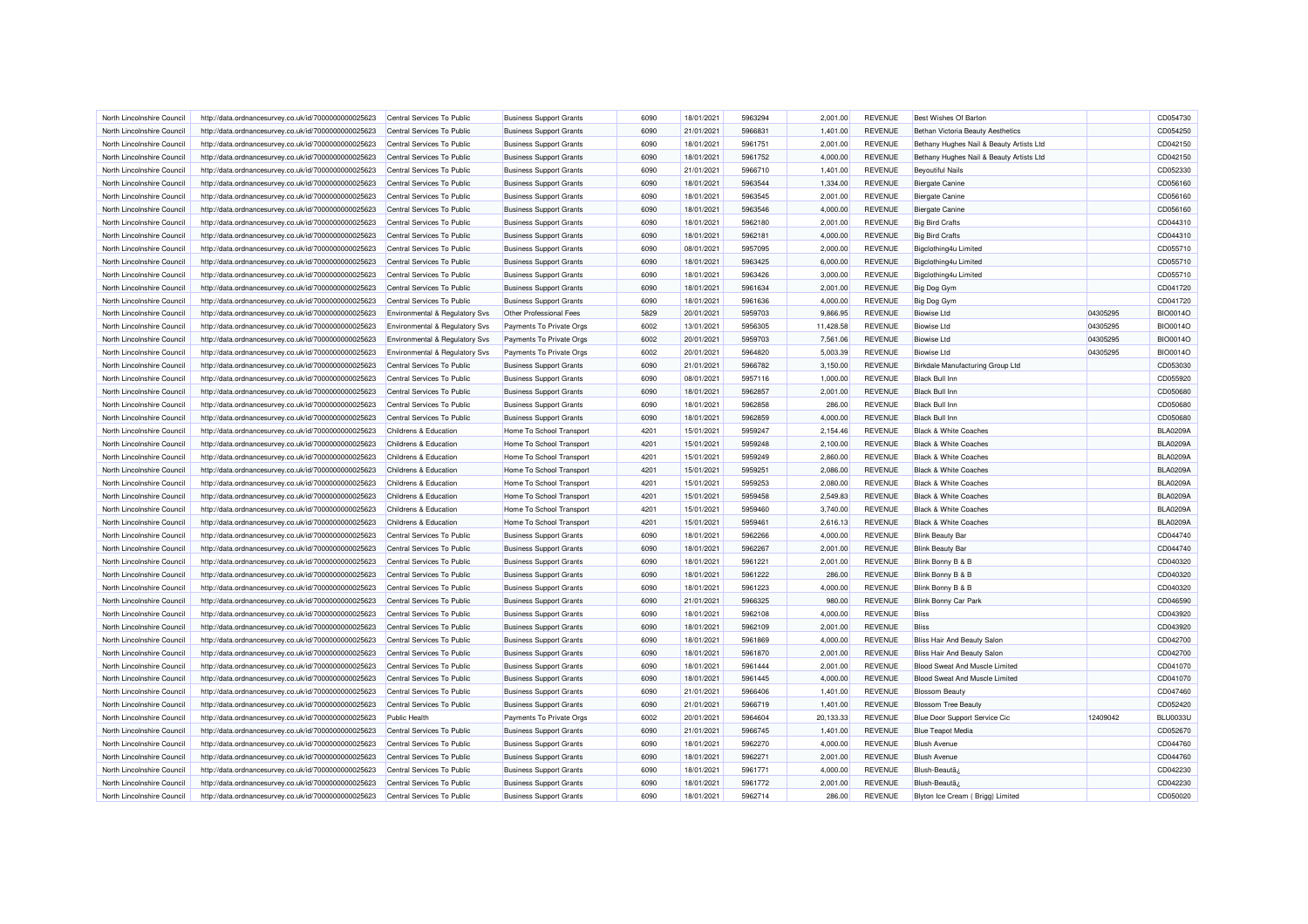| North Lincolnshire Council                               | http://data.ordnancesurvey.co.uk/id/7000000000025623                                                         | Central Services To Public                               | <b>Business Support Grants</b> | 6090 | 18/01/2021 | 5963294            | 2,001.00  | <b>REVENUE</b>                   | Best Wishes Of Barton                      |          | CD054730        |
|----------------------------------------------------------|--------------------------------------------------------------------------------------------------------------|----------------------------------------------------------|--------------------------------|------|------------|--------------------|-----------|----------------------------------|--------------------------------------------|----------|-----------------|
| North Lincolnshire Council                               | http://data.ordnancesurvey.co.uk/id/7000000000025623                                                         | Central Services To Public                               | <b>Business Support Grants</b> | 6090 | 21/01/2021 | 5966831            | 1,401.00  | <b>REVENUE</b>                   | Bethan Victoria Beauty Aesthetics          |          | CD054250        |
| North Lincolnshire Council                               | http://data.ordnancesurvey.co.uk/id/7000000000025623                                                         | Central Services To Public                               | <b>Business Support Grants</b> | 6090 | 18/01/2021 | 5961751            | 2,001.00  | <b>REVENUE</b>                   | Bethany Hughes Nail & Beauty Artists Ltd   |          | CD042150        |
| North Lincolnshire Council                               | http://data.ordnancesurvey.co.uk/id/7000000000025623                                                         | Central Services To Public                               | <b>Business Support Grants</b> | 6090 | 18/01/2021 | 5961752            | 4,000.00  | <b>REVENUE</b>                   | Bethany Hughes Nail & Beauty Artists Ltd   |          | CD042150        |
| North Lincolnshire Council                               | http://data.ordnancesurvey.co.uk/id/7000000000025623                                                         | Central Services To Public                               | <b>Business Support Grants</b> | 6090 | 21/01/2021 | 5966710            | 1,401.00  | REVENUE                          | <b>Beyoutiful Nails</b>                    |          | CD052330        |
| North Lincolnshire Council                               | http://data.ordnancesurvey.co.uk/id/7000000000025623                                                         | Central Services To Public                               | <b>Business Support Grants</b> | 6090 | 18/01/2021 | 5963544            | 1,334.00  | <b>REVENUE</b>                   | <b>Biergate Canine</b>                     |          | CD056160        |
| North Lincolnshire Council                               | http://data.ordnancesurvey.co.uk/id/7000000000025623                                                         | Central Services To Public                               | <b>Business Support Grants</b> | 6090 | 18/01/2021 | 5963545            | 2,001.00  | <b>REVENUE</b>                   | <b>Biergate Canine</b>                     |          | CD056160        |
| North Lincolnshire Council                               | http://data.ordnancesurvey.co.uk/id/7000000000025623                                                         | Central Services To Public                               | <b>Business Support Grants</b> | 6090 | 18/01/2021 | 5963546            | 4,000.00  | <b>REVENUE</b>                   | <b>Biergate Canine</b>                     |          | CD056160        |
| North Lincolnshire Council                               | http://data.ordnancesurvey.co.uk/id/7000000000025623                                                         | Central Services To Public                               | <b>Business Support Grants</b> | 6090 | 18/01/2021 | 5962180            | 2,001.00  | <b>REVENUE</b>                   | <b>Big Bird Crafts</b>                     |          | CD044310        |
| North Lincolnshire Council                               | http://data.ordnancesurvey.co.uk/id/7000000000025623                                                         | Central Services To Public                               | <b>Business Support Grants</b> | 6090 | 18/01/2021 | 5962181            | 4,000.00  | <b>REVENUE</b>                   | <b>Big Bird Crafts</b>                     |          | CD044310        |
| North Lincolnshire Council                               | http://data.ordnancesurvey.co.uk/id/7000000000025623                                                         | Central Services To Public                               | <b>Business Support Grants</b> | 6090 | 08/01/2021 | 5957095            | 2,000.00  | <b>REVENUE</b>                   | Bigclothing4u Limited                      |          | CD055710        |
| North Lincolnshire Council                               | http://data.ordnancesurvey.co.uk/id/7000000000025623                                                         | Central Services To Public                               | <b>Business Support Grants</b> | 6090 | 18/01/2021 | 5963425            | 6,000.00  | <b>REVENUE</b>                   | Bigclothing4u Limited                      |          | CD055710        |
| North Lincolnshire Council                               | http://data.ordnancesurvey.co.uk/id/7000000000025623                                                         | Central Services To Public                               | <b>Business Support Grants</b> | 6090 | 18/01/2021 | 5963426            | 3,000.00  | <b>REVENUE</b>                   | Bigclothing4u Limited                      |          | CD055710        |
| North Lincolnshire Council                               | http://data.ordnancesurvey.co.uk/id/7000000000025623                                                         | Central Services To Public                               | <b>Business Support Grants</b> | 6090 | 18/01/2021 | 5961634            | 2,001.00  | <b>REVENUE</b>                   | Big Dog Gym                                |          | CD041720        |
| North Lincolnshire Council                               | http://data.ordnancesurvey.co.uk/id/7000000000025623                                                         | Central Services To Public                               | <b>Business Support Grants</b> | 6090 | 18/01/2021 | 5961636            | 4,000.00  | <b>REVENUE</b>                   | Big Dog Gym                                |          | CD041720        |
| North Lincolnshire Council                               | http://data.ordnancesurvey.co.uk/id/7000000000025623                                                         | Environmental & Regulatory Svs                           | Other Professional Fees        | 5829 | 20/01/2021 | 5959703            | 9,866.95  | <b>REVENUE</b>                   | <b>Biowise Ltd</b>                         | 04305295 | <b>BIO0014O</b> |
| North Lincolnshire Council                               | http://data.ordnancesurvey.co.uk/id/7000000000025623                                                         | Environmental & Regulatory Svs                           | Payments To Private Orgs       | 6002 | 13/01/2021 | 5956305            | 11,428.58 | <b>REVENUE</b>                   | <b>Biowise Ltd</b>                         | 04305295 | <b>BIO0014O</b> |
| North Lincolnshire Council                               | http://data.ordnancesurvey.co.uk/id/7000000000025623                                                         | Environmental & Regulatory Svs                           | Payments To Private Orgs       | 6002 | 20/01/2021 | 5959703            | 7,561.06  | <b>REVENUE</b>                   | <b>Biowise Ltd</b>                         | 04305295 | <b>BIO0014O</b> |
| North Lincolnshire Council                               | http://data.ordnancesurvey.co.uk/id/7000000000025623                                                         | Environmental & Regulatory Svs                           | Payments To Private Orgs       | 6002 | 20/01/2021 | 5964820            | 5,003.39  | <b>REVENUE</b>                   | <b>Biowise Ltd</b>                         | 04305295 | BIO0014O        |
| North Lincolnshire Council                               | http://data.ordnancesurvey.co.uk/id/7000000000025623                                                         | Central Services To Public                               | <b>Business Support Grants</b> | 6090 | 21/01/2021 | 5966782            | 3,150.00  | <b>REVENUE</b>                   | Birkdale Manufacturing Group Ltd           |          | CD053030        |
| North Lincolnshire Council                               | http://data.ordnancesurvey.co.uk/id/7000000000025623                                                         | Central Services To Public                               | <b>Business Support Grants</b> | 6090 | 08/01/2021 | 5957116            | 1,000.00  | <b>REVENUE</b>                   | <b>Black Bull Inn</b>                      |          | CD055920        |
| North Lincolnshire Council                               |                                                                                                              | Central Services To Public                               |                                | 6090 |            | 5962857            |           | REVENUE                          | <b>Black Bull Inn</b>                      |          | CD050680        |
|                                                          | http://data.ordnancesurvey.co.uk/id/7000000000025623                                                         |                                                          | <b>Business Support Grants</b> |      | 18/01/2021 |                    | 2,001.00  |                                  |                                            |          |                 |
| North Lincolnshire Council                               | http://data.ordnancesurvey.co.uk/id/7000000000025623                                                         | Central Services To Public                               | <b>Business Support Grants</b> | 6090 | 18/01/2021 | 5962858            | 286.00    | <b>REVENUE</b>                   | <b>Black Bull Inn</b>                      |          | CD050680        |
| North Lincolnshire Council                               | http://data.ordnancesurvey.co.uk/id/7000000000025623                                                         | Central Services To Public                               | <b>Business Support Grants</b> | 6090 | 18/01/2021 | 5962859            | 4,000.00  | <b>REVENUE</b>                   | <b>Black Bull Inn</b>                      |          | CD050680        |
| North Lincolnshire Council                               | http://data.ordnancesurvey.co.uk/id/7000000000025623                                                         | Childrens & Education                                    | Home To School Transport       | 4201 | 15/01/2021 | 5959247            | 2,154.46  | <b>REVENUE</b>                   | <b>Black &amp; White Coaches</b>           |          | <b>BLA0209A</b> |
| North Lincolnshire Council                               | http://data.ordnancesurvey.co.uk/id/7000000000025623                                                         | Childrens & Education                                    | Home To School Transport       | 4201 | 15/01/2021 | 5959248            | 2,100.00  | <b>REVENUE</b>                   | <b>Black &amp; White Coaches</b>           |          | <b>BLA0209A</b> |
| North Lincolnshire Council                               | http://data.ordnancesurvey.co.uk/id/7000000000025623                                                         | Childrens & Education                                    | Home To School Transport       | 4201 | 15/01/2021 | 5959249            | 2,860.00  | <b>REVENUE</b>                   | <b>Black &amp; White Coaches</b>           |          | <b>BLA0209A</b> |
| North Lincolnshire Council                               | http://data.ordnancesurvey.co.uk/id/7000000000025623                                                         | Childrens & Education                                    | Home To School Transport       | 4201 | 15/01/2021 | 5959251            | 2.086.00  | <b>REVENUE</b>                   | <b>Black &amp; White Coaches</b>           |          | <b>BLA0209A</b> |
| North Lincolnshire Council                               | http://data.ordnancesurvey.co.uk/id/7000000000025623                                                         | Childrens & Education                                    | Home To School Transport       | 4201 | 15/01/2021 | 5959253            | 2,080.00  | <b>REVENUE</b>                   | <b>Black &amp; White Coaches</b>           |          | <b>BLA0209A</b> |
| North Lincolnshire Council                               | http://data.ordnancesurvey.co.uk/id/7000000000025623                                                         | Childrens & Education                                    | Home To School Transport       | 4201 | 15/01/2021 | 5959458            | 2,549.83  | <b>REVENUE</b>                   | <b>Black &amp; White Coaches</b>           |          | <b>BLA0209A</b> |
| North Lincolnshire Council                               | http://data.ordnancesurvey.co.uk/id/7000000000025623                                                         | Childrens & Education                                    | Home To School Transport       | 4201 | 15/01/2021 | 5959460            | 3,740.00  | <b>REVENUE</b>                   | <b>Black &amp; White Coaches</b>           |          | <b>BLA0209A</b> |
| North Lincolnshire Council                               | http://data.ordnancesurvey.co.uk/id/7000000000025623                                                         | Childrens & Education                                    | Home To School Transport       | 4201 | 15/01/2021 | 5959461            | 2,616.13  | <b>REVENUE</b>                   | <b>Black &amp; White Coaches</b>           |          | <b>BLA0209A</b> |
| North Lincolnshire Council                               | http://data.ordnancesurvey.co.uk/id/7000000000025623                                                         | Central Services To Public                               | <b>Business Support Grants</b> | 6090 | 18/01/2021 | 5962266            | 4,000.00  | <b>REVENUE</b>                   | <b>Blink Beauty Bar</b>                    |          | CD044740        |
| North Lincolnshire Council                               | http://data.ordnancesurvey.co.uk/id/7000000000025623                                                         | Central Services To Public                               | <b>Business Support Grants</b> | 6090 | 18/01/2021 | 5962267            | 2.001.00  | <b>REVENUE</b>                   | <b>Blink Beauty Bar</b>                    |          | CD044740        |
| North Lincolnshire Council                               | http://data.ordnancesurvey.co.uk/id/7000000000025623                                                         | Central Services To Public                               | <b>Business Support Grants</b> | 6090 | 18/01/2021 | 5961221            | 2,001.00  | <b>REVENUE</b>                   | Blink Bonny B & B                          |          | CD040320        |
| North Lincolnshire Council                               | http://data.ordnancesurvey.co.uk/id/7000000000025623                                                         | Central Services To Public                               | <b>Business Support Grants</b> | 6090 | 18/01/2021 | 5961222            | 286.00    | <b>REVENUE</b>                   | Blink Bonny B & B                          |          | CD040320        |
| North Lincolnshire Council                               | http://data.ordnancesurvey.co.uk/id/7000000000025623                                                         | Central Services To Public                               | <b>Business Support Grants</b> | 6090 | 18/01/2021 | 5961223            | 4,000.00  | <b>REVENUE</b>                   | Blink Bonny B & B                          |          | CD040320        |
| North Lincolnshire Council                               | http://data.ordnancesurvey.co.uk/id/7000000000025623                                                         | Central Services To Public                               | <b>Business Support Grants</b> | 6090 | 21/01/2021 | 5966325            | 980.00    | <b>REVENUE</b>                   | <b>Blink Bonny Car Park</b>                |          | CD046590        |
| North Lincolnshire Council                               | http://data.ordnancesurvey.co.uk/id/7000000000025623                                                         | Central Services To Public                               | <b>Business Support Grants</b> | 6090 | 18/01/2021 | 5962108            | 4,000.00  | <b>REVENUE</b>                   | <b>Bliss</b>                               |          | CD043920        |
| North Lincolnshire Council                               | http://data.ordnancesurvey.co.uk/id/7000000000025623                                                         | Central Services To Public                               | <b>Business Support Grants</b> | 6090 | 18/01/2021 | 5962109            | 2,001.00  | <b>REVENUE</b>                   | <b>Bliss</b>                               |          | CD043920        |
| North Lincolnshire Council                               | http://data.ordnancesurvey.co.uk/id/7000000000025623                                                         | Central Services To Public                               | <b>Business Support Grants</b> | 6090 | 18/01/2021 | 5961869            | 4,000.00  | <b>REVENUE</b>                   | <b>Bliss Hair And Beauty Salon</b>         |          | CD042700        |
| North Lincolnshire Council                               | http://data.ordnancesurvey.co.uk/id/7000000000025623                                                         | Central Services To Public                               | <b>Business Support Grants</b> | 6090 | 18/01/2021 | 5961870            | 2.001.00  | <b>REVENUE</b>                   | <b>Bliss Hair And Beauty Salon</b>         |          | CD042700        |
| North Lincolnshire Council                               | http://data.ordnancesurvey.co.uk/id/7000000000025623                                                         | Central Services To Public                               | <b>Business Support Grants</b> | 6090 | 18/01/2021 | 5961444            | 2,001.00  | <b>REVENUE</b>                   | Blood Sweat And Muscle Limited             |          | CD041070        |
| North Lincolnshire Council                               | http://data.ordnancesurvey.co.uk/id/7000000000025623                                                         | Central Services To Public                               | <b>Business Support Grants</b> | 6090 | 18/01/2021 | 5961445            | 4,000.00  | <b>REVENUE</b>                   | <b>Blood Sweat And Muscle Limited</b>      |          | CD041070        |
| North Lincolnshire Council                               | http://data.ordnancesurvey.co.uk/id/7000000000025623                                                         | Central Services To Public                               | <b>Business Support Grants</b> | 6090 | 21/01/2021 | 5966406            | 1,401.00  | <b>REVENUE</b>                   | <b>Blossom Beauty</b>                      |          | CD047460        |
| North Lincolnshire Council                               | http://data.ordnancesurvey.co.uk/id/7000000000025623                                                         | Central Services To Public                               | <b>Business Support Grants</b> | 6090 | 21/01/2021 | 5966719            | 1,401.00  | <b>REVENUE</b>                   | <b>Blossom Tree Beauty</b>                 |          | CD052420        |
| North Lincolnshire Council                               |                                                                                                              | <b>Public Health</b>                                     | Payments To Private Orgs       | 6002 | 20/01/2021 | 5964604            | 20,133.33 | <b>REVENUE</b>                   | Blue Door Support Service Cic              | 12409042 | <b>BLU0033L</b> |
| North Lincolnshire Council                               | http://data.ordnancesurvey.co.uk/id/7000000000025623<br>http://data.ordnancesurvey.co.uk/id/7000000000025623 | Central Services To Public                               | <b>Business Support Grants</b> | 6090 | 21/01/2021 | 5966745            | 1,401.00  | <b>REVENUE</b>                   | <b>Blue Teapot Media</b>                   |          | CD052670        |
|                                                          |                                                                                                              |                                                          |                                | 6090 |            |                    |           |                                  |                                            |          |                 |
| North Lincolnshire Council<br>North Lincolnshire Council | http://data.ordnancesurvey.co.uk/id/7000000000025623                                                         | Central Services To Public<br>Central Services To Public | <b>Business Support Grants</b> | 6090 | 18/01/2021 | 5962270<br>5962271 | 4,000.00  | <b>REVENUE</b><br><b>REVENUE</b> | <b>Blush Avenue</b><br><b>Blush Avenue</b> |          | CD044760        |
|                                                          | http://data.ordnancesurvey.co.uk/id/7000000000025623                                                         |                                                          | <b>Business Support Grants</b> |      | 18/01/2021 |                    | 2,001.00  |                                  |                                            |          | CD044760        |
| North Lincolnshire Council                               | http://data.ordnancesurvey.co.uk/id/7000000000025623                                                         | Central Services To Public                               | <b>Business Support Grants</b> | 6090 | 18/01/2021 | 5961771            | 4,000.00  | REVENUE                          | Blush-Beautã                               |          | CD042230        |
| North Lincolnshire Council                               | http://data.ordnancesurvey.co.uk/id/7000000000025623                                                         | Central Services To Public                               | <b>Business Support Grants</b> | 6090 | 18/01/2021 | 5961772            | 2,001.00  | <b>REVENUE</b>                   | Blush-Beautaz                              |          | CD042230        |
| North Lincolnshire Council                               | http://data.ordnancesurvey.co.uk/id/7000000000025623                                                         | Central Services To Public                               | <b>Business Support Grants</b> | 6090 | 18/01/2021 | 5962714            | 286.00    | <b>REVENUE</b>                   | Blyton Ice Cream ( Brigg) Limited          |          | CD050020        |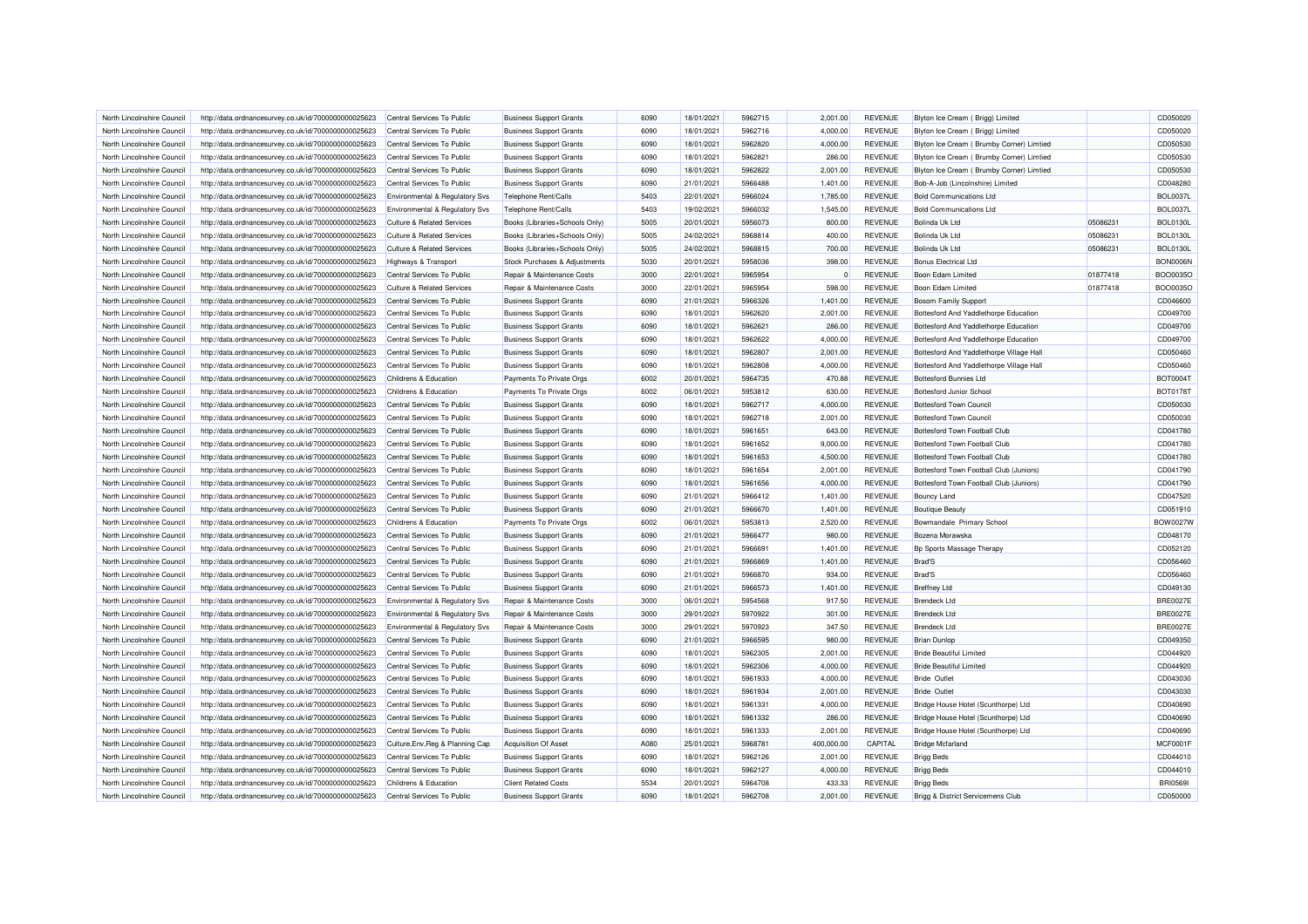| North Lincolnshire Council                               | http://data.ordnancesurvey.co.uk/id/7000000000025623 | Central Services To Public                                     | <b>Business Support Grants</b> | 6090 | 18/01/2021 | 5962715            | 2,001.00   | <b>REVENUE</b> | Blyton Ice Cream (Brigg) Limited          |          | CD050020        |
|----------------------------------------------------------|------------------------------------------------------|----------------------------------------------------------------|--------------------------------|------|------------|--------------------|------------|----------------|-------------------------------------------|----------|-----------------|
|                                                          |                                                      |                                                                |                                |      |            |                    |            |                |                                           |          | CD050020        |
| North Lincolnshire Council                               | http://data.ordnancesurvey.co.uk/id/7000000000025623 | Central Services To Public                                     | <b>Business Support Grants</b> | 6090 | 18/01/2021 | 5962716            | 4,000.00   | <b>REVENUE</b> | Blyton Ice Cream ( Brigg) Limited         |          |                 |
| North Lincolnshire Council                               | http://data.ordnancesurvey.co.uk/id/7000000000025623 | Central Services To Public                                     | <b>Business Support Grants</b> | 6090 | 18/01/2021 | 5962820            | 4,000.00   | <b>REVENUE</b> | Blyton Ice Cream ( Brumby Corner) Limtied |          | CD050530        |
| North Lincolnshire Council                               | http://data.ordnancesurvey.co.uk/id/7000000000025623 | Central Services To Public                                     | <b>Business Support Grants</b> | 6090 | 18/01/2021 | 5962821            | 286.00     | <b>REVENUE</b> | Blyton Ice Cream ( Brumby Corner) Limtied |          | CD050530        |
| North Lincolnshire Council                               | http://data.ordnancesurvey.co.uk/id/7000000000025623 | Central Services To Public                                     | <b>Business Support Grants</b> | 6090 | 18/01/2021 | 5962822            | 2,001.00   | <b>REVENUE</b> | Blyton Ice Cream ( Brumby Corner) Limtied |          | CD050530        |
| North Lincolnshire Council                               | http://data.ordnancesurvey.co.uk/id/7000000000025623 | Central Services To Public                                     | <b>Business Support Grants</b> | 6090 | 21/01/2021 | 5966488            | 1,401.00   | <b>REVENUE</b> | Bob-A-Job (Lincolnshire) Limited          |          | CD048280        |
| North Lincolnshire Council                               | http://data.ordnancesurvey.co.uk/id/7000000000025623 | <b>Environmental &amp; Regulatory Svs</b>                      | Telephone Rent/Calls           | 5403 | 22/01/2021 | 5966024            | 1,785.00   | <b>REVENUE</b> | <b>Bold Communications Ltd</b>            |          | <b>BOL0037I</b> |
| North Lincolnshire Council                               | http://data.ordnancesurvey.co.uk/id/7000000000025623 | Environmental & Regulatory Svs                                 | Telephone Rent/Calls           | 5403 | 19/02/2021 | 5966032            | 1,545.00   | <b>REVENUE</b> | <b>Bold Communications Ltd</b>            |          | <b>BOL0037I</b> |
| North Lincolnshire Council                               | http://data.ordnancesurvey.co.uk/id/7000000000025623 | <b>Culture &amp; Related Services</b>                          | Books (Libraries+Schools Only) | 5005 | 20/01/2021 | 5956073            | 800.00     | <b>REVENUE</b> | Bolinda Uk Ltd                            | 05086231 | <b>BOL01301</b> |
| North Lincolnshire Council                               | http://data.ordnancesurvey.co.uk/id/7000000000025623 | <b>Culture &amp; Related Services</b>                          | Books (Libraries+Schools Only) | 5005 | 24/02/2021 | 5968814            | 400.00     | <b>REVENUE</b> | <b>Bolinda Uk Ltd</b>                     | 05086231 | <b>BOL01301</b> |
| North Lincolnshire Council                               | http://data.ordnancesurvey.co.uk/id/7000000000025623 | <b>Culture &amp; Related Services</b>                          | Books (Libraries+Schools Only) | 5005 | 24/02/2021 | 5968815            | 700.00     | <b>REVENUE</b> | Bolinda Uk Ltd                            | 05086231 | <b>BOL0130L</b> |
| North Lincolnshire Council                               | http://data.ordnancesurvey.co.uk/id/7000000000025623 | Highways & Transport                                           | Stock Purchases & Adjustments  | 5030 | 20/01/2021 | 5958036            | 398.00     | <b>REVENUE</b> | <b>Bonus Electrical Ltd</b>               |          | BON0006N        |
| North Lincolnshire Council                               | http://data.ordnancesurvey.co.uk/id/7000000000025623 | Central Services To Public                                     | Repair & Maintenance Costs     | 3000 | 22/01/2021 | 5965954            | $\Omega$   | <b>REVENUE</b> | Boon Edam Limited                         | 01877418 | BOO0035C        |
| North Lincolnshire Council                               | http://data.ordnancesurvey.co.uk/id/7000000000025623 | <b>Culture &amp; Related Services</b>                          | Repair & Maintenance Costs     | 3000 | 22/01/2021 | 5965954            | 598.00     | <b>REVENUE</b> | Boon Edam Limited                         | 01877418 | BOO0035C        |
| North Lincolnshire Council                               | http://data.ordnancesurvey.co.uk/id/7000000000025623 | Central Services To Public                                     | <b>Business Support Grants</b> | 6090 | 21/01/2021 | 5966326            | 1,401.00   | <b>REVENUE</b> | <b>Bosom Family Support</b>               |          | CD046600        |
| North Lincolnshire Council                               | http://data.ordnancesurvey.co.uk/id/7000000000025623 | Central Services To Public                                     | <b>Business Support Grants</b> | 6090 | 18/01/2021 | 5962620            | 2,001.00   | <b>REVENUE</b> | Bottesford And Yaddlethorpe Education     |          | CD049700        |
| North Lincolnshire Council                               | http://data.ordnancesurvey.co.uk/id/7000000000025623 | Central Services To Public                                     | <b>Business Support Grants</b> | 6090 | 18/01/2021 | 5962621            | 286.00     | <b>REVENUE</b> | Bottesford And Yaddlethorpe Education     |          | CD049700        |
| North Lincolnshire Council                               | http://data.ordnancesurvey.co.uk/id/7000000000025623 | Central Services To Public                                     | <b>Business Support Grants</b> | 6090 | 18/01/2021 | 5962622            | 4,000.00   | <b>REVENUE</b> | Bottesford And Yaddlethorpe Education     |          | CD049700        |
| North Lincolnshire Council                               | http://data.ordnancesurvey.co.uk/id/7000000000025623 | Central Services To Public                                     | <b>Business Support Grants</b> | 6090 | 18/01/2021 | 5962807            | 2,001.00   | <b>REVENUE</b> | Bottesford And Yaddlethorpe Village Hall  |          | CD050460        |
| North Lincolnshire Council                               | http://data.ordnancesurvey.co.uk/id/7000000000025623 | Central Services To Public                                     | <b>Business Support Grants</b> | 6090 | 18/01/2021 | 5962808            | 4,000.00   | <b>REVENUE</b> | Bottesford And Yaddlethorpe Village Hall  |          | CD050460        |
| North Lincolnshire Council                               | http://data.ordnancesurvey.co.uk/id/7000000000025623 | Childrens & Education                                          | Payments To Private Orgs       | 6002 | 20/01/2021 | 5964735            | 470.88     | <b>REVENUE</b> | <b>Bottesford Bunnies Ltd</b>             |          | BOT0004T        |
| North Lincolnshire Council                               | http://data.ordnancesurvey.co.uk/id/7000000000025623 | Childrens & Education                                          | Payments To Private Orgs       | 6002 | 06/01/2021 | 5953812            | 630.00     | <b>REVENUE</b> | Bottesford Junior School                  |          | BOT0178T        |
| North Lincolnshire Council                               | http://data.ordnancesurvey.co.uk/id/7000000000025623 | Central Services To Public                                     | <b>Business Support Grants</b> | 6090 | 18/01/2021 | 5962717            | 4,000.00   | <b>REVENUE</b> | <b>Bottesford Town Council</b>            |          | CD050030        |
|                                                          |                                                      |                                                                |                                |      |            | 5962718            |            |                |                                           |          |                 |
| North Lincolnshire Council                               | http://data.ordnancesurvey.co.uk/id/7000000000025623 | Central Services To Public                                     | <b>Business Support Grants</b> | 6090 | 18/01/2021 |                    | 2,001.00   | <b>REVENUE</b> | <b>Bottesford Town Counci</b>             |          | CD050030        |
| North Lincolnshire Council                               | http://data.ordnancesurvey.co.uk/id/7000000000025623 | Central Services To Public                                     | <b>Business Support Grants</b> | 6090 | 18/01/2021 | 5961651            | 643.00     | <b>REVENUE</b> | Bottesford Town Football Club             |          | CD041780        |
| North Lincolnshire Council                               | http://data.ordnancesurvey.co.uk/id/7000000000025623 | Central Services To Public                                     | <b>Business Support Grants</b> | 6090 | 18/01/2021 | 5961652            | 9,000.00   | <b>REVENUE</b> | Bottesford Town Football Club             |          | CD041780        |
| North Lincolnshire Council                               | http://data.ordnancesurvey.co.uk/id/7000000000025623 | Central Services To Public                                     | <b>Business Support Grants</b> | 6090 | 18/01/2021 | 5961653            | 4,500.00   | <b>REVENUE</b> | Bottesford Town Football Club             |          | CD041780        |
| North Lincolnshire Council                               | http://data.ordnancesurvey.co.uk/id/7000000000025623 | Central Services To Public                                     | <b>Business Support Grants</b> | 6090 | 18/01/2021 | 5961654            | 2,001.00   | <b>REVENUE</b> | Bottesford Town Football Club (Juniors)   |          | CD041790        |
| North Lincolnshire Council                               | http://data.ordnancesurvey.co.uk/id/7000000000025623 | Central Services To Public                                     | <b>Business Support Grants</b> | 6090 | 18/01/2021 | 5961656            | 4,000.00   | <b>REVENUE</b> | Bottesford Town Football Club (Juniors)   |          | CD041790        |
| North Lincolnshire Council                               | http://data.ordnancesurvey.co.uk/id/7000000000025623 | Central Services To Public                                     | <b>Business Support Grants</b> | 6090 | 21/01/2021 | 5966412            | 1,401.00   | <b>REVENUE</b> | <b>Bouncy Land</b>                        |          | CD047520        |
| North Lincolnshire Council                               | http://data.ordnancesurvey.co.uk/id/7000000000025623 | Central Services To Public                                     | <b>Business Support Grants</b> | 6090 | 21/01/2021 | 5966670            | 1,401.00   | <b>REVENUE</b> | <b>Boutique Beauty</b>                    |          | CD051910        |
| North Lincolnshire Council                               | http://data.ordnancesurvey.co.uk/id/7000000000025623 | Childrens & Education                                          | Payments To Private Orgs       | 6002 | 06/01/2021 | 5953813            | 2,520.00   | <b>REVENUE</b> | Bowmandale Primary School                 |          | <b>BOW0027W</b> |
| North Lincolnshire Council                               | http://data.ordnancesurvey.co.uk/id/7000000000025623 | Central Services To Public                                     | <b>Business Support Grants</b> | 6090 | 21/01/2021 | 5966477            | 980.00     | <b>REVENUE</b> | Bozena Morawska                           |          | CD048170        |
| North Lincolnshire Council                               | http://data.ordnancesurvey.co.uk/id/7000000000025623 | Central Services To Public                                     | <b>Business Support Grants</b> | 6090 | 21/01/2021 | 5966691            | 1,401.00   | <b>REVENUE</b> | Bp Sports Massage Therapy                 |          | CD052120        |
| North Lincolnshire Council                               | http://data.ordnancesurvey.co.uk/id/7000000000025623 | Central Services To Public                                     | <b>Business Support Grants</b> | 6090 | 21/01/2021 | 5966869            | 1,401.00   | <b>REVENUE</b> | <b>Brad'S</b>                             |          | CD056460        |
| North Lincolnshire Council                               | http://data.ordnancesurvey.co.uk/id/7000000000025623 | Central Services To Public                                     | <b>Business Support Grants</b> | 6090 | 21/01/2021 | 5966870            | 934.00     | <b>REVENUE</b> | <b>Brad'S</b>                             |          | CD056460        |
| North Lincolnshire Council                               | http://data.ordnancesurvey.co.uk/id/7000000000025623 | Central Services To Public                                     | <b>Business Support Grants</b> | 6090 | 21/01/2021 | 5966573            | 1,401.00   | <b>REVENUE</b> | <b>Breffney Ltd</b>                       |          | CD049130        |
| North Lincolnshire Council                               | http://data.ordnancesurvey.co.uk/id/7000000000025623 | Environmental & Regulatory Svs                                 | Repair & Maintenance Costs     | 3000 | 06/01/2021 | 5954568            | 917.50     | <b>REVENUE</b> | <b>Brendeck Ltd</b>                       |          | <b>BRE0027E</b> |
| North Lincolnshire Council                               | http://data.ordnancesurvey.co.uk/id/7000000000025623 | Environmental & Regulatory Svs                                 | Repair & Maintenance Costs     | 3000 | 29/01/2021 | 5970922            | 301.00     | <b>REVENUE</b> | <b>Brendeck Ltd</b>                       |          | <b>BRE0027E</b> |
| North Lincolnshire Council                               | http://data.ordnancesurvey.co.uk/id/7000000000025623 | Environmental & Regulatory Svs                                 | Repair & Maintenance Costs     | 3000 | 29/01/2021 | 5970923            | 347.50     | <b>REVENUE</b> | <b>Brendeck Ltd</b>                       |          | <b>BRE0027E</b> |
| North Lincolnshire Council                               | http://data.ordnancesurvey.co.uk/id/7000000000025623 | Central Services To Public                                     | <b>Business Support Grants</b> | 6090 | 21/01/2021 | 5966595            | 980.00     | <b>REVENUE</b> | <b>Brian Dunlop</b>                       |          | CD049350        |
| North Lincolnshire Council                               | http://data.ordnancesurvey.co.uk/id/7000000000025623 | Central Services To Public                                     | <b>Business Support Grants</b> | 6090 | 18/01/2021 | 5962305            | 2.001.00   | <b>REVENUE</b> | <b>Bride Beautiful Limited</b>            |          | CD044920        |
| North Lincolnshire Council                               | http://data.ordnancesurvey.co.uk/id/7000000000025623 | Central Services To Public                                     | <b>Business Support Grants</b> | 6090 | 18/01/2021 | 5962306            | 4,000.00   | <b>REVENUE</b> | <b>Bride Beautiful Limited</b>            |          | CD044920        |
| North Lincolnshire Council                               | http://data.ordnancesurvey.co.uk/id/7000000000025623 | Central Services To Public                                     | <b>Business Support Grants</b> | 6090 | 18/01/2021 | 5961933            | 4,000.00   | <b>REVENUE</b> | <b>Bride Outlet</b>                       |          | CD043030        |
| North Lincolnshire Council                               | http://data.ordnancesurvey.co.uk/id/7000000000025623 | Central Services To Public                                     | <b>Business Support Grants</b> | 6090 | 18/01/2021 | 5961934            | 2,001.00   | <b>REVENUE</b> | <b>Bride Outlet</b>                       |          | CD043030        |
| North Lincolnshire Council                               | http://data.ordnancesurvey.co.uk/id/7000000000025623 | Central Services To Public                                     | <b>Business Support Grants</b> | 6090 | 18/01/2021 | 5961331            | 4,000.00   | <b>REVENUE</b> | Bridge House Hotel (Scunthorpe) Ltd       |          | CD040690        |
| North Lincolnshire Council                               | http://data.ordnancesurvey.co.uk/id/7000000000025623 | Central Services To Public                                     | <b>Business Support Grants</b> | 6090 | 18/01/2021 | 5961332            | 286.00     | <b>REVENUE</b> | Bridge House Hotel (Scunthorpe) Ltd       |          | CD040690        |
| North Lincolnshire Council                               | http://data.ordnancesurvey.co.uk/id/7000000000025623 | Central Services To Public                                     | <b>Business Support Grants</b> | 6090 | 18/01/2021 | 5961333            | 2,001.00   | <b>REVENUE</b> | Bridge House Hotel (Scunthorpe) Ltd       |          | CD040690        |
|                                                          |                                                      |                                                                |                                | A080 |            |                    |            |                |                                           |          | <b>MCF0001F</b> |
| North Lincolnshire Council<br>North Lincolnshire Council | http://data.ordnancesurvey.co.uk/id/7000000000025623 | Culture, Env, Reg & Planning Cap<br>Central Services To Public | <b>Acquisition Of Asset</b>    | 6090 | 25/01/2021 | 5968781<br>5962126 | 400,000.00 | CAPITAL        | <b>Bridge Mcfarland</b>                   |          |                 |
|                                                          | http://data.ordnancesurvey.co.uk/id/7000000000025623 |                                                                | <b>Business Support Grants</b> |      | 18/01/2021 |                    | 2,001.00   | <b>REVENUE</b> | <b>Brigg Beds</b>                         |          | CD044010        |
| North Lincolnshire Council                               | http://data.ordnancesurvey.co.uk/id/7000000000025623 | Central Services To Public                                     | <b>Business Support Grants</b> | 6090 | 18/01/2021 | 5962127            | 4,000.00   | <b>REVENUE</b> | <b>Brigg Beds</b>                         |          | CD044010        |
| North Lincolnshire Council                               | http://data.ordnancesurvey.co.uk/id/7000000000025623 | Childrens & Education                                          | <b>Client Related Costs</b>    | 5534 | 20/01/2021 | 5964708            | 433.33     | REVENUE        | <b>Brigg Beds</b>                         |          | <b>BRI05691</b> |
| North Lincolnshire Council                               | http://data.ordnancesurvey.co.uk/id/7000000000025623 | Central Services To Public                                     | <b>Business Support Grants</b> | 6090 | 18/01/2021 | 5962708            | 2,001.00   | <b>REVENUE</b> | Brigg & District Servicemens Club         |          | CD050000        |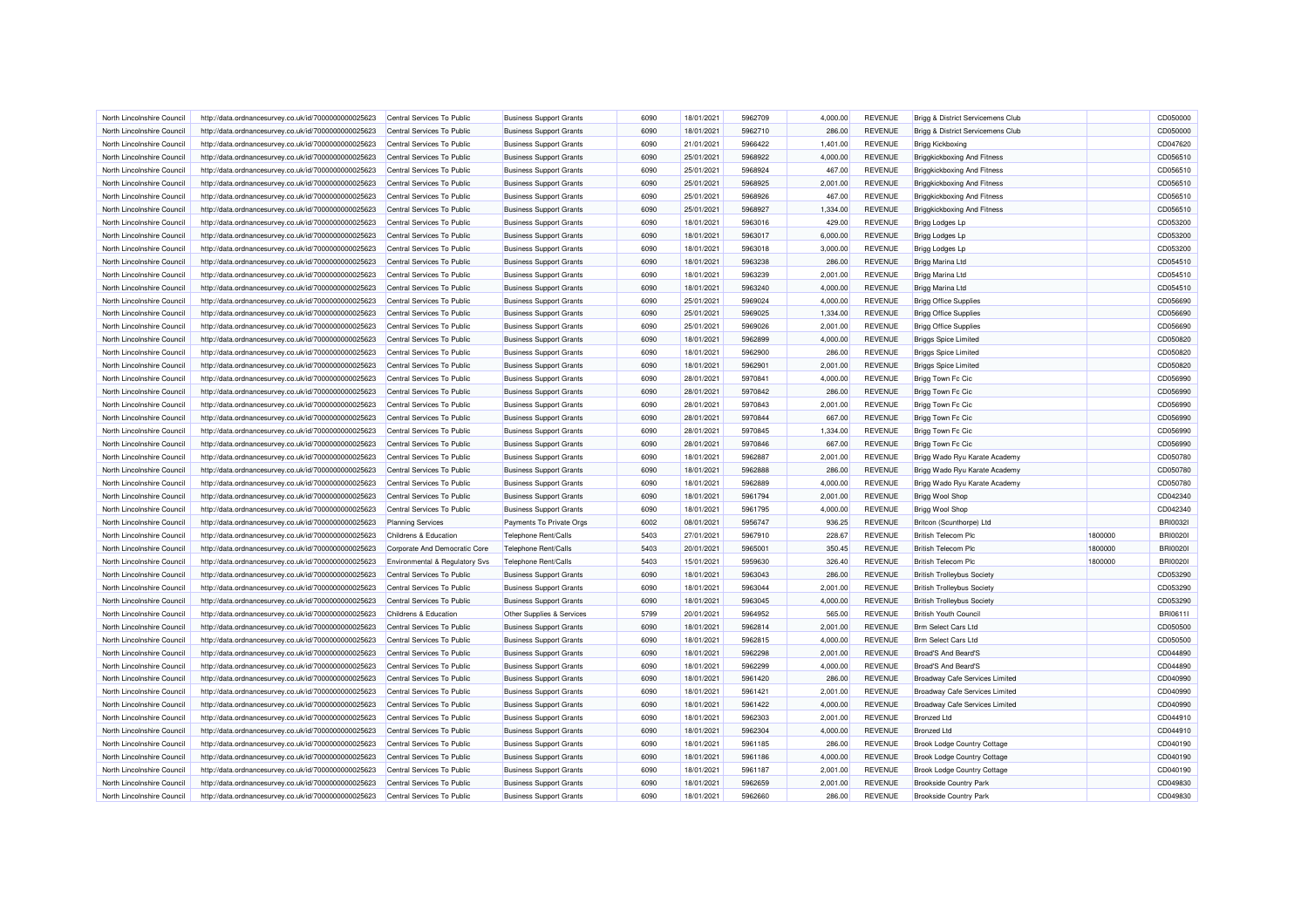| North Lincolnshire Council | http://data.ordnancesurvey.co.uk/id/7000000000025623 | Central Services To Public     | <b>Business Support Grants</b> | 6090 | 18/01/2021 | 5962709 | 4,000.00 | <b>REVENUE</b> | Brigg & District Servicemens Club     |         | CD050000        |
|----------------------------|------------------------------------------------------|--------------------------------|--------------------------------|------|------------|---------|----------|----------------|---------------------------------------|---------|-----------------|
| North Lincolnshire Council | http://data.ordnancesurvey.co.uk/id/7000000000025623 | Central Services To Public     | <b>Business Support Grants</b> | 6090 | 18/01/2021 | 5962710 | 286.00   | <b>REVENUE</b> | Brigg & District Servicemens Club     |         | CD050000        |
| North Lincolnshire Council | http://data.ordnancesurvey.co.uk/id/7000000000025623 | Central Services To Public     | <b>Business Support Grants</b> | 6090 | 21/01/2021 | 5966422 | 1,401.00 | <b>REVENUE</b> | <b>Brigg Kickboxing</b>               |         | CD047620        |
| North Lincolnshire Council | http://data.ordnancesurvey.co.uk/id/7000000000025623 | Central Services To Public     | <b>Business Support Grants</b> | 6090 | 25/01/2021 | 5968922 | 4,000.00 | <b>REVENUE</b> | <b>Briggkickboxing And Fitness</b>    |         | CD056510        |
| North Lincolnshire Council | http://data.ordnancesurvey.co.uk/id/7000000000025623 | Central Services To Public     | <b>Business Support Grants</b> | 6090 | 25/01/2021 | 5968924 | 467.00   | <b>REVENUE</b> | <b>Briggkickboxing And Fitness</b>    |         | CD056510        |
| North Lincolnshire Council | http://data.ordnancesurvey.co.uk/id/7000000000025623 | Central Services To Public     | <b>Business Support Grants</b> | 6090 | 25/01/2021 | 5968925 | 2,001.00 | <b>REVENUE</b> | <b>Briggkickboxing And Fitness</b>    |         | CD056510        |
|                            |                                                      |                                |                                | 6090 |            | 5968926 | 467.00   | <b>REVENUE</b> |                                       |         | CD056510        |
| North Lincolnshire Council | http://data.ordnancesurvey.co.uk/id/7000000000025623 | Central Services To Public     | <b>Business Support Grants</b> |      | 25/01/2021 |         |          |                | <b>Briggkickboxing And Fitness</b>    |         |                 |
| North Lincolnshire Council | http://data.ordnancesurvey.co.uk/id/7000000000025623 | Central Services To Public     | <b>Business Support Grants</b> | 6090 | 25/01/2021 | 5968927 | 1,334.00 | <b>REVENUE</b> | <b>Briggkickboxing And Fitness</b>    |         | CD056510        |
| North Lincolnshire Council | http://data.ordnancesurvey.co.uk/id/7000000000025623 | Central Services To Public     | <b>Business Support Grants</b> | 6090 | 18/01/2021 | 5963016 | 429.00   | <b>REVENUE</b> | <b>Brigg Lodges Lp</b>                |         | CD053200        |
| North Lincolnshire Council | http://data.ordnancesurvey.co.uk/id/7000000000025623 | Central Services To Public     | <b>Business Support Grants</b> | 6090 | 18/01/2021 | 5963017 | 6,000.00 | <b>REVENUE</b> | Brigg Lodges Lp                       |         | CD053200        |
| North Lincolnshire Council | http://data.ordnancesurvey.co.uk/id/7000000000025623 | Central Services To Public     | <b>Business Support Grants</b> | 6090 | 18/01/2021 | 5963018 | 3,000.00 | <b>REVENUE</b> | Brigg Lodges Lp                       |         | CD053200        |
| North Lincolnshire Council | http://data.ordnancesurvey.co.uk/id/7000000000025623 | Central Services To Public     | <b>Business Support Grants</b> | 6090 | 18/01/2021 | 5963238 | 286.00   | <b>REVENUE</b> | Brigg Marina Ltd                      |         | CD054510        |
| North Lincolnshire Council | http://data.ordnancesurvey.co.uk/id/7000000000025623 | Central Services To Public     | <b>Business Support Grants</b> | 6090 | 18/01/2021 | 5963239 | 2,001.00 | <b>REVENUE</b> | Brigg Marina Ltd                      |         | CD054510        |
| North Lincolnshire Council | http://data.ordnancesurvey.co.uk/id/7000000000025623 | Central Services To Public     | <b>Business Support Grants</b> | 6090 | 18/01/2021 | 5963240 | 4,000.00 | <b>REVENUE</b> | Brigg Marina Ltd                      |         | CD054510        |
| North Lincolnshire Council | http://data.ordnancesurvey.co.uk/id/7000000000025623 | Central Services To Public     | <b>Business Support Grants</b> | 6090 | 25/01/2021 | 5969024 | 4,000.00 | <b>REVENUE</b> | <b>Brigg Office Supplies</b>          |         | CD056690        |
| North Lincolnshire Council | http://data.ordnancesurvey.co.uk/id/7000000000025623 | Central Services To Public     | <b>Business Support Grants</b> | 6090 | 25/01/2021 | 5969025 | 1,334.00 | <b>REVENUE</b> | <b>Brigg Office Supplies</b>          |         | CD056690        |
| North Lincolnshire Council | http://data.ordnancesurvey.co.uk/id/7000000000025623 | Central Services To Public     | <b>Business Support Grants</b> | 6090 | 25/01/2021 | 5969026 | 2,001.00 | <b>REVENUE</b> | <b>Brigg Office Supplies</b>          |         | CD056690        |
| North Lincolnshire Council | http://data.ordnancesurvey.co.uk/id/7000000000025623 | Central Services To Public     | <b>Business Support Grants</b> | 6090 | 18/01/2021 | 5962899 | 4,000.00 | <b>REVENUE</b> | <b>Briggs Spice Limited</b>           |         | CD050820        |
| North Lincolnshire Council | http://data.ordnancesurvey.co.uk/id/7000000000025623 | Central Services To Public     | <b>Business Support Grants</b> | 6090 | 18/01/2021 | 5962900 | 286.00   | <b>REVENUE</b> | <b>Briggs Spice Limited</b>           |         | CD050820        |
| North Lincolnshire Council | http://data.ordnancesurvey.co.uk/id/7000000000025623 | Central Services To Public     | <b>Business Support Grants</b> | 6090 | 18/01/2021 | 5962901 | 2,001.00 | <b>REVENUE</b> | <b>Briggs Spice Limited</b>           |         | CD050820        |
| North Lincolnshire Council | http://data.ordnancesurvey.co.uk/id/7000000000025623 | Central Services To Public     | <b>Business Support Grants</b> | 6090 | 28/01/2021 | 5970841 | 4,000.00 | <b>REVENUE</b> | Brigg Town Fc Cic                     |         | CD056990        |
| North Lincolnshire Council | http://data.ordnancesurvey.co.uk/id/7000000000025623 | Central Services To Public     | <b>Business Support Grants</b> | 6090 | 28/01/2021 | 5970842 | 286.00   | <b>REVENUE</b> | Brigg Town Fc Cic                     |         | CD056990        |
| North Lincolnshire Council | http://data.ordnancesurvey.co.uk/id/7000000000025623 | Central Services To Public     | <b>Business Support Grants</b> | 6090 | 28/01/2021 | 5970843 | 2,001.00 | <b>REVENUE</b> | Brigg Town Fc Cic                     |         | CD056990        |
| North Lincolnshire Council | http://data.ordnancesurvey.co.uk/id/7000000000025623 | Central Services To Public     | <b>Business Support Grants</b> | 6090 | 28/01/2021 | 5970844 | 667.00   | <b>REVENUE</b> | <b>Brigg Town Fc Cic</b>              |         | CD056990        |
| North Lincolnshire Council | http://data.ordnancesurvey.co.uk/id/7000000000025623 | Central Services To Public     | <b>Business Support Grants</b> | 6090 | 28/01/2021 | 5970845 | 1,334.00 | <b>REVENUE</b> | Brigg Town Fc Cic                     |         | CD056990        |
|                            |                                                      |                                |                                |      |            |         |          |                |                                       |         |                 |
| North Lincolnshire Council | http://data.ordnancesurvey.co.uk/id/7000000000025623 | Central Services To Public     | <b>Business Support Grants</b> | 6090 | 28/01/2021 | 5970846 | 667.00   | <b>REVENUE</b> | <b>Brigg Town Fc Cic</b>              |         | CD056990        |
| North Lincolnshire Council | http://data.ordnancesurvey.co.uk/id/7000000000025623 | Central Services To Public     | <b>Business Support Grants</b> | 6090 | 18/01/2021 | 5962887 | 2,001.00 | REVENUE        | Brigg Wado Ryu Karate Academy         |         | CD050780        |
| North Lincolnshire Council | http://data.ordnancesurvey.co.uk/id/7000000000025623 | Central Services To Public     | <b>Business Support Grants</b> | 6090 | 18/01/2021 | 5962888 | 286.00   | <b>REVENUE</b> | Brigg Wado Ryu Karate Academy         |         | CD050780        |
| North Lincolnshire Council | http://data.ordnancesurvey.co.uk/id/7000000000025623 | Central Services To Public     | <b>Business Support Grants</b> | 6090 | 18/01/2021 | 5962889 | 4,000.00 | <b>REVENUE</b> | Brigg Wado Ryu Karate Academy         |         | CD050780        |
| North Lincolnshire Council | http://data.ordnancesurvey.co.uk/id/7000000000025623 | Central Services To Public     | <b>Business Support Grants</b> | 6090 | 18/01/2021 | 5961794 | 2,001.00 | <b>REVENUE</b> | <b>Brigg Wool Shop</b>                |         | CD042340        |
| North Lincolnshire Council | http://data.ordnancesurvey.co.uk/id/7000000000025623 | Central Services To Public     | <b>Business Support Grants</b> | 6090 | 18/01/2021 | 5961795 | 4,000.00 | <b>REVENUE</b> | <b>Brigg Wool Shop</b>                |         | CD042340        |
| North Lincolnshire Council | http://data.ordnancesurvey.co.uk/id/7000000000025623 | <b>Planning Services</b>       | Payments To Private Orgs       | 6002 | 08/01/2021 | 5956747 | 936.25   | <b>REVENUE</b> | Britcon (Scunthorpe) Ltd              |         | <b>BRI00321</b> |
| North Lincolnshire Council | http://data.ordnancesurvey.co.uk/id/7000000000025623 | Childrens & Education          | Telephone Rent/Calls           | 5403 | 27/01/2021 | 5967910 | 228.67   | <b>REVENUE</b> | <b>British Telecom Plc</b>            | 1800000 | <b>BRI00201</b> |
| North Lincolnshire Council | http://data.ordnancesurvey.co.uk/id/7000000000025623 | Corporate And Democratic Core  | Telephone Rent/Calls           | 5403 | 20/01/2021 | 5965001 | 350.45   | <b>REVENUE</b> | <b>British Telecom Plc</b>            | 1800000 | <b>BRI00201</b> |
| North Lincolnshire Council | http://data.ordnancesurvey.co.uk/id/7000000000025623 | Environmental & Regulatory Svs | Telephone Rent/Calls           | 5403 | 15/01/2021 | 5959630 | 326.40   | <b>REVENUE</b> | <b>British Telecom Plc</b>            | 1800000 | <b>BRI00201</b> |
| North Lincolnshire Council | http://data.ordnancesurvey.co.uk/id/7000000000025623 | Central Services To Public     | <b>Business Support Grants</b> | 6090 | 18/01/2021 | 5963043 | 286.00   | <b>REVENUE</b> | <b>British Trolleybus Society</b>     |         | CD053290        |
| North Lincolnshire Council | http://data.ordnancesurvey.co.uk/id/7000000000025623 | Central Services To Public     | <b>Business Support Grants</b> | 6090 | 18/01/2021 | 5963044 | 2,001.00 | <b>REVENUE</b> | <b>British Trolleybus Society</b>     |         | CD053290        |
| North Lincolnshire Council | http://data.ordnancesurvey.co.uk/id/7000000000025623 | Central Services To Public     | <b>Business Support Grants</b> | 6090 | 18/01/2021 | 5963045 | 4,000.00 | <b>REVENUE</b> | <b>British Trolleybus Society</b>     |         | CD053290        |
| North Lincolnshire Council | http://data.ordnancesurvey.co.uk/id/7000000000025623 | Childrens & Education          | Other Supplies & Services      | 5799 | 20/01/2021 | 5964952 | 565.00   | <b>REVENUE</b> | <b>British Youth Council</b>          |         | BRI0611         |
| North Lincolnshire Council | http://data.ordnancesurvey.co.uk/id/7000000000025623 | Central Services To Public     | <b>Business Support Grants</b> | 6090 | 18/01/2021 | 5962814 | 2,001.00 | <b>REVENUE</b> | <b>Brm Select Cars Ltd</b>            |         | CD050500        |
| North Lincolnshire Council | http://data.ordnancesurvey.co.uk/id/7000000000025623 | Central Services To Public     | <b>Business Support Grants</b> | 6090 | 18/01/2021 | 5962815 | 4,000.00 | <b>REVENUE</b> | <b>Brm Select Cars Ltd</b>            |         | CD050500        |
| North Lincolnshire Council | http://data.ordnancesurvey.co.uk/id/7000000000025623 | Central Services To Public     | <b>Business Support Grants</b> | 6090 | 18/01/2021 | 5962298 | 2.001.00 | <b>REVENUE</b> | Broad'S And Beard'S                   |         | CD044890        |
| North Lincolnshire Council | http://data.ordnancesurvey.co.uk/id/7000000000025623 | Central Services To Public     | <b>Business Support Grants</b> | 6090 | 18/01/2021 | 5962299 | 4,000.00 | <b>REVENUE</b> | Broad'S And Beard'S                   |         | CD044890        |
| North Lincolnshire Council | http://data.ordnancesurvey.co.uk/id/7000000000025623 | Central Services To Public     | <b>Business Support Grants</b> | 6090 | 18/01/2021 | 5961420 | 286.00   | <b>REVENUE</b> | <b>Broadway Cafe Services Limited</b> |         | CD040990        |
| North Lincolnshire Council | http://data.ordnancesurvey.co.uk/id/7000000000025623 | Central Services To Public     | <b>Business Support Grants</b> | 6090 | 18/01/2021 | 5961421 | 2,001.00 | <b>REVENUE</b> | <b>Broadway Cafe Services Limited</b> |         | CD040990        |
|                            |                                                      |                                |                                |      |            |         |          |                |                                       |         |                 |
| North Lincolnshire Council | http://data.ordnancesurvey.co.uk/id/7000000000025623 | Central Services To Public     | <b>Business Support Grants</b> | 6090 | 18/01/2021 | 5961422 | 4,000.00 | <b>REVENUE</b> | Broadway Cafe Services Limited        |         | CD040990        |
| North Lincolnshire Council | http://data.ordnancesurvey.co.uk/id/7000000000025623 | Central Services To Public     | <b>Business Support Grants</b> | 6090 | 18/01/2021 | 5962303 | 2,001.00 | <b>REVENUE</b> | <b>Bronzed Ltd</b>                    |         | CD044910        |
| North Lincolnshire Council | http://data.ordnancesurvey.co.uk/id/7000000000025623 | Central Services To Public     | <b>Business Support Grants</b> | 6090 | 18/01/2021 | 5962304 | 4,000.00 | <b>REVENUE</b> | <b>Bronzed Ltd</b>                    |         | CD044910        |
| North Lincolnshire Council | http://data.ordnancesurvey.co.uk/id/7000000000025623 | Central Services To Public     | <b>Business Support Grants</b> | 6090 | 18/01/2021 | 5961185 | 286.00   | <b>REVENUE</b> | <b>Brook Lodge Country Cottage</b>    |         | CD040190        |
| North Lincolnshire Council | http://data.ordnancesurvey.co.uk/id/7000000000025623 | Central Services To Public     | <b>Business Support Grants</b> | 6090 | 18/01/2021 | 5961186 | 4,000.00 | <b>REVENUE</b> | <b>Brook Lodge Country Cottage</b>    |         | CD040190        |
| North Lincolnshire Council | http://data.ordnancesurvey.co.uk/id/7000000000025623 | Central Services To Public     | <b>Business Support Grants</b> | 6090 | 18/01/2021 | 5961187 | 2,001.00 | <b>REVENUE</b> | <b>Brook Lodge Country Cottage</b>    |         | CD040190        |
| North Lincolnshire Council | http://data.ordnancesurvey.co.uk/id/7000000000025623 | Central Services To Public     | <b>Business Support Grants</b> | 6090 | 18/01/2021 | 5962659 | 2,001.00 | <b>REVENUE</b> | <b>Brookside Country Park</b>         |         | CD049830        |
| North Lincolnshire Council | http://data.ordnancesurvey.co.uk/id/7000000000025623 | Central Services To Public     | <b>Business Support Grants</b> | 6090 | 18/01/2021 | 5962660 | 286.00   | <b>REVENUE</b> | <b>Brookside Country Park</b>         |         | CD049830        |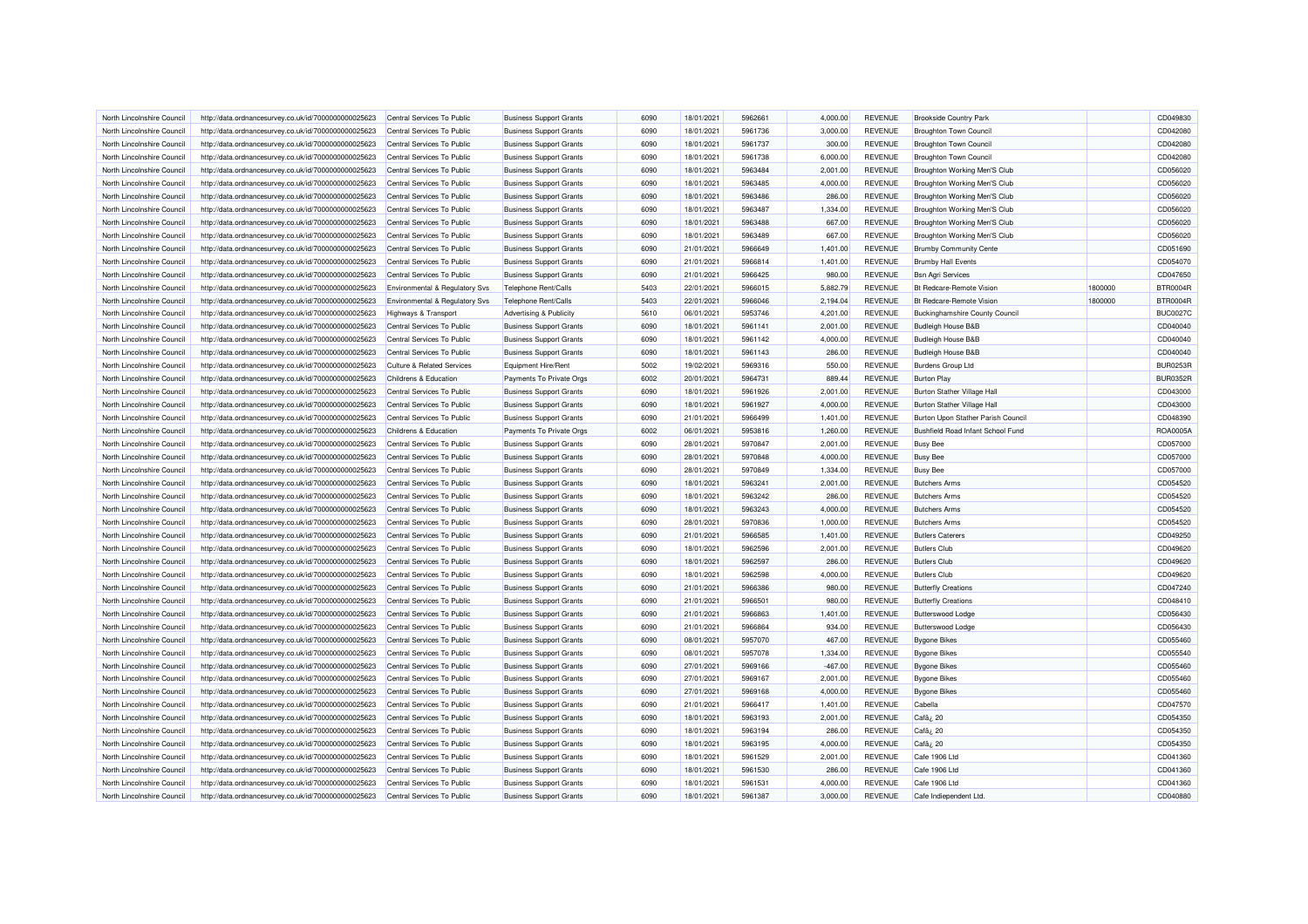| North Lincolnshire Council | http://data.ordnancesurvey.co.uk/id/7000000000025623 | Central Services To Public                | <b>Business Support Grants</b>     | 6090 | 18/01/2021 | 5962661 | 4,000.00  | <b>REVENUE</b> | <b>Brookside Country Park</b>            |         | CD049830        |
|----------------------------|------------------------------------------------------|-------------------------------------------|------------------------------------|------|------------|---------|-----------|----------------|------------------------------------------|---------|-----------------|
| North Lincolnshire Council | http://data.ordnancesurvey.co.uk/id/7000000000025623 | Central Services To Public                | <b>Business Support Grants</b>     | 6090 | 18/01/2021 | 5961736 | 3,000.00  | <b>REVENUE</b> | <b>Broughton Town Council</b>            |         | CD042080        |
| North Lincolnshire Council | http://data.ordnancesurvey.co.uk/id/7000000000025623 | Central Services To Public                | <b>Business Support Grants</b>     | 6090 | 18/01/2021 | 5961737 | 300.00    | <b>REVENUE</b> | <b>Broughton Town Council</b>            |         | CD042080        |
| North Lincolnshire Council | http://data.ordnancesurvey.co.uk/id/7000000000025623 | Central Services To Public                | <b>Business Support Grants</b>     | 6090 | 18/01/2021 | 5961738 | 6,000.00  | <b>REVENUE</b> | <b>Broughton Town Council</b>            |         | CD042080        |
| North Lincolnshire Council | http://data.ordnancesurvey.co.uk/id/7000000000025623 | Central Services To Public                | <b>Business Support Grants</b>     | 6090 | 18/01/2021 | 5963484 | 2,001.00  | <b>REVENUE</b> | Broughton Working Men'S Club             |         | CD056020        |
| North Lincolnshire Council | http://data.ordnancesurvey.co.uk/id/7000000000025623 | Central Services To Public                | <b>Business Support Grants</b>     | 6090 | 18/01/2021 | 5963485 | 4.000.00  | <b>REVENUE</b> | Broughton Working Men'S Club             |         | CD056020        |
| North Lincolnshire Council | http://data.ordnancesurvey.co.uk/id/7000000000025623 | Central Services To Public                | <b>Business Support Grants</b>     | 6090 | 18/01/2021 | 5963486 | 286.00    | <b>REVENUE</b> | Broughton Working Men'S Club             |         | CD056020        |
| North Lincolnshire Council | http://data.ordnancesurvey.co.uk/id/7000000000025623 | Central Services To Public                | <b>Business Support Grants</b>     | 6090 | 18/01/2021 | 5963487 | 1,334.00  | <b>REVENUE</b> | Broughton Working Men'S Club             |         | CD056020        |
| North Lincolnshire Council | http://data.ordnancesurvey.co.uk/id/7000000000025623 | Central Services To Public                | <b>Business Support Grants</b>     | 6090 | 18/01/2021 | 5963488 | 667.00    | <b>REVENUE</b> | Broughton Working Men'S Club             |         | CD056020        |
| North Lincolnshire Council | http://data.ordnancesurvey.co.uk/id/7000000000025623 | Central Services To Public                | <b>Business Support Grants</b>     | 6090 | 18/01/2021 | 5963489 | 667.00    | <b>REVENUE</b> | Broughton Working Men'S Club             |         | CD056020        |
| North Lincolnshire Council | http://data.ordnancesurvey.co.uk/id/7000000000025623 | Central Services To Public                | <b>Business Support Grants</b>     | 6090 | 21/01/2021 | 5966649 | 1,401.00  | <b>REVENUE</b> | <b>Brumby Community Cente</b>            |         | CD051690        |
| North Lincolnshire Council | http://data.ordnancesurvey.co.uk/id/7000000000025623 | Central Services To Public                | <b>Business Support Grants</b>     | 6090 | 21/01/2021 | 5966814 | 1.401.00  | <b>REVENUE</b> | <b>Brumby Hall Events</b>                |         | CD054070        |
| North Lincolnshire Council | http://data.ordnancesurvey.co.uk/id/7000000000025623 | Central Services To Public                | <b>Business Support Grants</b>     | 6090 | 21/01/2021 | 5966425 | 980.00    | <b>REVENUE</b> | <b>Bsn Agri Services</b>                 |         | CD047650        |
| North Lincolnshire Council | http://data.ordnancesurvey.co.uk/id/7000000000025623 | Environmental & Regulatory Svs            | Telephone Rent/Calls               | 5403 | 22/01/2021 | 5966015 | 5,882.79  | <b>REVENUE</b> | Bt Redcare-Remote Vision                 | 1800000 | <b>BTR0004R</b> |
| North Lincolnshire Council | http://data.ordnancesurvey.co.uk/id/7000000000025623 | <b>Environmental &amp; Regulatory Svs</b> | Telephone Rent/Calls               | 5403 | 22/01/2021 | 5966046 | 2,194.04  | <b>REVENUE</b> | <b>Bt Redcare-Remote Vision</b>          | 1800000 | <b>BTR0004F</b> |
| North Lincolnshire Council | http://data.ordnancesurvey.co.uk/id/7000000000025623 | Highways & Transport                      | <b>Advertising &amp; Publicity</b> | 5610 | 06/01/2021 | 5953746 | 4,201.00  | <b>REVENUE</b> | <b>Buckinghamshire County Council</b>    |         | <b>BUC0027C</b> |
| North Lincolnshire Council | http://data.ordnancesurvey.co.uk/id/7000000000025623 | Central Services To Public                | <b>Business Support Grants</b>     | 6090 | 18/01/2021 | 5961141 | 2,001.00  | <b>REVENUE</b> | <b>Budleigh House B&amp;B</b>            |         | CD040040        |
| North Lincolnshire Council | http://data.ordnancesurvey.co.uk/id/7000000000025623 | Central Services To Public                | <b>Business Support Grants</b>     | 6090 | 18/01/2021 | 5961142 | 4,000.00  | <b>REVENUE</b> | <b>Budleigh House B&amp;B</b>            |         | CD040040        |
| North Lincolnshire Council | http://data.ordnancesurvey.co.uk/id/7000000000025623 | Central Services To Public                | <b>Business Support Grants</b>     | 6090 | 18/01/2021 | 5961143 | 286.00    | <b>REVENUE</b> | <b>Budleigh House B&amp;B</b>            |         | CD040040        |
| North Lincolnshire Council | http://data.ordnancesurvey.co.uk/id/7000000000025623 | <b>Culture &amp; Related Services</b>     | Equipment Hire/Rent                | 5002 | 19/02/2021 | 5969316 | 550.00    | <b>REVENUE</b> | <b>Burdens Group Ltd</b>                 |         | <b>BUR0253R</b> |
| North Lincolnshire Council |                                                      | Childrens & Education                     |                                    | 6002 | 20/01/2021 | 5964731 | 889.44    | <b>REVENUE</b> | <b>Burton Play</b>                       |         | <b>BUR0352R</b> |
|                            | http://data.ordnancesurvey.co.uk/id/7000000000025623 |                                           | Payments To Private Orgs           |      |            |         |           |                |                                          |         |                 |
| North Lincolnshire Council | http://data.ordnancesurvey.co.uk/id/7000000000025623 | Central Services To Public                | <b>Business Support Grants</b>     | 6090 | 18/01/2021 | 5961926 | 2,001.00  | <b>REVENUE</b> | <b>Burton Stather Village Hall</b>       |         | CD043000        |
| North Lincolnshire Council | http://data.ordnancesurvey.co.uk/id/7000000000025623 | Central Services To Public                | <b>Business Support Grants</b>     | 6090 | 18/01/2021 | 5961927 | 4,000.00  | <b>REVENUE</b> | <b>Burton Stather Village Hall</b>       |         | CD043000        |
| North Lincolnshire Council | http://data.ordnancesurvey.co.uk/id/7000000000025623 | Central Services To Public                | <b>Business Support Grants</b>     | 6090 | 21/01/2021 | 5966499 | 1,401.00  | <b>REVENUE</b> | Burton Upon Stather Parish Council       |         | CD048390        |
| North Lincolnshire Council | http://data.ordnancesurvey.co.uk/id/7000000000025623 | Childrens & Education                     | Payments To Private Orgs           | 6002 | 06/01/2021 | 5953816 | 1,260.00  | <b>REVENUE</b> | <b>Bushfield Road Infant School Fund</b> |         | ROA0005A        |
| North Lincolnshire Council | http://data.ordnancesurvey.co.uk/id/7000000000025623 | Central Services To Public                | <b>Business Support Grants</b>     | 6090 | 28/01/2021 | 5970847 | 2,001.00  | <b>REVENUE</b> | <b>Busy Bee</b>                          |         | CD057000        |
| North Lincolnshire Council | http://data.ordnancesurvey.co.uk/id/7000000000025623 | Central Services To Public                | <b>Business Support Grants</b>     | 6090 | 28/01/2021 | 5970848 | 4,000.00  | <b>REVENUE</b> | <b>Busy Bee</b>                          |         | CD057000        |
| North Lincolnshire Council | http://data.ordnancesurvey.co.uk/id/7000000000025623 | Central Services To Public                | <b>Business Support Grants</b>     | 6090 | 28/01/2021 | 5970849 | 1,334.00  | <b>REVENUE</b> | <b>Busy Bee</b>                          |         | CD057000        |
| North Lincolnshire Council | http://data.ordnancesurvey.co.uk/id/7000000000025623 | Central Services To Public                | <b>Business Support Grants</b>     | 6090 | 18/01/2021 | 5963241 | 2,001.00  | <b>REVENUE</b> | <b>Butchers Arms</b>                     |         | CD054520        |
| North Lincolnshire Council | http://data.ordnancesurvey.co.uk/id/7000000000025623 | Central Services To Public                | <b>Business Support Grants</b>     | 6090 | 18/01/2021 | 5963242 | 286.00    | <b>REVENUE</b> | <b>Butchers Arms</b>                     |         | CD054520        |
| North Lincolnshire Council | http://data.ordnancesurvey.co.uk/id/7000000000025623 | Central Services To Public                | <b>Business Support Grants</b>     | 6090 | 18/01/2021 | 5963243 | 4,000.00  | <b>REVENUE</b> | <b>Butchers Arms</b>                     |         | CD054520        |
| North Lincolnshire Council | http://data.ordnancesurvey.co.uk/id/7000000000025623 | Central Services To Public                | <b>Business Support Grants</b>     | 6090 | 28/01/2021 | 5970836 | 1,000.00  | <b>REVENUE</b> | <b>Butchers Arms</b>                     |         | CD054520        |
| North Lincolnshire Council | http://data.ordnancesurvey.co.uk/id/7000000000025623 | Central Services To Public                | <b>Business Support Grants</b>     | 6090 | 21/01/2021 | 5966585 | 1,401.00  | <b>REVENUE</b> | <b>Butlers Caterers</b>                  |         | CD049250        |
| North Lincolnshire Council | http://data.ordnancesurvey.co.uk/id/7000000000025623 | Central Services To Public                | <b>Business Support Grants</b>     | 6090 | 18/01/2021 | 5962596 | 2,001.00  | <b>REVENUE</b> | <b>Butlers Club</b>                      |         | CD049620        |
| North Lincolnshire Council | http://data.ordnancesurvey.co.uk/id/7000000000025623 | Central Services To Public                | <b>Business Support Grants</b>     | 6090 | 18/01/2021 | 5962597 | 286.00    | <b>REVENUE</b> | <b>Butlers Club</b>                      |         | CD049620        |
| North Lincolnshire Council | http://data.ordnancesurvey.co.uk/id/7000000000025623 | Central Services To Public                | <b>Business Support Grants</b>     | 6090 | 18/01/2021 | 5962598 | 4,000.00  | <b>REVENUE</b> | <b>Butlers Club</b>                      |         | CD049620        |
| North Lincolnshire Council | http://data.ordnancesurvey.co.uk/id/7000000000025623 | Central Services To Public                | <b>Business Support Grants</b>     | 6090 | 21/01/2021 | 5966386 | 980.00    | <b>REVENUE</b> | <b>Butterfly Creations</b>               |         | CD047240        |
| North Lincolnshire Council | http://data.ordnancesurvey.co.uk/id/7000000000025623 | Central Services To Public                | <b>Business Support Grants</b>     | 6090 | 21/01/2021 | 5966501 | 980.00    | <b>REVENUE</b> | <b>Butterfly Creations</b>               |         | CD048410        |
| North Lincolnshire Council | http://data.ordnancesurvey.co.uk/id/7000000000025623 | Central Services To Public                | <b>Business Support Grants</b>     | 6090 | 21/01/2021 | 5966863 | 1,401.00  | <b>REVENUE</b> | <b>Butterswood Lodge</b>                 |         | CD056430        |
| North Lincolnshire Council | http://data.ordnancesurvey.co.uk/id/7000000000025623 | Central Services To Public                | <b>Business Support Grants</b>     | 6090 | 21/01/2021 | 5966864 | 934.00    | <b>REVENUE</b> | <b>Butterswood Lodge</b>                 |         | CD056430        |
| North Lincolnshire Council | http://data.ordnancesurvey.co.uk/id/7000000000025623 | Central Services To Public                | <b>Business Support Grants</b>     | 6090 | 08/01/2021 | 5957070 | 467.00    | <b>REVENUE</b> | <b>Bygone Bikes</b>                      |         | CD055460        |
| North Lincolnshire Council | http://data.ordnancesurvey.co.uk/id/7000000000025623 | Central Services To Public                | <b>Business Support Grants</b>     | 6090 | 08/01/2021 | 5957078 | 1,334.00  | <b>REVENUE</b> | <b>Bygone Bikes</b>                      |         | CD055540        |
| North Lincolnshire Council | http://data.ordnancesurvey.co.uk/id/7000000000025623 | Central Services To Public                | <b>Business Support Grants</b>     | 6090 | 27/01/2021 | 5969166 | $-467.00$ | <b>REVENUE</b> | <b>Bygone Bikes</b>                      |         | CD055460        |
| North Lincolnshire Council | http://data.ordnancesurvey.co.uk/id/7000000000025623 | Central Services To Public                | <b>Business Support Grants</b>     | 6090 | 27/01/2021 | 5969167 | 2,001.00  | <b>REVENUE</b> | <b>Bygone Bikes</b>                      |         | CD055460        |
| North Lincolnshire Council | http://data.ordnancesurvey.co.uk/id/7000000000025623 | Central Services To Public                | <b>Business Support Grants</b>     | 6090 | 27/01/2021 | 5969168 | 4,000.00  | <b>REVENUE</b> | <b>Bygone Bikes</b>                      |         | CD055460        |
| North Lincolnshire Council | http://data.ordnancesurvey.co.uk/id/7000000000025623 | Central Services To Public                | <b>Business Support Grants</b>     | 6090 | 21/01/2021 | 5966417 | 1,401.00  | <b>REVENUE</b> | Cabella                                  |         | CD047570        |
| North Lincolnshire Council | http://data.ordnancesurvey.co.uk/id/7000000000025623 | Central Services To Public                | <b>Business Support Grants</b>     | 6090 | 18/01/2021 | 5963193 | 2,001.00  | <b>REVENUE</b> | Cafã¿ 20                                 |         | CD054350        |
| North Lincolnshire Council | http://data.ordnancesurvey.co.uk/id/7000000000025623 | Central Services To Public                | <b>Business Support Grants</b>     | 6090 | 18/01/2021 | 5963194 | 286.00    | <b>REVENUE</b> | Cafã¿ 20                                 |         | CD054350        |
| North Lincolnshire Council | http://data.ordnancesurvey.co.uk/id/7000000000025623 | Central Services To Public                | <b>Business Support Grants</b>     | 6090 | 18/01/2021 | 5963195 | 4,000.00  | <b>REVENUE</b> | Cafã; 20                                 |         | CD054350        |
| North Lincolnshire Council | http://data.ordnancesurvey.co.uk/id/7000000000025623 | Central Services To Public                | <b>Business Support Grants</b>     | 6090 | 18/01/2021 | 5961529 | 2,001.00  | <b>REVENUE</b> | Cafe 1906 Ltd                            |         | CD041360        |
| North Lincolnshire Council | http://data.ordnancesurvey.co.uk/id/7000000000025623 | Central Services To Public                | <b>Business Support Grants</b>     | 6090 | 18/01/2021 | 5961530 | 286.00    | <b>REVENUE</b> | Cafe 1906 Ltd                            |         | CD041360        |
| North Lincolnshire Council | http://data.ordnancesurvey.co.uk/id/7000000000025623 | Central Services To Public                | <b>Business Support Grants</b>     | 6090 | 18/01/2021 | 5961531 | 4,000.00  | <b>REVENUE</b> | Cafe 1906 Ltd                            |         | CD041360        |
| North Lincolnshire Council | http://data.ordnancesurvey.co.uk/id/7000000000025623 | Central Services To Public                | <b>Business Support Grants</b>     | 6090 | 18/01/2021 | 5961387 | 3,000.00  | <b>REVENUE</b> | Cafe Indiependent Ltd                    |         | CD040880        |
|                            |                                                      |                                           |                                    |      |            |         |           |                |                                          |         |                 |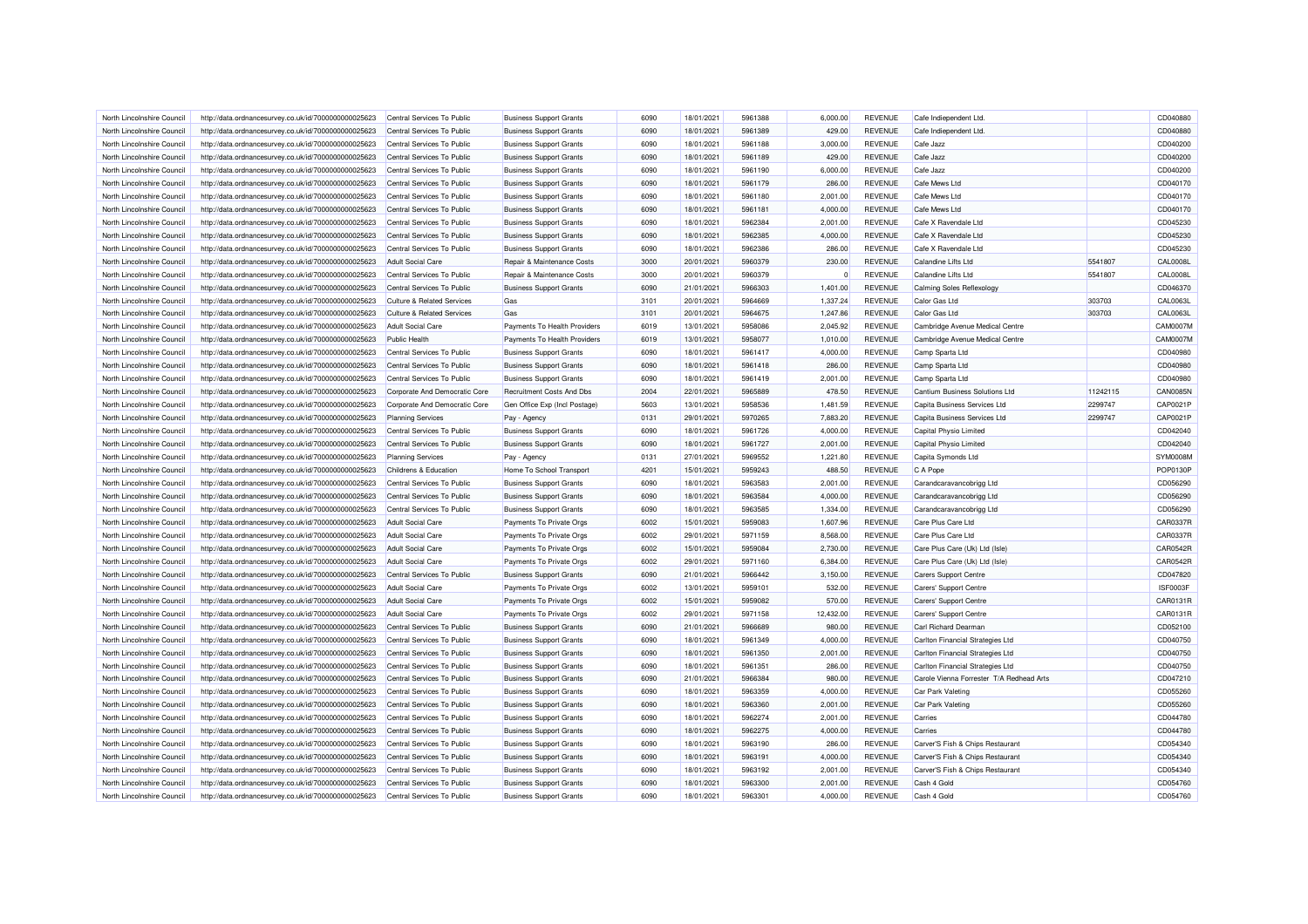| North Lincolnshire Council | http://data.ordnancesurvey.co.uk/id/7000000000025623 | Central Services To Public                               | <b>Business Support Grants</b> | 6090         | 18/01/2021 | 5961388 | 6.000.00    | <b>REVENUE</b> | Cafe Indiependent Ltd                    |          | CD040880        |
|----------------------------|------------------------------------------------------|----------------------------------------------------------|--------------------------------|--------------|------------|---------|-------------|----------------|------------------------------------------|----------|-----------------|
| North Lincolnshire Council | http://data.ordnancesurvey.co.uk/id/7000000000025623 | Central Services To Public                               | <b>Business Support Grants</b> | 6090         | 18/01/2021 | 5961389 | 429.00      | <b>REVENUE</b> | Cafe Indiependent Ltd                    |          | CD040880        |
| North Lincolnshire Council | http://data.ordnancesurvey.co.uk/id/7000000000025623 | Central Services To Public                               | <b>Business Support Grants</b> | 6090         | 18/01/2021 | 5961188 | 3,000.00    | <b>REVENUE</b> | Cafe Jazz                                |          | CD040200        |
| North Lincolnshire Council | http://data.ordnancesurvey.co.uk/id/7000000000025623 | Central Services To Public                               | <b>Business Support Grants</b> | 6090         | 18/01/2021 | 5961189 | 429.00      | <b>REVENUE</b> | Cafe Jazz                                |          | CD040200        |
| North Lincolnshire Council | http://data.ordnancesurvey.co.uk/id/7000000000025623 | Central Services To Public                               | <b>Business Support Grants</b> | 6090         | 18/01/2021 | 5961190 | 6,000.00    | <b>REVENUE</b> | Cafe Jazz                                |          | CD040200        |
| North Lincolnshire Council | http://data.ordnancesurvey.co.uk/id/7000000000025623 | Central Services To Public                               | <b>Business Support Grants</b> | 6090         | 18/01/2021 | 5961179 | 286.00      | <b>REVENUE</b> | Cafe Mews Ltd                            |          | CD040170        |
| North Lincolnshire Council | http://data.ordnancesurvey.co.uk/id/7000000000025623 | Central Services To Public                               | <b>Business Support Grants</b> | 6090         | 18/01/2021 | 5961180 | 2,001.00    | <b>REVENUE</b> | Cafe Mews Ltd                            |          | CD040170        |
| North Lincolnshire Council | http://data.ordnancesurvey.co.uk/id/7000000000025623 | Central Services To Public                               | <b>Business Support Grants</b> | 6090         | 18/01/2021 | 5961181 | 4,000.00    | <b>REVENUE</b> | Cafe Mews Ltd                            |          | CD040170        |
| North Lincolnshire Council | http://data.ordnancesurvey.co.uk/id/7000000000025623 | Central Services To Public                               | <b>Business Support Grants</b> | 6090         | 18/01/2021 | 5962384 | 2,001.00    | <b>REVENUE</b> | Cafe X Ravendale Ltd                     |          | CD045230        |
| North Lincolnshire Council | http://data.ordnancesurvey.co.uk/id/7000000000025623 | Central Services To Public                               | <b>Business Support Grants</b> | 6090         | 18/01/2021 | 5962385 | 4,000.00    | <b>REVENUE</b> | Cafe X Ravendale Ltd                     |          | CD045230        |
| North Lincolnshire Council | http://data.ordnancesurvey.co.uk/id/7000000000025623 | Central Services To Public                               | <b>Business Support Grants</b> | 6090         | 18/01/2021 | 5962386 | 286.00      | <b>REVENUE</b> | Cafe X Ravendale Ltd                     |          | CD045230        |
| North Lincolnshire Council | http://data.ordnancesurvey.co.uk/id/7000000000025623 | <b>Adult Social Care</b>                                 | Repair & Maintenance Costs     | 3000         | 20/01/2021 | 5960379 | 230.00      | <b>REVENUE</b> | Calandine Lifts Ltd                      | 5541807  | <b>CAL0008L</b> |
| North Lincolnshire Council | http://data.ordnancesurvey.co.uk/id/7000000000025623 | Central Services To Public                               | Repair & Maintenance Costs     | 3000         | 20/01/2021 | 5960379 | $\mathbf 0$ | <b>REVENUE</b> | Calandine Lifts Ltd                      | 5541807  | <b>CAL0008L</b> |
| North Lincolnshire Council | http://data.ordnancesurvey.co.uk/id/7000000000025623 | Central Services To Public                               | <b>Business Support Grants</b> | 6090         | 21/01/2021 | 5966303 | 1,401.00    | <b>REVENUE</b> | <b>Calming Soles Reflexology</b>         |          | CD046370        |
| North Lincolnshire Council | http://data.ordnancesurvey.co.uk/id/7000000000025623 | <b>Culture &amp; Related Services</b>                    | Gas                            | 3101         | 20/01/2021 | 5964669 | 1,337.24    | <b>REVENUE</b> | Calor Gas Ltd                            | 303703   | CAL0063L        |
| North Lincolnshire Council | http://data.ordnancesurvey.co.uk/id/7000000000025623 | <b>Culture &amp; Related Services</b>                    | Gas                            | 3101         | 20/01/2021 | 5964675 | 1,247.86    | <b>REVENUE</b> | Calor Gas Ltd                            | 303703   | CAL0063L        |
| North Lincolnshire Council | http://data.ordnancesurvey.co.uk/id/7000000000025623 | <b>Adult Social Care</b>                                 | Payments To Health Providers   | 6019         | 13/01/2021 | 5958086 | 2,045.92    | <b>REVENUE</b> | Cambridge Avenue Medical Centre          |          | <b>CAM0007M</b> |
| North Lincolnshire Council | http://data.ordnancesurvey.co.uk/id/7000000000025623 | <b>Public Health</b>                                     | Payments To Health Providers   | 6019         | 13/01/2021 | 5958077 | 1,010.00    | <b>REVENUE</b> | Cambridge Avenue Medical Centre          |          | CAM0007M        |
|                            |                                                      |                                                          |                                |              |            | 5961417 |             | <b>REVENUE</b> |                                          |          | CD040980        |
| North Lincolnshire Council | http://data.ordnancesurvey.co.uk/id/7000000000025623 | Central Services To Public<br>Central Services To Public | <b>Business Support Grants</b> | 6090<br>6090 | 18/01/2021 | 5961418 | 4,000.00    |                | Camp Sparta Ltd                          |          |                 |
| North Lincolnshire Council | http://data.ordnancesurvey.co.uk/id/7000000000025623 |                                                          | <b>Business Support Grants</b> |              | 18/01/2021 |         | 286.00      | <b>REVENUE</b> | Camp Sparta Ltd                          |          | CD040980        |
| North Lincolnshire Council | http://data.ordnancesurvey.co.uk/id/7000000000025623 | Central Services To Public                               | <b>Business Support Grants</b> | 6090         | 18/01/2021 | 5961419 | 2,001.00    | <b>REVENUE</b> | Camp Sparta Ltd                          |          | CD040980        |
| North Lincolnshire Council | http://data.ordnancesurvey.co.uk/id/7000000000025623 | Corporate And Democratic Core                            | Recruitment Costs And Dbs      | 2004         | 22/01/2021 | 5965889 | 478.50      | <b>REVENUE</b> | Cantium Business Solutions Ltd           | 11242115 | CAN0085N        |
| North Lincolnshire Council | http://data.ordnancesurvey.co.uk/id/7000000000025623 | Corporate And Democratic Core                            | Gen Office Exp (Incl Postage)  | 5603         | 13/01/2021 | 5958536 | 1.481.59    | <b>REVENUE</b> | Capita Business Services Ltd             | 2299747  | CAP0021P        |
| North Lincolnshire Council | http://data.ordnancesurvey.co.uk/id/7000000000025623 | <b>Planning Services</b>                                 | Pay - Agency                   | 0131         | 29/01/2021 | 5970265 | 7,883.20    | <b>REVENUE</b> | Capita Business Services Ltd             | 2299747  | CAP0021P        |
| North Lincolnshire Council | http://data.ordnancesurvey.co.uk/id/7000000000025623 | Central Services To Public                               | <b>Business Support Grants</b> | 6090         | 18/01/2021 | 5961726 | 4,000.00    | <b>REVENUE</b> | Capital Physio Limited                   |          | CD042040        |
| North Lincolnshire Council | http://data.ordnancesurvey.co.uk/id/7000000000025623 | Central Services To Public                               | <b>Business Support Grants</b> | 6090         | 18/01/2021 | 5961727 | 2,001.00    | <b>REVENUE</b> | Capital Physio Limited                   |          | CD042040        |
| North Lincolnshire Council | http://data.ordnancesurvey.co.uk/id/7000000000025623 | <b>Planning Services</b>                                 | Pay - Agency                   | 0131         | 27/01/2021 | 5969552 | 1,221.80    | <b>REVENUE</b> | Capita Symonds Ltd                       |          | SYM0008M        |
| North Lincolnshire Council | http://data.ordnancesurvey.co.uk/id/7000000000025623 | Childrens & Education                                    | Home To School Transport       | 4201         | 15/01/2021 | 5959243 | 488.50      | <b>REVENUE</b> | C A Pope                                 |          | POP0130F        |
| North Lincolnshire Council | http://data.ordnancesurvey.co.uk/id/7000000000025623 | Central Services To Public                               | <b>Business Support Grants</b> | 6090         | 18/01/2021 | 5963583 | 2,001.00    | <b>REVENUE</b> | Carandcaravancobrigg Ltd                 |          | CD056290        |
| North Lincolnshire Council | http://data.ordnancesurvey.co.uk/id/7000000000025623 | Central Services To Public                               | <b>Business Support Grants</b> | 6090         | 18/01/2021 | 5963584 | 4,000.00    | <b>REVENUE</b> | Carandcaravancobrigg Ltd                 |          | CD056290        |
| North Lincolnshire Council | http://data.ordnancesurvey.co.uk/id/7000000000025623 | Central Services To Public                               | <b>Business Support Grants</b> | 6090         | 18/01/2021 | 5963585 | 1,334.00    | <b>REVENUE</b> | Carandcaravancobrigg Ltd                 |          | CD056290        |
| North Lincolnshire Council | http://data.ordnancesurvey.co.uk/id/7000000000025623 | Adult Social Care                                        | Payments To Private Orgs       | 6002         | 15/01/2021 | 5959083 | 1,607.96    | <b>REVENUE</b> | Care Plus Care Ltd                       |          | CAR0337R        |
| North Lincolnshire Council | http://data.ordnancesurvey.co.uk/id/7000000000025623 | <b>Adult Social Care</b>                                 | Payments To Private Orgs       | 6002         | 29/01/2021 | 5971159 | 8,568.00    | <b>REVENUE</b> | Care Plus Care I td                      |          | CAR0337R        |
| North Lincolnshire Council | http://data.ordnancesurvey.co.uk/id/7000000000025623 | <b>Adult Social Care</b>                                 | Payments To Private Orgs       | 6002         | 15/01/2021 | 5959084 | 2,730.00    | <b>REVENUE</b> | Care Plus Care (Uk) Ltd (Isle)           |          | CAR0542R        |
| North Lincolnshire Council | http://data.ordnancesurvey.co.uk/id/7000000000025623 | <b>Adult Social Care</b>                                 | Payments To Private Orgs       | 6002         | 29/01/2021 | 5971160 | 6,384.00    | <b>REVENUE</b> | Care Plus Care (Uk) Ltd (Isle)           |          | CAR0542R        |
| North Lincolnshire Council | http://data.ordnancesurvey.co.uk/id/7000000000025623 | Central Services To Public                               | <b>Business Support Grants</b> | 6090         | 21/01/2021 | 5966442 | 3,150.00    | <b>REVENUE</b> | <b>Carers Support Centre</b>             |          | CD047820        |
| North Lincolnshire Council | http://data.ordnancesurvey.co.uk/id/7000000000025623 | <b>Adult Social Care</b>                                 | Payments To Private Orgs       | 6002         | 13/01/2021 | 5959101 | 532.00      | <b>REVENUE</b> | Carers' Support Centre                   |          | ISF0003F        |
| North Lincolnshire Council | http://data.ordnancesurvey.co.uk/id/7000000000025623 | <b>Adult Social Care</b>                                 | Payments To Private Orgs       | 6002         | 15/01/2021 | 5959082 | 570.00      | <b>REVENUE</b> | Carers' Support Centre                   |          | CAR0131R        |
| North Lincolnshire Council | http://data.ordnancesurvey.co.uk/id/7000000000025623 | Adult Social Care                                        | Payments To Private Orgs       | 6002         | 29/01/2021 | 5971158 | 12,432.00   | <b>REVENUE</b> | Carers' Support Centre                   |          | CAR0131R        |
| North Lincolnshire Council | http://data.ordnancesurvey.co.uk/id/7000000000025623 | Central Services To Public                               | <b>Business Support Grants</b> | 6090         | 21/01/2021 | 5966689 | 980.00      | <b>REVENUE</b> | Carl Richard Dearman                     |          | CD052100        |
| North Lincolnshire Council | http://data.ordnancesurvey.co.uk/id/7000000000025623 | Central Services To Public                               | <b>Business Support Grants</b> | 6090         | 18/01/2021 | 5961349 | 4,000.00    | <b>REVENUE</b> | Carlton Financial Strategies Ltd         |          | CD040750        |
| North Lincolnshire Council | http://data.ordnancesurvey.co.uk/id/7000000000025623 | Central Services To Public                               | <b>Business Support Grants</b> | 6090         | 18/01/2021 | 5961350 | 2,001.00    | <b>REVENUE</b> | Carlton Financial Strategies Ltd         |          | CD040750        |
| North Lincolnshire Council | http://data.ordnancesurvey.co.uk/id/7000000000025623 | Central Services To Public                               | <b>Business Support Grants</b> | 6090         | 18/01/2021 | 5961351 | 286.00      | <b>REVENUE</b> | Carlton Financial Strategies Ltd         |          | CD040750        |
| North Lincolnshire Council | http://data.ordnancesurvey.co.uk/id/7000000000025623 | Central Services To Public                               | <b>Business Support Grants</b> | 6090         | 21/01/2021 | 5966384 | 980.00      | <b>REVENUE</b> | Carole Vienna Forrester T/A Redhead Arts |          | CD047210        |
| North Lincolnshire Council | http://data.ordnancesurvey.co.uk/id/7000000000025623 | Central Services To Public                               | <b>Business Support Grants</b> | 6090         | 18/01/2021 | 5963359 | 4,000.00    | <b>REVENUE</b> | Car Park Valeting                        |          | CD055260        |
| North Lincolnshire Council | http://data.ordnancesurvey.co.uk/id/7000000000025623 | Central Services To Public                               | <b>Business Support Grants</b> | 6090         | 18/01/2021 | 5963360 | 2,001.00    | <b>REVENUE</b> | Car Park Valeting                        |          | CD055260        |
| North Lincolnshire Council | http://data.ordnancesurvey.co.uk/id/7000000000025623 | Central Services To Public                               | <b>Business Support Grants</b> | 6090         | 18/01/2021 | 5962274 | 2,001.00    | <b>REVENUE</b> | Carries                                  |          | CD044780        |
| North Lincolnshire Council | http://data.ordnancesurvey.co.uk/id/7000000000025623 | Central Services To Public                               | <b>Business Support Grants</b> | 6090         | 18/01/2021 | 5962275 | 4,000.00    | <b>REVENUE</b> | Carries                                  |          | CD044780        |
| North Lincolnshire Council | http://data.ordnancesurvey.co.uk/id/7000000000025623 | Central Services To Public                               | <b>Business Support Grants</b> | 6090         | 18/01/2021 | 5963190 | 286.00      | <b>REVENUE</b> | Carver'S Fish & Chips Restaurant         |          | CD054340        |
| North Lincolnshire Council | http://data.ordnancesurvey.co.uk/id/7000000000025623 | Central Services To Public                               | <b>Business Support Grants</b> | 6090         | 18/01/2021 | 5963191 | 4,000.00    | <b>REVENUE</b> | Carver'S Fish & Chips Restaurant         |          | CD054340        |
| North Lincolnshire Council | http://data.ordnancesurvey.co.uk/id/7000000000025623 | Central Services To Public                               | <b>Business Support Grants</b> | 6090         | 18/01/2021 | 5963192 | 2,001.00    | <b>REVENUE</b> | Carver'S Fish & Chips Restaurant         |          | CD054340        |
| North Lincolnshire Council | http://data.ordnancesurvey.co.uk/id/7000000000025623 | Central Services To Public                               | <b>Business Support Grants</b> | 6090         | 18/01/2021 | 5963300 | 2,001.00    | <b>REVENUE</b> | Cash 4 Gold                              |          | CD054760        |
| North Lincolnshire Council | http://data.ordnancesurvey.co.uk/id/7000000000025623 | Central Services To Public                               | <b>Business Support Grants</b> | 6090         | 18/01/2021 | 5963301 | 4,000.00    | <b>REVENUE</b> | Cash 4 Gold                              |          | CD054760        |
|                            |                                                      |                                                          |                                |              |            |         |             |                |                                          |          |                 |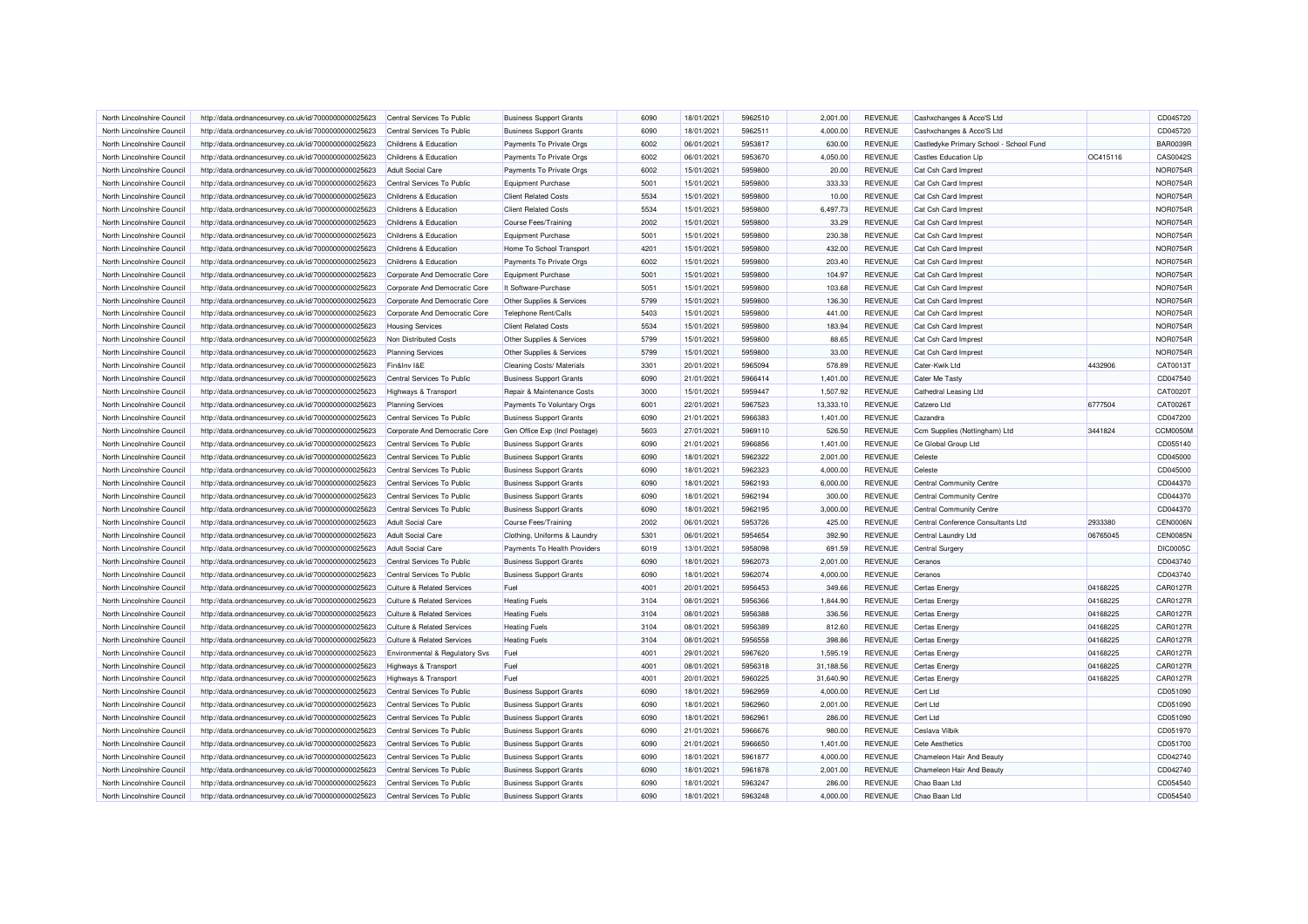| North Lincolnshire Council | http://data.ordnancesurvey.co.uk/id/7000000000025623 | Central Services To Public            | <b>Business Support Grants</b>   | 6090 | 18/01/2021 | 5962510 | 2,001.00  | <b>REVENUE</b> | Cashxchanges & Acco'S Ltd               |          | CD045720        |
|----------------------------|------------------------------------------------------|---------------------------------------|----------------------------------|------|------------|---------|-----------|----------------|-----------------------------------------|----------|-----------------|
| North Lincolnshire Council | http://data.ordnancesurvey.co.uk/id/7000000000025623 | Central Services To Public            | <b>Business Support Grants</b>   | 6090 | 18/01/2021 | 5962511 | 4,000.00  | <b>REVENUE</b> | Cashxchanges & Acco'S Ltd               |          | CD045720        |
| North Lincolnshire Council | http://data.ordnancesurvey.co.uk/id/7000000000025623 | Childrens & Education                 | Payments To Private Orgs         | 6002 | 06/01/2021 | 5953817 | 630.00    | <b>REVENUE</b> | Castledyke Primary School - School Fund |          | <b>BAR0039R</b> |
|                            |                                                      |                                       |                                  |      |            |         |           |                |                                         |          |                 |
| North Lincolnshire Council | http://data.ordnancesurvey.co.uk/id/7000000000025623 | <b>Childrens &amp; Education</b>      | Payments To Private Orgs         | 6002 | 06/01/2021 | 5953670 | 4,050.00  | <b>REVENUE</b> | <b>Castles Education Llp</b>            | OC415116 | CAS0042S        |
| North Lincolnshire Council | http://data.ordnancesurvey.co.uk/id/7000000000025623 | <b>Adult Social Care</b>              | Payments To Private Orgs         | 6002 | 15/01/2021 | 5959800 | 20.00     | <b>REVENUE</b> | Cat Csh Card Imprest                    |          | NOR0754F        |
| North Lincolnshire Council | http://data.ordnancesurvey.co.uk/id/7000000000025623 | Central Services To Public            | Equipment Purchase               | 5001 | 15/01/2021 | 5959800 | 333.33    | <b>REVENUE</b> | Cat Csh Card Imprest                    |          | NOR0754F        |
| North Lincolnshire Council | http://data.ordnancesurvey.co.uk/id/7000000000025623 | <b>Childrens &amp; Education</b>      | <b>Client Related Costs</b>      | 5534 | 15/01/2021 | 5959800 | 10.00     | <b>REVENUE</b> | Cat Csh Card Imprest                    |          | NOR0754F        |
| North Lincolnshire Council | http://data.ordnancesurvey.co.uk/id/7000000000025623 | Childrens & Education                 | <b>Client Related Costs</b>      | 5534 | 15/01/2021 | 5959800 | 6,497.73  | <b>REVENUE</b> | Cat Csh Card Imprest                    |          | NOR0754F        |
| North Lincolnshire Council | http://data.ordnancesurvey.co.uk/id/7000000000025623 | Childrens & Education                 | Course Fees/Training             | 2002 | 15/01/2021 | 5959800 | 33.29     | <b>REVENUE</b> | Cat Csh Card Imprest                    |          | <b>NOR0754R</b> |
| North Lincolnshire Council | http://data.ordnancesurvey.co.uk/id/7000000000025623 | Childrens & Education                 | Equipment Purchase               | 5001 | 15/01/2021 | 5959800 | 230.38    | <b>REVENUE</b> | Cat Csh Card Imprest                    |          | NOR0754F        |
| North Lincolnshire Council | http://data.ordnancesurvey.co.uk/id/7000000000025623 | Childrens & Education                 | Home To School Transport         | 4201 | 15/01/2021 | 5959800 | 432.00    | <b>REVENUE</b> | Cat Csh Card Imprest                    |          | <b>NOR0754R</b> |
| North Lincolnshire Council | http://data.ordnancesurvey.co.uk/id/7000000000025623 | Childrens & Education                 | Payments To Private Orgs         | 6002 | 15/01/2021 | 5959800 | 203.40    | <b>REVENUE</b> | Cat Csh Card Imprest                    |          | NOR0754F        |
| North Lincolnshire Council | http://data.ordnancesurvey.co.uk/id/7000000000025623 | Corporate And Democratic Core         | <b>Equipment Purchase</b>        | 5001 | 15/01/2021 | 5959800 | 104.97    | <b>REVENUE</b> | Cat Csh Card Imprest                    |          | NOR0754F        |
| North Lincolnshire Council | http://data.ordnancesurvey.co.uk/id/7000000000025623 | Corporate And Democratic Core         | It Software-Purchase             | 5051 | 15/01/2021 | 5959800 | 103.68    | <b>REVENUE</b> | Cat Csh Card Imprest                    |          | NOR0754F        |
| North Lincolnshire Council | http://data.ordnancesurvey.co.uk/id/7000000000025623 | Corporate And Democratic Core         | Other Supplies & Services        | 5799 | 15/01/2021 | 5959800 | 136.30    | <b>REVENUE</b> | Cat Csh Card Imprest                    |          | NOR0754F        |
| North Lincolnshire Council | http://data.ordnancesurvey.co.uk/id/7000000000025623 | Corporate And Democratic Core         | Telephone Rent/Calls             | 5403 | 15/01/2021 | 5959800 | 441.00    | <b>REVENUE</b> | Cat Csh Card Imprest                    |          | <b>NOR0754R</b> |
| North Lincolnshire Council | http://data.ordnancesurvey.co.uk/id/7000000000025623 | <b>Housing Services</b>               | <b>Client Related Costs</b>      | 5534 | 15/01/2021 | 5959800 | 183.94    | <b>REVENUE</b> | Cat Csh Card Imprest                    |          | <b>NOR0754R</b> |
| North Lincolnshire Council | http://data.ordnancesurvey.co.uk/id/7000000000025623 | Non Distributed Costs                 | Other Supplies & Services        | 5799 | 15/01/2021 | 5959800 | 88.65     | <b>REVENUE</b> | Cat Csh Card Imprest                    |          | NOR0754F        |
| North Lincolnshire Council | http://data.ordnancesurvey.co.uk/id/7000000000025623 | <b>Planning Services</b>              | Other Supplies & Services        | 5799 | 15/01/2021 | 5959800 | 33.00     | <b>REVENUE</b> | Cat Csh Card Imprest                    |          | NOR0754F        |
| North Lincolnshire Council | http://data.ordnancesurvey.co.uk/id/7000000000025623 | Fin&Inv I&E                           | <b>Cleaning Costs/ Materials</b> | 3301 | 20/01/2021 | 5965094 | 578.89    | <b>REVENUE</b> | Cater-Kwik Ltd                          | 4432906  | CAT0013T        |
| North Lincolnshire Council | http://data.ordnancesurvey.co.uk/id/7000000000025623 | Central Services To Public            | <b>Business Support Grants</b>   | 6090 | 21/01/2021 | 5966414 | 1,401.00  | <b>REVENUE</b> | <b>Cater Me Tasty</b>                   |          | CD047540        |
| North Lincolnshire Council | http://data.ordnancesurvey.co.uk/id/7000000000025623 | Highways & Transport                  | Repair & Maintenance Costs       | 3000 | 15/01/2021 | 5959447 | 1,507.92  | <b>REVENUE</b> | Cathedral Leasing Ltd                   |          | CAT0020T        |
| North Lincolnshire Council | http://data.ordnancesurvey.co.uk/id/7000000000025623 | <b>Planning Services</b>              | Payments To Voluntary Orgs       | 6001 | 22/01/2021 | 5967523 | 13,333.10 | <b>REVENUE</b> | Catzero Ltd                             | 6777504  | CAT0026T        |
| North Lincolnshire Council | http://data.ordnancesurvey.co.uk/id/7000000000025623 | Central Services To Public            | <b>Business Support Grants</b>   | 6090 | 21/01/2021 | 5966383 | 1,401.00  | <b>REVENUE</b> | Cazandra                                |          | CD047200        |
| North Lincolnshire Council | http://data.ordnancesurvey.co.uk/id/7000000000025623 | Corporate And Democratic Core         | Gen Office Exp (Incl Postage)    | 5603 | 27/01/2021 | 5969110 | 526.50    | <b>REVENUE</b> | Ccm Supplies (Nottingham) Ltd           | 3441824  | CCM0050M        |
|                            |                                                      |                                       |                                  |      |            |         |           |                |                                         |          |                 |
| North Lincolnshire Council | http://data.ordnancesurvey.co.uk/id/7000000000025623 | Central Services To Public            | <b>Business Support Grants</b>   | 6090 | 21/01/2021 | 5966856 | 1,401.00  | <b>REVENUE</b> | Ce Global Group Ltd                     |          | CD055140        |
| North Lincolnshire Council | http://data.ordnancesurvey.co.uk/id/7000000000025623 | Central Services To Public            | <b>Business Support Grants</b>   | 6090 | 18/01/2021 | 5962322 | 2,001.00  | <b>REVENUE</b> | Celeste                                 |          | CD045000        |
| North Lincolnshire Council | http://data.ordnancesurvey.co.uk/id/7000000000025623 | Central Services To Public            | <b>Business Support Grants</b>   | 6090 | 18/01/2021 | 5962323 | 4.000.00  | <b>REVENUE</b> | Celeste                                 |          | CD045000        |
| North Lincolnshire Council | http://data.ordnancesurvey.co.uk/id/7000000000025623 | Central Services To Public            | <b>Business Support Grants</b>   | 6090 | 18/01/2021 | 5962193 | 6,000.00  | <b>REVENUE</b> | <b>Central Community Centre</b>         |          | CD044370        |
| North Lincolnshire Council | http://data.ordnancesurvey.co.uk/id/7000000000025623 | Central Services To Public            | <b>Business Support Grants</b>   | 6090 | 18/01/2021 | 5962194 | 300.00    | <b>REVENUE</b> | <b>Central Community Centre</b>         |          | CD044370        |
| North Lincolnshire Council | http://data.ordnancesurvey.co.uk/id/7000000000025623 | Central Services To Public            | <b>Business Support Grants</b>   | 6090 | 18/01/2021 | 5962195 | 3,000.00  | <b>REVENUE</b> | Central Community Centre                |          | CD044370        |
| North Lincolnshire Council | http://data.ordnancesurvey.co.uk/id/7000000000025623 | <b>Adult Social Care</b>              | Course Fees/Training             | 2002 | 06/01/2021 | 5953726 | 425.00    | <b>REVENUE</b> | Central Conference Consultants Ltd      | 2933380  | <b>CEN0006M</b> |
| North Lincolnshire Council | http://data.ordnancesurvey.co.uk/id/7000000000025623 | <b>Adult Social Care</b>              | Clothing, Uniforms & Laundry     | 5301 | 06/01/2021 | 5954654 | 392.90    | <b>REVENUE</b> | Central Laundry Ltd                     | 06765045 | <b>CEN0085N</b> |
| North Lincolnshire Council | http://data.ordnancesurvey.co.uk/id/7000000000025623 | Adult Social Care                     | Payments To Health Providers     | 6019 | 13/01/2021 | 5958098 | 691.59    | <b>REVENUE</b> | Central Surgery                         |          | <b>DIC0005C</b> |
| North Lincolnshire Council | http://data.ordnancesurvey.co.uk/id/7000000000025623 | Central Services To Public            | <b>Business Support Grants</b>   | 6090 | 18/01/2021 | 5962073 | 2,001.00  | <b>REVENUE</b> | Ceranos                                 |          | CD043740        |
| North Lincolnshire Council | http://data.ordnancesurvey.co.uk/id/7000000000025623 | Central Services To Public            | <b>Business Support Grants</b>   | 6090 | 18/01/2021 | 5962074 | 4,000.00  | <b>REVENUE</b> | Ceranos                                 |          | CD043740        |
| North Lincolnshire Council | http://data.ordnancesurvey.co.uk/id/7000000000025623 | <b>Culture &amp; Related Services</b> | Fuel                             | 4001 | 20/01/2021 | 5956453 | 349.66    | <b>REVENUE</b> | <b>Certas Energy</b>                    | 04168225 | <b>CAR0127R</b> |
| North Lincolnshire Council | http://data.ordnancesurvey.co.uk/id/7000000000025623 | <b>Culture &amp; Related Services</b> | <b>Heating Fuels</b>             | 3104 | 08/01/2021 | 5956366 | 1,844.90  | <b>REVENUE</b> | Certas Energy                           | 04168225 | <b>CAR0127R</b> |
| North Lincolnshire Council | http://data.ordnancesurvey.co.uk/id/7000000000025623 | Culture & Related Services            | <b>Heating Fuels</b>             | 3104 | 08/01/2021 | 5956388 | 336.56    | <b>REVENUE</b> | Certas Energy                           | 04168225 | CAR0127R        |
| North Lincolnshire Council | http://data.ordnancesurvey.co.uk/id/7000000000025623 | <b>Culture &amp; Related Services</b> | <b>Heating Fuels</b>             | 3104 | 08/01/2021 | 5956389 | 812.60    | <b>REVENUE</b> | Certas Energy                           | 04168225 | <b>CAR0127R</b> |
| North Lincolnshire Council | http://data.ordnancesurvey.co.uk/id/7000000000025623 | <b>Culture &amp; Related Services</b> | <b>Heating Fuels</b>             | 3104 | 08/01/2021 | 5956558 | 398.86    | <b>REVENUE</b> | Certas Energy                           | 04168225 | <b>CAR0127R</b> |
| North Lincolnshire Council | http://data.ordnancesurvey.co.uk/id/7000000000025623 | Environmental & Regulatory Svs        | Fuel                             | 4001 | 29/01/2021 | 5967620 | 1.595.19  | <b>REVENUE</b> | <b>Certas Energy</b>                    | 04168225 | <b>CAR0127R</b> |
| North Lincolnshire Council | http://data.ordnancesurvey.co.uk/id/7000000000025623 | <b>Highways &amp; Transport</b>       | Fuel                             | 4001 | 08/01/2021 | 5956318 | 31,188.56 | <b>REVENUE</b> | Certas Energy                           | 04168225 | <b>CAR0127R</b> |
| North Lincolnshire Council | http://data.ordnancesurvey.co.uk/id/7000000000025623 | Highways & Transport                  | Fuel                             | 4001 | 20/01/2021 | 5960225 | 31,640.90 | <b>REVENUE</b> | <b>Certas Energy</b>                    | 04168225 | <b>CAR0127R</b> |
| North Lincolnshire Council | http://data.ordnancesurvey.co.uk/id/7000000000025623 | Central Services To Public            | <b>Business Support Grants</b>   | 6090 | 18/01/2021 | 5962959 | 4,000.00  | <b>REVENUE</b> | Cert Ltd                                |          | CD051090        |
| North Lincolnshire Council | http://data.ordnancesurvey.co.uk/id/7000000000025623 | Central Services To Public            | <b>Business Support Grants</b>   | 6090 | 18/01/2021 | 5962960 | 2,001.00  | <b>REVENUE</b> | Cert Ltd                                |          | CD051090        |
| North Lincolnshire Council | http://data.ordnancesurvey.co.uk/id/7000000000025623 | Central Services To Public            | <b>Business Support Grants</b>   | 6090 | 18/01/2021 | 5962961 | 286.00    | <b>REVENUE</b> | Cert Ltd                                |          | CD051090        |
| North Lincolnshire Council | http://data.ordnancesurvey.co.uk/id/7000000000025623 | Central Services To Public            | <b>Business Support Grants</b>   | 6090 | 21/01/2021 | 5966676 | 980.00    | <b>REVENUE</b> | Ceslava Vilbik                          |          | CD051970        |
| North Lincolnshire Council | http://data.ordnancesurvey.co.uk/id/7000000000025623 | Central Services To Public            | <b>Business Support Grants</b>   | 6090 | 21/01/2021 | 5966650 | 1,401.00  | <b>REVENUE</b> | <b>Cete Aesthetics</b>                  |          | CD051700        |
| North Lincolnshire Council | http://data.ordnancesurvey.co.uk/id/7000000000025623 | Central Services To Public            | <b>Business Support Grants</b>   | 6090 | 18/01/2021 | 5961877 | 4,000.00  | <b>REVENUE</b> | Chameleon Hair And Beauty               |          | CD042740        |
|                            |                                                      |                                       |                                  | 6090 |            |         |           |                |                                         |          |                 |
| North Lincolnshire Council | http://data.ordnancesurvey.co.uk/id/7000000000025623 | Central Services To Public            | <b>Business Support Grants</b>   |      | 18/01/2021 | 5961878 | 2,001.00  | <b>REVENUE</b> | Chameleon Hair And Beauty               |          | CD042740        |
| North Lincolnshire Council | http://data.ordnancesurvey.co.uk/id/7000000000025623 | Central Services To Public            | <b>Business Support Grants</b>   | 6090 | 18/01/2021 | 5963247 | 286.00    | <b>REVENUE</b> | Chao Baan Ltd                           |          | CD054540        |
| North Lincolnshire Council | http://data.ordnancesurvey.co.uk/id/7000000000025623 | Central Services To Public            | <b>Business Support Grants</b>   | 6090 | 18/01/2021 | 5963248 | 4,000.00  | <b>REVENUE</b> | Chao Baan I td                          |          | CD054540        |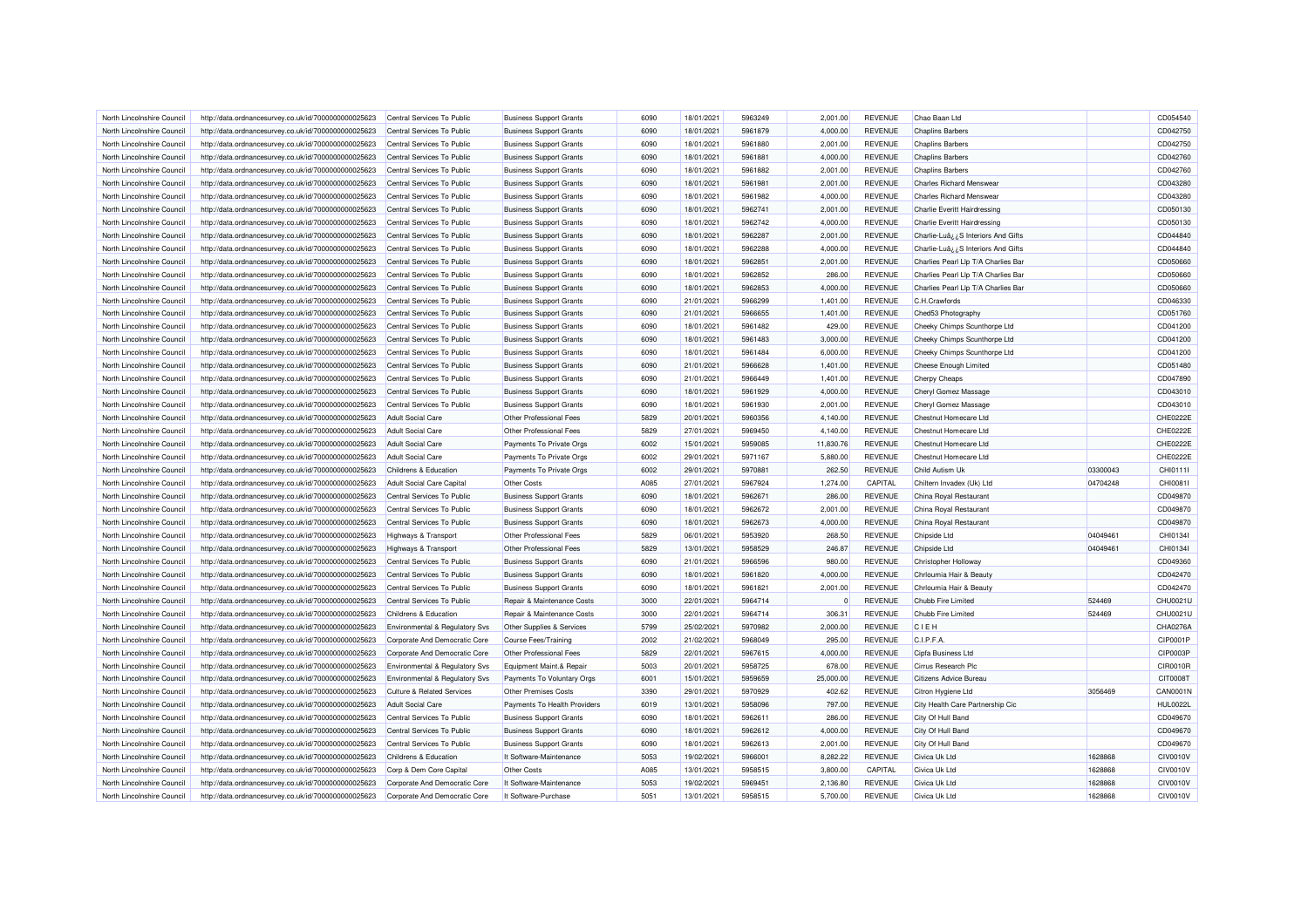| North Lincolnshire Council | http://data.ordnancesurvey.co.uk/id/7000000000025623                                                         | Central Services To Public                | <b>Business Support Grants</b>                                   | 6090 | 18/01/2021               | 5963249 | 2,001.00         | <b>REVENUE</b> | Chao Baan Ltd                                         |          | CD054540        |
|----------------------------|--------------------------------------------------------------------------------------------------------------|-------------------------------------------|------------------------------------------------------------------|------|--------------------------|---------|------------------|----------------|-------------------------------------------------------|----------|-----------------|
| North Lincolnshire Council | http://data.ordnancesurvey.co.uk/id/7000000000025623                                                         | Central Services To Public                | <b>Business Support Grants</b>                                   | 6090 | 18/01/2021               | 5961879 | 4,000.00         | <b>REVENUE</b> | <b>Chaplins Barbers</b>                               |          | CD042750        |
| North Lincolnshire Council | http://data.ordnancesurvey.co.uk/id/7000000000025623                                                         | Central Services To Public                | <b>Business Support Grants</b>                                   | 6090 | 18/01/2021               | 5961880 | 2,001.00         | <b>REVENUE</b> | <b>Chaplins Barbers</b>                               |          | CD042750        |
| North Lincolnshire Council | http://data.ordnancesurvey.co.uk/id/7000000000025623                                                         | Central Services To Public                | <b>Business Support Grants</b>                                   | 6090 | 18/01/2021               | 5961881 | 4,000.00         | <b>REVENUE</b> | <b>Chaplins Barbers</b>                               |          | CD042760        |
| North Lincolnshire Council | http://data.ordnancesurvey.co.uk/id/7000000000025623                                                         | Central Services To Public                | <b>Business Support Grants</b>                                   | 6090 | 18/01/2021               | 5961882 | 2,001.00         | <b>REVENUE</b> | <b>Chaplins Barbers</b>                               |          | CD042760        |
| North Lincolnshire Council | http://data.ordnancesurvey.co.uk/id/7000000000025623                                                         | Central Services To Public                | <b>Business Support Grants</b>                                   | 6090 | 18/01/2021               | 5961981 | 2,001.00         | <b>REVENUE</b> | <b>Charles Richard Menswear</b>                       |          | CD043280        |
| North Lincolnshire Council | http://data.ordnancesurvey.co.uk/id/7000000000025623                                                         | Central Services To Public                | <b>Business Support Grants</b>                                   | 6090 | 18/01/2021               | 5961982 | 4,000.00         | <b>REVENUE</b> | <b>Charles Richard Menswear</b>                       |          | CD043280        |
| North Lincolnshire Council | http://data.ordnancesurvey.co.uk/id/7000000000025623                                                         | Central Services To Public                | <b>Business Support Grants</b>                                   | 6090 | 18/01/2021               | 5962741 | 2,001.00         | <b>REVENUE</b> | <b>Charlie Everitt Hairdressing</b>                   |          | CD050130        |
| North Lincolnshire Council | http://data.ordnancesurvey.co.uk/id/7000000000025623                                                         | Central Services To Public                | <b>Business Support Grants</b>                                   | 6090 | 18/01/2021               | 5962742 | 4,000.00         | <b>REVENUE</b> | Charlie Everitt Hairdressing                          |          | CD050130        |
| North Lincolnshire Council | http://data.ordnancesurvey.co.uk/id/7000000000025623                                                         | Central Services To Public                | <b>Business Support Grants</b>                                   | 6090 | 18/01/2021               | 5962287 | 2,001.00         | <b>REVENUE</b> | Charlie-Luâ ¿¿S Interiors And Gifts                   |          | CD044840        |
| North Lincolnshire Council | http://data.ordnancesurvey.co.uk/id/7000000000025623                                                         | Central Services To Public                | <b>Business Support Grants</b>                                   | 6090 | 18/01/2021               | 5962288 | 4,000.00         | <b>REVENUE</b> | Charlie-Luâ ¿¿S Interiors And Gifts                   |          | CD044840        |
| North Lincolnshire Council | http://data.ordnancesurvey.co.uk/id/7000000000025623                                                         | Central Services To Public                | <b>Business Support Grants</b>                                   | 6090 | 18/01/2021               | 5962851 | 2,001.00         | <b>REVENUE</b> | Charlies Pearl Llp T/A Charlies Bar                   |          | CD050660        |
| North Lincolnshire Council | http://data.ordnancesurvey.co.uk/id/7000000000025623                                                         | Central Services To Public                | <b>Business Support Grants</b>                                   | 6090 | 18/01/2021               | 5962852 | 286.00           | <b>REVENUE</b> | Charlies Pearl Llp T/A Charlies Bar                   |          | CD050660        |
| North Lincolnshire Council | http://data.ordnancesurvey.co.uk/id/7000000000025623                                                         | Central Services To Public                | <b>Business Support Grants</b>                                   | 6090 | 18/01/2021               | 5962853 | 4,000.00         | <b>REVENUE</b> | Charlies Pearl Llp T/A Charlies Bar                   |          | CD050660        |
| North Lincolnshire Council | http://data.ordnancesurvey.co.uk/id/7000000000025623                                                         | Central Services To Public                | <b>Business Support Grants</b>                                   | 6090 | 21/01/2021               | 5966299 | 1,401.00         | <b>REVENUE</b> | C.H.Crawfords                                         |          | CD046330        |
| North Lincolnshire Council | http://data.ordnancesurvey.co.uk/id/7000000000025623                                                         | Central Services To Public                | <b>Business Support Grants</b>                                   | 6090 | 21/01/2021               | 5966655 | 1,401.00         | <b>REVENUE</b> | Ched53 Photography                                    |          | CD051760        |
| North Lincolnshire Council | http://data.ordnancesurvey.co.uk/id/7000000000025623                                                         | Central Services To Public                | <b>Business Support Grants</b>                                   | 6090 | 18/01/2021               | 5961482 | 429.00           | <b>REVENUE</b> | Cheeky Chimps Scunthorpe Ltd                          |          | CD041200        |
| North Lincolnshire Council | http://data.ordnancesurvey.co.uk/id/7000000000025623                                                         | Central Services To Public                | <b>Business Support Grants</b>                                   | 6090 | 18/01/2021               | 5961483 | 3,000.00         | <b>REVENUE</b> | Cheeky Chimps Scunthorpe Ltd                          |          | CD041200        |
|                            |                                                                                                              |                                           |                                                                  |      |                          |         |                  |                |                                                       |          |                 |
| North Lincolnshire Council | http://data.ordnancesurvey.co.uk/id/7000000000025623                                                         | Central Services To Public                | <b>Business Support Grants</b>                                   | 6090 | 18/01/2021               | 5961484 | 6,000.00         | <b>REVENUE</b> | Cheeky Chimps Scunthorpe Ltd                          |          | CD041200        |
| North Lincolnshire Council | http://data.ordnancesurvey.co.uk/id/7000000000025623                                                         | Central Services To Public                | <b>Business Support Grants</b>                                   | 6090 | 21/01/2021               | 5966628 | 1,401.00         | <b>REVENUE</b> | <b>Cheese Enough Limited</b>                          |          | CD051480        |
| North Lincolnshire Council | http://data.ordnancesurvey.co.uk/id/7000000000025623                                                         | Central Services To Public                | <b>Business Support Grants</b>                                   | 6090 | 21/01/2021               | 5966449 | 1,401.00         | <b>REVENUE</b> | <b>Cherpy Cheaps</b>                                  |          | CD047890        |
| North Lincolnshire Council | http://data.ordnancesurvey.co.uk/id/7000000000025623                                                         | Central Services To Public                | <b>Business Support Grants</b>                                   | 6090 | 18/01/2021               | 5961929 | 4,000.00         | <b>REVENUE</b> | Cheryl Gomez Massage                                  |          | CD043010        |
| North Lincolnshire Council | http://data.ordnancesurvey.co.uk/id/7000000000025623                                                         | Central Services To Public                | <b>Business Support Grants</b>                                   | 6090 | 18/01/2021               | 5961930 | 2,001.00         | <b>REVENUE</b> | Cheryl Gomez Massage                                  |          | CD043010        |
| North Lincolnshire Council | http://data.ordnancesurvey.co.uk/id/7000000000025623                                                         | <b>Adult Social Care</b>                  | Other Professional Fees                                          | 5829 | 20/01/2021               | 5960356 | 4,140.00         | <b>REVENUE</b> | Chestnut Homecare Ltd                                 |          | CHE0222E        |
| North Lincolnshire Council | http://data.ordnancesurvey.co.uk/id/7000000000025623                                                         | Adult Social Care                         | Other Professional Fees                                          | 5829 | 27/01/2021               | 5969450 | 4,140.00         | <b>REVENUE</b> | Chestnut Homecare I td                                |          | CHE0222E        |
| North Lincolnshire Council | http://data.ordnancesurvey.co.uk/id/7000000000025623                                                         | <b>Adult Social Care</b>                  | Payments To Private Orgs                                         | 6002 | 15/01/2021               | 5959085 | 11,830.76        | <b>REVENUE</b> | Chestnut Homecare Ltd                                 |          | CHE0222E        |
| North Lincolnshire Council | http://data.ordnancesurvey.co.uk/id/7000000000025623                                                         | <b>Adult Social Care</b>                  | Payments To Private Orgs                                         | 6002 | 29/01/2021               | 5971167 | 5,880.00         | <b>REVENUE</b> | Chestnut Homecare Ltd                                 |          | CHE0222E        |
| North Lincolnshire Council | http://data.ordnancesurvey.co.uk/id/7000000000025623                                                         | Childrens & Education                     | Payments To Private Orgs                                         | 6002 | 29/01/2021               | 5970881 | 262.50           | <b>REVENUE</b> | Child Autism Uk                                       | 03300043 | CHI0111I        |
| North Lincolnshire Council | http://data.ordnancesurvey.co.uk/id/7000000000025623                                                         | Adult Social Care Capital                 | Other Costs                                                      | A085 | 27/01/2021               | 5967924 | 1,274.00         | CAPITAL        | Chiltern Invadex (Uk) Ltd                             | 04704248 | CHI0081I        |
| North Lincolnshire Council | http://data.ordnancesurvey.co.uk/id/7000000000025623                                                         | Central Services To Public                | <b>Business Support Grants</b>                                   | 6090 | 18/01/2021               | 5962671 | 286.00           | <b>REVENUE</b> | China Royal Restaurant                                |          | CD049870        |
| North Lincolnshire Council | http://data.ordnancesurvey.co.uk/id/7000000000025623                                                         | Central Services To Public                | <b>Business Support Grants</b>                                   | 6090 | 18/01/2021               | 5962672 | 2,001.00         | <b>REVENUE</b> | China Royal Restaurant                                |          | CD049870        |
| North Lincolnshire Council | http://data.ordnancesurvey.co.uk/id/7000000000025623                                                         | Central Services To Public                | <b>Business Support Grants</b>                                   | 6090 | 18/01/2021               | 5962673 | 4,000.00         | <b>REVENUE</b> | China Royal Restaurant                                |          | CD049870        |
| North Lincolnshire Council | http://data.ordnancesurvey.co.uk/id/7000000000025623                                                         | Highways & Transport                      | Other Professional Fees                                          | 5829 | 06/01/2021               | 5953920 | 268.50           | <b>REVENUE</b> | Chipside Ltd                                          | 04049461 | CHI0134I        |
| North Lincolnshire Council | http://data.ordnancesurvey.co.uk/id/7000000000025623                                                         | Highways & Transport                      | Other Professional Fees                                          | 5829 | 13/01/2021               | 5958529 | 246.87           | <b>REVENUE</b> | Chipside Ltd                                          | 04049461 | CHI01341        |
| North Lincolnshire Council | http://data.ordnancesurvey.co.uk/id/7000000000025623                                                         | Central Services To Public                | <b>Business Support Grants</b>                                   | 6090 | 21/01/2021               | 5966596 | 980.00           | <b>REVENUE</b> | Christopher Holloway                                  |          | CD049360        |
| North Lincolnshire Council | http://data.ordnancesurvey.co.uk/id/7000000000025623                                                         | Central Services To Public                | <b>Business Support Grants</b>                                   | 6090 | 18/01/2021               | 5961820 | 4,000.00         | <b>REVENUE</b> | Chrloumia Hair & Beauty                               |          | CD042470        |
| North Lincolnshire Council | http://data.ordnancesurvey.co.uk/id/7000000000025623                                                         | Central Services To Public                | <b>Business Support Grants</b>                                   | 6090 | 18/01/2021               | 5961821 | 2,001.00         | <b>REVENUE</b> | Chrloumia Hair & Beauty                               |          | CD042470        |
| North Lincolnshire Council | http://data.ordnancesurvey.co.uk/id/7000000000025623                                                         | Central Services To Public                | Repair & Maintenance Costs                                       | 3000 | 22/01/2021               | 5964714 | 0                | <b>REVENUE</b> | Chubb Fire Limited                                    | 524469   | CHU0021L        |
| North Lincolnshire Council | http://data.ordnancesurvey.co.uk/id/7000000000025623                                                         | Childrens & Education                     | Repair & Maintenance Costs                                       | 3000 | 22/01/2021               | 5964714 | 306.31           | <b>REVENUE</b> | Chubb Fire Limited                                    | 524469   | CHU0021L        |
| North Lincolnshire Council | http://data.ordnancesurvey.co.uk/id/7000000000025623                                                         | <b>Environmental &amp; Regulatory Svs</b> | Other Supplies & Services                                        | 5799 | 25/02/2021               | 5970982 | 2.000.00         | <b>REVENUE</b> | CIEH                                                  |          | CHA0276A        |
| North Lincolnshire Council | http://data.ordnancesurvey.co.uk/id/7000000000025623                                                         | Corporate And Democratic Core             | Course Fees/Training                                             | 2002 | 21/02/2021               | 5968049 | 295.00           | <b>REVENUE</b> | C.I.P.F.A                                             |          | CIP0001P        |
| North Lincolnshire Council | http://data.ordnancesurvey.co.uk/id/7000000000025623                                                         | Corporate And Democratic Core             | Other Professional Fees                                          | 5829 | 22/01/2021               | 5967615 | 4.000.00         | <b>REVENUE</b> | Cipfa Business Ltd                                    |          | CIP0003P        |
| North Lincolnshire Council | http://data.ordnancesurvey.co.uk/id/7000000000025623                                                         | Environmental & Regulatory Svs            | Equipment Maint.& Repair                                         | 5003 | 20/01/2021               | 5958725 | 678.00           | <b>REVENUE</b> | Cirrus Research Plc                                   |          | CIR0010R        |
| North Lincolnshire Council | http://data.ordnancesurvey.co.uk/id/7000000000025623                                                         | Environmental & Regulatory Svs            | Payments To Voluntary Orgs                                       | 6001 | 15/01/2021               | 5959659 | 25,000.00        | <b>REVENUE</b> | Citizens Advice Bureau                                |          | <b>CIT0008T</b> |
| North Lincolnshire Council | http://data.ordnancesurvey.co.uk/id/7000000000025623                                                         | <b>Culture &amp; Related Services</b>     | <b>Other Premises Costs</b>                                      | 3390 | 29/01/2021               | 5970929 | 402.62           | <b>REVENUE</b> | Citron Hygiene Ltd                                    | 3056469  | CAN0001N        |
| North Lincolnshire Council |                                                                                                              | <b>Adult Social Care</b>                  |                                                                  | 6019 |                          | 5958096 |                  | <b>REVENUE</b> |                                                       |          | <b>HUL0022L</b> |
| North Lincolnshire Council | http://data.ordnancesurvey.co.uk/id/7000000000025623                                                         | Central Services To Public                | Payments To Health Providers                                     | 6090 | 13/01/2021<br>18/01/2021 | 5962611 | 797.00<br>286.00 | <b>REVENUE</b> | City Health Care Partnership Cic<br>City Of Hull Band |          | CD049670        |
| North Lincolnshire Council | http://data.ordnancesurvey.co.uk/id/7000000000025623<br>http://data.ordnancesurvey.co.uk/id/7000000000025623 |                                           | <b>Business Support Grants</b><br><b>Business Support Grants</b> | 6090 | 18/01/2021               | 5962612 | 4,000.00         | <b>REVENUE</b> | City Of Hull Band                                     |          | CD049670        |
|                            |                                                                                                              | Central Services To Public                |                                                                  |      |                          |         |                  |                |                                                       |          |                 |
| North Lincolnshire Council | http://data.ordnancesurvey.co.uk/id/7000000000025623                                                         | Central Services To Public                | <b>Business Support Grants</b>                                   | 6090 | 18/01/2021               | 5962613 | 2,001.00         | <b>REVENUE</b> | City Of Hull Band                                     |          | CD049670        |
| North Lincolnshire Council | http://data.ordnancesurvey.co.uk/id/7000000000025623                                                         | Childrens & Education                     | It Software-Maintenance                                          | 5053 | 19/02/2021               | 5966001 | 8,282.22         | <b>REVENUE</b> | Civica Uk Ltd                                         | 1628868  | <b>CIV0010V</b> |
| North Lincolnshire Council | http://data.ordnancesurvey.co.uk/id/7000000000025623                                                         | Corp & Dem Core Capital                   | <b>Other Costs</b>                                               | A085 | 13/01/2021               | 5958515 | 3,800.00         | CAPITAL        | Civica Uk Ltd                                         | 1628868  | <b>CIV0010V</b> |
| North Lincolnshire Council | http://data.ordnancesurvey.co.uk/id/7000000000025623                                                         | Corporate And Democratic Core             | It Software-Maintenance                                          | 5053 | 19/02/2021               | 5969451 | 2,136.80         | <b>REVENUE</b> | Civica Uk Ltd                                         | 1628868  | <b>CIV0010V</b> |
| North Lincolnshire Council | http://data.ordnancesurvey.co.uk/id/7000000000025623                                                         | Corporate And Democratic Core             | It Software-Purchase                                             | 5051 | 13/01/2021               | 5958515 | 5,700.00         | <b>REVENUE</b> | Civica Uk Ltd                                         | 1628868  | <b>CIV0010V</b> |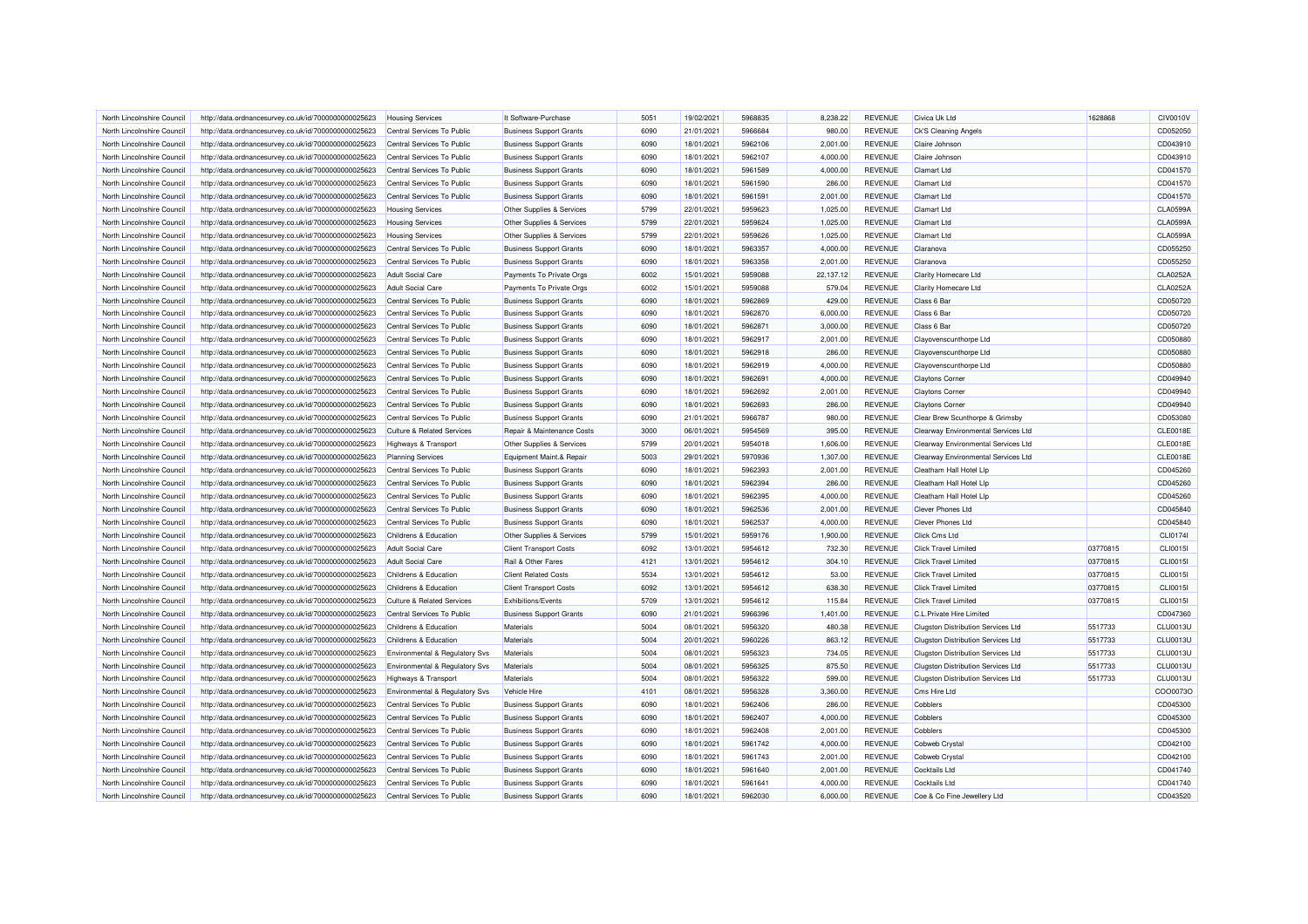| North Lincolnshire Council                               | http://data.ordnancesurvey.co.uk/id/7000000000025623 | <b>Housing Services</b>               | It Software-Purchase           | 5051 | 19/02/2021 | 5968835            | 8.238.22           | <b>REVENUE</b> | Civica Uk Ltd                             | 1628868  | <b>CIV0010V</b> |
|----------------------------------------------------------|------------------------------------------------------|---------------------------------------|--------------------------------|------|------------|--------------------|--------------------|----------------|-------------------------------------------|----------|-----------------|
| North Lincolnshire Council                               | http://data.ordnancesurvey.co.uk/id/7000000000025623 | Central Services To Public            | <b>Business Support Grants</b> | 6090 | 21/01/2021 | 5966684            | 980.00             | <b>REVENUE</b> | Ck'S Cleaning Angels                      |          | CD052050        |
| North Lincolnshire Council                               | http://data.ordnancesurvey.co.uk/id/7000000000025623 | Central Services To Public            | <b>Business Support Grants</b> | 6090 | 18/01/2021 | 5962106            | 2,001.00           | <b>REVENUE</b> | Claire Johnson                            |          | CD043910        |
| North Lincolnshire Council                               | http://data.ordnancesurvey.co.uk/id/7000000000025623 | Central Services To Public            | <b>Business Support Grants</b> | 6090 | 18/01/2021 | 5962107            | 4,000.00           | <b>REVENUE</b> | Claire Johnson                            |          | CD043910        |
| North Lincolnshire Council                               | http://data.ordnancesurvey.co.uk/id/7000000000025623 | Central Services To Public            | <b>Business Support Grants</b> | 6090 | 18/01/2021 | 5961589            | 4,000.00           | <b>REVENUE</b> | <b>Clamart Ltd</b>                        |          | CD041570        |
| North Lincolnshire Council                               | http://data.ordnancesurvey.co.uk/id/7000000000025623 | Central Services To Public            | <b>Business Support Grants</b> | 6090 | 18/01/2021 | 5961590            | 286.00             | <b>REVENUE</b> | <b>Clamart Ltd</b>                        |          | CD041570        |
| North Lincolnshire Council                               | http://data.ordnancesurvey.co.uk/id/7000000000025623 | Central Services To Public            | <b>Business Support Grants</b> | 6090 | 18/01/2021 | 5961591            | 2,001.00           | <b>REVENUE</b> | <b>Clamart Ltd</b>                        |          | CD041570        |
| North Lincolnshire Council                               | http://data.ordnancesurvey.co.uk/id/7000000000025623 | <b>Housing Services</b>               | Other Supplies & Services      | 5799 | 22/01/2021 | 5959623            | 1,025.00           | <b>REVENUE</b> | <b>Clamart Ltd</b>                        |          | CLA0599A        |
| North Lincolnshire Council                               | http://data.ordnancesurvey.co.uk/id/7000000000025623 | <b>Housing Services</b>               | Other Supplies & Services      | 5799 | 22/01/2021 | 5959624            | 1,025.00           | <b>REVENUE</b> | <b>Clamart Ltd</b>                        |          | <b>CLA0599A</b> |
| North Lincolnshire Council                               | http://data.ordnancesurvey.co.uk/id/7000000000025623 | <b>Housing Services</b>               | Other Supplies & Services      | 5799 | 22/01/2021 | 5959626            | 1,025.00           | <b>REVENUE</b> | <b>Clamart Ltd</b>                        |          | CLA0599A        |
| North Lincolnshire Council                               | http://data.ordnancesurvey.co.uk/id/7000000000025623 | Central Services To Public            | <b>Business Support Grants</b> | 6090 | 18/01/2021 | 5963357            | 4,000.00           | <b>REVENUE</b> | Claranova                                 |          | CD055250        |
| North Lincolnshire Council                               | http://data.ordnancesurvey.co.uk/id/7000000000025623 | Central Services To Public            | <b>Business Support Grants</b> | 6090 | 18/01/2021 | 5963358            | 2,001.00           | <b>REVENUE</b> | Claranova                                 |          | CD055250        |
| North Lincolnshire Council                               | http://data.ordnancesurvey.co.uk/id/7000000000025623 | <b>Adult Social Care</b>              | Payments To Private Orgs       | 6002 | 15/01/2021 | 5959088            | 22,137.12          | <b>REVENUE</b> | <b>Clarity Homecare Ltd</b>               |          | CLA0252A        |
| North Lincolnshire Council                               | http://data.ordnancesurvey.co.uk/id/7000000000025623 | <b>Adult Social Care</b>              | Payments To Private Orgs       | 6002 | 15/01/2021 | 5959088            | 579.04             | <b>REVENUE</b> | <b>Clarity Homecare Ltd</b>               |          | CLA0252A        |
| North Lincolnshire Council                               | http://data.ordnancesurvey.co.uk/id/7000000000025623 | Central Services To Public            | <b>Business Support Grants</b> | 6090 | 18/01/2021 | 5962869            | 429.00             | <b>REVENUE</b> | Class 6 Bar                               |          | CD050720        |
| North Lincolnshire Council                               | http://data.ordnancesurvey.co.uk/id/7000000000025623 | Central Services To Public            | <b>Business Support Grants</b> | 6090 | 18/01/2021 | 5962870            | 6,000.00           | <b>REVENUE</b> | Class 6 Bar                               |          | CD050720        |
| North Lincolnshire Council                               | http://data.ordnancesurvey.co.uk/id/7000000000025623 | Central Services To Public            | <b>Business Support Grants</b> | 6090 | 18/01/2021 | 5962871            | 3,000.00           | <b>REVENUE</b> | Class 6 Bar                               |          | CD050720        |
| North Lincolnshire Council                               | http://data.ordnancesurvey.co.uk/id/7000000000025623 | Central Services To Public            | <b>Business Support Grants</b> | 6090 | 18/01/2021 | 5962917            | 2,001.00           | <b>REVENUE</b> | Clayovenscunthorpe Ltd                    |          | CD050880        |
|                                                          |                                                      | Central Services To Public            |                                | 6090 |            | 5962918            |                    | <b>REVENUE</b> |                                           |          | CD050880        |
| North Lincolnshire Council                               | http://data.ordnancesurvey.co.uk/id/7000000000025623 |                                       | <b>Business Support Grants</b> | 6090 | 18/01/2021 |                    | 286.00<br>4,000.00 | <b>REVENUE</b> | Clayovenscunthorpe Ltd                    |          | CD050880        |
| North Lincolnshire Council<br>North Lincolnshire Council | http://data.ordnancesurvey.co.uk/id/7000000000025623 | Central Services To Public            | <b>Business Support Grants</b> | 6090 | 18/01/2021 | 5962919<br>5962691 | 4,000.00           | <b>REVENUE</b> | Clayovenscunthorpe Ltd                    |          | CD049940        |
|                                                          | http://data.ordnancesurvey.co.uk/id/7000000000025623 | Central Services To Public            | <b>Business Support Grants</b> |      | 18/01/2021 |                    |                    |                | <b>Claytons Corner</b>                    |          |                 |
| North Lincolnshire Council                               | http://data.ordnancesurvey.co.uk/id/7000000000025623 | Central Services To Public            | <b>Business Support Grants</b> | 6090 | 18/01/2021 | 5962692            | 2,001.00           | <b>REVENUE</b> | <b>Claytons Corner</b>                    |          | CD049940        |
| North Lincolnshire Council                               | http://data.ordnancesurvey.co.uk/id/7000000000025623 | Central Services To Public            | <b>Business Support Grants</b> | 6090 | 18/01/2021 | 5962693            | 286.00             | <b>REVENUE</b> | <b>Claytons Corner</b>                    |          | CD049940        |
| North Lincolnshire Council                               | http://data.ordnancesurvey.co.uk/id/7000000000025623 | Central Services To Public            | <b>Business Support Grants</b> | 6090 | 21/01/2021 | 5966787            | 980.00             | <b>REVENUE</b> | Clear Brew Scunthorpe & Grimsby           |          | CD053080        |
| North Lincolnshire Council                               | http://data.ordnancesurvey.co.uk/id/7000000000025623 | <b>Culture &amp; Related Services</b> | Repair & Maintenance Costs     | 3000 | 06/01/2021 | 5954569            | 395.00             | <b>REVENUE</b> | Clearway Environmental Services Ltd       |          | <b>CLE0018E</b> |
| North Lincolnshire Council                               | http://data.ordnancesurvey.co.uk/id/7000000000025623 | Highways & Transport                  | Other Supplies & Services      | 5799 | 20/01/2021 | 5954018            | 1,606.00           | <b>REVENUE</b> | Clearway Environmental Services Ltd       |          | <b>CLE0018E</b> |
| North Lincolnshire Council                               | http://data.ordnancesurvey.co.uk/id/7000000000025623 | <b>Planning Services</b>              | Equipment Maint.& Repair       | 5003 | 29/01/2021 | 5970936            | 1,307.00           | <b>REVENUE</b> | Clearway Environmental Services Ltd       |          | <b>CLE0018E</b> |
| North Lincolnshire Council                               | http://data.ordnancesurvey.co.uk/id/7000000000025623 | Central Services To Public            | <b>Business Support Grants</b> | 6090 | 18/01/2021 | 5962393            | 2,001.00           | <b>REVENUE</b> | Cleatham Hall Hotel Lip                   |          | CD045260        |
| North Lincolnshire Council                               | http://data.ordnancesurvey.co.uk/id/7000000000025623 | Central Services To Public            | <b>Business Support Grants</b> | 6090 | 18/01/2021 | 5962394            | 286.00             | <b>REVENUE</b> | Cleatham Hall Hotel Llp                   |          | CD045260        |
| North Lincolnshire Council                               | http://data.ordnancesurvey.co.uk/id/7000000000025623 | Central Services To Public            | <b>Business Support Grants</b> | 6090 | 18/01/2021 | 5962395            | 4,000.00           | <b>REVENUE</b> | Cleatham Hall Hotel Lip                   |          | CD045260        |
| North Lincolnshire Council                               | http://data.ordnancesurvey.co.uk/id/7000000000025623 | Central Services To Public            | <b>Business Support Grants</b> | 6090 | 18/01/2021 | 5962536            | 2,001.00           | <b>REVENUE</b> | <b>Clever Phones Ltd</b>                  |          | CD045840        |
| North Lincolnshire Council                               | http://data.ordnancesurvey.co.uk/id/7000000000025623 | Central Services To Public            | <b>Business Support Grants</b> | 6090 | 18/01/2021 | 5962537            | 4,000.00           | <b>REVENUE</b> | <b>Clever Phones Ltd</b>                  |          | CD045840        |
| North Lincolnshire Council                               | http://data.ordnancesurvey.co.uk/id/7000000000025623 | Childrens & Education                 | Other Supplies & Services      | 5799 | 15/01/2021 | 5959176            | 1,900.00           | <b>REVENUE</b> | <b>Click Cms Ltd</b>                      |          | CLI01741        |
| North Lincolnshire Council                               | http://data.ordnancesurvey.co.uk/id/7000000000025623 | <b>Adult Social Care</b>              | <b>Client Transport Costs</b>  | 6092 | 13/01/2021 | 5954612            | 732.30             | <b>REVENUE</b> | <b>Click Travel Limited</b>               | 03770815 | <b>CLI0015I</b> |
| North Lincolnshire Council                               | http://data.ordnancesurvey.co.uk/id/7000000000025623 | <b>Adult Social Care</b>              | Rail & Other Fares             | 4121 | 13/01/2021 | 5954612            | 304.10             | <b>REVENUE</b> | <b>Click Travel Limited</b>               | 03770815 | CLI0015I        |
| North Lincolnshire Council                               | http://data.ordnancesurvey.co.uk/id/7000000000025623 | Childrens & Education                 | <b>Client Related Costs</b>    | 5534 | 13/01/2021 | 5954612            | 53.00              | <b>REVENUE</b> | <b>Click Travel Limited</b>               | 03770815 | CLI0015I        |
| North Lincolnshire Council                               | http://data.ordnancesurvey.co.uk/id/7000000000025623 | Childrens & Education                 | <b>Client Transport Costs</b>  | 6092 | 13/01/2021 | 5954612            | 638.30             | <b>REVENUE</b> | <b>Click Travel Limited</b>               | 03770815 | CLI0015I        |
| North Lincolnshire Council                               | http://data.ordnancesurvey.co.uk/id/7000000000025623 | Culture & Related Services            | Exhibitions/Events             | 5709 | 13/01/2021 | 5954612            | 115.84             | <b>REVENUE</b> | <b>Click Travel Limited</b>               | 03770815 | <b>CLI0015I</b> |
| North Lincolnshire Council                               | http://data.ordnancesurvey.co.uk/id/7000000000025623 | Central Services To Public            | <b>Business Support Grants</b> | 6090 | 21/01/2021 | 5966396            | 1,401.00           | <b>REVENUE</b> | C.L. Private Hire Limited                 |          | CD047360        |
| North Lincolnshire Council                               | http://data.ordnancesurvey.co.uk/id/7000000000025623 | <b>Childrens &amp; Education</b>      | Materials                      | 5004 | 08/01/2021 | 5956320            | 480.38             | <b>REVENUE</b> | <b>Clugston Distribution Services Ltd</b> | 5517733  | CLU0013L        |
| North Lincolnshire Council                               | http://data.ordnancesurvey.co.uk/id/7000000000025623 | Childrens & Education                 | Materials                      | 5004 | 20/01/2021 | 5960226            | 863.12             | <b>REVENUE</b> | <b>Clugston Distribution Services Ltd</b> | 5517733  | <b>CLU0013U</b> |
| North Lincolnshire Council                               | http://data.ordnancesurvey.co.uk/id/7000000000025623 | Environmental & Regulatory Svs        | Materials                      | 5004 | 08/01/2021 | 5956323            | 734.05             | <b>REVENUE</b> | <b>Clugston Distribution Services Ltd</b> | 5517733  | <b>CLU0013U</b> |
| North Lincolnshire Council                               | http://data.ordnancesurvey.co.uk/id/7000000000025623 | Environmental & Regulatory Svs        | Materials                      | 5004 | 08/01/2021 | 5956325            | 875.50             | <b>REVENUE</b> | <b>Clugston Distribution Services Ltd</b> | 5517733  | <b>CLU0013U</b> |
| North Lincolnshire Council                               | http://data.ordnancesurvey.co.uk/id/7000000000025623 | <b>Highways &amp; Transport</b>       | Materials                      | 5004 | 08/01/2021 | 5956322            | 599.00             | <b>REVENUE</b> | <b>Clugston Distribution Services Ltd</b> | 5517733  | <b>CLU0013U</b> |
| North Lincolnshire Council                               | http://data.ordnancesurvey.co.uk/id/7000000000025623 | Environmental & Regulatory Svs        | Vehicle Hire                   | 4101 | 08/01/2021 | 5956328            | 3,360.00           | <b>REVENUE</b> | Cms Hire Ltd                              |          | COO0073C        |
| North Lincolnshire Council                               | http://data.ordnancesurvey.co.uk/id/7000000000025623 | Central Services To Public            | <b>Business Support Grants</b> | 6090 | 18/01/2021 | 5962406            | 286.00             | <b>REVENUE</b> | Cobblers                                  |          | CD045300        |
| North Lincolnshire Council                               | http://data.ordnancesurvey.co.uk/id/7000000000025623 | Central Services To Public            | <b>Business Support Grants</b> | 6090 | 18/01/2021 | 5962407            | 4,000.00           | <b>REVENUE</b> | <b>Cobblers</b>                           |          | CD045300        |
| North Lincolnshire Council                               | http://data.ordnancesurvey.co.uk/id/7000000000025623 | Central Services To Public            | <b>Business Support Grants</b> | 6090 | 18/01/2021 | 5962408            | 2,001.00           | <b>REVENUE</b> | Cobblers                                  |          | CD045300        |
| North Lincolnshire Council                               | http://data.ordnancesurvey.co.uk/id/7000000000025623 | Central Services To Public            | <b>Business Support Grants</b> | 6090 | 18/01/2021 | 5961742            | 4,000.00           | <b>REVENUE</b> | <b>Cobweb Crystal</b>                     |          | CD042100        |
| North Lincolnshire Council                               | http://data.ordnancesurvey.co.uk/id/7000000000025623 | Central Services To Public            | <b>Business Support Grants</b> | 6090 | 18/01/2021 | 5961743            | 2,001.00           | <b>REVENUE</b> | Cobweb Crystal                            |          | CD042100        |
| North Lincolnshire Council                               | http://data.ordnancesurvey.co.uk/id/7000000000025623 | Central Services To Public            | <b>Business Support Grants</b> | 6090 | 18/01/2021 | 5961640            | 2,001.00           | <b>REVENUE</b> | <b>Cocktails Ltd</b>                      |          | CD041740        |
| North Lincolnshire Council                               | http://data.ordnancesurvey.co.uk/id/7000000000025623 | Central Services To Public            | <b>Business Support Grants</b> | 6090 | 18/01/2021 | 5961641            | 4,000.00           | <b>REVENUE</b> | <b>Cocktails Ltd</b>                      |          | CD041740        |
| North Lincolnshire Council                               | http://data.ordnancesurvey.co.uk/id/7000000000025623 | Central Services To Public            | <b>Business Support Grants</b> | 6090 | 18/01/2021 | 5962030            | 6,000.00           | <b>REVENUE</b> | Coe & Co Fine Jewellery Ltd               |          | CD043520        |
|                                                          |                                                      |                                       |                                |      |            |                    |                    |                |                                           |          |                 |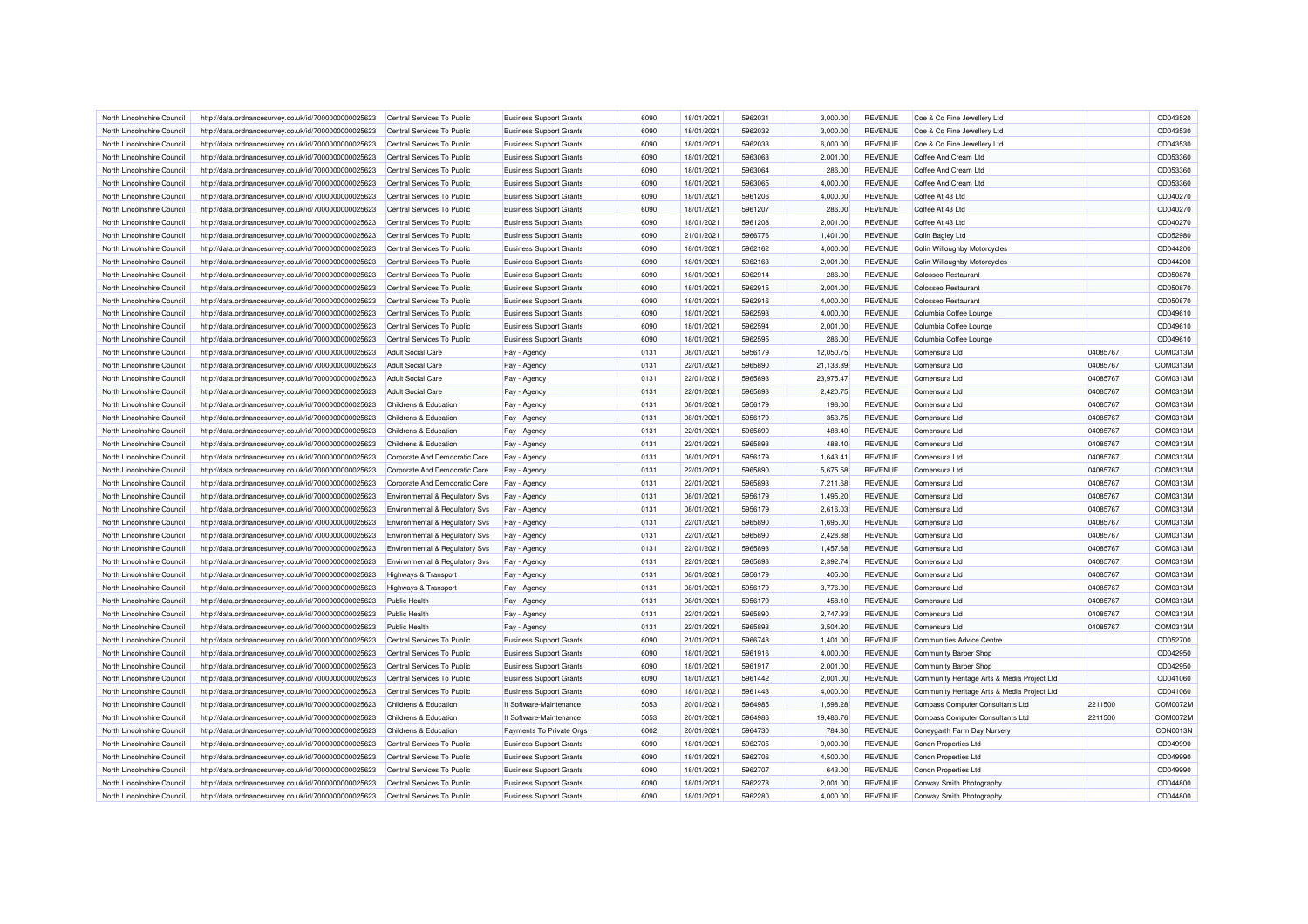| North Lincolnshire Council | http://data.ordnancesurvey.co.uk/id/7000000000025623                                                         | Central Services To Public                | <b>Business Support Grants</b>                                   | 6090 | 18/01/2021 | 5962031 | 3,000.00  | <b>REVENUE</b> | Coe & Co Fine Jewellery Ltd                 |          | CD043520 |
|----------------------------|--------------------------------------------------------------------------------------------------------------|-------------------------------------------|------------------------------------------------------------------|------|------------|---------|-----------|----------------|---------------------------------------------|----------|----------|
| North Lincolnshire Council | http://data.ordnancesurvey.co.uk/id/7000000000025623                                                         | Central Services To Public                | <b>Business Support Grants</b>                                   | 6090 | 18/01/2021 | 5962032 | 3,000.00  | <b>REVENUE</b> | Coe & Co Fine Jewellery Ltd                 |          | CD043530 |
| North Lincolnshire Council | http://data.ordnancesurvey.co.uk/id/7000000000025623                                                         | Central Services To Public                | <b>Business Support Grants</b>                                   | 6090 | 18/01/2021 | 5962033 | 6,000.00  | <b>REVENUE</b> | Coe & Co Fine Jewellery Ltd                 |          | CD043530 |
| North Lincolnshire Council | http://data.ordnancesurvey.co.uk/id/7000000000025623                                                         | Central Services To Public                | <b>Business Support Grants</b>                                   | 6090 | 18/01/2021 | 5963063 | 2,001.00  | <b>REVENUE</b> | Coffee And Cream Ltd                        |          | CD053360 |
| North Lincolnshire Council | http://data.ordnancesurvey.co.uk/id/7000000000025623                                                         | Central Services To Public                | <b>Business Support Grants</b>                                   | 6090 | 18/01/2021 | 5963064 | 286.00    | <b>REVENUE</b> | Coffee And Cream Ltd                        |          | CD053360 |
| North Lincolnshire Council | http://data.ordnancesurvey.co.uk/id/7000000000025623                                                         | Central Services To Public                | <b>Business Support Grants</b>                                   | 6090 | 18/01/2021 | 5963065 | 4,000.00  | <b>REVENUE</b> | Coffee And Cream Ltd                        |          | CD053360 |
| North Lincolnshire Council | http://data.ordnancesurvey.co.uk/id/7000000000025623                                                         | Central Services To Public                | <b>Business Support Grants</b>                                   | 6090 | 18/01/2021 | 5961206 | 4,000.00  | <b>REVENUE</b> | Coffee At 43 Ltd                            |          | CD040270 |
| North Lincolnshire Council | http://data.ordnancesurvey.co.uk/id/7000000000025623                                                         | Central Services To Public                | <b>Business Support Grants</b>                                   | 6090 | 18/01/2021 | 5961207 | 286.00    | <b>REVENUE</b> | Coffee At 43 Ltd                            |          | CD040270 |
| North Lincolnshire Council | http://data.ordnancesurvey.co.uk/id/7000000000025623                                                         | Central Services To Public                | <b>Business Support Grants</b>                                   | 6090 | 18/01/2021 | 5961208 | 2,001.00  | <b>REVENUE</b> | Coffee At 43 Ltd                            |          | CD040270 |
| North Lincolnshire Council | http://data.ordnancesurvey.co.uk/id/7000000000025623                                                         | Central Services To Public                | <b>Business Support Grants</b>                                   | 6090 | 21/01/2021 | 5966776 | 1,401.00  | <b>REVENUE</b> | Colin Bagley Ltd                            |          | CD052980 |
| North Lincolnshire Council | http://data.ordnancesurvey.co.uk/id/7000000000025623                                                         | Central Services To Public                | <b>Business Support Grants</b>                                   | 6090 | 18/01/2021 | 5962162 | 4,000.00  | <b>REVENUE</b> | Colin Willoughby Motorcycles                |          | CD044200 |
| North Lincolnshire Council | http://data.ordnancesurvey.co.uk/id/7000000000025623                                                         | Central Services To Public                | <b>Business Support Grants</b>                                   | 6090 | 18/01/2021 | 5962163 | 2,001.00  | <b>REVENUE</b> | Colin Willoughby Motorcycles                |          | CD044200 |
| North Lincolnshire Council | http://data.ordnancesurvey.co.uk/id/7000000000025623                                                         | Central Services To Public                | <b>Business Support Grants</b>                                   | 6090 | 18/01/2021 | 5962914 | 286.00    | <b>REVENUE</b> | Colosseo Restaurant                         |          | CD050870 |
| North Lincolnshire Council | http://data.ordnancesurvey.co.uk/id/7000000000025623                                                         | Central Services To Public                | <b>Business Support Grants</b>                                   | 6090 | 18/01/2021 | 5962915 | 2,001.00  | <b>REVENUE</b> | <b>Colosseo Restaurant</b>                  |          | CD050870 |
| North Lincolnshire Council | http://data.ordnancesurvey.co.uk/id/7000000000025623                                                         | Central Services To Public                | <b>Business Support Grants</b>                                   | 6090 | 18/01/2021 | 5962916 | 4,000.00  | <b>REVENUE</b> | <b>Colosseo Restaurant</b>                  |          | CD050870 |
| North Lincolnshire Council | http://data.ordnancesurvey.co.uk/id/7000000000025623                                                         | Central Services To Public                | <b>Business Support Grants</b>                                   | 6090 | 18/01/2021 | 5962593 | 4,000.00  | <b>REVENUE</b> | Columbia Coffee Lounge                      |          | CD049610 |
| North Lincolnshire Council | http://data.ordnancesurvey.co.uk/id/7000000000025623                                                         | Central Services To Public                | <b>Business Support Grants</b>                                   | 6090 | 18/01/2021 | 5962594 | 2,001.00  | <b>REVENUE</b> | Columbia Coffee Lounge                      |          | CD049610 |
| North Lincolnshire Council | http://data.ordnancesurvey.co.uk/id/7000000000025623                                                         | Central Services To Public                | <b>Business Support Grants</b>                                   | 6090 | 18/01/2021 | 5962595 | 286.00    | <b>REVENUE</b> | Columbia Coffee Lounge                      |          | CD049610 |
|                            |                                                                                                              |                                           |                                                                  |      |            |         |           |                |                                             |          |          |
| North Lincolnshire Council | http://data.ordnancesurvey.co.uk/id/7000000000025623                                                         | <b>Adult Social Care</b>                  | Pay - Agency                                                     | 0131 | 08/01/2021 | 5956179 | 12,050.75 | <b>REVENUE</b> | Comensura Ltd                               | 04085767 | COM0313M |
| North Lincolnshire Council | http://data.ordnancesurvey.co.uk/id/7000000000025623                                                         | <b>Adult Social Care</b>                  | Pay - Agency                                                     | 0131 | 22/01/2021 | 5965890 | 21,133.89 | <b>REVENUE</b> | Comensura Ltd                               | 04085767 | COM0313M |
| North Lincolnshire Council | http://data.ordnancesurvey.co.uk/id/7000000000025623                                                         | <b>Adult Social Care</b>                  | Pay - Agency                                                     | 0131 | 22/01/2021 | 5965893 | 23,975.47 | <b>REVENUE</b> | Comensura Ltd                               | 04085767 | COM0313M |
| North Lincolnshire Council | http://data.ordnancesurvey.co.uk/id/7000000000025623                                                         | <b>Adult Social Care</b>                  | Pay - Agency                                                     | 0131 | 22/01/2021 | 5965893 | 2,420.75  | <b>REVENUE</b> | Comensura I to                              | 04085767 | COM0313M |
| North Lincolnshire Council | http://data.ordnancesurvey.co.uk/id/7000000000025623                                                         | Childrens & Education                     | Pay - Agency                                                     | 0131 | 08/01/2021 | 5956179 | 198.00    | <b>REVENUE</b> | Comensura Ltd                               | 04085767 | COM0313M |
| North Lincolnshire Council | http://data.ordnancesurvey.co.uk/id/7000000000025623                                                         | Childrens & Education                     | Pay - Agency                                                     | 0131 | 08/01/2021 | 5956179 | 353.75    | <b>REVENUE</b> | Comensura Ltd                               | 04085767 | COM0313M |
| North Lincolnshire Council | http://data.ordnancesurvey.co.uk/id/7000000000025623                                                         | Childrens & Education                     | Pay - Agency                                                     | 0131 | 22/01/2021 | 5965890 | 488.40    | <b>REVENUE</b> | Comensura I to                              | 04085767 | COM0313M |
| North Lincolnshire Council | http://data.ordnancesurvey.co.uk/id/7000000000025623                                                         | Childrens & Education                     | Pay - Agency                                                     | 0131 | 22/01/2021 | 5965893 | 488.40    | <b>REVENUE</b> | Comensura Ltd                               | 04085767 | COM0313M |
| North Lincolnshire Council | http://data.ordnancesurvey.co.uk/id/7000000000025623                                                         | Corporate And Democratic Core             | Pay - Agency                                                     | 0131 | 08/01/2021 | 5956179 | 1,643.41  | <b>REVENUE</b> | Comensura Ltd                               | 04085767 | COM0313M |
| North Lincolnshire Council | http://data.ordnancesurvey.co.uk/id/7000000000025623                                                         | Corporate And Democratic Core             | Pay - Agency                                                     | 0131 | 22/01/2021 | 5965890 | 5.675.58  | <b>REVENUE</b> | Comensura Ltd                               | 04085767 | COM0313M |
| North Lincolnshire Council | http://data.ordnancesurvey.co.uk/id/7000000000025623                                                         | Corporate And Democratic Core             | Pay - Agency                                                     | 0131 | 22/01/2021 | 5965893 | 7,211.68  | <b>REVENUE</b> | Comensura Ltd                               | 04085767 | COM0313M |
| North Lincolnshire Council | http://data.ordnancesurvey.co.uk/id/7000000000025623                                                         | Environmental & Regulatory Svs            | Pay - Agency                                                     | 0131 | 08/01/2021 | 5956179 | 1,495.20  | <b>REVENUE</b> | Comensura Ltd                               | 04085767 | COM0313M |
| North Lincolnshire Council | http://data.ordnancesurvey.co.uk/id/7000000000025623                                                         | <b>Environmental &amp; Regulatory Svs</b> | Pay - Agency                                                     | 0131 | 08/01/2021 | 5956179 | 2,616.03  | <b>REVENUE</b> | Comensura I to                              | 04085767 | COM0313M |
| North Lincolnshire Council | http://data.ordnancesurvey.co.uk/id/7000000000025623                                                         | Environmental & Regulatory Svs            | Pay - Agency                                                     | 0131 | 22/01/2021 | 5965890 | 1,695.00  | <b>REVENUE</b> | Comensura Ltd                               | 04085767 | COM0313M |
| North Lincolnshire Council | http://data.ordnancesurvey.co.uk/id/7000000000025623                                                         | Environmental & Regulatory Svs            | Pay - Agency                                                     | 0131 | 22/01/2021 | 5965890 | 2,428.88  | <b>REVENUE</b> | Comensura Ltd                               | 04085767 | COM0313M |
| North Lincolnshire Council | http://data.ordnancesurvey.co.uk/id/7000000000025623                                                         | Environmental & Regulatory Svs            | Pay - Agency                                                     | 0131 | 22/01/2021 | 5965893 | 1,457.68  | <b>REVENUE</b> | Comensura Ltd                               | 04085767 | COM0313M |
| North Lincolnshire Council | http://data.ordnancesurvey.co.uk/id/7000000000025623                                                         | <b>Environmental &amp; Regulatory Svs</b> | Pay - Agency                                                     | 0131 | 22/01/2021 | 5965893 | 2,392.74  | <b>REVENUE</b> | Comensura Ltd                               | 04085767 | COM0313M |
| North Lincolnshire Council | http://data.ordnancesurvey.co.uk/id/7000000000025623                                                         | <b>Highways &amp; Transport</b>           | Pay - Agency                                                     | 0131 | 08/01/2021 | 5956179 | 405.00    | <b>REVENUE</b> | Comensura Ltd                               | 04085767 | COM0313M |
| North Lincolnshire Council | http://data.ordnancesurvey.co.uk/id/7000000000025623                                                         | <b>Highways &amp; Transport</b>           | Pay - Agency                                                     | 0131 | 08/01/2021 | 5956179 | 3,776.00  | <b>REVENUE</b> | Comensura Ltd                               | 04085767 | COM0313M |
| North Lincolnshire Council | http://data.ordnancesurvey.co.uk/id/7000000000025623                                                         | <b>Public Health</b>                      | Pay - Agency                                                     | 0131 | 08/01/2021 | 5956179 | 458.10    | <b>REVENUE</b> | Comensura Ltd                               | 04085767 | COM0313M |
| North Lincolnshire Council | http://data.ordnancesurvey.co.uk/id/7000000000025623                                                         | <b>Public Health</b>                      | Pay - Agency                                                     | 0131 | 22/01/2021 | 5965890 | 2,747.93  | <b>REVENUE</b> | Comensura Ltd                               | 04085767 | COM0313M |
| North Lincolnshire Council | http://data.ordnancesurvey.co.uk/id/7000000000025623                                                         | <b>Public Health</b>                      | Pay - Agency                                                     | 0131 | 22/01/2021 | 5965893 | 3.504.20  | <b>REVENUE</b> | Comensura Ltd                               | 04085767 | COM0313M |
| North Lincolnshire Council | http://data.ordnancesurvey.co.uk/id/7000000000025623                                                         | Central Services To Public                | <b>Business Support Grants</b>                                   | 6090 | 21/01/2021 | 5966748 | 1,401.00  | <b>REVENUE</b> | <b>Communities Advice Centre</b>            |          | CD052700 |
| North Lincolnshire Council | http://data.ordnancesurvey.co.uk/id/7000000000025623                                                         | Central Services To Public                | <b>Business Support Grants</b>                                   | 6090 | 18/01/2021 | 5961916 | 4.000.00  | <b>REVENUE</b> | Community Barber Shop                       |          | CD042950 |
| North Lincolnshire Council | http://data.ordnancesurvey.co.uk/id/7000000000025623                                                         | Central Services To Public                | <b>Business Support Grants</b>                                   | 6090 | 18/01/2021 | 5961917 | 2,001.00  | <b>REVENUE</b> | Community Barber Shop                       |          | CD042950 |
| North Lincolnshire Council | http://data.ordnancesurvey.co.uk/id/7000000000025623                                                         | Central Services To Public                | <b>Business Support Grants</b>                                   | 6090 | 18/01/2021 | 5961442 | 2,001.00  | <b>REVENUE</b> | Community Heritage Arts & Media Project Ltd |          | CD041060 |
| North Lincolnshire Council | http://data.ordnancesurvey.co.uk/id/7000000000025623                                                         | Central Services To Public                | <b>Business Support Grants</b>                                   | 6090 | 18/01/2021 | 5961443 | 4,000.00  | <b>REVENUE</b> | Community Heritage Arts & Media Project Ltd |          | CD041060 |
| North Lincolnshire Council | http://data.ordnancesurvey.co.uk/id/7000000000025623                                                         | Childrens & Education                     | It Software-Maintenance                                          | 5053 | 20/01/2021 | 5964985 | 1,598.28  | <b>REVENUE</b> | Compass Computer Consultants Ltd            | 2211500  | COM0072M |
| North Lincolnshire Council | http://data.ordnancesurvey.co.uk/id/7000000000025623                                                         | Childrens & Education                     | It Software-Maintenance                                          | 5053 | 20/01/2021 | 5964986 | 19,486.76 | <b>REVENUE</b> | <b>Compass Computer Consultants Ltd</b>     | 2211500  | COM0072M |
| North Lincolnshire Council | http://data.ordnancesurvey.co.uk/id/7000000000025623                                                         | Childrens & Education                     | Payments To Private Orgs                                         | 6002 | 20/01/2021 | 5964730 | 784.80    | <b>REVENUE</b> | Coneygarth Farm Day Nursery                 |          | CON0013N |
| North Lincolnshire Council |                                                                                                              | Central Services To Public                |                                                                  | 6090 | 18/01/2021 | 5962705 | 9,000.00  | <b>REVENUE</b> | Conon Properties Ltd                        |          | CD049990 |
| North Lincolnshire Council | http://data.ordnancesurvey.co.uk/id/7000000000025623<br>http://data.ordnancesurvey.co.uk/id/7000000000025623 | Central Services To Public                | <b>Business Support Grants</b><br><b>Business Support Grants</b> | 6090 | 18/01/2021 | 5962706 | 4,500.00  | <b>REVENUE</b> | Conon Properties Ltd                        |          | CD049990 |
|                            |                                                                                                              |                                           |                                                                  | 6090 |            |         |           |                |                                             |          |          |
| North Lincolnshire Council | http://data.ordnancesurvey.co.uk/id/7000000000025623                                                         | Central Services To Public                | <b>Business Support Grants</b>                                   |      | 18/01/2021 | 5962707 | 643.00    | <b>REVENUE</b> | Conon Properties Ltd                        |          | CD049990 |
| North Lincolnshire Council | http://data.ordnancesurvey.co.uk/id/7000000000025623                                                         | Central Services To Public                | <b>Business Support Grants</b>                                   | 6090 | 18/01/2021 | 5962278 | 2,001.00  | <b>REVENUE</b> | Conway Smith Photography                    |          | CD044800 |
| North Lincolnshire Council | http://data.ordnancesurvey.co.uk/id/7000000000025623                                                         | Central Services To Public                | <b>Business Support Grants</b>                                   | 6090 | 18/01/2021 | 5962280 | 4,000.00  | <b>REVENUE</b> | Conway Smith Photography                    |          | CD044800 |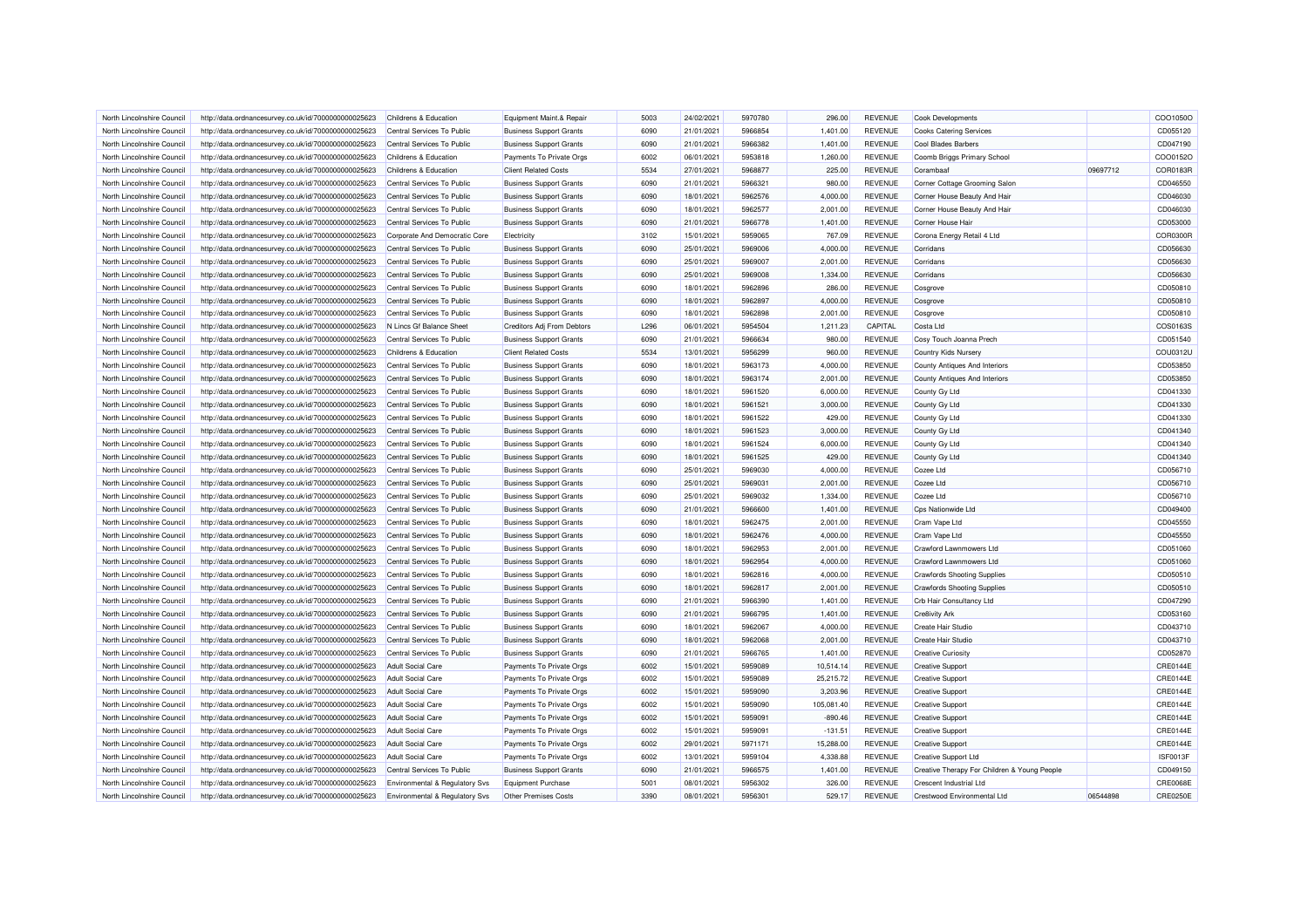| North Lincolnshire Council | http://data.ordnancesurvey.co.uk/id/7000000000025623 | Childrens & Education          | Equipment Maint.& Repair       | 5003 | 24/02/2021 | 5970780 | 296.00     | <b>REVENUE</b> | <b>Cook Developments</b>                     |          | COO1050O        |
|----------------------------|------------------------------------------------------|--------------------------------|--------------------------------|------|------------|---------|------------|----------------|----------------------------------------------|----------|-----------------|
| North Lincolnshire Council | http://data.ordnancesurvey.co.uk/id/7000000000025623 | Central Services To Public     | <b>Business Support Grants</b> | 6090 | 21/01/2021 | 5966854 | 1,401.00   | <b>REVENUE</b> | <b>Cooks Catering Services</b>               |          | CD055120        |
| North Lincolnshire Council | http://data.ordnancesurvey.co.uk/id/7000000000025623 | Central Services To Public     | <b>Business Support Grants</b> | 6090 | 21/01/2021 | 5966382 | 1,401.00   | <b>REVENUE</b> | <b>Cool Blades Barbers</b>                   |          | CD047190        |
| North Lincolnshire Council | http://data.ordnancesurvey.co.uk/id/7000000000025623 | Childrens & Education          | Payments To Private Orgs       | 6002 | 06/01/2021 | 5953818 | 1,260.00   | <b>REVENUE</b> | Coomb Briggs Primary School                  |          | COO0152O        |
| North Lincolnshire Council | http://data.ordnancesurvey.co.uk/id/7000000000025623 | Childrens & Education          | <b>Client Related Costs</b>    | 5534 | 27/01/2021 | 5968877 | 225.00     | <b>REVENUE</b> | Corambaaf                                    | 09697712 | COR0183F        |
| North Lincolnshire Council | http://data.ordnancesurvey.co.uk/id/7000000000025623 | Central Services To Public     | <b>Business Support Grants</b> | 6090 | 21/01/2021 | 5966321 | 980.00     | <b>REVENUE</b> | Corner Cottage Grooming Salon                |          | CD046550        |
| North Lincolnshire Council | http://data.ordnancesurvey.co.uk/id/7000000000025623 | Central Services To Public     | <b>Business Support Grants</b> | 6090 | 18/01/2021 | 5962576 | 4,000.00   | <b>REVENUE</b> | Corner House Beauty And Hair                 |          | CD046030        |
| North Lincolnshire Council | http://data.ordnancesurvey.co.uk/id/7000000000025623 | Central Services To Public     | <b>Business Support Grants</b> | 6090 | 18/01/2021 | 5962577 | 2,001.00   | <b>REVENUE</b> | Corner House Beauty And Hair                 |          | CD046030        |
| North Lincolnshire Council | http://data.ordnancesurvey.co.uk/id/7000000000025623 | Central Services To Public     | <b>Business Support Grants</b> | 6090 | 21/01/2021 | 5966778 | 1,401.00   | <b>REVENUE</b> | Corner House Hair                            |          | CD053000        |
| North Lincolnshire Council | http://data.ordnancesurvey.co.uk/id/7000000000025623 | Corporate And Democratic Core  | Electricity                    | 3102 | 15/01/2021 | 5959065 | 767.09     | <b>REVENUE</b> | Corona Energy Retail 4 Ltd                   |          | COR0300F        |
| North Lincolnshire Council | http://data.ordnancesurvey.co.uk/id/7000000000025623 | Central Services To Public     | <b>Business Support Grants</b> | 6090 | 25/01/2021 | 5969006 | 4,000.00   | <b>REVENUE</b> | Corridans                                    |          | CD056630        |
| North Lincolnshire Council | http://data.ordnancesurvey.co.uk/id/7000000000025623 | Central Services To Public     | <b>Business Support Grants</b> | 6090 | 25/01/2021 | 5969007 | 2,001.00   | <b>REVENUE</b> | Corridans                                    |          | CD056630        |
| North Lincolnshire Council | http://data.ordnancesurvey.co.uk/id/7000000000025623 | Central Services To Public     | <b>Business Support Grants</b> | 6090 | 25/01/2021 | 5969008 | 1,334.00   | <b>REVENUE</b> | Corridans                                    |          | CD056630        |
| North Lincolnshire Council | http://data.ordnancesurvey.co.uk/id/7000000000025623 | Central Services To Public     | <b>Business Support Grants</b> | 6090 | 18/01/2021 | 5962896 | 286.00     | <b>REVENUE</b> | Cosgrove                                     |          | CD050810        |
| North Lincolnshire Council | http://data.ordnancesurvey.co.uk/id/7000000000025623 | Central Services To Public     | <b>Business Support Grants</b> | 6090 | 18/01/2021 | 5962897 | 4,000.00   | REVENUE        | Cosgrove                                     |          | CD050810        |
| North Lincolnshire Council | http://data.ordnancesurvey.co.uk/id/7000000000025623 | Central Services To Public     | <b>Business Support Grants</b> | 6090 | 18/01/2021 | 5962898 | 2,001.00   | <b>REVENUE</b> | Cosgrove                                     |          | CD050810        |
| North Lincolnshire Council | http://data.ordnancesurvey.co.uk/id/7000000000025623 | N Lincs Gf Balance Sheet       | Creditors Adj From Debtors     | L296 | 06/01/2021 | 5954504 | 1,211.23   | CAPITAL        | Costa Ltd                                    |          | COS0163S        |
| North Lincolnshire Council |                                                      | Central Services To Public     | <b>Business Support Grants</b> | 6090 | 21/01/2021 | 5966634 | 980.00     | <b>REVENUE</b> | Cosy Touch Joanna Prech                      |          | CD051540        |
|                            | http://data.ordnancesurvey.co.uk/id/7000000000025623 |                                |                                |      |            |         |            |                |                                              |          |                 |
| North Lincolnshire Council | http://data.ordnancesurvey.co.uk/id/7000000000025623 | Childrens & Education          | <b>Client Related Costs</b>    | 5534 | 13/01/2021 | 5956299 | 960.00     | <b>REVENUE</b> | Country Kids Nursery                         |          | COU0312U        |
| North Lincolnshire Council | http://data.ordnancesurvey.co.uk/id/7000000000025623 | Central Services To Public     | <b>Business Support Grants</b> | 6090 | 18/01/2021 | 5963173 | 4,000.00   | <b>REVENUE</b> | County Antiques And Interiors                |          | CD053850        |
| North Lincolnshire Council | http://data.ordnancesurvey.co.uk/id/7000000000025623 | Central Services To Public     | <b>Business Support Grants</b> | 6090 | 18/01/2021 | 5963174 | 2,001.00   | <b>REVENUE</b> | County Antiques And Interiors                |          | CD053850        |
| North Lincolnshire Council | http://data.ordnancesurvey.co.uk/id/7000000000025623 | Central Services To Public     | <b>Business Support Grants</b> | 6090 | 18/01/2021 | 5961520 | 6,000.00   | <b>REVENUE</b> | County Gy Ltd                                |          | CD041330        |
| North Lincolnshire Council | http://data.ordnancesurvey.co.uk/id/7000000000025623 | Central Services To Public     | <b>Business Support Grants</b> | 6090 | 18/01/2021 | 5961521 | 3,000.00   | <b>REVENUE</b> | County Gy Ltd                                |          | CD041330        |
| North Lincolnshire Council | http://data.ordnancesurvey.co.uk/id/7000000000025623 | Central Services To Public     | <b>Business Support Grants</b> | 6090 | 18/01/2021 | 5961522 | 429.00     | <b>REVENUE</b> | County Gy Ltd                                |          | CD041330        |
| North Lincolnshire Council | http://data.ordnancesurvey.co.uk/id/7000000000025623 | Central Services To Public     | <b>Business Support Grants</b> | 6090 | 18/01/2021 | 5961523 | 3,000.00   | <b>REVENUE</b> | County Gy Ltd                                |          | CD041340        |
| North Lincolnshire Council | http://data.ordnancesurvey.co.uk/id/7000000000025623 | Central Services To Public     | <b>Business Support Grants</b> | 6090 | 18/01/2021 | 5961524 | 6,000.00   | <b>REVENUE</b> | County Gy Ltd                                |          | CD041340        |
| North Lincolnshire Council | http://data.ordnancesurvey.co.uk/id/7000000000025623 | Central Services To Public     | <b>Business Support Grants</b> | 6090 | 18/01/2021 | 5961525 | 429.00     | <b>REVENUE</b> | County Gy Ltd                                |          | CD041340        |
| North Lincolnshire Council | http://data.ordnancesurvey.co.uk/id/7000000000025623 | Central Services To Public     | <b>Business Support Grants</b> | 6090 | 25/01/2021 | 5969030 | 4,000.00   | <b>REVENUE</b> | Cozee Ltd                                    |          | CD056710        |
| North Lincolnshire Council | http://data.ordnancesurvey.co.uk/id/7000000000025623 | Central Services To Public     | <b>Business Support Grants</b> | 6090 | 25/01/2021 | 5969031 | 2,001.00   | <b>REVENUE</b> | Cozee Ltd                                    |          | CD056710        |
| North Lincolnshire Council | http://data.ordnancesurvey.co.uk/id/7000000000025623 | Central Services To Public     | <b>Business Support Grants</b> | 6090 | 25/01/2021 | 5969032 | 1,334.00   | <b>REVENUE</b> | Cozee Ltd                                    |          | CD056710        |
| North Lincolnshire Council | http://data.ordnancesurvey.co.uk/id/7000000000025623 | Central Services To Public     | <b>Business Support Grants</b> | 6090 | 21/01/2021 | 5966600 | 1,401.00   | <b>REVENUE</b> | Cps Nationwide Ltd                           |          | CD049400        |
| North Lincolnshire Council | http://data.ordnancesurvey.co.uk/id/7000000000025623 | Central Services To Public     | <b>Business Support Grants</b> | 6090 | 18/01/2021 | 5962475 | 2,001.00   | <b>REVENUE</b> | Cram Vape Ltd                                |          | CD045550        |
| North Lincolnshire Council | http://data.ordnancesurvey.co.uk/id/7000000000025623 | Central Services To Public     | <b>Business Support Grants</b> | 6090 | 18/01/2021 | 5962476 | 4,000.00   | <b>REVENUE</b> | Cram Vape Ltd                                |          | CD045550        |
| North Lincolnshire Council | http://data.ordnancesurvey.co.uk/id/7000000000025623 | Central Services To Public     | <b>Business Support Grants</b> | 6090 | 18/01/2021 | 5962953 | 2,001.00   | <b>REVENUE</b> | Crawford Lawnmowers Ltd                      |          | CD051060        |
| North Lincolnshire Council | http://data.ordnancesurvey.co.uk/id/7000000000025623 | Central Services To Public     | <b>Business Support Grants</b> | 6090 | 18/01/2021 | 5962954 | 4,000.00   | <b>REVENUE</b> | <b>Crawford Lawnmowers Ltd</b>               |          | CD051060        |
| North Lincolnshire Council | http://data.ordnancesurvey.co.uk/id/7000000000025623 | Central Services To Public     | <b>Business Support Grants</b> | 6090 | 18/01/2021 | 5962816 | 4,000.00   | <b>REVENUE</b> | <b>Crawfords Shooting Supplies</b>           |          | CD050510        |
| North Lincolnshire Council | http://data.ordnancesurvey.co.uk/id/7000000000025623 | Central Services To Public     | <b>Business Support Grants</b> | 6090 | 18/01/2021 | 5962817 | 2,001.00   | <b>REVENUE</b> | <b>Crawfords Shooting Supplies</b>           |          | CD050510        |
| North Lincolnshire Council | http://data.ordnancesurvey.co.uk/id/7000000000025623 | Central Services To Public     | <b>Business Support Grants</b> | 6090 | 21/01/2021 | 5966390 | 1,401.00   | <b>REVENUE</b> | Crb Hair Consultancy Ltd                     |          | CD047290        |
| North Lincolnshire Council | http://data.ordnancesurvey.co.uk/id/7000000000025623 | Central Services To Public     | <b>Business Support Grants</b> | 6090 | 21/01/2021 | 5966795 | 1,401.00   | <b>REVENUE</b> | Cre8ivity Ark                                |          | CD053160        |
| North Lincolnshire Council | http://data.ordnancesurvey.co.uk/id/7000000000025623 | Central Services To Public     | <b>Business Support Grants</b> | 6090 | 18/01/2021 | 5962067 | 4,000.00   | <b>REVENUE</b> | Create Hair Studio                           |          | CD043710        |
| North Lincolnshire Council | http://data.ordnancesurvey.co.uk/id/7000000000025623 | Central Services To Public     | <b>Business Support Grants</b> | 6090 | 18/01/2021 | 5962068 | 2,001.00   | <b>REVENUE</b> | Create Hair Studio                           |          | CD043710        |
| North Lincolnshire Council | http://data.ordnancesurvey.co.uk/id/7000000000025623 | Central Services To Public     | <b>Business Support Grants</b> | 6090 | 21/01/2021 | 5966765 | 1,401.00   | <b>REVENUE</b> | Creative Curiosity                           |          | CD052870        |
| North Lincolnshire Council | http://data.ordnancesurvey.co.uk/id/7000000000025623 | <b>Adult Social Care</b>       | Payments To Private Orgs       | 6002 | 15/01/2021 | 5959089 | 10,514.14  | <b>REVENUE</b> | <b>Creative Support</b>                      |          | CRE0144E        |
| North Lincolnshire Council | http://data.ordnancesurvey.co.uk/id/7000000000025623 | Adult Social Care              | Payments To Private Orgs       | 6002 | 15/01/2021 | 5959089 | 25,215.72  | <b>REVENUE</b> | <b>Creative Support</b>                      |          | <b>CRE0144E</b> |
| North Lincolnshire Council | http://data.ordnancesurvey.co.uk/id/7000000000025623 | <b>Adult Social Care</b>       | Payments To Private Orgs       | 6002 | 15/01/2021 | 5959090 | 3,203.96   | <b>REVENUE</b> | <b>Creative Support</b>                      |          | CRE0144E        |
| North Lincolnshire Council | http://data.ordnancesurvey.co.uk/id/7000000000025623 | <b>Adult Social Care</b>       | Payments To Private Orgs       | 6002 | 15/01/2021 | 5959090 | 105,081.40 | <b>REVENUE</b> | <b>Creative Support</b>                      |          | CRE0144E        |
| North Lincolnshire Council | http://data.ordnancesurvey.co.uk/id/7000000000025623 | <b>Adult Social Care</b>       | Payments To Private Orgs       | 6002 | 15/01/2021 | 5959091 | $-890.46$  | <b>REVENUE</b> | <b>Creative Support</b>                      |          | CRE0144E        |
| North Lincolnshire Council | http://data.ordnancesurvey.co.uk/id/7000000000025623 | <b>Adult Social Care</b>       | Payments To Private Orgs       | 6002 | 15/01/2021 | 5959091 | $-131.51$  | <b>REVENUE</b> | <b>Creative Support</b>                      |          | CRE0144E        |
| North Lincolnshire Council | http://data.ordnancesurvey.co.uk/id/7000000000025623 | <b>Adult Social Care</b>       | Payments To Private Orgs       | 6002 | 29/01/2021 | 5971171 | 15,288.00  | <b>REVENUE</b> | <b>Creative Support</b>                      |          | <b>CRE0144E</b> |
| North Lincolnshire Council | http://data.ordnancesurvey.co.uk/id/7000000000025623 | <b>Adult Social Care</b>       | Payments To Private Orgs       | 6002 | 13/01/2021 | 5959104 | 4,338.88   | <b>REVENUE</b> | <b>Creative Support Ltd</b>                  |          | ISF0013F        |
| North Lincolnshire Council | http://data.ordnancesurvey.co.uk/id/7000000000025623 | Central Services To Public     | <b>Business Support Grants</b> | 6090 | 21/01/2021 | 5966575 | 1,401.00   | <b>REVENUE</b> | Creative Therapy For Children & Young People |          | CD049150        |
| North Lincolnshire Council | http://data.ordnancesurvey.co.uk/id/7000000000025623 | Environmental & Regulatory Svs | <b>Equipment Purchase</b>      | 5001 | 08/01/2021 | 5956302 | 326.00     | <b>REVENUE</b> | <b>Crescent Industrial Ltd</b>               |          | <b>CRE0068E</b> |
| North Lincolnshire Council | http://data.ordnancesurvey.co.uk/id/7000000000025623 | Environmental & Regulatory Svs | <b>Other Premises Costs</b>    | 3390 | 08/01/2021 | 5956301 | 529.17     | <b>REVENUE</b> | Crestwood Environmental Ltd                  | 06544898 | CRE0250E        |
|                            |                                                      |                                |                                |      |            |         |            |                |                                              |          |                 |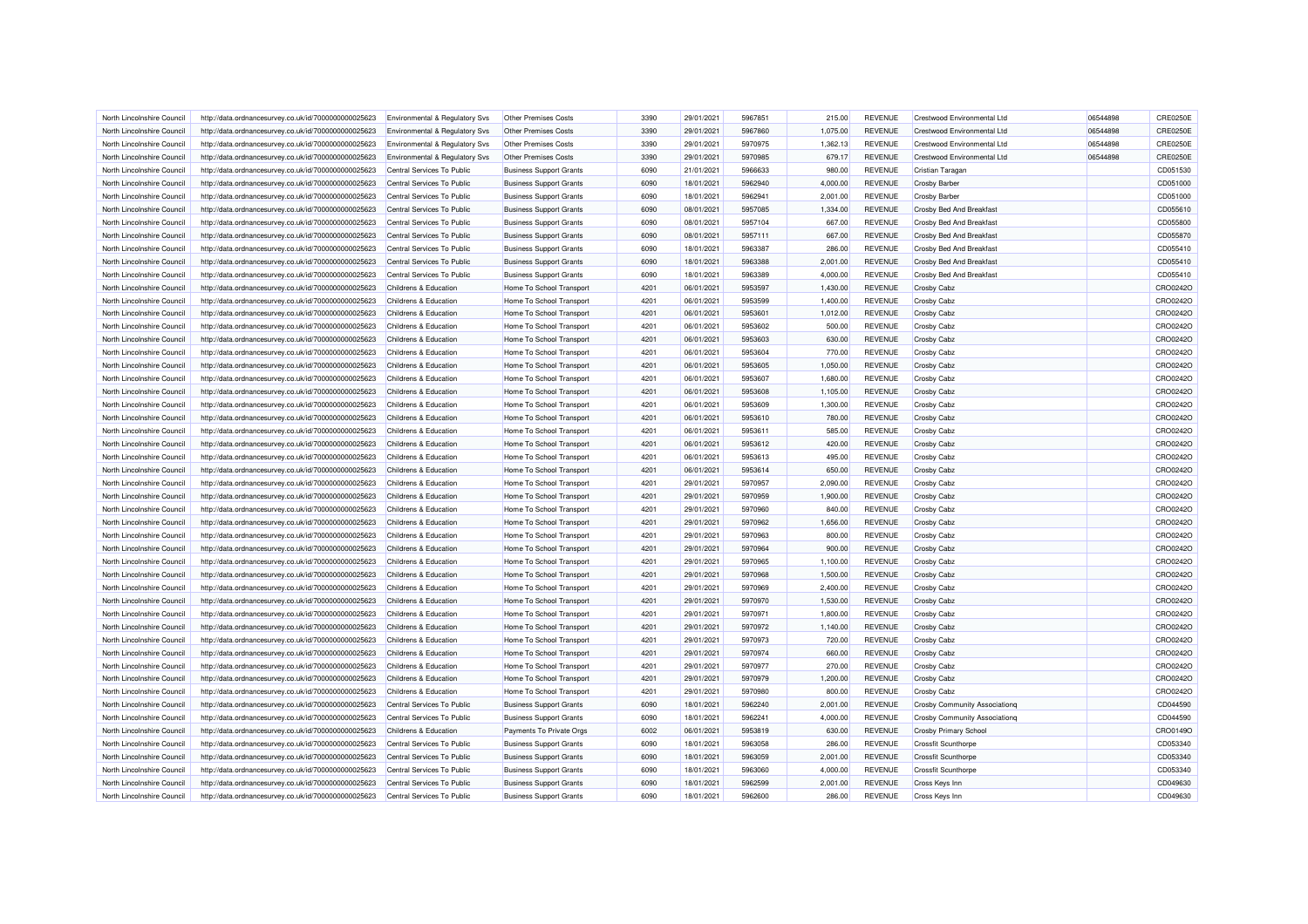| North Lincolnshire Council                               | http://data.ordnancesurvey.co.uk/id/7000000000025623 | Environmental & Regulatory Svs                 | <b>Other Premises Costs</b>    | 3390         | 29/01/2021               | 5967851            | 215.00   | <b>REVENUE</b>                   | Crestwood Environmental Ltd   | 06544898 | <b>CRE0250E</b>      |
|----------------------------------------------------------|------------------------------------------------------|------------------------------------------------|--------------------------------|--------------|--------------------------|--------------------|----------|----------------------------------|-------------------------------|----------|----------------------|
| North Lincolnshire Council                               | http://data.ordnancesurvey.co.uk/id/7000000000025623 | Environmental & Regulatory Svs                 | Other Premises Costs           | 3390         | 29/01/2021               | 5967860            | 1,075.00 | <b>REVENUE</b>                   | Crestwood Environmental Ltd   | 06544898 | <b>CRE0250E</b>      |
| North Lincolnshire Council                               | http://data.ordnancesurvey.co.uk/id/7000000000025623 | Environmental & Regulatory Svs                 | <b>Other Premises Costs</b>    | 3390         | 29/01/2021               | 5970975            | 1,362.13 | <b>REVENUE</b>                   | Crestwood Environmental Ltd   | 06544898 | <b>CRE0250E</b>      |
| North Lincolnshire Council                               | http://data.ordnancesurvey.co.uk/id/7000000000025623 | Environmental & Regulatory Svs                 | Other Premises Costs           | 3390         | 29/01/2021               | 5970985            | 679.17   | <b>REVENUE</b>                   | Crestwood Environmental Ltd   | 06544898 | <b>CRE0250E</b>      |
| North Lincolnshire Council                               | http://data.ordnancesurvey.co.uk/id/7000000000025623 | Central Services To Public                     | <b>Business Support Grants</b> | 6090         | 21/01/2021               | 5966633            | 980.00   | <b>REVENUE</b>                   | Cristian Taragan              |          | CD051530             |
| North Lincolnshire Council                               | http://data.ordnancesurvey.co.uk/id/7000000000025623 | Central Services To Public                     | <b>Business Support Grants</b> | 6090         | 18/01/2021               | 5962940            | 4,000.00 | <b>REVENUE</b>                   | <b>Crosby Barber</b>          |          | CD051000             |
| North Lincolnshire Council                               | http://data.ordnancesurvey.co.uk/id/7000000000025623 | Central Services To Public                     | <b>Business Support Grants</b> | 6090         | 18/01/2021               | 5962941            | 2,001.00 | <b>REVENUE</b>                   | Crosby Barber                 |          | CD051000             |
| North Lincolnshire Council                               | http://data.ordnancesurvey.co.uk/id/7000000000025623 | Central Services To Public                     | <b>Business Support Grants</b> | 6090         | 08/01/2021               | 5957085            | 1,334.00 | <b>REVENUE</b>                   | Crosby Bed And Breakfast      |          | CD055610             |
| North Lincolnshire Council                               | http://data.ordnancesurvey.co.uk/id/7000000000025623 | Central Services To Public                     | <b>Business Support Grants</b> | 6090         | 08/01/2021               | 5957104            | 667.00   | <b>REVENUE</b>                   | Crosby Bed And Breakfast      |          | CD055800             |
| North Lincolnshire Counci                                | http://data.ordnancesurvey.co.uk/id/7000000000025623 | Central Services To Public                     | <b>Business Support Grants</b> | 6090         | 08/01/2021               | 5957111            | 667.00   | <b>REVENUE</b>                   | Crosby Bed And Breakfast      |          | CD055870             |
| North Lincolnshire Council                               | http://data.ordnancesurvey.co.uk/id/7000000000025623 | Central Services To Public                     | <b>Business Support Grants</b> | 6090         | 18/01/2021               | 5963387            | 286.00   | <b>REVENUE</b>                   | Crosby Bed And Breakfast      |          | CD055410             |
| North Lincolnshire Council                               | http://data.ordnancesurvey.co.uk/id/7000000000025623 | Central Services To Public                     | <b>Business Support Grants</b> | 6090         | 18/01/2021               | 5963388            | 2,001.00 | <b>REVENUE</b>                   | Crosby Bed And Breakfast      |          | CD055410             |
| North Lincolnshire Council                               | http://data.ordnancesurvey.co.uk/id/7000000000025623 | Central Services To Public                     | <b>Business Support Grants</b> | 6090         | 18/01/2021               | 5963389            | 4,000.00 | <b>REVENUE</b>                   | Crosby Bed And Breakfast      |          | CD055410             |
| North Lincolnshire Council                               | http://data.ordnancesurvey.co.uk/id/7000000000025623 | Childrens & Education                          | Home To School Transport       | 4201         | 06/01/2021               | 5953597            | 1,430.00 | <b>REVENUE</b>                   | Crosby Cabz                   |          | CRO0242O             |
| North Lincolnshire Council                               | http://data.ordnancesurvey.co.uk/id/7000000000025623 | Childrens & Education                          | Home To School Transport       | 4201         | 06/01/2021               | 5953599            | 1,400.00 | <b>REVENUE</b>                   | Crosby Cabz                   |          | CRO0242C             |
| North Lincolnshire Counci                                | http://data.ordnancesurvey.co.uk/id/7000000000025623 | Childrens & Education                          | Home To School Transport       | 4201         | 06/01/2021               | 5953601            | 1,012.00 | <b>REVENUE</b>                   | Crosby Cabz                   |          | CRO0242O             |
| North Lincolnshire Council                               | http://data.ordnancesurvey.co.uk/id/7000000000025623 | Childrens & Education                          | Home To School Transport       | 4201         | 06/01/2021               | 5953602            | 500.00   | <b>REVENUE</b>                   | Crosby Cabz                   |          | CRO0242O             |
| North Lincolnshire Council                               | http://data.ordnancesurvey.co.uk/id/7000000000025623 | Childrens & Education                          | Home To School Transport       | 4201         | 06/01/2021               | 5953603            | 630.00   | <b>REVENUE</b>                   | Crosby Cabz                   |          | CRO0242O             |
| North Lincolnshire Council                               | http://data.ordnancesurvey.co.uk/id/7000000000025623 | Childrens & Education                          | Home To School Transport       | 4201         | 06/01/2021               | 5953604            | 770.00   | <b>REVENUE</b>                   | Crosby Cabz                   |          | CRO0242O             |
| North Lincolnshire Council                               | http://data.ordnancesurvey.co.uk/id/7000000000025623 | Childrens & Education                          | Home To School Transport       | 4201         | 06/01/2021               | 5953605            | 1,050.00 | <b>REVENUE</b>                   | Crosby Cabz                   |          | CRO0242O             |
| North Lincolnshire Council                               | http://data.ordnancesurvey.co.uk/id/7000000000025623 | Childrens & Education                          | Home To School Transport       | 4201         | 06/01/2021               | 5953607            | 1,680.00 | <b>REVENUE</b>                   | Crosby Cabz                   |          | CRO0242C             |
|                                                          |                                                      |                                                |                                |              |                          |                    |          |                                  |                               |          |                      |
| North Lincolnshire Council<br>North Lincolnshire Council | http://data.ordnancesurvey.co.uk/id/7000000000025623 | Childrens & Education<br>Childrens & Education | Home To School Transport       | 4201<br>4201 | 06/01/2021<br>06/01/2021 | 5953608<br>5953609 | 1,105.00 | <b>REVENUE</b><br><b>REVENUE</b> | Crosby Cabz                   |          | CRO0242O<br>CRO0242O |
|                                                          | http://data.ordnancesurvey.co.uk/id/7000000000025623 |                                                | Home To School Transport       |              |                          |                    | 1,300.00 |                                  | Crosby Cabz                   |          |                      |
| North Lincolnshire Council                               | http://data.ordnancesurvey.co.uk/id/7000000000025623 | Childrens & Education                          | Home To School Transport       | 4201         | 06/01/2021               | 5953610            | 780.00   | <b>REVENUE</b>                   | Crosby Cabz                   |          | CRO0242O             |
| North Lincolnshire Council                               | http://data.ordnancesurvey.co.uk/id/7000000000025623 | Childrens & Education                          | Home To School Transport       | 4201         | 06/01/2021               | 5953611            | 585.00   | <b>REVENUE</b>                   | Crosby Cabz                   |          | CRO0242O             |
| North Lincolnshire Council                               | http://data.ordnancesurvey.co.uk/id/7000000000025623 | Childrens & Education                          | Home To School Transport       | 4201         | 06/01/2021               | 5953612            | 420.00   | <b>REVENUE</b>                   | Crosby Cabz                   |          | CRO0242O             |
| North Lincolnshire Council                               | http://data.ordnancesurvey.co.uk/id/7000000000025623 | Childrens & Education                          | Home To School Transport       | 4201         | 06/01/2021               | 5953613            | 495.00   | <b>REVENUE</b>                   | Crosby Cabz                   |          | CRO0242C             |
| North Lincolnshire Council                               | http://data.ordnancesurvey.co.uk/id/7000000000025623 | Childrens & Education                          | Home To School Transport       | 4201         | 06/01/2021               | 5953614            | 650.00   | <b>REVENUE</b>                   | Crosby Cabz                   |          | CRO0242O             |
| North Lincolnshire Council                               | http://data.ordnancesurvey.co.uk/id/7000000000025623 | Childrens & Education                          | Home To School Transport       | 4201         | 29/01/2021               | 5970957            | 2,090.00 | <b>REVENUE</b>                   | Crosby Cabz                   |          | CRO0242O             |
| North Lincolnshire Council                               | http://data.ordnancesurvey.co.uk/id/7000000000025623 | Childrens & Education                          | Home To School Transport       | 4201         | 29/01/2021               | 5970959            | 1,900.00 | REVENUE                          | Crosby Cabz                   |          | CRO0242O             |
| North Lincolnshire Council                               | http://data.ordnancesurvey.co.uk/id/7000000000025623 | Childrens & Education                          | Home To School Transport       | 4201         | 29/01/2021               | 5970960            | 840.00   | <b>REVENUE</b>                   | Crosby Cabz                   |          | CRO0242O             |
| North Lincolnshire Council                               | http://data.ordnancesurvey.co.uk/id/7000000000025623 | Childrens & Education                          | Home To School Transport       | 4201         | 29/01/2021               | 5970962            | 1,656.00 | <b>REVENUE</b>                   | Crosby Cabz                   |          | CRO0242C             |
| North Lincolnshire Counci                                | http://data.ordnancesurvey.co.uk/id/7000000000025623 | Childrens & Education                          | Home To School Transport       | 4201         | 29/01/2021               | 5970963            | 800.00   | <b>REVENUE</b>                   | Crosby Cabz                   |          | CRO0242O             |
| North Lincolnshire Council                               | http://data.ordnancesurvey.co.uk/id/7000000000025623 | Childrens & Education                          | Home To School Transport       | 4201         | 29/01/2021               | 5970964            | 900.00   | <b>REVENUE</b>                   | Crosby Cabz                   |          | CRO0242O             |
| North Lincolnshire Council                               | http://data.ordnancesurvey.co.uk/id/7000000000025623 | Childrens & Education                          | Home To School Transport       | 4201         | 29/01/2021               | 5970965            | 1,100.00 | <b>REVENUE</b>                   | Crosby Cabz                   |          | CRO0242O             |
| North Lincolnshire Council                               | http://data.ordnancesurvey.co.uk/id/7000000000025623 | Childrens & Education                          | Home To School Transport       | 4201         | 29/01/2021               | 5970968            | 1,500.00 | REVENUE                          | Crosby Cabz                   |          | CRO0242O             |
| North Lincolnshire Council                               | http://data.ordnancesurvey.co.uk/id/7000000000025623 | Childrens & Education                          | Home To School Transport       | 4201         | 29/01/2021               | 5970969            | 2,400.00 | <b>REVENUE</b>                   | Crosby Cabz                   |          | CRO0242C             |
| North Lincolnshire Council                               | http://data.ordnancesurvey.co.uk/id/7000000000025623 | Childrens & Education                          | Home To School Transport       | 4201         | 29/01/2021               | 5970970            | 1,530.00 | <b>REVENUE</b>                   | Crosby Cabz                   |          | CRO0242O             |
| North Lincolnshire Council                               | http://data.ordnancesurvey.co.uk/id/7000000000025623 | Childrens & Education                          | Home To School Transport       | 4201         | 29/01/2021               | 5970971            | 1,800.00 | <b>REVENUE</b>                   | Crosby Cabz                   |          | CRO0242O             |
| North Lincolnshire Council                               | http://data.ordnancesurvey.co.uk/id/7000000000025623 | Childrens & Education                          | Home To School Transport       | 4201         | 29/01/2021               | 5970972            | 1,140.00 | <b>REVENUE</b>                   | Crosby Cabz                   |          | CRO0242O             |
| North Lincolnshire Council                               | http://data.ordnancesurvey.co.uk/id/7000000000025623 | Childrens & Education                          | Home To School Transport       | 4201         | 29/01/2021               | 5970973            | 720.00   | <b>REVENUE</b>                   | Crosby Cabz                   |          | CRO0242O             |
| North Lincolnshire Council                               | http://data.ordnancesurvey.co.uk/id/7000000000025623 | Childrens & Education                          | Home To School Transport       | 4201         | 29/01/2021               | 5970974            | 660.00   | <b>REVENUE</b>                   | Crosby Cabz                   |          | CRO0242O             |
| North Lincolnshire Council                               | http://data.ordnancesurvey.co.uk/id/7000000000025623 | Childrens & Education                          | Home To School Transport       | 4201         | 29/01/2021               | 5970977            | 270.00   | <b>REVENUE</b>                   | Crosby Cabz                   |          | CRO0242C             |
| North Lincolnshire Council                               | http://data.ordnancesurvey.co.uk/id/7000000000025623 | Childrens & Education                          | Home To School Transport       | 4201         | 29/01/2021               | 5970979            | 1,200.00 | <b>REVENUE</b>                   | Crosby Cabz                   |          | CRO0242O             |
| North Lincolnshire Council                               | http://data.ordnancesurvey.co.uk/id/7000000000025623 | Childrens & Education                          | Home To School Transport       | 4201         | 29/01/2021               | 5970980            | 800.00   | <b>REVENUE</b>                   | Crosby Cabz                   |          | CRO0242O             |
| North Lincolnshire Council                               | http://data.ordnancesurvey.co.uk/id/7000000000025623 | Central Services To Public                     | <b>Business Support Grants</b> | 6090         | 18/01/2021               | 5962240            | 2,001.00 | <b>REVENUE</b>                   | Crosby Community Associationg |          | CD044590             |
| North Lincolnshire Council                               | http://data.ordnancesurvey.co.uk/id/7000000000025623 | Central Services To Public                     | <b>Business Support Grants</b> | 6090         | 18/01/2021               | 5962241            | 4,000.00 | <b>REVENUE</b>                   | Crosby Community Associationg |          | CD044590             |
| North Lincolnshire Council                               | http://data.ordnancesurvey.co.uk/id/7000000000025623 | Childrens & Education                          | Payments To Private Orgs       | 6002         | 06/01/2021               | 5953819            | 630.00   | <b>REVENUE</b>                   | Crosby Primary School         |          | CRO0149O             |
| North Lincolnshire Council                               | http://data.ordnancesurvey.co.uk/id/7000000000025623 | Central Services To Public                     | <b>Business Support Grants</b> | 6090         | 18/01/2021               | 5963058            | 286.00   | <b>REVENUE</b>                   | <b>Crossfit Scunthorpe</b>    |          | CD053340             |
| North Lincolnshire Council                               | http://data.ordnancesurvey.co.uk/id/7000000000025623 | Central Services To Public                     | <b>Business Support Grants</b> | 6090         | 18/01/2021               | 5963059            | 2,001.00 | <b>REVENUE</b>                   | <b>Crossfit Scunthorpe</b>    |          | CD053340             |
| North Lincolnshire Council                               | http://data.ordnancesurvey.co.uk/id/7000000000025623 | Central Services To Public                     | <b>Business Support Grants</b> | 6090         | 18/01/2021               | 5963060            | 4,000.00 | <b>REVENUE</b>                   | <b>Crossfit Scunthorpe</b>    |          | CD053340             |
| North Lincolnshire Council                               | http://data.ordnancesurvey.co.uk/id/7000000000025623 | Central Services To Public                     | <b>Business Support Grants</b> | 6090         | 18/01/2021               | 5962599            | 2,001.00 | <b>REVENUE</b>                   | Cross Keys Inn                |          | CD049630             |
| North Lincolnshire Council                               | http://data.ordnancesurvey.co.uk/id/7000000000025623 | Central Services To Public                     | <b>Business Support Grants</b> | 6090         | 18/01/2021               | 5962600            | 286.00   | <b>REVENUE</b>                   | Cross Keys Inn                |          | CD049630             |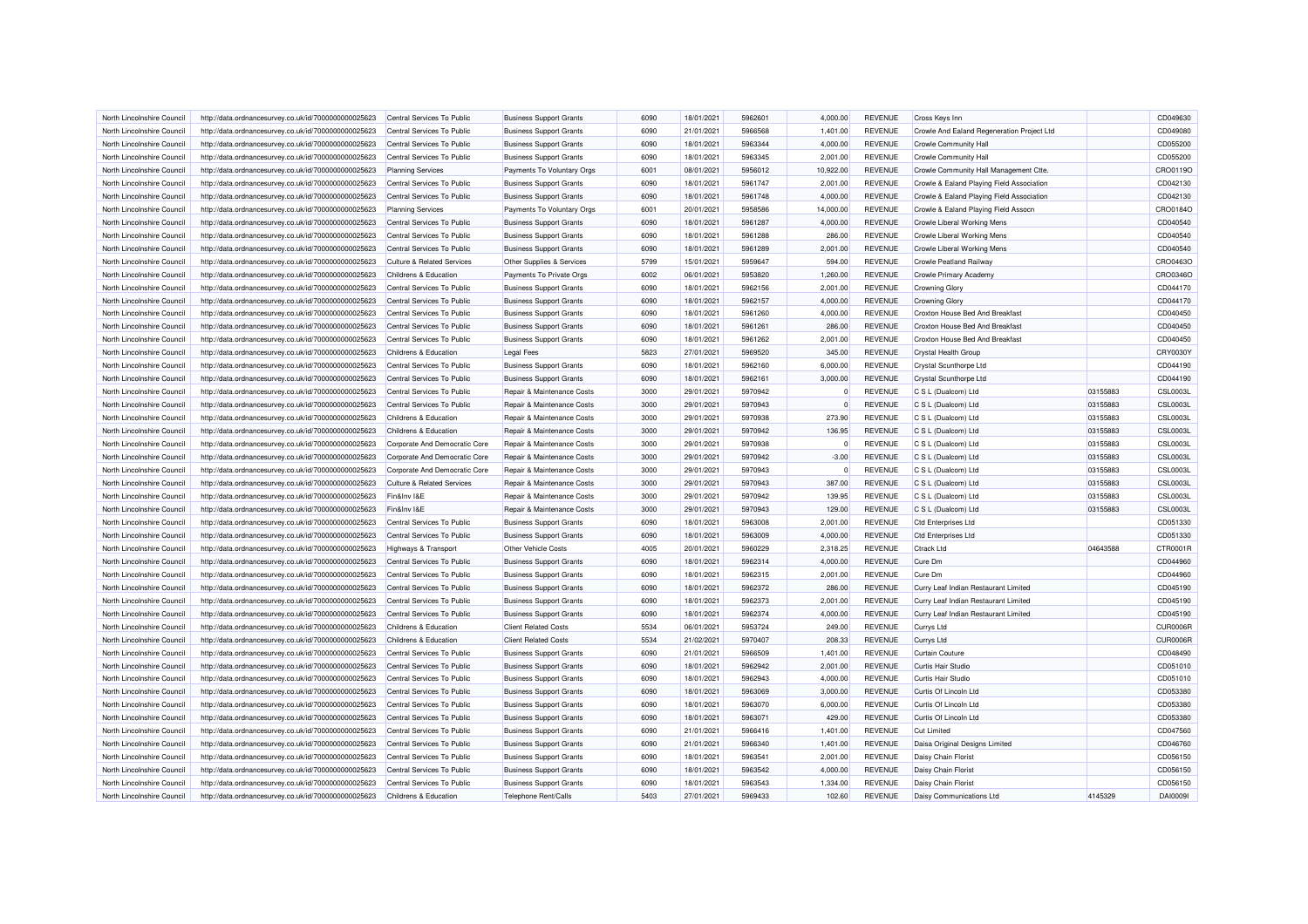| North Lincolnshire Council                               | http://data.ordnancesurvey.co.uk/id/7000000000025623 | Central Services To Public                           | <b>Business Support Grants</b> | 6090 | 18/01/2021 | 5962601 | 4,000.00    | <b>REVENUE</b>                   | <b>Cross Keys Inn</b>                      |          | CD049630        |
|----------------------------------------------------------|------------------------------------------------------|------------------------------------------------------|--------------------------------|------|------------|---------|-------------|----------------------------------|--------------------------------------------|----------|-----------------|
| North Lincolnshire Council                               | http://data.ordnancesurvey.co.uk/id/7000000000025623 | Central Services To Public                           | <b>Business Support Grants</b> | 6090 | 21/01/2021 | 5966568 | 1,401.00    | <b>REVENUE</b>                   | Crowle And Ealand Regeneration Project Ltd |          | CD049080        |
| North Lincolnshire Council                               | http://data.ordnancesurvey.co.uk/id/7000000000025623 | Central Services To Public                           | <b>Business Support Grants</b> | 6090 | 18/01/2021 | 5963344 | 4.000.00    | <b>REVENUE</b>                   | <b>Crowle Community Hall</b>               |          | CD055200        |
| North Lincolnshire Council                               | http://data.ordnancesurvey.co.uk/id/7000000000025623 | Central Services To Public                           | <b>Business Support Grants</b> | 6090 | 18/01/2021 | 5963345 | 2,001.00    | <b>REVENUE</b>                   | Crowle Community Hall                      |          | CD055200        |
| North Lincolnshire Council                               |                                                      |                                                      |                                | 6001 | 08/01/2021 | 5956012 | 10,922.00   | <b>REVENUE</b>                   |                                            |          | CRO0119O        |
|                                                          | http://data.ordnancesurvey.co.uk/id/7000000000025623 | <b>Planning Services</b>                             | Payments To Voluntary Orgs     |      | 18/01/2021 |         |             |                                  | Crowle Community Hall Management Ctte.     |          | CD042130        |
| North Lincolnshire Council                               | http://data.ordnancesurvey.co.uk/id/7000000000025623 | Central Services To Public                           | <b>Business Support Grants</b> | 6090 |            | 5961747 | 2,001.00    | <b>REVENUE</b>                   | Crowle & Ealand Playing Field Association  |          |                 |
| North Lincolnshire Council                               | http://data.ordnancesurvey.co.uk/id/7000000000025623 | Central Services To Public                           | <b>Business Support Grants</b> | 6090 | 18/01/2021 | 5961748 | 4,000.00    | <b>REVENUE</b>                   | Crowle & Ealand Playing Field Association  |          | CD042130        |
| North Lincolnshire Council                               | http://data.ordnancesurvey.co.uk/id/7000000000025623 | <b>Planning Services</b>                             | Payments To Voluntary Orgs     | 6001 | 20/01/2021 | 5958586 | 14,000.00   | <b>REVENUE</b>                   | Crowle & Ealand Playing Field Assocn       |          | CRO0184O        |
| North Lincolnshire Council                               | http://data.ordnancesurvey.co.uk/id/7000000000025623 | Central Services To Public                           | <b>Business Support Grants</b> | 6090 | 18/01/2021 | 5961287 | 4.000.00    | <b>REVENUE</b>                   | Crowle Liberal Working Mens                |          | CD040540        |
| North Lincolnshire Council                               | http://data.ordnancesurvey.co.uk/id/7000000000025623 | Central Services To Public                           | <b>Business Support Grants</b> | 6090 | 18/01/2021 | 5961288 | 286.00      | <b>REVENUE</b>                   | Crowle Liberal Working Mens                |          | CD040540        |
| North Lincolnshire Council                               | http://data.ordnancesurvey.co.uk/id/7000000000025623 | Central Services To Public                           | <b>Business Support Grants</b> | 6090 | 18/01/2021 | 5961289 | 2,001.00    | <b>REVENUE</b>                   | Crowle Liberal Working Mens                |          | CD040540        |
| North Lincolnshire Council                               | http://data.ordnancesurvey.co.uk/id/7000000000025623 | <b>Culture &amp; Related Services</b>                | Other Supplies & Services      | 5799 | 15/01/2021 | 5959647 | 594.00      | <b>REVENUE</b>                   | Crowle Peatland Railway                    |          | CRO0463O        |
| North Lincolnshire Council                               | http://data.ordnancesurvey.co.uk/id/7000000000025623 | Childrens & Education                                | Payments To Private Orgs       | 6002 | 06/01/2021 | 5953820 | 1,260.00    | <b>REVENUE</b>                   | Crowle Primary Academy                     |          | CRO0346O        |
| North Lincolnshire Council                               | http://data.ordnancesurvey.co.uk/id/7000000000025623 | Central Services To Public                           | <b>Business Support Grants</b> | 6090 | 18/01/2021 | 5962156 | 2,001.00    | <b>REVENUE</b>                   | <b>Crowning Glory</b>                      |          | CD044170        |
| North Lincolnshire Council                               | http://data.ordnancesurvey.co.uk/id/7000000000025623 | Central Services To Public                           | <b>Business Support Grants</b> | 6090 | 18/01/2021 | 5962157 | 4,000.00    | <b>REVENUE</b>                   | <b>Crowning Glory</b>                      |          | CD044170        |
| North Lincolnshire Council                               | http://data.ordnancesurvey.co.uk/id/7000000000025623 | Central Services To Public                           | <b>Business Support Grants</b> | 6090 | 18/01/2021 | 5961260 | 4,000.00    | <b>REVENUE</b>                   | Croxton House Bed And Breakfast            |          | CD040450        |
| North Lincolnshire Council                               | http://data.ordnancesurvey.co.uk/id/7000000000025623 | Central Services To Public                           | <b>Business Support Grants</b> | 6090 | 18/01/2021 | 5961261 | 286.00      | <b>REVENUE</b>                   | Croxton House Bed And Breakfast            |          | CD040450        |
| North Lincolnshire Council                               | http://data.ordnancesurvey.co.uk/id/7000000000025623 | Central Services To Public                           | <b>Business Support Grants</b> | 6090 | 18/01/2021 | 5961262 | 2,001.00    | <b>REVENUE</b>                   | Croxton House Bed And Breakfast            |          | CD040450        |
| North Lincolnshire Council                               | http://data.ordnancesurvey.co.uk/id/7000000000025623 | Childrens & Education                                | <b>Legal Fees</b>              | 5823 | 27/01/2021 | 5969520 | 345.00      | <b>REVENUE</b>                   | <b>Crystal Health Group</b>                |          | CRY0030Y        |
| North Lincolnshire Council                               | http://data.ordnancesurvey.co.uk/id/7000000000025623 | Central Services To Public                           | <b>Business Support Grants</b> | 6090 | 18/01/2021 | 5962160 | 6,000.00    | <b>REVENUE</b>                   | <b>Crystal Scunthorpe Ltd</b>              |          | CD044190        |
| North Lincolnshire Council                               | http://data.ordnancesurvey.co.uk/id/7000000000025623 | Central Services To Public                           | <b>Business Support Grants</b> | 6090 | 18/01/2021 | 5962161 | 3,000.00    | <b>REVENUE</b>                   | <b>Crystal Scunthorpe Ltd</b>              |          | CD044190        |
| North Lincolnshire Council                               | http://data.ordnancesurvey.co.uk/id/7000000000025623 | Central Services To Public                           | Repair & Maintenance Costs     | 3000 | 29/01/2021 | 5970942 | $\Omega$    | <b>REVENUE</b>                   | C S L (Dualcom) Ltd                        | 03155883 | <b>CSL0003L</b> |
| North Lincolnshire Council                               | http://data.ordnancesurvey.co.uk/id/7000000000025623 | Central Services To Public                           | Repair & Maintenance Costs     | 3000 | 29/01/2021 | 5970943 | $\mathbf 0$ | <b>REVENUE</b>                   | C S L (Dualcom) Ltd                        | 03155883 | <b>CSL0003L</b> |
| North Lincolnshire Council                               | http://data.ordnancesurvey.co.uk/id/7000000000025623 | Childrens & Education                                | Repair & Maintenance Costs     | 3000 | 29/01/2021 | 5970938 | 273.90      | <b>REVENUE</b>                   | C S L (Dualcom) Ltd                        | 03155883 | <b>CSL0003L</b> |
| North Lincolnshire Council                               | http://data.ordnancesurvey.co.uk/id/7000000000025623 | Childrens & Education                                | Repair & Maintenance Costs     | 3000 | 29/01/2021 | 5970942 | 136.95      | <b>REVENUE</b>                   | C S L (Dualcom) Ltd                        | 03155883 | <b>CSL0003L</b> |
| North Lincolnshire Council                               | http://data.ordnancesurvey.co.uk/id/7000000000025623 | Corporate And Democratic Core                        | Repair & Maintenance Costs     | 3000 | 29/01/2021 | 5970938 | 0           | <b>REVENUE</b>                   | C S L (Dualcom) Ltd                        | 03155883 | <b>CSL0003L</b> |
| North Lincolnshire Council                               | http://data.ordnancesurvey.co.uk/id/7000000000025623 | Corporate And Democratic Core                        | Repair & Maintenance Costs     | 3000 | 29/01/2021 | 5970942 | $-3.00$     | <b>REVENUE</b>                   | C S L (Dualcom) Ltd                        | 03155883 | <b>CSL0003L</b> |
| North Lincolnshire Council                               | http://data.ordnancesurvey.co.uk/id/7000000000025623 | Corporate And Democratic Core                        | Repair & Maintenance Costs     | 3000 | 29/01/2021 | 5970943 | $\Omega$    | <b>REVENUE</b>                   | C S L (Dualcom) Ltd                        | 03155883 | <b>CSL0003L</b> |
|                                                          |                                                      |                                                      |                                | 3000 | 29/01/2021 | 5970943 | 387.00      |                                  |                                            | 03155883 | <b>CSL0003L</b> |
| North Lincolnshire Council<br>North Lincolnshire Council | http://data.ordnancesurvey.co.uk/id/7000000000025623 | <b>Culture &amp; Related Services</b><br>Fin&Inv I&E | Repair & Maintenance Costs     | 3000 |            | 5970942 | 139.95      | <b>REVENUE</b><br><b>REVENUE</b> | C S L (Dualcom) Ltd                        |          | <b>CSL0003L</b> |
|                                                          | http://data.ordnancesurvey.co.uk/id/7000000000025623 |                                                      | Repair & Maintenance Costs     |      | 29/01/2021 |         |             |                                  | C S L (Dualcom) Ltd                        | 03155883 |                 |
| North Lincolnshire Counci                                | http://data.ordnancesurvey.co.uk/id/7000000000025623 | Fin&Inv I&F                                          | Repair & Maintenance Costs     | 3000 | 29/01/2021 | 5970943 | 129.00      | <b>REVENUE</b>                   | C S L (Dualcom) Ltd                        | 03155883 | <b>CSL0003L</b> |
| North Lincolnshire Council                               | http://data.ordnancesurvey.co.uk/id/7000000000025623 | Central Services To Public                           | <b>Business Support Grants</b> | 6090 | 18/01/2021 | 5963008 | 2,001.00    | <b>REVENUE</b>                   | <b>Ctd Enterprises Ltd</b>                 |          | CD051330        |
| North Lincolnshire Council                               | http://data.ordnancesurvey.co.uk/id/7000000000025623 | Central Services To Public                           | <b>Business Support Grants</b> | 6090 | 18/01/2021 | 5963009 | 4,000.00    | <b>REVENUE</b>                   | <b>Ctd Enterprises Ltd</b>                 |          | CD051330        |
| North Lincolnshire Council                               | http://data.ordnancesurvey.co.uk/id/7000000000025623 | <b>Highways &amp; Transport</b>                      | Other Vehicle Costs            | 4005 | 20/01/2021 | 5960229 | 2,318.25    | <b>REVENUE</b>                   | <b>Ctrack Ltd</b>                          | 04643588 | CTR0001R        |
| North Lincolnshire Council                               | http://data.ordnancesurvey.co.uk/id/7000000000025623 | Central Services To Public                           | <b>Business Support Grants</b> | 6090 | 18/01/2021 | 5962314 | 4,000.00    | <b>REVENUE</b>                   | Cure Dm                                    |          | CD044960        |
| North Lincolnshire Council                               | http://data.ordnancesurvey.co.uk/id/7000000000025623 | Central Services To Public                           | <b>Business Support Grants</b> | 6090 | 18/01/2021 | 5962315 | 2.001.00    | <b>REVENUE</b>                   | Cure Dm                                    |          | CD044960        |
| North Lincolnshire Council                               | http://data.ordnancesurvey.co.uk/id/7000000000025623 | Central Services To Public                           | <b>Business Support Grants</b> | 6090 | 18/01/2021 | 5962372 | 286.00      | <b>REVENUE</b>                   | Curry Leaf Indian Restaurant Limited       |          | CD045190        |
| North Lincolnshire Council                               | http://data.ordnancesurvey.co.uk/id/7000000000025623 | Central Services To Public                           | <b>Business Support Grants</b> | 6090 | 18/01/2021 | 5962373 | 2,001.00    | <b>REVENUE</b>                   | Curry Leaf Indian Restaurant Limited       |          | CD045190        |
| North Lincolnshire Council                               | http://data.ordnancesurvey.co.uk/id/7000000000025623 | Central Services To Public                           | <b>Business Support Grants</b> | 6090 | 18/01/2021 | 5962374 | 4,000.00    | <b>REVENUE</b>                   | Curry Leaf Indian Restaurant Limited       |          | CD045190        |
| North Lincolnshire Council                               | http://data.ordnancesurvey.co.uk/id/7000000000025623 | Childrens & Education                                | <b>Client Related Costs</b>    | 5534 | 06/01/2021 | 5953724 | 249.00      | <b>REVENUE</b>                   | Currys Ltd                                 |          | CUR0006F        |
| North Lincolnshire Council                               | http://data.ordnancesurvey.co.uk/id/7000000000025623 | Childrens & Education                                | <b>Client Related Costs</b>    | 5534 | 21/02/2021 | 5970407 | 208.33      | <b>REVENUE</b>                   | <b>Currys Ltd</b>                          |          | CUR0006R        |
| North Lincolnshire Council                               | http://data.ordnancesurvey.co.uk/id/7000000000025623 | Central Services To Public                           | <b>Business Support Grants</b> | 6090 | 21/01/2021 | 5966509 | 1,401.00    | <b>REVENUE</b>                   | <b>Curtain Couture</b>                     |          | CD048490        |
| North Lincolnshire Council                               | http://data.ordnancesurvey.co.uk/id/7000000000025623 | Central Services To Public                           | <b>Business Support Grants</b> | 6090 | 18/01/2021 | 5962942 | 2,001.00    | <b>REVENUE</b>                   | Curtis Hair Studio                         |          | CD051010        |
| North Lincolnshire Council                               | http://data.ordnancesurvey.co.uk/id/7000000000025623 | Central Services To Public                           | <b>Business Support Grants</b> | 6090 | 18/01/2021 | 5962943 | 4,000.00    | <b>REVENUE</b>                   | <b>Curtis Hair Studio</b>                  |          | CD051010        |
| North Lincolnshire Council                               | http://data.ordnancesurvey.co.uk/id/7000000000025623 | Central Services To Public                           | <b>Business Support Grants</b> | 6090 | 18/01/2021 | 5963069 | 3,000.00    | <b>REVENUE</b>                   | Curtis Of Lincoln Ltd                      |          | CD053380        |
| North Lincolnshire Council                               | http://data.ordnancesurvey.co.uk/id/7000000000025623 | Central Services To Public                           | <b>Business Support Grants</b> | 6090 | 18/01/2021 | 5963070 | 6,000.00    | <b>REVENUE</b>                   | Curtis Of Lincoln Ltd                      |          | CD053380        |
| North Lincolnshire Council                               | http://data.ordnancesurvey.co.uk/id/7000000000025623 | Central Services To Public                           | <b>Business Support Grants</b> | 6090 | 18/01/2021 | 5963071 | 429.00      | <b>REVENUE</b>                   | Curtis Of Lincoln Ltd                      |          | CD053380        |
| North Lincolnshire Counci                                | http://data.ordnancesurvey.co.uk/id/7000000000025623 | Central Services To Public                           | <b>Business Support Grants</b> | 6090 | 21/01/2021 | 5966416 | 1,401.00    | <b>REVENUE</b>                   | <b>Cut Limited</b>                         |          | CD047560        |
| North Lincolnshire Council                               | http://data.ordnancesurvey.co.uk/id/7000000000025623 | Central Services To Public                           | <b>Business Support Grants</b> | 6090 | 21/01/2021 | 5966340 | 1,401.00    | <b>REVENUE</b>                   | Daisa Original Designs Limited             |          | CD046760        |
| North Lincolnshire Council                               | http://data.ordnancesurvey.co.uk/id/7000000000025623 | Central Services To Public                           | <b>Business Support Grants</b> | 6090 | 18/01/2021 | 5963541 | 2,001.00    | <b>REVENUE</b>                   | Daisy Chain Florist                        |          | CD056150        |
| North Lincolnshire Council                               | http://data.ordnancesurvey.co.uk/id/7000000000025623 | Central Services To Public                           | <b>Business Support Grants</b> | 6090 | 18/01/2021 | 5963542 | 4,000.00    | <b>REVENUE</b>                   | Daisy Chain Florist                        |          | CD056150        |
| North Lincolnshire Council                               | http://data.ordnancesurvey.co.uk/id/7000000000025623 | Central Services To Public                           | <b>Business Support Grants</b> | 6090 | 18/01/2021 | 5963543 | 1,334.00    | <b>REVENUE</b>                   | Daisy Chain Florist                        |          | CD056150        |
| North Lincolnshire Council                               | http://data.ordnancesurvey.co.uk/id/7000000000025623 | Childrens & Education                                | Telephone Rent/Calls           | 5403 | 27/01/2021 | 5969433 | 102.60      | <b>REVENUE</b>                   | Daisy Communications Ltd                   | 4145329  | DAI00091        |
|                                                          |                                                      |                                                      |                                |      |            |         |             |                                  |                                            |          |                 |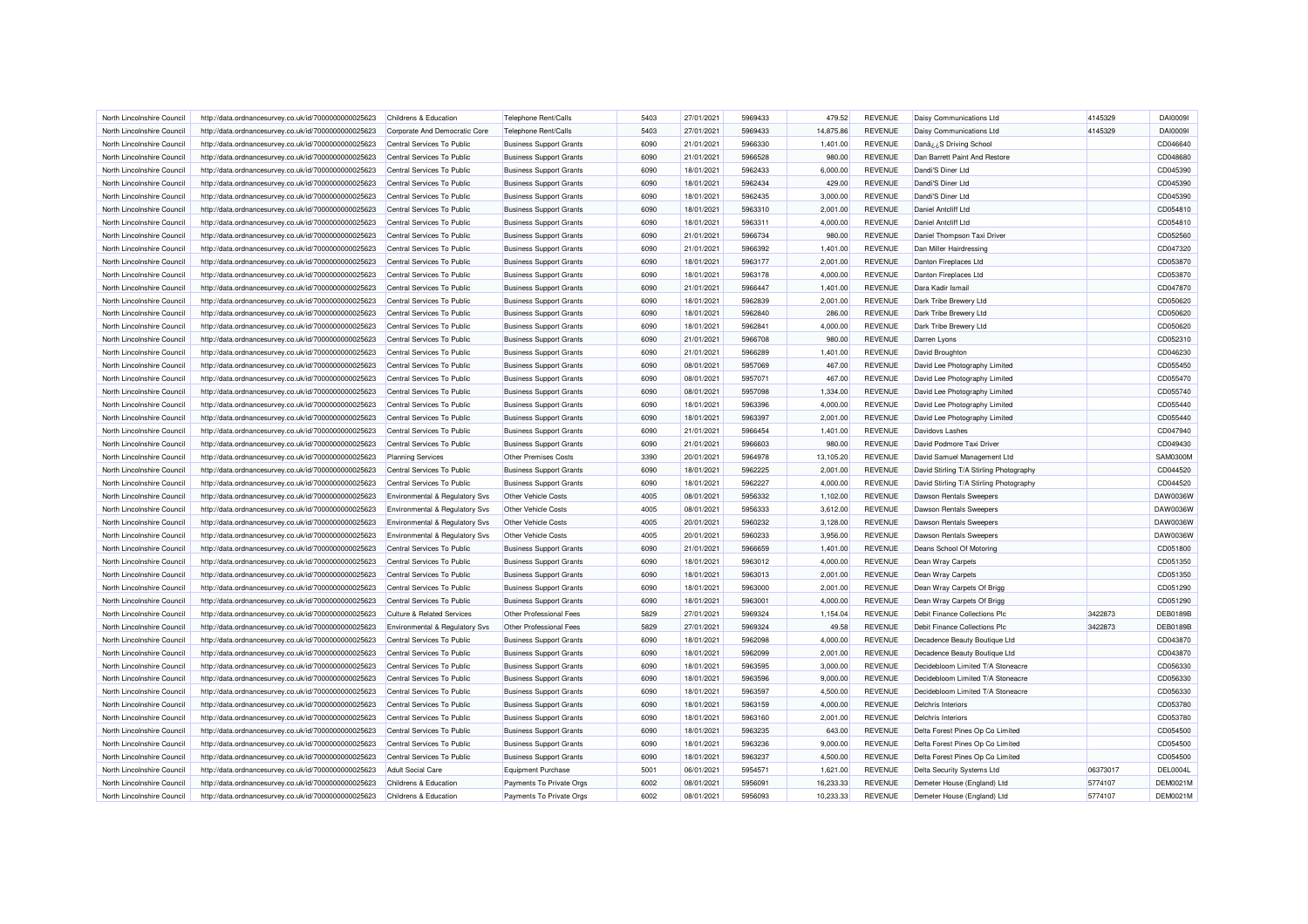| North Lincolnshire Council | http://data.ordnancesurvey.co.uk/id/7000000000025623 | Childrens & Education                     | Telephone Rent/Calls           | 5403 | 27/01/2021 | 5969433 | 479.52    | REVENUE        | Daisy Communications Ltd                | 4145329  | DAI00091        |
|----------------------------|------------------------------------------------------|-------------------------------------------|--------------------------------|------|------------|---------|-----------|----------------|-----------------------------------------|----------|-----------------|
| North Lincolnshire Council | http://data.ordnancesurvey.co.uk/id/7000000000025623 | Corporate And Democratic Core             | Telephone Rent/Calls           | 5403 | 27/01/2021 | 5969433 | 14,875.86 | <b>REVENUE</b> | Daisy Communications Ltd                | 4145329  | DAI00091        |
| North Lincolnshire Council | http://data.ordnancesurvey.co.uk/id/7000000000025623 | Central Services To Public                | <b>Business Support Grants</b> | 6090 | 21/01/2021 | 5966330 | 1,401.00  | <b>REVENUE</b> | Danâ¿¿S Driving School                  |          | CD046640        |
| North Lincolnshire Council | http://data.ordnancesurvey.co.uk/id/7000000000025623 | Central Services To Public                | <b>Business Support Grants</b> | 6090 | 21/01/2021 | 5966528 | 980.00    | <b>REVENUE</b> | Dan Barrett Paint And Restore           |          | CD048680        |
| North Lincolnshire Council | http://data.ordnancesurvey.co.uk/id/7000000000025623 | Central Services To Public                | <b>Business Support Grants</b> | 6090 | 18/01/2021 | 5962433 | 6,000.00  | <b>REVENUE</b> | Dandi'S Diner Ltd                       |          | CD045390        |
| North Lincolnshire Council | http://data.ordnancesurvey.co.uk/id/7000000000025623 | Central Services To Public                | <b>Business Support Grants</b> | 6090 | 18/01/2021 | 5962434 | 429.00    | <b>REVENUE</b> | Dandi'S Diner Ltd                       |          | CD045390        |
| North Lincolnshire Council | http://data.ordnancesurvey.co.uk/id/7000000000025623 | Central Services To Public                | <b>Business Support Grants</b> | 6090 | 18/01/2021 | 5962435 | 3,000.00  | <b>REVENUE</b> | Dandi'S Diner Ltd                       |          | CD045390        |
| North Lincolnshire Council | http://data.ordnancesurvey.co.uk/id/7000000000025623 | Central Services To Public                | <b>Business Support Grants</b> | 6090 | 18/01/2021 | 5963310 | 2,001.00  | <b>REVENUE</b> | Daniel Antoliff I to                    |          | CD054810        |
| North Lincolnshire Council | http://data.ordnancesurvey.co.uk/id/7000000000025623 | Central Services To Public                | <b>Business Support Grants</b> | 6090 | 18/01/2021 | 5963311 | 4,000.00  | <b>REVENUE</b> | Daniel Anteliff I to                    |          | CD054810        |
| North Lincolnshire Council | http://data.ordnancesurvey.co.uk/id/7000000000025623 | Central Services To Public                | <b>Business Support Grants</b> | 6090 | 21/01/2021 | 5966734 | 980.00    | <b>REVENUE</b> | Daniel Thompson Taxi Driver             |          | CD052560        |
| North Lincolnshire Council | http://data.ordnancesurvey.co.uk/id/7000000000025623 | Central Services To Public                | <b>Business Support Grants</b> | 6090 | 21/01/2021 | 5966392 | 1,401.00  | <b>REVENUE</b> | Dan Miller Hairdressing                 |          | CD047320        |
| North Lincolnshire Council | http://data.ordnancesurvey.co.uk/id/7000000000025623 | Central Services To Public                | <b>Business Support Grants</b> | 6090 | 18/01/2021 | 5963177 | 2,001.00  | <b>REVENUE</b> | Danton Fireplaces Ltd                   |          | CD053870        |
| North Lincolnshire Council | http://data.ordnancesurvey.co.uk/id/7000000000025623 | Central Services To Public                | <b>Business Support Grants</b> | 6090 | 18/01/2021 | 5963178 | 4,000.00  | <b>REVENUE</b> | Danton Fireplaces Ltd                   |          | CD053870        |
| North Lincolnshire Council | http://data.ordnancesurvey.co.uk/id/7000000000025623 | Central Services To Public                | <b>Business Support Grants</b> | 6090 | 21/01/2021 | 5966447 | 1,401.00  | <b>REVENUE</b> | Dara Kadir Ismail                       |          | CD047870        |
| North Lincolnshire Council | http://data.ordnancesurvey.co.uk/id/7000000000025623 | Central Services To Public                | <b>Business Support Grants</b> | 6090 | 18/01/2021 | 5962839 | 2,001.00  | <b>REVENUE</b> | Dark Tribe Brewery Ltd                  |          | CD050620        |
| North Lincolnshire Council | http://data.ordnancesurvey.co.uk/id/7000000000025623 | Central Services To Public                | <b>Business Support Grants</b> | 6090 | 18/01/2021 | 5962840 | 286.00    | <b>REVENUE</b> | Dark Tribe Brewery Ltd                  |          | CD050620        |
| North Lincolnshire Council |                                                      | Central Services To Public                |                                | 6090 | 18/01/2021 | 5962841 | 4,000.00  | <b>REVENUE</b> | Dark Tribe Brewery Ltd                  |          | CD050620        |
| North Lincolnshire Council | http://data.ordnancesurvey.co.uk/id/7000000000025623 |                                           | <b>Business Support Grants</b> | 6090 | 21/01/2021 | 5966708 | 980.00    | <b>REVENUE</b> |                                         |          | CD052310        |
|                            | http://data.ordnancesurvey.co.uk/id/7000000000025623 | Central Services To Public                | <b>Business Support Grants</b> |      |            |         |           |                | Darren Lyons                            |          |                 |
| North Lincolnshire Council | http://data.ordnancesurvey.co.uk/id/7000000000025623 | Central Services To Public                | <b>Business Support Grants</b> | 6090 | 21/01/2021 | 5966289 | 1,401.00  | <b>REVENUE</b> | David Broughton                         |          | CD046230        |
| North Lincolnshire Council | http://data.ordnancesurvey.co.uk/id/7000000000025623 | Central Services To Public                | <b>Business Support Grants</b> | 6090 | 08/01/2021 | 5957069 | 467.00    | <b>REVENUE</b> | David Lee Photography Limited           |          | CD055450        |
| North Lincolnshire Council | http://data.ordnancesurvey.co.uk/id/7000000000025623 | Central Services To Public                | <b>Business Support Grants</b> | 6090 | 08/01/2021 | 5957071 | 467.00    | <b>REVENUE</b> | David Lee Photography Limited           |          | CD055470        |
| North Lincolnshire Council | http://data.ordnancesurvey.co.uk/id/7000000000025623 | Central Services To Public                | <b>Business Support Grants</b> | 6090 | 08/01/2021 | 5957098 | 1,334.00  | REVENUE        | David Lee Photography Limited           |          | CD055740        |
| North Lincolnshire Council | http://data.ordnancesurvey.co.uk/id/7000000000025623 | Central Services To Public                | <b>Business Support Grants</b> | 6090 | 18/01/2021 | 5963396 | 4.000.00  | <b>REVENUE</b> | David Lee Photography Limited           |          | CD055440        |
| North Lincolnshire Council | http://data.ordnancesurvey.co.uk/id/7000000000025623 | Central Services To Public                | <b>Business Support Grants</b> | 6090 | 18/01/2021 | 5963397 | 2,001.00  | <b>REVENUE</b> | David Lee Photography Limited           |          | CD055440        |
| North Lincolnshire Council | http://data.ordnancesurvey.co.uk/id/7000000000025623 | Central Services To Public                | <b>Business Support Grants</b> | 6090 | 21/01/2021 | 5966454 | 1,401.00  | <b>REVENUE</b> | Davidovs Lashes                         |          | CD047940        |
| North Lincolnshire Council | http://data.ordnancesurvey.co.uk/id/7000000000025623 | Central Services To Public                | <b>Business Support Grants</b> | 6090 | 21/01/2021 | 5966603 | 980.00    | <b>REVENUE</b> | David Podmore Taxi Driver               |          | CD049430        |
| North Lincolnshire Council | http://data.ordnancesurvey.co.uk/id/7000000000025623 | <b>Planning Services</b>                  | <b>Other Premises Costs</b>    | 3390 | 20/01/2021 | 5964978 | 13,105.20 | <b>REVENUE</b> | David Samuel Management Ltd             |          | <b>SAM0300M</b> |
| North Lincolnshire Council | http://data.ordnancesurvey.co.uk/id/7000000000025623 | Central Services To Public                | <b>Business Support Grants</b> | 6090 | 18/01/2021 | 5962225 | 2,001.00  | <b>REVENUE</b> | David Stirling T/A Stirling Photography |          | CD044520        |
| North Lincolnshire Council | http://data.ordnancesurvey.co.uk/id/7000000000025623 | Central Services To Public                | <b>Business Support Grants</b> | 6090 | 18/01/2021 | 5962227 | 4,000.00  | <b>REVENUE</b> | David Stirling T/A Stirling Photography |          | CD044520        |
| North Lincolnshire Council | http://data.ordnancesurvey.co.uk/id/7000000000025623 | Environmental & Regulatory Svs            | Other Vehicle Costs            | 4005 | 08/01/2021 | 5956332 | 1,102.00  | REVENUE        | Dawson Rentals Sweepers                 |          | DAW0036W        |
| North Lincolnshire Council | http://data.ordnancesurvey.co.uk/id/7000000000025623 | <b>Environmental &amp; Regulatory Svs</b> | Other Vehicle Costs            | 4005 | 08/01/2021 | 5956333 | 3,612.00  | <b>REVENUE</b> | <b>Dawson Rentals Sweepers</b>          |          | DAW0036W        |
| North Lincolnshire Council | http://data.ordnancesurvey.co.uk/id/7000000000025623 | Environmental & Regulatory Svs            | Other Vehicle Costs            | 4005 | 20/01/2021 | 5960232 | 3,128.00  | <b>REVENUE</b> | <b>Dawson Rentals Sweepers</b>          |          | DAW0036W        |
| North Lincolnshire Council | http://data.ordnancesurvey.co.uk/id/7000000000025623 | Environmental & Regulatory Svs            | Other Vehicle Costs            | 4005 | 20/01/2021 | 5960233 | 3,956.00  | <b>REVENUE</b> | Dawson Rentals Sweepers                 |          | DAW0036W        |
| North Lincolnshire Council | http://data.ordnancesurvey.co.uk/id/7000000000025623 | Central Services To Public                | <b>Business Support Grants</b> | 6090 | 21/01/2021 | 5966659 | 1,401.00  | <b>REVENUE</b> | Deans School Of Motoring                |          | CD051800        |
| North Lincolnshire Council | http://data.ordnancesurvey.co.uk/id/7000000000025623 | Central Services To Public                | <b>Business Support Grants</b> | 6090 | 18/01/2021 | 5963012 | 4,000.00  | <b>REVENUE</b> | Dean Wray Carpets                       |          | CD051350        |
| North Lincolnshire Council | http://data.ordnancesurvey.co.uk/id/7000000000025623 | Central Services To Public                | <b>Business Support Grants</b> | 6090 | 18/01/2021 | 5963013 | 2,001.00  | <b>REVENUE</b> | Dean Wray Carpets                       |          | CD051350        |
| North Lincolnshire Council | http://data.ordnancesurvey.co.uk/id/7000000000025623 | Central Services To Public                | <b>Business Support Grants</b> | 6090 | 18/01/2021 | 5963000 | 2,001.00  | <b>REVENUE</b> | Dean Wray Carpets Of Brigg              |          | CD051290        |
| North Lincolnshire Council | http://data.ordnancesurvey.co.uk/id/7000000000025623 | Central Services To Public                | <b>Business Support Grants</b> | 6090 | 18/01/2021 | 5963001 | 4,000.00  | REVENUE        | Dean Wray Carpets Of Brigg              |          | CD051290        |
| North Lincolnshire Council | http://data.ordnancesurvey.co.uk/id/7000000000025623 | <b>Culture &amp; Related Services</b>     | Other Professional Fees        | 5829 | 27/01/2021 | 5969324 | 1,154.04  | <b>REVENUE</b> | Debit Finance Collections Plc           | 3422873  | <b>DEB0189B</b> |
| North Lincolnshire Council | http://data.ordnancesurvey.co.uk/id/7000000000025623 | Environmental & Regulatory Svs            | Other Professional Fees        | 5829 | 27/01/2021 | 5969324 | 49.58     | <b>REVENUE</b> | Debit Finance Collections Plc           | 3422873  | DEB0189B        |
| North Lincolnshire Council | http://data.ordnancesurvey.co.uk/id/7000000000025623 | Central Services To Public                | <b>Business Support Grants</b> | 6090 | 18/01/2021 | 5962098 | 4,000.00  | <b>REVENUE</b> | Decadence Beauty Boutique Ltd           |          | CD043870        |
| North Lincolnshire Council | http://data.ordnancesurvey.co.uk/id/7000000000025623 | Central Services To Public                | <b>Business Support Grants</b> | 6090 | 18/01/2021 | 5962099 | 2,001.00  | <b>REVENUE</b> | Decadence Beauty Boutique Ltd           |          | CD043870        |
| North Lincolnshire Council | http://data.ordnancesurvey.co.uk/id/7000000000025623 | Central Services To Public                | <b>Business Support Grants</b> | 6090 | 18/01/2021 | 5963595 | 3,000.00  | <b>REVENUE</b> | Decidebloom Limited T/A Stoneacre       |          | CD056330        |
| North Lincolnshire Council | http://data.ordnancesurvey.co.uk/id/7000000000025623 | Central Services To Public                | <b>Business Support Grants</b> | 6090 | 18/01/2021 | 5963596 | 9,000.00  | <b>REVENUE</b> | Decidebloom Limited T/A Stoneacre       |          | CD056330        |
| North Lincolnshire Council | http://data.ordnancesurvey.co.uk/id/7000000000025623 | Central Services To Public                | <b>Business Support Grants</b> | 6090 | 18/01/2021 | 5963597 | 4,500.00  | <b>REVENUE</b> | Decidebloom Limited T/A Stoneacre       |          | CD056330        |
| North Lincolnshire Council | http://data.ordnancesurvey.co.uk/id/7000000000025623 | Central Services To Public                | <b>Business Support Grants</b> | 6090 | 18/01/2021 | 5963159 | 4,000.00  | <b>REVENUE</b> | <b>Delchris Interiors</b>               |          | CD053780        |
| North Lincolnshire Council | http://data.ordnancesurvey.co.uk/id/7000000000025623 | Central Services To Public                | <b>Business Support Grants</b> | 6090 | 18/01/2021 | 5963160 | 2,001.00  | <b>REVENUE</b> | <b>Delchris Interiors</b>               |          | CD053780        |
| North Lincolnshire Council | http://data.ordnancesurvey.co.uk/id/7000000000025623 | Central Services To Public                | <b>Business Support Grants</b> | 6090 | 18/01/2021 | 5963235 | 643.00    | <b>REVENUE</b> | Delta Forest Pines Op Co Limited        |          | CD054500        |
| North Lincolnshire Council | http://data.ordnancesurvey.co.uk/id/7000000000025623 | Central Services To Public                | <b>Business Support Grants</b> | 6090 | 18/01/2021 | 5963236 | 9,000.00  | <b>REVENUE</b> | Delta Forest Pines Op Co Limited        |          | CD054500        |
| North Lincolnshire Council | http://data.ordnancesurvey.co.uk/id/7000000000025623 | Central Services To Public                | <b>Business Support Grants</b> | 6090 | 18/01/2021 | 5963237 | 4,500.00  | <b>REVENUE</b> | Delta Forest Pines Op Co Limited        |          | CD054500        |
| North Lincolnshire Council | http://data.ordnancesurvey.co.uk/id/7000000000025623 | <b>Adult Social Care</b>                  | <b>Equipment Purchase</b>      | 5001 | 06/01/2021 | 5954571 | 1,621.00  | <b>REVENUE</b> | Delta Security Systems Ltd              | 06373017 | DEL0004L        |
| North Lincolnshire Council | http://data.ordnancesurvey.co.uk/id/7000000000025623 | Childrens & Education                     | Payments To Private Orgs       | 6002 | 08/01/2021 | 5956091 | 16,233.33 | REVENUE        | Demeter House (England) Ltd             | 5774107  | DEM0021M        |
| North Lincolnshire Council | http://data.ordnancesurvey.co.uk/id/7000000000025623 | Childrens & Education                     | Payments To Private Orgs       | 6002 | 08/01/2021 | 5956093 | 10,233.33 | <b>REVENUE</b> | Demeter House (England) Ltd             | 5774107  | <b>DEM0021M</b> |
|                            |                                                      |                                           |                                |      |            |         |           |                |                                         |          |                 |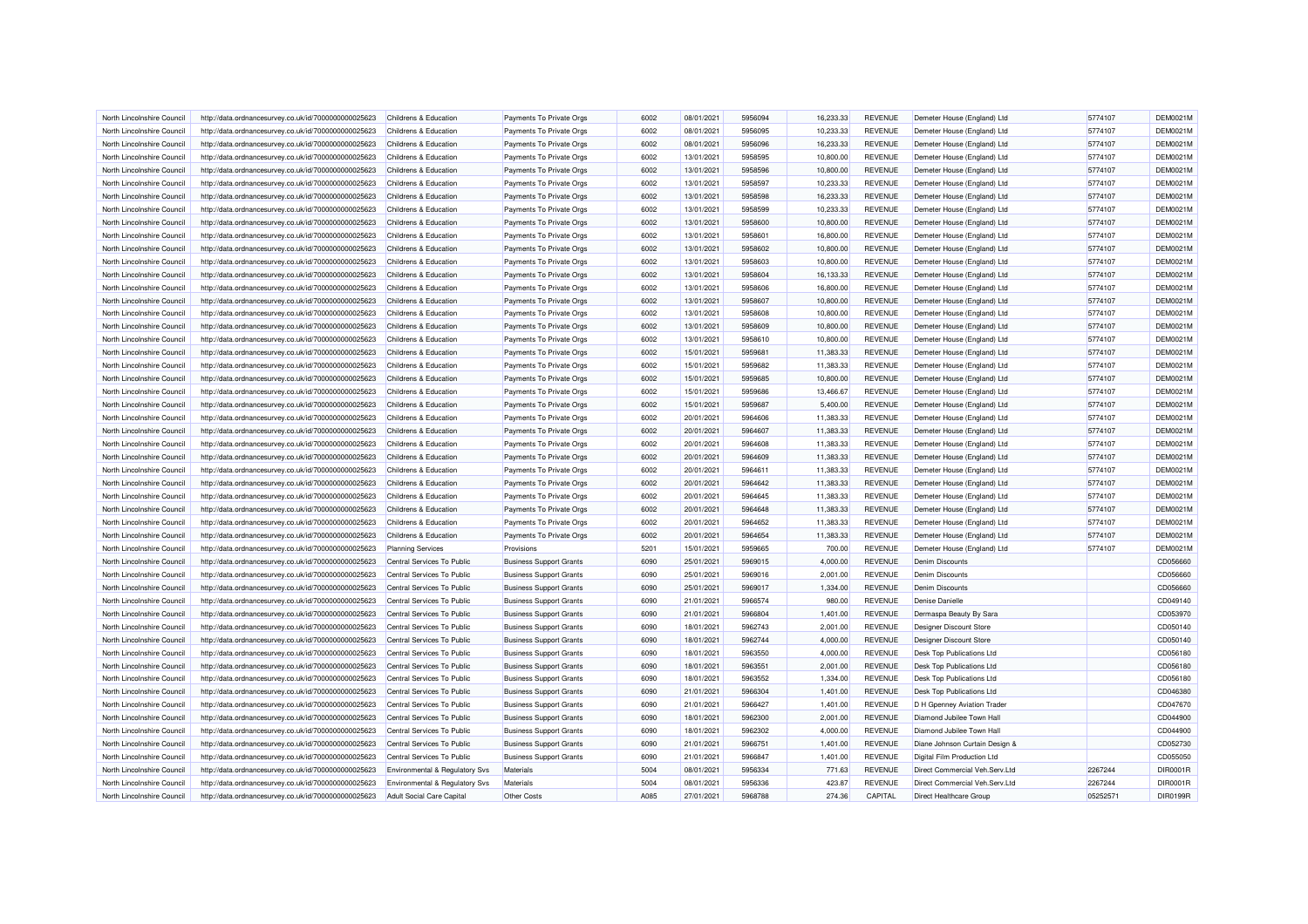| North Lincolnshire Council | http://data.ordnancesurvey.co.uk/id/7000000000025623 | Childrens & Education          | Payments To Private Orgs       | 6002 | 08/01/2021 | 5956094 | 16,233.33 | <b>REVENUE</b> | Demeter House (England) Ltd      | 5774107  | <b>DEM0021M</b> |
|----------------------------|------------------------------------------------------|--------------------------------|--------------------------------|------|------------|---------|-----------|----------------|----------------------------------|----------|-----------------|
| North Lincolnshire Council | http://data.ordnancesurvey.co.uk/id/7000000000025623 | Childrens & Education          | Payments To Private Orgs       | 6002 | 08/01/2021 | 5956095 | 10,233.33 | <b>REVENUE</b> | Demeter House (England) Ltd      | 5774107  | DEM0021M        |
| North Lincolnshire Council | http://data.ordnancesurvey.co.uk/id/7000000000025623 | Childrens & Education          | Payments To Private Orgs       | 6002 | 08/01/2021 | 5956096 | 16,233.33 | <b>REVENUE</b> | Demeter House (England) Ltd      | 5774107  | DEM0021M        |
| North Lincolnshire Council | http://data.ordnancesurvey.co.uk/id/7000000000025623 | Childrens & Education          | Payments To Private Orgs       | 6002 | 13/01/2021 | 5958595 | 10,800.00 | <b>REVENUE</b> | Demeter House (England) Ltd      | 5774107  | DEM0021M        |
| North Lincolnshire Council |                                                      | Childrens & Education          |                                | 6002 | 13/01/2021 | 5958596 | 10,800.00 | <b>REVENUE</b> |                                  | 5774107  | DEM0021M        |
|                            | http://data.ordnancesurvey.co.uk/id/7000000000025623 |                                | Payments To Private Orgs       | 6002 |            | 5958597 |           |                | Demeter House (England) Ltd      |          |                 |
| North Lincolnshire Council | http://data.ordnancesurvey.co.uk/id/7000000000025623 | Childrens & Education          | Payments To Private Orgs       |      | 13/01/2021 |         | 10,233.33 | <b>REVENUE</b> | Demeter House (England) Ltd      | 5774107  | DEM0021M        |
| North Lincolnshire Council | http://data.ordnancesurvey.co.uk/id/7000000000025623 | Childrens & Education          | Payments To Private Orgs       | 6002 | 13/01/2021 | 5958598 | 16,233.33 | <b>REVENUE</b> | Demeter House (England) Ltd      | 5774107  | DEM0021N        |
| North Lincolnshire Council | http://data.ordnancesurvey.co.uk/id/7000000000025623 | Childrens & Education          | Payments To Private Orgs       | 6002 | 13/01/2021 | 5958599 | 10,233.33 | <b>REVENUE</b> | Demeter House (England) Ltd      | 5774107  | DEM0021M        |
| North Lincolnshire Council | http://data.ordnancesurvey.co.uk/id/7000000000025623 | Childrens & Education          | Payments To Private Orgs       | 6002 | 13/01/2021 | 5958600 | 10,800.00 | <b>REVENUE</b> | Demeter House (England) Ltd      | 5774107  | DEM0021M        |
| North Lincolnshire Council | http://data.ordnancesurvey.co.uk/id/7000000000025623 | Childrens & Education          | Payments To Private Orgs       | 6002 | 13/01/2021 | 5958601 | 16,800.00 | <b>REVENUE</b> | Demeter House (England) Ltd      | 5774107  | DEM0021M        |
| North Lincolnshire Council | http://data.ordnancesurvey.co.uk/id/7000000000025623 | Childrens & Education          | Payments To Private Orgs       | 6002 | 13/01/2021 | 5958602 | 10.800.00 | <b>REVENUE</b> | Demeter House (England) Ltd      | 5774107  | <b>DEM0021M</b> |
| North Lincolnshire Council | http://data.ordnancesurvey.co.uk/id/7000000000025623 | Childrens & Education          | Payments To Private Orgs       | 6002 | 13/01/2021 | 5958603 | 10,800.00 | <b>REVENUE</b> | Demeter House (England) Ltd      | 5774107  | DEM0021M        |
| North Lincolnshire Council | http://data.ordnancesurvey.co.uk/id/7000000000025623 | Childrens & Education          | Payments To Private Orgs       | 6002 | 13/01/2021 | 5958604 | 16,133.33 | <b>REVENUE</b> | Demeter House (England) Ltd      | 5774107  | DEM0021M        |
| North Lincolnshire Council | http://data.ordnancesurvey.co.uk/id/7000000000025623 | Childrens & Education          | Payments To Private Orgs       | 6002 | 13/01/2021 | 5958606 | 16,800.00 | <b>REVENUE</b> | Demeter House (England) Ltd      | 5774107  | DEM0021M        |
| North Lincolnshire Council | http://data.ordnancesurvey.co.uk/id/7000000000025623 | Childrens & Education          | Payments To Private Orgs       | 6002 | 13/01/2021 | 5958607 | 10,800.00 | <b>REVENUE</b> | Demeter House (England) Ltd      | 5774107  | <b>DEM0021M</b> |
| North Lincolnshire Council | http://data.ordnancesurvey.co.uk/id/7000000000025623 | Childrens & Education          | Payments To Private Orgs       | 6002 | 13/01/2021 | 5958608 | 10,800.00 | <b>REVENUE</b> | Demeter House (England) Ltd      | 5774107  | DEM0021M        |
| North Lincolnshire Council | http://data.ordnancesurvey.co.uk/id/7000000000025623 | Childrens & Education          | Payments To Private Orgs       | 6002 | 13/01/2021 | 5958609 | 10,800.00 | <b>REVENUE</b> | Demeter House (England) Ltd      | 5774107  | DEM0021M        |
| North Lincolnshire Council | http://data.ordnancesurvey.co.uk/id/7000000000025623 | Childrens & Education          | Payments To Private Orgs       | 6002 | 13/01/2021 | 5958610 | 10,800.00 | <b>REVENUE</b> | Demeter House (England) Ltd      | 5774107  | DEM0021M        |
| North Lincolnshire Council | http://data.ordnancesurvey.co.uk/id/7000000000025623 | Childrens & Education          | Payments To Private Orgs       | 6002 | 15/01/2021 | 5959681 | 11,383.33 | <b>REVENUE</b> | Demeter House (England) Ltd      | 5774107  | DEM0021M        |
| North Lincolnshire Council | http://data.ordnancesurvey.co.uk/id/7000000000025623 | Childrens & Education          | Payments To Private Orgs       | 6002 | 15/01/2021 | 5959682 | 11.383.33 | <b>REVENUE</b> | Demeter House (England) Ltd      | 5774107  | <b>DEM0021M</b> |
| North Lincolnshire Council | http://data.ordnancesurvey.co.uk/id/7000000000025623 | Childrens & Education          | Payments To Private Orgs       | 6002 | 15/01/2021 | 5959685 | 10,800.00 | <b>REVENUE</b> | Demeter House (England) Ltd      | 5774107  | DEM0021M        |
| North Lincolnshire Council | http://data.ordnancesurvey.co.uk/id/7000000000025623 | Childrens & Education          | Payments To Private Orgs       | 6002 | 15/01/2021 | 5959686 | 13,466.67 | <b>REVENUE</b> | Demeter House (England) Ltd      | 5774107  | DEM0021M        |
| North Lincolnshire Council | http://data.ordnancesurvey.co.uk/id/7000000000025623 | Childrens & Education          | Payments To Private Orgs       | 6002 | 15/01/2021 | 5959687 | 5,400.00  | <b>REVENUE</b> | Demeter House (England) Ltd      | 5774107  | DEM0021M        |
| North Lincolnshire Council | http://data.ordnancesurvey.co.uk/id/7000000000025623 | Childrens & Education          | Payments To Private Orgs       | 6002 | 20/01/2021 | 5964606 | 11,383.33 | <b>REVENUE</b> | Demeter House (England) Ltd      | 5774107  | DEM0021M        |
|                            |                                                      |                                |                                | 6002 | 20/01/2021 | 5964607 | 11,383.33 | <b>REVENUE</b> |                                  | 5774107  | DEM0021M        |
| North Lincolnshire Council | http://data.ordnancesurvey.co.uk/id/7000000000025623 | Childrens & Education          | Payments To Private Orgs       |      |            |         |           |                | Demeter House (England) Ltd      |          |                 |
| North Lincolnshire Council | http://data.ordnancesurvey.co.uk/id/7000000000025623 | Childrens & Education          | Payments To Private Orgs       | 6002 | 20/01/2021 | 5964608 | 11,383.33 | <b>REVENUE</b> | Demeter House (England) Ltd      | 5774107  | <b>DEM0021M</b> |
| North Lincolnshire Council | http://data.ordnancesurvey.co.uk/id/7000000000025623 | Childrens & Education          | Payments To Private Orgs       | 6002 | 20/01/2021 | 5964609 | 11,383.33 | <b>REVENUE</b> | Demeter House (England) Ltd      | 5774107  | DEM0021M        |
| North Lincolnshire Council | http://data.ordnancesurvey.co.uk/id/7000000000025623 | Childrens & Education          | Payments To Private Orgs       | 6002 | 20/01/2021 | 5964611 | 11,383.33 | <b>REVENUE</b> | Demeter House (England) Ltd      | 5774107  | DEM0021M        |
| North Lincolnshire Council | http://data.ordnancesurvey.co.uk/id/7000000000025623 | Childrens & Education          | Payments To Private Orgs       | 6002 | 20/01/2021 | 5964642 | 11,383.33 | <b>REVENUE</b> | Demeter House (England) Ltd      | 5774107  | DEM0021M        |
| North Lincolnshire Council | http://data.ordnancesurvey.co.uk/id/7000000000025623 | Childrens & Education          | Payments To Private Orgs       | 6002 | 20/01/2021 | 5964645 | 11,383.33 | <b>REVENUE</b> | Demeter House (England) Ltd      | 5774107  | DEM0021M        |
| North Lincolnshire Council | http://data.ordnancesurvey.co.uk/id/7000000000025623 | Childrens & Education          | Payments To Private Orgs       | 6002 | 20/01/2021 | 5964648 | 11,383.33 | <b>REVENUE</b> | Demeter House (England) Ltd      | 5774107  | DEM0021M        |
| North Lincolnshire Council | http://data.ordnancesurvey.co.uk/id/7000000000025623 | Childrens & Education          | Payments To Private Orgs       | 6002 | 20/01/2021 | 5964652 | 11,383.33 | <b>REVENUE</b> | Demeter House (England) Ltd      | 5774107  | DEM0021M        |
| North Lincolnshire Council | http://data.ordnancesurvey.co.uk/id/7000000000025623 | Childrens & Education          | Payments To Private Orgs       | 6002 | 20/01/2021 | 5964654 | 11,383.33 | <b>REVENUE</b> | Demeter House (England) Ltd      | 5774107  | DEM0021M        |
| North Lincolnshire Council | http://data.ordnancesurvey.co.uk/id/7000000000025623 | <b>Planning Services</b>       | Provisions                     | 5201 | 15/01/2021 | 5959665 | 700.00    | <b>REVENUE</b> | Demeter House (England) Ltd      | 5774107  | DEM0021M        |
| North Lincolnshire Council | http://data.ordnancesurvey.co.uk/id/7000000000025623 | Central Services To Public     | <b>Business Support Grants</b> | 6090 | 25/01/2021 | 5969015 | 4,000.00  | <b>REVENUE</b> | <b>Denim Discounts</b>           |          | CD056660        |
| North Lincolnshire Council | http://data.ordnancesurvey.co.uk/id/7000000000025623 | Central Services To Public     | <b>Business Support Grants</b> | 6090 | 25/01/2021 | 5969016 | 2,001.00  | <b>REVENUE</b> | <b>Denim Discounts</b>           |          | CD056660        |
| North Lincolnshire Council | http://data.ordnancesurvey.co.uk/id/7000000000025623 | Central Services To Public     | <b>Business Support Grants</b> | 6090 | 25/01/2021 | 5969017 | 1,334.00  | <b>REVENUE</b> | <b>Denim Discounts</b>           |          | CD056660        |
| North Lincolnshire Council | http://data.ordnancesurvey.co.uk/id/7000000000025623 | Central Services To Public     | <b>Business Support Grants</b> | 6090 | 21/01/2021 | 5966574 | 980.00    | <b>REVENUE</b> | Denise Danielle                  |          | CD049140        |
| North Lincolnshire Council | http://data.ordnancesurvey.co.uk/id/7000000000025623 | Central Services To Public     | <b>Business Support Grants</b> | 6090 | 21/01/2021 | 5966804 | 1,401.00  | <b>REVENUE</b> | Dermaspa Beauty By Sara          |          | CD053970        |
| North Lincolnshire Council | http://data.ordnancesurvey.co.uk/id/7000000000025623 | Central Services To Public     | <b>Business Support Grants</b> | 6090 | 18/01/2021 | 5962743 | 2,001.00  | <b>REVENUE</b> | Designer Discount Store          |          | CD050140        |
| North Lincolnshire Council | http://data.ordnancesurvey.co.uk/id/7000000000025623 | Central Services To Public     | <b>Business Support Grants</b> | 6090 | 18/01/2021 | 5962744 | 4,000.00  | <b>REVENUE</b> | Designer Discount Store          |          | CD050140        |
| North Lincolnshire Council | http://data.ordnancesurvey.co.uk/id/7000000000025623 | Central Services To Public     | <b>Business Support Grants</b> | 6090 | 18/01/2021 | 5963550 | 4,000.00  | <b>REVENUE</b> | Desk Top Publications Ltd        |          | CD056180        |
| North Lincolnshire Council | http://data.ordnancesurvey.co.uk/id/7000000000025623 | Central Services To Public     | <b>Business Support Grants</b> | 6090 | 18/01/2021 | 5963551 | 2,001.00  | <b>REVENUE</b> | Desk Top Publications Ltd        |          | CD056180        |
| North Lincolnshire Council | http://data.ordnancesurvey.co.uk/id/7000000000025623 | Central Services To Public     | <b>Business Support Grants</b> | 6090 | 18/01/2021 | 5963552 | 1.334.00  | <b>REVENUE</b> | Desk Top Publications Ltd        |          | CD056180        |
| North Lincolnshire Council | http://data.ordnancesurvey.co.uk/id/7000000000025623 | Central Services To Public     | <b>Business Support Grants</b> | 6090 | 21/01/2021 | 5966304 | 1,401.00  | <b>REVENUE</b> | <b>Desk Top Publications Ltd</b> |          | CD046380        |
| North Lincolnshire Council | http://data.ordnancesurvey.co.uk/id/7000000000025623 | Central Services To Public     | <b>Business Support Grants</b> | 6090 | 21/01/2021 | 5966427 | 1,401.00  | <b>REVENUE</b> | D H Gpenney Aviation Trader      |          | CD047670        |
| North Lincolnshire Council | http://data.ordnancesurvey.co.uk/id/7000000000025623 | Central Services To Public     | <b>Business Support Grants</b> | 6090 | 18/01/2021 | 5962300 | 2,001.00  | <b>REVENUE</b> | Diamond Jubilee Town Hall        |          | CD044900        |
| North Lincolnshire Council |                                                      | Central Services To Public     |                                | 6090 | 18/01/2021 | 5962302 | 4,000.00  | <b>REVENUE</b> |                                  |          | CD044900        |
|                            | http://data.ordnancesurvey.co.uk/id/7000000000025623 |                                | <b>Business Support Grants</b> |      |            |         |           |                | Diamond Jubilee Town Hall        |          |                 |
| North Lincolnshire Council | http://data.ordnancesurvey.co.uk/id/7000000000025623 | Central Services To Public     | <b>Business Support Grants</b> | 6090 | 21/01/2021 | 5966751 | 1.401.00  | <b>REVENUE</b> | Diane Johnson Curtain Design &   |          | CD052730        |
| North Lincolnshire Council | http://data.ordnancesurvey.co.uk/id/7000000000025623 | Central Services To Public     | <b>Business Support Grants</b> | 6090 | 21/01/2021 | 5966847 | 1,401.00  | <b>REVENUE</b> | Digital Film Production Ltd      |          | CD055050        |
| North Lincolnshire Council | http://data.ordnancesurvey.co.uk/id/7000000000025623 | Environmental & Regulatory Svs | Materials                      | 5004 | 08/01/2021 | 5956334 | 771.63    | <b>REVENUE</b> | Direct Commercial Veh.Serv.Ltd   | 2267244  | DIR0001R        |
| North Lincolnshire Council | http://data.ordnancesurvey.co.uk/id/7000000000025623 | Environmental & Regulatory Svs | Materials                      | 5004 | 08/01/2021 | 5956336 | 423.87    | <b>REVENUE</b> | Direct Commercial Veh.Serv.Ltd   | 2267244  | DIR0001R        |
| North Lincolnshire Council | http://data.ordnancesurvey.co.uk/id/7000000000025623 | Adult Social Care Capital      | Other Costs                    | A085 | 27/01/2021 | 5968788 | 274.36    | CAPITAL        | Direct Healthcare Group          | 05252571 | <b>DIR0199R</b> |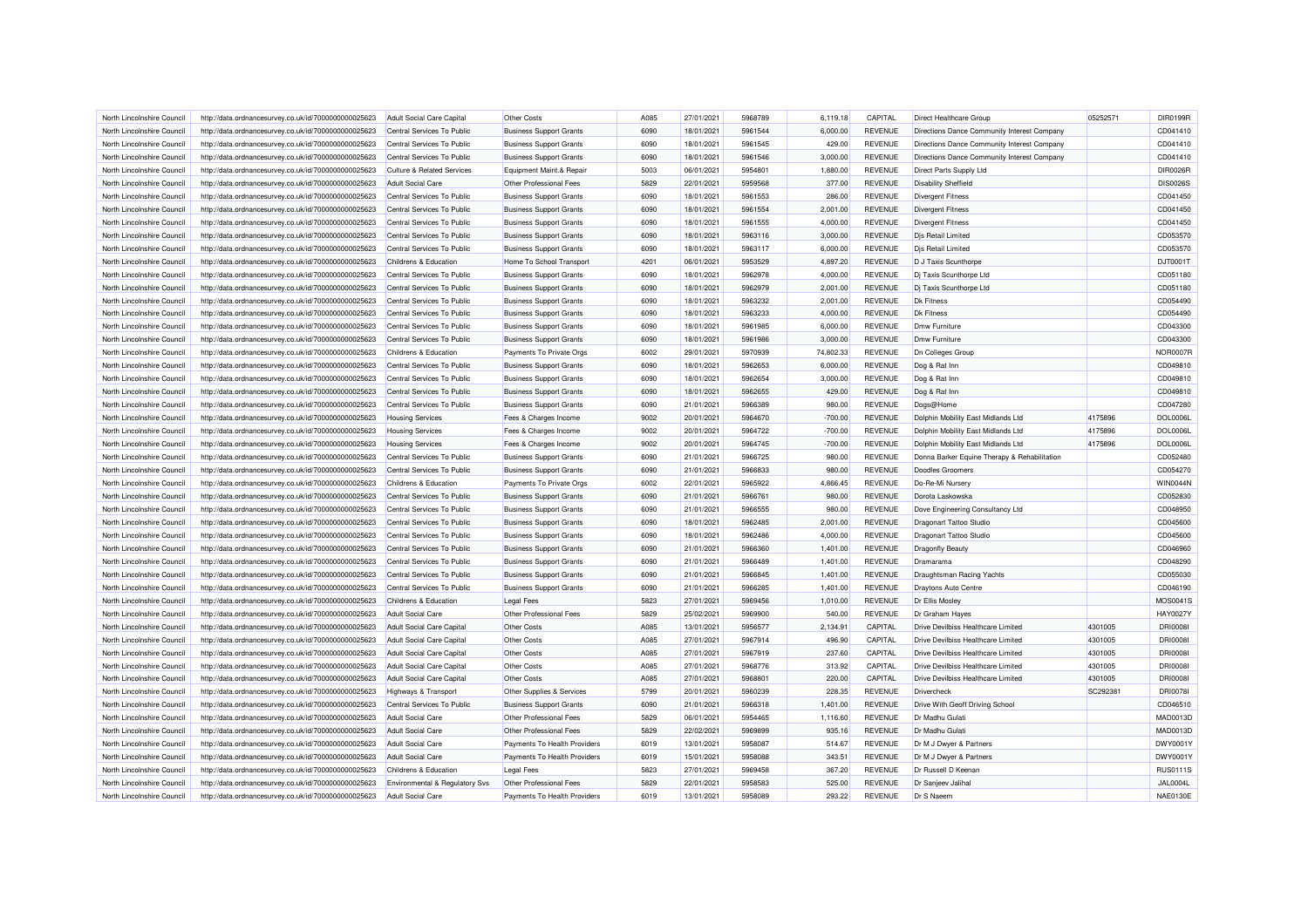| North Lincolnshire Council | http://data.ordnancesurvey.co.uk/id/7000000000025623 | Adult Social Care Capital        | Other Costs                    | A085 | 27/01/2021 | 5968789 | 6,119.18  | CAPITAL        | Direct Healthcare Group                      | 05252571 | DIR0199R        |
|----------------------------|------------------------------------------------------|----------------------------------|--------------------------------|------|------------|---------|-----------|----------------|----------------------------------------------|----------|-----------------|
| North Lincolnshire Council | http://data.ordnancesurvey.co.uk/id/7000000000025623 | Central Services To Public       | <b>Business Support Grants</b> | 6090 | 18/01/2021 | 5961544 | 6,000.00  | <b>REVENUE</b> | Directions Dance Community Interest Company  |          | CD041410        |
| North Lincolnshire Council | http://data.ordnancesurvey.co.uk/id/7000000000025623 | Central Services To Public       | <b>Business Support Grants</b> | 6090 | 18/01/2021 | 5961545 | 429.00    | <b>REVENUE</b> | Directions Dance Community Interest Company  |          | CD041410        |
| North Lincolnshire Counci  | http://data.ordnancesurvey.co.uk/id/7000000000025623 | Central Services To Public       | <b>Business Support Grants</b> | 6090 | 18/01/2021 | 5961546 | 3,000.00  | <b>REVENUE</b> | Directions Dance Community Interest Company  |          | CD041410        |
| North Lincolnshire Council | http://data.ordnancesurvey.co.uk/id/7000000000025623 | Culture & Related Services       | Equipment Maint.& Repair       | 5003 | 06/01/2021 | 5954801 | 1,880.00  | <b>REVENUE</b> | Direct Parts Supply Ltd                      |          | DIR0026R        |
| North Lincolnshire Council | http://data.ordnancesurvey.co.uk/id/7000000000025623 | <b>Adult Social Care</b>         | Other Professional Fees        | 5829 | 22/01/2021 | 5959568 | 377.00    | <b>REVENUE</b> | <b>Disability Sheffield</b>                  |          | <b>DIS0026S</b> |
| North Lincolnshire Council | http://data.ordnancesurvey.co.uk/id/7000000000025623 | Central Services To Public       | <b>Business Support Grants</b> | 6090 | 18/01/2021 | 5961553 | 286.00    | <b>REVENUE</b> | <b>Divergent Fitness</b>                     |          | CD041450        |
| North Lincolnshire Council | http://data.ordnancesurvey.co.uk/id/7000000000025623 | Central Services To Public       | <b>Business Support Grants</b> | 6090 | 18/01/2021 | 5961554 | 2,001.00  | <b>REVENUE</b> | <b>Divergent Fitness</b>                     |          | CD041450        |
| North Lincolnshire Council | http://data.ordnancesurvey.co.uk/id/7000000000025623 | Central Services To Public       | <b>Business Support Grants</b> | 6090 | 18/01/2021 | 5961555 | 4,000.00  | <b>REVENUE</b> | <b>Divergent Fitness</b>                     |          | CD041450        |
| North Lincolnshire Council | http://data.ordnancesurvey.co.uk/id/7000000000025623 | Central Services To Public       | <b>Business Support Grants</b> | 6090 | 18/01/2021 | 5963116 | 3,000.00  | <b>REVENUE</b> | Djs Retail Limited                           |          | CD053570        |
| North Lincolnshire Council | http://data.ordnancesurvey.co.uk/id/7000000000025623 | Central Services To Public       | <b>Business Support Grants</b> | 6090 | 18/01/2021 | 5963117 | 6,000.00  | <b>REVENUE</b> | <b>Dis Retail Limited</b>                    |          | CD053570        |
|                            |                                                      |                                  |                                |      |            |         |           |                |                                              |          |                 |
| North Lincolnshire Council | http://data.ordnancesurvey.co.uk/id/7000000000025623 | Childrens & Education            | Home To School Transport       | 4201 | 06/01/2021 | 5953529 | 4,897.20  | <b>REVENUE</b> | D J Taxis Scunthorpe                         |          | DJT0001T        |
| North Lincolnshire Council | http://data.ordnancesurvey.co.uk/id/7000000000025623 | Central Services To Public       | <b>Business Support Grants</b> | 6090 | 18/01/2021 | 5962978 | 4,000.00  | <b>REVENUE</b> | Dj Taxis Scunthorpe Ltd                      |          | CD051180        |
| North Lincolnshire Council | http://data.ordnancesurvey.co.uk/id/7000000000025623 | Central Services To Public       | <b>Business Support Grants</b> | 6090 | 18/01/2021 | 5962979 | 2.001.00  | <b>REVENUE</b> | Di Taxis Scunthorpe Ltd                      |          | CD051180        |
| North Lincolnshire Council | http://data.ordnancesurvey.co.uk/id/7000000000025623 | Central Services To Public       | <b>Business Support Grants</b> | 6090 | 18/01/2021 | 5963232 | 2,001.00  | <b>REVENUE</b> | <b>Dk Fitness</b>                            |          | CD054490        |
| North Lincolnshire Council | http://data.ordnancesurvey.co.uk/id/7000000000025623 | Central Services To Public       | <b>Business Support Grants</b> | 6090 | 18/01/2021 | 5963233 | 4.000.00  | <b>REVENUE</b> | <b>Dk Fitness</b>                            |          | CD054490        |
| North Lincolnshire Council | http://data.ordnancesurvey.co.uk/id/7000000000025623 | Central Services To Public       | <b>Business Support Grants</b> | 6090 | 18/01/2021 | 5961985 | 6,000.00  | <b>REVENUE</b> | Dmw Furniture                                |          | CD043300        |
| North Lincolnshire Council | http://data.ordnancesurvey.co.uk/id/7000000000025623 | Central Services To Public       | <b>Business Support Grants</b> | 6090 | 18/01/2021 | 5961986 | 3,000.00  | <b>REVENUE</b> | Dmw Furniture                                |          | CD043300        |
| North Lincolnshire Council | http://data.ordnancesurvey.co.uk/id/7000000000025623 | Childrens & Education            | Payments To Private Orgs       | 6002 | 29/01/2021 | 5970939 | 74,802.33 | <b>REVENUE</b> | <b>Dn Colleges Group</b>                     |          | <b>NOR0007R</b> |
| North Lincolnshire Council | http://data.ordnancesurvey.co.uk/id/7000000000025623 | Central Services To Public       | <b>Business Support Grants</b> | 6090 | 18/01/2021 | 5962653 | 6,000.00  | <b>REVENUE</b> | Dog & Rat Inn                                |          | CD049810        |
| North Lincolnshire Council | http://data.ordnancesurvey.co.uk/id/7000000000025623 | Central Services To Public       | <b>Business Support Grants</b> | 6090 | 18/01/2021 | 5962654 | 3,000.00  | <b>REVENUE</b> | Dog & Rat Inn                                |          | CD049810        |
| North Lincolnshire Council | http://data.ordnancesurvey.co.uk/id/7000000000025623 | Central Services To Public       | <b>Business Support Grants</b> | 6090 | 18/01/2021 | 5962655 | 429.00    | <b>REVENUE</b> | Dog & Rat Inn                                |          | CD049810        |
| North Lincolnshire Council | http://data.ordnancesurvey.co.uk/id/7000000000025623 | Central Services To Public       | <b>Business Support Grants</b> | 6090 | 21/01/2021 | 5966389 | 980.00    | <b>REVENUE</b> | Dogs@Home                                    |          | CD047280        |
| North Lincolnshire Council | http://data.ordnancesurvey.co.uk/id/7000000000025623 | <b>Housing Services</b>          | Fees & Charges Income          | 9002 | 20/01/2021 | 5964670 | $-700.00$ | <b>REVENUE</b> | Dolphin Mobility East Midlands Ltd           | 4175896  | <b>DOL0006L</b> |
| North Lincolnshire Council | http://data.ordnancesurvey.co.uk/id/7000000000025623 | <b>Housing Services</b>          | Fees & Charges Income          | 9002 | 20/01/2021 | 5964722 | $-700.00$ | <b>REVENUE</b> | Dolphin Mobility East Midlands Ltd           | 4175896  | <b>DOL0006L</b> |
| North Lincolnshire Council | http://data.ordnancesurvey.co.uk/id/7000000000025623 | <b>Housing Services</b>          | Fees & Charges Income          | 9002 | 20/01/2021 | 5964745 | $-700.00$ | <b>REVENUE</b> | Dolphin Mobility East Midlands Ltd           | 4175896  | <b>DOL0006L</b> |
| North Lincolnshire Council | http://data.ordnancesurvey.co.uk/id/7000000000025623 | Central Services To Public       | <b>Business Support Grants</b> | 6090 | 21/01/2021 | 5966725 | 980.00    | <b>REVENUE</b> | Donna Barker Equine Therapy & Rehabilitation |          | CD052480        |
| North Lincolnshire Council | http://data.ordnancesurvey.co.uk/id/7000000000025623 | Central Services To Public       | <b>Business Support Grants</b> | 6090 | 21/01/2021 | 5966833 | 980.00    | <b>REVENUE</b> | <b>Doodles Groomers</b>                      |          | CD054270        |
| North Lincolnshire Council | http://data.ordnancesurvey.co.uk/id/7000000000025623 | Childrens & Education            | Payments To Private Orgs       | 6002 | 22/01/2021 | 5965922 | 4,866.45  | <b>REVENUE</b> | Do-Re-Mi Nursery                             |          | <b>WIN0044N</b> |
| North Lincolnshire Council | http://data.ordnancesurvey.co.uk/id/7000000000025623 | Central Services To Public       | <b>Business Support Grants</b> | 6090 | 21/01/2021 | 5966761 | 980.00    | <b>REVENUE</b> | Dorota Laskowska                             |          | CD052830        |
| North Lincolnshire Council | http://data.ordnancesurvey.co.uk/id/7000000000025623 | Central Services To Public       | <b>Business Support Grants</b> | 6090 | 21/01/2021 | 5966555 | 980.00    | <b>REVENUE</b> | Dove Engineering Consultancy Ltd             |          | CD048950        |
| North Lincolnshire Council | http://data.ordnancesurvey.co.uk/id/7000000000025623 | Central Services To Public       | <b>Business Support Grants</b> | 6090 | 18/01/2021 | 5962485 | 2,001.00  | <b>REVENUE</b> | <b>Dragonart Tattoo Studio</b>               |          | CD045600        |
| North Lincolnshire Council | http://data.ordnancesurvey.co.uk/id/7000000000025623 | Central Services To Public       | <b>Business Support Grants</b> | 6090 | 18/01/2021 | 5962486 | 4,000.00  | <b>REVENUE</b> | Dragonart Tattoo Studio                      |          | CD045600        |
| North Lincolnshire Council | http://data.ordnancesurvey.co.uk/id/7000000000025623 | Central Services To Public       | <b>Business Support Grants</b> | 6090 | 21/01/2021 | 5966360 | 1,401.00  | <b>REVENUE</b> | <b>Dragonfly Beauty</b>                      |          | CD046960        |
| North Lincolnshire Council | http://data.ordnancesurvey.co.uk/id/7000000000025623 | Central Services To Public       | <b>Business Support Grants</b> | 6090 | 21/01/2021 | 5966489 | 1,401.00  | <b>REVENUE</b> | Dramarama                                    |          | CD048290        |
| North Lincolnshire Council | http://data.ordnancesurvey.co.uk/id/7000000000025623 | Central Services To Public       | <b>Business Support Grants</b> | 6090 | 21/01/2021 | 5966845 | 1,401.00  | <b>REVENUE</b> | Draughtsman Racing Yachts                    |          | CD055030        |
| North Lincolnshire Council |                                                      | Central Services To Public       |                                | 6090 | 21/01/2021 | 5966285 | 1,401.00  | <b>REVENUE</b> |                                              |          | CD046190        |
|                            | http://data.ordnancesurvey.co.uk/id/7000000000025623 |                                  | <b>Business Support Grants</b> | 5823 |            |         |           |                | Draytons Auto Centre                         |          | MOS0041S        |
| North Lincolnshire Council | http://data.ordnancesurvey.co.uk/id/7000000000025623 | Childrens & Education            | <b>Legal Fees</b>              |      | 27/01/2021 | 5969456 | 1,010.00  | <b>REVENUE</b> | Dr Ellis Mosley                              |          |                 |
| North Lincolnshire Council | http://data.ordnancesurvey.co.uk/id/7000000000025623 | <b>Adult Social Care</b>         | Other Professional Fees        | 5829 | 25/02/2021 | 5969900 | 540.00    | <b>REVENUE</b> | Dr Graham Hayes                              |          | HAY0027\        |
| North Lincolnshire Council | http://data.ordnancesurvey.co.uk/id/7000000000025623 | Adult Social Care Capital        | Other Costs                    | A085 | 13/01/2021 | 5956577 | 2,134.91  | CAPITAL        | Drive Devilbiss Healthcare Limited           | 4301005  | <b>DRI0008I</b> |
| North Lincolnshire Council | http://data.ordnancesurvey.co.uk/id/7000000000025623 | <b>Adult Social Care Capital</b> | Other Costs                    | A085 | 27/01/2021 | 5967914 | 496.90    | CAPITAL        | <b>Drive Devilbiss Healthcare Limited</b>    | 4301005  | <b>DRI0008I</b> |
| North Lincolnshire Council | http://data.ordnancesurvey.co.uk/id/7000000000025623 | Adult Social Care Capital        | Other Costs                    | A085 | 27/01/2021 | 5967919 | 237.60    | CAPITAL        | <b>Drive Devilbiss Healthcare Limited</b>    | 4301005  | <b>DRI0008I</b> |
| North Lincolnshire Council | http://data.ordnancesurvey.co.uk/id/7000000000025623 | Adult Social Care Capital        | Other Costs                    | A085 | 27/01/2021 | 5968776 | 313.92    | CAPITAL        | Drive Devilbiss Healthcare Limited           | 4301005  | <b>DRI0008I</b> |
| North Lincolnshire Council | http://data.ordnancesurvey.co.uk/id/7000000000025623 | Adult Social Care Capital        | Other Costs                    | A085 | 27/01/2021 | 5968801 | 220.00    | CAPITAL        | Drive Devilbiss Healthcare Limited           | 4301005  | <b>DRI0008I</b> |
| North Lincolnshire Council | http://data.ordnancesurvey.co.uk/id/7000000000025623 | <b>Highways &amp; Transport</b>  | Other Supplies & Services      | 5799 | 20/01/2021 | 5960239 | 228.35    | <b>REVENUE</b> | Drivercheck                                  | SC292381 | <b>DRI0078I</b> |
| North Lincolnshire Counci  | http://data.ordnancesurvey.co.uk/id/7000000000025623 | Central Services To Public       | <b>Business Support Grants</b> | 6090 | 21/01/2021 | 5966318 | 1,401.00  | <b>REVENUE</b> | Drive With Geoff Driving School              |          | CD046510        |
| North Lincolnshire Council | http://data.ordnancesurvey.co.uk/id/7000000000025623 | <b>Adult Social Care</b>         | Other Professional Fees        | 5829 | 06/01/2021 | 5954465 | 1,116.60  | <b>REVENUE</b> | Dr Madhu Gulati                              |          | MAD0013D        |
| North Lincolnshire Council | http://data.ordnancesurvey.co.uk/id/7000000000025623 | <b>Adult Social Care</b>         | Other Professional Fees        | 5829 | 22/02/2021 | 5969899 | 935.16    | <b>REVENUE</b> | Dr Madhu Gulati                              |          | MAD0013D        |
| North Lincolnshire Council | http://data.ordnancesurvey.co.uk/id/7000000000025623 | <b>Adult Social Care</b>         | Payments To Health Providers   | 6019 | 13/01/2021 | 5958087 | 514.67    | <b>REVENUE</b> | Dr M J Dwyer & Partners                      |          | DWY0001         |
| North Lincolnshire Council | http://data.ordnancesurvey.co.uk/id/7000000000025623 | <b>Adult Social Care</b>         | Payments To Health Providers   | 6019 | 15/01/2021 | 5958088 | 343.51    | <b>REVENUE</b> | Dr M J Dwyer & Partners                      |          | DWY0001         |
| North Lincolnshire Council | http://data.ordnancesurvey.co.uk/id/7000000000025623 | Childrens & Education            | <b>Legal Fees</b>              | 5823 | 27/01/2021 | 5969458 | 367.20    | <b>REVENUE</b> | Dr Russell D Keenar                          |          | <b>RUS0111S</b> |
| North Lincolnshire Council | http://data.ordnancesurvey.co.uk/id/7000000000025623 | Environmental & Regulatory Svs   | Other Professional Fees        | 5829 | 22/01/2021 | 5958583 | 525.00    | <b>REVENUE</b> | Dr Sanjeev Jalihal                           |          | <b>JAL0004L</b> |
| North Lincolnshire Council | http://data.ordnancesurvey.co.uk/id/7000000000025623 | <b>Adult Social Care</b>         | Payments To Health Providers   | 6019 | 13/01/2021 | 5958089 | 293.22    | <b>REVENUE</b> | Dr S Naeem                                   |          | <b>NAE0130E</b> |
|                            |                                                      |                                  |                                |      |            |         |           |                |                                              |          |                 |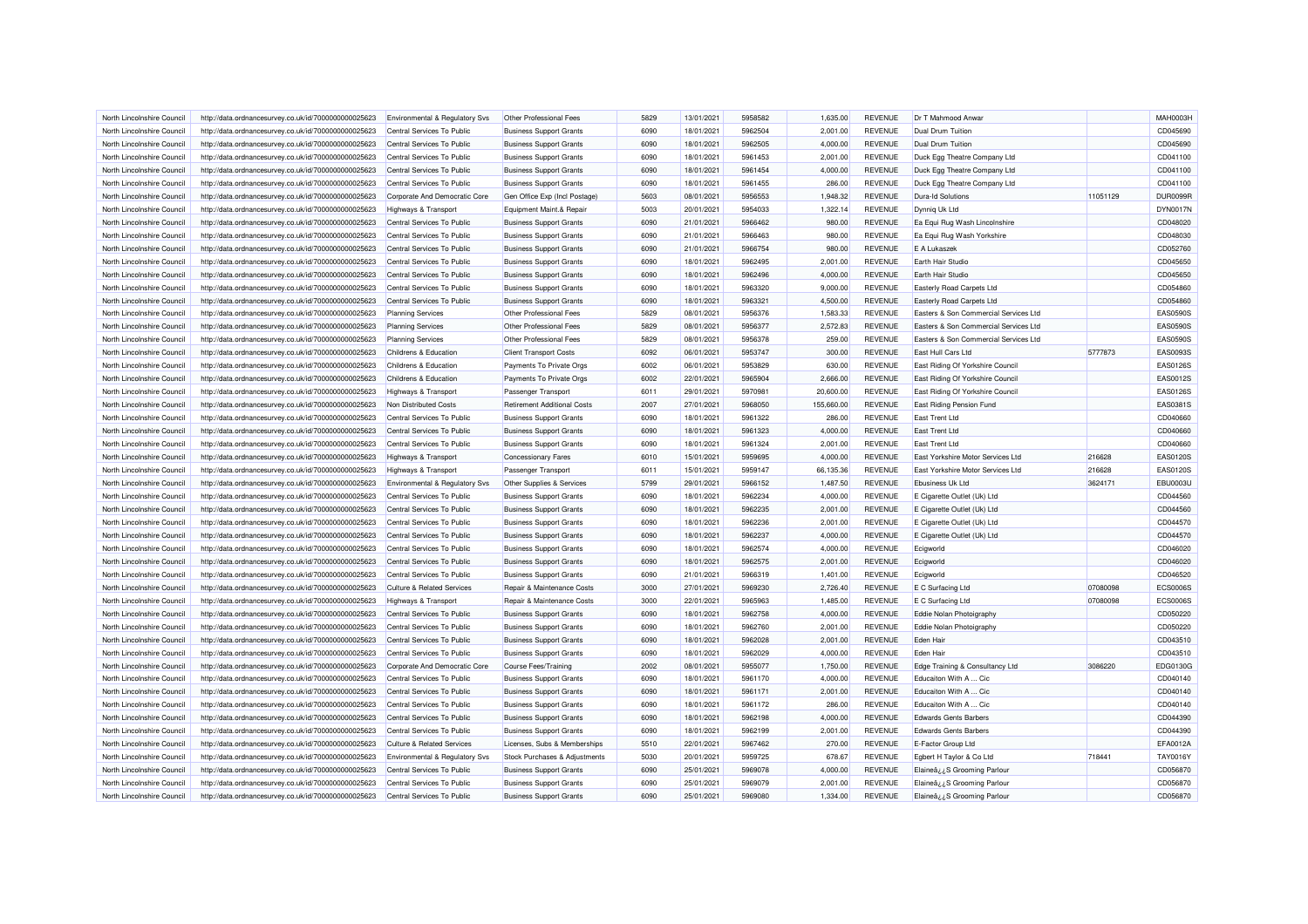| North Lincolnshire Council | http://data.ordnancesurvey.co.uk/id/7000000000025623 | Environmental & Regulatory Svs                           | Other Professional Fees            | 5829 | 13/01/2021 | 5958582 | 1.635.00   | <b>REVENUE</b> | Dr T Mahmood Anwar                    |          | <b>MAH0003H</b> |
|----------------------------|------------------------------------------------------|----------------------------------------------------------|------------------------------------|------|------------|---------|------------|----------------|---------------------------------------|----------|-----------------|
| North Lincolnshire Council |                                                      | Central Services To Public                               | <b>Business Support Grants</b>     | 6090 | 18/01/2021 | 5962504 | 2,001.00   | <b>REVENUE</b> | Dual Drum Tuition                     |          | CD045690        |
|                            | http://data.ordnancesurvey.co.uk/id/7000000000025623 |                                                          |                                    |      |            |         |            |                |                                       |          |                 |
| North Lincolnshire Council | http://data.ordnancesurvey.co.uk/id/7000000000025623 | Central Services To Public                               | <b>Business Support Grants</b>     | 6090 | 18/01/2021 | 5962505 | 4,000.00   | <b>REVENUE</b> | <b>Dual Drum Tuition</b>              |          | CD045690        |
| North Lincolnshire Council | http://data.ordnancesurvey.co.uk/id/7000000000025623 | Central Services To Public                               | <b>Business Support Grants</b>     | 6090 | 18/01/2021 | 5961453 | 2,001.00   | <b>REVENUE</b> | Duck Egg Theatre Company Ltd          |          | CD041100        |
| North Lincolnshire Council | http://data.ordnancesurvey.co.uk/id/7000000000025623 | Central Services To Public                               | <b>Business Support Grants</b>     | 6090 | 18/01/2021 | 5961454 | 4,000.00   | <b>REVENUE</b> | Duck Egg Theatre Company Ltd          |          | CD041100        |
| North Lincolnshire Council | http://data.ordnancesurvey.co.uk/id/7000000000025623 | Central Services To Public                               | <b>Business Support Grants</b>     | 6090 | 18/01/2021 | 5961455 | 286.00     | <b>REVENUE</b> | Duck Egg Theatre Company Ltd          |          | CD041100        |
| North Lincolnshire Council | http://data.ordnancesurvey.co.uk/id/7000000000025623 | Corporate And Democratic Core                            | Gen Office Exp (Incl Postage)      | 5603 | 08/01/2021 | 5956553 | 1,948.32   | <b>REVENUE</b> | <b>Dura-Id Solutions</b>              | 11051129 | DUR0099F        |
| North Lincolnshire Council | http://data.ordnancesurvey.co.uk/id/7000000000025623 | Highways & Transport                                     | Equipment Maint.& Repair           | 5003 | 20/01/2021 | 5954033 | 1,322.14   | <b>REVENUE</b> | Dynniq Uk Ltd                         |          | DYN0017N        |
| North Lincolnshire Council | http://data.ordnancesurvey.co.uk/id/7000000000025623 | Central Services To Public                               | <b>Business Support Grants</b>     | 6090 | 21/01/2021 | 5966462 | 980.00     | <b>REVENUE</b> | Ea Equi Rug Wash Lincolnshire         |          | CD048020        |
| North Lincolnshire Council | http://data.ordnancesurvey.co.uk/id/7000000000025623 | Central Services To Public                               | <b>Business Support Grants</b>     | 6090 | 21/01/2021 | 5966463 | 980.00     | <b>REVENUE</b> | Ea Equi Rug Wash Yorkshire            |          | CD048030        |
| North Lincolnshire Council | http://data.ordnancesurvey.co.uk/id/7000000000025623 | Central Services To Public                               | <b>Business Support Grants</b>     | 6090 | 21/01/2021 | 5966754 | 980.00     | <b>REVENUE</b> | E A Lukaszek                          |          | CD052760        |
| North Lincolnshire Council | http://data.ordnancesurvey.co.uk/id/7000000000025623 | Central Services To Public                               | <b>Business Support Grants</b>     | 6090 | 18/01/2021 | 5962495 | 2.001.00   | <b>REVENUE</b> | Earth Hair Studio                     |          | CD045650        |
| North Lincolnshire Council | http://data.ordnancesurvey.co.uk/id/7000000000025623 | Central Services To Public                               | <b>Business Support Grants</b>     | 6090 | 18/01/2021 | 5962496 | 4,000.00   | <b>REVENUE</b> | Earth Hair Studio                     |          | CD045650        |
| North Lincolnshire Council | http://data.ordnancesurvey.co.uk/id/7000000000025623 | Central Services To Public                               | <b>Business Support Grants</b>     | 6090 | 18/01/2021 | 5963320 | 9,000.00   | <b>REVENUE</b> | Easterly Road Carpets Ltd             |          | CD054860        |
|                            |                                                      |                                                          |                                    |      |            |         |            |                |                                       |          |                 |
| North Lincolnshire Council | http://data.ordnancesurvey.co.uk/id/7000000000025623 | Central Services To Public                               | <b>Business Support Grants</b>     | 6090 | 18/01/2021 | 5963321 | 4,500.00   | <b>REVENUE</b> | <b>Easterly Road Carpets Ltd</b>      |          | CD054860        |
| North Lincolnshire Council | http://data.ordnancesurvey.co.uk/id/7000000000025623 | <b>Planning Services</b>                                 | Other Professional Fees            | 5829 | 08/01/2021 | 5956376 | 1,583.33   | <b>REVENUE</b> | Easters & Son Commercial Services Ltd |          | <b>EAS0590S</b> |
| North Lincolnshire Council | http://data.ordnancesurvey.co.uk/id/7000000000025623 | <b>Planning Services</b>                                 | Other Professional Fees            | 5829 | 08/01/2021 | 5956377 | 2,572.83   | <b>REVENUE</b> | Easters & Son Commercial Services Ltd |          | <b>EAS0590S</b> |
| North Lincolnshire Council | http://data.ordnancesurvey.co.uk/id/7000000000025623 | <b>Planning Services</b>                                 | Other Professional Fees            | 5829 | 08/01/2021 | 5956378 | 259.00     | <b>REVENUE</b> | Easters & Son Commercial Services Ltd |          | <b>EAS0590S</b> |
| North Lincolnshire Council | http://data.ordnancesurvey.co.uk/id/7000000000025623 | Childrens & Education                                    | <b>Client Transport Costs</b>      | 6092 | 06/01/2021 | 5953747 | 300.00     | <b>REVENUE</b> | East Hull Cars Ltd                    | 5777873  | EAS0093S        |
| North Lincolnshire Council | http://data.ordnancesurvey.co.uk/id/7000000000025623 | Childrens & Education                                    | Payments To Private Orgs           | 6002 | 06/01/2021 | 5953829 | 630.00     | <b>REVENUE</b> | East Riding Of Yorkshire Council      |          | EAS0126S        |
| North Lincolnshire Council | http://data.ordnancesurvey.co.uk/id/7000000000025623 | Childrens & Education                                    | Payments To Private Orgs           | 6002 | 22/01/2021 | 5965904 | 2,666.00   | <b>REVENUE</b> | East Riding Of Yorkshire Council      |          | EAS0012S        |
| North Lincolnshire Council | http://data.ordnancesurvey.co.uk/id/7000000000025623 | Highways & Transport                                     | Passenger Transport                | 6011 | 29/01/2021 | 5970981 | 20,600.00  | <b>REVENUE</b> | East Riding Of Yorkshire Council      |          | EAS0126S        |
| North Lincolnshire Council | http://data.ordnancesurvey.co.uk/id/7000000000025623 | Non Distributed Costs                                    | <b>Retirement Additional Costs</b> | 2007 | 27/01/2021 | 5968050 | 155,660.00 | <b>REVENUE</b> | East Riding Pension Fund              |          | EAS0381S        |
| North Lincolnshire Council | http://data.ordnancesurvey.co.uk/id/7000000000025623 | Central Services To Public                               | <b>Business Support Grants</b>     | 6090 | 18/01/2021 | 5961322 | 286.00     | <b>REVENUE</b> | <b>East Trent Ltd</b>                 |          | CD040660        |
| North Lincolnshire Council | http://data.ordnancesurvey.co.uk/id/7000000000025623 | Central Services To Public                               | <b>Business Support Grants</b>     | 6090 | 18/01/2021 | 5961323 | 4,000.00   | <b>REVENUE</b> | <b>East Trent Ltd</b>                 |          | CD040660        |
| North Lincolnshire Council | http://data.ordnancesurvey.co.uk/id/7000000000025623 | Central Services To Public                               | <b>Business Support Grants</b>     | 6090 | 18/01/2021 | 5961324 | 2,001.00   | <b>REVENUE</b> | <b>East Trent Ltd</b>                 |          | CD040660        |
| North Lincolnshire Council | http://data.ordnancesurvey.co.uk/id/7000000000025623 | Highways & Transport                                     | <b>Concessionary Fares</b>         | 6010 | 15/01/2021 | 5959695 | 4,000.00   | <b>REVENUE</b> | East Yorkshire Motor Services Ltd     | 216628   | EAS01205        |
| North Lincolnshire Council | http://data.ordnancesurvey.co.uk/id/7000000000025623 | Highways & Transport                                     | Passenger Transport                | 6011 | 15/01/2021 | 5959147 | 66,135.36  | <b>REVENUE</b> | East Yorkshire Motor Services Ltd     | 216628   | EAS01205        |
| North Lincolnshire Council | http://data.ordnancesurvey.co.uk/id/7000000000025623 | Environmental & Regulatory Svs                           | Other Supplies & Services          | 5799 | 29/01/2021 | 5966152 | 1,487.50   | <b>REVENUE</b> | Ebusiness Uk Ltd                      | 3624171  | <b>EBU0003L</b> |
|                            |                                                      |                                                          |                                    | 6090 | 18/01/2021 | 5962234 | 4,000.00   | <b>REVENUE</b> | E Cigarette Outlet (Uk) Ltd           |          | CD044560        |
| North Lincolnshire Council | http://data.ordnancesurvey.co.uk/id/7000000000025623 | Central Services To Public<br>Central Services To Public | <b>Business Support Grants</b>     | 6090 | 18/01/2021 | 5962235 |            |                |                                       |          | CD044560        |
| North Lincolnshire Council | http://data.ordnancesurvey.co.uk/id/7000000000025623 |                                                          | <b>Business Support Grants</b>     |      |            |         | 2,001.00   | <b>REVENUE</b> | E Cigarette Outlet (Uk) Ltd           |          |                 |
| North Lincolnshire Council | http://data.ordnancesurvey.co.uk/id/7000000000025623 | Central Services To Public                               | <b>Business Support Grants</b>     | 6090 | 18/01/2021 | 5962236 | 2,001.00   | <b>REVENUE</b> | E Cigarette Outlet (Uk) Ltd           |          | CD044570        |
| North Lincolnshire Council | http://data.ordnancesurvey.co.uk/id/7000000000025623 | Central Services To Public                               | <b>Business Support Grants</b>     | 6090 | 18/01/2021 | 5962237 | 4,000.00   | <b>REVENUE</b> | E Cigarette Outlet (Uk) Ltd           |          | CD044570        |
| North Lincolnshire Council | http://data.ordnancesurvey.co.uk/id/7000000000025623 | Central Services To Public                               | <b>Business Support Grants</b>     | 6090 | 18/01/2021 | 5962574 | 4,000.00   | <b>REVENUE</b> | Ecigworld                             |          | CD046020        |
| North Lincolnshire Council | http://data.ordnancesurvey.co.uk/id/7000000000025623 | Central Services To Public                               | <b>Business Support Grants</b>     | 6090 | 18/01/2021 | 5962575 | 2,001.00   | <b>REVENUE</b> | Ecigworld                             |          | CD046020        |
| North Lincolnshire Council | http://data.ordnancesurvey.co.uk/id/7000000000025623 | Central Services To Public                               | <b>Business Support Grants</b>     | 6090 | 21/01/2021 | 5966319 | 1,401.00   | <b>REVENUE</b> | Ecigworld                             |          | CD046520        |
| North Lincolnshire Council | http://data.ordnancesurvey.co.uk/id/7000000000025623 | Culture & Related Services                               | Repair & Maintenance Costs         | 3000 | 27/01/2021 | 5969230 | 2,726.40   | <b>REVENUE</b> | E C Surfacing Ltd                     | 07080098 | <b>ECS0006S</b> |
| North Lincolnshire Council | http://data.ordnancesurvey.co.uk/id/7000000000025623 | <b>Highways &amp; Transport</b>                          | Repair & Maintenance Costs         | 3000 | 22/01/2021 | 5965963 | 1,485.00   | <b>REVENUE</b> | E C Surfacing Ltd                     | 07080098 | <b>ECS00069</b> |
| North Lincolnshire Council | http://data.ordnancesurvey.co.uk/id/7000000000025623 | Central Services To Public                               | <b>Business Support Grants</b>     | 6090 | 18/01/2021 | 5962758 | 4,000.00   | <b>REVENUE</b> | Eddie Nolan Photoigraphy              |          | CD050220        |
| North Lincolnshire Council | http://data.ordnancesurvey.co.uk/id/7000000000025623 | Central Services To Public                               | <b>Business Support Grants</b>     | 6090 | 18/01/2021 | 5962760 | 2,001.00   | <b>REVENUE</b> | Eddie Nolan Photoigraphy              |          | CD050220        |
| North Lincolnshire Council | http://data.ordnancesurvey.co.uk/id/7000000000025623 | Central Services To Public                               | <b>Business Support Grants</b>     | 6090 | 18/01/2021 | 5962028 | 2,001.00   | <b>REVENUE</b> | Eden Hair                             |          | CD043510        |
| North Lincolnshire Council | http://data.ordnancesurvey.co.uk/id/7000000000025623 | Central Services To Public                               | <b>Business Support Grants</b>     | 6090 | 18/01/2021 | 5962029 | 4,000.00   | <b>REVENUE</b> | Eden Hair                             |          | CD043510        |
| North Lincolnshire Council | http://data.ordnancesurvey.co.uk/id/7000000000025623 | Corporate And Democratic Core                            | Course Fees/Training               | 2002 | 08/01/2021 | 5955077 | 1,750.00   | <b>REVENUE</b> | Edge Training & Consultancy Ltd       | 3086220  | EDG0130G        |
| North Lincolnshire Council | http://data.ordnancesurvey.co.uk/id/7000000000025623 | Central Services To Public                               | <b>Business Support Grants</b>     | 6090 | 18/01/2021 | 5961170 | 4,000.00   | <b>REVENUE</b> | Educaiton With A Cic                  |          | CD040140        |
| North Lincolnshire Council | http://data.ordnancesurvey.co.uk/id/7000000000025623 | Central Services To Public                               | <b>Business Support Grants</b>     | 6090 | 18/01/2021 | 5961171 | 2,001.00   | <b>REVENUE</b> | Educaiton With A  Cic                 |          | CD040140        |
| North Lincolnshire Council | http://data.ordnancesurvey.co.uk/id/7000000000025623 | Central Services To Public                               | <b>Business Support Grants</b>     | 6090 | 18/01/2021 | 5961172 | 286.00     | <b>REVENUE</b> | Educaiton With A  Cic                 |          | CD040140        |
| North Lincolnshire Council | http://data.ordnancesurvey.co.uk/id/7000000000025623 | Central Services To Public                               | <b>Business Support Grants</b>     | 6090 | 18/01/2021 | 5962198 | 4,000.00   | <b>REVENUE</b> | <b>Edwards Gents Barbers</b>          |          | CD044390        |
| North Lincolnshire Council | http://data.ordnancesurvey.co.uk/id/7000000000025623 | Central Services To Public                               | <b>Business Support Grants</b>     | 6090 | 18/01/2021 | 5962199 | 2.001.00   | <b>REVENUE</b> | <b>Edwards Gents Barbers</b>          |          | CD044390        |
| North Lincolnshire Council | http://data.ordnancesurvey.co.uk/id/7000000000025623 | <b>Culture &amp; Related Services</b>                    | Licenses, Subs & Memberships       | 5510 | 22/01/2021 | 5967462 | 270.00     | <b>REVENUE</b> | E-Factor Group Ltd                    |          | EFA0012A        |
|                            |                                                      |                                                          |                                    | 5030 | 20/01/2021 | 5959725 |            | <b>REVENUE</b> |                                       | 718441   | TAY0016Y        |
| North Lincolnshire Council | http://data.ordnancesurvey.co.uk/id/7000000000025623 | Environmental & Regulatory Svs                           | Stock Purchases & Adjustments      |      |            |         | 678.67     |                | Egbert H Taylor & Co Ltd              |          |                 |
| North Lincolnshire Council | http://data.ordnancesurvey.co.uk/id/7000000000025623 | Central Services To Public                               | <b>Business Support Grants</b>     | 6090 | 25/01/2021 | 5969078 | 4,000.00   | <b>REVENUE</b> | Elaineâ¿¿S Grooming Parlour           |          | CD056870        |
| North Lincolnshire Council | http://data.ordnancesurvey.co.uk/id/7000000000025623 | Central Services To Public                               | <b>Business Support Grants</b>     | 6090 | 25/01/2021 | 5969079 | 2,001.00   | <b>REVENUE</b> | Elaineâ ¿¿S Grooming Parlour          |          | CD056870        |
| North Lincolnshire Council | http://data.ordnancesurvey.co.uk/id/7000000000025623 | Central Services To Public                               | <b>Business Support Grants</b>     | 6090 | 25/01/2021 | 5969080 | 1.334.00   | <b>REVENUE</b> | Elaineâ ¿¿S Grooming Parlour          |          | CD056870        |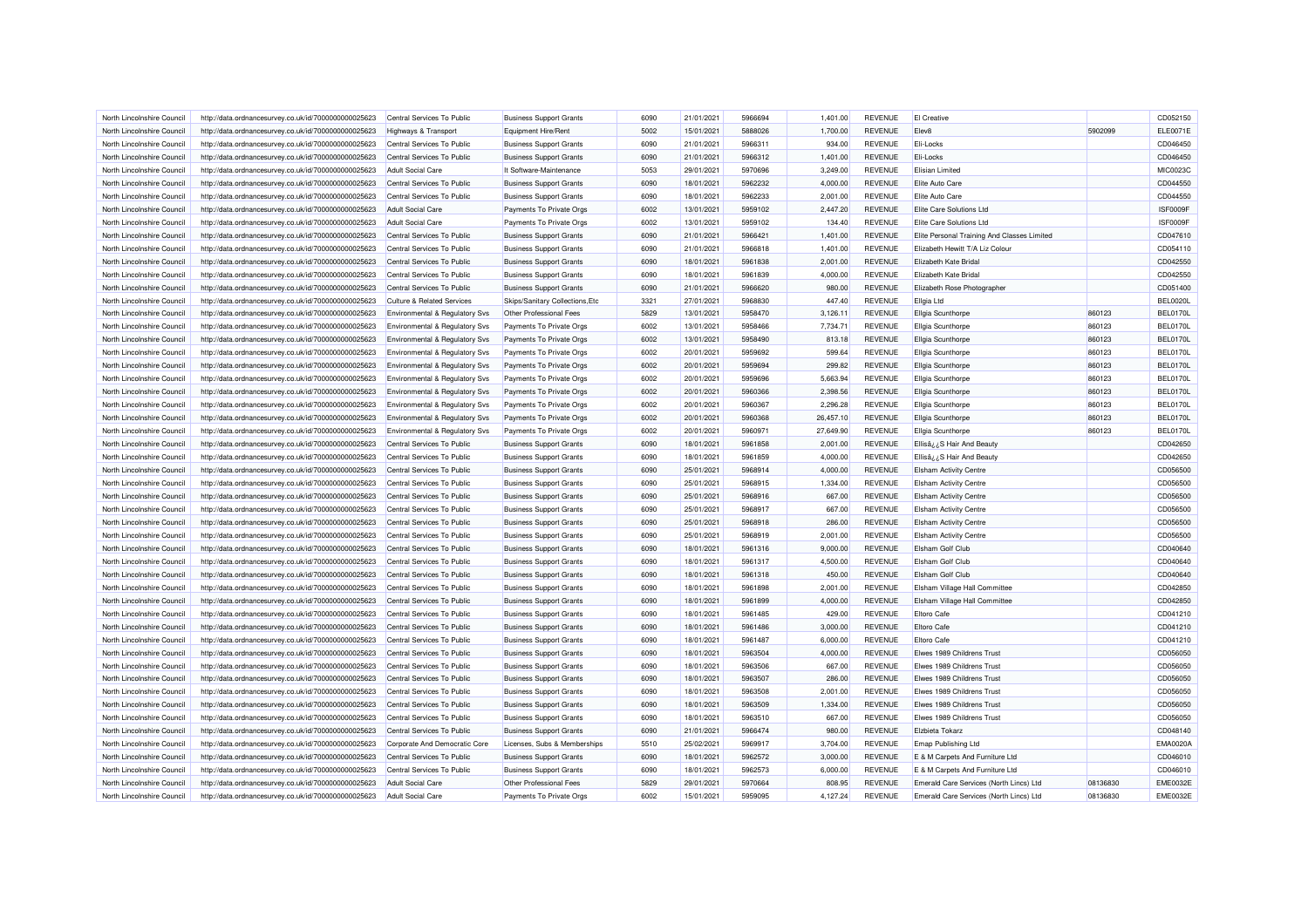| North Lincolnshire Council | http://data.ordnancesurvey.co.uk/id/7000000000025623 | Central Services To Public                | <b>Business Support Grants</b>   | 6090 | 21/01/2021 | 5966694 | 1,401.00  | <b>REVENUE</b> | El Creative                                 |          | CD052150        |
|----------------------------|------------------------------------------------------|-------------------------------------------|----------------------------------|------|------------|---------|-----------|----------------|---------------------------------------------|----------|-----------------|
| North Lincolnshire Council | http://data.ordnancesurvey.co.uk/id/7000000000025623 | <b>Highways &amp; Transport</b>           | Equipment Hire/Rent              | 5002 | 15/01/2021 | 5888026 | 1,700.00  | <b>REVENUE</b> | Elev <sub>8</sub>                           | 5902099  | ELE0071E        |
|                            |                                                      |                                           |                                  |      |            |         |           |                |                                             |          |                 |
| North Lincolnshire Council | http://data.ordnancesurvey.co.uk/id/7000000000025623 | Central Services To Public                | <b>Business Support Grants</b>   | 6090 | 21/01/2021 | 5966311 | 934.00    | <b>REVENUE</b> | Eli-Locks                                   |          | CD046450        |
| North Lincolnshire Council | http://data.ordnancesurvey.co.uk/id/7000000000025623 | Central Services To Public                | <b>Business Support Grants</b>   | 6090 | 21/01/2021 | 5966312 | 1,401.00  | <b>REVENUE</b> | Eli-Locks                                   |          | CD046450        |
| North Lincolnshire Council | http://data.ordnancesurvey.co.uk/id/7000000000025623 | <b>Adult Social Care</b>                  | It Software-Maintenance          | 5053 | 29/01/2021 | 5970696 | 3,249.00  | <b>REVENUE</b> | <b>Elisian Limited</b>                      |          | MIC0023C        |
| North Lincolnshire Council | http://data.ordnancesurvey.co.uk/id/7000000000025623 | Central Services To Public                | <b>Business Support Grants</b>   | 6090 | 18/01/2021 | 5962232 | 4,000.00  | <b>REVENUE</b> | Elite Auto Care                             |          | CD044550        |
| North Lincolnshire Council | http://data.ordnancesurvey.co.uk/id/7000000000025623 | Central Services To Public                | <b>Business Support Grants</b>   | 6090 | 18/01/2021 | 5962233 | 2.001.00  | <b>REVENUE</b> | Elite Auto Care                             |          | CD044550        |
| North Lincolnshire Council | http://data.ordnancesurvey.co.uk/id/7000000000025623 | <b>Adult Social Care</b>                  | Payments To Private Orgs         | 6002 | 13/01/2021 | 5959102 | 2,447.20  | <b>REVENUE</b> | Elite Care Solutions Ltd                    |          | ISF0009F        |
| North Lincolnshire Council | http://data.ordnancesurvey.co.uk/id/7000000000025623 | Adult Social Care                         | Payments To Private Orgs         | 6002 | 13/01/2021 | 5959102 | 134.40    | <b>REVENUE</b> | Elite Care Solutions Ltd                    |          | ISF0009F        |
| North Lincolnshire Council | http://data.ordnancesurvey.co.uk/id/7000000000025623 | Central Services To Public                | <b>Business Support Grants</b>   | 6090 | 21/01/2021 | 5966421 | 1,401.00  | <b>REVENUE</b> | Elite Personal Training And Classes Limited |          | CD047610        |
| North Lincolnshire Council | http://data.ordnancesurvey.co.uk/id/7000000000025623 | Central Services To Public                | <b>Business Support Grants</b>   | 6090 | 21/01/2021 | 5966818 | 1,401.00  | <b>REVENUE</b> | Elizabeth Hewitt T/A Liz Colour             |          | CD054110        |
| North Lincolnshire Council | http://data.ordnancesurvey.co.uk/id/7000000000025623 | Central Services To Public                | <b>Business Support Grants</b>   | 6090 | 18/01/2021 | 5961838 | 2,001.00  | <b>REVENUE</b> | Elizabeth Kate Bridal                       |          | CD042550        |
| North Lincolnshire Council | http://data.ordnancesurvey.co.uk/id/7000000000025623 | Central Services To Public                | <b>Business Support Grants</b>   | 6090 | 18/01/2021 | 5961839 | 4,000.00  | <b>REVENUE</b> | Elizabeth Kate Bridal                       |          | CD042550        |
| North Lincolnshire Council | http://data.ordnancesurvey.co.uk/id/7000000000025623 | Central Services To Public                | <b>Business Support Grants</b>   | 6090 | 21/01/2021 | 5966620 | 980.00    | <b>REVENUE</b> | Elizabeth Rose Photographer                 |          | CD051400        |
| North Lincolnshire Council | http://data.ordnancesurvey.co.uk/id/7000000000025623 | <b>Culture &amp; Related Services</b>     | Skips/Sanitary Collections, Etc. | 3321 | 27/01/2021 | 5968830 | 447.40    | <b>REVENUE</b> | <b>Ellgia Ltd</b>                           |          | <b>BEL0020L</b> |
| North Lincolnshire Counci  | http://data.ordnancesurvey.co.uk/id/7000000000025623 | Environmental & Regulatory Svs            | Other Professional Fees          | 5829 | 13/01/2021 | 5958470 | 3,126.11  | <b>REVENUE</b> | Ellgia Scunthorpe                           | 860123   | <b>BEL0170L</b> |
| North Lincolnshire Council |                                                      |                                           | Payments To Private Orgs         | 6002 | 13/01/2021 | 5958466 | 7,734.71  | <b>REVENUE</b> |                                             | 860123   | <b>BEL0170L</b> |
|                            | http://data.ordnancesurvey.co.uk/id/7000000000025623 | Environmental & Regulatory Svs            |                                  |      |            |         |           |                | Ellgia Scunthorpe                           |          |                 |
| North Lincolnshire Council | http://data.ordnancesurvey.co.uk/id/7000000000025623 | Environmental & Regulatory Svs            | Payments To Private Orgs         | 6002 | 13/01/2021 | 5958490 | 813.18    | <b>REVENUE</b> | Ellgia Scunthorpe                           | 860123   | <b>BEL0170L</b> |
| North Lincolnshire Council | http://data.ordnancesurvey.co.uk/id/7000000000025623 | Environmental & Regulatory Svs            | Payments To Private Orgs         | 6002 | 20/01/2021 | 5959692 | 599.64    | <b>REVENUE</b> | <b>Ellgia Scunthorpe</b>                    | 860123   | <b>BEL0170L</b> |
| North Lincolnshire Council | http://data.ordnancesurvey.co.uk/id/7000000000025623 | Environmental & Regulatory Svs            | Payments To Private Orgs         | 6002 | 20/01/2021 | 5959694 | 299.82    | <b>REVENUE</b> | <b>Ellgia Scunthorpe</b>                    | 860123   | <b>BEL0170L</b> |
| North Lincolnshire Council | http://data.ordnancesurvey.co.uk/id/7000000000025623 | <b>Environmental &amp; Regulatory Svs</b> | Payments To Private Orgs         | 6002 | 20/01/2021 | 5959696 | 5,663.94  | <b>REVENUE</b> | <b>Ellgia Scunthorpe</b>                    | 860123   | <b>BEL0170L</b> |
| North Lincolnshire Council | http://data.ordnancesurvey.co.uk/id/7000000000025623 | Environmental & Regulatory Svs            | Payments To Private Orgs         | 6002 | 20/01/2021 | 5960366 | 2,398.56  | <b>REVENUE</b> | Ellgia Scunthorpe                           | 860123   | <b>BEL0170L</b> |
| North Lincolnshire Council | http://data.ordnancesurvey.co.uk/id/7000000000025623 | <b>Environmental &amp; Regulatory Svs</b> | Payments To Private Orgs         | 6002 | 20/01/2021 | 5960367 | 2,296.28  | <b>REVENUE</b> | <b>Ellgia Scunthorpe</b>                    | 860123   | <b>BEL0170L</b> |
| North Lincolnshire Council | http://data.ordnancesurvey.co.uk/id/7000000000025623 | Environmental & Regulatory Svs            | Payments To Private Orgs         | 6002 | 20/01/2021 | 5960368 | 26,457.10 | <b>REVENUE</b> | Ellgia Scunthorpe                           | 860123   | <b>BEL0170L</b> |
| North Lincolnshire Council | http://data.ordnancesurvey.co.uk/id/7000000000025623 | Environmental & Regulatory Svs            | Payments To Private Orgs         | 6002 | 20/01/2021 | 5960971 | 27,649.90 | <b>REVENUE</b> | Ellgia Scunthorpe                           | 860123   | <b>BEL0170L</b> |
| North Lincolnshire Council | http://data.ordnancesurvey.co.uk/id/7000000000025623 | Central Services To Public                | <b>Business Support Grants</b>   | 6090 | 18/01/2021 | 5961858 | 2,001.00  | <b>REVENUE</b> | Ellisâ ¿¿S Hair And Beauty                  |          | CD042650        |
| North Lincolnshire Council | http://data.ordnancesurvey.co.uk/id/7000000000025623 | Central Services To Public                | <b>Business Support Grants</b>   | 6090 | 18/01/2021 | 5961859 | 4,000.00  | <b>REVENUE</b> | Ellisâ; ¿S Hair And Beauty                  |          | CD042650        |
| North Lincolnshire Council | http://data.ordnancesurvey.co.uk/id/7000000000025623 | Central Services To Public                | <b>Business Support Grants</b>   | 6090 | 25/01/2021 | 5968914 | 4.000.00  | <b>REVENUE</b> | <b>Elsham Activity Centre</b>               |          | CD056500        |
| North Lincolnshire Council | http://data.ordnancesurvey.co.uk/id/7000000000025623 | Central Services To Public                | <b>Business Support Grants</b>   | 6090 | 25/01/2021 | 5968915 | 1,334.00  | <b>REVENUE</b> | <b>Elsham Activity Centre</b>               |          | CD056500        |
| North Lincolnshire Council | http://data.ordnancesurvey.co.uk/id/7000000000025623 | Central Services To Public                | <b>Business Support Grants</b>   | 6090 | 25/01/2021 | 5968916 | 667.00    | <b>REVENUE</b> | <b>Elsham Activity Centre</b>               |          | CD056500        |
| North Lincolnshire Council | http://data.ordnancesurvey.co.uk/id/7000000000025623 | Central Services To Public                | <b>Business Support Grants</b>   | 6090 | 25/01/2021 | 5968917 | 667.00    | <b>REVENUE</b> | <b>Elsham Activity Centre</b>               |          | CD056500        |
| North Lincolnshire Council | http://data.ordnancesurvey.co.uk/id/7000000000025623 | Central Services To Public                | <b>Business Support Grants</b>   | 6090 | 25/01/2021 | 5968918 | 286.00    | <b>REVENUE</b> | <b>Elsham Activity Centre</b>               |          | CD056500        |
| North Lincolnshire Council | http://data.ordnancesurvey.co.uk/id/7000000000025623 | Central Services To Public                | <b>Business Support Grants</b>   | 6090 | 25/01/2021 | 5968919 | 2,001.00  | <b>REVENUE</b> | <b>Elsham Activity Centre</b>               |          | CD056500        |
| North Lincolnshire Council | http://data.ordnancesurvey.co.uk/id/7000000000025623 | Central Services To Public                | <b>Business Support Grants</b>   | 6090 | 18/01/2021 | 5961316 | 9.000.00  | <b>REVENUE</b> | Elsham Golf Club                            |          | CD040640        |
|                            |                                                      |                                           |                                  |      |            |         |           |                |                                             |          |                 |
| North Lincolnshire Council | http://data.ordnancesurvey.co.uk/id/7000000000025623 | Central Services To Public                | <b>Business Support Grants</b>   | 6090 | 18/01/2021 | 5961317 | 4,500.00  | <b>REVENUE</b> | <b>Elsham Golf Club</b>                     |          | CD040640        |
| North Lincolnshire Council | http://data.ordnancesurvey.co.uk/id/7000000000025623 | Central Services To Public                | <b>Business Support Grants</b>   | 6090 | 18/01/2021 | 5961318 | 450.00    | <b>REVENUE</b> | <b>Fisham Golf Club</b>                     |          | CD040640        |
| North Lincolnshire Council | http://data.ordnancesurvey.co.uk/id/7000000000025623 | Central Services To Public                | <b>Business Support Grants</b>   | 6090 | 18/01/2021 | 5961898 | 2,001.00  | <b>REVENUE</b> | Elsham Village Hall Committee               |          | CD042850        |
| North Lincolnshire Council | http://data.ordnancesurvey.co.uk/id/7000000000025623 | Central Services To Public                | <b>Business Support Grants</b>   | 6090 | 18/01/2021 | 5961899 | 4,000.00  | <b>REVENUE</b> | Elsham Village Hall Committee               |          | CD042850        |
| North Lincolnshire Council | http://data.ordnancesurvey.co.uk/id/7000000000025623 | Central Services To Public                | <b>Business Support Grants</b>   | 6090 | 18/01/2021 | 5961485 | 429.00    | <b>REVENUE</b> | <b>Eltoro Cafe</b>                          |          | CD041210        |
| North Lincolnshire Council | http://data.ordnancesurvey.co.uk/id/7000000000025623 | Central Services To Public                | <b>Business Support Grants</b>   | 6090 | 18/01/2021 | 5961486 | 3,000.00  | <b>REVENUE</b> | <b>Eltoro Cafe</b>                          |          | CD041210        |
| North Lincolnshire Council | http://data.ordnancesurvey.co.uk/id/7000000000025623 | Central Services To Public                | <b>Business Support Grants</b>   | 6090 | 18/01/2021 | 5961487 | 6,000.00  | <b>REVENUE</b> | <b>Eltoro Cafe</b>                          |          | CD041210        |
| North Lincolnshire Council | http://data.ordnancesurvey.co.uk/id/7000000000025623 | Central Services To Public                | <b>Business Support Grants</b>   | 6090 | 18/01/2021 | 5963504 | 4.000.00  | <b>REVENUE</b> | Elwes 1989 Childrens Trust                  |          | CD056050        |
| North Lincolnshire Council | http://data.ordnancesurvey.co.uk/id/7000000000025623 | Central Services To Public                | <b>Business Support Grants</b>   | 6090 | 18/01/2021 | 5963506 | 667.00    | <b>REVENUE</b> | Elwes 1989 Childrens Trust                  |          | CD056050        |
| North Lincolnshire Council | http://data.ordnancesurvey.co.uk/id/7000000000025623 | Central Services To Public                | <b>Business Support Grants</b>   | 6090 | 18/01/2021 | 5963507 | 286.00    | <b>REVENUE</b> | Elwes 1989 Childrens Trust                  |          | CD056050        |
| North Lincolnshire Council | http://data.ordnancesurvey.co.uk/id/7000000000025623 | Central Services To Public                | <b>Business Support Grants</b>   | 6090 | 18/01/2021 | 5963508 | 2,001.00  | <b>REVENUE</b> | Elwes 1989 Childrens Trust                  |          | CD056050        |
| North Lincolnshire Council | http://data.ordnancesurvey.co.uk/id/7000000000025623 | Central Services To Public                | <b>Business Support Grants</b>   | 6090 | 18/01/2021 | 5963509 | 1,334.00  | <b>REVENUE</b> | Elwes 1989 Childrens Trust                  |          | CD056050        |
| North Lincolnshire Council | http://data.ordnancesurvey.co.uk/id/7000000000025623 | Central Services To Public                | <b>Business Support Grants</b>   | 6090 | 18/01/2021 | 5963510 | 667.00    | <b>REVENUE</b> | Elwes 1989 Childrens Trust                  |          | CD056050        |
| North Lincolnshire Council | http://data.ordnancesurvey.co.uk/id/7000000000025623 | Central Services To Public                | <b>Business Support Grants</b>   | 6090 | 21/01/2021 | 5966474 | 980.00    | <b>REVENUE</b> | <b>Fizbieta Tokarz</b>                      |          | CD048140        |
| North Lincolnshire Council | http://data.ordnancesurvey.co.uk/id/7000000000025623 | Corporate And Democratic Core             | Licenses, Subs & Memberships     | 5510 | 25/02/2021 | 5969917 | 3,704.00  | <b>REVENUE</b> | Emap Publishing Ltd                         |          | EMA0020/        |
| North Lincolnshire Council | http://data.ordnancesurvey.co.uk/id/7000000000025623 | Central Services To Public                | <b>Business Support Grants</b>   | 6090 | 18/01/2021 | 5962572 | 3,000.00  | <b>REVENUE</b> | E & M Carpets And Furniture Ltd             |          | CD046010        |
| North Lincolnshire Council | http://data.ordnancesurvey.co.uk/id/7000000000025623 | Central Services To Public                | <b>Business Support Grants</b>   | 6090 | 18/01/2021 | 5962573 | 6,000.00  | <b>REVENUE</b> | E & M Carpets And Furniture Ltd             |          | CD046010        |
| North Lincolnshire Council | http://data.ordnancesurvey.co.uk/id/7000000000025623 | <b>Adult Social Care</b>                  | Other Professional Fees          | 5829 | 29/01/2021 | 5970664 | 808.95    | <b>REVENUE</b> | Emerald Care Services (North Lincs) Ltd     | 08136830 | <b>EME0032E</b> |
| North Lincolnshire Council | http://data.ordnancesurvey.co.uk/id/7000000000025623 | <b>Adult Social Care</b>                  | Payments To Private Orgs         | 6002 | 15/01/2021 | 5959095 | 4,127.24  | <b>REVENUE</b> | Emerald Care Services (North Lincs) Ltd     | 08136830 | <b>EME0032E</b> |
|                            |                                                      |                                           |                                  |      |            |         |           |                |                                             |          |                 |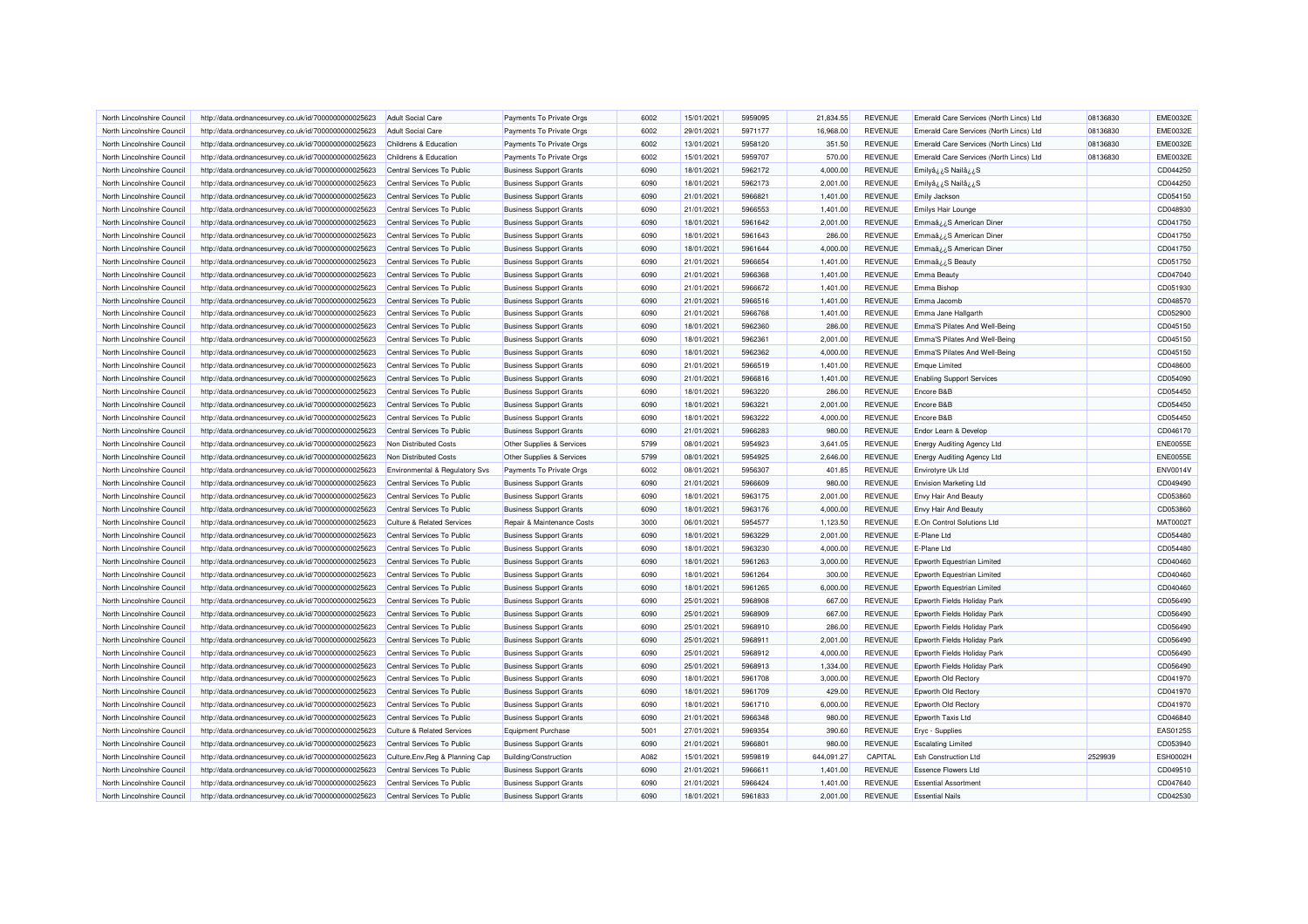| North Lincolnshire Council                               | http://data.ordnancesurvey.co.uk/id/7000000000025623 | Adult Social Care                                        | Payments To Private Orgs       | 6002 | 15/01/2021               | 5959095 | 21.834.55            | <b>REVENUE</b>                   | Emerald Care Services (North Lincs) Ltd | 08136830 | <b>EME0032E</b> |
|----------------------------------------------------------|------------------------------------------------------|----------------------------------------------------------|--------------------------------|------|--------------------------|---------|----------------------|----------------------------------|-----------------------------------------|----------|-----------------|
| North Lincolnshire Council                               | http://data.ordnancesurvey.co.uk/id/7000000000025623 | Adult Social Care                                        | Payments To Private Orgs       | 6002 | 29/01/2021               | 5971177 | 16,968.00            | <b>REVENUE</b>                   | Emerald Care Services (North Lincs) Ltd | 08136830 | <b>EME0032E</b> |
| North Lincolnshire Council                               | http://data.ordnancesurvey.co.uk/id/7000000000025623 | Childrens & Education                                    | Payments To Private Orgs       | 6002 | 13/01/2021               | 5958120 | 351.50               | <b>REVENUE</b>                   | Emerald Care Services (North Lincs) Ltd | 08136830 | <b>EME0032E</b> |
| North Lincolnshire Council                               | http://data.ordnancesurvey.co.uk/id/7000000000025623 | Childrens & Education                                    | Payments To Private Orgs       | 6002 | 15/01/2021               | 5959707 | 570.00               | <b>REVENUE</b>                   | Emerald Care Services (North Lincs) Ltd | 08136830 | <b>EME0032E</b> |
| North Lincolnshire Council                               | http://data.ordnancesurvey.co.uk/id/7000000000025623 | Central Services To Public                               | <b>Business Support Grants</b> | 6090 | 18/01/2021               | 5962172 | 4,000.00             | <b>REVENUE</b>                   | Emilyâ¿¿S Nailâ¿¿S                      |          | CD044250        |
| North Lincolnshire Council                               | http://data.ordnancesurvey.co.uk/id/7000000000025623 | Central Services To Public                               | <b>Business Support Grants</b> | 6090 | 18/01/2021               | 5962173 | 2,001.00             | <b>REVENUE</b>                   | S <sub>غ</sub> نS Nailâ                 |          | CD044250        |
| North Lincolnshire Council                               | http://data.ordnancesurvey.co.uk/id/7000000000025623 | Central Services To Public                               | <b>Business Support Grants</b> | 6090 | 21/01/2021               | 5966821 | 1,401.00             | <b>REVENUE</b>                   | Emily Jackson                           |          | CD054150        |
| North Lincolnshire Council                               | http://data.ordnancesurvey.co.uk/id/7000000000025623 | Central Services To Public                               | <b>Business Support Grants</b> | 6090 | 21/01/2021               | 5966553 | 1,401.00             | <b>REVENUE</b>                   | <b>Emilys Hair Lounge</b>               |          | CD048930        |
| North Lincolnshire Council                               | http://data.ordnancesurvey.co.uk/id/7000000000025623 | Central Services To Public                               | <b>Business Support Grants</b> | 6090 | 18/01/2021               | 5961642 | 2,001.00             | <b>REVENUE</b>                   | Emmaâzz S American Diner                |          | CD041750        |
| North Lincolnshire Council                               | http://data.ordnancesurvey.co.uk/id/7000000000025623 | Central Services To Public                               | <b>Business Support Grants</b> | 6090 | 18/01/2021               | 5961643 | 286.00               | <b>REVENUE</b>                   | Emmaâ¿¿S American Diner                 |          | CD041750        |
| North Lincolnshire Council                               | http://data.ordnancesurvey.co.uk/id/7000000000025623 | Central Services To Public                               | <b>Business Support Grants</b> | 6090 | 18/01/2021               | 5961644 | 4,000.00             | <b>REVENUE</b>                   | Emmaâ¿¿S American Diner                 |          | CD041750        |
| North Lincolnshire Council                               | http://data.ordnancesurvey.co.uk/id/7000000000025623 | Central Services To Public                               | <b>Business Support Grants</b> | 6090 | 21/01/2021               | 5966654 | 1,401.00             | <b>REVENUE</b>                   | Emmaâ ¿¿S Beauty                        |          | CD051750        |
| North Lincolnshire Council                               | http://data.ordnancesurvey.co.uk/id/7000000000025623 | Central Services To Public                               | <b>Business Support Grants</b> | 6090 | 21/01/2021               | 5966368 | 1,401.00             | <b>REVENUE</b>                   | <b>Emma Beauty</b>                      |          | CD047040        |
| North Lincolnshire Council                               | http://data.ordnancesurvey.co.uk/id/7000000000025623 | Central Services To Public                               | <b>Business Support Grants</b> | 6090 | 21/01/2021               | 5966672 | 1,401.00             | <b>REVENUE</b>                   | Emma Bishop                             |          | CD051930        |
| North Lincolnshire Council                               | http://data.ordnancesurvey.co.uk/id/7000000000025623 | Central Services To Public                               | <b>Business Support Grants</b> | 6090 | 21/01/2021               | 5966516 | 1,401.00             | <b>REVENUE</b>                   | Emma Jacomb                             |          | CD048570        |
| North Lincolnshire Council                               | http://data.ordnancesurvey.co.uk/id/7000000000025623 | Central Services To Public                               | <b>Business Support Grants</b> | 6090 | 21/01/2021               | 5966768 | 1,401.00             | <b>REVENUE</b>                   | Emma Jane Hallgarth                     |          | CD052900        |
| North Lincolnshire Council                               | http://data.ordnancesurvey.co.uk/id/7000000000025623 | Central Services To Public                               | <b>Business Support Grants</b> | 6090 | 18/01/2021               | 5962360 | 286.00               | <b>REVENUE</b>                   | Emma'S Pilates And Well-Being           |          | CD045150        |
| North Lincolnshire Council                               | http://data.ordnancesurvey.co.uk/id/7000000000025623 | Central Services To Public                               | <b>Business Support Grants</b> | 6090 | 18/01/2021               | 5962361 | 2,001.00             | <b>REVENUE</b>                   | Emma'S Pilates And Well-Being           |          | CD045150        |
|                                                          |                                                      |                                                          |                                | 6090 |                          | 5962362 |                      |                                  | Emma'S Pilates And Well-Being           |          | CD045150        |
| North Lincolnshire Council<br>North Lincolnshire Council | http://data.ordnancesurvey.co.uk/id/7000000000025623 | Central Services To Public<br>Central Services To Public | <b>Business Support Grants</b> | 6090 | 18/01/2021<br>21/01/2021 | 5966519 | 4,000.00<br>1,401.00 | <b>REVENUE</b><br><b>REVENUE</b> |                                         |          | CD048600        |
|                                                          | http://data.ordnancesurvey.co.uk/id/7000000000025623 |                                                          | <b>Business Support Grants</b> |      |                          |         |                      |                                  | <b>Emque Limited</b>                    |          |                 |
| North Lincolnshire Council                               | http://data.ordnancesurvey.co.uk/id/7000000000025623 | Central Services To Public                               | <b>Business Support Grants</b> | 6090 | 21/01/2021               | 5966816 | 1,401.00             | <b>REVENUE</b>                   | <b>Enabling Support Services</b>        |          | CD054090        |
| North Lincolnshire Council                               | http://data.ordnancesurvey.co.uk/id/7000000000025623 | Central Services To Public                               | <b>Business Support Grants</b> | 6090 | 18/01/2021               | 5963220 | 286.00               | <b>REVENUE</b>                   | Encore B&B                              |          | CD054450        |
| North Lincolnshire Council                               | http://data.ordnancesurvey.co.uk/id/7000000000025623 | Central Services To Public                               | <b>Business Support Grants</b> | 6090 | 18/01/2021               | 5963221 | 2.001.00             | <b>REVENUE</b>                   | Encore B&B                              |          | CD054450        |
| North Lincolnshire Council                               | http://data.ordnancesurvey.co.uk/id/7000000000025623 | Central Services To Public                               | <b>Business Support Grants</b> | 6090 | 18/01/2021               | 5963222 | 4,000.00             | <b>REVENUE</b>                   | Encore B&B                              |          | CD054450        |
| North Lincolnshire Council                               | http://data.ordnancesurvey.co.uk/id/7000000000025623 | Central Services To Public                               | <b>Business Support Grants</b> | 6090 | 21/01/2021               | 5966283 | 980.00               | <b>REVENUE</b>                   | Endor Learn & Develop                   |          | CD046170        |
| North Lincolnshire Council                               | http://data.ordnancesurvey.co.uk/id/7000000000025623 | Non Distributed Costs                                    | Other Supplies & Services      | 5799 | 08/01/2021               | 5954923 | 3,641.05             | <b>REVENUE</b>                   | <b>Energy Auditing Agency Ltd</b>       |          | <b>ENE0055E</b> |
| North Lincolnshire Council                               | http://data.ordnancesurvey.co.uk/id/7000000000025623 | Non Distributed Costs                                    | Other Supplies & Services      | 5799 | 08/01/2021               | 5954925 | 2,646.00             | <b>REVENUE</b>                   | <b>Energy Auditing Agency Ltd</b>       |          | <b>ENE0055E</b> |
| North Lincolnshire Council                               | http://data.ordnancesurvey.co.uk/id/7000000000025623 | Environmental & Regulatory Svs                           | Payments To Private Orgs       | 6002 | 08/01/2021               | 5956307 | 401.85               | <b>REVENUE</b>                   | Envirotyre Uk Ltd                       |          | <b>ENV0014V</b> |
| North Lincolnshire Council                               | http://data.ordnancesurvey.co.uk/id/7000000000025623 | Central Services To Public                               | <b>Business Support Grants</b> | 6090 | 21/01/2021               | 5966609 | 980.00               | <b>REVENUE</b>                   | <b>Envision Marketing Ltd</b>           |          | CD049490        |
| North Lincolnshire Council                               | http://data.ordnancesurvey.co.uk/id/7000000000025623 | Central Services To Public                               | <b>Business Support Grants</b> | 6090 | 18/01/2021               | 5963175 | 2,001.00             | <b>REVENUE</b>                   | Envy Hair And Beauty                    |          | CD053860        |
| North Lincolnshire Council                               | http://data.ordnancesurvey.co.uk/id/7000000000025623 | Central Services To Public                               | <b>Business Support Grants</b> | 6090 | 18/01/2021               | 5963176 | 4,000.00             | <b>REVENUE</b>                   | Envy Hair And Beauty                    |          | CD053860        |
| North Lincolnshire Council                               | http://data.ordnancesurvey.co.uk/id/7000000000025623 | Culture & Related Services                               | Repair & Maintenance Costs     | 3000 | 06/01/2021               | 5954577 | 1,123.50             | <b>REVENUE</b>                   | E.On Control Solutions Ltd              |          | MAT00021        |
| North Lincolnshire Counci                                | http://data.ordnancesurvey.co.uk/id/7000000000025623 | Central Services To Public                               | <b>Business Support Grants</b> | 6090 | 18/01/2021               | 5963229 | 2,001.00             | <b>REVENUE</b>                   | E-Plane Ltd                             |          | CD054480        |
| North Lincolnshire Council                               | http://data.ordnancesurvey.co.uk/id/7000000000025623 | Central Services To Public                               | <b>Business Support Grants</b> | 6090 | 18/01/2021               | 5963230 | 4,000.00             | <b>REVENUE</b>                   | E-Plane Ltd                             |          | CD054480        |
| North Lincolnshire Council                               | http://data.ordnancesurvey.co.uk/id/7000000000025623 | Central Services To Public                               | <b>Business Support Grants</b> | 6090 | 18/01/2021               | 5961263 | 3,000.00             | <b>REVENUE</b>                   | Epworth Equestrian Limited              |          | CD040460        |
| North Lincolnshire Council                               | http://data.ordnancesurvey.co.uk/id/7000000000025623 | Central Services To Public                               | <b>Business Support Grants</b> | 6090 | 18/01/2021               | 5961264 | 300.00               | <b>REVENUE</b>                   | Epworth Equestrian Limited              |          | CD040460        |
| North Lincolnshire Council                               | http://data.ordnancesurvey.co.uk/id/7000000000025623 | Central Services To Public                               | <b>Business Support Grants</b> | 6090 | 18/01/2021               | 5961265 | 6,000.00             | <b>REVENUE</b>                   | Epworth Equestrian Limited              |          | CD040460        |
| North Lincolnshire Council                               | http://data.ordnancesurvey.co.uk/id/7000000000025623 | Central Services To Public                               | <b>Business Support Grants</b> | 6090 | 25/01/2021               | 5968908 | 667.00               | <b>REVENUE</b>                   | Epworth Fields Holiday Park             |          | CD056490        |
| North Lincolnshire Council                               | http://data.ordnancesurvey.co.uk/id/7000000000025623 | Central Services To Public                               | <b>Business Support Grants</b> | 6090 | 25/01/2021               | 5968909 | 667.00               | <b>REVENUE</b>                   | Epworth Fields Holiday Park             |          | CD056490        |
| North Lincolnshire Council                               | http://data.ordnancesurvey.co.uk/id/7000000000025623 | Central Services To Public                               | <b>Business Support Grants</b> | 6090 | 25/01/2021               | 5968910 | 286.00               | <b>REVENUE</b>                   | Epworth Fields Holiday Park             |          | CD056490        |
| North Lincolnshire Council                               | http://data.ordnancesurvey.co.uk/id/7000000000025623 | Central Services To Public                               | <b>Business Support Grants</b> | 6090 | 25/01/2021               | 596891  | 2,001.00             | <b>REVENUE</b>                   | Epworth Fields Holiday Park             |          | CD056490        |
| North Lincolnshire Council                               | http://data.ordnancesurvey.co.uk/id/7000000000025623 | Central Services To Public                               | <b>Business Support Grants</b> | 6090 | 25/01/2021               | 5968912 | 4,000.00             | <b>REVENUE</b>                   | Epworth Fields Holiday Park             |          | CD056490        |
| North Lincolnshire Council                               | http://data.ordnancesurvey.co.uk/id/7000000000025623 | Central Services To Public                               | <b>Business Support Grants</b> | 6090 | 25/01/2021               | 5968913 | 1,334.00             | <b>REVENUE</b>                   | Epworth Fields Holiday Park             |          | CD056490        |
| North Lincolnshire Council                               | http://data.ordnancesurvey.co.uk/id/7000000000025623 | Central Services To Public                               | <b>Business Support Grants</b> | 6090 | 18/01/2021               | 5961708 | 3,000.00             | <b>REVENUE</b>                   | Epworth Old Rectory                     |          | CD041970        |
| North Lincolnshire Council                               | http://data.ordnancesurvey.co.uk/id/7000000000025623 | Central Services To Public                               | <b>Business Support Grants</b> | 6090 | 18/01/2021               | 5961709 | 429.00               | <b>REVENUE</b>                   | Epworth Old Rectory                     |          | CD041970        |
| North Lincolnshire Council                               | http://data.ordnancesurvey.co.uk/id/7000000000025623 | Central Services To Public                               | <b>Business Support Grants</b> | 6090 | 18/01/2021               | 5961710 | 6,000.00             | <b>REVENUE</b>                   | Epworth Old Rector                      |          | CD041970        |
| North Lincolnshire Council                               | http://data.ordnancesurvey.co.uk/id/7000000000025623 | Central Services To Public                               | <b>Business Support Grants</b> | 6090 | 21/01/2021               | 5966348 | 980.00               | <b>REVENUE</b>                   | Epworth Taxis Ltd                       |          | CD046840        |
| North Lincolnshire Council                               | http://data.ordnancesurvey.co.uk/id/7000000000025623 | <b>Culture &amp; Related Services</b>                    | <b>Equipment Purchase</b>      | 5001 | 27/01/2021               | 5969354 | 390.60               | <b>REVENUE</b>                   | Eryc - Supplies                         |          | EAS0125S        |
| North Lincolnshire Council                               | http://data.ordnancesurvey.co.uk/id/7000000000025623 | Central Services To Public                               | <b>Business Support Grants</b> | 6090 | 21/01/2021               | 5966801 | 980.00               | <b>REVENUE</b>                   | <b>Escalating Limited</b>               |          | CD053940        |
| North Lincolnshire Council                               | http://data.ordnancesurvey.co.uk/id/7000000000025623 | Culture, Env, Reg & Planning Cap                         | Building/Construction          | A082 | 15/01/2021               | 5959819 | 644,091.27           | CAPITAL                          | <b>Esh Construction Ltd</b>             | 2529939  | <b>ESH0002H</b> |
| North Lincolnshire Council                               | http://data.ordnancesurvey.co.uk/id/7000000000025623 | Central Services To Public                               | <b>Business Support Grants</b> | 6090 | 21/01/2021               | 596661  | 1,401.00             | <b>REVENUE</b>                   | <b>Essence Flowers Ltd</b>              |          | CD049510        |
| North Lincolnshire Council                               | http://data.ordnancesurvey.co.uk/id/7000000000025623 | Central Services To Public                               | <b>Business Support Grants</b> | 6090 | 21/01/2021               | 5966424 | 1,401.00             | <b>REVENUE</b>                   | <b>Essential Assortment</b>             |          | CD047640        |
| North Lincolnshire Council                               | http://data.ordnancesurvey.co.uk/id/7000000000025623 | Central Services To Public                               | <b>Business Support Grants</b> | 6090 | 18/01/2021               | 5961833 | 2,001.00             | <b>REVENUE</b>                   | <b>Fssential Nails</b>                  |          | CD042530        |
|                                                          |                                                      |                                                          |                                |      |                          |         |                      |                                  |                                         |          |                 |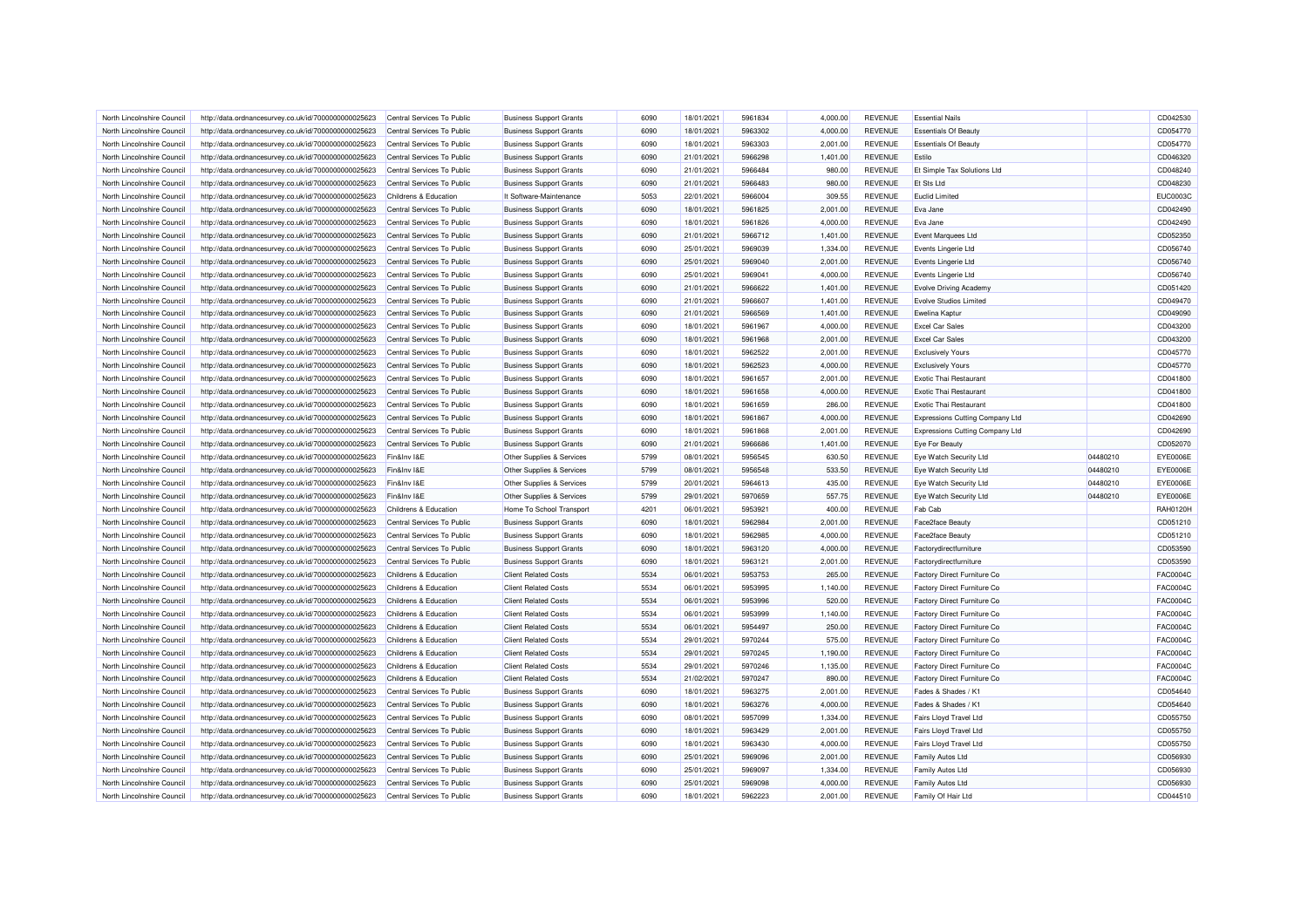| North Lincolnshire Council                               | http://data.ordnancesurvey.co.uk/id/7000000000025623                                                         | Central Services To Public                               | <b>Business Support Grants</b>                                   | 6090         | 18/01/2021               | 5961834            | 4.000.00             | <b>REVENUE</b>                   | <b>Essential Nails</b>                 |          | CD042530             |
|----------------------------------------------------------|--------------------------------------------------------------------------------------------------------------|----------------------------------------------------------|------------------------------------------------------------------|--------------|--------------------------|--------------------|----------------------|----------------------------------|----------------------------------------|----------|----------------------|
| North Lincolnshire Council                               | http://data.ordnancesurvey.co.uk/id/7000000000025623                                                         | Central Services To Public                               | <b>Business Support Grants</b>                                   | 6090         | 18/01/2021               | 5963302            | 4,000.00             | <b>REVENUE</b>                   | Essentials Of Beauty                   |          | CD054770             |
| North Lincolnshire Council                               | http://data.ordnancesurvey.co.uk/id/7000000000025623                                                         | Central Services To Public                               | <b>Business Support Grants</b>                                   | 6090         | 18/01/2021               | 5963303            | 2,001.00             | <b>REVENUE</b>                   | <b>Essentials Of Beauty</b>            |          | CD054770             |
| North Lincolnshire Council                               | http://data.ordnancesurvey.co.uk/id/7000000000025623                                                         | Central Services To Public                               | <b>Business Support Grants</b>                                   | 6090         | 21/01/2021               | 5966298            | 1,401.00             | <b>REVENUE</b>                   | Estilo                                 |          | CD046320             |
| North Lincolnshire Council                               | http://data.ordnancesurvey.co.uk/id/7000000000025623                                                         | Central Services To Public                               | <b>Business Support Grants</b>                                   | 6090         | 21/01/2021               | 5966484            | 980.00               | <b>REVENUE</b>                   | Et Simple Tax Solutions Ltd            |          | CD048240             |
| North Lincolnshire Council                               | http://data.ordnancesurvey.co.uk/id/7000000000025623                                                         | Central Services To Public                               | <b>Business Support Grants</b>                                   | 6090         | 21/01/2021               | 5966483            | 980.00               | <b>REVENUE</b>                   | Et Sts Ltd                             |          | CD048230             |
| North Lincolnshire Council                               | http://data.ordnancesurvey.co.uk/id/7000000000025623                                                         | Childrens & Education                                    | It Software-Maintenance                                          | 5053         | 22/01/2021               | 5966004            | 309.55               | <b>REVENUE</b>                   | <b>Euclid Limited</b>                  |          | EUC0003C             |
| North Lincolnshire Council                               | http://data.ordnancesurvey.co.uk/id/7000000000025623                                                         | Central Services To Public                               | <b>Business Support Grants</b>                                   | 6090         | 18/01/2021               | 5961825            | 2,001.00             | <b>REVENUE</b>                   | Eva Jane                               |          | CD042490             |
| North Lincolnshire Council                               | http://data.ordnancesurvey.co.uk/id/7000000000025623                                                         | Central Services To Public                               | <b>Business Support Grants</b>                                   | 6090         | 18/01/2021               | 5961826            | 4,000.00             | <b>REVENUE</b>                   | Eva Jane                               |          | CD042490             |
| North Lincolnshire Council                               | http://data.ordnancesurvey.co.uk/id/7000000000025623                                                         | Central Services To Public                               | <b>Business Support Grants</b>                                   | 6090         | 21/01/2021               | 5966712            | 1,401.00             | <b>REVENUE</b>                   | Event Marquees Ltd                     |          | CD052350             |
| North Lincolnshire Council                               | http://data.ordnancesurvey.co.uk/id/7000000000025623                                                         | Central Services To Public                               | <b>Business Support Grants</b>                                   | 6090         | 25/01/2021               | 5969039            | 1,334.00             | <b>REVENUE</b>                   | Events Lingerie Ltd                    |          | CD056740             |
| North Lincolnshire Council                               | http://data.ordnancesurvey.co.uk/id/7000000000025623                                                         | Central Services To Public                               | <b>Business Support Grants</b>                                   | 6090         | 25/01/2021               | 5969040            | 2,001.00             | <b>REVENUE</b>                   | Events Lingerie Ltd                    |          | CD056740             |
| North Lincolnshire Council                               | http://data.ordnancesurvey.co.uk/id/7000000000025623                                                         | Central Services To Public                               | <b>Business Support Grants</b>                                   | 6090         | 25/01/2021               | 5969041            | 4,000.00             | <b>REVENUE</b>                   | Events Lingerie Ltd                    |          | CD056740             |
| North Lincolnshire Council                               | http://data.ordnancesurvey.co.uk/id/7000000000025623                                                         | Central Services To Public                               | <b>Business Support Grants</b>                                   | 6090         | 21/01/2021               | 5966622            | 1,401.00             | <b>REVENUE</b>                   | Evolve Driving Academy                 |          | CD051420             |
| North Lincolnshire Council                               | http://data.ordnancesurvey.co.uk/id/7000000000025623                                                         | Central Services To Public                               | <b>Business Support Grants</b>                                   | 6090         | 21/01/2021               | 5966607            | 1,401.00             | <b>REVENUE</b>                   | <b>Evolve Studios Limited</b>          |          | CD049470             |
| North Lincolnshire Council                               | http://data.ordnancesurvey.co.uk/id/7000000000025623                                                         | Central Services To Public                               | <b>Business Support Grants</b>                                   | 6090         | 21/01/2021               | 5966569            | 1,401.00             | <b>REVENUE</b>                   | Ewelina Kaptur                         |          | CD049090             |
| North Lincolnshire Council                               | http://data.ordnancesurvey.co.uk/id/7000000000025623                                                         | Central Services To Public                               | <b>Business Support Grants</b>                                   | 6090         | 18/01/2021               | 5961967            | 4,000.00             | <b>REVENUE</b>                   | <b>Excel Car Sales</b>                 |          | CD043200             |
| North Lincolnshire Council                               | http://data.ordnancesurvey.co.uk/id/7000000000025623                                                         | Central Services To Public                               | <b>Business Support Grants</b>                                   | 6090         | 18/01/2021               | 5961968            | 2,001.00             | <b>REVENUE</b>                   | <b>Excel Car Sales</b>                 |          | CD043200             |
|                                                          |                                                                                                              |                                                          |                                                                  |              |                          |                    |                      |                                  |                                        |          |                      |
| North Lincolnshire Council                               | http://data.ordnancesurvey.co.uk/id/7000000000025623                                                         | Central Services To Public                               | <b>Business Support Grants</b>                                   | 6090         | 18/01/2021               | 5962522<br>5962523 | 2,001.00             | <b>REVENUE</b>                   | <b>Exclusively Yours</b>               |          | CD045770             |
| North Lincolnshire Council                               | http://data.ordnancesurvey.co.uk/id/7000000000025623                                                         | Central Services To Public                               | <b>Business Support Grants</b>                                   | 6090         | 18/01/2021               |                    | 4,000.00             | <b>REVENUE</b>                   | <b>Exclusively Yours</b>               |          | CD045770             |
| North Lincolnshire Council                               | http://data.ordnancesurvey.co.uk/id/7000000000025623                                                         | Central Services To Public                               | <b>Business Support Grants</b>                                   | 6090         | 18/01/2021               | 5961657            | 2,001.00             | <b>REVENUE</b>                   | <b>Exotic Thai Restaurant</b>          |          | CD041800             |
| North Lincolnshire Council                               | http://data.ordnancesurvey.co.uk/id/7000000000025623                                                         | Central Services To Public                               | <b>Business Support Grants</b>                                   | 6090         | 18/01/2021               | 5961658            | 4,000.00             | <b>REVENUE</b>                   | <b>Exotic Thai Restaurant</b>          |          | CD041800             |
| North Lincolnshire Council                               | http://data.ordnancesurvey.co.uk/id/7000000000025623                                                         | Central Services To Public                               | <b>Business Support Grants</b>                                   | 6090         | 18/01/2021               | 5961659            | 286.00               | <b>REVENUE</b>                   | <b>Exotic Thai Restaurant</b>          |          | CD041800             |
| North Lincolnshire Council                               | http://data.ordnancesurvey.co.uk/id/7000000000025623                                                         | Central Services To Public                               | <b>Business Support Grants</b>                                   | 6090         | 18/01/2021               | 5961867            | 4,000.00             | <b>REVENUE</b>                   | <b>Expressions Cutting Company Ltd</b> |          | CD042690             |
| North Lincolnshire Council                               | http://data.ordnancesurvey.co.uk/id/7000000000025623                                                         | Central Services To Public                               | <b>Business Support Grants</b>                                   | 6090         | 18/01/2021               | 5961868            | 2,001.00             | <b>REVENUE</b>                   | Expressions Cutting Company Ltd        |          | CD042690             |
| North Lincolnshire Council                               | http://data.ordnancesurvey.co.uk/id/7000000000025623                                                         | Central Services To Public                               | <b>Business Support Grants</b>                                   | 6090         | 21/01/2021               | 5966686            | 1,401.00             | <b>REVENUE</b>                   | Eve For Beauty                         |          | CD052070             |
| North Lincolnshire Council                               | http://data.ordnancesurvey.co.uk/id/7000000000025623                                                         | Fin&Inv I&E                                              | Other Supplies & Services                                        | 5799         | 08/01/2021               | 5956545            | 630.50               | <b>REVENUE</b>                   | Eye Watch Security Ltd                 | 04480210 | EYE0006E             |
| North Lincolnshire Council                               | http://data.ordnancesurvey.co.uk/id/7000000000025623                                                         | Fin&Inv I&E                                              | Other Supplies & Services                                        | 5799         | 08/01/2021               | 5956548            | 533.50               | <b>REVENUE</b>                   | Eye Watch Security Ltd                 | 04480210 | EYE0006E             |
| North Lincolnshire Council                               | http://data.ordnancesurvey.co.uk/id/7000000000025623                                                         | Fin&Inv I&E                                              | Other Supplies & Services                                        | 5799         | 20/01/2021               | 5964613            | 435.00               | <b>REVENUE</b>                   | Eye Watch Security Ltd                 | 04480210 | EYE0006E             |
| North Lincolnshire Council                               | http://data.ordnancesurvey.co.uk/id/7000000000025623                                                         | Fin&Inv I&E                                              | Other Supplies & Services                                        | 5799         | 29/01/2021               | 5970659            | 557.75               | <b>REVENUE</b>                   | Eye Watch Security Ltd                 | 04480210 | <b>EYE0006E</b>      |
| North Lincolnshire Council                               | http://data.ordnancesurvey.co.uk/id/7000000000025623                                                         | Childrens & Education                                    | Home To School Transport                                         | 4201         | 06/01/2021               | 5953921            | 400.00               | <b>REVENUE</b>                   | Fab Cab                                |          | <b>RAH0120H</b>      |
| North Lincolnshire Council                               | http://data.ordnancesurvey.co.uk/id/7000000000025623                                                         | Central Services To Public                               | <b>Business Support Grants</b>                                   | 6090         | 18/01/2021               | 5962984            | 2,001.00             | <b>REVENUE</b>                   | Face2face Beauty                       |          | CD051210             |
| North Lincolnshire Council                               | http://data.ordnancesurvey.co.uk/id/7000000000025623                                                         | Central Services To Public                               | <b>Business Support Grants</b>                                   | 6090         | 18/01/2021               | 5962985            | 4,000.00             | <b>REVENUE</b>                   | Face2face Beauty                       |          | CD051210             |
| North Lincolnshire Council                               | http://data.ordnancesurvey.co.uk/id/7000000000025623                                                         | Central Services To Public                               | <b>Business Support Grants</b>                                   | 6090         | 18/01/2021               | 5963120            | 4,000.00             | <b>REVENUE</b>                   | Factorydirectfurniture                 |          | CD053590             |
| North Lincolnshire Council                               | http://data.ordnancesurvey.co.uk/id/7000000000025623                                                         | Central Services To Public                               | <b>Business Support Grants</b>                                   | 6090         | 18/01/2021               | 5963121            | 2,001.00             | <b>REVENUE</b>                   | Factorydirectfurniture                 |          | CD053590             |
| North Lincolnshire Council                               | http://data.ordnancesurvey.co.uk/id/7000000000025623                                                         | Childrens & Education                                    | <b>Client Related Costs</b>                                      | 5534         | 06/01/2021               | 5953753            | 265.00               | <b>REVENUE</b>                   | Factory Direct Furniture Co            |          | <b>FAC0004C</b>      |
| North Lincolnshire Council                               | http://data.ordnancesurvey.co.uk/id/7000000000025623                                                         | Childrens & Education                                    | <b>Client Related Costs</b>                                      | 5534         | 06/01/2021               | 5953995            | 1,140.00             | <b>REVENUE</b>                   | Factory Direct Furniture Co            |          | FAC0004C             |
| North Lincolnshire Council                               | http://data.ordnancesurvey.co.uk/id/7000000000025623                                                         | Childrens & Education                                    | <b>Client Related Costs</b>                                      | 5534         | 06/01/2021               | 5953996            | 520.00               | <b>REVENUE</b>                   | Factory Direct Furniture Co            |          | <b>FAC0004C</b>      |
| North Lincolnshire Council                               | http://data.ordnancesurvey.co.uk/id/7000000000025623                                                         | Childrens & Education                                    | <b>Client Related Costs</b>                                      | 5534         | 06/01/2021               | 5953999            | 1,140.00             | <b>REVENUE</b>                   | Factory Direct Furniture Co.           |          | <b>FAC0004C</b>      |
| North Lincolnshire Council                               | http://data.ordnancesurvey.co.uk/id/7000000000025623                                                         | Childrens & Education                                    | <b>Client Related Costs</b>                                      | 5534         | 06/01/2021               | 5954497            | 250.00               | <b>REVENUE</b>                   | Factory Direct Furniture Co.           |          | <b>FAC0004C</b>      |
| North Lincolnshire Council                               | http://data.ordnancesurvey.co.uk/id/7000000000025623                                                         | Childrens & Education                                    | <b>Client Related Costs</b>                                      | 5534         | 29/01/2021               | 5970244            | 575.00               | <b>REVENUE</b>                   | Factory Direct Furniture Co            |          | <b>FAC0004C</b>      |
| North Lincolnshire Council                               | http://data.ordnancesurvey.co.uk/id/7000000000025623                                                         | Childrens & Education                                    | <b>Client Related Costs</b>                                      | 5534         | 29/01/2021               | 5970245            | 1,190.00             | <b>REVENUE</b>                   | Factory Direct Furniture Co            |          | FAC0004C             |
| North Lincolnshire Council                               | http://data.ordnancesurvey.co.uk/id/7000000000025623                                                         | Childrens & Education                                    | <b>Client Related Costs</b>                                      | 5534         | 29/01/2021               | 5970246            | 1,135.00             | <b>REVENUE</b>                   | Factory Direct Furniture Co            |          | FAC0004C             |
| North Lincolnshire Council                               | http://data.ordnancesurvey.co.uk/id/7000000000025623                                                         | Childrens & Education                                    | <b>Client Related Costs</b>                                      | 5534         | 21/02/2021               | 5970247            | 890.00               | <b>REVENUE</b>                   | Factory Direct Furniture Co            |          | <b>FAC0004C</b>      |
| North Lincolnshire Council                               | http://data.ordnancesurvey.co.uk/id/7000000000025623                                                         | Central Services To Public                               | <b>Business Support Grants</b>                                   | 6090         | 18/01/2021               | 5963275            | 2,001.00             | <b>REVENUE</b>                   | Fades & Shades / K1                    |          | CD054640             |
| North Lincolnshire Council                               | http://data.ordnancesurvey.co.uk/id/7000000000025623                                                         | Central Services To Public                               | <b>Business Support Grants</b>                                   | 6090         | 18/01/2021               | 5963276            | 4,000.00             | <b>REVENUE</b>                   | Fades & Shades / K1                    |          | CD054640             |
| North Lincolnshire Council                               | http://data.ordnancesurvey.co.uk/id/7000000000025623                                                         | Central Services To Public                               | <b>Business Support Grants</b>                                   | 6090         | 08/01/2021               | 5957099            | 1,334.00             | <b>REVENUE</b>                   | Fairs Lloyd Travel Ltd                 |          | CD055750             |
| North Lincolnshire Council                               | http://data.ordnancesurvey.co.uk/id/7000000000025623                                                         | Central Services To Public                               | <b>Business Support Grants</b>                                   | 6090         | 18/01/2021               | 5963429            | 2,001.00             | <b>REVENUE</b>                   | Fairs Lloyd Travel Ltd                 |          | CD055750             |
| North Lincolnshire Council                               | http://data.ordnancesurvey.co.uk/id/7000000000025623                                                         | Central Services To Public                               | <b>Business Support Grants</b>                                   | 6090         | 18/01/2021               | 5963430            | 4,000.00             | <b>REVENUE</b>                   | Fairs Lloyd Travel Ltd                 |          | CD055750             |
| North Lincolnshire Council                               |                                                                                                              | Central Services To Public                               | <b>Business Support Grants</b>                                   | 6090         | 25/01/2021               | 5969096            | 2,001.00             | <b>REVENUE</b>                   | Family Autos Ltd                       |          | CD056930             |
|                                                          |                                                                                                              |                                                          |                                                                  |              |                          |                    |                      |                                  |                                        |          |                      |
|                                                          | http://data.ordnancesurvey.co.uk/id/7000000000025623                                                         |                                                          |                                                                  |              |                          |                    |                      |                                  |                                        |          |                      |
| North Lincolnshire Council                               | http://data.ordnancesurvey.co.uk/id/7000000000025623                                                         | Central Services To Public                               | <b>Business Support Grants</b>                                   | 6090         | 25/01/2021               | 5969097            | 1,334.00             | <b>REVENUE</b>                   | Family Autos Ltd                       |          | CD056930             |
| North Lincolnshire Council<br>North Lincolnshire Council | http://data.ordnancesurvey.co.uk/id/7000000000025623<br>http://data.ordnancesurvey.co.uk/id/7000000000025623 | Central Services To Public<br>Central Services To Public | <b>Business Support Grants</b><br><b>Business Support Grants</b> | 6090<br>6090 | 25/01/2021<br>18/01/2021 | 5969098<br>5962223 | 4,000.00<br>2,001.00 | <b>REVENUE</b><br><b>REVENUE</b> | Family Autos Ltd<br>Family Of Hair Ltd |          | CD056930<br>CD044510 |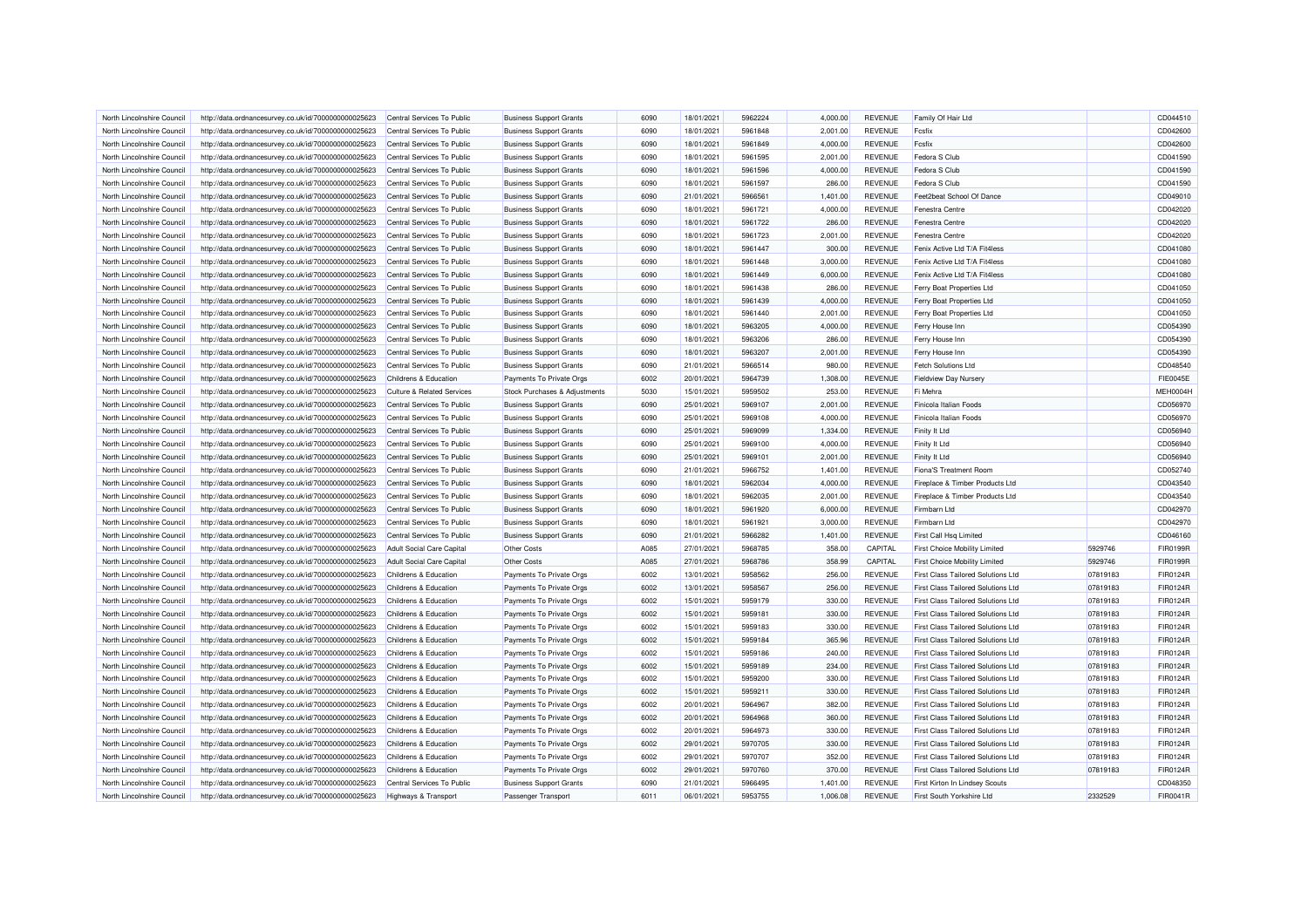| North Lincolnshire Council                              | http://data.ordnancesurvey.co.uk/id/7000000000025623 | Central Services To Public                          | <b>Business Support Grants</b> | 6090 | 18/01/2021 | 5962224 | 4,000.00 | <b>REVENUE</b> | Family Of Hair Ltd                        |          | CD044510        |
|---------------------------------------------------------|------------------------------------------------------|-----------------------------------------------------|--------------------------------|------|------------|---------|----------|----------------|-------------------------------------------|----------|-----------------|
| North Lincolnshire Council                              | http://data.ordnancesurvey.co.uk/id/7000000000025623 | Central Services To Public                          | <b>Business Support Grants</b> | 6090 | 18/01/2021 | 5961848 | 2,001.00 | <b>REVENUE</b> | Fcsfix                                    |          | CD042600        |
| North Lincolnshire Council                              | http://data.ordnancesurvey.co.uk/id/7000000000025623 | Central Services To Public                          | <b>Business Support Grants</b> | 6090 | 18/01/2021 | 5961849 | 4.000.00 | <b>REVENUE</b> | Fesfix                                    |          | CD042600        |
| North Lincolnshire Council                              | http://data.ordnancesurvey.co.uk/id/7000000000025623 | Central Services To Public                          | <b>Business Support Grants</b> | 6090 | 18/01/2021 | 5961595 | 2,001.00 | <b>REVENUE</b> | Fedora S Club                             |          | CD041590        |
| North Lincolnshire Council                              | http://data.ordnancesurvey.co.uk/id/7000000000025623 | Central Services To Public                          | <b>Business Support Grants</b> | 6090 | 18/01/2021 | 5961596 | 4,000.00 | <b>REVENUE</b> | Fedora S Club                             |          | CD041590        |
| North Lincolnshire Council                              | http://data.ordnancesurvey.co.uk/id/7000000000025623 | Central Services To Public                          | <b>Business Support Grants</b> | 6090 | 18/01/2021 | 5961597 | 286.00   | <b>REVENUE</b> | Fedora S Club                             |          | CD041590        |
| North Lincolnshire Council                              | http://data.ordnancesurvey.co.uk/id/7000000000025623 | Central Services To Public                          | <b>Business Support Grants</b> | 6090 | 21/01/2021 | 5966561 | 1,401.00 | <b>REVENUE</b> | Feet2beat School Of Dance                 |          | CD049010        |
| North Lincolnshire Council                              | http://data.ordnancesurvey.co.uk/id/7000000000025623 | Central Services To Public                          | <b>Business Support Grants</b> | 6090 | 18/01/2021 | 5961721 | 4,000.00 | <b>REVENUE</b> | Fenestra Centre                           |          | CD042020        |
| North Lincolnshire Council                              | http://data.ordnancesurvey.co.uk/id/7000000000025623 | Central Services To Public                          | <b>Business Support Grants</b> | 6090 | 18/01/2021 | 5961722 | 286.00   | <b>REVENUE</b> | Fenestra Centre                           |          | CD042020        |
| North Lincolnshire Council                              | http://data.ordnancesurvey.co.uk/id/7000000000025623 | Central Services To Public                          | <b>Business Support Grants</b> | 6090 | 18/01/2021 | 5961723 | 2,001.00 | <b>REVENUE</b> | Fenestra Centre                           |          | CD042020        |
| North Lincolnshire Council                              | http://data.ordnancesurvey.co.uk/id/7000000000025623 | Central Services To Public                          | <b>Business Support Grants</b> | 6090 | 18/01/2021 | 5961447 | 300.00   | <b>REVENUE</b> | Fenix Active Ltd T/A Fit4less             |          | CD041080        |
| North Lincolnshire Council                              | http://data.ordnancesurvey.co.uk/id/7000000000025623 | Central Services To Public                          | <b>Business Support Grants</b> | 6090 | 18/01/2021 | 5961448 | 3,000.00 | <b>REVENUE</b> | Fenix Active Ltd T/A Fit4less             |          | CD041080        |
| North Lincolnshire Council                              | http://data.ordnancesurvey.co.uk/id/7000000000025623 | Central Services To Public                          | <b>Business Support Grants</b> | 6090 | 18/01/2021 | 5961449 | 6,000.00 | <b>REVENUE</b> | Fenix Active Ltd T/A Fit4less             |          | CD041080        |
| North Lincolnshire Council                              | http://data.ordnancesurvey.co.uk/id/7000000000025623 | Central Services To Public                          | <b>Business Support Grants</b> | 6090 | 18/01/2021 | 5961438 | 286.00   | <b>REVENUE</b> | Ferry Boat Properties Ltd                 |          | CD041050        |
| North Lincolnshire Council                              | http://data.ordnancesurvey.co.uk/id/7000000000025623 | Central Services To Public                          | <b>Business Support Grants</b> | 6090 | 18/01/2021 | 5961439 | 4,000.00 | <b>REVENUE</b> | Ferry Boat Properties Ltd                 |          | CD041050        |
| North Lincolnshire Council                              | http://data.ordnancesurvey.co.uk/id/7000000000025623 | Central Services To Public                          | <b>Business Support Grants</b> | 6090 | 18/01/2021 | 5961440 | 2,001.00 | <b>REVENUE</b> | Ferry Boat Properties Ltd                 |          | CD041050        |
| North Lincolnshire Council                              | http://data.ordnancesurvey.co.uk/id/7000000000025623 | Central Services To Public                          | <b>Business Support Grants</b> | 6090 | 18/01/2021 | 5963205 | 4,000.00 | <b>REVENUE</b> | Ferry House Inn                           |          | CD054390        |
| North Lincolnshire Council                              | http://data.ordnancesurvey.co.uk/id/7000000000025623 | Central Services To Public                          | <b>Business Support Grants</b> | 6090 | 18/01/2021 | 5963206 | 286.00   | <b>REVENUE</b> | Ferry House Inn                           |          | CD054390        |
|                                                         | http://data.ordnancesurvey.co.uk/id/7000000000025623 | Central Services To Public                          | <b>Business Support Grants</b> | 6090 | 18/01/2021 | 5963207 | 2,001.00 | <b>REVENUE</b> |                                           |          | CD054390        |
| North Lincolnshire Council                              |                                                      |                                                     |                                | 6090 |            | 5966514 |          |                | Ferry House Inn                           |          |                 |
| North Lincolnshire Council<br>North Lincolnshire Counci | http://data.ordnancesurvey.co.uk/id/7000000000025623 | Central Services To Public<br>Childrens & Education | <b>Business Support Grants</b> |      | 21/01/2021 | 5964739 | 980.00   | <b>REVENUE</b> | <b>Fetch Solutions Ltd</b>                |          | CD048540        |
|                                                         | http://data.ordnancesurvey.co.uk/id/7000000000025623 |                                                     | Payments To Private Orgs       | 6002 | 20/01/2021 |         | 1,308.00 | <b>REVENUE</b> | <b>Fieldview Day Nursery</b>              |          | <b>FIE0045E</b> |
| North Lincolnshire Council                              | http://data.ordnancesurvey.co.uk/id/7000000000025623 | Culture & Related Services                          | Stock Purchases & Adjustments  | 5030 | 15/01/2021 | 5959502 | 253.00   | <b>REVENUE</b> | Fi Mehra                                  |          | MEH0004H        |
| North Lincolnshire Council                              | http://data.ordnancesurvey.co.uk/id/7000000000025623 | Central Services To Public                          | <b>Business Support Grants</b> | 6090 | 25/01/2021 | 5969107 | 2,001.00 | <b>REVENUE</b> | Finicola Italian Foods                    |          | CD056970        |
| North Lincolnshire Council                              | http://data.ordnancesurvey.co.uk/id/7000000000025623 | Central Services To Public                          | <b>Business Support Grants</b> | 6090 | 25/01/2021 | 5969108 | 4,000.00 | <b>REVENUE</b> | Finicola Italian Foods                    |          | CD056970        |
| North Lincolnshire Council                              | http://data.ordnancesurvey.co.uk/id/7000000000025623 | Central Services To Public                          | <b>Business Support Grants</b> | 6090 | 25/01/2021 | 5969099 | 1,334.00 | <b>REVENUE</b> | Finity It Ltd                             |          | CD056940        |
| North Lincolnshire Council                              | http://data.ordnancesurvey.co.uk/id/7000000000025623 | Central Services To Public                          | <b>Business Support Grants</b> | 6090 | 25/01/2021 | 5969100 | 4,000.00 | <b>REVENUE</b> | Finity It Ltd                             |          | CD056940        |
| North Lincolnshire Council                              | http://data.ordnancesurvey.co.uk/id/7000000000025623 | Central Services To Public                          | <b>Business Support Grants</b> | 6090 | 25/01/2021 | 5969101 | 2,001.00 | <b>REVENUE</b> | Finity It Ltd                             |          | CD056940        |
| North Lincolnshire Council                              | http://data.ordnancesurvey.co.uk/id/7000000000025623 | Central Services To Public                          | <b>Business Support Grants</b> | 6090 | 21/01/2021 | 5966752 | 1,401.00 | <b>REVENUE</b> | <b>Fiona'S Treatment Room</b>             |          | CD052740        |
| North Lincolnshire Council                              | http://data.ordnancesurvey.co.uk/id/7000000000025623 | Central Services To Public                          | <b>Business Support Grants</b> | 6090 | 18/01/2021 | 5962034 | 4,000.00 | <b>REVENUE</b> | Fireplace & Timber Products Ltd           |          | CD043540        |
| North Lincolnshire Council                              | http://data.ordnancesurvey.co.uk/id/7000000000025623 | Central Services To Public                          | <b>Business Support Grants</b> | 6090 | 18/01/2021 | 5962035 | 2,001.00 | <b>REVENUE</b> | Fireplace & Timber Products Ltd           |          | CD043540        |
| North Lincolnshire Council                              | http://data.ordnancesurvey.co.uk/id/7000000000025623 | Central Services To Public                          | <b>Business Support Grants</b> | 6090 | 18/01/2021 | 5961920 | 6,000.00 | <b>REVENUE</b> | Firmbarn Ltd                              |          | CD042970        |
| North Lincolnshire Council                              | http://data.ordnancesurvey.co.uk/id/7000000000025623 | Central Services To Public                          | <b>Business Support Grants</b> | 6090 | 18/01/2021 | 5961921 | 3,000.00 | <b>REVENUE</b> | Firmbarn Ltd                              |          | CD042970        |
| North Lincolnshire Council                              | http://data.ordnancesurvey.co.uk/id/7000000000025623 | Central Services To Public                          | <b>Business Support Grants</b> | 6090 | 21/01/2021 | 5966282 | 1,401.00 | <b>REVENUE</b> | First Call Hsq Limited                    |          | CD046160        |
| North Lincolnshire Council                              | http://data.ordnancesurvey.co.uk/id/7000000000025623 | <b>Adult Social Care Capital</b>                    | <b>Other Costs</b>             | A085 | 27/01/2021 | 5968785 | 358.00   | CAPITAL        | First Choice Mobility Limited             | 5929746  | FIR0199R        |
| North Lincolnshire Council                              | http://data.ordnancesurvey.co.uk/id/7000000000025623 | Adult Social Care Capital                           | Other Costs                    | A085 | 27/01/2021 | 5968786 | 358.99   | CAPITAL        | First Choice Mobility Limited             | 5929746  | FIR0199R        |
| North Lincolnshire Council                              | http://data.ordnancesurvey.co.uk/id/7000000000025623 | Childrens & Education                               | Payments To Private Orgs       | 6002 | 13/01/2021 | 5958562 | 256.00   | <b>REVENUE</b> | First Class Tailored Solutions Ltd        | 07819183 | <b>FIR0124R</b> |
| North Lincolnshire Council                              | http://data.ordnancesurvey.co.uk/id/7000000000025623 | Childrens & Education                               | Payments To Private Orgs       | 6002 | 13/01/2021 | 5958567 | 256.00   | <b>REVENUE</b> | <b>First Class Tailored Solutions Ltd</b> | 07819183 | FIR0124R        |
| North Lincolnshire Council                              | http://data.ordnancesurvey.co.uk/id/7000000000025623 | Childrens & Education                               | Payments To Private Orgs       | 6002 | 15/01/2021 | 5959179 | 330.00   | <b>REVENUE</b> | <b>First Class Tailored Solutions Ltd</b> | 07819183 | FIR0124R        |
| North Lincolnshire Council                              | http://data.ordnancesurvey.co.uk/id/7000000000025623 | Childrens & Education                               | Payments To Private Orgs       | 6002 | 15/01/2021 | 5959181 | 330.00   | <b>REVENUE</b> | First Class Tailored Solutions Ltd        | 07819183 | FIR0124R        |
| North Lincolnshire Council                              | http://data.ordnancesurvey.co.uk/id/7000000000025623 | Childrens & Education                               | Payments To Private Orgs       | 6002 | 15/01/2021 | 5959183 | 330.00   | <b>REVENUE</b> | First Class Tailored Solutions Ltd        | 07819183 | FIR0124R        |
| North Lincolnshire Council                              | http://data.ordnancesurvey.co.uk/id/7000000000025623 | Childrens & Education                               | Payments To Private Orgs       | 6002 | 15/01/2021 | 5959184 | 365.96   | <b>REVENUE</b> | <b>First Class Tailored Solutions Ltd</b> | 07819183 | FIR0124R        |
| North Lincolnshire Council                              | http://data.ordnancesurvey.co.uk/id/7000000000025623 | Childrens & Education                               | Payments To Private Orgs       | 6002 | 15/01/2021 | 5959186 | 240.00   | <b>REVENUE</b> | First Class Tailored Solutions Ltd        | 07819183 | FIR0124R        |
| North Lincolnshire Council                              | http://data.ordnancesurvey.co.uk/id/7000000000025623 | Childrens & Education                               | Payments To Private Orgs       | 6002 | 15/01/2021 | 5959189 | 234.00   | <b>REVENUE</b> | First Class Tailored Solutions Ltd        | 07819183 | FIR0124R        |
| North Lincolnshire Council                              | http://data.ordnancesurvey.co.uk/id/7000000000025623 | Childrens & Education                               | Payments To Private Orgs       | 6002 | 15/01/2021 | 5959200 | 330.00   | <b>REVENUE</b> | First Class Tailored Solutions Ltd        | 07819183 | FIR0124R        |
| North Lincolnshire Council                              | http://data.ordnancesurvey.co.uk/id/7000000000025623 | Childrens & Education                               | Payments To Private Orgs       | 6002 | 15/01/2021 | 5959211 | 330.00   | <b>REVENUE</b> | First Class Tailored Solutions Ltd        | 07819183 | FIR0124R        |
|                                                         |                                                      |                                                     |                                |      |            |         |          |                |                                           |          |                 |
| North Lincolnshire Council                              | http://data.ordnancesurvey.co.uk/id/7000000000025623 | Childrens & Education                               | Payments To Private Orgs       | 6002 | 20/01/2021 | 5964967 | 382.00   | <b>REVENUE</b> | <b>First Class Tailored Solutions Ltd</b> | 07819183 | FIR0124R        |
| North Lincolnshire Council                              | http://data.ordnancesurvey.co.uk/id/7000000000025623 | Childrens & Education                               | Payments To Private Orgs       | 6002 | 20/01/2021 | 5964968 | 360.00   | <b>REVENUE</b> | <b>First Class Tailored Solutions Ltd</b> | 07819183 | FIR0124R        |
| North Lincolnshire Counci                               | http://data.ordnancesurvey.co.uk/id/7000000000025623 | Childrens & Education                               | Payments To Private Orgs       | 6002 | 20/01/2021 | 5964973 | 330.00   | <b>REVENUE</b> | First Class Tailored Solutions Ltd        | 07819183 | FIR0124R        |
| North Lincolnshire Council                              | http://data.ordnancesurvey.co.uk/id/7000000000025623 | Childrens & Education                               | Payments To Private Orgs       | 6002 | 29/01/2021 | 5970705 | 330.00   | <b>REVENUE</b> | <b>First Class Tailored Solutions Ltd</b> | 07819183 | <b>FIR0124R</b> |
| North Lincolnshire Council                              | http://data.ordnancesurvey.co.uk/id/7000000000025623 | Childrens & Education                               | Payments To Private Orgs       | 6002 | 29/01/2021 | 5970707 | 352.00   | <b>REVENUE</b> | First Class Tailored Solutions Ltd        | 07819183 | FIR0124R        |
| North Lincolnshire Council                              | http://data.ordnancesurvey.co.uk/id/7000000000025623 | Childrens & Education                               | Payments To Private Orgs       | 6002 | 29/01/2021 | 5970760 | 370.00   | <b>REVENUE</b> | First Class Tailored Solutions Ltd        | 07819183 | FIR0124R        |
| North Lincolnshire Council                              | http://data.ordnancesurvey.co.uk/id/7000000000025623 | Central Services To Public                          | <b>Business Support Grants</b> | 6090 | 21/01/2021 | 5966495 | 1,401.00 | <b>REVENUE</b> | First Kirton In Lindsey Scouts            |          | CD048350        |
| North Lincolnshire Council                              | http://data.ordnancesurvey.co.uk/id/7000000000025623 | Highways & Transport                                | Passenger Transport            | 6011 | 06/01/2021 | 5953755 | 1,006.08 | <b>REVENUE</b> | First South Yorkshire Ltd                 | 2332529  | FIR0041R        |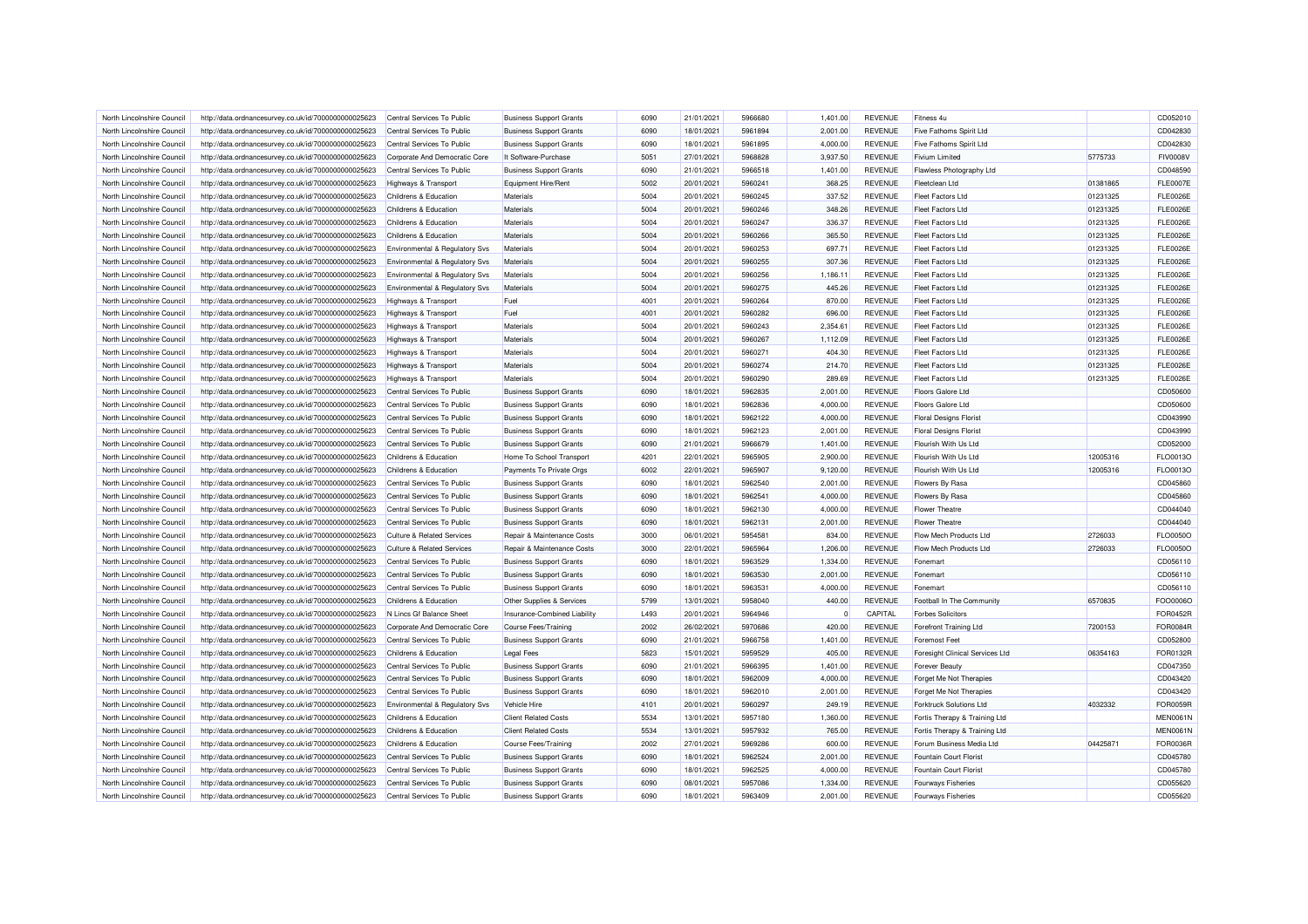| North Lincolnshire Council                               | http://data.ordnancesurvey.co.uk/id/7000000000025623                                                         | Central Services To Public                                         | <b>Business Support Grants</b> | 6090 | 21/01/2021 | 5966680 | 1,401.00 | <b>REVENUE</b> | Fitness <sub>4u</sub>           |          | CD052010        |
|----------------------------------------------------------|--------------------------------------------------------------------------------------------------------------|--------------------------------------------------------------------|--------------------------------|------|------------|---------|----------|----------------|---------------------------------|----------|-----------------|
| North Lincolnshire Council                               | http://data.ordnancesurvey.co.uk/id/7000000000025623                                                         | Central Services To Public                                         | <b>Business Support Grants</b> | 6090 | 18/01/2021 | 5961894 | 2,001.00 | <b>REVENUE</b> | <b>Five Fathoms Spirit Ltd</b>  |          | CD042830        |
| North Lincolnshire Council                               | http://data.ordnancesurvey.co.uk/id/7000000000025623                                                         | Central Services To Public                                         | <b>Business Support Grants</b> | 6090 | 18/01/2021 | 5961895 | 4,000.00 | <b>REVENUE</b> | <b>Five Fathoms Spirit Ltd</b>  |          | CD042830        |
| North Lincolnshire Council                               | http://data.ordnancesurvey.co.uk/id/7000000000025623                                                         | Corporate And Democratic Core                                      | It Software-Purchase           | 5051 | 27/01/2021 | 5968828 | 3,937.50 | <b>REVENUE</b> | <b>Fivium Limited</b>           | 5775733  | <b>FIV0008V</b> |
| North Lincolnshire Council                               | http://data.ordnancesurvey.co.uk/id/7000000000025623                                                         | Central Services To Public                                         | <b>Business Support Grants</b> | 6090 | 21/01/2021 | 5966518 | 1,401.00 | REVENUE        | Flawless Photography Ltd        |          | CD048590        |
| North Lincolnshire Council                               | http://data.ordnancesurvey.co.uk/id/7000000000025623                                                         | <b>Highways &amp; Transport</b>                                    | Equipment Hire/Rent            | 5002 | 20/01/2021 | 5960241 | 368.25   | <b>REVENUE</b> | <b>Fleetclean Ltd</b>           | 01381865 | <b>FLE0007E</b> |
| North Lincolnshire Council                               | http://data.ordnancesurvey.co.uk/id/7000000000025623                                                         | <b>Childrens &amp; Education</b>                                   | Materials                      | 5004 | 20/01/2021 | 5960245 | 337.52   | <b>REVENUE</b> | <b>Fleet Factors Ltd</b>        | 01231325 | <b>FLE0026E</b> |
| North Lincolnshire Council                               | http://data.ordnancesurvey.co.uk/id/7000000000025623                                                         | Childrens & Education                                              | Materials                      | 5004 | 20/01/2021 | 5960246 | 348.26   | <b>REVENUE</b> | <b>Fleet Factors Ltd</b>        | 01231325 | <b>FLE0026E</b> |
| North Lincolnshire Council                               | http://data.ordnancesurvey.co.uk/id/7000000000025623                                                         | Childrens & Education                                              | Materials                      | 5004 | 20/01/2021 | 5960247 | 336.37   | <b>REVENUE</b> | <b>Fleet Factors Ltd</b>        | 01231325 | <b>FLE0026E</b> |
| North Lincolnshire Council                               | http://data.ordnancesurvey.co.uk/id/7000000000025623                                                         | Childrens & Education                                              | Materials                      | 5004 | 20/01/2021 | 5960266 | 365.50   | <b>REVENUE</b> | <b>Fleet Factors Ltd</b>        | 01231325 | <b>FLE0026E</b> |
| North Lincolnshire Council                               | http://data.ordnancesurvey.co.uk/id/7000000000025623                                                         | Environmental & Regulatory Svs                                     | Materials                      | 5004 | 20/01/2021 | 5960253 | 697.71   | <b>REVENUE</b> | <b>Fleet Factors Ltd</b>        | 01231325 | <b>FLE0026E</b> |
| North Lincolnshire Council                               | http://data.ordnancesurvey.co.uk/id/7000000000025623                                                         | Environmental & Regulatory Svs                                     | Materials                      | 5004 | 20/01/2021 | 5960255 | 307.36   | <b>REVENUE</b> | <b>Fleet Factors Ltd</b>        | 01231325 | <b>FLE0026E</b> |
| North Lincolnshire Council                               | http://data.ordnancesurvey.co.uk/id/7000000000025623                                                         | Environmental & Regulatory Svs                                     | Materials                      | 5004 | 20/01/2021 | 5960256 | 1,186.11 | <b>REVENUE</b> | <b>Fleet Factors Ltd</b>        | 01231325 | <b>FLE0026E</b> |
| North Lincolnshire Council                               | http://data.ordnancesurvey.co.uk/id/7000000000025623                                                         | <b>Environmental &amp; Regulatory Svs</b>                          | Materials                      | 5004 | 20/01/2021 | 5960275 | 445.26   | <b>REVENUE</b> | <b>Fleet Factors Ltd</b>        | 01231325 | <b>FLE0026E</b> |
| North Lincolnshire Council                               | http://data.ordnancesurvey.co.uk/id/7000000000025623                                                         | Highways & Transport                                               | Fuel                           | 4001 | 20/01/2021 | 5960264 | 870.00   | <b>REVENUE</b> | <b>Fleet Factors Ltd</b>        | 01231325 | <b>FLE0026E</b> |
| North Lincolnshire Council                               | http://data.ordnancesurvey.co.uk/id/7000000000025623                                                         | <b>Highways &amp; Transport</b>                                    | Fuel                           | 4001 | 20/01/2021 | 5960282 | 696.00   | <b>REVENUE</b> | <b>Fleet Factors Ltd</b>        | 01231325 | <b>FLE0026E</b> |
| North Lincolnshire Council                               | http://data.ordnancesurvey.co.uk/id/7000000000025623                                                         | <b>Highways &amp; Transport</b>                                    | Materials                      | 5004 | 20/01/2021 | 5960243 | 2,354.61 | <b>REVENUE</b> | <b>Fleet Factors Ltd</b>        | 01231325 | <b>FLE0026E</b> |
| North Lincolnshire Council                               | http://data.ordnancesurvey.co.uk/id/7000000000025623                                                         | Highways & Transport                                               | Materials                      | 5004 | 20/01/2021 | 5960267 | 1,112.09 | <b>REVENUE</b> | <b>Fleet Factors Ltd</b>        | 01231325 | <b>FLE0026E</b> |
|                                                          |                                                                                                              |                                                                    | <b>Materials</b>               | 5004 | 20/01/2021 | 5960271 | 404.30   | <b>REVENUE</b> | <b>Fleet Factors Ltd</b>        | 01231325 | <b>FLE0026E</b> |
| North Lincolnshire Council<br>North Lincolnshire Council | http://data.ordnancesurvey.co.uk/id/7000000000025623<br>http://data.ordnancesurvey.co.uk/id/7000000000025623 | <b>Highways &amp; Transport</b><br><b>Highways &amp; Transport</b> | Materials                      | 5004 | 20/01/2021 | 5960274 | 214.70   | <b>REVENUE</b> | <b>Fleet Factors Ltd</b>        | 01231325 | <b>FLE0026E</b> |
| North Lincolnshire Council                               | http://data.ordnancesurvey.co.uk/id/7000000000025623                                                         | <b>Highways &amp; Transport</b>                                    | <b>Materials</b>               | 5004 | 20/01/2021 | 5960290 | 289.69   | <b>REVENUE</b> | <b>Fleet Factors Ltd</b>        | 01231325 | <b>FLE0026E</b> |
| North Lincolnshire Council                               |                                                                                                              |                                                                    |                                | 6090 |            | 5962835 |          |                | <b>Floors Galore Ltd</b>        |          | CD050600        |
|                                                          | http://data.ordnancesurvey.co.uk/id/7000000000025623                                                         | Central Services To Public                                         | <b>Business Support Grants</b> | 6090 | 18/01/2021 | 5962836 | 2,001.00 | <b>REVENUE</b> |                                 |          |                 |
| North Lincolnshire Council                               | http://data.ordnancesurvey.co.uk/id/7000000000025623                                                         | Central Services To Public                                         | <b>Business Support Grants</b> |      | 18/01/2021 |         | 4,000.00 | <b>REVENUE</b> | <b>Floors Galore Ltd</b>        |          | CD050600        |
| North Lincolnshire Council                               | http://data.ordnancesurvey.co.uk/id/7000000000025623                                                         | Central Services To Public                                         | <b>Business Support Grants</b> | 6090 | 18/01/2021 | 5962122 | 4,000.00 | <b>REVENUE</b> | <b>Floral Designs Florist</b>   |          | CD043990        |
| North Lincolnshire Council                               | http://data.ordnancesurvey.co.uk/id/7000000000025623                                                         | Central Services To Public                                         | <b>Business Support Grants</b> | 6090 | 18/01/2021 | 5962123 | 2,001.00 | <b>REVENUE</b> | <b>Floral Designs Florist</b>   |          | CD043990        |
| North Lincolnshire Council                               | http://data.ordnancesurvey.co.uk/id/7000000000025623                                                         | Central Services To Public                                         | <b>Business Support Grants</b> | 6090 | 21/01/2021 | 5966679 | 1,401.00 | <b>REVENUE</b> | Flourish With Us Ltd            |          | CD052000        |
| North Lincolnshire Council                               | http://data.ordnancesurvey.co.uk/id/7000000000025623                                                         | Childrens & Education                                              | Home To School Transport       | 4201 | 22/01/2021 | 5965905 | 2,900.00 | <b>REVENUE</b> | Flourish With Us Ltd            | 12005316 | FLO0013O        |
| North Lincolnshire Council                               | http://data.ordnancesurvey.co.uk/id/7000000000025623                                                         | Childrens & Education                                              | Payments To Private Orgs       | 6002 | 22/01/2021 | 5965907 | 9,120.00 | <b>REVENUE</b> | Flourish With Us Ltd            | 12005316 | FLO0013O        |
| North Lincolnshire Council                               | http://data.ordnancesurvey.co.uk/id/7000000000025623                                                         | Central Services To Public                                         | <b>Business Support Grants</b> | 6090 | 18/01/2021 | 5962540 | 2,001.00 | <b>REVENUE</b> | Flowers By Rasa                 |          | CD045860        |
| North Lincolnshire Council                               | http://data.ordnancesurvey.co.uk/id/7000000000025623                                                         | Central Services To Public                                         | <b>Business Support Grants</b> | 6090 | 18/01/2021 | 5962541 | 4,000.00 | <b>REVENUE</b> | Flowers By Rasa                 |          | CD045860        |
| North Lincolnshire Council                               | http://data.ordnancesurvey.co.uk/id/7000000000025623                                                         | Central Services To Public                                         | <b>Business Support Grants</b> | 6090 | 18/01/2021 | 5962130 | 4,000.00 | <b>REVENUE</b> | <b>Flower Theatre</b>           |          | CD044040        |
| North Lincolnshire Council                               | http://data.ordnancesurvey.co.uk/id/7000000000025623                                                         | Central Services To Public                                         | <b>Business Support Grants</b> | 6090 | 18/01/2021 | 5962131 | 2,001.00 | <b>REVENUE</b> | <b>Flower Theatre</b>           |          | CD044040        |
| North Lincolnshire Council                               | http://data.ordnancesurvey.co.uk/id/7000000000025623                                                         | <b>Culture &amp; Related Services</b>                              | Repair & Maintenance Costs     | 3000 | 06/01/2021 | 5954581 | 834.00   | <b>REVENUE</b> | Flow Mech Products Ltd          | 2726033  | FLO0050O        |
| North Lincolnshire Council                               | http://data.ordnancesurvey.co.uk/id/7000000000025623                                                         | Culture & Related Services                                         | Repair & Maintenance Costs     | 3000 | 22/01/2021 | 5965964 | 1,206.00 | <b>REVENUE</b> | Flow Mech Products Ltd          | 2726033  | FLO0050O        |
| North Lincolnshire Council                               | http://data.ordnancesurvey.co.uk/id/7000000000025623                                                         | Central Services To Public                                         | <b>Business Support Grants</b> | 6090 | 18/01/2021 | 5963529 | 1,334.00 | <b>REVENUE</b> | Fonemart                        |          | CD056110        |
| North Lincolnshire Council                               | http://data.ordnancesurvey.co.uk/id/7000000000025623                                                         | Central Services To Public                                         | <b>Business Support Grants</b> | 6090 | 18/01/2021 | 5963530 | 2,001.00 | <b>REVENUE</b> | Fonemar                         |          | CD056110        |
| North Lincolnshire Council                               | http://data.ordnancesurvey.co.uk/id/7000000000025623                                                         | Central Services To Public                                         | <b>Business Support Grants</b> | 6090 | 18/01/2021 | 5963531 | 4,000.00 | <b>REVENUE</b> | Fonemart                        |          | CD056110        |
| North Lincolnshire Council                               | http://data.ordnancesurvey.co.uk/id/7000000000025623                                                         | Childrens & Education                                              | Other Supplies & Services      | 5799 | 13/01/2021 | 5958040 | 440.00   | <b>REVENUE</b> | Football In The Community       | 6570835  | FOO0006C        |
| North Lincolnshire Council                               | http://data.ordnancesurvey.co.uk/id/7000000000025623                                                         | N Lincs Gf Balance Sheet                                           | Insurance-Combined Liability   | L493 | 20/01/2021 | 5964946 | $\Omega$ | CAPITAL        | <b>Forbes Solicitors</b>        |          | <b>FOR0452R</b> |
| North Lincolnshire Council                               | http://data.ordnancesurvey.co.uk/id/7000000000025623                                                         | Corporate And Democratic Core                                      | Course Fees/Training           | 2002 | 26/02/2021 | 5970686 | 420.00   | <b>REVENUE</b> | <b>Forefront Training Ltd</b>   | 7200153  | <b>FOR0084R</b> |
| North Lincolnshire Council                               | http://data.ordnancesurvey.co.uk/id/7000000000025623                                                         | Central Services To Public                                         | <b>Business Support Grants</b> | 6090 | 21/01/2021 | 5966758 | 1,401.00 | <b>REVENUE</b> | <b>Foremost Feet</b>            |          | CD052800        |
| North Lincolnshire Council                               | http://data.ordnancesurvey.co.uk/id/7000000000025623                                                         | Childrens & Education                                              | <b>Legal Fees</b>              | 5823 | 15/01/2021 | 5959529 | 405.00   | <b>REVENUE</b> | Foresight Clinical Services Ltd | 06354163 | FOR0132R        |
| North Lincolnshire Council                               | http://data.ordnancesurvey.co.uk/id/7000000000025623                                                         | Central Services To Public                                         | <b>Business Support Grants</b> | 6090 | 21/01/2021 | 5966395 | 1,401.00 | <b>REVENUE</b> | <b>Forever Beauty</b>           |          | CD047350        |
| North Lincolnshire Council                               | http://data.ordnancesurvey.co.uk/id/7000000000025623                                                         | Central Services To Public                                         | <b>Business Support Grants</b> | 6090 | 18/01/2021 | 5962009 | 4,000.00 | <b>REVENUE</b> | Forget Me Not Therapies         |          | CD043420        |
| North Lincolnshire Council                               | http://data.ordnancesurvey.co.uk/id/7000000000025623                                                         | Central Services To Public                                         | <b>Business Support Grants</b> | 6090 | 18/01/2021 | 5962010 | 2,001.00 | <b>REVENUE</b> | Forget Me Not Therapies         |          | CD043420        |
| North Lincolnshire Council                               | http://data.ordnancesurvey.co.uk/id/7000000000025623                                                         | Environmental & Regulatory Svs                                     | Vehicle Hire                   | 4101 | 20/01/2021 | 5960297 | 249.19   | <b>REVENUE</b> | <b>Forktruck Solutions Ltd</b>  | 4032332  | <b>FOR0059F</b> |
| North Lincolnshire Council                               | http://data.ordnancesurvey.co.uk/id/7000000000025623                                                         | Childrens & Education                                              | <b>Client Related Costs</b>    | 5534 | 13/01/2021 | 5957180 | 1,360.00 | <b>REVENUE</b> | Fortis Therapy & Training Ltd   |          | <b>MEN0061N</b> |
| North Lincolnshire Council                               | http://data.ordnancesurvey.co.uk/id/7000000000025623                                                         | Childrens & Education                                              | <b>Client Related Costs</b>    | 5534 | 13/01/2021 | 5957932 | 765.00   | <b>REVENUE</b> | Fortis Therapy & Training Ltd   |          | <b>MEN0061N</b> |
| North Lincolnshire Council                               | http://data.ordnancesurvey.co.uk/id/7000000000025623                                                         | Childrens & Education                                              | <b>Course Fees/Training</b>    | 2002 | 27/01/2021 | 5969286 | 600.00   | <b>REVENUE</b> | Forum Business Media Ltd        | 04425871 | FOR0036R        |
| North Lincolnshire Council                               | http://data.ordnancesurvey.co.uk/id/7000000000025623                                                         | Central Services To Public                                         | <b>Business Support Grants</b> | 6090 | 18/01/2021 | 5962524 | 2,001.00 | <b>REVENUE</b> | <b>Fountain Court Florist</b>   |          | CD045780        |
| North Lincolnshire Council                               | http://data.ordnancesurvey.co.uk/id/7000000000025623                                                         | Central Services To Public                                         | <b>Business Support Grants</b> | 6090 | 18/01/2021 | 5962525 | 4,000.00 | <b>REVENUE</b> | Fountain Court Florist          |          | CD045780        |
| North Lincolnshire Council                               | http://data.ordnancesurvey.co.uk/id/7000000000025623                                                         | Central Services To Public                                         | <b>Business Support Grants</b> | 6090 | 08/01/2021 | 5957086 | 1,334.00 | <b>REVENUE</b> | <b>Fourways Fisheries</b>       |          | CD055620        |
| North Lincolnshire Council                               | http://data.ordnancesurvey.co.uk/id/7000000000025623                                                         | Central Services To Public                                         | <b>Business Support Grants</b> | 6090 | 18/01/2021 | 5963409 | 2,001.00 | <b>REVENUE</b> | <b>Fourways Fisheries</b>       |          | CD055620        |
|                                                          |                                                                                                              |                                                                    |                                |      |            |         |          |                |                                 |          |                 |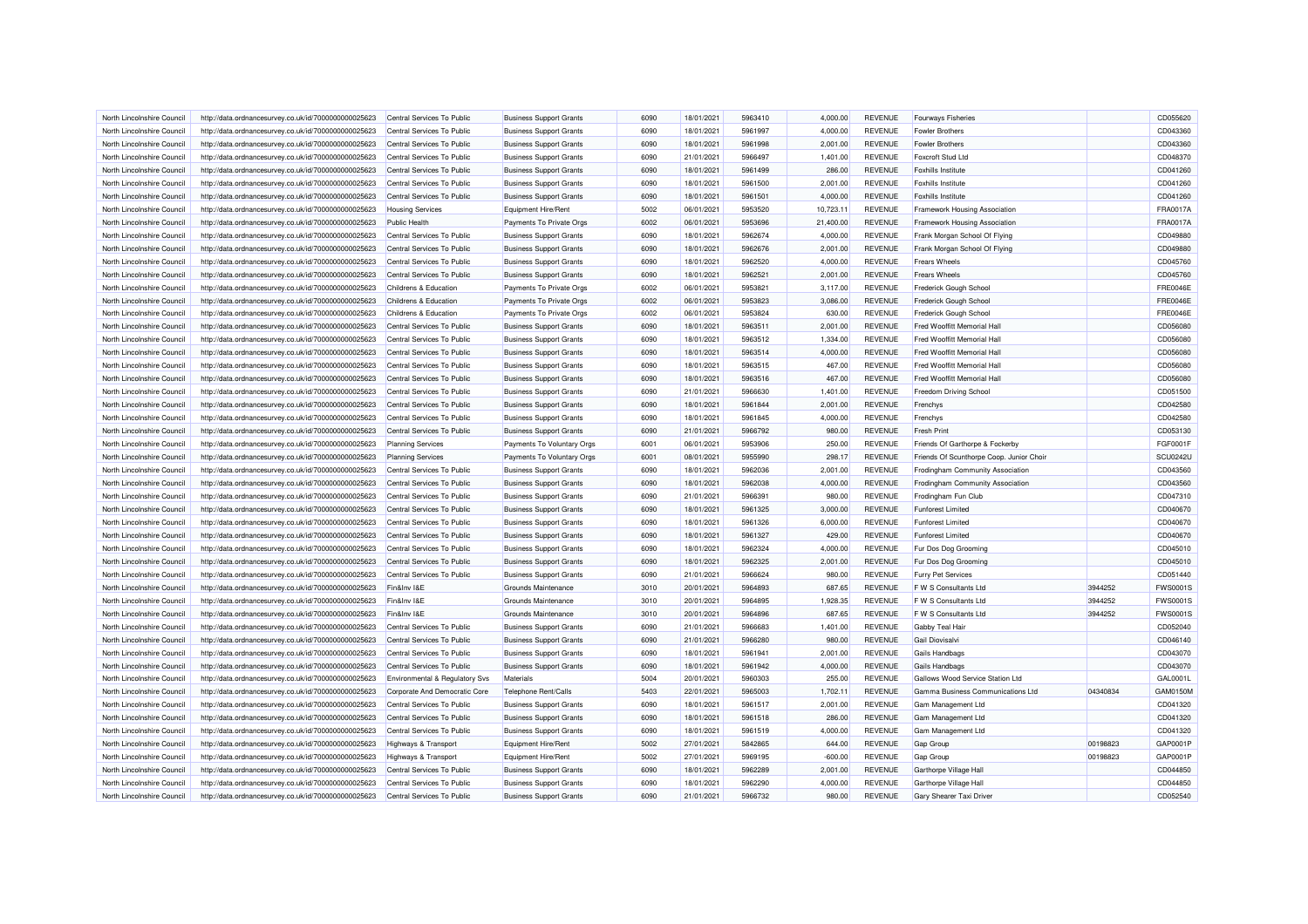| North Lincolnshire Council | http://data.ordnancesurvey.co.uk/id/7000000000025623 | Central Services To Public      | <b>Business Support Grants</b> | 6090 | 18/01/2021 | 5963410 | 4,000.00  | <b>REVENUE</b> | <b>Fourways Fisheries</b>                |          | CD055620        |
|----------------------------|------------------------------------------------------|---------------------------------|--------------------------------|------|------------|---------|-----------|----------------|------------------------------------------|----------|-----------------|
| North Lincolnshire Council | http://data.ordnancesurvey.co.uk/id/7000000000025623 | Central Services To Public      | <b>Business Support Grants</b> | 6090 | 18/01/2021 | 5961997 | 4,000.00  | <b>REVENUE</b> | <b>Fowler Brothers</b>                   |          | CD043360        |
| North Lincolnshire Council | http://data.ordnancesurvey.co.uk/id/7000000000025623 | Central Services To Public      | <b>Business Support Grants</b> | 6090 | 18/01/2021 | 5961998 | 2,001.00  | <b>REVENUE</b> | <b>Fowler Brothers</b>                   |          | CD043360        |
| North Lincolnshire Council | http://data.ordnancesurvey.co.uk/id/7000000000025623 | Central Services To Public      | <b>Business Support Grants</b> | 6090 | 21/01/2021 | 5966497 | 1,401.00  | <b>REVENUE</b> | Foxcroft Stud Ltd                        |          | CD048370        |
| North Lincolnshire Council | http://data.ordnancesurvey.co.uk/id/7000000000025623 | Central Services To Public      | <b>Business Support Grants</b> | 6090 | 18/01/2021 | 5961499 | 286.00    | <b>REVENUE</b> | <b>Foxhills Institute</b>                |          | CD041260        |
| North Lincolnshire Council | http://data.ordnancesurvey.co.uk/id/7000000000025623 | Central Services To Public      | <b>Business Support Grants</b> | 6090 | 18/01/2021 | 5961500 | 2.001.00  | <b>REVENUE</b> | <b>Foxhills Institute</b>                |          | CD041260        |
| North Lincolnshire Council | http://data.ordnancesurvey.co.uk/id/7000000000025623 | Central Services To Public      | <b>Business Support Grants</b> | 6090 | 18/01/2021 | 5961501 | 4,000.00  | <b>REVENUE</b> | <b>Foxhills Institute</b>                |          | CD041260        |
| North Lincolnshire Council | http://data.ordnancesurvey.co.uk/id/7000000000025623 | <b>Housing Services</b>         | Equipment Hire/Rent            | 5002 | 06/01/2021 | 5953520 | 10,723.11 | <b>REVENUE</b> | Framework Housing Association            |          | FRA0017A        |
| North Lincolnshire Council | http://data.ordnancesurvey.co.uk/id/7000000000025623 | <b>Public Health</b>            | Payments To Private Orgs       | 6002 | 06/01/2021 | 5953696 | 21,400.00 | <b>REVENUE</b> | Framework Housing Association            |          | <b>FRA0017A</b> |
| North Lincolnshire Council | http://data.ordnancesurvey.co.uk/id/7000000000025623 | Central Services To Public      | <b>Business Support Grants</b> | 6090 | 18/01/2021 | 5962674 | 4,000.00  | <b>REVENUE</b> | Frank Morgan School Of Flying            |          | CD049880        |
| North Lincolnshire Council | http://data.ordnancesurvey.co.uk/id/7000000000025623 | Central Services To Public      | <b>Business Support Grants</b> | 6090 | 18/01/2021 | 5962676 | 2,001.00  | <b>REVENUE</b> | Frank Morgan School Of Flying            |          | CD049880        |
| North Lincolnshire Council | http://data.ordnancesurvey.co.uk/id/7000000000025623 | Central Services To Public      | <b>Business Support Grants</b> | 6090 | 18/01/2021 | 5962520 | 4.000.00  | <b>REVENUE</b> | <b>Frears Wheels</b>                     |          | CD045760        |
| North Lincolnshire Council | http://data.ordnancesurvey.co.uk/id/7000000000025623 | Central Services To Public      | <b>Business Support Grants</b> | 6090 | 18/01/2021 | 5962521 | 2,001.00  | <b>REVENUE</b> | <b>Frears Wheels</b>                     |          | CD045760        |
| North Lincolnshire Council | http://data.ordnancesurvey.co.uk/id/7000000000025623 | Childrens & Education           | Payments To Private Orgs       | 6002 | 06/01/2021 | 5953821 | 3,117.00  | <b>REVENUE</b> | Frederick Gough School                   |          | <b>FRE0046E</b> |
| North Lincolnshire Council | http://data.ordnancesurvey.co.uk/id/7000000000025623 | Childrens & Education           | Payments To Private Orgs       | 6002 | 06/01/2021 | 5953823 | 3,086.00  | <b>REVENUE</b> | Frederick Gough School                   |          | <b>FRE0046E</b> |
| North Lincolnshire Council | http://data.ordnancesurvey.co.uk/id/7000000000025623 | Childrens & Education           | Payments To Private Orgs       | 6002 | 06/01/2021 | 5953824 | 630.00    | <b>REVENUE</b> | Frederick Gough School                   |          | <b>FRE0046E</b> |
| North Lincolnshire Council | http://data.ordnancesurvey.co.uk/id/7000000000025623 | Central Services To Public      | <b>Business Support Grants</b> | 6090 | 18/01/2021 | 5963511 | 2,001.00  | <b>REVENUE</b> | Fred Wooffitt Memorial Hall              |          | CD056080        |
| North Lincolnshire Council | http://data.ordnancesurvey.co.uk/id/7000000000025623 | Central Services To Public      | <b>Business Support Grants</b> | 6090 | 18/01/2021 | 5963512 | 1,334.00  | <b>REVENUE</b> | Fred Wooffitt Memorial Hall              |          | CD056080        |
|                            |                                                      |                                 |                                |      |            |         |           |                |                                          |          |                 |
| North Lincolnshire Council | http://data.ordnancesurvey.co.uk/id/7000000000025623 | Central Services To Public      | <b>Business Support Grants</b> | 6090 | 18/01/2021 | 5963514 | 4,000.00  | <b>REVENUE</b> | Fred Wooffitt Memorial Hall              |          | CD056080        |
| North Lincolnshire Council | http://data.ordnancesurvey.co.uk/id/7000000000025623 | Central Services To Public      | <b>Business Support Grants</b> | 6090 | 18/01/2021 | 5963515 | 467.00    | <b>REVENUE</b> | Fred Wooffitt Memorial Hall              |          | CD056080        |
| North Lincolnshire Council | http://data.ordnancesurvey.co.uk/id/7000000000025623 | Central Services To Public      | <b>Business Support Grants</b> | 6090 | 18/01/2021 | 5963516 | 467.00    | <b>REVENUE</b> | Fred Wooffitt Memorial Hall              |          | CD056080        |
| North Lincolnshire Council | http://data.ordnancesurvey.co.uk/id/7000000000025623 | Central Services To Public      | <b>Business Support Grants</b> | 6090 | 21/01/2021 | 5966630 | 1,401.00  | <b>REVENUE</b> | Freedom Driving School                   |          | CD051500        |
| North Lincolnshire Council | http://data.ordnancesurvey.co.uk/id/7000000000025623 | Central Services To Public      | <b>Business Support Grants</b> | 6090 | 18/01/2021 | 5961844 | 2,001.00  | <b>REVENUE</b> | Frenchys                                 |          | CD042580        |
| North Lincolnshire Council | http://data.ordnancesurvey.co.uk/id/7000000000025623 | Central Services To Public      | <b>Business Support Grants</b> | 6090 | 18/01/2021 | 5961845 | 4,000.00  | <b>REVENUE</b> | Frenchys                                 |          | CD042580        |
| North Lincolnshire Council | http://data.ordnancesurvey.co.uk/id/7000000000025623 | Central Services To Public      | <b>Business Support Grants</b> | 6090 | 21/01/2021 | 5966792 | 980.00    | <b>REVENUE</b> | <b>Fresh Print</b>                       |          | CD053130        |
| North Lincolnshire Council | http://data.ordnancesurvey.co.uk/id/7000000000025623 | <b>Planning Services</b>        | Payments To Voluntary Orgs     | 6001 | 06/01/2021 | 5953906 | 250.00    | <b>REVENUE</b> | Friends Of Garthorpe & Fockerby          |          | FGF0001F        |
| North Lincolnshire Council | http://data.ordnancesurvey.co.uk/id/7000000000025623 | <b>Planning Services</b>        | Payments To Voluntary Orgs     | 6001 | 08/01/2021 | 5955990 | 298.17    | <b>REVENUE</b> | Friends Of Scunthorpe Coop. Junior Choir |          | <b>SCU0242U</b> |
| North Lincolnshire Council | http://data.ordnancesurvey.co.uk/id/7000000000025623 | Central Services To Public      | <b>Business Support Grants</b> | 6090 | 18/01/2021 | 5962036 | 2,001.00  | <b>REVENUE</b> | Frodingham Community Association         |          | CD043560        |
| North Lincolnshire Council | http://data.ordnancesurvey.co.uk/id/7000000000025623 | Central Services To Public      | <b>Business Support Grants</b> | 6090 | 18/01/2021 | 5962038 | 4,000.00  | <b>REVENUE</b> | Frodingham Community Association         |          | CD043560        |
| North Lincolnshire Council | http://data.ordnancesurvey.co.uk/id/7000000000025623 | Central Services To Public      | <b>Business Support Grants</b> | 6090 | 21/01/2021 | 5966391 | 980.00    | <b>REVENUE</b> | Frodingham Fun Club                      |          | CD047310        |
| North Lincolnshire Council | http://data.ordnancesurvey.co.uk/id/7000000000025623 | Central Services To Public      | <b>Business Support Grants</b> | 6090 | 18/01/2021 | 5961325 | 3,000.00  | <b>REVENUE</b> | <b>Funforest Limited</b>                 |          | CD040670        |
| North Lincolnshire Council | http://data.ordnancesurvey.co.uk/id/7000000000025623 | Central Services To Public      | <b>Business Support Grants</b> | 6090 | 18/01/2021 | 5961326 | 6,000.00  | <b>REVENUE</b> | <b>Funforest Limited</b>                 |          | CD040670        |
| North Lincolnshire Council | http://data.ordnancesurvey.co.uk/id/7000000000025623 | Central Services To Public      | <b>Business Support Grants</b> | 6090 | 18/01/2021 | 5961327 | 429.00    | <b>REVENUE</b> | <b>Funforest Limited</b>                 |          | CD040670        |
| North Lincolnshire Council | http://data.ordnancesurvey.co.uk/id/7000000000025623 | Central Services To Public      | <b>Business Support Grants</b> | 6090 | 18/01/2021 | 5962324 | 4,000.00  | <b>REVENUE</b> | Fur Dos Dog Grooming                     |          | CD045010        |
| North Lincolnshire Council | http://data.ordnancesurvey.co.uk/id/7000000000025623 | Central Services To Public      | <b>Business Support Grants</b> | 6090 | 18/01/2021 | 5962325 | 2,001.00  | <b>REVENUE</b> | Fur Dos Dog Grooming                     |          | CD045010        |
| North Lincolnshire Council | http://data.ordnancesurvey.co.uk/id/7000000000025623 | Central Services To Public      | <b>Business Support Grants</b> | 6090 | 21/01/2021 | 5966624 | 980.00    | <b>REVENUE</b> | <b>Furry Pet Services</b>                |          | CD051440        |
| North Lincolnshire Council | http://data.ordnancesurvey.co.uk/id/7000000000025623 | Fin&Inv I&E                     | Grounds Maintenance            | 3010 | 20/01/2021 | 5964893 | 687.65    | <b>REVENUE</b> | F W S Consultants Ltd                    | 3944252  | <b>FWS0001S</b> |
| North Lincolnshire Council | http://data.ordnancesurvey.co.uk/id/7000000000025623 | Fin&Inv I&E                     | Grounds Maintenance            | 3010 | 20/01/2021 | 5964895 | 1,928.35  | <b>REVENUE</b> | F W S Consultants Ltd                    | 3944252  | <b>FWS0001S</b> |
| North Lincolnshire Council | http://data.ordnancesurvey.co.uk/id/7000000000025623 | Fin&Inv I&E                     | Grounds Maintenance            | 3010 | 20/01/2021 | 5964896 | 687.65    | <b>REVENUE</b> | F W S Consultants Ltd                    | 3944252  | <b>FWS0001S</b> |
| North Lincolnshire Council | http://data.ordnancesurvey.co.uk/id/7000000000025623 | Central Services To Public      | <b>Business Support Grants</b> | 6090 | 21/01/2021 | 5966683 | 1,401.00  | <b>REVENUE</b> | Gabby Teal Hair                          |          | CD052040        |
| North Lincolnshire Council | http://data.ordnancesurvey.co.uk/id/7000000000025623 | Central Services To Public      | <b>Business Support Grants</b> | 6090 | 21/01/2021 | 5966280 | 980.00    | <b>REVENUE</b> | Gail Diovisalvi                          |          | CD046140        |
| North Lincolnshire Council | http://data.ordnancesurvey.co.uk/id/7000000000025623 | Central Services To Public      | <b>Business Support Grants</b> | 6090 | 18/01/2021 | 5961941 | 2,001.00  | <b>REVENUE</b> | Gails Handbags                           |          | CD043070        |
| North Lincolnshire Council | http://data.ordnancesurvey.co.uk/id/7000000000025623 | Central Services To Public      | <b>Business Support Grants</b> | 6090 | 18/01/2021 | 5961942 | 4,000.00  | <b>REVENUE</b> | <b>Gails Handbags</b>                    |          | CD043070        |
| North Lincolnshire Council | http://data.ordnancesurvey.co.uk/id/7000000000025623 | Environmental & Regulatory Svs  | Materials                      | 5004 | 20/01/2021 | 5960303 | 255.00    | <b>REVENUE</b> | Gallows Wood Service Station Ltd         |          | GAL0001         |
| North Lincolnshire Council | http://data.ordnancesurvey.co.uk/id/7000000000025623 | Corporate And Democratic Core   | Telephone Rent/Calls           | 5403 | 22/01/2021 | 5965003 | 1,702.11  | <b>REVENUE</b> | Gamma Business Communications Ltd        | 04340834 | GAM0150M        |
| North Lincolnshire Council | http://data.ordnancesurvey.co.uk/id/7000000000025623 | Central Services To Public      | <b>Business Support Grants</b> | 6090 | 18/01/2021 | 5961517 | 2,001.00  | <b>REVENUE</b> | Gam Management Ltd                       |          | CD041320        |
| North Lincolnshire Council | http://data.ordnancesurvey.co.uk/id/7000000000025623 | Central Services To Public      | <b>Business Support Grants</b> | 6090 | 18/01/2021 | 5961518 | 286.00    | <b>REVENUE</b> | Gam Management Ltd                       |          | CD041320        |
| North Lincolnshire Council | http://data.ordnancesurvey.co.uk/id/7000000000025623 | Central Services To Public      | <b>Business Support Grants</b> | 6090 | 18/01/2021 | 5961519 | 4.000.00  | <b>REVENUE</b> | <b>Gam Management Ltd</b>                |          | CD041320        |
| North Lincolnshire Council | http://data.ordnancesurvey.co.uk/id/7000000000025623 | Highways & Transport            | Equipment Hire/Rent            | 5002 | 27/01/2021 | 5842865 | 644.00    | <b>REVENUE</b> | <b>Gap Group</b>                         | 00198823 | GAP0001F        |
| North Lincolnshire Council | http://data.ordnancesurvey.co.uk/id/7000000000025623 | <b>Highways &amp; Transport</b> | Equipment Hire/Rent            | 5002 | 27/01/2021 | 5969195 | $-600.00$ | <b>REVENUE</b> | Gap Group                                | 00198823 | GAP0001F        |
| North Lincolnshire Council | http://data.ordnancesurvey.co.uk/id/7000000000025623 | Central Services To Public      | <b>Business Support Grants</b> | 6090 | 18/01/2021 | 5962289 | 2,001.00  | <b>REVENUE</b> | Garthorpe Village Hall                   |          | CD044850        |
| North Lincolnshire Council | http://data.ordnancesurvey.co.uk/id/7000000000025623 | Central Services To Public      | <b>Business Support Grants</b> | 6090 | 18/01/2021 | 5962290 | 4,000.00  | <b>REVENUE</b> | Garthorpe Village Hall                   |          | CD044850        |
| North Lincolnshire Council | http://data.ordnancesurvey.co.uk/id/7000000000025623 | Central Services To Public      | <b>Business Support Grants</b> | 6090 | 21/01/2021 | 5966732 | 980.00    | <b>REVENUE</b> | Gary Shearer Taxi Driver                 |          | CD052540        |
|                            |                                                      |                                 |                                |      |            |         |           |                |                                          |          |                 |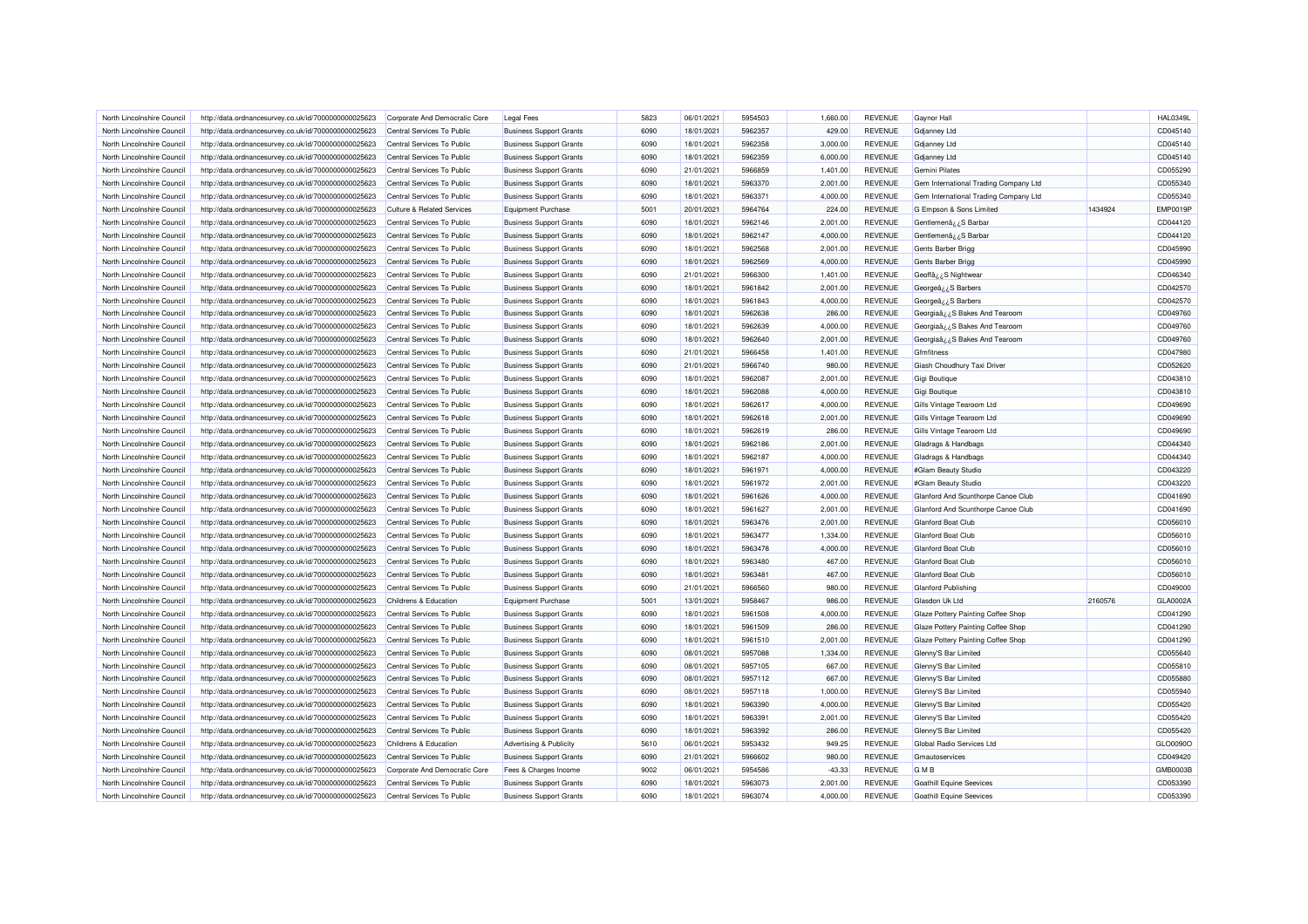| North Lincolnshire Council | http://data.ordnancesurvey.co.uk/id/7000000000025623 | Corporate And Democratic Core         | <b>Legal Fees</b>                  | 5823 | 06/01/2021 | 5954503            | 1.660.00 | <b>REVENUE</b> | Gaynor Hall                           |         | <b>HAL0349L</b> |
|----------------------------|------------------------------------------------------|---------------------------------------|------------------------------------|------|------------|--------------------|----------|----------------|---------------------------------------|---------|-----------------|
| North Lincolnshire Council | http://data.ordnancesurvey.co.uk/id/7000000000025623 | Central Services To Public            | <b>Business Support Grants</b>     | 6090 | 18/01/2021 | 5962357            | 429.00   | <b>REVENUE</b> | <b>Gdjanney Ltd</b>                   |         | CD045140        |
| North Lincolnshire Council | http://data.ordnancesurvey.co.uk/id/7000000000025623 | Central Services To Public            | <b>Business Support Grants</b>     | 6090 | 18/01/2021 | 5962358            | 3,000.00 | <b>REVENUE</b> | Gdjanney Ltd                          |         | CD045140        |
| North Lincolnshire Council | http://data.ordnancesurvey.co.uk/id/7000000000025623 | Central Services To Public            | <b>Business Support Grants</b>     | 6090 | 18/01/2021 | 5962359            | 6,000.00 | <b>REVENUE</b> | <b>Gdjanney Ltd</b>                   |         | CD045140        |
| North Lincolnshire Council | http://data.ordnancesurvey.co.uk/id/7000000000025623 | Central Services To Public            | <b>Business Support Grants</b>     | 6090 | 21/01/2021 | 5966859            | 1,401.00 | <b>REVENUE</b> | Gemini Pilates                        |         | CD055290        |
| North Lincolnshire Council | http://data.ordnancesurvey.co.uk/id/7000000000025623 | Central Services To Public            | <b>Business Support Grants</b>     | 6090 | 18/01/2021 | 5963370            | 2,001.00 | <b>REVENUE</b> | Gem International Trading Company Ltd |         | CD055340        |
| North Lincolnshire Council | http://data.ordnancesurvey.co.uk/id/7000000000025623 | Central Services To Public            | <b>Business Support Grants</b>     | 6090 | 18/01/2021 | 5963371            | 4,000.00 | <b>REVENUE</b> | Gem International Trading Company Ltd |         | CD055340        |
| North Lincolnshire Council | http://data.ordnancesurvey.co.uk/id/7000000000025623 | <b>Culture &amp; Related Services</b> | <b>Equipment Purchase</b>          | 5001 | 20/01/2021 | 5964764            | 224.00   | <b>REVENUE</b> | G Empson & Sons Limited               | 1434924 | <b>EMP0019F</b> |
| North Lincolnshire Council | http://data.ordnancesurvey.co.uk/id/7000000000025623 | Central Services To Public            | <b>Business Support Grants</b>     | 6090 | 18/01/2021 | 5962146            | 2,001.00 | <b>REVENUE</b> | Gentlemenâ ¿ ¿ S Barbar               |         | CD044120        |
| North Lincolnshire Council | http://data.ordnancesurvey.co.uk/id/7000000000025623 | Central Services To Public            | <b>Business Support Grants</b>     | 6090 | 18/01/2021 | 5962147            | 4,000.00 | <b>REVENUE</b> | Gentlemenâ ¿¿S Barbar                 |         | CD044120        |
| North Lincolnshire Council | http://data.ordnancesurvey.co.uk/id/7000000000025623 | Central Services To Public            | <b>Business Support Grants</b>     | 6090 | 18/01/2021 | 5962568            | 2,001.00 | <b>REVENUE</b> | Gents Barber Brigg                    |         | CD045990        |
| North Lincolnshire Council | http://data.ordnancesurvey.co.uk/id/7000000000025623 | Central Services To Public            | <b>Business Support Grants</b>     | 6090 | 18/01/2021 | 5962569            | 4,000.00 | <b>REVENUE</b> | Gents Barber Brigg                    |         | CD045990        |
| North Lincolnshire Council | http://data.ordnancesurvey.co.uk/id/7000000000025623 | Central Services To Public            | <b>Business Support Grants</b>     | 6090 | 21/01/2021 | 5966300            | 1,401.00 | <b>REVENUE</b> | Geoffâz ¿S Nightwear                  |         | CD046340        |
| North Lincolnshire Council | http://data.ordnancesurvey.co.uk/id/7000000000025623 | Central Services To Public            | <b>Business Support Grants</b>     | 6090 | 18/01/2021 | 5961842            | 2,001.00 | <b>REVENUE</b> | Georgeâ ¿¿S Barbers                   |         | CD042570        |
| North Lincolnshire Council | http://data.ordnancesurvey.co.uk/id/7000000000025623 | Central Services To Public            | <b>Business Support Grants</b>     | 6090 | 18/01/2021 | 5961843            | 4,000.00 | <b>REVENUE</b> | Georgeâ ¿¿S Barbers                   |         | CD042570        |
| North Lincolnshire Council | http://data.ordnancesurvey.co.uk/id/7000000000025623 | Central Services To Public            | <b>Business Support Grants</b>     | 6090 | 18/01/2021 | 5962638            | 286.00   | <b>REVENUE</b> | Georgiaâ ¿¿S Bakes And Tearoom        |         | CD049760        |
| North Lincolnshire Council | http://data.ordnancesurvey.co.uk/id/7000000000025623 | Central Services To Public            | <b>Business Support Grants</b>     | 6090 | 18/01/2021 | 5962639            | 4,000.00 | <b>REVENUE</b> | Georgiaâ ¿¿S Bakes And Tearoom        |         | CD049760        |
| North Lincolnshire Council | http://data.ordnancesurvey.co.uk/id/7000000000025623 | Central Services To Public            | <b>Business Support Grants</b>     | 6090 | 18/01/2021 | 5962640            | 2,001.00 | <b>REVENUE</b> | Georgiaa ¿¿S Bakes And Tearoom        |         | CD049760        |
|                            |                                                      |                                       |                                    |      |            |                    |          |                |                                       |         |                 |
| North Lincolnshire Council | http://data.ordnancesurvey.co.uk/id/7000000000025623 | Central Services To Public            | <b>Business Support Grants</b>     | 6090 | 21/01/2021 | 5966458<br>5966740 | 1,401.00 | <b>REVENUE</b> | Gfmfitness                            |         | CD047980        |
| North Lincolnshire Council | http://data.ordnancesurvey.co.uk/id/7000000000025623 | Central Services To Public            | <b>Business Support Grants</b>     | 6090 | 21/01/2021 |                    | 980.00   | <b>REVENUE</b> | Giash Choudhury Taxi Driver           |         | CD052620        |
| North Lincolnshire Council | http://data.ordnancesurvey.co.uk/id/7000000000025623 | Central Services To Public            | <b>Business Support Grants</b>     | 6090 | 18/01/2021 | 5962087            | 2,001.00 | <b>REVENUE</b> | Gigi Boutique                         |         | CD043810        |
| North Lincolnshire Council | http://data.ordnancesurvey.co.uk/id/7000000000025623 | Central Services To Public            | <b>Business Support Grants</b>     | 6090 | 18/01/2021 | 5962088            | 4,000.00 | <b>REVENUE</b> | Gigi Boutique                         |         | CD043810        |
| North Lincolnshire Council | http://data.ordnancesurvey.co.uk/id/7000000000025623 | Central Services To Public            | <b>Business Support Grants</b>     | 6090 | 18/01/2021 | 5962617            | 4.000.00 | <b>REVENUE</b> | Gills Vintage Tearoom Ltd             |         | CD049690        |
| North Lincolnshire Council | http://data.ordnancesurvey.co.uk/id/7000000000025623 | Central Services To Public            | <b>Business Support Grants</b>     | 6090 | 18/01/2021 | 5962618            | 2,001.00 | <b>REVENUE</b> | Gills Vintage Tearoom Ltd             |         | CD049690        |
| North Lincolnshire Council | http://data.ordnancesurvey.co.uk/id/7000000000025623 | Central Services To Public            | <b>Business Support Grants</b>     | 6090 | 18/01/2021 | 5962619            | 286.00   | <b>REVENUE</b> | Gills Vintage Tearoom Ltd             |         | CD049690        |
| North Lincolnshire Council | http://data.ordnancesurvey.co.uk/id/7000000000025623 | Central Services To Public            | <b>Business Support Grants</b>     | 6090 | 18/01/2021 | 5962186            | 2,001.00 | <b>REVENUE</b> | Gladrags & Handbags                   |         | CD044340        |
| North Lincolnshire Council | http://data.ordnancesurvey.co.uk/id/7000000000025623 | Central Services To Public            | <b>Business Support Grants</b>     | 6090 | 18/01/2021 | 5962187            | 4,000.00 | <b>REVENUE</b> | Gladrags & Handbags                   |         | CD044340        |
| North Lincolnshire Council | http://data.ordnancesurvey.co.uk/id/7000000000025623 | Central Services To Public            | <b>Business Support Grants</b>     | 6090 | 18/01/2021 | 5961971            | 4,000.00 | <b>REVENUE</b> | #Glam Beauty Studio                   |         | CD043220        |
| North Lincolnshire Council | http://data.ordnancesurvey.co.uk/id/7000000000025623 | Central Services To Public            | <b>Business Support Grants</b>     | 6090 | 18/01/2021 | 5961972            | 2,001.00 | <b>REVENUE</b> | #Glam Beauty Studio                   |         | CD043220        |
| North Lincolnshire Council | http://data.ordnancesurvey.co.uk/id/7000000000025623 | Central Services To Public            | <b>Business Support Grants</b>     | 6090 | 18/01/2021 | 5961626            | 4,000.00 | <b>REVENUE</b> | Glanford And Scunthorpe Canoe Club    |         | CD041690        |
| North Lincolnshire Council | http://data.ordnancesurvey.co.uk/id/7000000000025623 | Central Services To Public            | <b>Business Support Grants</b>     | 6090 | 18/01/2021 | 5961627            | 2,001.00 | <b>REVENUE</b> | Glanford And Scunthorpe Canoe Club    |         | CD041690        |
| North Lincolnshire Council | http://data.ordnancesurvey.co.uk/id/7000000000025623 | Central Services To Public            | <b>Business Support Grants</b>     | 6090 | 18/01/2021 | 5963476            | 2,001.00 | <b>REVENUE</b> | <b>Glanford Boat Club</b>             |         | CD056010        |
| North Lincolnshire Council | http://data.ordnancesurvey.co.uk/id/7000000000025623 | Central Services To Public            | <b>Business Support Grants</b>     | 6090 | 18/01/2021 | 5963477            | 1,334.00 | <b>REVENUE</b> | <b>Glanford Boat Club</b>             |         | CD056010        |
| North Lincolnshire Council | http://data.ordnancesurvey.co.uk/id/7000000000025623 | Central Services To Public            | <b>Business Support Grants</b>     | 6090 | 18/01/2021 | 5963478            | 4,000.00 | <b>REVENUE</b> | <b>Glanford Boat Club</b>             |         | CD056010        |
| North Lincolnshire Council | http://data.ordnancesurvey.co.uk/id/7000000000025623 | Central Services To Public            | <b>Business Support Grants</b>     | 6090 | 18/01/2021 | 5963480            | 467.00   | <b>REVENUE</b> | <b>Glanford Boat Club</b>             |         | CD056010        |
| North Lincolnshire Council | http://data.ordnancesurvey.co.uk/id/7000000000025623 | Central Services To Public            | <b>Business Support Grants</b>     | 6090 | 18/01/2021 | 5963481            | 467.00   | <b>REVENUE</b> | <b>Glanford Boat Club</b>             |         | CD056010        |
| North Lincolnshire Council | http://data.ordnancesurvey.co.uk/id/7000000000025623 | Central Services To Public            | <b>Business Support Grants</b>     | 6090 | 21/01/2021 | 5966560            | 980.00   | <b>REVENUE</b> | <b>Glanford Publishing</b>            |         | CD049000        |
| North Lincolnshire Council | http://data.ordnancesurvey.co.uk/id/7000000000025623 | Childrens & Education                 | <b>Equipment Purchase</b>          | 5001 | 13/01/2021 | 5958467            | 986.00   | <b>REVENUE</b> | Glasdon Uk Ltd                        | 2160576 | GLA0002A        |
| North Lincolnshire Council | http://data.ordnancesurvey.co.uk/id/7000000000025623 | Central Services To Public            | <b>Business Support Grants</b>     | 6090 | 18/01/2021 | 5961508            | 4,000.00 | <b>REVENUE</b> | Glaze Pottery Painting Coffee Shop    |         | CD041290        |
| North Lincolnshire Council | http://data.ordnancesurvey.co.uk/id/7000000000025623 | Central Services To Public            | <b>Business Support Grants</b>     | 6090 | 18/01/2021 | 5961509            | 286.00   | <b>REVENUE</b> | Glaze Pottery Painting Coffee Shop    |         | CD041290        |
| North Lincolnshire Council | http://data.ordnancesurvey.co.uk/id/7000000000025623 | Central Services To Public            | <b>Business Support Grants</b>     | 6090 | 18/01/2021 | 5961510            | 2,001.00 | <b>REVENUE</b> | Glaze Pottery Painting Coffee Shop    |         | CD041290        |
| North Lincolnshire Council | http://data.ordnancesurvey.co.uk/id/7000000000025623 | Central Services To Public            | <b>Business Support Grants</b>     | 6090 | 08/01/2021 | 5957088            | 1,334.00 | <b>REVENUE</b> | Glenny'S Bar Limited                  |         | CD055640        |
| North Lincolnshire Council | http://data.ordnancesurvey.co.uk/id/7000000000025623 | Central Services To Public            | <b>Business Support Grants</b>     | 6090 | 08/01/2021 | 5957105            | 667.00   | <b>REVENUE</b> | Glenny'S Bar Limited                  |         | CD055810        |
| North Lincolnshire Council | http://data.ordnancesurvey.co.uk/id/7000000000025623 | Central Services To Public            | <b>Business Support Grants</b>     | 6090 | 08/01/2021 | 5957112            | 667.00   | <b>REVENUE</b> | Glenny'S Bar Limited                  |         | CD055880        |
| North Lincolnshire Council | http://data.ordnancesurvey.co.uk/id/7000000000025623 | Central Services To Public            | <b>Business Support Grants</b>     | 6090 | 08/01/2021 | 5957118            | 1,000.00 | <b>REVENUE</b> | Glenny'S Bar Limited                  |         | CD055940        |
| North Lincolnshire Council | http://data.ordnancesurvey.co.uk/id/7000000000025623 | Central Services To Public            | <b>Business Support Grants</b>     | 6090 | 18/01/2021 | 5963390            | 4,000.00 | <b>REVENUE</b> | Glenny'S Bar Limited                  |         | CD055420        |
| North Lincolnshire Council | http://data.ordnancesurvey.co.uk/id/7000000000025623 | Central Services To Public            | <b>Business Support Grants</b>     | 6090 | 18/01/2021 | 5963391            | 2,001.00 | <b>REVENUE</b> | Glenny'S Bar Limited                  |         | CD055420        |
| North Lincolnshire Council | http://data.ordnancesurvey.co.uk/id/7000000000025623 | Central Services To Public            | <b>Business Support Grants</b>     | 6090 | 18/01/2021 | 5963392            | 286.00   | <b>REVENUE</b> | Glenny'S Bar Limited                  |         | CD055420        |
| North Lincolnshire Council | http://data.ordnancesurvey.co.uk/id/7000000000025623 | Childrens & Education                 | <b>Advertising &amp; Publicity</b> | 5610 | 06/01/2021 | 5953432            | 949.25   | <b>REVENUE</b> | Global Radio Services Ltd             |         | GLO0090O        |
| North Lincolnshire Council | http://data.ordnancesurvey.co.uk/id/7000000000025623 | Central Services To Public            | <b>Business Support Grants</b>     | 6090 | 21/01/2021 | 5966602            | 980.00   | <b>REVENUE</b> | Gmautoservices                        |         | CD049420        |
| North Lincolnshire Council | http://data.ordnancesurvey.co.uk/id/7000000000025623 | Corporate And Democratic Core         | Fees & Charges Income              | 9002 | 06/01/2021 | 5954586            | $-43.33$ | <b>REVENUE</b> | <b>GMB</b>                            |         | GMB0003B        |
| North Lincolnshire Council | http://data.ordnancesurvey.co.uk/id/7000000000025623 | Central Services To Public            | <b>Business Support Grants</b>     | 6090 | 18/01/2021 | 5963073            | 2,001.00 | <b>REVENUE</b> | Goathill Equine Seevices              |         | CD053390        |
| North Lincolnshire Council | http://data.ordnancesurvey.co.uk/id/7000000000025623 | Central Services To Public            | <b>Business Support Grants</b>     | 6090 | 18/01/2021 | 5963074            | 4,000.00 | <b>REVENUE</b> | <b>Goathill Equine Seevices</b>       |         | CD053390        |
|                            |                                                      |                                       |                                    |      |            |                    |          |                |                                       |         |                 |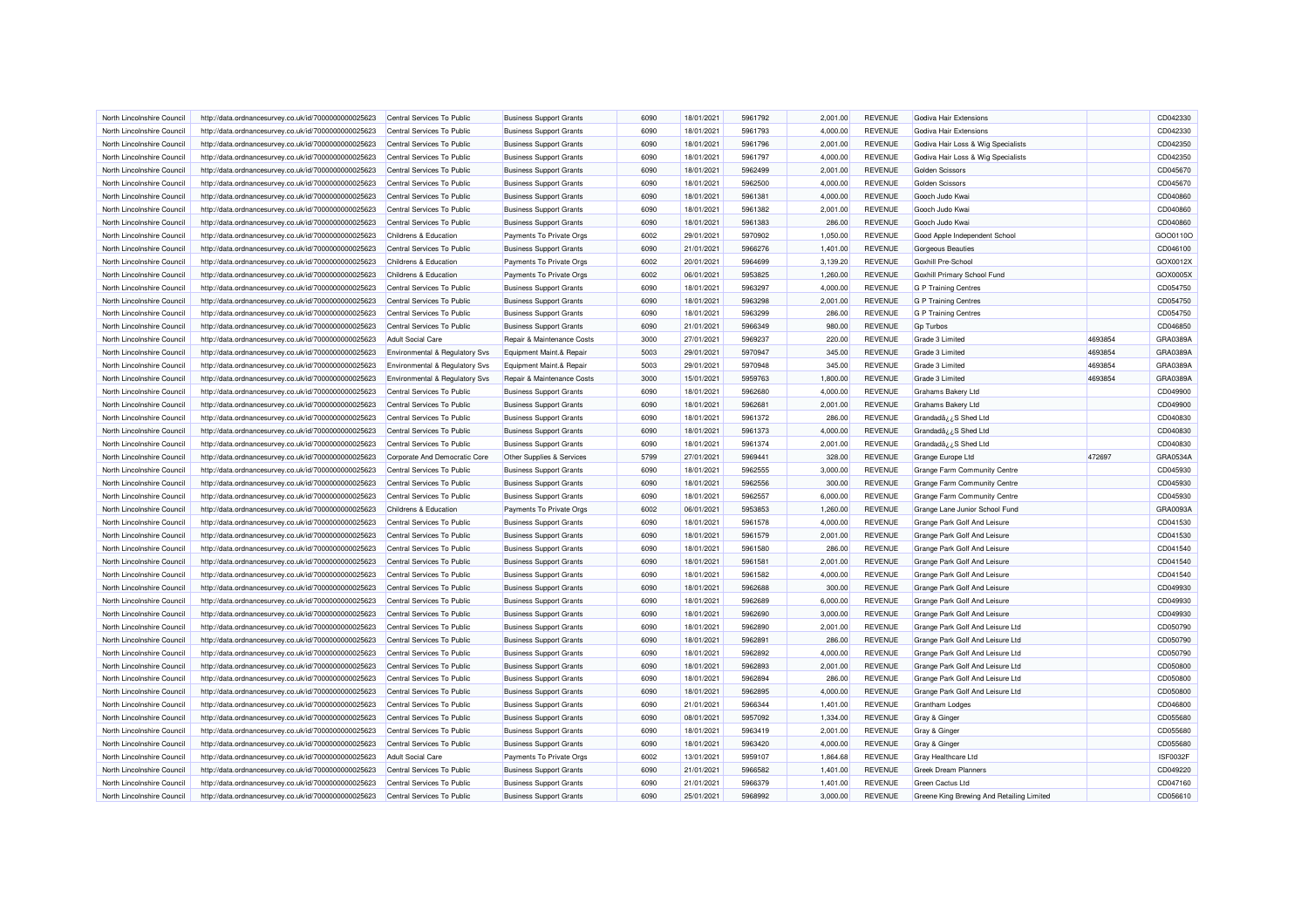| North Lincolnshire Council | http://data.ordnancesurvey.co.uk/id/7000000000025623 | Central Services To Public     | <b>Business Support Grants</b> | 6090 | 18/01/2021 | 5961792 | 2.001.00 | <b>REVENUE</b> | Godiva Hair Extensions                    |                    | CD042330             |
|----------------------------|------------------------------------------------------|--------------------------------|--------------------------------|------|------------|---------|----------|----------------|-------------------------------------------|--------------------|----------------------|
| North Lincolnshire Council | http://data.ordnancesurvey.co.uk/id/7000000000025623 | Central Services To Public     | <b>Business Support Grants</b> | 6090 | 18/01/2021 | 5961793 | 4,000.00 | <b>REVENUE</b> | Godiva Hair Extensions                    |                    | CD042330             |
| North Lincolnshire Council | http://data.ordnancesurvey.co.uk/id/7000000000025623 | Central Services To Public     | <b>Business Support Grants</b> | 6090 | 18/01/2021 | 5961796 | 2,001.00 | <b>REVENUE</b> | Godiva Hair Loss & Wig Specialists        |                    | CD042350             |
| North Lincolnshire Council | http://data.ordnancesurvey.co.uk/id/7000000000025623 | Central Services To Public     | <b>Business Support Grants</b> | 6090 | 18/01/2021 | 5961797 | 4,000.00 | <b>REVENUE</b> | Godiva Hair Loss & Wig Specialists        |                    | CD042350             |
| North Lincolnshire Council | http://data.ordnancesurvey.co.uk/id/7000000000025623 | Central Services To Public     | <b>Business Support Grants</b> | 6090 | 18/01/2021 | 5962499 | 2,001.00 | <b>REVENUE</b> | <b>Golden Scissors</b>                    |                    | CD045670             |
| North Lincolnshire Council | http://data.ordnancesurvey.co.uk/id/7000000000025623 | Central Services To Public     | <b>Business Support Grants</b> | 6090 | 18/01/2021 | 5962500 | 4,000.00 | <b>REVENUE</b> | <b>Golden Scissors</b>                    |                    | CD045670             |
| North Lincolnshire Council | http://data.ordnancesurvey.co.uk/id/7000000000025623 | Central Services To Public     | <b>Business Support Grants</b> | 6090 | 18/01/2021 | 5961381 | 4,000.00 | <b>REVENUE</b> | Gooch Judo Kwai                           |                    | CD040860             |
| North Lincolnshire Council | http://data.ordnancesurvey.co.uk/id/7000000000025623 | Central Services To Public     | <b>Business Support Grants</b> | 6090 | 18/01/2021 | 5961382 | 2,001.00 | <b>REVENUE</b> | Gooch Judo Kwai                           |                    | CD040860             |
| North Lincolnshire Council | http://data.ordnancesurvey.co.uk/id/7000000000025623 | Central Services To Public     | <b>Business Support Grants</b> | 6090 | 18/01/2021 | 5961383 | 286.00   | <b>REVENUE</b> | Gooch Judo Kwai                           |                    | CD040860             |
| North Lincolnshire Council | http://data.ordnancesurvey.co.uk/id/7000000000025623 | Childrens & Education          | Payments To Private Orgs       | 6002 | 29/01/2021 | 5970902 | 1,050.00 | <b>REVENUE</b> | Good Apple Independent School             |                    | GOO0110O             |
| North Lincolnshire Council | http://data.ordnancesurvey.co.uk/id/7000000000025623 | Central Services To Public     | <b>Business Support Grants</b> | 6090 | 21/01/2021 | 5966276 | 1,401.00 | <b>REVENUE</b> | <b>Gorgeous Beauties</b>                  |                    | CD046100             |
| North Lincolnshire Council | http://data.ordnancesurvey.co.uk/id/7000000000025623 | Childrens & Education          | Payments To Private Orgs       | 6002 | 20/01/2021 | 5964699 | 3,139.20 | <b>REVENUE</b> | Goxhill Pre-School                        |                    | GOX0012X             |
| North Lincolnshire Council | http://data.ordnancesurvey.co.uk/id/7000000000025623 | Childrens & Education          | Payments To Private Orgs       | 6002 | 06/01/2021 | 5953825 | 1,260.00 | <b>REVENUE</b> | Goxhill Primary School Fund               |                    | GOX0005X             |
| North Lincolnshire Council | http://data.ordnancesurvey.co.uk/id/7000000000025623 | Central Services To Public     | <b>Business Support Grants</b> | 6090 | 18/01/2021 | 5963297 | 4,000.00 | <b>REVENUE</b> | <b>G P Training Centres</b>               |                    | CD054750             |
| North Lincolnshire Council | http://data.ordnancesurvey.co.uk/id/7000000000025623 | Central Services To Public     | <b>Business Support Grants</b> | 6090 | 18/01/2021 | 5963298 | 2,001.00 | <b>REVENUE</b> | <b>G P Training Centres</b>               |                    | CD054750             |
| North Lincolnshire Council | http://data.ordnancesurvey.co.uk/id/7000000000025623 | Central Services To Public     | <b>Business Support Grants</b> | 6090 | 18/01/2021 | 5963299 | 286.00   | <b>REVENUE</b> | <b>G P Training Centres</b>               |                    | CD054750             |
| North Lincolnshire Council | http://data.ordnancesurvey.co.uk/id/7000000000025623 | Central Services To Public     | <b>Business Support Grants</b> | 6090 | 21/01/2021 | 5966349 | 980.00   | <b>REVENUE</b> | <b>Gp Turbos</b>                          |                    | CD046850             |
| North Lincolnshire Council | http://data.ordnancesurvey.co.uk/id/7000000000025623 | <b>Adult Social Care</b>       | Repair & Maintenance Costs     | 3000 | 27/01/2021 | 5969237 | 220.00   | <b>REVENUE</b> | Grade 3 Limited                           | 4693854            | GRA0389A             |
|                            |                                                      |                                |                                |      |            |         |          |                |                                           |                    |                      |
| North Lincolnshire Council | http://data.ordnancesurvey.co.uk/id/7000000000025623 | Environmental & Regulatory Svs | Equipment Maint.& Repair       | 5003 | 29/01/2021 | 5970947 | 345.00   | <b>REVENUE</b> | Grade 3 Limited                           | 4693854<br>4693854 | GRA0389A<br>GRA0389A |
| North Lincolnshire Council | http://data.ordnancesurvey.co.uk/id/7000000000025623 | Environmental & Regulatory Svs | Equipment Maint.& Repair       | 5003 | 29/01/2021 | 5970948 | 345.00   | <b>REVENUE</b> | Grade 3 Limited                           |                    |                      |
| North Lincolnshire Council | http://data.ordnancesurvey.co.uk/id/7000000000025623 | Environmental & Regulatory Svs | Repair & Maintenance Costs     | 3000 | 15/01/2021 | 5959763 | 1,800.00 | <b>REVENUE</b> | Grade 3 Limited                           | 4693854            | GRA0389A             |
| North Lincolnshire Council | http://data.ordnancesurvey.co.uk/id/7000000000025623 | Central Services To Public     | <b>Business Support Grants</b> | 6090 | 18/01/2021 | 5962680 | 4,000.00 | REVENUE        | Grahams Bakery Ltd                        |                    | CD049900             |
| North Lincolnshire Council | http://data.ordnancesurvey.co.uk/id/7000000000025623 | Central Services To Public     | <b>Business Support Grants</b> | 6090 | 18/01/2021 | 5962681 | 2.001.00 | <b>REVENUE</b> | Grahams Bakery Ltd                        |                    | CD049900             |
| North Lincolnshire Council | http://data.ordnancesurvey.co.uk/id/7000000000025623 | Central Services To Public     | <b>Business Support Grants</b> | 6090 | 18/01/2021 | 5961372 | 286.00   | <b>REVENUE</b> | Grandadå; ¿S Shed Ltd                     |                    | CD040830             |
| North Lincolnshire Council | http://data.ordnancesurvey.co.uk/id/7000000000025623 | Central Services To Public     | <b>Business Support Grants</b> | 6090 | 18/01/2021 | 5961373 | 4,000.00 | <b>REVENUE</b> | Grandadå¿¿S Shed Ltd                      |                    | CD040830             |
| North Lincolnshire Council | http://data.ordnancesurvey.co.uk/id/7000000000025623 | Central Services To Public     | <b>Business Support Grants</b> | 6090 | 18/01/2021 | 5961374 | 2,001.00 | <b>REVENUE</b> | Grandadå; ¿S Shed Ltd                     |                    | CD040830             |
| North Lincolnshire Council | http://data.ordnancesurvey.co.uk/id/7000000000025623 | Corporate And Democratic Core  | Other Supplies & Services      | 5799 | 27/01/2021 | 5969441 | 328.00   | <b>REVENUE</b> | Grange Europe Ltd                         | 472697             | GRA0534A             |
| North Lincolnshire Council | http://data.ordnancesurvey.co.uk/id/7000000000025623 | Central Services To Public     | <b>Business Support Grants</b> | 6090 | 18/01/2021 | 5962555 | 3,000.00 | <b>REVENUE</b> | Grange Farm Community Centre              |                    | CD045930             |
| North Lincolnshire Council | http://data.ordnancesurvey.co.uk/id/7000000000025623 | Central Services To Public     | <b>Business Support Grants</b> | 6090 | 18/01/2021 | 5962556 | 300.00   | <b>REVENUE</b> | Grange Farm Community Centre              |                    | CD045930             |
| North Lincolnshire Council | http://data.ordnancesurvey.co.uk/id/7000000000025623 | Central Services To Public     | <b>Business Support Grants</b> | 6090 | 18/01/2021 | 5962557 | 6,000.00 | <b>REVENUE</b> | Grange Farm Community Centre              |                    | CD045930             |
| North Lincolnshire Council | http://data.ordnancesurvey.co.uk/id/7000000000025623 | Childrens & Education          | Payments To Private Orgs       | 6002 | 06/01/2021 | 5953853 | 1,260.00 | <b>REVENUE</b> | Grange Lane Junior School Fund            |                    | GRA0093A             |
| North Lincolnshire Council | http://data.ordnancesurvey.co.uk/id/7000000000025623 | Central Services To Public     | <b>Business Support Grants</b> | 6090 | 18/01/2021 | 5961578 | 4,000.00 | <b>REVENUE</b> | Grange Park Golf And Leisure              |                    | CD041530             |
| North Lincolnshire Council | http://data.ordnancesurvey.co.uk/id/7000000000025623 | Central Services To Public     | <b>Business Support Grants</b> | 6090 | 18/01/2021 | 5961579 | 2,001.00 | <b>REVENUE</b> | Grange Park Golf And Leisure              |                    | CD041530             |
| North Lincolnshire Council | http://data.ordnancesurvey.co.uk/id/7000000000025623 | Central Services To Public     | <b>Business Support Grants</b> | 6090 | 18/01/2021 | 5961580 | 286.00   | <b>REVENUE</b> | Grange Park Golf And Leisure              |                    | CD041540             |
| North Lincolnshire Council | http://data.ordnancesurvey.co.uk/id/7000000000025623 | Central Services To Public     | <b>Business Support Grants</b> | 6090 | 18/01/2021 | 5961581 | 2,001.00 | <b>REVENUE</b> | Grange Park Golf And Leisure              |                    | CD041540             |
| North Lincolnshire Council | http://data.ordnancesurvey.co.uk/id/7000000000025623 | Central Services To Public     | <b>Business Support Grants</b> | 6090 | 18/01/2021 | 5961582 | 4,000.00 | <b>REVENUE</b> | Grange Park Golf And Leisure              |                    | CD041540             |
| North Lincolnshire Council | http://data.ordnancesurvey.co.uk/id/7000000000025623 | Central Services To Public     | <b>Business Support Grants</b> | 6090 | 18/01/2021 | 5962688 | 300.00   | <b>REVENUE</b> | Grange Park Golf And Leisure              |                    | CD049930             |
| North Lincolnshire Council | http://data.ordnancesurvey.co.uk/id/7000000000025623 | Central Services To Public     | <b>Business Support Grants</b> | 6090 | 18/01/2021 | 5962689 | 6,000.00 | REVENUE        | Grange Park Golf And Leisure              |                    | CD049930             |
| North Lincolnshire Council | http://data.ordnancesurvey.co.uk/id/7000000000025623 | Central Services To Public     | <b>Business Support Grants</b> | 6090 | 18/01/2021 | 5962690 | 3,000.00 | <b>REVENUE</b> | Grange Park Golf And Leisure              |                    | CD049930             |
| North Lincolnshire Council | http://data.ordnancesurvey.co.uk/id/7000000000025623 | Central Services To Public     | <b>Business Support Grants</b> | 6090 | 18/01/2021 | 5962890 | 2,001.00 | <b>REVENUE</b> | Grange Park Golf And Leisure Ltd          |                    | CD050790             |
| North Lincolnshire Council | http://data.ordnancesurvey.co.uk/id/7000000000025623 | Central Services To Public     | <b>Business Support Grants</b> | 6090 | 18/01/2021 | 5962891 | 286.00   | <b>REVENUE</b> | Grange Park Golf And Leisure Ltd          |                    | CD050790             |
| North Lincolnshire Council | http://data.ordnancesurvey.co.uk/id/7000000000025623 | Central Services To Public     | <b>Business Support Grants</b> | 6090 | 18/01/2021 | 5962892 | 4,000.00 | <b>REVENUE</b> | Grange Park Golf And Leisure Ltd          |                    | CD050790             |
| North Lincolnshire Council | http://data.ordnancesurvey.co.uk/id/7000000000025623 | Central Services To Public     | <b>Business Support Grants</b> | 6090 | 18/01/2021 | 5962893 | 2,001.00 | <b>REVENUE</b> | Grange Park Golf And Leisure Ltd          |                    | CD050800             |
| North Lincolnshire Council | http://data.ordnancesurvey.co.uk/id/7000000000025623 | Central Services To Public     | <b>Business Support Grants</b> | 6090 | 18/01/2021 | 5962894 | 286.00   | <b>REVENUE</b> | Grange Park Golf And Leisure Ltd          |                    | CD050800             |
| North Lincolnshire Council | http://data.ordnancesurvey.co.uk/id/7000000000025623 | Central Services To Public     | <b>Business Support Grants</b> | 6090 | 18/01/2021 | 5962895 | 4,000.00 | <b>REVENUE</b> | Grange Park Golf And Leisure Ltd          |                    | CD050800             |
| North Lincolnshire Council | http://data.ordnancesurvey.co.uk/id/7000000000025623 | Central Services To Public     | <b>Business Support Grants</b> | 6090 | 21/01/2021 | 5966344 | 1,401.00 | <b>REVENUE</b> | <b>Grantham Lodges</b>                    |                    | CD046800             |
| North Lincolnshire Council | http://data.ordnancesurvey.co.uk/id/7000000000025623 | Central Services To Public     | <b>Business Support Grants</b> | 6090 | 08/01/2021 | 5957092 | 1,334.00 | <b>REVENUE</b> | Gray & Ginger                             |                    | CD055680             |
| North Lincolnshire Council | http://data.ordnancesurvey.co.uk/id/7000000000025623 | Central Services To Public     | <b>Business Support Grants</b> | 6090 | 18/01/2021 | 5963419 | 2,001.00 | <b>REVENUE</b> | Gray & Ginger                             |                    | CD055680             |
| North Lincolnshire Council | http://data.ordnancesurvey.co.uk/id/7000000000025623 | Central Services To Public     | <b>Business Support Grants</b> | 6090 | 18/01/2021 | 5963420 | 4,000.00 | <b>REVENUE</b> | Gray & Ginger                             |                    | CD055680             |
| North Lincolnshire Council | http://data.ordnancesurvey.co.uk/id/7000000000025623 | <b>Adult Social Care</b>       | Payments To Private Orgs       | 6002 | 13/01/2021 | 5959107 | 1,864.68 | <b>REVENUE</b> | Gray Healthcare Ltd                       |                    | ISF0032F             |
| North Lincolnshire Council | http://data.ordnancesurvey.co.uk/id/7000000000025623 | Central Services To Public     | <b>Business Support Grants</b> | 6090 | 21/01/2021 | 5966582 | 1,401.00 | <b>REVENUE</b> | <b>Greek Dream Planners</b>               |                    | CD049220             |
| North Lincolnshire Council | http://data.ordnancesurvey.co.uk/id/7000000000025623 | Central Services To Public     | <b>Business Support Grants</b> | 6090 | 21/01/2021 | 5966379 | 1,401.00 | <b>REVENUE</b> | <b>Green Cactus Ltd</b>                   |                    | CD047160             |
| North Lincolnshire Council | http://data.ordnancesurvey.co.uk/id/7000000000025623 | Central Services To Public     | <b>Business Support Grants</b> | 6090 | 25/01/2021 | 5968992 | 3,000.00 | <b>REVENUE</b> | Greene King Brewing And Retailing Limited |                    | CD056610             |
|                            |                                                      |                                |                                |      |            |         |          |                |                                           |                    |                      |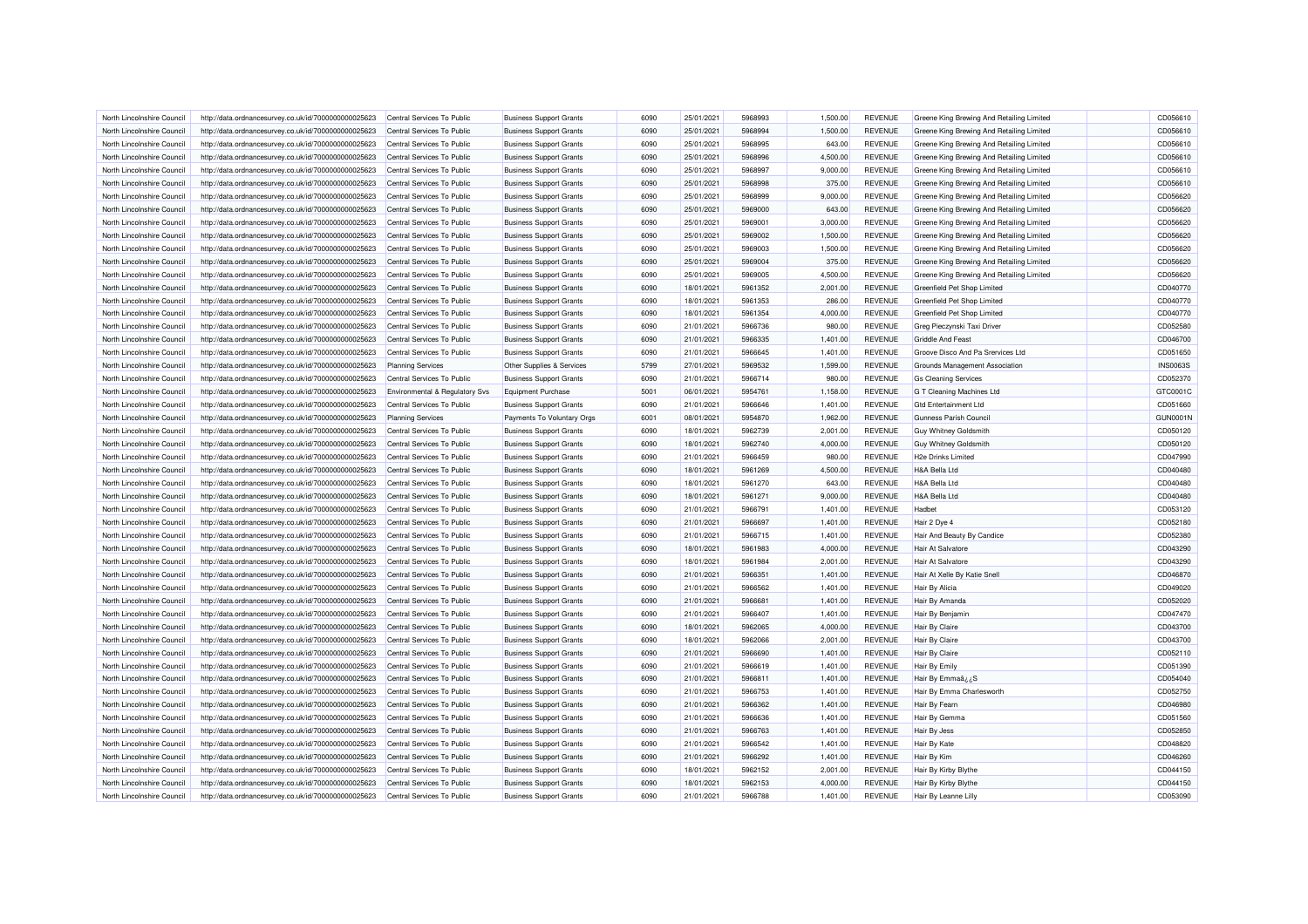| North Lincolnshire Council                               | http://data.ordnancesurvey.co.uk/id/7000000000025623                                                         | Central Services To Public                                   | <b>Business Support Grants</b> | 6090 | 25/01/2021 | 5968993            | 1,500.00 | <b>REVENUE</b> | Greene King Brewing And Retailing Limited | CD056610        |
|----------------------------------------------------------|--------------------------------------------------------------------------------------------------------------|--------------------------------------------------------------|--------------------------------|------|------------|--------------------|----------|----------------|-------------------------------------------|-----------------|
| North Lincolnshire Council                               | http://data.ordnancesurvey.co.uk/id/7000000000025623                                                         | Central Services To Public                                   | <b>Business Support Grants</b> | 6090 | 25/01/2021 | 5968994            | 1,500.00 | <b>REVENUE</b> | Greene King Brewing And Retailing Limited | CD056610        |
| North Lincolnshire Council                               | http://data.ordnancesurvey.co.uk/id/7000000000025623                                                         | Central Services To Public                                   | <b>Business Support Grants</b> | 6090 | 25/01/2021 | 5968995            | 643.00   | <b>REVENUE</b> | Greene King Brewing And Retailing Limited | CD056610        |
| North Lincolnshire Council                               | http://data.ordnancesurvey.co.uk/id/7000000000025623                                                         | Central Services To Public                                   | <b>Business Support Grants</b> | 6090 | 25/01/2021 | 5968996            | 4,500.00 | <b>REVENUE</b> | Greene King Brewing And Retailing Limited | CD056610        |
| North Lincolnshire Council                               | http://data.ordnancesurvey.co.uk/id/7000000000025623                                                         | Central Services To Public                                   | <b>Business Support Grants</b> | 6090 | 25/01/2021 | 5968997            | 9,000.00 | <b>REVENUE</b> | Greene King Brewing And Retailing Limited | CD056610        |
| North Lincolnshire Council                               | http://data.ordnancesurvey.co.uk/id/7000000000025623                                                         | Central Services To Public                                   | <b>Business Support Grants</b> | 6090 | 25/01/2021 | 5968998            | 375.00   | <b>REVENUE</b> | Greene King Brewing And Retailing Limited | CD056610        |
| North Lincolnshire Council                               | http://data.ordnancesurvey.co.uk/id/7000000000025623                                                         | Central Services To Public                                   | <b>Business Support Grants</b> | 6090 | 25/01/2021 | 5968999            | 9,000.00 | <b>REVENUE</b> | Greene King Brewing And Retailing Limited | CD056620        |
| North Lincolnshire Council                               | http://data.ordnancesurvey.co.uk/id/7000000000025623                                                         | Central Services To Public                                   | <b>Business Support Grants</b> | 6090 | 25/01/2021 | 5969000            | 643.00   | <b>REVENUE</b> | Greene King Brewing And Retailing Limited | CD056620        |
| North Lincolnshire Council                               | http://data.ordnancesurvey.co.uk/id/7000000000025623                                                         | Central Services To Public                                   | <b>Business Support Grants</b> | 6090 | 25/01/2021 | 5969001            | 3,000.00 | <b>REVENUE</b> | Greene King Brewing And Retailing Limited | CD056620        |
| North Lincolnshire Council                               | http://data.ordnancesurvey.co.uk/id/7000000000025623                                                         | Central Services To Public                                   | <b>Business Support Grants</b> | 6090 | 25/01/2021 | 5969002            | 1,500.00 | <b>REVENUE</b> | Greene King Brewing And Retailing Limited | CD056620        |
| North Lincolnshire Council                               | http://data.ordnancesurvey.co.uk/id/7000000000025623                                                         | Central Services To Public                                   | <b>Business Support Grants</b> | 6090 | 25/01/2021 | 5969003            | 1,500.00 | <b>REVENUE</b> | Greene King Brewing And Retailing Limited | CD056620        |
| North Lincolnshire Council                               | http://data.ordnancesurvey.co.uk/id/7000000000025623                                                         | Central Services To Public                                   | <b>Business Support Grants</b> | 6090 | 25/01/2021 | 5969004            | 375.00   | <b>REVENUE</b> | Greene King Brewing And Retailing Limited | CD056620        |
| North Lincolnshire Council                               | http://data.ordnancesurvey.co.uk/id/7000000000025623                                                         | Central Services To Public                                   | <b>Business Support Grants</b> | 6090 | 25/01/2021 | 5969005            | 4,500.00 | <b>REVENUE</b> | Greene King Brewing And Retailing Limited | CD056620        |
| North Lincolnshire Council                               | http://data.ordnancesurvey.co.uk/id/7000000000025623                                                         | Central Services To Public                                   | <b>Business Support Grants</b> | 6090 | 18/01/2021 | 5961352            | 2,001.00 | <b>REVENUE</b> | Greenfield Pet Shop Limited               | CD040770        |
| North Lincolnshire Council                               | http://data.ordnancesurvey.co.uk/id/7000000000025623                                                         | Central Services To Public                                   | <b>Business Support Grants</b> | 6090 | 18/01/2021 | 5961353            | 286.00   | <b>REVENUE</b> | Greenfield Pet Shop Limited               | CD040770        |
| North Lincolnshire Council                               | http://data.ordnancesurvey.co.uk/id/7000000000025623                                                         | Central Services To Public                                   | <b>Business Support Grants</b> | 6090 | 18/01/2021 | 5961354            | 4,000.00 | <b>REVENUE</b> | Greenfield Pet Shop Limited               | CD040770        |
| North Lincolnshire Council                               | http://data.ordnancesurvey.co.uk/id/7000000000025623                                                         | Central Services To Public                                   | <b>Business Support Grants</b> | 6090 | 21/01/2021 | 5966736            | 980.00   | <b>REVENUE</b> | Greg Pieczynski Taxi Driver               | CD052580        |
| North Lincolnshire Council                               | http://data.ordnancesurvey.co.uk/id/7000000000025623                                                         | Central Services To Public                                   | <b>Business Support Grants</b> | 6090 | 21/01/2021 | 5966335            | 1,401.00 | <b>REVENUE</b> | <b>Griddle And Feast</b>                  | CD046700        |
|                                                          | http://data.ordnancesurvey.co.uk/id/7000000000025623                                                         | Central Services To Public                                   | <b>Business Support Grants</b> | 6090 | 21/01/2021 | 5966645            | 1,401.00 | <b>REVENUE</b> | Groove Disco And Pa Srervices Ltd         | CD051650        |
| North Lincolnshire Council<br>North Lincolnshire Council | http://data.ordnancesurvey.co.uk/id/7000000000025623                                                         | <b>Planning Services</b>                                     | Other Supplies & Services      | 5799 | 27/01/2021 | 5969532            | 1,599.00 | <b>REVENUE</b> | Grounds Management Association            | <b>INS0063S</b> |
| North Lincolnshire Council                               | http://data.ordnancesurvey.co.uk/id/7000000000025623                                                         | Central Services To Public                                   | <b>Business Support Grants</b> | 6090 | 21/01/2021 | 5966714            | 980.00   | <b>REVENUE</b> | <b>Gs Cleaning Services</b>               | CD052370        |
| North Lincolnshire Council                               |                                                                                                              |                                                              | Equipment Purchase             | 5001 | 06/01/2021 | 5954761            | 1,158.00 | <b>REVENUE</b> | G T Cleaning Machines Ltd                 | GTC0001C        |
| North Lincolnshire Council                               | http://data.ordnancesurvey.co.uk/id/7000000000025623<br>http://data.ordnancesurvey.co.uk/id/7000000000025623 | Environmental & Regulatory Svs<br>Central Services To Public | <b>Business Support Grants</b> | 6090 | 21/01/2021 | 5966646            | 1,401.00 | <b>REVENUE</b> | <b>Gtd Entertainment Ltd</b>              | CD051660        |
|                                                          |                                                                                                              |                                                              |                                |      |            |                    |          |                |                                           |                 |
| North Lincolnshire Council                               | http://data.ordnancesurvey.co.uk/id/7000000000025623                                                         | <b>Planning Services</b>                                     | Payments To Voluntary Orgs     | 6001 | 08/01/2021 | 5954870<br>5962739 | 1,962.00 | <b>REVENUE</b> | Gunness Parish Council                    | <b>GUN0001N</b> |
| North Lincolnshire Council                               | http://data.ordnancesurvey.co.uk/id/7000000000025623                                                         | Central Services To Public                                   | <b>Business Support Grants</b> | 6090 | 18/01/2021 |                    | 2,001.00 | <b>REVENUE</b> | <b>Guy Whitney Goldsmith</b>              | CD050120        |
| North Lincolnshire Council                               | http://data.ordnancesurvey.co.uk/id/7000000000025623                                                         | Central Services To Public                                   | <b>Business Support Grants</b> | 6090 | 18/01/2021 | 5962740            | 4,000.00 | <b>REVENUE</b> | <b>Guy Whitney Goldsmith</b>              | CD050120        |
| North Lincolnshire Council                               | http://data.ordnancesurvey.co.uk/id/7000000000025623                                                         | Central Services To Public                                   | <b>Business Support Grants</b> | 6090 | 21/01/2021 | 5966459            | 980.00   | <b>REVENUE</b> | <b>H2e Drinks Limited</b>                 | CD047990        |
| North Lincolnshire Council                               | http://data.ordnancesurvey.co.uk/id/7000000000025623                                                         | Central Services To Public                                   | <b>Business Support Grants</b> | 6090 | 18/01/2021 | 5961269            | 4.500.00 | <b>REVENUE</b> | H&A Bella Ltd                             | CD040480        |
| North Lincolnshire Council                               | http://data.ordnancesurvey.co.uk/id/7000000000025623                                                         | Central Services To Public                                   | <b>Business Support Grants</b> | 6090 | 18/01/2021 | 5961270            | 643.00   | <b>REVENUE</b> | <b>H&amp;A Bella Ltd</b>                  | CD040480        |
| North Lincolnshire Council                               | http://data.ordnancesurvey.co.uk/id/7000000000025623                                                         | Central Services To Public                                   | <b>Business Support Grants</b> | 6090 | 18/01/2021 | 5961271            | 9,000.00 | <b>REVENUE</b> | <b>H&amp;A Bella Ltd</b>                  | CD040480        |
| North Lincolnshire Council                               | http://data.ordnancesurvey.co.uk/id/7000000000025623                                                         | Central Services To Public                                   | <b>Business Support Grants</b> | 6090 | 21/01/2021 | 5966791            | 1,401.00 | <b>REVENUE</b> | Hadbe                                     | CD053120        |
| North Lincolnshire Council                               | http://data.ordnancesurvey.co.uk/id/7000000000025623                                                         | Central Services To Public                                   | <b>Business Support Grants</b> | 6090 | 21/01/2021 | 5966697            | 1,401.00 | <b>REVENUE</b> | Hair 2 Dye 4                              | CD052180        |
| North Lincolnshire Council                               | http://data.ordnancesurvey.co.uk/id/7000000000025623                                                         | Central Services To Public                                   | <b>Business Support Grants</b> | 6090 | 21/01/2021 | 5966715            | 1,401.00 | <b>REVENUE</b> | Hair And Beauty By Candice                | CD052380        |
| North Lincolnshire Council                               | http://data.ordnancesurvey.co.uk/id/7000000000025623                                                         | Central Services To Public                                   | <b>Business Support Grants</b> | 6090 | 18/01/2021 | 5961983            | 4.000.00 | <b>REVENUE</b> | Hair At Salvatore                         | CD043290        |
| North Lincolnshire Council                               | http://data.ordnancesurvey.co.uk/id/7000000000025623                                                         | Central Services To Public                                   | <b>Business Support Grants</b> | 6090 | 18/01/2021 | 5961984            | 2,001.00 | <b>REVENUE</b> | Hair At Salvatore                         | CD043290        |
| North Lincolnshire Council                               | http://data.ordnancesurvey.co.uk/id/7000000000025623                                                         | Central Services To Public                                   | <b>Business Support Grants</b> | 6090 | 21/01/2021 | 5966351            | 1,401.00 | <b>REVENUE</b> | Hair At Xelle By Katie Snell              | CD046870        |
| North Lincolnshire Council                               | http://data.ordnancesurvey.co.uk/id/7000000000025623                                                         | Central Services To Public                                   | <b>Business Support Grants</b> | 6090 | 21/01/2021 | 5966562            | 1,401.00 | <b>REVENUE</b> | Hair By Alicia                            | CD049020        |
| North Lincolnshire Council                               | http://data.ordnancesurvey.co.uk/id/7000000000025623                                                         | Central Services To Public                                   | <b>Business Support Grants</b> | 6090 | 21/01/2021 | 5966681            | 1,401.00 | <b>REVENUE</b> | Hair By Amanda                            | CD052020        |
| North Lincolnshire Council                               | http://data.ordnancesurvey.co.uk/id/7000000000025623                                                         | Central Services To Public                                   | <b>Business Support Grants</b> | 6090 | 21/01/2021 | 5966407            | 1,401.00 | <b>REVENUE</b> | Hair By Benjamin                          | CD047470        |
| North Lincolnshire Council                               | http://data.ordnancesurvey.co.uk/id/7000000000025623                                                         | Central Services To Public                                   | <b>Business Support Grants</b> | 6090 | 18/01/2021 | 5962065            | 4,000.00 | <b>REVENUE</b> | Hair By Claire                            | CD043700        |
| North Lincolnshire Council                               | http://data.ordnancesurvey.co.uk/id/7000000000025623                                                         | Central Services To Public                                   | <b>Business Support Grants</b> | 6090 | 18/01/2021 | 5962066            | 2,001.00 | <b>REVENUE</b> | Hair By Claire                            | CD043700        |
| North Lincolnshire Council                               | http://data.ordnancesurvey.co.uk/id/7000000000025623                                                         | Central Services To Public                                   | <b>Business Support Grants</b> | 6090 | 21/01/2021 | 5966690            | 1.401.00 | <b>REVENUE</b> | <b>Hair By Claire</b>                     | CD052110        |
| North Lincolnshire Council                               | http://data.ordnancesurvey.co.uk/id/7000000000025623                                                         | Central Services To Public                                   | <b>Business Support Grants</b> | 6090 | 21/01/2021 | 5966619            | 1,401.00 | <b>REVENUE</b> | Hair By Emily                             | CD051390        |
| North Lincolnshire Council                               | http://data.ordnancesurvey.co.uk/id/7000000000025623                                                         | Central Services To Public                                   | <b>Business Support Grants</b> | 6090 | 21/01/2021 | 5966811            | 1,401.00 | <b>REVENUE</b> | Hair By EmmaazzS                          | CD054040        |
| North Lincolnshire Council                               | http://data.ordnancesurvey.co.uk/id/7000000000025623                                                         | Central Services To Public                                   | <b>Business Support Grants</b> | 6090 | 21/01/2021 | 5966753            | 1,401.00 | <b>REVENUE</b> | Hair By Emma Charlesworth                 | CD052750        |
| North Lincolnshire Council                               | http://data.ordnancesurvey.co.uk/id/7000000000025623                                                         | Central Services To Public                                   | <b>Business Support Grants</b> | 6090 | 21/01/2021 | 5966362            | 1,401.00 | <b>REVENUE</b> | Hair By Fearn                             | CD046980        |
| North Lincolnshire Council                               | http://data.ordnancesurvey.co.uk/id/7000000000025623                                                         | Central Services To Public                                   | <b>Business Support Grants</b> | 6090 | 21/01/2021 | 5966636            | 1,401.00 | <b>REVENUE</b> | Hair By Gemma                             | CD051560        |
| North Lincolnshire Council                               | http://data.ordnancesurvey.co.uk/id/7000000000025623                                                         | Central Services To Public                                   | <b>Business Support Grants</b> | 6090 | 21/01/2021 | 5966763            | 1,401.00 | <b>REVENUE</b> | Hair By Jess                              | CD052850        |
| North Lincolnshire Council                               | http://data.ordnancesurvey.co.uk/id/7000000000025623                                                         | Central Services To Public                                   | <b>Business Support Grants</b> | 6090 | 21/01/2021 | 5966542            | 1,401.00 | <b>REVENUE</b> | Hair By Kate                              | CD048820        |
| North Lincolnshire Council                               | http://data.ordnancesurvey.co.uk/id/7000000000025623                                                         | Central Services To Public                                   | <b>Business Support Grants</b> | 6090 | 21/01/2021 | 5966292            | 1,401.00 | <b>REVENUE</b> | Hair By Kim                               | CD046260        |
| North Lincolnshire Council                               | http://data.ordnancesurvey.co.uk/id/7000000000025623                                                         | Central Services To Public                                   | <b>Business Support Grants</b> | 6090 | 18/01/2021 | 5962152            | 2,001.00 | <b>REVENUE</b> | Hair By Kirby Blythe                      | CD044150        |
| North Lincolnshire Council                               | http://data.ordnancesurvey.co.uk/id/7000000000025623                                                         | Central Services To Public                                   | <b>Business Support Grants</b> | 6090 | 18/01/2021 | 5962153            | 4,000.00 | <b>REVENUE</b> | Hair By Kirby Blythe                      | CD044150        |
| North Lincolnshire Council                               | http://data.ordnancesurvey.co.uk/id/7000000000025623                                                         | Central Services To Public                                   | <b>Business Support Grants</b> | 6090 | 21/01/2021 | 5966788            | 1,401.00 | <b>REVENUE</b> | Hair By Leanne Lilly                      | CD053090        |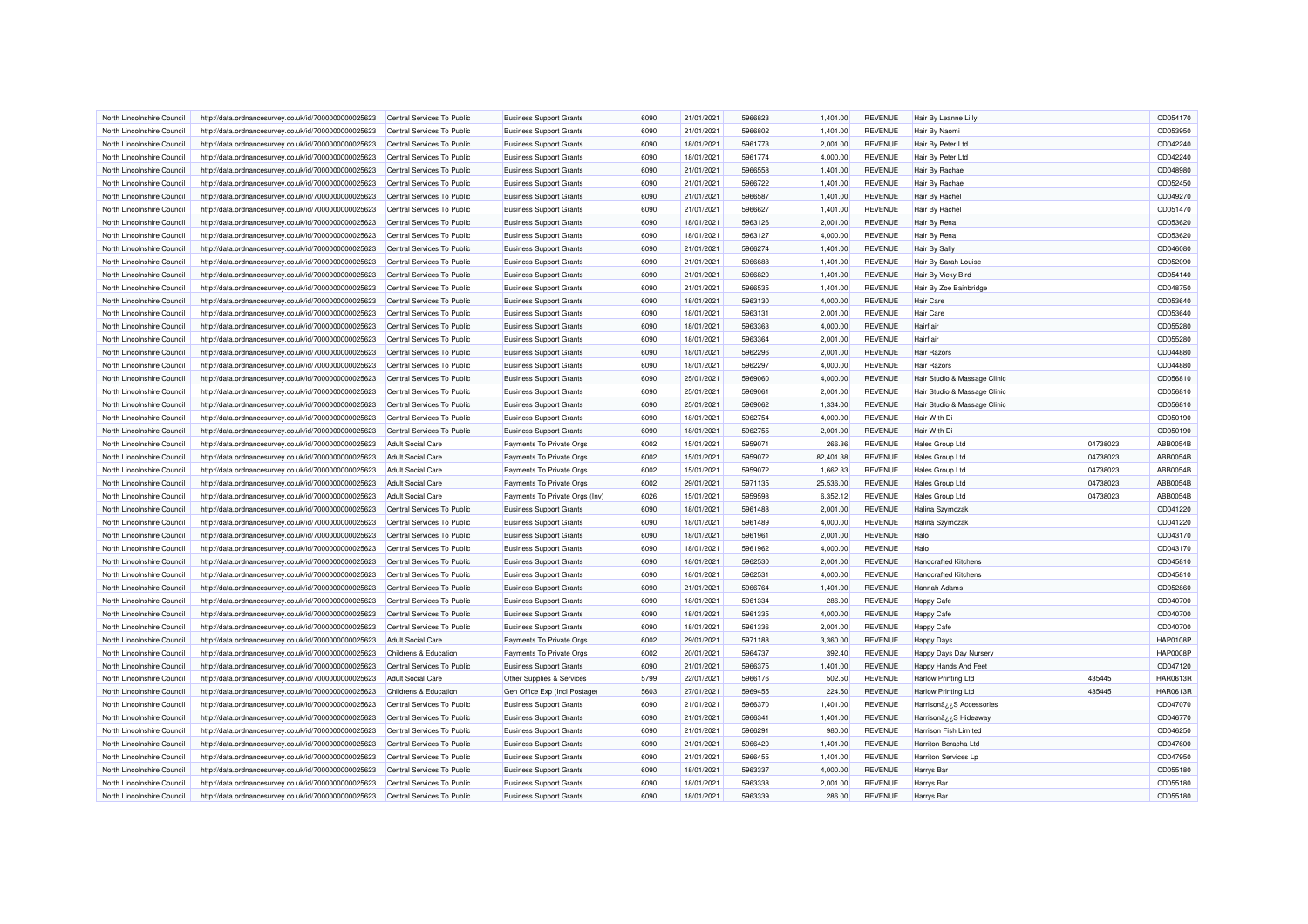| North Lincolnshire Council | http://data.ordnancesurvey.co.uk/id/7000000000025623 | Central Services To Public | <b>Business Support Grants</b> | 6090 | 21/01/2021 | 5966823 | 1,401.00  | <b>REVENUE</b> | Hair By Leanne Lilly                   |          | CD054170             |
|----------------------------|------------------------------------------------------|----------------------------|--------------------------------|------|------------|---------|-----------|----------------|----------------------------------------|----------|----------------------|
| North Lincolnshire Council | http://data.ordnancesurvey.co.uk/id/7000000000025623 | Central Services To Public | <b>Business Support Grants</b> | 6090 | 21/01/2021 | 5966802 | 1,401.00  | <b>REVENUE</b> | Hair By Naomi                          |          | CD053950             |
| North Lincolnshire Council | http://data.ordnancesurvey.co.uk/id/7000000000025623 | Central Services To Public | <b>Business Support Grants</b> | 6090 | 18/01/2021 | 5961773 | 2,001.00  | <b>REVENUE</b> | Hair By Peter Ltd                      |          | CD042240             |
| North Lincolnshire Council | http://data.ordnancesurvey.co.uk/id/7000000000025623 | Central Services To Public | <b>Business Support Grants</b> | 6090 | 18/01/2021 | 5961774 | 4,000.00  | <b>REVENUE</b> | Hair By Peter Ltd                      |          | CD042240             |
| North Lincolnshire Council | http://data.ordnancesurvey.co.uk/id/7000000000025623 | Central Services To Public | <b>Business Support Grants</b> | 6090 | 21/01/2021 | 5966558 | 1,401.00  | <b>REVENUE</b> | Hair By Rachael                        |          | CD048980             |
| North Lincolnshire Council | http://data.ordnancesurvey.co.uk/id/7000000000025623 | Central Services To Public | <b>Business Support Grants</b> | 6090 | 21/01/2021 | 5966722 | 1,401.00  | <b>REVENUE</b> | <b>Hair By Rachael</b>                 |          | CD052450             |
| North Lincolnshire Council | http://data.ordnancesurvey.co.uk/id/7000000000025623 | Central Services To Public | <b>Business Support Grants</b> | 6090 | 21/01/2021 | 5966587 | 1,401.00  | <b>REVENUE</b> | <b>Hair By Rachel</b>                  |          | CD049270             |
| North Lincolnshire Council | http://data.ordnancesurvey.co.uk/id/7000000000025623 | Central Services To Public | <b>Business Support Grants</b> | 6090 | 21/01/2021 | 5966627 | 1,401.00  | <b>REVENUE</b> | Hair By Rachel                         |          | CD051470             |
| North Lincolnshire Council | http://data.ordnancesurvey.co.uk/id/7000000000025623 | Central Services To Public | <b>Business Support Grants</b> | 6090 | 18/01/2021 | 5963126 | 2,001.00  | <b>REVENUE</b> | <b>Hair By Rena</b>                    |          | CD053620             |
| North Lincolnshire Council | http://data.ordnancesurvey.co.uk/id/7000000000025623 | Central Services To Public | <b>Business Support Grants</b> | 6090 | 18/01/2021 | 5963127 | 4,000.00  | <b>REVENUE</b> | Hair By Rena                           |          | CD053620             |
| North Lincolnshire Council | http://data.ordnancesurvey.co.uk/id/7000000000025623 | Central Services To Public | <b>Business Support Grants</b> | 6090 | 21/01/2021 | 5966274 | 1,401.00  | <b>REVENUE</b> | <b>Hair By Sally</b>                   |          | CD046080             |
| North Lincolnshire Council | http://data.ordnancesurvey.co.uk/id/7000000000025623 | Central Services To Public | <b>Business Support Grants</b> | 6090 | 21/01/2021 | 5966688 | 1.401.00  | <b>REVENUE</b> | <b>Hair By Sarah Louise</b>            |          | CD052090             |
| North Lincolnshire Council | http://data.ordnancesurvey.co.uk/id/7000000000025623 | Central Services To Public | <b>Business Support Grants</b> | 6090 | 21/01/2021 | 5966820 | 1,401.00  | <b>REVENUE</b> | Hair By Vicky Bird                     |          | CD054140             |
| North Lincolnshire Council | http://data.ordnancesurvey.co.uk/id/7000000000025623 | Central Services To Public | <b>Business Support Grants</b> | 6090 | 21/01/2021 | 5966535 | 1,401.00  | <b>REVENUE</b> | Hair By Zoe Bainbridge                 |          | CD048750             |
| North Lincolnshire Council | http://data.ordnancesurvey.co.uk/id/7000000000025623 | Central Services To Public | <b>Business Support Grants</b> | 6090 | 18/01/2021 | 5963130 | 4,000.00  | <b>REVENUE</b> | <b>Hair Care</b>                       |          | CD053640             |
| North Lincolnshire Council |                                                      | Central Services To Public |                                | 6090 | 18/01/2021 | 5963131 |           | <b>REVENUE</b> | Hair Care                              |          | CD053640             |
|                            | http://data.ordnancesurvey.co.uk/id/7000000000025623 |                            | <b>Business Support Grants</b> |      |            |         | 2,001.00  |                |                                        |          |                      |
| North Lincolnshire Council | http://data.ordnancesurvey.co.uk/id/7000000000025623 | Central Services To Public | <b>Business Support Grants</b> | 6090 | 18/01/2021 | 5963363 | 4,000.00  | <b>REVENUE</b> | Hairflair                              |          | CD055280             |
| North Lincolnshire Council | http://data.ordnancesurvey.co.uk/id/7000000000025623 | Central Services To Public | <b>Business Support Grants</b> | 6090 | 18/01/2021 | 5963364 | 2,001.00  | <b>REVENUE</b> | Hairflair                              |          | CD055280             |
| North Lincolnshire Council | http://data.ordnancesurvey.co.uk/id/7000000000025623 | Central Services To Public | <b>Business Support Grants</b> | 6090 | 18/01/2021 | 5962296 | 2,001.00  | <b>REVENUE</b> | <b>Hair Razors</b>                     |          | CD044880             |
| North Lincolnshire Council | http://data.ordnancesurvey.co.uk/id/7000000000025623 | Central Services To Public | <b>Business Support Grants</b> | 6090 | 18/01/2021 | 5962297 | 4,000.00  | <b>REVENUE</b> | <b>Hair Razors</b>                     |          | CD044880             |
| North Lincolnshire Council | http://data.ordnancesurvey.co.uk/id/7000000000025623 | Central Services To Public | <b>Business Support Grants</b> | 6090 | 25/01/2021 | 5969060 | 4,000.00  | <b>REVENUE</b> | Hair Studio & Massage Clinic           |          | CD056810             |
| North Lincolnshire Council | http://data.ordnancesurvey.co.uk/id/7000000000025623 | Central Services To Public | <b>Business Support Grants</b> | 6090 | 25/01/2021 | 5969061 | 2,001.00  | <b>REVENUE</b> | Hair Studio & Massage Clinic           |          | CD056810             |
| North Lincolnshire Council | http://data.ordnancesurvey.co.uk/id/7000000000025623 | Central Services To Public | <b>Business Support Grants</b> | 6090 | 25/01/2021 | 5969062 | 1,334.00  | <b>REVENUE</b> | Hair Studio & Massage Clinic           |          | CD056810             |
| North Lincolnshire Council | http://data.ordnancesurvey.co.uk/id/7000000000025623 | Central Services To Public | <b>Business Support Grants</b> | 6090 | 18/01/2021 | 5962754 | 4,000.00  | <b>REVENUE</b> | Hair With Di                           |          | CD050190             |
| North Lincolnshire Council | http://data.ordnancesurvey.co.uk/id/7000000000025623 | Central Services To Public | <b>Business Support Grants</b> | 6090 | 18/01/2021 | 5962755 | 2,001.00  | <b>REVENUE</b> | Hair With Di                           |          | CD050190             |
| North Lincolnshire Council | http://data.ordnancesurvey.co.uk/id/7000000000025623 | <b>Adult Social Care</b>   | Payments To Private Orgs       | 6002 | 15/01/2021 | 5959071 | 266.36    | <b>REVENUE</b> | Hales Group Ltd                        | 04738023 | ABB0054B             |
| North Lincolnshire Council | http://data.ordnancesurvey.co.uk/id/7000000000025623 | <b>Adult Social Care</b>   | Payments To Private Orgs       | 6002 | 15/01/2021 | 5959072 | 82,401.38 | <b>REVENUE</b> | <b>Hales Group Ltd</b>                 | 04738023 | ABB0054E             |
|                            |                                                      |                            |                                |      |            |         |           |                |                                        |          |                      |
| North Lincolnshire Council | http://data.ordnancesurvey.co.uk/id/7000000000025623 | <b>Adult Social Care</b>   | Payments To Private Orgs       | 6002 | 15/01/2021 | 5959072 | 1,662.33  | <b>REVENUE</b> | <b>Hales Group Ltd</b>                 | 04738023 | ABB0054B             |
| North Lincolnshire Council | http://data.ordnancesurvey.co.uk/id/7000000000025623 | <b>Adult Social Care</b>   | Payments To Private Orgs       | 6002 | 29/01/2021 | 5971135 | 25,536.00 | <b>REVENUE</b> | Hales Group Ltd                        | 04738023 | ABB0054B             |
| North Lincolnshire Council | http://data.ordnancesurvey.co.uk/id/7000000000025623 | <b>Adult Social Care</b>   | Payments To Private Orgs (Inv) | 6026 | 15/01/2021 | 5959598 | 6,352.12  | <b>REVENUE</b> | <b>Hales Group Ltd</b>                 | 04738023 | ABB0054B             |
| North Lincolnshire Council | http://data.ordnancesurvey.co.uk/id/7000000000025623 | Central Services To Public | <b>Business Support Grants</b> | 6090 | 18/01/2021 | 5961488 | 2,001.00  | <b>REVENUE</b> | Halina Szymczak                        |          | CD041220             |
| North Lincolnshire Council | http://data.ordnancesurvey.co.uk/id/7000000000025623 | Central Services To Public | <b>Business Support Grants</b> | 6090 | 18/01/2021 | 5961489 | 4,000.00  | <b>REVENUE</b> | <b>Halina Szymczak</b>                 |          | CD041220             |
| North Lincolnshire Council |                                                      | Central Services To Public |                                | 6090 | 18/01/2021 | 5961961 |           | <b>REVENUE</b> | Halo                                   |          | CD043170             |
| North Lincolnshire Council | http://data.ordnancesurvey.co.uk/id/7000000000025623 |                            | <b>Business Support Grants</b> | 6090 |            | 5961962 | 2,001.00  |                | Halo                                   |          |                      |
|                            | http://data.ordnancesurvey.co.uk/id/7000000000025623 | Central Services To Public | <b>Business Support Grants</b> |      | 18/01/2021 |         | 4,000.00  | <b>REVENUE</b> |                                        |          | CD043170             |
| North Lincolnshire Council | http://data.ordnancesurvey.co.uk/id/7000000000025623 | Central Services To Public | <b>Business Support Grants</b> | 6090 | 18/01/2021 | 5962530 | 2,001.00  | <b>REVENUE</b> | <b>Handcrafted Kitchens</b>            |          | CD045810             |
| North Lincolnshire Council | http://data.ordnancesurvey.co.uk/id/7000000000025623 | Central Services To Public | <b>Business Support Grants</b> | 6090 | 18/01/2021 | 5962531 | 4,000.00  | <b>REVENUE</b> | <b>Handcrafted Kitchens</b>            |          | CD045810             |
| North Lincolnshire Council | http://data.ordnancesurvey.co.uk/id/7000000000025623 | Central Services To Public | <b>Business Support Grants</b> | 6090 | 21/01/2021 | 5966764 | 1,401.00  | <b>REVENUE</b> | Hannah Adams                           |          | CD052860             |
| North Lincolnshire Council | http://data.ordnancesurvey.co.uk/id/7000000000025623 | Central Services To Public | <b>Business Support Grants</b> | 6090 | 18/01/2021 | 5961334 | 286.00    | <b>REVENUE</b> | <b>Happy Cafe</b>                      |          | CD040700             |
| North Lincolnshire Council | http://data.ordnancesurvey.co.uk/id/7000000000025623 | Central Services To Public | <b>Business Support Grants</b> | 6090 | 18/01/2021 | 5961335 | 4,000.00  | <b>REVENUE</b> | <b>Happy Cafe</b>                      |          | CD040700             |
| North Lincolnshire Council | http://data.ordnancesurvey.co.uk/id/7000000000025623 | Central Services To Public | <b>Business Support Grants</b> | 6090 | 18/01/2021 | 5961336 | 2,001.00  | <b>REVENUE</b> | Happy Cafe                             |          | CD040700             |
| North Lincolnshire Council | http://data.ordnancesurvey.co.uk/id/7000000000025623 | <b>Adult Social Care</b>   | Payments To Private Orgs       | 6002 | 29/01/2021 | 5971188 | 3,360.00  | <b>REVENUE</b> | <b>Happy Days</b>                      |          | <b>HAP0108F</b>      |
| North Lincolnshire Council | http://data.ordnancesurvey.co.uk/id/7000000000025623 | Childrens & Education      | Payments To Private Orgs       | 6002 | 20/01/2021 | 5964737 | 392.40    | <b>REVENUE</b> | Happy Days Day Nursery                 |          | <b>HAP0008F</b>      |
| North Lincolnshire Council | http://data.ordnancesurvey.co.uk/id/7000000000025623 | Central Services To Public | <b>Business Support Grants</b> | 6090 | 21/01/2021 | 5966375 | 1,401.00  | <b>REVENUE</b> | Happy Hands And Feet                   |          | CD047120             |
| North Lincolnshire Council | http://data.ordnancesurvey.co.uk/id/7000000000025623 | <b>Adult Social Care</b>   | Other Supplies & Services      | 5799 | 22/01/2021 | 5966176 | 502.50    | <b>REVENUE</b> | <b>Harlow Printing Ltd</b>             | 435445   | <b>HAR0613R</b>      |
| North Lincolnshire Council | http://data.ordnancesurvey.co.uk/id/7000000000025623 | Childrens & Education      | Gen Office Exp (Incl Postage)  | 5603 | 27/01/2021 | 5969455 | 224.50    | <b>REVENUE</b> | <b>Harlow Printing Ltd</b>             | 435445   | <b>HAR0613R</b>      |
| North Lincolnshire Council | http://data.ordnancesurvey.co.uk/id/7000000000025623 | Central Services To Public | <b>Business Support Grants</b> | 6090 | 21/01/2021 | 5966370 | 1,401.00  | <b>REVENUE</b> | Harrisonâ <sub>cc</sub> 'S Accessories |          | CD047070             |
| North Lincolnshire Council | http://data.ordnancesurvey.co.uk/id/7000000000025623 | Central Services To Public | <b>Business Support Grants</b> | 6090 | 21/01/2021 | 5966341 | 1,401.00  | <b>REVENUE</b> | Harrisonâ¿¿S Hideawa                   |          | CD046770             |
| North Lincolnshire Council | http://data.ordnancesurvey.co.uk/id/7000000000025623 | Central Services To Public | <b>Business Support Grants</b> | 6090 | 21/01/2021 | 5966291 | 980.00    | <b>REVENUE</b> | Harrison Fish Limited                  |          | CD046250             |
| North Lincolnshire Council | http://data.ordnancesurvey.co.uk/id/7000000000025623 | Central Services To Public | <b>Business Support Grants</b> | 6090 | 21/01/2021 | 5966420 | 1,401.00  | <b>REVENUE</b> | Harriton Beracha Ltd                   |          | CD047600             |
| North Lincolnshire Council | http://data.ordnancesurvey.co.uk/id/7000000000025623 | Central Services To Public | <b>Business Support Grants</b> | 6090 | 21/01/2021 | 5966455 | 1,401.00  | <b>REVENUE</b> | <b>Harriton Services Lp</b>            |          | CD047950             |
| North Lincolnshire Council | http://data.ordnancesurvey.co.uk/id/7000000000025623 | Central Services To Public | <b>Business Support Grants</b> | 6090 | 18/01/2021 | 5963337 | 4,000.00  | <b>REVENUE</b> | <b>Harrys Bar</b>                      |          | CD055180             |
| North Lincolnshire Council | http://data.ordnancesurvey.co.uk/id/7000000000025623 | Central Services To Public | <b>Business Support Grants</b> | 6090 | 18/01/2021 | 5963338 | 2,001.00  | <b>REVENUE</b> | Harrys Bar                             |          | CD055180<br>CD055180 |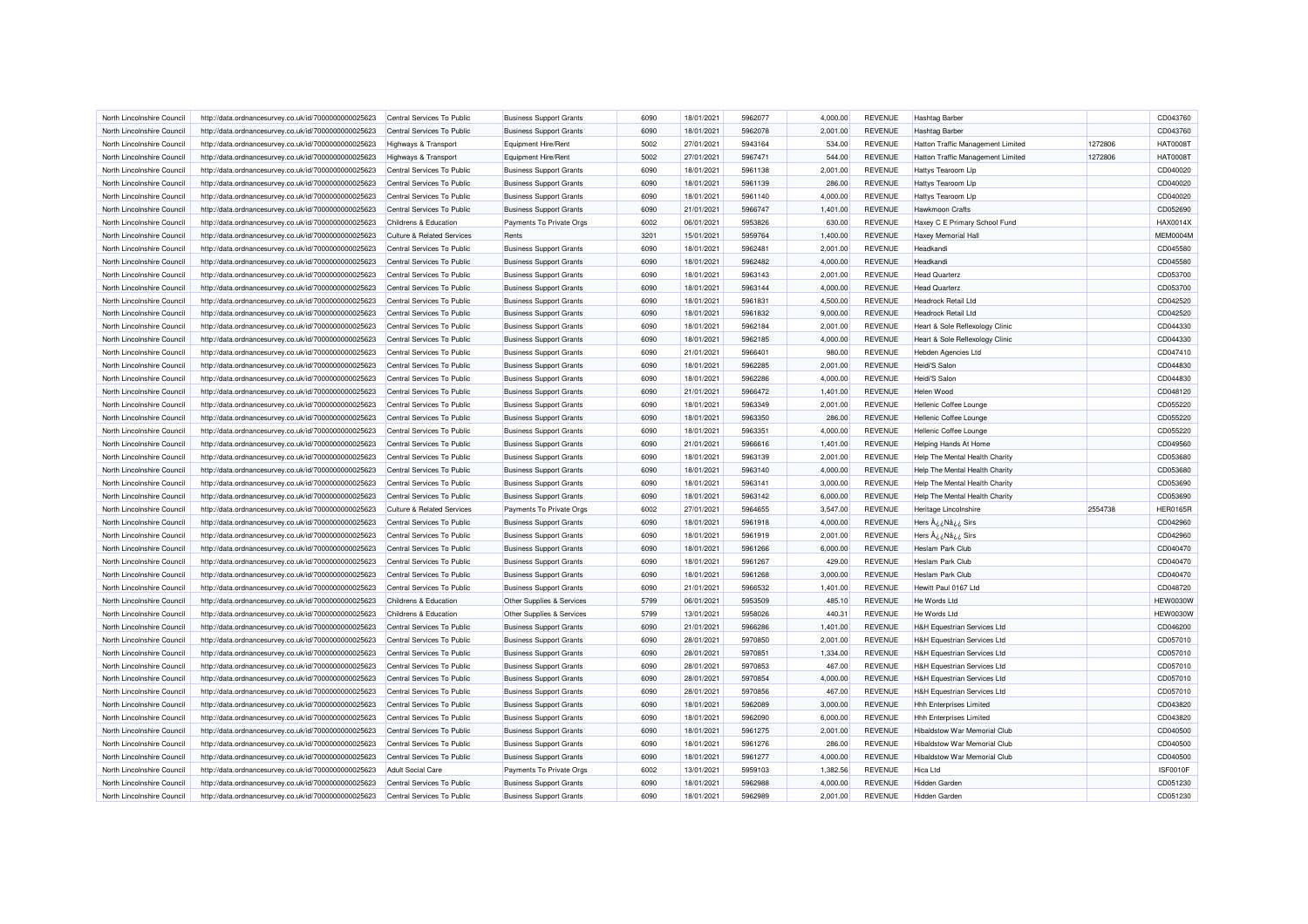| North Lincolnshire Council | http://data.ordnancesurvey.co.uk/id/7000000000025623 | Central Services To Public            | <b>Business Support Grants</b> | 6090 | 18/01/2021 | 5962077 | 4,000.00 | REVENUE        | <b>Hashtag Barber</b>                  |         | CD043760        |
|----------------------------|------------------------------------------------------|---------------------------------------|--------------------------------|------|------------|---------|----------|----------------|----------------------------------------|---------|-----------------|
| North Lincolnshire Council | http://data.ordnancesurvey.co.uk/id/7000000000025623 | Central Services To Public            | <b>Business Support Grants</b> | 6090 | 18/01/2021 | 5962078 | 2,001.00 | <b>REVENUE</b> | <b>Hashtag Barber</b>                  |         | CD043760        |
| North Lincolnshire Council | http://data.ordnancesurvey.co.uk/id/7000000000025623 | Highways & Transport                  | Equipment Hire/Rent            | 5002 | 27/01/2021 | 5943164 | 534.00   | <b>REVENUE</b> | Hatton Traffic Management Limited      | 1272806 | <b>HAT00081</b> |
| North Lincolnshire Council | http://data.ordnancesurvey.co.uk/id/7000000000025623 | <b>Highways &amp; Transport</b>       | Equipment Hire/Rent            | 5002 | 27/01/2021 | 5967471 | 544.00   | <b>REVENUE</b> | Hatton Traffic Management Limited      | 1272806 | <b>HAT0008T</b> |
| North Lincolnshire Council | http://data.ordnancesurvey.co.uk/id/7000000000025623 | Central Services To Public            | <b>Business Support Grants</b> | 6090 | 18/01/2021 | 5961138 | 2,001.00 | <b>REVENUE</b> | Hattys Tearoom Lip                     |         | CD040020        |
| North Lincolnshire Council | http://data.ordnancesurvey.co.uk/id/7000000000025623 | Central Services To Public            | <b>Business Support Grants</b> | 6090 | 18/01/2021 | 5961139 | 286.00   | <b>REVENUE</b> | Hattys Tearoom Llp                     |         | CD040020        |
| North Lincolnshire Council | http://data.ordnancesurvey.co.uk/id/7000000000025623 | Central Services To Public            | <b>Business Support Grants</b> | 6090 | 18/01/2021 | 5961140 | 4,000.00 | <b>REVENUE</b> | Hattys Tearoom Lip                     |         | CD040020        |
| North Lincolnshire Council | http://data.ordnancesurvey.co.uk/id/7000000000025623 | Central Services To Public            | <b>Business Support Grants</b> | 6090 | 21/01/2021 | 5966747 | 1,401.00 | <b>REVENUE</b> | <b>Hawkmoon Crafts</b>                 |         | CD052690        |
| North Lincolnshire Council | http://data.ordnancesurvey.co.uk/id/7000000000025623 | Childrens & Education                 | Payments To Private Orgs       | 6002 | 06/01/2021 | 5953826 | 630.00   | <b>REVENUE</b> | Haxey C E Primary School Fund          |         | HAX0014X        |
| North Lincolnshire Council | http://data.ordnancesurvey.co.uk/id/7000000000025623 | <b>Culture &amp; Related Services</b> | Rents                          | 3201 | 15/01/2021 | 5959764 | 1,400.00 | <b>REVENUE</b> | Haxey Memorial Hal                     |         | MEM0004M        |
| North Lincolnshire Council | http://data.ordnancesurvey.co.uk/id/7000000000025623 | Central Services To Public            | <b>Business Support Grants</b> | 6090 | 18/01/2021 | 5962481 | 2,001.00 | <b>REVENUE</b> | Headkandi                              |         | CD045580        |
| North Lincolnshire Council | http://data.ordnancesurvey.co.uk/id/7000000000025623 | Central Services To Public            | <b>Business Support Grants</b> | 6090 | 18/01/2021 | 5962482 | 4,000.00 | <b>REVENUE</b> | Headkandi                              |         | CD045580        |
| North Lincolnshire Council | http://data.ordnancesurvey.co.uk/id/7000000000025623 | Central Services To Public            | <b>Business Support Grants</b> | 6090 | 18/01/2021 | 5963143 | 2,001.00 | <b>REVENUE</b> | <b>Head Quarterz</b>                   |         | CD053700        |
| North Lincolnshire Council | http://data.ordnancesurvey.co.uk/id/7000000000025623 | Central Services To Public            | <b>Business Support Grants</b> | 6090 | 18/01/2021 | 5963144 | 4,000.00 | <b>REVENUE</b> | <b>Head Quarterz</b>                   |         | CD053700        |
| North Lincolnshire Council | http://data.ordnancesurvey.co.uk/id/7000000000025623 | Central Services To Public            | <b>Business Support Grants</b> | 6090 | 18/01/2021 | 5961831 | 4,500.00 | <b>REVENUE</b> | <b>Headrock Retail Ltd</b>             |         | CD042520        |
| North Lincolnshire Council | http://data.ordnancesurvey.co.uk/id/7000000000025623 | Central Services To Public            | <b>Business Support Grants</b> | 6090 | 18/01/2021 | 5961832 | 9,000.00 | <b>REVENUE</b> | <b>Headrock Retail Ltd</b>             |         | CD042520        |
| North Lincolnshire Council | http://data.ordnancesurvey.co.uk/id/7000000000025623 | Central Services To Public            | <b>Business Support Grants</b> | 6090 | 18/01/2021 | 5962184 | 2,001.00 | <b>REVENUE</b> | Heart & Sole Reflexology Clinic        |         | CD044330        |
| North Lincolnshire Council | http://data.ordnancesurvey.co.uk/id/7000000000025623 | Central Services To Public            | <b>Business Support Grants</b> | 6090 | 18/01/2021 | 5962185 | 4,000.00 | <b>REVENUE</b> | Heart & Sole Reflexology Clinic        |         | CD044330        |
|                            |                                                      |                                       |                                |      |            |         |          |                |                                        |         |                 |
| North Lincolnshire Council | http://data.ordnancesurvey.co.uk/id/7000000000025623 | Central Services To Public            | <b>Business Support Grants</b> | 6090 | 21/01/2021 | 5966401 | 980.00   | <b>REVENUE</b> | <b>Hebden Agencies Ltd</b>             |         | CD047410        |
| North Lincolnshire Council | http://data.ordnancesurvey.co.uk/id/7000000000025623 | Central Services To Public            | <b>Business Support Grants</b> | 6090 | 18/01/2021 | 5962285 | 2,001.00 | <b>REVENUE</b> | Heidi'S Salon                          |         | CD044830        |
| North Lincolnshire Council | http://data.ordnancesurvey.co.uk/id/7000000000025623 | Central Services To Public            | <b>Business Support Grants</b> | 6090 | 18/01/2021 | 5962286 | 4,000.00 | <b>REVENUE</b> | Heidi'S Salon                          |         | CD044830        |
| North Lincolnshire Council | http://data.ordnancesurvey.co.uk/id/7000000000025623 | Central Services To Public            | <b>Business Support Grants</b> | 6090 | 21/01/2021 | 5966472 | 1,401.00 | <b>REVENUE</b> | Helen Wood                             |         | CD048120        |
| North Lincolnshire Council | http://data.ordnancesurvey.co.uk/id/7000000000025623 | Central Services To Public            | <b>Business Support Grants</b> | 6090 | 18/01/2021 | 5963349 | 2.001.00 | <b>REVENUE</b> | <b>Hellenic Coffee Lounge</b>          |         | CD055220        |
| North Lincolnshire Council | http://data.ordnancesurvey.co.uk/id/7000000000025623 | Central Services To Public            | <b>Business Support Grants</b> | 6090 | 18/01/2021 | 5963350 | 286.00   | <b>REVENUE</b> | Hellenic Coffee Lounge                 |         | CD055220        |
| North Lincolnshire Council | http://data.ordnancesurvey.co.uk/id/7000000000025623 | Central Services To Public            | <b>Business Support Grants</b> | 6090 | 18/01/2021 | 5963351 | 4,000.00 | <b>REVENUE</b> | Hellenic Coffee Lounge                 |         | CD055220        |
| North Lincolnshire Council | http://data.ordnancesurvey.co.uk/id/7000000000025623 | Central Services To Public            | <b>Business Support Grants</b> | 6090 | 21/01/2021 | 5966616 | 1,401.00 | <b>REVENUE</b> | Helping Hands At Home                  |         | CD049560        |
| North Lincolnshire Council | http://data.ordnancesurvey.co.uk/id/7000000000025623 | Central Services To Public            | <b>Business Support Grants</b> | 6090 | 18/01/2021 | 5963139 | 2,001.00 | <b>REVENUE</b> | Help The Mental Health Charity         |         | CD053680        |
| North Lincolnshire Council | http://data.ordnancesurvey.co.uk/id/7000000000025623 | Central Services To Public            | <b>Business Support Grants</b> | 6090 | 18/01/2021 | 5963140 | 4,000.00 | <b>REVENUE</b> | Help The Mental Health Charity         |         | CD053680        |
| North Lincolnshire Council | http://data.ordnancesurvey.co.uk/id/7000000000025623 | Central Services To Public            | <b>Business Support Grants</b> | 6090 | 18/01/2021 | 5963141 | 3,000.00 | <b>REVENUE</b> | Help The Mental Health Charity         |         | CD053690        |
| North Lincolnshire Council | http://data.ordnancesurvey.co.uk/id/7000000000025623 | Central Services To Public            | <b>Business Support Grants</b> | 6090 | 18/01/2021 | 5963142 | 6,000.00 | <b>REVENUE</b> | Help The Mental Health Charity         |         | CD053690        |
| North Lincolnshire Council | http://data.ordnancesurvey.co.uk/id/7000000000025623 | <b>Culture &amp; Related Services</b> | Payments To Private Orgs       | 6002 | 27/01/2021 | 5964655 | 3,547.00 | <b>REVENUE</b> | Heritage Lincolnshire                  | 2554738 | <b>HER0165R</b> |
| North Lincolnshire Council | http://data.ordnancesurvey.co.uk/id/7000000000025623 | Central Services To Public            | <b>Business Support Grants</b> | 6090 | 18/01/2021 | 5961918 | 4,000.00 | <b>REVENUE</b> | Hers  i ¿Nâ i ¿ Sirs                   |         | CD042960        |
| North Lincolnshire Council | http://data.ordnancesurvey.co.uk/id/7000000000025623 | Central Services To Public            | <b>Business Support Grants</b> | 6090 | 18/01/2021 | 5961919 | 2,001.00 | <b>REVENUE</b> | Hers ¿¿Nâ¿¿ Sirs                       |         | CD042960        |
| North Lincolnshire Council | http://data.ordnancesurvey.co.uk/id/7000000000025623 | Central Services To Public            | <b>Business Support Grants</b> | 6090 | 18/01/2021 | 5961266 | 6,000.00 | <b>REVENUE</b> | Heslam Park Club                       |         | CD040470        |
| North Lincolnshire Council | http://data.ordnancesurvey.co.uk/id/7000000000025623 | Central Services To Public            | <b>Business Support Grants</b> | 6090 | 18/01/2021 | 5961267 | 429.00   | <b>REVENUE</b> | <b>Heslam Park Club</b>                |         | CD040470        |
| North Lincolnshire Council | http://data.ordnancesurvey.co.uk/id/7000000000025623 | Central Services To Public            | <b>Business Support Grants</b> | 6090 | 18/01/2021 | 5961268 | 3,000.00 | <b>REVENUE</b> | Heslam Park Club                       |         | CD040470        |
| North Lincolnshire Council | http://data.ordnancesurvey.co.uk/id/7000000000025623 | Central Services To Public            | <b>Business Support Grants</b> | 6090 | 21/01/2021 | 5966532 | 1,401.00 | <b>REVENUE</b> | Hewitt Paul 0167 Ltd                   |         | CD048720        |
| North Lincolnshire Council | http://data.ordnancesurvey.co.uk/id/7000000000025623 | Childrens & Education                 | Other Supplies & Services      | 5799 | 06/01/2021 | 5953509 | 485.10   | <b>REVENUE</b> | He Words Ltd                           |         | <b>HEW0030W</b> |
| North Lincolnshire Council | http://data.ordnancesurvey.co.uk/id/7000000000025623 | Childrens & Education                 | Other Supplies & Services      | 5799 | 13/01/2021 | 5958026 | 440.31   | <b>REVENUE</b> | He Words Ltd                           |         | <b>HEW0030W</b> |
| North Lincolnshire Council | http://data.ordnancesurvey.co.uk/id/7000000000025623 | Central Services To Public            | <b>Business Support Grants</b> | 6090 | 21/01/2021 | 5966286 | 1,401.00 | <b>REVENUE</b> | <b>H&amp;H Equestrian Services Ltd</b> |         | CD046200        |
| North Lincolnshire Council | http://data.ordnancesurvey.co.uk/id/7000000000025623 | Central Services To Public            | <b>Business Support Grants</b> | 6090 | 28/01/2021 | 5970850 | 2,001.00 | <b>REVENUE</b> | <b>H&amp;H Equestrian Services Ltd</b> |         | CD057010        |
| North Lincolnshire Council | http://data.ordnancesurvey.co.uk/id/7000000000025623 | Central Services To Public            | <b>Business Support Grants</b> | 6090 | 28/01/2021 | 5970851 | 1,334.00 | <b>REVENUE</b> | <b>H&amp;H Equestrian Services Ltd</b> |         | CD057010        |
| North Lincolnshire Council | http://data.ordnancesurvey.co.uk/id/7000000000025623 | Central Services To Public            | <b>Business Support Grants</b> | 6090 | 28/01/2021 | 5970853 | 467.00   | <b>REVENUE</b> | <b>H&amp;H Equestrian Services Ltd</b> |         | CD057010        |
| North Lincolnshire Council | http://data.ordnancesurvey.co.uk/id/7000000000025623 | Central Services To Public            | <b>Business Support Grants</b> | 6090 | 28/01/2021 | 5970854 | 4,000.00 | <b>REVENUE</b> | <b>H&amp;H Equestrian Services Ltd</b> |         | CD057010        |
| North Lincolnshire Council | http://data.ordnancesurvey.co.uk/id/7000000000025623 | Central Services To Public            | <b>Business Support Grants</b> | 6090 | 28/01/2021 | 5970856 | 467.00   | <b>REVENUE</b> | <b>H&amp;H Equestrian Services Ltd</b> |         | CD057010        |
| North Lincolnshire Council | http://data.ordnancesurvey.co.uk/id/7000000000025623 | Central Services To Public            | <b>Business Support Grants</b> | 6090 | 18/01/2021 | 5962089 | 3,000.00 | <b>REVENUE</b> | <b>Hhh Enterprises Limited</b>         |         | CD043820        |
| North Lincolnshire Council | http://data.ordnancesurvey.co.uk/id/7000000000025623 | Central Services To Public            | <b>Business Support Grants</b> | 6090 | 18/01/2021 | 5962090 | 6,000.00 | <b>REVENUE</b> | <b>Hhh Enterprises Limited</b>         |         | CD043820        |
| North Lincolnshire Council | http://data.ordnancesurvey.co.uk/id/7000000000025623 | Central Services To Public            | <b>Business Support Grants</b> | 6090 | 18/01/2021 | 5961275 | 2,001.00 | <b>REVENUE</b> | Hibaldstow War Memorial Club           |         | CD040500        |
| North Lincolnshire Council | http://data.ordnancesurvey.co.uk/id/7000000000025623 | Central Services To Public            | <b>Business Support Grants</b> | 6090 | 18/01/2021 | 5961276 | 286.00   | <b>REVENUE</b> | Hibaldstow War Memorial Club           |         | CD040500        |
| North Lincolnshire Council | http://data.ordnancesurvey.co.uk/id/7000000000025623 | Central Services To Public            | <b>Business Support Grants</b> | 6090 | 18/01/2021 | 5961277 | 4,000.00 | <b>REVENUE</b> | Hibaldstow War Memorial Club           |         | CD040500        |
| North Lincolnshire Council | http://data.ordnancesurvey.co.uk/id/7000000000025623 | <b>Adult Social Care</b>              | Payments To Private Orgs       | 6002 | 13/01/2021 | 5959103 | 1,382.56 | <b>REVENUE</b> | Hica I td                              |         | ISF0010F        |
| North Lincolnshire Council | http://data.ordnancesurvey.co.uk/id/7000000000025623 | Central Services To Public            | <b>Business Support Grants</b> | 6090 | 18/01/2021 | 5962988 | 4,000.00 | <b>REVENUE</b> | <b>Hidden Garden</b>                   |         | CD051230        |
| North Lincolnshire Council | http://data.ordnancesurvey.co.uk/id/7000000000025623 | Central Services To Public            | <b>Business Support Grants</b> | 6090 | 18/01/2021 | 5962989 | 2,001.00 | <b>REVENUE</b> | <b>Hidden Garden</b>                   |         | CD051230        |
|                            |                                                      |                                       |                                |      |            |         |          |                |                                        |         |                 |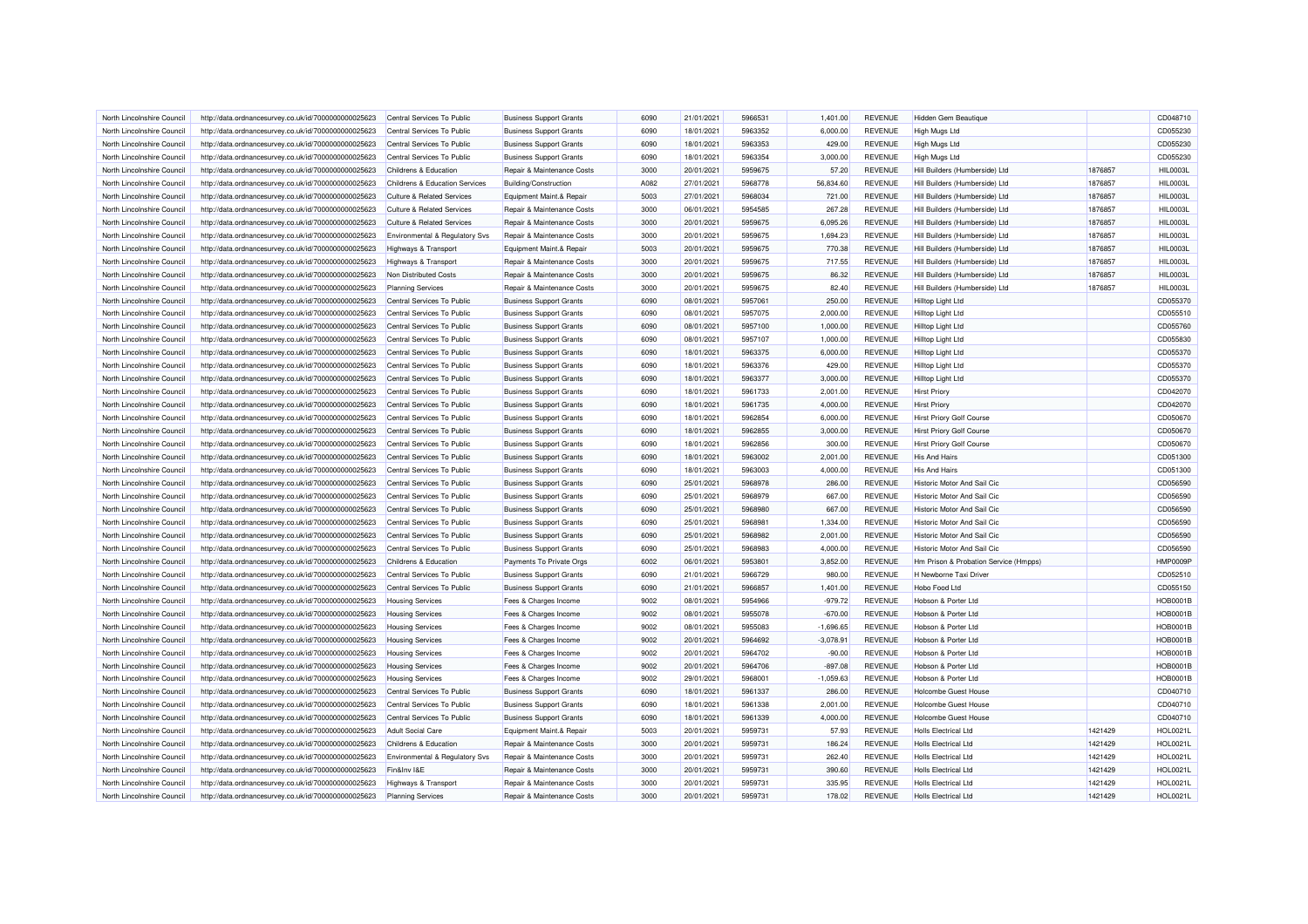| North Lincolnshire Council | http://data.ordnancesurvey.co.uk/id/7000000000025623 | Central Services To Public            | <b>Business Support Grants</b> | 6090 | 21/01/2021 | 5966531 | 1,401.00    | <b>REVENUE</b> | <b>Hidden Gem Beautique</b>           |         | CD048710        |
|----------------------------|------------------------------------------------------|---------------------------------------|--------------------------------|------|------------|---------|-------------|----------------|---------------------------------------|---------|-----------------|
| North Lincolnshire Council | http://data.ordnancesurvey.co.uk/id/7000000000025623 | Central Services To Public            | <b>Business Support Grants</b> | 6090 | 18/01/2021 | 5963352 | 6,000.00    | <b>REVENUE</b> | High Mugs Ltd                         |         | CD055230        |
| North Lincolnshire Council | http://data.ordnancesurvey.co.uk/id/7000000000025623 | Central Services To Public            | <b>Business Support Grants</b> | 6090 | 18/01/2021 | 5963353 | 429.00      | <b>REVENUE</b> | High Mugs Ltd                         |         | CD055230        |
| North Lincolnshire Council | http://data.ordnancesurvey.co.uk/id/7000000000025623 | Central Services To Public            | <b>Business Support Grants</b> | 6090 | 18/01/2021 | 5963354 | 3,000.00    | <b>REVENUE</b> | High Mugs Ltd                         |         | CD055230        |
| North Lincolnshire Council | http://data.ordnancesurvey.co.uk/id/7000000000025623 | Childrens & Education                 | Repair & Maintenance Costs     | 3000 | 20/01/2021 | 5959675 | 57.20       | <b>REVENUE</b> | Hill Builders (Humberside) Ltd        | 1876857 | <b>HIL0003L</b> |
| North Lincolnshire Council | http://data.ordnancesurvey.co.uk/id/7000000000025623 | Childrens & Education Services        | Building/Construction          | A082 | 27/01/2021 | 5968778 | 56,834.60   | <b>REVENUE</b> | Hill Builders (Humberside) Ltd        | 1876857 | <b>HIL0003L</b> |
| North Lincolnshire Council | http://data.ordnancesurvey.co.uk/id/7000000000025623 | <b>Culture &amp; Related Services</b> | Equipment Maint.& Repair       | 5003 | 27/01/2021 | 5968034 | 721.00      | <b>REVENUE</b> | Hill Builders (Humberside) Ltd        | 1876857 | <b>HIL0003L</b> |
| North Lincolnshire Council | http://data.ordnancesurvey.co.uk/id/7000000000025623 | <b>Culture &amp; Related Services</b> | Repair & Maintenance Costs     | 3000 | 06/01/2021 | 5954585 | 267.28      | <b>REVENUE</b> | Hill Builders (Humberside) Ltd        | 1876857 | <b>HIL0003L</b> |
| North Lincolnshire Council | http://data.ordnancesurvey.co.uk/id/7000000000025623 | <b>Culture &amp; Related Services</b> | Repair & Maintenance Costs     | 3000 | 20/01/2021 | 5959675 | 6,095.26    | <b>REVENUE</b> | Hill Builders (Humberside) Ltd        | 1876857 | <b>HIL0003L</b> |
| North Lincolnshire Council | http://data.ordnancesurvey.co.uk/id/7000000000025623 | Environmental & Regulatory Svs        | Repair & Maintenance Costs     | 3000 | 20/01/2021 | 5959675 | 1,694.23    | <b>REVENUE</b> | Hill Builders (Humberside) Ltd        | 1876857 | <b>HIL0003L</b> |
| North Lincolnshire Council | http://data.ordnancesurvey.co.uk/id/7000000000025623 | <b>Highways &amp; Transport</b>       | Equipment Maint.& Repair       | 5003 | 20/01/2021 | 5959675 | 770.38      | <b>REVENUE</b> | Hill Builders (Humberside) Ltd        | 1876857 | <b>HIL0003L</b> |
| North Lincolnshire Council | http://data.ordnancesurvey.co.uk/id/7000000000025623 | Highways & Transport                  | Repair & Maintenance Costs     | 3000 | 20/01/2021 | 5959675 | 717.55      | <b>REVENUE</b> | Hill Builders (Humberside) Ltd        | 1876857 | <b>HIL0003L</b> |
| North Lincolnshire Council |                                                      | Non Distributed Costs                 | Repair & Maintenance Costs     | 3000 | 20/01/2021 | 5959675 | 86.32       | <b>REVENUE</b> | Hill Builders (Humberside) Ltd        | 1876857 | <b>HIL0003L</b> |
|                            | http://data.ordnancesurvey.co.uk/id/7000000000025623 |                                       |                                |      |            |         |             |                |                                       |         |                 |
| North Lincolnshire Council | http://data.ordnancesurvey.co.uk/id/7000000000025623 | <b>Planning Services</b>              | Repair & Maintenance Costs     | 3000 | 20/01/2021 | 5959675 | 82.40       | <b>REVENUE</b> | Hill Builders (Humberside) Ltd        | 1876857 | <b>HIL0003L</b> |
| North Lincolnshire Council | http://data.ordnancesurvey.co.uk/id/7000000000025623 | Central Services To Public            | <b>Business Support Grants</b> | 6090 | 08/01/2021 | 5957061 | 250.00      | <b>REVENUE</b> | Hilltop Light Ltd                     |         | CD055370        |
| North Lincolnshire Council | http://data.ordnancesurvey.co.uk/id/7000000000025623 | Central Services To Public            | <b>Business Support Grants</b> | 6090 | 08/01/2021 | 5957075 | 2,000.00    | <b>REVENUE</b> | Hilltop Light Ltd                     |         | CD055510        |
| North Lincolnshire Council | http://data.ordnancesurvey.co.uk/id/7000000000025623 | Central Services To Public            | <b>Business Support Grants</b> | 6090 | 08/01/2021 | 5957100 | 1,000.00    | <b>REVENUE</b> | <b>Hilltop Light Ltd</b>              |         | CD055760        |
| North Lincolnshire Council | http://data.ordnancesurvey.co.uk/id/7000000000025623 | Central Services To Public            | <b>Business Support Grants</b> | 6090 | 08/01/2021 | 5957107 | 1,000.00    | <b>REVENUE</b> | <b>Hilltop Light Ltd</b>              |         | CD055830        |
| North Lincolnshire Council | http://data.ordnancesurvey.co.uk/id/7000000000025623 | Central Services To Public            | <b>Business Support Grants</b> | 6090 | 18/01/2021 | 5963375 | 6,000.00    | <b>REVENUE</b> | <b>Hilltop Light Ltd</b>              |         | CD055370        |
| North Lincolnshire Council | http://data.ordnancesurvey.co.uk/id/7000000000025623 | Central Services To Public            | <b>Business Support Grants</b> | 6090 | 18/01/2021 | 5963376 | 429.00      | <b>REVENUE</b> | <b>Hilltop Light Ltd</b>              |         | CD055370        |
| North Lincolnshire Council | http://data.ordnancesurvey.co.uk/id/7000000000025623 | Central Services To Public            | <b>Business Support Grants</b> | 6090 | 18/01/2021 | 5963377 | 3,000.00    | REVENUE        | <b>Hilltop Light Ltd</b>              |         | CD055370        |
| North Lincolnshire Council | http://data.ordnancesurvey.co.uk/id/7000000000025623 | Central Services To Public            | <b>Business Support Grants</b> | 6090 | 18/01/2021 | 5961733 | 2,001.00    | <b>REVENUE</b> | <b>Hirst Priory</b>                   |         | CD042070        |
| North Lincolnshire Council | http://data.ordnancesurvey.co.uk/id/7000000000025623 | Central Services To Public            | <b>Business Support Grants</b> | 6090 | 18/01/2021 | 5961735 | 4,000.00    | <b>REVENUE</b> | <b>Hirst Priory</b>                   |         | CD042070        |
| North Lincolnshire Council | http://data.ordnancesurvey.co.uk/id/7000000000025623 | Central Services To Public            | <b>Business Support Grants</b> | 6090 | 18/01/2021 | 5962854 | 6,000.00    | <b>REVENUE</b> | <b>Hirst Priory Golf Course</b>       |         | CD050670        |
| North Lincolnshire Council | http://data.ordnancesurvey.co.uk/id/7000000000025623 | Central Services To Public            | <b>Business Support Grants</b> | 6090 | 18/01/2021 | 5962855 | 3.000.00    | <b>REVENUE</b> | <b>Hirst Priory Golf Course</b>       |         | CD050670        |
| North Lincolnshire Council | http://data.ordnancesurvey.co.uk/id/7000000000025623 | Central Services To Public            | <b>Business Support Grants</b> | 6090 | 18/01/2021 | 5962856 | 300.00      | <b>REVENUE</b> | <b>Hirst Priory Golf Course</b>       |         | CD050670        |
| North Lincolnshire Council | http://data.ordnancesurvey.co.uk/id/7000000000025623 | Central Services To Public            | <b>Business Support Grants</b> | 6090 | 18/01/2021 | 5963002 | 2,001.00    | <b>REVENUE</b> | <b>His And Hairs</b>                  |         | CD051300        |
| North Lincolnshire Council | http://data.ordnancesurvey.co.uk/id/7000000000025623 | Central Services To Public            | <b>Business Support Grants</b> | 6090 | 18/01/2021 | 5963003 | 4,000.00    | <b>REVENUE</b> | <b>His And Hairs</b>                  |         | CD051300        |
| North Lincolnshire Council | http://data.ordnancesurvey.co.uk/id/7000000000025623 | Central Services To Public            | <b>Business Support Grants</b> | 6090 | 25/01/2021 | 5968978 | 286.00      | <b>REVENUE</b> | Historic Motor And Sail Cic           |         | CD056590        |
| North Lincolnshire Council | http://data.ordnancesurvey.co.uk/id/7000000000025623 | Central Services To Public            | <b>Business Support Grants</b> | 6090 | 25/01/2021 | 5968979 | 667.00      | <b>REVENUE</b> | Historic Motor And Sail Cic           |         | CD056590        |
| North Lincolnshire Council | http://data.ordnancesurvey.co.uk/id/7000000000025623 | Central Services To Public            | <b>Business Support Grants</b> | 6090 | 25/01/2021 | 5968980 | 667.00      | <b>REVENUE</b> | Historic Motor And Sail Cic           |         | CD056590        |
| North Lincolnshire Council | http://data.ordnancesurvey.co.uk/id/7000000000025623 | Central Services To Public            | <b>Business Support Grants</b> | 6090 | 25/01/2021 | 5968981 | 1,334.00    | <b>REVENUE</b> | Historic Motor And Sail Cic           |         | CD056590        |
| North Lincolnshire Council |                                                      | Central Services To Public            | <b>Business Support Grants</b> | 6090 | 25/01/2021 | 5968982 | 2,001.00    | <b>REVENUE</b> | Historic Motor And Sail Cic           |         | CD056590        |
|                            | http://data.ordnancesurvey.co.uk/id/7000000000025623 |                                       |                                |      |            |         |             |                |                                       |         |                 |
| North Lincolnshire Council | http://data.ordnancesurvey.co.uk/id/7000000000025623 | Central Services To Public            | <b>Business Support Grants</b> | 6090 | 25/01/2021 | 5968983 | 4,000.00    | <b>REVENUE</b> | Historic Motor And Sail Cic           |         | CD056590        |
| North Lincolnshire Council | http://data.ordnancesurvey.co.uk/id/7000000000025623 | Childrens & Education                 | Payments To Private Orgs       | 6002 | 06/01/2021 | 5953801 | 3,852.00    | <b>REVENUE</b> | Hm Prison & Probation Service (Hmpps) |         | HMP0009F        |
| North Lincolnshire Council | http://data.ordnancesurvey.co.uk/id/7000000000025623 | Central Services To Public            | <b>Business Support Grants</b> | 6090 | 21/01/2021 | 5966729 | 980.00      | <b>REVENUE</b> | H Newborne Taxi Driver                |         | CD052510        |
| North Lincolnshire Council | http://data.ordnancesurvey.co.uk/id/7000000000025623 | Central Services To Public            | <b>Business Support Grants</b> | 6090 | 21/01/2021 | 5966857 | 1,401.00    | <b>REVENUE</b> | Hobo Food Ltd                         |         | CD055150        |
| North Lincolnshire Council | http://data.ordnancesurvey.co.uk/id/7000000000025623 | <b>Housing Services</b>               | Fees & Charges Income          | 9002 | 08/01/2021 | 5954966 | $-979.72$   | <b>REVENUE</b> | Hobson & Porter Ltd                   |         | <b>HOB0001B</b> |
| North Lincolnshire Council | http://data.ordnancesurvey.co.uk/id/7000000000025623 | <b>Housing Services</b>               | Fees & Charges Income          | 9002 | 08/01/2021 | 5955078 | $-670.00$   | <b>REVENUE</b> | Hobson & Porter Ltd                   |         | <b>HOB0001B</b> |
| North Lincolnshire Council | http://data.ordnancesurvey.co.uk/id/7000000000025623 | <b>Housing Services</b>               | Fees & Charges Income          | 9002 | 08/01/2021 | 5955083 | $-1,696.65$ | <b>REVENUE</b> | Hobson & Porter Ltd                   |         | <b>HOB0001E</b> |
| North Lincolnshire Council | http://data.ordnancesurvey.co.uk/id/7000000000025623 | <b>Housing Services</b>               | Fees & Charges Income          | 9002 | 20/01/2021 | 5964692 | $-3,078.91$ | <b>REVENUE</b> | Hobson & Porter Ltd                   |         | <b>HOB0001B</b> |
| North Lincolnshire Council | http://data.ordnancesurvey.co.uk/id/7000000000025623 | <b>Housing Services</b>               | Fees & Charges Income          | 9002 | 20/01/2021 | 5964702 | $-90.00$    | <b>REVENUE</b> | Hobson & Porter Ltd                   |         | <b>HOB0001E</b> |
| North Lincolnshire Council | http://data.ordnancesurvey.co.uk/id/7000000000025623 | <b>Housing Services</b>               | Fees & Charges Income          | 9002 | 20/01/2021 | 5964706 | $-897.08$   | <b>REVENUE</b> | Hobson & Porter Ltd                   |         | <b>HOB0001B</b> |
| North Lincolnshire Council | http://data.ordnancesurvey.co.uk/id/7000000000025623 | <b>Housing Services</b>               | Fees & Charges Income          | 9002 | 29/01/2021 | 5968001 | $-1,059.63$ | <b>REVENUE</b> | Hobson & Porter Ltd                   |         | <b>HOB0001B</b> |
| North Lincolnshire Council | http://data.ordnancesurvey.co.uk/id/7000000000025623 | Central Services To Public            | <b>Business Support Grants</b> | 6090 | 18/01/2021 | 5961337 | 286.00      | <b>REVENUE</b> | <b>Holcombe Guest House</b>           |         | CD040710        |
| North Lincolnshire Council | http://data.ordnancesurvey.co.uk/id/7000000000025623 | Central Services To Public            | <b>Business Support Grants</b> | 6090 | 18/01/2021 | 5961338 | 2,001.00    | <b>REVENUE</b> | <b>Holcombe Guest House</b>           |         | CD040710        |
| North Lincolnshire Council | http://data.ordnancesurvey.co.uk/id/7000000000025623 | Central Services To Public            | <b>Business Support Grants</b> | 6090 | 18/01/2021 | 5961339 | 4,000.00    | <b>REVENUE</b> | <b>Holcombe Guest House</b>           |         | CD040710        |
| North Lincolnshire Council | http://data.ordnancesurvey.co.uk/id/7000000000025623 | <b>Adult Social Care</b>              | Equipment Maint.& Repair       | 5003 | 20/01/2021 | 5959731 | 57.93       | <b>REVENUE</b> | <b>Holls Electrical Ltd</b>           | 1421429 | HOL0021L        |
| North Lincolnshire Council | http://data.ordnancesurvey.co.uk/id/7000000000025623 | Childrens & Education                 | Repair & Maintenance Costs     | 3000 | 20/01/2021 | 5959731 | 186.24      | <b>REVENUE</b> | <b>Holls Electrical Ltd</b>           | 1421429 | HOL0021L        |
| North Lincolnshire Council | http://data.ordnancesurvey.co.uk/id/7000000000025623 | Environmental & Regulatory Svs        | Repair & Maintenance Costs     | 3000 | 20/01/2021 | 5959731 | 262.40      | <b>REVENUE</b> | <b>Holls Electrical Ltd</b>           | 1421429 | <b>HOL0021L</b> |
| North Lincolnshire Council | http://data.ordnancesurvey.co.uk/id/7000000000025623 | Fin&Inv I&E                           | Repair & Maintenance Costs     | 3000 | 20/01/2021 | 5959731 | 390.60      | <b>REVENUE</b> | <b>Holls Electrical Ltd</b>           | 1421429 | HOL0021L        |
| North Lincolnshire Council | http://data.ordnancesurvey.co.uk/id/7000000000025623 | <b>Highways &amp; Transport</b>       | Repair & Maintenance Costs     | 3000 | 20/01/2021 | 5959731 | 335.95      | <b>REVENUE</b> | <b>Holls Electrical Ltd</b>           | 1421429 | HOL0021L        |
| North Lincolnshire Council | http://data.ordnancesurvey.co.uk/id/7000000000025623 | <b>Planning Services</b>              | Repair & Maintenance Costs     | 3000 | 20/01/2021 | 5959731 | 178.02      | <b>REVENUE</b> | <b>Holls Electrical Ltd</b>           | 1421429 | HOL0021L        |
|                            |                                                      |                                       |                                |      |            |         |             |                |                                       |         |                 |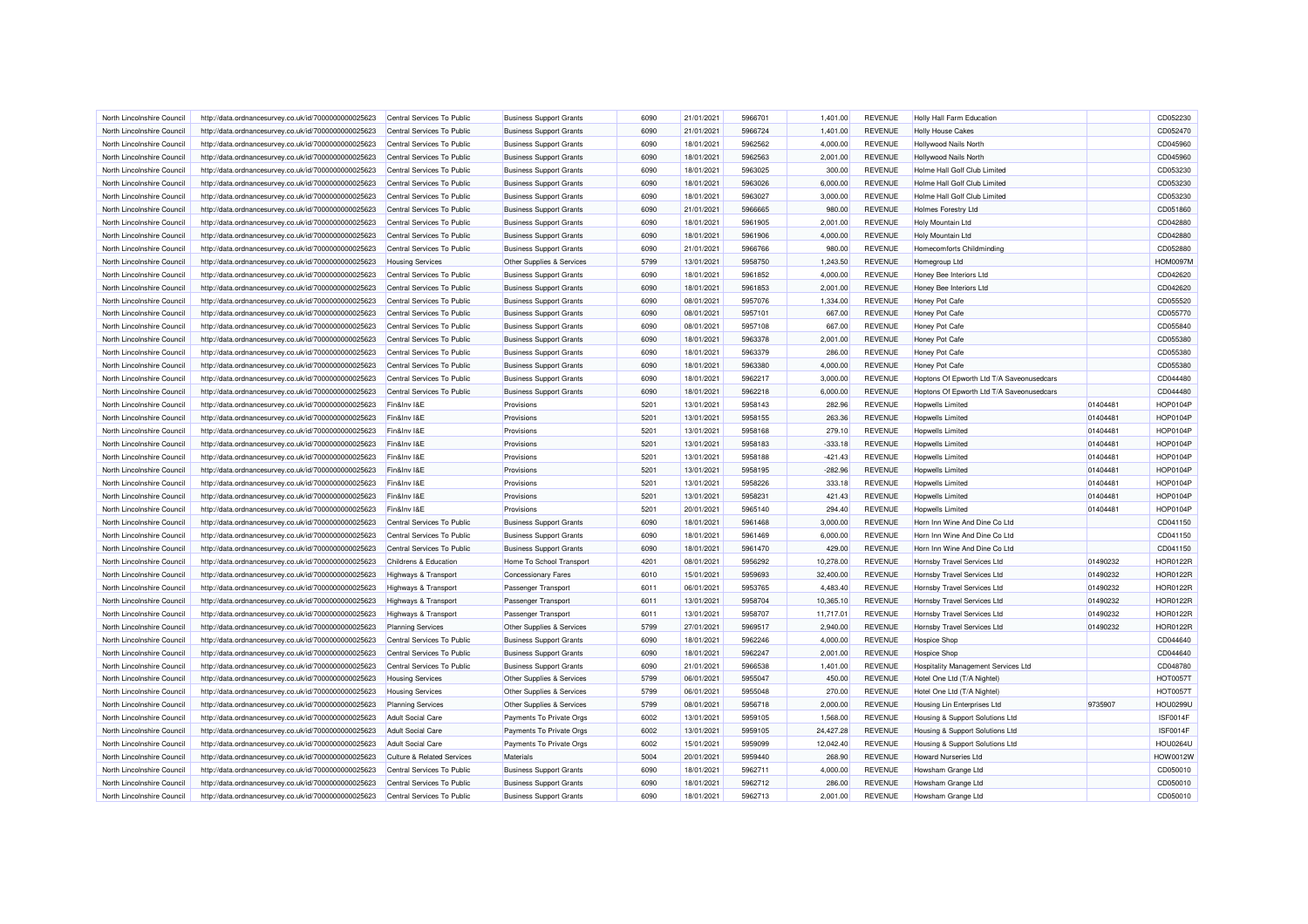| North Lincolnshire Council | http://data.ordnancesurvey.co.uk/id/7000000000025623 | Central Services To Public            | <b>Business Support Grants</b> | 6090         | 21/01/2021               | 5966701 | 1,401.00  | <b>REVENUE</b>                   | Holly Hall Farm Education                 |          | CD052230             |
|----------------------------|------------------------------------------------------|---------------------------------------|--------------------------------|--------------|--------------------------|---------|-----------|----------------------------------|-------------------------------------------|----------|----------------------|
| North Lincolnshire Council | http://data.ordnancesurvey.co.uk/id/7000000000025623 | Central Services To Public            | <b>Business Support Grants</b> | 6090         | 21/01/2021               | 5966724 | 1,401.00  | <b>REVENUE</b>                   | <b>Holly House Cakes</b>                  |          | CD052470             |
| North Lincolnshire Council | http://data.ordnancesurvey.co.uk/id/7000000000025623 | Central Services To Public            | <b>Business Support Grants</b> | 6090         | 18/01/2021               | 5962562 | 4,000.00  | <b>REVENUE</b>                   | <b>Hollywood Nails North</b>              |          | CD045960             |
| North Lincolnshire Council | http://data.ordnancesurvey.co.uk/id/7000000000025623 | Central Services To Public            | <b>Business Support Grants</b> | 6090         | 18/01/2021               | 5962563 | 2,001.00  | <b>REVENUE</b>                   | Hollywood Nails North                     |          | CD045960             |
| North Lincolnshire Council | http://data.ordnancesurvey.co.uk/id/7000000000025623 | Central Services To Public            | <b>Business Support Grants</b> | 6090         | 18/01/2021               | 5963025 | 300.00    | <b>REVENUE</b>                   | Holme Hall Golf Club Limited              |          | CD053230             |
| North Lincolnshire Council | http://data.ordnancesurvey.co.uk/id/7000000000025623 | Central Services To Public            | <b>Business Support Grants</b> | 6090         | 18/01/2021               | 5963026 | 6,000.00  | <b>REVENUE</b>                   | Holme Hall Golf Club Limited              |          | CD053230             |
| North Lincolnshire Council | http://data.ordnancesurvey.co.uk/id/7000000000025623 | Central Services To Public            | <b>Business Support Grants</b> | 6090         | 18/01/2021               | 5963027 | 3,000.00  | <b>REVENUE</b>                   | Holme Hall Golf Club Limited              |          | CD053230             |
| North Lincolnshire Council | http://data.ordnancesurvey.co.uk/id/7000000000025623 | Central Services To Public            | <b>Business Support Grants</b> | 6090         | 21/01/2021               | 5966665 | 980.00    | <b>REVENUE</b>                   | <b>Holmes Forestry Ltd</b>                |          | CD051860             |
| North Lincolnshire Council | http://data.ordnancesurvey.co.uk/id/7000000000025623 | Central Services To Public            | <b>Business Support Grants</b> | 6090         | 18/01/2021               | 5961905 | 2,001.00  | <b>REVENUE</b>                   | Holy Mountain Ltd                         |          | CD042880             |
| North Lincolnshire Council | http://data.ordnancesurvey.co.uk/id/7000000000025623 | Central Services To Public            | <b>Business Support Grants</b> | 6090         | 18/01/2021               | 5961906 | 4,000.00  | <b>REVENUE</b>                   | <b>Holy Mountain Ltd</b>                  |          | CD042880             |
| North Lincolnshire Council | http://data.ordnancesurvey.co.uk/id/7000000000025623 | Central Services To Public            | <b>Business Support Grants</b> | 6090         | 21/01/2021               | 5966766 | 980.00    | <b>REVENUE</b>                   | Homecomforts Childminding                 |          | CD052880             |
| North Lincolnshire Council | http://data.ordnancesurvey.co.uk/id/7000000000025623 | <b>Housing Services</b>               | Other Supplies & Services      | 5799         | 13/01/2021               | 5958750 | 1,243.50  | <b>REVENUE</b>                   | Homegroup Ltd                             |          | <b>HOM0097M</b>      |
| North Lincolnshire Council | http://data.ordnancesurvey.co.uk/id/7000000000025623 | Central Services To Public            | <b>Business Support Grants</b> | 6090         | 18/01/2021               | 5961852 | 4,000.00  | <b>REVENUE</b>                   | Honey Bee Interiors Ltd                   |          | CD042620             |
| North Lincolnshire Council | http://data.ordnancesurvey.co.uk/id/7000000000025623 | Central Services To Public            | <b>Business Support Grants</b> | 6090         | 18/01/2021               | 5961853 | 2,001.00  | <b>REVENUE</b>                   | Honey Bee Interiors Ltd                   |          | CD042620             |
| North Lincolnshire Council | http://data.ordnancesurvey.co.uk/id/7000000000025623 | Central Services To Public            | <b>Business Support Grants</b> | 6090         | 08/01/2021               | 5957076 | 1,334.00  | <b>REVENUE</b>                   | Honey Pot Cafe                            |          | CD055520             |
| North Lincolnshire Council | http://data.ordnancesurvey.co.uk/id/7000000000025623 | Central Services To Public            | <b>Business Support Grants</b> | 6090         | 08/01/2021               | 5957101 | 667.00    | <b>REVENUE</b>                   | <b>Honey Pot Cafe</b>                     |          | CD055770             |
| North Lincolnshire Council | http://data.ordnancesurvey.co.uk/id/7000000000025623 | Central Services To Public            | <b>Business Support Grants</b> | 6090         | 08/01/2021               | 5957108 | 667.00    | <b>REVENUE</b>                   | Honey Pot Cafe                            |          | CD055840             |
| North Lincolnshire Council | http://data.ordnancesurvey.co.uk/id/7000000000025623 | Central Services To Public            | <b>Business Support Grants</b> | 6090         | 18/01/2021               | 5963378 | 2,001.00  | <b>REVENUE</b>                   | <b>Honey Pot Cafe</b>                     |          | CD055380             |
| North Lincolnshire Council | http://data.ordnancesurvey.co.uk/id/7000000000025623 | Central Services To Public            | <b>Business Support Grants</b> | 6090         | 18/01/2021               | 5963379 | 286.00    | <b>REVENUE</b>                   | Honey Pot Cafe                            |          | CD055380             |
| North Lincolnshire Council | http://data.ordnancesurvey.co.uk/id/7000000000025623 | Central Services To Public            | <b>Business Support Grants</b> | 6090         | 18/01/2021               | 5963380 | 4,000.00  | <b>REVENUE</b>                   | <b>Honey Pot Cafe</b>                     |          | CD055380             |
| North Lincolnshire Council | http://data.ordnancesurvey.co.uk/id/7000000000025623 | Central Services To Public            | <b>Business Support Grants</b> | 6090         | 18/01/2021               | 5962217 | 3,000.00  | <b>REVENUE</b>                   | Hoptons Of Epworth Ltd T/A Saveonusedcars |          | CD044480             |
| North Lincolnshire Council | http://data.ordnancesurvey.co.uk/id/7000000000025623 | Central Services To Public            | <b>Business Support Grants</b> | 6090         | 18/01/2021               | 5962218 | 6,000.00  | <b>REVENUE</b>                   | Hoptons Of Epworth Ltd T/A Saveonusedcars |          | CD044480             |
| North Lincolnshire Council | http://data.ordnancesurvey.co.uk/id/7000000000025623 | Fin&Inv I&E                           | Provisions                     | 5201         | 13/01/2021               | 5958143 | 282.96    | <b>REVENUE</b>                   | Hopwells Limited                          | 01404481 | <b>HOP0104F</b>      |
| North Lincolnshire Council | http://data.ordnancesurvey.co.uk/id/7000000000025623 | Fin&Inv I&E                           | Provisions                     | 5201         | 13/01/2021               | 5958155 | 263.36    | <b>REVENUE</b>                   | Hopwells Limited                          | 01404481 | <b>HOP0104P</b>      |
| North Lincolnshire Council | http://data.ordnancesurvey.co.uk/id/7000000000025623 | Fin&Inv I&E                           | Provisions                     | 5201         | 13/01/2021               | 5958168 | 279.10    | <b>REVENUE</b>                   | Hopwells Limited                          | 01404481 | <b>HOP0104P</b>      |
| North Lincolnshire Council | http://data.ordnancesurvey.co.uk/id/7000000000025623 | Fin&Inv I&E                           | Provisions                     | 5201         | 13/01/2021               | 5958183 | $-333.18$ | <b>REVENUE</b>                   | Hopwells Limited                          | 01404481 | <b>HOP0104P</b>      |
| North Lincolnshire Council | http://data.ordnancesurvey.co.uk/id/7000000000025623 | Fin&Inv I&E                           | Provisions                     | 5201         | 13/01/2021               | 5958188 | $-421.43$ | <b>REVENUE</b>                   | Hopwells Limited                          | 01404481 | <b>HOP0104P</b>      |
| North Lincolnshire Council | http://data.ordnancesurvey.co.uk/id/7000000000025623 | Fin&Inv I&E                           | Provisions                     | 5201         | 13/01/2021               | 5958195 | $-282.96$ | <b>REVENUE</b>                   | Hopwells Limited                          | 01404481 | <b>HOP0104P</b>      |
| North Lincolnshire Council | http://data.ordnancesurvey.co.uk/id/7000000000025623 | Fin&Inv I&E                           | Provisions                     | 5201         | 13/01/2021               | 5958226 | 333.18    | <b>REVENUE</b>                   | Hopwells Limited                          | 01404481 | <b>HOP0104F</b>      |
| North Lincolnshire Council | http://data.ordnancesurvey.co.uk/id/7000000000025623 | Fin&Inv I&E                           | Provisions                     | 5201         | 13/01/2021               | 5958231 | 421.43    | <b>REVENUE</b>                   | <b>Hopwells Limited</b>                   | 01404481 | <b>HOP0104P</b>      |
| North Lincolnshire Council | http://data.ordnancesurvey.co.uk/id/7000000000025623 | Fin&Inv I&E                           | Provisions                     | 5201         | 20/01/2021               | 5965140 | 294.40    | <b>REVENUE</b>                   | Honwells I imited                         | 01404481 | <b>HOP0104P</b>      |
|                            |                                                      |                                       |                                |              |                          |         |           |                                  |                                           |          |                      |
| North Lincolnshire Council | http://data.ordnancesurvey.co.uk/id/7000000000025623 | Central Services To Public            | <b>Business Support Grants</b> | 6090<br>6090 | 18/01/2021<br>18/01/2021 | 5961468 | 3,000.00  | <b>REVENUE</b><br><b>REVENUE</b> | Horn Inn Wine And Dine Co Ltd             |          | CD041150<br>CD041150 |
| North Lincolnshire Council | http://data.ordnancesurvey.co.uk/id/7000000000025623 | Central Services To Public            | <b>Business Support Grants</b> |              |                          | 5961469 | 6,000.00  |                                  | Horn Inn Wine And Dine Co Ltd             |          | CD041150             |
| North Lincolnshire Council | http://data.ordnancesurvey.co.uk/id/7000000000025623 | Central Services To Public            | <b>Business Support Grants</b> | 6090         | 18/01/2021               | 5961470 | 429.00    | <b>REVENUE</b>                   | Horn Inn Wine And Dine Co Ltd             |          |                      |
| North Lincolnshire Council | http://data.ordnancesurvey.co.uk/id/7000000000025623 | Childrens & Education                 | Home To School Transport       | 4201         | 08/01/2021               | 5956292 | 10,278.00 | <b>REVENUE</b>                   | Hornsby Travel Services Ltd               | 01490232 | <b>HOR0122F</b>      |
| North Lincolnshire Council | http://data.ordnancesurvey.co.uk/id/7000000000025623 | <b>Highways &amp; Transport</b>       | <b>Concessionary Fares</b>     | 6010         | 15/01/2021               | 5959693 | 32,400.00 | <b>REVENUE</b>                   | Hornsby Travel Services Ltd               | 01490232 | <b>HOR0122F</b>      |
| North Lincolnshire Council | http://data.ordnancesurvey.co.uk/id/7000000000025623 | <b>Highways &amp; Transport</b>       | Passenger Transport            | 6011         | 06/01/2021               | 5953765 | 4,483.40  | <b>REVENUE</b>                   | Hornsby Travel Services Ltd               | 01490232 | <b>HOR0122F</b>      |
| North Lincolnshire Council | http://data.ordnancesurvey.co.uk/id/7000000000025623 | Highways & Transport                  | <b>Passenger Transport</b>     | 6011         | 13/01/2021               | 5958704 | 10,365.10 | <b>REVENUE</b>                   | Hornsby Travel Services Ltd               | 01490232 | <b>HOR0122F</b>      |
| North Lincolnshire Council | http://data.ordnancesurvey.co.uk/id/7000000000025623 | Highways & Transport                  | Passenger Transport            | 6011         | 13/01/2021               | 5958707 | 11,717.01 | <b>REVENUE</b>                   | Hornsby Travel Services Ltd               | 01490232 | <b>HOR0122R</b>      |
| North Lincolnshire Council | http://data.ordnancesurvey.co.uk/id/7000000000025623 | <b>Planning Services</b>              | Other Supplies & Services      | 5799         | 27/01/2021               | 5969517 | 2,940.00  | <b>REVENUE</b>                   | Hornsby Travel Services Ltd               | 01490232 | <b>HOR0122R</b>      |
| North Lincolnshire Council | http://data.ordnancesurvey.co.uk/id/7000000000025623 | Central Services To Public            | <b>Business Support Grants</b> | 6090         | 18/01/2021               | 5962246 | 4,000.00  | <b>REVENUE</b>                   | <b>Hospice Shop</b>                       |          | CD044640             |
| North Lincolnshire Council | http://data.ordnancesurvey.co.uk/id/7000000000025623 | Central Services To Public            | <b>Business Support Grants</b> | 6090         | 18/01/2021               | 5962247 | 2.001.00  | <b>REVENUE</b>                   | <b>Hospice Shop</b>                       |          | CD044640             |
| North Lincolnshire Council | http://data.ordnancesurvey.co.uk/id/7000000000025623 | Central Services To Public            | <b>Business Support Grants</b> | 6090         | 21/01/2021               | 5966538 | 1,401.00  | <b>REVENUE</b>                   | Hospitality Management Services Ltd       |          | CD048780             |
| North Lincolnshire Council | http://data.ordnancesurvey.co.uk/id/7000000000025623 | <b>Housing Services</b>               | Other Supplies & Services      | 5799         | 06/01/2021               | 5955047 | 450.00    | <b>REVENUE</b>                   | Hotel One Ltd (T/A Nightel)               |          | HOT00571             |
| North Lincolnshire Council | http://data.ordnancesurvey.co.uk/id/7000000000025623 | <b>Housing Services</b>               | Other Supplies & Services      | 5799         | 06/01/2021               | 5955048 | 270.00    | <b>REVENUE</b>                   | Hotel One Ltd (T/A Nightel)               |          | HOT00571             |
| North Lincolnshire Council | http://data.ordnancesurvey.co.uk/id/7000000000025623 | <b>Planning Services</b>              | Other Supplies & Services      | 5799         | 08/01/2021               | 5956718 | 2,000.00  | <b>REVENUE</b>                   | Housing Lin Enterprises Ltd               | 9735907  | <b>HOU0299U</b>      |
| North Lincolnshire Council | http://data.ordnancesurvey.co.uk/id/7000000000025623 | <b>Adult Social Care</b>              | Payments To Private Orgs       | 6002         | 13/01/2021               | 5959105 | 1,568.00  | <b>REVENUE</b>                   | Housing & Support Solutions Ltd           |          | <b>ISF0014F</b>      |
| North Lincolnshire Council | http://data.ordnancesurvey.co.uk/id/7000000000025623 | <b>Adult Social Care</b>              | Payments To Private Orgs       | 6002         | 13/01/2021               | 5959105 | 24,427.28 | <b>REVENUE</b>                   | Housing & Support Solutions Ltd           |          | ISF0014F             |
| North Lincolnshire Council | http://data.ordnancesurvey.co.uk/id/7000000000025623 | <b>Adult Social Care</b>              | Payments To Private Orgs       | 6002         | 15/01/2021               | 5959099 | 12,042.40 | <b>REVENUE</b>                   | Housing & Support Solutions Ltd           |          | <b>HOU0264U</b>      |
| North Lincolnshire Council | http://data.ordnancesurvey.co.uk/id/7000000000025623 | <b>Culture &amp; Related Services</b> | Materials                      | 5004         | 20/01/2021               | 5959440 | 268.90    | <b>REVENUE</b>                   | <b>Howard Nurseries Ltd</b>               |          | HOW0012W             |
| North Lincolnshire Council | http://data.ordnancesurvey.co.uk/id/7000000000025623 | Central Services To Public            | <b>Business Support Grants</b> | 6090         | 18/01/2021               | 5962711 | 4,000.00  | <b>REVENUE</b>                   | Howsham Grange Ltd                        |          | CD050010             |
| North Lincolnshire Council | http://data.ordnancesurvey.co.uk/id/7000000000025623 | Central Services To Public            | <b>Business Support Grants</b> | 6090         | 18/01/2021               | 5962712 | 286.00    | <b>REVENUE</b>                   | Howsham Grange Ltd                        |          | CD050010             |
| North Lincolnshire Council | http://data.ordnancesurvey.co.uk/id/7000000000025623 | Central Services To Public            | <b>Business Support Grants</b> | 6090         | 18/01/2021               | 5962713 | 2,001.00  | <b>REVENUE</b>                   | Howsham Grange Ltd                        |          | CD050010             |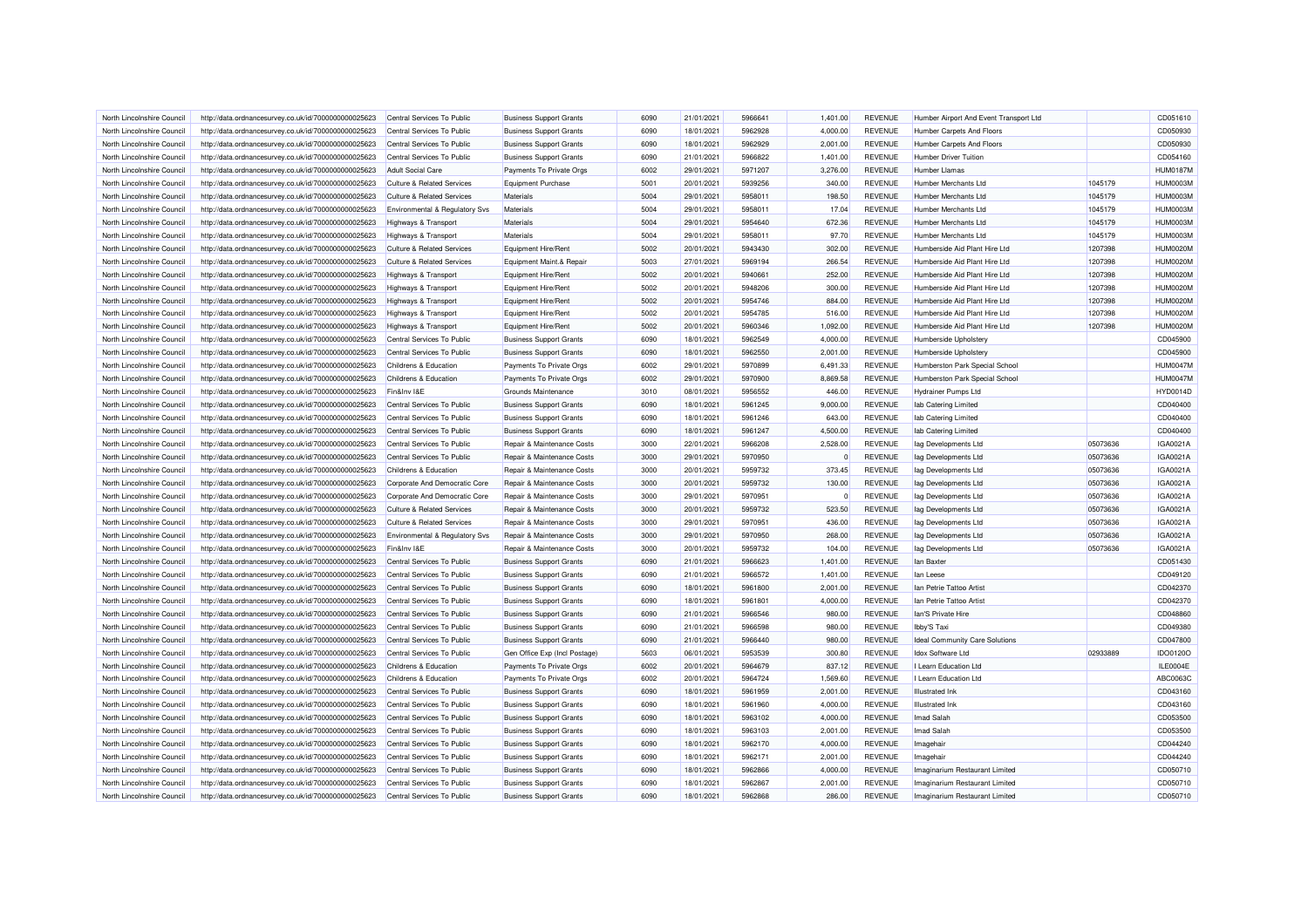| North Lincolnshire Council                               | http://data.ordnancesurvey.co.uk/id/7000000000025623 | Central Services To Public                                              | <b>Business Support Grants</b> | 6090 | 21/01/2021 | 5966641 | 1,401.00 | <b>REVENUE</b> | Humber Airport And Event Transport Ltd |          | CD051610        |
|----------------------------------------------------------|------------------------------------------------------|-------------------------------------------------------------------------|--------------------------------|------|------------|---------|----------|----------------|----------------------------------------|----------|-----------------|
| North Lincolnshire Council                               | http://data.ordnancesurvey.co.uk/id/7000000000025623 | Central Services To Public                                              | <b>Business Support Grants</b> | 6090 | 18/01/2021 | 5962928 | 4,000.00 | <b>REVENUE</b> | <b>Humber Carpets And Floors</b>       |          | CD050930        |
| North Lincolnshire Council                               | http://data.ordnancesurvey.co.uk/id/7000000000025623 | Central Services To Public                                              | <b>Business Support Grants</b> | 6090 | 18/01/2021 | 5962929 | 2,001.00 | <b>REVENUE</b> | <b>Humber Carpets And Floors</b>       |          | CD050930        |
| North Lincolnshire Council                               | http://data.ordnancesurvey.co.uk/id/7000000000025623 | Central Services To Public                                              | <b>Business Support Grants</b> | 6090 | 21/01/2021 | 5966822 | 1,401.00 | <b>REVENUE</b> | Humber Driver Tuition                  |          | CD054160        |
| North Lincolnshire Council                               | http://data.ordnancesurvey.co.uk/id/7000000000025623 | <b>Adult Social Care</b>                                                | Payments To Private Orgs       | 6002 | 29/01/2021 | 5971207 | 3,276.00 | <b>REVENUE</b> | <b>Humber Llamas</b>                   |          | <b>HUM0187M</b> |
| North Lincolnshire Council                               | http://data.ordnancesurvey.co.uk/id/7000000000025623 | <b>Culture &amp; Related Services</b>                                   | <b>Equipment Purchase</b>      | 5001 | 20/01/2021 | 5939256 | 340.00   | <b>REVENUE</b> | Humber Merchants Ltd                   | 1045179  | HUM0003M        |
|                                                          |                                                      |                                                                         | Materials                      | 5004 | 29/01/2021 | 5958011 | 198.50   | <b>REVENUE</b> | Humber Merchants I td                  | 1045179  | <b>HUM0003M</b> |
| North Lincolnshire Council<br>North Lincolnshire Council | http://data.ordnancesurvey.co.uk/id/7000000000025623 | <b>Culture &amp; Related Services</b><br>Environmental & Regulatory Svs | Materials                      | 5004 | 29/01/2021 | 5958011 | 17.04    | <b>REVENUE</b> | <b>Humber Merchants Ltd</b>            | 1045179  | HUM0003M        |
|                                                          | http://data.ordnancesurvey.co.uk/id/7000000000025623 |                                                                         |                                |      |            |         |          |                |                                        |          |                 |
| North Lincolnshire Council                               | http://data.ordnancesurvey.co.uk/id/7000000000025623 | Highways & Transport                                                    | Materials                      | 5004 | 29/01/2021 | 5954640 | 672.36   | <b>REVENUE</b> | Humber Merchants Ltd                   | 1045179  | <b>HUM0003M</b> |
| North Lincolnshire Council                               | http://data.ordnancesurvey.co.uk/id/7000000000025623 | <b>Highways &amp; Transport</b>                                         | Materials                      | 5004 | 29/01/2021 | 5958011 | 97.70    | <b>REVENUE</b> | <b>Humber Merchants Ltd</b>            | 1045179  | <b>HUM0003M</b> |
| North Lincolnshire Council                               | http://data.ordnancesurvey.co.uk/id/7000000000025623 | <b>Culture &amp; Related Services</b>                                   | Equipment Hire/Rent            | 5002 | 20/01/2021 | 5943430 | 302.00   | <b>REVENUE</b> | Humberside Aid Plant Hire Ltd          | 1207398  | <b>HUM0020M</b> |
| North Lincolnshire Council                               | http://data.ordnancesurvey.co.uk/id/7000000000025623 | <b>Culture &amp; Related Services</b>                                   | Equipment Maint.& Repair       | 5003 | 27/01/2021 | 5969194 | 266.54   | <b>REVENUE</b> | Humberside Aid Plant Hire Ltd          | 1207398  | <b>HUM0020M</b> |
| North Lincolnshire Council                               | http://data.ordnancesurvey.co.uk/id/7000000000025623 | <b>Highways &amp; Transport</b>                                         | Equipment Hire/Rent            | 5002 | 20/01/2021 | 5940661 | 252.00   | <b>REVENUE</b> | Humberside Aid Plant Hire Ltd          | 1207398  | <b>HUM0020M</b> |
| North Lincolnshire Council                               | http://data.ordnancesurvey.co.uk/id/7000000000025623 | <b>Highways &amp; Transport</b>                                         | Equipment Hire/Rent            | 5002 | 20/01/2021 | 5948206 | 300.00   | <b>REVENUE</b> | Humberside Aid Plant Hire Ltd          | 1207398  | <b>HUM0020M</b> |
| North Lincolnshire Council                               | http://data.ordnancesurvey.co.uk/id/7000000000025623 | <b>Highways &amp; Transport</b>                                         | Equipment Hire/Rent            | 5002 | 20/01/2021 | 5954746 | 884.00   | <b>REVENUE</b> | Humberside Aid Plant Hire Ltd          | 1207398  | <b>HUM0020M</b> |
| North Lincolnshire Council                               | http://data.ordnancesurvey.co.uk/id/7000000000025623 | <b>Highways &amp; Transport</b>                                         | Equipment Hire/Rent            | 5002 | 20/01/2021 | 5954785 | 516.00   | <b>REVENUE</b> | Humberside Aid Plant Hire Ltd          | 1207398  | <b>HUM0020M</b> |
| North Lincolnshire Council                               | http://data.ordnancesurvey.co.uk/id/7000000000025623 | Highways & Transport                                                    | Equipment Hire/Rent            | 5002 | 20/01/2021 | 5960346 | 1,092.00 | <b>REVENUE</b> | Humberside Aid Plant Hire Ltd          | 1207398  | <b>HUM0020M</b> |
| North Lincolnshire Council                               | http://data.ordnancesurvey.co.uk/id/7000000000025623 | Central Services To Public                                              | <b>Business Support Grants</b> | 6090 | 18/01/2021 | 5962549 | 4,000.00 | <b>REVENUE</b> | Humberside Upholstery                  |          | CD045900        |
| North Lincolnshire Council                               | http://data.ordnancesurvey.co.uk/id/7000000000025623 | Central Services To Public                                              | <b>Business Support Grants</b> | 6090 | 18/01/2021 | 5962550 | 2,001.00 | <b>REVENUE</b> | Humberside Upholstery                  |          | CD045900        |
| North Lincolnshire Council                               | http://data.ordnancesurvey.co.uk/id/7000000000025623 | Childrens & Education                                                   | Payments To Private Orgs       | 6002 | 29/01/2021 | 5970899 | 6,491.33 | <b>REVENUE</b> | Humberston Park Special School         |          | <b>HUM0047M</b> |
| North Lincolnshire Council                               | http://data.ordnancesurvey.co.uk/id/7000000000025623 | Childrens & Education                                                   | Payments To Private Orgs       | 6002 | 29/01/2021 | 5970900 | 8,869.58 | <b>REVENUE</b> | Humberston Park Special School         |          | <b>HUM0047M</b> |
| North Lincolnshire Council                               | http://data.ordnancesurvey.co.uk/id/7000000000025623 | Fin&Inv I&E                                                             | Grounds Maintenance            | 3010 | 08/01/2021 | 5956552 | 446.00   | <b>REVENUE</b> | <b>Hydrainer Pumps Ltd</b>             |          | <b>HYD0014D</b> |
| North Lincolnshire Council                               | http://data.ordnancesurvey.co.uk/id/7000000000025623 | Central Services To Public                                              | <b>Business Support Grants</b> | 6090 | 18/01/2021 | 5961245 | 9,000.00 | <b>REVENUE</b> | lab Catering Limited                   |          | CD040400        |
| North Lincolnshire Council                               | http://data.ordnancesurvey.co.uk/id/7000000000025623 | Central Services To Public                                              | <b>Business Support Grants</b> | 6090 | 18/01/2021 | 5961246 | 643.00   | <b>REVENUE</b> | lab Catering Limited                   |          | CD040400        |
| North Lincolnshire Council                               | http://data.ordnancesurvey.co.uk/id/7000000000025623 | Central Services To Public                                              | <b>Business Support Grants</b> | 6090 | 18/01/2021 | 5961247 | 4.500.00 | <b>REVENUE</b> | lab Catering Limited                   |          | CD040400        |
| North Lincolnshire Council                               | http://data.ordnancesurvey.co.uk/id/7000000000025623 | Central Services To Public                                              | Repair & Maintenance Costs     | 3000 | 22/01/2021 | 5966208 | 2,528.00 | <b>REVENUE</b> | lag Developments Ltd                   | 05073636 | IGA0021A        |
| North Lincolnshire Council                               | http://data.ordnancesurvey.co.uk/id/7000000000025623 | Central Services To Public                                              | Repair & Maintenance Costs     | 3000 | 29/01/2021 | 5970950 | $\Omega$ | <b>REVENUE</b> | lag Developments Ltd                   | 05073636 | IGA0021A        |
| North Lincolnshire Council                               | http://data.ordnancesurvey.co.uk/id/7000000000025623 | Childrens & Education                                                   | Repair & Maintenance Costs     | 3000 | 20/01/2021 | 5959732 | 373.45   | <b>REVENUE</b> | lag Developments Ltd                   | 05073636 | IGA0021A        |
| North Lincolnshire Council                               | http://data.ordnancesurvey.co.uk/id/7000000000025623 | Corporate And Democratic Core                                           | Repair & Maintenance Costs     | 3000 | 20/01/2021 | 5959732 | 130.00   | <b>REVENUE</b> | lag Developments Ltd                   | 05073636 | IGA0021A        |
| North Lincolnshire Council                               | http://data.ordnancesurvey.co.uk/id/7000000000025623 | Corporate And Democratic Core                                           | Repair & Maintenance Costs     | 3000 | 29/01/2021 | 5970951 | n        | <b>REVENUE</b> | lag Developments Ltd                   | 05073636 | IGA0021A        |
| North Lincolnshire Council                               | http://data.ordnancesurvey.co.uk/id/7000000000025623 | <b>Culture &amp; Related Services</b>                                   | Repair & Maintenance Costs     | 3000 | 20/01/2021 | 5959732 | 523.50   | <b>REVENUE</b> | lag Developments Ltd                   | 05073636 | IGA0021A        |
|                                                          |                                                      |                                                                         | Repair & Maintenance Costs     | 3000 | 29/01/2021 | 5970951 |          | <b>REVENUE</b> |                                        | 05073636 | IGA0021A        |
| North Lincolnshire Council<br>North Lincolnshire Council | http://data.ordnancesurvey.co.uk/id/7000000000025623 | <b>Culture &amp; Related Services</b>                                   |                                | 3000 |            | 5970950 | 436.00   |                | lag Developments Ltd                   |          |                 |
|                                                          | http://data.ordnancesurvey.co.uk/id/7000000000025623 | Environmental & Regulatory Svs                                          | Repair & Maintenance Costs     |      | 29/01/2021 |         | 268.00   | <b>REVENUE</b> | lag Developments Ltd                   | 05073636 | IGA0021A        |
| North Lincolnshire Council                               | http://data.ordnancesurvey.co.uk/id/7000000000025623 | Fin&Inv I&E                                                             | Repair & Maintenance Costs     | 3000 | 20/01/2021 | 5959732 | 104.00   | <b>REVENUE</b> | lag Developments Ltd                   | 05073636 | IGA0021A        |
| North Lincolnshire Council                               | http://data.ordnancesurvey.co.uk/id/7000000000025623 | Central Services To Public                                              | <b>Business Support Grants</b> | 6090 | 21/01/2021 | 5966623 | 1,401.00 | <b>REVENUE</b> | lan Baxter                             |          | CD051430        |
| North Lincolnshire Council                               | http://data.ordnancesurvey.co.uk/id/7000000000025623 | Central Services To Public                                              | <b>Business Support Grants</b> | 6090 | 21/01/2021 | 5966572 | 1,401.00 | <b>REVENUE</b> | lan Leese                              |          | CD049120        |
| North Lincolnshire Council                               | http://data.ordnancesurvey.co.uk/id/7000000000025623 | Central Services To Public                                              | <b>Business Support Grants</b> | 6090 | 18/01/2021 | 5961800 | 2,001.00 | <b>REVENUE</b> | Ian Petrie Tattoo Artist               |          | CD042370        |
| North Lincolnshire Council                               | http://data.ordnancesurvey.co.uk/id/7000000000025623 | Central Services To Public                                              | <b>Business Support Grants</b> | 6090 | 18/01/2021 | 5961801 | 4,000.00 | <b>REVENUE</b> | Ian Petrie Tattoo Artist               |          | CD042370        |
| North Lincolnshire Council                               | http://data.ordnancesurvey.co.uk/id/7000000000025623 | Central Services To Public                                              | <b>Business Support Grants</b> | 6090 | 21/01/2021 | 5966546 | 980.00   | <b>REVENUE</b> | lan'S Private Hire                     |          | CD048860        |
| North Lincolnshire Council                               | http://data.ordnancesurvey.co.uk/id/7000000000025623 | Central Services To Public                                              | <b>Business Support Grants</b> | 6090 | 21/01/2021 | 5966598 | 980.00   | <b>REVENUE</b> | Ibby'S Taxi                            |          | CD049380        |
| North Lincolnshire Council                               | http://data.ordnancesurvey.co.uk/id/7000000000025623 | Central Services To Public                                              | <b>Business Support Grants</b> | 6090 | 21/01/2021 | 5966440 | 980.00   | <b>REVENUE</b> | Ideal Community Care Solutions         |          | CD047800        |
| North Lincolnshire Council                               | http://data.ordnancesurvey.co.uk/id/7000000000025623 | Central Services To Public                                              | Gen Office Exp (Incl Postage)  | 5603 | 06/01/2021 | 5953539 | 300.80   | <b>REVENUE</b> | <b>Idox Software Ltd</b>               | 02933889 | IDO0120C        |
| North Lincolnshire Council                               | http://data.ordnancesurvey.co.uk/id/7000000000025623 | Childrens & Education                                                   | Payments To Private Orgs       | 6002 | 20/01/2021 | 5964679 | 837.12   | <b>REVENUE</b> | I Learn Education Ltd                  |          | ILE0004E        |
| North Lincolnshire Council                               | http://data.ordnancesurvey.co.uk/id/7000000000025623 | Childrens & Education                                                   | Payments To Private Orgs       | 6002 | 20/01/2021 | 5964724 | 1,569.60 | <b>REVENUE</b> | I Learn Education Ltd                  |          | ABC0063C        |
| North Lincolnshire Council                               | http://data.ordnancesurvey.co.uk/id/7000000000025623 | Central Services To Public                                              | <b>Business Support Grants</b> | 6090 | 18/01/2021 | 5961959 | 2,001.00 | <b>REVENUE</b> | <b>Illustrated</b> Ink                 |          | CD043160        |
| North Lincolnshire Council                               | http://data.ordnancesurvey.co.uk/id/7000000000025623 | Central Services To Public                                              | <b>Business Support Grants</b> | 6090 | 18/01/2021 | 5961960 | 4,000.00 | <b>REVENUE</b> | <b>Illustrated</b> Ink                 |          | CD043160        |
| North Lincolnshire Council                               | http://data.ordnancesurvey.co.uk/id/7000000000025623 | Central Services To Public                                              | <b>Business Support Grants</b> | 6090 | 18/01/2021 | 5963102 | 4,000.00 | <b>REVENUE</b> | Imad Salah                             |          | CD053500        |
| North Lincolnshire Council                               | http://data.ordnancesurvey.co.uk/id/7000000000025623 | Central Services To Public                                              | <b>Business Support Grants</b> | 6090 | 18/01/2021 | 5963103 | 2,001.00 | <b>REVENUE</b> | Imad Salah                             |          | CD053500        |
| North Lincolnshire Council                               | http://data.ordnancesurvey.co.uk/id/7000000000025623 | Central Services To Public                                              | <b>Business Support Grants</b> | 6090 | 18/01/2021 | 5962170 | 4,000.00 | <b>REVENUE</b> | Imagehair                              |          | CD044240        |
| North Lincolnshire Council                               | http://data.ordnancesurvey.co.uk/id/7000000000025623 | Central Services To Public                                              | <b>Business Support Grants</b> | 6090 | 18/01/2021 | 5962171 | 2,001.00 | <b>REVENUE</b> | Imagehair                              |          | CD044240        |
| North Lincolnshire Council                               | http://data.ordnancesurvey.co.uk/id/7000000000025623 | Central Services To Public                                              | <b>Business Support Grants</b> | 6090 | 18/01/2021 | 5962866 | 4,000.00 | <b>REVENUE</b> | Imaginarium Restaurant Limited         |          | CD050710        |
| North Lincolnshire Council                               | http://data.ordnancesurvey.co.uk/id/7000000000025623 | Central Services To Public                                              | <b>Business Support Grants</b> | 6090 | 18/01/2021 | 5962867 | 2,001.00 | <b>REVENUE</b> | Imaginarium Restaurant Limited         |          | CD050710        |
| North Lincolnshire Council                               | http://data.ordnancesurvey.co.uk/id/7000000000025623 | Central Services To Public                                              | <b>Business Support Grants</b> | 6090 | 18/01/2021 | 5962868 | 286.00   | <b>REVENUE</b> | Imaginarium Restaurant Limited         |          | CD050710        |
|                                                          |                                                      |                                                                         |                                |      |            |         |          |                |                                        |          |                 |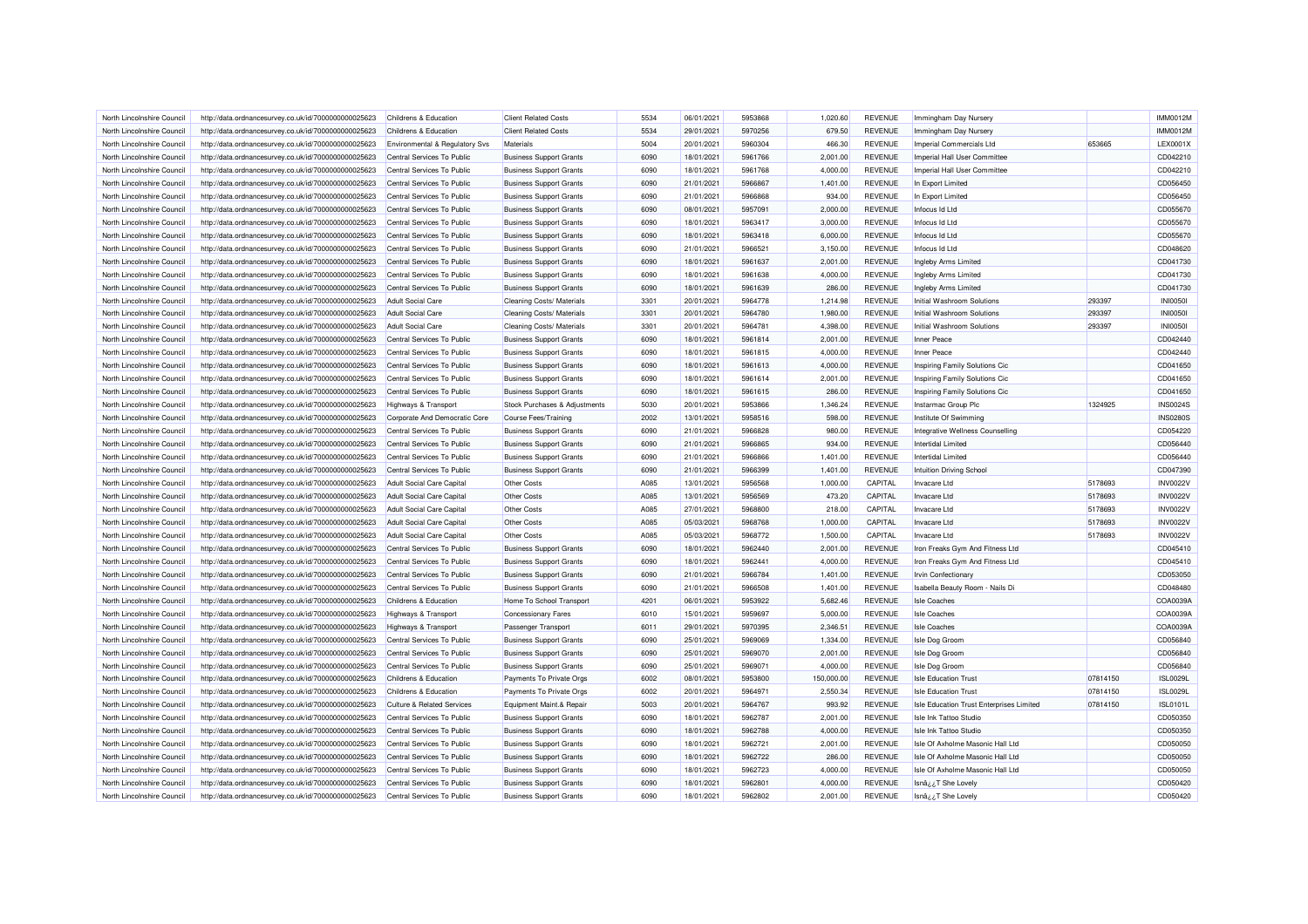| North Lincolnshire Council | http://data.ordnancesurvey.co.uk/id/7000000000025623 | Childrens & Education                 | <b>Client Related Costs</b>    | 5534 | 06/01/2021 | 5953868 | 1.020.60   | <b>REVENUE</b> | Immingham Day Nursery                    |          | <b>IMM0012M</b> |
|----------------------------|------------------------------------------------------|---------------------------------------|--------------------------------|------|------------|---------|------------|----------------|------------------------------------------|----------|-----------------|
| North Lincolnshire Council | http://data.ordnancesurvey.co.uk/id/7000000000025623 | Childrens & Education                 | <b>Client Related Costs</b>    | 5534 | 29/01/2021 | 5970256 | 679.50     | <b>REVENUE</b> | Immingham Day Nursery                    |          | <b>IMM0012M</b> |
| North Lincolnshire Council | http://data.ordnancesurvey.co.uk/id/7000000000025623 | Environmental & Regulatory Svs        | Materials                      | 5004 | 20/01/2021 | 5960304 | 466.30     | <b>REVENUE</b> | Imperial Commercials Ltd                 | 653665   | LEX0001X        |
| North Lincolnshire Council | http://data.ordnancesurvey.co.uk/id/7000000000025623 | Central Services To Public            | <b>Business Support Grants</b> | 6090 | 18/01/2021 | 5961766 | 2,001.00   | <b>REVENUE</b> | Imperial Hall User Committee             |          | CD042210        |
| North Lincolnshire Council | http://data.ordnancesurvey.co.uk/id/7000000000025623 | Central Services To Public            | <b>Business Support Grants</b> | 6090 | 18/01/2021 | 5961768 | 4,000.00   | <b>REVENUE</b> | Imperial Hall User Committee             |          | CD042210        |
| North Lincolnshire Council | http://data.ordnancesurvey.co.uk/id/7000000000025623 | Central Services To Public            | <b>Business Support Grants</b> | 6090 | 21/01/2021 | 5966867 | 1,401.00   | <b>REVENUE</b> | In Export Limited                        |          | CD056450        |
| North Lincolnshire Council | http://data.ordnancesurvey.co.uk/id/7000000000025623 | Central Services To Public            | <b>Business Support Grants</b> | 6090 | 21/01/2021 | 5966868 | 934.00     | <b>REVENUE</b> | In Export Limited                        |          | CD056450        |
| North Lincolnshire Council | http://data.ordnancesurvey.co.uk/id/7000000000025623 | Central Services To Public            | <b>Business Support Grants</b> | 6090 | 08/01/2021 | 5957091 | 2,000.00   | <b>REVENUE</b> | Infocus Id Ltd                           |          | CD055670        |
| North Lincolnshire Council | http://data.ordnancesurvey.co.uk/id/7000000000025623 | Central Services To Public            | <b>Business Support Grants</b> | 6090 | 18/01/2021 | 5963417 | 3,000.00   | <b>REVENUE</b> | Infocus Id Ltd                           |          | CD055670        |
| North Lincolnshire Council | http://data.ordnancesurvey.co.uk/id/7000000000025623 | Central Services To Public            | <b>Business Support Grants</b> | 6090 | 18/01/2021 | 5963418 | 6,000.00   | <b>REVENUE</b> | Infocus Id Ltd                           |          | CD055670        |
| North Lincolnshire Counci  | http://data.ordnancesurvey.co.uk/id/7000000000025623 | Central Services To Public            | <b>Business Support Grants</b> | 6090 | 21/01/2021 | 5966521 | 3,150.00   | <b>REVENUE</b> | Infocus Id Ltd                           |          | CD048620        |
| North Lincolnshire Council | http://data.ordnancesurvey.co.uk/id/7000000000025623 | Central Services To Public            | <b>Business Support Grants</b> | 6090 | 18/01/2021 | 5961637 | 2,001.00   | <b>REVENUE</b> | Ingleby Arms Limited                     |          | CD041730        |
| North Lincolnshire Council | http://data.ordnancesurvey.co.uk/id/7000000000025623 | Central Services To Public            | <b>Business Support Grants</b> | 6090 | 18/01/2021 | 5961638 | 4,000.00   | <b>REVENUE</b> | Ingleby Arms Limited                     |          | CD041730        |
| North Lincolnshire Council | http://data.ordnancesurvey.co.uk/id/7000000000025623 | Central Services To Public            | <b>Business Support Grants</b> | 6090 | 18/01/2021 | 5961639 | 286.00     | <b>REVENUE</b> | Ingleby Arms Limited                     |          | CD041730        |
| North Lincolnshire Council | http://data.ordnancesurvey.co.uk/id/7000000000025623 | <b>Adult Social Care</b>              | Cleaning Costs/ Materials      | 3301 | 20/01/2021 | 5964778 | 1,214.98   | <b>REVENUE</b> | Initial Washroom Solutions               | 293397   | <b>INI00501</b> |
| North Lincolnshire Council | http://data.ordnancesurvey.co.uk/id/7000000000025623 | <b>Adult Social Care</b>              | Cleaning Costs/ Materials      | 3301 | 20/01/2021 | 5964780 | 1,980.00   | <b>REVENUE</b> | Initial Washroom Solutions               | 293397   | <b>INI0050I</b> |
| North Lincolnshire Council |                                                      | <b>Adult Social Care</b>              |                                | 3301 | 20/01/2021 | 5964781 | 4,398.00   | <b>REVENUE</b> | Initial Washroom Solutions               | 293397   | <b>INI00501</b> |
|                            | http://data.ordnancesurvey.co.uk/id/7000000000025623 |                                       | Cleaning Costs/ Materials      |      |            |         |            |                |                                          |          |                 |
| North Lincolnshire Council | http://data.ordnancesurvey.co.uk/id/7000000000025623 | Central Services To Public            | <b>Business Support Grants</b> | 6090 | 18/01/2021 | 5961814 | 2,001.00   | <b>REVENUE</b> | Inner Peace                              |          | CD042440        |
| North Lincolnshire Council | http://data.ordnancesurvey.co.uk/id/7000000000025623 | Central Services To Public            | <b>Business Support Grants</b> | 6090 | 18/01/2021 | 5961815 | 4,000.00   | <b>REVENUE</b> | Inner Peace                              |          | CD042440        |
| North Lincolnshire Council | http://data.ordnancesurvey.co.uk/id/7000000000025623 | Central Services To Public            | <b>Business Support Grants</b> | 6090 | 18/01/2021 | 5961613 | 4,000.00   | <b>REVENUE</b> | Inspiring Family Solutions Cic           |          | CD041650        |
| North Lincolnshire Council | http://data.ordnancesurvey.co.uk/id/7000000000025623 | Central Services To Public            | <b>Business Support Grants</b> | 6090 | 18/01/2021 | 5961614 | 2,001.00   | <b>REVENUE</b> | Inspiring Family Solutions Cio           |          | CD041650        |
| North Lincolnshire Council | http://data.ordnancesurvey.co.uk/id/7000000000025623 | Central Services To Public            | <b>Business Support Grants</b> | 6090 | 18/01/2021 | 5961615 | 286.00     | <b>REVENUE</b> | Inspiring Family Solutions Cic           |          | CD041650        |
| North Lincolnshire Council | http://data.ordnancesurvey.co.uk/id/7000000000025623 | <b>Highways &amp; Transport</b>       | Stock Purchases & Adjustments  | 5030 | 20/01/2021 | 5953866 | 1.346.24   | <b>REVENUE</b> | Instarmac Group Plc                      | 1324925  | <b>INS0024S</b> |
| North Lincolnshire Council | http://data.ordnancesurvey.co.uk/id/7000000000025623 | Corporate And Democratic Core         | Course Fees/Training           | 2002 | 13/01/2021 | 5958516 | 598.00     | <b>REVENUE</b> | Institute Of Swimming                    |          | <b>INS0280S</b> |
| North Lincolnshire Council | http://data.ordnancesurvey.co.uk/id/7000000000025623 | Central Services To Public            | <b>Business Support Grants</b> | 6090 | 21/01/2021 | 5966828 | 980.00     | <b>REVENUE</b> | Integrative Wellness Counselling         |          | CD054220        |
| North Lincolnshire Council | http://data.ordnancesurvey.co.uk/id/7000000000025623 | Central Services To Public            | <b>Business Support Grants</b> | 6090 | 21/01/2021 | 5966865 | 934.00     | <b>REVENUE</b> | Intertidal Limited                       |          | CD056440        |
| North Lincolnshire Council | http://data.ordnancesurvey.co.uk/id/7000000000025623 | Central Services To Public            | <b>Business Support Grants</b> | 6090 | 21/01/2021 | 5966866 | 1,401.00   | <b>REVENUE</b> | Intertidal Limited                       |          | CD056440        |
| North Lincolnshire Council | http://data.ordnancesurvey.co.uk/id/7000000000025623 | Central Services To Public            | <b>Business Support Grants</b> | 6090 | 21/01/2021 | 5966399 | 1,401.00   | <b>REVENUE</b> | <b>Intuition Driving School</b>          |          | CD047390        |
| North Lincolnshire Council | http://data.ordnancesurvey.co.uk/id/7000000000025623 | Adult Social Care Capital             | Other Costs                    | A085 | 13/01/2021 | 5956568 | 1,000.00   | CAPITAL        | Invacare Ltd                             | 5178693  | <b>INV0022V</b> |
| North Lincolnshire Council | http://data.ordnancesurvey.co.uk/id/7000000000025623 | Adult Social Care Capital             | Other Costs                    | A085 | 13/01/2021 | 5956569 | 473.20     | CAPITAL        | Invacare Ltd                             | 5178693  | <b>INV0022V</b> |
| North Lincolnshire Council | http://data.ordnancesurvey.co.uk/id/7000000000025623 | Adult Social Care Capital             | Other Costs                    | A085 | 27/01/2021 | 5968800 | 218.00     | CAPITAL        | Invacare Ltd                             | 5178693  | <b>INV0022V</b> |
| North Lincolnshire Council | http://data.ordnancesurvey.co.uk/id/7000000000025623 | <b>Adult Social Care Capital</b>      | Other Costs                    | A085 | 05/03/2021 | 5968768 | 1,000.00   | CAPITAL        | Invacare Ltd                             | 5178693  | <b>INV0022V</b> |
| North Lincolnshire Counci  | http://data.ordnancesurvey.co.uk/id/7000000000025623 | Adult Social Care Capital             | Other Costs                    | A085 | 05/03/2021 | 5968772 | 1,500.00   | CAPITAL        | Invacare Ltd                             | 5178693  | <b>INV0022V</b> |
| North Lincolnshire Council | http://data.ordnancesurvey.co.uk/id/7000000000025623 | Central Services To Public            | <b>Business Support Grants</b> | 6090 | 18/01/2021 | 5962440 | 2,001.00   | <b>REVENUE</b> | Iron Freaks Gym And Fitness Ltd          |          | CD045410        |
| North Lincolnshire Council | http://data.ordnancesurvey.co.uk/id/7000000000025623 | Central Services To Public            | <b>Business Support Grants</b> | 6090 | 18/01/2021 | 5962441 | 4,000.00   | <b>REVENUE</b> | Iron Freaks Gym And Fitness Ltd          |          | CD045410        |
| North Lincolnshire Council | http://data.ordnancesurvey.co.uk/id/7000000000025623 | Central Services To Public            | <b>Business Support Grants</b> | 6090 | 21/01/2021 | 5966784 | 1,401.00   | <b>REVENUE</b> | <b>Irvin Confectionary</b>               |          | CD053050        |
| North Lincolnshire Council | http://data.ordnancesurvey.co.uk/id/7000000000025623 | Central Services To Public            | <b>Business Support Grants</b> | 6090 | 21/01/2021 | 5966508 | 1,401.00   | <b>REVENUE</b> | Isabella Beauty Room - Nails Di          |          | CD048480        |
| North Lincolnshire Council | http://data.ordnancesurvey.co.uk/id/7000000000025623 | Childrens & Education                 | Home To School Transport       | 4201 | 06/01/2021 | 5953922 | 5,682.46   | <b>REVENUE</b> | <b>Isle Coaches</b>                      |          | COA0039A        |
| North Lincolnshire Council | http://data.ordnancesurvey.co.uk/id/7000000000025623 | <b>Highways &amp; Transport</b>       | <b>Concessionary Fares</b>     | 6010 | 15/01/2021 | 5959697 | 5,000.00   | <b>REVENUE</b> | <b>Isle Coaches</b>                      |          | COA0039A        |
| North Lincolnshire Council | http://data.ordnancesurvey.co.uk/id/7000000000025623 | <b>Highways &amp; Transport</b>       | <b>Passenger Transport</b>     | 6011 | 29/01/2021 | 5970395 | 2,346.51   | <b>REVENUE</b> | <b>Isle Coaches</b>                      |          | COA0039A        |
| North Lincolnshire Council | http://data.ordnancesurvey.co.uk/id/7000000000025623 | Central Services To Public            | <b>Business Support Grants</b> | 6090 | 25/01/2021 | 5969069 | 1,334.00   | <b>REVENUE</b> | Isle Dog Groom                           |          | CD056840        |
| North Lincolnshire Council | http://data.ordnancesurvey.co.uk/id/7000000000025623 | Central Services To Public            | <b>Business Support Grants</b> | 6090 | 25/01/2021 | 5969070 | 2,001.00   | <b>REVENUE</b> | Isle Dog Groom                           |          | CD056840        |
| North Lincolnshire Council | http://data.ordnancesurvey.co.uk/id/7000000000025623 | Central Services To Public            | <b>Business Support Grants</b> | 6090 | 25/01/2021 | 5969071 | 4,000.00   | <b>REVENUE</b> | Isle Dog Groom                           |          | CD056840        |
| North Lincolnshire Council | http://data.ordnancesurvey.co.uk/id/7000000000025623 | Childrens & Education                 | Payments To Private Orgs       | 6002 | 08/01/2021 | 5953800 | 150,000.00 | <b>REVENUE</b> | <b>Isle Education Trust</b>              | 07814150 | <b>ISL0029L</b> |
| North Lincolnshire Council | http://data.ordnancesurvey.co.uk/id/7000000000025623 | Childrens & Education                 | Payments To Private Orgs       | 6002 | 20/01/2021 | 5964971 | 2,550.34   | <b>REVENUE</b> | <b>Isle Education Trust</b>              | 07814150 | <b>ISL0029L</b> |
| North Lincolnshire Council | http://data.ordnancesurvey.co.uk/id/7000000000025623 | <b>Culture &amp; Related Services</b> | Equipment Maint.& Repair       | 5003 | 20/01/2021 | 5964767 | 993.92     | <b>REVENUE</b> | Isle Education Trust Enterprises Limited | 07814150 | <b>ISL0101L</b> |
| North Lincolnshire Council | http://data.ordnancesurvey.co.uk/id/7000000000025623 | Central Services To Public            | <b>Business Support Grants</b> | 6090 | 18/01/2021 | 5962787 | 2,001.00   | REVENUE        | Isle Ink Tattoo Studio                   |          | CD050350        |
| North Lincolnshire Council | http://data.ordnancesurvey.co.uk/id/7000000000025623 | Central Services To Public            | <b>Business Support Grants</b> | 6090 | 18/01/2021 | 5962788 | 4,000.00   | <b>REVENUE</b> | Isle Ink Tattoo Studio                   |          | CD050350        |
| North Lincolnshire Council | http://data.ordnancesurvey.co.uk/id/7000000000025623 | Central Services To Public            | <b>Business Support Grants</b> | 6090 | 18/01/2021 | 5962721 | 2,001.00   | <b>REVENUE</b> | Isle Of Axholme Masonic Hall Ltd         |          | CD050050        |
| North Lincolnshire Council | http://data.ordnancesurvey.co.uk/id/7000000000025623 | Central Services To Public            | <b>Business Support Grants</b> | 6090 | 18/01/2021 | 5962722 | 286.00     | <b>REVENUE</b> | Isle Of Axholme Masonic Hall Ltd         |          | CD050050        |
| North Lincolnshire Council | http://data.ordnancesurvey.co.uk/id/7000000000025623 | Central Services To Public            | <b>Business Support Grants</b> | 6090 | 18/01/2021 | 5962723 | 4,000.00   | <b>REVENUE</b> | Isle Of Axholme Masonic Hall Ltd         |          | CD050050        |
| North Lincolnshire Council | http://data.ordnancesurvey.co.uk/id/7000000000025623 | Central Services To Public            | <b>Business Support Grants</b> | 6090 | 18/01/2021 | 5962801 | 4,000.00   | <b>REVENUE</b> | IsnâzzT She Lovely                       |          | CD050420        |
| North Lincolnshire Council | http://data.ordnancesurvey.co.uk/id/7000000000025623 | Central Services To Public            | <b>Business Support Grants</b> | 6090 | 18/01/2021 | 5962802 | 2,001.00   | <b>REVENUE</b> | Isnâ <sub>¿¿</sub> T She Lovely          |          | CD050420        |
|                            |                                                      |                                       |                                |      |            |         |            |                |                                          |          |                 |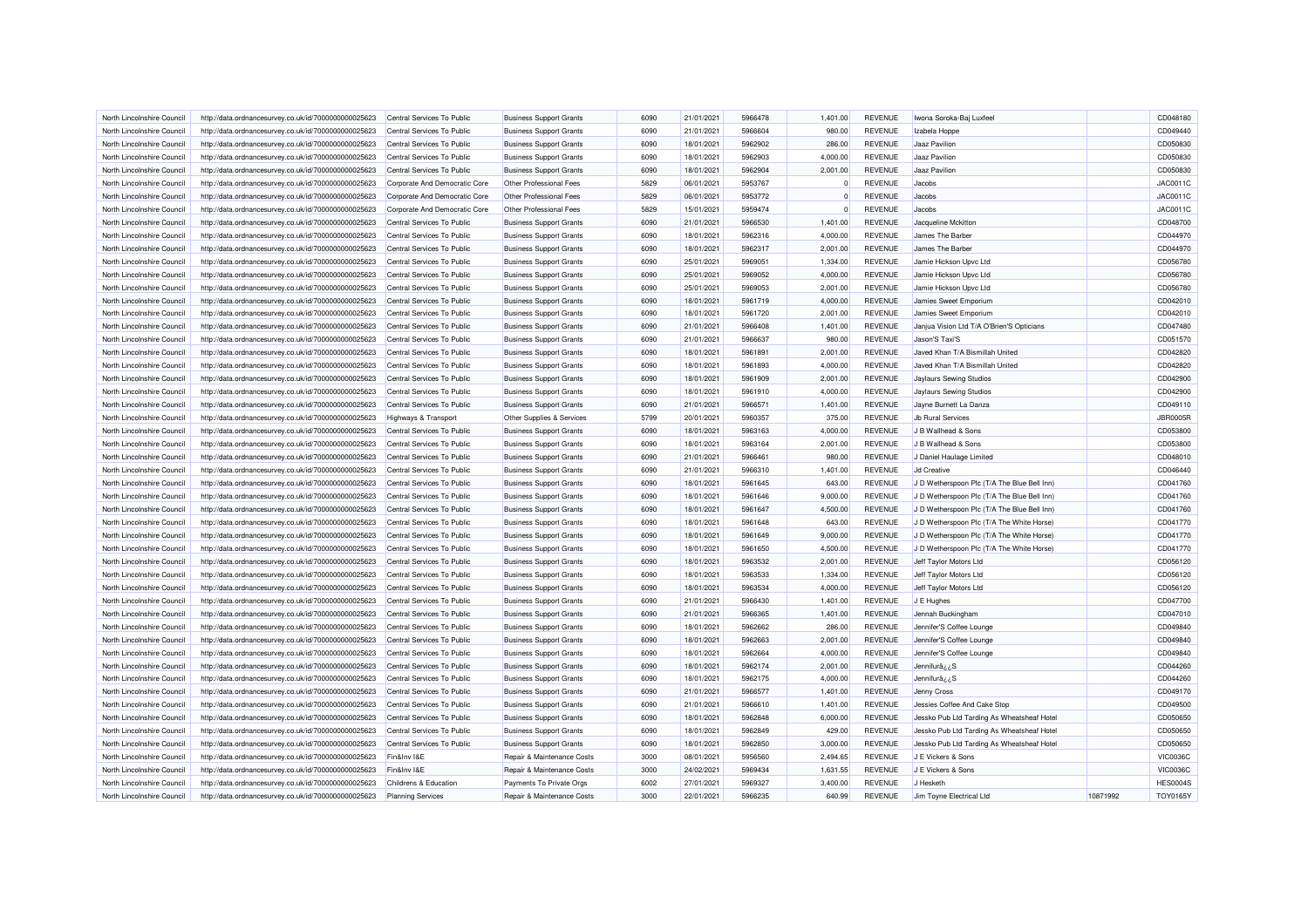| North Lincolnshire Council                               | http://data.ordnancesurvey.co.uk/id/7000000000025623 | Central Services To Public      | <b>Business Support Grants</b> | 6090         | 21/01/2021               | 5966478            | 1,401.00             | <b>REVENUE</b>                   | Iwona Soroka-Baj Luxfeel                                           |          | CD048180             |
|----------------------------------------------------------|------------------------------------------------------|---------------------------------|--------------------------------|--------------|--------------------------|--------------------|----------------------|----------------------------------|--------------------------------------------------------------------|----------|----------------------|
| North Lincolnshire Council                               | http://data.ordnancesurvey.co.uk/id/7000000000025623 | Central Services To Public      | <b>Business Support Grants</b> | 6090         | 21/01/2021               | 5966604            | 980.00               | <b>REVENUE</b>                   | Izabela Hoppe                                                      |          | CD049440             |
| North Lincolnshire Council                               | http://data.ordnancesurvey.co.uk/id/7000000000025623 | Central Services To Public      | <b>Business Support Grants</b> | 6090         | 18/01/2021               | 5962902            | 286.00               | <b>REVENUE</b>                   | Jaaz Pavilion                                                      |          | CD050830             |
| North Lincolnshire Council                               | http://data.ordnancesurvey.co.uk/id/7000000000025623 | Central Services To Public      | <b>Business Support Grants</b> | 6090         | 18/01/2021               | 5962903            | 4,000.00             | <b>REVENUE</b>                   | Jaaz Pavilion                                                      |          | CD050830             |
| North Lincolnshire Council                               | http://data.ordnancesurvey.co.uk/id/7000000000025623 | Central Services To Public      | <b>Business Support Grants</b> | 6090         | 18/01/2021               | 5962904            | 2,001.00             | <b>REVENUE</b>                   | Jaaz Pavilion                                                      |          | CD050830             |
| North Lincolnshire Council                               | http://data.ordnancesurvey.co.uk/id/7000000000025623 | Corporate And Democratic Core   | Other Professional Fees        | 5829         | 06/01/2021               | 5953767            | $\mathbf{0}$         | <b>REVENUE</b>                   | Jacobs                                                             |          | JAC0011C             |
| North Lincolnshire Council                               | http://data.ordnancesurvey.co.uk/id/7000000000025623 | Corporate And Democratic Core   | Other Professional Fees        | 5829         | 06/01/2021               | 5953772            | $\Omega$             | <b>REVENUE</b>                   | Jacobs                                                             |          | JAC0011C             |
| North Lincolnshire Council                               | http://data.ordnancesurvey.co.uk/id/7000000000025623 | Corporate And Democratic Core   | Other Professional Fees        | 5829         | 15/01/2021               | 5959474            | $\Omega$             | <b>REVENUE</b>                   | Jacobs                                                             |          | JAC0011C             |
| North Lincolnshire Council                               | http://data.ordnancesurvey.co.uk/id/7000000000025623 | Central Services To Public      | <b>Business Support Grants</b> | 6090         | 21/01/2021               | 5966530            | 1.401.00             | <b>REVENUE</b>                   | Jacqueline Mckitton                                                |          | CD048700             |
| North Lincolnshire Council                               | http://data.ordnancesurvey.co.uk/id/7000000000025623 | Central Services To Public      | <b>Business Support Grants</b> | 6090         | 18/01/2021               | 5962316            | 4,000.00             | <b>REVENUE</b>                   | James The Barber                                                   |          | CD044970             |
| North Lincolnshire Council                               | http://data.ordnancesurvey.co.uk/id/7000000000025623 | Central Services To Public      | <b>Business Support Grants</b> | 6090         | 18/01/2021               | 5962317            | 2,001.00             | <b>REVENUE</b>                   | James The Barber                                                   |          | CD044970             |
| North Lincolnshire Council                               | http://data.ordnancesurvey.co.uk/id/7000000000025623 | Central Services To Public      | <b>Business Support Grants</b> | 6090         | 25/01/2021               | 5969051            | 1,334.00             | <b>REVENUE</b>                   | Jamie Hickson Upvc Ltd                                             |          | CD056780             |
| North Lincolnshire Council                               | http://data.ordnancesurvey.co.uk/id/7000000000025623 | Central Services To Public      | <b>Business Support Grants</b> | 6090         | 25/01/2021               | 5969052            | 4,000.00             | <b>REVENUE</b>                   | Jamie Hickson Upvc Ltd                                             |          | CD056780             |
| North Lincolnshire Council                               | http://data.ordnancesurvey.co.uk/id/7000000000025623 | Central Services To Public      | <b>Business Support Grants</b> | 6090         | 25/01/2021               | 5969053            | 2,001.00             | <b>REVENUE</b>                   | Jamie Hickson Upvc Ltd                                             |          | CD056780             |
| North Lincolnshire Council                               | http://data.ordnancesurvey.co.uk/id/7000000000025623 | Central Services To Public      | <b>Business Support Grants</b> | 6090         | 18/01/2021               | 5961719            | 4,000.00             | <b>REVENUE</b>                   | Jamies Sweet Emporium                                              |          | CD042010             |
| North Lincolnshire Council                               | http://data.ordnancesurvey.co.uk/id/7000000000025623 | Central Services To Public      | <b>Business Support Grants</b> | 6090         | 18/01/2021               | 5961720            | 2,001.00             | <b>REVENUE</b>                   | Jamies Sweet Emporium                                              |          | CD042010             |
| North Lincolnshire Council                               | http://data.ordnancesurvey.co.uk/id/7000000000025623 | Central Services To Public      | <b>Business Support Grants</b> | 6090         | 21/01/2021               | 5966408            | 1,401.00             | <b>REVENUE</b>                   | Janjua Vision Ltd T/A O'Brien'S Opticians                          |          | CD047480             |
| North Lincolnshire Council                               |                                                      | Central Services To Public      |                                | 6090         | 21/01/2021               | 5966637            | 980.00               | <b>REVENUE</b>                   | Jason'S Taxi'S                                                     |          | CD051570             |
|                                                          | http://data.ordnancesurvey.co.uk/id/7000000000025623 |                                 | <b>Business Support Grants</b> |              |                          |                    |                      |                                  |                                                                    |          |                      |
| North Lincolnshire Council                               | http://data.ordnancesurvey.co.uk/id/7000000000025623 | Central Services To Public      | <b>Business Support Grants</b> | 6090<br>6090 | 18/01/2021               | 5961891            | 2,001.00<br>4,000.00 | <b>REVENUE</b><br><b>REVENUE</b> | Javed Khan T/A Bismillah United<br>Javed Khan T/A Bismillah United |          | CD042820             |
| North Lincolnshire Council<br>North Lincolnshire Council | http://data.ordnancesurvey.co.uk/id/7000000000025623 | Central Services To Public      | <b>Business Support Grants</b> | 6090         | 18/01/2021<br>18/01/2021 | 5961893<br>5961909 | 2,001.00             | <b>REVENUE</b>                   |                                                                    |          | CD042820<br>CD042900 |
|                                                          | http://data.ordnancesurvey.co.uk/id/7000000000025623 | Central Services To Public      | <b>Business Support Grants</b> |              |                          |                    |                      |                                  | <b>Jaylaurs Sewing Studios</b>                                     |          |                      |
| North Lincolnshire Council                               | http://data.ordnancesurvey.co.uk/id/7000000000025623 | Central Services To Public      | <b>Business Support Grants</b> | 6090         | 18/01/2021               | 5961910            | 4,000.00             | <b>REVENUE</b>                   | Jaylaurs Sewing Studios                                            |          | CD042900             |
| North Lincolnshire Council                               | http://data.ordnancesurvey.co.uk/id/7000000000025623 | Central Services To Public      | <b>Business Support Grants</b> | 6090         | 21/01/2021               | 5966571            | 1,401.00             | <b>REVENUE</b>                   | Jayne Burnett La Danza                                             |          | CD049110             |
| North Lincolnshire Council                               | http://data.ordnancesurvey.co.uk/id/7000000000025623 | <b>Highways &amp; Transport</b> | Other Supplies & Services      | 5799         | 20/01/2021               | 5960357            | 375.00               | <b>REVENUE</b>                   | <b>Jb Rural Services</b>                                           |          | <b>JBR0005R</b>      |
| North Lincolnshire Council                               | http://data.ordnancesurvey.co.uk/id/7000000000025623 | Central Services To Public      | <b>Business Support Grants</b> | 6090         | 18/01/2021               | 5963163            | 4,000.00             | <b>REVENUE</b>                   | J B Wallhead & Sons                                                |          | CD053800             |
| North Lincolnshire Council                               | http://data.ordnancesurvey.co.uk/id/7000000000025623 | Central Services To Public      | <b>Business Support Grants</b> | 6090         | 18/01/2021               | 5963164            | 2,001.00             | <b>REVENUE</b>                   | J B Wallhead & Sons                                                |          | CD053800             |
| North Lincolnshire Council                               | http://data.ordnancesurvey.co.uk/id/7000000000025623 | Central Services To Public      | <b>Business Support Grants</b> | 6090         | 21/01/2021               | 5966461            | 980.00               | <b>REVENUE</b>                   | J Daniel Haulage Limited                                           |          | CD048010             |
| North Lincolnshire Council                               | http://data.ordnancesurvey.co.uk/id/7000000000025623 | Central Services To Public      | <b>Business Support Grants</b> | 6090         | 21/01/2021               | 5966310            | 1,401.00             | <b>REVENUE</b>                   | <b>Jd Creative</b>                                                 |          | CD046440             |
| North Lincolnshire Council                               | http://data.ordnancesurvey.co.uk/id/7000000000025623 | Central Services To Public      | <b>Business Support Grants</b> | 6090         | 18/01/2021               | 5961645            | 643.00               | <b>REVENUE</b>                   | J D Wetherspoon Plc (T/A The Blue Bell Inn)                        |          | CD041760             |
| North Lincolnshire Council                               | http://data.ordnancesurvey.co.uk/id/7000000000025623 | Central Services To Public      | <b>Business Support Grants</b> | 6090         | 18/01/2021               | 5961646            | 9,000.00             | <b>REVENUE</b>                   | J D Wetherspoon Plc (T/A The Blue Bell Inn)                        |          | CD041760             |
| North Lincolnshire Council                               | http://data.ordnancesurvey.co.uk/id/7000000000025623 | Central Services To Public      | <b>Business Support Grants</b> | 6090         | 18/01/2021               | 5961647            | 4,500.00             | <b>REVENUE</b>                   | J D Wetherspoon Plc (T/A The Blue Bell Inn)                        |          | CD041760             |
| North Lincolnshire Council                               | http://data.ordnancesurvey.co.uk/id/7000000000025623 | Central Services To Public      | <b>Business Support Grants</b> | 6090         | 18/01/2021               | 5961648            | 643.00               | <b>REVENUE</b>                   | J D Wetherspoon Plc (T/A The White Horse)                          |          | CD041770             |
| North Lincolnshire Council                               | http://data.ordnancesurvey.co.uk/id/7000000000025623 | Central Services To Public      | <b>Business Support Grants</b> | 6090         | 18/01/2021               | 5961649            | 9,000.00             | <b>REVENUE</b>                   | J D Wetherspoon Plc (T/A The White Horse)                          |          | CD041770             |
| North Lincolnshire Council                               | http://data.ordnancesurvey.co.uk/id/7000000000025623 | Central Services To Public      | <b>Business Support Grants</b> | 6090         | 18/01/2021               | 5961650            | 4.500.00             | <b>REVENUE</b>                   | J D Wetherspoon Plc (T/A The White Horse)                          |          | CD041770             |
| North Lincolnshire Council                               | http://data.ordnancesurvey.co.uk/id/7000000000025623 | Central Services To Public      | <b>Business Support Grants</b> | 6090         | 18/01/2021               | 5963532            | 2,001.00             | <b>REVENUE</b>                   | Jeff Taylor Motors Ltd                                             |          | CD056120             |
| North Lincolnshire Council                               | http://data.ordnancesurvey.co.uk/id/7000000000025623 | Central Services To Public      | <b>Business Support Grants</b> | 6090         | 18/01/2021               | 5963533            | 1,334.00             | <b>REVENUE</b>                   | Jeff Taylor Motors Ltd                                             |          | CD056120             |
| North Lincolnshire Council                               | http://data.ordnancesurvey.co.uk/id/7000000000025623 | Central Services To Public      | <b>Business Support Grants</b> | 6090         | 18/01/2021               | 5963534            | 4,000.00             | <b>REVENUE</b>                   | Jeff Taylor Motors Ltd                                             |          | CD056120             |
| North Lincolnshire Council                               | http://data.ordnancesurvey.co.uk/id/7000000000025623 | Central Services To Public      | <b>Business Support Grants</b> | 6090         | 21/01/2021               | 5966430            | 1,401.00             | REVENUE                          | J E Hughes                                                         |          | CD047700             |
| North Lincolnshire Council                               | http://data.ordnancesurvey.co.uk/id/7000000000025623 | Central Services To Public      | <b>Business Support Grants</b> | 6090         | 21/01/2021               | 5966365            | 1,401.00             | <b>REVENUE</b>                   | Jennah Buckingham                                                  |          | CD047010             |
| North Lincolnshire Council                               | http://data.ordnancesurvey.co.uk/id/7000000000025623 | Central Services To Public      | <b>Business Support Grants</b> | 6090         | 18/01/2021               | 5962662            | 286.00               | <b>REVENUE</b>                   | Jennifer'S Coffee Lounge                                           |          | CD049840             |
| North Lincolnshire Council                               | http://data.ordnancesurvey.co.uk/id/7000000000025623 | Central Services To Public      | <b>Business Support Grants</b> | 6090         | 18/01/2021               | 5962663            | 2,001.00             | <b>REVENUE</b>                   | Jennifer'S Coffee Lounge                                           |          | CD049840             |
| North Lincolnshire Council                               | http://data.ordnancesurvey.co.uk/id/7000000000025623 | Central Services To Public      | <b>Business Support Grants</b> | 6090         | 18/01/2021               | 5962664            | 4,000.00             | <b>REVENUE</b>                   | Jennifer'S Coffee Lounge                                           |          | CD049840             |
| North Lincolnshire Council                               | http://data.ordnancesurvey.co.uk/id/7000000000025623 | Central Services To Public      | <b>Business Support Grants</b> | 6090         | 18/01/2021               | 5962174            | 2,001.00             | <b>REVENUE</b>                   | Jennifurâ <sub>cc</sub> S                                          |          | CD044260             |
| North Lincolnshire Council                               | http://data.ordnancesurvey.co.uk/id/7000000000025623 | Central Services To Public      | <b>Business Support Grants</b> | 6090         | 18/01/2021               | 5962175            | 4,000.00             | <b>REVENUE</b>                   | Jennifurâz ¿S                                                      |          | CD044260             |
| North Lincolnshire Council                               | http://data.ordnancesurvey.co.uk/id/7000000000025623 | Central Services To Public      | <b>Business Support Grants</b> | 6090         | 21/01/2021               | 5966577            | 1,401.00             | <b>REVENUE</b>                   | Jenny Cross                                                        |          | CD049170             |
| North Lincolnshire Council                               | http://data.ordnancesurvey.co.uk/id/7000000000025623 | Central Services To Public      | <b>Business Support Grants</b> | 6090         | 21/01/2021               | 5966610            | 1,401.00             | <b>REVENUE</b>                   | Jessies Coffee And Cake Stop                                       |          | CD049500             |
| North Lincolnshire Council                               | http://data.ordnancesurvey.co.uk/id/7000000000025623 | Central Services To Public      | <b>Business Support Grants</b> | 6090         | 18/01/2021               | 5962848            | 6,000.00             | <b>REVENUE</b>                   | Jessko Pub Ltd Tarding As Wheatsheaf Hotel                         |          | CD050650             |
| North Lincolnshire Council                               | http://data.ordnancesurvey.co.uk/id/7000000000025623 | Central Services To Public      | <b>Business Support Grants</b> | 6090         | 18/01/2021               | 5962849            | 429.00               | <b>REVENUE</b>                   | Jessko Pub Ltd Tarding As Wheatsheaf Hotel                         |          | CD050650             |
| North Lincolnshire Council                               | http://data.ordnancesurvey.co.uk/id/7000000000025623 | Central Services To Public      | <b>Business Support Grants</b> | 6090         | 18/01/2021               | 5962850            | 3,000.00             | <b>REVENUE</b>                   | Jessko Pub Ltd Tarding As Wheatsheaf Hotel                         |          | CD050650             |
| North Lincolnshire Council                               | http://data.ordnancesurvey.co.uk/id/7000000000025623 | Fin&Inv I&E                     | Repair & Maintenance Costs     | 3000         | 08/01/2021               | 5956560            | 2,494.65             | <b>REVENUE</b>                   | J E Vickers & Sons                                                 |          | <b>VIC0036C</b>      |
| North Lincolnshire Council                               | http://data.ordnancesurvey.co.uk/id/7000000000025623 | Fin&Inv I&E                     | Repair & Maintenance Costs     | 3000         | 24/02/2021               | 5969434            | 1,631.55             | <b>REVENUE</b>                   | J E Vickers & Sons                                                 |          | <b>VIC0036C</b>      |
| North Lincolnshire Council                               | http://data.ordnancesurvey.co.uk/id/7000000000025623 | Childrens & Education           | Payments To Private Orgs       | 6002         | 27/01/2021               | 5969327            | 3,400.00             | <b>REVENUE</b>                   | J Hesketh                                                          |          | <b>HES0004S</b>      |
| North Lincolnshire Council                               | http://data.ordnancesurvey.co.uk/id/7000000000025623 | <b>Planning Services</b>        | Repair & Maintenance Costs     | 3000         | 22/01/2021               | 5966235            | 640.99               | <b>REVENUE</b>                   | Jim Toyne Electrical Ltd                                           | 10871992 | <b>TOY0165Y</b>      |
|                                                          |                                                      |                                 |                                |              |                          |                    |                      |                                  |                                                                    |          |                      |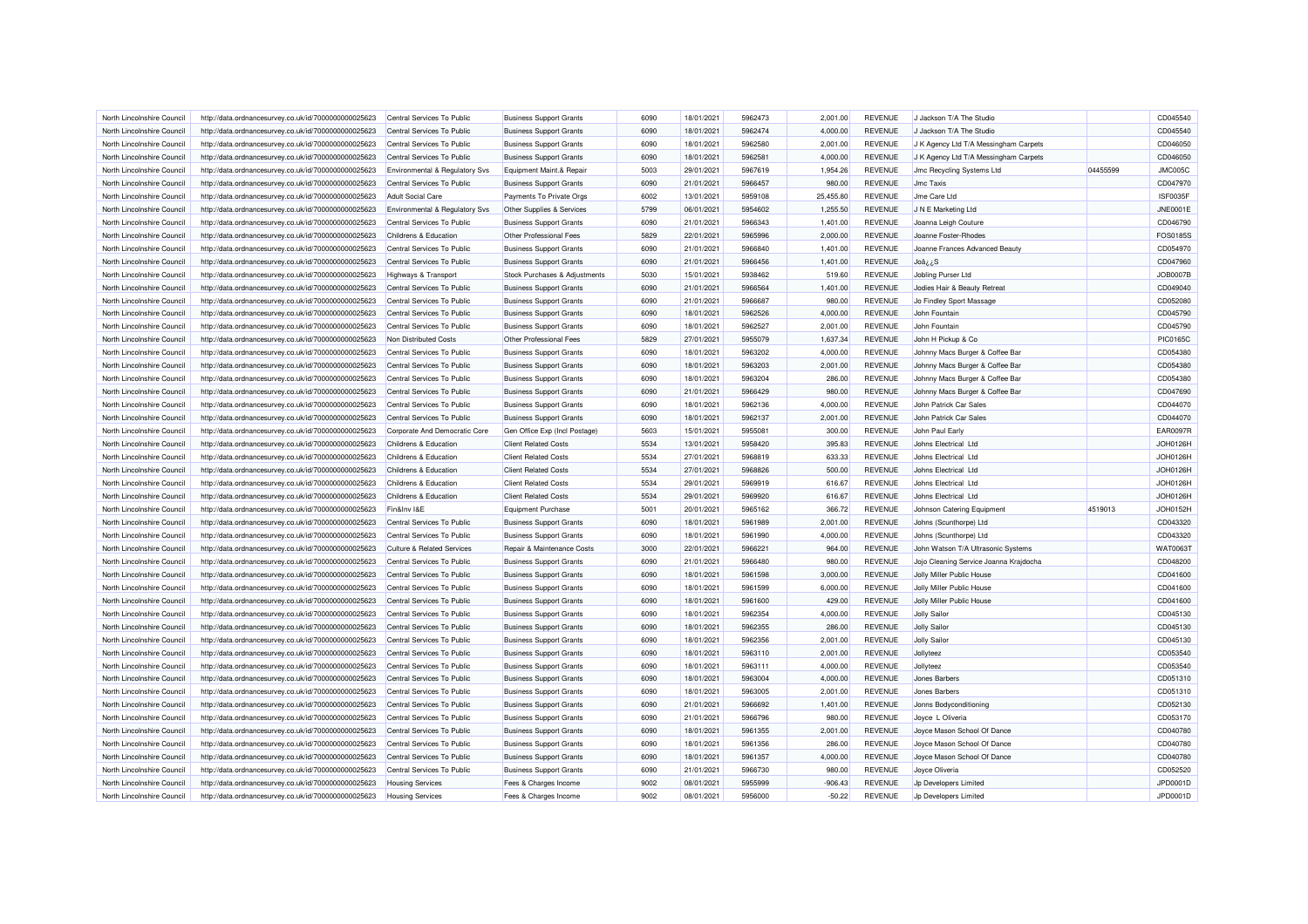| North Lincolnshire Council                               | http://data.ordnancesurvey.co.uk/id/7000000000025623 | Central Services To Public                               | <b>Business Support Grants</b>                                   | 6090 | 18/01/2021               | 5962473 | 2,001.00           | <b>REVENUE</b> | J Jackson T/A The Studio                        |          | CD045540        |
|----------------------------------------------------------|------------------------------------------------------|----------------------------------------------------------|------------------------------------------------------------------|------|--------------------------|---------|--------------------|----------------|-------------------------------------------------|----------|-----------------|
| North Lincolnshire Council                               | http://data.ordnancesurvey.co.uk/id/7000000000025623 | Central Services To Public                               | <b>Business Support Grants</b>                                   | 6090 | 18/01/2021               | 5962474 | 4,000.00           | <b>REVENUE</b> | J Jackson T/A The Studio                        |          | CD045540        |
| North Lincolnshire Council                               | http://data.ordnancesurvey.co.uk/id/7000000000025623 | Central Services To Public                               | <b>Business Support Grants</b>                                   | 6090 | 18/01/2021               | 5962580 | 2,001.00           | <b>REVENUE</b> | J K Agency Ltd T/A Messingham Carpets           |          | CD046050        |
| North Lincolnshire Council                               | http://data.ordnancesurvey.co.uk/id/7000000000025623 | Central Services To Public                               | <b>Business Support Grants</b>                                   | 6090 | 18/01/2021               | 5962581 | 4,000.00           | <b>REVENUE</b> | J K Agency Ltd T/A Messingham Carpets           |          | CD046050        |
| North Lincolnshire Council                               | http://data.ordnancesurvey.co.uk/id/7000000000025623 | Environmental & Regulatory Svs                           | Equipment Maint.& Repair                                         | 5003 | 29/01/2021               | 5967619 | 1,954.26           | <b>REVENUE</b> | <b>Jmc Recycling Systems Ltd</b>                | 04455599 | JMC005C         |
| North Lincolnshire Council                               | http://data.ordnancesurvey.co.uk/id/7000000000025623 | Central Services To Public                               | <b>Business Support Grants</b>                                   | 6090 | 21/01/2021               | 5966457 | 980.00             | <b>REVENUE</b> | <b>Jmc Taxis</b>                                |          | CD047970        |
| North Lincolnshire Council                               | http://data.ordnancesurvey.co.uk/id/7000000000025623 | <b>Adult Social Care</b>                                 | Payments To Private Orgs                                         | 6002 | 13/01/2021               | 5959108 | 25,455.80          | <b>REVENUE</b> | Jme Care Ltd                                    |          | <b>ISF0035F</b> |
| North Lincolnshire Council                               | http://data.ordnancesurvey.co.uk/id/7000000000025623 | Environmental & Regulatory Svs                           | Other Supplies & Services                                        | 5799 | 06/01/2021               | 5954602 | 1,255.50           | <b>REVENUE</b> | J N E Marketing Ltd                             |          | <b>JNE0001E</b> |
| North Lincolnshire Council                               | http://data.ordnancesurvey.co.uk/id/7000000000025623 | Central Services To Public                               | <b>Business Support Grants</b>                                   | 6090 | 21/01/2021               | 5966343 | 1,401.00           | <b>REVENUE</b> | Joanna Leigh Couture                            |          | CD046790        |
| North Lincolnshire Council                               | http://data.ordnancesurvey.co.uk/id/7000000000025623 | Childrens & Education                                    | Other Professional Fees                                          | 5829 | 22/01/2021               | 5965996 | 2,000.00           | <b>REVENUE</b> | Joanne Foster-Rhodes                            |          | FOS0185S        |
| North Lincolnshire Council                               | http://data.ordnancesurvey.co.uk/id/7000000000025623 | Central Services To Public                               | <b>Business Support Grants</b>                                   | 6090 | 21/01/2021               | 5966840 | 1,401.00           | <b>REVENUE</b> | Joanne Frances Advanced Beauty                  |          | CD054970        |
| North Lincolnshire Council                               | http://data.ordnancesurvey.co.uk/id/7000000000025623 | Central Services To Public                               | <b>Business Support Grants</b>                                   | 6090 | 21/01/2021               | 5966456 | 1,401.00           | <b>REVENUE</b> | Joå <i>ن</i> S                                  |          | CD047960        |
| North Lincolnshire Council                               | http://data.ordnancesurvey.co.uk/id/7000000000025623 | <b>Highways &amp; Transport</b>                          | Stock Purchases & Adjustments                                    | 5030 | 15/01/2021               | 5938462 | 519.60             | <b>REVENUE</b> | Jobling Purser Ltd                              |          | <b>JOB0007E</b> |
| North Lincolnshire Council                               | http://data.ordnancesurvey.co.uk/id/7000000000025623 | Central Services To Public                               | <b>Business Support Grants</b>                                   | 6090 | 21/01/2021               | 5966564 | 1,401.00           | <b>REVENUE</b> | Jodies Hair & Beauty Retreat                    |          | CD049040        |
| North Lincolnshire Council                               | http://data.ordnancesurvey.co.uk/id/7000000000025623 | Central Services To Public                               | <b>Business Support Grants</b>                                   | 6090 | 21/01/2021               | 5966687 | 980.00             | <b>REVENUE</b> | Jo Findley Sport Massage                        |          | CD052080        |
| North Lincolnshire Council                               | http://data.ordnancesurvey.co.uk/id/7000000000025623 | Central Services To Public                               | <b>Business Support Grants</b>                                   | 6090 | 18/01/2021               | 5962526 | 4,000.00           | <b>REVENUE</b> | John Fountain                                   |          | CD045790        |
| North Lincolnshire Council                               |                                                      | Central Services To Public                               |                                                                  | 6090 | 18/01/2021               | 5962527 | 2,001.00           | <b>REVENUE</b> | John Fountain                                   |          | CD045790        |
|                                                          | http://data.ordnancesurvey.co.uk/id/7000000000025623 |                                                          | <b>Business Support Grants</b>                                   | 5829 |                          |         |                    |                |                                                 |          |                 |
| North Lincolnshire Council                               | http://data.ordnancesurvey.co.uk/id/7000000000025623 | Non Distributed Costs                                    | Other Professional Fees                                          |      | 27/01/2021               | 5955079 | 1,637.34           | <b>REVENUE</b> | John H Pickup & Co                              |          | <b>PIC0165C</b> |
| North Lincolnshire Council                               | http://data.ordnancesurvey.co.uk/id/7000000000025623 | Central Services To Public                               | <b>Business Support Grants</b>                                   | 6090 | 18/01/2021               | 5963202 | 4,000.00           | <b>REVENUE</b> | Johnny Macs Burger & Coffee Bar                 |          | CD054380        |
| North Lincolnshire Council                               | http://data.ordnancesurvey.co.uk/id/7000000000025623 | Central Services To Public                               | <b>Business Support Grants</b>                                   | 6090 | 18/01/2021               | 5963203 | 2,001.00           | <b>REVENUE</b> | Johnny Macs Burger & Coffee Bar                 |          | CD054380        |
| North Lincolnshire Council                               | http://data.ordnancesurvey.co.uk/id/7000000000025623 | Central Services To Public                               | <b>Business Support Grants</b>                                   | 6090 | 18/01/2021               | 5963204 | 286.00             | <b>REVENUE</b> | Johnny Macs Burger & Coffee Bar                 |          | CD054380        |
| North Lincolnshire Council                               | http://data.ordnancesurvey.co.uk/id/7000000000025623 | Central Services To Public                               | <b>Business Support Grants</b>                                   | 6090 | 21/01/2021               | 5966429 | 980.00             | <b>REVENUE</b> | Johnny Macs Burger & Coffee Bar                 |          | CD047690        |
| North Lincolnshire Council                               | http://data.ordnancesurvey.co.uk/id/7000000000025623 | Central Services To Public                               | <b>Business Support Grants</b>                                   | 6090 | 18/01/2021               | 5962136 | 4,000.00           | <b>REVENUE</b> | John Patrick Car Sales                          |          | CD044070        |
| North Lincolnshire Council                               | http://data.ordnancesurvey.co.uk/id/7000000000025623 | Central Services To Public                               | <b>Business Support Grants</b>                                   | 6090 | 18/01/2021               | 5962137 | 2,001.00           | <b>REVENUE</b> | John Patrick Car Sales                          |          | CD044070        |
| North Lincolnshire Council                               | http://data.ordnancesurvey.co.uk/id/7000000000025623 | Corporate And Democratic Core                            | Gen Office Exp (Incl Postage)                                    | 5603 | 15/01/2021               | 5955081 | 300.00             | <b>REVENUE</b> | John Paul Early                                 |          | <b>EAR0097R</b> |
| North Lincolnshire Council                               | http://data.ordnancesurvey.co.uk/id/7000000000025623 | Childrens & Education                                    | <b>Client Related Costs</b>                                      | 5534 | 13/01/2021               | 5958420 | 395.83             | <b>REVENUE</b> | Johns Electrical Ltd                            |          | JOH0126H        |
| North Lincolnshire Council                               | http://data.ordnancesurvey.co.uk/id/7000000000025623 | Childrens & Education                                    | <b>Client Related Costs</b>                                      | 5534 | 27/01/2021               | 5968819 | 633.33             | <b>REVENUE</b> | Johns Electrical Ltd                            |          | JOH0126H        |
| North Lincolnshire Council                               | http://data.ordnancesurvey.co.uk/id/7000000000025623 | Childrens & Education                                    | <b>Client Related Costs</b>                                      | 5534 | 27/01/2021               | 5968826 | 500.00             | <b>REVENUE</b> | Johns Electrical Ltd                            |          | JOH0126H        |
| North Lincolnshire Council                               | http://data.ordnancesurvey.co.uk/id/7000000000025623 | Childrens & Education                                    | <b>Client Related Costs</b>                                      | 5534 | 29/01/2021               | 5969919 | 616.67             | <b>REVENUE</b> | Johns Electrical Ltd                            |          | JOH0126H        |
| North Lincolnshire Council                               | http://data.ordnancesurvey.co.uk/id/7000000000025623 | Childrens & Education                                    | <b>Client Related Costs</b>                                      | 5534 | 29/01/2021               | 5969920 | 616.67             | <b>REVENUE</b> | Johns Electrical Ltd                            |          | JOH0126H        |
| North Lincolnshire Council                               | http://data.ordnancesurvey.co.uk/id/7000000000025623 | Fin&Inv I&E                                              | <b>Equipment Purchase</b>                                        | 5001 | 20/01/2021               | 5965162 | 366.72             | <b>REVENUE</b> | Johnson Catering Equipment                      | 4519013  | JOH0152H        |
| North Lincolnshire Council                               | http://data.ordnancesurvey.co.uk/id/7000000000025623 | Central Services To Public                               | <b>Business Support Grants</b>                                   | 6090 | 18/01/2021               | 5961989 | 2,001.00           | <b>REVENUE</b> | Johns (Scunthorpe) Ltd                          |          | CD043320        |
| North Lincolnshire Council                               | http://data.ordnancesurvey.co.uk/id/7000000000025623 | Central Services To Public                               | <b>Business Support Grants</b>                                   | 6090 | 18/01/2021               | 5961990 | 4,000.00           | <b>REVENUE</b> | Johns (Scunthorpe) Ltd                          |          | CD043320        |
| North Lincolnshire Council                               | http://data.ordnancesurvey.co.uk/id/7000000000025623 | Culture & Related Services                               | Repair & Maintenance Costs                                       | 3000 | 22/01/2021               | 5966221 | 964.00             | <b>REVENUE</b> | John Watson T/A Ultrasonic Systems              |          | <b>WAT0063T</b> |
| North Lincolnshire Council                               | http://data.ordnancesurvey.co.uk/id/7000000000025623 | Central Services To Public                               | <b>Business Support Grants</b>                                   | 6090 | 21/01/2021               | 5966480 | 980.00             | <b>REVENUE</b> | Jojo Cleaning Service Joanna Krajdocha          |          | CD048200        |
| North Lincolnshire Council                               | http://data.ordnancesurvey.co.uk/id/7000000000025623 | Central Services To Public                               | <b>Business Support Grants</b>                                   | 6090 | 18/01/2021               | 5961598 | 3,000.00           | <b>REVENUE</b> | Jolly Miller Public House                       |          | CD041600        |
| North Lincolnshire Council                               | http://data.ordnancesurvey.co.uk/id/7000000000025623 | Central Services To Public                               | <b>Business Support Grants</b>                                   | 6090 | 18/01/2021               | 5961599 | 6,000.00           | <b>REVENUE</b> | Jolly Miller Public House                       |          | CD041600        |
| North Lincolnshire Council                               | http://data.ordnancesurvey.co.uk/id/7000000000025623 | Central Services To Public                               | <b>Business Support Grants</b>                                   | 6090 | 18/01/2021               | 5961600 | 429.00             | <b>REVENUE</b> | Jolly Miller Public House                       |          | CD041600        |
| North Lincolnshire Council                               | http://data.ordnancesurvey.co.uk/id/7000000000025623 | Central Services To Public                               | <b>Business Support Grants</b>                                   | 6090 | 18/01/2021               | 5962354 | 4,000.00           | <b>REVENUE</b> | <b>Jolly Sailor</b>                             |          | CD045130        |
| North Lincolnshire Council                               | http://data.ordnancesurvey.co.uk/id/7000000000025623 | Central Services To Public                               | <b>Business Support Grants</b>                                   | 6090 | 18/01/2021               | 5962355 | 286.00             | <b>REVENUE</b> | Jolly Sailor                                    |          | CD045130        |
| North Lincolnshire Council                               | http://data.ordnancesurvey.co.uk/id/7000000000025623 | Central Services To Public                               | <b>Business Support Grants</b>                                   | 6090 | 18/01/2021               | 5962356 | 2,001.00           | <b>REVENUE</b> | <b>Jolly Sailor</b>                             |          | CD045130        |
| North Lincolnshire Council                               | http://data.ordnancesurvey.co.uk/id/7000000000025623 | Central Services To Public                               | <b>Business Support Grants</b>                                   | 6090 | 18/01/2021               | 5963110 | 2,001.00           | <b>REVENUE</b> | Jollyteez                                       |          | CD053540        |
| North Lincolnshire Council                               | http://data.ordnancesurvey.co.uk/id/7000000000025623 | Central Services To Public                               | <b>Business Support Grants</b>                                   | 6090 | 18/01/2021               | 5963111 | 4,000.00           | <b>REVENUE</b> | Jollyteez                                       |          | CD053540        |
| North Lincolnshire Council                               | http://data.ordnancesurvey.co.uk/id/7000000000025623 | Central Services To Public                               | <b>Business Support Grants</b>                                   | 6090 | 18/01/2021               | 5963004 | 4,000.00           | <b>REVENUE</b> | Jones Barbers                                   |          | CD051310        |
| North Lincolnshire Council                               | http://data.ordnancesurvey.co.uk/id/7000000000025623 | Central Services To Public                               | <b>Business Support Grants</b>                                   | 6090 | 18/01/2021               | 5963005 | 2,001.00           | <b>REVENUE</b> | Jones Barbers                                   |          | CD051310        |
|                                                          |                                                      |                                                          |                                                                  | 6090 |                          | 5966692 |                    | <b>REVENUE</b> |                                                 |          | CD052130        |
| North Lincolnshire Council                               | http://data.ordnancesurvey.co.uk/id/7000000000025623 | Central Services To Public                               | <b>Business Support Grants</b>                                   | 6090 | 21/01/2021               | 5966796 | 1,401.00           | <b>REVENUE</b> | Jonns Bodyconditioning                          |          | CD053170        |
| North Lincolnshire Council<br>North Lincolnshire Council | http://data.ordnancesurvey.co.uk/id/7000000000025623 | Central Services To Public<br>Central Services To Public | <b>Business Support Grants</b><br><b>Business Support Grants</b> | 6090 | 21/01/2021<br>18/01/2021 | 5961355 | 980.00<br>2,001.00 | <b>REVENUE</b> | Joyce L Oliveria<br>Joyce Mason School Of Dance |          | CD040780        |
|                                                          | http://data.ordnancesurvey.co.uk/id/7000000000025623 |                                                          |                                                                  |      |                          |         |                    |                |                                                 |          |                 |
| North Lincolnshire Council                               | http://data.ordnancesurvey.co.uk/id/7000000000025623 | Central Services To Public                               | <b>Business Support Grants</b>                                   | 6090 | 18/01/2021               | 5961356 | 286.00             | <b>REVENUE</b> | Joyce Mason School Of Dance                     |          | CD040780        |
| North Lincolnshire Council                               | http://data.ordnancesurvey.co.uk/id/7000000000025623 | Central Services To Public                               | <b>Business Support Grants</b>                                   | 6090 | 18/01/2021               | 5961357 | 4,000.00           | <b>REVENUE</b> | Joyce Mason School Of Dance                     |          | CD040780        |
| North Lincolnshire Council                               | http://data.ordnancesurvey.co.uk/id/7000000000025623 | Central Services To Public                               | <b>Business Support Grants</b>                                   | 6090 | 21/01/2021               | 5966730 | 980.00             | <b>REVENUE</b> | Joyce Oliveria                                  |          | CD052520        |
| North Lincolnshire Council                               | http://data.ordnancesurvey.co.uk/id/7000000000025623 | <b>Housing Services</b>                                  | Fees & Charges Income                                            | 9002 | 08/01/2021               | 5955999 | $-906.43$          | <b>REVENUE</b> | <b>Jp Developers Limited</b>                    |          | JPD0001D        |
| North Lincolnshire Council                               | http://data.ordnancesurvey.co.uk/id/7000000000025623 | <b>Housing Services</b>                                  | Fees & Charges Income                                            | 9002 | 08/01/2021               | 5956000 | $-50.22$           | <b>REVENUE</b> | Jp Developers Limited                           |          | JPD0001D        |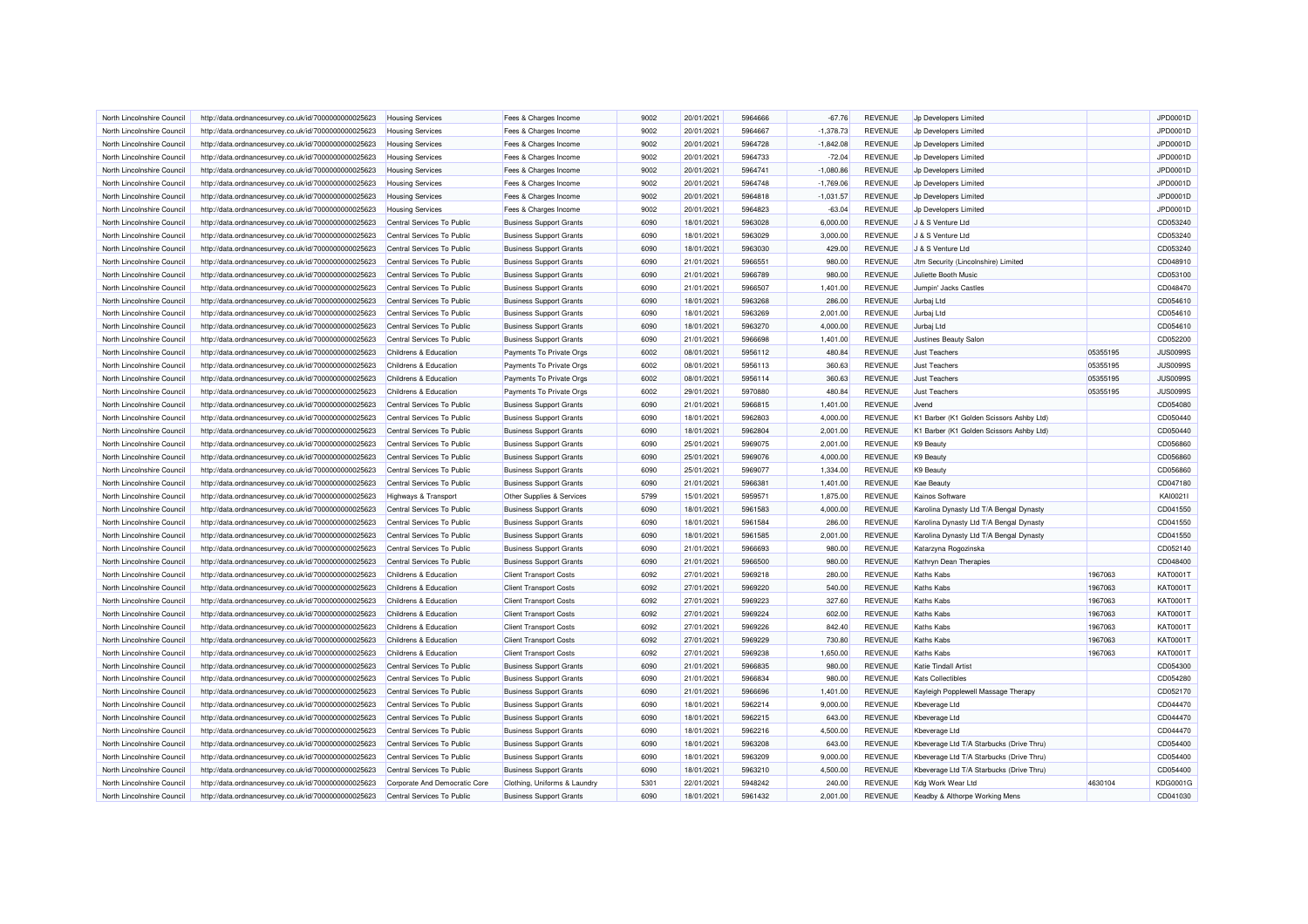| North Lincolnshire Council                               | http://data.ordnancesurvey.co.uk/id/7000000000025623                                                         | <b>Housing Services</b>                             | Fees & Charges Income                                | 9002         | 20/01/2021               | 5964666            | $-67.76$           | <b>REVENUE</b>                   | Jp Developers Limited                    |          | JPD0001D                    |
|----------------------------------------------------------|--------------------------------------------------------------------------------------------------------------|-----------------------------------------------------|------------------------------------------------------|--------------|--------------------------|--------------------|--------------------|----------------------------------|------------------------------------------|----------|-----------------------------|
| North Lincolnshire Council                               | http://data.ordnancesurvey.co.uk/id/7000000000025623                                                         | <b>Housing Services</b>                             | Fees & Charges Income                                | 9002         | 20/01/2021               | 5964667            | $-1,378.73$        | <b>REVENUE</b>                   | Jp Developers Limited                    |          | JPD0001D                    |
| North Lincolnshire Council                               | http://data.ordnancesurvey.co.uk/id/7000000000025623                                                         | <b>Housing Services</b>                             | Fees & Charges Income                                | 9002         | 20/01/2021               | 5964728            | $-1,842.08$        | <b>REVENUE</b>                   | Jp Developers Limited                    |          | JPD0001D                    |
| North Lincolnshire Council                               | http://data.ordnancesurvey.co.uk/id/7000000000025623                                                         | <b>Housing Services</b>                             | Fees & Charges Income                                | 9002         | 20/01/2021               | 5964733            | $-72.04$           | <b>REVENUE</b>                   | Jp Developers Limited                    |          | JPD0001D                    |
| North Lincolnshire Council                               | http://data.ordnancesurvey.co.uk/id/7000000000025623                                                         | <b>Housing Services</b>                             | Fees & Charges Income                                | 9002         | 20/01/2021               | 5964741            | $-1,080.86$        | <b>REVENUE</b>                   | Jp Developers Limited                    |          | JPD0001D                    |
| North Lincolnshire Council                               | http://data.ordnancesurvey.co.uk/id/7000000000025623                                                         | <b>Housing Services</b>                             | Fees & Charges Income                                | 9002         | 20/01/2021               | 5964748            | $-1,769.06$        | <b>REVENUE</b>                   | Jp Developers Limited                    |          | JPD0001D                    |
| North Lincolnshire Council                               | http://data.ordnancesurvey.co.uk/id/7000000000025623                                                         | <b>Housing Services</b>                             | Fees & Charges Income                                | 9002         | 20/01/2021               | 5964818            | $-1,031.57$        | <b>REVENUE</b>                   | Jp Developers Limited                    |          | JPD0001D                    |
| North Lincolnshire Council                               | http://data.ordnancesurvey.co.uk/id/7000000000025623                                                         | <b>Housing Services</b>                             | Fees & Charges Income                                | 9002         | 20/01/2021               | 5964823            | $-63.04$           | <b>REVENUE</b>                   | Jp Developers Limited                    |          | JPD0001D                    |
| North Lincolnshire Council                               | http://data.ordnancesurvey.co.uk/id/7000000000025623                                                         | Central Services To Public                          | <b>Business Support Grants</b>                       | 6090         | 18/01/2021               | 5963028            | 6,000.00           | <b>REVENUE</b>                   | J & S Venture Ltd                        |          | CD053240                    |
| North Lincolnshire Council                               | http://data.ordnancesurvey.co.uk/id/7000000000025623                                                         | Central Services To Public                          | <b>Business Support Grants</b>                       | 6090         | 18/01/2021               | 5963029            | 3,000.00           | <b>REVENUE</b>                   | J & S Venture Ltd                        |          | CD053240                    |
| North Lincolnshire Council                               | http://data.ordnancesurvey.co.uk/id/7000000000025623                                                         | Central Services To Public                          | <b>Business Support Grants</b>                       | 6090         | 18/01/2021               | 5963030            | 429.00             | <b>REVENUE</b>                   | J & S Venture Ltd                        |          | CD053240                    |
| North Lincolnshire Council                               | http://data.ordnancesurvey.co.uk/id/7000000000025623                                                         | Central Services To Public                          | <b>Business Support Grants</b>                       | 6090         | 21/01/2021               | 5966551            | 980.00             | <b>REVENUE</b>                   | Jtm Security (Lincolnshire) Limited      |          | CD048910                    |
| North Lincolnshire Council                               | http://data.ordnancesurvey.co.uk/id/7000000000025623                                                         | Central Services To Public                          | <b>Business Support Grants</b>                       | 6090         | 21/01/2021               | 5966789            | 980.00             | <b>REVENUE</b>                   | Juliette Booth Music                     |          | CD053100                    |
| North Lincolnshire Council                               | http://data.ordnancesurvey.co.uk/id/7000000000025623                                                         | Central Services To Public                          | <b>Business Support Grants</b>                       | 6090         | 21/01/2021               | 5966507            | 1,401.00           | <b>REVENUE</b>                   | Jumpin' Jacks Castles                    |          | CD048470                    |
| North Lincolnshire Council                               | http://data.ordnancesurvey.co.uk/id/7000000000025623                                                         | Central Services To Public                          | <b>Business Support Grants</b>                       | 6090         | 18/01/2021               | 5963268            | 286.00             | <b>REVENUE</b>                   | Jurbaj Ltd                               |          | CD054610                    |
| North Lincolnshire Council                               | http://data.ordnancesurvey.co.uk/id/7000000000025623                                                         | Central Services To Public                          | <b>Business Support Grants</b>                       | 6090         | 18/01/2021               | 5963269            | 2,001.00           | <b>REVENUE</b>                   | Jurbaj Ltd                               |          | CD054610                    |
| North Lincolnshire Council                               | http://data.ordnancesurvey.co.uk/id/7000000000025623                                                         | Central Services To Public                          | <b>Business Support Grants</b>                       | 6090         | 18/01/2021               | 5963270            | 4,000.00           | <b>REVENUE</b>                   | Jurbaj Ltd                               |          | CD054610                    |
| North Lincolnshire Council                               | http://data.ordnancesurvey.co.uk/id/7000000000025623                                                         | Central Services To Public                          | <b>Business Support Grants</b>                       | 6090         | 21/01/2021               | 5966698            | 1,401.00           | <b>REVENUE</b>                   | Justines Beauty Salon                    |          | CD052200                    |
| North Lincolnshire Council                               | http://data.ordnancesurvey.co.uk/id/7000000000025623                                                         | Childrens & Education                               | Payments To Private Orgs                             | 6002         | 08/01/2021               | 5956112            | 480.84             | <b>REVENUE</b>                   | <b>Just Teachers</b>                     | 05355195 | <b>JUS0099S</b>             |
| North Lincolnshire Council                               |                                                                                                              | Childrens & Education                               |                                                      | 6002         | 08/01/2021               | 5956113            | 360.63             | <b>REVENUE</b>                   | <b>Just Teachers</b>                     | 05355195 | <b>JUS0099S</b>             |
| North Lincolnshire Council                               | http://data.ordnancesurvey.co.uk/id/7000000000025623<br>http://data.ordnancesurvey.co.uk/id/7000000000025623 | Childrens & Education                               | Payments To Private Orgs<br>Payments To Private Orgs | 6002         | 08/01/2021               | 5956114            | 360.63             | <b>REVENUE</b>                   | <b>Just Teachers</b>                     | 05355195 | <b>JUS0099S</b>             |
|                                                          |                                                                                                              |                                                     |                                                      |              |                          |                    |                    |                                  |                                          |          |                             |
| North Lincolnshire Council<br>North Lincolnshire Council | http://data.ordnancesurvey.co.uk/id/7000000000025623                                                         | Childrens & Education<br>Central Services To Public | Payments To Private Orgs                             | 6002<br>6090 | 29/01/2021<br>21/01/2021 | 5970880<br>5966815 | 480.84<br>1.401.00 | <b>REVENUE</b><br><b>REVENUE</b> | <b>Just Teachers</b><br>.Jvend           | 05355195 | <b>JUS0099S</b><br>CD054080 |
|                                                          | http://data.ordnancesurvey.co.uk/id/7000000000025623                                                         |                                                     | <b>Business Support Grants</b>                       |              |                          |                    |                    |                                  |                                          |          |                             |
| North Lincolnshire Council                               | http://data.ordnancesurvey.co.uk/id/7000000000025623                                                         | Central Services To Public                          | <b>Business Support Grants</b>                       | 6090         | 18/01/2021               | 5962803            | 4,000.00           | <b>REVENUE</b>                   | K1 Barber (K1 Golden Scissors Ashby Ltd) |          | CD050440                    |
| North Lincolnshire Council                               | http://data.ordnancesurvey.co.uk/id/7000000000025623                                                         | Central Services To Public                          | <b>Business Support Grants</b>                       | 6090         | 18/01/2021               | 5962804            | 2,001.00           | <b>REVENUE</b>                   | K1 Barber (K1 Golden Scissors Ashby Ltd) |          | CD050440                    |
| North Lincolnshire Council                               | http://data.ordnancesurvey.co.uk/id/7000000000025623                                                         | Central Services To Public                          | <b>Business Support Grants</b>                       | 6090         | 25/01/2021               | 5969075            | 2,001.00           | <b>REVENUE</b>                   | K9 Beauty                                |          | CD056860                    |
| North Lincolnshire Council                               | http://data.ordnancesurvey.co.uk/id/7000000000025623                                                         | Central Services To Public                          | <b>Business Support Grants</b>                       | 6090         | 25/01/2021               | 5969076            | 4,000.00           | <b>REVENUE</b>                   | <b>K9 Beauty</b>                         |          | CD056860                    |
| North Lincolnshire Council                               | http://data.ordnancesurvey.co.uk/id/7000000000025623                                                         | Central Services To Public                          | <b>Business Support Grants</b>                       | 6090         | 25/01/2021               | 5969077            | 1,334.00           | <b>REVENUE</b>                   | K9 Beauty                                |          | CD056860                    |
| North Lincolnshire Council                               | http://data.ordnancesurvey.co.uk/id/7000000000025623                                                         | Central Services To Public                          | <b>Business Support Grants</b>                       | 6090         | 21/01/2021               | 5966381            | 1,401.00           | <b>REVENUE</b>                   | <b>Kae Beauty</b>                        |          | CD047180                    |
| North Lincolnshire Council                               | http://data.ordnancesurvey.co.uk/id/7000000000025623                                                         | <b>Highways &amp; Transport</b>                     | Other Supplies & Services                            | 5799         | 15/01/2021               | 5959571            | 1,875.00           | <b>REVENUE</b>                   | Kainos Software                          |          | KAI0021I                    |
| North Lincolnshire Council                               | http://data.ordnancesurvey.co.uk/id/7000000000025623                                                         | Central Services To Public                          | <b>Business Support Grants</b>                       | 6090         | 18/01/2021               | 5961583            | 4,000.00           | <b>REVENUE</b>                   | Karolina Dynasty Ltd T/A Bengal Dynasty  |          | CD041550                    |
| North Lincolnshire Council                               | http://data.ordnancesurvey.co.uk/id/7000000000025623                                                         | Central Services To Public                          | <b>Business Support Grants</b>                       | 6090         | 18/01/2021               | 5961584            | 286.00             | <b>REVENUE</b>                   | Karolina Dynasty Ltd T/A Bengal Dynasty  |          | CD041550                    |
| North Lincolnshire Council                               | http://data.ordnancesurvey.co.uk/id/7000000000025623                                                         | Central Services To Public                          | <b>Business Support Grants</b>                       | 6090         | 18/01/2021               | 5961585            | 2,001.00           | <b>REVENUE</b>                   | Karolina Dynasty Ltd T/A Bengal Dynasty  |          | CD041550                    |
| North Lincolnshire Council                               | http://data.ordnancesurvey.co.uk/id/7000000000025623                                                         | Central Services To Public                          | <b>Business Support Grants</b>                       | 6090         | 21/01/2021               | 5966693            | 980.00             | <b>REVENUE</b>                   | Katarzyna Rogozinska                     |          | CD052140                    |
| North Lincolnshire Council                               | http://data.ordnancesurvey.co.uk/id/7000000000025623                                                         | Central Services To Public                          | <b>Business Support Grants</b>                       | 6090         | 21/01/2021               | 5966500            | 980.00             | <b>REVENUE</b>                   | Kathryn Dean Therapies                   |          | CD048400                    |
| North Lincolnshire Council                               | http://data.ordnancesurvey.co.uk/id/7000000000025623                                                         | Childrens & Education                               | <b>Client Transport Costs</b>                        | 6092         | 27/01/2021               | 5969218            | 280.00             | <b>REVENUE</b>                   | Kaths Kabs                               | 1967063  | KAT0001T                    |
| North Lincolnshire Council                               | http://data.ordnancesurvey.co.uk/id/7000000000025623                                                         | Childrens & Education                               | <b>Client Transport Costs</b>                        | 6092         | 27/01/2021               | 5969220            | 540.00             | <b>REVENUE</b>                   | <b>Kaths Kabs</b>                        | 1967063  | KAT0001T                    |
| North Lincolnshire Council                               | http://data.ordnancesurvey.co.uk/id/7000000000025623                                                         | Childrens & Education                               | <b>Client Transport Costs</b>                        | 6092         | 27/01/2021               | 5969223            | 327.60             | <b>REVENUE</b>                   | Kaths Kabs                               | 1967063  | KAT0001T                    |
| North Lincolnshire Council                               | http://data.ordnancesurvey.co.uk/id/7000000000025623                                                         | Childrens & Education                               | <b>Client Transport Costs</b>                        | 6092         | 27/01/2021               | 5969224            | 602.00             | <b>REVENUE</b>                   | <b>Kaths Kabs</b>                        | 1967063  | KAT0001T                    |
| North Lincolnshire Council                               | http://data.ordnancesurvey.co.uk/id/7000000000025623                                                         | Childrens & Education                               | <b>Client Transport Costs</b>                        | 6092         | 27/01/2021               | 5969226            | 842.40             | <b>REVENUE</b>                   | Kaths Kabs                               | 1967063  | KAT0001T                    |
| North Lincolnshire Council                               | http://data.ordnancesurvey.co.uk/id/7000000000025623                                                         | Childrens & Education                               | <b>Client Transport Costs</b>                        | 6092         | 27/01/2021               | 5969229            | 730.80             | <b>REVENUE</b>                   | <b>Kaths Kabs</b>                        | 1967063  | KAT0001T                    |
| North Lincolnshire Council                               | http://data.ordnancesurvey.co.uk/id/7000000000025623                                                         | Childrens & Education                               | <b>Client Transport Costs</b>                        | 6092         | 27/01/2021               | 5969238            | 1,650.00           | <b>REVENUE</b>                   | <b>Kaths Kabs</b>                        | 1967063  | KAT0001T                    |
| North Lincolnshire Council                               | http://data.ordnancesurvey.co.uk/id/7000000000025623                                                         | Central Services To Public                          | <b>Business Support Grants</b>                       | 6090         | 21/01/2021               | 5966835            | 980.00             | <b>REVENUE</b>                   | <b>Katie Tindall Artist</b>              |          | CD054300                    |
| North Lincolnshire Council                               | http://data.ordnancesurvey.co.uk/id/7000000000025623                                                         | Central Services To Public                          | <b>Business Support Grants</b>                       | 6090         | 21/01/2021               | 5966834            | 980.00             | REVENUE                          | <b>Kats Collectibles</b>                 |          | CD054280                    |
| North Lincolnshire Council                               | http://data.ordnancesurvey.co.uk/id/7000000000025623                                                         | Central Services To Public                          | <b>Business Support Grants</b>                       | 6090         | 21/01/2021               | 5966696            | 1,401.00           | <b>REVENUE</b>                   | Kayleigh Popplewell Massage Therapy      |          | CD052170                    |
| North Lincolnshire Council                               | http://data.ordnancesurvey.co.uk/id/7000000000025623                                                         | Central Services To Public                          | <b>Business Support Grants</b>                       | 6090         | 18/01/2021               | 5962214            | 9,000.00           | <b>REVENUE</b>                   | Kbeverage Ltd                            |          | CD044470                    |
| North Lincolnshire Council                               | http://data.ordnancesurvey.co.uk/id/7000000000025623                                                         | Central Services To Public                          | <b>Business Support Grants</b>                       | 6090         | 18/01/2021               | 5962215            | 643.00             | <b>REVENUE</b>                   | Kbeverage Ltd                            |          | CD044470                    |
| North Lincolnshire Council                               | http://data.ordnancesurvey.co.uk/id/7000000000025623                                                         | Central Services To Public                          | <b>Business Support Grants</b>                       | 6090         | 18/01/2021               | 5962216            | 4,500.00           | <b>REVENUE</b>                   | Kbeverage Ltd                            |          | CD044470                    |
| North Lincolnshire Council                               | http://data.ordnancesurvey.co.uk/id/7000000000025623                                                         | Central Services To Public                          | <b>Business Support Grants</b>                       | 6090         | 18/01/2021               | 5963208            | 643.00             | <b>REVENUE</b>                   | Kbeverage Ltd T/A Starbucks (Drive Thru) |          | CD054400                    |
| North Lincolnshire Council                               | http://data.ordnancesurvey.co.uk/id/7000000000025623                                                         | Central Services To Public                          | <b>Business Support Grants</b>                       | 6090         | 18/01/2021               | 5963209            | 9,000.00           | <b>REVENUE</b>                   | Kbeverage Ltd T/A Starbucks (Drive Thru) |          | CD054400                    |
| North Lincolnshire Council                               | http://data.ordnancesurvey.co.uk/id/7000000000025623                                                         | Central Services To Public                          | <b>Business Support Grants</b>                       | 6090         | 18/01/2021               | 5963210            | 4,500.00           | <b>REVENUE</b>                   | Kbeverage Ltd T/A Starbucks (Drive Thru) |          | CD054400                    |
| North Lincolnshire Council                               | http://data.ordnancesurvey.co.uk/id/7000000000025623                                                         | Corporate And Democratic Core                       | Clothing, Uniforms & Laundry                         | 5301         | 22/01/2021               | 5948242            | 240.00             | <b>REVENUE</b>                   | Kdg Work Wear Ltd                        | 4630104  | <b>KDG0001G</b>             |
| North Lincolnshire Council                               | http://data.ordnancesurvey.co.uk/id/7000000000025623                                                         | Central Services To Public                          | <b>Business Support Grants</b>                       | 6090         | 18/01/2021               | 5961432            | 2,001.00           | <b>REVENUE</b>                   | Keadby & Althorpe Working Mens           |          | CD041030                    |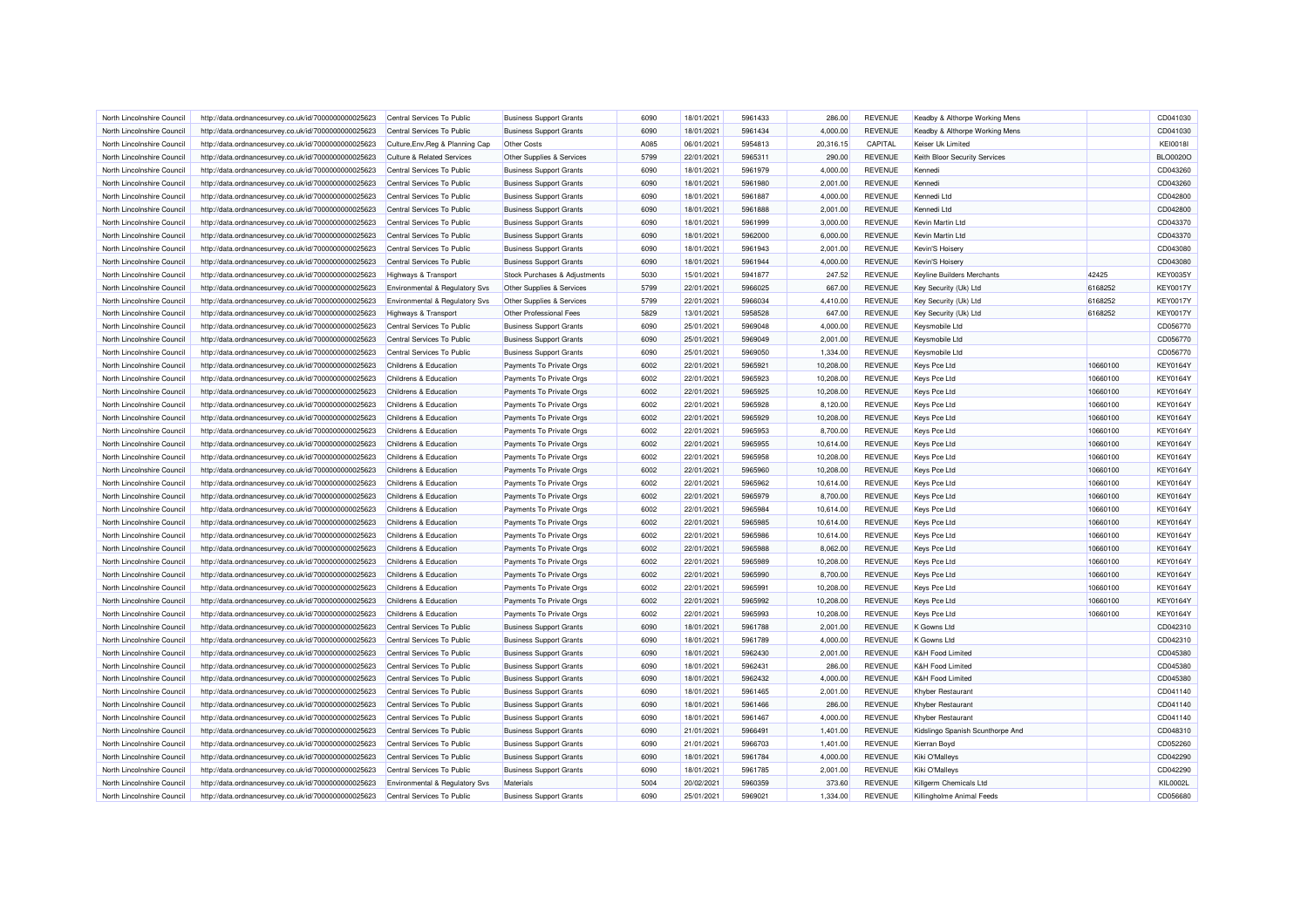| North Lincolnshire Council | http://data.ordnancesurvey.co.uk/id/7000000000025623 | Central Services To Public                | <b>Business Support Grants</b>                                   | 6090 | 18/01/2021 | 5961433 | 286.00    | <b>REVENUE</b> | Keadby & Althorpe Working Mens   |          | CD041030        |
|----------------------------|------------------------------------------------------|-------------------------------------------|------------------------------------------------------------------|------|------------|---------|-----------|----------------|----------------------------------|----------|-----------------|
| North Lincolnshire Council | http://data.ordnancesurvey.co.uk/id/7000000000025623 | Central Services To Public                | <b>Business Support Grants</b>                                   | 6090 | 18/01/2021 | 5961434 | 4,000.00  | <b>REVENUE</b> | Keadby & Althorpe Working Mens   |          | CD041030        |
| North Lincolnshire Council | http://data.ordnancesurvey.co.uk/id/7000000000025623 | Culture, Env, Reg & Planning Cap          | Other Costs                                                      | A085 | 06/01/2021 | 5954813 | 20,316.15 | CAPITAL        | Keiser Uk Limited                |          | <b>KEI0018I</b> |
| North Lincolnshire Council | http://data.ordnancesurvey.co.uk/id/7000000000025623 | <b>Culture &amp; Related Services</b>     | Other Supplies & Services                                        | 5799 | 22/01/2021 | 5965311 | 290.00    | <b>REVENUE</b> | Keith Bloor Security Services    |          | <b>BLO0020C</b> |
| North Lincolnshire Council | http://data.ordnancesurvey.co.uk/id/7000000000025623 | Central Services To Public                | <b>Business Support Grants</b>                                   | 6090 | 18/01/2021 | 5961979 | 4,000.00  | <b>REVENUE</b> | Kennedi                          |          | CD043260        |
| North Lincolnshire Council | http://data.ordnancesurvey.co.uk/id/7000000000025623 | Central Services To Public                | <b>Business Support Grants</b>                                   | 6090 | 18/01/2021 | 5961980 | 2,001.00  | <b>REVENUE</b> | Kennedi                          |          | CD043260        |
| North Lincolnshire Council | http://data.ordnancesurvey.co.uk/id/7000000000025623 | Central Services To Public                | <b>Business Support Grants</b>                                   | 6090 | 18/01/2021 | 5961887 | 4,000.00  | <b>REVENUE</b> | Kennedi Ltd                      |          | CD042800        |
| North Lincolnshire Council | http://data.ordnancesurvey.co.uk/id/7000000000025623 | Central Services To Public                | <b>Business Support Grants</b>                                   | 6090 | 18/01/2021 | 5961888 | 2,001.00  | <b>REVENUE</b> | Kennedi Ltd                      |          | CD042800        |
| North Lincolnshire Council | http://data.ordnancesurvey.co.uk/id/7000000000025623 | Central Services To Public                | <b>Business Support Grants</b>                                   | 6090 | 18/01/2021 | 5961999 | 3,000.00  | <b>REVENUE</b> | Kevin Martin Ltd                 |          | CD043370        |
| North Lincolnshire Council | http://data.ordnancesurvey.co.uk/id/7000000000025623 | Central Services To Public                | <b>Business Support Grants</b>                                   | 6090 | 18/01/2021 | 5962000 | 6,000.00  | <b>REVENUE</b> | Kevin Martin Ltd                 |          | CD043370        |
| North Lincolnshire Council | http://data.ordnancesurvey.co.uk/id/7000000000025623 | Central Services To Public                | <b>Business Support Grants</b>                                   | 6090 | 18/01/2021 | 5961943 | 2,001.00  | <b>REVENUE</b> | Kevin'S Hoisery                  |          | CD043080        |
| North Lincolnshire Council | http://data.ordnancesurvey.co.uk/id/7000000000025623 | Central Services To Public                | <b>Business Support Grants</b>                                   | 6090 | 18/01/2021 | 5961944 | 4,000.00  | <b>REVENUE</b> | Kevin'S Hoisery                  |          | CD043080        |
| North Lincolnshire Council | http://data.ordnancesurvey.co.uk/id/7000000000025623 | Highways & Transport                      | Stock Purchases & Adjustments                                    | 5030 | 15/01/2021 | 5941877 | 247.52    | <b>REVENUE</b> | Keyline Builders Merchants       | 42425    | <b>KEY0035Y</b> |
| North Lincolnshire Council | http://data.ordnancesurvey.co.uk/id/7000000000025623 | Environmental & Regulatory Svs            | Other Supplies & Services                                        | 5799 | 22/01/2021 | 5966025 | 667.00    | <b>REVENUE</b> | Key Security (Uk) Ltd            | 6168252  | <b>KEY0017Y</b> |
| North Lincolnshire Council | http://data.ordnancesurvey.co.uk/id/7000000000025623 | <b>Environmental &amp; Regulatory Svs</b> | Other Supplies & Services                                        | 5799 | 22/01/2021 | 5966034 | 4,410.00  | <b>REVENUE</b> | Key Security (Uk) Ltd            | 6168252  | <b>KEY0017Y</b> |
| North Lincolnshire Council | http://data.ordnancesurvey.co.uk/id/7000000000025623 | Highways & Transport                      | Other Professional Fees                                          | 5829 | 13/01/2021 | 5958528 | 647.00    | <b>REVENUE</b> | Key Security (Uk) Ltd            | 6168252  | <b>KEY0017Y</b> |
| North Lincolnshire Council | http://data.ordnancesurvey.co.uk/id/7000000000025623 | Central Services To Public                | <b>Business Support Grants</b>                                   | 6090 | 25/01/2021 | 5969048 | 4,000.00  | <b>REVENUE</b> | Keysmobile Ltd                   |          | CD056770        |
| North Lincolnshire Council | http://data.ordnancesurvey.co.uk/id/7000000000025623 | Central Services To Public                | <b>Business Support Grants</b>                                   | 6090 | 25/01/2021 | 5969049 | 2,001.00  | <b>REVENUE</b> | Keysmobile Ltd                   |          | CD056770        |
| North Lincolnshire Council | http://data.ordnancesurvey.co.uk/id/7000000000025623 | Central Services To Public                | <b>Business Support Grants</b>                                   | 6090 | 25/01/2021 | 5969050 | 1,334.00  | <b>REVENUE</b> | Keysmobile Ltd                   |          | CD056770        |
| North Lincolnshire Council | http://data.ordnancesurvey.co.uk/id/7000000000025623 | Childrens & Education                     | Payments To Private Orgs                                         | 6002 | 22/01/2021 | 5965921 | 10,208.00 | <b>REVENUE</b> | <b>Keys Pce Ltd</b>              | 10660100 | <b>KEY0164Y</b> |
| North Lincolnshire Council | http://data.ordnancesurvey.co.uk/id/7000000000025623 | Childrens & Education                     | Payments To Private Orgs                                         | 6002 | 22/01/2021 | 5965923 | 10,208.00 | <b>REVENUE</b> | Keys Pce Ltd                     | 10660100 | KEY0164Y        |
| North Lincolnshire Council |                                                      | Childrens & Education                     |                                                                  | 6002 |            | 5965925 |           |                |                                  | 10660100 |                 |
|                            | http://data.ordnancesurvey.co.uk/id/7000000000025623 |                                           | Payments To Private Orgs                                         |      | 22/01/2021 |         | 10,208.00 | <b>REVENUE</b> | Keys Pce Ltd                     |          | KEY0164Y        |
| North Lincolnshire Council | http://data.ordnancesurvey.co.uk/id/7000000000025623 | Childrens & Education                     | Payments To Private Orgs                                         | 6002 | 22/01/2021 | 5965928 | 8,120.00  | <b>REVENUE</b> | <b>Keys Pce Ltd</b>              | 10660100 | KEY0164Y        |
| North Lincolnshire Council | http://data.ordnancesurvey.co.uk/id/7000000000025623 | Childrens & Education                     | Payments To Private Orgs                                         | 6002 | 22/01/2021 | 5965929 | 10,208.00 | <b>REVENUE</b> | Keys Pce Ltd                     | 10660100 | <b>KEY0164Y</b> |
| North Lincolnshire Council | http://data.ordnancesurvey.co.uk/id/7000000000025623 | Childrens & Education                     | Payments To Private Orgs                                         | 6002 | 22/01/2021 | 5965953 | 8,700.00  | <b>REVENUE</b> | Keys Pce Ltd                     | 10660100 | KEY0164Y        |
| North Lincolnshire Council | http://data.ordnancesurvey.co.uk/id/7000000000025623 | Childrens & Education                     | Payments To Private Orgs                                         | 6002 | 22/01/2021 | 5965955 | 10,614.00 | <b>REVENUE</b> | Keys Pce Ltd                     | 10660100 | <b>KEY0164Y</b> |
| North Lincolnshire Council | http://data.ordnancesurvey.co.uk/id/7000000000025623 | Childrens & Education                     | Payments To Private Orgs                                         | 6002 | 22/01/2021 | 5965958 | 10,208.00 | <b>REVENUE</b> | <b>Keys Pce Ltd</b>              | 10660100 | <b>KEY0164Y</b> |
| North Lincolnshire Council | http://data.ordnancesurvey.co.uk/id/7000000000025623 | Childrens & Education                     | Payments To Private Orgs                                         | 6002 | 22/01/2021 | 5965960 | 10,208.00 | <b>REVENUE</b> | <b>Keys Pce Ltd</b>              | 10660100 | <b>KEY0164Y</b> |
| North Lincolnshire Council | http://data.ordnancesurvey.co.uk/id/7000000000025623 | Childrens & Education                     | Payments To Private Orgs                                         | 6002 | 22/01/2021 | 5965962 | 10,614.00 | <b>REVENUE</b> | Keys Pce Ltd                     | 10660100 | KEY0164Y        |
| North Lincolnshire Council | http://data.ordnancesurvey.co.uk/id/7000000000025623 | Childrens & Education                     | Payments To Private Orgs                                         | 6002 | 22/01/2021 | 5965979 | 8,700.00  | <b>REVENUE</b> | Keys Pce Ltd                     | 10660100 | KEY0164Y        |
| North Lincolnshire Council | http://data.ordnancesurvey.co.uk/id/7000000000025623 | Childrens & Education                     | Payments To Private Orgs                                         | 6002 | 22/01/2021 | 5965984 | 10,614.00 | <b>REVENUE</b> | <b>Keys Pce Ltd</b>              | 10660100 | <b>KEY0164Y</b> |
| North Lincolnshire Council | http://data.ordnancesurvey.co.uk/id/7000000000025623 | Childrens & Education                     | Payments To Private Orgs                                         | 6002 | 22/01/2021 | 5965985 | 10,614.00 | <b>REVENUE</b> | Keys Pce Ltd                     | 10660100 | <b>KEY0164Y</b> |
| North Lincolnshire Council | http://data.ordnancesurvey.co.uk/id/7000000000025623 | Childrens & Education                     | Payments To Private Orgs                                         | 6002 | 22/01/2021 | 5965986 | 10,614.00 | <b>REVENUE</b> | Keys Pce Ltd                     | 10660100 | KEY0164Y        |
| North Lincolnshire Council | http://data.ordnancesurvey.co.uk/id/7000000000025623 | Childrens & Education                     | Payments To Private Orgs                                         | 6002 | 22/01/2021 | 5965988 | 8.062.00  | <b>REVENUE</b> | <b>Keys Pce Ltd</b>              | 10660100 | <b>KEY0164Y</b> |
| North Lincolnshire Council | http://data.ordnancesurvey.co.uk/id/7000000000025623 | Childrens & Education                     | Payments To Private Orgs                                         | 6002 | 22/01/2021 | 5965989 | 10,208.00 | <b>REVENUE</b> | <b>Keys Pce Ltd</b>              | 10660100 | KEY0164Y        |
| North Lincolnshire Council | http://data.ordnancesurvey.co.uk/id/7000000000025623 | Childrens & Education                     | Payments To Private Orgs                                         | 6002 | 22/01/2021 | 5965990 | 8,700.00  | <b>REVENUE</b> | Keys Pce Ltd                     | 10660100 | KEY0164Y        |
| North Lincolnshire Council | http://data.ordnancesurvey.co.uk/id/7000000000025623 | Childrens & Education                     | Payments To Private Orgs                                         | 6002 | 22/01/2021 | 5965991 | 10,208.00 | <b>REVENUE</b> | <b>Keys Pce Ltd</b>              | 10660100 | KEY0164Y        |
| North Lincolnshire Council | http://data.ordnancesurvey.co.uk/id/7000000000025623 | Childrens & Education                     | Payments To Private Orgs                                         | 6002 | 22/01/2021 | 5965992 | 10,208.00 | <b>REVENUE</b> | Keys Pce Ltd                     | 10660100 | KEY0164Y        |
| North Lincolnshire Council | http://data.ordnancesurvey.co.uk/id/7000000000025623 | Childrens & Education                     | Payments To Private Orgs                                         | 6002 | 22/01/2021 | 5965993 | 10,208.00 | <b>REVENUE</b> | Keys Pce Ltd                     | 10660100 | KEY0164Y        |
| North Lincolnshire Council | http://data.ordnancesurvey.co.uk/id/7000000000025623 | Central Services To Public                | <b>Business Support Grants</b>                                   | 6090 | 18/01/2021 | 5961788 | 2,001.00  | <b>REVENUE</b> | <b>K Gowns Ltd</b>               |          | CD042310        |
| North Lincolnshire Council | http://data.ordnancesurvey.co.uk/id/7000000000025623 | Central Services To Public                | <b>Business Support Grants</b>                                   | 6090 | 18/01/2021 | 5961789 | 4,000.00  | <b>REVENUE</b> | K Gowns Ltd                      |          | CD042310        |
| North Lincolnshire Council | http://data.ordnancesurvey.co.uk/id/7000000000025623 | Central Services To Public                | <b>Business Support Grants</b>                                   | 6090 | 18/01/2021 | 5962430 | 2.001.00  | <b>REVENUE</b> | <b>K&amp;H Food Limited</b>      |          | CD045380        |
| North Lincolnshire Council | http://data.ordnancesurvey.co.uk/id/7000000000025623 | Central Services To Public                | <b>Business Support Grants</b>                                   | 6090 | 18/01/2021 | 5962431 | 286.00    | <b>REVENUE</b> | K&H Food Limited                 |          | CD045380        |
| North Lincolnshire Council | http://data.ordnancesurvey.co.uk/id/7000000000025623 | Central Services To Public                | <b>Business Support Grants</b>                                   | 6090 | 18/01/2021 | 5962432 | 4,000.00  | <b>REVENUE</b> | K&H Food Limited                 |          | CD045380        |
| North Lincolnshire Council | http://data.ordnancesurvey.co.uk/id/7000000000025623 | Central Services To Public                | <b>Business Support Grants</b>                                   | 6090 | 18/01/2021 | 5961465 | 2,001.00  | <b>REVENUE</b> | <b>Khyber Restaurant</b>         |          | CD041140        |
| North Lincolnshire Council | http://data.ordnancesurvey.co.uk/id/7000000000025623 | Central Services To Public                | <b>Business Support Grants</b>                                   | 6090 | 18/01/2021 | 5961466 | 286.00    | <b>REVENUE</b> | Khyber Restaurant                |          | CD041140        |
| North Lincolnshire Council | http://data.ordnancesurvey.co.uk/id/7000000000025623 | Central Services To Public                |                                                                  | 6090 | 18/01/2021 | 5961467 | 4,000.00  | <b>REVENUE</b> | Khyber Restaurant                |          | CD041140        |
| North Lincolnshire Council | http://data.ordnancesurvey.co.uk/id/7000000000025623 | Central Services To Public                | <b>Business Support Grants</b><br><b>Business Support Grants</b> | 6090 | 21/01/2021 | 5966491 | 1,401.00  | <b>REVENUE</b> | Kidslingo Spanish Scunthorpe And |          | CD048310        |
|                            |                                                      |                                           |                                                                  |      |            |         |           |                |                                  |          |                 |
| North Lincolnshire Council | http://data.ordnancesurvey.co.uk/id/7000000000025623 | Central Services To Public                | <b>Business Support Grants</b>                                   | 6090 | 21/01/2021 | 5966703 | 1,401.00  | <b>REVENUE</b> | Kierran Boyd                     |          | CD052260        |
| North Lincolnshire Council | http://data.ordnancesurvey.co.uk/id/7000000000025623 | Central Services To Public                | <b>Business Support Grants</b>                                   | 6090 | 18/01/2021 | 5961784 | 4,000.00  | <b>REVENUE</b> | Kiki O'Malleys                   |          | CD042290        |
| North Lincolnshire Council | http://data.ordnancesurvey.co.uk/id/7000000000025623 | Central Services To Public                | <b>Business Support Grants</b>                                   | 6090 | 18/01/2021 | 5961785 | 2,001.00  | <b>REVENUE</b> | Kiki O'Malleys                   |          | CD042290        |
| North Lincolnshire Council | http://data.ordnancesurvey.co.uk/id/7000000000025623 | Environmental & Regulatory Svs            | Materials                                                        | 5004 | 20/02/2021 | 5960359 | 373.60    | <b>REVENUE</b> | Killgerm Chemicals Ltd           |          | <b>KIL0002L</b> |
| North Lincolnshire Council | http://data.ordnancesurvey.co.uk/id/7000000000025623 | Central Services To Public                | <b>Business Support Grants</b>                                   | 6090 | 25/01/2021 | 596902  | 1,334.00  | <b>REVENUE</b> | Killingholme Animal Feeds        |          | CD056680        |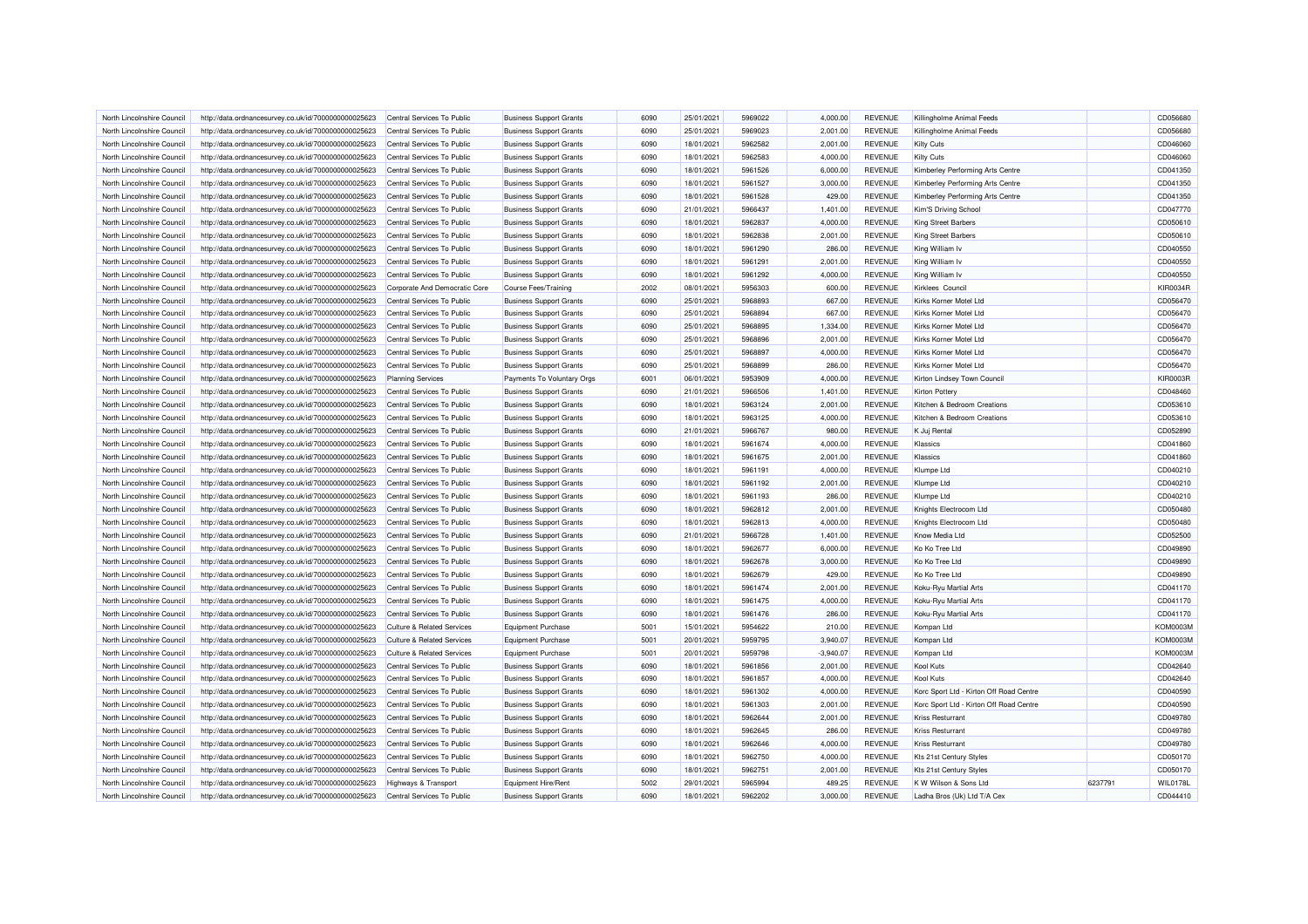| North Lincolnshire Council | http://data.ordnancesurvey.co.uk/id/7000000000025623 | Central Services To Public            | <b>Business Support Grants</b> | 6090 | 25/01/2021 | 5969022 | 4.000.00    | <b>REVENUE</b> | Killingholme Animal Feeds               |         | CD056680        |
|----------------------------|------------------------------------------------------|---------------------------------------|--------------------------------|------|------------|---------|-------------|----------------|-----------------------------------------|---------|-----------------|
| North Lincolnshire Council | http://data.ordnancesurvey.co.uk/id/7000000000025623 | Central Services To Public            | <b>Business Support Grants</b> | 6090 | 25/01/2021 | 5969023 | 2,001.00    | <b>REVENUE</b> | Killingholme Animal Feeds               |         | CD056680        |
| North Lincolnshire Council | http://data.ordnancesurvey.co.uk/id/7000000000025623 | Central Services To Public            | <b>Business Support Grants</b> | 6090 | 18/01/2021 | 5962582 | 2,001.00    | <b>REVENUE</b> | Kilty Cuts                              |         | CD046060        |
| North Lincolnshire Council | http://data.ordnancesurvey.co.uk/id/7000000000025623 | Central Services To Public            | <b>Business Support Grants</b> | 6090 | 18/01/2021 | 5962583 | 4,000.00    | <b>REVENUE</b> | Kilty Cuts                              |         | CD046060        |
| North Lincolnshire Council | http://data.ordnancesurvey.co.uk/id/7000000000025623 | Central Services To Public            | <b>Business Support Grants</b> | 6090 | 18/01/2021 | 5961526 | 6,000.00    | <b>REVENUE</b> | Kimberley Performing Arts Centre        |         | CD041350        |
| North Lincolnshire Council | http://data.ordnancesurvey.co.uk/id/7000000000025623 | Central Services To Public            | <b>Business Support Grants</b> | 6090 | 18/01/2021 | 5961527 | 3,000.00    | <b>REVENUE</b> | Kimberley Performing Arts Centre        |         | CD041350        |
| North Lincolnshire Council | http://data.ordnancesurvey.co.uk/id/7000000000025623 | Central Services To Public            | <b>Business Support Grants</b> | 6090 | 18/01/2021 | 5961528 | 429.00      | <b>REVENUE</b> | Kimberley Performing Arts Centre        |         | CD041350        |
| North Lincolnshire Council | http://data.ordnancesurvey.co.uk/id/7000000000025623 | Central Services To Public            | <b>Business Support Grants</b> | 6090 | 21/01/2021 | 5966437 | 1,401.00    | <b>REVENUE</b> | Kim'S Driving School                    |         | CD047770        |
| North Lincolnshire Council | http://data.ordnancesurvey.co.uk/id/7000000000025623 | Central Services To Public            | <b>Business Support Grants</b> | 6090 | 18/01/2021 | 5962837 | 4,000.00    | <b>REVENUE</b> | <b>King Street Barbers</b>              |         | CD050610        |
| North Lincolnshire Council | http://data.ordnancesurvey.co.uk/id/7000000000025623 | Central Services To Public            | <b>Business Support Grants</b> | 6090 | 18/01/2021 | 5962838 | 2,001.00    | <b>REVENUE</b> | King Street Barbers                     |         | CD050610        |
| North Lincolnshire Council | http://data.ordnancesurvey.co.uk/id/7000000000025623 | Central Services To Public            | <b>Business Support Grants</b> | 6090 | 18/01/2021 | 5961290 | 286.00      | <b>REVENUE</b> | King William Iv                         |         | CD040550        |
| North Lincolnshire Council | http://data.ordnancesurvey.co.uk/id/7000000000025623 | Central Services To Public            | <b>Business Support Grants</b> | 6090 | 18/01/2021 | 5961291 | 2,001.00    | <b>REVENUE</b> | King William Iv                         |         | CD040550        |
| North Lincolnshire Council | http://data.ordnancesurvey.co.uk/id/7000000000025623 | Central Services To Public            | <b>Business Support Grants</b> | 6090 | 18/01/2021 | 5961292 | 4,000.00    | <b>REVENUE</b> | King William Iv                         |         | CD040550        |
| North Lincolnshire Council | http://data.ordnancesurvey.co.uk/id/7000000000025623 | Corporate And Democratic Core         | Course Fees/Training           | 2002 | 08/01/2021 | 5956303 | 600.00      | <b>REVENUE</b> | Kirklees Council                        |         | <b>KIR0034R</b> |
| North Lincolnshire Council | http://data.ordnancesurvey.co.uk/id/7000000000025623 | Central Services To Public            | <b>Business Support Grants</b> | 6090 | 25/01/2021 | 5968893 | 667.00      | <b>REVENUE</b> | Kirks Korner Motel Ltd                  |         | CD056470        |
| North Lincolnshire Council | http://data.ordnancesurvey.co.uk/id/7000000000025623 | Central Services To Public            | <b>Business Support Grants</b> | 6090 | 25/01/2021 | 5968894 | 667.00      | <b>REVENUE</b> | Kirks Korner Motel I to                 |         | CD056470        |
| North Lincolnshire Council |                                                      | Central Services To Public            |                                | 6090 | 25/01/2021 | 5968895 | 1,334.00    | <b>REVENUE</b> | Kirks Korner Motel Ltd                  |         | CD056470        |
| North Lincolnshire Council | http://data.ordnancesurvey.co.uk/id/7000000000025623 |                                       | <b>Business Support Grants</b> | 6090 | 25/01/2021 | 5968896 | 2,001.00    | <b>REVENUE</b> | Kirks Korner Motel Ltd                  |         | CD056470        |
|                            | http://data.ordnancesurvey.co.uk/id/7000000000025623 | Central Services To Public            | <b>Business Support Grants</b> |      |            |         |             |                |                                         |         |                 |
| North Lincolnshire Council | http://data.ordnancesurvey.co.uk/id/7000000000025623 | Central Services To Public            | <b>Business Support Grants</b> | 6090 | 25/01/2021 | 5968897 | 4,000.00    | <b>REVENUE</b> | Kirks Korner Motel Ltd                  |         | CD056470        |
| North Lincolnshire Council | http://data.ordnancesurvey.co.uk/id/7000000000025623 | Central Services To Public            | <b>Business Support Grants</b> | 6090 | 25/01/2021 | 5968899 | 286.00      | <b>REVENUE</b> | Kirks Korner Motel Ltc                  |         | CD056470        |
| North Lincolnshire Council | http://data.ordnancesurvey.co.uk/id/7000000000025623 | <b>Planning Services</b>              | Payments To Voluntary Orgs     | 6001 | 06/01/2021 | 5953909 | 4,000.00    | <b>REVENUE</b> | Kirton Lindsey Town Council             |         | <b>KIR0003R</b> |
| North Lincolnshire Council | http://data.ordnancesurvey.co.uk/id/7000000000025623 | Central Services To Public            | <b>Business Support Grants</b> | 6090 | 21/01/2021 | 5966506 | 1,401.00    | <b>REVENUE</b> | <b>Kirton Pottery</b>                   |         | CD048460        |
| North Lincolnshire Council | http://data.ordnancesurvey.co.uk/id/7000000000025623 | Central Services To Public            | <b>Business Support Grants</b> | 6090 | 18/01/2021 | 5963124 | 2.001.00    | <b>REVENUE</b> | Kitchen & Bedroom Creations             |         | CD053610        |
| North Lincolnshire Council | http://data.ordnancesurvey.co.uk/id/7000000000025623 | Central Services To Public            | <b>Business Support Grants</b> | 6090 | 18/01/2021 | 5963125 | 4,000.00    | <b>REVENUE</b> | Kitchen & Bedroom Creations             |         | CD053610        |
| North Lincolnshire Council | http://data.ordnancesurvey.co.uk/id/7000000000025623 | Central Services To Public            | <b>Business Support Grants</b> | 6090 | 21/01/2021 | 5966767 | 980.00      | <b>REVENUE</b> | K Juj Rental                            |         | CD052890        |
| North Lincolnshire Council | http://data.ordnancesurvey.co.uk/id/7000000000025623 | Central Services To Public            | <b>Business Support Grants</b> | 6090 | 18/01/2021 | 5961674 | 4,000.00    | <b>REVENUE</b> | Klassics                                |         | CD041860        |
| North Lincolnshire Council | http://data.ordnancesurvey.co.uk/id/7000000000025623 | Central Services To Public            | <b>Business Support Grants</b> | 6090 | 18/01/2021 | 5961675 | 2,001.00    | <b>REVENUE</b> | Klassics                                |         | CD041860        |
| North Lincolnshire Council | http://data.ordnancesurvey.co.uk/id/7000000000025623 | Central Services To Public            | <b>Business Support Grants</b> | 6090 | 18/01/2021 | 5961191 | 4,000.00    | <b>REVENUE</b> | Klumpe Ltd                              |         | CD040210        |
| North Lincolnshire Council | http://data.ordnancesurvey.co.uk/id/7000000000025623 | Central Services To Public            | <b>Business Support Grants</b> | 6090 | 18/01/2021 | 5961192 | 2,001.00    | <b>REVENUE</b> | Klumpe Ltd                              |         | CD040210        |
| North Lincolnshire Council | http://data.ordnancesurvey.co.uk/id/7000000000025623 | Central Services To Public            | <b>Business Support Grants</b> | 6090 | 18/01/2021 | 5961193 | 286.00      | <b>REVENUE</b> | Klumpe Ltd                              |         | CD040210        |
| North Lincolnshire Council | http://data.ordnancesurvey.co.uk/id/7000000000025623 | Central Services To Public            | <b>Business Support Grants</b> | 6090 | 18/01/2021 | 5962812 | 2,001.00    | <b>REVENUE</b> | Knights Electrocom Ltd                  |         | CD050480        |
| North Lincolnshire Council | http://data.ordnancesurvey.co.uk/id/7000000000025623 | Central Services To Public            | <b>Business Support Grants</b> | 6090 | 18/01/2021 | 5962813 | 4,000.00    | <b>REVENUE</b> | Knights Electrocom Ltd                  |         | CD050480        |
| North Lincolnshire Council | http://data.ordnancesurvey.co.uk/id/7000000000025623 | Central Services To Public            | <b>Business Support Grants</b> | 6090 | 21/01/2021 | 5966728 | 1,401.00    | <b>REVENUE</b> | Know Media Ltd                          |         | CD052500        |
| North Lincolnshire Council | http://data.ordnancesurvey.co.uk/id/7000000000025623 | Central Services To Public            | <b>Business Support Grants</b> | 6090 | 18/01/2021 | 5962677 | 6.000.00    | <b>REVENUE</b> | Ko Ko Tree Ltd                          |         | CD049890        |
| North Lincolnshire Council | http://data.ordnancesurvey.co.uk/id/7000000000025623 | Central Services To Public            | <b>Business Support Grants</b> | 6090 | 18/01/2021 | 5962678 | 3,000.00    | <b>REVENUE</b> | Ko Ko Tree Ltd                          |         | CD049890        |
| North Lincolnshire Council | http://data.ordnancesurvey.co.uk/id/7000000000025623 | Central Services To Public            | <b>Business Support Grants</b> | 6090 | 18/01/2021 | 5962679 | 429.00      | <b>REVENUE</b> | Ko Ko Tree Ltd                          |         | CD049890        |
| North Lincolnshire Council | http://data.ordnancesurvey.co.uk/id/7000000000025623 | Central Services To Public            | <b>Business Support Grants</b> | 6090 | 18/01/2021 | 5961474 | 2,001.00    | <b>REVENUE</b> | Koku-Ryu Martial Arts                   |         | CD041170        |
| North Lincolnshire Council | http://data.ordnancesurvey.co.uk/id/7000000000025623 | Central Services To Public            | <b>Business Support Grants</b> | 6090 | 18/01/2021 | 5961475 | 4,000.00    | <b>REVENUE</b> | Koku-Ryu Martial Arts                   |         | CD041170        |
| North Lincolnshire Council | http://data.ordnancesurvey.co.uk/id/7000000000025623 | Central Services To Public            | <b>Business Support Grants</b> | 6090 | 18/01/2021 | 5961476 | 286.00      | <b>REVENUE</b> | Koku-Ryu Martial Arts                   |         | CD041170        |
| North Lincolnshire Council | http://data.ordnancesurvey.co.uk/id/7000000000025623 | <b>Culture &amp; Related Services</b> | <b>Equipment Purchase</b>      | 5001 | 15/01/2021 | 5954622 | 210.00      | <b>REVENUE</b> | Kompan Ltd                              |         | <b>KOM0003M</b> |
| North Lincolnshire Council | http://data.ordnancesurvey.co.uk/id/7000000000025623 | <b>Culture &amp; Related Services</b> | <b>Equipment Purchase</b>      | 5001 | 20/01/2021 | 5959795 | 3,940.07    | <b>REVENUE</b> | Kompan Ltd                              |         | <b>KOM0003M</b> |
| North Lincolnshire Council | http://data.ordnancesurvey.co.uk/id/7000000000025623 | <b>Culture &amp; Related Services</b> | <b>Equipment Purchase</b>      | 5001 | 20/01/2021 | 5959798 | $-3,940.07$ | <b>REVENUE</b> | Kompan Ltd                              |         | <b>KOM0003M</b> |
| North Lincolnshire Council | http://data.ordnancesurvey.co.uk/id/7000000000025623 | Central Services To Public            | <b>Business Support Grants</b> | 6090 | 18/01/2021 | 5961856 | 2,001.00    | <b>REVENUE</b> | Kool Kuts                               |         | CD042640        |
| North Lincolnshire Council | http://data.ordnancesurvey.co.uk/id/7000000000025623 | Central Services To Public            | <b>Business Support Grants</b> | 6090 | 18/01/2021 | 5961857 | 4,000.00    | <b>REVENUE</b> | Kool Kuts                               |         | CD042640        |
| North Lincolnshire Council | http://data.ordnancesurvey.co.uk/id/7000000000025623 | Central Services To Public            | <b>Business Support Grants</b> | 6090 | 18/01/2021 | 5961302 | 4,000.00    | <b>REVENUE</b> | Korc Sport Ltd - Kirton Off Road Centre |         | CD040590        |
| North Lincolnshire Council | http://data.ordnancesurvey.co.uk/id/7000000000025623 | Central Services To Public            | <b>Business Support Grants</b> | 6090 | 18/01/2021 | 5961303 | 2,001.00    | <b>REVENUE</b> | Korc Sport Ltd - Kirton Off Road Centre |         | CD040590        |
| North Lincolnshire Council | http://data.ordnancesurvey.co.uk/id/7000000000025623 | Central Services To Public            | <b>Business Support Grants</b> | 6090 | 18/01/2021 | 5962644 | 2,001.00    | <b>REVENUE</b> | <b>Kriss Resturrant</b>                 |         | CD049780        |
| North Lincolnshire Council | http://data.ordnancesurvey.co.uk/id/7000000000025623 | Central Services To Public            | <b>Business Support Grants</b> | 6090 | 18/01/2021 | 5962645 | 286.00      | <b>REVENUE</b> | <b>Kriss Resturrant</b>                 |         | CD049780        |
| North Lincolnshire Council | http://data.ordnancesurvey.co.uk/id/7000000000025623 | Central Services To Public            | <b>Business Support Grants</b> | 6090 | 18/01/2021 | 5962646 | 4,000.00    | <b>REVENUE</b> | <b>Kriss Resturrant</b>                 |         | CD049780        |
| North Lincolnshire Council | http://data.ordnancesurvey.co.uk/id/7000000000025623 | Central Services To Public            | <b>Business Support Grants</b> | 6090 | 18/01/2021 | 5962750 | 4,000.00    | <b>REVENUE</b> | Kts 21st Century Styles                 |         | CD050170        |
| North Lincolnshire Council | http://data.ordnancesurvey.co.uk/id/7000000000025623 | Central Services To Public            | <b>Business Support Grants</b> | 6090 | 18/01/2021 | 5962751 | 2,001.00    | <b>REVENUE</b> | Kts 21st Century Styles                 |         | CD050170        |
| North Lincolnshire Council | http://data.ordnancesurvey.co.uk/id/7000000000025623 | <b>Highways &amp; Transport</b>       | Equipment Hire/Rent            | 5002 | 29/01/2021 | 5965994 | 489.25      | <b>REVENUE</b> | K W Wilson & Sons Ltd                   | 6237791 | <b>WIL0178L</b> |
| North Lincolnshire Council | http://data.ordnancesurvey.co.uk/id/7000000000025623 | Central Services To Public            | <b>Business Support Grants</b> | 6090 | 18/01/2021 | 5962202 | 3,000.00    | <b>REVENUE</b> | Ladha Bros (Uk) Ltd T/A Cex             |         | CD044410        |
|                            |                                                      |                                       |                                |      |            |         |             |                |                                         |         |                 |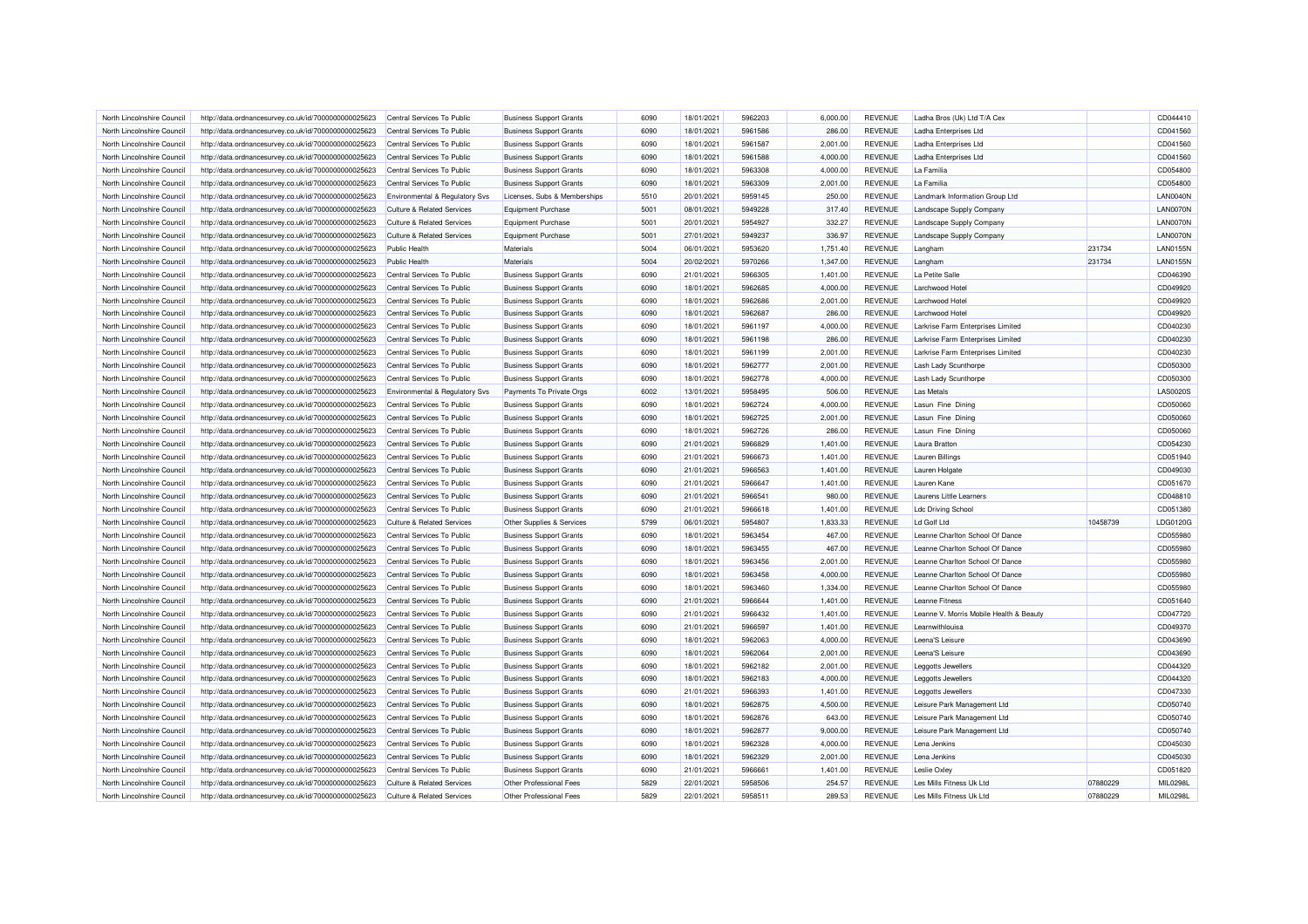| North Lincolnshire Council                               | http://data.ordnancesurvey.co.uk/id/7000000000025623                                                         | Central Services To Public                               | <b>Business Support Grants</b>                                   | 6090         | 18/01/2021               | 5962203            | 6.000.00             | <b>REVENUE</b>                   | Ladha Bros (Uk) Ltd T/A Cex                                        |          | CD044410             |
|----------------------------------------------------------|--------------------------------------------------------------------------------------------------------------|----------------------------------------------------------|------------------------------------------------------------------|--------------|--------------------------|--------------------|----------------------|----------------------------------|--------------------------------------------------------------------|----------|----------------------|
| North Lincolnshire Council                               | http://data.ordnancesurvey.co.uk/id/7000000000025623                                                         | Central Services To Public                               | <b>Business Support Grants</b>                                   | 6090         | 18/01/2021               | 5961586            | 286.00               | <b>REVENUE</b>                   | Ladha Enterprises Ltd                                              |          | CD041560             |
| North Lincolnshire Council                               | http://data.ordnancesurvey.co.uk/id/7000000000025623                                                         | Central Services To Public                               | <b>Business Support Grants</b>                                   | 6090         | 18/01/2021               | 5961587            | 2,001.00             | <b>REVENUE</b>                   | Ladha Enterprises Ltd                                              |          | CD041560             |
| North Lincolnshire Council                               | http://data.ordnancesurvey.co.uk/id/7000000000025623                                                         | Central Services To Public                               | <b>Business Support Grants</b>                                   | 6090         | 18/01/2021               | 5961588            | 4,000.00             | <b>REVENUE</b>                   | Ladha Enterprises Ltd                                              |          | CD041560             |
| North Lincolnshire Council                               | http://data.ordnancesurvey.co.uk/id/7000000000025623                                                         | Central Services To Public                               | <b>Business Support Grants</b>                                   | 6090         | 18/01/2021               | 5963308            | 4,000.00             | <b>REVENUE</b>                   | La Familia                                                         |          | CD054800             |
| North Lincolnshire Council                               | http://data.ordnancesurvey.co.uk/id/7000000000025623                                                         | Central Services To Public                               | <b>Business Support Grants</b>                                   | 6090         | 18/01/2021               | 5963309            | 2,001.00             | <b>REVENUE</b>                   | La Familia                                                         |          | CD054800             |
| North Lincolnshire Council                               | http://data.ordnancesurvey.co.uk/id/7000000000025623                                                         | Environmental & Regulatory Svs                           | Licenses, Subs & Memberships                                     | 5510         | 20/01/2021               | 5959145            | 250.00               | <b>REVENUE</b>                   | Landmark Information Group Ltd                                     |          | <b>LAN0040N</b>      |
| North Lincolnshire Council                               | http://data.ordnancesurvey.co.uk/id/7000000000025623                                                         | <b>Culture &amp; Related Services</b>                    | Equipment Purchase                                               | 5001         | 08/01/2021               | 5949228            | 317.40               | <b>REVENUE</b>                   | Landscape Supply Company                                           |          | LAN0070N             |
| North Lincolnshire Council                               | http://data.ordnancesurvey.co.uk/id/7000000000025623                                                         | <b>Culture &amp; Related Services</b>                    | <b>Equipment Purchase</b>                                        | 5001         | 20/01/2021               | 5954927            | 332.27               | <b>REVENUE</b>                   | Landscape Supply Company                                           |          | LAN0070N             |
| North Lincolnshire Council                               | http://data.ordnancesurvey.co.uk/id/7000000000025623                                                         | <b>Culture &amp; Related Services</b>                    | <b>Equipment Purchase</b>                                        | 5001         | 27/01/2021               | 5949237            | 336.97               | <b>REVENUE</b>                   | Landscape Supply Company                                           |          | LAN0070N             |
| North Lincolnshire Council                               | http://data.ordnancesurvey.co.uk/id/7000000000025623                                                         | Public Health                                            | Materials                                                        | 5004         | 06/01/2021               | 5953620            | 1,751.40             | <b>REVENUE</b>                   | Langham                                                            | 231734   | LAN0155N             |
| North Lincolnshire Council                               | http://data.ordnancesurvey.co.uk/id/7000000000025623                                                         | Public Health                                            | Materials                                                        | 5004         | 20/02/2021               | 5970266            | 1,347.00             | <b>REVENUE</b>                   | Langham                                                            | 231734   | <b>LAN0155N</b>      |
| North Lincolnshire Council                               | http://data.ordnancesurvey.co.uk/id/7000000000025623                                                         | Central Services To Public                               | <b>Business Support Grants</b>                                   | 6090         | 21/01/2021               | 5966305            | 1,401.00             | <b>REVENUE</b>                   | La Petite Salle                                                    |          | CD046390             |
| North Lincolnshire Council                               | http://data.ordnancesurvey.co.uk/id/7000000000025623                                                         | Central Services To Public                               | <b>Business Support Grants</b>                                   | 6090         | 18/01/2021               | 5962685            | 4,000.00             | <b>REVENUE</b>                   | I archwood Hote                                                    |          | CD049920             |
| North Lincolnshire Council                               | http://data.ordnancesurvey.co.uk/id/7000000000025623                                                         | Central Services To Public                               | <b>Business Support Grants</b>                                   | 6090         | 18/01/2021               | 5962686            | 2.001.00             | <b>REVENUE</b>                   | Larchwood Hotel                                                    |          | CD049920             |
| North Lincolnshire Council                               | http://data.ordnancesurvey.co.uk/id/7000000000025623                                                         | Central Services To Public                               | <b>Business Support Grants</b>                                   | 6090         | 18/01/2021               | 5962687            | 286.00               | <b>REVENUE</b>                   | Larchwood Hotel                                                    |          | CD049920             |
| North Lincolnshire Council                               | http://data.ordnancesurvey.co.uk/id/7000000000025623                                                         | Central Services To Public                               | <b>Business Support Grants</b>                                   | 6090         | 18/01/2021               | 5961197            | 4,000.00             | <b>REVENUE</b>                   | Larkrise Farm Enterprises Limited                                  |          | CD040230             |
| North Lincolnshire Council                               | http://data.ordnancesurvey.co.uk/id/7000000000025623                                                         | Central Services To Public                               | <b>Business Support Grants</b>                                   | 6090         | 18/01/2021               | 5961198            | 286.00               | <b>REVENUE</b>                   | Larkrise Farm Enterprises Limited                                  |          | CD040230             |
| North Lincolnshire Council                               | http://data.ordnancesurvey.co.uk/id/7000000000025623                                                         | Central Services To Public                               | <b>Business Support Grants</b>                                   | 6090         | 18/01/2021               | 5961199            | 2,001.00             | <b>REVENUE</b>                   | Larkrise Farm Enterprises Limited                                  |          | CD040230             |
| North Lincolnshire Council                               | http://data.ordnancesurvey.co.uk/id/7000000000025623                                                         | Central Services To Public                               | <b>Business Support Grants</b>                                   | 6090         | 18/01/2021               | 5962777            | 2,001.00             | <b>REVENUE</b>                   | Lash Lady Scunthorpe                                               |          | CD050300             |
| North Lincolnshire Council                               | http://data.ordnancesurvey.co.uk/id/7000000000025623                                                         | Central Services To Public                               | <b>Business Support Grants</b>                                   | 6090         | 18/01/2021               | 5962778            | 4,000.00             | <b>REVENUE</b>                   | Lash Lady Scunthorpe                                               |          | CD050300             |
| North Lincolnshire Council                               | http://data.ordnancesurvey.co.uk/id/7000000000025623                                                         | Environmental & Regulatory Svs                           | Payments To Private Orgs                                         | 6002         | 13/01/2021               | 5958495            | 506.00               | <b>REVENUE</b>                   | <b>Las Metals</b>                                                  |          | <b>LAS0020S</b>      |
| North Lincolnshire Council                               | http://data.ordnancesurvey.co.uk/id/7000000000025623                                                         | Central Services To Public                               | <b>Business Support Grants</b>                                   | 6090         | 18/01/2021               | 5962724            | 4,000.00             | <b>REVENUE</b>                   | Lasun Fine Dining                                                  |          | CD050060             |
| North Lincolnshire Council                               | http://data.ordnancesurvey.co.uk/id/7000000000025623                                                         | Central Services To Public                               | <b>Business Support Grants</b>                                   | 6090         | 18/01/2021               | 5962725            | 2,001.00             | <b>REVENUE</b>                   | Lasun Fine Dining                                                  |          | CD050060             |
| North Lincolnshire Council                               | http://data.ordnancesurvey.co.uk/id/7000000000025623                                                         | Central Services To Public                               | <b>Business Support Grants</b>                                   | 6090         | 18/01/2021               | 5962726            | 286.00               | <b>REVENUE</b>                   | Lasun Fine Dining                                                  |          | CD050060             |
| North Lincolnshire Council                               | http://data.ordnancesurvey.co.uk/id/7000000000025623                                                         | Central Services To Public                               | <b>Business Support Grants</b>                                   | 6090         | 21/01/2021               | 5966829            | 1,401.00             | <b>REVENUE</b>                   | Laura Bratton                                                      |          | CD054230             |
| North Lincolnshire Council                               | http://data.ordnancesurvey.co.uk/id/7000000000025623                                                         | Central Services To Public                               | <b>Business Support Grants</b>                                   | 6090         | 21/01/2021               | 5966673            | 1,401.00             | <b>REVENUE</b>                   | Lauren Billings                                                    |          | CD051940             |
| North Lincolnshire Council                               | http://data.ordnancesurvey.co.uk/id/7000000000025623                                                         | Central Services To Public                               | <b>Business Support Grants</b>                                   | 6090         | 21/01/2021               | 5966563            | 1,401.00             | <b>REVENUE</b>                   | Lauren Holgate                                                     |          | CD049030             |
| North Lincolnshire Council                               | http://data.ordnancesurvey.co.uk/id/7000000000025623                                                         | Central Services To Public                               | <b>Business Support Grants</b>                                   | 6090         | 21/01/2021               | 5966647            | 1,401.00             | <b>REVENUE</b>                   | Lauren Kane                                                        |          | CD051670             |
| North Lincolnshire Council                               | http://data.ordnancesurvey.co.uk/id/7000000000025623                                                         | Central Services To Public                               | <b>Business Support Grants</b>                                   | 6090         | 21/01/2021               | 5966541            | 980.00               | <b>REVENUE</b>                   | Laurens Little Learners                                            |          | CD048810             |
| North Lincolnshire Council                               | http://data.ordnancesurvey.co.uk/id/7000000000025623                                                         | Central Services To Public                               | <b>Business Support Grants</b>                                   | 6090         | 21/01/2021               | 5966618            | 1,401.00             | <b>REVENUE</b>                   | <b>Ldc Driving School</b>                                          |          | CD051380             |
| North Lincolnshire Council                               | http://data.ordnancesurvey.co.uk/id/7000000000025623                                                         | <b>Culture &amp; Related Services</b>                    | Other Supplies & Services                                        | 5799         | 06/01/2021               | 5954807            | 1,833.33             | <b>REVENUE</b>                   | Ld Golf Ltd                                                        | 10458739 | LDG0120G             |
| North Lincolnshire Council                               | http://data.ordnancesurvey.co.uk/id/7000000000025623                                                         | Central Services To Public                               | <b>Business Support Grants</b>                                   | 6090         | 18/01/2021               | 5963454            | 467.00               | <b>REVENUE</b>                   | Leanne Charlton School Of Dance                                    |          | CD055980             |
| North Lincolnshire Council                               | http://data.ordnancesurvey.co.uk/id/7000000000025623                                                         | Central Services To Public                               | <b>Business Support Grants</b>                                   | 6090         | 18/01/2021               | 5963455            | 467.00               | <b>REVENUE</b>                   | Leanne Charlton School Of Dance                                    |          | CD055980             |
| North Lincolnshire Council                               | http://data.ordnancesurvey.co.uk/id/7000000000025623                                                         | Central Services To Public                               | <b>Business Support Grants</b>                                   | 6090         | 18/01/2021               | 5963456            | 2,001.00             | <b>REVENUE</b>                   | Leanne Charlton School Of Dance                                    |          | CD055980             |
|                                                          |                                                                                                              |                                                          |                                                                  |              |                          |                    |                      |                                  |                                                                    |          |                      |
| North Lincolnshire Council<br>North Lincolnshire Council | http://data.ordnancesurvey.co.uk/id/7000000000025623                                                         | Central Services To Public                               | <b>Business Support Grants</b>                                   | 6090<br>6090 | 18/01/2021<br>18/01/2021 | 5963458<br>5963460 | 4,000.00<br>1,334.00 | <b>REVENUE</b><br><b>REVENUE</b> | Leanne Charlton School Of Dance<br>Leanne Charlton School Of Dance |          | CD055980<br>CD055980 |
| North Lincolnshire Council                               | http://data.ordnancesurvey.co.uk/id/7000000000025623                                                         | Central Services To Public<br>Central Services To Public | <b>Business Support Grants</b>                                   | 6090         | 21/01/2021               | 5966644            | 1,401.00             | <b>REVENUE</b>                   | Leanne Fitness                                                     |          | CD051640             |
|                                                          | http://data.ordnancesurvey.co.uk/id/7000000000025623                                                         |                                                          | <b>Business Support Grants</b>                                   |              |                          |                    |                      | <b>REVENUE</b>                   |                                                                    |          | CD047720             |
| North Lincolnshire Council<br>North Lincolnshire Council | http://data.ordnancesurvey.co.uk/id/7000000000025623<br>http://data.ordnancesurvey.co.uk/id/7000000000025623 | Central Services To Public<br>Central Services To Public | <b>Business Support Grants</b><br><b>Business Support Grants</b> | 6090<br>6090 | 21/01/2021<br>21/01/2021 | 5966432<br>5966597 | 1,401.00<br>1.401.00 | <b>REVENUE</b>                   | Leanne V. Morris Mobile Health & Beauty<br>Learnwithlouisa         |          | CD049370             |
|                                                          |                                                                                                              |                                                          |                                                                  | 6090         |                          | 5962063            |                      |                                  | Leena'S Leisure                                                    |          |                      |
| North Lincolnshire Council                               | http://data.ordnancesurvey.co.uk/id/7000000000025623                                                         | Central Services To Public                               | <b>Business Support Grants</b>                                   |              | 18/01/2021               |                    | 4,000.00             | <b>REVENUE</b>                   |                                                                    |          | CD043690             |
| North Lincolnshire Council                               | http://data.ordnancesurvey.co.uk/id/7000000000025623                                                         | Central Services To Public                               | <b>Business Support Grants</b>                                   | 6090<br>6090 | 18/01/2021<br>18/01/2021 | 5962064            | 2,001.00<br>2,001.00 | <b>REVENUE</b><br><b>REVENUE</b> | Leena'S Leisure                                                    |          | CD043690<br>CD044320 |
| North Lincolnshire Council                               | http://data.ordnancesurvey.co.uk/id/7000000000025623                                                         | Central Services To Public                               | <b>Business Support Grants</b>                                   |              |                          | 5962182            |                      |                                  | Leggotts Jewellers                                                 |          |                      |
| North Lincolnshire Council                               | http://data.ordnancesurvey.co.uk/id/7000000000025623                                                         | Central Services To Public                               | <b>Business Support Grants</b>                                   | 6090         | 18/01/2021               | 5962183            | 4,000.00             | <b>REVENUE</b>                   | Leggotts Jewellers                                                 |          | CD044320             |
| North Lincolnshire Council                               | http://data.ordnancesurvey.co.uk/id/7000000000025623                                                         | Central Services To Public                               | <b>Business Support Grants</b>                                   | 6090         | 21/01/2021               | 5966393            | 1,401.00             | <b>REVENUE</b>                   | Leggotts Jewellers                                                 |          | CD047330             |
| North Lincolnshire Council                               | http://data.ordnancesurvey.co.uk/id/7000000000025623                                                         | Central Services To Public                               | <b>Business Support Grants</b>                                   | 6090         | 18/01/2021               | 5962875            | 4,500.00             | <b>REVENUE</b>                   | Leisure Park Management Ltd                                        |          | CD050740             |
| North Lincolnshire Council                               | http://data.ordnancesurvey.co.uk/id/7000000000025623                                                         | Central Services To Public                               | <b>Business Support Grants</b>                                   | 6090         | 18/01/2021               | 5962876            | 643.00               | <b>REVENUE</b>                   | Leisure Park Management Ltd                                        |          | CD050740             |
| North Lincolnshire Council                               | http://data.ordnancesurvey.co.uk/id/7000000000025623                                                         | Central Services To Public                               | <b>Business Support Grants</b>                                   | 6090         | 18/01/2021               | 5962877            | 9,000.00             | <b>REVENUE</b>                   | Leisure Park Management Ltd                                        |          | CD050740             |
| North Lincolnshire Council                               | http://data.ordnancesurvey.co.uk/id/7000000000025623                                                         | Central Services To Public                               | <b>Business Support Grants</b>                                   | 6090         | 18/01/2021               | 5962328            | 4,000.00             | <b>REVENUE</b>                   | Lena Jenkins                                                       |          | CD045030             |
| North Lincolnshire Council                               | http://data.ordnancesurvey.co.uk/id/7000000000025623                                                         | Central Services To Public                               | <b>Business Support Grants</b>                                   | 6090         | 18/01/2021               | 5962329            | 2,001.00             | <b>REVENUE</b>                   | Lena Jenkins                                                       |          | CD045030             |
| North Lincolnshire Council                               | http://data.ordnancesurvey.co.uk/id/7000000000025623                                                         | Central Services To Public                               | <b>Business Support Grants</b>                                   | 6090         | 21/01/2021               | 5966661            | 1,401.00             | <b>REVENUE</b>                   | Leslie Oxley                                                       |          | CD051820             |
| North Lincolnshire Council                               | http://data.ordnancesurvey.co.uk/id/7000000000025623                                                         | <b>Culture &amp; Related Services</b>                    | Other Professional Fees                                          | 5829         | 22/01/2021               | 5958506            | 254.57               | <b>REVENUE</b>                   | Les Mills Fitness Uk Ltd                                           | 07880229 | MIL0298L             |
| North Lincolnshire Council                               | http://data.ordnancesurvey.co.uk/id/7000000000025623                                                         | <b>Culture &amp; Related Services</b>                    | Other Professional Fees                                          | 5829         | 22/01/2021               | 5958511            | 289.53               | <b>REVENUE</b>                   | Les Mills Fitness Uk Ltd                                           | 07880229 | MIL0298L             |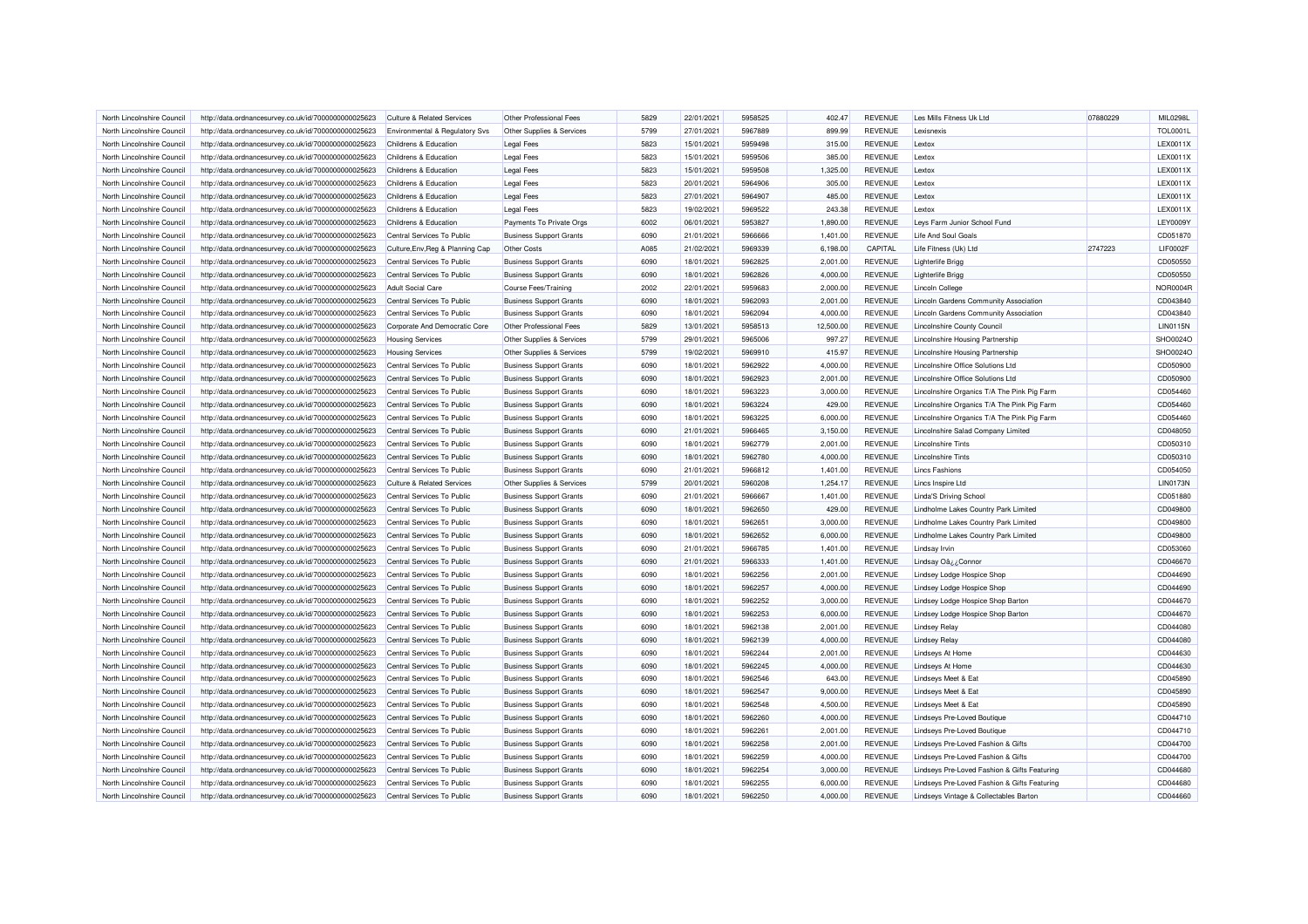| North Lincolnshire Council                               | http://data.ordnancesurvey.co.uk/id/7000000000025623                                                         | <b>Culture &amp; Related Services</b>                    | Other Professional Fees                                          | 5829         | 22/01/2021               | 5958525            | 402.47               | <b>REVENUE</b>                   | Les Mills Fitness Uk Ltd                               | 07880229 | MIL0298L             |
|----------------------------------------------------------|--------------------------------------------------------------------------------------------------------------|----------------------------------------------------------|------------------------------------------------------------------|--------------|--------------------------|--------------------|----------------------|----------------------------------|--------------------------------------------------------|----------|----------------------|
| North Lincolnshire Council                               | http://data.ordnancesurvey.co.uk/id/7000000000025623                                                         | Environmental & Regulatory Svs                           | Other Supplies & Services                                        | 5799         | 27/01/2021               | 5967889            | 899.99               | <b>REVENUE</b>                   | Lexisnexis                                             |          | <b>TOL0001L</b>      |
| North Lincolnshire Council                               | http://data.ordnancesurvey.co.uk/id/7000000000025623                                                         | Childrens & Education                                    | <b>Legal Fees</b>                                                | 5823         | 15/01/2021               | 5959498            | 315.00               | <b>REVENUE</b>                   | Lextox                                                 |          | LEX0011X             |
| North Lincolnshire Council                               | http://data.ordnancesurvey.co.uk/id/7000000000025623                                                         | Childrens & Education                                    | <b>Legal Fees</b>                                                | 5823         | 15/01/2021               | 5959506            | 385.00               | <b>REVENUE</b>                   | Lextox                                                 |          | LEX0011X             |
| North Lincolnshire Council                               | http://data.ordnancesurvey.co.uk/id/7000000000025623                                                         | Childrens & Education                                    | <b>Legal Fees</b>                                                | 5823         | 15/01/2021               | 5959508            | 1,325.00             | <b>REVENUE</b>                   | Lextox                                                 |          | LEX0011X             |
| North Lincolnshire Council                               | http://data.ordnancesurvey.co.uk/id/7000000000025623                                                         | Childrens & Education                                    | <b>Legal Fees</b>                                                | 5823         | 20/01/2021               | 5964906            | 305.00               | <b>REVENUE</b>                   | Lextox                                                 |          | LEX0011X             |
| North Lincolnshire Council                               | http://data.ordnancesurvey.co.uk/id/7000000000025623                                                         | Childrens & Education                                    | <b>Legal Fees</b>                                                | 5823         | 27/01/2021               | 5964907            | 485.00               | <b>REVENUE</b>                   | Lextox                                                 |          | LEX0011X             |
| North Lincolnshire Council                               | http://data.ordnancesurvey.co.uk/id/7000000000025623                                                         | Childrens & Education                                    | <b>Legal Fees</b>                                                | 5823         | 19/02/2021               | 5969522            | 243.38               | <b>REVENUE</b>                   | Lextox                                                 |          | LEX0011X             |
| North Lincolnshire Council                               | http://data.ordnancesurvey.co.uk/id/7000000000025623                                                         | Childrens & Education                                    | Payments To Private Orgs                                         | 6002         | 06/01/2021               | 5953827            | 1,890.00             | <b>REVENUE</b>                   | Levs Farm Junior School Fund                           |          | <b>LEY0009Y</b>      |
| North Lincolnshire Council                               | http://data.ordnancesurvey.co.uk/id/7000000000025623                                                         | Central Services To Public                               | <b>Business Support Grants</b>                                   | 6090         | 21/01/2021               | 5966666            | 1,401.00             | <b>REVENUE</b>                   | Life And Soul Goals                                    |          | CD051870             |
| North Lincolnshire Council                               | http://data.ordnancesurvey.co.uk/id/7000000000025623                                                         | Culture, Env, Reg & Planning Cap                         | Other Costs                                                      | A085         | 21/02/2021               | 5969339            | 6,198.00             | CAPITAL                          | Life Fitness (Uk) Ltd                                  | 2747223  | LIF0002F             |
| North Lincolnshire Council                               | http://data.ordnancesurvey.co.uk/id/7000000000025623                                                         | Central Services To Public                               | <b>Business Support Grants</b>                                   | 6090         | 18/01/2021               | 5962825            | 2,001.00             | <b>REVENUE</b>                   | <b>Lighterlife Brigg</b>                               |          | CD050550             |
| North Lincolnshire Council                               | http://data.ordnancesurvey.co.uk/id/7000000000025623                                                         | Central Services To Public                               | <b>Business Support Grants</b>                                   | 6090         | 18/01/2021               | 5962826            | 4,000.00             | REVENUE                          | <b>Lighterlife Brigg</b>                               |          | CD050550             |
| North Lincolnshire Council                               | http://data.ordnancesurvey.co.uk/id/7000000000025623                                                         | Adult Social Care                                        | Course Fees/Training                                             | 2002         | 22/01/2021               | 5959683            | 2,000.00             | <b>REVENUE</b>                   | <b>Lincoln College</b>                                 |          | <b>NOR0004R</b>      |
| North Lincolnshire Council                               | http://data.ordnancesurvey.co.uk/id/7000000000025623                                                         | Central Services To Public                               | <b>Business Support Grants</b>                                   | 6090         | 18/01/2021               | 5962093            | 2,001.00             | <b>REVENUE</b>                   | Lincoln Gardens Community Association                  |          | CD043840             |
| North Lincolnshire Council                               | http://data.ordnancesurvey.co.uk/id/7000000000025623                                                         | Central Services To Public                               | <b>Business Support Grants</b>                                   | 6090         | 18/01/2021               | 5962094            | 4,000.00             | <b>REVENUE</b>                   | Lincoln Gardens Community Association                  |          | CD043840             |
| North Lincolnshire Council                               | http://data.ordnancesurvey.co.uk/id/7000000000025623                                                         | Corporate And Democratic Core                            | Other Professional Fees                                          | 5829         | 13/01/2021               | 5958513            | 12,500.00            | <b>REVENUE</b>                   | <b>Lincolnshire County Council</b>                     |          | <b>LIN0115N</b>      |
| North Lincolnshire Council                               | http://data.ordnancesurvey.co.uk/id/7000000000025623                                                         | <b>Housing Services</b>                                  | Other Supplies & Services                                        | 5799         | 29/01/2021               | 5965006            | 997.27               | <b>REVENUE</b>                   | Lincolnshire Housing Partnership                       |          | SHO0024O             |
| North Lincolnshire Council                               | http://data.ordnancesurvey.co.uk/id/7000000000025623                                                         | <b>Housing Services</b>                                  | Other Supplies & Services                                        | 5799         | 19/02/2021               | 5969910            | 415.97               | <b>REVENUE</b>                   | Lincolnshire Housing Partnership                       |          | SHO0024O             |
| North Lincolnshire Council                               | http://data.ordnancesurvey.co.uk/id/7000000000025623                                                         | Central Services To Public                               | <b>Business Support Grants</b>                                   | 6090         | 18/01/2021               | 5962922            | 4,000.00             | <b>REVENUE</b>                   | Lincolnshire Office Solutions Ltd                      |          | CD050900             |
| North Lincolnshire Council                               | http://data.ordnancesurvey.co.uk/id/7000000000025623                                                         | Central Services To Public                               | <b>Business Support Grants</b>                                   | 6090         | 18/01/2021               | 5962923            | 2,001.00             | <b>REVENUE</b>                   | Lincolnshire Office Solutions Ltd                      |          | CD050900             |
| North Lincolnshire Council                               | http://data.ordnancesurvey.co.uk/id/7000000000025623                                                         | Central Services To Public                               | <b>Business Support Grants</b>                                   | 6090         | 18/01/2021               | 5963223            | 3,000.00             | <b>REVENUE</b>                   | Lincolnshire Organics T/A The Pink Pig Farm            |          | CD054460             |
| North Lincolnshire Council                               | http://data.ordnancesurvey.co.uk/id/7000000000025623                                                         | Central Services To Public                               | <b>Business Support Grants</b>                                   | 6090         | 18/01/2021               | 5963224            | 429.00               | <b>REVENUE</b>                   | Lincolnshire Organics T/A The Pink Pig Farm            |          | CD054460             |
| North Lincolnshire Council                               | http://data.ordnancesurvey.co.uk/id/7000000000025623                                                         | Central Services To Public                               | <b>Business Support Grants</b>                                   | 6090         | 18/01/2021               | 5963225            | 6,000.00             | <b>REVENUE</b>                   | Lincolnshire Organics T/A The Pink Pig Farm            |          | CD054460             |
| North Lincolnshire Council                               | http://data.ordnancesurvey.co.uk/id/7000000000025623                                                         | Central Services To Public                               | <b>Business Support Grants</b>                                   | 6090         | 21/01/2021               | 5966465            | 3,150.00             | <b>REVENUE</b>                   | Lincolnshire Salad Company Limited                     |          | CD048050             |
|                                                          |                                                                                                              |                                                          |                                                                  |              | 18/01/2021               |                    | 2,001.00             | <b>REVENUE</b>                   |                                                        |          | CD050310             |
| North Lincolnshire Council                               | http://data.ordnancesurvey.co.uk/id/7000000000025623                                                         | Central Services To Public                               | <b>Business Support Grants</b>                                   | 6090<br>6090 |                          | 5962779<br>5962780 |                      | <b>REVENUE</b>                   | <b>Lincolnshire Tints</b><br><b>Lincolnshire Tints</b> |          |                      |
| North Lincolnshire Council<br>North Lincolnshire Council | http://data.ordnancesurvey.co.uk/id/7000000000025623<br>http://data.ordnancesurvey.co.uk/id/7000000000025623 | Central Services To Public<br>Central Services To Public | <b>Business Support Grants</b><br><b>Business Support Grants</b> | 6090         | 18/01/2021<br>21/01/2021 | 5966812            | 4,000.00<br>1.401.00 | <b>REVENUE</b>                   | <b>Lincs Fashions</b>                                  |          | CD050310<br>CD054050 |
|                                                          |                                                                                                              |                                                          |                                                                  |              |                          |                    |                      |                                  |                                                        |          |                      |
| North Lincolnshire Council                               | http://data.ordnancesurvey.co.uk/id/7000000000025623                                                         | <b>Culture &amp; Related Services</b>                    | Other Supplies & Services                                        | 5799         | 20/01/2021               | 5960208<br>5966667 | 1,254.17             | <b>REVENUE</b><br><b>REVENUE</b> | Lincs Inspire Ltd                                      |          | <b>LIN0173N</b>      |
| North Lincolnshire Council                               | http://data.ordnancesurvey.co.uk/id/7000000000025623                                                         | Central Services To Public                               | <b>Business Support Grants</b>                                   | 6090         | 21/01/2021               |                    | 1,401.00             |                                  | <b>Linda'S Driving School</b>                          |          | CD051880             |
| North Lincolnshire Council                               | http://data.ordnancesurvey.co.uk/id/7000000000025623                                                         | Central Services To Public                               | <b>Business Support Grants</b>                                   | 6090         | 18/01/2021               | 5962650            | 429.00               | <b>REVENUE</b>                   | Lindholme Lakes Country Park Limited                   |          | CD049800             |
| North Lincolnshire Council                               | http://data.ordnancesurvey.co.uk/id/7000000000025623                                                         | Central Services To Public                               | <b>Business Support Grants</b>                                   | 6090         | 18/01/2021               | 5962651            | 3,000.00             | <b>REVENUE</b>                   | Lindholme Lakes Country Park Limited                   |          | CD049800             |
| North Lincolnshire Council                               | http://data.ordnancesurvey.co.uk/id/7000000000025623                                                         | Central Services To Public                               | <b>Business Support Grants</b>                                   | 6090         | 18/01/2021               | 5962652            | 6,000.00             | <b>REVENUE</b>                   | Lindholme Lakes Country Park Limited                   |          | CD049800             |
| North Lincolnshire Council                               | http://data.ordnancesurvey.co.uk/id/7000000000025623                                                         | Central Services To Public                               | <b>Business Support Grants</b>                                   | 6090         | 21/01/2021               | 5966785            | 1.401.00             | <b>REVENUE</b>                   | <b>Lindsay Irvin</b>                                   |          | CD053060             |
| North Lincolnshire Council                               | http://data.ordnancesurvey.co.uk/id/7000000000025623                                                         | Central Services To Public                               | <b>Business Support Grants</b>                                   | 6090         | 21/01/2021               | 5966333            | 1,401.00             | <b>REVENUE</b>                   | Lindsay Oâ¿¿Connor                                     |          | CD046670             |
| North Lincolnshire Council                               | http://data.ordnancesurvey.co.uk/id/7000000000025623                                                         | Central Services To Public                               | <b>Business Support Grants</b>                                   | 6090         | 18/01/2021               | 5962256            | 2,001.00             | <b>REVENUE</b>                   | Lindsey Lodge Hospice Shop                             |          | CD044690             |
| North Lincolnshire Council                               | http://data.ordnancesurvey.co.uk/id/7000000000025623                                                         | Central Services To Public                               | <b>Business Support Grants</b>                                   | 6090         | 18/01/2021               | 5962257            | 4,000.00             | <b>REVENUE</b>                   | Lindsey Lodge Hospice Shop                             |          | CD044690             |
| North Lincolnshire Council                               | http://data.ordnancesurvey.co.uk/id/7000000000025623                                                         | Central Services To Public                               | <b>Business Support Grants</b>                                   | 6090         | 18/01/2021               | 5962252            | 3,000.00             | <b>REVENUE</b>                   | Lindsey Lodge Hospice Shop Barton                      |          | CD044670             |
| North Lincolnshire Council                               | http://data.ordnancesurvey.co.uk/id/7000000000025623                                                         | Central Services To Public                               | <b>Business Support Grants</b>                                   | 6090         | 18/01/2021               | 5962253            | 6,000.00             | <b>REVENUE</b>                   | Lindsey Lodge Hospice Shop Barton                      |          | CD044670             |
| North Lincolnshire Council                               | http://data.ordnancesurvey.co.uk/id/7000000000025623                                                         | Central Services To Public                               | <b>Business Support Grants</b>                                   | 6090         | 18/01/2021               | 5962138            | 2,001.00             | <b>REVENUE</b>                   | <b>Lindsey Relay</b>                                   |          | CD044080             |
| North Lincolnshire Council                               | http://data.ordnancesurvey.co.uk/id/7000000000025623                                                         | Central Services To Public                               | <b>Business Support Grants</b>                                   | 6090         | 18/01/2021               | 5962139            | 4,000.00             | <b>REVENUE</b>                   | <b>Lindsey Relay</b>                                   |          | CD044080             |
| North Lincolnshire Council                               | http://data.ordnancesurvey.co.uk/id/7000000000025623                                                         | Central Services To Public                               | <b>Business Support Grants</b>                                   | 6090         | 18/01/2021               | 5962244            | 2,001.00             | <b>REVENUE</b>                   | <b>Lindseys At Home</b>                                |          | CD044630             |
| North Lincolnshire Council                               | http://data.ordnancesurvey.co.uk/id/7000000000025623                                                         | Central Services To Public                               | <b>Business Support Grants</b>                                   | 6090         | 18/01/2021               | 5962245            | 4,000.00             | <b>REVENUE</b>                   | <b>Lindseys At Home</b>                                |          | CD044630             |
| North Lincolnshire Council                               | http://data.ordnancesurvey.co.uk/id/7000000000025623                                                         | Central Services To Public                               | <b>Business Support Grants</b>                                   | 6090         | 18/01/2021               | 5962546            | 643.00               | <b>REVENUE</b>                   | Lindseys Meet & Eat                                    |          | CD045890             |
| North Lincolnshire Council                               | http://data.ordnancesurvey.co.uk/id/7000000000025623                                                         | Central Services To Public                               | <b>Business Support Grants</b>                                   | 6090         | 18/01/2021               | 5962547            | 9,000.00             | <b>REVENUE</b>                   | <b>Lindseys Meet &amp; Eat</b>                         |          | CD045890             |
| North Lincolnshire Council                               | http://data.ordnancesurvey.co.uk/id/7000000000025623                                                         | Central Services To Public                               | <b>Business Support Grants</b>                                   | 6090         | 18/01/2021               | 5962548            | 4,500.00             | <b>REVENUE</b>                   | Lindseys Meet & Eat                                    |          | CD045890             |
| North Lincolnshire Council                               | http://data.ordnancesurvey.co.uk/id/7000000000025623                                                         | Central Services To Public                               | <b>Business Support Grants</b>                                   | 6090         | 18/01/2021               | 5962260            | 4,000.00             | <b>REVENUE</b>                   | <b>Lindseys Pre-Loved Boutique</b>                     |          | CD044710             |
| North Lincolnshire Council                               | http://data.ordnancesurvey.co.uk/id/7000000000025623                                                         | Central Services To Public                               | <b>Business Support Grants</b>                                   | 6090         | 18/01/2021               | 5962261            | 2,001.00             | <b>REVENUE</b>                   | <b>Lindseys Pre-Loved Boutique</b>                     |          | CD044710             |
| North Lincolnshire Council                               | http://data.ordnancesurvey.co.uk/id/7000000000025623                                                         | Central Services To Public                               | <b>Business Support Grants</b>                                   | 6090         | 18/01/2021               | 5962258            | 2,001.00             | <b>REVENUE</b>                   | Lindseys Pre-Loved Fashion & Gifts                     |          | CD044700             |
| North Lincolnshire Council                               | http://data.ordnancesurvey.co.uk/id/7000000000025623                                                         | Central Services To Public                               | <b>Business Support Grants</b>                                   | 6090         | 18/01/2021               | 5962259            | 4,000.00             | <b>REVENUE</b>                   | Lindseys Pre-Loved Fashion & Gifts                     |          | CD044700             |
| North Lincolnshire Council                               | http://data.ordnancesurvey.co.uk/id/7000000000025623                                                         | Central Services To Public                               | <b>Business Support Grants</b>                                   | 6090         | 18/01/2021               | 5962254            | 3,000.00             | <b>REVENUE</b>                   | Lindseys Pre-Loved Fashion & Gifts Featuring           |          | CD044680             |
| North Lincolnshire Council                               | http://data.ordnancesurvey.co.uk/id/7000000000025623                                                         | Central Services To Public                               | <b>Business Support Grants</b>                                   | 6090         | 18/01/2021               | 5962255            | 6,000.00             | <b>REVENUE</b>                   | Lindseys Pre-Loved Fashion & Gifts Featuring           |          | CD044680             |
| North Lincolnshire Council                               | http://data.ordnancesurvey.co.uk/id/7000000000025623                                                         | Central Services To Public                               | <b>Business Support Grants</b>                                   | 6090         | 18/01/2021               | 5962250            | 4,000.00             | <b>REVENUE</b>                   | Lindseys Vintage & Collectables Barton                 |          | CD044660             |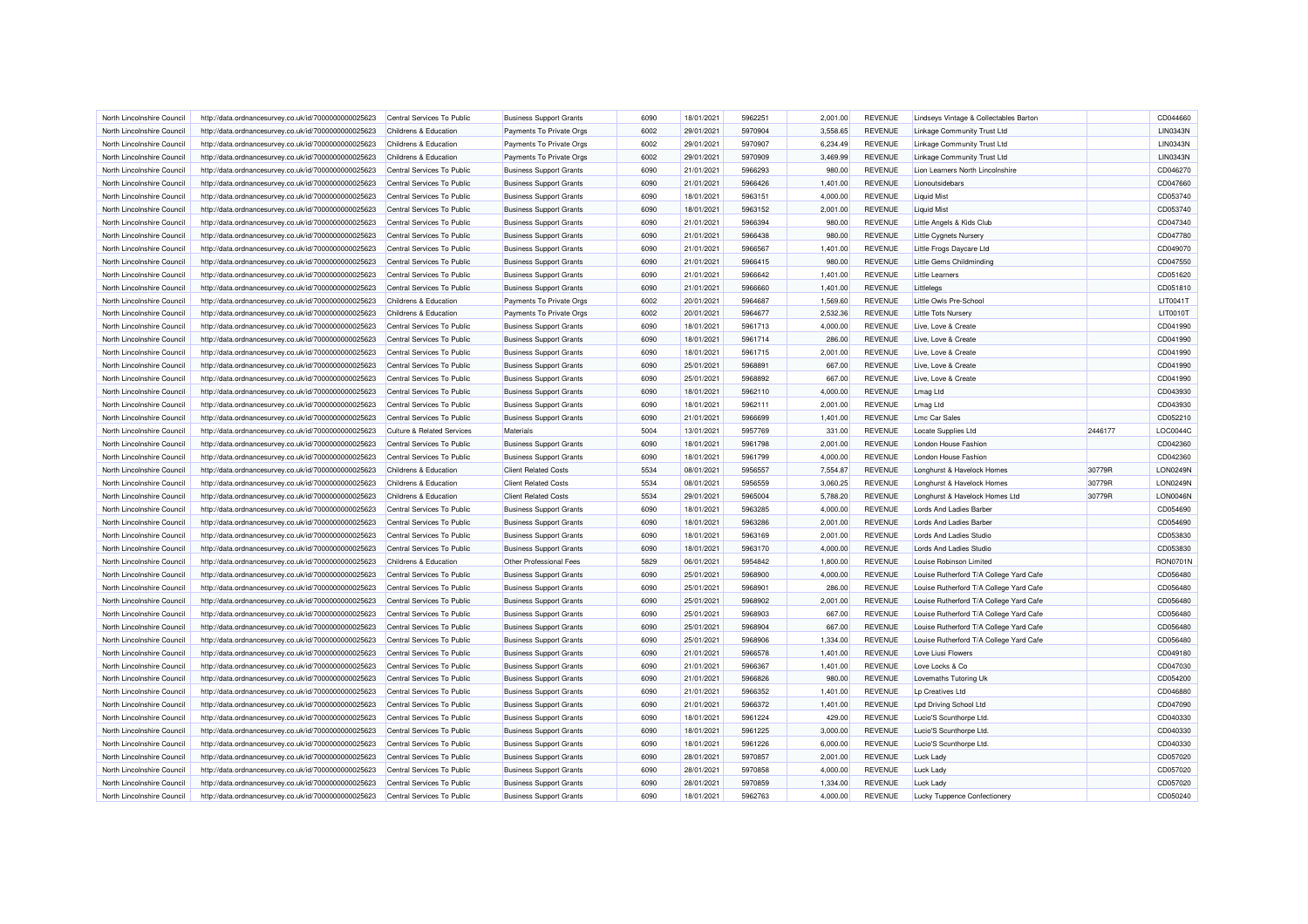| North Lincolnshire Council | http://data.ordnancesurvey.co.uk/id/7000000000025623                                                         | Central Services To Public            | <b>Business Support Grants</b> | 6090 | 18/01/2021 | 5962251 | 2.001.00 | <b>REVENUE</b> | Lindseys Vintage & Collectables Barton    |         | CD044660        |
|----------------------------|--------------------------------------------------------------------------------------------------------------|---------------------------------------|--------------------------------|------|------------|---------|----------|----------------|-------------------------------------------|---------|-----------------|
| North Lincolnshire Council | http://data.ordnancesurvey.co.uk/id/7000000000025623                                                         | Childrens & Education                 | Payments To Private Orgs       | 6002 | 29/01/2021 | 5970904 | 3,558.65 | <b>REVENUE</b> | Linkage Community Trust Ltd               |         | <b>LIN0343N</b> |
| North Lincolnshire Council | http://data.ordnancesurvey.co.uk/id/7000000000025623                                                         | Childrens & Education                 | Payments To Private Orgs       | 6002 | 29/01/2021 | 5970907 | 6,234.49 | <b>REVENUE</b> | Linkage Community Trust Ltd               |         | LIN0343N        |
| North Lincolnshire Council | http://data.ordnancesurvey.co.uk/id/7000000000025623                                                         | Childrens & Education                 | Payments To Private Orgs       | 6002 | 29/01/2021 | 5970909 | 3,469.99 | <b>REVENUE</b> | Linkage Community Trust Ltd               |         | <b>LIN0343N</b> |
| North Lincolnshire Council | http://data.ordnancesurvey.co.uk/id/7000000000025623                                                         | Central Services To Public            | <b>Business Support Grants</b> | 6090 | 21/01/2021 | 5966293 | 980.00   | <b>REVENUE</b> | Lion Learners North Lincolnshire          |         | CD046270        |
| North Lincolnshire Council | http://data.ordnancesurvey.co.uk/id/7000000000025623                                                         | Central Services To Public            | <b>Business Support Grants</b> | 6090 | 21/01/2021 | 5966426 | 1,401.00 | <b>REVENUE</b> | Lionoutsidebars                           |         | CD047660        |
| North Lincolnshire Council | http://data.ordnancesurvey.co.uk/id/7000000000025623                                                         | Central Services To Public            | <b>Business Support Grants</b> | 6090 | 18/01/2021 | 5963151 | 4,000.00 | <b>REVENUE</b> | <b>Liquid Mist</b>                        |         | CD053740        |
| North Lincolnshire Council | http://data.ordnancesurvey.co.uk/id/7000000000025623                                                         | Central Services To Public            | <b>Business Support Grants</b> | 6090 | 18/01/2021 | 5963152 | 2,001.00 | <b>REVENUE</b> | <b>Liquid Mist</b>                        |         | CD053740        |
| North Lincolnshire Council | http://data.ordnancesurvey.co.uk/id/7000000000025623                                                         | Central Services To Public            | <b>Business Support Grants</b> | 6090 | 21/01/2021 | 5966394 | 980.00   | <b>REVENUE</b> | Little Angels & Kids Club                 |         | CD047340        |
| North Lincolnshire Council | http://data.ordnancesurvey.co.uk/id/7000000000025623                                                         | Central Services To Public            | <b>Business Support Grants</b> | 6090 | 21/01/2021 | 5966438 | 980.00   | <b>REVENUE</b> | <b>Little Cygnets Nursery</b>             |         | CD047780        |
| North Lincolnshire Council | http://data.ordnancesurvey.co.uk/id/7000000000025623                                                         | Central Services To Public            | <b>Business Support Grants</b> | 6090 | 21/01/2021 | 5966567 | 1,401.00 | <b>REVENUE</b> | Little Frogs Daycare Ltd                  |         | CD049070        |
| North Lincolnshire Council | http://data.ordnancesurvey.co.uk/id/7000000000025623                                                         | Central Services To Public            | <b>Business Support Grants</b> | 6090 | 21/01/2021 | 5966415 | 980.00   | <b>REVENUE</b> | Little Gems Childminding                  |         | CD047550        |
| North Lincolnshire Council | http://data.ordnancesurvey.co.uk/id/7000000000025623                                                         | Central Services To Public            | <b>Business Support Grants</b> | 6090 | 21/01/2021 | 5966642 | 1,401.00 | <b>REVENUE</b> | <b>Little Learners</b>                    |         | CD051620        |
| North Lincolnshire Council | http://data.ordnancesurvey.co.uk/id/7000000000025623                                                         | Central Services To Public            | <b>Business Support Grants</b> | 6090 | 21/01/2021 | 5966660 | 1,401.00 | <b>REVENUE</b> | Littlelegs                                |         | CD051810        |
| North Lincolnshire Council | http://data.ordnancesurvey.co.uk/id/7000000000025623                                                         | Childrens & Education                 | Payments To Private Orgs       | 6002 | 20/01/2021 | 5964687 | 1,569.60 | <b>REVENUE</b> | Little Owls Pre-School                    |         | LIT0041T        |
| North Lincolnshire Council | http://data.ordnancesurvey.co.uk/id/7000000000025623                                                         | Childrens & Education                 | Payments To Private Orgs       | 6002 | 20/01/2021 | 5964677 | 2,532.36 | <b>REVENUE</b> | <b>Little Tots Nursery</b>                |         | LIT0010T        |
| North Lincolnshire Council |                                                                                                              | Central Services To Public            |                                | 6090 | 18/01/2021 | 5961713 | 4,000.00 | <b>REVENUE</b> | Live, Love & Create                       |         | CD041990        |
| North Lincolnshire Council | http://data.ordnancesurvey.co.uk/id/7000000000025623                                                         | Central Services To Public            | <b>Business Support Grants</b> | 6090 | 18/01/2021 | 5961714 | 286.00   | <b>REVENUE</b> | Live, Love & Create                       |         | CD041990        |
|                            | http://data.ordnancesurvey.co.uk/id/7000000000025623                                                         |                                       | <b>Business Support Grants</b> |      |            |         |          |                |                                           |         |                 |
| North Lincolnshire Council | http://data.ordnancesurvey.co.uk/id/7000000000025623                                                         | Central Services To Public            | <b>Business Support Grants</b> | 6090 | 18/01/2021 | 5961715 | 2,001.00 | <b>REVENUE</b> | Live, Love & Create                       |         | CD041990        |
| North Lincolnshire Council | http://data.ordnancesurvey.co.uk/id/7000000000025623                                                         | Central Services To Public            | <b>Business Support Grants</b> | 6090 | 25/01/2021 | 5968891 | 667.00   | <b>REVENUE</b> | Live, Love & Create                       |         | CD041990        |
| North Lincolnshire Council | http://data.ordnancesurvey.co.uk/id/7000000000025623                                                         | Central Services To Public            | <b>Business Support Grants</b> | 6090 | 25/01/2021 | 5968892 | 667.00   | <b>REVENUE</b> | Live, Love & Create                       |         | CD041990        |
| North Lincolnshire Council | http://data.ordnancesurvey.co.uk/id/7000000000025623                                                         | Central Services To Public            | <b>Business Support Grants</b> | 6090 | 18/01/2021 | 5962110 | 4,000.00 | <b>REVENUE</b> | <b>Lmag Ltd</b>                           |         | CD043930        |
| North Lincolnshire Council | http://data.ordnancesurvey.co.uk/id/7000000000025623                                                         | Central Services To Public            | <b>Business Support Grants</b> | 6090 | 18/01/2021 | 5962111 | 2.001.00 | <b>REVENUE</b> | <b>Lmag Ltd</b>                           |         | CD043930        |
| North Lincolnshire Council | http://data.ordnancesurvey.co.uk/id/7000000000025623                                                         | Central Services To Public            | <b>Business Support Grants</b> | 6090 | 21/01/2021 | 5966699 | 1,401.00 | <b>REVENUE</b> | <b>Lmc Car Sales</b>                      |         | CD052210        |
| North Lincolnshire Council | http://data.ordnancesurvey.co.uk/id/7000000000025623                                                         | <b>Culture &amp; Related Services</b> | Materials                      | 5004 | 13/01/2021 | 5957769 | 331.00   | <b>REVENUE</b> | Locate Supplies Ltd                       | 2446177 | LOC0044C        |
| North Lincolnshire Council | http://data.ordnancesurvey.co.uk/id/7000000000025623                                                         | Central Services To Public            | <b>Business Support Grants</b> | 6090 | 18/01/2021 | 5961798 | 2,001.00 | <b>REVENUE</b> | London House Fashion                      |         | CD042360        |
| North Lincolnshire Council | http://data.ordnancesurvey.co.uk/id/7000000000025623                                                         | Central Services To Public            | <b>Business Support Grants</b> | 6090 | 18/01/2021 | 5961799 | 4,000.00 | <b>REVENUE</b> | London House Fashion                      |         | CD042360        |
| North Lincolnshire Council | http://data.ordnancesurvey.co.uk/id/7000000000025623                                                         | Childrens & Education                 | <b>Client Related Costs</b>    | 5534 | 08/01/2021 | 5956557 | 7,554.87 | <b>REVENUE</b> | Longhurst & Havelock Homes                | 30779R  | <b>LON0249N</b> |
| North Lincolnshire Council | http://data.ordnancesurvey.co.uk/id/7000000000025623                                                         | Childrens & Education                 | <b>Client Related Costs</b>    | 5534 | 08/01/2021 | 5956559 | 3,060.25 | <b>REVENUE</b> | Longhurst & Havelock Homes                | 30779R  | <b>LON0249N</b> |
| North Lincolnshire Council | http://data.ordnancesurvey.co.uk/id/7000000000025623                                                         | Childrens & Education                 | <b>Client Related Costs</b>    | 5534 | 29/01/2021 | 5965004 | 5,788.20 | <b>REVENUE</b> | Longhurst & Havelock Homes Ltd            | 30779R  | LON0046N        |
| North Lincolnshire Council | http://data.ordnancesurvey.co.uk/id/7000000000025623                                                         | Central Services To Public            | <b>Business Support Grants</b> | 6090 | 18/01/2021 | 5963285 | 4,000.00 | <b>REVENUE</b> | <b>Lords And Ladies Barber</b>            |         | CD054690        |
| North Lincolnshire Council | http://data.ordnancesurvey.co.uk/id/7000000000025623                                                         | Central Services To Public            | <b>Business Support Grants</b> | 6090 | 18/01/2021 | 5963286 | 2,001.00 | <b>REVENUE</b> | Lords And Ladies Barber                   |         | CD054690        |
| North Lincolnshire Council | http://data.ordnancesurvey.co.uk/id/7000000000025623                                                         | Central Services To Public            | <b>Business Support Grants</b> | 6090 | 18/01/2021 | 5963169 | 2,001.00 | <b>REVENUE</b> | Lords And Ladies Studio                   |         | CD053830        |
| North Lincolnshire Council | http://data.ordnancesurvey.co.uk/id/7000000000025623                                                         | Central Services To Public            | <b>Business Support Grants</b> | 6090 | 18/01/2021 | 5963170 | 4,000.00 | <b>REVENUE</b> | <b>Lords And Ladies Studio</b>            |         | CD053830        |
| North Lincolnshire Council | http://data.ordnancesurvey.co.uk/id/7000000000025623                                                         | Childrens & Education                 | Other Professional Fees        | 5829 | 06/01/2021 | 5954842 | 1,800.00 | <b>REVENUE</b> | Louise Robinson Limited                   |         | <b>RON0701N</b> |
| North Lincolnshire Council | http://data.ordnancesurvey.co.uk/id/7000000000025623                                                         | Central Services To Public            | <b>Business Support Grants</b> | 6090 | 25/01/2021 | 5968900 | 4,000.00 | <b>REVENUE</b> | Louise Rutherford T/A College Yard Cafe   |         | CD056480        |
| North Lincolnshire Council | http://data.ordnancesurvey.co.uk/id/7000000000025623                                                         | Central Services To Public            | <b>Business Support Grants</b> | 6090 | 25/01/2021 | 5968901 | 286.00   | <b>REVENUE</b> | Louise Rutherford T/A College Yard Cafe   |         | CD056480        |
| North Lincolnshire Council | http://data.ordnancesurvey.co.uk/id/7000000000025623                                                         | Central Services To Public            | <b>Business Support Grants</b> | 6090 | 25/01/2021 | 5968902 | 2,001.00 | <b>REVENUE</b> | Louise Rutherford T/A College Yard Cafe   |         | CD056480        |
| North Lincolnshire Council | http://data.ordnancesurvey.co.uk/id/7000000000025623                                                         | Central Services To Public            | <b>Business Support Grants</b> | 6090 | 25/01/2021 | 5968903 | 667.00   | <b>REVENUE</b> | Louise Rutherford T/A College Yard Cafe   |         | CD056480        |
| North Lincolnshire Council | http://data.ordnancesurvey.co.uk/id/7000000000025623                                                         | Central Services To Public            | <b>Business Support Grants</b> | 6090 | 25/01/2021 | 5968904 | 667.00   | <b>REVENUE</b> | Louise Rutherford T/A College Yard Cafe   |         | CD056480        |
| North Lincolnshire Council | http://data.ordnancesurvey.co.uk/id/7000000000025623                                                         | Central Services To Public            | <b>Business Support Grants</b> | 6090 | 25/01/2021 | 5968906 | 1,334.00 | <b>REVENUE</b> | Louise Rutherford T/A College Yard Cafe   |         | CD056480        |
| North Lincolnshire Council | http://data.ordnancesurvey.co.uk/id/7000000000025623                                                         | Central Services To Public            | <b>Business Support Grants</b> | 6090 | 21/01/2021 | 5966578 | 1,401.00 | <b>REVENUE</b> | Love Liusi Flowers                        |         | CD049180        |
| North Lincolnshire Council | http://data.ordnancesurvey.co.uk/id/7000000000025623                                                         | Central Services To Public            | <b>Business Support Grants</b> | 6090 | 21/01/2021 | 5966367 | 1,401.00 | <b>REVENUE</b> | Love Locks & Co                           |         | CD047030        |
| North Lincolnshire Council | http://data.ordnancesurvey.co.uk/id/7000000000025623                                                         | Central Services To Public            | <b>Business Support Grants</b> | 6090 | 21/01/2021 | 5966826 | 980.00   | <b>REVENUE</b> | Lovemaths Tutoring Uk                     |         | CD054200        |
| North Lincolnshire Council | http://data.ordnancesurvey.co.uk/id/7000000000025623                                                         | Central Services To Public            | <b>Business Support Grants</b> | 6090 | 21/01/2021 | 5966352 | 1,401.00 | <b>REVENUE</b> | Lp Creatives Ltd                          |         | CD046880        |
| North Lincolnshire Council | http://data.ordnancesurvey.co.uk/id/7000000000025623                                                         | Central Services To Public            | <b>Business Support Grants</b> | 6090 | 21/01/2021 | 5966372 | 1,401.00 | <b>REVENUE</b> | Lpd Driving School Ltd                    |         | CD047090        |
| North Lincolnshire Council | http://data.ordnancesurvey.co.uk/id/7000000000025623                                                         | Central Services To Public            | <b>Business Support Grants</b> | 6090 | 18/01/2021 | 5961224 | 429.00   | <b>REVENUE</b> | Lucio'S Scunthorpe Ltd.                   |         | CD040330        |
| North Lincolnshire Council | http://data.ordnancesurvey.co.uk/id/7000000000025623                                                         | Central Services To Public            | <b>Business Support Grants</b> | 6090 | 18/01/2021 | 5961225 | 3,000.00 | <b>REVENUE</b> | Lucio'S Scunthorpe Ltd                    |         | CD040330        |
| North Lincolnshire Council | http://data.ordnancesurvey.co.uk/id/7000000000025623                                                         | Central Services To Public            | <b>Business Support Grants</b> | 6090 | 18/01/2021 | 5961226 | 6,000.00 | <b>REVENUE</b> | Lucio'S Scunthorpe Ltd.                   |         | CD040330        |
| North Lincolnshire Council | http://data.ordnancesurvey.co.uk/id/7000000000025623                                                         | Central Services To Public            | <b>Business Support Grants</b> | 6090 | 28/01/2021 | 5970857 | 2,001.00 | <b>REVENUE</b> | <b>Luck Lady</b>                          |         | CD057020        |
| North Lincolnshire Council | http://data.ordnancesurvey.co.uk/id/7000000000025623                                                         | Central Services To Public            | <b>Business Support Grants</b> | 6090 | 28/01/2021 | 5970858 | 4,000.00 | <b>REVENUE</b> | Luck Lady                                 |         | CD057020        |
| North Lincolnshire Council |                                                                                                              | Central Services To Public            | <b>Business Support Grants</b> | 6090 | 28/01/2021 | 5970859 | 1,334.00 | <b>REVENUE</b> |                                           |         | CD057020        |
| North Lincolnshire Council | http://data.ordnancesurvey.co.uk/id/7000000000025623<br>http://data.ordnancesurvey.co.uk/id/7000000000025623 | Central Services To Public            | <b>Business Support Grants</b> | 6090 | 18/01/2021 | 5962763 | 4,000.00 | <b>REVENUE</b> | Luck Lady<br>Lucky Tuppence Confectionery |         | CD050240        |
|                            |                                                                                                              |                                       |                                |      |            |         |          |                |                                           |         |                 |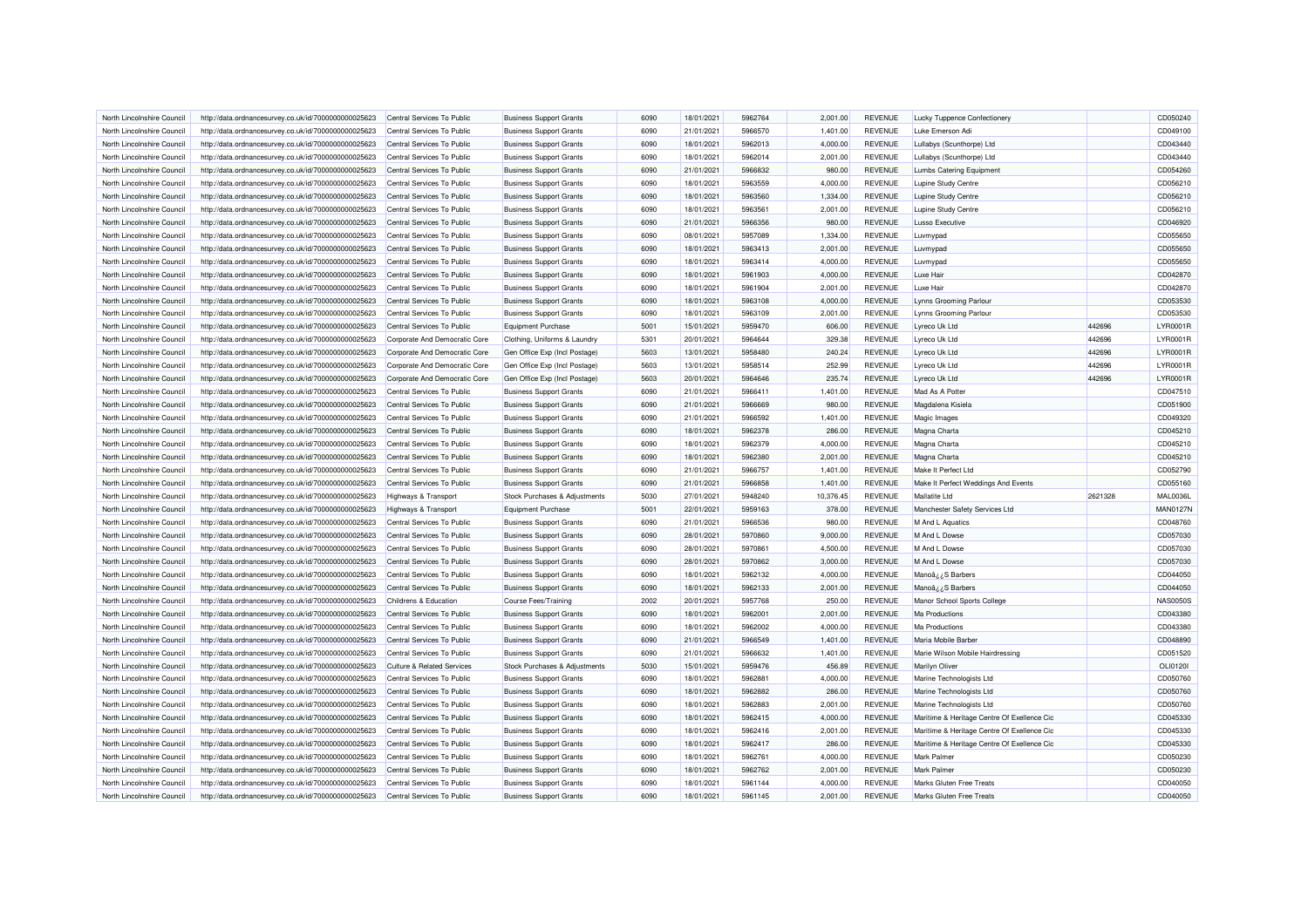| North Lincolnshire Council | http://data.ordnancesurvey.co.uk/id/7000000000025623 | Central Services To Public            | <b>Business Support Grants</b> | 6090         | 18/01/2021 | 5962764            | 2,001.00             | <b>REVENUE</b>                   | Lucky Tuppence Confectioner                 |         | CD050240             |
|----------------------------|------------------------------------------------------|---------------------------------------|--------------------------------|--------------|------------|--------------------|----------------------|----------------------------------|---------------------------------------------|---------|----------------------|
| North Lincolnshire Council | http://data.ordnancesurvey.co.uk/id/7000000000025623 | Central Services To Public            | <b>Business Support Grants</b> | 6090         | 21/01/2021 | 5966570            | 1,401.00             | <b>REVENUE</b>                   | Luke Emerson Adi                            |         | CD049100             |
| North Lincolnshire Council | http://data.ordnancesurvey.co.uk/id/7000000000025623 | Central Services To Public            | <b>Business Support Grants</b> | 6090         | 18/01/2021 | 5962013            | 4,000.00             | <b>REVENUE</b>                   | Lullabys (Scunthorpe) Ltd                   |         | CD043440             |
| North Lincolnshire Council | http://data.ordnancesurvey.co.uk/id/7000000000025623 | Central Services To Public            | <b>Business Support Grants</b> | 6090         | 18/01/2021 | 5962014            | 2,001.00             | <b>REVENUE</b>                   | Lullabys (Scunthorpe) Ltd                   |         | CD043440             |
| North Lincolnshire Council | http://data.ordnancesurvey.co.uk/id/7000000000025623 | Central Services To Public            | <b>Business Support Grants</b> | 6090         | 21/01/2021 | 5966832            | 980.00               | <b>REVENUE</b>                   | <b>Lumbs Catering Equipment</b>             |         | CD054260             |
| North Lincolnshire Council | http://data.ordnancesurvey.co.uk/id/7000000000025623 | Central Services To Public            | <b>Business Support Grants</b> | 6090         | 18/01/2021 | 5963559            | 4,000.00             | <b>REVENUE</b>                   | Lupine Study Centre                         |         | CD056210             |
| North Lincolnshire Council | http://data.ordnancesurvey.co.uk/id/7000000000025623 | Central Services To Public            | <b>Business Support Grants</b> | 6090         | 18/01/2021 | 5963560            | 1,334.00             | <b>REVENUE</b>                   | <b>Lupine Study Centre</b>                  |         | CD056210             |
| North Lincolnshire Council | http://data.ordnancesurvey.co.uk/id/7000000000025623 | Central Services To Public            | <b>Business Support Grants</b> | 6090         | 18/01/2021 | 5963561            | 2,001.00             | <b>REVENUE</b>                   | Lupine Study Centre                         |         | CD056210             |
| North Lincolnshire Council | http://data.ordnancesurvey.co.uk/id/7000000000025623 | Central Services To Public            | <b>Business Support Grants</b> | 6090         | 21/01/2021 | 5966356            | 980.00               | <b>REVENUE</b>                   | <b>Lusso Executive</b>                      |         | CD046920             |
| North Lincolnshire Council | http://data.ordnancesurvey.co.uk/id/7000000000025623 | Central Services To Public            | <b>Business Support Grants</b> | 6090         | 08/01/2021 | 5957089            | 1,334.00             | <b>REVENUE</b>                   | Luvmypad                                    |         | CD055650             |
| North Lincolnshire Council | http://data.ordnancesurvey.co.uk/id/7000000000025623 | Central Services To Public            | <b>Business Support Grants</b> | 6090         | 18/01/2021 | 5963413            | 2,001.00             | <b>REVENUE</b>                   | Luvmypad                                    |         | CD055650             |
| North Lincolnshire Council | http://data.ordnancesurvey.co.uk/id/7000000000025623 | Central Services To Public            | <b>Business Support Grants</b> | 6090         | 18/01/2021 | 5963414            | 4,000.00             | <b>REVENUE</b>                   | Luvmypad                                    |         | CD055650             |
| North Lincolnshire Council | http://data.ordnancesurvey.co.uk/id/7000000000025623 | Central Services To Public            | <b>Business Support Grants</b> | 6090         | 18/01/2021 | 5961903            | 4,000.00             | <b>REVENUE</b>                   | Luxe Hair                                   |         | CD042870             |
| North Lincolnshire Council | http://data.ordnancesurvey.co.uk/id/7000000000025623 | Central Services To Public            | <b>Business Support Grants</b> | 6090         | 18/01/2021 | 5961904            | 2,001.00             | <b>REVENUE</b>                   | Luxe Hair                                   |         | CD042870             |
| North Lincolnshire Council | http://data.ordnancesurvey.co.uk/id/7000000000025623 | Central Services To Public            | <b>Business Support Grants</b> | 6090         | 18/01/2021 | 5963108            | 4,000.00             | <b>REVENUE</b>                   | Lynns Grooming Parlour                      |         | CD053530             |
| North Lincolnshire Council | http://data.ordnancesurvey.co.uk/id/7000000000025623 | Central Services To Public            | <b>Business Support Grants</b> | 6090         | 18/01/2021 | 5963109            | 2,001.00             | <b>REVENUE</b>                   | Lynns Grooming Parlour                      |         | CD053530             |
| North Lincolnshire Council | http://data.ordnancesurvey.co.uk/id/7000000000025623 | Central Services To Public            | <b>Equipment Purchase</b>      | 5001         | 15/01/2021 | 5959470            | 606.00               | <b>REVENUE</b>                   | Lyreco Uk Ltd                               | 442696  | LYR0001R             |
| North Lincolnshire Council | http://data.ordnancesurvey.co.uk/id/7000000000025623 | Corporate And Democratic Core         | Clothing, Uniforms & Laundry   | 5301         | 20/01/2021 | 5964644            | 329.38               | <b>REVENUE</b>                   | Lyreco Uk Ltd                               | 442696  | LYR0001R             |
|                            |                                                      |                                       |                                |              |            |                    |                      |                                  |                                             |         |                      |
| North Lincolnshire Council | http://data.ordnancesurvey.co.uk/id/7000000000025623 | Corporate And Democratic Core         | Gen Office Exp (Incl Postage)  | 5603         | 13/01/2021 | 5958480            | 240.24               | <b>REVENUE</b>                   | Lyreco Uk Ltd                               | 442696  | LYR0001R             |
| North Lincolnshire Council | http://data.ordnancesurvey.co.uk/id/7000000000025623 | Corporate And Democratic Core         | Gen Office Exp (Incl Postage)  | 5603         | 13/01/2021 | 5958514            | 252.99               | <b>REVENUE</b>                   | Lyreco Uk Ltd                               | 442696  | LYR0001R             |
| North Lincolnshire Council | http://data.ordnancesurvey.co.uk/id/7000000000025623 | Corporate And Democratic Core         | Gen Office Exp (Incl Postage)  | 5603         | 20/01/2021 | 5964646            | 235.74               | <b>REVENUE</b>                   | Lyreco Uk Ltd                               | 442696  | LYR0001R             |
| North Lincolnshire Council | http://data.ordnancesurvey.co.uk/id/7000000000025623 | Central Services To Public            | <b>Business Support Grants</b> | 6090         | 21/01/2021 | 5966411            | 1,401.00             | <b>REVENUE</b>                   | Mad As A Potter                             |         | CD047510             |
| North Lincolnshire Council | http://data.ordnancesurvey.co.uk/id/7000000000025623 | Central Services To Public            | <b>Business Support Grants</b> | 6090         | 21/01/2021 | 5966669            | 980.00               | <b>REVENUE</b>                   | Magdalena Kisiela                           |         | CD051900             |
| North Lincolnshire Council | http://data.ordnancesurvey.co.uk/id/7000000000025623 | Central Services To Public            | <b>Business Support Grants</b> | 6090         | 21/01/2021 | 5966592            | 1,401.00             | <b>REVENUE</b>                   | Magic Images                                |         | CD049320             |
| North Lincolnshire Council | http://data.ordnancesurvey.co.uk/id/7000000000025623 | Central Services To Public            | <b>Business Support Grants</b> | 6090         | 18/01/2021 | 5962378            | 286.00               | <b>REVENUE</b>                   | Magna Charta                                |         | CD045210             |
| North Lincolnshire Council | http://data.ordnancesurvey.co.uk/id/7000000000025623 | Central Services To Public            | <b>Business Support Grants</b> | 6090         | 18/01/2021 | 5962379            | 4,000.00             | <b>REVENUE</b>                   | Magna Charta                                |         | CD045210             |
| North Lincolnshire Council | http://data.ordnancesurvey.co.uk/id/7000000000025623 | Central Services To Public            | <b>Business Support Grants</b> | 6090         | 18/01/2021 | 5962380            | 2,001.00             | <b>REVENUE</b>                   | Magna Charta                                |         | CD045210             |
| North Lincolnshire Council | http://data.ordnancesurvey.co.uk/id/7000000000025623 | Central Services To Public            | <b>Business Support Grants</b> | 6090         | 21/01/2021 | 5966757            | 1.401.00             | <b>REVENUE</b>                   | Make It Perfect Ltd                         |         | CD052790             |
| North Lincolnshire Council | http://data.ordnancesurvey.co.uk/id/7000000000025623 | Central Services To Public            | <b>Business Support Grants</b> | 6090         | 21/01/2021 | 5966858            | 1,401.00             | <b>REVENUE</b>                   | Make It Perfect Weddings And Events         |         | CD055160             |
| North Lincolnshire Council | http://data.ordnancesurvey.co.uk/id/7000000000025623 | Highways & Transport                  | Stock Purchases & Adjustments  | 5030         | 27/01/2021 | 5948240            | 10,376.45            | <b>REVENUE</b>                   | <b>Mallatite Ltd</b>                        | 2621328 | <b>MAL0036L</b>      |
| North Lincolnshire Council | http://data.ordnancesurvey.co.uk/id/7000000000025623 | <b>Highways &amp; Transport</b>       | <b>Equipment Purchase</b>      | 5001         | 22/01/2021 | 5959163            | 378.00               | <b>REVENUE</b>                   | Manchester Safety Services Ltd              |         | <b>MAN0127N</b>      |
| North Lincolnshire Council | http://data.ordnancesurvey.co.uk/id/7000000000025623 | Central Services To Public            | <b>Business Support Grants</b> | 6090         | 21/01/2021 | 5966536            | 980.00               | <b>REVENUE</b>                   | M And L Aquatics                            |         | CD048760             |
| North Lincolnshire Council | http://data.ordnancesurvey.co.uk/id/7000000000025623 | Central Services To Public            | <b>Business Support Grants</b> | 6090         | 28/01/2021 | 5970860            | 9,000.00             | <b>REVENUE</b>                   | M And I Dowse                               |         | CD057030             |
| North Lincolnshire Council | http://data.ordnancesurvey.co.uk/id/7000000000025623 | Central Services To Public            | <b>Business Support Grants</b> | 6090         | 28/01/2021 | 5970861            | 4.500.00             | <b>REVENUE</b>                   | M And L Dowse                               |         | CD057030             |
| North Lincolnshire Council | http://data.ordnancesurvey.co.uk/id/7000000000025623 | Central Services To Public            | <b>Business Support Grants</b> | 6090         | 28/01/2021 | 5970862            | 3,000.00             | <b>REVENUE</b>                   | M And L Dowse                               |         | CD057030             |
| North Lincolnshire Council | http://data.ordnancesurvey.co.uk/id/7000000000025623 | Central Services To Public            | <b>Business Support Grants</b> | 6090         | 18/01/2021 | 5962132            | 4,000.00             | <b>REVENUE</b>                   | Manoâ¿¿S Barbers                            |         | CD044050             |
| North Lincolnshire Council | http://data.ordnancesurvey.co.uk/id/7000000000025623 | Central Services To Public            | <b>Business Support Grants</b> | 6090         | 18/01/2021 | 5962133            | 2,001.00             | <b>REVENUE</b>                   | Manoâ¿¿S Barbers                            |         | CD044050             |
| North Lincolnshire Council | http://data.ordnancesurvey.co.uk/id/7000000000025623 | Childrens & Education                 | <b>Course Fees/Training</b>    | 2002         | 20/01/2021 | 5957768            | 250.00               | <b>REVENUE</b>                   | Manor School Sports College                 |         | <b>NAS0050S</b>      |
| North Lincolnshire Council | http://data.ordnancesurvey.co.uk/id/7000000000025623 | Central Services To Public            | <b>Business Support Grants</b> | 6090         | 18/01/2021 | 5962001            | 2,001.00             | <b>REVENUE</b>                   | <b>Ma Productions</b>                       |         | CD043380             |
| North Lincolnshire Council | http://data.ordnancesurvey.co.uk/id/7000000000025623 | Central Services To Public            | <b>Business Support Grants</b> | 6090         | 18/01/2021 | 5962002            | 4,000.00             | <b>REVENUE</b>                   | <b>Ma Productions</b>                       |         | CD043380             |
| North Lincolnshire Council | http://data.ordnancesurvey.co.uk/id/7000000000025623 | Central Services To Public            | <b>Business Support Grants</b> | 6090         | 21/01/2021 | 5966549            | 1,401.00             | <b>REVENUE</b>                   | Maria Mobile Barber                         |         | CD048890             |
| North Lincolnshire Council | http://data.ordnancesurvey.co.uk/id/7000000000025623 | Central Services To Public            | <b>Business Support Grants</b> | 6090         | 21/01/2021 | 5966632            | 1.401.00             | <b>REVENUE</b>                   | Marie Wilson Mobile Hairdressing            |         | CD051520             |
| North Lincolnshire Council | http://data.ordnancesurvey.co.uk/id/7000000000025623 | <b>Culture &amp; Related Services</b> | Stock Purchases & Adjustments  | 5030         | 15/01/2021 | 5959476            | 456.89               | <b>REVENUE</b>                   | <b>Marilyn Oliver</b>                       |         | OLI01201             |
| North Lincolnshire Council | http://data.ordnancesurvey.co.uk/id/7000000000025623 | Central Services To Public            | <b>Business Support Grants</b> | 6090         | 18/01/2021 | 5962881            | 4,000.00             | <b>REVENUE</b>                   | Marine Technologists Ltd                    |         | CD050760             |
| North Lincolnshire Council | http://data.ordnancesurvey.co.uk/id/7000000000025623 | Central Services To Public            | <b>Business Support Grants</b> | 6090         | 18/01/2021 | 5962882            | 286.00               | <b>REVENUE</b>                   | Marine Technologists Ltd                    |         | CD050760             |
|                            |                                                      |                                       |                                |              |            |                    |                      |                                  |                                             |         |                      |
| North Lincolnshire Council | http://data.ordnancesurvey.co.uk/id/7000000000025623 | Central Services To Public            | <b>Business Support Grants</b> | 6090<br>6090 | 18/01/2021 | 5962883<br>5962415 | 2,001.00<br>4,000.00 | <b>REVENUE</b><br><b>REVENUE</b> | Marine Technologists Ltd                    |         | CD050760<br>CD045330 |
| North Lincolnshire Council | http://data.ordnancesurvey.co.uk/id/7000000000025623 | Central Services To Public            | <b>Business Support Grants</b> | 6090         | 18/01/2021 | 5962416            |                      |                                  | Maritime & Heritage Centre Of Exellence Cic |         |                      |
| North Lincolnshire Council | http://data.ordnancesurvey.co.uk/id/7000000000025623 | Central Services To Public            | <b>Business Support Grants</b> |              | 18/01/2021 |                    | 2,001.00             | <b>REVENUE</b>                   | Maritime & Heritage Centre Of Exellence Cic |         | CD045330             |
| North Lincolnshire Council | http://data.ordnancesurvey.co.uk/id/7000000000025623 | Central Services To Public            | <b>Business Support Grants</b> | 6090         | 18/01/2021 | 5962417            | 286.00               | <b>REVENUE</b>                   | Maritime & Heritage Centre Of Exellence Cic |         | CD045330             |
| North Lincolnshire Council | http://data.ordnancesurvey.co.uk/id/7000000000025623 | Central Services To Public            | <b>Business Support Grants</b> | 6090         | 18/01/2021 | 5962761            | 4,000.00             | <b>REVENUE</b>                   | <b>Mark Palmer</b>                          |         | CD050230             |
| North Lincolnshire Council | http://data.ordnancesurvey.co.uk/id/7000000000025623 | Central Services To Public            | <b>Business Support Grants</b> | 6090         | 18/01/2021 | 5962762            | 2,001.00             | <b>REVENUE</b>                   | Mark Palmer                                 |         | CD050230             |
| North Lincolnshire Council | http://data.ordnancesurvey.co.uk/id/7000000000025623 | Central Services To Public            | <b>Business Support Grants</b> | 6090         | 18/01/2021 | 5961144            | 4,000.00             | <b>REVENUE</b>                   | Marks Gluten Free Treats                    |         | CD040050             |
| North Lincolnshire Council | http://data.ordnancesurvey.co.uk/id/7000000000025623 | Central Services To Public            | <b>Business Support Grants</b> | 6090         | 18/01/2021 | 5961145            | 2,001.00             | <b>REVENUE</b>                   | Marks Gluten Free Treats                    |         | CD040050             |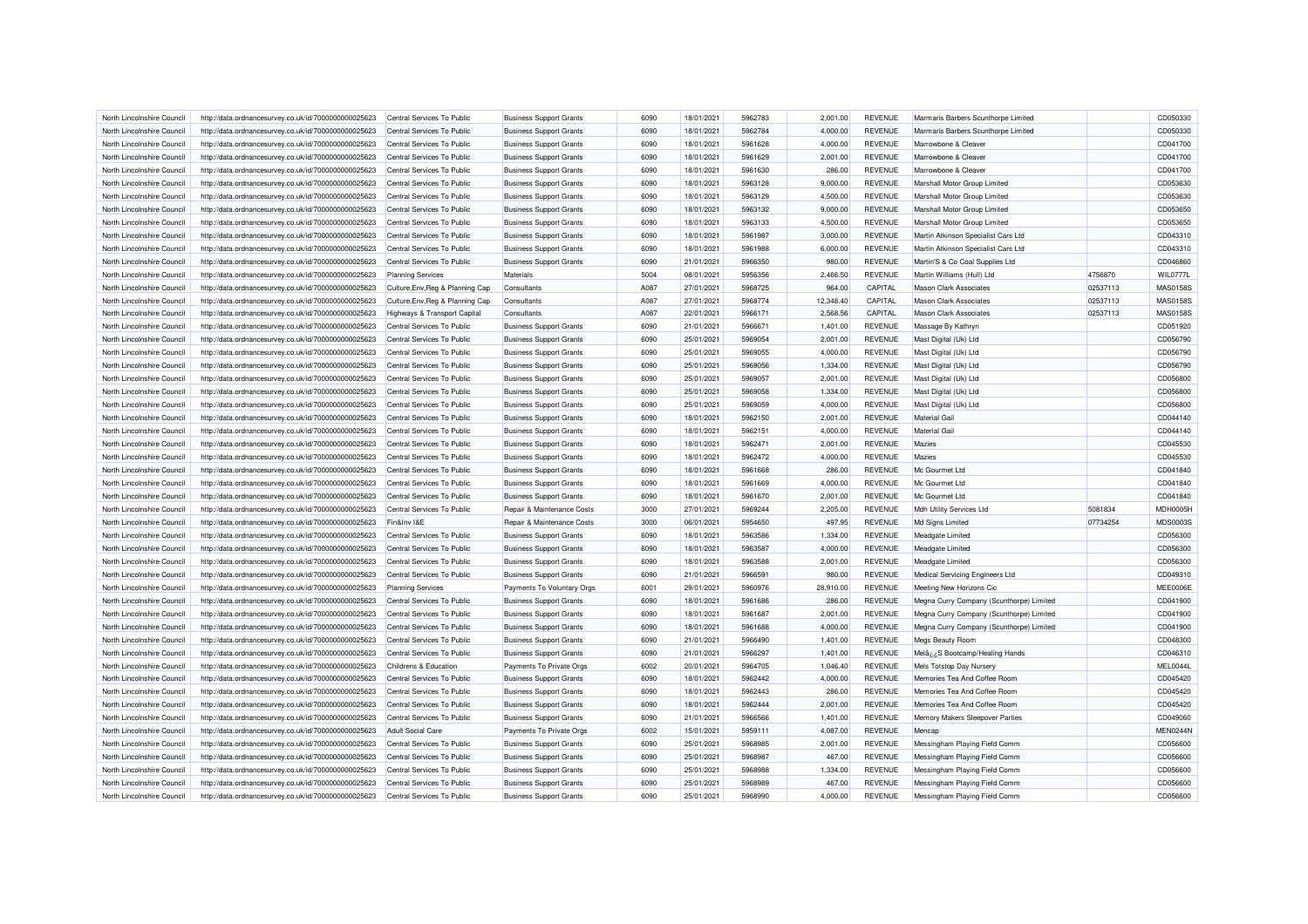| North Lincolnshire Council | http://data.ordnancesurvey.co.uk/id/7000000000025623 | Central Services To Public       | <b>Business Support Grants</b> | 6090 | 18/01/2021 | 5962783            | 2,001.00  | <b>REVENUE</b> | Marmaris Barbers Scunthorpe Limited      |          | CD050330        |
|----------------------------|------------------------------------------------------|----------------------------------|--------------------------------|------|------------|--------------------|-----------|----------------|------------------------------------------|----------|-----------------|
| North Lincolnshire Council | http://data.ordnancesurvey.co.uk/id/7000000000025623 | Central Services To Public       | <b>Business Support Grants</b> | 6090 | 18/01/2021 | 5962784            | 4,000.00  | <b>REVENUE</b> | Marmaris Barbers Scunthorpe Limited      |          | CD050330        |
| North Lincolnshire Council | http://data.ordnancesurvey.co.uk/id/7000000000025623 | Central Services To Public       | <b>Business Support Grants</b> | 6090 | 18/01/2021 | 5961628            | 4.000.00  | <b>REVENUE</b> | Marrowbone & Cleaver                     |          | CD041700        |
| North Lincolnshire Council | http://data.ordnancesurvey.co.uk/id/7000000000025623 | Central Services To Public       | <b>Business Support Grants</b> | 6090 | 18/01/2021 | 5961629            | 2,001.00  | <b>REVENUE</b> | Marrowbone & Cleaver                     |          | CD041700        |
| North Lincolnshire Council | http://data.ordnancesurvey.co.uk/id/7000000000025623 | Central Services To Public       | <b>Business Support Grants</b> | 6090 | 18/01/2021 | 5961630            | 286.00    | <b>REVENUE</b> | Marrowbone & Cleaver                     |          | CD041700        |
| North Lincolnshire Council | http://data.ordnancesurvey.co.uk/id/7000000000025623 | Central Services To Public       | <b>Business Support Grants</b> | 6090 | 18/01/2021 | 5963128            | 9,000.00  | <b>REVENUE</b> | Marshall Motor Group Limited             |          | CD053630        |
|                            |                                                      |                                  |                                |      |            |                    |           |                |                                          |          |                 |
| North Lincolnshire Council | http://data.ordnancesurvey.co.uk/id/7000000000025623 | Central Services To Public       | <b>Business Support Grants</b> | 6090 | 18/01/2021 | 5963129<br>5963132 | 4,500.00  | <b>REVENUE</b> | Marshall Motor Group Limited             |          | CD053630        |
| North Lincolnshire Council | http://data.ordnancesurvey.co.uk/id/7000000000025623 | Central Services To Public       | <b>Business Support Grants</b> | 6090 | 18/01/2021 |                    | 9,000.00  | <b>REVENUE</b> | Marshall Motor Group Limited             |          | CD053650        |
| North Lincolnshire Council | http://data.ordnancesurvey.co.uk/id/7000000000025623 | Central Services To Public       | <b>Business Support Grants</b> | 6090 | 18/01/2021 | 5963133            | 4,500.00  | <b>REVENUE</b> | Marshall Motor Group Limited             |          | CD053650        |
| North Lincolnshire Council | http://data.ordnancesurvey.co.uk/id/7000000000025623 | Central Services To Public       | <b>Business Support Grants</b> | 6090 | 18/01/2021 | 5961987            | 3,000.00  | <b>REVENUE</b> | Martin Atkinson Specialist Cars Ltd      |          | CD043310        |
| North Lincolnshire Council | http://data.ordnancesurvey.co.uk/id/7000000000025623 | Central Services To Public       | <b>Business Support Grants</b> | 6090 | 18/01/2021 | 5961988            | 6,000.00  | <b>REVENUE</b> | Martin Atkinson Specialist Cars Ltd      |          | CD043310        |
| North Lincolnshire Council | http://data.ordnancesurvey.co.uk/id/7000000000025623 | Central Services To Public       | <b>Business Support Grants</b> | 6090 | 21/01/2021 | 5966350            | 980.00    | <b>REVENUE</b> | Martin'S & Co Coal Supplies Ltd          |          | CD046860        |
| North Lincolnshire Council | http://data.ordnancesurvey.co.uk/id/7000000000025623 | <b>Planning Services</b>         | Materials                      | 5004 | 08/01/2021 | 5956356            | 2,466.50  | <b>REVENUE</b> | Martin Williams (Hull) Ltd               | 4756870  | <b>WIL0777L</b> |
| North Lincolnshire Council | http://data.ordnancesurvey.co.uk/id/7000000000025623 | Culture, Env, Reg & Planning Cap | Consultants                    | A087 | 27/01/2021 | 5968725            | 964.00    | CAPITAL        | <b>Mason Clark Associates</b>            | 02537113 | MAS01589        |
| North Lincolnshire Council | http://data.ordnancesurvey.co.uk/id/7000000000025623 | Culture, Env, Reg & Planning Cap | Consultants                    | A087 | 27/01/2021 | 5968774            | 12,348.40 | CAPITAL        | <b>Mason Clark Associates</b>            | 02537113 | MAS01589        |
| North Lincolnshire Council | http://data.ordnancesurvey.co.uk/id/7000000000025623 | Highways & Transport Capital     | Consultants                    | A087 | 22/01/2021 | 5966171            | 2.568.56  | CAPITAL        | <b>Mason Clark Associates</b>            | 02537113 | <b>MAS0158S</b> |
| North Lincolnshire Council | http://data.ordnancesurvey.co.uk/id/7000000000025623 | Central Services To Public       | <b>Business Support Grants</b> | 6090 | 21/01/2021 | 596667             | 1,401.00  | <b>REVENUE</b> | Massage By Kathryr                       |          | CD051920        |
| North Lincolnshire Council | http://data.ordnancesurvey.co.uk/id/7000000000025623 | Central Services To Public       | <b>Business Support Grants</b> | 6090 | 25/01/2021 | 5969054            | 2,001.00  | <b>REVENUE</b> | Mast Digital (Uk) Ltd                    |          | CD056790        |
| North Lincolnshire Council | http://data.ordnancesurvey.co.uk/id/7000000000025623 | Central Services To Public       | <b>Business Support Grants</b> | 6090 | 25/01/2021 | 5969055            | 4,000.00  | <b>REVENUE</b> | Mast Digital (Uk) Ltd                    |          | CD056790        |
| North Lincolnshire Council | http://data.ordnancesurvey.co.uk/id/7000000000025623 | Central Services To Public       | <b>Business Support Grants</b> | 6090 | 25/01/2021 | 5969056            | 1,334.00  | <b>REVENUE</b> | Mast Digital (Uk) Ltd                    |          | CD056790        |
| North Lincolnshire Council | http://data.ordnancesurvey.co.uk/id/7000000000025623 | Central Services To Public       | <b>Business Support Grants</b> | 6090 | 25/01/2021 | 5969057            | 2,001.00  | <b>REVENUE</b> | Mast Digital (Uk) Ltd                    |          | CD056800        |
| North Lincolnshire Council | http://data.ordnancesurvey.co.uk/id/7000000000025623 | Central Services To Public       | <b>Business Support Grants</b> | 6090 | 25/01/2021 | 5969058            | 1,334.00  | <b>REVENUE</b> | Mast Digital (Uk) Ltd                    |          | CD056800        |
| North Lincolnshire Council | http://data.ordnancesurvey.co.uk/id/7000000000025623 | Central Services To Public       | <b>Business Support Grants</b> | 6090 | 25/01/2021 | 5969059            | 4,000.00  | <b>REVENUE</b> | Mast Digital (Uk) Ltd                    |          | CD056800        |
| North Lincolnshire Council | http://data.ordnancesurvey.co.uk/id/7000000000025623 | Central Services To Public       | <b>Business Support Grants</b> | 6090 | 18/01/2021 | 5962150            | 2,001.00  | <b>REVENUE</b> | <b>Material Gail</b>                     |          | CD044140        |
| North Lincolnshire Council | http://data.ordnancesurvey.co.uk/id/7000000000025623 | Central Services To Public       | <b>Business Support Grants</b> | 6090 | 18/01/2021 | 5962151            | 4,000.00  | <b>REVENUE</b> | <b>Material Gail</b>                     |          | CD044140        |
| North Lincolnshire Council | http://data.ordnancesurvey.co.uk/id/7000000000025623 | Central Services To Public       | <b>Business Support Grants</b> | 6090 | 18/01/2021 | 5962471            | 2,001.00  | <b>REVENUE</b> | <b>Mazies</b>                            |          | CD045530        |
| North Lincolnshire Council | http://data.ordnancesurvey.co.uk/id/7000000000025623 | Central Services To Public       | <b>Business Support Grants</b> | 6090 | 18/01/2021 | 5962472            | 4.000.00  | <b>REVENUE</b> | <b>Mazies</b>                            |          | CD045530        |
| North Lincolnshire Council | http://data.ordnancesurvey.co.uk/id/7000000000025623 | Central Services To Public       | <b>Business Support Grants</b> | 6090 | 18/01/2021 | 5961668            | 286.00    | <b>REVENUE</b> | Mc Gourmet Ltd                           |          | CD041840        |
| North Lincolnshire Council | http://data.ordnancesurvey.co.uk/id/7000000000025623 | Central Services To Public       | <b>Business Support Grants</b> | 6090 | 18/01/2021 | 5961669            | 4,000.00  | <b>REVENUE</b> | Mc Gourmet Ltd                           |          | CD041840        |
| North Lincolnshire Council | http://data.ordnancesurvey.co.uk/id/7000000000025623 | Central Services To Public       | <b>Business Support Grants</b> | 6090 | 18/01/2021 | 5961670            | 2,001.00  | <b>REVENUE</b> | Mc Gourmet Ltd                           |          | CD041840        |
| North Lincolnshire Council | http://data.ordnancesurvey.co.uk/id/7000000000025623 | Central Services To Public       | Repair & Maintenance Costs     | 3000 | 27/01/2021 | 5969244            | 2,205.00  | <b>REVENUE</b> | Mdh Utility Services Ltd                 | 5081834  | <b>MDH0005H</b> |
| North Lincolnshire Council | http://data.ordnancesurvey.co.uk/id/7000000000025623 | Fin&Inv I&E                      | Repair & Maintenance Costs     | 3000 | 06/01/2021 | 5954650            | 497.95    | <b>REVENUE</b> |                                          | 07734254 | <b>MDS0003S</b> |
|                            |                                                      |                                  |                                |      |            |                    |           |                | Md Signs Limited                         |          |                 |
| North Lincolnshire Council | http://data.ordnancesurvey.co.uk/id/7000000000025623 | Central Services To Public       | <b>Business Support Grants</b> | 6090 | 18/01/2021 | 5963586            | 1,334.00  | <b>REVENUE</b> | <b>Meadgate Limited</b>                  |          | CD056300        |
| North Lincolnshire Council | http://data.ordnancesurvey.co.uk/id/7000000000025623 | Central Services To Public       | <b>Business Support Grants</b> | 6090 | 18/01/2021 | 5963587            | 4,000.00  | <b>REVENUE</b> | Meadgate Limited                         |          | CD056300        |
| North Lincolnshire Council | http://data.ordnancesurvey.co.uk/id/7000000000025623 | Central Services To Public       | <b>Business Support Grants</b> | 6090 | 18/01/2021 | 5963588            | 2,001.00  | <b>REVENUE</b> | Meadgate Limited                         |          | CD056300        |
| North Lincolnshire Council | http://data.ordnancesurvey.co.uk/id/7000000000025623 | Central Services To Public       | <b>Business Support Grants</b> | 6090 | 21/01/2021 | 5966591            | 980.00    | <b>REVENUE</b> | Medical Servicing Engineers Ltd          |          | CD049310        |
| North Lincolnshire Council | http://data.ordnancesurvey.co.uk/id/7000000000025623 | <b>Planning Services</b>         | Payments To Voluntary Orgs     | 6001 | 29/01/2021 | 5960976            | 28,910.00 | <b>REVENUE</b> | Meeting New Horizons Cic                 |          | MEE0006E        |
| North Lincolnshire Council | http://data.ordnancesurvey.co.uk/id/7000000000025623 | Central Services To Public       | <b>Business Support Grants</b> | 6090 | 18/01/2021 | 5961686            | 286.00    | <b>REVENUE</b> | Megna Curry Company (Scunthorpe) Limited |          | CD041900        |
| North Lincolnshire Council | http://data.ordnancesurvey.co.uk/id/7000000000025623 | Central Services To Public       | <b>Business Support Grants</b> | 6090 | 18/01/2021 | 5961687            | 2,001.00  | <b>REVENUE</b> | Megna Curry Company (Scunthorpe) Limited |          | CD041900        |
| North Lincolnshire Council | http://data.ordnancesurvey.co.uk/id/7000000000025623 | Central Services To Public       | <b>Business Support Grants</b> | 6090 | 18/01/2021 | 5961688            | 4,000.00  | <b>REVENUE</b> | Megna Curry Company (Scunthorpe) Limited |          | CD041900        |
| North Lincolnshire Council | http://data.ordnancesurvey.co.uk/id/7000000000025623 | Central Services To Public       | <b>Business Support Grants</b> | 6090 | 21/01/2021 | 5966490            | 1,401.00  | <b>REVENUE</b> | Megs Beauty Room                         |          | CD048300        |
| North Lincolnshire Council | http://data.ordnancesurvey.co.uk/id/7000000000025623 | Central Services To Public       | <b>Business Support Grants</b> | 6090 | 21/01/2021 | 5966297            | 1,401.00  | <b>REVENUE</b> | Melâ¿¿S Bootcamp/Healing Hands           |          | CD046310        |
| North Lincolnshire Council | http://data.ordnancesurvey.co.uk/id/7000000000025623 | Childrens & Education            | Payments To Private Orgs       | 6002 | 20/01/2021 | 5964705            | 1,046.40  | <b>REVENUE</b> | Mels Totstop Day Nursery                 |          | MEL0044         |
| North Lincolnshire Council | http://data.ordnancesurvey.co.uk/id/7000000000025623 | Central Services To Public       | <b>Business Support Grants</b> | 6090 | 18/01/2021 | 5962442            | 4,000.00  | <b>REVENUE</b> | Memories Tea And Coffee Room             |          | CD045420        |
| North Lincolnshire Council | http://data.ordnancesurvey.co.uk/id/7000000000025623 | Central Services To Public       | <b>Business Support Grants</b> | 6090 | 18/01/2021 | 5962443            | 286.00    | <b>REVENUE</b> | Memories Tea And Coffee Room             |          | CD045420        |
| North Lincolnshire Council | http://data.ordnancesurvey.co.uk/id/7000000000025623 | Central Services To Public       | <b>Business Support Grants</b> | 6090 | 18/01/2021 | 5962444            | 2,001.00  | <b>REVENUE</b> | Memories Tea And Coffee Room             |          | CD045420        |
| North Lincolnshire Council | http://data.ordnancesurvey.co.uk/id/7000000000025623 | Central Services To Public       | <b>Business Support Grants</b> | 6090 | 21/01/2021 | 5966566            | 1,401.00  | <b>REVENUE</b> | Memory Makers Sleepover Parties          |          | CD049060        |
| North Lincolnshire Council | http://data.ordnancesurvey.co.uk/id/7000000000025623 | <b>Adult Social Care</b>         | Payments To Private Orgs       | 6002 | 15/01/2021 | 5959111            | 4,087.00  | <b>REVENUE</b> | Mencap                                   |          | MEN0244N        |
| North Lincolnshire Council | http://data.ordnancesurvey.co.uk/id/7000000000025623 | Central Services To Public       | <b>Business Support Grants</b> | 6090 | 25/01/2021 | 5968985            | 2,001.00  | <b>REVENUE</b> | Messingham Playing Field Comm            |          | CD056600        |
| North Lincolnshire Council | http://data.ordnancesurvey.co.uk/id/7000000000025623 | Central Services To Public       | <b>Business Support Grants</b> | 6090 | 25/01/2021 | 5968987            | 467.00    | <b>REVENUE</b> | Messingham Playing Field Comm            |          | CD056600        |
| North Lincolnshire Council | http://data.ordnancesurvey.co.uk/id/7000000000025623 | Central Services To Public       | <b>Business Support Grants</b> | 6090 | 25/01/2021 | 5968988            | 1,334.00  | <b>REVENUE</b> | Messingham Playing Field Comm            |          | CD056600        |
| North Lincolnshire Council | http://data.ordnancesurvey.co.uk/id/7000000000025623 | Central Services To Public       | <b>Business Support Grants</b> | 6090 | 25/01/2021 | 5968989            | 467.00    | <b>REVENUE</b> | Messingham Playing Field Comm            |          | CD056600        |
| North Lincolnshire Council | http://data.ordnancesurvey.co.uk/id/7000000000025623 | Central Services To Public       | <b>Business Support Grants</b> | 6090 | 25/01/2021 | 5968990            | 4,000.00  | <b>REVENUE</b> | Messingham Playing Field Comm            |          | CD056600        |
|                            |                                                      |                                  |                                |      |            |                    |           |                |                                          |          |                 |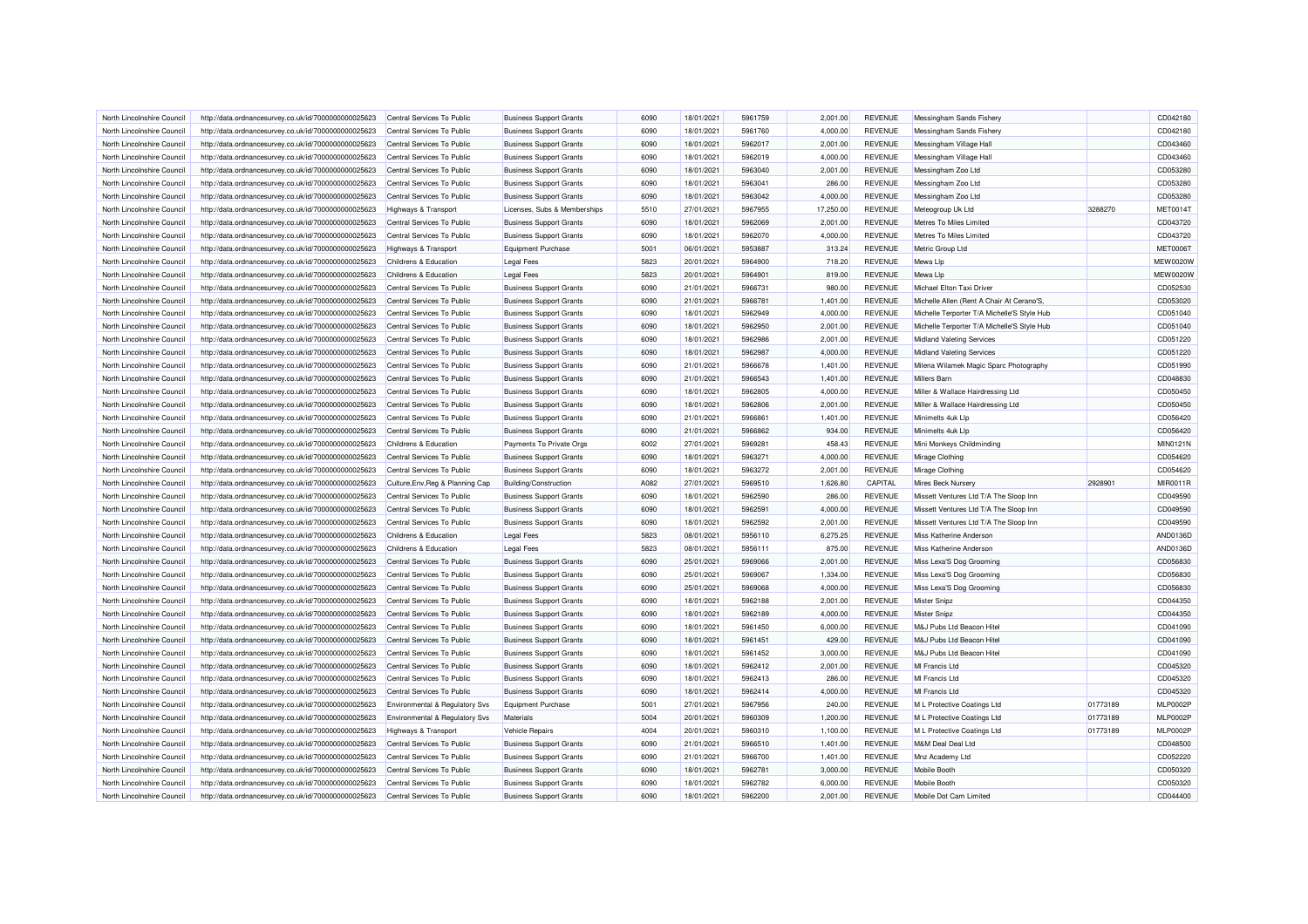| North Lincolnshire Council | http://data.ordnancesurvey.co.uk/id/7000000000025623 | Central Services To Public       | <b>Business Support Grants</b> | 6090         | 18/01/2021 | 5961759            | 2.001.00  | <b>REVENUE</b> | Messingham Sands Fishery                    |          | CD042180        |
|----------------------------|------------------------------------------------------|----------------------------------|--------------------------------|--------------|------------|--------------------|-----------|----------------|---------------------------------------------|----------|-----------------|
| North Lincolnshire Council | http://data.ordnancesurvey.co.uk/id/7000000000025623 | Central Services To Public       | <b>Business Support Grants</b> | 6090         | 18/01/2021 | 5961760            | 4,000.00  | <b>REVENUE</b> | Messingham Sands Fishery                    |          | CD042180        |
| North Lincolnshire Council | http://data.ordnancesurvey.co.uk/id/7000000000025623 | Central Services To Public       | <b>Business Support Grants</b> | 6090         | 18/01/2021 | 5962017            | 2,001.00  | <b>REVENUE</b> | Messingham Village Hall                     |          | CD043460        |
| North Lincolnshire Council | http://data.ordnancesurvey.co.uk/id/7000000000025623 | Central Services To Public       | <b>Business Support Grants</b> | 6090         | 18/01/2021 | 5962019            | 4,000.00  | <b>REVENUE</b> | Messingham Village Hall                     |          | CD043460        |
| North Lincolnshire Council | http://data.ordnancesurvey.co.uk/id/7000000000025623 | Central Services To Public       | <b>Business Support Grants</b> | 6090         | 18/01/2021 | 5963040            | 2,001.00  | <b>REVENUE</b> | Messingham Zoo Ltd                          |          | CD053280        |
| North Lincolnshire Council | http://data.ordnancesurvey.co.uk/id/7000000000025623 | Central Services To Public       | <b>Business Support Grants</b> | 6090         | 18/01/2021 | 5963041            | 286.00    | <b>REVENUE</b> | Messingham Zoo Ltd                          |          | CD053280        |
| North Lincolnshire Council | http://data.ordnancesurvey.co.uk/id/7000000000025623 | Central Services To Public       | <b>Business Support Grants</b> | 6090         | 18/01/2021 | 5963042            | 4,000.00  | <b>REVENUE</b> | Messingham Zoo Ltd                          |          | CD053280        |
| North Lincolnshire Council | http://data.ordnancesurvey.co.uk/id/7000000000025623 | <b>Highways &amp; Transport</b>  | Licenses, Subs & Memberships   | 5510         | 27/01/2021 | 5967955            | 17,250.00 | <b>REVENUE</b> | Meteogroup Uk Ltd                           | 3288270  | <b>MET00141</b> |
| North Lincolnshire Council | http://data.ordnancesurvey.co.uk/id/7000000000025623 | Central Services To Public       | <b>Business Support Grants</b> | 6090         | 18/01/2021 | 5962069            | 2,001.00  | <b>REVENUE</b> | Metres To Miles Limited                     |          | CD043720        |
| North Lincolnshire Council | http://data.ordnancesurvey.co.uk/id/7000000000025623 | Central Services To Public       | <b>Business Support Grants</b> | 6090         | 18/01/2021 | 5962070            | 4,000.00  | <b>REVENUE</b> | Metres To Miles Limited                     |          | CD043720        |
| North Lincolnshire Counci  | http://data.ordnancesurvey.co.uk/id/7000000000025623 | Highways & Transport             | <b>Equipment Purchase</b>      | 5001         | 06/01/2021 | 5953887            | 313.24    | <b>REVENUE</b> | Metric Group Ltd                            |          | <b>MET00061</b> |
| North Lincolnshire Council | http://data.ordnancesurvey.co.uk/id/7000000000025623 | Childrens & Education            | <b>Legal Fees</b>              | 5823         | 20/01/2021 | 5964900            | 718.20    | <b>REVENUE</b> | Mewa Lip                                    |          | <b>MEW0020W</b> |
| North Lincolnshire Council | http://data.ordnancesurvey.co.uk/id/7000000000025623 | Childrens & Education            | <b>Legal Fees</b>              | 5823         | 20/01/2021 | 5964901            | 819.00    | <b>REVENUE</b> | Mewa Lip                                    |          | <b>MEW0020W</b> |
| North Lincolnshire Council | http://data.ordnancesurvey.co.uk/id/7000000000025623 | Central Services To Public       | <b>Business Support Grants</b> | 6090         | 21/01/2021 | 5966731            | 980.00    | <b>REVENUE</b> | Michael Elton Taxi Driver                   |          | CD052530        |
| North Lincolnshire Council | http://data.ordnancesurvey.co.uk/id/7000000000025623 | Central Services To Public       | <b>Business Support Grants</b> | 6090         | 21/01/2021 | 5966781            | 1,401.00  | <b>REVENUE</b> | Michelle Allen (Rent A Chair At Cerano'S.   |          | CD053020        |
| North Lincolnshire Council | http://data.ordnancesurvey.co.uk/id/7000000000025623 | Central Services To Public       | <b>Business Support Grants</b> | 6090         | 18/01/2021 | 5962949            | 4,000.00  | <b>REVENUE</b> | Michelle Terporter T/A Michelle'S Style Hub |          | CD051040        |
| North Lincolnshire Council | http://data.ordnancesurvey.co.uk/id/7000000000025623 | Central Services To Public       | <b>Business Support Grants</b> | 6090         | 18/01/2021 | 5962950            | 2,001.00  | <b>REVENUE</b> | Michelle Terporter T/A Michelle'S Style Hub |          | CD051040        |
| North Lincolnshire Council |                                                      |                                  | <b>Business Support Grants</b> | 6090         | 18/01/2021 | 5962986            | 2,001.00  | <b>REVENUE</b> | <b>Midland Valeting Services</b>            |          | CD051220        |
|                            | http://data.ordnancesurvey.co.uk/id/7000000000025623 | Central Services To Public       |                                |              |            |                    |           |                |                                             |          |                 |
| North Lincolnshire Council | http://data.ordnancesurvey.co.uk/id/7000000000025623 | Central Services To Public       | <b>Business Support Grants</b> | 6090         | 18/01/2021 | 5962987            | 4,000.00  | <b>REVENUE</b> | <b>Midland Valeting Services</b>            |          | CD051220        |
| North Lincolnshire Council | http://data.ordnancesurvey.co.uk/id/7000000000025623 | Central Services To Public       | <b>Business Support Grants</b> | 6090         | 21/01/2021 | 5966678            | 1,401.00  | <b>REVENUE</b> | Milena Wilamek Magic Sparc Photography      |          | CD051990        |
| North Lincolnshire Council | http://data.ordnancesurvey.co.uk/id/7000000000025623 | Central Services To Public       | <b>Business Support Grants</b> | 6090         | 21/01/2021 | 5966543            | 1,401.00  | <b>REVENUE</b> | <b>Millers Barn</b>                         |          | CD048830        |
| North Lincolnshire Council | http://data.ordnancesurvey.co.uk/id/7000000000025623 | Central Services To Public       | <b>Business Support Grants</b> | 6090         | 18/01/2021 | 5962805            | 4,000.00  | <b>REVENUE</b> | Miller & Wallace Hairdressing Ltd           |          | CD050450        |
| North Lincolnshire Council | http://data.ordnancesurvey.co.uk/id/7000000000025623 | Central Services To Public       | <b>Business Support Grants</b> | 6090         | 18/01/2021 | 5962806            | 2.001.00  | <b>REVENUE</b> | Miller & Wallace Hairdressing Ltd           |          | CD050450        |
| North Lincolnshire Council | http://data.ordnancesurvey.co.uk/id/7000000000025623 | Central Services To Public       | <b>Business Support Grants</b> | 6090         | 21/01/2021 | 5966861            | 1,401.00  | <b>REVENUE</b> | Minimelts 4uk Llp                           |          | CD056420        |
| North Lincolnshire Council | http://data.ordnancesurvey.co.uk/id/7000000000025623 | Central Services To Public       | <b>Business Support Grants</b> | 6090         | 21/01/2021 | 5966862            | 934.00    | <b>REVENUE</b> | Minimelts 4uk Llp                           |          | CD056420        |
| North Lincolnshire Council | http://data.ordnancesurvey.co.uk/id/7000000000025623 | Childrens & Education            | Payments To Private Orgs       | 6002         | 27/01/2021 | 5969281            | 458.43    | <b>REVENUE</b> | Mini Monkeys Childminding                   |          | MIN0121N        |
| North Lincolnshire Council | http://data.ordnancesurvey.co.uk/id/7000000000025623 | Central Services To Public       | <b>Business Support Grants</b> | 6090         | 18/01/2021 | 5963271            | 4,000.00  | <b>REVENUE</b> | Mirage Clothing                             |          | CD054620        |
| North Lincolnshire Council | http://data.ordnancesurvey.co.uk/id/7000000000025623 | Central Services To Public       | <b>Business Support Grants</b> | 6090         | 18/01/2021 | 5963272            | 2,001.00  | <b>REVENUE</b> | Mirage Clothing                             |          | CD054620        |
| North Lincolnshire Council | http://data.ordnancesurvey.co.uk/id/7000000000025623 | Culture, Env, Reg & Planning Cap | <b>Building/Construction</b>   | A082         | 27/01/2021 | 5969510            | 1,626.80  | CAPITAL        | Mires Beck Nursery                          | 2928901  | MIR0011F        |
| North Lincolnshire Council | http://data.ordnancesurvey.co.uk/id/7000000000025623 | Central Services To Public       | <b>Business Support Grants</b> | 6090         | 18/01/2021 | 5962590            | 286.00    | <b>REVENUE</b> | Missett Ventures Ltd T/A The Sloop Inn      |          | CD049590        |
| North Lincolnshire Council | http://data.ordnancesurvey.co.uk/id/7000000000025623 | Central Services To Public       | <b>Business Support Grants</b> | 6090         | 18/01/2021 | 5962591            | 4,000.00  | <b>REVENUE</b> | Missett Ventures Ltd T/A The Sloop Inn      |          | CD049590        |
| North Lincolnshire Council | http://data.ordnancesurvey.co.uk/id/7000000000025623 | Central Services To Public       | <b>Business Support Grants</b> | 6090         | 18/01/2021 | 5962592            | 2,001.00  | <b>REVENUE</b> | Missett Ventures Ltd T/A The Sloop Inn      |          | CD049590        |
| North Lincolnshire Counci  | http://data.ordnancesurvey.co.uk/id/7000000000025623 | Childrens & Education            | <b>Legal Fees</b>              | 5823         | 08/01/2021 | 5956110            | 6,275.25  | <b>REVENUE</b> | Miss Katherine Anderson                     |          | AND0136D        |
| North Lincolnshire Council | http://data.ordnancesurvey.co.uk/id/7000000000025623 | Childrens & Education            | <b>Legal Fees</b>              | 5823         | 08/01/2021 | 5956111            | 875.00    | <b>REVENUE</b> | <b>Miss Katherine Anderson</b>              |          | AND0136D        |
| North Lincolnshire Council | http://data.ordnancesurvey.co.uk/id/7000000000025623 | Central Services To Public       | <b>Business Support Grants</b> | 6090         | 25/01/2021 | 5969066            | 2,001.00  | <b>REVENUE</b> | Miss Lexa'S Dog Grooming                    |          | CD056830        |
| North Lincolnshire Council | http://data.ordnancesurvey.co.uk/id/7000000000025623 | Central Services To Public       | <b>Business Support Grants</b> | 6090         | 25/01/2021 | 5969067            | 1,334.00  | <b>REVENUE</b> | Miss Lexa'S Dog Grooming                    |          | CD056830        |
| North Lincolnshire Council | http://data.ordnancesurvey.co.uk/id/7000000000025623 | Central Services To Public       | <b>Business Support Grants</b> | 6090         | 25/01/2021 | 5969068            | 4,000.00  | <b>REVENUE</b> | Miss Lexa'S Dog Grooming                    |          | CD056830        |
| North Lincolnshire Council | http://data.ordnancesurvey.co.uk/id/7000000000025623 | Central Services To Public       | <b>Business Support Grants</b> | 6090         | 18/01/2021 | 5962188            | 2,001.00  | <b>REVENUE</b> | <b>Mister Snipz</b>                         |          | CD044350        |
| North Lincolnshire Council | http://data.ordnancesurvey.co.uk/id/7000000000025623 | Central Services To Public       | <b>Business Support Grants</b> | 6090         | 18/01/2021 | 5962189            | 4,000.00  | <b>REVENUE</b> | Mister Snipz                                |          | CD044350        |
| North Lincolnshire Council | http://data.ordnancesurvey.co.uk/id/7000000000025623 | Central Services To Public       | <b>Business Support Grants</b> | 6090         | 18/01/2021 | 5961450            | 6,000.00  | <b>REVENUE</b> | M&J Pubs Ltd Beacon Hite                    |          | CD041090        |
| North Lincolnshire Council | http://data.ordnancesurvey.co.uk/id/7000000000025623 | Central Services To Public       | <b>Business Support Grants</b> | 6090         | 18/01/2021 | 5961451            | 429.00    | <b>REVENUE</b> | M&J Pubs Ltd Beacon Hite                    |          | CD041090        |
| North Lincolnshire Council | http://data.ordnancesurvey.co.uk/id/7000000000025623 | Central Services To Public       | <b>Business Support Grants</b> | 6090         | 18/01/2021 | 5961452            | 3,000.00  | <b>REVENUE</b> | M&J Pubs Ltd Beacon Hitel                   |          | CD041090        |
| North Lincolnshire Council | http://data.ordnancesurvey.co.uk/id/7000000000025623 | Central Services To Public       | <b>Business Support Grants</b> | 6090         | 18/01/2021 | 5962412            | 2,001.00  | <b>REVENUE</b> | MI Francis Ltd                              |          | CD045320        |
| North Lincolnshire Council | http://data.ordnancesurvey.co.uk/id/7000000000025623 | Central Services To Public       | <b>Business Support Grants</b> | 6090         | 18/01/2021 | 5962413            | 286.00    | <b>REVENUE</b> | MI Francis Ltd                              |          | CD045320        |
| North Lincolnshire Council | http://data.ordnancesurvey.co.uk/id/7000000000025623 | Central Services To Public       | <b>Business Support Grants</b> | 6090         | 18/01/2021 | 5962414            | 4,000.00  | <b>REVENUE</b> | MI Francis Ltd                              |          | CD045320        |
| North Lincolnshire Council | http://data.ordnancesurvey.co.uk/id/7000000000025623 | Environmental & Regulatory Svs   | <b>Equipment Purchase</b>      | 5001         | 27/01/2021 | 5967956            | 240.00    | <b>REVENUE</b> | M L Protective Coatings Ltd                 | 01773189 | <b>MLP0002F</b> |
| North Lincolnshire Council | http://data.ordnancesurvey.co.uk/id/7000000000025623 | Environmental & Regulatory Svs   | Materials                      | 5004         | 20/01/2021 | 5960309            | 1,200.00  | <b>REVENUE</b> | M L Protective Coatings Ltd                 | 01773189 | <b>MLP0002F</b> |
| North Lincolnshire Council | http://data.ordnancesurvey.co.uk/id/7000000000025623 | <b>Highways &amp; Transport</b>  | <b>Vehicle Repairs</b>         | 4004         | 20/01/2021 | 5960310            | 1,100.00  | <b>REVENUE</b> | M L Protective Coatings Ltd                 | 01773189 | <b>MLP0002P</b> |
| North Lincolnshire Council | http://data.ordnancesurvey.co.uk/id/7000000000025623 | Central Services To Public       | <b>Business Support Grants</b> | 6090         | 21/01/2021 | 5966510            | 1,401.00  | <b>REVENUE</b> | M&M Deal Deal Ltd                           |          | CD048500        |
| North Lincolnshire Council | http://data.ordnancesurvey.co.uk/id/7000000000025623 | Central Services To Public       | <b>Business Support Grants</b> | 6090         | 21/01/2021 | 5966700            | 1,401.00  | <b>REVENUE</b> | Mnz Academy Ltd                             |          | CD052220        |
|                            |                                                      |                                  | <b>Business Support Grants</b> | 6090         |            | 5962781            |           |                | Mobile Booth                                |          | CD050320        |
| North Lincolnshire Council | http://data.ordnancesurvey.co.uk/id/7000000000025623 | Central Services To Public       |                                |              | 18/01/2021 |                    | 3,000.00  | <b>REVENUE</b> |                                             |          |                 |
| North Lincolnshire Council | http://data.ordnancesurvey.co.uk/id/7000000000025623 | Central Services To Public       | <b>Business Support Grants</b> | 6090<br>6090 | 18/01/2021 | 5962782<br>5962200 | 6,000.00  | <b>REVENUE</b> | Mobile Booth                                |          | CD050320        |
| North Lincolnshire Council | http://data.ordnancesurvey.co.uk/id/7000000000025623 | Central Services To Public       | <b>Business Support Grants</b> |              | 18/01/2021 |                    | 2,001.00  | <b>REVENUE</b> | Mobile Dot Cam Limited                      |          | CD044400        |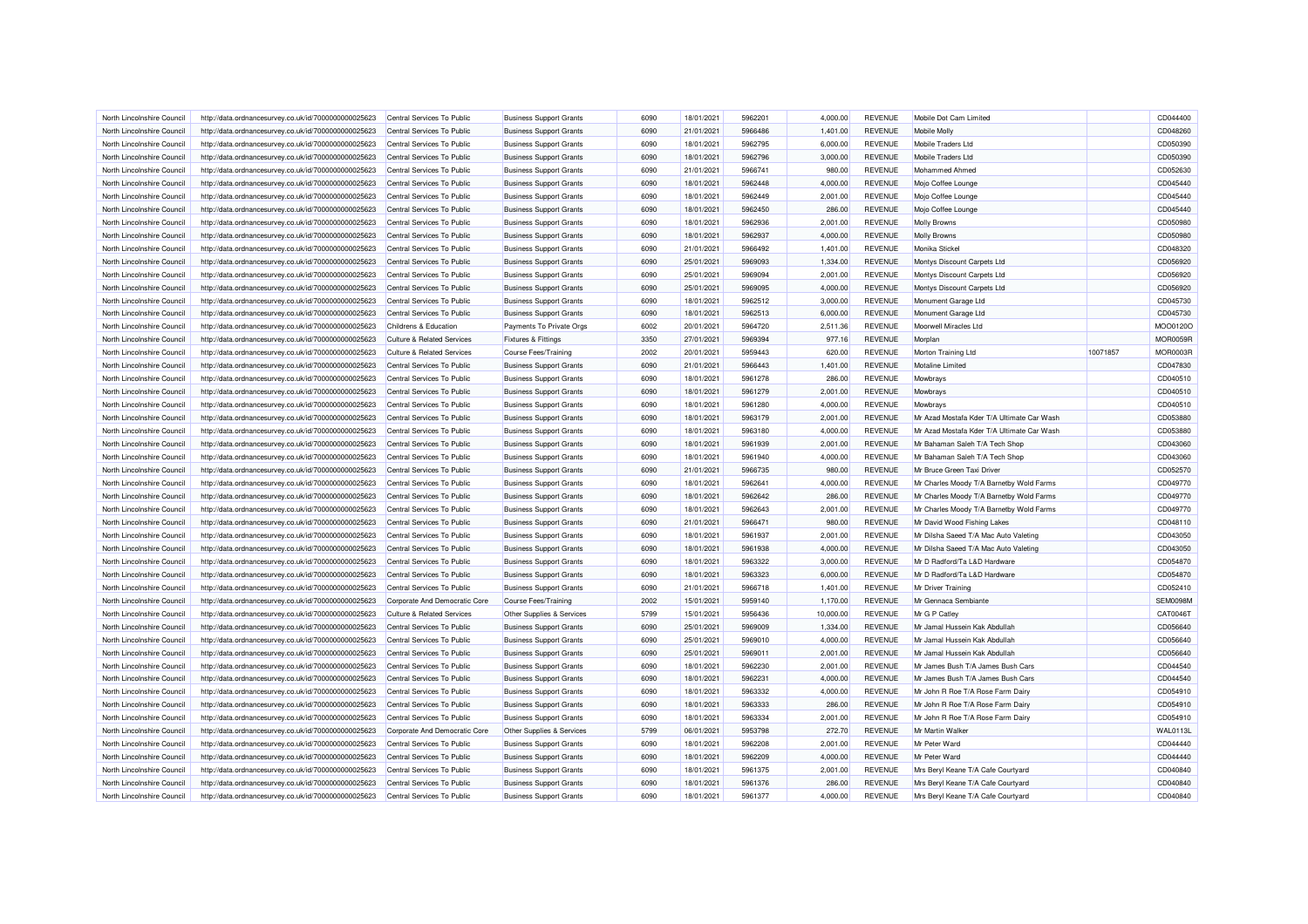| North Lincolnshire Council | http://data.ordnancesurvey.co.uk/id/7000000000025623 | Central Services To Public            | <b>Business Support Grants</b> | 6090 | 18/01/2021 | 5962201 | 4.000.00  | <b>REVENUE</b> | Mobile Dot Cam Limited                     |          | CD044400             |
|----------------------------|------------------------------------------------------|---------------------------------------|--------------------------------|------|------------|---------|-----------|----------------|--------------------------------------------|----------|----------------------|
| North Lincolnshire Council | http://data.ordnancesurvey.co.uk/id/7000000000025623 | Central Services To Public            | <b>Business Support Grants</b> | 6090 | 21/01/2021 | 5966486 | 1,401.00  | <b>REVENUE</b> | Mobile Molly                               |          | CD048260             |
| North Lincolnshire Council | http://data.ordnancesurvey.co.uk/id/7000000000025623 | Central Services To Public            | <b>Business Support Grants</b> | 6090 | 18/01/2021 | 5962795 | 6,000.00  | <b>REVENUE</b> | Mobile Traders Ltd                         |          | CD050390             |
| North Lincolnshire Council | http://data.ordnancesurvey.co.uk/id/7000000000025623 | Central Services To Public            | <b>Business Support Grants</b> | 6090 | 18/01/2021 | 5962796 | 3,000.00  | <b>REVENUE</b> | Mobile Traders Ltd                         |          | CD050390             |
| North Lincolnshire Council | http://data.ordnancesurvey.co.uk/id/7000000000025623 | Central Services To Public            | <b>Business Support Grants</b> | 6090 | 21/01/2021 | 5966741 | 980.00    | <b>REVENUE</b> | Mohammed Ahmed                             |          | CD052630             |
| North Lincolnshire Council | http://data.ordnancesurvey.co.uk/id/7000000000025623 | Central Services To Public            | <b>Business Support Grants</b> | 6090 | 18/01/2021 | 5962448 | 4,000.00  | <b>REVENUE</b> | Mojo Coffee Lounge                         |          | CD045440             |
| North Lincolnshire Council | http://data.ordnancesurvey.co.uk/id/7000000000025623 | Central Services To Public            | <b>Business Support Grants</b> | 6090 | 18/01/2021 | 5962449 | 2,001.00  | <b>REVENUE</b> | Mojo Coffee Lounge                         |          | CD045440             |
| North Lincolnshire Council | http://data.ordnancesurvey.co.uk/id/7000000000025623 | Central Services To Public            | <b>Business Support Grants</b> | 6090 | 18/01/2021 | 5962450 | 286.00    | <b>REVENUE</b> | Mojo Coffee Lounge                         |          | CD045440             |
| North Lincolnshire Council | http://data.ordnancesurvey.co.uk/id/7000000000025623 | Central Services To Public            | <b>Business Support Grants</b> | 6090 | 18/01/2021 | 5962936 | 2,001.00  | <b>REVENUE</b> | <b>Molly Browns</b>                        |          | CD050980             |
| North Lincolnshire Council | http://data.ordnancesurvey.co.uk/id/7000000000025623 | Central Services To Public            | <b>Business Support Grants</b> | 6090 | 18/01/2021 | 5962937 | 4,000.00  | <b>REVENUE</b> | <b>Molly Browns</b>                        |          | CD050980             |
| North Lincolnshire Council | http://data.ordnancesurvey.co.uk/id/7000000000025623 | Central Services To Public            | <b>Business Support Grants</b> | 6090 | 21/01/2021 | 5966492 | 1,401.00  | <b>REVENUE</b> | Monika Stickel                             |          | CD048320             |
| North Lincolnshire Council | http://data.ordnancesurvey.co.uk/id/7000000000025623 | Central Services To Public            | <b>Business Support Grants</b> | 6090 | 25/01/2021 | 5969093 | 1,334.00  | <b>REVENUE</b> | Montys Discount Carpets Ltd                |          | CD056920             |
| North Lincolnshire Council | http://data.ordnancesurvey.co.uk/id/7000000000025623 | Central Services To Public            | <b>Business Support Grants</b> | 6090 | 25/01/2021 | 5969094 | 2,001.00  | <b>REVENUE</b> | Montys Discount Carpets Ltd                |          | CD056920             |
| North Lincolnshire Council | http://data.ordnancesurvey.co.uk/id/7000000000025623 | Central Services To Public            | <b>Business Support Grants</b> | 6090 | 25/01/2021 | 5969095 | 4,000.00  | <b>REVENUE</b> | Montys Discount Carpets Ltd                |          | CD056920             |
| North Lincolnshire Council | http://data.ordnancesurvey.co.uk/id/7000000000025623 | Central Services To Public            | <b>Business Support Grants</b> | 6090 | 18/01/2021 | 5962512 | 3,000.00  | <b>REVENUE</b> | Monument Garage Ltd                        |          | CD045730             |
| North Lincolnshire Council | http://data.ordnancesurvey.co.uk/id/7000000000025623 | Central Services To Public            | <b>Business Support Grants</b> | 6090 | 18/01/2021 | 5962513 | 6,000.00  | <b>REVENUE</b> | Monument Garage Ltd                        |          | CD045730             |
| North Lincolnshire Council | http://data.ordnancesurvey.co.uk/id/7000000000025623 | Childrens & Education                 | Payments To Private Orgs       | 6002 | 20/01/2021 | 5964720 | 2,511.36  | <b>REVENUE</b> | Moorwell Miracles Ltd                      |          | MOO0120C             |
| North Lincolnshire Council | http://data.ordnancesurvey.co.uk/id/7000000000025623 | <b>Culture &amp; Related Services</b> | Fixtures & Fittings            | 3350 | 27/01/2021 | 5969394 | 977.16    | <b>REVENUE</b> | Morplan                                    |          | <b>MOR0059R</b>      |
| North Lincolnshire Council | http://data.ordnancesurvey.co.uk/id/7000000000025623 | <b>Culture &amp; Related Services</b> | <b>Course Fees/Training</b>    | 2002 | 20/01/2021 | 5959443 | 620.00    | <b>REVENUE</b> | Morton Training Ltd                        | 10071857 | MOR0003R             |
| North Lincolnshire Council | http://data.ordnancesurvey.co.uk/id/7000000000025623 | Central Services To Public            | <b>Business Support Grants</b> | 6090 | 21/01/2021 | 5966443 | 1,401.00  | <b>REVENUE</b> | <b>Motaline Limited</b>                    |          | CD047830             |
| North Lincolnshire Council |                                                      | Central Services To Public            |                                | 6090 | 18/01/2021 | 5961278 |           | <b>REVENUE</b> | Mowbrays                                   |          |                      |
|                            | http://data.ordnancesurvey.co.uk/id/7000000000025623 |                                       | <b>Business Support Grants</b> |      |            |         | 286.00    |                |                                            |          | CD040510             |
| North Lincolnshire Council | http://data.ordnancesurvey.co.uk/id/7000000000025623 | Central Services To Public            | <b>Business Support Grants</b> | 6090 | 18/01/2021 | 5961279 | 2,001.00  | <b>REVENUE</b> | Mowbrays                                   |          | CD040510<br>CD040510 |
| North Lincolnshire Council | http://data.ordnancesurvey.co.uk/id/7000000000025623 | Central Services To Public            | <b>Business Support Grants</b> | 6090 | 18/01/2021 | 5961280 | 4.000.00  | <b>REVENUE</b> | Mowbrays                                   |          |                      |
| North Lincolnshire Council | http://data.ordnancesurvey.co.uk/id/7000000000025623 | Central Services To Public            | <b>Business Support Grants</b> | 6090 | 18/01/2021 | 5963179 | 2,001.00  | <b>REVENUE</b> | Mr Azad Mostafa Kder T/A Ultimate Car Wash |          | CD053880             |
| North Lincolnshire Council | http://data.ordnancesurvey.co.uk/id/7000000000025623 | Central Services To Public            | <b>Business Support Grants</b> | 6090 | 18/01/2021 | 5963180 | 4,000.00  | REVENUE        | Mr Azad Mostafa Kder T/A Ultimate Car Wash |          | CD053880             |
| North Lincolnshire Council | http://data.ordnancesurvey.co.uk/id/7000000000025623 | Central Services To Public            | <b>Business Support Grants</b> | 6090 | 18/01/2021 | 5961939 | 2,001.00  | <b>REVENUE</b> | Mr Bahaman Saleh T/A Tech Shop             |          | CD043060             |
| North Lincolnshire Council | http://data.ordnancesurvey.co.uk/id/7000000000025623 | Central Services To Public            | <b>Business Support Grants</b> | 6090 | 18/01/2021 | 5961940 | 4,000.00  | <b>REVENUE</b> | Mr Bahaman Saleh T/A Tech Shop             |          | CD043060             |
| North Lincolnshire Council | http://data.ordnancesurvey.co.uk/id/7000000000025623 | Central Services To Public            | <b>Business Support Grants</b> | 6090 | 21/01/2021 | 5966735 | 980.00    | <b>REVENUE</b> | Mr Bruce Green Taxi Driver                 |          | CD052570             |
| North Lincolnshire Council | http://data.ordnancesurvey.co.uk/id/7000000000025623 | Central Services To Public            | <b>Business Support Grants</b> | 6090 | 18/01/2021 | 5962641 | 4,000.00  | <b>REVENUE</b> | Mr Charles Moody T/A Barnetby Wold Farms   |          | CD049770             |
| North Lincolnshire Council | http://data.ordnancesurvey.co.uk/id/7000000000025623 | Central Services To Public            | <b>Business Support Grants</b> | 6090 | 18/01/2021 | 5962642 | 286.00    | <b>REVENUE</b> | Mr Charles Moody T/A Barnetby Wold Farms   |          | CD049770             |
| North Lincolnshire Council | http://data.ordnancesurvey.co.uk/id/7000000000025623 | Central Services To Public            | <b>Business Support Grants</b> | 6090 | 18/01/2021 | 5962643 | 2,001.00  | <b>REVENUE</b> | Mr Charles Moody T/A Barnetby Wold Farms   |          | CD049770             |
| North Lincolnshire Council | http://data.ordnancesurvey.co.uk/id/7000000000025623 | Central Services To Public            | <b>Business Support Grants</b> | 6090 | 21/01/2021 | 5966471 | 980.00    | <b>REVENUE</b> | Mr David Wood Fishing Lakes                |          | CD048110             |
| North Lincolnshire Council | http://data.ordnancesurvey.co.uk/id/7000000000025623 | Central Services To Public            | <b>Business Support Grants</b> | 6090 | 18/01/2021 | 5961937 | 2,001.00  | <b>REVENUE</b> | Mr Dilsha Saeed T/A Mac Auto Valeting      |          | CD043050             |
| North Lincolnshire Council | http://data.ordnancesurvey.co.uk/id/7000000000025623 | Central Services To Public            | <b>Business Support Grants</b> | 6090 | 18/01/2021 | 5961938 | 4,000.00  | <b>REVENUE</b> | Mr Dilsha Saeed T/A Mac Auto Valeting      |          | CD043050             |
| North Lincolnshire Council | http://data.ordnancesurvey.co.uk/id/7000000000025623 | Central Services To Public            | <b>Business Support Grants</b> | 6090 | 18/01/2021 | 5963322 | 3,000.00  | <b>REVENUE</b> | Mr D Radford/Ta L&D Hardware               |          | CD054870             |
| North Lincolnshire Council | http://data.ordnancesurvey.co.uk/id/7000000000025623 | Central Services To Public            | <b>Business Support Grants</b> | 6090 | 18/01/2021 | 5963323 | 6,000.00  | <b>REVENUE</b> | Mr D Radford/Ta L&D Hardware               |          | CD054870             |
| North Lincolnshire Council | http://data.ordnancesurvey.co.uk/id/7000000000025623 | Central Services To Public            | <b>Business Support Grants</b> | 6090 | 21/01/2021 | 5966718 | 1,401.00  | <b>REVENUE</b> | Mr Driver Training                         |          | CD052410             |
| North Lincolnshire Council | http://data.ordnancesurvey.co.uk/id/7000000000025623 | Corporate And Democratic Core         | Course Fees/Training           | 2002 | 15/01/2021 | 5959140 | 1,170.00  | <b>REVENUE</b> | Mr Gennaca Sembiante                       |          | SEM0098M             |
| North Lincolnshire Council | http://data.ordnancesurvey.co.uk/id/7000000000025623 | Culture & Related Services            | Other Supplies & Services      | 5799 | 15/01/2021 | 5956436 | 10,000.00 | <b>REVENUE</b> | Mr G P Catlev                              |          | CAT0046T             |
| North Lincolnshire Council | http://data.ordnancesurvey.co.uk/id/7000000000025623 | Central Services To Public            | <b>Business Support Grants</b> | 6090 | 25/01/2021 | 5969009 | 1,334.00  | <b>REVENUE</b> | Mr Jamal Hussein Kak Abdullah              |          | CD056640             |
| North Lincolnshire Council | http://data.ordnancesurvey.co.uk/id/7000000000025623 | Central Services To Public            | <b>Business Support Grants</b> | 6090 | 25/01/2021 | 5969010 | 4,000.00  | <b>REVENUE</b> | Mr Jamal Hussein Kak Abdullah              |          | CD056640             |
| North Lincolnshire Council | http://data.ordnancesurvey.co.uk/id/7000000000025623 | Central Services To Public            | <b>Business Support Grants</b> | 6090 | 25/01/2021 | 5969011 | 2,001.00  | <b>REVENUE</b> | Mr Jamal Hussein Kak Abdullah              |          | CD056640             |
| North Lincolnshire Council | http://data.ordnancesurvey.co.uk/id/7000000000025623 | Central Services To Public            | <b>Business Support Grants</b> | 6090 | 18/01/2021 | 5962230 | 2,001.00  | <b>REVENUE</b> | Mr James Bush T/A James Bush Cars          |          | CD044540             |
| North Lincolnshire Council | http://data.ordnancesurvey.co.uk/id/7000000000025623 | Central Services To Public            | <b>Business Support Grants</b> | 6090 | 18/01/2021 | 5962231 | 4,000.00  | <b>REVENUE</b> | Mr James Bush T/A James Bush Cars          |          | CD044540             |
| North Lincolnshire Council | http://data.ordnancesurvey.co.uk/id/7000000000025623 | Central Services To Public            | <b>Business Support Grants</b> | 6090 | 18/01/2021 | 5963332 | 4,000.00  | <b>REVENUE</b> | Mr John R Roe T/A Rose Farm Dairy          |          | CD054910             |
| North Lincolnshire Council | http://data.ordnancesurvey.co.uk/id/7000000000025623 | Central Services To Public            | <b>Business Support Grants</b> | 6090 | 18/01/2021 | 5963333 | 286.00    | <b>REVENUE</b> | Mr John R Roe T/A Rose Farm Dairy          |          | CD054910             |
| North Lincolnshire Council | http://data.ordnancesurvey.co.uk/id/7000000000025623 | Central Services To Public            | <b>Business Support Grants</b> | 6090 | 18/01/2021 | 5963334 | 2,001.00  | <b>REVENUE</b> | Mr John R Roe T/A Rose Farm Dairy          |          | CD054910             |
| North Lincolnshire Council | http://data.ordnancesurvey.co.uk/id/7000000000025623 | Corporate And Democratic Core         | Other Supplies & Services      | 5799 | 06/01/2021 | 5953798 | 272.70    | <b>REVENUE</b> | Mr Martin Walker                           |          | <b>WAL0113L</b>      |
| North Lincolnshire Council | http://data.ordnancesurvey.co.uk/id/7000000000025623 | Central Services To Public            | <b>Business Support Grants</b> | 6090 | 18/01/2021 | 5962208 | 2,001.00  | <b>REVENUE</b> | Mr Peter Ward                              |          | CD044440             |
| North Lincolnshire Council | http://data.ordnancesurvey.co.uk/id/7000000000025623 | Central Services To Public            | <b>Business Support Grants</b> | 6090 | 18/01/2021 | 5962209 | 4,000.00  | <b>REVENUE</b> | Mr Peter Ward                              |          | CD044440             |
| North Lincolnshire Council | http://data.ordnancesurvey.co.uk/id/7000000000025623 | Central Services To Public            | <b>Business Support Grants</b> | 6090 | 18/01/2021 | 5961375 | 2,001.00  | <b>REVENUE</b> | Mrs Beryl Keane T/A Cafe Courtyard         |          | CD040840             |
| North Lincolnshire Council | http://data.ordnancesurvey.co.uk/id/7000000000025623 | Central Services To Public            | <b>Business Support Grants</b> | 6090 | 18/01/2021 | 5961376 | 286.00    | <b>REVENUE</b> | Mrs Beryl Keane T/A Cafe Courtyard         |          | CD040840             |
| North Lincolnshire Council | http://data.ordnancesurvey.co.uk/id/7000000000025623 | Central Services To Public            | <b>Business Support Grants</b> | 6090 | 18/01/2021 | 5961377 | 4,000.00  | <b>REVENUE</b> | Mrs Beryl Keane T/A Cafe Courtyard         |          | CD040840             |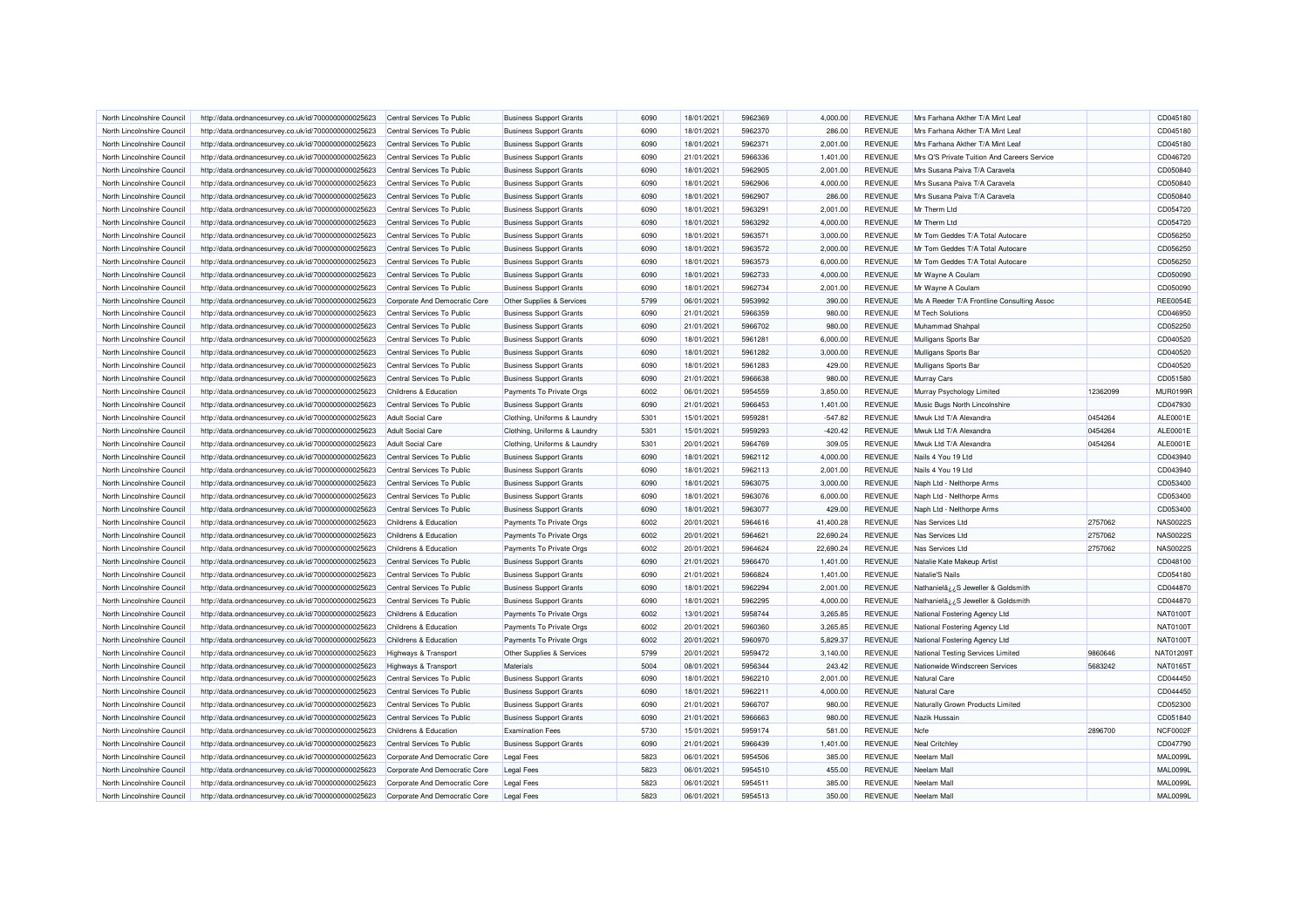| North Lincolnshire Council | http://data.ordnancesurvey.co.uk/id/7000000000025623 | Central Services To Public      | <b>Business Support Grants</b> | 6090 | 18/01/2021 | 5962369 | 4.000.00  | <b>REVENUE</b> | Mrs Farhana Akther T/A Mint Leaf            |          | CD045180             |
|----------------------------|------------------------------------------------------|---------------------------------|--------------------------------|------|------------|---------|-----------|----------------|---------------------------------------------|----------|----------------------|
| North Lincolnshire Council | http://data.ordnancesurvey.co.uk/id/7000000000025623 | Central Services To Public      | <b>Business Support Grants</b> | 6090 | 18/01/2021 | 5962370 | 286.00    | <b>REVENUE</b> | Mrs Farhana Akther T/A Mint Leaf            |          | CD045180             |
| North Lincolnshire Council | http://data.ordnancesurvey.co.uk/id/7000000000025623 | Central Services To Public      | <b>Business Support Grants</b> | 6090 | 18/01/2021 | 5962371 | 2,001.00  | <b>REVENUE</b> | Mrs Farhana Akther T/A Mint Leaf            |          | CD045180             |
| North Lincolnshire Council | http://data.ordnancesurvey.co.uk/id/7000000000025623 | Central Services To Public      | <b>Business Support Grants</b> | 6090 | 21/01/2021 | 5966336 | 1,401.00  | <b>REVENUE</b> | Mrs Q'S Private Tuition And Careers Service |          | CD046720             |
| North Lincolnshire Council | http://data.ordnancesurvey.co.uk/id/7000000000025623 | Central Services To Public      | <b>Business Support Grants</b> | 6090 | 18/01/2021 | 5962905 | 2,001.00  | <b>REVENUE</b> | Mrs Susana Paiva T/A Caravela               |          | CD050840             |
| North Lincolnshire Council | http://data.ordnancesurvey.co.uk/id/7000000000025623 | Central Services To Public      | <b>Business Support Grants</b> | 6090 | 18/01/2021 | 5962906 | 4.000.00  | <b>REVENUE</b> | Mrs Susana Paiva T/A Caravela               |          | CD050840             |
| North Lincolnshire Council | http://data.ordnancesurvey.co.uk/id/7000000000025623 | Central Services To Public      | <b>Business Support Grants</b> | 6090 | 18/01/2021 | 5962907 | 286.00    | <b>REVENUE</b> | Mrs Susana Paiva T/A Caravela               |          | CD050840             |
| North Lincolnshire Council | http://data.ordnancesurvey.co.uk/id/7000000000025623 | Central Services To Public      | <b>Business Support Grants</b> | 6090 | 18/01/2021 | 5963291 | 2,001.00  | REVENUE        | Mr Therm Ltd                                |          | CD054720             |
| North Lincolnshire Council | http://data.ordnancesurvey.co.uk/id/7000000000025623 | Central Services To Public      | <b>Business Support Grants</b> | 6090 | 18/01/2021 | 5963292 | 4,000.00  | <b>REVENUE</b> | Mr Therm Ltd                                |          | CD054720             |
| North Lincolnshire Council | http://data.ordnancesurvey.co.uk/id/7000000000025623 | Central Services To Public      | <b>Business Support Grants</b> | 6090 | 18/01/2021 | 5963571 | 3,000.00  | <b>REVENUE</b> | Mr Tom Geddes T/A Total Autocare            |          | CD056250             |
| North Lincolnshire Council | http://data.ordnancesurvey.co.uk/id/7000000000025623 | Central Services To Public      | <b>Business Support Grants</b> | 6090 | 18/01/2021 | 5963572 | 2,000.00  | <b>REVENUE</b> | Mr Tom Geddes T/A Total Autocare            |          | CD056250             |
| North Lincolnshire Council | http://data.ordnancesurvey.co.uk/id/7000000000025623 | Central Services To Public      | <b>Business Support Grants</b> | 6090 | 18/01/2021 | 5963573 | 6.000.00  | <b>REVENUE</b> | Mr Tom Geddes T/A Total Autocare            |          | CD056250             |
| North Lincolnshire Council | http://data.ordnancesurvey.co.uk/id/7000000000025623 | Central Services To Public      | <b>Business Support Grants</b> | 6090 | 18/01/2021 | 5962733 | 4,000.00  | <b>REVENUE</b> | Mr Wayne A Coulam                           |          | CD050090             |
| North Lincolnshire Council | http://data.ordnancesurvey.co.uk/id/7000000000025623 | Central Services To Public      | <b>Business Support Grants</b> | 6090 | 18/01/2021 | 5962734 | 2,001.00  | <b>REVENUE</b> | Mr Wayne A Coulam                           |          | CD050090             |
| North Lincolnshire Council | http://data.ordnancesurvey.co.uk/id/7000000000025623 | Corporate And Democratic Core   | Other Supplies & Services      | 5799 | 06/01/2021 | 5953992 | 390.00    | <b>REVENUE</b> | Ms A Reeder T/A Frontline Consulting Assoc  |          | <b>REE0054E</b>      |
| North Lincolnshire Council | http://data.ordnancesurvey.co.uk/id/7000000000025623 | Central Services To Public      | <b>Business Support Grants</b> | 6090 | 21/01/2021 | 5966359 | 980.00    | <b>REVENUE</b> | <b>M Tech Solutions</b>                     |          | CD046950             |
| North Lincolnshire Council | http://data.ordnancesurvey.co.uk/id/7000000000025623 | Central Services To Public      | <b>Business Support Grants</b> | 6090 | 21/01/2021 | 5966702 | 980.00    | <b>REVENUE</b> | Muhammad Shahpal                            |          | CD052250             |
| North Lincolnshire Council | http://data.ordnancesurvey.co.uk/id/7000000000025623 | Central Services To Public      | <b>Business Support Grants</b> | 6090 | 18/01/2021 | 5961281 | 6,000.00  | <b>REVENUE</b> | Mulligans Sports Bar                        |          | CD040520             |
| North Lincolnshire Council | http://data.ordnancesurvey.co.uk/id/7000000000025623 | Central Services To Public      | <b>Business Support Grants</b> | 6090 | 18/01/2021 | 5961282 | 3,000.00  | <b>REVENUE</b> | Mulligans Sports Bar                        |          | CD040520             |
| North Lincolnshire Council | http://data.ordnancesurvey.co.uk/id/7000000000025623 | Central Services To Public      | <b>Business Support Grants</b> | 6090 | 18/01/2021 | 5961283 | 429.00    | <b>REVENUE</b> | Mulligans Sports Bar                        |          | CD040520             |
| North Lincolnshire Council | http://data.ordnancesurvey.co.uk/id/7000000000025623 | Central Services To Public      | <b>Business Support Grants</b> | 6090 | 21/01/2021 | 5966638 | 980.00    | <b>REVENUE</b> | Murray Cars                                 |          | CD051580             |
| North Lincolnshire Council | http://data.ordnancesurvey.co.uk/id/7000000000025623 | Childrens & Education           | Payments To Private Orgs       | 6002 | 06/01/2021 | 5954559 | 3,850.00  | <b>REVENUE</b> | Murray Psychology Limited                   | 12362099 | <b>MUR0199R</b>      |
| North Lincolnshire Council | http://data.ordnancesurvey.co.uk/id/7000000000025623 | Central Services To Public      | <b>Business Support Grants</b> | 6090 | 21/01/2021 | 5966453 | 1,401.00  | <b>REVENUE</b> | Music Bugs North Lincolnshire               |          | CD047930             |
| North Lincolnshire Council |                                                      | <b>Adult Social Care</b>        |                                | 5301 | 15/01/2021 | 5959281 |           | <b>REVENUE</b> | Mwuk Ltd T/A Alexandra                      | 0454264  |                      |
|                            | http://data.ordnancesurvey.co.uk/id/7000000000025623 |                                 | Clothing, Uniforms & Laundry   | 5301 | 15/01/2021 | 5959293 | $-547.82$ | <b>REVENUE</b> | Mwuk Ltd T/A Alexandra                      | 0454264  | ALE0001E<br>ALE0001E |
| North Lincolnshire Council | http://data.ordnancesurvey.co.uk/id/7000000000025623 | <b>Adult Social Care</b>        | Clothing, Uniforms & Laundry   |      |            |         | $-420.42$ |                |                                             |          |                      |
| North Lincolnshire Council | http://data.ordnancesurvey.co.uk/id/7000000000025623 | Adult Social Care               | Clothing, Uniforms & Laundry   | 5301 | 20/01/2021 | 5964769 | 309.05    | <b>REVENUE</b> | Mwuk Ltd T/A Alexandra                      | 0454264  | ALE0001E             |
| North Lincolnshire Council | http://data.ordnancesurvey.co.uk/id/7000000000025623 | Central Services To Public      | <b>Business Support Grants</b> | 6090 | 18/01/2021 | 5962112 | 4,000.00  | <b>REVENUE</b> | Nails 4 You 19 Ltd                          |          | CD043940             |
| North Lincolnshire Council | http://data.ordnancesurvey.co.uk/id/7000000000025623 | Central Services To Public      | <b>Business Support Grants</b> | 6090 | 18/01/2021 | 5962113 | 2,001.00  | <b>REVENUE</b> | Nails 4 You 19 Ltd                          |          | CD043940             |
| North Lincolnshire Council | http://data.ordnancesurvey.co.uk/id/7000000000025623 | Central Services To Public      | <b>Business Support Grants</b> | 6090 | 18/01/2021 | 5963075 | 3,000.00  | <b>REVENUE</b> | Naph Ltd - Nelthorpe Arms                   |          | CD053400             |
| North Lincolnshire Council | http://data.ordnancesurvey.co.uk/id/7000000000025623 | Central Services To Public      | <b>Business Support Grants</b> | 6090 | 18/01/2021 | 5963076 | 6,000.00  | <b>REVENUE</b> | Naph Ltd - Nelthorpe Arms                   |          | CD053400             |
| North Lincolnshire Council | http://data.ordnancesurvey.co.uk/id/7000000000025623 | Central Services To Public      | <b>Business Support Grants</b> | 6090 | 18/01/2021 | 5963077 | 429.00    | <b>REVENUE</b> | Naph Ltd - Nelthorpe Arms                   |          | CD053400             |
| North Lincolnshire Council | http://data.ordnancesurvey.co.uk/id/7000000000025623 | Childrens & Education           | Payments To Private Orgs       | 6002 | 20/01/2021 | 5964616 | 41,400.28 | <b>REVENUE</b> | Nas Services Ltd                            | 2757062  | NAS00225             |
| North Lincolnshire Council | http://data.ordnancesurvey.co.uk/id/7000000000025623 | Childrens & Education           | Payments To Private Orgs       | 6002 | 20/01/2021 | 5964621 | 22,690.24 | <b>REVENUE</b> | Nas Services Ltd                            | 2757062  | NAS00225             |
| North Lincolnshire Council | http://data.ordnancesurvey.co.uk/id/7000000000025623 | Childrens & Education           | Payments To Private Orgs       | 6002 | 20/01/2021 | 5964624 | 22,690.24 | <b>REVENUE</b> | Nas Services Ltd                            | 2757062  | <b>NAS0022S</b>      |
| North Lincolnshire Council | http://data.ordnancesurvey.co.uk/id/7000000000025623 | Central Services To Public      | <b>Business Support Grants</b> | 6090 | 21/01/2021 | 5966470 | 1,401.00  | <b>REVENUE</b> | Natalie Kate Makeup Artist                  |          | CD048100             |
| North Lincolnshire Council | http://data.ordnancesurvey.co.uk/id/7000000000025623 | Central Services To Public      | <b>Business Support Grants</b> | 6090 | 21/01/2021 | 5966824 | 1,401.00  | <b>REVENUE</b> | Natalie'S Nails                             |          | CD054180             |
| North Lincolnshire Council | http://data.ordnancesurvey.co.uk/id/7000000000025623 | Central Services To Public      | <b>Business Support Grants</b> | 6090 | 18/01/2021 | 5962294 | 2.001.00  | <b>REVENUE</b> | Nathanielâ ¿¿S Jeweller & Goldsmith         |          | CD044870             |
| North Lincolnshire Council | http://data.ordnancesurvey.co.uk/id/7000000000025623 | Central Services To Public      | <b>Business Support Grants</b> | 6090 | 18/01/2021 | 5962295 | 4,000.00  | <b>REVENUE</b> | Nathanielâ ¿¿S Jeweller & Goldsmith         |          | CD044870             |
| North Lincolnshire Council | http://data.ordnancesurvey.co.uk/id/7000000000025623 | Childrens & Education           | Payments To Private Orgs       | 6002 | 13/01/2021 | 5958744 | 3,265.85  | <b>REVENUE</b> | National Fostering Agency Ltd               |          | NAT0100T             |
| North Lincolnshire Council | http://data.ordnancesurvey.co.uk/id/7000000000025623 | Childrens & Education           | Payments To Private Orgs       | 6002 | 20/01/2021 | 5960360 | 3,265.85  | <b>REVENUE</b> | National Fostering Agency Ltd               |          | NAT0100T             |
| North Lincolnshire Council | http://data.ordnancesurvey.co.uk/id/7000000000025623 | Childrens & Education           | Payments To Private Orgs       | 6002 | 20/01/2021 | 5960970 | 5,829.37  | <b>REVENUE</b> | National Fostering Agency Ltd               |          | NAT0100T             |
| North Lincolnshire Council | http://data.ordnancesurvey.co.uk/id/7000000000025623 | Highways & Transport            | Other Supplies & Services      | 5799 | 20/01/2021 | 5959472 | 3,140.00  | <b>REVENUE</b> | National Testing Services Limited           | 9860646  | NAT012091            |
| North Lincolnshire Council | http://data.ordnancesurvey.co.uk/id/7000000000025623 | <b>Highways &amp; Transport</b> | Materials                      | 5004 | 08/01/2021 | 5956344 | 243.42    | <b>REVENUE</b> | Nationwide Windscreen Services              | 5683242  | NAT0165T             |
| North Lincolnshire Council | http://data.ordnancesurvey.co.uk/id/7000000000025623 | Central Services To Public      | <b>Business Support Grants</b> | 6090 | 18/01/2021 | 5962210 | 2,001.00  | <b>REVENUE</b> | Natural Care                                |          | CD044450             |
| North Lincolnshire Council | http://data.ordnancesurvey.co.uk/id/7000000000025623 | Central Services To Public      | <b>Business Support Grants</b> | 6090 | 18/01/2021 | 5962211 | 4,000.00  | <b>REVENUE</b> | Natural Care                                |          | CD044450             |
| North Lincolnshire Council | http://data.ordnancesurvey.co.uk/id/7000000000025623 | Central Services To Public      | <b>Business Support Grants</b> | 6090 | 21/01/2021 | 5966707 | 980.00    | <b>REVENUE</b> | Naturally Grown Products Limited            |          | CD052300             |
| North Lincolnshire Council | http://data.ordnancesurvey.co.uk/id/7000000000025623 | Central Services To Public      | <b>Business Support Grants</b> | 6090 | 21/01/2021 | 5966663 | 980.00    | <b>REVENUE</b> | Nazik Hussain                               |          | CD051840             |
| North Lincolnshire Council | http://data.ordnancesurvey.co.uk/id/7000000000025623 | Childrens & Education           | <b>Examination Fees</b>        | 5730 | 15/01/2021 | 5959174 | 581.00    | <b>REVENUE</b> | Ncfe                                        | 2896700  | NCF0002F             |
| North Lincolnshire Council | http://data.ordnancesurvey.co.uk/id/7000000000025623 | Central Services To Public      | <b>Business Support Grants</b> | 6090 | 21/01/2021 | 5966439 | 1,401.00  | <b>REVENUE</b> | <b>Neal Critchley</b>                       |          | CD047790             |
| North Lincolnshire Council | http://data.ordnancesurvey.co.uk/id/7000000000025623 | Corporate And Democratic Core   | <b>Legal Fees</b>              | 5823 | 06/01/2021 | 5954506 | 385.00    | <b>REVENUE</b> | Neelam Mal                                  |          | <b>MAL0099L</b>      |
| North Lincolnshire Council | http://data.ordnancesurvey.co.uk/id/7000000000025623 | Corporate And Democratic Core   | <b>Legal Fees</b>              | 5823 | 06/01/2021 | 5954510 | 455.00    | <b>REVENUE</b> | Neelam Mall                                 |          | <b>MAL0099L</b>      |
| North Lincolnshire Council | http://data.ordnancesurvey.co.uk/id/7000000000025623 | Corporate And Democratic Core   | <b>Legal Fees</b>              | 5823 | 06/01/2021 | 5954511 | 385.00    | <b>REVENUE</b> | Neelam Mall                                 |          | <b>MAL0099L</b>      |
| North Lincolnshire Council | http://data.ordnancesurvey.co.uk/id/7000000000025623 | Corporate And Democratic Core   | <b>Legal Fees</b>              | 5823 | 06/01/2021 | 5954513 | 350.00    | <b>REVENUE</b> | Neelam Mall                                 |          | <b>MAL0099L</b>      |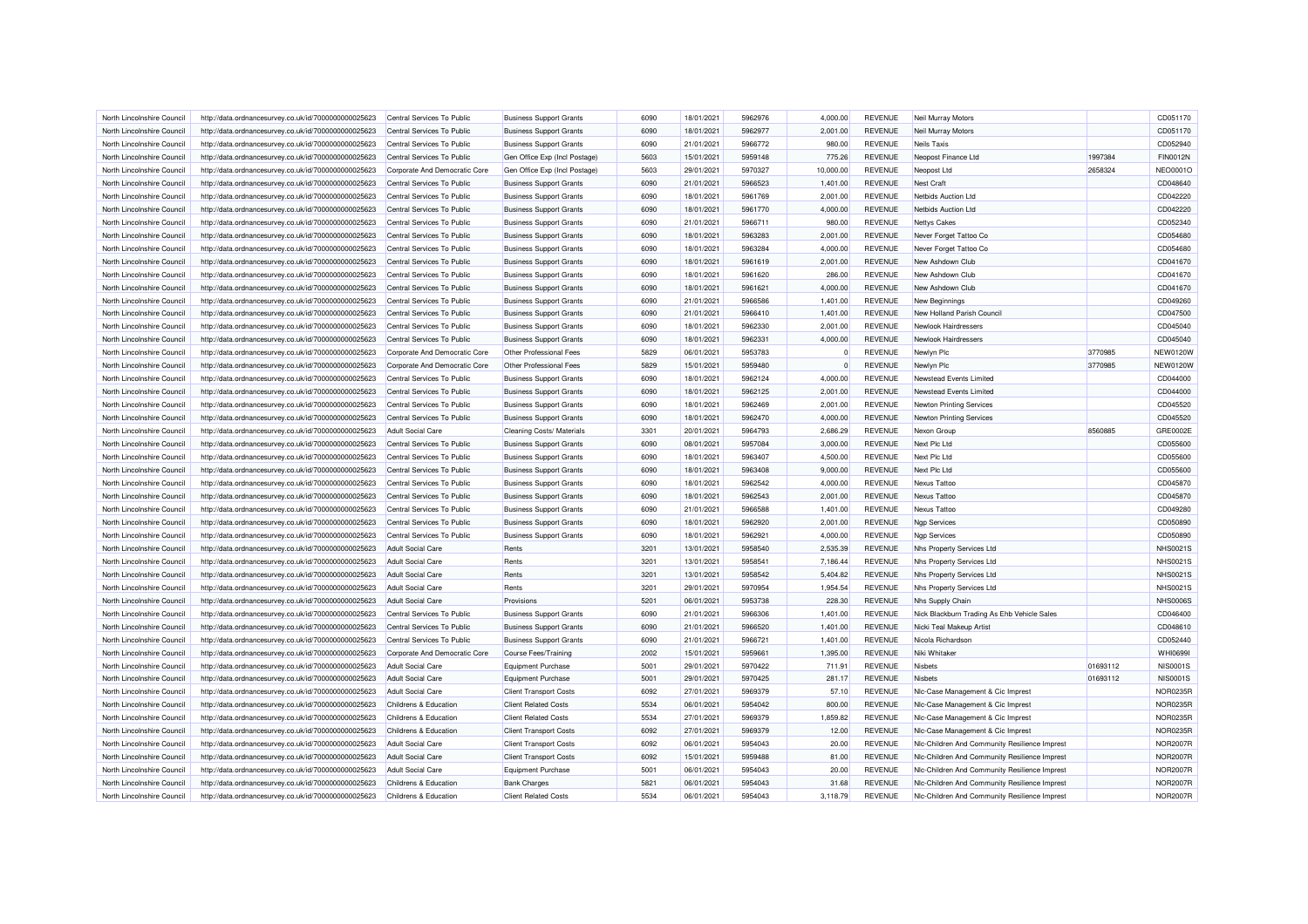| North Lincolnshire Council                               | http://data.ordnancesurvey.co.uk/id/7000000000025623 | Central Services To Public                     | <b>Business Support Grants</b> | 6090         | 18/01/2021 | 5962976            | 4,000.00     | <b>REVENUE</b>                   | Neil Murray Motors                            |          | CD051170                    |
|----------------------------------------------------------|------------------------------------------------------|------------------------------------------------|--------------------------------|--------------|------------|--------------------|--------------|----------------------------------|-----------------------------------------------|----------|-----------------------------|
| North Lincolnshire Council                               | http://data.ordnancesurvey.co.uk/id/7000000000025623 | Central Services To Public                     | <b>Business Support Grants</b> | 6090         | 18/01/2021 | 5962977            | 2,001.00     | <b>REVENUE</b>                   | Neil Murray Motors                            |          | CD051170                    |
| North Lincolnshire Council                               | http://data.ordnancesurvey.co.uk/id/7000000000025623 | Central Services To Public                     | <b>Business Support Grants</b> | 6090         | 21/01/2021 | 5966772            | 980.00       | <b>REVENUE</b>                   | <b>Neils Taxis</b>                            |          | CD052940                    |
| North Lincolnshire Council                               | http://data.ordnancesurvey.co.uk/id/7000000000025623 | Central Services To Public                     | Gen Office Exp (Incl Postage)  | 5603         | 15/01/2021 | 5959148            | 775.26       | <b>REVENUE</b>                   | Neopost Finance Ltd                           | 1997384  | <b>FIN0012N</b>             |
| North Lincolnshire Council                               | http://data.ordnancesurvey.co.uk/id/7000000000025623 | Corporate And Democratic Core                  | Gen Office Exp (Incl Postage)  | 5603         | 29/01/2021 | 5970327            | 10,000.00    | <b>REVENUE</b>                   | Neopost Ltd                                   | 2658324  | <b>NEO0001C</b>             |
| North Lincolnshire Council                               | http://data.ordnancesurvey.co.uk/id/7000000000025623 | Central Services To Public                     | <b>Business Support Grants</b> | 6090         | 21/01/2021 | 5966523            | 1,401.00     | <b>REVENUE</b>                   | Nest Craft                                    |          | CD048640                    |
| North Lincolnshire Council                               | http://data.ordnancesurvey.co.uk/id/7000000000025623 | Central Services To Public                     | <b>Business Support Grants</b> | 6090         | 18/01/2021 | 5961769            | 2,001.00     | <b>REVENUE</b>                   | Netbids Auction Ltd                           |          | CD042220                    |
| North Lincolnshire Council                               | http://data.ordnancesurvey.co.uk/id/7000000000025623 | Central Services To Public                     | <b>Business Support Grants</b> | 6090         | 18/01/2021 | 5961770            | 4,000.00     | <b>REVENUE</b>                   | Netbids Auction Ltd                           |          | CD042220                    |
| North Lincolnshire Council                               | http://data.ordnancesurvey.co.uk/id/7000000000025623 | Central Services To Public                     | <b>Business Support Grants</b> | 6090         | 21/01/2021 | 5966711            | 980.00       | <b>REVENUE</b>                   | <b>Nettys Cakes</b>                           |          | CD052340                    |
| North Lincolnshire Council                               | http://data.ordnancesurvey.co.uk/id/7000000000025623 | Central Services To Public                     | <b>Business Support Grants</b> | 6090         | 18/01/2021 | 5963283            | 2,001.00     | <b>REVENUE</b>                   | Never Forget Tattoo Co                        |          | CD054680                    |
| North Lincolnshire Council                               | http://data.ordnancesurvey.co.uk/id/7000000000025623 | Central Services To Public                     | <b>Business Support Grants</b> | 6090         | 18/01/2021 | 5963284            | 4,000.00     | <b>REVENUE</b>                   | Never Forget Tattoo Co                        |          | CD054680                    |
| North Lincolnshire Council                               | http://data.ordnancesurvey.co.uk/id/7000000000025623 | Central Services To Public                     | <b>Business Support Grants</b> | 6090         | 18/01/2021 | 5961619            | 2.001.00     | <b>REVENUE</b>                   | New Ashdown Club                              |          | CD041670                    |
| North Lincolnshire Council                               | http://data.ordnancesurvey.co.uk/id/7000000000025623 | Central Services To Public                     | <b>Business Support Grants</b> | 6090         | 18/01/2021 | 5961620            | 286.00       | <b>REVENUE</b>                   | New Ashdown Club                              |          | CD041670                    |
| North Lincolnshire Council                               | http://data.ordnancesurvey.co.uk/id/7000000000025623 | Central Services To Public                     | <b>Business Support Grants</b> | 6090         | 18/01/2021 | 5961621            | 4,000.00     | <b>REVENUE</b>                   | New Ashdown Club                              |          | CD041670                    |
| North Lincolnshire Council                               | http://data.ordnancesurvey.co.uk/id/7000000000025623 | Central Services To Public                     | <b>Business Support Grants</b> | 6090         | 21/01/2021 | 5966586            | 1,401.00     | <b>REVENUE</b>                   | New Beginnings                                |          | CD049260                    |
| North Lincolnshire Council                               | http://data.ordnancesurvey.co.uk/id/7000000000025623 | Central Services To Public                     | <b>Business Support Grants</b> | 6090         | 21/01/2021 | 5966410            | 1,401.00     | <b>REVENUE</b>                   | New Holland Parish Council                    |          | CD047500                    |
| North Lincolnshire Council                               | http://data.ordnancesurvey.co.uk/id/7000000000025623 | Central Services To Public                     | <b>Business Support Grants</b> | 6090         | 18/01/2021 | 5962330            | 2,001.00     | <b>REVENUE</b>                   | Newlook Hairdressers                          |          | CD045040                    |
| North Lincolnshire Council                               | http://data.ordnancesurvey.co.uk/id/7000000000025623 | Central Services To Public                     | <b>Business Support Grants</b> | 6090         | 18/01/2021 | 5962331            | 4.000.00     | <b>REVENUE</b>                   | Newlook Hairdressers                          |          | CD045040                    |
| North Lincolnshire Council                               | http://data.ordnancesurvey.co.uk/id/7000000000025623 | Corporate And Democratic Core                  | Other Professional Fees        | 5829         | 06/01/2021 | 5953783            | $\mathbf{0}$ | <b>REVENUE</b>                   | Newlyn Plc                                    | 3770985  | <b>NEW0120W</b>             |
| North Lincolnshire Council                               | http://data.ordnancesurvey.co.uk/id/7000000000025623 | Corporate And Democratic Core                  | Other Professional Fees        | 5829         | 15/01/2021 | 5959480            | $\Omega$     | <b>REVENUE</b>                   | Newlyn Plc                                    | 3770985  | <b>NEW0120W</b>             |
| North Lincolnshire Council                               | http://data.ordnancesurvey.co.uk/id/7000000000025623 | Central Services To Public                     | <b>Business Support Grants</b> | 6090         | 18/01/2021 | 5962124            | 4,000.00     | <b>REVENUE</b>                   | Newstead Events Limited                       |          | CD044000                    |
|                                                          |                                                      |                                                |                                |              |            |                    |              | <b>REVENUE</b>                   |                                               |          | CD044000                    |
| North Lincolnshire Council                               | http://data.ordnancesurvey.co.uk/id/7000000000025623 | Central Services To Public                     | <b>Business Support Grants</b> | 6090         | 18/01/2021 | 5962125            | 2,001.00     |                                  | Newstead Events Limited                       |          |                             |
| North Lincolnshire Council                               | http://data.ordnancesurvey.co.uk/id/7000000000025623 | Central Services To Public                     | <b>Business Support Grants</b> | 6090         | 18/01/2021 | 5962469            | 2,001.00     | <b>REVENUE</b>                   | <b>Newton Printing Services</b>               |          | CD045520                    |
| North Lincolnshire Council                               | http://data.ordnancesurvey.co.uk/id/7000000000025623 | Central Services To Public                     | <b>Business Support Grants</b> | 6090         | 18/01/2021 | 5962470            | 4,000.00     | <b>REVENUE</b>                   | <b>Newton Printing Services</b>               |          | CD045520                    |
| North Lincolnshire Council                               | http://data.ordnancesurvey.co.uk/id/7000000000025623 | <b>Adult Social Care</b>                       | Cleaning Costs/ Materials      | 3301         | 20/01/2021 | 5964793            | 2,686.29     | <b>REVENUE</b>                   | Nexon Group                                   | 8560885  | GRE0002E                    |
| North Lincolnshire Council                               | http://data.ordnancesurvey.co.uk/id/7000000000025623 | Central Services To Public                     | <b>Business Support Grants</b> | 6090         | 08/01/2021 | 5957084            | 3,000.00     | <b>REVENUE</b>                   | Next Plc Ltd                                  |          | CD055600                    |
| North Lincolnshire Council                               | http://data.ordnancesurvey.co.uk/id/7000000000025623 | Central Services To Public                     | <b>Business Support Grants</b> | 6090         | 18/01/2021 | 5963407            | 4,500.00     | <b>REVENUE</b>                   | Next Plc Ltd                                  |          | CD055600                    |
| North Lincolnshire Council                               | http://data.ordnancesurvey.co.uk/id/7000000000025623 | Central Services To Public                     | <b>Business Support Grants</b> | 6090         | 18/01/2021 | 5963408            | 9,000.00     | <b>REVENUE</b>                   | Next Plc Ltd                                  |          | CD055600                    |
| North Lincolnshire Council                               | http://data.ordnancesurvey.co.uk/id/7000000000025623 | Central Services To Public                     | <b>Business Support Grants</b> | 6090         | 18/01/2021 | 5962542            | 4,000.00     | <b>REVENUE</b>                   | Nexus Tattoo                                  |          | CD045870                    |
| North Lincolnshire Council                               | http://data.ordnancesurvey.co.uk/id/7000000000025623 | Central Services To Public                     | <b>Business Support Grants</b> | 6090         | 18/01/2021 | 5962543            | 2,001.00     | <b>REVENUE</b>                   | Nexus Tattoo                                  |          | CD045870                    |
| North Lincolnshire Council                               | http://data.ordnancesurvey.co.uk/id/7000000000025623 | Central Services To Public                     | <b>Business Support Grants</b> | 6090         | 21/01/2021 | 5966588            | 1,401.00     | <b>REVENUE</b>                   | Nexus Tattoo                                  |          | CD049280                    |
| North Lincolnshire Council                               | http://data.ordnancesurvey.co.uk/id/7000000000025623 | Central Services To Public                     | <b>Business Support Grants</b> | 6090         | 18/01/2021 | 5962920            | 2,001.00     | <b>REVENUE</b>                   | <b>Ngp Services</b>                           |          | CD050890                    |
| North Lincolnshire Council                               | http://data.ordnancesurvey.co.uk/id/7000000000025623 | Central Services To Public                     | <b>Business Support Grants</b> | 6090         | 18/01/2021 | 5962921            | 4,000.00     | <b>REVENUE</b>                   | <b>Ngp Services</b>                           |          | CD050890                    |
| North Lincolnshire Council                               | http://data.ordnancesurvey.co.uk/id/7000000000025623 | <b>Adult Social Care</b>                       | Rents                          | 3201         | 13/01/2021 | 5958540            | 2,535.39     | <b>REVENUE</b>                   | Nhs Property Services Ltd                     |          | <b>NHS0021S</b>             |
| North Lincolnshire Council                               | http://data.ordnancesurvey.co.uk/id/7000000000025623 | <b>Adult Social Care</b>                       | Rents                          | 3201         | 13/01/2021 | 5958541            | 7,186.44     | <b>REVENUE</b>                   | Nhs Property Services Ltd                     |          | NHS00219                    |
| North Lincolnshire Council                               | http://data.ordnancesurvey.co.uk/id/7000000000025623 | <b>Adult Social Care</b>                       | Rents                          | 3201         | 13/01/2021 | 5958542            | 5,404.82     | <b>REVENUE</b>                   | Nhs Property Services Ltd                     |          | NHS00219                    |
| North Lincolnshire Council                               | http://data.ordnancesurvey.co.uk/id/7000000000025623 | Adult Social Care                              | Rents                          | 3201         | 29/01/2021 | 5970954            | 1,954.54     | <b>REVENUE</b>                   | Nhs Property Services Ltd                     |          | NHS00219                    |
| North Lincolnshire Council                               | http://data.ordnancesurvey.co.uk/id/7000000000025623 | <b>Adult Social Care</b>                       | Provisions                     | 5201         | 06/01/2021 | 5953738            | 228.30       | <b>REVENUE</b>                   | Nhs Supply Chain                              |          | <b>NHS00069</b>             |
| North Lincolnshire Council                               | http://data.ordnancesurvey.co.uk/id/7000000000025623 | Central Services To Public                     | <b>Business Support Grants</b> | 6090         | 21/01/2021 | 5966306            | 1,401.00     | <b>REVENUE</b>                   | Nick Blackburn Trading As Ehb Vehicle Sales   |          | CD046400                    |
| North Lincolnshire Council                               | http://data.ordnancesurvey.co.uk/id/7000000000025623 | Central Services To Public                     | <b>Business Support Grants</b> | 6090         | 21/01/2021 | 5966520            | 1,401.00     | <b>REVENUE</b>                   | Nicki Teal Makeup Artist                      |          | CD048610                    |
| North Lincolnshire Council                               | http://data.ordnancesurvey.co.uk/id/7000000000025623 | Central Services To Public                     | <b>Business Support Grants</b> | 6090         | 21/01/2021 | 5966721            | 1,401.00     | <b>REVENUE</b>                   | Nicola Richardson                             |          | CD052440                    |
| North Lincolnshire Council                               | http://data.ordnancesurvey.co.uk/id/7000000000025623 | Corporate And Democratic Core                  | Course Fees/Training           | 2002         | 15/01/2021 | 5959661            | 1,395.00     | <b>REVENUE</b>                   | Niki Whitake                                  |          | <b>WHI0699I</b>             |
| North Lincolnshire Council                               | http://data.ordnancesurvey.co.uk/id/7000000000025623 | <b>Adult Social Care</b>                       | <b>Equipment Purchase</b>      | 5001         | 29/01/2021 | 5970422            | 711.91       | <b>REVENUE</b>                   | Nishets                                       | 01693112 | <b>NIS0001S</b>             |
| North Lincolnshire Council                               | http://data.ordnancesurvey.co.uk/id/7000000000025623 | <b>Adult Social Care</b>                       | <b>Equipment Purchase</b>      | 5001         | 29/01/2021 | 5970425            | 281.17       | <b>REVENUE</b>                   | <b>Nisbets</b>                                | 01693112 | <b>NIS0001S</b>             |
| North Lincolnshire Council                               | http://data.ordnancesurvey.co.uk/id/7000000000025623 | <b>Adult Social Care</b>                       | <b>Client Transport Costs</b>  | 6092         | 27/01/2021 | 5969379            | 57.10        | <b>REVENUE</b>                   | NIc-Case Management & Cic Imprest             |          | NOR0235R                    |
| North Lincolnshire Council                               |                                                      | Childrens & Education                          | <b>Client Related Costs</b>    | 5534         | 06/01/2021 | 5954042            | 800.00       | <b>REVENUE</b>                   | NIc-Case Management & Cic Imprest             |          | NOR0235R                    |
|                                                          | http://data.ordnancesurvey.co.uk/id/7000000000025623 |                                                |                                |              | 27/01/2021 |                    |              |                                  |                                               |          |                             |
| North Lincolnshire Council<br>North Lincolnshire Council | http://data.ordnancesurvey.co.uk/id/7000000000025623 | Childrens & Education<br>Childrens & Education | <b>Client Related Costs</b>    | 5534<br>6092 | 27/01/2021 | 5969379<br>5969379 | 1,859.82     | <b>REVENUE</b><br><b>REVENUE</b> | NIc-Case Management & Cic Imprest             |          | NOR0235F<br><b>NOR0235R</b> |
|                                                          | http://data.ordnancesurvey.co.uk/id/7000000000025623 |                                                | <b>Client Transport Costs</b>  |              |            |                    | 12.00        |                                  | NIc-Case Management & Cic Imprest             |          |                             |
| North Lincolnshire Council                               | http://data.ordnancesurvey.co.uk/id/7000000000025623 | <b>Adult Social Care</b>                       | <b>Client Transport Costs</b>  | 6092         | 06/01/2021 | 5954043            | 20.00        | <b>REVENUE</b>                   | NIc-Children And Community Resilience Imprest |          | <b>NOR2007R</b>             |
| North Lincolnshire Council                               | http://data.ordnancesurvey.co.uk/id/7000000000025623 | <b>Adult Social Care</b>                       | <b>Client Transport Costs</b>  | 6092         | 15/01/2021 | 5959488            | 81.00        | <b>REVENUE</b>                   | NIc-Children And Community Resilience Imprest |          | <b>NOR2007R</b>             |
| North Lincolnshire Council                               | http://data.ordnancesurvey.co.uk/id/7000000000025623 | <b>Adult Social Care</b>                       | <b>Equipment Purchase</b>      | 5001         | 06/01/2021 | 5954043            | 20.00        | <b>REVENUE</b>                   | NIc-Children And Community Resilience Imprest |          | <b>NOR2007R</b>             |
| North Lincolnshire Council                               | http://data.ordnancesurvey.co.uk/id/7000000000025623 | Childrens & Education                          | <b>Bank Charges</b>            | 5821         | 06/01/2021 | 5954043            | 31.68        | <b>REVENUE</b>                   | Nlc-Children And Community Resilience Imprest |          | <b>NOR2007F</b>             |
| North Lincolnshire Council                               | http://data.ordnancesurvey.co.uk/id/7000000000025623 | Childrens & Education                          | <b>Client Related Costs</b>    | 5534         | 06/01/2021 | 5954043            | 3,118.79     | <b>REVENUE</b>                   | Nic-Children And Community Resilience Imprest |          | <b>NOR2007R</b>             |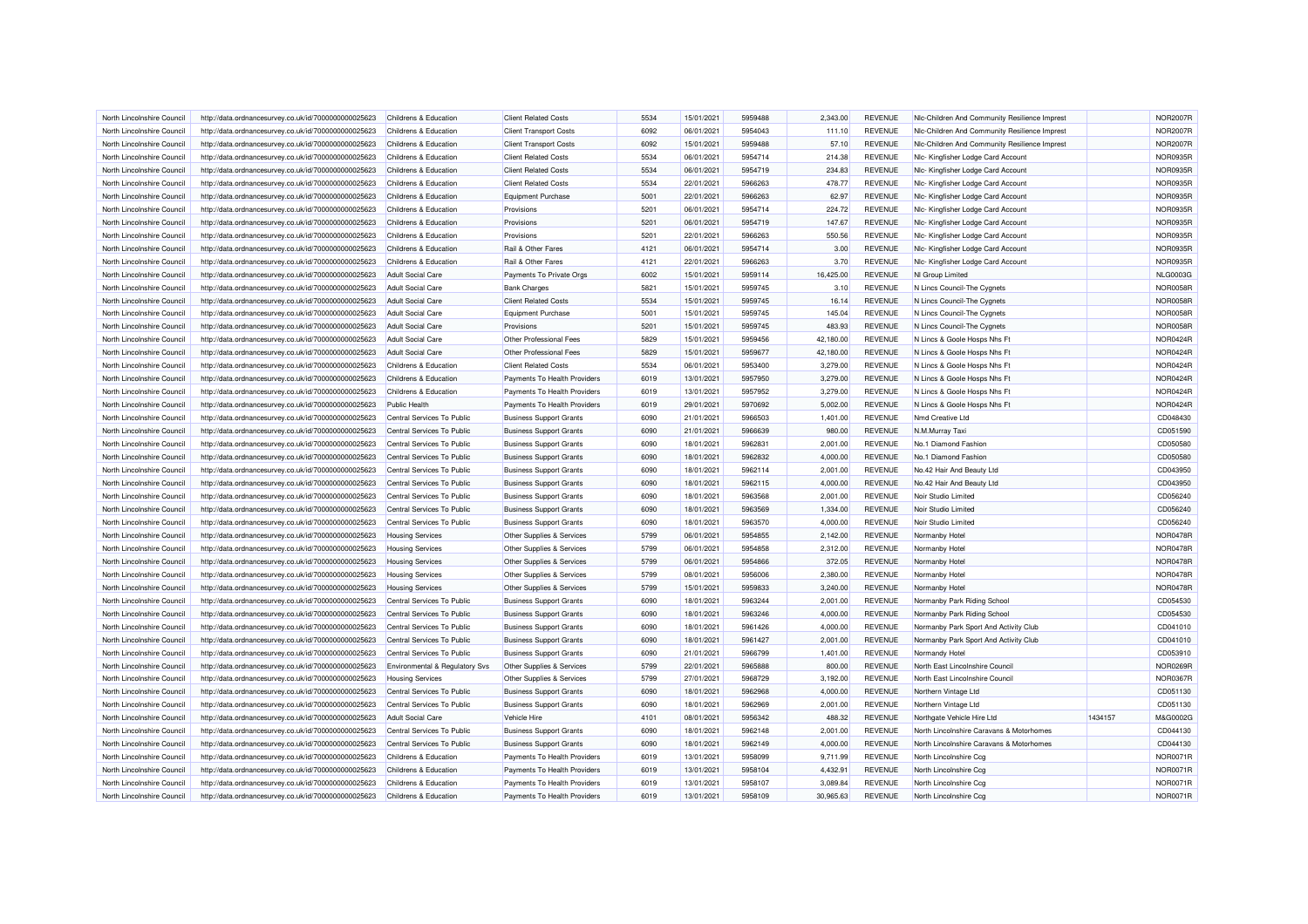| North Lincolnshire Council | http://data.ordnancesurvey.co.uk/id/7000000000025623 | Childrens & Education            | <b>Client Related Costs</b>    | 5534 | 15/01/2021 | 5959488 | 2.343.00  | <b>REVENUE</b> | NIc-Children And Community Resilience Imprest |         | <b>NOR2007R</b> |
|----------------------------|------------------------------------------------------|----------------------------------|--------------------------------|------|------------|---------|-----------|----------------|-----------------------------------------------|---------|-----------------|
| North Lincolnshire Council | http://data.ordnancesurvey.co.uk/id/7000000000025623 | Childrens & Education            | <b>Client Transport Costs</b>  | 6092 | 06/01/2021 | 5954043 | 111.10    | <b>REVENUE</b> | Nic-Children And Community Resilience Imprest |         | <b>NOR2007R</b> |
| North Lincolnshire Council | http://data.ordnancesurvey.co.uk/id/7000000000025623 | Childrens & Education            | <b>Client Transport Costs</b>  | 6092 | 15/01/2021 | 5959488 | 57.10     | <b>REVENUE</b> | NIc-Children And Community Resilience Imprest |         | <b>NOR2007R</b> |
| North Lincolnshire Council | http://data.ordnancesurvey.co.uk/id/7000000000025623 | Childrens & Education            | <b>Client Related Costs</b>    | 5534 | 06/01/2021 | 5954714 | 214.38    | <b>REVENUE</b> | Nlc- Kingfisher Lodge Card Account            |         | NOR0935F        |
| North Lincolnshire Council | http://data.ordnancesurvey.co.uk/id/7000000000025623 | Childrens & Education            | <b>Client Related Costs</b>    | 5534 | 06/01/2021 | 5954719 | 234.83    | <b>REVENUE</b> | Nlc- Kingfisher Lodge Card Account            |         | NOR0935F        |
| North Lincolnshire Council | http://data.ordnancesurvey.co.uk/id/7000000000025623 | Childrens & Education            | <b>Client Related Costs</b>    | 5534 | 22/01/2021 | 5966263 | 478.77    | <b>REVENUE</b> | Nlc- Kingfisher Lodge Card Account            |         | NOR0935R        |
| North Lincolnshire Council | http://data.ordnancesurvey.co.uk/id/7000000000025623 | <b>Childrens &amp; Education</b> | <b>Equipment Purchase</b>      | 5001 | 22/01/2021 | 5966263 | 62.97     | <b>REVENUE</b> | Nic- Kingfisher Lodge Card Account            |         | NOR0935R        |
| North Lincolnshire Council | http://data.ordnancesurvey.co.uk/id/7000000000025623 | Childrens & Education            | Provisions                     | 5201 | 06/01/2021 | 5954714 | 224.72    | <b>REVENUE</b> | Nlc- Kingfisher Lodge Card Account            |         | NOR0935F        |
| North Lincolnshire Council | http://data.ordnancesurvey.co.uk/id/7000000000025623 | Childrens & Education            | Provisions                     | 5201 | 06/01/2021 | 5954719 | 147.67    | <b>REVENUE</b> | Nlc- Kingfisher Lodge Card Account            |         | <b>NOR0935R</b> |
| North Lincolnshire Council | http://data.ordnancesurvey.co.uk/id/7000000000025623 | Childrens & Education            | Provisions                     | 5201 | 22/01/2021 | 5966263 | 550.56    | <b>REVENUE</b> | Nlc- Kingfisher Lodge Card Account            |         | NOR0935F        |
| North Lincolnshire Council | http://data.ordnancesurvey.co.uk/id/7000000000025623 | Childrens & Education            | Rail & Other Fares             | 4121 | 06/01/2021 | 5954714 | 3.00      | <b>REVENUE</b> | Nlc- Kingfisher Lodge Card Account            |         | NOR0935R        |
| North Lincolnshire Council | http://data.ordnancesurvey.co.uk/id/7000000000025623 | Childrens & Education            | Rail & Other Fares             | 4121 | 22/01/2021 | 5966263 | 3.70      | <b>REVENUE</b> | Nlc- Kingfisher Lodge Card Account            |         | NOR0935R        |
| North Lincolnshire Council | http://data.ordnancesurvey.co.uk/id/7000000000025623 | <b>Adult Social Care</b>         | Payments To Private Orgs       | 6002 | 15/01/2021 | 5959114 | 16,425.00 | <b>REVENUE</b> | NI Group Limited                              |         | <b>NLG0003G</b> |
| North Lincolnshire Council | http://data.ordnancesurvey.co.uk/id/7000000000025623 | <b>Adult Social Care</b>         | <b>Bank Charges</b>            | 5821 | 15/01/2021 | 5959745 | 3.10      | <b>REVENUE</b> | N Lincs Council-The Cygnets                   |         | NOR0058F        |
| North Lincolnshire Council | http://data.ordnancesurvey.co.uk/id/7000000000025623 | <b>Adult Social Care</b>         | <b>Client Related Costs</b>    | 5534 | 15/01/2021 | 5959745 | 16.14     | <b>REVENUE</b> | N Lincs Council-The Cygnets                   |         | <b>NOR0058F</b> |
| North Lincolnshire Council | http://data.ordnancesurvey.co.uk/id/7000000000025623 | <b>Adult Social Care</b>         | <b>Equipment Purchase</b>      | 5001 | 15/01/2021 | 5959745 | 145.04    | <b>REVENUE</b> | N Lincs Council-The Cygnets                   |         | <b>NOR0058R</b> |
| North Lincolnshire Council |                                                      | <b>Adult Social Care</b>         | Provisions                     | 5201 | 15/01/2021 | 5959745 | 483.93    | <b>REVENUE</b> |                                               |         | <b>NOR0058R</b> |
|                            | http://data.ordnancesurvey.co.uk/id/7000000000025623 |                                  |                                |      |            |         |           |                | N Lincs Council-The Cygnets                   |         |                 |
| North Lincolnshire Council | http://data.ordnancesurvey.co.uk/id/7000000000025623 | <b>Adult Social Care</b>         | Other Professional Fees        | 5829 | 15/01/2021 | 5959456 | 42,180.00 | <b>REVENUE</b> | N Lincs & Goole Hosps Nhs Ft                  |         | NOR0424F        |
| North Lincolnshire Council | http://data.ordnancesurvey.co.uk/id/7000000000025623 | <b>Adult Social Care</b>         | Other Professional Fees        | 5829 | 15/01/2021 | 5959677 | 42,180.00 | <b>REVENUE</b> | N Lincs & Goole Hosps Nhs Ft                  |         | <b>NOR0424R</b> |
| North Lincolnshire Council | http://data.ordnancesurvey.co.uk/id/7000000000025623 | Childrens & Education            | <b>Client Related Costs</b>    | 5534 | 06/01/2021 | 5953400 | 3,279.00  | <b>REVENUE</b> | N Lincs & Goole Hosps Nhs Ft                  |         | NOR0424F        |
| North Lincolnshire Council | http://data.ordnancesurvey.co.uk/id/7000000000025623 | Childrens & Education            | Payments To Health Providers   | 6019 | 13/01/2021 | 5957950 | 3,279.00  | <b>REVENUE</b> | N Lincs & Goole Hosps Nhs Ft                  |         | NOR0424F        |
| North Lincolnshire Council | http://data.ordnancesurvey.co.uk/id/7000000000025623 | Childrens & Education            | Payments To Health Providers   | 6019 | 13/01/2021 | 5957952 | 3,279.00  | <b>REVENUE</b> | N Lincs & Goole Hosps Nhs Ft                  |         | NOR0424F        |
| North Lincolnshire Council | http://data.ordnancesurvey.co.uk/id/7000000000025623 | Public Health                    | Payments To Health Providers   | 6019 | 29/01/2021 | 5970692 | 5,002.00  | <b>REVENUE</b> | N Lincs & Goole Hosps Nhs Ft                  |         | NOR0424F        |
| North Lincolnshire Council | http://data.ordnancesurvey.co.uk/id/7000000000025623 | Central Services To Public       | <b>Business Support Grants</b> | 6090 | 21/01/2021 | 5966503 | 1,401.00  | <b>REVENUE</b> | Nmd Creative Ltd                              |         | CD048430        |
| North Lincolnshire Council | http://data.ordnancesurvey.co.uk/id/7000000000025623 | Central Services To Public       | <b>Business Support Grants</b> | 6090 | 21/01/2021 | 5966639 | 980.00    | <b>REVENUE</b> | N.M.Murray Taxi                               |         | CD051590        |
| North Lincolnshire Council | http://data.ordnancesurvey.co.uk/id/7000000000025623 | Central Services To Public       | <b>Business Support Grants</b> | 6090 | 18/01/2021 | 5962831 | 2,001.00  | <b>REVENUE</b> | No.1 Diamond Fashion                          |         | CD050580        |
| North Lincolnshire Council | http://data.ordnancesurvey.co.uk/id/7000000000025623 | Central Services To Public       | <b>Business Support Grants</b> | 6090 | 18/01/2021 | 5962832 | 4,000.00  | <b>REVENUE</b> | No.1 Diamond Fashion                          |         | CD050580        |
| North Lincolnshire Council | http://data.ordnancesurvey.co.uk/id/7000000000025623 | Central Services To Public       | <b>Business Support Grants</b> | 6090 | 18/01/2021 | 5962114 | 2.001.00  | <b>REVENUE</b> | No.42 Hair And Beauty Ltd                     |         | CD043950        |
| North Lincolnshire Council | http://data.ordnancesurvey.co.uk/id/7000000000025623 | Central Services To Public       | <b>Business Support Grants</b> | 6090 | 18/01/2021 | 5962115 | 4,000.00  | <b>REVENUE</b> | No.42 Hair And Beauty Ltd                     |         | CD043950        |
| North Lincolnshire Council | http://data.ordnancesurvey.co.uk/id/7000000000025623 | Central Services To Public       | <b>Business Support Grants</b> | 6090 | 18/01/2021 | 5963568 | 2,001.00  | <b>REVENUE</b> | Noir Studio Limited                           |         | CD056240        |
| North Lincolnshire Council | http://data.ordnancesurvey.co.uk/id/7000000000025623 | Central Services To Public       | <b>Business Support Grants</b> | 6090 | 18/01/2021 | 5963569 | 1,334.00  | <b>REVENUE</b> | Noir Studio Limited                           |         | CD056240        |
| North Lincolnshire Council | http://data.ordnancesurvey.co.uk/id/7000000000025623 | Central Services To Public       | <b>Business Support Grants</b> | 6090 | 18/01/2021 | 5963570 | 4,000.00  | <b>REVENUE</b> | Noir Studio Limited                           |         | CD056240        |
| North Lincolnshire Council | http://data.ordnancesurvey.co.uk/id/7000000000025623 | <b>Housing Services</b>          | Other Supplies & Services      | 5799 | 06/01/2021 | 5954855 | 2,142.00  | <b>REVENUE</b> | Normanby Hotel                                |         | <b>NOR0478R</b> |
| North Lincolnshire Council | http://data.ordnancesurvey.co.uk/id/7000000000025623 | <b>Housing Services</b>          | Other Supplies & Services      | 5799 | 06/01/2021 | 5954858 | 2,312.00  | <b>REVENUE</b> | Normanby Hotel                                |         | <b>NOR0478F</b> |
| North Lincolnshire Council | http://data.ordnancesurvey.co.uk/id/7000000000025623 | <b>Housing Services</b>          | Other Supplies & Services      | 5799 | 06/01/2021 | 5954866 | 372.05    | <b>REVENUE</b> | Normanby Hotel                                |         | <b>NOR0478F</b> |
| North Lincolnshire Council | http://data.ordnancesurvey.co.uk/id/7000000000025623 | <b>Housing Services</b>          | Other Supplies & Services      | 5799 | 08/01/2021 | 5956006 | 2,380.00  | <b>REVENUE</b> | Normanby Hotel                                |         | <b>NOR0478F</b> |
| North Lincolnshire Council | http://data.ordnancesurvey.co.uk/id/7000000000025623 | <b>Housing Services</b>          | Other Supplies & Services      | 5799 | 15/01/2021 | 5959833 | 3,240.00  | <b>REVENUE</b> | Normanby Hotel                                |         | NOR0478F        |
| North Lincolnshire Council | http://data.ordnancesurvey.co.uk/id/7000000000025623 | Central Services To Public       | <b>Business Support Grants</b> | 6090 | 18/01/2021 | 5963244 | 2,001.00  | <b>REVENUE</b> | Normanby Park Riding School                   |         | CD054530        |
| North Lincolnshire Council | http://data.ordnancesurvey.co.uk/id/7000000000025623 | Central Services To Public       | <b>Business Support Grants</b> | 6090 | 18/01/2021 | 5963246 | 4,000.00  | <b>REVENUE</b> | Normanby Park Riding School                   |         | CD054530        |
| North Lincolnshire Council | http://data.ordnancesurvey.co.uk/id/7000000000025623 | Central Services To Public       | <b>Business Support Grants</b> | 6090 | 18/01/2021 | 5961426 | 4,000.00  | <b>REVENUE</b> | Normanby Park Sport And Activity Club         |         | CD041010        |
| North Lincolnshire Council | http://data.ordnancesurvey.co.uk/id/7000000000025623 | Central Services To Public       | <b>Business Support Grants</b> | 6090 | 18/01/2021 | 5961427 | 2,001.00  | <b>REVENUE</b> | Normanby Park Sport And Activity Club         |         | CD041010        |
| North Lincolnshire Council | http://data.ordnancesurvey.co.uk/id/7000000000025623 | Central Services To Public       | <b>Business Support Grants</b> | 6090 | 21/01/2021 | 5966799 | 1.401.00  | <b>REVENUE</b> | Normandy Hotel                                |         | CD053910        |
| North Lincolnshire Council | http://data.ordnancesurvey.co.uk/id/7000000000025623 | Environmental & Regulatory Svs   | Other Supplies & Services      | 5799 | 22/01/2021 | 5965888 | 800.00    | <b>REVENUE</b> | North East Lincolnshire Council               |         | NOR0269F        |
| North Lincolnshire Council | http://data.ordnancesurvey.co.uk/id/7000000000025623 | <b>Housing Services</b>          | Other Supplies & Services      | 5799 | 27/01/2021 | 5968729 | 3,192.00  | <b>REVENUE</b> | North East Lincolnshire Council               |         | <b>NOR0367F</b> |
| North Lincolnshire Council | http://data.ordnancesurvey.co.uk/id/7000000000025623 | Central Services To Public       | <b>Business Support Grants</b> | 6090 | 18/01/2021 | 5962968 | 4,000.00  | <b>REVENUE</b> | Northern Vintage Ltd                          |         | CD051130        |
| North Lincolnshire Council | http://data.ordnancesurvey.co.uk/id/7000000000025623 | Central Services To Public       | <b>Business Support Grants</b> | 6090 | 18/01/2021 | 5962969 | 2,001.00  | <b>REVENUE</b> | Northern Vintage Ltd                          |         | CD051130        |
| North Lincolnshire Council | http://data.ordnancesurvey.co.uk/id/7000000000025623 | <b>Adult Social Care</b>         | Vehicle Hire                   | 4101 | 08/01/2021 | 5956342 | 488.32    | <b>REVENUE</b> | Northgate Vehicle Hire Ltd                    | 1434157 | M&G0002G        |
| North Lincolnshire Council | http://data.ordnancesurvey.co.uk/id/7000000000025623 | Central Services To Public       | <b>Business Support Grants</b> | 6090 | 18/01/2021 | 5962148 | 2,001.00  | <b>REVENUE</b> | North Lincolnshire Caravans & Motorhomes      |         | CD044130        |
| North Lincolnshire Council |                                                      | Central Services To Public       | <b>Business Support Grants</b> | 6090 | 18/01/2021 | 5962149 | 4,000.00  | <b>REVENUE</b> | North Lincolnshire Caravans & Motorhomes      |         | CD044130        |
| North Lincolnshire Council | http://data.ordnancesurvey.co.uk/id/7000000000025623 | Childrens & Education            | Payments To Health Providers   | 6019 | 13/01/2021 | 5958099 | 9,711.99  | <b>REVENUE</b> | North Lincolnshire Ccq                        |         | <b>NOR0071R</b> |
|                            | http://data.ordnancesurvey.co.uk/id/7000000000025623 |                                  | Payments To Health Providers   | 6019 | 13/01/2021 | 5958104 |           |                |                                               |         | <b>NOR0071F</b> |
| North Lincolnshire Council | http://data.ordnancesurvey.co.uk/id/7000000000025623 | Childrens & Education            |                                |      |            |         | 4,432.91  | <b>REVENUE</b> | North Lincolnshire Ccc                        |         |                 |
| North Lincolnshire Council | http://data.ordnancesurvey.co.uk/id/7000000000025623 | Childrens & Education            | Payments To Health Providers   | 6019 | 13/01/2021 | 5958107 | 3,089.84  | <b>REVENUE</b> | North Lincolnshire Ccg                        |         | <b>NOR0071F</b> |
| North Lincolnshire Council | http://data.ordnancesurvey.co.uk/id/7000000000025623 | Childrens & Education            | Payments To Health Providers   | 6019 | 13/01/2021 | 5958109 | 30,965.63 | <b>REVENUE</b> | North Lincolnshire Ccg                        |         | NOR0071R        |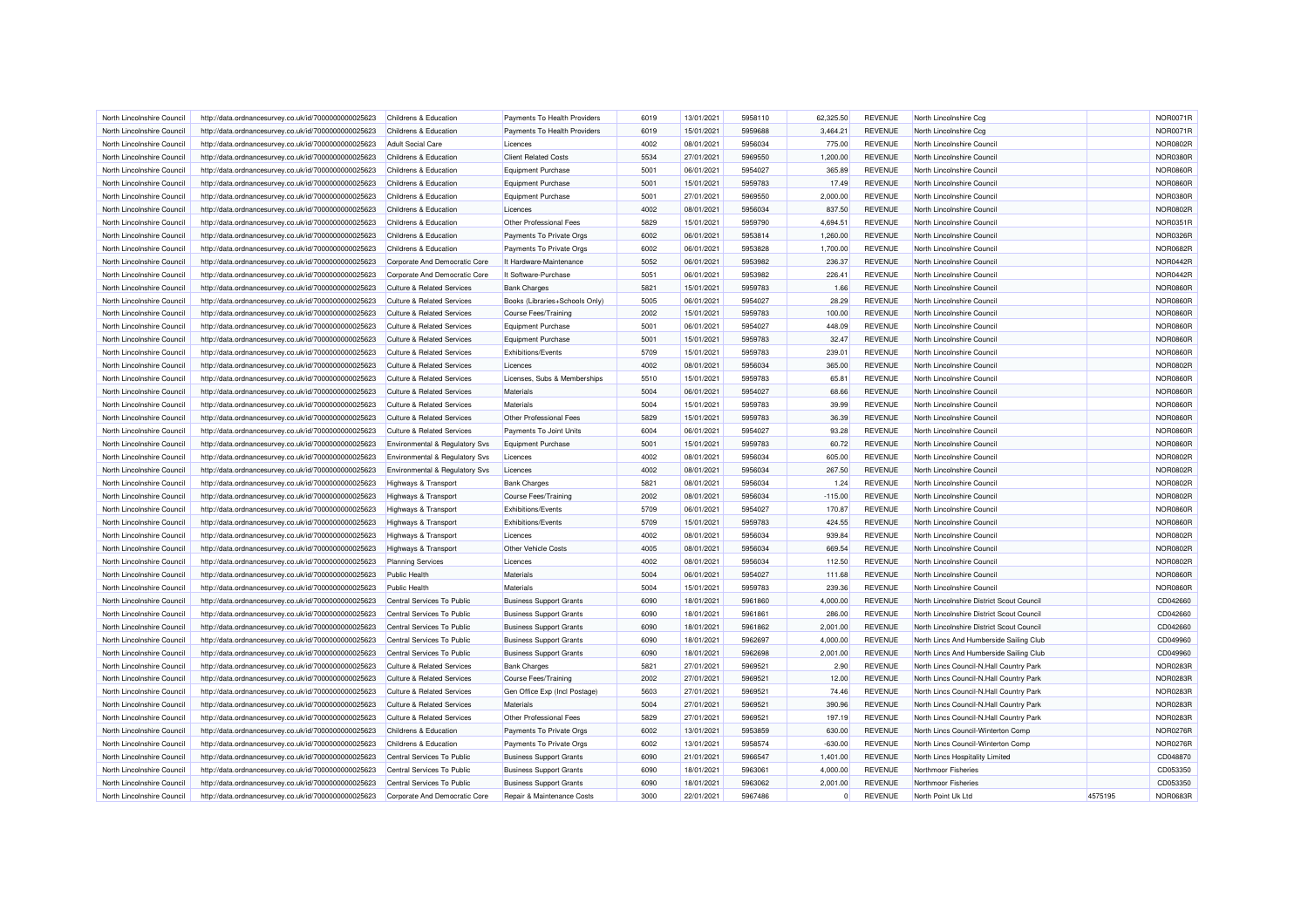| North Lincolnshire Council | http://data.ordnancesurvey.co.uk/id/7000000000025623 | Childrens & Education                 | Payments To Health Providers   | 6019         | 13/01/2021 | 5958110            | 62.325.50      | <b>REVENUE</b> | North Lincolnshire Ccq                                   |         | <b>NOR0071R</b> |
|----------------------------|------------------------------------------------------|---------------------------------------|--------------------------------|--------------|------------|--------------------|----------------|----------------|----------------------------------------------------------|---------|-----------------|
| North Lincolnshire Council | http://data.ordnancesurvey.co.uk/id/7000000000025623 | Childrens & Education                 | Payments To Health Providers   | 6019         | 15/01/2021 | 5959688            | 3,464.21       | <b>REVENUE</b> | North Lincolnshire Ccq                                   |         | <b>NOR0071R</b> |
| North Lincolnshire Council | http://data.ordnancesurvey.co.uk/id/7000000000025623 | <b>Adult Social Care</b>              | Licences                       | 4002         | 08/01/2021 | 5956034            | 775.00         | <b>REVENUE</b> | North Lincolnshire Council                               |         | <b>NOR0802R</b> |
| North Lincolnshire Council | http://data.ordnancesurvey.co.uk/id/7000000000025623 | Childrens & Education                 | <b>Client Related Costs</b>    | 5534         | 27/01/2021 | 5969550            | 1,200.00       | <b>REVENUE</b> | North Lincolnshire Council                               |         | NOR0380R        |
| North Lincolnshire Council | http://data.ordnancesurvey.co.uk/id/7000000000025623 | Childrens & Education                 | <b>Equipment Purchase</b>      | 5001         | 06/01/2021 | 5954027            | 365.89         | <b>REVENUE</b> | North Lincolnshire Council                               |         | <b>NOR0860F</b> |
| North Lincolnshire Council | http://data.ordnancesurvey.co.uk/id/7000000000025623 | Childrens & Education                 | <b>Equipment Purchase</b>      | 5001         | 15/01/2021 | 5959783            | 17.49          | <b>REVENUE</b> | North Lincolnshire Council                               |         | <b>NOR0860R</b> |
| North Lincolnshire Council | http://data.ordnancesurvey.co.uk/id/7000000000025623 | Childrens & Education                 | Equipment Purchase             | 5001         | 27/01/2021 | 5969550            | 2,000.00       | <b>REVENUE</b> | North Lincolnshire Council                               |         | NOR0380R        |
| North Lincolnshire Council | http://data.ordnancesurvey.co.uk/id/7000000000025623 | Childrens & Education                 | Licences                       | 4002         | 08/01/2021 | 5956034            | 837.50         | <b>REVENUE</b> | North Lincolnshire Council                               |         | <b>NOR0802F</b> |
| North Lincolnshire Council | http://data.ordnancesurvey.co.uk/id/7000000000025623 | Childrens & Education                 | Other Professional Fees        | 5829         | 15/01/2021 | 5959790            | 4,694.51       | <b>REVENUE</b> | North Lincolnshire Council                               |         | NOR0351R        |
| North Lincolnshire Council | http://data.ordnancesurvey.co.uk/id/7000000000025623 | Childrens & Education                 | Payments To Private Orgs       | 6002         | 06/01/2021 | 5953814            | 1,260.00       | <b>REVENUE</b> | North Lincolnshire Council                               |         | NOR0326F        |
| North Lincolnshire Council | http://data.ordnancesurvey.co.uk/id/7000000000025623 | Childrens & Education                 | Payments To Private Orgs       | 6002         | 06/01/2021 | 5953828            | 1,700.00       | <b>REVENUE</b> | North Lincolnshire Council                               |         | <b>NOR0682R</b> |
| North Lincolnshire Council | http://data.ordnancesurvey.co.uk/id/7000000000025623 | Corporate And Democratic Core         | It Hardware-Maintenance        | 5052         | 06/01/2021 | 5953982            | 236.37         | <b>REVENUE</b> | North Lincolnshire Council                               |         | NOR0442R        |
| North Lincolnshire Council | http://data.ordnancesurvey.co.uk/id/7000000000025623 | Corporate And Democratic Core         | It Software-Purchase           | 5051         | 06/01/2021 | 5953982            | 226.41         | <b>REVENUE</b> | North Lincolnshire Council                               |         | NOR0442R        |
| North Lincolnshire Council | http://data.ordnancesurvey.co.uk/id/7000000000025623 | <b>Culture &amp; Related Services</b> | <b>Bank Charges</b>            | 5821         | 15/01/2021 | 5959783            | 1.66           | <b>REVENUE</b> | North Lincolnshire Council                               |         | <b>NOR0860F</b> |
| North Lincolnshire Council | http://data.ordnancesurvey.co.uk/id/7000000000025623 | <b>Culture &amp; Related Services</b> | Books (Libraries+Schools Only) | 5005         | 06/01/2021 | 5954027            | 28.29          | <b>REVENUE</b> | North Lincolnshire Council                               |         | <b>NOR0860R</b> |
| North Lincolnshire Council | http://data.ordnancesurvey.co.uk/id/7000000000025623 | <b>Culture &amp; Related Services</b> | <b>Course Fees/Training</b>    | 2002         | 15/01/2021 | 5959783            | 100.00         | <b>REVENUE</b> | North Lincolnshire Council                               |         | <b>NOR0860R</b> |
| North Lincolnshire Council | http://data.ordnancesurvey.co.uk/id/7000000000025623 | Culture & Related Services            | Equipment Purchase             | 5001         | 06/01/2021 | 5954027            | 448.09         | <b>REVENUE</b> | North Lincolnshire Council                               |         | <b>NOR0860R</b> |
| North Lincolnshire Council | http://data.ordnancesurvey.co.uk/id/7000000000025623 | <b>Culture &amp; Related Services</b> | <b>Equipment Purchase</b>      | 5001         | 15/01/2021 | 5959783            | 32.47          | <b>REVENUE</b> | North Lincolnshire Council                               |         | <b>NOR0860R</b> |
|                            |                                                      |                                       |                                |              |            |                    |                |                |                                                          |         |                 |
| North Lincolnshire Council | http://data.ordnancesurvey.co.uk/id/7000000000025623 | <b>Culture &amp; Related Services</b> | Exhibitions/Events<br>Licences | 5709<br>4002 | 15/01/2021 | 5959783<br>5956034 | 239.01         | <b>REVENUE</b> | North Lincolnshire Council<br>North Lincolnshire Council |         | <b>NOR0860R</b> |
| North Lincolnshire Council | http://data.ordnancesurvey.co.uk/id/7000000000025623 | <b>Culture &amp; Related Services</b> |                                |              | 08/01/2021 |                    | 365.00         | <b>REVENUE</b> |                                                          |         | <b>NOR0802R</b> |
| North Lincolnshire Council | http://data.ordnancesurvey.co.uk/id/7000000000025623 | <b>Culture &amp; Related Services</b> | Licenses, Subs & Memberships   | 5510         | 15/01/2021 | 5959783            | 65.81          | <b>REVENUE</b> | North Lincolnshire Council                               |         | <b>NOR0860R</b> |
| North Lincolnshire Council | http://data.ordnancesurvey.co.uk/id/7000000000025623 | <b>Culture &amp; Related Services</b> | Materials                      | 5004         | 06/01/2021 | 5954027            | 68.66          | <b>REVENUE</b> | North Lincolnshire Council                               |         | <b>NOR0860R</b> |
| North Lincolnshire Council | http://data.ordnancesurvey.co.uk/id/7000000000025623 | <b>Culture &amp; Related Services</b> | Materials                      | 5004         | 15/01/2021 | 5959783            | 39.99          | <b>REVENUE</b> | North Lincolnshire Council                               |         | <b>NOR0860R</b> |
| North Lincolnshire Council | http://data.ordnancesurvey.co.uk/id/7000000000025623 | <b>Culture &amp; Related Services</b> | Other Professional Fees        | 5829         | 15/01/2021 | 5959783            | 36.39          | <b>REVENUE</b> | North Lincolnshire Council                               |         | <b>NOR0860R</b> |
| North Lincolnshire Council | http://data.ordnancesurvey.co.uk/id/7000000000025623 | <b>Culture &amp; Related Services</b> | Payments To Joint Units        | 6004         | 06/01/2021 | 5954027            | 93.28          | <b>REVENUE</b> | North Lincolnshire Council                               |         | <b>NOR0860R</b> |
| North Lincolnshire Council | http://data.ordnancesurvey.co.uk/id/7000000000025623 | Environmental & Regulatory Svs        | <b>Equipment Purchase</b>      | 5001         | 15/01/2021 | 5959783            | 60.72          | <b>REVENUE</b> | North Lincolnshire Council                               |         | <b>NOR0860R</b> |
| North Lincolnshire Council | http://data.ordnancesurvey.co.uk/id/7000000000025623 | Environmental & Regulatory Svs        | Licences                       | 4002         | 08/01/2021 | 5956034            | 605.00         | <b>REVENUE</b> | North Lincolnshire Council                               |         | <b>NOR0802R</b> |
| North Lincolnshire Council | http://data.ordnancesurvey.co.uk/id/7000000000025623 | Environmental & Regulatory Svs        | Licences                       | 4002         | 08/01/2021 | 5956034            | 267.50         | <b>REVENUE</b> | North Lincolnshire Council                               |         | <b>NOR0802R</b> |
| North Lincolnshire Council | http://data.ordnancesurvey.co.uk/id/7000000000025623 | Highways & Transport                  | <b>Bank Charges</b>            | 5821         | 08/01/2021 | 5956034            | 1.24           | <b>REVENUE</b> | North Lincolnshire Council                               |         | <b>NOR0802R</b> |
| North Lincolnshire Council | http://data.ordnancesurvey.co.uk/id/7000000000025623 | <b>Highways &amp; Transport</b>       | Course Fees/Training           | 2002         | 08/01/2021 | 5956034            | $-115.00$      | <b>REVENUE</b> | North Lincolnshire Council                               |         | <b>NOR0802F</b> |
| North Lincolnshire Council | http://data.ordnancesurvey.co.uk/id/7000000000025623 | Highways & Transport                  | Exhibitions/Events             | 5709         | 06/01/2021 | 5954027            | 170.87         | <b>REVENUE</b> | North Lincolnshire Council                               |         | <b>NOR0860R</b> |
| North Lincolnshire Council | http://data.ordnancesurvey.co.uk/id/7000000000025623 | Highways & Transport                  | Exhibitions/Events             | 5709         | 15/01/2021 | 5959783            | 424.55         | <b>REVENUE</b> | North Lincolnshire Council                               |         | <b>NOR0860R</b> |
| North Lincolnshire Council | http://data.ordnancesurvey.co.uk/id/7000000000025623 | <b>Highways &amp; Transport</b>       | Licences                       | 4002         | 08/01/2021 | 5956034            | 939.84         | <b>REVENUE</b> | North Lincolnshire Council                               |         | <b>NOR0802R</b> |
| North Lincolnshire Council | http://data.ordnancesurvey.co.uk/id/7000000000025623 | <b>Highways &amp; Transport</b>       | Other Vehicle Costs            | 4005         | 08/01/2021 | 5956034            | 669.54         | <b>REVENUE</b> | North Lincolnshire Council                               |         | <b>NOR0802R</b> |
| North Lincolnshire Council | http://data.ordnancesurvey.co.uk/id/7000000000025623 | <b>Planning Services</b>              | Licences                       | 4002         | 08/01/2021 | 5956034            | 112.50         | <b>REVENUE</b> | North Lincolnshire Council                               |         | <b>NOR0802F</b> |
| North Lincolnshire Council | http://data.ordnancesurvey.co.uk/id/7000000000025623 | <b>Public Health</b>                  | Materials                      | 5004         | 06/01/2021 | 5954027            | 111.68         | <b>REVENUE</b> | North Lincolnshire Council                               |         | <b>NOR0860F</b> |
| North Lincolnshire Council | http://data.ordnancesurvey.co.uk/id/7000000000025623 | <b>Public Health</b>                  | Materials                      | 5004         | 15/01/2021 | 5959783            | 239.36         | <b>REVENUE</b> | North Lincolnshire Council                               |         | <b>NOR0860R</b> |
| North Lincolnshire Council | http://data.ordnancesurvey.co.uk/id/7000000000025623 | Central Services To Public            | <b>Business Support Grants</b> | 6090         | 18/01/2021 | 5961860            | 4,000.00       | <b>REVENUE</b> | North Lincolnshire District Scout Council                |         | CD042660        |
| North Lincolnshire Council | http://data.ordnancesurvey.co.uk/id/7000000000025623 | Central Services To Public            | <b>Business Support Grants</b> | 6090         | 18/01/2021 | 5961861            | 286.00         | <b>REVENUE</b> | North Lincolnshire District Scout Council                |         | CD042660        |
| North Lincolnshire Council | http://data.ordnancesurvey.co.uk/id/7000000000025623 | Central Services To Public            | <b>Business Support Grants</b> | 6090         | 18/01/2021 | 5961862            | 2,001.00       | <b>REVENUE</b> | North Lincolnshire District Scout Council                |         | CD042660        |
| North Lincolnshire Council | http://data.ordnancesurvey.co.uk/id/7000000000025623 | Central Services To Public            | <b>Business Support Grants</b> | 6090         | 18/01/2021 | 5962697            | 4,000.00       | <b>REVENUE</b> | North Lincs And Humberside Sailing Club                  |         | CD049960        |
| North Lincolnshire Council | http://data.ordnancesurvey.co.uk/id/7000000000025623 | Central Services To Public            | <b>Business Support Grants</b> | 6090         | 18/01/2021 | 5962698            | 2,001.00       | <b>REVENUE</b> | North Lincs And Humberside Sailing Club                  |         | CD049960        |
| North Lincolnshire Council | http://data.ordnancesurvey.co.uk/id/7000000000025623 | <b>Culture &amp; Related Services</b> | <b>Bank Charges</b>            | 5821         | 27/01/2021 | 5969521            | 2.90           | <b>REVENUE</b> | North Lincs Council-N.Hall Country Park                  |         | NOR0283F        |
| North Lincolnshire Council | http://data.ordnancesurvey.co.uk/id/7000000000025623 | <b>Culture &amp; Related Services</b> | <b>Course Fees/Training</b>    | 2002         | 27/01/2021 | 5969521            | 12.00          | <b>REVENUE</b> | North Lincs Council-N.Hall Country Park                  |         | NOR0283F        |
| North Lincolnshire Council | http://data.ordnancesurvey.co.uk/id/7000000000025623 | <b>Culture &amp; Related Services</b> | Gen Office Exp (Incl Postage)  | 5603         | 27/01/2021 | 5969521            | 74.46          | <b>REVENUE</b> | North Lincs Council-N.Hall Country Park                  |         | NOR0283R        |
| North Lincolnshire Council | http://data.ordnancesurvey.co.uk/id/7000000000025623 | <b>Culture &amp; Related Services</b> | <b>Materials</b>               | 5004         | 27/01/2021 | 5969521            | 390.96         | <b>REVENUE</b> | North Lincs Council-N.Hall Country Park                  |         | <b>NOR0283R</b> |
| North Lincolnshire Council | http://data.ordnancesurvey.co.uk/id/7000000000025623 | <b>Culture &amp; Related Services</b> | Other Professional Fees        | 5829         | 27/01/2021 | 5969521            | 197.19         | <b>REVENUE</b> | North Lincs Council-N.Hall Country Park                  |         | <b>NOR0283F</b> |
| North Lincolnshire Council | http://data.ordnancesurvey.co.uk/id/7000000000025623 | Childrens & Education                 | Payments To Private Orgs       | 6002         | 13/01/2021 | 5953859            | 630.00         | <b>REVENUE</b> | North Lincs Council-Winterton Comp                       |         | NOR0276F        |
| North Lincolnshire Council | http://data.ordnancesurvey.co.uk/id/7000000000025623 | Childrens & Education                 | Payments To Private Orgs       | 6002         | 13/01/2021 | 5958574            | $-630.00$      | <b>REVENUE</b> | North Lincs Council-Winterton Comp                       |         | NOR0276F        |
| North Lincolnshire Council | http://data.ordnancesurvey.co.uk/id/7000000000025623 | Central Services To Public            | <b>Business Support Grants</b> | 6090         | 21/01/2021 | 5966547            | 1,401.00       | <b>REVENUE</b> | North Lincs Hospitality Limited                          |         | CD048870        |
| North Lincolnshire Council | http://data.ordnancesurvey.co.uk/id/7000000000025623 | Central Services To Public            | <b>Business Support Grants</b> | 6090         | 18/01/2021 | 596306             | 4,000.00       | <b>REVENUE</b> | Northmoor Fisheries                                      |         | CD053350        |
| North Lincolnshire Council | http://data.ordnancesurvey.co.uk/id/7000000000025623 | Central Services To Public            | <b>Business Support Grants</b> | 6090         | 18/01/2021 | 5963062            | 2,001.00       | <b>REVENUE</b> | Northmoor Fisheries                                      |         | CD053350        |
| North Lincolnshire Council | http://data.ordnancesurvey.co.uk/id/7000000000025623 | Corporate And Democratic Core         | Repair & Maintenance Costs     | 3000         | 22/01/2021 | 5967486            | $\overline{0}$ | <b>REVENUE</b> | North Point Uk Ltd                                       | 4575195 | NOR0683R        |
|                            |                                                      |                                       |                                |              |            |                    |                |                |                                                          |         |                 |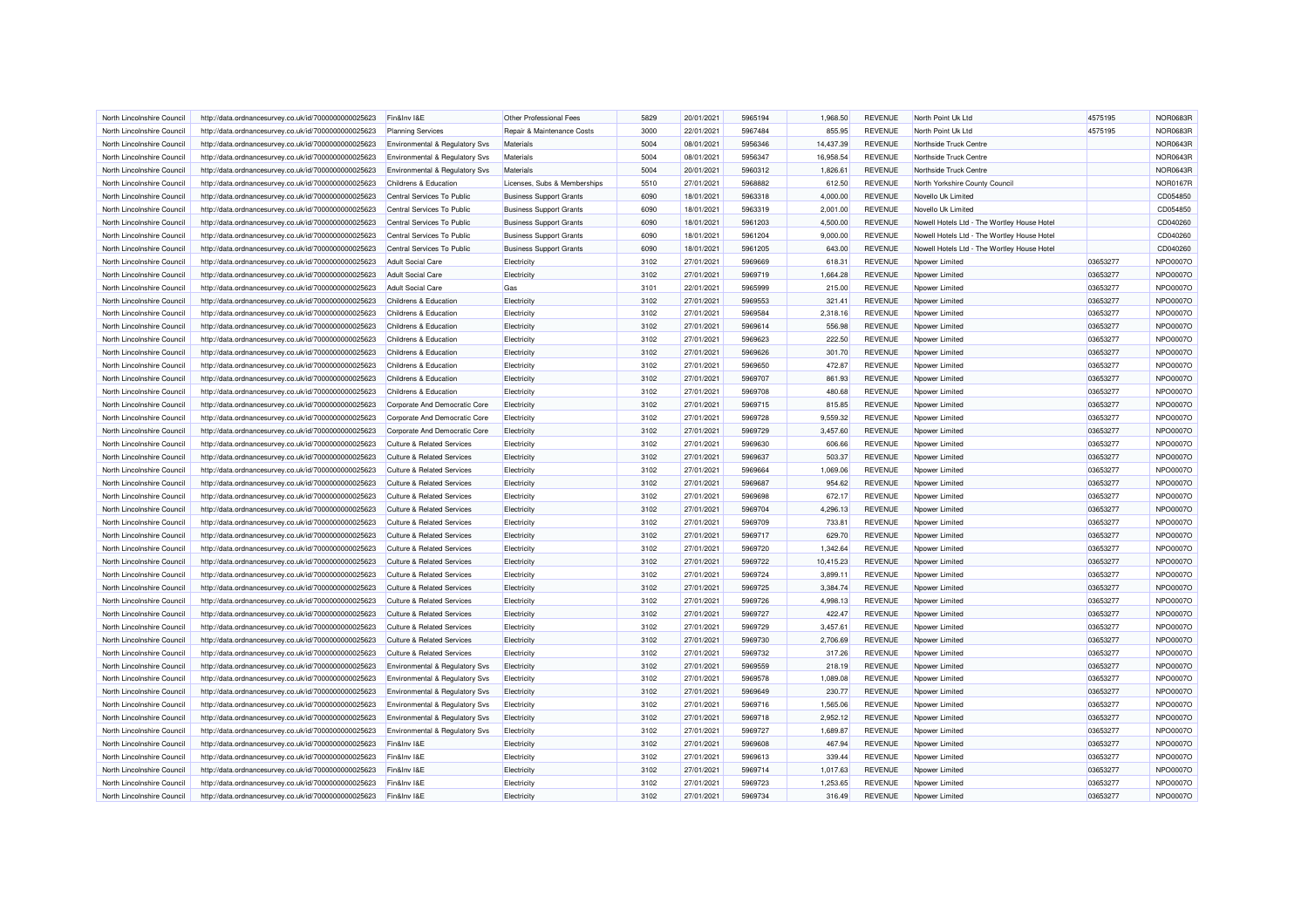| North Lincolnshire Council | http://data.ordnancesurvey.co.uk/id/7000000000025623 | Fin&Inv I&E                               | Other Professional Fees        | 5829 | 20/01/2021 | 5965194 | 1.968.50  | <b>REVENUE</b> | North Point Uk Ltd                          | 4575195  | <b>NOR0683F</b> |
|----------------------------|------------------------------------------------------|-------------------------------------------|--------------------------------|------|------------|---------|-----------|----------------|---------------------------------------------|----------|-----------------|
| North Lincolnshire Council | http://data.ordnancesurvey.co.uk/id/7000000000025623 | <b>Planning Services</b>                  | Repair & Maintenance Costs     | 3000 | 22/01/2021 | 5967484 | 855.95    | <b>REVENUE</b> | North Point Uk Ltd                          | 4575195  | <b>NOR0683F</b> |
| North Lincolnshire Council | http://data.ordnancesurvey.co.uk/id/7000000000025623 | Environmental & Regulatory Svs            | Materials                      | 5004 | 08/01/2021 | 5956346 | 14,437.39 | <b>REVENUE</b> | Northside Truck Centre                      |          | <b>NOR0643F</b> |
| North Lincolnshire Council | http://data.ordnancesurvey.co.uk/id/7000000000025623 | <b>Environmental &amp; Regulatory Svs</b> | Materials                      | 5004 | 08/01/2021 | 5956347 | 16,958.54 | <b>REVENUE</b> | Northside Truck Centre                      |          | NOR0643F        |
| North Lincolnshire Council | http://data.ordnancesurvey.co.uk/id/7000000000025623 | Environmental & Regulatory Svs            | Materials                      | 5004 | 20/01/2021 | 5960312 | 1,826.61  | <b>REVENUE</b> | Northside Truck Centre                      |          | <b>NOR0643F</b> |
| North Lincolnshire Council | http://data.ordnancesurvey.co.uk/id/7000000000025623 | Childrens & Education                     | Licenses, Subs & Memberships   | 5510 | 27/01/2021 | 5968882 | 612.50    | <b>REVENUE</b> | North Yorkshire County Council              |          | <b>NOR0167R</b> |
| North Lincolnshire Council | http://data.ordnancesurvey.co.uk/id/7000000000025623 | Central Services To Public                | <b>Business Support Grants</b> | 6090 | 18/01/2021 | 5963318 | 4,000.00  | <b>REVENUE</b> | Novello Uk Limited                          |          | CD054850        |
| North Lincolnshire Council | http://data.ordnancesurvey.co.uk/id/7000000000025623 | Central Services To Public                | <b>Business Support Grants</b> | 6090 | 18/01/2021 | 5963319 | 2,001.00  | <b>REVENUE</b> | Novello Uk Limited                          |          | CD054850        |
| North Lincolnshire Council | http://data.ordnancesurvey.co.uk/id/7000000000025623 | Central Services To Public                | <b>Business Support Grants</b> | 6090 | 18/01/2021 | 5961203 | 4,500.00  | <b>REVENUE</b> | Nowell Hotels Ltd - The Wortley House Hotel |          | CD040260        |
| North Lincolnshire Counci  | http://data.ordnancesurvey.co.uk/id/7000000000025623 | Central Services To Public                | <b>Business Support Grants</b> | 6090 | 18/01/2021 | 5961204 | 9,000.00  | <b>REVENUE</b> | Nowell Hotels Ltd - The Wortley House Hotel |          | CD040260        |
| North Lincolnshire Counci  | http://data.ordnancesurvey.co.uk/id/7000000000025623 | Central Services To Public                | <b>Business Support Grants</b> | 6090 | 18/01/2021 | 5961205 | 643.00    | <b>REVENUE</b> | Nowell Hotels Ltd - The Wortley House Hotel |          | CD040260        |
| North Lincolnshire Council | http://data.ordnancesurvey.co.uk/id/7000000000025623 | Adult Social Care                         | Electricity                    | 3102 | 27/01/2021 | 5969669 | 618.31    | <b>REVENUE</b> | Npower Limited                              | 03653277 | NPO0007O        |
| North Lincolnshire Council | http://data.ordnancesurvey.co.uk/id/7000000000025623 | <b>Adult Social Care</b>                  | Electricity                    | 3102 | 27/01/2021 | 5969719 | 1,664.28  | <b>REVENUE</b> | Noower Limited                              | 03653277 | <b>NPO0007C</b> |
| North Lincolnshire Council | http://data.ordnancesurvey.co.uk/id/7000000000025623 | <b>Adult Social Care</b>                  | Gas                            | 3101 | 22/01/2021 | 5965999 | 215.00    | <b>REVENUE</b> | Npower Limited                              | 03653277 | NPO0007O        |
| North Lincolnshire Council | http://data.ordnancesurvey.co.uk/id/7000000000025623 | Childrens & Education                     | Electricity                    | 3102 | 27/01/2021 | 5969553 | 321.41    | <b>REVENUE</b> | Npower Limited                              | 03653277 | <b>NPO0007C</b> |
| North Lincolnshire Council | http://data.ordnancesurvey.co.uk/id/7000000000025623 | Childrens & Education                     | Electricity                    | 3102 | 27/01/2021 | 5969584 | 2,318.16  | <b>REVENUE</b> | Npower Limited                              | 03653277 | NPO0007O        |
| North Lincolnshire Council | http://data.ordnancesurvey.co.uk/id/7000000000025623 | Childrens & Education                     | Electricity                    | 3102 | 27/01/2021 | 5969614 | 556.98    | <b>REVENUE</b> | Npower Limited                              | 03653277 | <b>NPO0007C</b> |
| North Lincolnshire Council | http://data.ordnancesurvey.co.uk/id/7000000000025623 | Childrens & Education                     | Electricity                    | 3102 | 27/01/2021 | 5969623 | 222.50    | <b>REVENUE</b> | Npower Limited                              | 03653277 | <b>NPO0007C</b> |
| North Lincolnshire Council | http://data.ordnancesurvey.co.uk/id/7000000000025623 | Childrens & Education                     | Electricity                    | 3102 | 27/01/2021 | 5969626 | 301.70    | <b>REVENUE</b> | Npower Limited                              | 03653277 | <b>NPO0007C</b> |
| North Lincolnshire Council | http://data.ordnancesurvey.co.uk/id/7000000000025623 | Childrens & Education                     | Electricity                    | 3102 | 27/01/2021 | 5969650 | 472.87    | <b>REVENUE</b> | Npower Limited                              | 03653277 | <b>NPO0007C</b> |
| North Lincolnshire Council | http://data.ordnancesurvey.co.uk/id/7000000000025623 | Childrens & Education                     | Electricity                    | 3102 | 27/01/2021 | 5969707 | 861.93    | <b>REVENUE</b> | Npower Limited                              | 03653277 | <b>NPO0007C</b> |
| North Lincolnshire Council | http://data.ordnancesurvey.co.uk/id/7000000000025623 | Childrens & Education                     | Electricity                    | 3102 | 27/01/2021 | 5969708 | 480.68    | <b>REVENUE</b> | Npower Limited                              | 03653277 | <b>NPO0007C</b> |
| North Lincolnshire Council | http://data.ordnancesurvey.co.uk/id/7000000000025623 | Corporate And Democratic Core             | Electricity                    | 3102 | 27/01/2021 | 5969715 | 815.85    | <b>REVENUE</b> | Nnower Limited                              | 03653277 | NPO0007O        |
| North Lincolnshire Council | http://data.ordnancesurvey.co.uk/id/7000000000025623 | Corporate And Democratic Core             | Electricity                    | 3102 | 27/01/2021 | 5969728 | 9.559.32  | <b>REVENUE</b> | Npower Limited                              | 03653277 | NPO0007C        |
| North Lincolnshire Council | http://data.ordnancesurvey.co.uk/id/7000000000025623 | Corporate And Democratic Core             | Electricity                    | 3102 | 27/01/2021 | 5969729 | 3,457.60  | <b>REVENUE</b> | Noower Limited                              | 03653277 | <b>NPO0007C</b> |
| North Lincolnshire Council | http://data.ordnancesurvey.co.uk/id/7000000000025623 | <b>Culture &amp; Related Services</b>     | Electricity                    | 3102 | 27/01/2021 | 5969630 | 606.66    | <b>REVENUE</b> | Nnower Limited                              | 03653277 | NPO0007O        |
| North Lincolnshire Council | http://data.ordnancesurvey.co.uk/id/7000000000025623 | <b>Culture &amp; Related Services</b>     | Electricity                    | 3102 | 27/01/2021 | 5969637 | 503.37    | <b>REVENUE</b> | Npower Limited                              | 03653277 | <b>NPO0007C</b> |
| North Lincolnshire Council | http://data.ordnancesurvey.co.uk/id/7000000000025623 | <b>Culture &amp; Related Services</b>     | Electricity                    | 3102 | 27/01/2021 | 5969664 | 1,069.06  | <b>REVENUE</b> | Noower Limited                              | 03653277 | NPO0007O        |
| North Lincolnshire Council | http://data.ordnancesurvey.co.uk/id/7000000000025623 | <b>Culture &amp; Related Services</b>     | Electricity                    | 3102 | 27/01/2021 | 5969687 | 954.62    | <b>REVENUE</b> | Npower Limited                              | 03653277 | NPO0007O        |
| North Lincolnshire Council | http://data.ordnancesurvey.co.uk/id/7000000000025623 | <b>Culture &amp; Related Services</b>     | Electricity                    | 3102 | 27/01/2021 | 5969698 | 672.17    | <b>REVENUE</b> | Npower Limited                              | 03653277 | <b>NPO0007C</b> |
| North Lincolnshire Council | http://data.ordnancesurvey.co.uk/id/7000000000025623 | <b>Culture &amp; Related Services</b>     | Electricity                    | 3102 | 27/01/2021 | 5969704 | 4,296.13  | <b>REVENUE</b> | Npower Limited                              | 03653277 | NPO0007O        |
| North Lincolnshire Council | http://data.ordnancesurvey.co.uk/id/7000000000025623 | Culture & Related Services                | Electricity                    | 3102 | 27/01/2021 | 5969709 | 733.81    | <b>REVENUE</b> | Npower Limited                              | 03653277 | <b>NPO0007C</b> |
| North Lincolnshire Counci  | http://data.ordnancesurvey.co.uk/id/7000000000025623 | <b>Culture &amp; Related Services</b>     | Electricity                    | 3102 | 27/01/2021 | 5969717 | 629.70    | <b>REVENUE</b> | Noower Limited                              | 03653277 | NPO0007O        |
| North Lincolnshire Council |                                                      | <b>Culture &amp; Related Services</b>     |                                | 3102 | 27/01/2021 | 5969720 | 1.342.64  | <b>REVENUE</b> |                                             | 03653277 | <b>NPO0007C</b> |
|                            | http://data.ordnancesurvey.co.uk/id/7000000000025623 |                                           | Electricity                    |      |            |         |           |                | Npower Limited                              |          | <b>NPO0007C</b> |
| North Lincolnshire Council | http://data.ordnancesurvey.co.uk/id/7000000000025623 | <b>Culture &amp; Related Services</b>     | Electricity                    | 3102 | 27/01/2021 | 5969722 | 10,415.23 | <b>REVENUE</b> | Noower Limited                              | 03653277 |                 |
| North Lincolnshire Council | http://data.ordnancesurvey.co.uk/id/7000000000025623 | <b>Culture &amp; Related Services</b>     | Electricity                    | 3102 | 27/01/2021 | 5969724 | 3,899.11  | <b>REVENUE</b> | Npower Limited                              | 03653277 | NPO0007O        |
| North Lincolnshire Council | http://data.ordnancesurvey.co.uk/id/7000000000025623 | <b>Culture &amp; Related Services</b>     | Electricity                    | 3102 | 27/01/2021 | 5969725 | 3,384.74  | <b>REVENUE</b> | Npower Limited                              | 03653277 | <b>NPO0007C</b> |
| North Lincolnshire Counci  | http://data.ordnancesurvey.co.uk/id/7000000000025623 | Culture & Related Services                | Electricity                    | 3102 | 27/01/2021 | 5969726 | 4,998.13  | <b>REVENUE</b> | Npower Limited                              | 03653277 | NPO0007O        |
| North Lincolnshire Council | http://data.ordnancesurvey.co.uk/id/7000000000025623 | <b>Culture &amp; Related Services</b>     | Electricity                    | 3102 | 27/01/2021 | 5969727 | 422.47    | <b>REVENUE</b> | Npower Limited                              | 03653277 | NPO0007O        |
| North Lincolnshire Council | http://data.ordnancesurvey.co.uk/id/7000000000025623 | <b>Culture &amp; Related Services</b>     | Electricity                    | 3102 | 27/01/2021 | 5969729 | 3,457.61  | <b>REVENUE</b> | Npower Limited                              | 03653277 | <b>NPO0007C</b> |
| North Lincolnshire Council | http://data.ordnancesurvey.co.uk/id/7000000000025623 | <b>Culture &amp; Related Services</b>     | Electricity                    | 3102 | 27/01/2021 | 5969730 | 2,706.69  | <b>REVENUE</b> | Npower Limited                              | 03653277 | <b>NPO0007C</b> |
| North Lincolnshire Council | http://data.ordnancesurvey.co.uk/id/7000000000025623 | Culture & Related Services                | Electricity                    | 3102 | 27/01/2021 | 5969732 | 317.26    | <b>REVENUE</b> | Npower Limited                              | 03653277 | <b>NPO0007C</b> |
| North Lincolnshire Council | http://data.ordnancesurvey.co.uk/id/7000000000025623 | Environmental & Regulatory Svs            | Electricity                    | 3102 | 27/01/2021 | 5969559 | 218.19    | <b>REVENUE</b> | Npower Limited                              | 03653277 | <b>NPO0007C</b> |
| North Lincolnshire Council | http://data.ordnancesurvey.co.uk/id/7000000000025623 | Environmental & Regulatory Svs            | Electricity                    | 3102 | 27/01/2021 | 5969578 | 1,089.08  | <b>REVENUE</b> | Noower Limited                              | 03653277 | <b>NPO0007C</b> |
| North Lincolnshire Council | http://data.ordnancesurvey.co.uk/id/7000000000025623 | Environmental & Regulatory Svs            | Electricity                    | 3102 | 27/01/2021 | 5969649 | 230.77    | <b>REVENUE</b> | Npower Limited                              | 03653277 | NPO0007O        |
| North Lincolnshire Council | http://data.ordnancesurvey.co.uk/id/7000000000025623 | <b>Environmental &amp; Regulatory Svs</b> | Electricity                    | 3102 | 27/01/2021 | 5969716 | 1,565.06  | <b>REVENUE</b> | Nnower Limited                              | 03653277 | <b>NPO0007C</b> |
| North Lincolnshire Council | http://data.ordnancesurvey.co.uk/id/7000000000025623 | Environmental & Regulatory Svs            | Electricity                    | 3102 | 27/01/2021 | 5969718 | 2,952.12  | <b>REVENUE</b> | Npower Limited                              | 03653277 | <b>NPO0007C</b> |
| North Lincolnshire Council | http://data.ordnancesurvey.co.uk/id/7000000000025623 | <b>Environmental &amp; Regulatory Svs</b> | Electricity                    | 3102 | 27/01/2021 | 5969727 | 1,689.87  | <b>REVENUE</b> | Npower Limited                              | 03653277 | <b>NPO0007C</b> |
| North Lincolnshire Council | http://data.ordnancesurvey.co.uk/id/7000000000025623 | Fin&Inv I&E                               | Electricity                    | 3102 | 27/01/2021 | 5969608 | 467.94    | <b>REVENUE</b> | Npower Limited                              | 03653277 | <b>NPO0007C</b> |
| North Lincolnshire Council | http://data.ordnancesurvey.co.uk/id/7000000000025623 | Fin&Inv I&F                               | Electricity                    | 3102 | 27/01/2021 | 5969613 | 339.44    | <b>REVENUE</b> | Npower Limited                              | 03653277 | <b>NPO0007C</b> |
| North Lincolnshire Council | http://data.ordnancesurvey.co.uk/id/7000000000025623 | Fin&Inv I&E                               | Electricity                    | 3102 | 27/01/2021 | 5969714 | 1,017.63  | <b>REVENUE</b> | Npower Limited                              | 03653277 | <b>NPO0007C</b> |
| North Lincolnshire Council | http://data.ordnancesurvey.co.uk/id/7000000000025623 | Fin&Inv I&E                               | Electricity                    | 3102 | 27/01/2021 | 5969723 | 1,253.65  | <b>REVENUE</b> | Npower Limited                              | 03653277 | <b>NPO0007C</b> |
| North Lincolnshire Council | http://data.ordnancesurvey.co.uk/id/7000000000025623 | Fin&Inv I&E                               | Electricity                    | 3102 | 27/01/2021 | 5969734 | 316.49    | <b>REVENUE</b> | Npower Limited                              | 03653277 | <b>NPO0007C</b> |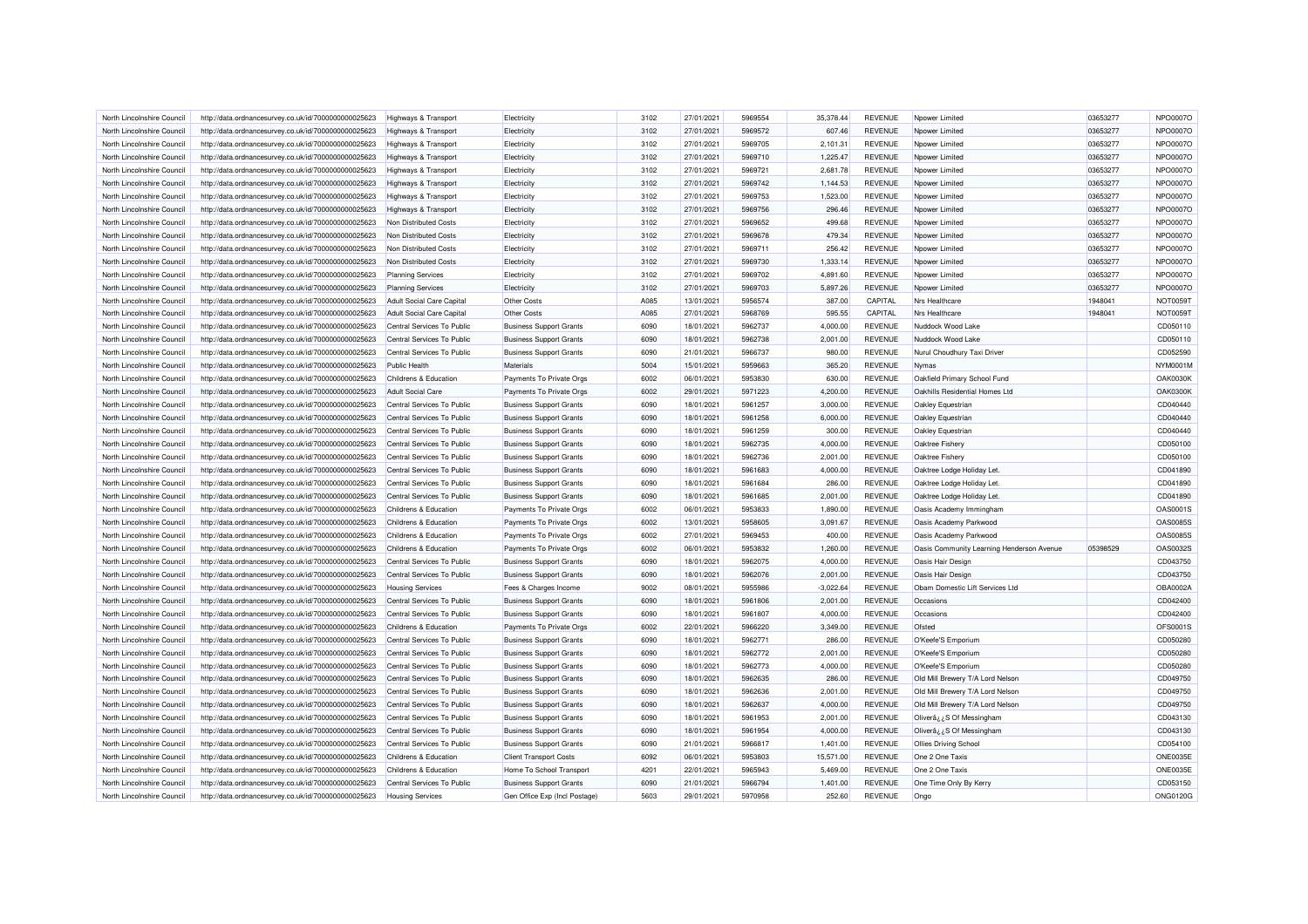| North Lincolnshire Council | http://data.ordnancesurvey.co.uk/id/7000000000025623 | Highways & Transport             | Flectricity                    | 3102 | 27/01/2021 | 5969554 | 35.378.44   | <b>REVENUE</b> | Noower Limited                            | 03653277 | NPO0007O                    |
|----------------------------|------------------------------------------------------|----------------------------------|--------------------------------|------|------------|---------|-------------|----------------|-------------------------------------------|----------|-----------------------------|
| North Lincolnshire Council | http://data.ordnancesurvey.co.uk/id/7000000000025623 | <b>Highways &amp; Transport</b>  | Electricity                    | 3102 | 27/01/2021 | 5969572 | 607.46      | <b>REVENUE</b> | Npower Limited                            | 03653277 | NPO0007O                    |
| North Lincolnshire Council | http://data.ordnancesurvey.co.uk/id/7000000000025623 | <b>Highways &amp; Transport</b>  | Electricity                    | 3102 | 27/01/2021 | 5969705 | 2,101.31    | <b>REVENUE</b> | Npower Limited                            | 03653277 | <b>NPO0007C</b>             |
| North Lincolnshire Council | http://data.ordnancesurvey.co.uk/id/7000000000025623 | <b>Highways &amp; Transport</b>  | Electricity                    | 3102 | 27/01/2021 | 5969710 | 1,225.47    | <b>REVENUE</b> | Nnower Limited                            | 03653277 | NPO0007O                    |
| North Lincolnshire Council | http://data.ordnancesurvey.co.uk/id/7000000000025623 | Highways & Transport             | Electricity                    | 3102 | 27/01/2021 | 5969721 | 2,681.78    | <b>REVENUE</b> | Npower Limited                            | 03653277 | <b>NPO0007C</b>             |
| North Lincolnshire Council | http://data.ordnancesurvey.co.uk/id/7000000000025623 | <b>Highways &amp; Transport</b>  | Electricity                    | 3102 | 27/01/2021 | 5969742 | 1,144.53    | <b>REVENUE</b> | Noower Limited                            | 03653277 | NPO0007O                    |
| North Lincolnshire Council | http://data.ordnancesurvey.co.uk/id/7000000000025623 | Highways & Transport             | Electricity                    | 3102 | 27/01/2021 | 5969753 | 1,523.00    | <b>REVENUE</b> | Npower Limited                            | 03653277 | <b>NPO0007C</b>             |
| North Lincolnshire Council | http://data.ordnancesurvey.co.uk/id/7000000000025623 | <b>Highways &amp; Transport</b>  | Electricity                    | 3102 | 27/01/2021 | 5969756 | 296.46      | <b>REVENUE</b> | Npower Limited                            | 03653277 | <b>NPO0007C</b>             |
| North Lincolnshire Council | http://data.ordnancesurvey.co.uk/id/7000000000025623 | Non Distributed Costs            | Electricity                    | 3102 | 27/01/2021 | 5969652 | 499.68      | <b>REVENUE</b> | Nnower I imited                           | 03653277 | NPO0007O                    |
| North Lincolnshire Council | http://data.ordnancesurvey.co.uk/id/7000000000025623 | Non Distributed Costs            | Electricity                    | 3102 | 27/01/2021 | 5969678 | 479.34      | <b>REVENUE</b> | Npower Limited                            | 03653277 | <b>NPO00070</b>             |
| North Lincolnshire Council | http://data.ordnancesurvey.co.uk/id/7000000000025623 | Non Distributed Costs            | Electricity                    | 3102 | 27/01/2021 | 5969711 | 256.42      | <b>REVENUE</b> | Noower Limited                            | 03653277 | <b>NPO0007C</b>             |
| North Lincolnshire Council | http://data.ordnancesurvey.co.uk/id/7000000000025623 | Non Distributed Costs            | Electricity                    | 3102 | 27/01/2021 | 5969730 | 1,333.14    | <b>REVENUE</b> | Npower Limited                            | 03653277 | NPO0007O                    |
| North Lincolnshire Council | http://data.ordnancesurvey.co.uk/id/7000000000025623 | <b>Planning Services</b>         | Electricity                    | 3102 | 27/01/2021 | 5969702 | 4,891.60    | <b>REVENUE</b> | Npower Limited                            | 03653277 | <b>NPO0007C</b>             |
| North Lincolnshire Council | http://data.ordnancesurvey.co.uk/id/7000000000025623 | <b>Planning Services</b>         | Electricity                    | 3102 | 27/01/2021 | 5969703 | 5,897.26    | <b>REVENUE</b> | Noower Limited                            | 03653277 | <b>NPO0007C</b>             |
| North Lincolnshire Council | http://data.ordnancesurvey.co.uk/id/7000000000025623 | Adult Social Care Capital        | <b>Other Costs</b>             | A085 | 13/01/2021 | 5956574 | 387.00      | CAPITAL        | Nrs Healthcare                            | 1948041  | NOT00591                    |
| North Lincolnshire Council | http://data.ordnancesurvey.co.uk/id/7000000000025623 | <b>Adult Social Care Capital</b> | Other Costs                    | A085 | 27/01/2021 | 5968769 | 595.55      | CAPITAL        | Nrs Healthcare                            | 1948041  | NOT00591                    |
| North Lincolnshire Council | http://data.ordnancesurvey.co.uk/id/7000000000025623 | Central Services To Public       | <b>Business Support Grants</b> | 6090 | 18/01/2021 | 5962737 | 4,000.00    | <b>REVENUE</b> | Nuddock Wood Lake                         |          | CD050110                    |
| North Lincolnshire Council | http://data.ordnancesurvey.co.uk/id/7000000000025623 | Central Services To Public       | <b>Business Support Grants</b> | 6090 | 18/01/2021 | 5962738 | 2,001.00    | <b>REVENUE</b> | Nuddock Wood Lake                         |          | CD050110                    |
| North Lincolnshire Council |                                                      | Central Services To Public       | <b>Business Support Grants</b> | 6090 | 21/01/2021 | 5966737 | 980.00      | <b>REVENUE</b> | Nurul Choudhury Taxi Driver               |          | CD052590                    |
| North Lincolnshire Council | http://data.ordnancesurvey.co.uk/id/7000000000025623 | <b>Public Health</b>             | Materials                      | 5004 | 15/01/2021 | 5959663 | 365.20      | <b>REVENUE</b> | Nymas                                     |          | NYM0001M                    |
| North Lincolnshire Council | http://data.ordnancesurvey.co.uk/id/7000000000025623 | Childrens & Education            |                                | 6002 | 06/01/2021 | 5953830 |             | <b>REVENUE</b> | Oakfield Primary School Fund              |          | <b>OAK0030K</b>             |
|                            | http://data.ordnancesurvey.co.uk/id/7000000000025623 |                                  | Payments To Private Orgs       |      |            |         | 630.00      |                |                                           |          |                             |
| North Lincolnshire Council | http://data.ordnancesurvey.co.uk/id/7000000000025623 | <b>Adult Social Care</b>         | Payments To Private Orgs       | 6002 | 29/01/2021 | 5971223 | 4,200.00    | <b>REVENUE</b> | Oakhills Residential Homes Ltd            |          | <b>OAK0300K</b><br>CD040440 |
| North Lincolnshire Council | http://data.ordnancesurvey.co.uk/id/7000000000025623 | Central Services To Public       | <b>Business Support Grants</b> | 6090 | 18/01/2021 | 5961257 | 3.000.00    | <b>REVENUE</b> | Oakley Equestrian                         |          |                             |
| North Lincolnshire Council | http://data.ordnancesurvey.co.uk/id/7000000000025623 | Central Services To Public       | <b>Business Support Grants</b> | 6090 | 18/01/2021 | 5961258 | 6,000.00    | <b>REVENUE</b> | Oakley Equestrian                         |          | CD040440                    |
| North Lincolnshire Council | http://data.ordnancesurvey.co.uk/id/7000000000025623 | Central Services To Public       | <b>Business Support Grants</b> | 6090 | 18/01/2021 | 5961259 | 300.00      | <b>REVENUE</b> | Oakley Equestrian                         |          | CD040440                    |
| North Lincolnshire Council | http://data.ordnancesurvey.co.uk/id/7000000000025623 | Central Services To Public       | <b>Business Support Grants</b> | 6090 | 18/01/2021 | 5962735 | 4,000.00    | <b>REVENUE</b> | Oaktree Fishery                           |          | CD050100                    |
| North Lincolnshire Council | http://data.ordnancesurvey.co.uk/id/7000000000025623 | Central Services To Public       | <b>Business Support Grants</b> | 6090 | 18/01/2021 | 5962736 | 2,001.00    | <b>REVENUE</b> | Oaktree Fishery                           |          | CD050100                    |
| North Lincolnshire Council | http://data.ordnancesurvey.co.uk/id/7000000000025623 | Central Services To Public       | <b>Business Support Grants</b> | 6090 | 18/01/2021 | 5961683 | 4,000.00    | <b>REVENUE</b> | Oaktree Lodge Holiday Let.                |          | CD041890                    |
| North Lincolnshire Council | http://data.ordnancesurvey.co.uk/id/7000000000025623 | Central Services To Public       | <b>Business Support Grants</b> | 6090 | 18/01/2021 | 5961684 | 286.00      | <b>REVENUE</b> | Oaktree Lodge Holiday Let.                |          | CD041890                    |
| North Lincolnshire Council | http://data.ordnancesurvey.co.uk/id/7000000000025623 | Central Services To Public       | <b>Business Support Grants</b> | 6090 | 18/01/2021 | 5961685 | 2,001.00    | <b>REVENUE</b> | Oaktree Lodge Holiday Let.                |          | CD041890                    |
| North Lincolnshire Council | http://data.ordnancesurvey.co.uk/id/7000000000025623 | Childrens & Education            | Payments To Private Orgs       | 6002 | 06/01/2021 | 5953833 | 1,890.00    | <b>REVENUE</b> | Oasis Academy Immingham                   |          | OAS0001S                    |
| North Lincolnshire Council | http://data.ordnancesurvey.co.uk/id/7000000000025623 | Childrens & Education            | Payments To Private Orgs       | 6002 | 13/01/2021 | 5958605 | 3,091.67    | <b>REVENUE</b> | Oasis Academy Parkwood                    |          | OAS00855                    |
| North Lincolnshire Council | http://data.ordnancesurvey.co.uk/id/7000000000025623 | Childrens & Education            | Payments To Private Orgs       | 6002 | 27/01/2021 | 5969453 | 400.00      | <b>REVENUE</b> | Oasis Academy Parkwood                    |          | <b>OAS0085S</b>             |
| North Lincolnshire Council | http://data.ordnancesurvey.co.uk/id/7000000000025623 | Childrens & Education            | Payments To Private Orgs       | 6002 | 06/01/2021 | 5953832 | 1,260.00    | <b>REVENUE</b> | Oasis Community Learning Henderson Avenue | 05398529 | OAS0032S                    |
| North Lincolnshire Council | http://data.ordnancesurvey.co.uk/id/7000000000025623 | Central Services To Public       | <b>Business Support Grants</b> | 6090 | 18/01/2021 | 5962075 | 4,000.00    | <b>REVENUE</b> | Oasis Hair Design                         |          | CD043750                    |
| North Lincolnshire Council | http://data.ordnancesurvey.co.uk/id/7000000000025623 | Central Services To Public       | <b>Business Support Grants</b> | 6090 | 18/01/2021 | 5962076 | 2,001.00    | <b>REVENUE</b> | Oasis Hair Design                         |          | CD043750                    |
| North Lincolnshire Council | http://data.ordnancesurvey.co.uk/id/7000000000025623 | <b>Housing Services</b>          | Fees & Charges Income          | 9002 | 08/01/2021 | 5955986 | $-3,022.64$ | <b>REVENUE</b> | Obam Domestic Lift Services Ltd           |          | OBA0002A                    |
| North Lincolnshire Council | http://data.ordnancesurvey.co.uk/id/7000000000025623 | Central Services To Public       | <b>Business Support Grants</b> | 6090 | 18/01/2021 | 5961806 | 2,001.00    | <b>REVENUE</b> | Occasions                                 |          | CD042400                    |
| North Lincolnshire Council | http://data.ordnancesurvey.co.uk/id/7000000000025623 | Central Services To Public       | <b>Business Support Grants</b> | 6090 | 18/01/2021 | 5961807 | 4,000.00    | <b>REVENUE</b> | Occasions                                 |          | CD042400                    |
| North Lincolnshire Council | http://data.ordnancesurvey.co.uk/id/7000000000025623 | Childrens & Education            | Payments To Private Orgs       | 6002 | 22/01/2021 | 5966220 | 3,349.00    | <b>REVENUE</b> | Ofsted                                    |          | OFS0001S                    |
| North Lincolnshire Council | http://data.ordnancesurvey.co.uk/id/7000000000025623 | Central Services To Public       | <b>Business Support Grants</b> | 6090 | 18/01/2021 | 5962771 | 286.00      | <b>REVENUE</b> | O'Keefe'S Emporium                        |          | CD050280                    |
| North Lincolnshire Council | http://data.ordnancesurvey.co.uk/id/7000000000025623 | Central Services To Public       | <b>Business Support Grants</b> | 6090 | 18/01/2021 | 5962772 | 2,001.00    | <b>REVENUE</b> | O'Keefe'S Emporium                        |          | CD050280                    |
| North Lincolnshire Council | http://data.ordnancesurvey.co.uk/id/7000000000025623 | Central Services To Public       | <b>Business Support Grants</b> | 6090 | 18/01/2021 | 5962773 | 4,000.00    | <b>REVENUE</b> | O'Keefe'S Emporium                        |          | CD050280                    |
| North Lincolnshire Council | http://data.ordnancesurvey.co.uk/id/7000000000025623 | Central Services To Public       | <b>Business Support Grants</b> | 6090 | 18/01/2021 | 5962635 | 286.00      | <b>REVENUE</b> | Old Mill Brewery T/A Lord Nelson          |          | CD049750                    |
| North Lincolnshire Council | http://data.ordnancesurvey.co.uk/id/7000000000025623 | Central Services To Public       | <b>Business Support Grants</b> | 6090 | 18/01/2021 | 5962636 | 2,001.00    | <b>REVENUE</b> | Old Mill Brewery T/A Lord Nelson          |          | CD049750                    |
| North Lincolnshire Council | http://data.ordnancesurvey.co.uk/id/7000000000025623 | Central Services To Public       | <b>Business Support Grants</b> | 6090 | 18/01/2021 | 5962637 | 4,000.00    | <b>REVENUE</b> | Old Mill Brewery T/A Lord Nelson          |          | CD049750                    |
| North Lincolnshire Council | http://data.ordnancesurvey.co.uk/id/7000000000025623 | Central Services To Public       | <b>Business Support Grants</b> | 6090 | 18/01/2021 | 5961953 | 2,001.00    | <b>REVENUE</b> | Oliverâ¿¿S Of Messingham                  |          | CD043130                    |
| North Lincolnshire Council | http://data.ordnancesurvey.co.uk/id/7000000000025623 | Central Services To Public       | <b>Business Support Grants</b> | 6090 | 18/01/2021 | 5961954 | 4,000.00    | <b>REVENUE</b> | Oliverâ; ¿S Of Messingham                 |          | CD043130                    |
| North Lincolnshire Council | http://data.ordnancesurvey.co.uk/id/7000000000025623 | Central Services To Public       | <b>Business Support Grants</b> | 6090 | 21/01/2021 | 5966817 | 1,401.00    | <b>REVENUE</b> | <b>Ollies Driving School</b>              |          | CD054100                    |
| North Lincolnshire Council | http://data.ordnancesurvey.co.uk/id/7000000000025623 | Childrens & Education            | <b>Client Transport Costs</b>  | 6092 | 06/01/2021 | 5953803 | 15,571.00   | <b>REVENUE</b> | One 2 One Taxis                           |          | <b>ONE0035E</b>             |
| North Lincolnshire Council | http://data.ordnancesurvey.co.uk/id/7000000000025623 | Childrens & Education            | Home To School Transport       | 4201 | 22/01/2021 | 5965943 | 5,469.00    | <b>REVENUE</b> | One 2 One Taxis                           |          | ONE0035E                    |
| North Lincolnshire Council | http://data.ordnancesurvey.co.uk/id/7000000000025623 | Central Services To Public       | <b>Business Support Grants</b> | 6090 | 21/01/2021 | 5966794 | 1,401.00    | <b>REVENUE</b> | One Time Only By Kerry                    |          | CD053150                    |
| North Lincolnshire Council | http://data.ordnancesurvey.co.uk/id/7000000000025623 | <b>Housing Services</b>          | Gen Office Exp (Incl Postage)  | 5603 | 29/01/2021 | 5970958 | 252.60      | <b>REVENUE</b> | Ongo                                      |          | <b>ONG0120G</b>             |
|                            |                                                      |                                  |                                |      |            |         |             |                |                                           |          |                             |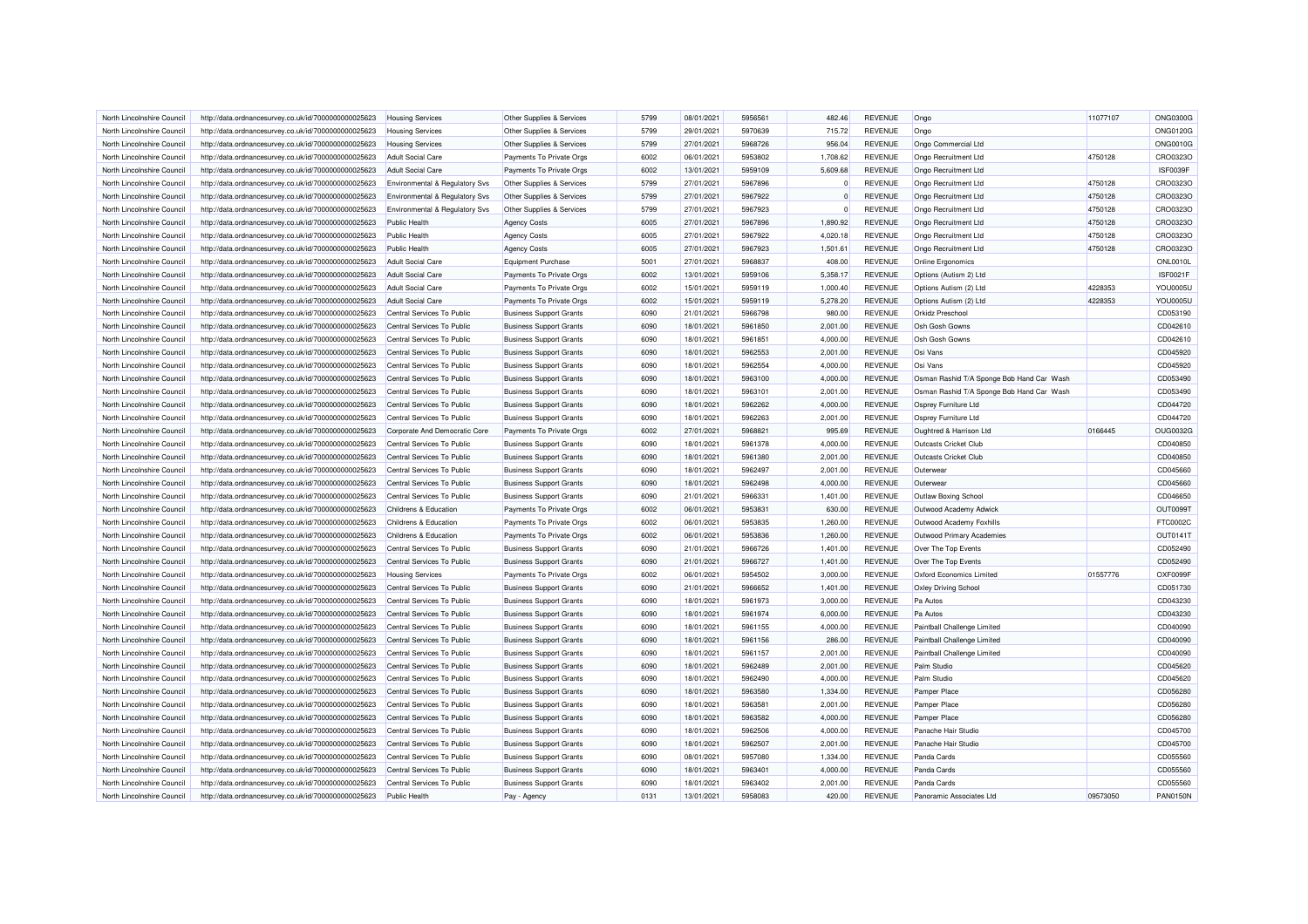| North Lincolnshire Council                               | http://data.ordnancesurvey.co.uk/id/7000000000025623 | <b>Housing Services</b>                                  | Other Supplies & Services      | 5799         | 08/01/2021 | 5956561            | 482.46       | <b>REVENUE</b>                   | Ongo                                      | 11077107 | ONG0300G             |
|----------------------------------------------------------|------------------------------------------------------|----------------------------------------------------------|--------------------------------|--------------|------------|--------------------|--------------|----------------------------------|-------------------------------------------|----------|----------------------|
| North Lincolnshire Council                               | http://data.ordnancesurvey.co.uk/id/7000000000025623 | <b>Housing Services</b>                                  | Other Supplies & Services      | 5799         | 29/01/2021 | 5970639            | 715.72       | <b>REVENUE</b>                   | Ongo                                      |          | <b>ONG0120G</b>      |
| North Lincolnshire Council                               | http://data.ordnancesurvey.co.uk/id/7000000000025623 | <b>Housing Services</b>                                  | Other Supplies & Services      | 5799         | 27/01/2021 | 5968726            | 956.04       | <b>REVENUE</b>                   | Ongo Commercial Ltd                       |          | <b>ONG0010G</b>      |
| North Lincolnshire Council                               | http://data.ordnancesurvey.co.uk/id/7000000000025623 | <b>Adult Social Care</b>                                 | Payments To Private Orgs       | 6002         | 06/01/2021 | 5953802            | 1,708.62     | <b>REVENUE</b>                   | Ongo Recruitment Ltd                      | 4750128  | CRO0323O             |
| North Lincolnshire Council                               | http://data.ordnancesurvey.co.uk/id/7000000000025623 | <b>Adult Social Care</b>                                 | Payments To Private Orgs       | 6002         | 13/01/2021 | 5959109            | 5,609.68     | <b>REVENUE</b>                   | Ongo Recruitment Ltd                      |          | ISF0039F             |
| North Lincolnshire Council                               | http://data.ordnancesurvey.co.uk/id/7000000000025623 | Environmental & Regulatory Svs                           | Other Supplies & Services      | 5799         | 27/01/2021 | 5967896            | $\mathbf{0}$ | <b>REVENUE</b>                   | Ongo Recruitment Ltd                      | 4750128  | CRO0323O             |
| North Lincolnshire Council                               | http://data.ordnancesurvey.co.uk/id/7000000000025623 | Environmental & Regulatory Svs                           | Other Supplies & Services      | 5799         | 27/01/2021 | 5967922            | $\Omega$     | <b>REVENUE</b>                   | Ongo Recruitment Ltd                      | 4750128  | CRO0323O             |
| North Lincolnshire Council                               | http://data.ordnancesurvey.co.uk/id/7000000000025623 | Environmental & Regulatory Svs                           | Other Supplies & Services      | 5799         | 27/01/2021 | 5967923            | $\Omega$     | <b>REVENUE</b>                   | Ongo Recruitment Ltd                      | 4750128  | CRO0323O             |
| North Lincolnshire Council                               | http://data.ordnancesurvey.co.uk/id/7000000000025623 | <b>Public Health</b>                                     | <b>Agency Costs</b>            | 6005         | 27/01/2021 | 5967896            | 1,890.92     | <b>REVENUE</b>                   | Ongo Recruitment Ltd                      | 4750128  | CRO0323O             |
| North Lincolnshire Council                               | http://data.ordnancesurvey.co.uk/id/7000000000025623 | <b>Public Health</b>                                     | <b>Agency Costs</b>            | 6005         | 27/01/2021 | 5967922            | 4,020.18     | <b>REVENUE</b>                   | Ongo Recruitment Ltd                      | 4750128  | CRO0323C             |
| North Lincolnshire Council                               | http://data.ordnancesurvey.co.uk/id/7000000000025623 | <b>Public Health</b>                                     | <b>Agency Costs</b>            | 6005         | 27/01/2021 | 5967923            | 1,501.61     | <b>REVENUE</b>                   | Ongo Recruitment Ltd                      | 4750128  | CRO0323C             |
| North Lincolnshire Council                               | http://data.ordnancesurvey.co.uk/id/7000000000025623 | <b>Adult Social Care</b>                                 | <b>Equipment Purchase</b>      | 5001         | 27/01/2021 | 5968837            | 408.00       | <b>REVENUE</b>                   | Online Ergonomics                         |          | <b>ONL0010L</b>      |
| North Lincolnshire Council                               | http://data.ordnancesurvey.co.uk/id/7000000000025623 | <b>Adult Social Care</b>                                 | Payments To Private Orgs       | 6002         | 13/01/2021 | 5959106            | 5,358.17     | <b>REVENUE</b>                   | Options (Autism 2) Ltd                    |          | <b>ISF0021F</b>      |
| North Lincolnshire Council                               | http://data.ordnancesurvey.co.uk/id/7000000000025623 | <b>Adult Social Care</b>                                 | Payments To Private Orgs       | 6002         | 15/01/2021 | 5959119            | 1,000.40     | <b>REVENUE</b>                   | Options Autism (2) Ltd                    | 4228353  | YOU0005L             |
| North Lincolnshire Council                               | http://data.ordnancesurvey.co.uk/id/7000000000025623 | Adult Social Care                                        | Payments To Private Orgs       | 6002         | 15/01/2021 | 5959119            | 5,278.20     | <b>REVENUE</b>                   | Options Autism (2) Ltd                    | 4228353  | YOU0005L             |
| North Lincolnshire Council                               | http://data.ordnancesurvey.co.uk/id/7000000000025623 | Central Services To Public                               | <b>Business Support Grants</b> | 6090         | 21/01/2021 | 5966798            | 980.00       | <b>REVENUE</b>                   | Orkidz Preschool                          |          | CD053190             |
| North Lincolnshire Council                               | http://data.ordnancesurvey.co.uk/id/7000000000025623 | Central Services To Public                               | <b>Business Support Grants</b> | 6090         | 18/01/2021 | 5961850            | 2,001.00     | <b>REVENUE</b>                   | Osh Gosh Gowns                            |          | CD042610             |
| North Lincolnshire Council                               | http://data.ordnancesurvey.co.uk/id/7000000000025623 | Central Services To Public                               | <b>Business Support Grants</b> | 6090         | 18/01/2021 | 5961851            | 4,000.00     | <b>REVENUE</b>                   | Osh Gosh Gowns                            |          | CD042610             |
|                                                          |                                                      |                                                          |                                |              |            |                    |              |                                  |                                           |          | CD045920             |
| North Lincolnshire Council                               | http://data.ordnancesurvey.co.uk/id/7000000000025623 | Central Services To Public                               | <b>Business Support Grants</b> | 6090<br>6090 | 18/01/2021 | 5962553<br>5962554 | 2,001.00     | <b>REVENUE</b><br><b>REVENUE</b> | Osi Vans                                  |          |                      |
| North Lincolnshire Council<br>North Lincolnshire Council | http://data.ordnancesurvey.co.uk/id/7000000000025623 | Central Services To Public<br>Central Services To Public | <b>Business Support Grants</b> | 6090         | 18/01/2021 | 5963100            | 4,000.00     |                                  | Osi Vans                                  |          | CD045920<br>CD053490 |
|                                                          | http://data.ordnancesurvey.co.uk/id/7000000000025623 |                                                          | <b>Business Support Grants</b> |              | 18/01/2021 |                    | 4,000.00     | <b>REVENUE</b>                   | Osman Rashid T/A Sponge Bob Hand Car Wash |          |                      |
| North Lincolnshire Council                               | http://data.ordnancesurvey.co.uk/id/7000000000025623 | Central Services To Public                               | <b>Business Support Grants</b> | 6090         | 18/01/2021 | 5963101            | 2,001.00     | <b>REVENUE</b>                   | Osman Rashid T/A Sponge Bob Hand Car Wash |          | CD053490             |
| North Lincolnshire Council                               | http://data.ordnancesurvey.co.uk/id/7000000000025623 | Central Services To Public                               | <b>Business Support Grants</b> | 6090         | 18/01/2021 | 5962262            | 4,000.00     | <b>REVENUE</b>                   | Osprey Furniture Ltd                      |          | CD044720             |
| North Lincolnshire Council                               | http://data.ordnancesurvey.co.uk/id/7000000000025623 | Central Services To Public                               | <b>Business Support Grants</b> | 6090         | 18/01/2021 | 5962263            | 2,001.00     | <b>REVENUE</b>                   | Osprey Furniture Ltd                      |          | CD044720             |
| North Lincolnshire Council                               | http://data.ordnancesurvey.co.uk/id/7000000000025623 | Corporate And Democratic Core                            | Payments To Private Orgs       | 6002         | 27/01/2021 | 5968821            | 995.69       | <b>REVENUE</b>                   | Oughtred & Harrison Ltd                   | 0166445  | OUG0032G             |
| North Lincolnshire Council                               | http://data.ordnancesurvey.co.uk/id/7000000000025623 | Central Services To Public                               | <b>Business Support Grants</b> | 6090         | 18/01/2021 | 5961378            | 4,000.00     | <b>REVENUE</b>                   | Outcasts Cricket Club                     |          | CD040850             |
| North Lincolnshire Council                               | http://data.ordnancesurvey.co.uk/id/7000000000025623 | Central Services To Public                               | <b>Business Support Grants</b> | 6090         | 18/01/2021 | 5961380            | 2,001.00     | <b>REVENUE</b>                   | Outcasts Cricket Club                     |          | CD040850             |
| North Lincolnshire Council                               | http://data.ordnancesurvey.co.uk/id/7000000000025623 | Central Services To Public                               | <b>Business Support Grants</b> | 6090         | 18/01/2021 | 5962497            | 2,001.00     | <b>REVENUE</b>                   | Outerwear                                 |          | CD045660             |
| North Lincolnshire Council                               | http://data.ordnancesurvey.co.uk/id/7000000000025623 | Central Services To Public                               | <b>Business Support Grants</b> | 6090         | 18/01/2021 | 5962498            | 4,000.00     | <b>REVENUE</b>                   | Outerwear                                 |          | CD045660             |
| North Lincolnshire Council                               | http://data.ordnancesurvey.co.uk/id/7000000000025623 | Central Services To Public                               | <b>Business Support Grants</b> | 6090         | 21/01/2021 | 5966331            | 1,401.00     | <b>REVENUE</b>                   | Outlaw Boxing School                      |          | CD046650             |
| North Lincolnshire Council                               | http://data.ordnancesurvey.co.uk/id/7000000000025623 | Childrens & Education                                    | Payments To Private Orgs       | 6002         | 06/01/2021 | 5953831            | 630.00       | <b>REVENUE</b>                   | Outwood Academy Adwick                    |          | <b>OUT00991</b>      |
| North Lincolnshire Council                               | http://data.ordnancesurvey.co.uk/id/7000000000025623 | Childrens & Education                                    | Payments To Private Orgs       | 6002         | 06/01/2021 | 5953835            | 1,260.00     | <b>REVENUE</b>                   | Outwood Academy Foxhills                  |          | FTC0002C             |
| North Lincolnshire Council                               | http://data.ordnancesurvey.co.uk/id/7000000000025623 | Childrens & Education                                    | Payments To Private Orgs       | 6002         | 06/01/2021 | 5953836            | 1,260.00     | <b>REVENUE</b>                   | Outwood Primary Academies                 |          | OUT01411             |
| North Lincolnshire Council                               | http://data.ordnancesurvey.co.uk/id/7000000000025623 | Central Services To Public                               | <b>Business Support Grants</b> | 6090         | 21/01/2021 | 5966726            | 1,401.00     | <b>REVENUE</b>                   | Over The Top Events                       |          | CD052490             |
| North Lincolnshire Council                               | http://data.ordnancesurvey.co.uk/id/7000000000025623 | Central Services To Public                               | <b>Business Support Grants</b> | 6090         | 21/01/2021 | 5966727            | 1,401.00     | <b>REVENUE</b>                   | Over The Top Events                       |          | CD052490             |
| North Lincolnshire Council                               | http://data.ordnancesurvey.co.uk/id/7000000000025623 | <b>Housing Services</b>                                  | Payments To Private Orgs       | 6002         | 06/01/2021 | 5954502            | 3,000.00     | <b>REVENUE</b>                   | <b>Oxford Economics Limited</b>           | 01557776 | OXF0099F             |
| North Lincolnshire Council                               | http://data.ordnancesurvey.co.uk/id/7000000000025623 | Central Services To Public                               | <b>Business Support Grants</b> | 6090         | 21/01/2021 | 5966652            | 1,401.00     | <b>REVENUE</b>                   | Oxley Driving School                      |          | CD051730             |
| North Lincolnshire Council                               | http://data.ordnancesurvey.co.uk/id/7000000000025623 | Central Services To Public                               | <b>Business Support Grants</b> | 6090         | 18/01/2021 | 5961973            | 3,000.00     | <b>REVENUE</b>                   | Pa Autos                                  |          | CD043230             |
| North Lincolnshire Council                               | http://data.ordnancesurvey.co.uk/id/7000000000025623 | Central Services To Public                               | <b>Business Support Grants</b> | 6090         | 18/01/2021 | 5961974            | 6,000.00     | <b>REVENUE</b>                   | Pa Autos                                  |          | CD043230             |
| North Lincolnshire Council                               | http://data.ordnancesurvey.co.uk/id/7000000000025623 | Central Services To Public                               | <b>Business Support Grants</b> | 6090         | 18/01/2021 | 5961155            | 4.000.00     | <b>REVENUE</b>                   | Paintball Challenge Limited               |          | CD040090             |
| North Lincolnshire Council                               | http://data.ordnancesurvey.co.uk/id/7000000000025623 | Central Services To Public                               | <b>Business Support Grants</b> | 6090         | 18/01/2021 | 5961156            | 286.00       | <b>REVENUE</b>                   | Paintball Challenge Limited               |          | CD040090             |
| North Lincolnshire Council                               | http://data.ordnancesurvey.co.uk/id/7000000000025623 | Central Services To Public                               | <b>Business Support Grants</b> | 6090         | 18/01/2021 | 5961157            | 2,001.00     | <b>REVENUE</b>                   | Paintball Challenge Limited               |          | CD040090             |
| North Lincolnshire Council                               | http://data.ordnancesurvey.co.uk/id/7000000000025623 | Central Services To Public                               | <b>Business Support Grants</b> | 6090         | 18/01/2021 | 5962489            | 2,001.00     | <b>REVENUE</b>                   | Palm Studio                               |          | CD045620             |
| North Lincolnshire Council                               | http://data.ordnancesurvey.co.uk/id/7000000000025623 | Central Services To Public                               | <b>Business Support Grants</b> | 6090         | 18/01/2021 | 5962490            | 4,000.00     | <b>REVENUE</b>                   | Palm Studio                               |          | CD045620             |
| North Lincolnshire Council                               | http://data.ordnancesurvey.co.uk/id/7000000000025623 | Central Services To Public                               | <b>Business Support Grants</b> | 6090         | 18/01/2021 | 5963580            | 1,334.00     | <b>REVENUE</b>                   | Pamper Place                              |          | CD056280             |
| North Lincolnshire Council                               | http://data.ordnancesurvey.co.uk/id/7000000000025623 | Central Services To Public                               | <b>Business Support Grants</b> | 6090         | 18/01/2021 | 5963581            | 2,001.00     | <b>REVENUE</b>                   | Pamper Place                              |          | CD056280             |
| North Lincolnshire Council                               | http://data.ordnancesurvey.co.uk/id/7000000000025623 | Central Services To Public                               | <b>Business Support Grants</b> | 6090         | 18/01/2021 | 5963582            | 4,000.00     | <b>REVENUE</b>                   | <b>Pamper Place</b>                       |          | CD056280             |
| North Lincolnshire Council                               | http://data.ordnancesurvey.co.uk/id/7000000000025623 | Central Services To Public                               | <b>Business Support Grants</b> | 6090         | 18/01/2021 | 5962506            | 4,000.00     | <b>REVENUE</b>                   | Panache Hair Studio                       |          | CD045700             |
| North Lincolnshire Council                               | http://data.ordnancesurvey.co.uk/id/7000000000025623 | Central Services To Public                               | <b>Business Support Grants</b> | 6090         | 18/01/2021 | 5962507            | 2,001.00     | <b>REVENUE</b>                   | Panache Hair Studio                       |          | CD045700             |
| North Lincolnshire Council                               | http://data.ordnancesurvey.co.uk/id/7000000000025623 | Central Services To Public                               | <b>Business Support Grants</b> | 6090         | 08/01/2021 | 5957080            | 1,334.00     | <b>REVENUE</b>                   | Panda Cards                               |          | CD055560             |
| North Lincolnshire Council                               | http://data.ordnancesurvey.co.uk/id/7000000000025623 | Central Services To Public                               | <b>Business Support Grants</b> | 6090         | 18/01/2021 | 5963401            | 4,000.00     | <b>REVENUE</b>                   | Panda Cards                               |          | CD055560             |
| North Lincolnshire Council                               | http://data.ordnancesurvey.co.uk/id/7000000000025623 | Central Services To Public                               | <b>Business Support Grants</b> | 6090         | 18/01/2021 | 5963402            | 2,001.00     | <b>REVENUE</b>                   | Panda Cards                               |          | CD055560             |
| North Lincolnshire Council                               | http://data.ordnancesurvey.co.uk/id/7000000000025623 | Public Health                                            | Pay - Agency                   | 0131         | 13/01/2021 | 5958083            | 420.00       | <b>REVENUE</b>                   | Panoramic Associates I td                 | 09573050 | <b>PAN0150N</b>      |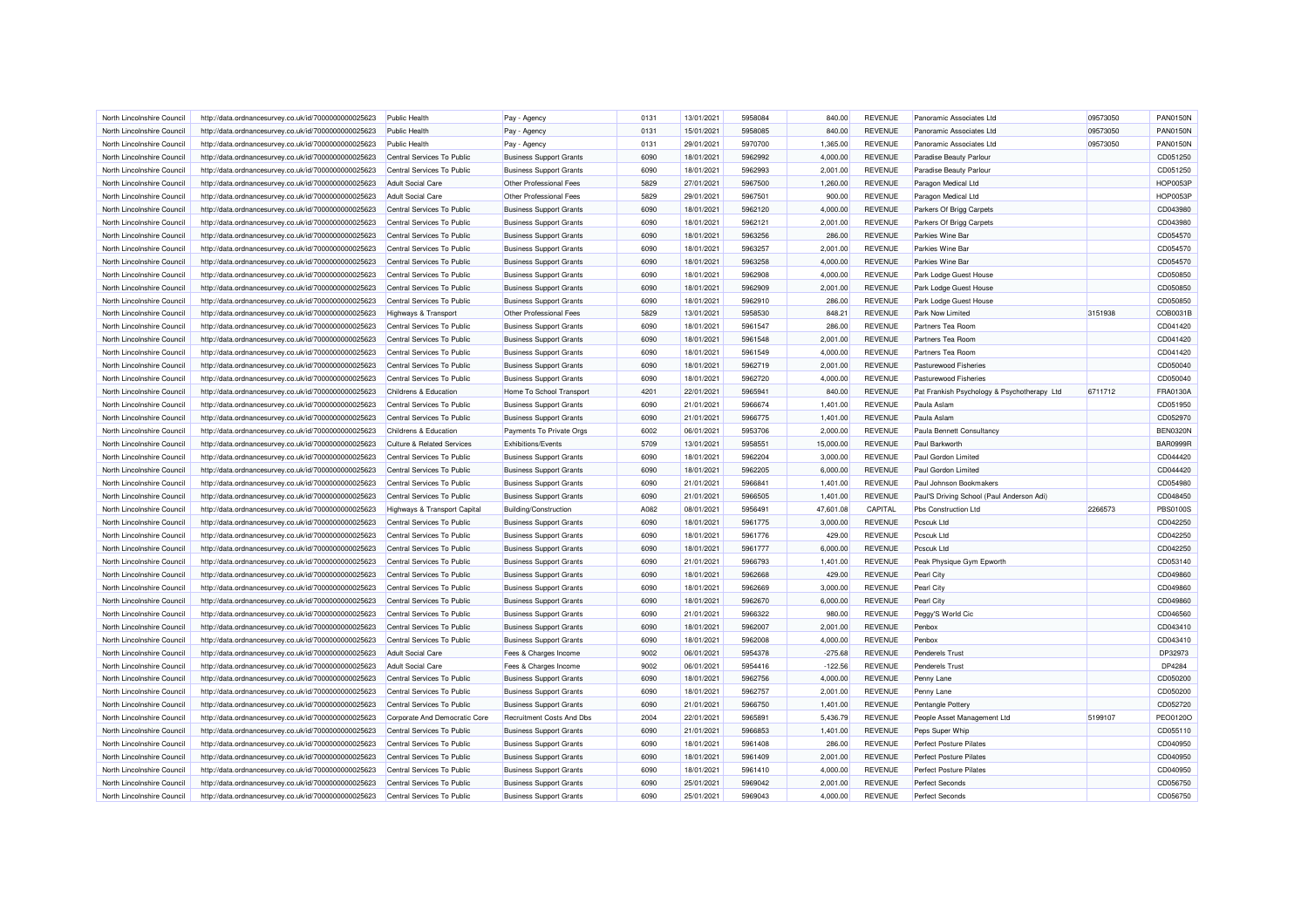| North Lincolnshire Council | http://data.ordnancesurvey.co.uk/id/7000000000025623 | Public Health                   | Pay - Agency                   | 0131 | 13/01/2021 | 5958084 | 840.00    | <b>REVENUE</b> | Panoramic Associates Ltd                    | 09573050 | <b>PAN0150N</b> |
|----------------------------|------------------------------------------------------|---------------------------------|--------------------------------|------|------------|---------|-----------|----------------|---------------------------------------------|----------|-----------------|
| North Lincolnshire Council | http://data.ordnancesurvey.co.uk/id/7000000000025623 | <b>Public Health</b>            | Pay - Agency                   | 0131 | 15/01/2021 | 5958085 | 840.00    | <b>REVENUE</b> | Panoramic Associates Ltd                    | 09573050 | <b>PAN0150N</b> |
| North Lincolnshire Council | http://data.ordnancesurvey.co.uk/id/7000000000025623 | <b>Public Health</b>            | Pay - Agency                   | 0131 | 29/01/2021 | 5970700 | 1,365.00  | <b>REVENUE</b> | Panoramic Associates Ltd                    | 09573050 | <b>PAN0150N</b> |
| North Lincolnshire Council | http://data.ordnancesurvey.co.uk/id/7000000000025623 | Central Services To Public      | <b>Business Support Grants</b> | 6090 | 18/01/2021 | 5962992 | 4,000.00  | <b>REVENUE</b> | Paradise Beauty Parlour                     |          | CD051250        |
| North Lincolnshire Council | http://data.ordnancesurvey.co.uk/id/7000000000025623 | Central Services To Public      | <b>Business Support Grants</b> | 6090 | 18/01/2021 | 5962993 | 2,001.00  | <b>REVENUE</b> | Paradise Beauty Parlour                     |          | CD051250        |
| North Lincolnshire Council | http://data.ordnancesurvey.co.uk/id/7000000000025623 | <b>Adult Social Care</b>        | Other Professional Fees        | 5829 | 27/01/2021 | 5967500 | 1,260.00  | <b>REVENUE</b> | Paragon Medical Ltd                         |          | <b>HOP0053P</b> |
| North Lincolnshire Council | http://data.ordnancesurvey.co.uk/id/7000000000025623 | <b>Adult Social Care</b>        | Other Professional Fees        | 5829 | 29/01/2021 | 5967501 | 900.00    | <b>REVENUE</b> | Paragon Medical Ltd                         |          | <b>HOP0053F</b> |
| North Lincolnshire Council | http://data.ordnancesurvey.co.uk/id/7000000000025623 | Central Services To Public      | <b>Business Support Grants</b> | 6090 | 18/01/2021 | 5962120 | 4,000.00  | <b>REVENUE</b> | Parkers Of Brigg Carpets                    |          | CD043980        |
| North Lincolnshire Council | http://data.ordnancesurvey.co.uk/id/7000000000025623 | Central Services To Public      | <b>Business Support Grants</b> | 6090 | 18/01/2021 | 5962121 | 2,001.00  | <b>REVENUE</b> | Parkers Of Brigg Carpets                    |          | CD043980        |
| North Lincolnshire Council | http://data.ordnancesurvey.co.uk/id/7000000000025623 | Central Services To Public      | <b>Business Support Grants</b> | 6090 | 18/01/2021 | 5963256 | 286.00    | <b>REVENUE</b> | Parkies Wine Bar                            |          | CD054570        |
| North Lincolnshire Council | http://data.ordnancesurvey.co.uk/id/7000000000025623 | Central Services To Public      | <b>Business Support Grants</b> | 6090 | 18/01/2021 | 5963257 | 2,001.00  | <b>REVENUE</b> | Parkies Wine Bar                            |          | CD054570        |
| North Lincolnshire Council | http://data.ordnancesurvey.co.uk/id/7000000000025623 | Central Services To Public      | <b>Business Support Grants</b> | 6090 | 18/01/2021 | 5963258 | 4,000.00  | <b>REVENUE</b> | Parkies Wine Bar                            |          | CD054570        |
| North Lincolnshire Council | http://data.ordnancesurvey.co.uk/id/7000000000025623 | Central Services To Public      | <b>Business Support Grants</b> | 6090 | 18/01/2021 | 5962908 | 4,000.00  | <b>REVENUE</b> | Park Lodge Guest House                      |          | CD050850        |
| North Lincolnshire Council | http://data.ordnancesurvey.co.uk/id/7000000000025623 | Central Services To Public      | <b>Business Support Grants</b> | 6090 | 18/01/2021 | 5962909 | 2,001.00  | <b>REVENUE</b> | Park Lodge Guest House                      |          | CD050850        |
| North Lincolnshire Council | http://data.ordnancesurvey.co.uk/id/7000000000025623 | Central Services To Public      | <b>Business Support Grants</b> | 6090 | 18/01/2021 | 5962910 | 286.00    | <b>REVENUE</b> | Park Lodge Guest House                      |          | CD050850        |
| North Lincolnshire Council | http://data.ordnancesurvey.co.uk/id/7000000000025623 | <b>Highways &amp; Transport</b> | Other Professional Fees        | 5829 | 13/01/2021 | 5958530 | 848.21    | <b>REVENUE</b> | Park Now Limited                            | 3151938  | COB0031B        |
| North Lincolnshire Council |                                                      | Central Services To Public      | <b>Business Support Grants</b> | 6090 | 18/01/2021 | 5961547 | 286.00    | <b>REVENUE</b> | Partners Tea Room                           |          | CD041420        |
|                            | http://data.ordnancesurvey.co.uk/id/7000000000025623 |                                 |                                | 6090 | 18/01/2021 | 5961548 | 2,001.00  | <b>REVENUE</b> | Partners Tea Room                           |          | CD041420        |
| North Lincolnshire Council | http://data.ordnancesurvey.co.uk/id/7000000000025623 | Central Services To Public      | <b>Business Support Grants</b> |      |            |         |           |                |                                             |          |                 |
| North Lincolnshire Council | http://data.ordnancesurvey.co.uk/id/7000000000025623 | Central Services To Public      | <b>Business Support Grants</b> | 6090 | 18/01/2021 | 5961549 | 4,000.00  | <b>REVENUE</b> | Partners Tea Room                           |          | CD041420        |
| North Lincolnshire Council | http://data.ordnancesurvey.co.uk/id/7000000000025623 | Central Services To Public      | <b>Business Support Grants</b> | 6090 | 18/01/2021 | 5962719 | 2,001.00  | <b>REVENUE</b> | Pasturewood Fisheries                       |          | CD050040        |
| North Lincolnshire Council | http://data.ordnancesurvey.co.uk/id/7000000000025623 | Central Services To Public      | <b>Business Support Grants</b> | 6090 | 18/01/2021 | 5962720 | 4,000.00  | <b>REVENUE</b> | <b>Pasturewood Fisheries</b>                |          | CD050040        |
| North Lincolnshire Council | http://data.ordnancesurvey.co.uk/id/7000000000025623 | Childrens & Education           | Home To School Transport       | 4201 | 22/01/2021 | 5965941 | 840.00    | <b>REVENUE</b> | Pat Frankish Psychology & Psychotherapy Ltd | 6711712  | FRA0130A        |
| North Lincolnshire Council | http://data.ordnancesurvey.co.uk/id/7000000000025623 | Central Services To Public      | <b>Business Support Grants</b> | 6090 | 21/01/2021 | 5966674 | 1.401.00  | <b>REVENUE</b> | Paula Aslam                                 |          | CD051950        |
| North Lincolnshire Council | http://data.ordnancesurvey.co.uk/id/7000000000025623 | Central Services To Public      | <b>Business Support Grants</b> | 6090 | 21/01/2021 | 5966775 | 1,401.00  | <b>REVENUE</b> | Paula Aslam                                 |          | CD052970        |
| North Lincolnshire Council | http://data.ordnancesurvey.co.uk/id/7000000000025623 | Childrens & Education           | Payments To Private Orgs       | 6002 | 06/01/2021 | 5953706 | 2,000.00  | <b>REVENUE</b> | Paula Bennett Consultancy                   |          | <b>BEN0320N</b> |
| North Lincolnshire Council | http://data.ordnancesurvey.co.uk/id/7000000000025623 | Culture & Related Services      | Exhibitions/Events             | 5709 | 13/01/2021 | 5958551 | 15,000.00 | <b>REVENUE</b> | Paul Barkworth                              |          | <b>BAR0999R</b> |
| North Lincolnshire Council | http://data.ordnancesurvey.co.uk/id/7000000000025623 | Central Services To Public      | <b>Business Support Grants</b> | 6090 | 18/01/2021 | 5962204 | 3,000.00  | <b>REVENUE</b> | Paul Gordon Limited                         |          | CD044420        |
| North Lincolnshire Council | http://data.ordnancesurvey.co.uk/id/7000000000025623 | Central Services To Public      | <b>Business Support Grants</b> | 6090 | 18/01/2021 | 5962205 | 6,000.00  | <b>REVENUE</b> | Paul Gordon Limited                         |          | CD044420        |
| North Lincolnshire Council | http://data.ordnancesurvey.co.uk/id/7000000000025623 | Central Services To Public      | <b>Business Support Grants</b> | 6090 | 21/01/2021 | 5966841 | 1,401.00  | <b>REVENUE</b> | Paul Johnson Bookmakers                     |          | CD054980        |
| North Lincolnshire Council | http://data.ordnancesurvey.co.uk/id/7000000000025623 | Central Services To Public      | <b>Business Support Grants</b> | 6090 | 21/01/2021 | 5966505 | 1,401.00  | <b>REVENUE</b> | Paul'S Driving School (Paul Anderson Adi)   |          | CD048450        |
| North Lincolnshire Council | http://data.ordnancesurvey.co.uk/id/7000000000025623 | Highways & Transport Capital    | <b>Building/Construction</b>   | A082 | 08/01/2021 | 5956491 | 47,601.08 | CAPITAL        | Pbs Construction Ltd                        | 2266573  | <b>PBS0100S</b> |
| North Lincolnshire Council | http://data.ordnancesurvey.co.uk/id/7000000000025623 | Central Services To Public      | <b>Business Support Grants</b> | 6090 | 18/01/2021 | 5961775 | 3,000.00  | <b>REVENUE</b> | Pcscuk Ltd                                  |          | CD042250        |
| North Lincolnshire Council | http://data.ordnancesurvey.co.uk/id/7000000000025623 | Central Services To Public      | <b>Business Support Grants</b> | 6090 | 18/01/2021 | 5961776 | 429.00    | <b>REVENUE</b> | Pcscuk Ltd                                  |          | CD042250        |
| North Lincolnshire Council | http://data.ordnancesurvey.co.uk/id/7000000000025623 | Central Services To Public      | <b>Business Support Grants</b> | 6090 | 18/01/2021 | 5961777 | 6,000.00  | <b>REVENUE</b> | Pcscuk Ltd                                  |          | CD042250        |
| North Lincolnshire Council | http://data.ordnancesurvey.co.uk/id/7000000000025623 | Central Services To Public      | <b>Business Support Grants</b> | 6090 | 21/01/2021 | 5966793 | 1,401.00  | <b>REVENUE</b> | Peak Physique Gym Epworth                   |          | CD053140        |
| North Lincolnshire Council | http://data.ordnancesurvey.co.uk/id/7000000000025623 | Central Services To Public      | <b>Business Support Grants</b> | 6090 | 18/01/2021 | 5962668 | 429.00    | <b>REVENUE</b> | Pearl City                                  |          | CD049860        |
| North Lincolnshire Council | http://data.ordnancesurvey.co.uk/id/7000000000025623 | Central Services To Public      | <b>Business Support Grants</b> | 6090 | 18/01/2021 | 5962669 | 3,000.00  | <b>REVENUE</b> | Pearl City                                  |          | CD049860        |
| North Lincolnshire Council | http://data.ordnancesurvey.co.uk/id/7000000000025623 | Central Services To Public      | <b>Business Support Grants</b> | 6090 | 18/01/2021 | 5962670 | 6,000.00  | REVENUE        | Pearl City                                  |          | CD049860        |
| North Lincolnshire Council | http://data.ordnancesurvey.co.uk/id/7000000000025623 | Central Services To Public      | <b>Business Support Grants</b> | 6090 | 21/01/2021 | 5966322 | 980.00    | <b>REVENUE</b> | Peggy'S World Cic                           |          | CD046560        |
| North Lincolnshire Council | http://data.ordnancesurvey.co.uk/id/7000000000025623 | Central Services To Public      | <b>Business Support Grants</b> | 6090 | 18/01/2021 | 5962007 | 2,001.00  | <b>REVENUE</b> | Penbox                                      |          | CD043410        |
| North Lincolnshire Council | http://data.ordnancesurvey.co.uk/id/7000000000025623 | Central Services To Public      | <b>Business Support Grants</b> | 6090 | 18/01/2021 | 5962008 | 4,000.00  | <b>REVENUE</b> | Penbox                                      |          | CD043410        |
| North Lincolnshire Council | http://data.ordnancesurvey.co.uk/id/7000000000025623 | Adult Social Care               | Fees & Charges Income          | 9002 | 06/01/2021 | 5954378 | $-275.68$ | <b>REVENUE</b> | <b>Penderels Trust</b>                      |          | DP32973         |
| North Lincolnshire Council | http://data.ordnancesurvey.co.uk/id/7000000000025623 | <b>Adult Social Care</b>        | Fees & Charges Income          | 9002 | 06/01/2021 | 5954416 | $-122.56$ | <b>REVENUE</b> | <b>Penderels Trust</b>                      |          | DP4284          |
| North Lincolnshire Council | http://data.ordnancesurvey.co.uk/id/7000000000025623 | Central Services To Public      | <b>Business Support Grants</b> | 6090 | 18/01/2021 | 5962756 | 4,000.00  | <b>REVENUE</b> | Penny Lane                                  |          | CD050200        |
| North Lincolnshire Council | http://data.ordnancesurvey.co.uk/id/7000000000025623 | Central Services To Public      | <b>Business Support Grants</b> | 6090 | 18/01/2021 | 5962757 | 2,001.00  | <b>REVENUE</b> | Penny Lane                                  |          | CD050200        |
| North Lincolnshire Council | http://data.ordnancesurvey.co.uk/id/7000000000025623 | Central Services To Public      | <b>Business Support Grants</b> | 6090 | 21/01/2021 | 5966750 | 1,401.00  | <b>REVENUE</b> | <b>Pentangle Pottery</b>                    |          | CD052720        |
| North Lincolnshire Council | http://data.ordnancesurvey.co.uk/id/7000000000025623 | Corporate And Democratic Core   | Recruitment Costs And Dbs      | 2004 | 22/01/2021 | 5965891 | 5,436.79  | <b>REVENUE</b> | People Asset Management Ltd                 | 5199107  | PEO0120O        |
| North Lincolnshire Council | http://data.ordnancesurvey.co.uk/id/7000000000025623 | Central Services To Public      | <b>Business Support Grants</b> | 6090 | 21/01/2021 | 5966853 | 1,401.00  | <b>REVENUE</b> | Peps Super Whip                             |          | CD055110        |
| North Lincolnshire Council | http://data.ordnancesurvey.co.uk/id/7000000000025623 | Central Services To Public      | <b>Business Support Grants</b> | 6090 | 18/01/2021 | 5961408 | 286.00    | <b>REVENUE</b> | <b>Perfect Posture Pilates</b>              |          | CD040950        |
| North Lincolnshire Council | http://data.ordnancesurvey.co.uk/id/7000000000025623 | Central Services To Public      | <b>Business Support Grants</b> | 6090 | 18/01/2021 | 5961409 | 2,001.00  | <b>REVENUE</b> | <b>Perfect Posture Pilates</b>              |          | CD040950        |
| North Lincolnshire Council | http://data.ordnancesurvey.co.uk/id/7000000000025623 | Central Services To Public      | <b>Business Support Grants</b> | 6090 | 18/01/2021 | 5961410 | 4,000.00  | <b>REVENUE</b> | <b>Perfect Posture Pilates</b>              |          | CD040950        |
| North Lincolnshire Council | http://data.ordnancesurvey.co.uk/id/7000000000025623 | Central Services To Public      | <b>Business Support Grants</b> | 6090 | 25/01/2021 | 5969042 | 2,001.00  | <b>REVENUE</b> | <b>Perfect Seconds</b>                      |          | CD056750        |
| North Lincolnshire Council | http://data.ordnancesurvey.co.uk/id/7000000000025623 | Central Services To Public      | <b>Business Support Grants</b> | 6090 | 25/01/2021 | 5969043 | 4,000.00  | <b>REVENUE</b> | <b>Perfect Seconds</b>                      |          | CD056750        |
|                            |                                                      |                                 |                                |      |            |         |           |                |                                             |          |                 |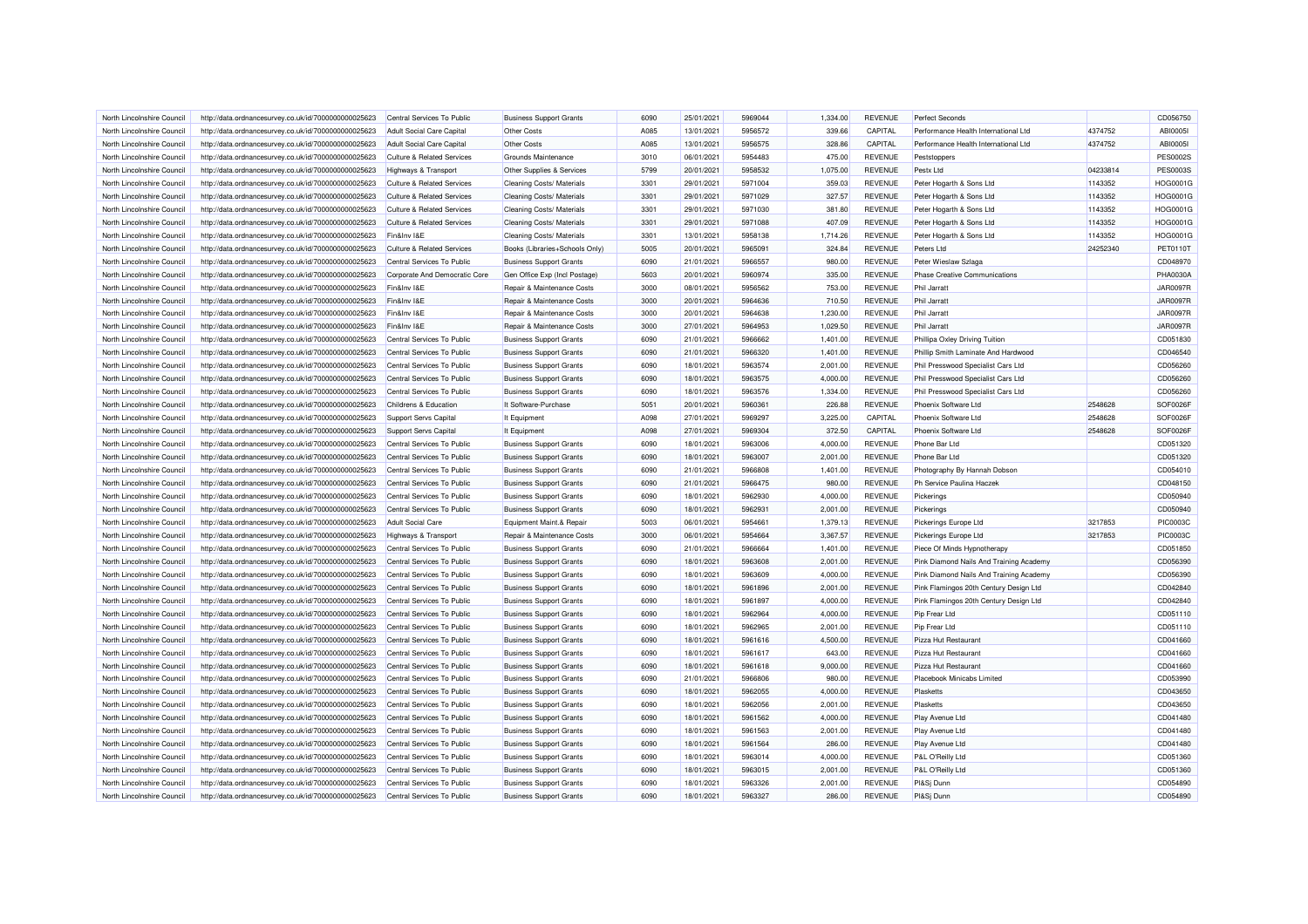| North Lincolnshire Council                               | http://data.ordnancesurvey.co.uk/id/7000000000025623                                                         | Central Services To Public                               | <b>Business Support Grants</b>                                   | 6090 | 25/01/2021               | 5969044            | 1,334.00           | <b>REVENUE</b>                   | <b>Perfect Seconds</b>                       |          | CD056750             |
|----------------------------------------------------------|--------------------------------------------------------------------------------------------------------------|----------------------------------------------------------|------------------------------------------------------------------|------|--------------------------|--------------------|--------------------|----------------------------------|----------------------------------------------|----------|----------------------|
| North Lincolnshire Council                               | http://data.ordnancesurvey.co.uk/id/7000000000025623                                                         | Adult Social Care Capital                                | Other Costs                                                      | A085 | 13/01/2021               | 5956572            | 339.66             | CAPITAL                          | Performance Health International Ltd         | 4374752  | ABI00051             |
| North Lincolnshire Council                               | http://data.ordnancesurvey.co.uk/id/7000000000025623                                                         | Adult Social Care Capital                                | Other Costs                                                      | A085 | 13/01/2021               | 5956575            | 328.86             | CAPITAL                          | Performance Health International Ltd         | 4374752  | ABI00051             |
| North Lincolnshire Council                               | http://data.ordnancesurvey.co.uk/id/7000000000025623                                                         | <b>Culture &amp; Related Services</b>                    | Grounds Maintenance                                              | 3010 | 06/01/2021               | 5954483            | 475.00             | <b>REVENUE</b>                   | Peststoppers                                 |          | <b>PES0002S</b>      |
| North Lincolnshire Council                               | http://data.ordnancesurvey.co.uk/id/7000000000025623                                                         | Highways & Transport                                     | Other Supplies & Services                                        | 5799 | 20/01/2021               | 5958532            | 1,075.00           | <b>REVENUE</b>                   | Pestx Ltd                                    | 04233814 | <b>PES0003S</b>      |
| North Lincolnshire Council                               | http://data.ordnancesurvey.co.uk/id/7000000000025623                                                         | <b>Culture &amp; Related Services</b>                    | <b>Cleaning Costs/ Materials</b>                                 | 3301 | 29/01/2021               | 5971004            | 359.03             | <b>REVENUE</b>                   | Peter Hogarth & Sons Ltd                     | 1143352  | <b>HOG0001G</b>      |
| North Lincolnshire Council                               | http://data.ordnancesurvey.co.uk/id/7000000000025623                                                         | <b>Culture &amp; Related Services</b>                    | Cleaning Costs/ Materials                                        | 3301 | 29/01/2021               | 5971029            | 327.57             | <b>REVENUE</b>                   | Peter Hogarth & Sons Ltd                     | 1143352  | HOG0001G             |
| North Lincolnshire Council                               | http://data.ordnancesurvey.co.uk/id/7000000000025623                                                         | Culture & Related Services                               | Cleaning Costs/ Materials                                        | 3301 | 29/01/2021               | 5971030            | 381.80             | <b>REVENUE</b>                   | Peter Hogarth & Sons Ltd                     | 1143352  | <b>HOG0001G</b>      |
| North Lincolnshire Council                               | http://data.ordnancesurvey.co.uk/id/7000000000025623                                                         | <b>Culture &amp; Related Services</b>                    | Cleaning Costs/ Materials                                        | 3301 | 29/01/2021               | 5971088            | 407.09             | REVENUE                          | Peter Hogarth & Sons Ltd                     | 1143352  | HOG0001G             |
| North Lincolnshire Council                               | http://data.ordnancesurvey.co.uk/id/7000000000025623                                                         | Fin&Inv I&E                                              | Cleaning Costs/ Materials                                        | 3301 | 13/01/2021               | 5958138            | 1,714.26           | <b>REVENUE</b>                   | Peter Hogarth & Sons Ltd                     | 1143352  | HOG0001G             |
| North Lincolnshire Council                               | http://data.ordnancesurvey.co.uk/id/7000000000025623                                                         | <b>Culture &amp; Related Services</b>                    | Books (Libraries+Schools Only)                                   | 5005 | 20/01/2021               | 5965091            | 324.84             | <b>REVENUE</b>                   | Peters Ltd                                   | 24252340 | PET01101             |
| North Lincolnshire Council                               | http://data.ordnancesurvey.co.uk/id/7000000000025623                                                         | Central Services To Public                               | <b>Business Support Grants</b>                                   | 6090 | 21/01/2021               | 5966557            | 980.00             | <b>REVENUE</b>                   | Peter Wieslaw Szlaga                         |          | CD048970             |
| North Lincolnshire Council                               | http://data.ordnancesurvey.co.uk/id/7000000000025623                                                         | Corporate And Democratic Core                            | Gen Office Exp (Incl Postage)                                    | 5603 | 20/01/2021               | 5960974            | 335.00             | <b>REVENUE</b>                   | <b>Phase Creative Communications</b>         |          | <b>PHA0030A</b>      |
| North Lincolnshire Council                               | http://data.ordnancesurvey.co.uk/id/7000000000025623                                                         | Fin&Inv I&E                                              | Repair & Maintenance Costs                                       | 3000 | 08/01/2021               | 5956562            | 753.00             | <b>REVENUE</b>                   | Phil Jarratt                                 |          | <b>JAR0097R</b>      |
| North Lincolnshire Council                               | http://data.ordnancesurvey.co.uk/id/7000000000025623                                                         | Fin&Inv I&E                                              | Repair & Maintenance Costs                                       | 3000 | 20/01/2021               | 5964636            | 710.50             | <b>REVENUE</b>                   | <b>Phil Jarratt</b>                          |          | <b>JAR0097R</b>      |
| North Lincolnshire Council                               | http://data.ordnancesurvey.co.uk/id/7000000000025623                                                         | Fin&Inv I&E                                              | Repair & Maintenance Costs                                       | 3000 | 20/01/2021               | 5964638            | 1,230.00           | <b>REVENUE</b>                   | Phil Jarratt                                 |          | <b>JAR0097R</b>      |
| North Lincolnshire Council                               | http://data.ordnancesurvey.co.uk/id/7000000000025623                                                         | Fin&Inv I&E                                              | Repair & Maintenance Costs                                       | 3000 | 27/01/2021               | 5964953            | 1,029.50           | <b>REVENUE</b>                   | <b>Phil Jarratt</b>                          |          | <b>JAR0097R</b>      |
| North Lincolnshire Council                               | http://data.ordnancesurvey.co.uk/id/7000000000025623                                                         | Central Services To Public                               | <b>Business Support Grants</b>                                   | 6090 | 21/01/2021               | 5966662            | 1,401.00           | <b>REVENUE</b>                   | Phillipa Oxley Driving Tuition               |          | CD051830             |
| North Lincolnshire Council                               | http://data.ordnancesurvey.co.uk/id/7000000000025623                                                         | Central Services To Public                               | <b>Business Support Grants</b>                                   | 6090 | 21/01/2021               | 5966320            | 1,401.00           | <b>REVENUE</b>                   | Phillip Smith Laminate And Hardwood          |          | CD046540             |
| North Lincolnshire Council                               | http://data.ordnancesurvey.co.uk/id/7000000000025623                                                         | Central Services To Public                               | <b>Business Support Grants</b>                                   | 6090 | 18/01/2021               | 5963574            | 2,001.00           | <b>REVENUE</b>                   | Phil Presswood Specialist Cars Ltd           |          | CD056260             |
| North Lincolnshire Council                               | http://data.ordnancesurvey.co.uk/id/7000000000025623                                                         | Central Services To Public                               | <b>Business Support Grants</b>                                   | 6090 | 18/01/2021               | 5963575            | 4,000.00           | <b>REVENUE</b>                   | Phil Presswood Specialist Cars Ltd           |          | CD056260             |
| North Lincolnshire Council                               | http://data.ordnancesurvey.co.uk/id/7000000000025623                                                         | Central Services To Public                               | <b>Business Support Grants</b>                                   | 6090 | 18/01/2021               | 5963576            | 1,334.00           | <b>REVENUE</b>                   | Phil Presswood Specialist Cars Ltd           |          | CD056260             |
| North Lincolnshire Council                               | http://data.ordnancesurvey.co.uk/id/7000000000025623                                                         | Childrens & Education                                    | It Software-Purchase                                             | 5051 | 20/01/2021               | 5960361            | 226.88             | <b>REVENUE</b>                   | Phoenix Software Ltd                         | 2548628  | SOF0026F             |
| North Lincolnshire Council                               | http://data.ordnancesurvey.co.uk/id/7000000000025623                                                         | Support Servs Capital                                    | It Equipment                                                     | A098 | 27/01/2021               | 5969297            | 3,225.00           | CAPITAL                          | Phoenix Software Ltd                         | 2548628  | SOF0026F             |
| North Lincolnshire Council                               | http://data.ordnancesurvey.co.uk/id/7000000000025623                                                         | Support Servs Capital                                    | It Equipment                                                     | A098 | 27/01/2021               | 5969304            | 372.50             | CAPITAL                          | Phoenix Software Ltd                         | 2548628  | SOF0026F             |
| North Lincolnshire Council                               | http://data.ordnancesurvey.co.uk/id/7000000000025623                                                         | Central Services To Public                               | <b>Business Support Grants</b>                                   | 6090 | 18/01/2021               | 5963006            | 4,000.00           | <b>REVENUE</b>                   | Phone Bar Ltd                                |          | CD051320             |
| North Lincolnshire Council                               | http://data.ordnancesurvey.co.uk/id/7000000000025623                                                         | Central Services To Public                               | <b>Business Support Grants</b>                                   | 6090 | 18/01/2021               | 5963007            | 2,001.00           | <b>REVENUE</b>                   | Phone Bar Ltd                                |          | CD051320             |
| North Lincolnshire Council                               | http://data.ordnancesurvey.co.uk/id/7000000000025623                                                         | Central Services To Public                               | <b>Business Support Grants</b>                                   | 6090 | 21/01/2021               | 5966808            | 1,401.00           | <b>REVENUE</b>                   | Photography By Hannah Dobson                 |          | CD054010             |
| North Lincolnshire Council                               | http://data.ordnancesurvey.co.uk/id/7000000000025623                                                         | Central Services To Public                               | <b>Business Support Grants</b>                                   | 6090 | 21/01/2021               | 5966475            | 980.00             | <b>REVENUE</b>                   | Ph Service Paulina Haczek                    |          | CD048150             |
| North Lincolnshire Council                               | http://data.ordnancesurvey.co.uk/id/7000000000025623                                                         | Central Services To Public                               | <b>Business Support Grants</b>                                   | 6090 | 18/01/2021               | 5962930            | 4,000.00           | <b>REVENUE</b>                   | Pickerings                                   |          | CD050940             |
| North Lincolnshire Council                               | http://data.ordnancesurvey.co.uk/id/7000000000025623                                                         | Central Services To Public                               | <b>Business Support Grants</b>                                   | 6090 | 18/01/2021               | 5962931            | 2,001.00           | <b>REVENUE</b>                   | Pickerings                                   |          | CD050940             |
| North Lincolnshire Council                               | http://data.ordnancesurvey.co.uk/id/7000000000025623                                                         | <b>Adult Social Care</b>                                 | Equipment Maint.& Repair                                         | 5003 | 06/01/2021               | 5954661            | 1,379.13           | <b>REVENUE</b>                   | Pickerings Europe Ltd                        | 3217853  | <b>PIC0003C</b>      |
| North Lincolnshire Council                               | http://data.ordnancesurvey.co.uk/id/7000000000025623                                                         | Highways & Transport                                     | Repair & Maintenance Costs                                       | 3000 | 06/01/2021               | 5954664            | 3,367.57           | <b>REVENUE</b>                   | Pickerings Europe Ltd                        | 3217853  | <b>PIC0003C</b>      |
| North Lincolnshire Council                               | http://data.ordnancesurvey.co.uk/id/7000000000025623                                                         | Central Services To Public                               | <b>Business Support Grants</b>                                   | 6090 | 21/01/2021               | 5966664            | 1,401.00           | <b>REVENUE</b>                   | Piece Of Minds Hypnotherapy                  |          | CD051850             |
|                                                          |                                                                                                              | Central Services To Public                               | <b>Business Support Grants</b>                                   | 6090 | 18/01/2021               | 5963608            | 2,001.00           | <b>REVENUE</b>                   | Pink Diamond Nails And Training Academy      |          | CD056390             |
| North Lincolnshire Council<br>North Lincolnshire Council | http://data.ordnancesurvey.co.uk/id/7000000000025623<br>http://data.ordnancesurvey.co.uk/id/7000000000025623 | Central Services To Public                               | <b>Business Support Grants</b>                                   | 6090 | 18/01/2021               | 5963609            | 4,000.00           | <b>REVENUE</b>                   | Pink Diamond Nails And Training Academy      |          | CD056390             |
| North Lincolnshire Council                               | http://data.ordnancesurvey.co.uk/id/7000000000025623                                                         | Central Services To Public                               | <b>Business Support Grants</b>                                   | 6090 | 18/01/2021               | 5961896            | 2,001.00           | <b>REVENUE</b>                   | Pink Flamingos 20th Century Design Ltd       |          | CD042840             |
| North Lincolnshire Council                               | http://data.ordnancesurvey.co.uk/id/7000000000025623                                                         | Central Services To Public                               | <b>Business Support Grants</b>                                   | 6090 | 18/01/2021               | 5961897            | 4,000.00           | <b>REVENUE</b>                   | Pink Flamingos 20th Century Design Ltd       |          | CD042840             |
| North Lincolnshire Council                               |                                                                                                              | Central Services To Public                               |                                                                  | 6090 | 18/01/2021               | 5962964            | 4,000.00           | <b>REVENUE</b>                   | Pip Frear Ltd                                |          | CD051110             |
| North Lincolnshire Council                               | http://data.ordnancesurvey.co.uk/id/7000000000025623                                                         | Central Services To Public                               | <b>Business Support Grants</b>                                   | 6090 | 18/01/2021               | 5962965            | 2,001.00           | <b>REVENUE</b>                   | Pip Frear Ltd                                |          | CD051110             |
|                                                          | http://data.ordnancesurvey.co.uk/id/7000000000025623                                                         |                                                          | <b>Business Support Grants</b>                                   | 6090 |                          |                    |                    |                                  |                                              |          |                      |
| North Lincolnshire Council<br>North Lincolnshire Council | http://data.ordnancesurvey.co.uk/id/7000000000025623<br>http://data.ordnancesurvey.co.uk/id/7000000000025623 | Central Services To Public<br>Central Services To Public | <b>Business Support Grants</b><br><b>Business Support Grants</b> | 6090 | 18/01/2021<br>18/01/2021 | 5961616<br>5961617 | 4,500.00<br>643.00 | <b>REVENUE</b><br><b>REVENUE</b> | Pizza Hut Restaurant<br>Pizza Hut Restaurant |          | CD041660<br>CD041660 |
|                                                          |                                                                                                              |                                                          |                                                                  | 6090 |                          | 5961618            | 9,000.00           | <b>REVENUE</b>                   | Pizza Hut Restaurant                         |          | CD041660             |
| North Lincolnshire Council<br>North Lincolnshire Council | http://data.ordnancesurvey.co.uk/id/7000000000025623                                                         | Central Services To Public<br>Central Services To Public | <b>Business Support Grants</b>                                   | 6090 | 18/01/2021               | 5966806            |                    | <b>REVENUE</b>                   | Placebook Minicabs Limited                   |          | CD053990             |
|                                                          | http://data.ordnancesurvey.co.uk/id/7000000000025623                                                         |                                                          | <b>Business Support Grants</b>                                   |      | 21/01/2021               |                    | 980.00             |                                  |                                              |          |                      |
| North Lincolnshire Council                               | http://data.ordnancesurvey.co.uk/id/7000000000025623                                                         | Central Services To Public                               | <b>Business Support Grants</b>                                   | 6090 | 18/01/2021               | 5962055            | 4,000.00           | <b>REVENUE</b>                   | Plasketts                                    |          | CD043650             |
| North Lincolnshire Council                               | http://data.ordnancesurvey.co.uk/id/7000000000025623                                                         | Central Services To Public                               | <b>Business Support Grants</b>                                   | 6090 | 18/01/2021               | 5962056            | 2,001.00           | <b>REVENUE</b>                   | Plasketts                                    |          | CD043650             |
| North Lincolnshire Council                               | http://data.ordnancesurvey.co.uk/id/7000000000025623                                                         | Central Services To Public                               | <b>Business Support Grants</b>                                   | 6090 | 18/01/2021               | 5961562            | 4,000.00           | <b>REVENUE</b>                   | Play Avenue Ltd                              |          | CD041480             |
| North Lincolnshire Council                               | http://data.ordnancesurvey.co.uk/id/7000000000025623                                                         | Central Services To Public                               | <b>Business Support Grants</b>                                   | 6090 | 18/01/2021               | 5961563            | 2,001.00           | <b>REVENUE</b>                   | Play Avenue Ltd                              |          | CD041480             |
| North Lincolnshire Council                               | http://data.ordnancesurvey.co.uk/id/7000000000025623                                                         | Central Services To Public                               | <b>Business Support Grants</b>                                   | 6090 | 18/01/2021               | 5961564            | 286.00             | <b>REVENUE</b>                   | Play Avenue Ltd                              |          | CD041480             |
| North Lincolnshire Council                               | http://data.ordnancesurvey.co.uk/id/7000000000025623                                                         | Central Services To Public                               | <b>Business Support Grants</b>                                   | 6090 | 18/01/2021               | 5963014            | 4,000.00           | <b>REVENUE</b>                   | P&L O'Reilly Ltd                             |          | CD051360             |
| North Lincolnshire Council                               | http://data.ordnancesurvey.co.uk/id/7000000000025623                                                         | Central Services To Public                               | <b>Business Support Grants</b>                                   | 6090 | 18/01/2021               | 5963015            | 2,001.00           | <b>REVENUE</b>                   | P&L O'Reilly Ltd                             |          | CD051360             |
| North Lincolnshire Council                               | http://data.ordnancesurvey.co.uk/id/7000000000025623                                                         | Central Services To Public                               | <b>Business Support Grants</b>                                   | 6090 | 18/01/2021               | 5963326            | 2,001.00           | REVENUE                          | PI&Sj Dunn                                   |          | CD054890             |
| North Lincolnshire Council                               | http://data.ordnancesurvey.co.uk/id/7000000000025623                                                         | Central Services To Public                               | <b>Business Support Grants</b>                                   | 6090 | 18/01/2021               | 5963327            | 286.00             | <b>REVENUE</b>                   | PI&Sj Dunn                                   |          | CD054890             |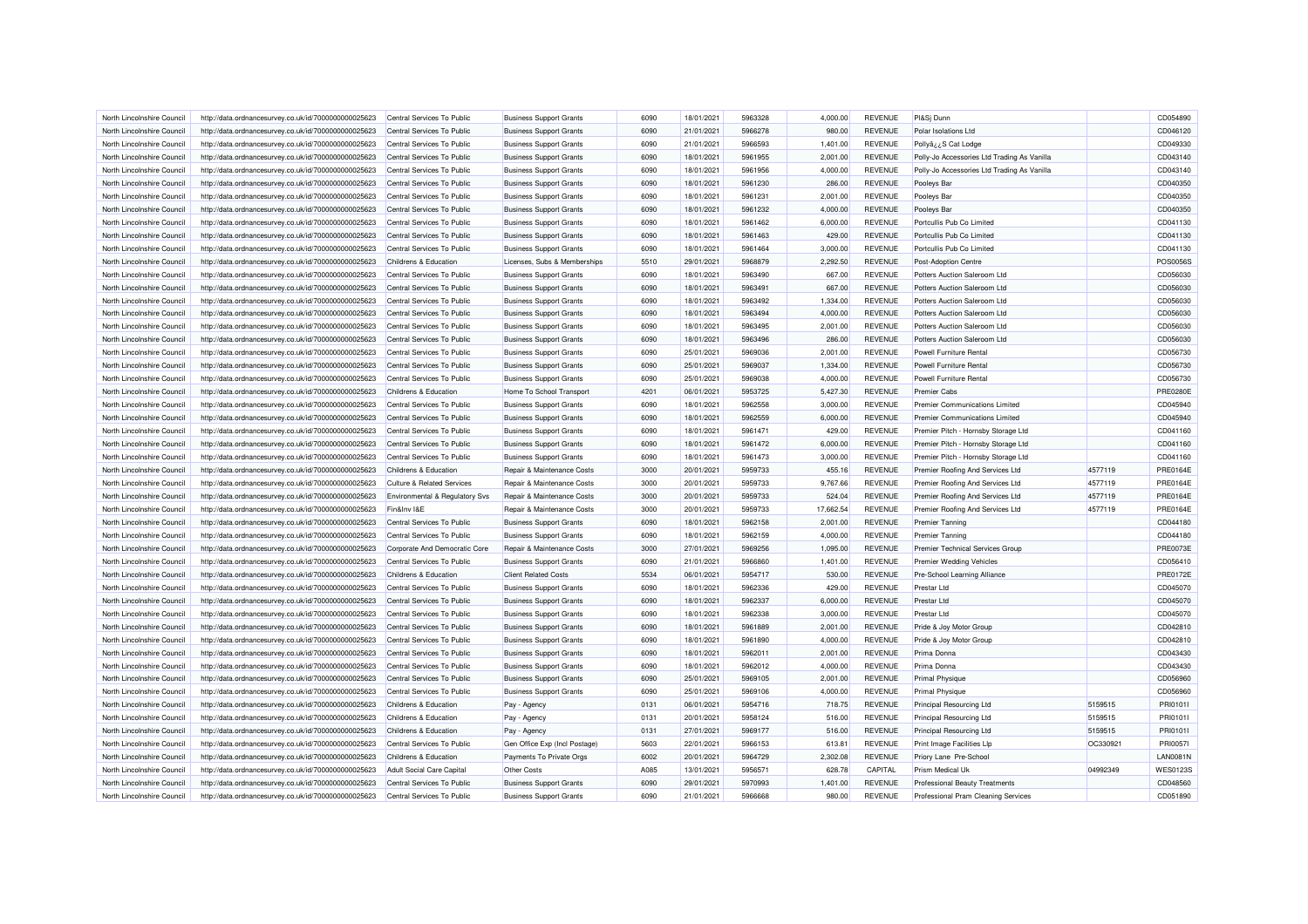| North Lincolnshire Council | http://data.ordnancesurvey.co.uk/id/7000000000025623 | Central Services To Public            | <b>Business Support Grants</b> | 6090 | 18/01/2021 | 5963328 | 4,000.00  | <b>REVENUE</b> | PI&Sj Dunn                                  |          | CD054890        |
|----------------------------|------------------------------------------------------|---------------------------------------|--------------------------------|------|------------|---------|-----------|----------------|---------------------------------------------|----------|-----------------|
| North Lincolnshire Council | http://data.ordnancesurvey.co.uk/id/7000000000025623 | Central Services To Public            | <b>Business Support Grants</b> | 6090 | 21/01/2021 | 5966278 | 980.00    | <b>REVENUE</b> | Polar Isolations Ltd                        |          | CD046120        |
| North Lincolnshire Council | http://data.ordnancesurvey.co.uk/id/7000000000025623 | Central Services To Public            | <b>Business Support Grants</b> | 6090 | 21/01/2021 | 5966593 | 1,401.00  | <b>REVENUE</b> | PollyâzzS Cat Lodge                         |          | CD049330        |
| North Lincolnshire Council | http://data.ordnancesurvey.co.uk/id/7000000000025623 | Central Services To Public            | <b>Business Support Grants</b> | 6090 | 18/01/2021 | 5961955 | 2,001.00  | <b>REVENUE</b> | Polly-Jo Accessories Ltd Trading As Vanilla |          | CD043140        |
| North Lincolnshire Council | http://data.ordnancesurvey.co.uk/id/7000000000025623 | Central Services To Public            | <b>Business Support Grants</b> | 6090 | 18/01/2021 | 5961956 | 4,000.00  | <b>REVENUE</b> | Polly-Jo Accessories Ltd Trading As Vanilla |          | CD043140        |
| North Lincolnshire Council | http://data.ordnancesurvey.co.uk/id/7000000000025623 | Central Services To Public            | <b>Business Support Grants</b> | 6090 | 18/01/2021 | 5961230 | 286.00    | <b>REVENUE</b> | Pooleys Bar                                 |          | CD040350        |
| North Lincolnshire Council | http://data.ordnancesurvey.co.uk/id/7000000000025623 | Central Services To Public            | <b>Business Support Grants</b> | 6090 | 18/01/2021 | 5961231 | 2,001.00  | <b>REVENUE</b> | Pooleys Bar                                 |          | CD040350        |
| North Lincolnshire Council | http://data.ordnancesurvey.co.uk/id/7000000000025623 | Central Services To Public            | <b>Business Support Grants</b> | 6090 | 18/01/2021 | 5961232 | 4,000.00  | <b>REVENUE</b> | Pooleys Bar                                 |          | CD040350        |
| North Lincolnshire Council | http://data.ordnancesurvey.co.uk/id/7000000000025623 | Central Services To Public            | <b>Business Support Grants</b> | 6090 | 18/01/2021 | 5961462 | 6.000.00  | <b>REVENUE</b> | Portcullis Pub Co Limited                   |          | CD041130        |
| North Lincolnshire Council | http://data.ordnancesurvey.co.uk/id/7000000000025623 | Central Services To Public            | <b>Business Support Grants</b> | 6090 | 18/01/2021 | 5961463 | 429.00    | <b>REVENUE</b> | Portcullis Pub Co Limited                   |          | CD041130        |
| North Lincolnshire Council | http://data.ordnancesurvey.co.uk/id/7000000000025623 | Central Services To Public            | <b>Business Support Grants</b> | 6090 | 18/01/2021 | 5961464 | 3,000.00  | <b>REVENUE</b> | Portcullis Pub Co Limited                   |          | CD041130        |
| North Lincolnshire Council | http://data.ordnancesurvey.co.uk/id/7000000000025623 | Childrens & Education                 | Licenses, Subs & Memberships   | 5510 | 29/01/2021 | 5968879 | 2,292.50  | <b>REVENUE</b> | Post-Adoption Centre                        |          | <b>POS0056S</b> |
| North Lincolnshire Council | http://data.ordnancesurvey.co.uk/id/7000000000025623 | Central Services To Public            | <b>Business Support Grants</b> | 6090 | 18/01/2021 | 5963490 | 667.00    | <b>REVENUE</b> | Potters Auction Saleroom Ltd                |          | CD056030        |
| North Lincolnshire Council | http://data.ordnancesurvey.co.uk/id/7000000000025623 | Central Services To Public            | <b>Business Support Grants</b> | 6090 | 18/01/2021 | 5963491 | 667.00    | <b>REVENUE</b> | Potters Auction Saleroom Ltd                |          | CD056030        |
| North Lincolnshire Council | http://data.ordnancesurvey.co.uk/id/7000000000025623 | Central Services To Public            | <b>Business Support Grants</b> | 6090 | 18/01/2021 | 5963492 | 1,334.00  | <b>REVENUE</b> | Potters Auction Saleroom Ltd                |          | CD056030        |
| North Lincolnshire Council | http://data.ordnancesurvey.co.uk/id/7000000000025623 | Central Services To Public            | <b>Business Support Grants</b> | 6090 | 18/01/2021 | 5963494 | 4,000.00  | <b>REVENUE</b> | Potters Auction Saleroom I to               |          | CD056030        |
| North Lincolnshire Council | http://data.ordnancesurvey.co.uk/id/7000000000025623 | Central Services To Public            | <b>Business Support Grants</b> | 6090 | 18/01/2021 | 5963495 | 2,001.00  | <b>REVENUE</b> | Potters Auction Saleroom Ltd                |          | CD056030        |
| North Lincolnshire Council |                                                      | Central Services To Public            |                                | 6090 | 18/01/2021 | 5963496 | 286.00    | <b>REVENUE</b> | Potters Auction Saleroom Ltd                |          | CD056030        |
|                            | http://data.ordnancesurvey.co.uk/id/7000000000025623 |                                       | <b>Business Support Grants</b> |      |            |         |           |                |                                             |          |                 |
| North Lincolnshire Council | http://data.ordnancesurvey.co.uk/id/7000000000025623 | Central Services To Public            | <b>Business Support Grants</b> | 6090 | 25/01/2021 | 5969036 | 2,001.00  | <b>REVENUE</b> | <b>Powell Furniture Rental</b>              |          | CD056730        |
| North Lincolnshire Council | http://data.ordnancesurvey.co.uk/id/7000000000025623 | Central Services To Public            | <b>Business Support Grants</b> | 6090 | 25/01/2021 | 5969037 | 1,334.00  | <b>REVENUE</b> | <b>Powell Furniture Rental</b>              |          | CD056730        |
| North Lincolnshire Council | http://data.ordnancesurvey.co.uk/id/7000000000025623 | Central Services To Public            | <b>Business Support Grants</b> | 6090 | 25/01/2021 | 5969038 | 4,000.00  | <b>REVENUE</b> | Powell Furniture Renta                      |          | CD056730        |
| North Lincolnshire Council | http://data.ordnancesurvey.co.uk/id/7000000000025623 | Childrens & Education                 | Home To School Transport       | 4201 | 06/01/2021 | 5953725 | 5,427.30  | <b>REVENUE</b> | <b>Premier Cabs</b>                         |          | <b>PRE0280E</b> |
| North Lincolnshire Council | http://data.ordnancesurvey.co.uk/id/7000000000025623 | Central Services To Public            | <b>Business Support Grants</b> | 6090 | 18/01/2021 | 5962558 | 3,000.00  | <b>REVENUE</b> | Premier Communications Limited              |          | CD045940        |
| North Lincolnshire Council | http://data.ordnancesurvey.co.uk/id/7000000000025623 | Central Services To Public            | <b>Business Support Grants</b> | 6090 | 18/01/2021 | 5962559 | 6,000.00  | <b>REVENUE</b> | Premier Communications Limited              |          | CD045940        |
| North Lincolnshire Council | http://data.ordnancesurvey.co.uk/id/7000000000025623 | Central Services To Public            | <b>Business Support Grants</b> | 6090 | 18/01/2021 | 5961471 | 429.00    | <b>REVENUE</b> | Premier Pitch - Hornsby Storage Ltd         |          | CD041160        |
| North Lincolnshire Council | http://data.ordnancesurvey.co.uk/id/7000000000025623 | Central Services To Public            | <b>Business Support Grants</b> | 6090 | 18/01/2021 | 5961472 | 6,000.00  | <b>REVENUE</b> | Premier Pitch - Hornsby Storage Ltd         |          | CD041160        |
| North Lincolnshire Council | http://data.ordnancesurvey.co.uk/id/7000000000025623 | Central Services To Public            | <b>Business Support Grants</b> | 6090 | 18/01/2021 | 5961473 | 3,000.00  | <b>REVENUE</b> | Premier Pitch - Hornsby Storage Ltd         |          | CD041160        |
| North Lincolnshire Council | http://data.ordnancesurvey.co.uk/id/7000000000025623 | Childrens & Education                 | Repair & Maintenance Costs     | 3000 | 20/01/2021 | 5959733 | 455.16    | <b>REVENUE</b> | Premier Roofing And Services Ltd            | 4577119  | <b>PRE0164E</b> |
| North Lincolnshire Council | http://data.ordnancesurvey.co.uk/id/7000000000025623 | <b>Culture &amp; Related Services</b> | Repair & Maintenance Costs     | 3000 | 20/01/2021 | 5959733 | 9,767.66  | <b>REVENUE</b> | Premier Roofing And Services Ltd            | 4577119  | <b>PRE0164E</b> |
| North Lincolnshire Council | http://data.ordnancesurvey.co.uk/id/7000000000025623 | Environmental & Regulatory Svs        | Repair & Maintenance Costs     | 3000 | 20/01/2021 | 5959733 | 524.04    | <b>REVENUE</b> | Premier Roofing And Services Ltd            | 4577119  | PRE0164E        |
| North Lincolnshire Council | http://data.ordnancesurvey.co.uk/id/7000000000025623 | Fin&Inv I&E                           | Repair & Maintenance Costs     | 3000 | 20/01/2021 | 5959733 | 17,662.54 | <b>REVENUE</b> | Premier Roofing And Services Ltd            | 4577119  | <b>PRE0164E</b> |
| North Lincolnshire Council | http://data.ordnancesurvey.co.uk/id/7000000000025623 | Central Services To Public            | <b>Business Support Grants</b> | 6090 | 18/01/2021 | 5962158 | 2,001.00  | <b>REVENUE</b> | <b>Premier Tanning</b>                      |          | CD044180        |
| North Lincolnshire Council | http://data.ordnancesurvey.co.uk/id/7000000000025623 | Central Services To Public            | <b>Business Support Grants</b> | 6090 | 18/01/2021 | 5962159 | 4,000.00  | <b>REVENUE</b> | <b>Premier Tanning</b>                      |          | CD044180        |
| North Lincolnshire Council | http://data.ordnancesurvey.co.uk/id/7000000000025623 | Corporate And Democratic Core         | Repair & Maintenance Costs     | 3000 | 27/01/2021 | 5969256 | 1.095.00  | <b>REVENUE</b> | Premier Technical Services Group            |          | <b>PRE0073E</b> |
| North Lincolnshire Council | http://data.ordnancesurvey.co.uk/id/7000000000025623 | Central Services To Public            | <b>Business Support Grants</b> | 6090 | 21/01/2021 | 5966860 | 1,401.00  | <b>REVENUE</b> | <b>Premier Wedding Vehicles</b>             |          | CD056410        |
| North Lincolnshire Council | http://data.ordnancesurvey.co.uk/id/7000000000025623 | Childrens & Education                 | <b>Client Related Costs</b>    | 5534 | 06/01/2021 | 5954717 | 530.00    | <b>REVENUE</b> | Pre-School Learning Alliance                |          | PRE0172E        |
| North Lincolnshire Council | http://data.ordnancesurvey.co.uk/id/7000000000025623 | Central Services To Public            | <b>Business Support Grants</b> | 6090 | 18/01/2021 | 5962336 | 429.00    | <b>REVENUE</b> | Prestar Ltd                                 |          | CD045070        |
| North Lincolnshire Council | http://data.ordnancesurvey.co.uk/id/7000000000025623 | Central Services To Public            | <b>Business Support Grants</b> | 6090 | 18/01/2021 | 5962337 | 6,000.00  | <b>REVENUE</b> | Prestar Ltd                                 |          | CD045070        |
| North Lincolnshire Council | http://data.ordnancesurvey.co.uk/id/7000000000025623 | Central Services To Public            | <b>Business Support Grants</b> | 6090 | 18/01/2021 | 5962338 | 3,000.00  | <b>REVENUE</b> | Prestar Ltd                                 |          | CD045070        |
| North Lincolnshire Council | http://data.ordnancesurvey.co.uk/id/7000000000025623 | Central Services To Public            | <b>Business Support Grants</b> | 6090 | 18/01/2021 | 5961889 | 2,001.00  | <b>REVENUE</b> | Pride & Joy Motor Group                     |          | CD042810        |
| North Lincolnshire Council | http://data.ordnancesurvey.co.uk/id/7000000000025623 | Central Services To Public            | <b>Business Support Grants</b> | 6090 | 18/01/2021 | 5961890 | 4,000.00  | <b>REVENUE</b> | Pride & Joy Motor Group                     |          | CD042810        |
| North Lincolnshire Council | http://data.ordnancesurvey.co.uk/id/7000000000025623 | Central Services To Public            | <b>Business Support Grants</b> | 6090 | 18/01/2021 | 5962011 | 2,001.00  | <b>REVENUE</b> | Prima Donna                                 |          | CD043430        |
| North Lincolnshire Council | http://data.ordnancesurvey.co.uk/id/7000000000025623 | Central Services To Public            | <b>Business Support Grants</b> | 6090 | 18/01/2021 | 5962012 | 4,000.00  | <b>REVENUE</b> | Prima Donna                                 |          | CD043430        |
| North Lincolnshire Council | http://data.ordnancesurvey.co.uk/id/7000000000025623 | Central Services To Public            | <b>Business Support Grants</b> | 6090 | 25/01/2021 | 5969105 | 2,001.00  | <b>REVENUE</b> | <b>Primal Physique</b>                      |          | CD056960        |
| North Lincolnshire Council | http://data.ordnancesurvey.co.uk/id/7000000000025623 | Central Services To Public            | <b>Business Support Grants</b> | 6090 | 25/01/2021 | 5969106 | 4,000.00  | <b>REVENUE</b> | <b>Primal Physique</b>                      |          | CD056960        |
| North Lincolnshire Council | http://data.ordnancesurvey.co.uk/id/7000000000025623 | Childrens & Education                 | Pay - Agency                   | 0131 | 06/01/2021 | 5954716 | 718.75    | <b>REVENUE</b> | <b>Principal Resourcing Ltd</b>             | 5159515  | PRI0101         |
| North Lincolnshire Council | http://data.ordnancesurvey.co.uk/id/7000000000025623 | Childrens & Education                 | Pay - Agency                   | 0131 | 20/01/2021 | 5958124 | 516.00    | <b>REVENUE</b> | <b>Principal Resourcing Ltd</b>             | 5159515  | PRI0101         |
| North Lincolnshire Council | http://data.ordnancesurvey.co.uk/id/7000000000025623 | Childrens & Education                 | Pay - Agency                   | 0131 | 27/01/2021 | 5969177 | 516.00    | <b>REVENUE</b> | <b>Principal Resourcing Ltd</b>             | 5159515  | PRI01011        |
| North Lincolnshire Council | http://data.ordnancesurvey.co.uk/id/7000000000025623 | Central Services To Public            | Gen Office Exp (Incl Postage)  | 5603 | 22/01/2021 | 5966153 | 613.81    | <b>REVENUE</b> | Print Image Facilities Llp                  | OC330921 | <b>PRI00571</b> |
| North Lincolnshire Council | http://data.ordnancesurvey.co.uk/id/7000000000025623 | Childrens & Education                 | Payments To Private Orgs       | 6002 | 20/01/2021 | 5964729 | 2,302.08  | <b>REVENUE</b> | Priory Lane Pre-School                      |          | <b>LAN0081N</b> |
| North Lincolnshire Council | http://data.ordnancesurvey.co.uk/id/7000000000025623 | <b>Adult Social Care Capital</b>      | Other Costs                    | A085 | 13/01/2021 | 595657  | 628.78    | CAPITAL        | Prism Medical Uk                            | 04992349 | <b>WES0123S</b> |
| North Lincolnshire Council | http://data.ordnancesurvey.co.uk/id/7000000000025623 | Central Services To Public            | <b>Business Support Grants</b> | 6090 | 29/01/2021 | 5970993 | 1,401.00  | <b>REVENUE</b> | <b>Professional Beauty Treatments</b>       |          | CD048560        |
| North Lincolnshire Council | http://data.ordnancesurvey.co.uk/id/7000000000025623 | Central Services To Public            | <b>Business Support Grants</b> | 6090 | 21/01/2021 | 5966668 | 980.00    | <b>REVENUE</b> | Professional Pram Cleaning Services         |          | CD051890        |
|                            |                                                      |                                       |                                |      |            |         |           |                |                                             |          |                 |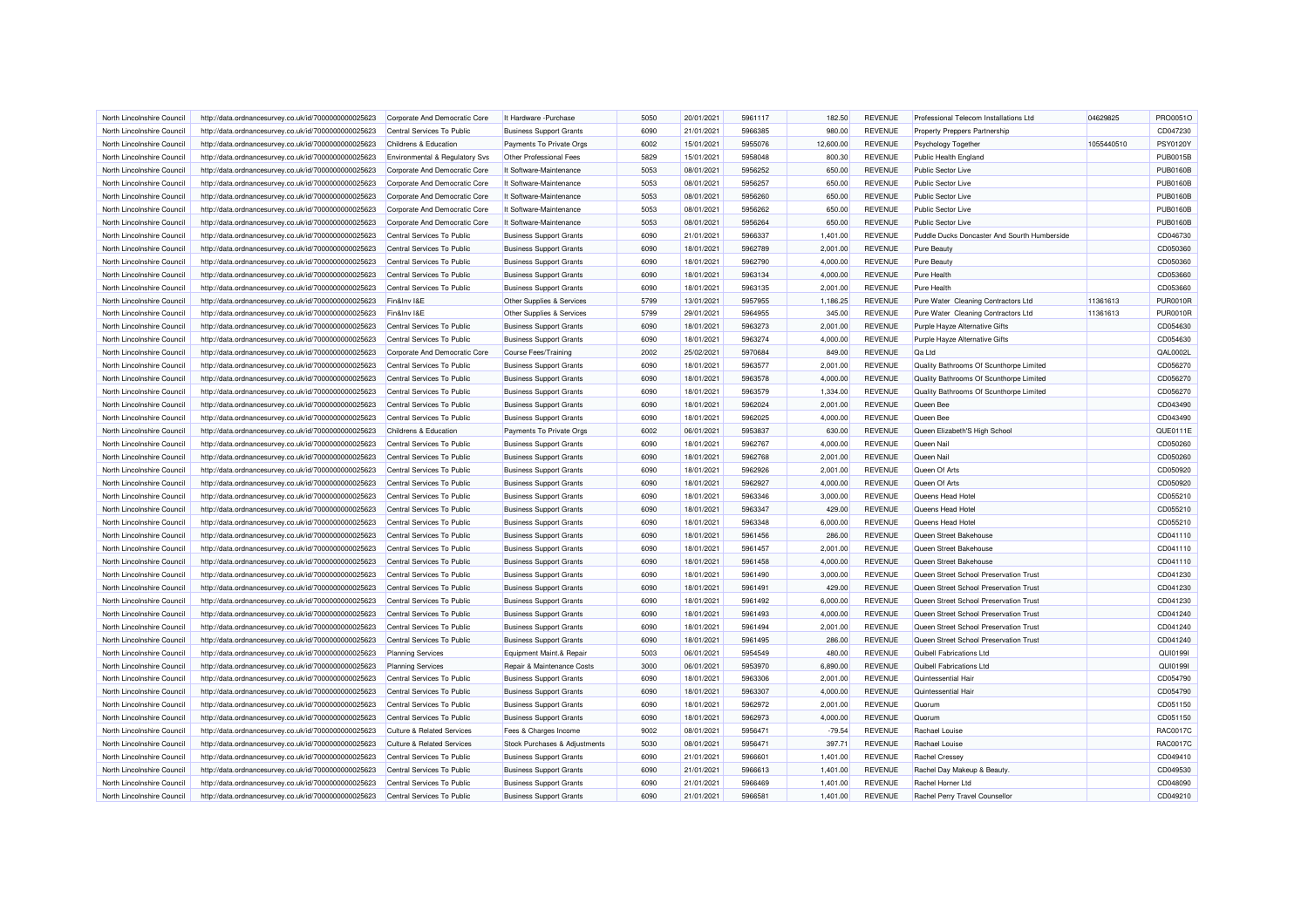| North Lincolnshire Council                               | http://data.ordnancesurvey.co.uk/id/7000000000025623                                                         | Corporate And Democratic Core                            | It Hardware - Purchase                                           | 5050         | 20/01/2021               | 5961117            | 182.50               | <b>REVENUE</b>                   | Professional Telecom Installations Ltd                                           | 04629825   | PRO0051O             |
|----------------------------------------------------------|--------------------------------------------------------------------------------------------------------------|----------------------------------------------------------|------------------------------------------------------------------|--------------|--------------------------|--------------------|----------------------|----------------------------------|----------------------------------------------------------------------------------|------------|----------------------|
| North Lincolnshire Council                               | http://data.ordnancesurvey.co.uk/id/7000000000025623                                                         | Central Services To Public                               | <b>Business Support Grants</b>                                   | 6090         | 21/01/2021               | 5966385            | 980.00               | <b>REVENUE</b>                   | Property Preppers Partnership                                                    |            | CD047230             |
| North Lincolnshire Council                               | http://data.ordnancesurvey.co.uk/id/7000000000025623                                                         | Childrens & Education                                    | Payments To Private Orgs                                         | 6002         | 15/01/2021               | 5955076            | 12,600.00            | <b>REVENUE</b>                   | Psychology Together                                                              | 1055440510 | <b>PSY0120Y</b>      |
| North Lincolnshire Council                               | http://data.ordnancesurvey.co.uk/id/7000000000025623                                                         | Environmental & Regulatory Svs                           | Other Professional Fees                                          | 5829         | 15/01/2021               | 5958048            | 800.30               | <b>REVENUE</b>                   | <b>Public Health England</b>                                                     |            | <b>PUB0015B</b>      |
| North Lincolnshire Council                               | http://data.ordnancesurvey.co.uk/id/7000000000025623                                                         | Corporate And Democratic Core                            | It Software-Maintenance                                          | 5053         | 08/01/2021               | 5956252            | 650.00               | REVENUE                          | Public Sector Live                                                               |            | <b>PUB0160B</b>      |
| North Lincolnshire Council                               | http://data.ordnancesurvey.co.uk/id/7000000000025623                                                         | Corporate And Democratic Core                            | It Software-Maintenance                                          | 5053         | 08/01/2021               | 5956257            | 650.00               | <b>REVENUE</b>                   | Public Sector Live                                                               |            | <b>PUB0160B</b>      |
| North Lincolnshire Council                               | http://data.ordnancesurvey.co.uk/id/7000000000025623                                                         | Corporate And Democratic Core                            | It Software-Maintenance                                          | 5053         | 08/01/2021               | 5956260            | 650.00               | <b>REVENUE</b>                   | Public Sector Live                                                               |            | <b>PUB0160B</b>      |
| North Lincolnshire Council                               | http://data.ordnancesurvey.co.uk/id/7000000000025623                                                         | Corporate And Democratic Core                            | It Software-Maintenance                                          | 5053         | 08/01/2021               | 5956262            | 650.00               | <b>REVENUE</b>                   | <b>Public Sector Live</b>                                                        |            | <b>PUB0160E</b>      |
| North Lincolnshire Council                               | http://data.ordnancesurvey.co.uk/id/7000000000025623                                                         | Corporate And Democratic Core                            | It Software-Maintenance                                          | 5053         | 08/01/2021               | 5956264            | 650.00               | <b>REVENUE</b>                   | <b>Public Sector Live</b>                                                        |            | <b>PUB0160B</b>      |
| North Lincolnshire Council                               | http://data.ordnancesurvey.co.uk/id/7000000000025623                                                         | Central Services To Public                               | <b>Business Support Grants</b>                                   | 6090         | 21/01/2021               | 5966337            | 1,401.00             | <b>REVENUE</b>                   | Puddle Ducks Doncaster And Sourth Humberside                                     |            | CD046730             |
| North Lincolnshire Council                               | http://data.ordnancesurvey.co.uk/id/7000000000025623                                                         | Central Services To Public                               | <b>Business Support Grants</b>                                   | 6090         | 18/01/2021               | 5962789            | 2,001.00             | <b>REVENUE</b>                   | Pure Beauty                                                                      |            | CD050360             |
| North Lincolnshire Council                               | http://data.ordnancesurvey.co.uk/id/7000000000025623                                                         | Central Services To Public                               | <b>Business Support Grants</b>                                   | 6090         | 18/01/2021               | 5962790            | 4,000.00             | <b>REVENUE</b>                   | Pure Beauty                                                                      |            | CD050360             |
| North Lincolnshire Council                               | http://data.ordnancesurvey.co.uk/id/7000000000025623                                                         | Central Services To Public                               | <b>Business Support Grants</b>                                   | 6090         | 18/01/2021               | 5963134            | 4,000.00             | <b>REVENUE</b>                   | <b>Pure Health</b>                                                               |            | CD053660             |
| North Lincolnshire Council                               | http://data.ordnancesurvey.co.uk/id/7000000000025623                                                         | Central Services To Public                               | <b>Business Support Grants</b>                                   | 6090         | 18/01/2021               | 5963135            | 2,001.00             | <b>REVENUE</b>                   | <b>Pure Health</b>                                                               |            | CD053660             |
| North Lincolnshire Council                               | http://data.ordnancesurvey.co.uk/id/7000000000025623                                                         | Fin&Inv I&E                                              | Other Supplies & Services                                        | 5799         | 13/01/2021               | 5957955            | 1,186.25             | <b>REVENUE</b>                   | Pure Water Cleaning Contractors Ltd                                              | 11361613   | <b>PUR0010R</b>      |
| North Lincolnshire Council                               | http://data.ordnancesurvey.co.uk/id/7000000000025623                                                         | Fin&Inv I&E                                              | Other Supplies & Services                                        | 5799         | 29/01/2021               | 5964955            | 345.00               | <b>REVENUE</b>                   | Pure Water Cleaning Contractors Ltd                                              | 11361613   | <b>PUR0010R</b>      |
| North Lincolnshire Council                               | http://data.ordnancesurvey.co.uk/id/7000000000025623                                                         | Central Services To Public                               | <b>Business Support Grants</b>                                   | 6090         | 18/01/2021               | 5963273            | 2,001.00             | <b>REVENUE</b>                   | Purple Hayze Alternative Gifts                                                   |            | CD054630             |
| North Lincolnshire Council                               | http://data.ordnancesurvey.co.uk/id/7000000000025623                                                         | Central Services To Public                               | <b>Business Support Grants</b>                                   | 6090         | 18/01/2021               | 5963274            | 4,000.00             | <b>REVENUE</b>                   | Purple Hayze Alternative Gifts                                                   |            | CD054630             |
| North Lincolnshire Council                               | http://data.ordnancesurvey.co.uk/id/7000000000025623                                                         | Corporate And Democratic Core                            | Course Fees/Training                                             | 2002         | 25/02/2021               | 5970684            | 849.00               | <b>REVENUE</b>                   | Qa Ltd                                                                           |            | QAL0002L             |
| North Lincolnshire Council                               | http://data.ordnancesurvey.co.uk/id/7000000000025623                                                         | Central Services To Public                               | <b>Business Support Grants</b>                                   | 6090         | 18/01/2021               | 5963577            | 2,001.00             | REVENUE                          | Quality Bathrooms Of Scunthorpe Limited                                          |            | CD056270             |
| North Lincolnshire Council                               | http://data.ordnancesurvey.co.uk/id/7000000000025623                                                         | Central Services To Public                               | <b>Business Support Grants</b>                                   | 6090         | 18/01/2021               | 5963578            | 4,000.00             | <b>REVENUE</b>                   | Quality Bathrooms Of Scunthorpe Limited                                          |            | CD056270             |
| North Lincolnshire Council                               | http://data.ordnancesurvey.co.uk/id/7000000000025623                                                         | Central Services To Public                               | <b>Business Support Grants</b>                                   | 6090         | 18/01/2021               | 5963579            | 1,334.00             | <b>REVENUE</b>                   | Quality Bathrooms Of Scunthorpe Limited                                          |            | CD056270             |
| North Lincolnshire Council                               | http://data.ordnancesurvey.co.uk/id/7000000000025623                                                         | Central Services To Public                               | <b>Business Support Grants</b>                                   | 6090         | 18/01/2021               | 5962024            | 2,001.00             | <b>REVENUE</b>                   | Queen Bee                                                                        |            | CD043490             |
| North Lincolnshire Council                               | http://data.ordnancesurvey.co.uk/id/7000000000025623                                                         | Central Services To Public                               | <b>Business Support Grants</b>                                   | 6090         | 18/01/2021               | 5962025            | 4,000.00             | <b>REVENUE</b>                   | Queen Bee                                                                        |            | CD043490             |
| North Lincolnshire Council                               | http://data.ordnancesurvey.co.uk/id/7000000000025623                                                         | Childrens & Education                                    | Payments To Private Orgs                                         | 6002         | 06/01/2021               | 5953837            | 630.00               | <b>REVENUE</b>                   | Queen Elizabeth'S High School                                                    |            | QUE0111E             |
| North Lincolnshire Council                               |                                                                                                              | Central Services To Public                               |                                                                  | 6090         | 18/01/2021               | 5962767            | 4,000.00             | <b>REVENUE</b>                   | Queen Nai                                                                        |            | CD050260             |
| North Lincolnshire Council                               | http://data.ordnancesurvey.co.uk/id/7000000000025623<br>http://data.ordnancesurvey.co.uk/id/7000000000025623 | Central Services To Public                               | <b>Business Support Grants</b><br><b>Business Support Grants</b> | 6090         | 18/01/2021               | 5962768            | 2,001.00             | <b>REVENUE</b>                   | Queen Nail                                                                       |            | CD050260             |
| North Lincolnshire Council                               | http://data.ordnancesurvey.co.uk/id/7000000000025623                                                         | Central Services To Public                               | <b>Business Support Grants</b>                                   | 6090         | 18/01/2021               | 5962926            | 2,001.00             | <b>REVENUE</b>                   | Queen Of Arts                                                                    |            | CD050920             |
| North Lincolnshire Council                               | http://data.ordnancesurvey.co.uk/id/7000000000025623                                                         | Central Services To Public                               | <b>Business Support Grants</b>                                   | 6090         | 18/01/2021               | 5962927            | 4,000.00             | <b>REVENUE</b>                   | Queen Of Arts                                                                    |            | CD050920             |
| North Lincolnshire Council                               | http://data.ordnancesurvey.co.uk/id/7000000000025623                                                         | Central Services To Public                               | <b>Business Support Grants</b>                                   | 6090         | 18/01/2021               | 5963346            | 3,000.00             | <b>REVENUE</b>                   | Queens Head Hotel                                                                |            | CD055210             |
|                                                          |                                                                                                              | Central Services To Public                               | <b>Business Support Grants</b>                                   | 6090         | 18/01/2021               | 5963347            | 429.00               | <b>REVENUE</b>                   | Queens Head Hotel                                                                |            | CD055210             |
| North Lincolnshire Council<br>North Lincolnshire Council | http://data.ordnancesurvey.co.uk/id/7000000000025623<br>http://data.ordnancesurvey.co.uk/id/7000000000025623 | Central Services To Public                               | <b>Business Support Grants</b>                                   | 6090         | 18/01/2021               | 5963348            | 6.000.00             | <b>REVENUE</b>                   | Queens Head Hotel                                                                |            | CD055210             |
| North Lincolnshire Council                               | http://data.ordnancesurvey.co.uk/id/7000000000025623                                                         | Central Services To Public                               | <b>Business Support Grants</b>                                   | 6090         | 18/01/2021               | 5961456            | 286.00               | <b>REVENUE</b>                   | Queen Street Bakehouse                                                           |            | CD041110             |
| North Lincolnshire Council                               |                                                                                                              | Central Services To Public                               |                                                                  | 6090         | 18/01/2021               | 5961457            | 2,001.00             | <b>REVENUE</b>                   | Queen Street Bakehouse                                                           |            | CD041110             |
| North Lincolnshire Council                               | http://data.ordnancesurvey.co.uk/id/7000000000025623                                                         | Central Services To Public                               | <b>Business Support Grants</b>                                   | 6090         | 18/01/2021               | 5961458            | 4,000.00             | <b>REVENUE</b>                   | Queen Street Bakehouse                                                           |            | CD041110             |
|                                                          | http://data.ordnancesurvey.co.uk/id/7000000000025623                                                         |                                                          | <b>Business Support Grants</b>                                   |              |                          |                    |                      |                                  |                                                                                  |            |                      |
| North Lincolnshire Council                               | http://data.ordnancesurvey.co.uk/id/7000000000025623                                                         | Central Services To Public                               | <b>Business Support Grants</b>                                   | 6090         | 18/01/2021               | 5961490            | 3,000.00             | <b>REVENUE</b>                   | Queen Street School Preservation Trust                                           |            | CD041230             |
| North Lincolnshire Council<br>North Lincolnshire Council | http://data.ordnancesurvey.co.uk/id/7000000000025623<br>http://data.ordnancesurvey.co.uk/id/7000000000025623 | Central Services To Public<br>Central Services To Public | <b>Business Support Grants</b><br><b>Business Support Grants</b> | 6090<br>6090 | 18/01/2021<br>18/01/2021 | 5961491<br>5961492 | 429.00<br>6,000.00   | <b>REVENUE</b><br><b>REVENUE</b> | Queen Street School Preservation Trust<br>Queen Street School Preservation Trust |            | CD041230<br>CD041230 |
|                                                          |                                                                                                              |                                                          |                                                                  |              |                          |                    |                      |                                  |                                                                                  |            |                      |
| North Lincolnshire Council                               | http://data.ordnancesurvey.co.uk/id/7000000000025623                                                         | Central Services To Public<br>Central Services To Public | <b>Business Support Grants</b>                                   | 6090<br>6090 | 18/01/2021<br>18/01/2021 | 5961493<br>5961494 | 4,000.00<br>2,001.00 | <b>REVENUE</b><br><b>REVENUE</b> | Queen Street School Preservation Trust<br>Queen Street School Preservation Trust |            | CD041240<br>CD041240 |
| North Lincolnshire Council                               | http://data.ordnancesurvey.co.uk/id/7000000000025623                                                         |                                                          | <b>Business Support Grants</b>                                   |              |                          |                    |                      |                                  |                                                                                  |            |                      |
| North Lincolnshire Council                               | http://data.ordnancesurvey.co.uk/id/7000000000025623                                                         | Central Services To Public                               | <b>Business Support Grants</b>                                   | 6090         | 18/01/2021               | 5961495<br>5954549 | 286.00               | <b>REVENUE</b>                   | Queen Street School Preservation Trust                                           |            | CD041240             |
| North Lincolnshire Council<br>North Lincolnshire Council | http://data.ordnancesurvey.co.uk/id/7000000000025623<br>http://data.ordnancesurvey.co.uk/id/7000000000025623 | <b>Planning Services</b><br><b>Planning Services</b>     | Equipment Maint.& Repair<br>Repair & Maintenance Costs           | 5003<br>3000 | 06/01/2021<br>06/01/2021 | 5953970            | 480.00<br>6.890.00   | <b>REVENUE</b><br><b>REVENUE</b> | Quibell Fabrications Ltd<br>Quibell Fabrications Ltd                             |            | QUI01991<br>QUI01991 |
|                                                          |                                                                                                              |                                                          |                                                                  | 6090         |                          | 5963306            |                      |                                  | Quintessential Hair                                                              |            |                      |
| North Lincolnshire Council                               | http://data.ordnancesurvey.co.uk/id/7000000000025623                                                         | Central Services To Public                               | <b>Business Support Grants</b>                                   |              | 18/01/2021               |                    | 2,001.00             | <b>REVENUE</b>                   |                                                                                  |            | CD054790             |
| North Lincolnshire Council                               | http://data.ordnancesurvey.co.uk/id/7000000000025623                                                         | Central Services To Public                               | <b>Business Support Grants</b>                                   | 6090         | 18/01/2021               | 5963307            | 4,000.00             | <b>REVENUE</b>                   | Quintessential Hair                                                              |            | CD054790             |
| North Lincolnshire Council                               | http://data.ordnancesurvey.co.uk/id/7000000000025623                                                         | Central Services To Public                               | <b>Business Support Grants</b>                                   | 6090         | 18/01/2021               | 5962972            | 2,001.00             | <b>REVENUE</b>                   | Quorum                                                                           |            | CD051150             |
| North Lincolnshire Council                               | http://data.ordnancesurvey.co.uk/id/7000000000025623                                                         | Central Services To Public                               | <b>Business Support Grants</b>                                   | 6090         | 18/01/2021               | 5962973            | 4,000.00             | <b>REVENUE</b>                   | Quorum                                                                           |            | CD051150             |
| North Lincolnshire Council                               | http://data.ordnancesurvey.co.uk/id/7000000000025623                                                         | Culture & Related Services                               | Fees & Charges Income                                            | 9002         | 08/01/2021               | 5956471            | $-79.54$             | <b>REVENUE</b>                   | Rachael Louise                                                                   |            | RAC0017C             |
| North Lincolnshire Council                               | http://data.ordnancesurvey.co.uk/id/7000000000025623                                                         | <b>Culture &amp; Related Services</b>                    | Stock Purchases & Adjustments                                    | 5030         | 08/01/2021               | 5956471            | 397.71               | <b>REVENUE</b>                   | Rachael Louise                                                                   |            | RAC0017C             |
| North Lincolnshire Council                               | http://data.ordnancesurvey.co.uk/id/7000000000025623                                                         | Central Services To Public                               | <b>Business Support Grants</b>                                   | 6090         | 21/01/2021               | 5966601            | 1,401.00             | <b>REVENUE</b>                   | <b>Rachel Cressey</b>                                                            |            | CD049410             |
| North Lincolnshire Council                               | http://data.ordnancesurvey.co.uk/id/7000000000025623                                                         | Central Services To Public                               | <b>Business Support Grants</b>                                   | 6090         | 21/01/2021               | 5966613            | 1,401.00             | <b>REVENUE</b>                   | Rachel Day Makeup & Beauty                                                       |            | CD049530             |
| North Lincolnshire Council                               | http://data.ordnancesurvey.co.uk/id/7000000000025623                                                         | Central Services To Public                               | <b>Business Support Grants</b>                                   | 6090         | 21/01/2021               | 5966469            | 1,401.00             | <b>REVENUE</b>                   | Rachel Horner Ltd                                                                |            | CD048090             |
| North Lincolnshire Council                               | http://data.ordnancesurvey.co.uk/id/7000000000025623                                                         | Central Services To Public                               | <b>Business Support Grants</b>                                   | 6090         | 21/01/2021               | 5966581            | 1,401.00             | <b>REVENUE</b>                   | Rachel Perry Travel Counsellor                                                   |            | CD049210             |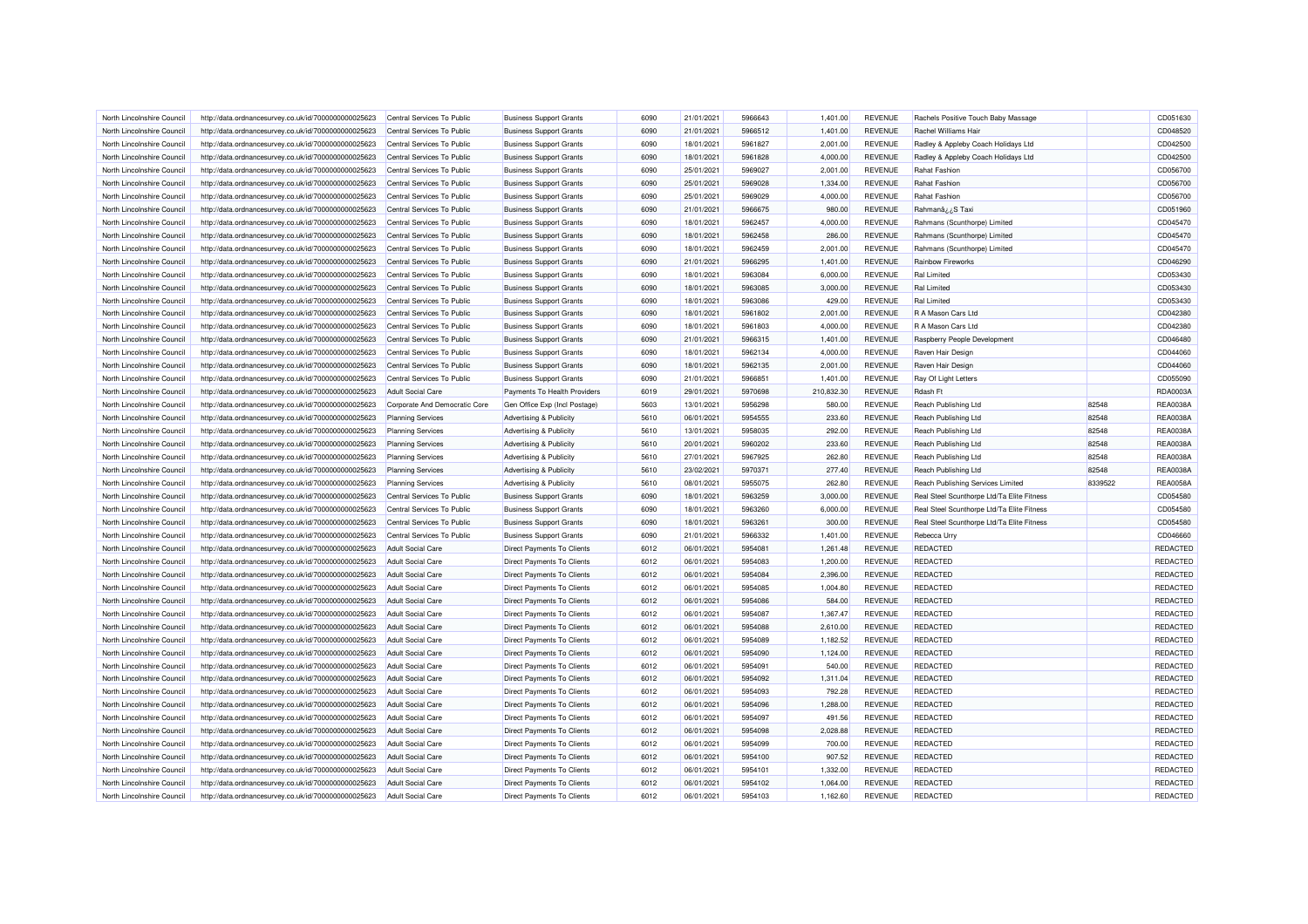| North Lincolnshire Council | http://data.ordnancesurvey.co.uk/id/7000000000025623 | Central Services To Public    | <b>Business Support Grants</b>    | 6090 | 21/01/2021 | 5966643 | 1,401.00   | <b>REVENUE</b> | Rachels Positive Touch Baby Massage        |         | CD051630        |
|----------------------------|------------------------------------------------------|-------------------------------|-----------------------------------|------|------------|---------|------------|----------------|--------------------------------------------|---------|-----------------|
| North Lincolnshire Council | http://data.ordnancesurvey.co.uk/id/7000000000025623 | Central Services To Public    | <b>Business Support Grants</b>    | 6090 | 21/01/2021 | 5966512 | 1,401.00   | <b>REVENUE</b> | Rachel Williams Hair                       |         | CD048520        |
| North Lincolnshire Council | http://data.ordnancesurvey.co.uk/id/7000000000025623 | Central Services To Public    | <b>Business Support Grants</b>    | 6090 | 18/01/2021 | 5961827 | 2,001.00   | <b>REVENUE</b> | Radley & Appleby Coach Holidays Ltd        |         | CD042500        |
| North Lincolnshire Council | http://data.ordnancesurvey.co.uk/id/7000000000025623 | Central Services To Public    | <b>Business Support Grants</b>    | 6090 | 18/01/2021 | 5961828 | 4,000.00   | <b>REVENUE</b> | Radley & Appleby Coach Holidays Ltd        |         | CD042500        |
| North Lincolnshire Council | http://data.ordnancesurvey.co.uk/id/7000000000025623 | Central Services To Public    | <b>Business Support Grants</b>    | 6090 | 25/01/2021 | 5969027 | 2,001.00   | <b>REVENUE</b> | Rahat Fashion                              |         | CD056700        |
| North Lincolnshire Council | http://data.ordnancesurvey.co.uk/id/7000000000025623 | Central Services To Public    | <b>Business Support Grants</b>    | 6090 | 25/01/2021 | 5969028 | 1,334.00   | <b>REVENUE</b> | <b>Rahat Fashion</b>                       |         | CD056700        |
| North Lincolnshire Council | http://data.ordnancesurvey.co.uk/id/7000000000025623 | Central Services To Public    | <b>Business Support Grants</b>    | 6090 | 25/01/2021 | 5969029 | 4,000.00   | <b>REVENUE</b> | <b>Rahat Fashion</b>                       |         | CD056700        |
| North Lincolnshire Council | http://data.ordnancesurvey.co.uk/id/7000000000025623 | Central Services To Public    | <b>Business Support Grants</b>    | 6090 | 21/01/2021 | 5966675 | 980.00     | <b>REVENUE</b> | Rahmanâ ¿¿S Taxi                           |         | CD051960        |
| North Lincolnshire Council | http://data.ordnancesurvey.co.uk/id/7000000000025623 | Central Services To Public    | <b>Business Support Grants</b>    | 6090 | 18/01/2021 | 5962457 | 4,000.00   | <b>REVENUE</b> | Rahmans (Scunthorpe) Limited               |         | CD045470        |
| North Lincolnshire Council | http://data.ordnancesurvey.co.uk/id/7000000000025623 | Central Services To Public    | <b>Business Support Grants</b>    | 6090 | 18/01/2021 | 5962458 | 286.00     | <b>REVENUE</b> | Rahmans (Scunthorpe) Limited               |         | CD045470        |
| North Lincolnshire Council | http://data.ordnancesurvey.co.uk/id/7000000000025623 | Central Services To Public    | <b>Business Support Grants</b>    | 6090 | 18/01/2021 | 5962459 | 2,001.00   | <b>REVENUE</b> | Rahmans (Scunthorpe) Limited               |         | CD045470        |
|                            |                                                      |                               |                                   |      |            |         |            |                |                                            |         |                 |
| North Lincolnshire Council | http://data.ordnancesurvey.co.uk/id/7000000000025623 | Central Services To Public    | <b>Business Support Grants</b>    | 6090 | 21/01/2021 | 5966295 | 1,401.00   | <b>REVENUE</b> | <b>Rainbow Fireworks</b>                   |         | CD046290        |
| North Lincolnshire Council | http://data.ordnancesurvey.co.uk/id/7000000000025623 | Central Services To Public    | <b>Business Support Grants</b>    | 6090 | 18/01/2021 | 5963084 | 6,000.00   | <b>REVENUE</b> | <b>Ral Limited</b>                         |         | CD053430        |
| North Lincolnshire Council | http://data.ordnancesurvey.co.uk/id/7000000000025623 | Central Services To Public    | <b>Business Support Grants</b>    | 6090 | 18/01/2021 | 5963085 | 3,000.00   | <b>REVENUE</b> | <b>Ral Limited</b>                         |         | CD053430        |
| North Lincolnshire Council | http://data.ordnancesurvey.co.uk/id/7000000000025623 | Central Services To Public    | <b>Business Support Grants</b>    | 6090 | 18/01/2021 | 5963086 | 429.00     | <b>REVENUE</b> | <b>Ral Limited</b>                         |         | CD053430        |
| North Lincolnshire Council | http://data.ordnancesurvey.co.uk/id/7000000000025623 | Central Services To Public    | <b>Business Support Grants</b>    | 6090 | 18/01/2021 | 5961802 | 2.001.00   | <b>REVENUE</b> | R A Mason Cars Ltd                         |         | CD042380        |
| North Lincolnshire Council | http://data.ordnancesurvey.co.uk/id/7000000000025623 | Central Services To Public    | <b>Business Support Grants</b>    | 6090 | 18/01/2021 | 5961803 | 4,000.00   | <b>REVENUE</b> | R A Mason Cars Ltd                         |         | CD042380        |
| North Lincolnshire Council | http://data.ordnancesurvey.co.uk/id/7000000000025623 | Central Services To Public    | <b>Business Support Grants</b>    | 6090 | 21/01/2021 | 5966315 | 1,401.00   | <b>REVENUE</b> | Raspberry People Development               |         | CD046480        |
| North Lincolnshire Council | http://data.ordnancesurvey.co.uk/id/7000000000025623 | Central Services To Public    | <b>Business Support Grants</b>    | 6090 | 18/01/2021 | 5962134 | 4,000.00   | <b>REVENUE</b> | Raven Hair Design                          |         | CD044060        |
| North Lincolnshire Council | http://data.ordnancesurvey.co.uk/id/7000000000025623 | Central Services To Public    | <b>Business Support Grants</b>    | 6090 | 18/01/2021 | 5962135 | 2,001.00   | <b>REVENUE</b> | Raven Hair Design                          |         | CD044060        |
| North Lincolnshire Council | http://data.ordnancesurvey.co.uk/id/7000000000025623 | Central Services To Public    | <b>Business Support Grants</b>    | 6090 | 21/01/2021 | 5966851 | 1,401.00   | <b>REVENUE</b> | Ray Of Light Letters                       |         | CD055090        |
| North Lincolnshire Council | http://data.ordnancesurvey.co.uk/id/7000000000025623 | <b>Adult Social Care</b>      | Payments To Health Providers      | 6019 | 29/01/2021 | 5970698 | 210,832.30 | <b>REVENUE</b> | Rdash Ft                                   |         | RDA0003A        |
| North Lincolnshire Council | http://data.ordnancesurvey.co.uk/id/7000000000025623 | Corporate And Democratic Core | Gen Office Exp (Incl Postage)     | 5603 | 13/01/2021 | 5956298 | 580.00     | <b>REVENUE</b> | Reach Publishing Ltd                       | 82548   | REA0038A        |
| North Lincolnshire Council | http://data.ordnancesurvey.co.uk/id/7000000000025623 | <b>Planning Services</b>      | Advertising & Publicity           | 5610 | 06/01/2021 | 5954555 | 233.60     | <b>REVENUE</b> | Reach Publishing Ltd                       | 82548   | REA0038A        |
| North Lincolnshire Council | http://data.ordnancesurvey.co.uk/id/7000000000025623 | <b>Planning Services</b>      | Advertising & Publicity           | 5610 | 13/01/2021 | 5958035 | 292.00     | <b>REVENUE</b> | Reach Publishing Ltd                       | 82548   | REA0038A        |
| North Lincolnshire Council | http://data.ordnancesurvey.co.uk/id/7000000000025623 | <b>Planning Services</b>      | Advertising & Publicity           | 5610 | 20/01/2021 | 5960202 | 233.60     | <b>REVENUE</b> | Reach Publishing Ltd                       | 82548   | REA0038A        |
| North Lincolnshire Council | http://data.ordnancesurvey.co.uk/id/7000000000025623 | <b>Planning Services</b>      | Advertising & Publicity           | 5610 | 27/01/2021 | 5967925 | 262.80     | <b>REVENUE</b> | Reach Publishing Ltd                       | 82548   | REA0038A        |
| North Lincolnshire Council | http://data.ordnancesurvey.co.uk/id/7000000000025623 | <b>Planning Services</b>      | Advertising & Publicity           | 5610 | 23/02/2021 | 5970371 | 277.40     | <b>REVENUE</b> | Reach Publishing Ltd                       | 82548   | REA0038A        |
| North Lincolnshire Council | http://data.ordnancesurvey.co.uk/id/7000000000025623 | <b>Planning Services</b>      | Advertising & Publicity           | 5610 | 08/01/2021 | 5955075 | 262.80     | <b>REVENUE</b> | Reach Publishing Services Limited          | 8339522 | REA0058/        |
| North Lincolnshire Council | http://data.ordnancesurvey.co.uk/id/7000000000025623 | Central Services To Public    | <b>Business Support Grants</b>    | 6090 | 18/01/2021 | 5963259 | 3,000.00   | <b>REVENUE</b> | Real Steel Scunthorpe Ltd/Ta Elite Fitness |         | CD054580        |
| North Lincolnshire Council | http://data.ordnancesurvey.co.uk/id/7000000000025623 | Central Services To Public    | <b>Business Support Grants</b>    | 6090 | 18/01/2021 | 5963260 | 6,000.00   | <b>REVENUE</b> | Real Steel Scunthorpe Ltd/Ta Elite Fitness |         | CD054580        |
| North Lincolnshire Council | http://data.ordnancesurvey.co.uk/id/7000000000025623 | Central Services To Public    | <b>Business Support Grants</b>    | 6090 | 18/01/2021 | 5963261 | 300.00     | <b>REVENUE</b> | Real Steel Scunthorpe Ltd/Ta Elite Fitness |         | CD054580        |
| North Lincolnshire Council | http://data.ordnancesurvey.co.uk/id/7000000000025623 | Central Services To Public    | <b>Business Support Grants</b>    | 6090 | 21/01/2021 | 5966332 | 1,401.00   | <b>REVENUE</b> | Rebecca Urry                               |         | CD046660        |
| North Lincolnshire Council | http://data.ordnancesurvey.co.uk/id/7000000000025623 | <b>Adult Social Care</b>      | <b>Direct Payments To Clients</b> | 6012 | 06/01/2021 | 5954081 | 1,261.48   | <b>REVENUE</b> | <b>REDACTED</b>                            |         | REDACTED        |
| North Lincolnshire Council | http://data.ordnancesurvey.co.uk/id/7000000000025623 | Adult Social Care             | Direct Payments To Clients        | 6012 | 06/01/2021 | 5954083 | 1,200.00   | <b>REVENUE</b> | <b>REDACTED</b>                            |         | REDACTED        |
|                            |                                                      |                               |                                   |      |            |         |            |                |                                            |         |                 |
| North Lincolnshire Counci  | http://data.ordnancesurvey.co.uk/id/7000000000025623 | <b>Adult Social Care</b>      | Direct Payments To Clients        | 6012 | 06/01/2021 | 5954084 | 2,396.00   | <b>REVENUE</b> | <b>REDACTED</b>                            |         | REDACTED        |
| North Lincolnshire Council | http://data.ordnancesurvey.co.uk/id/7000000000025623 | <b>Adult Social Care</b>      | Direct Payments To Clients        | 6012 | 06/01/2021 | 5954085 | 1,004.80   | REVENUE        | <b>REDACTED</b>                            |         | REDACTED        |
| North Lincolnshire Council | http://data.ordnancesurvey.co.uk/id/7000000000025623 | <b>Adult Social Care</b>      | Direct Payments To Clients        | 6012 | 06/01/2021 | 5954086 | 584.00     | <b>REVENUE</b> | <b>REDACTED</b>                            |         | REDACTED        |
| North Lincolnshire Council | http://data.ordnancesurvey.co.uk/id/7000000000025623 | <b>Adult Social Care</b>      | Direct Payments To Clients        | 6012 | 06/01/2021 | 5954087 | 1,367.47   | <b>REVENUE</b> | <b>REDACTED</b>                            |         | REDACTED        |
| North Lincolnshire Council | http://data.ordnancesurvey.co.uk/id/7000000000025623 | <b>Adult Social Care</b>      | Direct Payments To Clients        | 6012 | 06/01/2021 | 5954088 | 2,610.00   | <b>REVENUE</b> | <b>REDACTED</b>                            |         | REDACTED        |
| North Lincolnshire Council | http://data.ordnancesurvey.co.uk/id/7000000000025623 | <b>Adult Social Care</b>      | Direct Payments To Clients        | 6012 | 06/01/2021 | 5954089 | 1,182.52   | <b>REVENUE</b> | REDACTED                                   |         | <b>REDACTED</b> |
| North Lincolnshire Council | http://data.ordnancesurvey.co.uk/id/7000000000025623 | <b>Adult Social Care</b>      | Direct Payments To Clients        | 6012 | 06/01/2021 | 5954090 | 1,124.00   | <b>REVENUE</b> | <b>REDACTED</b>                            |         | REDACTED        |
| North Lincolnshire Council | http://data.ordnancesurvey.co.uk/id/7000000000025623 | <b>Adult Social Care</b>      | Direct Payments To Clients        | 6012 | 06/01/2021 | 5954091 | 540.00     | <b>REVENUE</b> | <b>REDACTED</b>                            |         | REDACTED        |
| North Lincolnshire Council | http://data.ordnancesurvey.co.uk/id/7000000000025623 | <b>Adult Social Care</b>      | Direct Payments To Clients        | 6012 | 06/01/2021 | 5954092 | 1,311.04   | <b>REVENUE</b> | <b>REDACTED</b>                            |         | REDACTED        |
| North Lincolnshire Council | http://data.ordnancesurvey.co.uk/id/7000000000025623 | <b>Adult Social Care</b>      | Direct Payments To Clients        | 6012 | 06/01/2021 | 5954093 | 792.28     | <b>REVENUE</b> | <b>REDACTED</b>                            |         | REDACTED        |
| North Lincolnshire Council | http://data.ordnancesurvey.co.uk/id/7000000000025623 | <b>Adult Social Care</b>      | <b>Direct Payments To Clients</b> | 6012 | 06/01/2021 | 5954096 | 1,288.00   | <b>REVENUE</b> | <b>REDACTED</b>                            |         | REDACTED        |
| North Lincolnshire Council | http://data.ordnancesurvey.co.uk/id/7000000000025623 | <b>Adult Social Care</b>      | <b>Direct Payments To Clients</b> | 6012 | 06/01/2021 | 5954097 | 491.56     | <b>REVENUE</b> | <b>REDACTED</b>                            |         | REDACTED        |
| North Lincolnshire Council | http://data.ordnancesurvey.co.uk/id/7000000000025623 | <b>Adult Social Care</b>      | Direct Payments To Clients        | 6012 | 06/01/2021 | 5954098 | 2,028.88   | <b>REVENUE</b> | <b>REDACTED</b>                            |         | REDACTED        |
| North Lincolnshire Council | http://data.ordnancesurvey.co.uk/id/7000000000025623 | Adult Social Care             | <b>Direct Payments To Clients</b> | 6012 | 06/01/2021 | 5954099 | 700.00     | <b>REVENUE</b> | <b>REDACTED</b>                            |         | REDACTED        |
| North Lincolnshire Council | http://data.ordnancesurvey.co.uk/id/7000000000025623 | <b>Adult Social Care</b>      | Direct Payments To Clients        | 6012 | 06/01/2021 | 5954100 | 907.52     | <b>REVENUE</b> | <b>REDACTED</b>                            |         | REDACTED        |
| North Lincolnshire Council | http://data.ordnancesurvey.co.uk/id/7000000000025623 | <b>Adult Social Care</b>      | Direct Payments To Clients        | 6012 | 06/01/2021 | 5954101 | 1,332.00   | <b>REVENUE</b> | <b>REDACTED</b>                            |         | <b>REDACTED</b> |
| North Lincolnshire Council | http://data.ordnancesurvey.co.uk/id/7000000000025623 | <b>Adult Social Care</b>      | <b>Direct Payments To Clients</b> | 6012 | 06/01/2021 | 5954102 | 1,064.00   | <b>REVENUE</b> | <b>REDACTED</b>                            |         | REDACTED        |
| North Lincolnshire Council | http://data.ordnancesurvey.co.uk/id/7000000000025623 | <b>Adult Social Care</b>      | Direct Payments To Clients        | 6012 | 06/01/2021 | 5954103 | 1,162.60   | <b>REVENUE</b> | <b>REDACTED</b>                            |         | REDACTED        |
|                            |                                                      |                               |                                   |      |            |         |            |                |                                            |         |                 |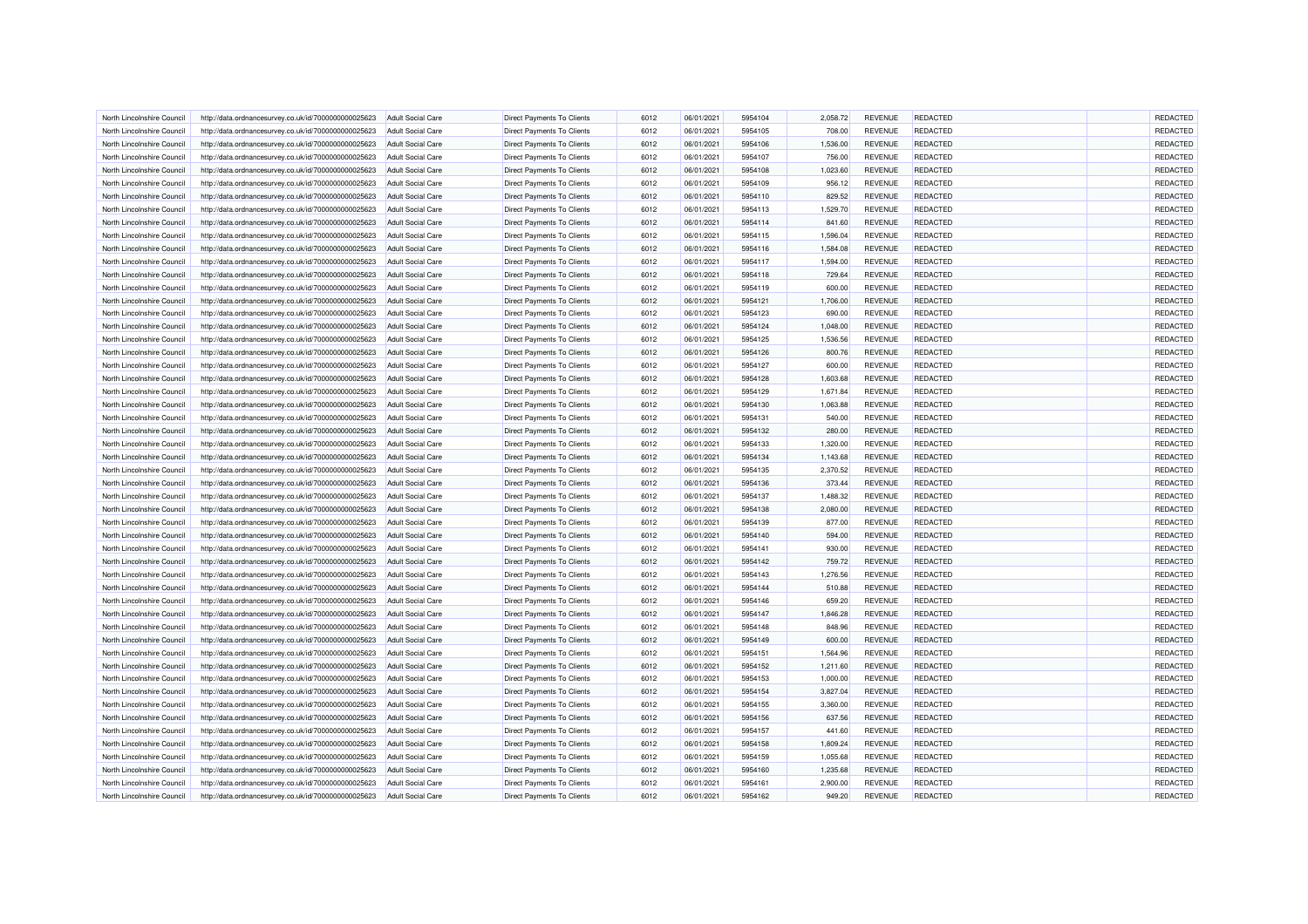| North Lincolnshire Council | http://data.ordnancesurvey.co.uk/id/7000000000025623 | <b>Adult Social Care</b> | <b>Direct Payments To Clients</b> | 6012 | 06/01/2021 | 5954104 | 2,058.72 | <b>REVENUE</b> | REDACTED        | REDACTED        |
|----------------------------|------------------------------------------------------|--------------------------|-----------------------------------|------|------------|---------|----------|----------------|-----------------|-----------------|
| North Lincolnshire Council | http://data.ordnancesurvey.co.uk/id/7000000000025623 | <b>Adult Social Care</b> | Direct Payments To Clients        | 6012 | 06/01/2021 | 5954105 | 708.00   | <b>REVENUE</b> | REDACTED        | REDACTED        |
| North Lincolnshire Council | http://data.ordnancesurvey.co.uk/id/7000000000025623 | Adult Social Care        | Direct Payments To Clients        | 6012 | 06/01/2021 | 5954106 | 1,536.00 | <b>REVENUE</b> | REDACTED        | REDACTED        |
| North Lincolnshire Council | http://data.ordnancesurvey.co.uk/id/7000000000025623 | <b>Adult Social Care</b> | <b>Direct Payments To Clients</b> | 6012 | 06/01/2021 | 5954107 | 756.00   | <b>REVENUE</b> | REDACTED        | REDACTED        |
| North Lincolnshire Council | http://data.ordnancesurvey.co.uk/id/7000000000025623 | <b>Adult Social Care</b> | Direct Payments To Clients        | 6012 | 06/01/2021 | 5954108 | 1,023.60 | <b>REVENUE</b> | REDACTED        | REDACTED        |
| North Lincolnshire Council | http://data.ordnancesurvey.co.uk/id/7000000000025623 | <b>Adult Social Care</b> | Direct Payments To Clients        | 6012 | 06/01/2021 | 5954109 | 956.12   | <b>REVENUE</b> | REDACTED        | REDACTED        |
| North Lincolnshire Council | http://data.ordnancesurvey.co.uk/id/7000000000025623 | <b>Adult Social Care</b> | Direct Payments To Clients        | 6012 | 06/01/2021 | 5954110 | 829.52   | <b>REVENUE</b> | REDACTED        | REDACTED        |
| North Lincolnshire Council | http://data.ordnancesurvey.co.uk/id/7000000000025623 | <b>Adult Social Care</b> | Direct Payments To Clients        | 6012 | 06/01/2021 | 5954113 | 1,529.70 | <b>REVENUE</b> | REDACTED        | REDACTED        |
| North Lincolnshire Council | http://data.ordnancesurvey.co.uk/id/7000000000025623 | <b>Adult Social Care</b> | <b>Direct Payments To Clients</b> | 6012 | 06/01/2021 | 5954114 | 841.60   | <b>REVENUE</b> | REDACTED        | REDACTED        |
| North Lincolnshire Council | http://data.ordnancesurvey.co.uk/id/7000000000025623 | <b>Adult Social Care</b> | Direct Payments To Clients        | 6012 | 06/01/2021 | 5954115 | 1,596.04 | <b>REVENUE</b> | REDACTED        | REDACTED        |
| North Lincolnshire Council | http://data.ordnancesurvey.co.uk/id/7000000000025623 | Adult Social Care        | <b>Direct Payments To Clients</b> | 6012 | 06/01/2021 | 5954116 | 1,584.08 | <b>REVENUE</b> | <b>REDACTED</b> | REDACTED        |
| North Lincolnshire Council | http://data.ordnancesurvey.co.uk/id/7000000000025623 | <b>Adult Social Care</b> | <b>Direct Payments To Clients</b> | 6012 | 06/01/2021 | 5954117 | 1,594.00 | <b>REVENUE</b> | REDACTED        | REDACTED        |
| North Lincolnshire Council | http://data.ordnancesurvey.co.uk/id/7000000000025623 | <b>Adult Social Care</b> | Direct Payments To Clients        | 6012 | 06/01/2021 | 5954118 | 729.64   | <b>REVENUE</b> | REDACTED        | REDACTED        |
| North Lincolnshire Council | http://data.ordnancesurvey.co.uk/id/7000000000025623 | <b>Adult Social Care</b> | <b>Direct Payments To Clients</b> | 6012 | 06/01/2021 | 5954119 | 600.00   | <b>REVENUE</b> | REDACTED        | REDACTED        |
| North Lincolnshire Council | http://data.ordnancesurvey.co.uk/id/7000000000025623 | <b>Adult Social Care</b> | Direct Payments To Clients        | 6012 | 06/01/2021 | 5954121 | 1,706.00 | <b>REVENUE</b> | REDACTED        | REDACTED        |
| North Lincolnshire Council | http://data.ordnancesurvey.co.uk/id/7000000000025623 | <b>Adult Social Care</b> | Direct Payments To Clients        | 6012 | 06/01/2021 | 5954123 | 690.00   | <b>REVENUE</b> | REDACTED        | REDACTED        |
|                            |                                                      |                          |                                   | 6012 | 06/01/2021 | 5954124 |          |                | REDACTED        | REDACTED        |
| North Lincolnshire Council | http://data.ordnancesurvey.co.uk/id/7000000000025623 | <b>Adult Social Care</b> | Direct Payments To Clients        |      |            |         | 1,048.00 | <b>REVENUE</b> |                 |                 |
| North Lincolnshire Council | http://data.ordnancesurvey.co.uk/id/7000000000025623 | <b>Adult Social Care</b> | <b>Direct Payments To Clients</b> | 6012 | 06/01/2021 | 5954125 | 1,536.56 | <b>REVENUE</b> | <b>REDACTED</b> | REDACTED        |
| North Lincolnshire Council | http://data.ordnancesurvey.co.uk/id/7000000000025623 | <b>Adult Social Care</b> | <b>Direct Payments To Clients</b> | 6012 | 06/01/2021 | 5954126 | 800.76   | <b>REVENUE</b> | <b>REDACTED</b> | REDACTED        |
| North Lincolnshire Council | http://data.ordnancesurvey.co.uk/id/7000000000025623 | <b>Adult Social Care</b> | <b>Direct Payments To Clients</b> | 6012 | 06/01/2021 | 5954127 | 600.00   | <b>REVENUE</b> | REDACTED        | REDACTED        |
| North Lincolnshire Council | http://data.ordnancesurvey.co.uk/id/7000000000025623 | <b>Adult Social Care</b> | Direct Payments To Clients        | 6012 | 06/01/2021 | 5954128 | 1,603.68 | <b>REVENUE</b> | REDACTED        | REDACTED        |
| North Lincolnshire Council | http://data.ordnancesurvey.co.uk/id/7000000000025623 | <b>Adult Social Care</b> | Direct Payments To Clients        | 6012 | 06/01/2021 | 5954129 | 1,671.84 | <b>REVENUE</b> | <b>REDACTED</b> | REDACTED        |
| North Lincolnshire Council | http://data.ordnancesurvey.co.uk/id/7000000000025623 | <b>Adult Social Care</b> | Direct Payments To Clients        | 6012 | 06/01/2021 | 5954130 | 1,063.88 | <b>REVENUE</b> | REDACTED        | REDACTED        |
| North Lincolnshire Council | http://data.ordnancesurvey.co.uk/id/7000000000025623 | <b>Adult Social Care</b> | Direct Payments To Clients        | 6012 | 06/01/2021 | 5954131 | 540.00   | <b>REVENUE</b> | REDACTED        | REDACTED        |
| North Lincolnshire Council | http://data.ordnancesurvey.co.uk/id/7000000000025623 | <b>Adult Social Care</b> | Direct Payments To Clients        | 6012 | 06/01/2021 | 5954132 | 280.00   | <b>REVENUE</b> | REDACTED        | REDACTED        |
| North Lincolnshire Council | http://data.ordnancesurvey.co.uk/id/7000000000025623 | <b>Adult Social Care</b> | Direct Payments To Clients        | 6012 | 06/01/2021 | 5954133 | 1,320.00 | <b>REVENUE</b> | <b>REDACTED</b> | REDACTED        |
| North Lincolnshire Council | http://data.ordnancesurvey.co.uk/id/7000000000025623 | <b>Adult Social Care</b> | <b>Direct Payments To Clients</b> | 6012 | 06/01/2021 | 5954134 | 1,143.68 | <b>REVENUE</b> | <b>REDACTED</b> | REDACTED        |
| North Lincolnshire Council | http://data.ordnancesurvey.co.uk/id/7000000000025623 | <b>Adult Social Care</b> | <b>Direct Payments To Clients</b> | 6012 | 06/01/2021 | 5954135 | 2,370.52 | <b>REVENUE</b> | REDACTED        | REDACTED        |
| North Lincolnshire Council | http://data.ordnancesurvey.co.uk/id/7000000000025623 | <b>Adult Social Care</b> | <b>Direct Payments To Clients</b> | 6012 | 06/01/2021 | 5954136 | 373.44   | <b>REVENUE</b> | REDACTED        | REDACTED        |
| North Lincolnshire Council | http://data.ordnancesurvey.co.uk/id/7000000000025623 | Adult Social Care        | Direct Payments To Clients        | 6012 | 06/01/2021 | 5954137 | 1,488.32 | <b>REVENUE</b> | REDACTED        | REDACTED        |
| North Lincolnshire Council | http://data.ordnancesurvey.co.uk/id/7000000000025623 | <b>Adult Social Care</b> | <b>Direct Payments To Clients</b> | 6012 | 06/01/2021 | 5954138 | 2,080.00 | <b>REVENUE</b> | REDACTED        | REDACTED        |
| North Lincolnshire Council | http://data.ordnancesurvey.co.uk/id/7000000000025623 | <b>Adult Social Care</b> | Direct Payments To Clients        | 6012 | 06/01/2021 | 5954139 | 877.00   | <b>REVENUE</b> | REDACTED        | REDACTED        |
| North Lincolnshire Council | http://data.ordnancesurvey.co.uk/id/7000000000025623 | <b>Adult Social Care</b> | Direct Payments To Clients        | 6012 | 06/01/2021 | 5954140 | 594.00   | <b>REVENUE</b> | REDACTED        | REDACTED        |
| North Lincolnshire Council | http://data.ordnancesurvey.co.uk/id/7000000000025623 | <b>Adult Social Care</b> | Direct Payments To Clients        | 6012 | 06/01/2021 | 5954141 | 930.00   | <b>REVENUE</b> | <b>REDACTED</b> | REDACTED        |
| North Lincolnshire Council | http://data.ordnancesurvey.co.uk/id/7000000000025623 | <b>Adult Social Care</b> | Direct Payments To Clients        | 6012 | 06/01/2021 | 5954142 | 759.72   | <b>REVENUE</b> | REDACTED        | REDACTED        |
| North Lincolnshire Council | http://data.ordnancesurvey.co.uk/id/7000000000025623 | <b>Adult Social Care</b> | <b>Direct Payments To Clients</b> | 6012 | 06/01/2021 | 5954143 | 1,276.56 | <b>REVENUE</b> | REDACTED        | REDACTED        |
| North Lincolnshire Council | http://data.ordnancesurvey.co.uk/id/7000000000025623 | <b>Adult Social Care</b> | <b>Direct Payments To Clients</b> | 6012 | 06/01/2021 | 5954144 | 510.88   | <b>REVENUE</b> | REDACTED        | REDACTED        |
| North Lincolnshire Council |                                                      | Adult Social Care        |                                   | 6012 | 06/01/2021 | 5954146 | 659.20   | <b>REVENUE</b> | <b>REDACTED</b> | REDACTED        |
|                            | http://data.ordnancesurvey.co.uk/id/7000000000025623 |                          | <b>Direct Payments To Clients</b> |      |            |         |          |                |                 |                 |
| North Lincolnshire Council | http://data.ordnancesurvey.co.uk/id/7000000000025623 | <b>Adult Social Care</b> | <b>Direct Payments To Clients</b> | 6012 | 06/01/2021 | 5954147 | 1,846.28 | <b>REVENUE</b> | REDACTED        | REDACTED        |
| North Lincolnshire Council | http://data.ordnancesurvey.co.uk/id/7000000000025623 | <b>Adult Social Care</b> | Direct Payments To Clients        | 6012 | 06/01/2021 | 5954148 | 848.96   | <b>REVENUE</b> | REDACTED        | <b>REDACTED</b> |
| North Lincolnshire Council | http://data.ordnancesurvey.co.uk/id/7000000000025623 | Adult Social Care        | <b>Direct Payments To Clients</b> | 6012 | 06/01/2021 | 5954149 | 600.00   | <b>REVENUE</b> | REDACTED        | REDACTED        |
| North Lincolnshire Council | http://data.ordnancesurvey.co.uk/id/7000000000025623 | <b>Adult Social Care</b> | Direct Payments To Clients        | 6012 | 06/01/2021 | 5954151 | 1,564.96 | <b>REVENUE</b> | <b>REDACTED</b> | REDACTED        |
| North Lincolnshire Council | http://data.ordnancesurvey.co.uk/id/7000000000025623 | <b>Adult Social Care</b> | Direct Payments To Clients        | 6012 | 06/01/2021 | 5954152 | 1,211.60 | <b>REVENUE</b> | REDACTED        | REDACTED        |
| North Lincolnshire Council | http://data.ordnancesurvey.co.uk/id/7000000000025623 | <b>Adult Social Care</b> | Direct Payments To Clients        | 6012 | 06/01/2021 | 5954153 | 1,000.00 | <b>REVENUE</b> | REDACTED        | REDACTED        |
| North Lincolnshire Council | http://data.ordnancesurvey.co.uk/id/7000000000025623 | <b>Adult Social Care</b> | <b>Direct Payments To Clients</b> | 6012 | 06/01/2021 | 5954154 | 3,827.04 | <b>REVENUE</b> | REDACTED        | REDACTED        |
| North Lincolnshire Council | http://data.ordnancesurvey.co.uk/id/7000000000025623 | <b>Adult Social Care</b> | Direct Payments To Clients        | 6012 | 06/01/2021 | 5954155 | 3,360.00 | <b>REVENUE</b> | REDACTED        | REDACTED        |
| North Lincolnshire Council | http://data.ordnancesurvey.co.uk/id/7000000000025623 | <b>Adult Social Care</b> | <b>Direct Payments To Clients</b> | 6012 | 06/01/2021 | 5954156 | 637.56   | <b>REVENUE</b> | REDACTED        | <b>REDACTED</b> |
| North Lincolnshire Council | http://data.ordnancesurvey.co.uk/id/7000000000025623 | <b>Adult Social Care</b> | Direct Payments To Clients        | 6012 | 06/01/2021 | 5954157 | 441.60   | <b>REVENUE</b> | REDACTED        | <b>REDACTED</b> |
| North Lincolnshire Council | http://data.ordnancesurvey.co.uk/id/7000000000025623 | <b>Adult Social Care</b> | <b>Direct Payments To Clients</b> | 6012 | 06/01/2021 | 5954158 | 1,809.24 | <b>REVENUE</b> | <b>REDACTED</b> | REDACTED        |
| North Lincolnshire Council | http://data.ordnancesurvey.co.uk/id/7000000000025623 | <b>Adult Social Care</b> | Direct Payments To Clients        | 6012 | 06/01/2021 | 5954159 | 1,055.68 | <b>REVENUE</b> | REDACTED        | REDACTED        |
| North Lincolnshire Council | http://data.ordnancesurvey.co.uk/id/7000000000025623 | <b>Adult Social Care</b> | Direct Payments To Clients        | 6012 | 06/01/2021 | 5954160 | 1,235.68 | <b>REVENUE</b> | REDACTED        | <b>REDACTED</b> |
| North Lincolnshire Council | http://data.ordnancesurvey.co.uk/id/7000000000025623 | <b>Adult Social Care</b> | Direct Payments To Clients        | 6012 | 06/01/2021 | 5954161 | 2,900.00 | <b>REVENUE</b> | REDACTED        | <b>REDACTED</b> |
| North Lincolnshire Council | http://data.ordnancesurvey.co.uk/id/7000000000025623 | <b>Adult Social Care</b> | Direct Payments To Clients        | 6012 | 06/01/2021 | 5954162 | 949.20   | <b>REVENUE</b> | REDACTED        | REDACTED        |
|                            |                                                      |                          |                                   |      |            |         |          |                |                 |                 |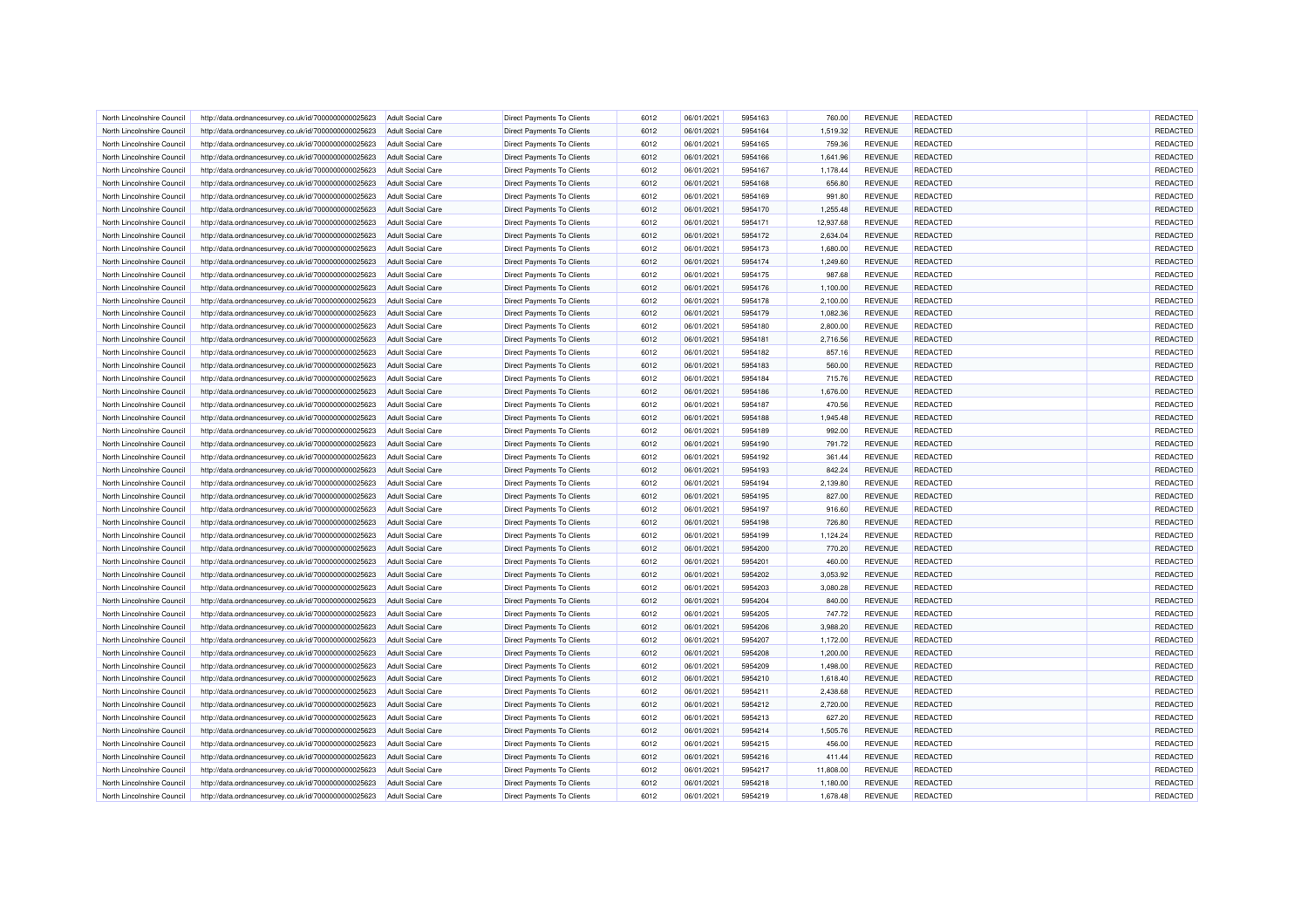| North Lincolnshire Council | http://data.ordnancesurvey.co.uk/id/7000000000025623 | <b>Adult Social Care</b> | <b>Direct Payments To Clients</b> | 6012 | 06/01/2021 | 5954163 | 760.00    | <b>REVENUE</b> | REDACTED        | REDACTED        |
|----------------------------|------------------------------------------------------|--------------------------|-----------------------------------|------|------------|---------|-----------|----------------|-----------------|-----------------|
| North Lincolnshire Council | http://data.ordnancesurvey.co.uk/id/7000000000025623 | <b>Adult Social Care</b> | Direct Payments To Clients        | 6012 | 06/01/2021 | 5954164 | 1,519.32  | <b>REVENUE</b> | REDACTED        | REDACTED        |
| North Lincolnshire Council | http://data.ordnancesurvey.co.uk/id/7000000000025623 | Adult Social Care        | Direct Payments To Clients        | 6012 | 06/01/2021 | 5954165 | 759.36    | <b>REVENUE</b> | REDACTED        | REDACTED        |
| North Lincolnshire Counci  | http://data.ordnancesurvey.co.uk/id/7000000000025623 | <b>Adult Social Care</b> | <b>Direct Payments To Clients</b> | 6012 | 06/01/2021 | 5954166 | 1,641.96  | <b>REVENUE</b> | REDACTED        | REDACTED        |
| North Lincolnshire Council | http://data.ordnancesurvey.co.uk/id/7000000000025623 | <b>Adult Social Care</b> | Direct Payments To Clients        | 6012 | 06/01/2021 | 5954167 | 1,178.44  | <b>REVENUE</b> | REDACTED        | REDACTED        |
| North Lincolnshire Council | http://data.ordnancesurvey.co.uk/id/7000000000025623 | <b>Adult Social Care</b> | Direct Payments To Clients        | 6012 | 06/01/2021 | 5954168 | 656.80    | <b>REVENUE</b> | REDACTED        | REDACTED        |
| North Lincolnshire Council | http://data.ordnancesurvey.co.uk/id/7000000000025623 | <b>Adult Social Care</b> | Direct Payments To Clients        | 6012 | 06/01/2021 | 5954169 | 991.80    | <b>REVENUE</b> | <b>REDACTED</b> | REDACTED        |
| North Lincolnshire Council | http://data.ordnancesurvey.co.uk/id/7000000000025623 | <b>Adult Social Care</b> | Direct Payments To Clients        | 6012 | 06/01/2021 | 5954170 | 1,255.48  | <b>REVENUE</b> | REDACTED        | REDACTED        |
| North Lincolnshire Council | http://data.ordnancesurvey.co.uk/id/7000000000025623 | <b>Adult Social Care</b> | <b>Direct Payments To Clients</b> | 6012 | 06/01/2021 | 5954171 | 12,937.68 | <b>REVENUE</b> | <b>REDACTED</b> | REDACTED        |
| North Lincolnshire Council | http://data.ordnancesurvey.co.uk/id/7000000000025623 | <b>Adult Social Care</b> | Direct Payments To Clients        | 6012 | 06/01/2021 | 5954172 | 2,634.04  | <b>REVENUE</b> | REDACTED        | REDACTED        |
| North Lincolnshire Council | http://data.ordnancesurvey.co.uk/id/7000000000025623 | <b>Adult Social Care</b> | Direct Payments To Clients        | 6012 | 06/01/2021 | 5954173 | 1,680.00  | <b>REVENUE</b> | <b>REDACTED</b> | REDACTED        |
| North Lincolnshire Council | http://data.ordnancesurvey.co.uk/id/7000000000025623 | <b>Adult Social Care</b> | Direct Payments To Clients        | 6012 | 06/01/2021 | 5954174 | 1,249.60  | <b>REVENUE</b> | REDACTED        | REDACTED        |
|                            |                                                      |                          |                                   |      |            |         |           |                | REDACTED        | REDACTED        |
| North Lincolnshire Council | http://data.ordnancesurvey.co.uk/id/7000000000025623 | <b>Adult Social Care</b> | Direct Payments To Clients        | 6012 | 06/01/2021 | 5954175 | 987.68    | <b>REVENUE</b> |                 |                 |
| North Lincolnshire Council | http://data.ordnancesurvey.co.uk/id/7000000000025623 | <b>Adult Social Care</b> | <b>Direct Payments To Clients</b> | 6012 | 06/01/2021 | 5954176 | 1,100.00  | <b>REVENUE</b> | REDACTED        | REDACTED        |
| North Lincolnshire Council | http://data.ordnancesurvey.co.uk/id/7000000000025623 | <b>Adult Social Care</b> | Direct Payments To Clients        | 6012 | 06/01/2021 | 5954178 | 2,100.00  | <b>REVENUE</b> | REDACTED        | REDACTED        |
| North Lincolnshire Council | http://data.ordnancesurvey.co.uk/id/7000000000025623 | <b>Adult Social Care</b> | Direct Payments To Clients        | 6012 | 06/01/2021 | 5954179 | 1,082.36  | <b>REVENUE</b> | REDACTED        | REDACTED        |
| North Lincolnshire Council | http://data.ordnancesurvey.co.uk/id/7000000000025623 | <b>Adult Social Care</b> | Direct Payments To Clients        | 6012 | 06/01/2021 | 5954180 | 2,800.00  | <b>REVENUE</b> | REDACTED        | REDACTED        |
| North Lincolnshire Council | http://data.ordnancesurvey.co.uk/id/7000000000025623 | <b>Adult Social Care</b> | <b>Direct Payments To Clients</b> | 6012 | 06/01/2021 | 5954181 | 2,716.56  | <b>REVENUE</b> | <b>REDACTED</b> | REDACTED        |
| North Lincolnshire Council | http://data.ordnancesurvey.co.uk/id/7000000000025623 | <b>Adult Social Care</b> | Direct Payments To Clients        | 6012 | 06/01/2021 | 5954182 | 857.16    | <b>REVENUE</b> | REDACTED        | REDACTED        |
| North Lincolnshire Counci  | http://data.ordnancesurvey.co.uk/id/7000000000025623 | <b>Adult Social Care</b> | <b>Direct Payments To Clients</b> | 6012 | 06/01/2021 | 5954183 | 560.00    | <b>REVENUE</b> | REDACTED        | REDACTED        |
| North Lincolnshire Council | http://data.ordnancesurvey.co.uk/id/7000000000025623 | <b>Adult Social Care</b> | Direct Payments To Clients        | 6012 | 06/01/2021 | 5954184 | 715.76    | <b>REVENUE</b> | REDACTED        | REDACTED        |
| North Lincolnshire Council | http://data.ordnancesurvey.co.uk/id/7000000000025623 | Adult Social Care        | Direct Payments To Clients        | 6012 | 06/01/2021 | 5954186 | 1,676.00  | <b>REVENUE</b> | <b>REDACTED</b> | REDACTED        |
| North Lincolnshire Council | http://data.ordnancesurvey.co.uk/id/7000000000025623 | <b>Adult Social Care</b> | Direct Payments To Clients        | 6012 | 06/01/2021 | 5954187 | 470.56    | <b>REVENUE</b> | <b>REDACTED</b> | REDACTED        |
|                            |                                                      |                          |                                   | 6012 |            | 5954188 |           |                | REDACTED        | REDACTED        |
| North Lincolnshire Council | http://data.ordnancesurvey.co.uk/id/7000000000025623 | <b>Adult Social Care</b> | Direct Payments To Clients        |      | 06/01/2021 |         | 1,945.48  | <b>REVENUE</b> |                 |                 |
| North Lincolnshire Council | http://data.ordnancesurvey.co.uk/id/7000000000025623 | <b>Adult Social Care</b> | Direct Payments To Clients        | 6012 | 06/01/2021 | 5954189 | 992.00    | <b>REVENUE</b> | REDACTED        | REDACTED        |
| North Lincolnshire Counci  | http://data.ordnancesurvey.co.uk/id/7000000000025623 | <b>Adult Social Care</b> | <b>Direct Payments To Clients</b> | 6012 | 06/01/2021 | 5954190 | 791.72    | <b>REVENUE</b> | <b>REDACTED</b> | REDACTED        |
| North Lincolnshire Council | http://data.ordnancesurvey.co.uk/id/7000000000025623 | <b>Adult Social Care</b> | Direct Payments To Clients        | 6012 | 06/01/2021 | 5954192 | 361.44    | <b>REVENUE</b> | <b>REDACTED</b> | REDACTED        |
| North Lincolnshire Council | http://data.ordnancesurvey.co.uk/id/7000000000025623 | <b>Adult Social Care</b> | <b>Direct Payments To Clients</b> | 6012 | 06/01/2021 | 5954193 | 842.24    | <b>REVENUE</b> | REDACTED        | REDACTED        |
| North Lincolnshire Council | http://data.ordnancesurvey.co.uk/id/7000000000025623 | <b>Adult Social Care</b> | Direct Payments To Clients        | 6012 | 06/01/2021 | 5954194 | 2,139.80  | <b>REVENUE</b> | REDACTED        | REDACTED        |
| North Lincolnshire Council | http://data.ordnancesurvey.co.uk/id/7000000000025623 | <b>Adult Social Care</b> | Direct Payments To Clients        | 6012 | 06/01/2021 | 5954195 | 827.00    | <b>REVENUE</b> | REDACTED        | REDACTED        |
| North Lincolnshire Council | http://data.ordnancesurvey.co.uk/id/7000000000025623 | <b>Adult Social Care</b> | <b>Direct Payments To Clients</b> | 6012 | 06/01/2021 | 5954197 | 916.60    | <b>REVENUE</b> | REDACTED        | REDACTED        |
| North Lincolnshire Council | http://data.ordnancesurvey.co.uk/id/7000000000025623 | <b>Adult Social Care</b> | Direct Payments To Clients        | 6012 | 06/01/2021 | 5954198 | 726.80    | <b>REVENUE</b> | REDACTED        | REDACTED        |
| North Lincolnshire Council | http://data.ordnancesurvey.co.uk/id/7000000000025623 | <b>Adult Social Care</b> | Direct Payments To Clients        | 6012 | 06/01/2021 | 5954199 | 1,124.24  | <b>REVENUE</b> | REDACTED        | REDACTED        |
| North Lincolnshire Council | http://data.ordnancesurvey.co.uk/id/7000000000025623 | <b>Adult Social Care</b> | Direct Payments To Clients        | 6012 | 06/01/2021 | 5954200 | 770.20    | <b>REVENUE</b> | <b>REDACTED</b> | REDACTED        |
| North Lincolnshire Council | http://data.ordnancesurvey.co.uk/id/7000000000025623 | Adult Social Care        | Direct Payments To Clients        | 6012 | 06/01/2021 | 5954201 | 460.00    | <b>REVENUE</b> | REDACTED        | <b>REDACTED</b> |
| North Lincolnshire Council | http://data.ordnancesurvey.co.uk/id/7000000000025623 | <b>Adult Social Care</b> | Direct Payments To Clients        | 6012 | 06/01/2021 | 5954202 | 3,053.92  | <b>REVENUE</b> | <b>REDACTED</b> | REDACTED        |
|                            |                                                      |                          |                                   |      |            |         |           |                |                 | <b>REDACTED</b> |
| North Lincolnshire Council | http://data.ordnancesurvey.co.uk/id/7000000000025623 | <b>Adult Social Care</b> | Direct Payments To Clients        | 6012 | 06/01/2021 | 5954203 | 3,080.28  | <b>REVENUE</b> | REDACTED        |                 |
| North Lincolnshire Council | http://data.ordnancesurvey.co.uk/id/7000000000025623 | <b>Adult Social Care</b> | Direct Payments To Clients        | 6012 | 06/01/2021 | 5954204 | 840.00    | <b>REVENUE</b> | <b>REDACTED</b> | REDACTED        |
| North Lincolnshire Council | http://data.ordnancesurvey.co.uk/id/7000000000025623 | <b>Adult Social Care</b> | Direct Payments To Clients        | 6012 | 06/01/2021 | 5954205 | 747.72    | <b>REVENUE</b> | REDACTED        | REDACTED        |
| North Lincolnshire Council | http://data.ordnancesurvey.co.uk/id/7000000000025623 | <b>Adult Social Care</b> | Direct Payments To Clients        | 6012 | 06/01/2021 | 5954206 | 3,988.20  | <b>REVENUE</b> | REDACTED        | REDACTED        |
| North Lincolnshire Council | http://data.ordnancesurvey.co.uk/id/7000000000025623 | <b>Adult Social Care</b> | <b>Direct Payments To Clients</b> | 6012 | 06/01/2021 | 5954207 | 1,172.00  | <b>REVENUE</b> | REDACTED        | <b>REDACTED</b> |
| North Lincolnshire Council | http://data.ordnancesurvey.co.uk/id/7000000000025623 | <b>Adult Social Care</b> | <b>Direct Payments To Clients</b> | 6012 | 06/01/2021 | 5954208 | 1,200.00  | <b>REVENUE</b> | <b>REDACTED</b> | <b>REDACTED</b> |
| North Lincolnshire Council | http://data.ordnancesurvey.co.uk/id/7000000000025623 | <b>Adult Social Care</b> | <b>Direct Payments To Clients</b> | 6012 | 06/01/2021 | 5954209 | 1,498.00  | <b>REVENUE</b> | REDACTED        | REDACTED        |
| North Lincolnshire Council | http://data.ordnancesurvey.co.uk/id/7000000000025623 | <b>Adult Social Care</b> | Direct Payments To Clients        | 6012 | 06/01/2021 | 5954210 | 1,618.40  | <b>REVENUE</b> | REDACTED        | REDACTED        |
| North Lincolnshire Council | http://data.ordnancesurvey.co.uk/id/7000000000025623 | <b>Adult Social Care</b> | Direct Payments To Clients        | 6012 | 06/01/2021 | 5954211 | 2,438.68  | <b>REVENUE</b> | REDACTED        | REDACTED        |
| North Lincolnshire Council | http://data.ordnancesurvey.co.uk/id/7000000000025623 | <b>Adult Social Care</b> | <b>Direct Payments To Clients</b> | 6012 | 06/01/2021 | 5954212 | 2,720.00  | <b>REVENUE</b> | <b>REDACTED</b> | <b>REDACTED</b> |
| North Lincolnshire Council | http://data.ordnancesurvey.co.uk/id/7000000000025623 | <b>Adult Social Care</b> | <b>Direct Payments To Clients</b> | 6012 | 06/01/2021 | 5954213 | 627.20    | <b>REVENUE</b> | REDACTED        | <b>REDACTED</b> |
| North Lincolnshire Council | http://data.ordnancesurvey.co.uk/id/7000000000025623 | <b>Adult Social Care</b> | Direct Payments To Clients        | 6012 | 06/01/2021 | 5954214 | 1,505.76  | <b>REVENUE</b> | REDACTED        | REDACTED        |
| North Lincolnshire Council | http://data.ordnancesurvey.co.uk/id/7000000000025623 | Adult Social Care        | Direct Payments To Clients        | 6012 | 06/01/2021 | 5954215 | 456.00    | <b>REVENUE</b> | <b>REDACTED</b> | REDACTED        |
|                            |                                                      |                          |                                   |      |            |         |           |                |                 |                 |
| North Lincolnshire Council | http://data.ordnancesurvey.co.uk/id/7000000000025623 | <b>Adult Social Care</b> | Direct Payments To Clients        | 6012 | 06/01/2021 | 5954216 | 411.44    | <b>REVENUE</b> | <b>REDACTED</b> | REDACTED        |
| North Lincolnshire Council | http://data.ordnancesurvey.co.uk/id/7000000000025623 | <b>Adult Social Care</b> | Direct Payments To Clients        | 6012 | 06/01/2021 | 5954217 | 11,808.00 | REVENUE        | REDACTED        | <b>REDACTED</b> |
| North Lincolnshire Council | http://data.ordnancesurvey.co.uk/id/7000000000025623 | <b>Adult Social Care</b> | Direct Payments To Clients        | 6012 | 06/01/2021 | 5954218 | 1,180.00  | <b>REVENUE</b> | REDACTED        | <b>REDACTED</b> |
| North Lincolnshire Council | http://data.ordnancesurvey.co.uk/id/7000000000025623 | <b>Adult Social Care</b> | <b>Direct Payments To Clients</b> | 6012 | 06/01/2021 | 5954219 | 1,678.48  | <b>REVENUE</b> | REDACTED        | REDACTED        |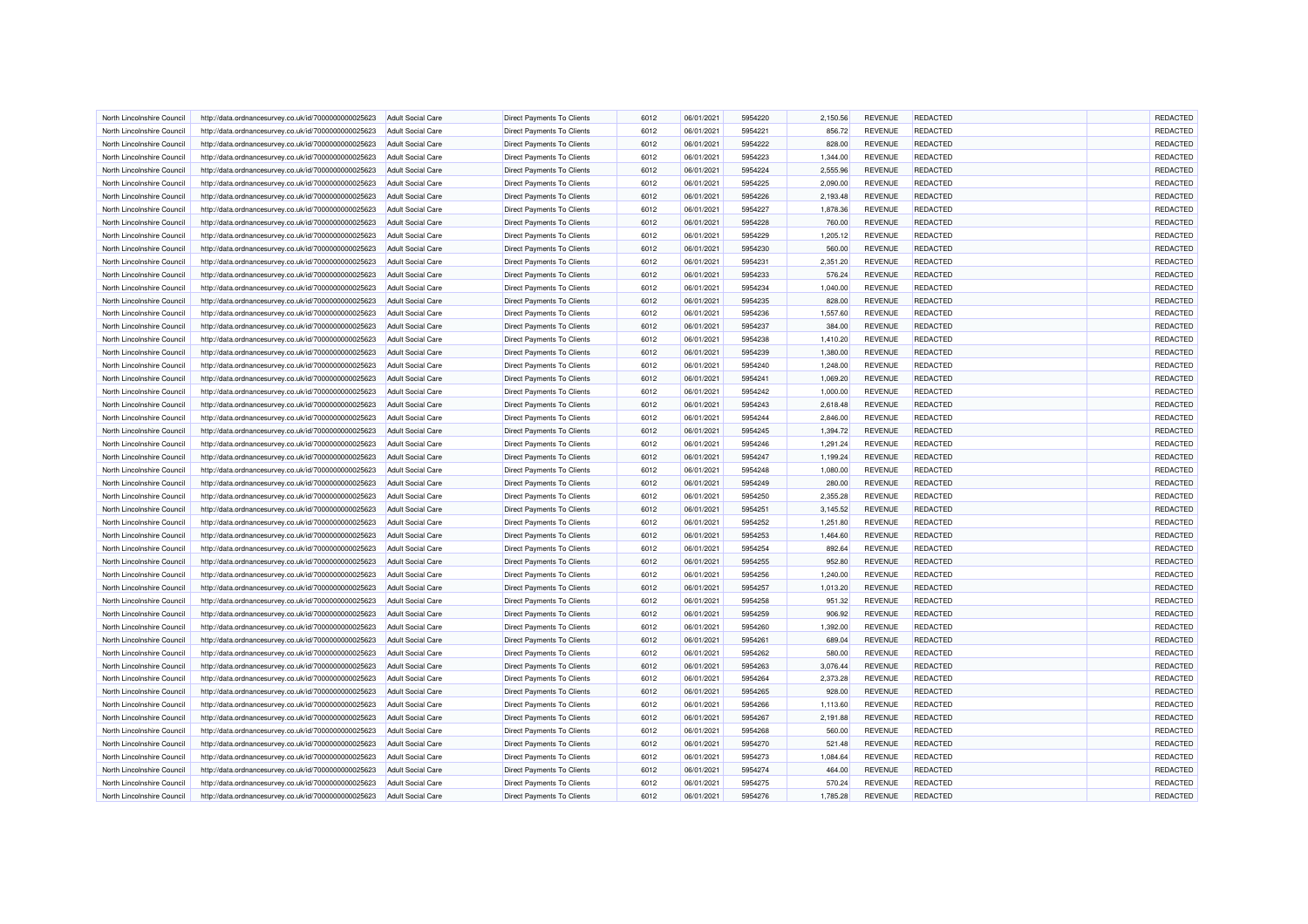| North Lincolnshire Council | http://data.ordnancesurvey.co.uk/id/7000000000025623 | <b>Adult Social Care</b> | <b>Direct Payments To Clients</b> | 6012 | 06/01/2021 | 5954220 | 2,150.56 | <b>REVENUE</b> | REDACTED        | <b>REDACTED</b> |
|----------------------------|------------------------------------------------------|--------------------------|-----------------------------------|------|------------|---------|----------|----------------|-----------------|-----------------|
| North Lincolnshire Council | http://data.ordnancesurvey.co.uk/id/7000000000025623 | <b>Adult Social Care</b> | Direct Payments To Clients        | 6012 | 06/01/2021 | 5954221 | 856.72   | <b>REVENUE</b> | REDACTED        | REDACTED        |
| North Lincolnshire Counci  | http://data.ordnancesurvey.co.uk/id/7000000000025623 | <b>Adult Social Care</b> | <b>Direct Payments To Clients</b> | 6012 | 06/01/2021 | 5954222 | 828.00   | <b>REVENUE</b> | REDACTED        | REDACTED        |
| North Lincolnshire Council | http://data.ordnancesurvey.co.uk/id/7000000000025623 | <b>Adult Social Care</b> | <b>Direct Payments To Clients</b> | 6012 | 06/01/2021 | 5954223 | 1,344.00 | <b>REVENUE</b> | REDACTED        | REDACTED        |
| North Lincolnshire Council | http://data.ordnancesurvey.co.uk/id/7000000000025623 | <b>Adult Social Care</b> | Direct Payments To Clients        | 6012 | 06/01/2021 | 5954224 | 2,555.96 | <b>REVENUE</b> | REDACTED        | REDACTED        |
| North Lincolnshire Council | http://data.ordnancesurvey.co.uk/id/7000000000025623 | <b>Adult Social Care</b> | Direct Payments To Clients        | 6012 | 06/01/2021 | 5954225 | 2,090.00 | <b>REVENUE</b> | <b>REDACTED</b> | REDACTED        |
| North Lincolnshire Council | http://data.ordnancesurvey.co.uk/id/7000000000025623 | <b>Adult Social Care</b> | Direct Payments To Clients        | 6012 | 06/01/2021 | 5954226 | 2,193.48 | <b>REVENUE</b> | REDACTED        | REDACTED        |
| North Lincolnshire Council | http://data.ordnancesurvey.co.uk/id/7000000000025623 | Adult Social Care        | <b>Direct Payments To Clients</b> | 6012 | 06/01/2021 | 5954227 | 1,878.36 | <b>REVENUE</b> | <b>REDACTED</b> | REDACTED        |
| North Lincolnshire Counci  | http://data.ordnancesurvey.co.uk/id/7000000000025623 | <b>Adult Social Care</b> | <b>Direct Payments To Clients</b> | 6012 | 06/01/2021 | 5954228 | 760.00   | <b>REVENUE</b> | <b>REDACTED</b> | REDACTED        |
| North Lincolnshire Council | http://data.ordnancesurvey.co.uk/id/7000000000025623 | <b>Adult Social Care</b> | Direct Payments To Clients        | 6012 | 06/01/2021 | 5954229 | 1,205.12 | <b>REVENUE</b> | REDACTED        | REDACTED        |
| North Lincolnshire Council | http://data.ordnancesurvey.co.uk/id/7000000000025623 | <b>Adult Social Care</b> | Direct Payments To Clients        | 6012 | 06/01/2021 | 5954230 | 560.00   | <b>REVENUE</b> | REDACTED        | REDACTED        |
| North Lincolnshire Council | http://data.ordnancesurvey.co.uk/id/7000000000025623 | <b>Adult Social Care</b> | Direct Payments To Clients        | 6012 | 06/01/2021 | 5954231 | 2,351.20 | REVENUE        | REDACTED        | REDACTED        |
| North Lincolnshire Council | http://data.ordnancesurvey.co.uk/id/7000000000025623 | <b>Adult Social Care</b> | Direct Payments To Clients        | 6012 | 06/01/2021 | 5954233 | 576.24   | <b>REVENUE</b> | REDACTED        | REDACTED        |
| North Lincolnshire Council | http://data.ordnancesurvey.co.uk/id/7000000000025623 | <b>Adult Social Care</b> | Direct Payments To Clients        | 6012 | 06/01/2021 | 5954234 | 1,040.00 | <b>REVENUE</b> | REDACTED        | REDACTED        |
| North Lincolnshire Council | http://data.ordnancesurvey.co.uk/id/7000000000025623 | <b>Adult Social Care</b> | Direct Payments To Clients        | 6012 | 06/01/2021 | 5954235 | 828.00   | <b>REVENUE</b> | REDACTED        | REDACTED        |
| North Lincolnshire Council | http://data.ordnancesurvey.co.uk/id/7000000000025623 | Adult Social Care        | Direct Payments To Clients        | 6012 | 06/01/2021 | 5954236 | 1,557.60 | <b>REVENUE</b> | <b>REDACTED</b> | REDACTED        |
| North Lincolnshire Council | http://data.ordnancesurvey.co.uk/id/7000000000025623 | <b>Adult Social Care</b> | Direct Payments To Clients        | 6012 | 06/01/2021 | 5954237 | 384.00   | <b>REVENUE</b> | REDACTED        | REDACTED        |
| North Lincolnshire Council | http://data.ordnancesurvey.co.uk/id/7000000000025623 | <b>Adult Social Care</b> | Direct Payments To Clients        | 6012 | 06/01/2021 | 5954238 | 1,410.20 | <b>REVENUE</b> | REDACTED        | REDACTED        |
| North Lincolnshire Council |                                                      |                          |                                   | 6012 |            | 5954239 |          |                | <b>REDACTED</b> | REDACTED        |
|                            | http://data.ordnancesurvey.co.uk/id/7000000000025623 | <b>Adult Social Care</b> | <b>Direct Payments To Clients</b> |      | 06/01/2021 |         | 1,380.00 | <b>REVENUE</b> |                 |                 |
| North Lincolnshire Council | http://data.ordnancesurvey.co.uk/id/7000000000025623 | <b>Adult Social Care</b> | Direct Payments To Clients        | 6012 | 06/01/2021 | 5954240 | 1,248.00 | <b>REVENUE</b> | <b>REDACTED</b> | REDACTED        |
| North Lincolnshire Council | http://data.ordnancesurvey.co.uk/id/7000000000025623 | <b>Adult Social Care</b> | <b>Direct Payments To Clients</b> | 6012 | 06/01/2021 | 5954241 | 1,069.20 | <b>REVENUE</b> | REDACTED        | REDACTED        |
| North Lincolnshire Council | http://data.ordnancesurvey.co.uk/id/7000000000025623 | <b>Adult Social Care</b> | Direct Payments To Clients        | 6012 | 06/01/2021 | 5954242 | 1,000.00 | <b>REVENUE</b> | REDACTED        | REDACTED        |
| North Lincolnshire Council | http://data.ordnancesurvey.co.uk/id/7000000000025623 | <b>Adult Social Care</b> | <b>Direct Payments To Clients</b> | 6012 | 06/01/2021 | 5954243 | 2,618.48 | <b>REVENUE</b> | REDACTED        | REDACTED        |
| North Lincolnshire Council | http://data.ordnancesurvey.co.uk/id/7000000000025623 | <b>Adult Social Care</b> | Direct Payments To Clients        | 6012 | 06/01/2021 | 5954244 | 2,846.00 | <b>REVENUE</b> | REDACTED        | REDACTED        |
| North Lincolnshire Council | http://data.ordnancesurvey.co.uk/id/7000000000025623 | <b>Adult Social Care</b> | <b>Direct Payments To Clients</b> | 6012 | 06/01/2021 | 5954245 | 1,394.72 | <b>REVENUE</b> | REDACTED        | REDACTED        |
| North Lincolnshire Council | http://data.ordnancesurvey.co.uk/id/7000000000025623 | <b>Adult Social Care</b> | <b>Direct Payments To Clients</b> | 6012 | 06/01/2021 | 5954246 | 1,291.24 | <b>REVENUE</b> | REDACTED        | REDACTED        |
| North Lincolnshire Council | http://data.ordnancesurvey.co.uk/id/7000000000025623 | <b>Adult Social Care</b> | Direct Payments To Clients        | 6012 | 06/01/2021 | 5954247 | 1,199.24 | <b>REVENUE</b> | <b>REDACTED</b> | REDACTED        |
| North Lincolnshire Council | http://data.ordnancesurvey.co.uk/id/7000000000025623 | <b>Adult Social Care</b> | Direct Payments To Clients        | 6012 | 06/01/2021 | 5954248 | 1,080.00 | <b>REVENUE</b> | <b>REDACTED</b> | REDACTED        |
| North Lincolnshire Council | http://data.ordnancesurvey.co.uk/id/7000000000025623 | <b>Adult Social Care</b> | Direct Payments To Clients        | 6012 | 06/01/2021 | 5954249 | 280.00   | <b>REVENUE</b> | REDACTED        | REDACTED        |
| North Lincolnshire Council | http://data.ordnancesurvey.co.uk/id/7000000000025623 | <b>Adult Social Care</b> | Direct Payments To Clients        | 6012 | 06/01/2021 | 5954250 | 2,355.28 | <b>REVENUE</b> | REDACTED        | REDACTED        |
| North Lincolnshire Counci  | http://data.ordnancesurvey.co.uk/id/7000000000025623 | <b>Adult Social Care</b> | <b>Direct Payments To Clients</b> | 6012 | 06/01/2021 | 5954251 | 3,145.52 | <b>REVENUE</b> | <b>REDACTED</b> | REDACTED        |
| North Lincolnshire Council | http://data.ordnancesurvey.co.uk/id/7000000000025623 | <b>Adult Social Care</b> | Direct Payments To Clients        | 6012 | 06/01/2021 | 5954252 | 1,251.80 | <b>REVENUE</b> | REDACTED        | REDACTED        |
| North Lincolnshire Council | http://data.ordnancesurvey.co.uk/id/7000000000025623 | <b>Adult Social Care</b> | <b>Direct Payments To Clients</b> | 6012 | 06/01/2021 | 5954253 | 1,464.60 | <b>REVENUE</b> | REDACTED        | REDACTED        |
| North Lincolnshire Council | http://data.ordnancesurvey.co.uk/id/7000000000025623 | <b>Adult Social Care</b> | Direct Payments To Clients        | 6012 | 06/01/2021 | 5954254 | 892.64   | <b>REVENUE</b> | REDACTED        | REDACTED        |
| North Lincolnshire Council | http://data.ordnancesurvey.co.uk/id/7000000000025623 | <b>Adult Social Care</b> | Direct Payments To Clients        | 6012 | 06/01/2021 | 5954255 | 952.80   | <b>REVENUE</b> | REDACTED        | REDACTED        |
| North Lincolnshire Council | http://data.ordnancesurvey.co.uk/id/7000000000025623 | <b>Adult Social Care</b> | <b>Direct Payments To Clients</b> | 6012 | 06/01/2021 | 5954256 | 1,240.00 | <b>REVENUE</b> | REDACTED        | REDACTED        |
| North Lincolnshire Council | http://data.ordnancesurvey.co.uk/id/7000000000025623 | <b>Adult Social Care</b> | Direct Payments To Clients        | 6012 | 06/01/2021 | 5954257 | 1,013.20 | <b>REVENUE</b> | REDACTED        | REDACTED        |
| North Lincolnshire Council | http://data.ordnancesurvey.co.uk/id/7000000000025623 | <b>Adult Social Care</b> | Direct Payments To Clients        | 6012 | 06/01/2021 | 5954258 | 951.32   | <b>REVENUE</b> | <b>REDACTED</b> | REDACTED        |
| North Lincolnshire Council | http://data.ordnancesurvey.co.uk/id/7000000000025623 | <b>Adult Social Care</b> | Direct Payments To Clients        | 6012 | 06/01/2021 | 5954259 | 906.92   | <b>REVENUE</b> | REDACTED        | REDACTED        |
| North Lincolnshire Council | http://data.ordnancesurvey.co.uk/id/7000000000025623 | <b>Adult Social Care</b> | Direct Payments To Clients        | 6012 | 06/01/2021 | 5954260 | 1,392.00 | <b>REVENUE</b> | REDACTED        | REDACTED        |
| North Lincolnshire Council | http://data.ordnancesurvey.co.uk/id/7000000000025623 | <b>Adult Social Care</b> | <b>Direct Payments To Clients</b> | 6012 | 06/01/2021 | 5954261 | 689.04   | <b>REVENUE</b> | REDACTED        | REDACTED        |
| North Lincolnshire Council | http://data.ordnancesurvey.co.uk/id/7000000000025623 | <b>Adult Social Care</b> | Direct Payments To Clients        | 6012 | 06/01/2021 | 5954262 | 580.00   | <b>REVENUE</b> | REDACTED        | REDACTED        |
| North Lincolnshire Council | http://data.ordnancesurvey.co.uk/id/7000000000025623 | <b>Adult Social Care</b> | Direct Payments To Clients        | 6012 | 06/01/2021 | 5954263 | 3,076.44 | <b>REVENUE</b> | REDACTED        | REDACTED        |
| North Lincolnshire Council | http://data.ordnancesurvey.co.uk/id/7000000000025623 | <b>Adult Social Care</b> | Direct Payments To Clients        | 6012 | 06/01/2021 | 5954264 | 2,373.28 | <b>REVENUE</b> | REDACTED        | REDACTED        |
| North Lincolnshire Council | http://data.ordnancesurvey.co.uk/id/7000000000025623 | <b>Adult Social Care</b> | Direct Payments To Clients        | 6012 | 06/01/2021 | 5954265 | 928.00   | <b>REVENUE</b> | REDACTED        | REDACTED        |
| North Lincolnshire Council | http://data.ordnancesurvey.co.uk/id/7000000000025623 | <b>Adult Social Care</b> | <b>Direct Payments To Clients</b> | 6012 | 06/01/2021 | 5954266 | 1,113.60 | <b>REVENUE</b> | <b>REDACTED</b> | REDACTED        |
| North Lincolnshire Council | http://data.ordnancesurvey.co.uk/id/7000000000025623 | <b>Adult Social Care</b> | <b>Direct Payments To Clients</b> | 6012 | 06/01/2021 | 5954267 | 2,191.88 | <b>REVENUE</b> | REDACTED        | REDACTED        |
| North Lincolnshire Council | http://data.ordnancesurvey.co.uk/id/7000000000025623 | <b>Adult Social Care</b> | Direct Payments To Clients        | 6012 | 06/01/2021 | 5954268 | 560.00   | <b>REVENUE</b> | REDACTED        | REDACTED        |
| North Lincolnshire Council | http://data.ordnancesurvey.co.uk/id/7000000000025623 | Adult Social Care        | Direct Payments To Clients        | 6012 | 06/01/2021 | 5954270 | 521.48   | <b>REVENUE</b> | <b>REDACTED</b> | REDACTED        |
| North Lincolnshire Council | http://data.ordnancesurvey.co.uk/id/7000000000025623 | <b>Adult Social Care</b> | Direct Payments To Clients        | 6012 | 06/01/2021 | 5954273 | 1,084.64 | <b>REVENUE</b> | REDACTED        | REDACTED        |
| North Lincolnshire Council | http://data.ordnancesurvey.co.uk/id/7000000000025623 | <b>Adult Social Care</b> | <b>Direct Payments To Clients</b> | 6012 | 06/01/2021 | 5954274 | 464.00   | <b>REVENUE</b> | REDACTED        | REDACTED        |
| North Lincolnshire Council | http://data.ordnancesurvey.co.uk/id/7000000000025623 | <b>Adult Social Care</b> | <b>Direct Payments To Clients</b> | 6012 | 06/01/2021 | 5954275 | 570.24   | REVENUE        | REDACTED        | <b>REDACTED</b> |
| North Lincolnshire Council | http://data.ordnancesurvey.co.uk/id/7000000000025623 | <b>Adult Social Care</b> | <b>Direct Payments To Clients</b> | 6012 | 06/01/2021 | 5954276 | 1,785.28 | <b>REVENUE</b> | REDACTED        | REDACTED        |
|                            |                                                      |                          |                                   |      |            |         |          |                |                 |                 |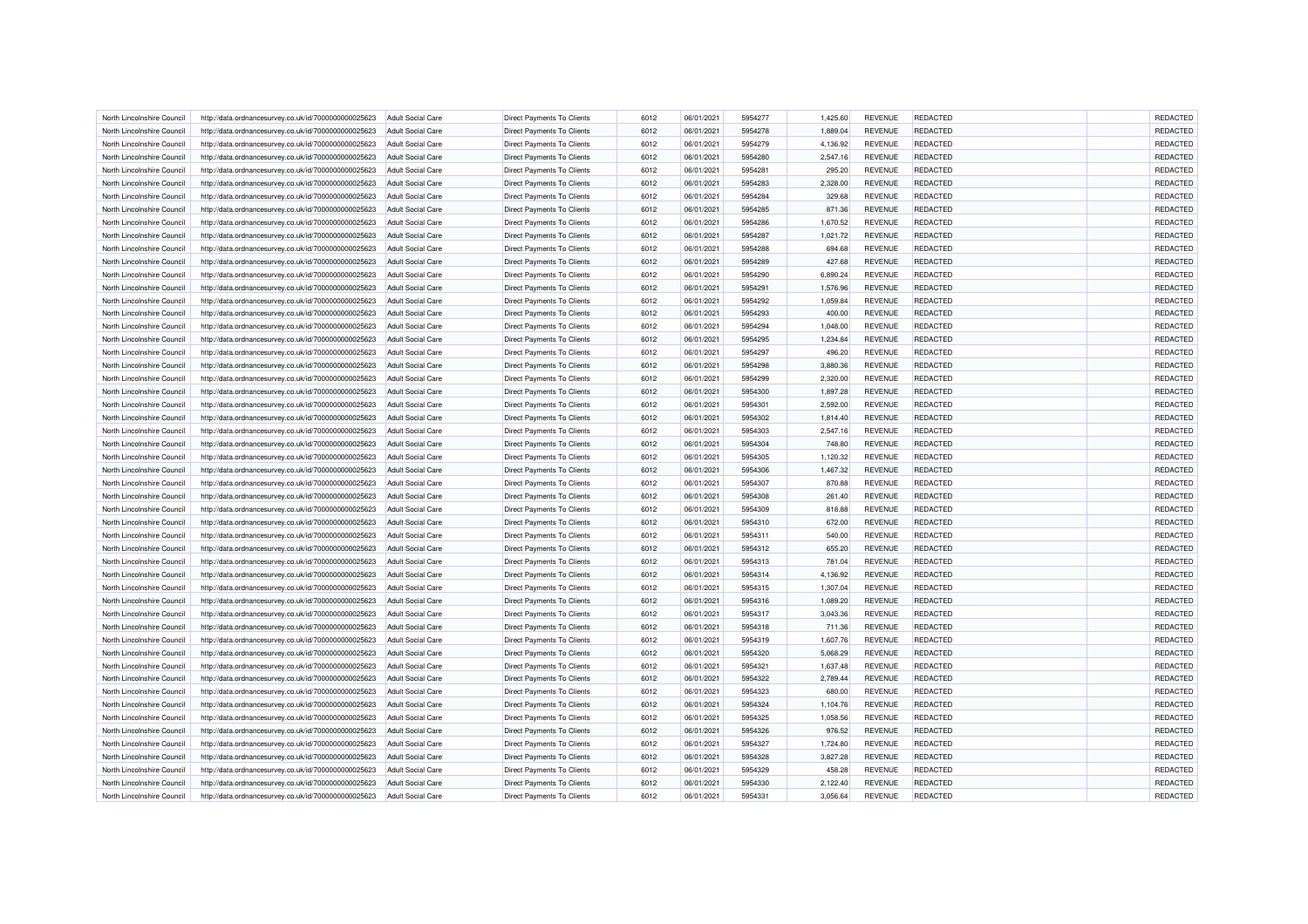| North Lincolnshire Council | http://data.ordnancesurvey.co.uk/id/7000000000025623 | <b>Adult Social Care</b> | <b>Direct Payments To Clients</b> | 6012 | 06/01/2021 | 5954277 | 1,425.60 | <b>REVENUE</b> | REDACTED        | REDACTED        |
|----------------------------|------------------------------------------------------|--------------------------|-----------------------------------|------|------------|---------|----------|----------------|-----------------|-----------------|
| North Lincolnshire Council | http://data.ordnancesurvey.co.uk/id/7000000000025623 | <b>Adult Social Care</b> | Direct Payments To Clients        | 6012 | 06/01/2021 | 5954278 | 1,889.04 | <b>REVENUE</b> | REDACTED        | REDACTED        |
| North Lincolnshire Council | http://data.ordnancesurvey.co.uk/id/7000000000025623 | Adult Social Care        | Direct Payments To Clients        | 6012 | 06/01/2021 | 5954279 | 4,136.92 | <b>REVENUE</b> | REDACTED        | REDACTED        |
| North Lincolnshire Council | http://data.ordnancesurvey.co.uk/id/7000000000025623 | <b>Adult Social Care</b> | <b>Direct Payments To Clients</b> | 6012 | 06/01/2021 | 5954280 | 2,547.16 | <b>REVENUE</b> | REDACTED        | REDACTED        |
| North Lincolnshire Council | http://data.ordnancesurvey.co.uk/id/7000000000025623 | <b>Adult Social Care</b> | Direct Payments To Clients        | 6012 | 06/01/2021 | 5954281 | 295.20   | REVENUE        | REDACTED        | REDACTED        |
| North Lincolnshire Council | http://data.ordnancesurvey.co.uk/id/7000000000025623 | <b>Adult Social Care</b> | Direct Payments To Clients        | 6012 | 06/01/2021 | 5954283 | 2,328.00 | <b>REVENUE</b> | REDACTED        | REDACTED        |
| North Lincolnshire Council | http://data.ordnancesurvey.co.uk/id/7000000000025623 | <b>Adult Social Care</b> | Direct Payments To Clients        | 6012 | 06/01/2021 | 5954284 | 329.68   | <b>REVENUE</b> | REDACTED        | REDACTED        |
| North Lincolnshire Council | http://data.ordnancesurvey.co.uk/id/7000000000025623 | <b>Adult Social Care</b> | Direct Payments To Clients        | 6012 | 06/01/2021 | 5954285 | 871.36   | <b>REVENUE</b> | REDACTED        | REDACTED        |
| North Lincolnshire Council | http://data.ordnancesurvey.co.uk/id/7000000000025623 | <b>Adult Social Care</b> | <b>Direct Payments To Clients</b> | 6012 | 06/01/2021 | 5954286 | 1,670.52 | <b>REVENUE</b> | REDACTED        | REDACTED        |
| North Lincolnshire Council | http://data.ordnancesurvey.co.uk/id/7000000000025623 | <b>Adult Social Care</b> | Direct Payments To Clients        | 6012 | 06/01/2021 | 5954287 | 1,021.72 | <b>REVENUE</b> | REDACTED        | REDACTED        |
| North Lincolnshire Council | http://data.ordnancesurvey.co.uk/id/7000000000025623 | Adult Social Care        | <b>Direct Payments To Clients</b> | 6012 | 06/01/2021 | 5954288 | 694.68   | <b>REVENUE</b> | <b>REDACTED</b> | REDACTED        |
| North Lincolnshire Council | http://data.ordnancesurvey.co.uk/id/7000000000025623 | <b>Adult Social Care</b> | <b>Direct Payments To Clients</b> | 6012 | 06/01/2021 | 5954289 | 427.68   | <b>REVENUE</b> | REDACTED        | REDACTED        |
| North Lincolnshire Council | http://data.ordnancesurvey.co.uk/id/7000000000025623 | <b>Adult Social Care</b> | Direct Payments To Clients        | 6012 | 06/01/2021 | 5954290 | 6,890.24 | <b>REVENUE</b> | REDACTED        | REDACTED        |
| North Lincolnshire Council | http://data.ordnancesurvey.co.uk/id/7000000000025623 | <b>Adult Social Care</b> | <b>Direct Payments To Clients</b> | 6012 | 06/01/2021 | 5954291 | 1,576.96 | <b>REVENUE</b> | REDACTED        | REDACTED        |
| North Lincolnshire Council | http://data.ordnancesurvey.co.uk/id/7000000000025623 | <b>Adult Social Care</b> | Direct Payments To Clients        | 6012 | 06/01/2021 | 5954292 | 1,059.84 | <b>REVENUE</b> | REDACTED        | REDACTED        |
| North Lincolnshire Council | http://data.ordnancesurvey.co.uk/id/7000000000025623 | <b>Adult Social Care</b> | Direct Payments To Clients        | 6012 | 06/01/2021 | 5954293 | 400.00   | <b>REVENUE</b> | REDACTED        | REDACTED        |
|                            |                                                      |                          |                                   | 6012 | 06/01/2021 | 5954294 | 1,048.00 |                | REDACTED        | REDACTED        |
| North Lincolnshire Council | http://data.ordnancesurvey.co.uk/id/7000000000025623 | <b>Adult Social Care</b> | Direct Payments To Clients        |      |            |         |          | <b>REVENUE</b> |                 |                 |
| North Lincolnshire Council | http://data.ordnancesurvey.co.uk/id/7000000000025623 | <b>Adult Social Care</b> | <b>Direct Payments To Clients</b> | 6012 | 06/01/2021 | 5954295 | 1,234.84 | <b>REVENUE</b> | <b>REDACTED</b> | REDACTED        |
| North Lincolnshire Council | http://data.ordnancesurvey.co.uk/id/7000000000025623 | <b>Adult Social Care</b> | Direct Payments To Clients        | 6012 | 06/01/2021 | 5954297 | 496.20   | <b>REVENUE</b> | <b>REDACTED</b> | REDACTED        |
| North Lincolnshire Council | http://data.ordnancesurvey.co.uk/id/7000000000025623 | <b>Adult Social Care</b> | Direct Payments To Clients        | 6012 | 06/01/2021 | 5954298 | 3,880.36 | <b>REVENUE</b> | REDACTED        | REDACTED        |
| North Lincolnshire Council | http://data.ordnancesurvey.co.uk/id/7000000000025623 | <b>Adult Social Care</b> | Direct Payments To Clients        | 6012 | 06/01/2021 | 5954299 | 2,320.00 | <b>REVENUE</b> | REDACTED        | REDACTED        |
| North Lincolnshire Council | http://data.ordnancesurvey.co.uk/id/7000000000025623 | <b>Adult Social Care</b> | Direct Payments To Clients        | 6012 | 06/01/2021 | 5954300 | 1,897.28 | <b>REVENUE</b> | <b>REDACTED</b> | REDACTED        |
| North Lincolnshire Council | http://data.ordnancesurvey.co.uk/id/7000000000025623 | <b>Adult Social Care</b> | Direct Payments To Clients        | 6012 | 06/01/2021 | 5954301 | 2,592.00 | <b>REVENUE</b> | REDACTED        | REDACTED        |
| North Lincolnshire Council | http://data.ordnancesurvey.co.uk/id/7000000000025623 | <b>Adult Social Care</b> | Direct Payments To Clients        | 6012 | 06/01/2021 | 5954302 | 1,814.40 | <b>REVENUE</b> | REDACTED        | REDACTED        |
| North Lincolnshire Council | http://data.ordnancesurvey.co.uk/id/7000000000025623 | <b>Adult Social Care</b> | Direct Payments To Clients        | 6012 | 06/01/2021 | 5954303 | 2,547.16 | <b>REVENUE</b> | REDACTED        | REDACTED        |
| North Lincolnshire Council | http://data.ordnancesurvey.co.uk/id/7000000000025623 | <b>Adult Social Care</b> | <b>Direct Payments To Clients</b> | 6012 | 06/01/2021 | 5954304 | 748.80   | <b>REVENUE</b> | <b>REDACTED</b> | REDACTED        |
| North Lincolnshire Council | http://data.ordnancesurvey.co.uk/id/7000000000025623 | <b>Adult Social Care</b> | <b>Direct Payments To Clients</b> | 6012 | 06/01/2021 | 5954305 | 1,120.32 | REVENUE        | <b>REDACTED</b> | REDACTED        |
| North Lincolnshire Council | http://data.ordnancesurvey.co.uk/id/7000000000025623 | <b>Adult Social Care</b> | <b>Direct Payments To Clients</b> | 6012 | 06/01/2021 | 5954306 | 1,467.32 | <b>REVENUE</b> | REDACTED        | REDACTED        |
| North Lincolnshire Council | http://data.ordnancesurvey.co.uk/id/7000000000025623 | <b>Adult Social Care</b> | <b>Direct Payments To Clients</b> | 6012 | 06/01/2021 | 5954307 | 870.88   | <b>REVENUE</b> | REDACTED        | REDACTED        |
| North Lincolnshire Council | http://data.ordnancesurvey.co.uk/id/7000000000025623 | Adult Social Care        | Direct Payments To Clients        | 6012 | 06/01/2021 | 5954308 | 261.40   | <b>REVENUE</b> | REDACTED        | REDACTED        |
| North Lincolnshire Council | http://data.ordnancesurvey.co.uk/id/7000000000025623 | <b>Adult Social Care</b> | <b>Direct Payments To Clients</b> | 6012 | 06/01/2021 | 5954309 | 818.88   | <b>REVENUE</b> | REDACTED        | REDACTED        |
| North Lincolnshire Council | http://data.ordnancesurvey.co.uk/id/7000000000025623 | <b>Adult Social Care</b> | Direct Payments To Clients        | 6012 | 06/01/2021 | 5954310 | 672.00   | <b>REVENUE</b> | REDACTED        | REDACTED        |
| North Lincolnshire Council | http://data.ordnancesurvey.co.uk/id/7000000000025623 | <b>Adult Social Care</b> | Direct Payments To Clients        | 6012 | 06/01/2021 | 5954311 | 540.00   | <b>REVENUE</b> | REDACTED        | REDACTED        |
| North Lincolnshire Council | http://data.ordnancesurvey.co.uk/id/7000000000025623 | <b>Adult Social Care</b> | Direct Payments To Clients        | 6012 | 06/01/2021 | 5954312 | 655.20   | <b>REVENUE</b> | <b>REDACTED</b> | REDACTED        |
| North Lincolnshire Council | http://data.ordnancesurvey.co.uk/id/7000000000025623 | <b>Adult Social Care</b> | Direct Payments To Clients        | 6012 | 06/01/2021 | 5954313 | 781.04   | <b>REVENUE</b> | REDACTED        | REDACTED        |
| North Lincolnshire Council | http://data.ordnancesurvey.co.uk/id/7000000000025623 | <b>Adult Social Care</b> | <b>Direct Payments To Clients</b> | 6012 | 06/01/2021 | 5954314 | 4,136.92 | <b>REVENUE</b> | REDACTED        | REDACTED        |
|                            |                                                      |                          |                                   | 6012 |            | 5954315 |          |                | REDACTED        | REDACTED        |
| North Lincolnshire Council | http://data.ordnancesurvey.co.uk/id/7000000000025623 | <b>Adult Social Care</b> | <b>Direct Payments To Clients</b> | 6012 | 06/01/2021 |         | 1,307.04 | <b>REVENUE</b> |                 | REDACTED        |
| North Lincolnshire Council | http://data.ordnancesurvey.co.uk/id/7000000000025623 | Adult Social Care        | <b>Direct Payments To Clients</b> |      | 06/01/2021 | 5954316 | 1,089.20 | <b>REVENUE</b> | <b>REDACTED</b> |                 |
| North Lincolnshire Council | http://data.ordnancesurvey.co.uk/id/7000000000025623 | <b>Adult Social Care</b> | <b>Direct Payments To Clients</b> | 6012 | 06/01/2021 | 5954317 | 3,043.36 | <b>REVENUE</b> | REDACTED        | REDACTED        |
| North Lincolnshire Council | http://data.ordnancesurvey.co.uk/id/7000000000025623 | <b>Adult Social Care</b> | Direct Payments To Clients        | 6012 | 06/01/2021 | 5954318 | 711.36   | <b>REVENUE</b> | REDACTED        | REDACTED        |
| North Lincolnshire Council | http://data.ordnancesurvey.co.uk/id/7000000000025623 | Adult Social Care        | <b>Direct Payments To Clients</b> | 6012 | 06/01/2021 | 5954319 | 1,607.76 | <b>REVENUE</b> | REDACTED        | REDACTED        |
| North Lincolnshire Council | http://data.ordnancesurvey.co.uk/id/7000000000025623 | <b>Adult Social Care</b> | Direct Payments To Clients        | 6012 | 06/01/2021 | 5954320 | 5,068.29 | <b>REVENUE</b> | <b>REDACTED</b> | REDACTED        |
| North Lincolnshire Council | http://data.ordnancesurvey.co.uk/id/7000000000025623 | <b>Adult Social Care</b> | Direct Payments To Clients        | 6012 | 06/01/2021 | 5954321 | 1,637.48 | REVENUE        | REDACTED        | REDACTED        |
| North Lincolnshire Council | http://data.ordnancesurvey.co.uk/id/7000000000025623 | <b>Adult Social Care</b> | Direct Payments To Clients        | 6012 | 06/01/2021 | 5954322 | 2,789.44 | <b>REVENUE</b> | REDACTED        | REDACTED        |
| North Lincolnshire Council | http://data.ordnancesurvey.co.uk/id/7000000000025623 | <b>Adult Social Care</b> | <b>Direct Payments To Clients</b> | 6012 | 06/01/2021 | 5954323 | 680.00   | <b>REVENUE</b> | REDACTED        | REDACTED        |
| North Lincolnshire Council | http://data.ordnancesurvey.co.uk/id/7000000000025623 | <b>Adult Social Care</b> | Direct Payments To Clients        | 6012 | 06/01/2021 | 5954324 | 1,104.76 | <b>REVENUE</b> | <b>REDACTED</b> | REDACTED        |
| North Lincolnshire Council | http://data.ordnancesurvey.co.uk/id/7000000000025623 | <b>Adult Social Care</b> | <b>Direct Payments To Clients</b> | 6012 | 06/01/2021 | 5954325 | 1,058.56 | <b>REVENUE</b> | REDACTED        | REDACTED        |
| North Lincolnshire Council | http://data.ordnancesurvey.co.uk/id/7000000000025623 | <b>Adult Social Care</b> | Direct Payments To Clients        | 6012 | 06/01/2021 | 5954326 | 976.52   | <b>REVENUE</b> | REDACTED        | REDACTED        |
| North Lincolnshire Council | http://data.ordnancesurvey.co.uk/id/7000000000025623 | Adult Social Care        | <b>Direct Payments To Clients</b> | 6012 | 06/01/2021 | 5954327 | 1,724.80 | <b>REVENUE</b> | <b>REDACTED</b> | REDACTED        |
| North Lincolnshire Council | http://data.ordnancesurvey.co.uk/id/7000000000025623 | <b>Adult Social Care</b> | Direct Payments To Clients        | 6012 | 06/01/2021 | 5954328 | 3,827.28 | <b>REVENUE</b> | REDACTED        | REDACTED        |
| North Lincolnshire Council | http://data.ordnancesurvey.co.uk/id/7000000000025623 | <b>Adult Social Care</b> | Direct Payments To Clients        | 6012 | 06/01/2021 | 5954329 | 458.28   | <b>REVENUE</b> | REDACTED        | <b>REDACTED</b> |
| North Lincolnshire Council | http://data.ordnancesurvey.co.uk/id/7000000000025623 | <b>Adult Social Care</b> | Direct Payments To Clients        | 6012 | 06/01/2021 | 5954330 | 2,122.40 | <b>REVENUE</b> | REDACTED        | <b>REDACTED</b> |
| North Lincolnshire Council | http://data.ordnancesurvey.co.uk/id/7000000000025623 | <b>Adult Social Care</b> | Direct Payments To Clients        | 6012 | 06/01/2021 | 5954331 | 3,056.64 | <b>REVENUE</b> | REDACTED        | <b>REDACTED</b> |
|                            |                                                      |                          |                                   |      |            |         |          |                |                 |                 |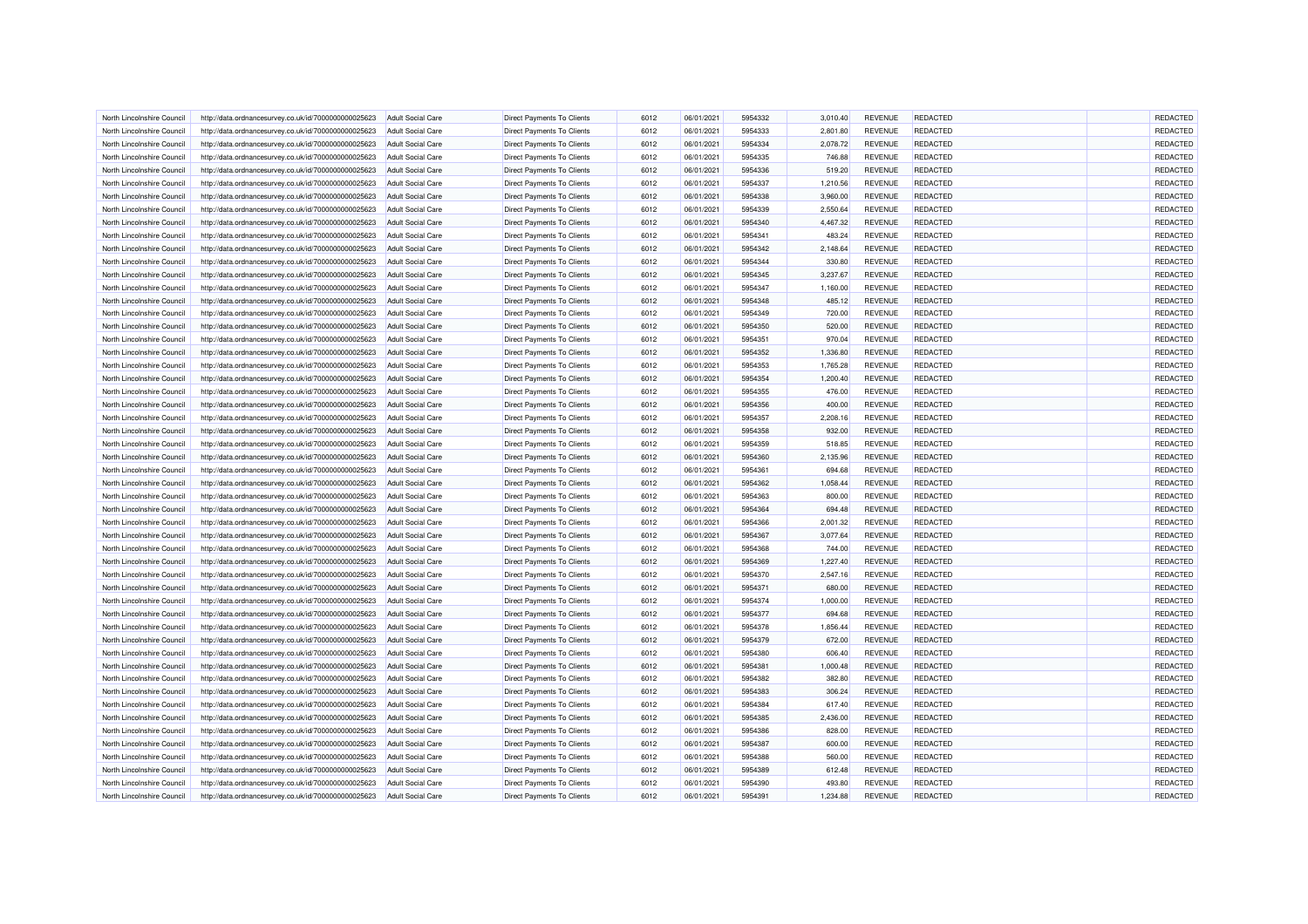| North Lincolnshire Council | http://data.ordnancesurvey.co.uk/id/7000000000025623 | <b>Adult Social Care</b> | <b>Direct Payments To Clients</b> | 6012 | 06/01/2021 | 5954332 | 3,010.40 | <b>REVENUE</b> | REDACTED        | REDACTED        |
|----------------------------|------------------------------------------------------|--------------------------|-----------------------------------|------|------------|---------|----------|----------------|-----------------|-----------------|
| North Lincolnshire Council | http://data.ordnancesurvey.co.uk/id/7000000000025623 | <b>Adult Social Care</b> | Direct Payments To Clients        | 6012 | 06/01/2021 | 5954333 | 2,801.80 | <b>REVENUE</b> | REDACTED        | REDACTED        |
| North Lincolnshire Council | http://data.ordnancesurvey.co.uk/id/7000000000025623 | Adult Social Care        | Direct Payments To Clients        | 6012 | 06/01/2021 | 5954334 | 2,078.72 | <b>REVENUE</b> | REDACTED        | REDACTED        |
| North Lincolnshire Council | http://data.ordnancesurvey.co.uk/id/7000000000025623 | <b>Adult Social Care</b> | <b>Direct Payments To Clients</b> | 6012 | 06/01/2021 | 5954335 | 746.88   | <b>REVENUE</b> | REDACTED        | REDACTED        |
| North Lincolnshire Council | http://data.ordnancesurvey.co.uk/id/7000000000025623 | <b>Adult Social Care</b> | Direct Payments To Clients        | 6012 | 06/01/2021 | 5954336 | 519.20   | <b>REVENUE</b> | REDACTED        | REDACTED        |
| North Lincolnshire Council | http://data.ordnancesurvey.co.uk/id/7000000000025623 | <b>Adult Social Care</b> | Direct Payments To Clients        | 6012 | 06/01/2021 | 5954337 | 1,210.56 | <b>REVENUE</b> | REDACTED        | REDACTED        |
| North Lincolnshire Council | http://data.ordnancesurvey.co.uk/id/7000000000025623 | <b>Adult Social Care</b> | Direct Payments To Clients        | 6012 | 06/01/2021 | 5954338 | 3,960.00 | <b>REVENUE</b> | REDACTED        | REDACTED        |
| North Lincolnshire Council | http://data.ordnancesurvey.co.uk/id/7000000000025623 | <b>Adult Social Care</b> | Direct Payments To Clients        | 6012 | 06/01/2021 | 5954339 | 2,550.64 | <b>REVENUE</b> | REDACTED        | REDACTED        |
| North Lincolnshire Council | http://data.ordnancesurvey.co.uk/id/7000000000025623 | <b>Adult Social Care</b> | <b>Direct Payments To Clients</b> | 6012 | 06/01/2021 | 5954340 | 4,467.32 | <b>REVENUE</b> | REDACTED        | REDACTED        |
| North Lincolnshire Council | http://data.ordnancesurvey.co.uk/id/7000000000025623 | <b>Adult Social Care</b> | <b>Direct Payments To Clients</b> | 6012 | 06/01/2021 | 5954341 | 483.24   | <b>REVENUE</b> | REDACTED        | REDACTED        |
| North Lincolnshire Council | http://data.ordnancesurvey.co.uk/id/7000000000025623 | Adult Social Care        | <b>Direct Payments To Clients</b> | 6012 | 06/01/2021 | 5954342 | 2,148.64 | <b>REVENUE</b> | <b>REDACTED</b> | REDACTED        |
| North Lincolnshire Council | http://data.ordnancesurvey.co.uk/id/7000000000025623 | <b>Adult Social Care</b> | <b>Direct Payments To Clients</b> | 6012 | 06/01/2021 | 5954344 | 330.80   | <b>REVENUE</b> | REDACTED        | REDACTED        |
| North Lincolnshire Council | http://data.ordnancesurvey.co.uk/id/7000000000025623 | <b>Adult Social Care</b> | Direct Payments To Clients        | 6012 | 06/01/2021 | 5954345 | 3,237.67 | <b>REVENUE</b> | REDACTED        | REDACTED        |
| North Lincolnshire Council | http://data.ordnancesurvey.co.uk/id/7000000000025623 | <b>Adult Social Care</b> | <b>Direct Payments To Clients</b> | 6012 | 06/01/2021 | 5954347 | 1,160.00 | <b>REVENUE</b> | REDACTED        | REDACTED        |
| North Lincolnshire Council | http://data.ordnancesurvey.co.uk/id/7000000000025623 | <b>Adult Social Care</b> | Direct Payments To Clients        | 6012 | 06/01/2021 | 5954348 | 485.12   | <b>REVENUE</b> | REDACTED        | REDACTED        |
| North Lincolnshire Council | http://data.ordnancesurvey.co.uk/id/7000000000025623 | <b>Adult Social Care</b> | Direct Payments To Clients        | 6012 | 06/01/2021 | 5954349 | 720.00   | <b>REVENUE</b> | REDACTED        | REDACTED        |
| North Lincolnshire Council | http://data.ordnancesurvey.co.uk/id/7000000000025623 | <b>Adult Social Care</b> | Direct Payments To Clients        | 6012 | 06/01/2021 | 5954350 | 520.00   | <b>REVENUE</b> | REDACTED        | REDACTED        |
| North Lincolnshire Council | http://data.ordnancesurvey.co.uk/id/7000000000025623 | <b>Adult Social Care</b> | <b>Direct Payments To Clients</b> | 6012 | 06/01/2021 | 5954351 | 970.04   | <b>REVENUE</b> | <b>REDACTED</b> | REDACTED        |
| North Lincolnshire Council | http://data.ordnancesurvey.co.uk/id/7000000000025623 | <b>Adult Social Care</b> | <b>Direct Payments To Clients</b> | 6012 | 06/01/2021 | 5954352 | 1,336.80 | <b>REVENUE</b> | <b>REDACTED</b> | REDACTED        |
| North Lincolnshire Council | http://data.ordnancesurvey.co.uk/id/7000000000025623 | <b>Adult Social Care</b> | <b>Direct Payments To Clients</b> | 6012 | 06/01/2021 | 5954353 | 1,765.28 | <b>REVENUE</b> | REDACTED        | REDACTED        |
| North Lincolnshire Council |                                                      |                          |                                   | 6012 |            | 5954354 |          |                | REDACTED        | REDACTED        |
|                            | http://data.ordnancesurvey.co.uk/id/7000000000025623 | <b>Adult Social Care</b> | Direct Payments To Clients        |      | 06/01/2021 |         | 1,200.40 | <b>REVENUE</b> |                 |                 |
| North Lincolnshire Council | http://data.ordnancesurvey.co.uk/id/7000000000025623 | Adult Social Care        | Direct Payments To Clients        | 6012 | 06/01/2021 | 5954355 | 476.00   | <b>REVENUE</b> | <b>REDACTED</b> | REDACTED        |
| North Lincolnshire Council | http://data.ordnancesurvey.co.uk/id/7000000000025623 | <b>Adult Social Care</b> | Direct Payments To Clients        | 6012 | 06/01/2021 | 5954356 | 400.00   | <b>REVENUE</b> | REDACTED        | REDACTED        |
| North Lincolnshire Council | http://data.ordnancesurvey.co.uk/id/7000000000025623 | <b>Adult Social Care</b> | Direct Payments To Clients        | 6012 | 06/01/2021 | 5954357 | 2,208.16 | <b>REVENUE</b> | REDACTED        | REDACTED        |
| North Lincolnshire Council | http://data.ordnancesurvey.co.uk/id/7000000000025623 | <b>Adult Social Care</b> | Direct Payments To Clients        | 6012 | 06/01/2021 | 5954358 | 932.00   | <b>REVENUE</b> | REDACTED        | REDACTED        |
| North Lincolnshire Council | http://data.ordnancesurvey.co.uk/id/7000000000025623 | <b>Adult Social Care</b> | Direct Payments To Clients        | 6012 | 06/01/2021 | 5954359 | 518.85   | <b>REVENUE</b> | <b>REDACTED</b> | REDACTED        |
| North Lincolnshire Council | http://data.ordnancesurvey.co.uk/id/7000000000025623 | <b>Adult Social Care</b> | <b>Direct Payments To Clients</b> | 6012 | 06/01/2021 | 5954360 | 2,135.96 | REVENUE        | <b>REDACTED</b> | REDACTED        |
| North Lincolnshire Council | http://data.ordnancesurvey.co.uk/id/7000000000025623 | <b>Adult Social Care</b> | <b>Direct Payments To Clients</b> | 6012 | 06/01/2021 | 5954361 | 694.68   | <b>REVENUE</b> | REDACTED        | REDACTED        |
| North Lincolnshire Council | http://data.ordnancesurvey.co.uk/id/7000000000025623 | <b>Adult Social Care</b> | <b>Direct Payments To Clients</b> | 6012 | 06/01/2021 | 5954362 | 1,058.44 | <b>REVENUE</b> | REDACTED        | REDACTED        |
| North Lincolnshire Council | http://data.ordnancesurvey.co.uk/id/7000000000025623 | Adult Social Care        | Direct Payments To Clients        | 6012 | 06/01/2021 | 5954363 | 800.00   | <b>REVENUE</b> | REDACTED        | REDACTED        |
| North Lincolnshire Council | http://data.ordnancesurvey.co.uk/id/7000000000025623 | <b>Adult Social Care</b> | <b>Direct Payments To Clients</b> | 6012 | 06/01/2021 | 5954364 | 694.48   | <b>REVENUE</b> | REDACTED        | REDACTED        |
| North Lincolnshire Council | http://data.ordnancesurvey.co.uk/id/7000000000025623 | <b>Adult Social Care</b> | Direct Payments To Clients        | 6012 | 06/01/2021 | 5954366 | 2,001.32 | <b>REVENUE</b> | REDACTED        | REDACTED        |
| North Lincolnshire Council | http://data.ordnancesurvey.co.uk/id/7000000000025623 | <b>Adult Social Care</b> | Direct Payments To Clients        | 6012 | 06/01/2021 | 5954367 | 3,077.64 | <b>REVENUE</b> | REDACTED        | REDACTED        |
| North Lincolnshire Council | http://data.ordnancesurvey.co.uk/id/7000000000025623 | <b>Adult Social Care</b> | Direct Payments To Clients        | 6012 | 06/01/2021 | 5954368 | 744.00   | <b>REVENUE</b> | <b>REDACTED</b> | REDACTED        |
| North Lincolnshire Council | http://data.ordnancesurvey.co.uk/id/7000000000025623 | <b>Adult Social Care</b> | Direct Payments To Clients        | 6012 | 06/01/2021 | 5954369 | 1,227.40 | <b>REVENUE</b> | REDACTED        | REDACTED        |
| North Lincolnshire Council | http://data.ordnancesurvey.co.uk/id/7000000000025623 | <b>Adult Social Care</b> | <b>Direct Payments To Clients</b> | 6012 | 06/01/2021 | 5954370 | 2,547.16 | <b>REVENUE</b> | <b>REDACTED</b> | REDACTED        |
| North Lincolnshire Council | http://data.ordnancesurvey.co.uk/id/7000000000025623 | <b>Adult Social Care</b> | <b>Direct Payments To Clients</b> | 6012 | 06/01/2021 | 5954371 | 680.00   | <b>REVENUE</b> | REDACTED        | REDACTED        |
| North Lincolnshire Council | http://data.ordnancesurvey.co.uk/id/7000000000025623 | Adult Social Care        | <b>Direct Payments To Clients</b> | 6012 | 06/01/2021 | 5954374 | 1,000.00 | <b>REVENUE</b> | <b>REDACTED</b> | REDACTED        |
| North Lincolnshire Council | http://data.ordnancesurvey.co.uk/id/7000000000025623 | <b>Adult Social Care</b> | <b>Direct Payments To Clients</b> | 6012 | 06/01/2021 | 5954377 | 694.68   | <b>REVENUE</b> | REDACTED        | REDACTED        |
| North Lincolnshire Council | http://data.ordnancesurvey.co.uk/id/7000000000025623 | <b>Adult Social Care</b> | Direct Payments To Clients        | 6012 | 06/01/2021 | 5954378 | 1,856.44 | <b>REVENUE</b> | REDACTED        | REDACTED        |
| North Lincolnshire Council | http://data.ordnancesurvey.co.uk/id/7000000000025623 | Adult Social Care        | <b>Direct Payments To Clients</b> | 6012 | 06/01/2021 | 5954379 | 672.00   | <b>REVENUE</b> | REDACTED        | REDACTED        |
| North Lincolnshire Council | http://data.ordnancesurvey.co.uk/id/7000000000025623 | <b>Adult Social Care</b> | Direct Payments To Clients        | 6012 | 06/01/2021 | 5954380 | 606.40   | <b>REVENUE</b> | <b>REDACTED</b> | REDACTED        |
| North Lincolnshire Council | http://data.ordnancesurvey.co.uk/id/7000000000025623 | <b>Adult Social Care</b> | Direct Payments To Clients        | 6012 | 06/01/2021 | 5954381 | 1,000.48 | <b>REVENUE</b> | REDACTED        | REDACTED        |
| North Lincolnshire Council | http://data.ordnancesurvey.co.uk/id/7000000000025623 | <b>Adult Social Care</b> | Direct Payments To Clients        | 6012 | 06/01/2021 | 5954382 | 382.80   | <b>REVENUE</b> | REDACTED        | REDACTED        |
| North Lincolnshire Council | http://data.ordnancesurvey.co.uk/id/7000000000025623 | <b>Adult Social Care</b> | <b>Direct Payments To Clients</b> | 6012 | 06/01/2021 | 5954383 | 306.24   | <b>REVENUE</b> | REDACTED        | REDACTED        |
| North Lincolnshire Council | http://data.ordnancesurvey.co.uk/id/7000000000025623 | <b>Adult Social Care</b> | Direct Payments To Clients        | 6012 | 06/01/2021 | 5954384 | 617.40   | <b>REVENUE</b> | REDACTED        | REDACTED        |
| North Lincolnshire Council | http://data.ordnancesurvey.co.uk/id/7000000000025623 | <b>Adult Social Care</b> | <b>Direct Payments To Clients</b> | 6012 | 06/01/2021 | 5954385 | 2,436.00 | <b>REVENUE</b> | REDACTED        | <b>REDACTED</b> |
| North Lincolnshire Council | http://data.ordnancesurvey.co.uk/id/7000000000025623 | <b>Adult Social Care</b> | Direct Payments To Clients        | 6012 | 06/01/2021 | 5954386 | 828.00   | <b>REVENUE</b> | REDACTED        | REDACTED        |
| North Lincolnshire Council | http://data.ordnancesurvey.co.uk/id/7000000000025623 | <b>Adult Social Care</b> | <b>Direct Payments To Clients</b> | 6012 | 06/01/2021 | 5954387 | 600.00   | <b>REVENUE</b> | <b>REDACTED</b> | REDACTED        |
|                            |                                                      |                          |                                   | 6012 | 06/01/2021 |         |          |                | REDACTED        | REDACTED        |
| North Lincolnshire Council | http://data.ordnancesurvey.co.uk/id/7000000000025623 | <b>Adult Social Care</b> | Direct Payments To Clients        |      |            | 5954388 | 560.00   | <b>REVENUE</b> |                 |                 |
| North Lincolnshire Council | http://data.ordnancesurvey.co.uk/id/7000000000025623 | <b>Adult Social Care</b> | Direct Payments To Clients        | 6012 | 06/01/2021 | 5954389 | 612.48   | <b>REVENUE</b> | REDACTED        | <b>REDACTED</b> |
| North Lincolnshire Council | http://data.ordnancesurvey.co.uk/id/7000000000025623 | <b>Adult Social Care</b> | Direct Payments To Clients        | 6012 | 06/01/2021 | 5954390 | 493.80   | <b>REVENUE</b> | REDACTED        | <b>REDACTED</b> |
| North Lincolnshire Council | http://data.ordnancesurvey.co.uk/id/7000000000025623 | <b>Adult Social Care</b> | Direct Payments To Clients        | 6012 | 06/01/2021 | 5954391 | 1,234.88 | <b>REVENUE</b> | REDACTED        | REDACTED        |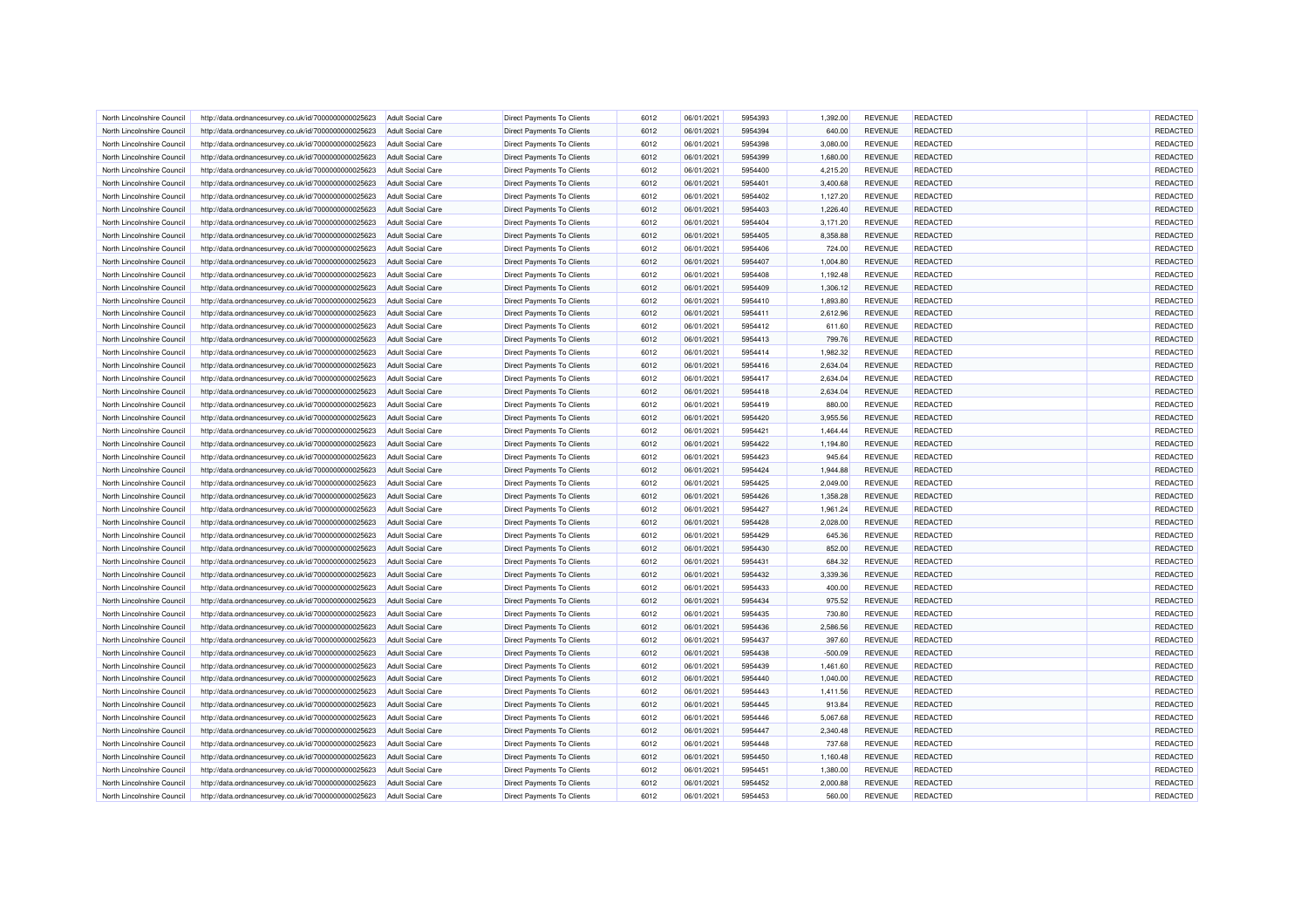| North Lincolnshire Council | http://data.ordnancesurvey.co.uk/id/7000000000025623 | <b>Adult Social Care</b> | <b>Direct Payments To Clients</b> | 6012 | 06/01/2021 | 5954393 | 1,392.00  | <b>REVENUE</b> | REDACTED        | REDACTED |
|----------------------------|------------------------------------------------------|--------------------------|-----------------------------------|------|------------|---------|-----------|----------------|-----------------|----------|
| North Lincolnshire Council | http://data.ordnancesurvey.co.uk/id/7000000000025623 | <b>Adult Social Care</b> | Direct Payments To Clients        | 6012 | 06/01/2021 | 5954394 | 640.00    | <b>REVENUE</b> | REDACTED        | REDACTED |
| North Lincolnshire Council | http://data.ordnancesurvey.co.uk/id/7000000000025623 | Adult Social Care        | <b>Direct Payments To Clients</b> | 6012 | 06/01/2021 | 5954398 | 3,080.00  | <b>REVENUE</b> | REDACTED        | REDACTED |
| North Lincolnshire Council | http://data.ordnancesurvey.co.uk/id/7000000000025623 | <b>Adult Social Care</b> | <b>Direct Payments To Clients</b> | 6012 | 06/01/2021 | 5954399 | 1,680.00  | <b>REVENUE</b> | REDACTED        | REDACTED |
| North Lincolnshire Council | http://data.ordnancesurvey.co.uk/id/7000000000025623 | <b>Adult Social Care</b> | Direct Payments To Clients        | 6012 | 06/01/2021 | 5954400 | 4,215.20  | <b>REVENUE</b> | REDACTED        | REDACTED |
| North Lincolnshire Council | http://data.ordnancesurvey.co.uk/id/7000000000025623 | <b>Adult Social Care</b> | Direct Payments To Clients        | 6012 | 06/01/2021 | 5954401 | 3,400.68  | <b>REVENUE</b> | REDACTED        | REDACTED |
| North Lincolnshire Council | http://data.ordnancesurvey.co.uk/id/7000000000025623 | <b>Adult Social Care</b> | Direct Payments To Clients        | 6012 | 06/01/2021 | 5954402 | 1,127.20  | <b>REVENUE</b> | REDACTED        | REDACTED |
| North Lincolnshire Council | http://data.ordnancesurvey.co.uk/id/7000000000025623 | <b>Adult Social Care</b> | Direct Payments To Clients        | 6012 | 06/01/2021 | 5954403 | 1,226.40  | <b>REVENUE</b> | REDACTED        | REDACTED |
| North Lincolnshire Council | http://data.ordnancesurvey.co.uk/id/7000000000025623 | <b>Adult Social Care</b> | <b>Direct Payments To Clients</b> | 6012 | 06/01/2021 | 5954404 | 3,171.20  | <b>REVENUE</b> | REDACTED        | REDACTED |
| North Lincolnshire Council | http://data.ordnancesurvey.co.uk/id/7000000000025623 | <b>Adult Social Care</b> | Direct Payments To Clients        | 6012 | 06/01/2021 | 5954405 | 8,358.88  | <b>REVENUE</b> | REDACTED        | REDACTED |
| North Lincolnshire Council | http://data.ordnancesurvey.co.uk/id/7000000000025623 | Adult Social Care        | <b>Direct Payments To Clients</b> | 6012 | 06/01/2021 | 5954406 | 724.00    | <b>REVENUE</b> | <b>REDACTED</b> | REDACTED |
| North Lincolnshire Council | http://data.ordnancesurvey.co.uk/id/7000000000025623 | <b>Adult Social Care</b> | <b>Direct Payments To Clients</b> | 6012 | 06/01/2021 | 5954407 | 1,004.80  | <b>REVENUE</b> | REDACTED        | REDACTED |
| North Lincolnshire Council | http://data.ordnancesurvey.co.uk/id/7000000000025623 | <b>Adult Social Care</b> | Direct Payments To Clients        | 6012 | 06/01/2021 | 5954408 | 1,192.48  | <b>REVENUE</b> | REDACTED        | REDACTED |
| North Lincolnshire Council | http://data.ordnancesurvey.co.uk/id/7000000000025623 | <b>Adult Social Care</b> | <b>Direct Payments To Clients</b> | 6012 | 06/01/2021 | 5954409 | 1,306.12  | <b>REVENUE</b> | REDACTED        | REDACTED |
| North Lincolnshire Council | http://data.ordnancesurvey.co.uk/id/7000000000025623 | <b>Adult Social Care</b> | Direct Payments To Clients        | 6012 | 06/01/2021 | 5954410 | 1,893.80  | <b>REVENUE</b> | REDACTED        | REDACTED |
| North Lincolnshire Council | http://data.ordnancesurvey.co.uk/id/7000000000025623 | <b>Adult Social Care</b> | Direct Payments To Clients        | 6012 | 06/01/2021 | 5954411 | 2,612.96  | <b>REVENUE</b> | REDACTED        | REDACTED |
|                            |                                                      |                          |                                   | 6012 | 06/01/2021 | 5954412 |           |                | REDACTED        | REDACTED |
| North Lincolnshire Council | http://data.ordnancesurvey.co.uk/id/7000000000025623 | <b>Adult Social Care</b> | Direct Payments To Clients        |      |            |         | 611.60    | <b>REVENUE</b> |                 |          |
| North Lincolnshire Council | http://data.ordnancesurvey.co.uk/id/7000000000025623 | <b>Adult Social Care</b> | <b>Direct Payments To Clients</b> | 6012 | 06/01/2021 | 5954413 | 799.76    | <b>REVENUE</b> | <b>REDACTED</b> | REDACTED |
| North Lincolnshire Council | http://data.ordnancesurvey.co.uk/id/7000000000025623 | <b>Adult Social Care</b> | Direct Payments To Clients        | 6012 | 06/01/2021 | 5954414 | 1,982.32  | <b>REVENUE</b> | REDACTED        | REDACTED |
| North Lincolnshire Council | http://data.ordnancesurvey.co.uk/id/7000000000025623 | <b>Adult Social Care</b> | Direct Payments To Clients        | 6012 | 06/01/2021 | 5954416 | 2,634.04  | <b>REVENUE</b> | REDACTED        | REDACTED |
| North Lincolnshire Council | http://data.ordnancesurvey.co.uk/id/7000000000025623 | <b>Adult Social Care</b> | Direct Payments To Clients        | 6012 | 06/01/2021 | 5954417 | 2,634.04  | <b>REVENUE</b> | REDACTED        | REDACTED |
| North Lincolnshire Council | http://data.ordnancesurvey.co.uk/id/7000000000025623 | <b>Adult Social Care</b> | Direct Payments To Clients        | 6012 | 06/01/2021 | 5954418 | 2,634.04  | <b>REVENUE</b> | REDACTED        | REDACTED |
| North Lincolnshire Council | http://data.ordnancesurvey.co.uk/id/7000000000025623 | <b>Adult Social Care</b> | Direct Payments To Clients        | 6012 | 06/01/2021 | 5954419 | 880.00    | <b>REVENUE</b> | REDACTED        | REDACTED |
| North Lincolnshire Council | http://data.ordnancesurvey.co.uk/id/7000000000025623 | <b>Adult Social Care</b> | Direct Payments To Clients        | 6012 | 06/01/2021 | 5954420 | 3,955.56  | <b>REVENUE</b> | REDACTED        | REDACTED |
| North Lincolnshire Council | http://data.ordnancesurvey.co.uk/id/7000000000025623 | <b>Adult Social Care</b> | Direct Payments To Clients        | 6012 | 06/01/2021 | 5954421 | 1,464.44  | <b>REVENUE</b> | REDACTED        | REDACTED |
| North Lincolnshire Council | http://data.ordnancesurvey.co.uk/id/7000000000025623 | <b>Adult Social Care</b> | <b>Direct Payments To Clients</b> | 6012 | 06/01/2021 | 5954422 | 1,194.80  | <b>REVENUE</b> | <b>REDACTED</b> | REDACTED |
| North Lincolnshire Council | http://data.ordnancesurvey.co.uk/id/7000000000025623 | <b>Adult Social Care</b> | <b>Direct Payments To Clients</b> | 6012 | 06/01/2021 | 5954423 | 945.64    | <b>REVENUE</b> | <b>REDACTED</b> | REDACTED |
| North Lincolnshire Council | http://data.ordnancesurvey.co.uk/id/7000000000025623 | <b>Adult Social Care</b> | <b>Direct Payments To Clients</b> | 6012 | 06/01/2021 | 5954424 | 1,944.88  | <b>REVENUE</b> | REDACTED        | REDACTED |
| North Lincolnshire Council | http://data.ordnancesurvey.co.uk/id/7000000000025623 | <b>Adult Social Care</b> | Direct Payments To Clients        | 6012 | 06/01/2021 | 5954425 | 2,049.00  | <b>REVENUE</b> | REDACTED        | REDACTED |
| North Lincolnshire Council | http://data.ordnancesurvey.co.uk/id/7000000000025623 | Adult Social Care        | Direct Payments To Clients        | 6012 | 06/01/2021 | 5954426 | 1,358.28  | <b>REVENUE</b> | REDACTED        | REDACTED |
| North Lincolnshire Council | http://data.ordnancesurvey.co.uk/id/7000000000025623 | <b>Adult Social Care</b> | <b>Direct Payments To Clients</b> | 6012 | 06/01/2021 | 5954427 | 1,961.24  | <b>REVENUE</b> | REDACTED        | REDACTED |
| North Lincolnshire Council | http://data.ordnancesurvey.co.uk/id/7000000000025623 | <b>Adult Social Care</b> | Direct Payments To Clients        | 6012 | 06/01/2021 | 5954428 | 2,028.00  | <b>REVENUE</b> | REDACTED        | REDACTED |
| North Lincolnshire Council | http://data.ordnancesurvey.co.uk/id/7000000000025623 | <b>Adult Social Care</b> | Direct Payments To Clients        | 6012 | 06/01/2021 | 5954429 | 645.36    | <b>REVENUE</b> | REDACTED        | REDACTED |
| North Lincolnshire Council | http://data.ordnancesurvey.co.uk/id/7000000000025623 | <b>Adult Social Care</b> | Direct Payments To Clients        | 6012 | 06/01/2021 | 5954430 | 852.00    | <b>REVENUE</b> | <b>REDACTED</b> | REDACTED |
| North Lincolnshire Council | http://data.ordnancesurvey.co.uk/id/7000000000025623 | <b>Adult Social Care</b> | Direct Payments To Clients        | 6012 | 06/01/2021 | 5954431 | 684.32    | <b>REVENUE</b> | REDACTED        | REDACTED |
| North Lincolnshire Council | http://data.ordnancesurvey.co.uk/id/7000000000025623 | <b>Adult Social Care</b> | <b>Direct Payments To Clients</b> | 6012 | 06/01/2021 | 5954432 | 3,339.36  | <b>REVENUE</b> | REDACTED        | REDACTED |
| North Lincolnshire Council | http://data.ordnancesurvey.co.uk/id/7000000000025623 | <b>Adult Social Care</b> | <b>Direct Payments To Clients</b> | 6012 | 06/01/2021 | 5954433 | 400.00    | <b>REVENUE</b> | REDACTED        | REDACTED |
| North Lincolnshire Council | http://data.ordnancesurvey.co.uk/id/7000000000025623 | Adult Social Care        | <b>Direct Payments To Clients</b> | 6012 | 06/01/2021 | 5954434 | 975.52    | <b>REVENUE</b> | <b>REDACTED</b> | REDACTED |
| North Lincolnshire Council | http://data.ordnancesurvey.co.uk/id/7000000000025623 | <b>Adult Social Care</b> | <b>Direct Payments To Clients</b> | 6012 | 06/01/2021 | 5954435 | 730.80    | <b>REVENUE</b> | REDACTED        | REDACTED |
| North Lincolnshire Council | http://data.ordnancesurvey.co.uk/id/7000000000025623 | Adult Social Care        | Direct Payments To Clients        | 6012 | 06/01/2021 | 5954436 | 2,586.56  | <b>REVENUE</b> | REDACTED        | REDACTED |
| North Lincolnshire Council | http://data.ordnancesurvey.co.uk/id/7000000000025623 | Adult Social Care        | <b>Direct Payments To Clients</b> | 6012 | 06/01/2021 | 5954437 | 397.60    | <b>REVENUE</b> | REDACTED        | REDACTED |
|                            |                                                      |                          |                                   |      |            |         |           |                |                 |          |
| North Lincolnshire Council | http://data.ordnancesurvey.co.uk/id/7000000000025623 | <b>Adult Social Care</b> | Direct Payments To Clients        | 6012 | 06/01/2021 | 5954438 | $-500.09$ | <b>REVENUE</b> | <b>REDACTED</b> | REDACTED |
| North Lincolnshire Council | http://data.ordnancesurvey.co.uk/id/7000000000025623 | <b>Adult Social Care</b> | Direct Payments To Clients        | 6012 | 06/01/2021 | 5954439 | 1,461.60  | <b>REVENUE</b> | REDACTED        | REDACTED |
| North Lincolnshire Council | http://data.ordnancesurvey.co.uk/id/7000000000025623 | <b>Adult Social Care</b> | Direct Payments To Clients        | 6012 | 06/01/2021 | 5954440 | 1,040.00  | <b>REVENUE</b> | REDACTED        | REDACTED |
| North Lincolnshire Council | http://data.ordnancesurvey.co.uk/id/7000000000025623 | <b>Adult Social Care</b> | <b>Direct Payments To Clients</b> | 6012 | 06/01/2021 | 5954443 | 1,411.56  | <b>REVENUE</b> | REDACTED        | REDACTED |
| North Lincolnshire Council | http://data.ordnancesurvey.co.uk/id/7000000000025623 | <b>Adult Social Care</b> | Direct Payments To Clients        | 6012 | 06/01/2021 | 5954445 | 913.84    | <b>REVENUE</b> | <b>REDACTED</b> | REDACTED |
| North Lincolnshire Council | http://data.ordnancesurvey.co.uk/id/7000000000025623 | <b>Adult Social Care</b> | <b>Direct Payments To Clients</b> | 6012 | 06/01/2021 | 5954446 | 5,067.68  | <b>REVENUE</b> | REDACTED        | REDACTED |
| North Lincolnshire Council | http://data.ordnancesurvey.co.uk/id/7000000000025623 | <b>Adult Social Care</b> | Direct Payments To Clients        | 6012 | 06/01/2021 | 5954447 | 2,340.48  | <b>REVENUE</b> | REDACTED        | REDACTED |
| North Lincolnshire Council | http://data.ordnancesurvey.co.uk/id/7000000000025623 | <b>Adult Social Care</b> | <b>Direct Payments To Clients</b> | 6012 | 06/01/2021 | 5954448 | 737.68    | <b>REVENUE</b> | <b>REDACTED</b> | REDACTED |
| North Lincolnshire Council | http://data.ordnancesurvey.co.uk/id/7000000000025623 | <b>Adult Social Care</b> | Direct Payments To Clients        | 6012 | 06/01/2021 | 5954450 | 1,160.48  | <b>REVENUE</b> | REDACTED        | REDACTED |
| North Lincolnshire Council | http://data.ordnancesurvey.co.uk/id/7000000000025623 | <b>Adult Social Care</b> | Direct Payments To Clients        | 6012 | 06/01/2021 | 5954451 | 1,380.00  | <b>REVENUE</b> | REDACTED        | REDACTED |
| North Lincolnshire Council | http://data.ordnancesurvey.co.uk/id/7000000000025623 | <b>Adult Social Care</b> | Direct Payments To Clients        | 6012 | 06/01/2021 | 5954452 | 2,000.88  | <b>REVENUE</b> | REDACTED        | REDACTED |
| North Lincolnshire Council | http://data.ordnancesurvey.co.uk/id/7000000000025623 | <b>Adult Social Care</b> | Direct Payments To Clients        | 6012 | 06/01/2021 | 5954453 | 560.00    | <b>REVENUE</b> | REDACTED        | REDACTED |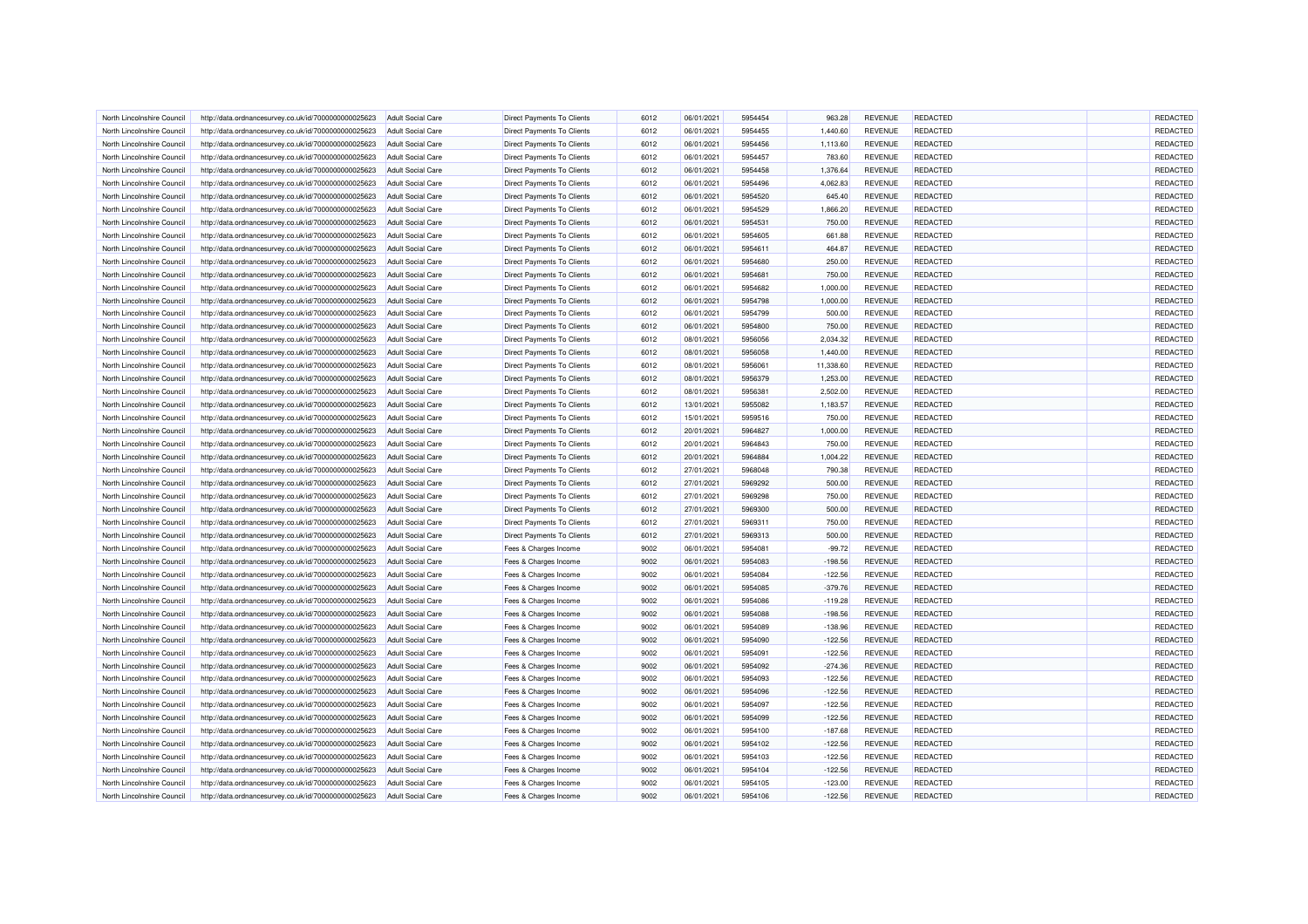| North Lincolnshire Council | http://data.ordnancesurvey.co.uk/id/7000000000025623 | <b>Adult Social Care</b> | <b>Direct Payments To Clients</b> | 6012 | 06/01/2021 | 5954454 | 963.28    | <b>REVENUE</b> | REDACTED        | REDACTED |
|----------------------------|------------------------------------------------------|--------------------------|-----------------------------------|------|------------|---------|-----------|----------------|-----------------|----------|
| North Lincolnshire Council | http://data.ordnancesurvey.co.uk/id/7000000000025623 | <b>Adult Social Care</b> | Direct Payments To Clients        | 6012 | 06/01/2021 | 5954455 | 1,440.60  | <b>REVENUE</b> | REDACTED        | REDACTED |
| North Lincolnshire Council | http://data.ordnancesurvey.co.uk/id/7000000000025623 | Adult Social Care        | Direct Payments To Clients        | 6012 | 06/01/2021 | 5954456 | 1,113.60  | <b>REVENUE</b> | REDACTED        | REDACTED |
| North Lincolnshire Council | http://data.ordnancesurvey.co.uk/id/7000000000025623 | <b>Adult Social Care</b> | <b>Direct Payments To Clients</b> | 6012 | 06/01/2021 | 5954457 | 783.60    | <b>REVENUE</b> | REDACTED        | REDACTED |
| North Lincolnshire Council | http://data.ordnancesurvey.co.uk/id/7000000000025623 | <b>Adult Social Care</b> | Direct Payments To Clients        | 6012 | 06/01/2021 | 5954458 | 1,376.64  | <b>REVENUE</b> | REDACTED        | REDACTED |
| North Lincolnshire Council | http://data.ordnancesurvey.co.uk/id/7000000000025623 | <b>Adult Social Care</b> | Direct Payments To Clients        | 6012 | 06/01/2021 | 5954496 | 4,062.83  | <b>REVENUE</b> | REDACTED        | REDACTED |
| North Lincolnshire Council | http://data.ordnancesurvey.co.uk/id/7000000000025623 | <b>Adult Social Care</b> | Direct Payments To Clients        | 6012 | 06/01/2021 | 5954520 | 645.40    | <b>REVENUE</b> | REDACTED        | REDACTED |
| North Lincolnshire Council | http://data.ordnancesurvey.co.uk/id/7000000000025623 | <b>Adult Social Care</b> | Direct Payments To Clients        | 6012 | 06/01/2021 | 5954529 | 1,866.20  | <b>REVENUE</b> | REDACTED        | REDACTED |
| North Lincolnshire Council | http://data.ordnancesurvey.co.uk/id/7000000000025623 | <b>Adult Social Care</b> | <b>Direct Payments To Clients</b> | 6012 | 06/01/2021 | 5954531 | 750.00    | <b>REVENUE</b> | REDACTED        | REDACTED |
| North Lincolnshire Council | http://data.ordnancesurvey.co.uk/id/7000000000025623 | <b>Adult Social Care</b> | Direct Payments To Clients        | 6012 | 06/01/2021 | 5954605 | 661.88    | <b>REVENUE</b> | REDACTED        | REDACTED |
| North Lincolnshire Council | http://data.ordnancesurvey.co.uk/id/7000000000025623 | Adult Social Care        | <b>Direct Payments To Clients</b> | 6012 | 06/01/2021 | 5954611 | 464.87    | <b>REVENUE</b> | <b>REDACTED</b> | REDACTED |
| North Lincolnshire Council | http://data.ordnancesurvey.co.uk/id/7000000000025623 | <b>Adult Social Care</b> | Direct Payments To Clients        | 6012 | 06/01/2021 | 5954680 | 250.00    | <b>REVENUE</b> | REDACTED        | REDACTED |
| North Lincolnshire Council | http://data.ordnancesurvey.co.uk/id/7000000000025623 | <b>Adult Social Care</b> | Direct Payments To Clients        | 6012 | 06/01/2021 | 5954681 | 750.00    | <b>REVENUE</b> | REDACTED        | REDACTED |
| North Lincolnshire Council | http://data.ordnancesurvey.co.uk/id/7000000000025623 | <b>Adult Social Care</b> | <b>Direct Payments To Clients</b> | 6012 | 06/01/2021 | 5954682 | 1,000.00  | <b>REVENUE</b> | REDACTED        | REDACTED |
| North Lincolnshire Council | http://data.ordnancesurvey.co.uk/id/7000000000025623 | <b>Adult Social Care</b> | Direct Payments To Clients        | 6012 | 06/01/2021 | 5954798 | 1,000.00  | <b>REVENUE</b> | REDACTED        | REDACTED |
| North Lincolnshire Council | http://data.ordnancesurvey.co.uk/id/7000000000025623 | <b>Adult Social Care</b> | Direct Payments To Clients        | 6012 | 06/01/2021 | 5954799 | 500.00    | <b>REVENUE</b> | REDACTED        | REDACTED |
|                            |                                                      |                          |                                   | 6012 | 06/01/2021 | 5954800 |           |                | REDACTED        | REDACTED |
| North Lincolnshire Council | http://data.ordnancesurvey.co.uk/id/7000000000025623 | <b>Adult Social Care</b> | Direct Payments To Clients        |      |            |         | 750.00    | <b>REVENUE</b> |                 |          |
| North Lincolnshire Council | http://data.ordnancesurvey.co.uk/id/7000000000025623 | <b>Adult Social Care</b> | <b>Direct Payments To Clients</b> | 6012 | 08/01/2021 | 5956056 | 2,034.32  | <b>REVENUE</b> | <b>REDACTED</b> | REDACTED |
| North Lincolnshire Council | http://data.ordnancesurvey.co.uk/id/7000000000025623 | Adult Social Care        | <b>Direct Payments To Clients</b> | 6012 | 08/01/2021 | 5956058 | 1,440.00  | <b>REVENUE</b> | <b>REDACTED</b> | REDACTED |
| North Lincolnshire Council | http://data.ordnancesurvey.co.uk/id/7000000000025623 | <b>Adult Social Care</b> | <b>Direct Payments To Clients</b> | 6012 | 08/01/2021 | 5956061 | 11,338.60 | <b>REVENUE</b> | <b>REDACTED</b> | REDACTED |
| North Lincolnshire Council | http://data.ordnancesurvey.co.uk/id/7000000000025623 | <b>Adult Social Care</b> | Direct Payments To Clients        | 6012 | 08/01/2021 | 5956379 | 1,253.00  | <b>REVENUE</b> | REDACTED        | REDACTED |
| North Lincolnshire Council | http://data.ordnancesurvey.co.uk/id/7000000000025623 | Adult Social Care        | <b>Direct Payments To Clients</b> | 6012 | 08/01/2021 | 5956381 | 2,502.00  | <b>REVENUE</b> | <b>REDACTED</b> | REDACTED |
| North Lincolnshire Council | http://data.ordnancesurvey.co.uk/id/7000000000025623 | <b>Adult Social Care</b> | Direct Payments To Clients        | 6012 | 13/01/2021 | 5955082 | 1,183.57  | <b>REVENUE</b> | REDACTED        | REDACTED |
| North Lincolnshire Council | http://data.ordnancesurvey.co.uk/id/7000000000025623 | <b>Adult Social Care</b> | Direct Payments To Clients        | 6012 | 15/01/2021 | 5959516 | 750.00    | <b>REVENUE</b> | REDACTED        | REDACTED |
| North Lincolnshire Council | http://data.ordnancesurvey.co.uk/id/7000000000025623 | <b>Adult Social Care</b> | Direct Payments To Clients        | 6012 | 20/01/2021 | 5964827 | 1,000.00  | <b>REVENUE</b> | REDACTED        | REDACTED |
| North Lincolnshire Council | http://data.ordnancesurvey.co.uk/id/7000000000025623 | <b>Adult Social Care</b> | Direct Payments To Clients        | 6012 | 20/01/2021 | 5964843 | 750.00    | <b>REVENUE</b> | <b>REDACTED</b> | REDACTED |
| North Lincolnshire Council | http://data.ordnancesurvey.co.uk/id/7000000000025623 | <b>Adult Social Care</b> | <b>Direct Payments To Clients</b> | 6012 | 20/01/2021 | 5964884 | 1,004.22  | <b>REVENUE</b> | <b>REDACTED</b> | REDACTED |
| North Lincolnshire Council | http://data.ordnancesurvey.co.uk/id/7000000000025623 | <b>Adult Social Care</b> | <b>Direct Payments To Clients</b> | 6012 | 27/01/2021 | 5968048 | 790.38    | <b>REVENUE</b> | <b>REDACTED</b> | REDACTED |
| North Lincolnshire Council | http://data.ordnancesurvey.co.uk/id/7000000000025623 | <b>Adult Social Care</b> | <b>Direct Payments To Clients</b> | 6012 | 27/01/2021 | 5969292 | 500.00    | <b>REVENUE</b> | REDACTED        | REDACTED |
| North Lincolnshire Council | http://data.ordnancesurvey.co.uk/id/7000000000025623 | Adult Social Care        | Direct Payments To Clients        | 6012 | 27/01/2021 | 5969298 | 750.00    | <b>REVENUE</b> | REDACTED        | REDACTED |
| North Lincolnshire Council | http://data.ordnancesurvey.co.uk/id/7000000000025623 | <b>Adult Social Care</b> | <b>Direct Payments To Clients</b> | 6012 | 27/01/2021 | 5969300 | 500.00    | <b>REVENUE</b> | REDACTED        | REDACTED |
| North Lincolnshire Council | http://data.ordnancesurvey.co.uk/id/7000000000025623 | <b>Adult Social Care</b> | Direct Payments To Clients        | 6012 | 27/01/2021 | 5969311 | 750.00    | <b>REVENUE</b> | REDACTED        | REDACTED |
| North Lincolnshire Council | http://data.ordnancesurvey.co.uk/id/7000000000025623 | <b>Adult Social Care</b> | Direct Payments To Clients        | 6012 | 27/01/2021 | 5969313 | 500.00    | <b>REVENUE</b> | REDACTED        | REDACTED |
| North Lincolnshire Council | http://data.ordnancesurvey.co.uk/id/7000000000025623 | <b>Adult Social Care</b> | Fees & Charges Income             | 9002 | 06/01/2021 | 5954081 | $-99.72$  | <b>REVENUE</b> | <b>REDACTED</b> | REDACTED |
| North Lincolnshire Council | http://data.ordnancesurvey.co.uk/id/7000000000025623 | <b>Adult Social Care</b> | Fees & Charges Income             | 9002 | 06/01/2021 | 5954083 | $-198.56$ | <b>REVENUE</b> | REDACTED        | REDACTED |
| North Lincolnshire Council | http://data.ordnancesurvey.co.uk/id/7000000000025623 | <b>Adult Social Care</b> | Fees & Charges Income             | 9002 | 06/01/2021 | 5954084 | $-122.56$ | <b>REVENUE</b> | REDACTED        | REDACTED |
| North Lincolnshire Council | http://data.ordnancesurvey.co.uk/id/7000000000025623 | <b>Adult Social Care</b> | Fees & Charges Income             | 9002 | 06/01/2021 | 5954085 | $-379.76$ | <b>REVENUE</b> | REDACTED        | REDACTED |
| North Lincolnshire Council | http://data.ordnancesurvey.co.uk/id/7000000000025623 | Adult Social Care        |                                   | 9002 | 06/01/2021 | 5954086 | $-119.28$ | <b>REVENUE</b> | <b>REDACTED</b> | REDACTED |
|                            |                                                      |                          | Fees & Charges Income             |      |            |         |           |                |                 |          |
| North Lincolnshire Council | http://data.ordnancesurvey.co.uk/id/7000000000025623 | <b>Adult Social Care</b> | Fees & Charges Income             | 9002 | 06/01/2021 | 5954088 | $-198.56$ | <b>REVENUE</b> | REDACTED        | REDACTED |
| North Lincolnshire Council | http://data.ordnancesurvey.co.uk/id/7000000000025623 | <b>Adult Social Care</b> | Fees & Charges Income             | 9002 | 06/01/2021 | 5954089 | $-138.96$ | <b>REVENUE</b> | REDACTED        | REDACTED |
| North Lincolnshire Council | http://data.ordnancesurvey.co.uk/id/7000000000025623 | Adult Social Care        | Fees & Charges Income             | 9002 | 06/01/2021 | 5954090 | $-122.56$ | <b>REVENUE</b> | REDACTED        | REDACTED |
| North Lincolnshire Council | http://data.ordnancesurvey.co.uk/id/7000000000025623 | <b>Adult Social Care</b> | Fees & Charges Income             | 9002 | 06/01/2021 | 5954091 | $-122.56$ | <b>REVENUE</b> | <b>REDACTED</b> | REDACTED |
| North Lincolnshire Council | http://data.ordnancesurvey.co.uk/id/7000000000025623 | <b>Adult Social Care</b> | Fees & Charges Income             | 9002 | 06/01/2021 | 5954092 | $-274.36$ | <b>REVENUE</b> | REDACTED        | REDACTED |
| North Lincolnshire Council | http://data.ordnancesurvey.co.uk/id/7000000000025623 | <b>Adult Social Care</b> | Fees & Charges Income             | 9002 | 06/01/2021 | 5954093 | $-122.56$ | <b>REVENUE</b> | REDACTED        | REDACTED |
| North Lincolnshire Council | http://data.ordnancesurvey.co.uk/id/7000000000025623 | <b>Adult Social Care</b> | Fees & Charges Income             | 9002 | 06/01/2021 | 5954096 | $-122.56$ | <b>REVENUE</b> | REDACTED        | REDACTED |
| North Lincolnshire Council | http://data.ordnancesurvey.co.uk/id/7000000000025623 | <b>Adult Social Care</b> | Fees & Charges Income             | 9002 | 06/01/2021 | 5954097 | $-122.56$ | <b>REVENUE</b> | REDACTED        | REDACTED |
| North Lincolnshire Council | http://data.ordnancesurvey.co.uk/id/7000000000025623 | <b>Adult Social Care</b> | Fees & Charges Income             | 9002 | 06/01/2021 | 5954099 | $-122.56$ | <b>REVENUE</b> | REDACTED        | REDACTED |
| North Lincolnshire Council | http://data.ordnancesurvey.co.uk/id/7000000000025623 | <b>Adult Social Care</b> | Fees & Charges Income             | 9002 | 06/01/2021 | 5954100 | $-187.68$ | <b>REVENUE</b> | REDACTED        | REDACTED |
| North Lincolnshire Council | http://data.ordnancesurvey.co.uk/id/7000000000025623 | <b>Adult Social Care</b> | Fees & Charges Income             | 9002 | 06/01/2021 | 5954102 | $-122.56$ | <b>REVENUE</b> | <b>REDACTED</b> | REDACTED |
| North Lincolnshire Council | http://data.ordnancesurvey.co.uk/id/7000000000025623 | <b>Adult Social Care</b> | Fees & Charges Income             | 9002 | 06/01/2021 | 5954103 | $-122.56$ | <b>REVENUE</b> | REDACTED        | REDACTED |
| North Lincolnshire Council | http://data.ordnancesurvey.co.uk/id/7000000000025623 | <b>Adult Social Care</b> | Fees & Charges Income             | 9002 | 06/01/2021 | 5954104 | $-122.56$ | <b>REVENUE</b> | REDACTED        | REDACTED |
| North Lincolnshire Council | http://data.ordnancesurvey.co.uk/id/7000000000025623 | <b>Adult Social Care</b> | Fees & Charges Income             | 9002 | 06/01/2021 | 5954105 | $-123.00$ | <b>REVENUE</b> | REDACTED        | REDACTED |
| North Lincolnshire Council | http://data.ordnancesurvey.co.uk/id/7000000000025623 | <b>Adult Social Care</b> | Fees & Charges Income             | 9002 | 06/01/2021 | 5954106 | $-122.56$ | <b>REVENUE</b> | REDACTED        | REDACTED |
|                            |                                                      |                          |                                   |      |            |         |           |                |                 |          |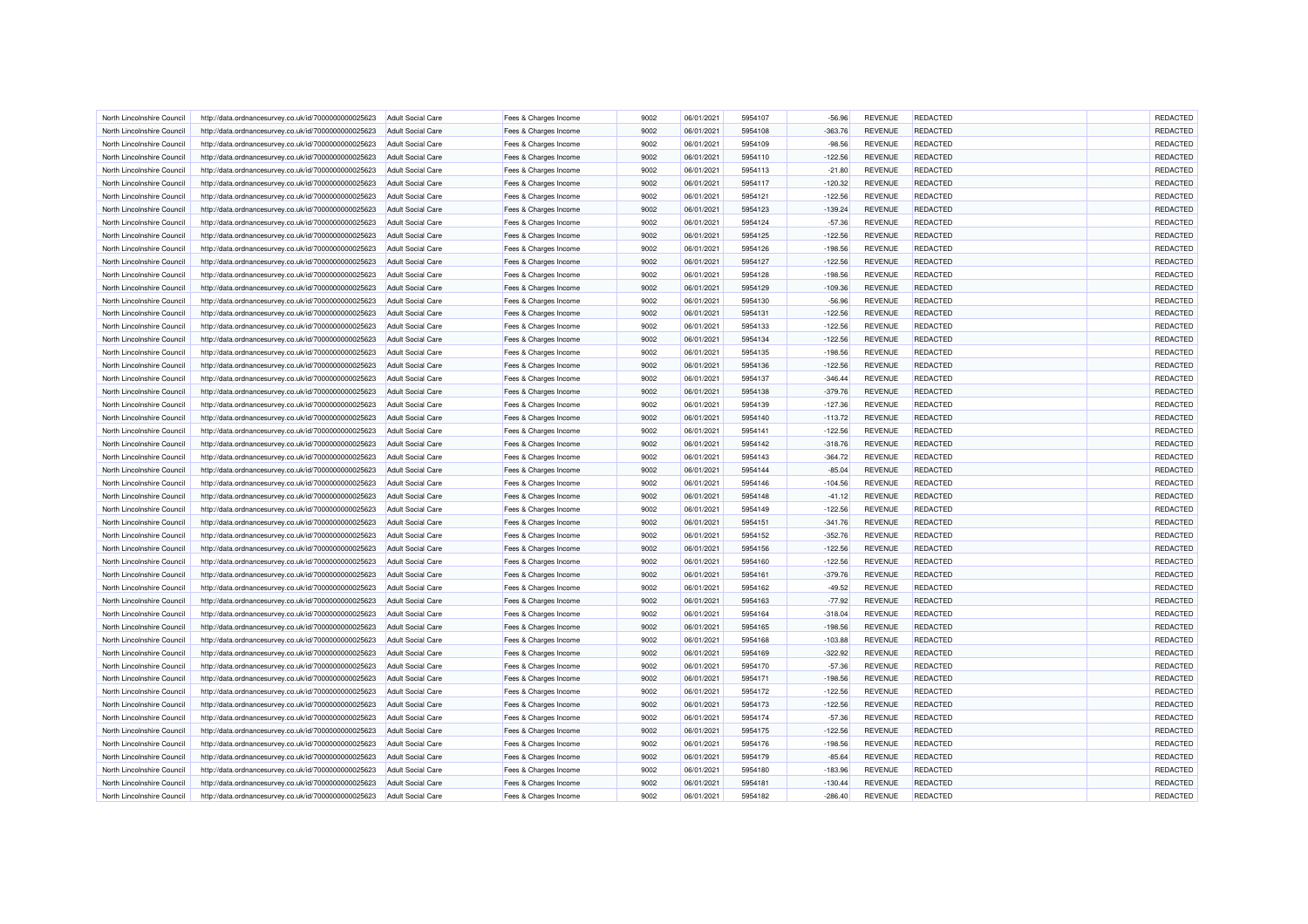| North Lincolnshire Council | http://data.ordnancesurvey.co.uk/id/7000000000025623                                                         | Adult Social Care        | Fees & Charges Income                          | 9002 | 06/01/2021 | 5954107 | $-56.96$  | <b>REVENUE</b> | REDACTED        | REDACTED |
|----------------------------|--------------------------------------------------------------------------------------------------------------|--------------------------|------------------------------------------------|------|------------|---------|-----------|----------------|-----------------|----------|
| North Lincolnshire Council | http://data.ordnancesurvey.co.uk/id/7000000000025623                                                         | <b>Adult Social Care</b> | Fees & Charges Income                          | 9002 | 06/01/2021 | 5954108 | $-363.76$ | <b>REVENUE</b> | REDACTED        | REDACTED |
| North Lincolnshire Council | http://data.ordnancesurvey.co.uk/id/7000000000025623                                                         | <b>Adult Social Care</b> | Fees & Charges Income                          | 9002 | 06/01/2021 | 5954109 | $-98.56$  | <b>REVENUE</b> | REDACTED        | REDACTED |
| North Lincolnshire Council | http://data.ordnancesurvey.co.uk/id/7000000000025623                                                         | <b>Adult Social Care</b> | Fees & Charges Income                          | 9002 | 06/01/2021 | 5954110 | $-122.56$ | <b>REVENUE</b> | REDACTED        | REDACTED |
| North Lincolnshire Council | http://data.ordnancesurvey.co.uk/id/7000000000025623                                                         | <b>Adult Social Care</b> | Fees & Charges Income                          | 9002 | 06/01/2021 | 5954113 | $-21.80$  | <b>REVENUE</b> | REDACTED        | REDACTED |
| North Lincolnshire Council | http://data.ordnancesurvey.co.uk/id/7000000000025623                                                         | <b>Adult Social Care</b> | Fees & Charges Income                          | 9002 | 06/01/2021 | 5954117 | $-120.32$ | <b>REVENUE</b> | REDACTED        | REDACTED |
| North Lincolnshire Council | http://data.ordnancesurvey.co.uk/id/7000000000025623                                                         | <b>Adult Social Care</b> | Fees & Charges Income                          | 9002 | 06/01/2021 | 5954121 | $-122.56$ | <b>REVENUE</b> | REDACTED        | REDACTED |
| North Lincolnshire Council | http://data.ordnancesurvey.co.uk/id/7000000000025623                                                         | <b>Adult Social Care</b> | Fees & Charges Income                          | 9002 | 06/01/2021 | 5954123 | $-139.24$ | <b>REVENUE</b> | REDACTED        | REDACTED |
| North Lincolnshire Council | http://data.ordnancesurvey.co.uk/id/7000000000025623                                                         | <b>Adult Social Care</b> | Fees & Charges Income                          | 9002 | 06/01/2021 | 5954124 | $-57.36$  | <b>REVENUE</b> | REDACTED        | REDACTED |
| North Lincolnshire Council | http://data.ordnancesurvey.co.uk/id/7000000000025623                                                         | <b>Adult Social Care</b> | Fees & Charges Income                          | 9002 | 06/01/2021 | 5954125 | $-122.56$ | <b>REVENUE</b> | <b>REDACTED</b> | REDACTED |
| North Lincolnshire Council | http://data.ordnancesurvey.co.uk/id/7000000000025623                                                         | <b>Adult Social Care</b> | Fees & Charges Income                          | 9002 | 06/01/2021 | 5954126 | $-198.56$ | <b>REVENUE</b> | <b>REDACTED</b> | REDACTED |
| North Lincolnshire Council | http://data.ordnancesurvey.co.uk/id/7000000000025623                                                         | Adult Social Care        | Fees & Charges Income                          | 9002 | 06/01/2021 | 5954127 | $-122.56$ | <b>REVENUE</b> | REDACTED        | REDACTED |
| North Lincolnshire Council | http://data.ordnancesurvey.co.uk/id/7000000000025623                                                         | <b>Adult Social Care</b> | Fees & Charges Income                          | 9002 | 06/01/2021 | 5954128 | $-198.56$ | <b>REVENUE</b> | REDACTED        | REDACTED |
| North Lincolnshire Council |                                                                                                              | <b>Adult Social Care</b> |                                                | 9002 | 06/01/2021 | 5954129 | $-109.36$ | <b>REVENUE</b> | REDACTED        | REDACTED |
| North Lincolnshire Council | http://data.ordnancesurvey.co.uk/id/7000000000025623<br>http://data.ordnancesurvey.co.uk/id/7000000000025623 | <b>Adult Social Care</b> | Fees & Charges Income<br>Fees & Charges Income | 9002 | 06/01/2021 | 5954130 | $-56.96$  | <b>REVENUE</b> | REDACTED        | REDACTED |
|                            |                                                                                                              |                          |                                                | 9002 |            |         |           |                | REDACTED        | REDACTED |
| North Lincolnshire Council | http://data.ordnancesurvey.co.uk/id/7000000000025623                                                         | <b>Adult Social Care</b> | Fees & Charges Income                          |      | 06/01/2021 | 5954131 | $-122.56$ | <b>REVENUE</b> |                 |          |
| North Lincolnshire Council | http://data.ordnancesurvey.co.uk/id/7000000000025623                                                         | <b>Adult Social Care</b> | Fees & Charges Income                          | 9002 | 06/01/2021 | 5954133 | $-122.56$ | <b>REVENUE</b> | REDACTED        | REDACTED |
| North Lincolnshire Council | http://data.ordnancesurvey.co.uk/id/7000000000025623                                                         | <b>Adult Social Care</b> | Fees & Charges Income                          | 9002 | 06/01/2021 | 5954134 | $-122.56$ | <b>REVENUE</b> | REDACTED        | REDACTED |
| North Lincolnshire Council | http://data.ordnancesurvey.co.uk/id/7000000000025623                                                         | <b>Adult Social Care</b> | Fees & Charges Income                          | 9002 | 06/01/2021 | 5954135 | $-198.56$ | <b>REVENUE</b> | REDACTED        | REDACTED |
| North Lincolnshire Council | http://data.ordnancesurvey.co.uk/id/7000000000025623                                                         | <b>Adult Social Care</b> | Fees & Charges Income                          | 9002 | 06/01/2021 | 5954136 | $-122.56$ | <b>REVENUE</b> | REDACTED        | REDACTED |
| North Lincolnshire Council | http://data.ordnancesurvey.co.uk/id/7000000000025623                                                         | <b>Adult Social Care</b> | Fees & Charges Income                          | 9002 | 06/01/2021 | 5954137 | $-346.44$ | <b>REVENUE</b> | REDACTED        | REDACTED |
| North Lincolnshire Council | http://data.ordnancesurvey.co.uk/id/7000000000025623                                                         | Adult Social Care        | Fees & Charges Income                          | 9002 | 06/01/2021 | 5954138 | $-379.76$ | <b>REVENUE</b> | <b>REDACTED</b> | REDACTED |
| North Lincolnshire Council | http://data.ordnancesurvey.co.uk/id/7000000000025623                                                         | <b>Adult Social Care</b> | Fees & Charges Income                          | 9002 | 06/01/2021 | 5954139 | $-127.36$ | <b>REVENUE</b> | <b>REDACTED</b> | REDACTED |
| North Lincolnshire Council | http://data.ordnancesurvey.co.uk/id/7000000000025623                                                         | <b>Adult Social Care</b> | Fees & Charges Income                          | 9002 | 06/01/2021 | 5954140 | $-113.72$ | <b>REVENUE</b> | REDACTED        | REDACTED |
| North Lincolnshire Council | http://data.ordnancesurvey.co.uk/id/7000000000025623                                                         | Adult Social Care        | Fees & Charges Income                          | 9002 | 06/01/2021 | 5954141 | $-122.56$ | <b>REVENUE</b> | <b>REDACTED</b> | REDACTED |
| North Lincolnshire Council | http://data.ordnancesurvey.co.uk/id/7000000000025623                                                         | <b>Adult Social Care</b> | Fees & Charges Income                          | 9002 | 06/01/2021 | 5954142 | $-318.76$ | <b>REVENUE</b> | REDACTED        | REDACTED |
| North Lincolnshire Council | http://data.ordnancesurvey.co.uk/id/7000000000025623                                                         | <b>Adult Social Care</b> | Fees & Charges Income                          | 9002 | 06/01/2021 | 5954143 | $-364.72$ | <b>REVENUE</b> | <b>REDACTED</b> | REDACTED |
| North Lincolnshire Council | http://data.ordnancesurvey.co.uk/id/7000000000025623                                                         | <b>Adult Social Care</b> | Fees & Charges Income                          | 9002 | 06/01/2021 | 5954144 | $-85.04$  | <b>REVENUE</b> | REDACTED        | REDACTED |
| North Lincolnshire Council | http://data.ordnancesurvey.co.uk/id/7000000000025623                                                         | <b>Adult Social Care</b> | Fees & Charges Income                          | 9002 | 06/01/2021 | 5954146 | $-104.56$ | <b>REVENUE</b> | <b>REDACTED</b> | REDACTED |
| North Lincolnshire Council | http://data.ordnancesurvey.co.uk/id/7000000000025623                                                         | <b>Adult Social Care</b> | Fees & Charges Income                          | 9002 | 06/01/2021 | 5954148 | $-41.12$  | <b>REVENUE</b> | REDACTED        | REDACTED |
| North Lincolnshire Council | http://data.ordnancesurvey.co.uk/id/7000000000025623                                                         | <b>Adult Social Care</b> | Fees & Charges Income                          | 9002 | 06/01/2021 | 5954149 | $-122.56$ | <b>REVENUE</b> | REDACTED        | REDACTED |
| North Lincolnshire Council | http://data.ordnancesurvey.co.uk/id/7000000000025623                                                         | <b>Adult Social Care</b> | Fees & Charges Income                          | 9002 | 06/01/2021 | 5954151 | $-341.76$ | <b>REVENUE</b> | REDACTED        | REDACTED |
| North Lincolnshire Council | http://data.ordnancesurvey.co.uk/id/7000000000025623                                                         | Adult Social Care        | Fees & Charges Income                          | 9002 | 06/01/2021 | 5954152 | $-352.76$ | <b>REVENUE</b> | REDACTED        | REDACTED |
| North Lincolnshire Council | http://data.ordnancesurvey.co.uk/id/7000000000025623                                                         | <b>Adult Social Care</b> | Fees & Charges Income                          | 9002 | 06/01/2021 | 5954156 | $-122.56$ | <b>REVENUE</b> | REDACTED        | REDACTED |
| North Lincolnshire Council | http://data.ordnancesurvey.co.uk/id/7000000000025623                                                         | <b>Adult Social Care</b> | Fees & Charges Income                          | 9002 | 06/01/2021 | 5954160 | $-122.56$ | <b>REVENUE</b> | REDACTED        | REDACTED |
| North Lincolnshire Council | http://data.ordnancesurvey.co.uk/id/7000000000025623                                                         | Adult Social Care        | Fees & Charges Income                          | 9002 | 06/01/2021 | 5954161 | $-379.76$ | <b>REVENUE</b> | REDACTED        | REDACTED |
| North Lincolnshire Council | http://data.ordnancesurvey.co.uk/id/7000000000025623                                                         | <b>Adult Social Care</b> | Fees & Charges Income                          | 9002 | 06/01/2021 | 5954162 | $-49.52$  | <b>REVENUE</b> | REDACTED        | REDACTED |
| North Lincolnshire Council | http://data.ordnancesurvey.co.uk/id/7000000000025623                                                         | <b>Adult Social Care</b> | Fees & Charges Income                          | 9002 | 06/01/2021 | 5954163 | $-77.92$  | <b>REVENUE</b> | REDACTED        | REDACTED |
| North Lincolnshire Council | http://data.ordnancesurvey.co.uk/id/7000000000025623                                                         | <b>Adult Social Care</b> | Fees & Charges Income                          | 9002 | 06/01/2021 | 5954164 | $-318.04$ | <b>REVENUE</b> | REDACTED        | REDACTED |
| North Lincolnshire Council | http://data.ordnancesurvey.co.uk/id/7000000000025623                                                         | <b>Adult Social Care</b> | Fees & Charges Income                          | 9002 | 06/01/2021 | 5954165 | $-198.56$ | <b>REVENUE</b> | REDACTED        | REDACTED |
| North Lincolnshire Council | http://data.ordnancesurvey.co.uk/id/7000000000025623                                                         | <b>Adult Social Care</b> | Fees & Charges Income                          | 9002 | 06/01/2021 | 5954168 | $-103.88$ | <b>REVENUE</b> | REDACTED        | REDACTED |
| North Lincolnshire Council | http://data.ordnancesurvey.co.uk/id/7000000000025623                                                         | <b>Adult Social Care</b> | Fees & Charges Income                          | 9002 | 06/01/2021 | 5954169 | $-322.92$ | <b>REVENUE</b> | <b>REDACTED</b> | REDACTED |
| North Lincolnshire Council | http://data.ordnancesurvey.co.uk/id/7000000000025623                                                         | <b>Adult Social Care</b> | Fees & Charges Income                          | 9002 | 06/01/2021 | 5954170 | $-57.36$  | <b>REVENUE</b> | REDACTED        | REDACTED |
| North Lincolnshire Council | http://data.ordnancesurvey.co.uk/id/7000000000025623                                                         | Adult Social Care        | Fees & Charges Income                          | 9002 | 06/01/2021 | 5954171 | $-198.56$ | <b>REVENUE</b> | <b>REDACTED</b> | REDACTED |
| North Lincolnshire Council | http://data.ordnancesurvey.co.uk/id/7000000000025623                                                         | <b>Adult Social Care</b> | Fees & Charges Income                          | 9002 | 06/01/2021 | 5954172 | $-122.56$ | <b>REVENUE</b> | REDACTED        | REDACTED |
|                            |                                                                                                              |                          |                                                |      |            |         |           |                |                 |          |
| North Lincolnshire Council | http://data.ordnancesurvey.co.uk/id/7000000000025623                                                         | <b>Adult Social Care</b> | Fees & Charges Income                          | 9002 | 06/01/2021 | 5954173 | $-122.56$ | <b>REVENUE</b> | REDACTED        | REDACTED |
| North Lincolnshire Council | http://data.ordnancesurvey.co.uk/id/7000000000025623                                                         | <b>Adult Social Care</b> | Fees & Charges Income                          | 9002 | 06/01/2021 | 5954174 | $-57.36$  | <b>REVENUE</b> | REDACTED        | REDACTED |
| North Lincolnshire Council | http://data.ordnancesurvey.co.uk/id/7000000000025623                                                         | <b>Adult Social Care</b> | Fees & Charges Income                          | 9002 | 06/01/2021 | 5954175 | $-122.56$ | <b>REVENUE</b> | REDACTED        | REDACTED |
| North Lincolnshire Council | http://data.ordnancesurvey.co.uk/id/7000000000025623                                                         | <b>Adult Social Care</b> | Fees & Charges Income                          | 9002 | 06/01/2021 | 5954176 | $-198.56$ | <b>REVENUE</b> | <b>REDACTED</b> | REDACTED |
| North Lincolnshire Council | http://data.ordnancesurvey.co.uk/id/7000000000025623                                                         | <b>Adult Social Care</b> | Fees & Charges Income                          | 9002 | 06/01/2021 | 5954179 | $-85.64$  | <b>REVENUE</b> | <b>REDACTED</b> | REDACTED |
| North Lincolnshire Council | http://data.ordnancesurvey.co.uk/id/7000000000025623                                                         | <b>Adult Social Care</b> | Fees & Charges Income                          | 9002 | 06/01/2021 | 5954180 | $-183.96$ | <b>REVENUE</b> | REDACTED        | REDACTED |
| North Lincolnshire Council | http://data.ordnancesurvey.co.uk/id/7000000000025623                                                         | <b>Adult Social Care</b> | Fees & Charges Income                          | 9002 | 06/01/2021 | 5954181 | $-130.44$ | <b>REVENUE</b> | REDACTED        | REDACTED |
| North Lincolnshire Council | http://data.ordnancesurvey.co.uk/id/7000000000025623                                                         | <b>Adult Social Care</b> | Fees & Charges Income                          | 9002 | 06/01/2021 | 5954182 | $-286.40$ | <b>REVENUE</b> | REDACTED        | REDACTED |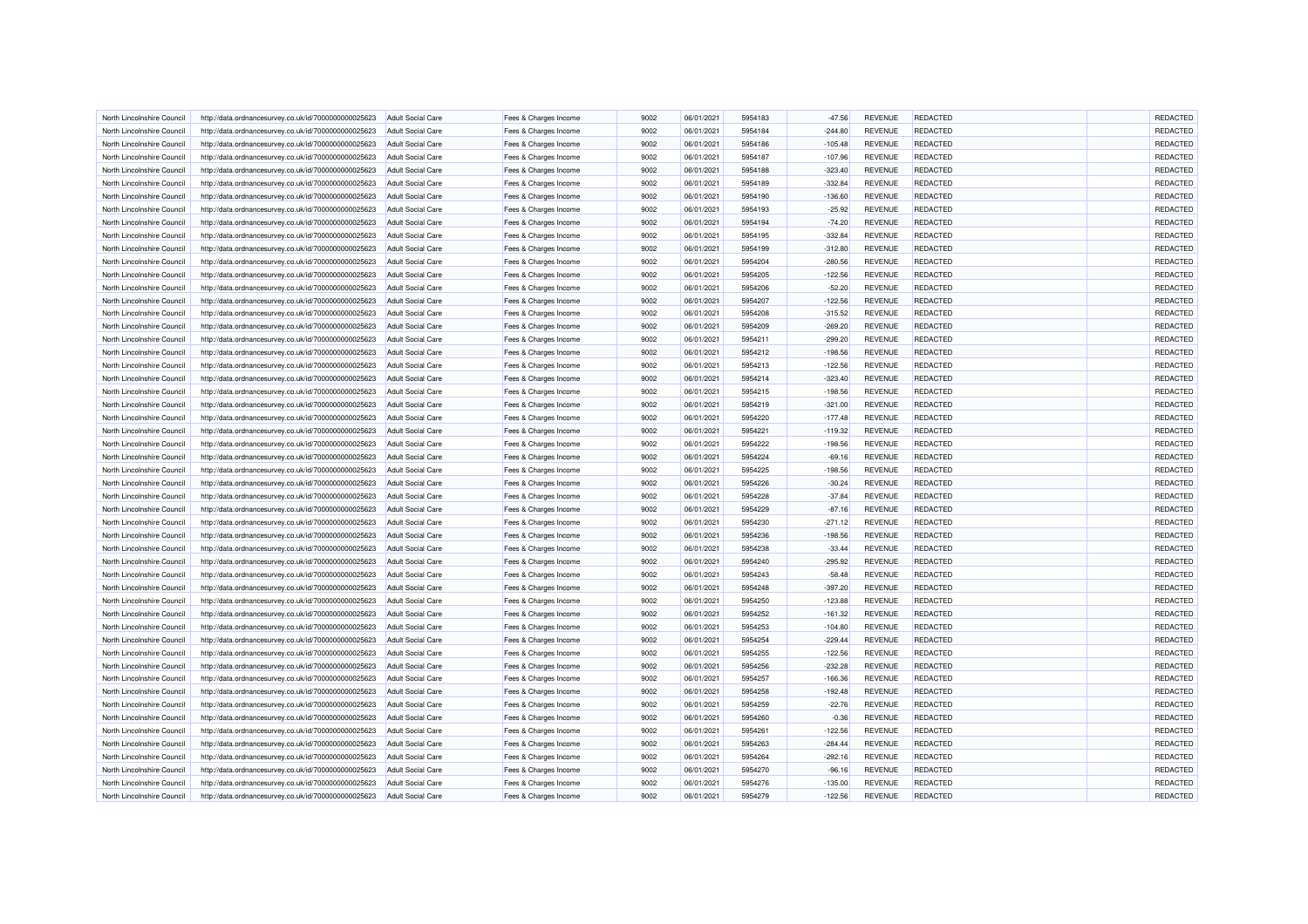| North Lincolnshire Council | http://data.ordnancesurvey.co.uk/id/7000000000025623 | <b>Adult Social Care</b> | Fees & Charges Income | 9002 | 06/01/2021 | 5954183 | $-47.56$  | <b>REVENUE</b> | <b>REDACTED</b> | REDACTED |
|----------------------------|------------------------------------------------------|--------------------------|-----------------------|------|------------|---------|-----------|----------------|-----------------|----------|
| North Lincolnshire Council | http://data.ordnancesurvey.co.uk/id/7000000000025623 | <b>Adult Social Care</b> | Fees & Charges Income | 9002 | 06/01/2021 | 5954184 | $-244.80$ | <b>REVENUE</b> | REDACTED        | REDACTED |
| North Lincolnshire Council | http://data.ordnancesurvey.co.uk/id/7000000000025623 | Adult Social Care        | Fees & Charges Income | 9002 | 06/01/2021 | 5954186 | $-105.48$ | <b>REVENUE</b> | <b>REDACTED</b> | REDACTED |
| North Lincolnshire Counci  | http://data.ordnancesurvey.co.uk/id/7000000000025623 | <b>Adult Social Care</b> | Fees & Charges Income | 9002 | 06/01/2021 | 5954187 | $-107.96$ | <b>REVENUE</b> | REDACTED        | REDACTED |
| North Lincolnshire Council | http://data.ordnancesurvey.co.uk/id/7000000000025623 | <b>Adult Social Care</b> | Fees & Charges Income | 9002 | 06/01/2021 | 5954188 | $-323.40$ | <b>REVENUE</b> | REDACTED        | REDACTED |
| North Lincolnshire Council | http://data.ordnancesurvey.co.uk/id/7000000000025623 | <b>Adult Social Care</b> | Fees & Charges Income | 9002 | 06/01/2021 | 5954189 | $-332.84$ | <b>REVENUE</b> | REDACTED        | REDACTED |
| North Lincolnshire Council | http://data.ordnancesurvey.co.uk/id/7000000000025623 | <b>Adult Social Care</b> | Fees & Charges Income | 9002 | 06/01/2021 | 5954190 | $-136.60$ | <b>REVENUE</b> | REDACTED        | REDACTED |
| North Lincolnshire Council | http://data.ordnancesurvey.co.uk/id/7000000000025623 | <b>Adult Social Care</b> | Fees & Charges Income | 9002 | 06/01/2021 | 5954193 | $-25.92$  | <b>REVENUE</b> | REDACTED        | REDACTED |
| North Lincolnshire Counci  | http://data.ordnancesurvey.co.uk/id/7000000000025623 | <b>Adult Social Care</b> | Fees & Charges Income | 9002 | 06/01/2021 | 5954194 | $-74.20$  | <b>REVENUE</b> | <b>REDACTED</b> | REDACTED |
| North Lincolnshire Council | http://data.ordnancesurvey.co.uk/id/7000000000025623 | <b>Adult Social Care</b> | Fees & Charges Income | 9002 | 06/01/2021 | 5954195 | $-332.84$ | <b>REVENUE</b> | REDACTED        | REDACTED |
| North Lincolnshire Council | http://data.ordnancesurvey.co.uk/id/7000000000025623 | Adult Social Care        | Fees & Charges Income | 9002 | 06/01/2021 | 5954199 | $-312.80$ | <b>REVENUE</b> | <b>REDACTED</b> | REDACTED |
| North Lincolnshire Council | http://data.ordnancesurvey.co.uk/id/7000000000025623 | <b>Adult Social Care</b> | Fees & Charges Income | 9002 | 06/01/2021 | 5954204 | $-280.56$ | <b>REVENUE</b> | <b>REDACTED</b> | REDACTED |
| North Lincolnshire Council | http://data.ordnancesurvey.co.uk/id/7000000000025623 | <b>Adult Social Care</b> | Fees & Charges Income | 9002 | 06/01/2021 | 5954205 | $-122.56$ | <b>REVENUE</b> | REDACTED        | REDACTED |
| North Lincolnshire Council | http://data.ordnancesurvey.co.uk/id/7000000000025623 | <b>Adult Social Care</b> | Fees & Charges Income | 9002 | 06/01/2021 | 5954206 | $-52.20$  | <b>REVENUE</b> | REDACTED        | REDACTED |
| North Lincolnshire Council | http://data.ordnancesurvey.co.uk/id/7000000000025623 | <b>Adult Social Care</b> | Fees & Charges Income | 9002 | 06/01/2021 | 5954207 | $-122.56$ | <b>REVENUE</b> | <b>REDACTED</b> | REDACTED |
| North Lincolnshire Council | http://data.ordnancesurvey.co.uk/id/7000000000025623 | <b>Adult Social Care</b> | Fees & Charges Income | 9002 | 06/01/2021 | 5954208 | $-315.52$ | <b>REVENUE</b> | REDACTED        | REDACTED |
| North Lincolnshire Council | http://data.ordnancesurvey.co.uk/id/7000000000025623 | <b>Adult Social Care</b> | Fees & Charges Income | 9002 | 06/01/2021 | 5954209 | $-269.20$ | <b>REVENUE</b> | REDACTED        | REDACTED |
|                            |                                                      |                          |                       | 9002 | 06/01/2021 |         |           |                |                 | REDACTED |
| North Lincolnshire Council | http://data.ordnancesurvey.co.uk/id/7000000000025623 | <b>Adult Social Care</b> | Fees & Charges Income |      |            | 5954211 | $-299.20$ | <b>REVENUE</b> | <b>REDACTED</b> |          |
| North Lincolnshire Council | http://data.ordnancesurvey.co.uk/id/7000000000025623 | <b>Adult Social Care</b> | Fees & Charges Income | 9002 | 06/01/2021 | 5954212 | $-198.56$ | <b>REVENUE</b> | <b>REDACTED</b> | REDACTED |
| North Lincolnshire Counci  | http://data.ordnancesurvey.co.uk/id/7000000000025623 | <b>Adult Social Care</b> | Fees & Charges Income | 9002 | 06/01/2021 | 5954213 | $-122.56$ | <b>REVENUE</b> | REDACTED        | REDACTED |
| North Lincolnshire Council | http://data.ordnancesurvey.co.uk/id/7000000000025623 | <b>Adult Social Care</b> | Fees & Charges Income | 9002 | 06/01/2021 | 5954214 | $-323.40$ | <b>REVENUE</b> | REDACTED        | REDACTED |
| North Lincolnshire Council | http://data.ordnancesurvey.co.uk/id/7000000000025623 | Adult Social Care        | Fees & Charges Income | 9002 | 06/01/2021 | 5954215 | $-198.56$ | <b>REVENUE</b> | REDACTED        | REDACTED |
| North Lincolnshire Council | http://data.ordnancesurvey.co.uk/id/7000000000025623 | <b>Adult Social Care</b> | Fees & Charges Income | 9002 | 06/01/2021 | 5954219 | $-321.00$ | <b>REVENUE</b> | <b>REDACTED</b> | REDACTED |
| North Lincolnshire Council | http://data.ordnancesurvey.co.uk/id/7000000000025623 | <b>Adult Social Care</b> | Fees & Charges Income | 9002 | 06/01/2021 | 5954220 | $-177.48$ | <b>REVENUE</b> | REDACTED        | REDACTED |
| North Lincolnshire Council | http://data.ordnancesurvey.co.uk/id/7000000000025623 | <b>Adult Social Care</b> | Fees & Charges Income | 9002 | 06/01/2021 | 5954221 | $-119.32$ | <b>REVENUE</b> | REDACTED        | REDACTED |
| North Lincolnshire Counci  | http://data.ordnancesurvey.co.uk/id/7000000000025623 | <b>Adult Social Care</b> | Fees & Charges Income | 9002 | 06/01/2021 | 5954222 | $-198.56$ | <b>REVENUE</b> | <b>REDACTED</b> | REDACTED |
| North Lincolnshire Council | http://data.ordnancesurvey.co.uk/id/7000000000025623 | <b>Adult Social Care</b> | Fees & Charges Income | 9002 | 06/01/2021 | 5954224 | $-69.16$  | <b>REVENUE</b> | <b>REDACTED</b> | REDACTED |
| North Lincolnshire Council | http://data.ordnancesurvey.co.uk/id/7000000000025623 | <b>Adult Social Care</b> | Fees & Charges Income | 9002 | 06/01/2021 | 5954225 | $-198.56$ | <b>REVENUE</b> | REDACTED        | REDACTED |
| North Lincolnshire Council | http://data.ordnancesurvey.co.uk/id/7000000000025623 | <b>Adult Social Care</b> | Fees & Charges Income | 9002 | 06/01/2021 | 5954226 | $-30.24$  | <b>REVENUE</b> | REDACTED        | REDACTED |
| North Lincolnshire Council | http://data.ordnancesurvey.co.uk/id/7000000000025623 | Adult Social Care        | Fees & Charges Income | 9002 | 06/01/2021 | 5954228 | $-37.84$  | <b>REVENUE</b> | <b>REDACTED</b> | REDACTED |
| North Lincolnshire Counci  | http://data.ordnancesurvey.co.uk/id/7000000000025623 | <b>Adult Social Care</b> | Fees & Charges Income | 9002 | 06/01/2021 | 5954229 | $-87.16$  | <b>REVENUE</b> | REDACTED        | REDACTED |
| North Lincolnshire Council | http://data.ordnancesurvey.co.uk/id/7000000000025623 | <b>Adult Social Care</b> | Fees & Charges Income | 9002 | 06/01/2021 | 5954230 | $-271.12$ | <b>REVENUE</b> | REDACTED        | REDACTED |
| North Lincolnshire Council | http://data.ordnancesurvey.co.uk/id/7000000000025623 | <b>Adult Social Care</b> | Fees & Charges Income | 9002 | 06/01/2021 | 5954236 | $-198.56$ | <b>REVENUE</b> | REDACTED        | REDACTED |
| North Lincolnshire Council | http://data.ordnancesurvey.co.uk/id/7000000000025623 | <b>Adult Social Care</b> | Fees & Charges Income | 9002 | 06/01/2021 | 5954238 | $-33.44$  | REVENUE        | <b>REDACTED</b> | REDACTED |
| North Lincolnshire Council | http://data.ordnancesurvey.co.uk/id/7000000000025623 | <b>Adult Social Care</b> | Fees & Charges Income | 9002 | 06/01/2021 | 5954240 | $-295.92$ | <b>REVENUE</b> | REDACTED        | REDACTED |
| North Lincolnshire Counci  | http://data.ordnancesurvey.co.uk/id/7000000000025623 | <b>Adult Social Care</b> | Fees & Charges Income | 9002 | 06/01/2021 | 5954243 | $-58.48$  | <b>REVENUE</b> | <b>REDACTED</b> | REDACTED |
| North Lincolnshire Council | http://data.ordnancesurvey.co.uk/id/7000000000025623 | <b>Adult Social Care</b> | Fees & Charges Income | 9002 | 06/01/2021 | 5954248 | $-397.20$ | <b>REVENUE</b> | REDACTED        | REDACTED |
| North Lincolnshire Council |                                                      | Adult Social Care        |                       | 9002 | 06/01/2021 | 5954250 |           | <b>REVENUE</b> | <b>REDACTED</b> | REDACTED |
|                            | http://data.ordnancesurvey.co.uk/id/7000000000025623 |                          | Fees & Charges Income |      |            |         | $-123.88$ |                |                 |          |
| North Lincolnshire Council | http://data.ordnancesurvey.co.uk/id/7000000000025623 | <b>Adult Social Care</b> | Fees & Charges Income | 9002 | 06/01/2021 | 5954252 | $-161.32$ | <b>REVENUE</b> | REDACTED        | REDACTED |
| North Lincolnshire Council | http://data.ordnancesurvey.co.uk/id/7000000000025623 | <b>Adult Social Care</b> | Fees & Charges Income | 9002 | 06/01/2021 | 5954253 | $-104.80$ | <b>REVENUE</b> | <b>REDACTED</b> | REDACTED |
| North Lincolnshire Council | http://data.ordnancesurvey.co.uk/id/7000000000025623 | <b>Adult Social Care</b> | Fees & Charges Income | 9002 | 06/01/2021 | 5954254 | $-229.44$ | <b>REVENUE</b> | REDACTED        | REDACTED |
| North Lincolnshire Council | http://data.ordnancesurvey.co.uk/id/7000000000025623 | <b>Adult Social Care</b> | Fees & Charges Income | 9002 | 06/01/2021 | 5954255 | $-122.56$ | <b>REVENUE</b> | <b>REDACTED</b> | REDACTED |
| North Lincolnshire Council | http://data.ordnancesurvey.co.uk/id/7000000000025623 | <b>Adult Social Care</b> | Fees & Charges Income | 9002 | 06/01/2021 | 5954256 | $-232.28$ | <b>REVENUE</b> | REDACTED        | REDACTED |
| North Lincolnshire Council | http://data.ordnancesurvey.co.uk/id/7000000000025623 | <b>Adult Social Care</b> | Fees & Charges Income | 9002 | 06/01/2021 | 5954257 | $-166.36$ | <b>REVENUE</b> | REDACTED        | REDACTED |
| North Lincolnshire Council | http://data.ordnancesurvey.co.uk/id/7000000000025623 | <b>Adult Social Care</b> | Fees & Charges Income | 9002 | 06/01/2021 | 5954258 | $-192.48$ | <b>REVENUE</b> | REDACTED        | REDACTED |
| North Lincolnshire Council | http://data.ordnancesurvey.co.uk/id/7000000000025623 | <b>Adult Social Care</b> | Fees & Charges Income | 9002 | 06/01/2021 | 5954259 | $-22.76$  | <b>REVENUE</b> | <b>REDACTED</b> | REDACTED |
| North Lincolnshire Counci  | http://data.ordnancesurvey.co.uk/id/7000000000025623 | <b>Adult Social Care</b> | Fees & Charges Income | 9002 | 06/01/2021 | 5954260 | $-0.36$   | <b>REVENUE</b> | <b>REDACTED</b> | REDACTED |
| North Lincolnshire Council | http://data.ordnancesurvey.co.uk/id/7000000000025623 | <b>Adult Social Care</b> | Fees & Charges Income | 9002 | 06/01/2021 | 5954261 | $-122.56$ | <b>REVENUE</b> | REDACTED        | REDACTED |
| North Lincolnshire Council | http://data.ordnancesurvey.co.uk/id/7000000000025623 | Adult Social Care        | Fees & Charges Income | 9002 | 06/01/2021 | 5954263 | $-284.44$ | <b>REVENUE</b> | <b>REDACTED</b> | REDACTED |
| North Lincolnshire Council | http://data.ordnancesurvey.co.uk/id/7000000000025623 | <b>Adult Social Care</b> | Fees & Charges Income | 9002 | 06/01/2021 | 5954264 | $-292.16$ | <b>REVENUE</b> | <b>REDACTED</b> | REDACTED |
| North Lincolnshire Council | http://data.ordnancesurvey.co.uk/id/7000000000025623 | <b>Adult Social Care</b> | Fees & Charges Income | 9002 | 06/01/2021 | 5954270 | $-96.16$  | REVENUE        | <b>REDACTED</b> | REDACTED |
| North Lincolnshire Council | http://data.ordnancesurvey.co.uk/id/7000000000025623 | <b>Adult Social Care</b> | Fees & Charges Income | 9002 | 06/01/2021 | 5954276 | $-135.00$ | REVENUE        | REDACTED        | REDACTED |
| North Lincolnshire Council | http://data.ordnancesurvey.co.uk/id/7000000000025623 | <b>Adult Social Care</b> | Fees & Charges Income | 9002 | 06/01/2021 | 5954279 | $-122.56$ | <b>REVENUE</b> | REDACTED        | REDACTED |
|                            |                                                      |                          |                       |      |            |         |           |                |                 |          |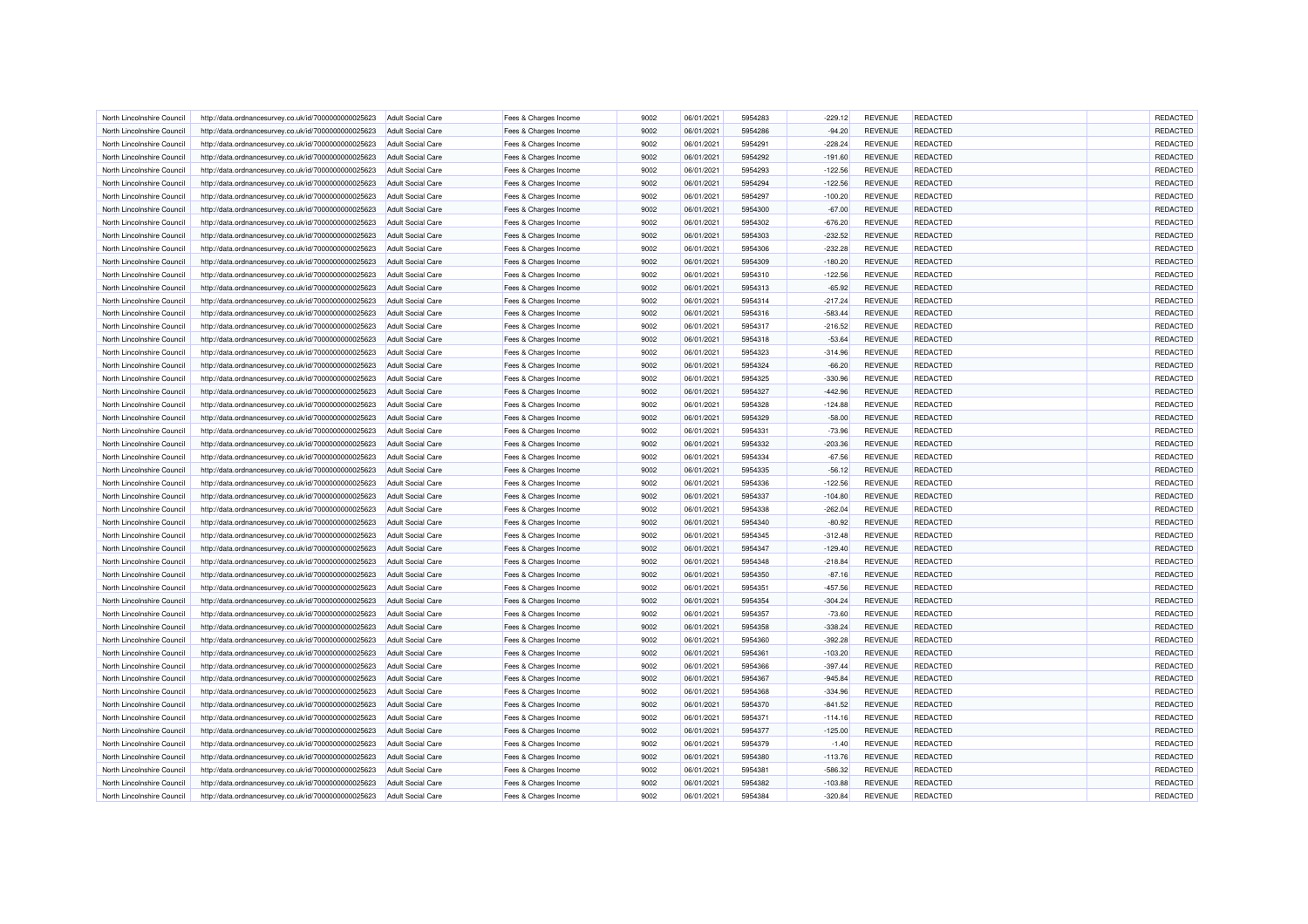| North Lincolnshire Council | http://data.ordnancesurvey.co.uk/id/7000000000025623 | <b>Adult Social Care</b> | Fees & Charges Income | 9002 | 06/01/2021 | 5954283 | $-229.12$ | <b>REVENUE</b> | REDACTED        | REDACTED |
|----------------------------|------------------------------------------------------|--------------------------|-----------------------|------|------------|---------|-----------|----------------|-----------------|----------|
| North Lincolnshire Council | http://data.ordnancesurvey.co.uk/id/7000000000025623 | <b>Adult Social Care</b> | Fees & Charges Income | 9002 | 06/01/2021 | 5954286 | $-94.20$  | <b>REVENUE</b> | REDACTED        | REDACTED |
| North Lincolnshire Council | http://data.ordnancesurvey.co.uk/id/7000000000025623 | Adult Social Care        | Fees & Charges Income | 9002 | 06/01/2021 | 5954291 | $-228.24$ | <b>REVENUE</b> | <b>REDACTED</b> | REDACTED |
| North Lincolnshire Council | http://data.ordnancesurvey.co.uk/id/7000000000025623 | <b>Adult Social Care</b> | Fees & Charges Income | 9002 | 06/01/2021 | 5954292 | $-191.60$ | <b>REVENUE</b> | REDACTED        | REDACTED |
| North Lincolnshire Council | http://data.ordnancesurvey.co.uk/id/7000000000025623 | <b>Adult Social Care</b> | Fees & Charges Income | 9002 | 06/01/2021 | 5954293 | $-122.56$ | <b>REVENUE</b> | REDACTED        | REDACTED |
| North Lincolnshire Council | http://data.ordnancesurvey.co.uk/id/7000000000025623 | <b>Adult Social Care</b> | Fees & Charges Income | 9002 | 06/01/2021 | 5954294 | $-122.56$ | <b>REVENUE</b> | REDACTED        | REDACTED |
| North Lincolnshire Council | http://data.ordnancesurvey.co.uk/id/7000000000025623 | <b>Adult Social Care</b> | Fees & Charges Income | 9002 | 06/01/2021 | 5954297 | $-100.20$ | <b>REVENUE</b> | REDACTED        | REDACTED |
| North Lincolnshire Council | http://data.ordnancesurvey.co.uk/id/7000000000025623 | <b>Adult Social Care</b> | Fees & Charges Income | 9002 | 06/01/2021 | 5954300 | $-67.00$  | <b>REVENUE</b> | REDACTED        | REDACTED |
| North Lincolnshire Council | http://data.ordnancesurvey.co.uk/id/7000000000025623 | <b>Adult Social Care</b> | Fees & Charges Income | 9002 | 06/01/2021 | 5954302 | $-676.20$ | <b>REVENUE</b> | REDACTED        | REDACTED |
| North Lincolnshire Council | http://data.ordnancesurvey.co.uk/id/7000000000025623 | <b>Adult Social Care</b> | Fees & Charges Income | 9002 | 06/01/2021 | 5954303 | $-232.52$ | <b>REVENUE</b> | REDACTED        | REDACTED |
| North Lincolnshire Council | http://data.ordnancesurvey.co.uk/id/7000000000025623 | Adult Social Care        | Fees & Charges Income | 9002 | 06/01/2021 | 5954306 | $-232.28$ | <b>REVENUE</b> | REDACTED        | REDACTED |
| North Lincolnshire Council | http://data.ordnancesurvey.co.uk/id/7000000000025623 | <b>Adult Social Care</b> | Fees & Charges Income | 9002 | 06/01/2021 | 5954309 | $-180.20$ | <b>REVENUE</b> | REDACTED        | REDACTED |
| North Lincolnshire Council | http://data.ordnancesurvey.co.uk/id/7000000000025623 | <b>Adult Social Care</b> | Fees & Charges Income | 9002 | 06/01/2021 | 5954310 | $-122.56$ | <b>REVENUE</b> | REDACTED        | REDACTED |
| North Lincolnshire Council | http://data.ordnancesurvey.co.uk/id/7000000000025623 | <b>Adult Social Care</b> | Fees & Charges Income | 9002 | 06/01/2021 | 5954313 | $-65.92$  | <b>REVENUE</b> | REDACTED        | REDACTED |
| North Lincolnshire Council | http://data.ordnancesurvey.co.uk/id/7000000000025623 | <b>Adult Social Care</b> | Fees & Charges Income | 9002 | 06/01/2021 | 5954314 | $-217.24$ | <b>REVENUE</b> | REDACTED        | REDACTED |
| North Lincolnshire Council | http://data.ordnancesurvey.co.uk/id/7000000000025623 | <b>Adult Social Care</b> | Fees & Charges Income | 9002 | 06/01/2021 | 5954316 | $-583.44$ | <b>REVENUE</b> | REDACTED        | REDACTED |
| North Lincolnshire Council | http://data.ordnancesurvey.co.uk/id/7000000000025623 | <b>Adult Social Care</b> | Fees & Charges Income | 9002 | 06/01/2021 | 5954317 | $-216.52$ | <b>REVENUE</b> | REDACTED        | REDACTED |
| North Lincolnshire Council | http://data.ordnancesurvey.co.uk/id/7000000000025623 | <b>Adult Social Care</b> | Fees & Charges Income | 9002 | 06/01/2021 | 5954318 | $-53.64$  | <b>REVENUE</b> | <b>REDACTED</b> | REDACTED |
| North Lincolnshire Council | http://data.ordnancesurvey.co.uk/id/7000000000025623 | Adult Social Care        | Fees & Charges Income | 9002 | 06/01/2021 | 5954323 | $-314.96$ | <b>REVENUE</b> | <b>REDACTED</b> | REDACTED |
| North Lincolnshire Council | http://data.ordnancesurvey.co.uk/id/7000000000025623 | <b>Adult Social Care</b> | Fees & Charges Income | 9002 | 06/01/2021 | 5954324 | $-66.20$  | <b>REVENUE</b> | <b>REDACTED</b> | REDACTED |
| North Lincolnshire Council | http://data.ordnancesurvey.co.uk/id/7000000000025623 | <b>Adult Social Care</b> | Fees & Charges Income | 9002 | 06/01/2021 | 5954325 | $-330.96$ | <b>REVENUE</b> | REDACTED        | REDACTED |
| North Lincolnshire Council |                                                      | <b>Adult Social Care</b> |                       | 9002 | 06/01/2021 | 5954327 | $-442.96$ | <b>REVENUE</b> | <b>REDACTED</b> | REDACTED |
|                            | http://data.ordnancesurvey.co.uk/id/7000000000025623 |                          | Fees & Charges Income |      |            |         |           |                |                 |          |
| North Lincolnshire Council | http://data.ordnancesurvey.co.uk/id/7000000000025623 | <b>Adult Social Care</b> | Fees & Charges Income | 9002 | 06/01/2021 | 5954328 | $-124.88$ | <b>REVENUE</b> | REDACTED        | REDACTED |
| North Lincolnshire Council | http://data.ordnancesurvey.co.uk/id/7000000000025623 | <b>Adult Social Care</b> | Fees & Charges Income | 9002 | 06/01/2021 | 5954329 | $-58.00$  | <b>REVENUE</b> | REDACTED        | REDACTED |
| North Lincolnshire Council | http://data.ordnancesurvey.co.uk/id/7000000000025623 | <b>Adult Social Care</b> | Fees & Charges Income | 9002 | 06/01/2021 | 5954331 | $-73.96$  | <b>REVENUE</b> | REDACTED        | REDACTED |
| North Lincolnshire Council | http://data.ordnancesurvey.co.uk/id/7000000000025623 | <b>Adult Social Care</b> | Fees & Charges Income | 9002 | 06/01/2021 | 5954332 | $-203.36$ | <b>REVENUE</b> | <b>REDACTED</b> | REDACTED |
| North Lincolnshire Council | http://data.ordnancesurvey.co.uk/id/7000000000025623 | <b>Adult Social Care</b> | Fees & Charges Income | 9002 | 06/01/2021 | 5954334 | $-67.56$  | REVENUE        | REDACTED        | REDACTED |
| North Lincolnshire Council | http://data.ordnancesurvey.co.uk/id/7000000000025623 | <b>Adult Social Care</b> | Fees & Charges Income | 9002 | 06/01/2021 | 5954335 | $-56.12$  | <b>REVENUE</b> | REDACTED        | REDACTED |
| North Lincolnshire Council | http://data.ordnancesurvey.co.uk/id/7000000000025623 | <b>Adult Social Care</b> | Fees & Charges Income | 9002 | 06/01/2021 | 5954336 | $-122.56$ | <b>REVENUE</b> | REDACTED        | REDACTED |
| North Lincolnshire Council | http://data.ordnancesurvey.co.uk/id/7000000000025623 | Adult Social Care        | Fees & Charges Income | 9002 | 06/01/2021 | 5954337 | $-104.80$ | <b>REVENUE</b> | REDACTED        | REDACTED |
| North Lincolnshire Council | http://data.ordnancesurvey.co.uk/id/7000000000025623 | <b>Adult Social Care</b> | Fees & Charges Income | 9002 | 06/01/2021 | 5954338 | $-262.04$ | <b>REVENUE</b> | REDACTED        | REDACTED |
| North Lincolnshire Council | http://data.ordnancesurvey.co.uk/id/7000000000025623 | <b>Adult Social Care</b> | Fees & Charges Income | 9002 | 06/01/2021 | 5954340 | $-80.92$  | <b>REVENUE</b> | REDACTED        | REDACTED |
| North Lincolnshire Council | http://data.ordnancesurvey.co.uk/id/7000000000025623 | <b>Adult Social Care</b> | Fees & Charges Income | 9002 | 06/01/2021 | 5954345 | $-312.48$ | <b>REVENUE</b> | REDACTED        | REDACTED |
| North Lincolnshire Council | http://data.ordnancesurvey.co.uk/id/7000000000025623 | <b>Adult Social Care</b> | Fees & Charges Income | 9002 | 06/01/2021 | 5954347 | $-129.40$ | <b>REVENUE</b> | <b>REDACTED</b> | REDACTED |
| North Lincolnshire Council | http://data.ordnancesurvey.co.uk/id/7000000000025623 | Adult Social Care        | Fees & Charges Income | 9002 | 06/01/2021 | 5954348 | $-218.84$ | <b>REVENUE</b> | REDACTED        | REDACTED |
| North Lincolnshire Council | http://data.ordnancesurvey.co.uk/id/7000000000025623 | <b>Adult Social Care</b> | Fees & Charges Income | 9002 | 06/01/2021 | 5954350 | $-87.16$  | <b>REVENUE</b> | <b>REDACTED</b> | REDACTED |
| North Lincolnshire Council | http://data.ordnancesurvey.co.uk/id/7000000000025623 | <b>Adult Social Care</b> | Fees & Charges Income | 9002 | 06/01/2021 | 5954351 | $-457.56$ | <b>REVENUE</b> | REDACTED        | REDACTED |
| North Lincolnshire Council | http://data.ordnancesurvey.co.uk/id/7000000000025623 | Adult Social Care        | Fees & Charges Income | 9002 | 06/01/2021 | 5954354 | $-304.24$ | <b>REVENUE</b> | <b>REDACTED</b> | REDACTED |
| North Lincolnshire Council | http://data.ordnancesurvey.co.uk/id/7000000000025623 | <b>Adult Social Care</b> | Fees & Charges Income | 9002 | 06/01/2021 | 5954357 | $-73.60$  | <b>REVENUE</b> | REDACTED        | REDACTED |
| North Lincolnshire Council | http://data.ordnancesurvey.co.uk/id/7000000000025623 | <b>Adult Social Care</b> | Fees & Charges Income | 9002 | 06/01/2021 | 5954358 | $-338.24$ | <b>REVENUE</b> | REDACTED        | REDACTED |
| North Lincolnshire Council | http://data.ordnancesurvey.co.uk/id/7000000000025623 | <b>Adult Social Care</b> | Fees & Charges Income | 9002 | 06/01/2021 | 5954360 | $-392.28$ | <b>REVENUE</b> | REDACTED        | REDACTED |
| North Lincolnshire Council | http://data.ordnancesurvey.co.uk/id/7000000000025623 | <b>Adult Social Care</b> | Fees & Charges Income | 9002 | 06/01/2021 | 5954361 | $-103.20$ | <b>REVENUE</b> | <b>REDACTED</b> | REDACTED |
| North Lincolnshire Council | http://data.ordnancesurvey.co.uk/id/7000000000025623 | <b>Adult Social Care</b> | Fees & Charges Income | 9002 | 06/01/2021 | 5954366 | $-397.44$ | <b>REVENUE</b> | REDACTED        | REDACTED |
| North Lincolnshire Council | http://data.ordnancesurvey.co.uk/id/7000000000025623 | <b>Adult Social Care</b> | Fees & Charges Income | 9002 | 06/01/2021 | 5954367 | $-945.84$ | <b>REVENUE</b> | REDACTED        | REDACTED |
| North Lincolnshire Council | http://data.ordnancesurvey.co.uk/id/7000000000025623 | <b>Adult Social Care</b> | Fees & Charges Income | 9002 | 06/01/2021 | 5954368 | $-334.96$ | <b>REVENUE</b> | REDACTED        | REDACTED |
| North Lincolnshire Council | http://data.ordnancesurvey.co.uk/id/7000000000025623 | <b>Adult Social Care</b> | Fees & Charges Income | 9002 | 06/01/2021 | 5954370 | $-841.52$ | <b>REVENUE</b> | <b>REDACTED</b> | REDACTED |
| North Lincolnshire Council | http://data.ordnancesurvey.co.uk/id/7000000000025623 | <b>Adult Social Care</b> | Fees & Charges Income | 9002 | 06/01/2021 | 5954371 | $-114.16$ | <b>REVENUE</b> | REDACTED        | REDACTED |
| North Lincolnshire Council | http://data.ordnancesurvey.co.uk/id/7000000000025623 | <b>Adult Social Care</b> | Fees & Charges Income | 9002 | 06/01/2021 | 5954377 | $-125.00$ | <b>REVENUE</b> | REDACTED        | REDACTED |
| North Lincolnshire Council | http://data.ordnancesurvey.co.uk/id/7000000000025623 | Adult Social Care        | Fees & Charges Income | 9002 | 06/01/2021 | 5954379 | $-1.40$   | <b>REVENUE</b> | <b>REDACTED</b> | REDACTED |
| North Lincolnshire Council | http://data.ordnancesurvey.co.uk/id/7000000000025623 | <b>Adult Social Care</b> | Fees & Charges Income | 9002 | 06/01/2021 | 5954380 | $-113.76$ | <b>REVENUE</b> | <b>REDACTED</b> | REDACTED |
| North Lincolnshire Council | http://data.ordnancesurvey.co.uk/id/7000000000025623 | <b>Adult Social Care</b> | Fees & Charges Income | 9002 | 06/01/2021 | 5954381 | $-586.32$ | REVENUE        | REDACTED        | REDACTED |
| North Lincolnshire Council | http://data.ordnancesurvey.co.uk/id/7000000000025623 | <b>Adult Social Care</b> | Fees & Charges Income | 9002 | 06/01/2021 | 5954382 | $-103.88$ | <b>REVENUE</b> | REDACTED        | REDACTED |
| North Lincolnshire Council | http://data.ordnancesurvey.co.uk/id/7000000000025623 | <b>Adult Social Care</b> | Fees & Charges Income | 9002 | 06/01/2021 | 5954384 | $-320.84$ | <b>REVENUE</b> | REDACTED        | REDACTED |
|                            |                                                      |                          |                       |      |            |         |           |                |                 |          |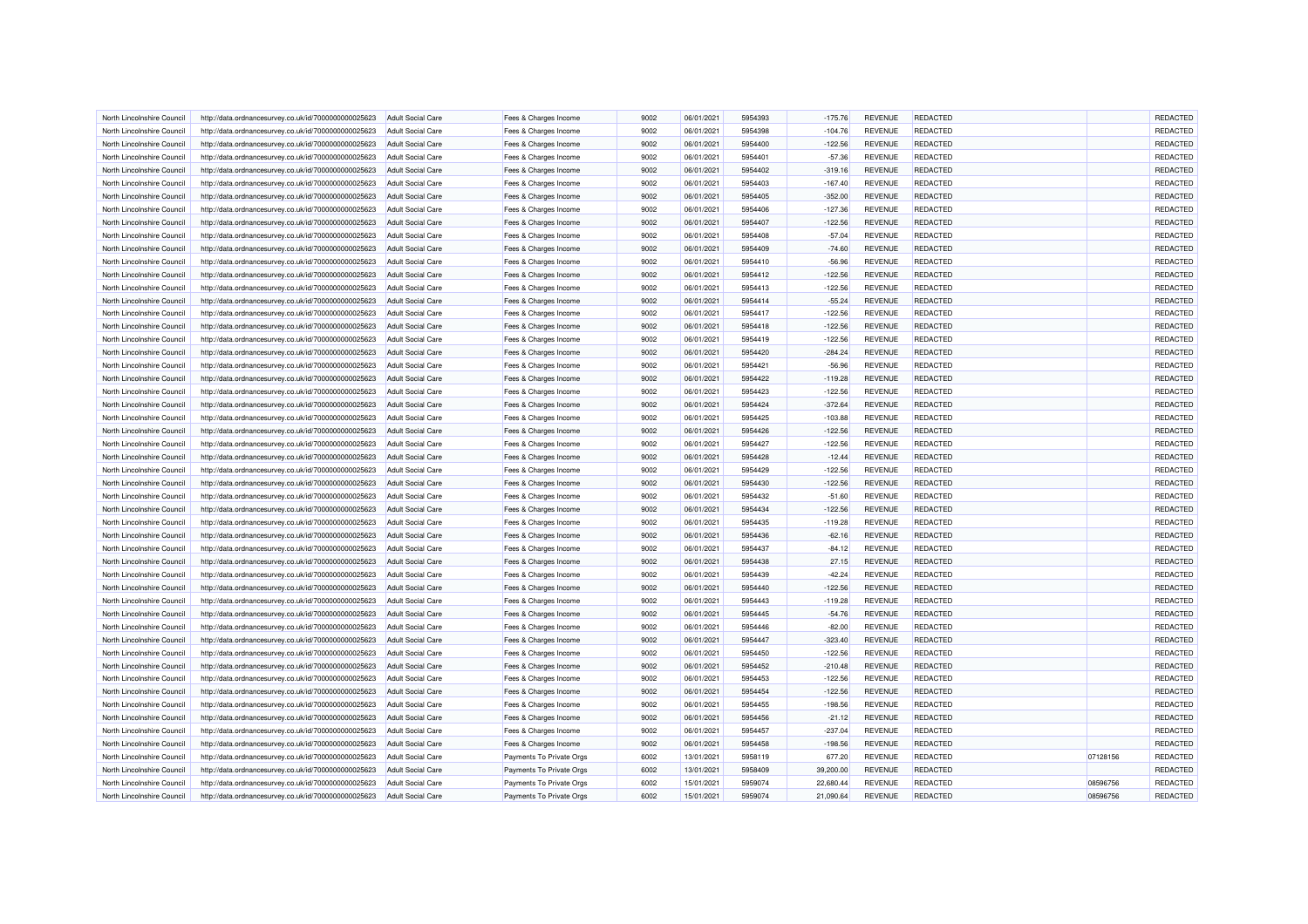| North Lincolnshire Council                               | http://data.ordnancesurvey.co.uk/id/7000000000025623 | Adult Social Care        | Fees & Charges Income                          | 9002 | 06/01/2021 | 5954393 | $-175.76$ | <b>REVENUE</b> | REDACTED        |          | REDACTED |
|----------------------------------------------------------|------------------------------------------------------|--------------------------|------------------------------------------------|------|------------|---------|-----------|----------------|-----------------|----------|----------|
| North Lincolnshire Council                               | http://data.ordnancesurvey.co.uk/id/7000000000025623 | <b>Adult Social Care</b> | Fees & Charges Income                          | 9002 | 06/01/2021 | 5954398 | $-104.76$ | <b>REVENUE</b> | REDACTED        |          | REDACTED |
| North Lincolnshire Council                               | http://data.ordnancesurvey.co.uk/id/7000000000025623 | <b>Adult Social Care</b> | Fees & Charges Income                          | 9002 | 06/01/2021 | 5954400 | $-122.56$ | <b>REVENUE</b> | REDACTED        |          | REDACTED |
| North Lincolnshire Council                               | http://data.ordnancesurvey.co.uk/id/7000000000025623 | <b>Adult Social Care</b> | Fees & Charges Income                          | 9002 | 06/01/2021 | 5954401 | $-57.36$  | <b>REVENUE</b> | REDACTED        |          | REDACTED |
| North Lincolnshire Council                               | http://data.ordnancesurvey.co.uk/id/7000000000025623 | <b>Adult Social Care</b> | Fees & Charges Income                          | 9002 | 06/01/2021 | 5954402 | $-319.16$ | <b>REVENUE</b> | REDACTED        |          | REDACTED |
| North Lincolnshire Council                               | http://data.ordnancesurvey.co.uk/id/7000000000025623 | <b>Adult Social Care</b> | Fees & Charges Income                          | 9002 | 06/01/2021 | 5954403 | $-167.40$ | <b>REVENUE</b> | REDACTED        |          | REDACTED |
| North Lincolnshire Council                               | http://data.ordnancesurvey.co.uk/id/7000000000025623 | <b>Adult Social Care</b> | Fees & Charges Income                          | 9002 | 06/01/2021 | 5954405 | $-352.00$ | <b>REVENUE</b> | REDACTED        |          | REDACTED |
| North Lincolnshire Council                               | http://data.ordnancesurvey.co.uk/id/7000000000025623 | <b>Adult Social Care</b> | Fees & Charges Income                          | 9002 | 06/01/2021 | 5954406 | $-127.36$ | <b>REVENUE</b> | REDACTED        |          | REDACTED |
| North Lincolnshire Council                               | http://data.ordnancesurvey.co.uk/id/7000000000025623 | <b>Adult Social Care</b> | Fees & Charges Income                          | 9002 | 06/01/2021 | 5954407 | $-122.56$ | <b>REVENUE</b> | REDACTED        |          | REDACTED |
| North Lincolnshire Council                               | http://data.ordnancesurvey.co.uk/id/7000000000025623 | <b>Adult Social Care</b> | Fees & Charges Income                          | 9002 | 06/01/2021 | 5954408 | $-57.04$  | <b>REVENUE</b> | REDACTED        |          | REDACTED |
| North Lincolnshire Council                               | http://data.ordnancesurvey.co.uk/id/7000000000025623 | <b>Adult Social Care</b> | Fees & Charges Income                          | 9002 | 06/01/2021 | 5954409 | $-74.60$  | <b>REVENUE</b> | <b>REDACTED</b> |          | REDACTED |
| North Lincolnshire Council                               | http://data.ordnancesurvey.co.uk/id/7000000000025623 | Adult Social Care        | Fees & Charges Income                          | 9002 | 06/01/2021 | 5954410 | $-56.96$  | <b>REVENUE</b> | <b>REDACTED</b> |          | REDACTED |
| North Lincolnshire Council                               | http://data.ordnancesurvey.co.uk/id/7000000000025623 | <b>Adult Social Care</b> | Fees & Charges Income                          | 9002 | 06/01/2021 | 5954412 | $-122.56$ | <b>REVENUE</b> | REDACTED        |          | REDACTED |
| North Lincolnshire Council                               | http://data.ordnancesurvey.co.uk/id/7000000000025623 | <b>Adult Social Care</b> |                                                | 9002 | 06/01/2021 | 5954413 | $-122.56$ | <b>REVENUE</b> | <b>REDACTED</b> |          | REDACTED |
| North Lincolnshire Council                               | http://data.ordnancesurvey.co.uk/id/7000000000025623 | <b>Adult Social Care</b> | Fees & Charges Income<br>Fees & Charges Income | 9002 | 06/01/2021 | 5954414 | $-55.24$  | <b>REVENUE</b> | REDACTED        |          | REDACTED |
| North Lincolnshire Council                               |                                                      |                          |                                                | 9002 | 06/01/2021 | 5954417 | $-122.56$ | <b>REVENUE</b> | REDACTED        |          | REDACTED |
|                                                          | http://data.ordnancesurvey.co.uk/id/7000000000025623 | <b>Adult Social Care</b> | Fees & Charges Income                          |      |            |         |           |                |                 |          |          |
| North Lincolnshire Council                               | http://data.ordnancesurvey.co.uk/id/7000000000025623 | <b>Adult Social Care</b> | Fees & Charges Income                          | 9002 | 06/01/2021 | 5954418 | $-122.56$ | <b>REVENUE</b> | REDACTED        |          | REDACTED |
| North Lincolnshire Council                               | http://data.ordnancesurvey.co.uk/id/7000000000025623 | <b>Adult Social Care</b> | Fees & Charges Income                          | 9002 | 06/01/2021 | 5954419 | $-122.56$ | <b>REVENUE</b> | REDACTED        |          | REDACTED |
| North Lincolnshire Council                               | http://data.ordnancesurvey.co.uk/id/7000000000025623 | <b>Adult Social Care</b> | Fees & Charges Income                          | 9002 | 06/01/2021 | 5954420 | $-284.24$ | <b>REVENUE</b> | REDACTED        |          | REDACTED |
| North Lincolnshire Council                               | http://data.ordnancesurvey.co.uk/id/7000000000025623 | <b>Adult Social Care</b> | Fees & Charges Income                          | 9002 | 06/01/2021 | 5954421 | $-56.96$  | <b>REVENUE</b> | REDACTED        |          | REDACTED |
| North Lincolnshire Council                               | http://data.ordnancesurvey.co.uk/id/7000000000025623 | <b>Adult Social Care</b> | Fees & Charges Income                          | 9002 | 06/01/2021 | 5954422 | $-119.28$ | <b>REVENUE</b> | REDACTED        |          | REDACTED |
| North Lincolnshire Council                               | http://data.ordnancesurvey.co.uk/id/7000000000025623 | Adult Social Care        | Fees & Charges Income                          | 9002 | 06/01/2021 | 5954423 | $-122.56$ | <b>REVENUE</b> | REDACTED        |          | REDACTED |
| North Lincolnshire Council                               | http://data.ordnancesurvey.co.uk/id/7000000000025623 | <b>Adult Social Care</b> | Fees & Charges Income                          | 9002 | 06/01/2021 | 5954424 | $-372.64$ | <b>REVENUE</b> | REDACTED        |          | REDACTED |
| North Lincolnshire Council                               | http://data.ordnancesurvey.co.uk/id/7000000000025623 | <b>Adult Social Care</b> | Fees & Charges Income                          | 9002 | 06/01/2021 | 5954425 | $-103.88$ | <b>REVENUE</b> | REDACTED        |          | REDACTED |
| North Lincolnshire Council                               | http://data.ordnancesurvey.co.uk/id/7000000000025623 | Adult Social Care        | Fees & Charges Income                          | 9002 | 06/01/2021 | 5954426 | $-122.56$ | <b>REVENUE</b> | REDACTED        |          | REDACTED |
| North Lincolnshire Council                               | http://data.ordnancesurvey.co.uk/id/7000000000025623 | <b>Adult Social Care</b> | Fees & Charges Income                          | 9002 | 06/01/2021 | 5954427 | $-122.56$ | <b>REVENUE</b> | REDACTED        |          | REDACTED |
| North Lincolnshire Council                               | http://data.ordnancesurvey.co.uk/id/7000000000025623 | <b>Adult Social Care</b> | Fees & Charges Income                          | 9002 | 06/01/2021 | 5954428 | $-12.44$  | <b>REVENUE</b> | REDACTED        |          | REDACTED |
| North Lincolnshire Council                               | http://data.ordnancesurvey.co.uk/id/7000000000025623 | <b>Adult Social Care</b> | Fees & Charges Income                          | 9002 | 06/01/2021 | 5954429 | $-122.56$ | <b>REVENUE</b> | REDACTED        |          | REDACTED |
| North Lincolnshire Council                               | http://data.ordnancesurvey.co.uk/id/7000000000025623 | <b>Adult Social Care</b> | Fees & Charges Income                          | 9002 | 06/01/2021 | 5954430 | $-122.56$ | <b>REVENUE</b> | <b>REDACTED</b> |          | REDACTED |
| North Lincolnshire Council                               | http://data.ordnancesurvey.co.uk/id/7000000000025623 | <b>Adult Social Care</b> | Fees & Charges Income                          | 9002 | 06/01/2021 | 5954432 | $-51.60$  | <b>REVENUE</b> | REDACTED        |          | REDACTED |
| North Lincolnshire Council                               | http://data.ordnancesurvey.co.uk/id/7000000000025623 | <b>Adult Social Care</b> | Fees & Charges Income                          | 9002 | 06/01/2021 | 5954434 | $-122.56$ | <b>REVENUE</b> | REDACTED        |          | REDACTED |
| North Lincolnshire Council                               | http://data.ordnancesurvey.co.uk/id/7000000000025623 | <b>Adult Social Care</b> | Fees & Charges Income                          | 9002 | 06/01/2021 | 5954435 | $-119.28$ | <b>REVENUE</b> | REDACTED        |          | REDACTED |
| North Lincolnshire Council                               | http://data.ordnancesurvey.co.uk/id/7000000000025623 | Adult Social Care        | Fees & Charges Income                          | 9002 | 06/01/2021 | 5954436 | $-62.16$  | <b>REVENUE</b> | REDACTED        |          | REDACTED |
| North Lincolnshire Council                               | http://data.ordnancesurvey.co.uk/id/7000000000025623 | <b>Adult Social Care</b> | Fees & Charges Income                          | 9002 | 06/01/2021 | 5954437 | $-84.12$  | <b>REVENUE</b> | REDACTED        |          | REDACTED |
| North Lincolnshire Council                               | http://data.ordnancesurvey.co.uk/id/7000000000025623 | <b>Adult Social Care</b> | Fees & Charges Income                          | 9002 | 06/01/2021 | 5954438 | 27.15     | <b>REVENUE</b> | REDACTED        |          | REDACTED |
| North Lincolnshire Council                               | http://data.ordnancesurvey.co.uk/id/7000000000025623 | <b>Adult Social Care</b> | Fees & Charges Income                          | 9002 | 06/01/2021 | 5954439 | $-42.24$  | <b>REVENUE</b> | <b>REDACTED</b> |          | REDACTED |
| North Lincolnshire Council                               | http://data.ordnancesurvey.co.uk/id/7000000000025623 | <b>Adult Social Care</b> | Fees & Charges Income                          | 9002 | 06/01/2021 | 5954440 | $-122.56$ | <b>REVENUE</b> | REDACTED        |          | REDACTED |
| North Lincolnshire Council                               | http://data.ordnancesurvey.co.uk/id/7000000000025623 | <b>Adult Social Care</b> | Fees & Charges Income                          | 9002 | 06/01/2021 | 5954443 | $-119.28$ | <b>REVENUE</b> | REDACTED        |          | REDACTED |
| North Lincolnshire Council                               | http://data.ordnancesurvey.co.uk/id/7000000000025623 | <b>Adult Social Care</b> | Fees & Charges Income                          | 9002 | 06/01/2021 | 5954445 | $-54.76$  | <b>REVENUE</b> | REDACTED        |          | REDACTED |
| North Lincolnshire Council                               | http://data.ordnancesurvey.co.uk/id/7000000000025623 | <b>Adult Social Care</b> | Fees & Charges Income                          | 9002 | 06/01/2021 | 5954446 | $-82.00$  | <b>REVENUE</b> | REDACTED        |          | REDACTED |
| North Lincolnshire Council                               | http://data.ordnancesurvey.co.uk/id/7000000000025623 | <b>Adult Social Care</b> | Fees & Charges Income                          | 9002 | 06/01/2021 | 5954447 | $-323.40$ | <b>REVENUE</b> | REDACTED        |          | REDACTED |
| North Lincolnshire Council                               | http://data.ordnancesurvey.co.uk/id/7000000000025623 | <b>Adult Social Care</b> | Fees & Charges Income                          | 9002 | 06/01/2021 | 5954450 | $-122.56$ | <b>REVENUE</b> | <b>REDACTED</b> |          | REDACTED |
| North Lincolnshire Council                               | http://data.ordnancesurvey.co.uk/id/7000000000025623 | <b>Adult Social Care</b> | Fees & Charges Income                          | 9002 | 06/01/2021 | 5954452 | $-210.48$ | <b>REVENUE</b> | <b>REDACTED</b> |          | REDACTED |
| North Lincolnshire Council                               | http://data.ordnancesurvey.co.uk/id/7000000000025623 | Adult Social Care        | Fees & Charges Income                          | 9002 | 06/01/2021 | 5954453 | $-122.56$ | <b>REVENUE</b> | <b>REDACTED</b> |          | REDACTED |
| North Lincolnshire Council                               | http://data.ordnancesurvey.co.uk/id/7000000000025623 | <b>Adult Social Care</b> | Fees & Charges Income                          | 9002 | 06/01/2021 | 5954454 | $-122.56$ | <b>REVENUE</b> | REDACTED        |          | REDACTED |
|                                                          | http://data.ordnancesurvey.co.uk/id/7000000000025623 | <b>Adult Social Care</b> |                                                | 9002 | 06/01/2021 | 5954455 | $-198.56$ | <b>REVENUE</b> | REDACTED        |          | REDACTED |
| North Lincolnshire Council<br>North Lincolnshire Council | http://data.ordnancesurvey.co.uk/id/7000000000025623 | <b>Adult Social Care</b> | Fees & Charges Income                          | 9002 | 06/01/2021 | 5954456 | $-21.12$  | <b>REVENUE</b> | REDACTED        |          | REDACTED |
|                                                          |                                                      |                          | Fees & Charges Income                          | 9002 | 06/01/2021 | 5954457 |           |                | REDACTED        |          | REDACTED |
| North Lincolnshire Council                               | http://data.ordnancesurvey.co.uk/id/7000000000025623 | <b>Adult Social Care</b> | Fees & Charges Income                          |      |            |         | $-237.04$ | <b>REVENUE</b> |                 |          |          |
| North Lincolnshire Council                               | http://data.ordnancesurvey.co.uk/id/7000000000025623 | <b>Adult Social Care</b> | Fees & Charges Income                          | 9002 | 06/01/2021 | 5954458 | $-198.56$ | <b>REVENUE</b> | <b>REDACTED</b> |          | REDACTED |
| North Lincolnshire Council                               | http://data.ordnancesurvey.co.uk/id/7000000000025623 | <b>Adult Social Care</b> | Payments To Private Orgs                       | 6002 | 13/01/2021 | 5958119 | 677.20    | <b>REVENUE</b> | <b>REDACTED</b> | 07128156 | REDACTED |
| North Lincolnshire Council                               | http://data.ordnancesurvey.co.uk/id/7000000000025623 | <b>Adult Social Care</b> | Payments To Private Orgs                       | 6002 | 13/01/2021 | 5958409 | 39,200.00 | <b>REVENUE</b> | REDACTED        |          | REDACTED |
| North Lincolnshire Council                               | http://data.ordnancesurvey.co.uk/id/7000000000025623 | <b>Adult Social Care</b> | Payments To Private Orgs                       | 6002 | 15/01/2021 | 5959074 | 22,680.44 | <b>REVENUE</b> | REDACTED        | 08596756 | REDACTED |
| North Lincolnshire Council                               | http://data.ordnancesurvey.co.uk/id/7000000000025623 | <b>Adult Social Care</b> | Payments To Private Orgs                       | 6002 | 15/01/2021 | 5959074 | 21,090.64 | <b>REVENUE</b> | REDACTED        | 08596756 | REDACTED |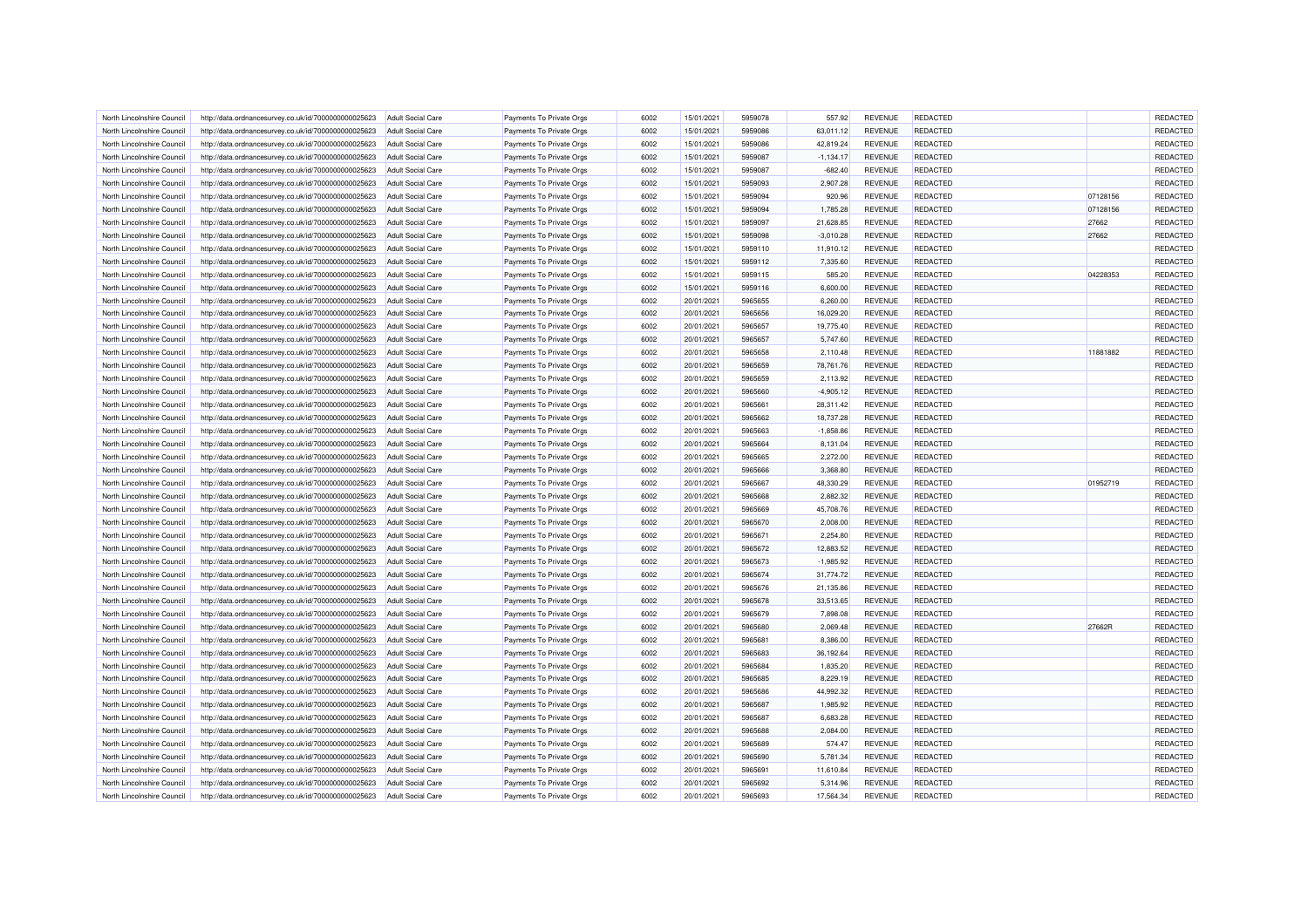| North Lincolnshire Council | http://data.ordnancesurvey.co.uk/id/7000000000025623 | <b>Adult Social Care</b> | Payments To Private Orgs | 6002 | 15/01/2021 | 5959078 | 557.92      | <b>REVENUE</b> | REDACTED        |          | REDACTED        |
|----------------------------|------------------------------------------------------|--------------------------|--------------------------|------|------------|---------|-------------|----------------|-----------------|----------|-----------------|
| North Lincolnshire Council | http://data.ordnancesurvey.co.uk/id/7000000000025623 | <b>Adult Social Care</b> | Payments To Private Orgs | 6002 | 15/01/2021 | 5959086 | 63,011.12   | <b>REVENUE</b> | REDACTED        |          | <b>REDACTED</b> |
| North Lincolnshire Council | http://data.ordnancesurvey.co.uk/id/7000000000025623 | Adult Social Care        | Payments To Private Orgs | 6002 | 15/01/2021 | 5959086 | 42.819.24   | <b>REVENUE</b> | <b>REDACTED</b> |          | <b>REDACTED</b> |
| North Lincolnshire Council | http://data.ordnancesurvey.co.uk/id/7000000000025623 | <b>Adult Social Care</b> | Payments To Private Orgs | 6002 | 15/01/2021 | 5959087 | $-1,134.17$ | <b>REVENUE</b> | REDACTED        |          | REDACTED        |
| North Lincolnshire Council | http://data.ordnancesurvey.co.uk/id/7000000000025623 | <b>Adult Social Care</b> | Payments To Private Orgs | 6002 | 15/01/2021 | 5959087 | $-682.40$   | <b>REVENUE</b> | <b>REDACTED</b> |          | REDACTED        |
|                            |                                                      |                          |                          | 6002 | 15/01/2021 |         |             | <b>REVENUE</b> | REDACTED        |          | REDACTED        |
| North Lincolnshire Council | http://data.ordnancesurvey.co.uk/id/7000000000025623 | <b>Adult Social Care</b> | Payments To Private Orgs |      |            | 5959093 | 2,907.28    |                |                 |          |                 |
| North Lincolnshire Council | http://data.ordnancesurvey.co.uk/id/7000000000025623 | <b>Adult Social Care</b> | Payments To Private Orgs | 6002 | 15/01/2021 | 5959094 | 920.96      | <b>REVENUE</b> | <b>REDACTED</b> | 07128156 | REDACTED        |
| North Lincolnshire Council | http://data.ordnancesurvey.co.uk/id/7000000000025623 | <b>Adult Social Care</b> | Payments To Private Orgs | 6002 | 15/01/2021 | 5959094 | 1,785.28    | <b>REVENUE</b> | <b>REDACTED</b> | 07128156 | REDACTED        |
| North Lincolnshire Council | http://data.ordnancesurvey.co.uk/id/7000000000025623 | <b>Adult Social Care</b> | Payments To Private Oras | 6002 | 15/01/2021 | 5959097 | 21,628.85   | <b>REVENUE</b> | REDACTED        | 27662    | REDACTED        |
| North Lincolnshire Council | http://data.ordnancesurvey.co.uk/id/7000000000025623 | <b>Adult Social Care</b> | Payments To Private Orgs | 6002 | 15/01/2021 | 5959098 | $-3,010.28$ | <b>REVENUE</b> | <b>REDACTED</b> | 27662    | <b>REDACTED</b> |
| North Lincolnshire Council | http://data.ordnancesurvey.co.uk/id/7000000000025623 | Adult Social Care        | Payments To Private Orgs | 6002 | 15/01/2021 | 5959110 | 11,910.12   | <b>REVENUE</b> | REDACTED        |          | REDACTED        |
| North Lincolnshire Council | http://data.ordnancesurvey.co.uk/id/7000000000025623 | <b>Adult Social Care</b> | Payments To Private Orgs | 6002 | 15/01/2021 | 5959112 | 7,335.60    | <b>REVENUE</b> | REDACTED        |          | REDACTED        |
| North Lincolnshire Council | http://data.ordnancesurvey.co.uk/id/7000000000025623 | <b>Adult Social Care</b> | Payments To Private Orgs | 6002 | 15/01/2021 | 5959115 | 585.20      | <b>REVENUE</b> | <b>REDACTED</b> | 04228353 | REDACTED        |
| North Lincolnshire Council | http://data.ordnancesurvey.co.uk/id/7000000000025623 | <b>Adult Social Care</b> | Payments To Private Orgs | 6002 | 15/01/2021 | 5959116 | 6,600.00    | <b>REVENUE</b> | REDACTED        |          | <b>REDACTED</b> |
| North Lincolnshire Council | http://data.ordnancesurvey.co.uk/id/7000000000025623 | <b>Adult Social Care</b> | Payments To Private Orgs | 6002 | 20/01/2021 | 5965655 | 6,260.00    | <b>REVENUE</b> | <b>REDACTED</b> |          | REDACTED        |
| North Lincolnshire Council | http://data.ordnancesurvey.co.uk/id/7000000000025623 | <b>Adult Social Care</b> | Payments To Private Orgs | 6002 | 20/01/2021 | 5965656 | 16,029.20   | <b>REVENUE</b> | REDACTED        |          | REDACTED        |
| North Lincolnshire Council | http://data.ordnancesurvey.co.uk/id/7000000000025623 | <b>Adult Social Care</b> | Payments To Private Orgs | 6002 | 20/01/2021 | 5965657 | 19,775.40   | <b>REVENUE</b> | <b>REDACTED</b> |          | REDACTED        |
| North Lincolnshire Council | http://data.ordnancesurvey.co.uk/id/7000000000025623 | <b>Adult Social Care</b> | Payments To Private Orgs | 6002 | 20/01/2021 | 5965657 | 5,747.60    | <b>REVENUE</b> | <b>REDACTED</b> |          | REDACTED        |
| North Lincolnshire Council | http://data.ordnancesurvey.co.uk/id/7000000000025623 | <b>Adult Social Care</b> | Payments To Private Orgs | 6002 | 20/01/2021 | 5965658 | 2,110.48    | <b>REVENUE</b> | REDACTED        | 11881882 | <b>REDACTED</b> |
| North Lincolnshire Council | http://data.ordnancesurvey.co.uk/id/7000000000025623 | <b>Adult Social Care</b> | Payments To Private Orgs | 6002 | 20/01/2021 | 5965659 | 78,761.76   | <b>REVENUE</b> | REDACTED        |          | REDACTED        |
| North Lincolnshire Council | http://data.ordnancesurvey.co.uk/id/7000000000025623 | <b>Adult Social Care</b> | Payments To Private Orgs | 6002 | 20/01/2021 | 5965659 | 2,113.92    | <b>REVENUE</b> | REDACTED        |          | REDACTED        |
| North Lincolnshire Council | http://data.ordnancesurvey.co.uk/id/7000000000025623 | <b>Adult Social Care</b> | Payments To Private Orgs | 6002 | 20/01/2021 | 5965660 | $-4,905.12$ | <b>REVENUE</b> | REDACTED        |          | REDACTED        |
|                            |                                                      |                          |                          |      |            |         |             |                |                 |          |                 |
| North Lincolnshire Council | http://data.ordnancesurvey.co.uk/id/7000000000025623 | <b>Adult Social Care</b> | Payments To Private Orgs | 6002 | 20/01/2021 | 5965661 | 28,311.42   | <b>REVENUE</b> | REDACTED        |          | REDACTED        |
| North Lincolnshire Council | http://data.ordnancesurvey.co.uk/id/7000000000025623 | <b>Adult Social Care</b> | Payments To Private Orgs | 6002 | 20/01/2021 | 5965662 | 18,737.28   | <b>REVENUE</b> | REDACTED        |          | REDACTED        |
| North Lincolnshire Council | http://data.ordnancesurvey.co.uk/id/7000000000025623 | <b>Adult Social Care</b> | Payments To Private Orgs | 6002 | 20/01/2021 | 5965663 | $-1,858.86$ | <b>REVENUE</b> | REDACTED        |          | REDACTED        |
| North Lincolnshire Council | http://data.ordnancesurvey.co.uk/id/7000000000025623 | <b>Adult Social Care</b> | Payments To Private Orgs | 6002 | 20/01/2021 | 5965664 | 8,131.04    | <b>REVENUE</b> | <b>REDACTED</b> |          | REDACTED        |
| North Lincolnshire Council | http://data.ordnancesurvey.co.uk/id/7000000000025623 | <b>Adult Social Care</b> | Payments To Private Orgs | 6002 | 20/01/2021 | 5965665 | 2,272.00    | <b>REVENUE</b> | <b>REDACTED</b> |          | REDACTED        |
| North Lincolnshire Council | http://data.ordnancesurvey.co.uk/id/7000000000025623 | <b>Adult Social Care</b> | Payments To Private Orgs | 6002 | 20/01/2021 | 5965666 | 3,368.80    | <b>REVENUE</b> | REDACTED        |          | REDACTED        |
| North Lincolnshire Council | http://data.ordnancesurvey.co.uk/id/7000000000025623 | <b>Adult Social Care</b> | Payments To Private Orgs | 6002 | 20/01/2021 | 5965667 | 48,330.29   | <b>REVENUE</b> | REDACTED        | 01952719 | <b>REDACTED</b> |
| North Lincolnshire Council | http://data.ordnancesurvey.co.uk/id/7000000000025623 | Adult Social Care        | Payments To Private Orgs | 6002 | 20/01/2021 | 5965668 | 2,882.32    | <b>REVENUE</b> | <b>REDACTED</b> |          | REDACTED        |
| North Lincolnshire Council | http://data.ordnancesurvey.co.uk/id/7000000000025623 | <b>Adult Social Care</b> | Payments To Private Orgs | 6002 | 20/01/2021 | 5965669 | 45,708.76   | <b>REVENUE</b> | REDACTED        |          | REDACTED        |
| North Lincolnshire Council | http://data.ordnancesurvey.co.uk/id/7000000000025623 | <b>Adult Social Care</b> | Payments To Private Orgs | 6002 | 20/01/2021 | 5965670 | 2,008.00    | <b>REVENUE</b> | <b>REDACTED</b> |          | <b>REDACTED</b> |
| North Lincolnshire Council | http://data.ordnancesurvey.co.uk/id/7000000000025623 | <b>Adult Social Care</b> | Payments To Private Orgs | 6002 | 20/01/2021 | 5965671 | 2,254.80    | <b>REVENUE</b> | REDACTED        |          | REDACTED        |
| North Lincolnshire Council | http://data.ordnancesurvey.co.uk/id/7000000000025623 | <b>Adult Social Care</b> | Payments To Private Orgs | 6002 | 20/01/2021 | 5965672 | 12,883.52   | <b>REVENUE</b> | <b>REDACTED</b> |          | REDACTED        |
| North Lincolnshire Council | http://data.ordnancesurvey.co.uk/id/7000000000025623 | Adult Social Care        | Payments To Private Orgs | 6002 | 20/01/2021 | 5965673 | $-1,985.92$ | REVENUE        | <b>REDACTED</b> |          | REDACTED        |
| North Lincolnshire Council | http://data.ordnancesurvey.co.uk/id/7000000000025623 | Adult Social Care        | Payments To Private Oras | 6002 | 20/01/2021 | 5965674 | 31.774.72   | <b>REVENUE</b> | REDACTED        |          | REDACTED        |
| North Lincolnshire Council | http://data.ordnancesurvey.co.uk/id/7000000000025623 | <b>Adult Social Care</b> | Payments To Private Orgs | 6002 | 20/01/2021 | 5965676 | 21,135.86   | <b>REVENUE</b> | <b>REDACTED</b> |          | REDACTED        |
| North Lincolnshire Council | http://data.ordnancesurvey.co.uk/id/7000000000025623 | Adult Social Care        | Payments To Private Orgs | 6002 | 20/01/2021 | 5965678 | 33,513.65   | <b>REVENUE</b> | REDACTED        |          | <b>REDACTED</b> |
| North Lincolnshire Council | http://data.ordnancesurvey.co.uk/id/7000000000025623 | <b>Adult Social Care</b> | Payments To Private Orgs | 6002 | 20/01/2021 | 5965679 | 7,898.08    | <b>REVENUE</b> | REDACTED        |          | REDACTED        |
| North Lincolnshire Council | http://data.ordnancesurvey.co.uk/id/7000000000025623 | <b>Adult Social Care</b> | Payments To Private Orgs | 6002 | 20/01/2021 | 5965680 | 2,069.48    | <b>REVENUE</b> | <b>REDACTED</b> | 27662R   | REDACTED        |
| North Lincolnshire Council | http://data.ordnancesurvey.co.uk/id/7000000000025623 | Adult Social Care        | Payments To Private Orgs | 6002 | 20/01/2021 | 5965681 | 8,386.00    | <b>REVENUE</b> | REDACTED        |          | <b>REDACTED</b> |
|                            |                                                      |                          |                          |      |            |         |             |                |                 |          |                 |
| North Lincolnshire Council | http://data.ordnancesurvey.co.uk/id/7000000000025623 | <b>Adult Social Care</b> | Payments To Private Orgs | 6002 | 20/01/2021 | 5965683 | 36,192.64   | <b>REVENUE</b> | <b>REDACTED</b> |          | REDACTED        |
| North Lincolnshire Council | http://data.ordnancesurvey.co.uk/id/7000000000025623 | <b>Adult Social Care</b> | Payments To Private Orgs | 6002 | 20/01/2021 | 5965684 | 1,835.20    | REVENUE        | REDACTED        |          | REDACTED        |
| North Lincolnshire Council | http://data.ordnancesurvey.co.uk/id/7000000000025623 | <b>Adult Social Care</b> | Payments To Private Orgs | 6002 | 20/01/2021 | 5965685 | 8,229.19    | <b>REVENUE</b> | REDACTED        |          | REDACTED        |
| North Lincolnshire Council | http://data.ordnancesurvey.co.uk/id/7000000000025623 | <b>Adult Social Care</b> | Payments To Private Orgs | 6002 | 20/01/2021 | 5965686 | 44,992.32   | <b>REVENUE</b> | <b>REDACTED</b> |          | REDACTED        |
| North Lincolnshire Council | http://data.ordnancesurvey.co.uk/id/7000000000025623 | <b>Adult Social Care</b> | Payments To Private Orgs | 6002 | 20/01/2021 | 5965687 | 1,985.92    | <b>REVENUE</b> | REDACTED        |          | REDACTED        |
| North Lincolnshire Council | http://data.ordnancesurvey.co.uk/id/7000000000025623 | <b>Adult Social Care</b> | Payments To Private Orgs | 6002 | 20/01/2021 | 5965687 | 6,683.28    | <b>REVENUE</b> | REDACTED        |          | REDACTED        |
| North Lincolnshire Council | http://data.ordnancesurvey.co.uk/id/7000000000025623 | <b>Adult Social Care</b> | Payments To Private Orgs | 6002 | 20/01/2021 | 5965688 | 2,084.00    | <b>REVENUE</b> | REDACTED        |          | REDACTED        |
| North Lincolnshire Council | http://data.ordnancesurvey.co.uk/id/7000000000025623 | Adult Social Care        | Payments To Private Orgs | 6002 | 20/01/2021 | 5965689 | 574.47      | <b>REVENUE</b> | REDACTED        |          | REDACTED        |
| North Lincolnshire Council | http://data.ordnancesurvey.co.uk/id/7000000000025623 | <b>Adult Social Care</b> | Payments To Private Orgs | 6002 | 20/01/2021 | 5965690 | 5,781.34    | <b>REVENUE</b> | <b>REDACTED</b> |          | REDACTED        |
| North Lincolnshire Council | http://data.ordnancesurvey.co.uk/id/7000000000025623 | <b>Adult Social Care</b> | Payments To Private Orgs | 6002 | 20/01/2021 | 5965691 | 11,610.84   | <b>REVENUE</b> | REDACTED        |          | REDACTED        |
| North Lincolnshire Council | http://data.ordnancesurvey.co.uk/id/7000000000025623 | <b>Adult Social Care</b> | Payments To Private Orgs | 6002 | 20/01/2021 | 5965692 | 5,314.96    | <b>REVENUE</b> | REDACTED        |          | REDACTED        |
| North Lincolnshire Council | http://data.ordnancesurvey.co.uk/id/7000000000025623 | <b>Adult Social Care</b> | Payments To Private Orgs | 6002 | 20/01/2021 | 5965693 | 17,564.34   | <b>REVENUE</b> | REDACTED        |          | <b>REDACTED</b> |
|                            |                                                      |                          |                          |      |            |         |             |                |                 |          |                 |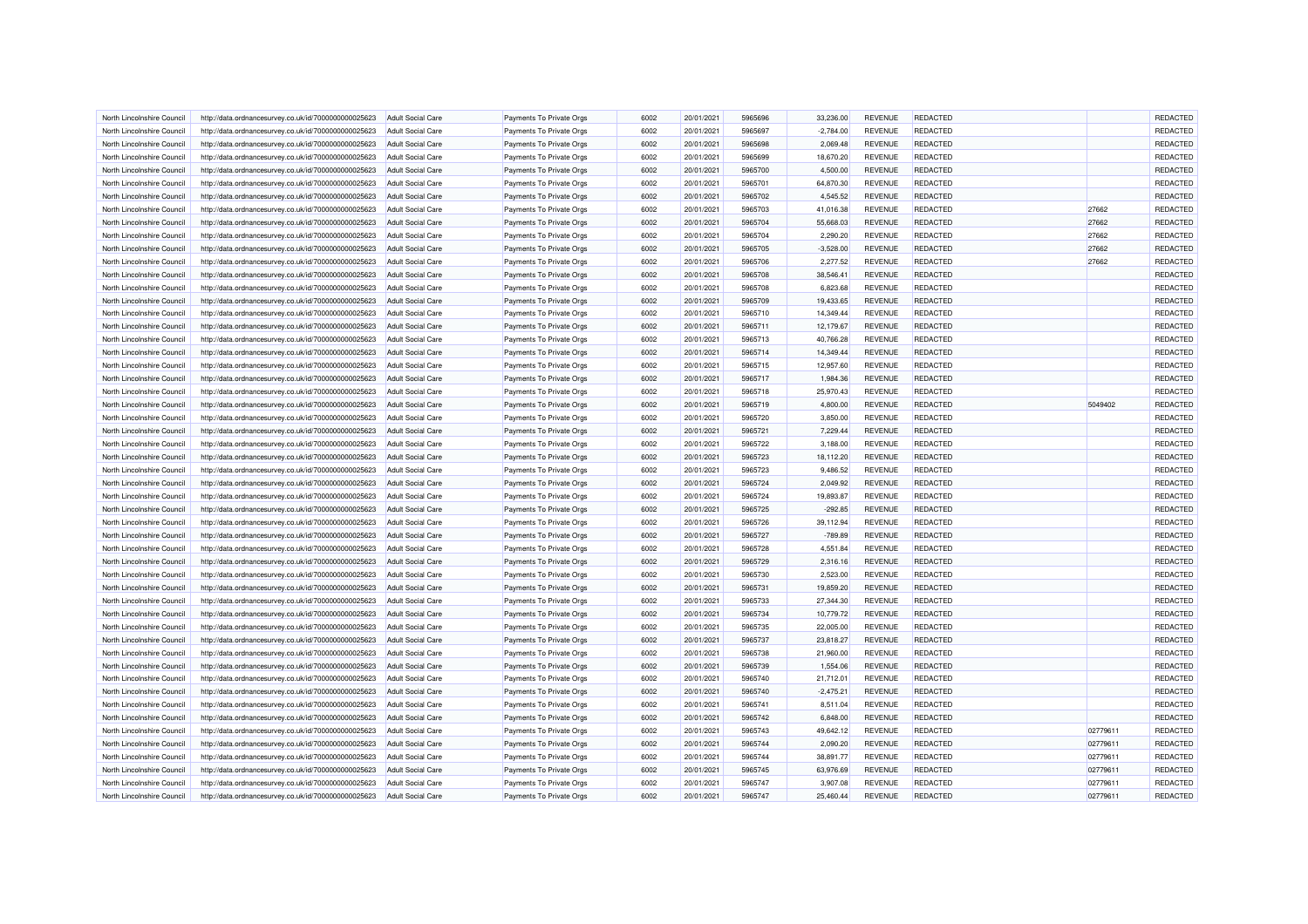| North Lincolnshire Council | http://data.ordnancesurvey.co.uk/id/7000000000025623 | <b>Adult Social Care</b> | Payments To Private Orgs | 6002 | 20/01/2021 | 5965696 | 33,236.00   | <b>REVENUE</b> | REDACTED        |          | REDACTED |
|----------------------------|------------------------------------------------------|--------------------------|--------------------------|------|------------|---------|-------------|----------------|-----------------|----------|----------|
| North Lincolnshire Council | http://data.ordnancesurvey.co.uk/id/7000000000025623 | <b>Adult Social Care</b> | Payments To Private Orgs | 6002 | 20/01/2021 | 5965697 | $-2,784.00$ | <b>REVENUE</b> | REDACTED        |          | REDACTED |
| North Lincolnshire Council | http://data.ordnancesurvey.co.uk/id/7000000000025623 | Adult Social Care        | Payments To Private Orgs | 6002 | 20/01/2021 | 5965698 | 2,069.48    | <b>REVENUE</b> | <b>REDACTED</b> |          | REDACTED |
| North Lincolnshire Council | http://data.ordnancesurvey.co.uk/id/7000000000025623 | <b>Adult Social Care</b> | Payments To Private Orgs | 6002 | 20/01/2021 | 5965699 | 18,670.20   | <b>REVENUE</b> | REDACTED        |          | REDACTED |
| North Lincolnshire Council | http://data.ordnancesurvey.co.uk/id/7000000000025623 | <b>Adult Social Care</b> | Payments To Private Orgs | 6002 | 20/01/2021 | 5965700 | 4,500.00    | <b>REVENUE</b> | REDACTED        |          | REDACTED |
| North Lincolnshire Council | http://data.ordnancesurvey.co.uk/id/7000000000025623 | <b>Adult Social Care</b> | Payments To Private Orgs | 6002 | 20/01/2021 | 5965701 | 64,870.30   | <b>REVENUE</b> | REDACTED        |          | REDACTED |
| North Lincolnshire Council | http://data.ordnancesurvey.co.uk/id/7000000000025623 | <b>Adult Social Care</b> | Payments To Private Orgs | 6002 | 20/01/2021 | 5965702 | 4,545.52    | <b>REVENUE</b> | <b>REDACTED</b> |          | REDACTED |
| North Lincolnshire Council | http://data.ordnancesurvey.co.uk/id/7000000000025623 | <b>Adult Social Care</b> | Payments To Private Orgs | 6002 | 20/01/2021 | 5965703 | 41,016.38   | <b>REVENUE</b> | REDACTED        | 27662    | REDACTED |
| North Lincolnshire Council | http://data.ordnancesurvey.co.uk/id/7000000000025623 | <b>Adult Social Care</b> | Payments To Private Orgs | 6002 | 20/01/2021 | 5965704 | 55,668.03   | <b>REVENUE</b> | REDACTED        | 27662    | REDACTED |
| North Lincolnshire Council | http://data.ordnancesurvey.co.uk/id/7000000000025623 | <b>Adult Social Care</b> | Payments To Private Orgs | 6002 | 20/01/2021 | 5965704 | 2,290.20    | <b>REVENUE</b> | REDACTED        | 27662    | REDACTED |
| North Lincolnshire Council | http://data.ordnancesurvey.co.uk/id/7000000000025623 | Adult Social Care        | Payments To Private Orgs | 6002 | 20/01/2021 | 5965705 | $-3,528.00$ | <b>REVENUE</b> | <b>REDACTED</b> | 27662    | REDACTED |
| North Lincolnshire Council | http://data.ordnancesurvey.co.uk/id/7000000000025623 | <b>Adult Social Care</b> | Payments To Private Orgs | 6002 | 20/01/2021 | 5965706 | 2,277.52    | <b>REVENUE</b> | REDACTED        | 27662    | REDACTED |
| North Lincolnshire Council | http://data.ordnancesurvey.co.uk/id/7000000000025623 | <b>Adult Social Care</b> | Payments To Private Orgs | 6002 | 20/01/2021 | 5965708 | 38,546.41   | <b>REVENUE</b> | REDACTED        |          | REDACTED |
| North Lincolnshire Council | http://data.ordnancesurvey.co.uk/id/7000000000025623 | <b>Adult Social Care</b> | Payments To Private Orgs | 6002 | 20/01/2021 | 5965708 | 6,823.68    | <b>REVENUE</b> | REDACTED        |          | REDACTED |
| North Lincolnshire Council | http://data.ordnancesurvey.co.uk/id/7000000000025623 | <b>Adult Social Care</b> | Payments To Private Orgs | 6002 | 20/01/2021 | 5965709 | 19,433.65   | <b>REVENUE</b> | <b>REDACTED</b> |          | REDACTED |
| North Lincolnshire Council | http://data.ordnancesurvey.co.uk/id/7000000000025623 | <b>Adult Social Care</b> | Payments To Private Orgs | 6002 | 20/01/2021 | 5965710 | 14,349.44   | <b>REVENUE</b> | REDACTED        |          | REDACTED |
| North Lincolnshire Council | http://data.ordnancesurvey.co.uk/id/7000000000025623 | <b>Adult Social Care</b> | Payments To Private Orgs | 6002 | 20/01/2021 | 5965711 | 12,179.67   | <b>REVENUE</b> | <b>REDACTED</b> |          | REDACTED |
| North Lincolnshire Council | http://data.ordnancesurvey.co.uk/id/7000000000025623 | <b>Adult Social Care</b> | Payments To Private Orgs | 6002 | 20/01/2021 | 5965713 | 40,766.28   | <b>REVENUE</b> | <b>REDACTED</b> |          | REDACTED |
| North Lincolnshire Council | http://data.ordnancesurvey.co.uk/id/7000000000025623 | <b>Adult Social Care</b> | Payments To Private Orgs | 6002 | 20/01/2021 | 5965714 | 14,349.44   | <b>REVENUE</b> | REDACTED        |          | REDACTED |
| North Lincolnshire Council | http://data.ordnancesurvey.co.uk/id/7000000000025623 | <b>Adult Social Care</b> | Payments To Private Orgs | 6002 | 20/01/2021 | 5965715 | 12,957.60   | <b>REVENUE</b> | <b>REDACTED</b> |          | REDACTED |
| North Lincolnshire Council | http://data.ordnancesurvey.co.uk/id/7000000000025623 | <b>Adult Social Care</b> | Payments To Private Orgs | 6002 | 20/01/2021 | 5965717 | 1,984.36    | <b>REVENUE</b> | REDACTED        |          | REDACTED |
| North Lincolnshire Council | http://data.ordnancesurvey.co.uk/id/7000000000025623 | Adult Social Care        | Payments To Private Orgs | 6002 | 20/01/2021 | 5965718 | 25,970.43   | <b>REVENUE</b> | <b>REDACTED</b> |          | REDACTED |
|                            |                                                      |                          |                          | 6002 |            |         |             |                | REDACTED        |          | REDACTED |
| North Lincolnshire Council | http://data.ordnancesurvey.co.uk/id/7000000000025623 | <b>Adult Social Care</b> | Payments To Private Orgs |      | 20/01/2021 | 5965719 | 4,800.00    | <b>REVENUE</b> |                 | 5049402  |          |
| North Lincolnshire Council | http://data.ordnancesurvey.co.uk/id/7000000000025623 | <b>Adult Social Care</b> | Payments To Private Orgs | 6002 | 20/01/2021 | 5965720 | 3,850.00    | <b>REVENUE</b> | REDACTED        |          | REDACTED |
| North Lincolnshire Council | http://data.ordnancesurvey.co.uk/id/7000000000025623 | <b>Adult Social Care</b> | Payments To Private Orgs | 6002 | 20/01/2021 | 5965721 | 7,229.44    | <b>REVENUE</b> | REDACTED        |          | REDACTED |
| North Lincolnshire Council | http://data.ordnancesurvey.co.uk/id/7000000000025623 | <b>Adult Social Care</b> | Payments To Private Orgs | 6002 | 20/01/2021 | 5965722 | 3,188.00    | <b>REVENUE</b> | <b>REDACTED</b> |          | REDACTED |
| North Lincolnshire Council | http://data.ordnancesurvey.co.uk/id/7000000000025623 | <b>Adult Social Care</b> | Payments To Private Orgs | 6002 | 20/01/2021 | 5965723 | 18,112.20   | <b>REVENUE</b> | <b>REDACTED</b> |          | REDACTED |
| North Lincolnshire Council | http://data.ordnancesurvey.co.uk/id/7000000000025623 | <b>Adult Social Care</b> | Payments To Private Orgs | 6002 | 20/01/2021 | 5965723 | 9,486.52    | <b>REVENUE</b> | <b>REDACTED</b> |          | REDACTED |
| North Lincolnshire Council | http://data.ordnancesurvey.co.uk/id/7000000000025623 | <b>Adult Social Care</b> | Payments To Private Orgs | 6002 | 20/01/2021 | 5965724 | 2,049.92    | <b>REVENUE</b> | REDACTED        |          | REDACTED |
| North Lincolnshire Council | http://data.ordnancesurvey.co.uk/id/7000000000025623 | Adult Social Care        | Payments To Private Orgs | 6002 | 20/01/2021 | 5965724 | 19,893.87   | <b>REVENUE</b> | REDACTED        |          | REDACTED |
| North Lincolnshire Council | http://data.ordnancesurvey.co.uk/id/7000000000025623 | <b>Adult Social Care</b> | Payments To Private Orgs | 6002 | 20/01/2021 | 5965725 | $-292.85$   | <b>REVENUE</b> | REDACTED        |          | REDACTED |
| North Lincolnshire Council | http://data.ordnancesurvey.co.uk/id/7000000000025623 | <b>Adult Social Care</b> | Payments To Private Orgs | 6002 | 20/01/2021 | 5965726 | 39,112.94   | <b>REVENUE</b> | REDACTED        |          | REDACTED |
| North Lincolnshire Council | http://data.ordnancesurvey.co.uk/id/7000000000025623 | <b>Adult Social Care</b> | Payments To Private Orgs | 6002 | 20/01/2021 | 5965727 | $-789.89$   | <b>REVENUE</b> | REDACTED        |          | REDACTED |
| North Lincolnshire Council | http://data.ordnancesurvey.co.uk/id/7000000000025623 | <b>Adult Social Care</b> | Payments To Private Orgs | 6002 | 20/01/2021 | 5965728 | 4,551.84    | <b>REVENUE</b> | <b>REDACTED</b> |          | REDACTED |
| North Lincolnshire Council | http://data.ordnancesurvey.co.uk/id/7000000000025623 | <b>Adult Social Care</b> | Payments To Private Orgs | 6002 | 20/01/2021 | 5965729 | 2,316.16    | REVENUE        | REDACTED        |          | REDACTED |
| North Lincolnshire Council | http://data.ordnancesurvey.co.uk/id/7000000000025623 | <b>Adult Social Care</b> | Payments To Private Orgs | 6002 | 20/01/2021 | 5965730 | 2.523.00    | <b>REVENUE</b> | REDACTED        |          | REDACTED |
| North Lincolnshire Council | http://data.ordnancesurvey.co.uk/id/7000000000025623 | <b>Adult Social Care</b> | Payments To Private Orgs | 6002 | 20/01/2021 | 5965731 | 19,859.20   | <b>REVENUE</b> | REDACTED        |          | REDACTED |
| North Lincolnshire Council | http://data.ordnancesurvey.co.uk/id/7000000000025623 | Adult Social Care        | Payments To Private Orgs | 6002 | 20/01/2021 | 5965733 | 27.344.30   | <b>REVENUE</b> | <b>REDACTED</b> |          | REDACTED |
| North Lincolnshire Council | http://data.ordnancesurvey.co.uk/id/7000000000025623 | <b>Adult Social Care</b> | Payments To Private Orgs | 6002 | 20/01/2021 | 5965734 | 10,779.72   | <b>REVENUE</b> | REDACTED        |          | REDACTED |
| North Lincolnshire Council | http://data.ordnancesurvey.co.uk/id/7000000000025623 | <b>Adult Social Care</b> | Payments To Private Orgs | 6002 | 20/01/2021 | 5965735 | 22,005.00   | <b>REVENUE</b> | REDACTED        |          | REDACTED |
| North Lincolnshire Council | http://data.ordnancesurvey.co.uk/id/7000000000025623 | Adult Social Care        | Payments To Private Orgs | 6002 | 20/01/2021 | 5965737 | 23,818.27   | <b>REVENUE</b> | REDACTED        |          | REDACTED |
| North Lincolnshire Council | http://data.ordnancesurvey.co.uk/id/7000000000025623 | <b>Adult Social Care</b> | Payments To Private Orgs | 6002 | 20/01/2021 | 5965738 | 21,960.00   | <b>REVENUE</b> | <b>REDACTED</b> |          | REDACTED |
| North Lincolnshire Council | http://data.ordnancesurvey.co.uk/id/7000000000025623 | <b>Adult Social Care</b> | Payments To Private Orgs | 6002 | 20/01/2021 | 5965739 | 1,554.06    | <b>REVENUE</b> | REDACTED        |          | REDACTED |
| North Lincolnshire Council | http://data.ordnancesurvey.co.uk/id/7000000000025623 | <b>Adult Social Care</b> | Payments To Private Orgs | 6002 | 20/01/2021 | 5965740 | 21,712.01   | <b>REVENUE</b> | REDACTED        |          | REDACTED |
| North Lincolnshire Council | http://data.ordnancesurvey.co.uk/id/7000000000025623 | <b>Adult Social Care</b> | Payments To Private Orgs | 6002 | 20/01/2021 | 5965740 | $-2,475.21$ | <b>REVENUE</b> | REDACTED        |          | REDACTED |
| North Lincolnshire Council | http://data.ordnancesurvey.co.uk/id/7000000000025623 | <b>Adult Social Care</b> | Payments To Private Orgs | 6002 | 20/01/2021 | 5965741 | 8,511.04    | <b>REVENUE</b> | REDACTED        |          | REDACTED |
| North Lincolnshire Council | http://data.ordnancesurvey.co.uk/id/7000000000025623 | <b>Adult Social Care</b> | Payments To Private Orgs | 6002 | 20/01/2021 | 5965742 | 6,848.00    | <b>REVENUE</b> | REDACTED        |          | REDACTED |
| North Lincolnshire Council | http://data.ordnancesurvey.co.uk/id/7000000000025623 | <b>Adult Social Care</b> | Payments To Private Orgs | 6002 | 20/01/2021 | 5965743 | 49,642.12   | <b>REVENUE</b> | REDACTED        | 02779611 | REDACTED |
| North Lincolnshire Council | http://data.ordnancesurvey.co.uk/id/7000000000025623 | <b>Adult Social Care</b> | Payments To Private Orgs | 6002 | 20/01/2021 | 5965744 | 2,090.20    | <b>REVENUE</b> | <b>REDACTED</b> | 02779611 | REDACTED |
| North Lincolnshire Council | http://data.ordnancesurvey.co.uk/id/7000000000025623 | <b>Adult Social Care</b> | Payments To Private Orgs | 6002 | 20/01/2021 | 5965744 | 38,891.77   | <b>REVENUE</b> | <b>REDACTED</b> | 02779611 | REDACTED |
| North Lincolnshire Council | http://data.ordnancesurvey.co.uk/id/7000000000025623 | <b>Adult Social Care</b> | Payments To Private Orgs | 6002 | 20/01/2021 | 5965745 | 63,976.69   | <b>REVENUE</b> | REDACTED        | 0277961  | REDACTED |
| North Lincolnshire Council | http://data.ordnancesurvey.co.uk/id/7000000000025623 | <b>Adult Social Care</b> | Payments To Private Orgs | 6002 | 20/01/2021 | 5965747 | 3,907.08    | <b>REVENUE</b> | REDACTED        | 02779611 | REDACTED |
| North Lincolnshire Council | http://data.ordnancesurvey.co.uk/id/7000000000025623 | <b>Adult Social Care</b> | Payments To Private Orgs | 6002 | 20/01/2021 | 5965747 | 25,460.44   | <b>REVENUE</b> | REDACTED        | 02779611 | REDACTED |
|                            |                                                      |                          |                          |      |            |         |             |                |                 |          |          |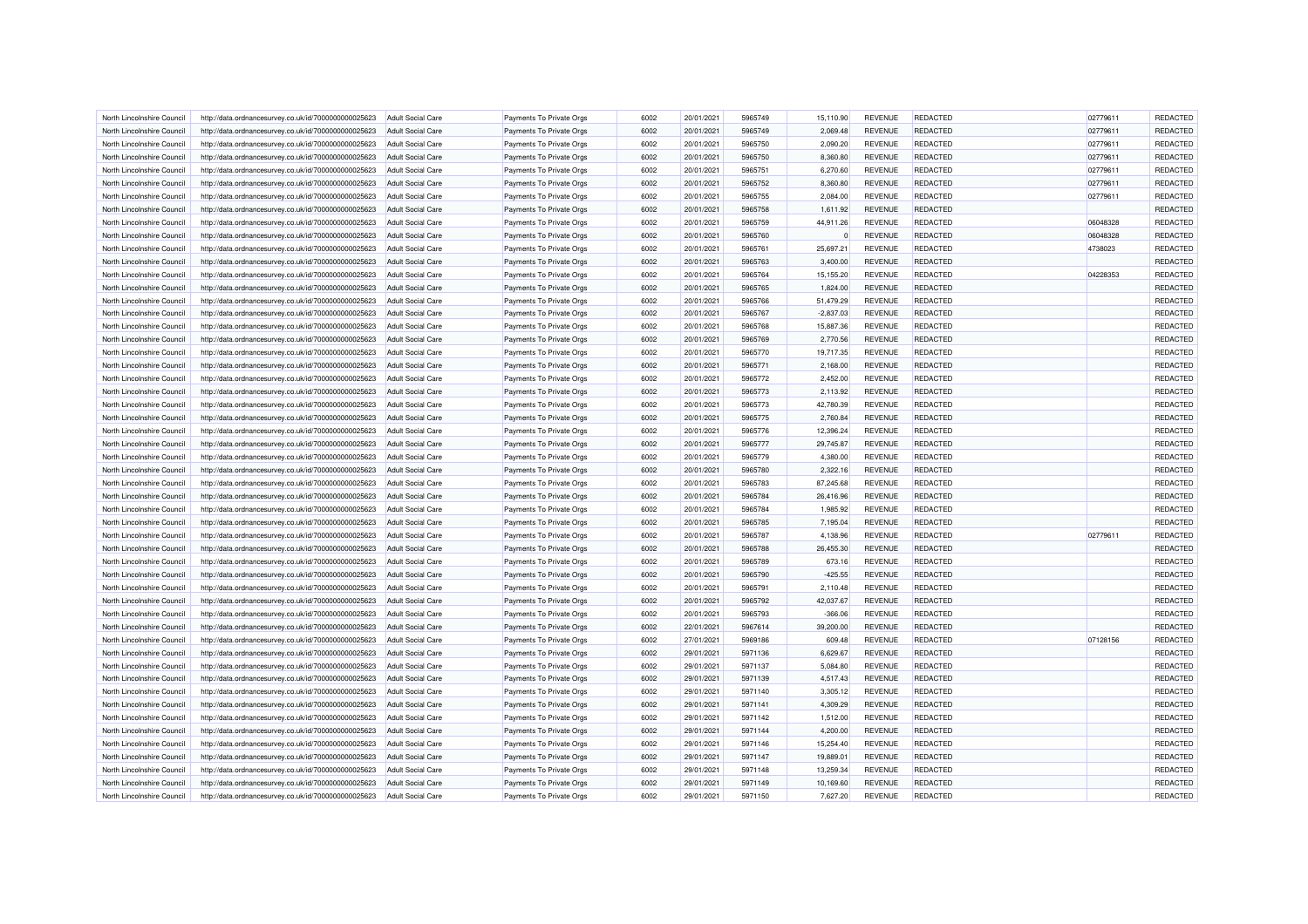| North Lincolnshire Council | http://data.ordnancesurvey.co.uk/id/7000000000025623 | Adult Social Care        | Payments To Private Orgs | 6002 | 20/01/2021 | 5965749 | 15.110.90              | <b>REVENUE</b>                   | REDACTED        | 02779611 | REDACTED        |
|----------------------------|------------------------------------------------------|--------------------------|--------------------------|------|------------|---------|------------------------|----------------------------------|-----------------|----------|-----------------|
| North Lincolnshire Council | http://data.ordnancesurvey.co.uk/id/7000000000025623 | <b>Adult Social Care</b> | Payments To Private Orgs | 6002 | 20/01/2021 | 5965749 | 2,069.48               | <b>REVENUE</b>                   | REDACTED        | 02779611 | REDACTED        |
| North Lincolnshire Council | http://data.ordnancesurvey.co.uk/id/7000000000025623 | <b>Adult Social Care</b> | Payments To Private Orgs | 6002 | 20/01/2021 | 5965750 | 2,090.20               | <b>REVENUE</b>                   | <b>REDACTED</b> | 02779611 | <b>REDACTED</b> |
| North Lincolnshire Council | http://data.ordnancesurvey.co.uk/id/7000000000025623 | Adult Social Care        | Payments To Private Orgs | 6002 | 20/01/2021 | 5965750 | 8,360.80               | <b>REVENUE</b>                   | REDACTED        | 02779611 | REDACTED        |
| North Lincolnshire Council | http://data.ordnancesurvey.co.uk/id/7000000000025623 | <b>Adult Social Care</b> | Payments To Private Orgs | 6002 | 20/01/2021 | 5965751 | 6,270.60               | <b>REVENUE</b>                   | <b>REDACTED</b> | 02779611 | REDACTED        |
| North Lincolnshire Council | http://data.ordnancesurvey.co.uk/id/7000000000025623 | <b>Adult Social Care</b> | Payments To Private Orgs | 6002 | 20/01/2021 | 5965752 | 8,360.80               | <b>REVENUE</b>                   | REDACTED        | 02779611 | REDACTED        |
| North Lincolnshire Council | http://data.ordnancesurvey.co.uk/id/7000000000025623 | <b>Adult Social Care</b> | Payments To Private Orgs | 6002 | 20/01/2021 | 5965755 | 2,084.00               | <b>REVENUE</b>                   | REDACTED        | 02779611 | REDACTED        |
| North Lincolnshire Council | http://data.ordnancesurvey.co.uk/id/7000000000025623 | <b>Adult Social Care</b> | Payments To Private Orgs | 6002 | 20/01/2021 | 5965758 | 1,611.92               | <b>REVENUE</b>                   | <b>REDACTED</b> |          | REDACTED        |
| North Lincolnshire Council | http://data.ordnancesurvey.co.uk/id/7000000000025623 | <b>Adult Social Care</b> | Payments To Private Orgs | 6002 | 20/01/2021 | 5965759 | 44,911.26              | <b>REVENUE</b>                   | REDACTED        | 06048328 | REDACTED        |
| North Lincolnshire Council | http://data.ordnancesurvey.co.uk/id/7000000000025623 | <b>Adult Social Care</b> | Payments To Private Orgs | 6002 | 20/01/2021 | 5965760 |                        | <b>REVENUE</b>                   | <b>REDACTED</b> | 06048328 | REDACTED        |
| North Lincolnshire Council | http://data.ordnancesurvey.co.uk/id/7000000000025623 | <b>Adult Social Care</b> | Payments To Private Orgs | 6002 | 20/01/2021 | 5965761 | 25,697.21              | <b>REVENUE</b>                   | REDACTED        | 4738023  | REDACTED        |
| North Lincolnshire Council | http://data.ordnancesurvey.co.uk/id/7000000000025623 | Adult Social Care        | Payments To Private Orgs | 6002 | 20/01/2021 | 5965763 | 3.400.00               | <b>REVENUE</b>                   | REDACTED        |          | REDACTED        |
| North Lincolnshire Council | http://data.ordnancesurvey.co.uk/id/7000000000025623 | <b>Adult Social Care</b> | Payments To Private Orgs | 6002 | 20/01/2021 | 5965764 | 15,155.20              | <b>REVENUE</b>                   | <b>REDACTED</b> | 04228353 | REDACTED        |
| North Lincolnshire Council | http://data.ordnancesurvey.co.uk/id/7000000000025623 | <b>Adult Social Care</b> | Payments To Private Orgs | 6002 | 20/01/2021 | 5965765 | 1,824.00               | <b>REVENUE</b>                   | REDACTED        |          | <b>REDACTED</b> |
| North Lincolnshire Council | http://data.ordnancesurvey.co.uk/id/7000000000025623 | <b>Adult Social Care</b> | Payments To Private Orgs | 6002 | 20/01/2021 | 5965766 | 51,479.29              | <b>REVENUE</b>                   | REDACTED        |          | REDACTED        |
| North Lincolnshire Council | http://data.ordnancesurvey.co.uk/id/7000000000025623 | <b>Adult Social Care</b> | Payments To Private Orgs | 6002 | 20/01/2021 | 5965767 | $-2,837.03$            | <b>REVENUE</b>                   | REDACTED        |          | REDACTED        |
| North Lincolnshire Council | http://data.ordnancesurvey.co.uk/id/7000000000025623 | <b>Adult Social Care</b> | Payments To Private Orgs | 6002 | 20/01/2021 | 5965768 | 15,887.36              | <b>REVENUE</b>                   | REDACTED        |          | REDACTED        |
| North Lincolnshire Council | http://data.ordnancesurvey.co.uk/id/7000000000025623 | <b>Adult Social Care</b> | Payments To Private Orgs | 6002 | 20/01/2021 | 5965769 | 2,770.56               | <b>REVENUE</b>                   | REDACTED        |          | REDACTED        |
|                            |                                                      |                          |                          |      |            |         |                        |                                  |                 |          |                 |
| North Lincolnshire Council | http://data.ordnancesurvey.co.uk/id/7000000000025623 | Adult Social Care        | Payments To Private Orgs | 6002 | 20/01/2021 | 5965770 | 19,717.35              | <b>REVENUE</b>                   | REDACTED        |          | REDACTED        |
| North Lincolnshire Council | http://data.ordnancesurvey.co.uk/id/7000000000025623 | <b>Adult Social Care</b> | Payments To Private Orgs | 6002 | 20/01/2021 | 5965771 | 2,168.00               | <b>REVENUE</b>                   | REDACTED        |          | REDACTED        |
| North Lincolnshire Council | http://data.ordnancesurvey.co.uk/id/7000000000025623 | <b>Adult Social Care</b> | Payments To Private Orgs | 6002 | 20/01/2021 | 5965772 | 2,452.00               | <b>REVENUE</b>                   | REDACTED        |          | REDACTED        |
| North Lincolnshire Council | http://data.ordnancesurvey.co.uk/id/7000000000025623 | <b>Adult Social Care</b> | Payments To Private Orgs | 6002 | 20/01/2021 | 5965773 | 2,113.92               | <b>REVENUE</b>                   | REDACTED        |          | <b>REDACTED</b> |
| North Lincolnshire Council | http://data.ordnancesurvey.co.uk/id/7000000000025623 | <b>Adult Social Care</b> | Payments To Private Orgs | 6002 | 20/01/2021 | 5965773 | 42,780.39              | <b>REVENUE</b>                   | REDACTED        |          | REDACTED        |
| North Lincolnshire Council | http://data.ordnancesurvey.co.uk/id/7000000000025623 | <b>Adult Social Care</b> | Payments To Private Orgs | 6002 | 20/01/2021 | 5965775 | 2,760.84               | <b>REVENUE</b>                   | <b>REDACTED</b> |          | REDACTED        |
| North Lincolnshire Council | http://data.ordnancesurvey.co.uk/id/7000000000025623 | Adult Social Care        | Payments To Private Orgs | 6002 | 20/01/2021 | 5965776 | 12,396.24              | <b>REVENUE</b>                   | <b>REDACTED</b> |          | REDACTED        |
| North Lincolnshire Council | http://data.ordnancesurvey.co.uk/id/7000000000025623 | <b>Adult Social Care</b> | Payments To Private Orgs | 6002 | 20/01/2021 | 5965777 | 29,745.87              | <b>REVENUE</b>                   | REDACTED        |          | REDACTED        |
| North Lincolnshire Council | http://data.ordnancesurvey.co.uk/id/7000000000025623 | <b>Adult Social Care</b> | Payments To Private Orgs | 6002 | 20/01/2021 | 5965779 | 4,380.00               | <b>REVENUE</b>                   | <b>REDACTED</b> |          | REDACTED        |
| North Lincolnshire Council | http://data.ordnancesurvey.co.uk/id/7000000000025623 | <b>Adult Social Care</b> | Payments To Private Orgs | 6002 | 20/01/2021 | 5965780 | 2,322.16               | <b>REVENUE</b>                   | REDACTED        |          | REDACTED        |
| North Lincolnshire Council | http://data.ordnancesurvey.co.uk/id/7000000000025623 | <b>Adult Social Care</b> | Payments To Private Orgs | 6002 | 20/01/2021 | 5965783 | 87,245.68              | <b>REVENUE</b>                   | <b>REDACTED</b> |          | REDACTED        |
| North Lincolnshire Council | http://data.ordnancesurvey.co.uk/id/7000000000025623 | <b>Adult Social Care</b> | Payments To Private Orgs | 6002 | 20/01/2021 | 5965784 | 26,416.96              | <b>REVENUE</b>                   | <b>REDACTED</b> |          | REDACTED        |
| North Lincolnshire Council | http://data.ordnancesurvey.co.uk/id/7000000000025623 | <b>Adult Social Care</b> | Payments To Private Orgs | 6002 | 20/01/2021 | 5965784 | 1,985.92               | <b>REVENUE</b>                   | REDACTED        |          | REDACTED        |
| North Lincolnshire Council | http://data.ordnancesurvey.co.uk/id/7000000000025623 | <b>Adult Social Care</b> | Payments To Private Orgs | 6002 | 20/01/2021 | 5965785 | 7,195.04               | <b>REVENUE</b>                   | <b>REDACTED</b> |          | REDACTED        |
| North Lincolnshire Council | http://data.ordnancesurvey.co.uk/id/7000000000025623 | Adult Social Care        | Payments To Private Orgs | 6002 | 20/01/2021 | 5965787 | 4.138.96               | <b>REVENUE</b>                   | REDACTED        | 02779611 | REDACTED        |
| North Lincolnshire Council | http://data.ordnancesurvey.co.uk/id/7000000000025623 | <b>Adult Social Care</b> | Payments To Private Orgs | 6002 | 20/01/2021 | 5965788 | 26,455.30              | <b>REVENUE</b>                   | REDACTED        |          | REDACTED        |
| North Lincolnshire Council | http://data.ordnancesurvey.co.uk/id/7000000000025623 | <b>Adult Social Care</b> | Payments To Private Orgs | 6002 | 20/01/2021 | 5965789 | 673.16                 | <b>REVENUE</b>                   | <b>REDACTED</b> |          | REDACTED        |
| North Lincolnshire Council | http://data.ordnancesurvey.co.uk/id/7000000000025623 | <b>Adult Social Care</b> | Payments To Private Orgs | 6002 | 20/01/2021 | 5965790 | $-425.55$              | <b>REVENUE</b>                   | REDACTED        |          | <b>REDACTED</b> |
| North Lincolnshire Council | http://data.ordnancesurvey.co.uk/id/7000000000025623 | <b>Adult Social Care</b> | Payments To Private Orgs | 6002 | 20/01/2021 | 5965791 | 2,110.48               | <b>REVENUE</b>                   | <b>REDACTED</b> |          | REDACTED        |
| North Lincolnshire Council | http://data.ordnancesurvey.co.uk/id/7000000000025623 | <b>Adult Social Care</b> | Payments To Private Orgs | 6002 | 20/01/2021 | 5965792 | 42,037.67              | <b>REVENUE</b>                   | <b>REDACTED</b> |          | REDACTED        |
| North Lincolnshire Council | http://data.ordnancesurvey.co.uk/id/7000000000025623 | <b>Adult Social Care</b> | Payments To Private Orgs | 6002 | 20/01/2021 | 5965793 | $-366.06$              | <b>REVENUE</b>                   | REDACTED        |          | REDACTED        |
| North Lincolnshire Council | http://data.ordnancesurvey.co.uk/id/7000000000025623 | <b>Adult Social Care</b> | Payments To Private Orgs | 6002 | 22/01/2021 | 5967614 | 39,200.00              | <b>REVENUE</b>                   | <b>REDACTED</b> |          | REDACTED        |
| North Lincolnshire Council | http://data.ordnancesurvey.co.uk/id/7000000000025623 | <b>Adult Social Care</b> | Payments To Private Orgs | 6002 | 27/01/2021 | 5969186 | 609.48                 | <b>REVENUE</b>                   | REDACTED        | 07128156 | REDACTED        |
| North Lincolnshire Council | http://data.ordnancesurvey.co.uk/id/7000000000025623 | <b>Adult Social Care</b> | Payments To Private Orgs | 6002 | 29/01/2021 | 5971136 | 6,629.67               | <b>REVENUE</b>                   | <b>REDACTED</b> |          | REDACTED        |
| North Lincolnshire Council | http://data.ordnancesurvey.co.uk/id/7000000000025623 | <b>Adult Social Care</b> | Payments To Private Orgs | 6002 | 29/01/2021 | 5971137 | 5,084.80               | REVENUE                          | REDACTED        |          | REDACTED        |
| North Lincolnshire Council | http://data.ordnancesurvey.co.uk/id/7000000000025623 | Adult Social Care        | Payments To Private Orgs | 6002 | 29/01/2021 | 5971139 | 4.517.43               | <b>REVENUE</b>                   | REDACTED        |          | REDACTED        |
| North Lincolnshire Council | http://data.ordnancesurvey.co.uk/id/7000000000025623 | <b>Adult Social Care</b> | Payments To Private Orgs | 6002 | 29/01/2021 | 5971140 | 3,305.12               | <b>REVENUE</b>                   | <b>REDACTED</b> |          | <b>REDACTED</b> |
| North Lincolnshire Council | http://data.ordnancesurvey.co.uk/id/7000000000025623 | <b>Adult Social Care</b> | Payments To Private Orgs | 6002 | 29/01/2021 | 5971141 | 4,309.29               | <b>REVENUE</b>                   | REDACTED        |          | REDACTED        |
| North Lincolnshire Council | http://data.ordnancesurvey.co.uk/id/7000000000025623 | <b>Adult Social Care</b> | Payments To Private Orgs | 6002 | 29/01/2021 | 5971142 | 1,512.00               | <b>REVENUE</b>                   | REDACTED        |          | REDACTED        |
| North Lincolnshire Council | http://data.ordnancesurvey.co.uk/id/7000000000025623 | <b>Adult Social Care</b> | Payments To Private Orgs | 6002 | 29/01/2021 | 5971144 | 4,200.00               | <b>REVENUE</b>                   | REDACTED        |          | REDACTED        |
| North Lincolnshire Council | http://data.ordnancesurvey.co.uk/id/7000000000025623 | <b>Adult Social Care</b> | Payments To Private Orgs | 6002 | 29/01/2021 | 5971146 | 15,254.40              | REVENUE                          | REDACTED        |          | REDACTED        |
| North Lincolnshire Council | http://data.ordnancesurvey.co.uk/id/7000000000025623 | <b>Adult Social Care</b> | Payments To Private Orgs | 6002 | 29/01/2021 | 5971147 | 19,889.01              | <b>REVENUE</b>                   | <b>REDACTED</b> |          | REDACTED        |
|                            |                                                      |                          |                          | 6002 |            | 5971148 |                        |                                  | REDACTED        |          | REDACTED        |
| North Lincolnshire Council | http://data.ordnancesurvey.co.uk/id/7000000000025623 | <b>Adult Social Care</b> | Payments To Private Orgs | 6002 | 29/01/2021 | 5971149 | 13,259.34<br>10,169.60 | <b>REVENUE</b><br><b>REVENUE</b> | REDACTED        |          | REDACTED        |
| North Lincolnshire Council | http://data.ordnancesurvey.co.uk/id/7000000000025623 | <b>Adult Social Care</b> | Payments To Private Orgs |      | 29/01/2021 |         |                        |                                  |                 |          | <b>REDACTED</b> |
| North Lincolnshire Council | http://data.ordnancesurvey.co.uk/id/7000000000025623 | <b>Adult Social Care</b> | Payments To Private Orgs | 6002 | 29/01/2021 | 5971150 | 7,627.20               | <b>REVENUE</b>                   | <b>REDACTED</b> |          |                 |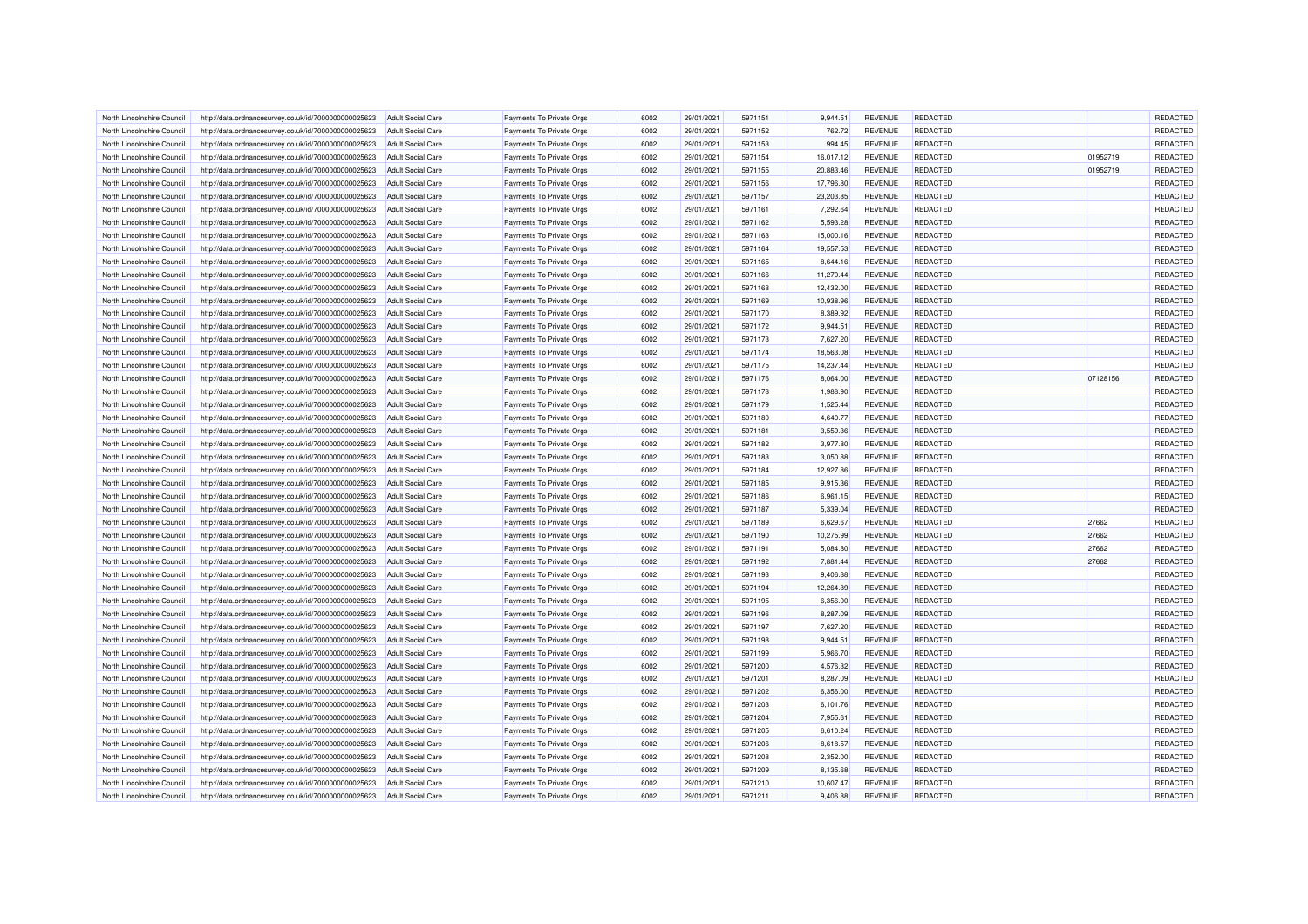| North Lincolnshire Council | http://data.ordnancesurvey.co.uk/id/7000000000025623 | <b>Adult Social Care</b> | Payments To Private Orgs                             | 6002 | 29/01/2021 | 5971151 | 9,944.51  | <b>REVENUE</b> | REDACTED        |          | REDACTED |
|----------------------------|------------------------------------------------------|--------------------------|------------------------------------------------------|------|------------|---------|-----------|----------------|-----------------|----------|----------|
| North Lincolnshire Council | http://data.ordnancesurvey.co.uk/id/7000000000025623 | <b>Adult Social Care</b> | Payments To Private Orgs                             | 6002 | 29/01/2021 | 5971152 | 762.72    | <b>REVENUE</b> | REDACTED        |          | REDACTED |
| North Lincolnshire Council | http://data.ordnancesurvey.co.uk/id/7000000000025623 | Adult Social Care        | Payments To Private Orgs                             | 6002 | 29/01/2021 | 5971153 | 994.45    | <b>REVENUE</b> | <b>REDACTED</b> |          | REDACTED |
| North Lincolnshire Council | http://data.ordnancesurvey.co.uk/id/7000000000025623 | <b>Adult Social Care</b> | Payments To Private Orgs                             | 6002 | 29/01/2021 | 5971154 | 16,017.12 | <b>REVENUE</b> | REDACTED        | 01952719 | REDACTED |
| North Lincolnshire Council | http://data.ordnancesurvey.co.uk/id/7000000000025623 | <b>Adult Social Care</b> | Payments To Private Orgs                             | 6002 | 29/01/2021 | 5971155 | 20,883.46 | <b>REVENUE</b> | REDACTED        | 01952719 | REDACTED |
| North Lincolnshire Council | http://data.ordnancesurvey.co.uk/id/7000000000025623 | <b>Adult Social Care</b> | Payments To Private Orgs                             | 6002 | 29/01/2021 | 5971156 | 17,796.80 | <b>REVENUE</b> | REDACTED        |          | REDACTED |
| North Lincolnshire Council | http://data.ordnancesurvey.co.uk/id/7000000000025623 | <b>Adult Social Care</b> | Payments To Private Orgs                             | 6002 | 29/01/2021 | 5971157 | 23,203.85 | <b>REVENUE</b> | <b>REDACTED</b> |          | REDACTED |
| North Lincolnshire Council | http://data.ordnancesurvey.co.uk/id/7000000000025623 | <b>Adult Social Care</b> | Payments To Private Orgs                             | 6002 | 29/01/2021 | 5971161 | 7,292.64  | <b>REVENUE</b> | REDACTED        |          | REDACTED |
| North Lincolnshire Council | http://data.ordnancesurvey.co.uk/id/7000000000025623 | <b>Adult Social Care</b> | Payments To Private Orgs                             | 6002 | 29/01/2021 | 5971162 | 5,593.28  | <b>REVENUE</b> | REDACTED        |          | REDACTED |
| North Lincolnshire Council | http://data.ordnancesurvey.co.uk/id/7000000000025623 | <b>Adult Social Care</b> | Payments To Private Orgs                             | 6002 | 29/01/2021 | 5971163 | 15,000.16 | <b>REVENUE</b> | REDACTED        |          | REDACTED |
| North Lincolnshire Council | http://data.ordnancesurvey.co.uk/id/7000000000025623 | Adult Social Care        | Payments To Private Orgs                             | 6002 | 29/01/2021 | 5971164 | 19,557.53 | <b>REVENUE</b> | <b>REDACTED</b> |          | REDACTED |
| North Lincolnshire Council | http://data.ordnancesurvey.co.uk/id/7000000000025623 | <b>Adult Social Care</b> | Payments To Private Orgs                             | 6002 | 29/01/2021 | 5971165 | 8,644.16  | <b>REVENUE</b> | REDACTED        |          | REDACTED |
| North Lincolnshire Council | http://data.ordnancesurvey.co.uk/id/7000000000025623 | <b>Adult Social Care</b> | Payments To Private Orgs                             | 6002 | 29/01/2021 | 5971166 | 11,270.44 | <b>REVENUE</b> | REDACTED        |          | REDACTED |
| North Lincolnshire Council | http://data.ordnancesurvey.co.uk/id/7000000000025623 | <b>Adult Social Care</b> | Payments To Private Orgs                             | 6002 | 29/01/2021 | 5971168 | 12,432.00 | <b>REVENUE</b> | REDACTED        |          | REDACTED |
| North Lincolnshire Council | http://data.ordnancesurvey.co.uk/id/7000000000025623 | <b>Adult Social Care</b> | Payments To Private Orgs                             | 6002 | 29/01/2021 | 5971169 | 10,938.96 | <b>REVENUE</b> | <b>REDACTED</b> |          | REDACTED |
| North Lincolnshire Council | http://data.ordnancesurvey.co.uk/id/7000000000025623 | <b>Adult Social Care</b> | Payments To Private Orgs                             | 6002 | 29/01/2021 | 5971170 | 8,389.92  | <b>REVENUE</b> | REDACTED        |          | REDACTED |
| North Lincolnshire Council | http://data.ordnancesurvey.co.uk/id/7000000000025623 | <b>Adult Social Care</b> | Payments To Private Orgs                             | 6002 | 29/01/2021 | 5971172 | 9,944.51  | <b>REVENUE</b> | REDACTED        |          | REDACTED |
| North Lincolnshire Council | http://data.ordnancesurvey.co.uk/id/7000000000025623 | <b>Adult Social Care</b> | Payments To Private Orgs                             | 6002 | 29/01/2021 | 5971173 | 7,627.20  | <b>REVENUE</b> | <b>REDACTED</b> |          | REDACTED |
| North Lincolnshire Council | http://data.ordnancesurvey.co.uk/id/7000000000025623 | <b>Adult Social Care</b> | Payments To Private Orgs                             | 6002 | 29/01/2021 | 5971174 | 18,563.08 | <b>REVENUE</b> | REDACTED        |          | REDACTED |
| North Lincolnshire Council | http://data.ordnancesurvey.co.uk/id/7000000000025623 | <b>Adult Social Care</b> | Payments To Private Orgs                             | 6002 | 29/01/2021 | 5971175 | 14,237.44 | <b>REVENUE</b> | <b>REDACTED</b> |          | REDACTED |
| North Lincolnshire Council |                                                      | <b>Adult Social Care</b> |                                                      | 6002 | 29/01/2021 | 5971176 | 8,064.00  | <b>REVENUE</b> | REDACTED        | 07128156 | REDACTED |
| North Lincolnshire Council | http://data.ordnancesurvey.co.uk/id/7000000000025623 | Adult Social Care        | Payments To Private Orgs<br>Payments To Private Orgs | 6002 | 29/01/2021 | 5971178 | 1,988.90  | <b>REVENUE</b> | <b>REDACTED</b> |          | REDACTED |
|                            | http://data.ordnancesurvey.co.uk/id/7000000000025623 |                          |                                                      |      |            |         |           |                |                 |          |          |
| North Lincolnshire Council | http://data.ordnancesurvey.co.uk/id/7000000000025623 | <b>Adult Social Care</b> | Payments To Private Orgs                             | 6002 | 29/01/2021 | 5971179 | 1,525.44  | <b>REVENUE</b> | REDACTED        |          | REDACTED |
| North Lincolnshire Council | http://data.ordnancesurvey.co.uk/id/7000000000025623 | <b>Adult Social Care</b> | Payments To Private Orgs                             | 6002 | 29/01/2021 | 5971180 | 4,640.77  | <b>REVENUE</b> | REDACTED        |          | REDACTED |
| North Lincolnshire Council | http://data.ordnancesurvey.co.uk/id/7000000000025623 | <b>Adult Social Care</b> | Payments To Private Orgs                             | 6002 | 29/01/2021 | 5971181 | 3,559.36  | <b>REVENUE</b> | REDACTED        |          | REDACTED |
| North Lincolnshire Council | http://data.ordnancesurvey.co.uk/id/7000000000025623 | <b>Adult Social Care</b> | Payments To Private Orgs                             | 6002 | 29/01/2021 | 5971182 | 3,977.80  | <b>REVENUE</b> | <b>REDACTED</b> |          | REDACTED |
| North Lincolnshire Council | http://data.ordnancesurvey.co.uk/id/7000000000025623 | <b>Adult Social Care</b> | Payments To Private Orgs                             | 6002 | 29/01/2021 | 5971183 | 3,050.88  | <b>REVENUE</b> | <b>REDACTED</b> |          | REDACTED |
| North Lincolnshire Council | http://data.ordnancesurvey.co.uk/id/7000000000025623 | <b>Adult Social Care</b> | Payments To Private Orgs                             | 6002 | 29/01/2021 | 5971184 | 12,927.86 | <b>REVENUE</b> | <b>REDACTED</b> |          | REDACTED |
| North Lincolnshire Council | http://data.ordnancesurvey.co.uk/id/7000000000025623 | <b>Adult Social Care</b> | Payments To Private Orgs                             | 6002 | 29/01/2021 | 5971185 | 9,915.36  | <b>REVENUE</b> | REDACTED        |          | REDACTED |
| North Lincolnshire Council | http://data.ordnancesurvey.co.uk/id/7000000000025623 | Adult Social Care        | Payments To Private Orgs                             | 6002 | 29/01/2021 | 5971186 | 6,961.15  | <b>REVENUE</b> | <b>REDACTED</b> |          | REDACTED |
| North Lincolnshire Council | http://data.ordnancesurvey.co.uk/id/7000000000025623 | <b>Adult Social Care</b> | Payments To Private Orgs                             | 6002 | 29/01/2021 | 5971187 | 5,339.04  | <b>REVENUE</b> | REDACTED        |          | REDACTED |
| North Lincolnshire Council | http://data.ordnancesurvey.co.uk/id/7000000000025623 | <b>Adult Social Care</b> | Payments To Private Orgs                             | 6002 | 29/01/2021 | 5971189 | 6,629.67  | <b>REVENUE</b> | REDACTED        | 27662    | REDACTED |
| North Lincolnshire Council | http://data.ordnancesurvey.co.uk/id/7000000000025623 | <b>Adult Social Care</b> | Payments To Private Orgs                             | 6002 | 29/01/2021 | 5971190 | 10,275.99 | <b>REVENUE</b> | REDACTED        | 27662    | REDACTED |
| North Lincolnshire Council | http://data.ordnancesurvey.co.uk/id/7000000000025623 | <b>Adult Social Care</b> | Payments To Private Orgs                             | 6002 | 29/01/2021 | 5971191 | 5,084.80  | <b>REVENUE</b> | <b>REDACTED</b> | 27662    | REDACTED |
| North Lincolnshire Council | http://data.ordnancesurvey.co.uk/id/7000000000025623 | <b>Adult Social Care</b> | Payments To Private Orgs                             | 6002 | 29/01/2021 | 5971192 | 7,881.44  | REVENUE        | REDACTED        | 27662    | REDACTED |
| North Lincolnshire Council | http://data.ordnancesurvey.co.uk/id/7000000000025623 | <b>Adult Social Care</b> | Payments To Private Orgs                             | 6002 | 29/01/2021 | 5971193 | 9,406.88  | <b>REVENUE</b> | REDACTED        |          | REDACTED |
| North Lincolnshire Council | http://data.ordnancesurvey.co.uk/id/7000000000025623 | <b>Adult Social Care</b> | Payments To Private Orgs                             | 6002 | 29/01/2021 | 5971194 | 12,264.89 | <b>REVENUE</b> | REDACTED        |          | REDACTED |
| North Lincolnshire Council | http://data.ordnancesurvey.co.uk/id/7000000000025623 | Adult Social Care        | Payments To Private Orgs                             | 6002 | 29/01/2021 | 5971195 | 6,356.00  | <b>REVENUE</b> | <b>REDACTED</b> |          | REDACTED |
| North Lincolnshire Council | http://data.ordnancesurvey.co.uk/id/7000000000025623 | <b>Adult Social Care</b> | Payments To Private Orgs                             | 6002 | 29/01/2021 | 5971196 | 8,287.09  | <b>REVENUE</b> | REDACTED        |          | REDACTED |
| North Lincolnshire Council | http://data.ordnancesurvey.co.uk/id/7000000000025623 | <b>Adult Social Care</b> | Payments To Private Orgs                             | 6002 | 29/01/2021 | 5971197 | 7,627.20  | <b>REVENUE</b> | REDACTED        |          | REDACTED |
| North Lincolnshire Council | http://data.ordnancesurvey.co.uk/id/7000000000025623 | Adult Social Care        | Payments To Private Orgs                             | 6002 | 29/01/2021 | 5971198 | 9,944.51  | <b>REVENUE</b> | REDACTED        |          | REDACTED |
| North Lincolnshire Council | http://data.ordnancesurvey.co.uk/id/7000000000025623 | <b>Adult Social Care</b> | Payments To Private Orgs                             | 6002 | 29/01/2021 | 5971199 | 5,966.70  | <b>REVENUE</b> | <b>REDACTED</b> |          | REDACTED |
| North Lincolnshire Council | http://data.ordnancesurvey.co.uk/id/7000000000025623 | <b>Adult Social Care</b> | Payments To Private Orgs                             | 6002 | 29/01/2021 | 5971200 | 4,576.32  | <b>REVENUE</b> | REDACTED        |          | REDACTED |
| North Lincolnshire Council | http://data.ordnancesurvey.co.uk/id/7000000000025623 | <b>Adult Social Care</b> | Payments To Private Orgs                             | 6002 | 29/01/2021 | 5971201 | 8,287.09  | <b>REVENUE</b> | REDACTED        |          | REDACTED |
| North Lincolnshire Council | http://data.ordnancesurvey.co.uk/id/7000000000025623 | <b>Adult Social Care</b> | Payments To Private Orgs                             | 6002 | 29/01/2021 | 5971202 | 6,356.00  | <b>REVENUE</b> | REDACTED        |          | REDACTED |
| North Lincolnshire Council | http://data.ordnancesurvey.co.uk/id/7000000000025623 | <b>Adult Social Care</b> | Payments To Private Orgs                             | 6002 | 29/01/2021 | 5971203 | 6,101.76  | <b>REVENUE</b> | REDACTED        |          | REDACTED |
| North Lincolnshire Council | http://data.ordnancesurvey.co.uk/id/7000000000025623 | <b>Adult Social Care</b> | Payments To Private Orgs                             | 6002 | 29/01/2021 | 5971204 | 7,955.61  | <b>REVENUE</b> | REDACTED        |          | REDACTED |
| North Lincolnshire Council | http://data.ordnancesurvey.co.uk/id/7000000000025623 | <b>Adult Social Care</b> | Payments To Private Orgs                             | 6002 | 29/01/2021 | 5971205 | 6,610.24  | <b>REVENUE</b> | REDACTED        |          | REDACTED |
| North Lincolnshire Council | http://data.ordnancesurvey.co.uk/id/7000000000025623 | <b>Adult Social Care</b> | Payments To Private Orgs                             | 6002 | 29/01/2021 | 5971206 | 8,618.57  | <b>REVENUE</b> | <b>REDACTED</b> |          | REDACTED |
| North Lincolnshire Council | http://data.ordnancesurvey.co.uk/id/7000000000025623 | <b>Adult Social Care</b> | Payments To Private Orgs                             | 6002 | 29/01/2021 | 5971208 | 2,352.00  | <b>REVENUE</b> | <b>REDACTED</b> |          | REDACTED |
| North Lincolnshire Council | http://data.ordnancesurvey.co.uk/id/7000000000025623 | <b>Adult Social Care</b> | Payments To Private Orgs                             | 6002 | 29/01/2021 | 5971209 | 8,135.68  | <b>REVENUE</b> | REDACTED        |          | REDACTED |
| North Lincolnshire Council | http://data.ordnancesurvey.co.uk/id/7000000000025623 | <b>Adult Social Care</b> | Payments To Private Orgs                             | 6002 | 29/01/2021 | 5971210 | 10,607.47 | <b>REVENUE</b> | REDACTED        |          | REDACTED |
| North Lincolnshire Council | http://data.ordnancesurvey.co.uk/id/7000000000025623 | <b>Adult Social Care</b> | Payments To Private Orgs                             | 6002 | 29/01/2021 | 5971211 | 9,406.88  | <b>REVENUE</b> | REDACTED        |          | REDACTED |
|                            |                                                      |                          |                                                      |      |            |         |           |                |                 |          |          |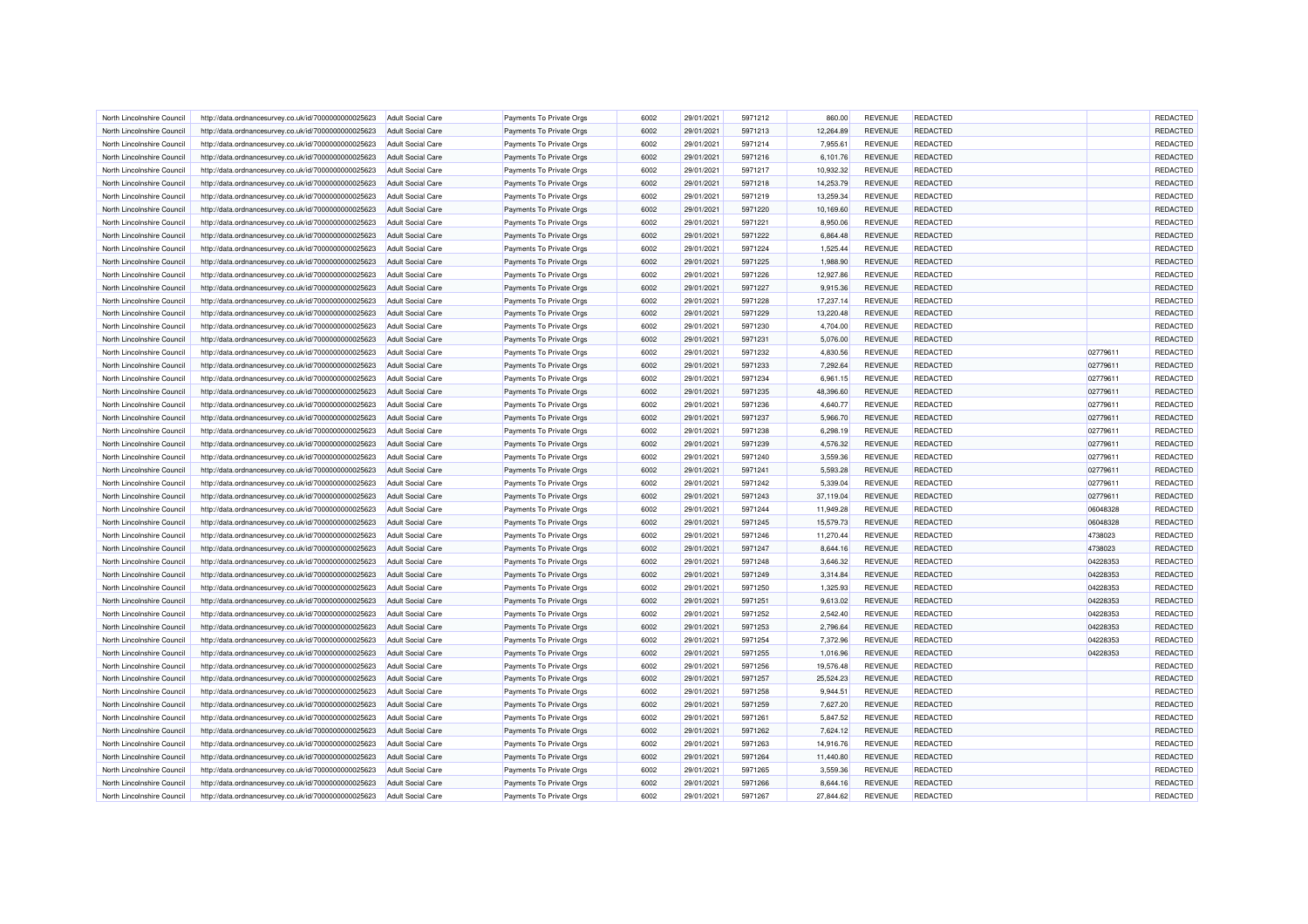| North Lincolnshire Council | http://data.ordnancesurvey.co.uk/id/7000000000025623 | Adult Social Care        | Payments To Private Orgs | 6002 | 29/01/2021 | 5971212 | 860.00    | <b>REVENUE</b> | <b>REDACTED</b> |          | REDACTED |
|----------------------------|------------------------------------------------------|--------------------------|--------------------------|------|------------|---------|-----------|----------------|-----------------|----------|----------|
| North Lincolnshire Council | http://data.ordnancesurvey.co.uk/id/7000000000025623 | Adult Social Care        | Payments To Private Orgs | 6002 | 29/01/2021 | 5971213 | 12,264.89 | <b>REVENUE</b> | REDACTED        |          | REDACTED |
| North Lincolnshire Council | http://data.ordnancesurvey.co.uk/id/7000000000025623 | <b>Adult Social Care</b> | Payments To Private Orgs | 6002 | 29/01/2021 | 5971214 | 7,955.61  | <b>REVENUE</b> | REDACTED        |          | REDACTED |
| North Lincolnshire Council | http://data.ordnancesurvey.co.uk/id/7000000000025623 | Adult Social Care        | Payments To Private Orgs | 6002 | 29/01/2021 | 5971216 | 6,101.76  | <b>REVENUE</b> | REDACTED        |          | REDACTED |
| North Lincolnshire Council | http://data.ordnancesurvey.co.uk/id/7000000000025623 | <b>Adult Social Care</b> | Payments To Private Orgs | 6002 | 29/01/2021 | 5971217 | 10,932.32 | <b>REVENUE</b> | REDACTED        |          | REDACTED |
| North Lincolnshire Council | http://data.ordnancesurvey.co.uk/id/7000000000025623 | <b>Adult Social Care</b> | Payments To Private Orgs | 6002 | 29/01/2021 | 5971218 | 14,253.79 | <b>REVENUE</b> | <b>REDACTED</b> |          | REDACTED |
| North Lincolnshire Council | http://data.ordnancesurvey.co.uk/id/7000000000025623 | <b>Adult Social Care</b> | Payments To Private Orgs | 6002 | 29/01/2021 | 5971219 | 13,259.34 | <b>REVENUE</b> | REDACTED        |          | REDACTED |
| North Lincolnshire Council | http://data.ordnancesurvey.co.uk/id/7000000000025623 | <b>Adult Social Care</b> | Payments To Private Orgs | 6002 | 29/01/2021 | 5971220 | 10,169.60 | <b>REVENUE</b> | REDACTED        |          | REDACTED |
| North Lincolnshire Council | http://data.ordnancesurvey.co.uk/id/7000000000025623 | <b>Adult Social Care</b> | Payments To Private Orgs | 6002 | 29/01/2021 | 5971221 | 8,950.06  | <b>REVENUE</b> | REDACTED        |          | REDACTED |
| North Lincolnshire Council | http://data.ordnancesurvey.co.uk/id/7000000000025623 | <b>Adult Social Care</b> | Payments To Private Orgs | 6002 | 29/01/2021 | 5971222 | 6,864.48  | <b>REVENUE</b> | <b>REDACTED</b> |          | REDACTED |
| North Lincolnshire Council | http://data.ordnancesurvey.co.uk/id/7000000000025623 | Adult Social Care        | Payments To Private Orgs | 6002 | 29/01/2021 | 5971224 | 1,525.44  | <b>REVENUE</b> | <b>REDACTED</b> |          | REDACTED |
| North Lincolnshire Council | http://data.ordnancesurvey.co.uk/id/7000000000025623 | Adult Social Care        | Payments To Private Orgs | 6002 | 29/01/2021 | 5971225 | 1,988.90  | <b>REVENUE</b> | <b>REDACTED</b> |          | REDACTED |
| North Lincolnshire Council | http://data.ordnancesurvey.co.uk/id/7000000000025623 | <b>Adult Social Care</b> | Payments To Private Orgs | 6002 | 29/01/2021 | 5971226 | 12,927.86 | <b>REVENUE</b> | REDACTED        |          | REDACTED |
| North Lincolnshire Council | http://data.ordnancesurvey.co.uk/id/7000000000025623 | <b>Adult Social Care</b> | Payments To Private Orgs | 6002 | 29/01/2021 | 5971227 | 9,915.36  | <b>REVENUE</b> | REDACTED        |          | REDACTED |
| North Lincolnshire Council | http://data.ordnancesurvey.co.uk/id/7000000000025623 | Adult Social Care        | Payments To Private Orgs | 6002 | 29/01/2021 | 5971228 | 17,237.14 | <b>REVENUE</b> | REDACTED        |          | REDACTED |
| North Lincolnshire Council | http://data.ordnancesurvey.co.uk/id/7000000000025623 | <b>Adult Social Care</b> | Payments To Private Orgs | 6002 | 29/01/2021 | 5971229 | 13,220.48 | <b>REVENUE</b> | REDACTED        |          | REDACTED |
| North Lincolnshire Council | http://data.ordnancesurvey.co.uk/id/7000000000025623 | Adult Social Care        | Payments To Private Orgs | 6002 | 29/01/2021 | 5971230 | 4,704.00  | <b>REVENUE</b> | REDACTED        |          | REDACTED |
| North Lincolnshire Council | http://data.ordnancesurvey.co.uk/id/7000000000025623 | <b>Adult Social Care</b> | Payments To Private Orgs | 6002 | 29/01/2021 | 5971231 | 5,076.00  | <b>REVENUE</b> | <b>REDACTED</b> |          | REDACTED |
|                            |                                                      |                          |                          |      |            |         |           |                |                 |          |          |
| North Lincolnshire Council | http://data.ordnancesurvey.co.uk/id/7000000000025623 | <b>Adult Social Care</b> | Payments To Private Orgs | 6002 | 29/01/2021 | 5971232 | 4,830.56  | <b>REVENUE</b> | REDACTED        | 02779611 | REDACTED |
| North Lincolnshire Council | http://data.ordnancesurvey.co.uk/id/7000000000025623 | <b>Adult Social Care</b> | Payments To Private Orgs | 6002 | 29/01/2021 | 5971233 | 7,292.64  | <b>REVENUE</b> | REDACTED        | 02779611 | REDACTED |
| North Lincolnshire Council | http://data.ordnancesurvey.co.uk/id/7000000000025623 | <b>Adult Social Care</b> | Payments To Private Orgs | 6002 | 29/01/2021 | 5971234 | 6,961.15  | <b>REVENUE</b> | REDACTED        | 02779611 | REDACTED |
| North Lincolnshire Council | http://data.ordnancesurvey.co.uk/id/7000000000025623 | Adult Social Care        | Payments To Private Orgs | 6002 | 29/01/2021 | 5971235 | 48,396.60 | <b>REVENUE</b> | REDACTED        | 02779611 | REDACTED |
| North Lincolnshire Council | http://data.ordnancesurvey.co.uk/id/7000000000025623 | <b>Adult Social Care</b> | Payments To Private Orgs | 6002 | 29/01/2021 | 5971236 | 4,640.77  | <b>REVENUE</b> | <b>REDACTED</b> | 02779611 | REDACTED |
| North Lincolnshire Council | http://data.ordnancesurvey.co.uk/id/7000000000025623 | <b>Adult Social Care</b> | Payments To Private Orgs | 6002 | 29/01/2021 | 5971237 | 5,966.70  | <b>REVENUE</b> | REDACTED        | 02779611 | REDACTED |
| North Lincolnshire Council | http://data.ordnancesurvey.co.uk/id/7000000000025623 | Adult Social Care        | Payments To Private Orgs | 6002 | 29/01/2021 | 5971238 | 6,298.19  | <b>REVENUE</b> | <b>REDACTED</b> | 02779611 | REDACTED |
| North Lincolnshire Council | http://data.ordnancesurvey.co.uk/id/7000000000025623 | <b>Adult Social Care</b> | Payments To Private Orgs | 6002 | 29/01/2021 | 5971239 | 4,576.32  | <b>REVENUE</b> | REDACTED        | 02779611 | REDACTED |
| North Lincolnshire Council | http://data.ordnancesurvey.co.uk/id/7000000000025623 | <b>Adult Social Care</b> | Payments To Private Orgs | 6002 | 29/01/2021 | 5971240 | 3,559.36  | <b>REVENUE</b> | REDACTED        | 02779611 | REDACTED |
| North Lincolnshire Council | http://data.ordnancesurvey.co.uk/id/7000000000025623 | <b>Adult Social Care</b> | Payments To Private Orgs | 6002 | 29/01/2021 | 5971241 | 5,593.28  | <b>REVENUE</b> | REDACTED        | 02779611 | REDACTED |
| North Lincolnshire Council | http://data.ordnancesurvey.co.uk/id/7000000000025623 | <b>Adult Social Care</b> | Payments To Private Orgs | 6002 | 29/01/2021 | 5971242 | 5,339.04  | <b>REVENUE</b> | <b>REDACTED</b> | 02779611 | REDACTED |
| North Lincolnshire Council | http://data.ordnancesurvey.co.uk/id/7000000000025623 | <b>Adult Social Care</b> | Payments To Private Orgs | 6002 | 29/01/2021 | 5971243 | 37,119.04 | <b>REVENUE</b> | REDACTED        | 02779611 | REDACTED |
| North Lincolnshire Council | http://data.ordnancesurvey.co.uk/id/7000000000025623 | <b>Adult Social Care</b> | Payments To Private Orgs | 6002 | 29/01/2021 | 5971244 | 11,949.28 | <b>REVENUE</b> | REDACTED        | 06048328 | REDACTED |
| North Lincolnshire Council | http://data.ordnancesurvey.co.uk/id/7000000000025623 | <b>Adult Social Care</b> | Payments To Private Orgs | 6002 | 29/01/2021 | 5971245 | 15,579.73 | <b>REVENUE</b> | REDACTED        | 06048328 | REDACTED |
| North Lincolnshire Council | http://data.ordnancesurvey.co.uk/id/7000000000025623 | Adult Social Care        | Payments To Private Orgs | 6002 | 29/01/2021 | 5971246 | 11,270.44 | <b>REVENUE</b> | REDACTED        | 4738023  | REDACTED |
| North Lincolnshire Council | http://data.ordnancesurvey.co.uk/id/7000000000025623 | <b>Adult Social Care</b> | Payments To Private Orgs | 6002 | 29/01/2021 | 5971247 | 8,644.16  | <b>REVENUE</b> | REDACTED        | 4738023  | REDACTED |
| North Lincolnshire Council | http://data.ordnancesurvey.co.uk/id/7000000000025623 | <b>Adult Social Care</b> | Payments To Private Orgs | 6002 | 29/01/2021 | 5971248 | 3,646.32  | <b>REVENUE</b> | REDACTED        | 04228353 | REDACTED |
| North Lincolnshire Council | http://data.ordnancesurvey.co.uk/id/7000000000025623 | Adult Social Care        | Payments To Private Orgs | 6002 | 29/01/2021 | 5971249 | 3,314.84  | <b>REVENUE</b> | <b>REDACTED</b> | 04228353 | REDACTED |
| North Lincolnshire Council | http://data.ordnancesurvey.co.uk/id/7000000000025623 | <b>Adult Social Care</b> | Payments To Private Orgs | 6002 | 29/01/2021 | 5971250 | 1,325.93  | <b>REVENUE</b> | <b>REDACTED</b> | 04228353 | REDACTED |
| North Lincolnshire Council | http://data.ordnancesurvey.co.uk/id/7000000000025623 | <b>Adult Social Care</b> | Payments To Private Orgs | 6002 | 29/01/2021 | 5971251 | 9,613.02  | <b>REVENUE</b> | REDACTED        | 04228353 | REDACTED |
| North Lincolnshire Council | http://data.ordnancesurvey.co.uk/id/7000000000025623 | <b>Adult Social Care</b> | Payments To Private Orgs | 6002 | 29/01/2021 | 5971252 | 2,542.40  | <b>REVENUE</b> | REDACTED        | 04228353 | REDACTED |
| North Lincolnshire Council | http://data.ordnancesurvey.co.uk/id/7000000000025623 | <b>Adult Social Care</b> | Payments To Private Orgs | 6002 | 29/01/2021 | 5971253 | 2,796.64  | <b>REVENUE</b> | REDACTED        | 04228353 | REDACTED |
| North Lincolnshire Council | http://data.ordnancesurvey.co.uk/id/7000000000025623 | <b>Adult Social Care</b> | Payments To Private Orgs | 6002 | 29/01/2021 | 5971254 | 7,372.96  | <b>REVENUE</b> | REDACTED        | 04228353 | REDACTED |
| North Lincolnshire Council | http://data.ordnancesurvey.co.uk/id/7000000000025623 | <b>Adult Social Care</b> | Payments To Private Orgs | 6002 | 29/01/2021 | 5971255 | 1,016.96  | <b>REVENUE</b> | <b>REDACTED</b> | 04228353 | REDACTED |
| North Lincolnshire Council | http://data.ordnancesurvey.co.uk/id/7000000000025623 | <b>Adult Social Care</b> | Payments To Private Orgs | 6002 | 29/01/2021 | 5971256 | 19,576.48 | <b>REVENUE</b> | <b>REDACTED</b> |          | REDACTED |
| North Lincolnshire Council | http://data.ordnancesurvey.co.uk/id/7000000000025623 | Adult Social Care        | Payments To Private Orgs | 6002 | 29/01/2021 | 5971257 | 25.524.23 | <b>REVENUE</b> | <b>REDACTED</b> |          | REDACTED |
| North Lincolnshire Council | http://data.ordnancesurvey.co.uk/id/7000000000025623 | <b>Adult Social Care</b> | Payments To Private Orgs | 6002 | 29/01/2021 | 5971258 | 9,944.51  | <b>REVENUE</b> | REDACTED        |          | REDACTED |
| North Lincolnshire Council | http://data.ordnancesurvey.co.uk/id/7000000000025623 | <b>Adult Social Care</b> | Payments To Private Orgs | 6002 | 29/01/2021 | 5971259 | 7,627.20  | <b>REVENUE</b> | REDACTED        |          | REDACTED |
| North Lincolnshire Council | http://data.ordnancesurvey.co.uk/id/7000000000025623 | <b>Adult Social Care</b> | Payments To Private Orgs | 6002 | 29/01/2021 | 5971261 | 5,847.52  | <b>REVENUE</b> | REDACTED        |          | REDACTED |
| North Lincolnshire Council | http://data.ordnancesurvey.co.uk/id/7000000000025623 | <b>Adult Social Care</b> | Payments To Private Orgs | 6002 | 29/01/2021 | 5971262 | 7,624.12  | <b>REVENUE</b> | REDACTED        |          | REDACTED |
| North Lincolnshire Council | http://data.ordnancesurvey.co.uk/id/7000000000025623 | <b>Adult Social Care</b> | Payments To Private Orgs | 6002 | 29/01/2021 | 5971263 | 14,916.76 | <b>REVENUE</b> | <b>REDACTED</b> |          | REDACTED |
| North Lincolnshire Council | http://data.ordnancesurvey.co.uk/id/7000000000025623 | <b>Adult Social Care</b> | Payments To Private Orgs | 6002 | 29/01/2021 | 5971264 | 11,440.80 | <b>REVENUE</b> | <b>REDACTED</b> |          | REDACTED |
| North Lincolnshire Council | http://data.ordnancesurvey.co.uk/id/7000000000025623 | <b>Adult Social Care</b> | Payments To Private Orgs | 6002 | 29/01/2021 | 5971265 | 3,559.36  | <b>REVENUE</b> | REDACTED        |          | REDACTED |
| North Lincolnshire Council | http://data.ordnancesurvey.co.uk/id/7000000000025623 | <b>Adult Social Care</b> | Payments To Private Orgs | 6002 | 29/01/2021 | 5971266 | 8,644.16  | <b>REVENUE</b> | REDACTED        |          | REDACTED |
| North Lincolnshire Council | http://data.ordnancesurvey.co.uk/id/7000000000025623 | <b>Adult Social Care</b> | Payments To Private Orgs | 6002 | 29/01/2021 | 5971267 | 27,844.62 | <b>REVENUE</b> | REDACTED        |          | REDACTED |
|                            |                                                      |                          |                          |      |            |         |           |                |                 |          |          |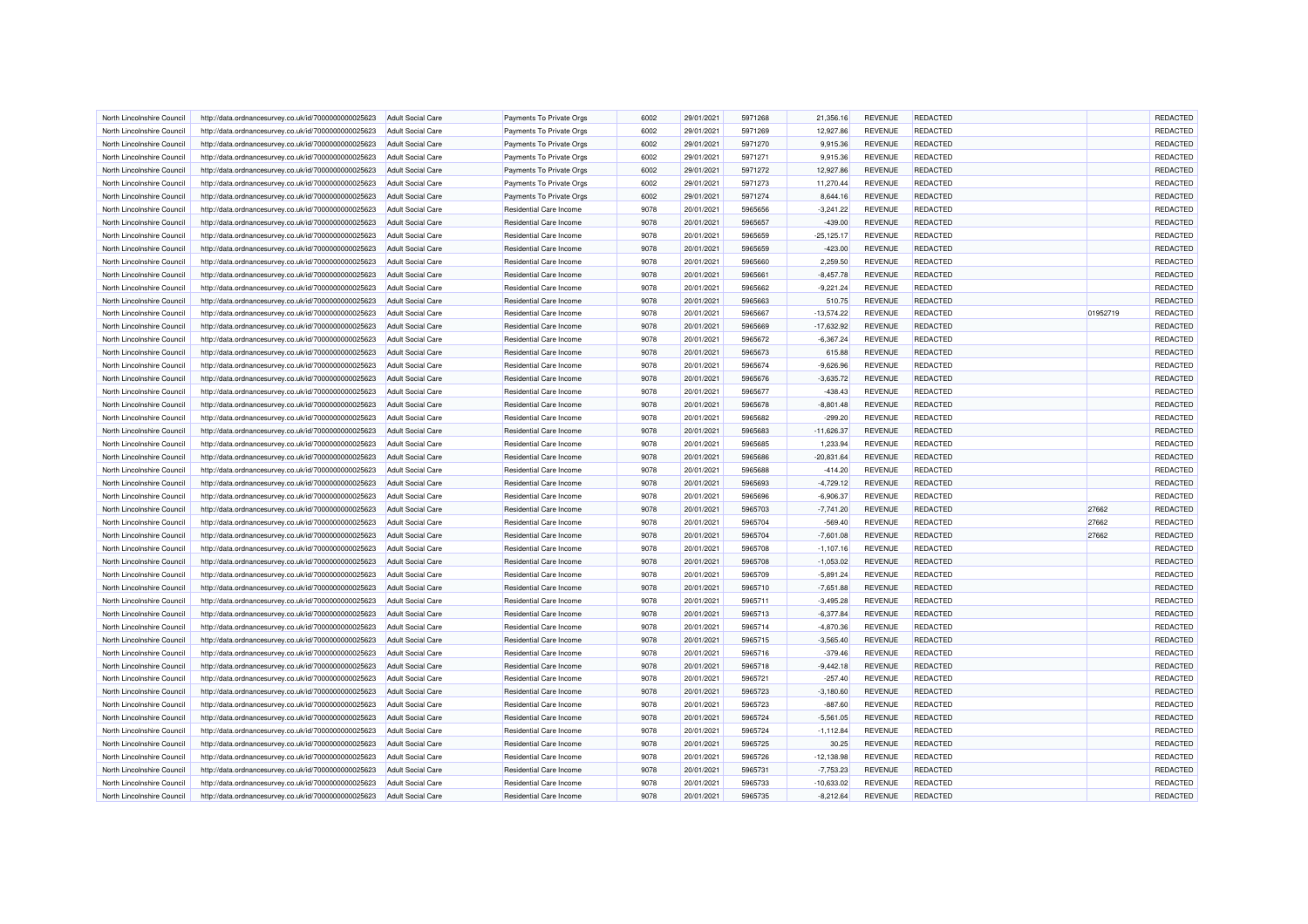| North Lincolnshire Council | http://data.ordnancesurvey.co.uk/id/7000000000025623 | <b>Adult Social Care</b> | Payments To Private Orgs | 6002 | 29/01/2021 | 5971268 | 21,356.16     | <b>REVENUE</b> | <b>REDACTED</b> |          | REDACTED |
|----------------------------|------------------------------------------------------|--------------------------|--------------------------|------|------------|---------|---------------|----------------|-----------------|----------|----------|
| North Lincolnshire Council | http://data.ordnancesurvey.co.uk/id/7000000000025623 | <b>Adult Social Care</b> | Payments To Private Orgs | 6002 | 29/01/2021 | 5971269 | 12,927.86     | <b>REVENUE</b> | REDACTED        |          | REDACTED |
| North Lincolnshire Council | http://data.ordnancesurvey.co.uk/id/7000000000025623 | Adult Social Care        | Payments To Private Orgs | 6002 | 29/01/2021 | 5971270 | 9,915.36      | <b>REVENUE</b> | <b>REDACTED</b> |          | REDACTED |
| North Lincolnshire Council | http://data.ordnancesurvey.co.uk/id/7000000000025623 | <b>Adult Social Care</b> | Payments To Private Orgs | 6002 | 29/01/2021 | 5971271 | 9,915.36      | <b>REVENUE</b> | REDACTED        |          | REDACTED |
| North Lincolnshire Council | http://data.ordnancesurvey.co.uk/id/7000000000025623 | <b>Adult Social Care</b> | Payments To Private Orgs | 6002 | 29/01/2021 | 5971272 | 12,927.86     | <b>REVENUE</b> | REDACTED        |          | REDACTED |
| North Lincolnshire Council | http://data.ordnancesurvey.co.uk/id/7000000000025623 | <b>Adult Social Care</b> | Payments To Private Orgs | 6002 | 29/01/2021 | 5971273 | 11,270.44     | <b>REVENUE</b> | REDACTED        |          | REDACTED |
| North Lincolnshire Council | http://data.ordnancesurvey.co.uk/id/7000000000025623 | <b>Adult Social Care</b> | Payments To Private Orgs | 6002 | 29/01/2021 | 5971274 | 8,644.16      | <b>REVENUE</b> | <b>REDACTED</b> |          | REDACTED |
| North Lincolnshire Council | http://data.ordnancesurvey.co.uk/id/7000000000025623 | <b>Adult Social Care</b> | Residential Care Income  | 9078 | 20/01/2021 | 5965656 | $-3,241.22$   | <b>REVENUE</b> | REDACTED        |          | REDACTED |
| North Lincolnshire Council | http://data.ordnancesurvey.co.uk/id/7000000000025623 | <b>Adult Social Care</b> | Residential Care Income  | 9078 | 20/01/2021 | 5965657 | $-439.00$     | <b>REVENUE</b> | REDACTED        |          | REDACTED |
| North Lincolnshire Council | http://data.ordnancesurvey.co.uk/id/7000000000025623 | <b>Adult Social Care</b> | Residential Care Income  | 9078 | 20/01/2021 | 5965659 | $-25, 125.17$ | <b>REVENUE</b> | REDACTED        |          | REDACTED |
| North Lincolnshire Council | http://data.ordnancesurvey.co.uk/id/7000000000025623 | Adult Social Care        | Residential Care Income  | 9078 | 20/01/2021 | 5965659 | $-423.00$     | <b>REVENUE</b> | <b>REDACTED</b> |          | REDACTED |
| North Lincolnshire Council | http://data.ordnancesurvey.co.uk/id/7000000000025623 | <b>Adult Social Care</b> | Residential Care Income  | 9078 | 20/01/2021 | 5965660 | 2,259.50      | <b>REVENUE</b> | REDACTED        |          | REDACTED |
| North Lincolnshire Council | http://data.ordnancesurvey.co.uk/id/7000000000025623 | <b>Adult Social Care</b> | Residential Care Income  | 9078 | 20/01/2021 | 5965661 | $-8,457.78$   | <b>REVENUE</b> | REDACTED        |          | REDACTED |
| North Lincolnshire Council | http://data.ordnancesurvey.co.uk/id/7000000000025623 | <b>Adult Social Care</b> | Residential Care Income  | 9078 | 20/01/2021 | 5965662 | $-9,221.24$   | <b>REVENUE</b> | REDACTED        |          | REDACTED |
| North Lincolnshire Council | http://data.ordnancesurvey.co.uk/id/7000000000025623 | <b>Adult Social Care</b> | Residential Care Income  | 9078 | 20/01/2021 | 5965663 | 510.75        | <b>REVENUE</b> | <b>REDACTED</b> |          | REDACTED |
| North Lincolnshire Council | http://data.ordnancesurvey.co.uk/id/7000000000025623 | <b>Adult Social Care</b> | Residential Care Income  | 9078 | 20/01/2021 | 5965667 | $-13,574.22$  | <b>REVENUE</b> | REDACTED        | 01952719 | REDACTED |
| North Lincolnshire Council | http://data.ordnancesurvey.co.uk/id/7000000000025623 | <b>Adult Social Care</b> | Residential Care Income  | 9078 | 20/01/2021 | 5965669 | $-17,632.92$  | <b>REVENUE</b> | <b>REDACTED</b> |          | REDACTED |
|                            |                                                      |                          | Residential Care Income  | 9078 | 20/01/2021 | 5965672 | $-6,367.24$   | <b>REVENUE</b> | <b>REDACTED</b> |          | REDACTED |
| North Lincolnshire Council | http://data.ordnancesurvey.co.uk/id/7000000000025623 | <b>Adult Social Care</b> |                          | 9078 |            | 5965673 |               | <b>REVENUE</b> | REDACTED        |          |          |
| North Lincolnshire Council | http://data.ordnancesurvey.co.uk/id/7000000000025623 | Adult Social Care        | Residential Care Income  |      | 20/01/2021 |         | 615.88        |                |                 |          | REDACTED |
| North Lincolnshire Council | http://data.ordnancesurvey.co.uk/id/7000000000025623 | <b>Adult Social Care</b> | Residential Care Income  | 9078 | 20/01/2021 | 5965674 | $-9,626.96$   | <b>REVENUE</b> | <b>REDACTED</b> |          | REDACTED |
| North Lincolnshire Council | http://data.ordnancesurvey.co.uk/id/7000000000025623 | <b>Adult Social Care</b> | Residential Care Income  | 9078 | 20/01/2021 | 5965676 | $-3,635.72$   | <b>REVENUE</b> | <b>REDACTED</b> |          | REDACTED |
| North Lincolnshire Council | http://data.ordnancesurvey.co.uk/id/7000000000025623 | Adult Social Care        | Residential Care Income  | 9078 | 20/01/2021 | 5965677 | $-438.43$     | <b>REVENUE</b> | <b>REDACTED</b> |          | REDACTED |
| North Lincolnshire Council | http://data.ordnancesurvey.co.uk/id/7000000000025623 | <b>Adult Social Care</b> | Residential Care Income  | 9078 | 20/01/2021 | 5965678 | $-8,801.48$   | <b>REVENUE</b> | REDACTED        |          | REDACTED |
| North Lincolnshire Council | http://data.ordnancesurvey.co.uk/id/7000000000025623 | <b>Adult Social Care</b> | Residential Care Income  | 9078 | 20/01/2021 | 5965682 | $-299.20$     | <b>REVENUE</b> | REDACTED        |          | REDACTED |
| North Lincolnshire Council | http://data.ordnancesurvey.co.uk/id/7000000000025623 | <b>Adult Social Care</b> | Residential Care Income  | 9078 | 20/01/2021 | 5965683 | $-11,626.37$  | <b>REVENUE</b> | REDACTED        |          | REDACTED |
| North Lincolnshire Council | http://data.ordnancesurvey.co.uk/id/7000000000025623 | <b>Adult Social Care</b> | Residential Care Income  | 9078 | 20/01/2021 | 5965685 | 1,233.94      | <b>REVENUE</b> | <b>REDACTED</b> |          | REDACTED |
| North Lincolnshire Council | http://data.ordnancesurvey.co.uk/id/7000000000025623 | <b>Adult Social Care</b> | Residential Care Income  | 9078 | 20/01/2021 | 5965686 | $-20,831.64$  | <b>REVENUE</b> | <b>REDACTED</b> |          | REDACTED |
| North Lincolnshire Council | http://data.ordnancesurvey.co.uk/id/7000000000025623 | <b>Adult Social Care</b> | Residential Care Income  | 9078 | 20/01/2021 | 5965688 | $-414.20$     | <b>REVENUE</b> | <b>REDACTED</b> |          | REDACTED |
| North Lincolnshire Council | http://data.ordnancesurvey.co.uk/id/7000000000025623 | <b>Adult Social Care</b> | Residential Care Income  | 9078 | 20/01/2021 | 5965693 | $-4,729.12$   | <b>REVENUE</b> | REDACTED        |          | REDACTED |
| North Lincolnshire Council | http://data.ordnancesurvey.co.uk/id/7000000000025623 | Adult Social Care        | Residential Care Income  | 9078 | 20/01/2021 | 5965696 | $-6,906.37$   | <b>REVENUE</b> | <b>REDACTED</b> |          | REDACTED |
| North Lincolnshire Council | http://data.ordnancesurvey.co.uk/id/7000000000025623 | <b>Adult Social Care</b> | Residential Care Income  | 9078 | 20/01/2021 | 5965703 | $-7,741.20$   | <b>REVENUE</b> | REDACTED        | 27662    | REDACTED |
| North Lincolnshire Council | http://data.ordnancesurvey.co.uk/id/7000000000025623 | <b>Adult Social Care</b> | Residential Care Income  | 9078 | 20/01/2021 | 5965704 | $-569.40$     | <b>REVENUE</b> | REDACTED        | 27662    | REDACTED |
| North Lincolnshire Council | http://data.ordnancesurvey.co.uk/id/7000000000025623 | <b>Adult Social Care</b> | Residential Care Income  | 9078 | 20/01/2021 | 5965704 | $-7,601.08$   | <b>REVENUE</b> | REDACTED        | 27662    | REDACTED |
| North Lincolnshire Council | http://data.ordnancesurvey.co.uk/id/7000000000025623 | <b>Adult Social Care</b> | Residential Care Income  | 9078 | 20/01/2021 | 5965708 | $-1,107.16$   | <b>REVENUE</b> | <b>REDACTED</b> |          | REDACTED |
| North Lincolnshire Council | http://data.ordnancesurvey.co.uk/id/7000000000025623 | <b>Adult Social Care</b> | Residential Care Income  | 9078 | 20/01/2021 | 5965708 | $-1,053.02$   | <b>REVENUE</b> | REDACTED        |          | REDACTED |
| North Lincolnshire Council | http://data.ordnancesurvey.co.uk/id/7000000000025623 | <b>Adult Social Care</b> | Residential Care Income  | 9078 | 20/01/2021 | 5965709 | $-5.891.24$   | <b>REVENUE</b> | REDACTED        |          | REDACTED |
| North Lincolnshire Council | http://data.ordnancesurvey.co.uk/id/7000000000025623 | <b>Adult Social Care</b> | Residential Care Income  | 9078 | 20/01/2021 | 5965710 | $-7,651.88$   | <b>REVENUE</b> | REDACTED        |          | REDACTED |
| North Lincolnshire Council | http://data.ordnancesurvey.co.uk/id/7000000000025623 | Adult Social Care        | Residential Care Income  | 9078 | 20/01/2021 | 5965711 | $-3,495.28$   | <b>REVENUE</b> | <b>REDACTED</b> |          | REDACTED |
| North Lincolnshire Council | http://data.ordnancesurvey.co.uk/id/7000000000025623 | <b>Adult Social Care</b> | Residential Care Income  | 9078 | 20/01/2021 | 5965713 | $-6,377.84$   | <b>REVENUE</b> | REDACTED        |          | REDACTED |
| North Lincolnshire Council | http://data.ordnancesurvey.co.uk/id/7000000000025623 | <b>Adult Social Care</b> | Residential Care Income  | 9078 | 20/01/2021 | 5965714 | $-4,870.36$   | <b>REVENUE</b> | REDACTED        |          | REDACTED |
| North Lincolnshire Council | http://data.ordnancesurvey.co.uk/id/7000000000025623 | Adult Social Care        | Residential Care Income  | 9078 | 20/01/2021 | 5965715 | $-3,565.40$   | <b>REVENUE</b> | <b>REDACTED</b> |          | REDACTED |
| North Lincolnshire Council | http://data.ordnancesurvey.co.uk/id/7000000000025623 | <b>Adult Social Care</b> | Residential Care Income  | 9078 | 20/01/2021 | 5965716 | $-379.46$     | <b>REVENUE</b> | <b>REDACTED</b> |          | REDACTED |
| North Lincolnshire Council | http://data.ordnancesurvey.co.uk/id/7000000000025623 | <b>Adult Social Care</b> | Residential Care Income  | 9078 | 20/01/2021 | 5965718 | $-9,442.18$   | <b>REVENUE</b> | REDACTED        |          | REDACTED |
| North Lincolnshire Council | http://data.ordnancesurvey.co.uk/id/7000000000025623 | <b>Adult Social Care</b> | Residential Care Income  | 9078 | 20/01/2021 | 5965721 | $-257.40$     | <b>REVENUE</b> | REDACTED        |          | REDACTED |
| North Lincolnshire Council | http://data.ordnancesurvey.co.uk/id/7000000000025623 | <b>Adult Social Care</b> | Residential Care Income  | 9078 | 20/01/2021 | 5965723 | $-3,180.60$   | <b>REVENUE</b> | REDACTED        |          | REDACTED |
| North Lincolnshire Council | http://data.ordnancesurvey.co.uk/id/7000000000025623 | <b>Adult Social Care</b> | Residential Care Income  | 9078 | 20/01/2021 | 5965723 | $-887.60$     | <b>REVENUE</b> | <b>REDACTED</b> |          | REDACTED |
| North Lincolnshire Council | http://data.ordnancesurvey.co.uk/id/7000000000025623 | <b>Adult Social Care</b> | Residential Care Income  | 9078 | 20/01/2021 | 5965724 | $-5,561.05$   | <b>REVENUE</b> | REDACTED        |          | REDACTED |
| North Lincolnshire Council | http://data.ordnancesurvey.co.uk/id/7000000000025623 | <b>Adult Social Care</b> | Residential Care Income  | 9078 | 20/01/2021 | 5965724 | $-1,112.84$   | <b>REVENUE</b> | REDACTED        |          | REDACTED |
| North Lincolnshire Council | http://data.ordnancesurvey.co.uk/id/7000000000025623 | Adult Social Care        | Residential Care Income  | 9078 | 20/01/2021 | 5965725 | 30.25         | <b>REVENUE</b> | <b>REDACTED</b> |          | REDACTED |
|                            |                                                      |                          |                          | 9078 |            |         |               |                |                 |          | REDACTED |
| North Lincolnshire Council | http://data.ordnancesurvey.co.uk/id/7000000000025623 | <b>Adult Social Care</b> | Residential Care Income  |      | 20/01/2021 | 5965726 | $-12,138.98$  | <b>REVENUE</b> | <b>REDACTED</b> |          |          |
| North Lincolnshire Council | http://data.ordnancesurvey.co.uk/id/7000000000025623 | <b>Adult Social Care</b> | Residential Care Income  | 9078 | 20/01/2021 | 5965731 | $-7,753.23$   | <b>REVENUE</b> | REDACTED        |          | REDACTED |
| North Lincolnshire Council | http://data.ordnancesurvey.co.uk/id/7000000000025623 | <b>Adult Social Care</b> | Residential Care Income  | 9078 | 20/01/2021 | 5965733 | $-10,633.02$  | <b>REVENUE</b> | REDACTED        |          | REDACTED |
| North Lincolnshire Council | http://data.ordnancesurvey.co.uk/id/7000000000025623 | <b>Adult Social Care</b> | Residential Care Income  | 9078 | 20/01/2021 | 5965735 | $-8,212.64$   | <b>REVENUE</b> | REDACTED        |          | REDACTED |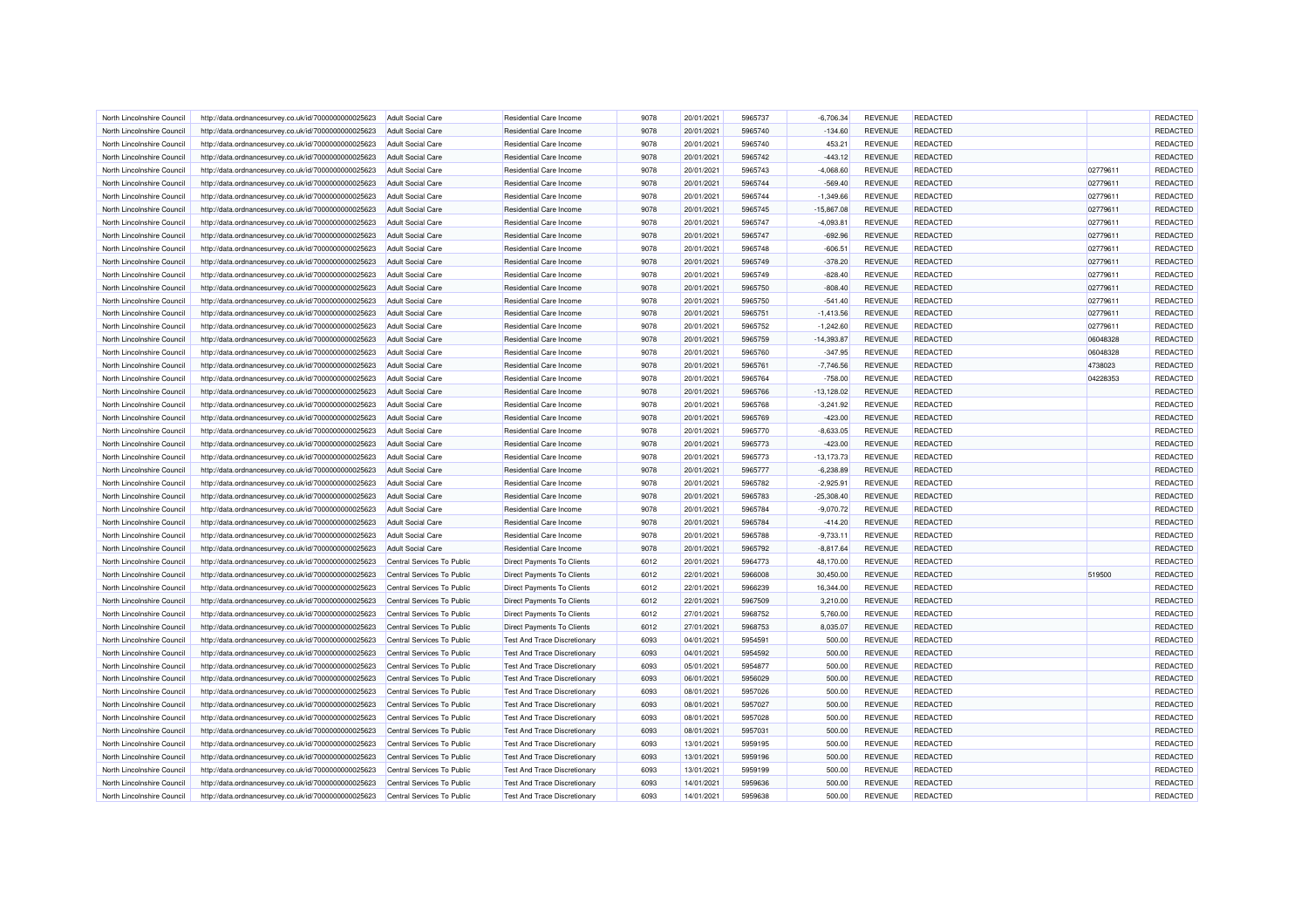| North Lincolnshire Council | http://data.ordnancesurvey.co.uk/id/7000000000025623 | <b>Adult Social Care</b>   | Residential Care Income             | 9078 | 20/01/2021 | 5965737 | $-6,706.34$   | <b>REVENUE</b> | <b>REDACTED</b> |          | REDACTED |
|----------------------------|------------------------------------------------------|----------------------------|-------------------------------------|------|------------|---------|---------------|----------------|-----------------|----------|----------|
| North Lincolnshire Council | http://data.ordnancesurvey.co.uk/id/7000000000025623 | <b>Adult Social Care</b>   | Residential Care Income             | 9078 | 20/01/2021 | 5965740 | $-134.60$     | <b>REVENUE</b> | REDACTED        |          | REDACTED |
| North Lincolnshire Council | http://data.ordnancesurvey.co.uk/id/7000000000025623 | Adult Social Care          | Residential Care Income             | 9078 | 20/01/2021 | 5965740 | 453.21        | <b>REVENUE</b> | <b>REDACTED</b> |          | REDACTED |
| North Lincolnshire Counci  | http://data.ordnancesurvey.co.uk/id/7000000000025623 | <b>Adult Social Care</b>   | Residential Care Income             | 9078 | 20/01/2021 | 5965742 | $-443.12$     | <b>REVENUE</b> | REDACTED        |          | REDACTED |
| North Lincolnshire Council | http://data.ordnancesurvey.co.uk/id/7000000000025623 | <b>Adult Social Care</b>   | Residential Care Income             | 9078 | 20/01/2021 | 5965743 | $-4,068.60$   | <b>REVENUE</b> | REDACTED        | 02779611 | REDACTED |
| North Lincolnshire Council | http://data.ordnancesurvey.co.uk/id/7000000000025623 | <b>Adult Social Care</b>   | <b>Residential Care Income</b>      | 9078 | 20/01/2021 | 5965744 | $-569.40$     | <b>REVENUE</b> | <b>REDACTED</b> | 02779611 | REDACTED |
| North Lincolnshire Council | http://data.ordnancesurvey.co.uk/id/7000000000025623 | <b>Adult Social Care</b>   | Residential Care Income             | 9078 | 20/01/2021 | 5965744 | $-1,349.66$   | REVENUE        | <b>REDACTED</b> | 02779611 | REDACTED |
| North Lincolnshire Council | http://data.ordnancesurvey.co.uk/id/7000000000025623 | <b>Adult Social Care</b>   | <b>Residential Care Income</b>      | 9078 | 20/01/2021 | 5965745 | $-15,867.08$  | <b>REVENUE</b> | REDACTED        | 02779611 | REDACTED |
| North Lincolnshire Council | http://data.ordnancesurvey.co.uk/id/7000000000025623 | <b>Adult Social Care</b>   | Residential Care Income             | 9078 | 20/01/2021 | 5965747 | $-4,093.81$   | <b>REVENUE</b> | <b>REDACTED</b> | 02779611 | REDACTED |
| North Lincolnshire Council | http://data.ordnancesurvey.co.uk/id/7000000000025623 | <b>Adult Social Care</b>   | Residential Care Income             | 9078 | 20/01/2021 | 5965747 | $-692.96$     | <b>REVENUE</b> | REDACTED        | 02779611 | REDACTED |
| North Lincolnshire Council | http://data.ordnancesurvey.co.uk/id/7000000000025623 | <b>Adult Social Care</b>   | <b>Residential Care Income</b>      | 9078 | 20/01/2021 | 5965748 | $-606.51$     | <b>REVENUE</b> | <b>REDACTED</b> | 02779611 | REDACTED |
| North Lincolnshire Council | http://data.ordnancesurvey.co.uk/id/7000000000025623 | <b>Adult Social Care</b>   | Residential Care Income             | 9078 | 20/01/2021 | 5965749 | $-378.20$     | <b>REVENUE</b> | REDACTED        | 02779611 | REDACTED |
| North Lincolnshire Council | http://data.ordnancesurvey.co.uk/id/7000000000025623 | <b>Adult Social Care</b>   | Residential Care Income             | 9078 | 20/01/2021 | 5965749 | $-828.40$     | <b>REVENUE</b> | REDACTED        | 02779611 | REDACTED |
| North Lincolnshire Council | http://data.ordnancesurvey.co.uk/id/7000000000025623 | <b>Adult Social Care</b>   | Residential Care Income             | 9078 | 20/01/2021 | 5965750 | $-808.40$     | <b>REVENUE</b> | REDACTED        | 02779611 | REDACTED |
|                            |                                                      |                            |                                     |      |            |         |               |                |                 |          |          |
| North Lincolnshire Council | http://data.ordnancesurvey.co.uk/id/7000000000025623 | <b>Adult Social Care</b>   | Residential Care Income             | 9078 | 20/01/2021 | 5965750 | $-541.40$     | <b>REVENUE</b> | <b>REDACTED</b> | 02779611 | REDACTED |
| North Lincolnshire Council | http://data.ordnancesurvey.co.uk/id/7000000000025623 | <b>Adult Social Care</b>   | <b>Residential Care Income</b>      | 9078 | 20/01/2021 | 5965751 | $-1,413.56$   | <b>REVENUE</b> | REDACTED        | 02779611 | REDACTED |
| North Lincolnshire Council | http://data.ordnancesurvey.co.uk/id/7000000000025623 | <b>Adult Social Care</b>   | Residential Care Income             | 9078 | 20/01/2021 | 5965752 | $-1,242.60$   | <b>REVENUE</b> | REDACTED        | 02779611 | REDACTED |
| North Lincolnshire Council | http://data.ordnancesurvey.co.uk/id/7000000000025623 | <b>Adult Social Care</b>   | Residential Care Income             | 9078 | 20/01/2021 | 5965759 | $-14,393.87$  | <b>REVENUE</b> | <b>REDACTED</b> | 06048328 | REDACTED |
| North Lincolnshire Council | http://data.ordnancesurvey.co.uk/id/7000000000025623 | <b>Adult Social Care</b>   | Residential Care Income             | 9078 | 20/01/2021 | 5965760 | $-347.95$     | <b>REVENUE</b> | REDACTED        | 06048328 | REDACTED |
| North Lincolnshire Counci  | http://data.ordnancesurvey.co.uk/id/7000000000025623 | <b>Adult Social Care</b>   | Residential Care Income             | 9078 | 20/01/2021 | 5965761 | $-7,746.56$   | <b>REVENUE</b> | REDACTED        | 4738023  | REDACTED |
| North Lincolnshire Counci  | http://data.ordnancesurvey.co.uk/id/7000000000025623 | <b>Adult Social Care</b>   | <b>Residential Care Income</b>      | 9078 | 20/01/2021 | 5965764 | $-758.00$     | <b>REVENUE</b> | REDACTED        | 04228353 | REDACTED |
| North Lincolnshire Council | http://data.ordnancesurvey.co.uk/id/7000000000025623 | Adult Social Care          | <b>Residential Care Income</b>      | 9078 | 20/01/2021 | 5965766 | $-13,128.02$  | <b>REVENUE</b> | <b>REDACTED</b> |          | REDACTED |
| North Lincolnshire Council | http://data.ordnancesurvey.co.uk/id/7000000000025623 | <b>Adult Social Care</b>   | Residential Care Income             | 9078 | 20/01/2021 | 5965768 | $-3,241.92$   | <b>REVENUE</b> | <b>REDACTED</b> |          | REDACTED |
| North Lincolnshire Council | http://data.ordnancesurvey.co.uk/id/7000000000025623 | <b>Adult Social Care</b>   | Residential Care Income             | 9078 | 20/01/2021 | 5965769 | $-423.00$     | <b>REVENUE</b> | REDACTED        |          | REDACTED |
| North Lincolnshire Council | http://data.ordnancesurvey.co.uk/id/7000000000025623 | <b>Adult Social Care</b>   | Residential Care Income             | 9078 | 20/01/2021 | 5965770 | $-8,633.05$   | <b>REVENUE</b> | REDACTED        |          | REDACTED |
| North Lincolnshire Counci  | http://data.ordnancesurvey.co.uk/id/7000000000025623 | <b>Adult Social Care</b>   | Residential Care Income             | 9078 | 20/01/2021 | 5965773 | $-423.00$     | <b>REVENUE</b> | <b>REDACTED</b> |          | REDACTED |
| North Lincolnshire Council | http://data.ordnancesurvey.co.uk/id/7000000000025623 | Adult Social Care          | Residential Care Income             | 9078 | 20/01/2021 | 5965773 | $-13, 173.73$ | <b>REVENUE</b> | <b>REDACTED</b> |          | REDACTED |
| North Lincolnshire Council | http://data.ordnancesurvey.co.uk/id/7000000000025623 | <b>Adult Social Care</b>   | Residential Care Income             | 9078 | 20/01/2021 | 5965777 | $-6,238.89$   | <b>REVENUE</b> | <b>REDACTED</b> |          | REDACTED |
| North Lincolnshire Council | http://data.ordnancesurvey.co.uk/id/7000000000025623 | <b>Adult Social Care</b>   | Residential Care Income             | 9078 | 20/01/2021 | 5965782 | $-2,925.91$   | <b>REVENUE</b> | REDACTED        |          | REDACTED |
| North Lincolnshire Council | http://data.ordnancesurvey.co.uk/id/7000000000025623 | <b>Adult Social Care</b>   | Residential Care Income             | 9078 | 20/01/2021 | 5965783 | $-25,308.40$  | <b>REVENUE</b> | <b>REDACTED</b> |          | REDACTED |
| North Lincolnshire Counci  | http://data.ordnancesurvey.co.uk/id/7000000000025623 | <b>Adult Social Care</b>   | Residential Care Income             | 9078 | 20/01/2021 | 5965784 | $-9,070.72$   | <b>REVENUE</b> | REDACTED        |          | REDACTED |
|                            |                                                      |                            |                                     | 9078 |            | 5965784 |               |                | REDACTED        |          | REDACTED |
| North Lincolnshire Council | http://data.ordnancesurvey.co.uk/id/7000000000025623 | <b>Adult Social Care</b>   | <b>Residential Care Income</b>      |      | 20/01/2021 |         | $-414.20$     | <b>REVENUE</b> |                 |          |          |
| North Lincolnshire Council | http://data.ordnancesurvey.co.uk/id/7000000000025623 | <b>Adult Social Care</b>   | Residential Care Income             | 9078 | 20/01/2021 | 5965788 | $-9,733.11$   | <b>REVENUE</b> | <b>REDACTED</b> |          | REDACTED |
| North Lincolnshire Council | http://data.ordnancesurvey.co.uk/id/7000000000025623 | <b>Adult Social Care</b>   | Residential Care Income             | 9078 | 20/01/2021 | 5965792 | $-8,817.64$   | <b>REVENUE</b> | <b>REDACTED</b> |          | REDACTED |
| North Lincolnshire Council | http://data.ordnancesurvey.co.uk/id/7000000000025623 | Central Services To Public | Direct Payments To Clients          | 6012 | 20/01/2021 | 5964773 | 48,170.00     | <b>REVENUE</b> | REDACTED        |          | REDACTED |
| North Lincolnshire Council | http://data.ordnancesurvey.co.uk/id/7000000000025623 | Central Services To Public | <b>Direct Payments To Clients</b>   | 6012 | 22/01/2021 | 5966008 | 30.450.00     | <b>REVENUE</b> | <b>REDACTED</b> | 519500   | REDACTED |
| North Lincolnshire Council | http://data.ordnancesurvey.co.uk/id/7000000000025623 | Central Services To Public | Direct Payments To Clients          | 6012 | 22/01/2021 | 5966239 | 16,344.00     | <b>REVENUE</b> | REDACTED        |          | REDACTED |
| North Lincolnshire Council | http://data.ordnancesurvey.co.uk/id/7000000000025623 | Central Services To Public | Direct Payments To Clients          | 6012 | 22/01/2021 | 5967509 | 3,210.00      | <b>REVENUE</b> | <b>REDACTED</b> |          | REDACTED |
| North Lincolnshire Council | http://data.ordnancesurvey.co.uk/id/7000000000025623 | Central Services To Public | Direct Payments To Clients          | 6012 | 27/01/2021 | 5968752 | 5,760.00      | <b>REVENUE</b> | REDACTED        |          | REDACTED |
| North Lincolnshire Council | http://data.ordnancesurvey.co.uk/id/7000000000025623 | Central Services To Public | Direct Payments To Clients          | 6012 | 27/01/2021 | 5968753 | 8,035.07      | <b>REVENUE</b> | REDACTED        |          | REDACTED |
| North Lincolnshire Council | http://data.ordnancesurvey.co.uk/id/7000000000025623 | Central Services To Public | <b>Test And Trace Discretionary</b> | 6093 | 04/01/2021 | 5954591 | 500.00        | <b>REVENUE</b> | REDACTED        |          | REDACTED |
| North Lincolnshire Council | http://data.ordnancesurvey.co.uk/id/7000000000025623 | Central Services To Public | <b>Test And Trace Discretionary</b> | 6093 | 04/01/2021 | 5954592 | 500.00        | <b>REVENUE</b> | <b>REDACTED</b> |          | REDACTED |
| North Lincolnshire Council | http://data.ordnancesurvey.co.uk/id/7000000000025623 | Central Services To Public | <b>Test And Trace Discretionary</b> | 6093 | 05/01/2021 | 5954877 | 500.00        | <b>REVENUE</b> | REDACTED        |          | REDACTED |
| North Lincolnshire Council | http://data.ordnancesurvey.co.uk/id/7000000000025623 | Central Services To Public | Test And Trace Discretionary        | 6093 | 06/01/2021 | 5956029 | 500.00        | <b>REVENUE</b> | REDACTED        |          | REDACTED |
| North Lincolnshire Council | http://data.ordnancesurvey.co.uk/id/7000000000025623 | Central Services To Public | <b>Test And Trace Discretionary</b> | 6093 | 08/01/2021 | 5957026 | 500.00        | <b>REVENUE</b> | REDACTED        |          | REDACTED |
| North Lincolnshire Council | http://data.ordnancesurvey.co.uk/id/7000000000025623 | Central Services To Public | <b>Test And Trace Discretionary</b> | 6093 | 08/01/2021 | 5957027 | 500.00        | <b>REVENUE</b> | <b>REDACTED</b> |          | REDACTED |
| North Lincolnshire Council | http://data.ordnancesurvey.co.uk/id/7000000000025623 | Central Services To Public | <b>Test And Trace Discretionary</b> | 6093 | 08/01/2021 | 5957028 | 500.00        | <b>REVENUE</b> | REDACTED        |          | REDACTED |
| North Lincolnshire Counci  | http://data.ordnancesurvey.co.uk/id/7000000000025623 | Central Services To Public | <b>Test And Trace Discretionary</b> | 6093 | 08/01/2021 | 5957031 | 500.00        | <b>REVENUE</b> | REDACTED        |          | REDACTED |
| North Lincolnshire Council |                                                      | Central Services To Public | <b>Test And Trace Discretionary</b> | 6093 | 13/01/2021 | 5959195 | 500.00        | <b>REVENUE</b> | <b>REDACTED</b> |          | REDACTED |
|                            | http://data.ordnancesurvey.co.uk/id/7000000000025623 |                            |                                     |      |            |         |               |                |                 |          |          |
| North Lincolnshire Council | http://data.ordnancesurvey.co.uk/id/7000000000025623 | Central Services To Public | <b>Test And Trace Discretionary</b> | 6093 | 13/01/2021 | 5959196 | 500.00        | <b>REVENUE</b> | <b>REDACTED</b> |          | REDACTED |
| North Lincolnshire Council | http://data.ordnancesurvey.co.uk/id/7000000000025623 | Central Services To Public | <b>Test And Trace Discretionary</b> | 6093 | 13/01/2021 | 5959199 | 500.00        | REVENUE        | REDACTED        |          | REDACTED |
| North Lincolnshire Council | http://data.ordnancesurvey.co.uk/id/7000000000025623 | Central Services To Public | <b>Test And Trace Discretionary</b> | 6093 | 14/01/2021 | 5959636 | 500.00        | <b>REVENUE</b> | REDACTED        |          | REDACTED |
| North Lincolnshire Council | http://data.ordnancesurvey.co.uk/id/7000000000025623 | Central Services To Public | <b>Test And Trace Discretionary</b> | 6093 | 14/01/2021 | 5959638 | 500.00        | <b>REVENUE</b> | REDACTED        |          | REDACTED |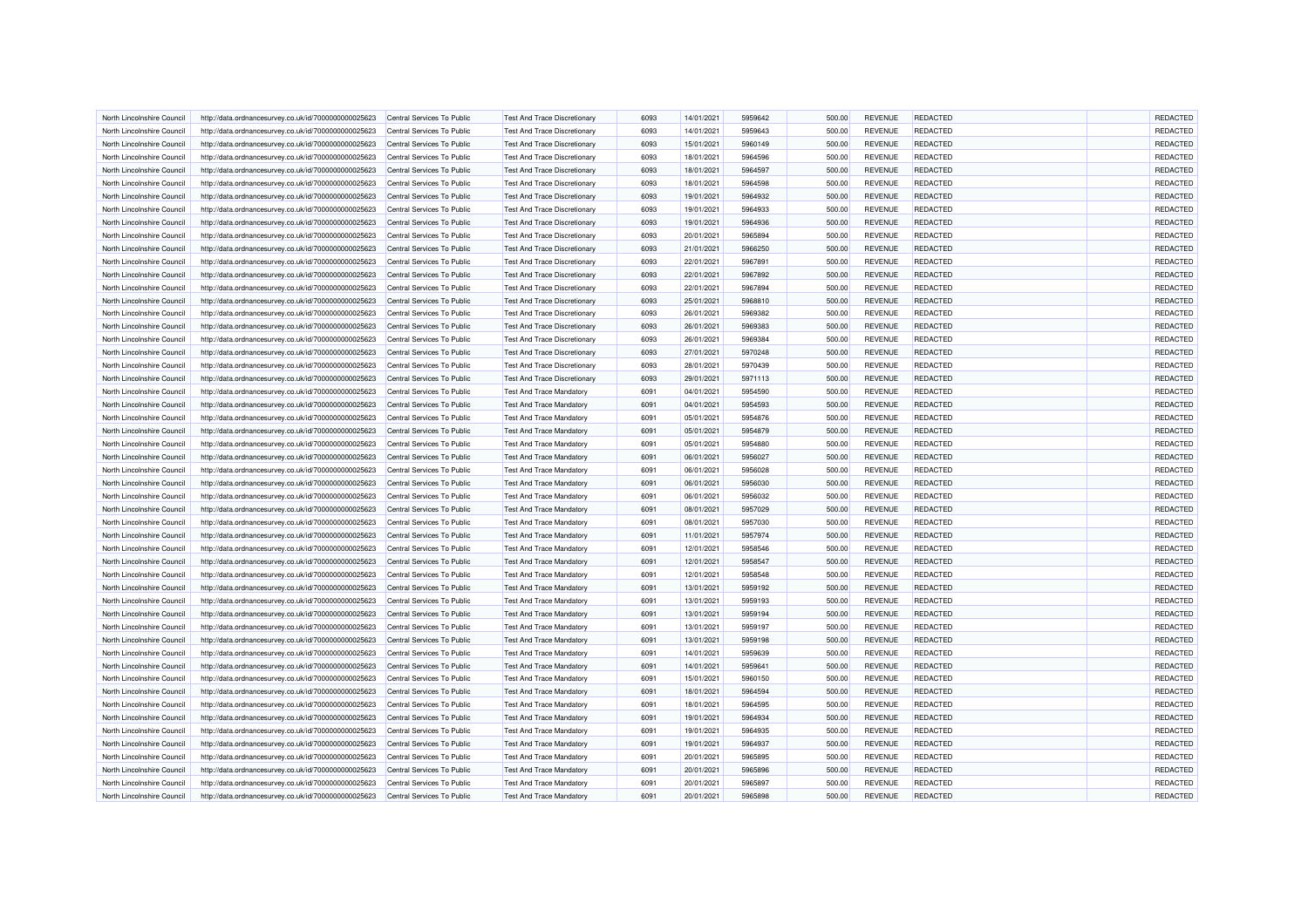| North Lincolnshire Council | http://data.ordnancesurvey.co.uk/id/7000000000025623 | Central Services To Public | <b>Test And Trace Discretionary</b> | 6093 | 14/01/2021 | 5959642 | 500.00 | <b>REVENUE</b> | <b>REDACTED</b> | REDACTED        |
|----------------------------|------------------------------------------------------|----------------------------|-------------------------------------|------|------------|---------|--------|----------------|-----------------|-----------------|
| North Lincolnshire Council | http://data.ordnancesurvey.co.uk/id/7000000000025623 | Central Services To Public | Test And Trace Discretionary        | 6093 | 14/01/2021 | 5959643 | 500.00 | <b>REVENUE</b> | REDACTED        | REDACTED        |
| North Lincolnshire Council | http://data.ordnancesurvey.co.uk/id/7000000000025623 | Central Services To Public | <b>Test And Trace Discretionary</b> | 6093 | 15/01/2021 | 5960149 | 500.00 | <b>REVENUE</b> | <b>REDACTED</b> | REDACTED        |
| North Lincolnshire Counci  | http://data.ordnancesurvey.co.uk/id/7000000000025623 | Central Services To Public | Test And Trace Discretionary        | 6093 | 18/01/2021 | 5964596 | 500.00 | <b>REVENUE</b> | REDACTED        | REDACTED        |
| North Lincolnshire Council | http://data.ordnancesurvey.co.uk/id/7000000000025623 | Central Services To Public | <b>Test And Trace Discretionary</b> | 6093 | 18/01/2021 | 5964597 | 500.00 | <b>REVENUE</b> | REDACTED        | REDACTED        |
| North Lincolnshire Council | http://data.ordnancesurvey.co.uk/id/7000000000025623 | Central Services To Public | Test And Trace Discretionary        | 6093 | 18/01/2021 | 5964598 | 500.00 | <b>REVENUE</b> | <b>REDACTED</b> | REDACTED        |
| North Lincolnshire Council | http://data.ordnancesurvey.co.uk/id/7000000000025623 | Central Services To Public | <b>Test And Trace Discretionary</b> | 6093 | 19/01/2021 | 5964932 | 500.00 | <b>REVENUE</b> | <b>REDACTED</b> | REDACTED        |
| North Lincolnshire Council | http://data.ordnancesurvey.co.uk/id/7000000000025623 | Central Services To Public | <b>Test And Trace Discretionary</b> | 6093 | 19/01/2021 | 5964933 | 500.00 | <b>REVENUE</b> | REDACTED        | REDACTED        |
| North Lincolnshire Council | http://data.ordnancesurvey.co.uk/id/7000000000025623 | Central Services To Public | <b>Test And Trace Discretionary</b> | 6093 | 19/01/2021 | 5964936 | 500.00 | <b>REVENUE</b> | <b>REDACTED</b> | REDACTED        |
| North Lincolnshire Council | http://data.ordnancesurvey.co.uk/id/7000000000025623 | Central Services To Public | <b>Test And Trace Discretionary</b> | 6093 | 20/01/2021 | 5965894 | 500.00 | <b>REVENUE</b> | REDACTED        | REDACTED        |
| North Lincolnshire Council | http://data.ordnancesurvey.co.uk/id/7000000000025623 | Central Services To Public | <b>Test And Trace Discretionary</b> | 6093 | 21/01/2021 | 5966250 | 500.00 | <b>REVENUE</b> | <b>REDACTED</b> | REDACTED        |
| North Lincolnshire Council | http://data.ordnancesurvey.co.uk/id/7000000000025623 | Central Services To Public | Test And Trace Discretionary        | 6093 | 22/01/2021 | 5967891 | 500.00 | <b>REVENUE</b> | <b>REDACTED</b> | REDACTED        |
| North Lincolnshire Council | http://data.ordnancesurvey.co.uk/id/7000000000025623 | Central Services To Public | <b>Test And Trace Discretionary</b> | 6093 | 22/01/2021 | 5967892 | 500.00 | <b>REVENUE</b> | REDACTED        | REDACTED        |
| North Lincolnshire Council | http://data.ordnancesurvey.co.uk/id/7000000000025623 | Central Services To Public | <b>Test And Trace Discretionary</b> | 6093 | 22/01/2021 | 5967894 | 500.00 | <b>REVENUE</b> | REDACTED        | REDACTED        |
| North Lincolnshire Council | http://data.ordnancesurvey.co.uk/id/7000000000025623 | Central Services To Public | <b>Test And Trace Discretionary</b> | 6093 | 25/01/2021 | 5968810 | 500.00 | <b>REVENUE</b> | <b>REDACTED</b> | REDACTED        |
| North Lincolnshire Council | http://data.ordnancesurvey.co.uk/id/7000000000025623 | Central Services To Public | <b>Test And Trace Discretionary</b> | 6093 | 26/01/2021 | 5969382 | 500.00 | <b>REVENUE</b> | REDACTED        | REDACTED        |
| North Lincolnshire Council | http://data.ordnancesurvey.co.uk/id/7000000000025623 | Central Services To Public | Test And Trace Discretionary        | 6093 | 26/01/2021 | 5969383 | 500.00 | <b>REVENUE</b> | REDACTED        | REDACTED        |
| North Lincolnshire Council | http://data.ordnancesurvey.co.uk/id/7000000000025623 | Central Services To Public | <b>Test And Trace Discretionary</b> | 6093 | 26/01/2021 | 5969384 | 500.00 | <b>REVENUE</b> | <b>REDACTED</b> | REDACTED        |
| North Lincolnshire Council | http://data.ordnancesurvey.co.uk/id/7000000000025623 | Central Services To Public | <b>Test And Trace Discretionary</b> | 6093 | 27/01/2021 | 5970248 | 500.00 | <b>REVENUE</b> | <b>REDACTED</b> | REDACTED        |
| North Lincolnshire Council | http://data.ordnancesurvey.co.uk/id/7000000000025623 | Central Services To Public | <b>Test And Trace Discretionary</b> | 6093 | 28/01/2021 | 5970439 | 500.00 | <b>REVENUE</b> | REDACTED        | <b>REDACTED</b> |
| North Lincolnshire Council |                                                      |                            |                                     |      |            |         |        |                |                 | REDACTED        |
|                            | http://data.ordnancesurvey.co.uk/id/7000000000025623 | Central Services To Public | <b>Test And Trace Discretionary</b> | 6093 | 29/01/2021 | 5971113 | 500.00 | <b>REVENUE</b> | REDACTED        |                 |
| North Lincolnshire Council | http://data.ordnancesurvey.co.uk/id/7000000000025623 | Central Services To Public | <b>Test And Trace Mandatory</b>     | 6091 | 04/01/2021 | 5954590 | 500.00 | <b>REVENUE</b> | <b>REDACTED</b> | REDACTED        |
| North Lincolnshire Council | http://data.ordnancesurvey.co.uk/id/7000000000025623 | Central Services To Public | <b>Test And Trace Mandatory</b>     | 6091 | 04/01/2021 | 5954593 | 500.00 | <b>REVENUE</b> | <b>REDACTED</b> | REDACTED        |
| North Lincolnshire Council | http://data.ordnancesurvey.co.uk/id/7000000000025623 | Central Services To Public | <b>Test And Trace Mandatory</b>     | 6091 | 05/01/2021 | 5954876 | 500.00 | <b>REVENUE</b> | REDACTED        | REDACTED        |
| North Lincolnshire Council | http://data.ordnancesurvey.co.uk/id/7000000000025623 | Central Services To Public | <b>Test And Trace Mandatory</b>     | 6091 | 05/01/2021 | 5954879 | 500.00 | <b>REVENUE</b> | REDACTED        | <b>REDACTED</b> |
| North Lincolnshire Council | http://data.ordnancesurvey.co.uk/id/7000000000025623 | Central Services To Public | <b>Test And Trace Mandatory</b>     | 6091 | 05/01/2021 | 5954880 | 500.00 | <b>REVENUE</b> | <b>REDACTED</b> | REDACTED        |
| North Lincolnshire Council | http://data.ordnancesurvey.co.uk/id/7000000000025623 | Central Services To Public | <b>Test And Trace Mandatory</b>     | 6091 | 06/01/2021 | 5956027 | 500.00 | <b>REVENUE</b> | <b>REDACTED</b> | REDACTED        |
| North Lincolnshire Council | http://data.ordnancesurvey.co.uk/id/7000000000025623 | Central Services To Public | <b>Test And Trace Mandatory</b>     | 6091 | 06/01/2021 | 5956028 | 500.00 | <b>REVENUE</b> | <b>REDACTED</b> | REDACTED        |
| North Lincolnshire Council | http://data.ordnancesurvey.co.uk/id/7000000000025623 | Central Services To Public | <b>Test And Trace Mandatory</b>     | 6091 | 06/01/2021 | 5956030 | 500.00 | <b>REVENUE</b> | REDACTED        | REDACTED        |
| North Lincolnshire Council | http://data.ordnancesurvey.co.uk/id/7000000000025623 | Central Services To Public | <b>Test And Trace Mandatory</b>     | 6091 | 06/01/2021 | 5956032 | 500.00 | <b>REVENUE</b> | <b>REDACTED</b> | <b>REDACTED</b> |
| North Lincolnshire Council | http://data.ordnancesurvey.co.uk/id/7000000000025623 | Central Services To Public | <b>Test And Trace Mandatory</b>     | 6091 | 08/01/2021 | 5957029 | 500.00 | <b>REVENUE</b> | REDACTED        | <b>REDACTED</b> |
| North Lincolnshire Council | http://data.ordnancesurvey.co.uk/id/7000000000025623 | Central Services To Public | <b>Test And Trace Mandatory</b>     | 6091 | 08/01/2021 | 5957030 | 500.00 | <b>REVENUE</b> | REDACTED        | REDACTED        |
| North Lincolnshire Council | http://data.ordnancesurvey.co.uk/id/7000000000025623 | Central Services To Public | <b>Test And Trace Mandatory</b>     | 6091 | 11/01/2021 | 5957974 | 500.00 | <b>REVENUE</b> | <b>REDACTED</b> | REDACTED        |
| North Lincolnshire Council | http://data.ordnancesurvey.co.uk/id/7000000000025623 | Central Services To Public | <b>Test And Trace Mandatory</b>     | 6091 | 12/01/2021 | 5958546 | 500.00 | <b>REVENUE</b> | <b>REDACTED</b> | REDACTED        |
| North Lincolnshire Council | http://data.ordnancesurvey.co.uk/id/7000000000025623 | Central Services To Public | <b>Test And Trace Mandatory</b>     | 6091 | 12/01/2021 | 5958547 | 500.00 | <b>REVENUE</b> | REDACTED        | REDACTED        |
| North Lincolnshire Council | http://data.ordnancesurvey.co.uk/id/7000000000025623 | Central Services To Public | <b>Test And Trace Mandatory</b>     | 6091 | 12/01/2021 | 5958548 | 500.00 | <b>REVENUE</b> | <b>REDACTED</b> | <b>REDACTED</b> |
| North Lincolnshire Council | http://data.ordnancesurvey.co.uk/id/7000000000025623 | Central Services To Public | <b>Test And Trace Mandatory</b>     | 6091 | 13/01/2021 | 5959192 | 500.00 | <b>REVENUE</b> | REDACTED        | REDACTED        |
| North Lincolnshire Council | http://data.ordnancesurvey.co.uk/id/7000000000025623 | Central Services To Public | <b>Test And Trace Mandatory</b>     | 6091 | 13/01/2021 | 5959193 | 500.00 | <b>REVENUE</b> | <b>REDACTED</b> | <b>REDACTED</b> |
| North Lincolnshire Council | http://data.ordnancesurvey.co.uk/id/7000000000025623 | Central Services To Public | <b>Test And Trace Mandatory</b>     | 6091 | 13/01/2021 | 5959194 | 500.00 | <b>REVENUE</b> | REDACTED        | REDACTED        |
| North Lincolnshire Council | http://data.ordnancesurvey.co.uk/id/7000000000025623 | Central Services To Public | <b>Test And Trace Mandatory</b>     | 6091 | 13/01/2021 | 5959197 | 500.00 | <b>REVENUE</b> | REDACTED        | REDACTED        |
| North Lincolnshire Council | http://data.ordnancesurvey.co.uk/id/7000000000025623 | Central Services To Public | <b>Test And Trace Mandatory</b>     | 6091 | 13/01/2021 | 5959198 | 500.00 | <b>REVENUE</b> | REDACTED        | REDACTED        |
| North Lincolnshire Council | http://data.ordnancesurvey.co.uk/id/7000000000025623 | Central Services To Public | <b>Test And Trace Mandatory</b>     | 6091 | 14/01/2021 | 5959639 | 500.00 | <b>REVENUE</b> | <b>REDACTED</b> | REDACTED        |
| North Lincolnshire Council | http://data.ordnancesurvey.co.uk/id/7000000000025623 | Central Services To Public | <b>Test And Trace Mandatory</b>     | 6091 | 14/01/2021 | 5959641 | 500.00 | <b>REVENUE</b> | REDACTED        | REDACTED        |
| North Lincolnshire Council | http://data.ordnancesurvey.co.uk/id/7000000000025623 | Central Services To Public | <b>Test And Trace Mandatory</b>     | 6091 | 15/01/2021 | 5960150 | 500.00 | <b>REVENUE</b> | <b>REDACTED</b> | REDACTED        |
| North Lincolnshire Council | http://data.ordnancesurvey.co.uk/id/7000000000025623 | Central Services To Public | <b>Test And Trace Mandatory</b>     | 6091 | 18/01/2021 | 5964594 | 500.00 | <b>REVENUE</b> | REDACTED        | REDACTED        |
| North Lincolnshire Council | http://data.ordnancesurvey.co.uk/id/7000000000025623 | Central Services To Public | <b>Test And Trace Mandatory</b>     | 6091 | 18/01/2021 | 5964595 | 500.00 | <b>REVENUE</b> | REDACTED        | REDACTED        |
| North Lincolnshire Council | http://data.ordnancesurvey.co.uk/id/7000000000025623 | Central Services To Public | <b>Test And Trace Mandatory</b>     | 6091 | 19/01/2021 | 5964934 | 500.00 | <b>REVENUE</b> | REDACTED        | <b>REDACTED</b> |
| North Lincolnshire Council | http://data.ordnancesurvey.co.uk/id/7000000000025623 | Central Services To Public | <b>Test And Trace Mandatory</b>     | 6091 | 19/01/2021 | 5964935 | 500.00 | <b>REVENUE</b> | REDACTED        | REDACTED        |
| North Lincolnshire Council |                                                      | Central Services To Public | <b>Test And Trace Mandatory</b>     | 6091 | 19/01/2021 | 5964937 | 500.00 | <b>REVENUE</b> | <b>REDACTED</b> | REDACTED        |
|                            | http://data.ordnancesurvey.co.uk/id/7000000000025623 |                            |                                     | 6091 |            |         |        |                |                 | REDACTED        |
| North Lincolnshire Council | http://data.ordnancesurvey.co.uk/id/7000000000025623 | Central Services To Public | <b>Test And Trace Mandatory</b>     |      | 20/01/2021 | 5965895 | 500.00 | <b>REVENUE</b> | <b>REDACTED</b> |                 |
| North Lincolnshire Council | http://data.ordnancesurvey.co.uk/id/7000000000025623 | Central Services To Public | <b>Test And Trace Mandatory</b>     | 6091 | 20/01/2021 | 5965896 | 500.00 | <b>REVENUE</b> | REDACTED        | REDACTED        |
| North Lincolnshire Council | http://data.ordnancesurvey.co.uk/id/7000000000025623 | Central Services To Public | <b>Test And Trace Mandatory</b>     | 6091 | 20/01/2021 | 5965897 | 500.00 | <b>REVENUE</b> | REDACTED        | <b>REDACTED</b> |
| North Lincolnshire Council | http://data.ordnancesurvey.co.uk/id/7000000000025623 | Central Services To Public | <b>Test And Trace Mandatory</b>     | 6091 | 20/01/2021 | 5965898 | 500.00 | <b>REVENUE</b> | REDACTED        | REDACTED        |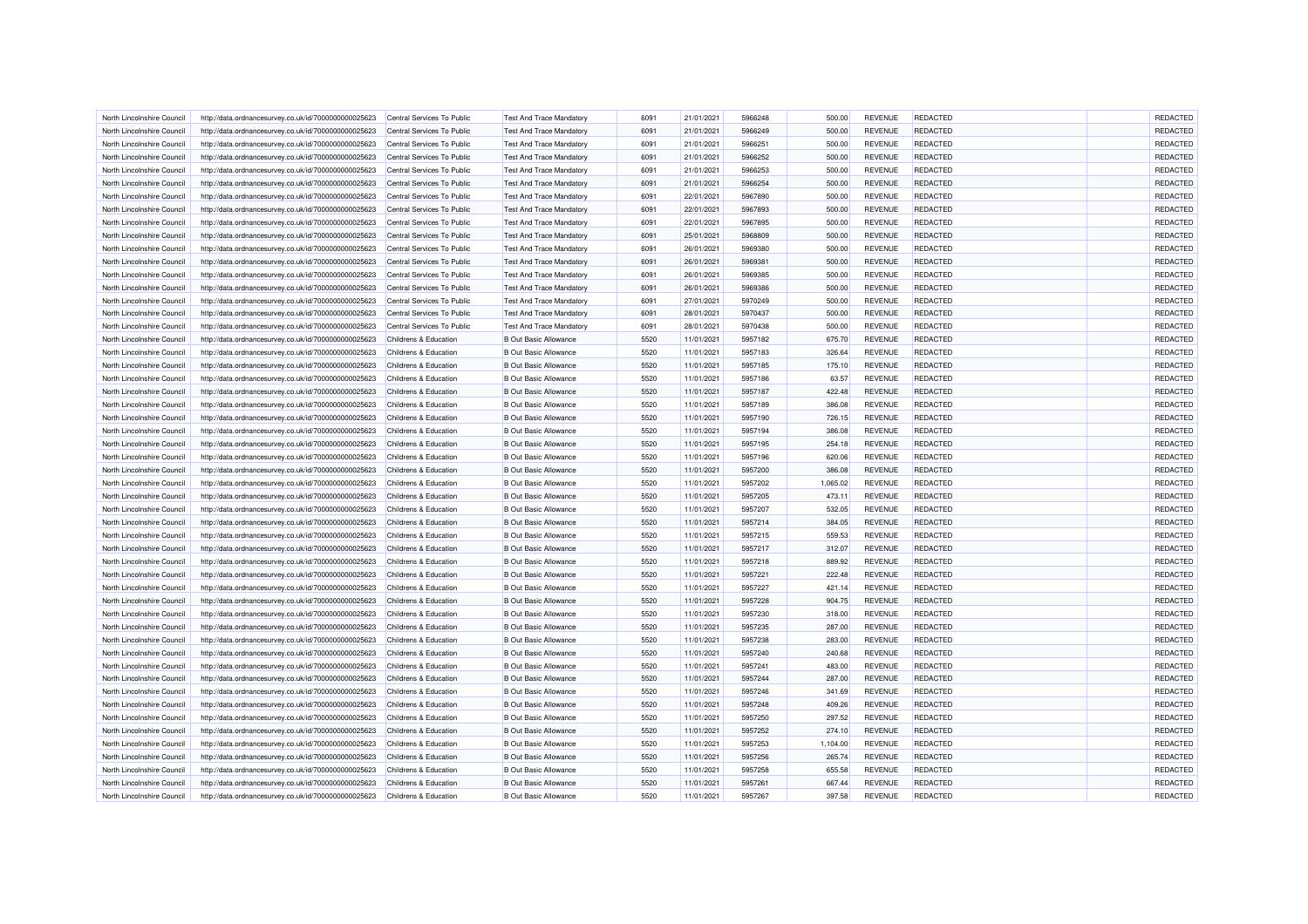| North Lincolnshire Council | http://data.ordnancesurvey.co.uk/id/7000000000025623 | Central Services To Public | <b>Test And Trace Mandatory</b> | 6091 | 21/01/2021 | 5966248 | 500.00   | <b>REVENUE</b> | REDACTED        | REDACTED |
|----------------------------|------------------------------------------------------|----------------------------|---------------------------------|------|------------|---------|----------|----------------|-----------------|----------|
| North Lincolnshire Council | http://data.ordnancesurvey.co.uk/id/7000000000025623 | Central Services To Public | <b>Test And Trace Mandatory</b> | 6091 | 21/01/2021 | 5966249 | 500.00   | <b>REVENUE</b> | REDACTED        | REDACTED |
| North Lincolnshire Council | http://data.ordnancesurvey.co.uk/id/7000000000025623 | Central Services To Public | <b>Test And Trace Mandatory</b> | 6091 | 21/01/2021 | 5966251 | 500.00   | <b>REVENUE</b> | <b>REDACTED</b> | REDACTED |
| North Lincolnshire Counci  | http://data.ordnancesurvey.co.uk/id/7000000000025623 | Central Services To Public | <b>Test And Trace Mandatory</b> | 6091 | 21/01/2021 | 5966252 | 500.00   | <b>REVENUE</b> | REDACTED        | REDACTED |
| North Lincolnshire Council | http://data.ordnancesurvey.co.uk/id/7000000000025623 | Central Services To Public | <b>Test And Trace Mandatory</b> | 6091 | 21/01/2021 | 5966253 | 500.00   | <b>REVENUE</b> | REDACTED        | REDACTED |
| North Lincolnshire Council | http://data.ordnancesurvey.co.uk/id/7000000000025623 | Central Services To Public | <b>Test And Trace Mandatory</b> | 6091 | 21/01/2021 | 5966254 | 500.00   | <b>REVENUE</b> | <b>REDACTED</b> | REDACTED |
| North Lincolnshire Council | http://data.ordnancesurvey.co.uk/id/7000000000025623 | Central Services To Public | <b>Test And Trace Mandatory</b> | 6091 | 22/01/2021 | 5967890 | 500.00   | <b>REVENUE</b> | <b>REDACTED</b> | REDACTED |
| North Lincolnshire Council | http://data.ordnancesurvey.co.uk/id/7000000000025623 | Central Services To Public | <b>Test And Trace Mandatory</b> | 6091 | 22/01/2021 | 5967893 | 500.00   | <b>REVENUE</b> | REDACTED        | REDACTED |
| North Lincolnshire Council | http://data.ordnancesurvey.co.uk/id/7000000000025623 | Central Services To Public | <b>Test And Trace Mandatory</b> | 6091 | 22/01/2021 | 5967895 | 500.00   | <b>REVENUE</b> | <b>REDACTED</b> | REDACTED |
| North Lincolnshire Council | http://data.ordnancesurvey.co.uk/id/7000000000025623 | Central Services To Public | <b>Test And Trace Mandatory</b> | 6091 | 25/01/2021 | 5968809 | 500.00   | <b>REVENUE</b> | REDACTED        | REDACTED |
| North Lincolnshire Council | http://data.ordnancesurvey.co.uk/id/7000000000025623 | Central Services To Public | <b>Test And Trace Mandatory</b> | 6091 | 26/01/2021 | 5969380 | 500.00   | <b>REVENUE</b> | <b>REDACTED</b> | REDACTED |
| North Lincolnshire Council | http://data.ordnancesurvey.co.uk/id/7000000000025623 | Central Services To Public | <b>Test And Trace Mandatory</b> | 6091 | 26/01/2021 | 5969381 | 500.00   | <b>REVENUE</b> | REDACTED        | REDACTED |
| North Lincolnshire Council | http://data.ordnancesurvey.co.uk/id/7000000000025623 | Central Services To Public | <b>Test And Trace Mandatory</b> | 6091 | 26/01/2021 | 5969385 | 500.00   | <b>REVENUE</b> | REDACTED        | REDACTED |
| North Lincolnshire Council | http://data.ordnancesurvey.co.uk/id/7000000000025623 | Central Services To Public | <b>Test And Trace Mandatory</b> | 6091 | 26/01/2021 | 5969386 | 500.00   | <b>REVENUE</b> | REDACTED        | REDACTED |
| North Lincolnshire Council | http://data.ordnancesurvey.co.uk/id/7000000000025623 | Central Services To Public | <b>Test And Trace Mandatory</b> | 6091 | 27/01/2021 | 5970249 | 500.00   | <b>REVENUE</b> | <b>REDACTED</b> | REDACTED |
| North Lincolnshire Council | http://data.ordnancesurvey.co.uk/id/7000000000025623 | Central Services To Public | <b>Test And Trace Mandatory</b> | 6091 | 28/01/2021 | 5970437 | 500.00   | <b>REVENUE</b> | REDACTED        | REDACTED |
|                            |                                                      |                            |                                 | 6091 |            |         |          |                |                 | REDACTED |
| North Lincolnshire Council | http://data.ordnancesurvey.co.uk/id/7000000000025623 | Central Services To Public | <b>Test And Trace Mandatory</b> | 5520 | 28/01/2021 | 5970438 | 500.00   | <b>REVENUE</b> | <b>REDACTED</b> |          |
| North Lincolnshire Council | http://data.ordnancesurvey.co.uk/id/7000000000025623 | Childrens & Education      | <b>B</b> Out Basic Allowance    |      | 11/01/2021 | 5957182 | 675.70   | <b>REVENUE</b> | <b>REDACTED</b> | REDACTED |
| North Lincolnshire Council | http://data.ordnancesurvey.co.uk/id/7000000000025623 | Childrens & Education      | <b>B</b> Out Basic Allowance    | 5520 | 11/01/2021 | 5957183 | 326.64   | <b>REVENUE</b> | REDACTED        | REDACTED |
| North Lincolnshire Counci  | http://data.ordnancesurvey.co.uk/id/7000000000025623 | Childrens & Education      | <b>B</b> Out Basic Allowance    | 5520 | 11/01/2021 | 5957185 | 175.10   | <b>REVENUE</b> | REDACTED        | REDACTED |
| North Lincolnshire Council | http://data.ordnancesurvey.co.uk/id/7000000000025623 | Childrens & Education      | <b>B</b> Out Basic Allowance    | 5520 | 11/01/2021 | 5957186 | 63.57    | <b>REVENUE</b> | REDACTED        | REDACTED |
| North Lincolnshire Council | http://data.ordnancesurvey.co.uk/id/7000000000025623 | Childrens & Education      | <b>B Out Basic Allowance</b>    | 5520 | 11/01/2021 | 5957187 | 422.48   | <b>REVENUE</b> | <b>REDACTED</b> | REDACTED |
| North Lincolnshire Council | http://data.ordnancesurvey.co.uk/id/7000000000025623 | Childrens & Education      | <b>B Out Basic Allowance</b>    | 5520 | 11/01/2021 | 5957189 | 386.08   | <b>REVENUE</b> | <b>REDACTED</b> | REDACTED |
| North Lincolnshire Council | http://data.ordnancesurvey.co.uk/id/7000000000025623 | Childrens & Education      | <b>B</b> Out Basic Allowance    | 5520 | 11/01/2021 | 5957190 | 726.15   | <b>REVENUE</b> | REDACTED        | REDACTED |
| North Lincolnshire Council | http://data.ordnancesurvey.co.uk/id/7000000000025623 | Childrens & Education      | <b>B</b> Out Basic Allowance    | 5520 | 11/01/2021 | 5957194 | 386.08   | <b>REVENUE</b> | REDACTED        | REDACTED |
| North Lincolnshire Counci  | http://data.ordnancesurvey.co.uk/id/7000000000025623 | Childrens & Education      | <b>B Out Basic Allowance</b>    | 5520 | 11/01/2021 | 5957195 | 254.18   | <b>REVENUE</b> | <b>REDACTED</b> | REDACTED |
| North Lincolnshire Council | http://data.ordnancesurvey.co.uk/id/7000000000025623 | Childrens & Education      | <b>B Out Basic Allowance</b>    | 5520 | 11/01/2021 | 5957196 | 620.06   | <b>REVENUE</b> | <b>REDACTED</b> | REDACTED |
| North Lincolnshire Council | http://data.ordnancesurvey.co.uk/id/7000000000025623 | Childrens & Education      | <b>B Out Basic Allowance</b>    | 5520 | 11/01/2021 | 5957200 | 386.08   | <b>REVENUE</b> | REDACTED        | REDACTED |
| North Lincolnshire Council | http://data.ordnancesurvey.co.uk/id/7000000000025623 | Childrens & Education      | <b>B Out Basic Allowance</b>    | 5520 | 11/01/2021 | 5957202 | 1,065.02 | <b>REVENUE</b> | REDACTED        | REDACTED |
| North Lincolnshire Council | http://data.ordnancesurvey.co.uk/id/7000000000025623 | Childrens & Education      | <b>B Out Basic Allowance</b>    | 5520 | 11/01/2021 | 5957205 | 473.11   | <b>REVENUE</b> | REDACTED        | REDACTED |
| North Lincolnshire Counci  | http://data.ordnancesurvey.co.uk/id/7000000000025623 | Childrens & Education      | <b>B Out Basic Allowance</b>    | 5520 | 11/01/2021 | 5957207 | 532.05   | <b>REVENUE</b> | REDACTED        | REDACTED |
| North Lincolnshire Council | http://data.ordnancesurvey.co.uk/id/7000000000025623 | Childrens & Education      | <b>B Out Basic Allowance</b>    | 5520 | 11/01/2021 | 5957214 | 384.05   | <b>REVENUE</b> | REDACTED        | REDACTED |
| North Lincolnshire Council | http://data.ordnancesurvey.co.uk/id/7000000000025623 | Childrens & Education      | <b>B Out Basic Allowance</b>    | 5520 | 11/01/2021 | 5957215 | 559.53   | <b>REVENUE</b> | <b>REDACTED</b> | REDACTED |
| North Lincolnshire Council | http://data.ordnancesurvey.co.uk/id/7000000000025623 | Childrens & Education      | <b>B Out Basic Allowance</b>    | 5520 | 11/01/2021 | 5957217 | 312.07   | <b>REVENUE</b> | <b>REDACTED</b> | REDACTED |
| North Lincolnshire Council | http://data.ordnancesurvey.co.uk/id/7000000000025623 | Childrens & Education      | <b>B Out Basic Allowance</b>    | 5520 | 11/01/2021 | 5957218 | 889.92   | <b>REVENUE</b> | REDACTED        | REDACTED |
| North Lincolnshire Council | http://data.ordnancesurvey.co.uk/id/7000000000025623 | Childrens & Education      | <b>B Out Basic Allowance</b>    | 5520 | 11/01/2021 | 5957221 | 222.48   | <b>REVENUE</b> | <b>REDACTED</b> | REDACTED |
| North Lincolnshire Council | http://data.ordnancesurvey.co.uk/id/7000000000025623 | Childrens & Education      | <b>B Out Basic Allowance</b>    | 5520 | 11/01/2021 | 5957227 | 421.14   | <b>REVENUE</b> | REDACTED        | REDACTED |
| North Lincolnshire Council | http://data.ordnancesurvey.co.uk/id/7000000000025623 | Childrens & Education      | <b>B Out Basic Allowance</b>    | 5520 | 11/01/2021 | 5957228 | 904.75   | <b>REVENUE</b> | <b>REDACTED</b> | REDACTED |
|                            |                                                      |                            |                                 | 5520 |            |         |          |                |                 |          |
| North Lincolnshire Council | http://data.ordnancesurvey.co.uk/id/7000000000025623 | Childrens & Education      | <b>B Out Basic Allowance</b>    |      | 11/01/2021 | 5957230 | 318.00   | <b>REVENUE</b> | REDACTED        | REDACTED |
| North Lincolnshire Council | http://data.ordnancesurvey.co.uk/id/7000000000025623 | Childrens & Education      | <b>B Out Basic Allowance</b>    | 5520 | 11/01/2021 | 5957235 | 287.00   | <b>REVENUE</b> | REDACTED        | REDACTED |
| North Lincolnshire Council | http://data.ordnancesurvey.co.uk/id/7000000000025623 | Childrens & Education      | <b>B Out Basic Allowance</b>    | 5520 | 11/01/2021 | 5957238 | 283.00   | <b>REVENUE</b> | REDACTED        | REDACTED |
| North Lincolnshire Council | http://data.ordnancesurvey.co.uk/id/7000000000025623 | Childrens & Education      | <b>B Out Basic Allowance</b>    | 5520 | 11/01/2021 | 5957240 | 240.68   | <b>REVENUE</b> | <b>REDACTED</b> | REDACTED |
| North Lincolnshire Council | http://data.ordnancesurvey.co.uk/id/7000000000025623 | Childrens & Education      | <b>B Out Basic Allowance</b>    | 5520 | 11/01/2021 | 5957241 | 483.00   | REVENUE        | REDACTED        | REDACTED |
| North Lincolnshire Council | http://data.ordnancesurvey.co.uk/id/7000000000025623 | Childrens & Education      | <b>B Out Basic Allowance</b>    | 5520 | 11/01/2021 | 5957244 | 287.00   | <b>REVENUE</b> | <b>REDACTED</b> | REDACTED |
| North Lincolnshire Council | http://data.ordnancesurvey.co.uk/id/7000000000025623 | Childrens & Education      | <b>B Out Basic Allowance</b>    | 5520 | 11/01/2021 | 5957246 | 341.69   | <b>REVENUE</b> | REDACTED        | REDACTED |
| North Lincolnshire Council | http://data.ordnancesurvey.co.uk/id/7000000000025623 | Childrens & Education      | <b>B Out Basic Allowance</b>    | 5520 | 11/01/2021 | 5957248 | 409.26   | <b>REVENUE</b> | <b>REDACTED</b> | REDACTED |
| North Lincolnshire Council | http://data.ordnancesurvey.co.uk/id/7000000000025623 | Childrens & Education      | <b>B Out Basic Allowance</b>    | 5520 | 11/01/2021 | 5957250 | 297.52   | <b>REVENUE</b> | REDACTED        | REDACTED |
| North Lincolnshire Council | http://data.ordnancesurvey.co.uk/id/7000000000025623 | Childrens & Education      | <b>B Out Basic Allowance</b>    | 5520 | 11/01/2021 | 5957252 | 274.10   | <b>REVENUE</b> | REDACTED        | REDACTED |
| North Lincolnshire Council | http://data.ordnancesurvey.co.uk/id/7000000000025623 | Childrens & Education      | <b>B Out Basic Allowance</b>    | 5520 | 11/01/2021 | 5957253 | 1,104.00 | <b>REVENUE</b> | <b>REDACTED</b> | REDACTED |
| North Lincolnshire Council | http://data.ordnancesurvey.co.uk/id/7000000000025623 | Childrens & Education      | <b>B Out Basic Allowance</b>    | 5520 | 11/01/2021 | 5957256 | 265.74   | <b>REVENUE</b> | <b>REDACTED</b> | REDACTED |
| North Lincolnshire Council | http://data.ordnancesurvey.co.uk/id/7000000000025623 | Childrens & Education      | <b>B Out Basic Allowance</b>    | 5520 | 11/01/2021 | 5957258 | 655.58   | REVENUE        | REDACTED        | REDACTED |
| North Lincolnshire Council | http://data.ordnancesurvey.co.uk/id/7000000000025623 | Childrens & Education      | <b>B Out Basic Allowance</b>    | 5520 | 11/01/2021 | 5957261 | 667.44   | REVENUE        | REDACTED        | REDACTED |
| North Lincolnshire Council | http://data.ordnancesurvey.co.uk/id/7000000000025623 | Childrens & Education      | <b>B Out Basic Allowance</b>    | 5520 | 11/01/2021 | 5957267 | 397.58   | <b>REVENUE</b> | REDACTED        | REDACTED |
|                            |                                                      |                            |                                 |      |            |         |          |                |                 |          |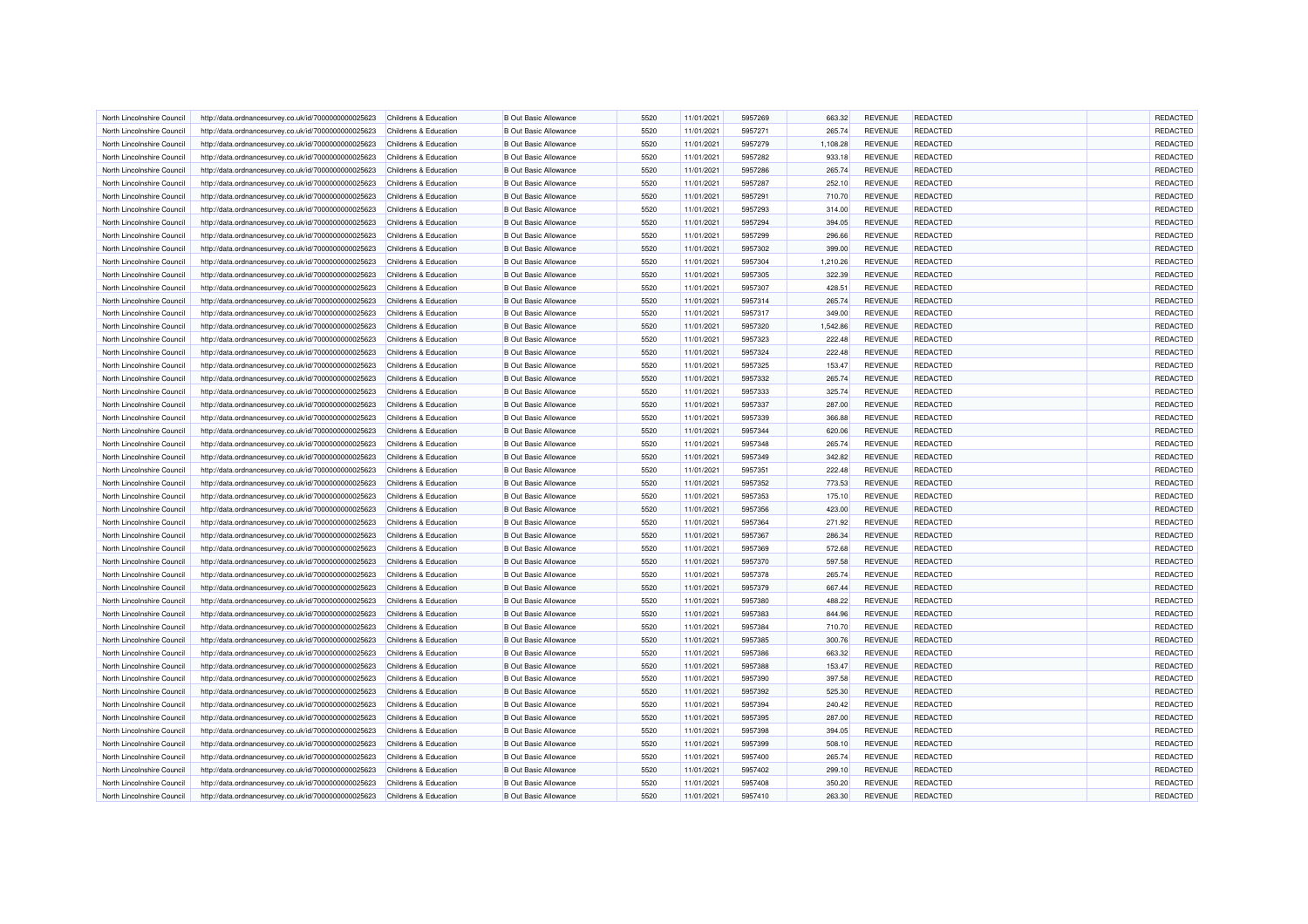| North Lincolnshire Council | http://data.ordnancesurvey.co.uk/id/7000000000025623 | Childrens & Education | <b>B</b> Out Basic Allowance | 5520 | 11/01/2021 | 5957269 | 663.32   | <b>REVENUE</b> | <b>REDACTED</b> | REDACTED |
|----------------------------|------------------------------------------------------|-----------------------|------------------------------|------|------------|---------|----------|----------------|-----------------|----------|
| North Lincolnshire Council | http://data.ordnancesurvey.co.uk/id/7000000000025623 | Childrens & Education | <b>B Out Basic Allowance</b> | 5520 | 11/01/2021 | 5957271 | 265.74   | <b>REVENUE</b> | REDACTED        | REDACTED |
| North Lincolnshire Council | http://data.ordnancesurvey.co.uk/id/7000000000025623 | Childrens & Education | <b>B</b> Out Basic Allowance | 5520 | 11/01/2021 | 5957279 | 1,108.28 | <b>REVENUE</b> | REDACTED        | REDACTED |
| North Lincolnshire Council | http://data.ordnancesurvey.co.uk/id/7000000000025623 | Childrens & Education | <b>B Out Basic Allowance</b> | 5520 | 11/01/2021 | 5957282 | 933.18   | <b>REVENUE</b> | REDACTED        | REDACTED |
| North Lincolnshire Council | http://data.ordnancesurvey.co.uk/id/7000000000025623 | Childrens & Education | <b>B</b> Out Basic Allowance | 5520 | 11/01/2021 | 5957286 | 265.74   | <b>REVENUE</b> | REDACTED        | REDACTED |
| North Lincolnshire Council | http://data.ordnancesurvey.co.uk/id/7000000000025623 | Childrens & Education | <b>B</b> Out Basic Allowance | 5520 | 11/01/2021 | 5957287 | 252.10   | <b>REVENUE</b> | REDACTED        | REDACTED |
| North Lincolnshire Council | http://data.ordnancesurvey.co.uk/id/7000000000025623 | Childrens & Education | <b>B</b> Out Basic Allowance | 5520 | 11/01/2021 | 5957291 | 710.70   | <b>REVENUE</b> | REDACTED        | REDACTED |
| North Lincolnshire Council | http://data.ordnancesurvey.co.uk/id/7000000000025623 | Childrens & Education | <b>B</b> Out Basic Allowance | 5520 | 11/01/2021 | 5957293 | 314.00   | <b>REVENUE</b> | REDACTED        | REDACTED |
| North Lincolnshire Council | http://data.ordnancesurvey.co.uk/id/7000000000025623 | Childrens & Education | <b>B</b> Out Basic Allowance | 5520 | 11/01/2021 | 5957294 | 394.05   | <b>REVENUE</b> | REDACTED        | REDACTED |
| North Lincolnshire Council | http://data.ordnancesurvey.co.uk/id/7000000000025623 | Childrens & Education | <b>B Out Basic Allowance</b> | 5520 | 11/01/2021 | 5957299 | 296.66   | <b>REVENUE</b> | <b>REDACTED</b> | REDACTED |
| North Lincolnshire Council | http://data.ordnancesurvey.co.uk/id/7000000000025623 | Childrens & Education | <b>B Out Basic Allowance</b> | 5520 | 11/01/2021 | 5957302 | 399.00   | <b>REVENUE</b> | REDACTED        | REDACTED |
| North Lincolnshire Council | http://data.ordnancesurvey.co.uk/id/7000000000025623 | Childrens & Education | <b>B Out Basic Allowance</b> | 5520 | 11/01/2021 | 5957304 | 1,210.26 | <b>REVENUE</b> | REDACTED        | REDACTED |
| North Lincolnshire Council | http://data.ordnancesurvey.co.uk/id/7000000000025623 | Childrens & Education | <b>B Out Basic Allowance</b> | 5520 | 11/01/2021 | 5957305 | 322.39   | <b>REVENUE</b> | REDACTED        | REDACTED |
| North Lincolnshire Council | http://data.ordnancesurvey.co.uk/id/7000000000025623 | Childrens & Education | <b>B Out Basic Allowance</b> | 5520 | 11/01/2021 | 5957307 | 428.51   | <b>REVENUE</b> | <b>REDACTED</b> | REDACTED |
| North Lincolnshire Council | http://data.ordnancesurvey.co.uk/id/7000000000025623 | Childrens & Education | <b>B Out Basic Allowance</b> | 5520 | 11/01/2021 | 5957314 | 265.74   | <b>REVENUE</b> | REDACTED        | REDACTED |
| North Lincolnshire Council | http://data.ordnancesurvey.co.uk/id/7000000000025623 | Childrens & Education | <b>B Out Basic Allowance</b> | 5520 | 11/01/2021 | 5957317 | 349.00   | <b>REVENUE</b> | REDACTED        | REDACTED |
| North Lincolnshire Council | http://data.ordnancesurvey.co.uk/id/7000000000025623 | Childrens & Education | <b>B Out Basic Allowance</b> | 5520 | 11/01/2021 | 5957320 | 1,542.86 | <b>REVENUE</b> | REDACTED        | REDACTED |
|                            |                                                      |                       |                              | 5520 |            |         |          |                |                 | REDACTED |
| North Lincolnshire Council | http://data.ordnancesurvey.co.uk/id/7000000000025623 | Childrens & Education | <b>B Out Basic Allowance</b> |      | 11/01/2021 | 5957323 | 222.48   | <b>REVENUE</b> | <b>REDACTED</b> |          |
| North Lincolnshire Council | http://data.ordnancesurvey.co.uk/id/7000000000025623 | Childrens & Education | <b>B Out Basic Allowance</b> | 5520 | 11/01/2021 | 5957324 | 222.48   | REVENUE        | REDACTED        | REDACTED |
| North Lincolnshire Council | http://data.ordnancesurvey.co.uk/id/7000000000025623 | Childrens & Education | <b>B Out Basic Allowance</b> | 5520 | 11/01/2021 | 5957325 | 153.47   | <b>REVENUE</b> | REDACTED        | REDACTED |
| North Lincolnshire Council | http://data.ordnancesurvey.co.uk/id/7000000000025623 | Childrens & Education | <b>B Out Basic Allowance</b> | 5520 | 11/01/2021 | 5957332 | 265.74   | <b>REVENUE</b> | REDACTED        | REDACTED |
| North Lincolnshire Council | http://data.ordnancesurvey.co.uk/id/7000000000025623 | Childrens & Education | <b>B Out Basic Allowance</b> | 5520 | 11/01/2021 | 5957333 | 325.74   | <b>REVENUE</b> | <b>REDACTED</b> | REDACTED |
| North Lincolnshire Council | http://data.ordnancesurvey.co.uk/id/7000000000025623 | Childrens & Education | <b>B Out Basic Allowance</b> | 5520 | 11/01/2021 | 5957337 | 287.00   | <b>REVENUE</b> | REDACTED        | REDACTED |
| North Lincolnshire Council | http://data.ordnancesurvey.co.uk/id/7000000000025623 | Childrens & Education | <b>B Out Basic Allowance</b> | 5520 | 11/01/2021 | 5957339 | 366.88   | <b>REVENUE</b> | REDACTED        | REDACTED |
| North Lincolnshire Council | http://data.ordnancesurvey.co.uk/id/7000000000025623 | Childrens & Education | <b>B Out Basic Allowance</b> | 5520 | 11/01/2021 | 5957344 | 620.06   | <b>REVENUE</b> | REDACTED        | REDACTED |
| North Lincolnshire Council | http://data.ordnancesurvey.co.uk/id/7000000000025623 | Childrens & Education | <b>B Out Basic Allowance</b> | 5520 | 11/01/2021 | 5957348 | 265.74   | <b>REVENUE</b> | REDACTED        | REDACTED |
| North Lincolnshire Council | http://data.ordnancesurvey.co.uk/id/7000000000025623 | Childrens & Education | <b>B Out Basic Allowance</b> | 5520 | 11/01/2021 | 5957349 | 342.82   | <b>REVENUE</b> | REDACTED        | REDACTED |
| North Lincolnshire Council | http://data.ordnancesurvey.co.uk/id/7000000000025623 | Childrens & Education | <b>B Out Basic Allowance</b> | 5520 | 11/01/2021 | 5957351 | 222.48   | <b>REVENUE</b> | REDACTED        | REDACTED |
| North Lincolnshire Council | http://data.ordnancesurvey.co.uk/id/7000000000025623 | Childrens & Education | <b>B Out Basic Allowance</b> | 5520 | 11/01/2021 | 5957352 | 773.53   | <b>REVENUE</b> | <b>REDACTED</b> | REDACTED |
| North Lincolnshire Council | http://data.ordnancesurvey.co.uk/id/7000000000025623 | Childrens & Education | <b>B Out Basic Allowance</b> | 5520 | 11/01/2021 | 5957353 | 175.10   | <b>REVENUE</b> | REDACTED        | REDACTED |
| North Lincolnshire Council | http://data.ordnancesurvey.co.uk/id/7000000000025623 | Childrens & Education | <b>B Out Basic Allowance</b> | 5520 | 11/01/2021 | 5957356 | 423.00   | <b>REVENUE</b> | REDACTED        | REDACTED |
| North Lincolnshire Council | http://data.ordnancesurvey.co.uk/id/7000000000025623 | Childrens & Education | <b>B Out Basic Allowance</b> | 5520 | 11/01/2021 | 5957364 | 271.92   | <b>REVENUE</b> | REDACTED        | REDACTED |
| North Lincolnshire Council | http://data.ordnancesurvey.co.uk/id/7000000000025623 | Childrens & Education | <b>B Out Basic Allowance</b> | 5520 | 11/01/2021 | 5957367 | 286.34   | <b>REVENUE</b> | REDACTED        | REDACTED |
| North Lincolnshire Council | http://data.ordnancesurvey.co.uk/id/7000000000025623 | Childrens & Education | <b>B Out Basic Allowance</b> | 5520 | 11/01/2021 | 5957369 | 572.68   | <b>REVENUE</b> | REDACTED        | REDACTED |
| North Lincolnshire Council | http://data.ordnancesurvey.co.uk/id/7000000000025623 | Childrens & Education | <b>B Out Basic Allowance</b> | 5520 | 11/01/2021 | 5957370 | 597.58   | <b>REVENUE</b> | REDACTED        | REDACTED |
| North Lincolnshire Council | http://data.ordnancesurvey.co.uk/id/7000000000025623 | Childrens & Education | <b>B Out Basic Allowance</b> | 5520 | 11/01/2021 | 5957378 | 265.74   | <b>REVENUE</b> | REDACTED        | REDACTED |
| North Lincolnshire Council | http://data.ordnancesurvey.co.uk/id/7000000000025623 | Childrens & Education | <b>B Out Basic Allowance</b> | 5520 | 11/01/2021 | 5957379 | 667.44   | <b>REVENUE</b> | REDACTED        | REDACTED |
| North Lincolnshire Council | http://data.ordnancesurvey.co.uk/id/7000000000025623 | Childrens & Education | <b>B Out Basic Allowance</b> | 5520 | 11/01/2021 | 5957380 | 488.22   | <b>REVENUE</b> | REDACTED        | REDACTED |
| North Lincolnshire Council | http://data.ordnancesurvey.co.uk/id/7000000000025623 | Childrens & Education | <b>B Out Basic Allowance</b> | 5520 | 11/01/2021 | 5957383 | 844.96   | <b>REVENUE</b> | REDACTED        | REDACTED |
| North Lincolnshire Council | http://data.ordnancesurvey.co.uk/id/7000000000025623 | Childrens & Education | <b>B Out Basic Allowance</b> | 5520 | 11/01/2021 | 5957384 | 710.70   | <b>REVENUE</b> | REDACTED        | REDACTED |
| North Lincolnshire Council | http://data.ordnancesurvey.co.uk/id/7000000000025623 | Childrens & Education | <b>B Out Basic Allowance</b> | 5520 | 11/01/2021 | 5957385 | 300.76   | <b>REVENUE</b> | REDACTED        | REDACTED |
| North Lincolnshire Council | http://data.ordnancesurvey.co.uk/id/7000000000025623 | Childrens & Education | <b>B Out Basic Allowance</b> | 5520 | 11/01/2021 | 5957386 | 663.32   | <b>REVENUE</b> | <b>REDACTED</b> | REDACTED |
| North Lincolnshire Council | http://data.ordnancesurvey.co.uk/id/7000000000025623 | Childrens & Education | <b>B Out Basic Allowance</b> | 5520 | 11/01/2021 | 5957388 | 153.47   | <b>REVENUE</b> | REDACTED        | REDACTED |
| North Lincolnshire Council | http://data.ordnancesurvey.co.uk/id/7000000000025623 | Childrens & Education | <b>B Out Basic Allowance</b> | 5520 | 11/01/2021 | 5957390 | 397.58   | <b>REVENUE</b> | REDACTED        | REDACTED |
| North Lincolnshire Council | http://data.ordnancesurvey.co.uk/id/7000000000025623 | Childrens & Education | <b>B Out Basic Allowance</b> | 5520 | 11/01/2021 | 5957392 | 525.30   | <b>REVENUE</b> | REDACTED        | REDACTED |
| North Lincolnshire Council | http://data.ordnancesurvey.co.uk/id/7000000000025623 | Childrens & Education | <b>B Out Basic Allowance</b> | 5520 | 11/01/2021 | 5957394 | 240.42   | <b>REVENUE</b> | REDACTED        | REDACTED |
| North Lincolnshire Council | http://data.ordnancesurvey.co.uk/id/7000000000025623 | Childrens & Education | <b>B Out Basic Allowance</b> | 5520 | 11/01/2021 | 5957395 | 287.00   | <b>REVENUE</b> | REDACTED        | REDACTED |
| North Lincolnshire Council | http://data.ordnancesurvey.co.uk/id/7000000000025623 | Childrens & Education | <b>B Out Basic Allowance</b> | 5520 | 11/01/2021 | 5957398 | 394.05   | <b>REVENUE</b> | REDACTED        | REDACTED |
| North Lincolnshire Council | http://data.ordnancesurvey.co.uk/id/7000000000025623 | Childrens & Education | <b>B Out Basic Allowance</b> | 5520 | 11/01/2021 | 5957399 | 508.10   | <b>REVENUE</b> | <b>REDACTED</b> | REDACTED |
| North Lincolnshire Council | http://data.ordnancesurvey.co.uk/id/7000000000025623 | Childrens & Education | <b>B Out Basic Allowance</b> | 5520 | 11/01/2021 | 5957400 | 265.74   | <b>REVENUE</b> | <b>REDACTED</b> | REDACTED |
| North Lincolnshire Council | http://data.ordnancesurvey.co.uk/id/7000000000025623 | Childrens & Education | <b>B Out Basic Allowance</b> | 5520 | 11/01/2021 | 5957402 | 299.10   | <b>REVENUE</b> | REDACTED        | REDACTED |
| North Lincolnshire Council | http://data.ordnancesurvey.co.uk/id/7000000000025623 | Childrens & Education | <b>B Out Basic Allowance</b> | 5520 | 11/01/2021 | 5957408 | 350.20   | <b>REVENUE</b> | REDACTED        | REDACTED |
| North Lincolnshire Council | http://data.ordnancesurvey.co.uk/id/7000000000025623 | Childrens & Education | <b>B Out Basic Allowance</b> | 5520 | 11/01/2021 | 5957410 | 263.30   | <b>REVENUE</b> | REDACTED        | REDACTED |
|                            |                                                      |                       |                              |      |            |         |          |                |                 |          |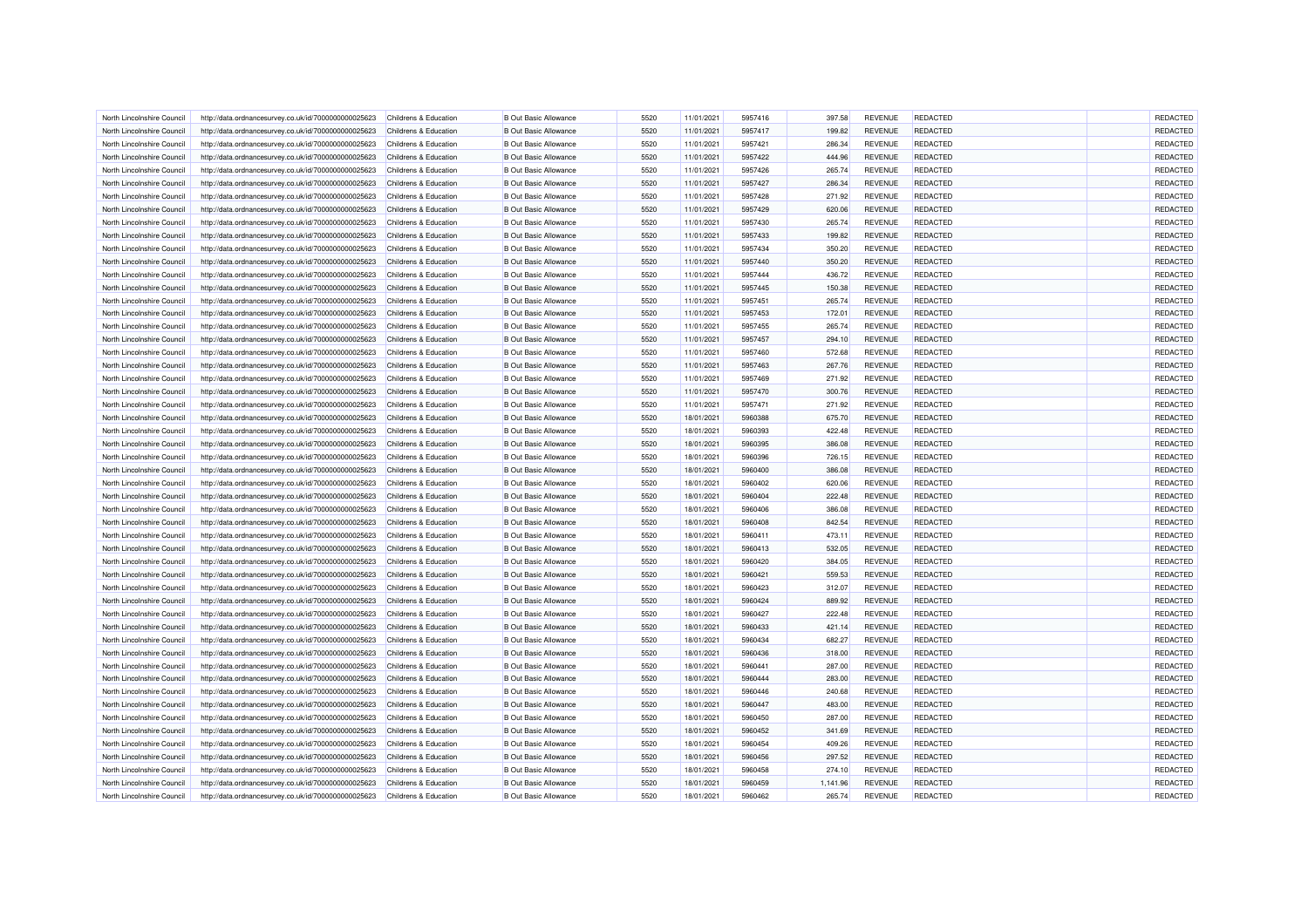| North Lincolnshire Council | http://data.ordnancesurvey.co.uk/id/7000000000025623 | Childrens & Education | B Out Basic Allowance        | 5520         | 11/01/2021 | 5957416            | 397.58   | <b>REVENUE</b> | REDACTED        | REDACTED |
|----------------------------|------------------------------------------------------|-----------------------|------------------------------|--------------|------------|--------------------|----------|----------------|-----------------|----------|
| North Lincolnshire Council | http://data.ordnancesurvey.co.uk/id/7000000000025623 | Childrens & Education | <b>B</b> Out Basic Allowance | 5520         | 11/01/2021 | 5957417            | 199.82   | <b>REVENUE</b> | REDACTED        | REDACTED |
| North Lincolnshire Council | http://data.ordnancesurvey.co.uk/id/7000000000025623 | Childrens & Education | <b>B</b> Out Basic Allowance | 5520         | 11/01/2021 | 5957421            | 286.34   | <b>REVENUE</b> | REDACTED        | REDACTED |
| North Lincolnshire Council | http://data.ordnancesurvey.co.uk/id/7000000000025623 | Childrens & Education | <b>B Out Basic Allowance</b> | 5520         | 11/01/2021 | 5957422            | 444.96   | <b>REVENUE</b> | REDACTED        | REDACTED |
| North Lincolnshire Council | http://data.ordnancesurvey.co.uk/id/7000000000025623 | Childrens & Education | <b>B</b> Out Basic Allowance | 5520         | 11/01/2021 | 5957426            | 265.74   | <b>REVENUE</b> | REDACTED        | REDACTED |
| North Lincolnshire Council | http://data.ordnancesurvey.co.uk/id/7000000000025623 | Childrens & Education | <b>B</b> Out Basic Allowance | 5520         | 11/01/2021 | 5957427            | 286.34   | <b>REVENUE</b> | REDACTED        | REDACTED |
| North Lincolnshire Council | http://data.ordnancesurvey.co.uk/id/7000000000025623 | Childrens & Education | <b>B</b> Out Basic Allowance | 5520         | 11/01/2021 | 5957428            | 271.92   | <b>REVENUE</b> | <b>REDACTED</b> | REDACTED |
| North Lincolnshire Council | http://data.ordnancesurvey.co.uk/id/7000000000025623 | Childrens & Education | <b>B</b> Out Basic Allowance | 5520         | 11/01/2021 | 5957429            | 620.06   | <b>REVENUE</b> | REDACTED        | REDACTED |
| North Lincolnshire Council | http://data.ordnancesurvey.co.uk/id/7000000000025623 | Childrens & Education | <b>B Out Basic Allowance</b> | 5520         | 11/01/2021 | 5957430            | 265.74   | <b>REVENUE</b> | REDACTED        | REDACTED |
| North Lincolnshire Counci  | http://data.ordnancesurvey.co.uk/id/7000000000025623 | Childrens & Education | <b>B Out Basic Allowance</b> | 5520         | 11/01/2021 | 5957433            | 199.82   | <b>REVENUE</b> | <b>REDACTED</b> | REDACTED |
| North Lincolnshire Council | http://data.ordnancesurvey.co.uk/id/7000000000025623 | Childrens & Education | <b>B Out Basic Allowance</b> | 5520         | 11/01/2021 | 5957434            | 350.20   | <b>REVENUE</b> | <b>REDACTED</b> | REDACTED |
| North Lincolnshire Council | http://data.ordnancesurvey.co.uk/id/7000000000025623 | Childrens & Education | <b>B Out Basic Allowance</b> | 5520         | 11/01/2021 | 5957440            | 350.20   | <b>REVENUE</b> | <b>REDACTED</b> | REDACTED |
| North Lincolnshire Council | http://data.ordnancesurvey.co.uk/id/7000000000025623 | Childrens & Education | <b>B Out Basic Allowance</b> | 5520         | 11/01/2021 | 5957444            | 436.72   | <b>REVENUE</b> | REDACTED        | REDACTED |
| North Lincolnshire Council | http://data.ordnancesurvey.co.uk/id/7000000000025623 | Childrens & Education | <b>B Out Basic Allowance</b> | 5520         | 11/01/2021 | 5957445            | 150.38   | <b>REVENUE</b> | <b>REDACTED</b> | REDACTED |
| North Lincolnshire Council | http://data.ordnancesurvey.co.uk/id/7000000000025623 | Childrens & Education | <b>B Out Basic Allowance</b> | 5520         | 11/01/2021 | 5957451            | 265.74   | <b>REVENUE</b> | REDACTED        | REDACTED |
| North Lincolnshire Council | http://data.ordnancesurvey.co.uk/id/7000000000025623 | Childrens & Education | <b>B Out Basic Allowance</b> | 5520         | 11/01/2021 | 5957453            | 172.01   | <b>REVENUE</b> | REDACTED        | REDACTED |
| North Lincolnshire Council | http://data.ordnancesurvey.co.uk/id/7000000000025623 | Childrens & Education | <b>B Out Basic Allowance</b> | 5520         | 11/01/2021 | 5957455            | 265.74   | <b>REVENUE</b> | REDACTED        | REDACTED |
| North Lincolnshire Council | http://data.ordnancesurvey.co.uk/id/7000000000025623 | Childrens & Education | <b>B Out Basic Allowance</b> | 5520         | 11/01/2021 | 5957457            | 294.10   | <b>REVENUE</b> | <b>REDACTED</b> | REDACTED |
| North Lincolnshire Council | http://data.ordnancesurvey.co.uk/id/7000000000025623 | Childrens & Education | <b>B Out Basic Allowance</b> | 5520         | 11/01/2021 | 5957460            | 572.68   | <b>REVENUE</b> | REDACTED        | REDACTED |
| North Lincolnshire Council | http://data.ordnancesurvey.co.uk/id/7000000000025623 | Childrens & Education | <b>B Out Basic Allowance</b> | 5520         | 11/01/2021 | 5957463            | 267.76   | <b>REVENUE</b> | <b>REDACTED</b> | REDACTED |
| North Lincolnshire Council | http://data.ordnancesurvey.co.uk/id/7000000000025623 | Childrens & Education | <b>B Out Basic Allowance</b> | 5520         | 11/01/2021 | 5957469            | 271.92   | <b>REVENUE</b> | REDACTED        | REDACTED |
| North Lincolnshire Council | http://data.ordnancesurvey.co.uk/id/7000000000025623 | Childrens & Education | <b>B Out Basic Allowance</b> | 5520         | 11/01/2021 | 5957470            | 300.76   | <b>REVENUE</b> | <b>REDACTED</b> | REDACTED |
| North Lincolnshire Council | http://data.ordnancesurvey.co.uk/id/7000000000025623 | Childrens & Education | <b>B Out Basic Allowance</b> | 5520         | 11/01/2021 | 5957471            | 271.92   | <b>REVENUE</b> | REDACTED        | REDACTED |
|                            |                                                      |                       |                              |              |            |                    |          |                |                 | REDACTED |
| North Lincolnshire Council | http://data.ordnancesurvey.co.uk/id/7000000000025623 | Childrens & Education | <b>B Out Basic Allowance</b> | 5520<br>5520 | 18/01/2021 | 5960388<br>5960393 | 675.70   | <b>REVENUE</b> | REDACTED        | REDACTED |
| North Lincolnshire Council | http://data.ordnancesurvey.co.uk/id/7000000000025623 | Childrens & Education | <b>B Out Basic Allowance</b> |              | 18/01/2021 |                    | 422.48   | <b>REVENUE</b> | REDACTED        |          |
| North Lincolnshire Counci  | http://data.ordnancesurvey.co.uk/id/7000000000025623 | Childrens & Education | <b>B Out Basic Allowance</b> | 5520         | 18/01/2021 | 5960395            | 386.08   | <b>REVENUE</b> | REDACTED        | REDACTED |
| North Lincolnshire Council | http://data.ordnancesurvey.co.uk/id/7000000000025623 | Childrens & Education | <b>B Out Basic Allowance</b> | 5520         | 18/01/2021 | 5960396            | 726.15   | <b>REVENUE</b> | REDACTED        | REDACTED |
| North Lincolnshire Council | http://data.ordnancesurvey.co.uk/id/7000000000025623 | Childrens & Education | <b>B Out Basic Allowance</b> | 5520         | 18/01/2021 | 5960400            | 386.08   | <b>REVENUE</b> | REDACTED        | REDACTED |
| North Lincolnshire Council | http://data.ordnancesurvey.co.uk/id/7000000000025623 | Childrens & Education | <b>B Out Basic Allowance</b> | 5520         | 18/01/2021 | 5960402            | 620.06   | <b>REVENUE</b> | <b>REDACTED</b> | REDACTED |
| North Lincolnshire Council | http://data.ordnancesurvey.co.uk/id/7000000000025623 | Childrens & Education | <b>B Out Basic Allowance</b> | 5520         | 18/01/2021 | 5960404            | 222.48   | <b>REVENUE</b> | REDACTED        | REDACTED |
| North Lincolnshire Council | http://data.ordnancesurvey.co.uk/id/7000000000025623 | Childrens & Education | <b>B Out Basic Allowance</b> | 5520         | 18/01/2021 | 5960406            | 386.08   | <b>REVENUE</b> | REDACTED        | REDACTED |
| North Lincolnshire Council | http://data.ordnancesurvey.co.uk/id/7000000000025623 | Childrens & Education | <b>B Out Basic Allowance</b> | 5520         | 18/01/2021 | 5960408            | 842.54   | <b>REVENUE</b> | <b>REDACTED</b> | REDACTED |
| North Lincolnshire Council | http://data.ordnancesurvey.co.uk/id/7000000000025623 | Childrens & Education | <b>B Out Basic Allowance</b> | 5520         | 18/01/2021 | 5960411            | 473.11   | <b>REVENUE</b> | <b>REDACTED</b> | REDACTED |
| North Lincolnshire Council | http://data.ordnancesurvey.co.uk/id/7000000000025623 | Childrens & Education | <b>B Out Basic Allowance</b> | 5520         | 18/01/2021 | 5960413            | 532.05   | <b>REVENUE</b> | REDACTED        | REDACTED |
| North Lincolnshire Council | http://data.ordnancesurvey.co.uk/id/7000000000025623 | Childrens & Education | <b>B Out Basic Allowance</b> | 5520         | 18/01/2021 | 5960420            | 384.05   | <b>REVENUE</b> | REDACTED        | REDACTED |
| North Lincolnshire Council | http://data.ordnancesurvey.co.uk/id/7000000000025623 | Childrens & Education | <b>B Out Basic Allowance</b> | 5520         | 18/01/2021 | 5960421            | 559.53   | <b>REVENUE</b> | <b>REDACTED</b> | REDACTED |
| North Lincolnshire Council | http://data.ordnancesurvey.co.uk/id/7000000000025623 | Childrens & Education | <b>B Out Basic Allowance</b> | 5520         | 18/01/2021 | 5960423            | 312.07   | <b>REVENUE</b> | <b>REDACTED</b> | REDACTED |
| North Lincolnshire Council | http://data.ordnancesurvey.co.uk/id/7000000000025623 | Childrens & Education | <b>B Out Basic Allowance</b> | 5520         | 18/01/2021 | 5960424            | 889.92   | <b>REVENUE</b> | REDACTED        | REDACTED |
| North Lincolnshire Council | http://data.ordnancesurvey.co.uk/id/7000000000025623 | Childrens & Education | <b>B Out Basic Allowance</b> | 5520         | 18/01/2021 | 5960427            | 222.48   | <b>REVENUE</b> | REDACTED        | REDACTED |
| North Lincolnshire Council | http://data.ordnancesurvey.co.uk/id/7000000000025623 | Childrens & Education | <b>B Out Basic Allowance</b> | 5520         | 18/01/2021 | 5960433            | 421.14   | <b>REVENUE</b> | REDACTED        | REDACTED |
| North Lincolnshire Council | http://data.ordnancesurvey.co.uk/id/7000000000025623 | Childrens & Education | <b>B Out Basic Allowance</b> | 5520         | 18/01/2021 | 5960434            | 682.27   | <b>REVENUE</b> | REDACTED        | REDACTED |
| North Lincolnshire Council | http://data.ordnancesurvey.co.uk/id/7000000000025623 | Childrens & Education | <b>B Out Basic Allowance</b> | 5520         | 18/01/2021 | 5960436            | 318.00   | <b>REVENUE</b> | <b>REDACTED</b> | REDACTED |
| North Lincolnshire Council | http://data.ordnancesurvey.co.uk/id/7000000000025623 | Childrens & Education | <b>B Out Basic Allowance</b> | 5520         | 18/01/2021 | 5960441            | 287.00   | <b>REVENUE</b> | <b>REDACTED</b> | REDACTED |
| North Lincolnshire Council | http://data.ordnancesurvey.co.uk/id/7000000000025623 | Childrens & Education | <b>B Out Basic Allowance</b> | 5520         | 18/01/2021 | 5960444            | 283.00   | <b>REVENUE</b> | <b>REDACTED</b> | REDACTED |
| North Lincolnshire Council | http://data.ordnancesurvey.co.uk/id/7000000000025623 | Childrens & Education | <b>B Out Basic Allowance</b> | 5520         | 18/01/2021 | 5960446            | 240.68   | <b>REVENUE</b> | REDACTED        | REDACTED |
| North Lincolnshire Council | http://data.ordnancesurvey.co.uk/id/7000000000025623 | Childrens & Education | <b>B Out Basic Allowance</b> | 5520         | 18/01/2021 | 5960447            | 483.00   | <b>REVENUE</b> | REDACTED        | REDACTED |
| North Lincolnshire Council | http://data.ordnancesurvey.co.uk/id/7000000000025623 | Childrens & Education | <b>B Out Basic Allowance</b> | 5520         | 18/01/2021 | 5960450            | 287.00   | <b>REVENUE</b> | REDACTED        | REDACTED |
| North Lincolnshire Council | http://data.ordnancesurvey.co.uk/id/7000000000025623 | Childrens & Education | <b>B Out Basic Allowance</b> | 5520         | 18/01/2021 | 5960452            | 341.69   | <b>REVENUE</b> | REDACTED        | REDACTED |
| North Lincolnshire Council | http://data.ordnancesurvey.co.uk/id/7000000000025623 | Childrens & Education | <b>B Out Basic Allowance</b> | 5520         | 18/01/2021 | 5960454            | 409.26   | <b>REVENUE</b> | <b>REDACTED</b> | REDACTED |
| North Lincolnshire Council | http://data.ordnancesurvey.co.uk/id/7000000000025623 | Childrens & Education | <b>B Out Basic Allowance</b> | 5520         | 18/01/2021 | 5960456            | 297.52   | <b>REVENUE</b> | <b>REDACTED</b> | REDACTED |
| North Lincolnshire Council | http://data.ordnancesurvey.co.uk/id/7000000000025623 | Childrens & Education | <b>B Out Basic Allowance</b> | 5520         | 18/01/2021 | 5960458            | 274.10   | REVENUE        | REDACTED        | REDACTED |
| North Lincolnshire Council | http://data.ordnancesurvey.co.uk/id/7000000000025623 | Childrens & Education | <b>B Out Basic Allowance</b> | 5520         | 18/01/2021 | 5960459            | 1,141.96 | <b>REVENUE</b> | REDACTED        | REDACTED |
| North Lincolnshire Council | http://data.ordnancesurvey.co.uk/id/7000000000025623 | Childrens & Education | <b>B Out Basic Allowance</b> | 5520         | 18/01/2021 | 5960462            | 265.74   | <b>REVENUE</b> | REDACTED        | REDACTED |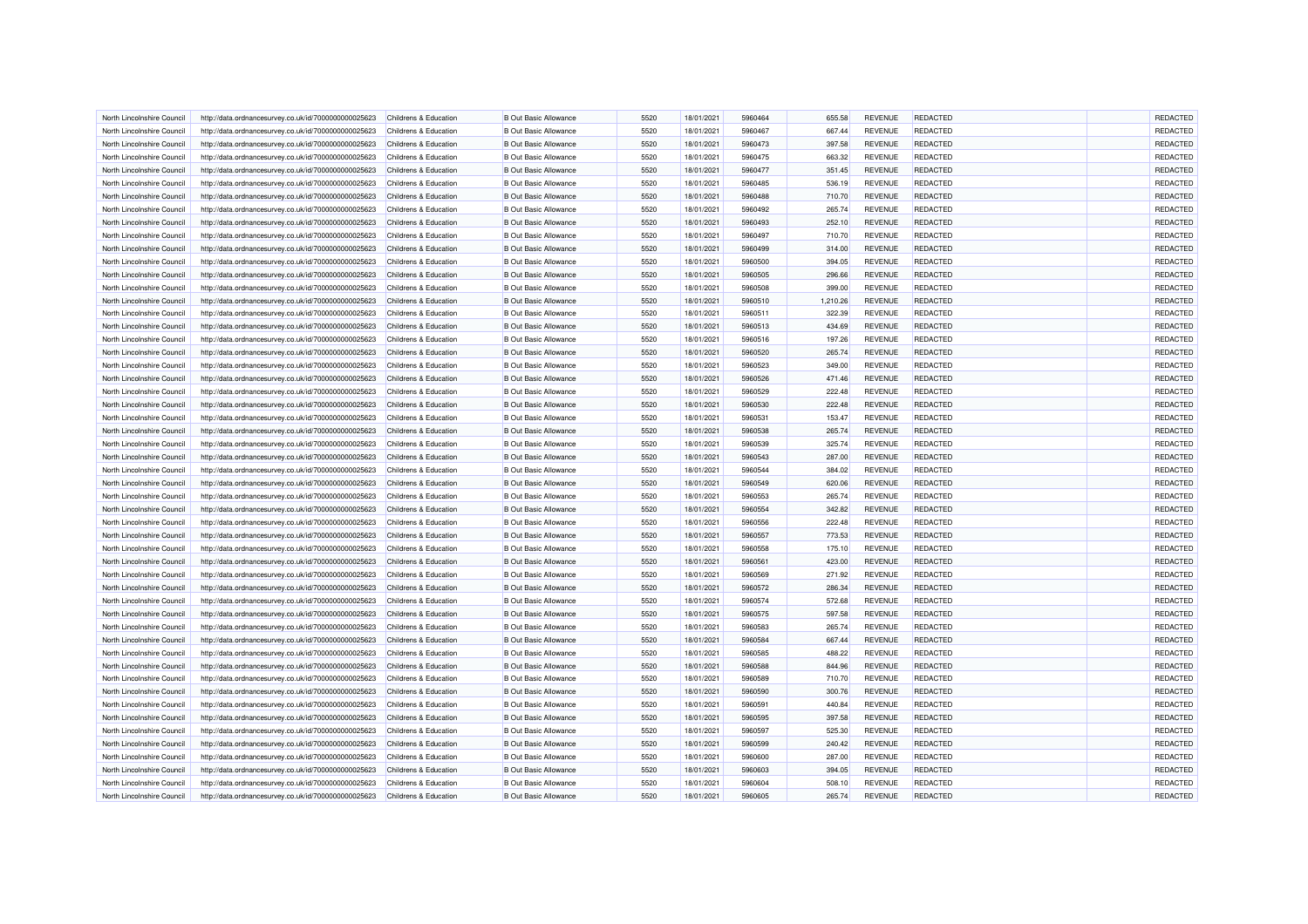| North Lincolnshire Council | http://data.ordnancesurvey.co.uk/id/7000000000025623 | Childrens & Education            | <b>B Out Basic Allowance</b> | 5520 | 18/01/2021 | 5960464 | 655.58   | <b>REVENUE</b> | REDACTED        | REDACTED |
|----------------------------|------------------------------------------------------|----------------------------------|------------------------------|------|------------|---------|----------|----------------|-----------------|----------|
| North Lincolnshire Council | http://data.ordnancesurvey.co.uk/id/7000000000025623 | Childrens & Education            | <b>B</b> Out Basic Allowance | 5520 | 18/01/2021 | 5960467 | 667.44   | <b>REVENUE</b> | REDACTED        | REDACTED |
|                            |                                                      |                                  |                              |      |            |         |          |                |                 | REDACTED |
| North Lincolnshire Council | http://data.ordnancesurvey.co.uk/id/7000000000025623 | Childrens & Education            | <b>B Out Basic Allowance</b> | 5520 | 18/01/2021 | 5960473 | 397.58   | <b>REVENUE</b> | <b>REDACTED</b> |          |
| North Lincolnshire Counci  | http://data.ordnancesurvey.co.uk/id/7000000000025623 | Childrens & Education            | <b>B</b> Out Basic Allowance | 5520 | 18/01/2021 | 5960475 | 663.32   | <b>REVENUE</b> | REDACTED        | REDACTED |
| North Lincolnshire Council | http://data.ordnancesurvey.co.uk/id/7000000000025623 | Childrens & Education            | <b>B</b> Out Basic Allowance | 5520 | 18/01/2021 | 5960477 | 351.45   | <b>REVENUE</b> | REDACTED        | REDACTED |
| North Lincolnshire Council | http://data.ordnancesurvey.co.uk/id/7000000000025623 | Childrens & Education            | <b>B Out Basic Allowance</b> | 5520 | 18/01/2021 | 5960485 | 536.19   | <b>REVENUE</b> | <b>REDACTED</b> | REDACTED |
| North Lincolnshire Council | http://data.ordnancesurvey.co.uk/id/7000000000025623 | Childrens & Education            | <b>B</b> Out Basic Allowance | 5520 | 18/01/2021 | 5960488 | 710.70   | <b>REVENUE</b> | <b>REDACTED</b> | REDACTED |
| North Lincolnshire Council | http://data.ordnancesurvey.co.uk/id/7000000000025623 | Childrens & Education            | <b>B</b> Out Basic Allowance | 5520 | 18/01/2021 | 5960492 | 265.74   | <b>REVENUE</b> | REDACTED        | REDACTED |
| North Lincolnshire Council | http://data.ordnancesurvey.co.uk/id/7000000000025623 | Childrens & Education            | <b>B Out Basic Allowance</b> | 5520 | 18/01/2021 | 5960493 | 252.10   | <b>REVENUE</b> | <b>REDACTED</b> | REDACTED |
| North Lincolnshire Council | http://data.ordnancesurvey.co.uk/id/7000000000025623 | Childrens & Education            | <b>B Out Basic Allowance</b> | 5520 | 18/01/2021 | 5960497 | 710.70   | <b>REVENUE</b> | REDACTED        | REDACTED |
| North Lincolnshire Council | http://data.ordnancesurvey.co.uk/id/7000000000025623 | Childrens & Education            | <b>B Out Basic Allowance</b> | 5520 | 18/01/2021 | 5960499 | 314.00   | <b>REVENUE</b> | <b>REDACTED</b> | REDACTED |
| North Lincolnshire Council | http://data.ordnancesurvey.co.uk/id/7000000000025623 | Childrens & Education            | <b>B Out Basic Allowance</b> | 5520 | 18/01/2021 | 5960500 | 394.05   | <b>REVENUE</b> | REDACTED        | REDACTED |
| North Lincolnshire Council | http://data.ordnancesurvey.co.uk/id/7000000000025623 | Childrens & Education            | <b>B Out Basic Allowance</b> | 5520 | 18/01/2021 | 5960505 | 296.66   | <b>REVENUE</b> | REDACTED        | REDACTED |
| North Lincolnshire Council | http://data.ordnancesurvey.co.uk/id/7000000000025623 | Childrens & Education            | <b>B Out Basic Allowance</b> | 5520 | 18/01/2021 | 5960508 | 399.00   | <b>REVENUE</b> | REDACTED        | REDACTED |
| North Lincolnshire Council | http://data.ordnancesurvey.co.uk/id/7000000000025623 | Childrens & Education            | <b>B Out Basic Allowance</b> | 5520 | 18/01/2021 | 5960510 | 1,210.26 | <b>REVENUE</b> | <b>REDACTED</b> | REDACTED |
| North Lincolnshire Council | http://data.ordnancesurvey.co.uk/id/7000000000025623 | Childrens & Education            | <b>B Out Basic Allowance</b> | 5520 | 18/01/2021 | 5960511 | 322.39   | <b>REVENUE</b> | REDACTED        | REDACTED |
|                            |                                                      |                                  |                              |      |            |         |          |                |                 |          |
| North Lincolnshire Council | http://data.ordnancesurvey.co.uk/id/7000000000025623 | Childrens & Education            | <b>B Out Basic Allowance</b> | 5520 | 18/01/2021 | 5960513 | 434.69   | <b>REVENUE</b> | REDACTED        | REDACTED |
| North Lincolnshire Council | http://data.ordnancesurvey.co.uk/id/7000000000025623 | Childrens & Education            | <b>B Out Basic Allowance</b> | 5520 | 18/01/2021 | 5960516 | 197.26   | <b>REVENUE</b> | <b>REDACTED</b> | REDACTED |
| North Lincolnshire Council | http://data.ordnancesurvey.co.uk/id/7000000000025623 | Childrens & Education            | <b>B Out Basic Allowance</b> | 5520 | 18/01/2021 | 5960520 | 265.74   | <b>REVENUE</b> | <b>REDACTED</b> | REDACTED |
| North Lincolnshire Counci  | http://data.ordnancesurvey.co.uk/id/7000000000025623 | Childrens & Education            | <b>B Out Basic Allowance</b> | 5520 | 18/01/2021 | 5960523 | 349.00   | <b>REVENUE</b> | REDACTED        | REDACTED |
| North Lincolnshire Council | http://data.ordnancesurvey.co.uk/id/7000000000025623 | Childrens & Education            | <b>B Out Basic Allowance</b> | 5520 | 18/01/2021 | 5960526 | 471.46   | <b>REVENUE</b> | REDACTED        | REDACTED |
| North Lincolnshire Council | http://data.ordnancesurvey.co.uk/id/7000000000025623 | Childrens & Education            | <b>B Out Basic Allowance</b> | 5520 | 18/01/2021 | 5960529 | 222.48   | <b>REVENUE</b> | <b>REDACTED</b> | REDACTED |
| North Lincolnshire Council | http://data.ordnancesurvey.co.uk/id/7000000000025623 | Childrens & Education            | <b>B Out Basic Allowance</b> | 5520 | 18/01/2021 | 5960530 | 222.48   | <b>REVENUE</b> | <b>REDACTED</b> | REDACTED |
| North Lincolnshire Council | http://data.ordnancesurvey.co.uk/id/7000000000025623 | Childrens & Education            | <b>B Out Basic Allowance</b> | 5520 | 18/01/2021 | 5960531 | 153.47   | <b>REVENUE</b> | REDACTED        | REDACTED |
| North Lincolnshire Council | http://data.ordnancesurvey.co.uk/id/7000000000025623 | Childrens & Education            | <b>B Out Basic Allowance</b> | 5520 | 18/01/2021 | 5960538 | 265.74   | <b>REVENUE</b> | REDACTED        | REDACTED |
| North Lincolnshire Council | http://data.ordnancesurvey.co.uk/id/7000000000025623 | Childrens & Education            | <b>B Out Basic Allowance</b> | 5520 | 18/01/2021 | 5960539 | 325.74   | <b>REVENUE</b> | <b>REDACTED</b> | REDACTED |
| North Lincolnshire Council | http://data.ordnancesurvey.co.uk/id/7000000000025623 | Childrens & Education            | <b>B Out Basic Allowance</b> | 5520 | 18/01/2021 | 5960543 | 287.00   | <b>REVENUE</b> | <b>REDACTED</b> | REDACTED |
| North Lincolnshire Council | http://data.ordnancesurvey.co.uk/id/7000000000025623 | Childrens & Education            | <b>B Out Basic Allowance</b> | 5520 | 18/01/2021 | 5960544 | 384.02   | <b>REVENUE</b> | REDACTED        | REDACTED |
| North Lincolnshire Council | http://data.ordnancesurvey.co.uk/id/7000000000025623 | Childrens & Education            | <b>B Out Basic Allowance</b> | 5520 | 18/01/2021 | 5960549 | 620.06   | <b>REVENUE</b> | REDACTED        | REDACTED |
| North Lincolnshire Council | http://data.ordnancesurvey.co.uk/id/7000000000025623 | Childrens & Education            | <b>B Out Basic Allowance</b> | 5520 | 18/01/2021 | 5960553 | 265.74   | <b>REVENUE</b> | REDACTED        | REDACTED |
| North Lincolnshire Counci  | http://data.ordnancesurvey.co.uk/id/7000000000025623 | <b>Childrens &amp; Education</b> | <b>B Out Basic Allowance</b> | 5520 | 18/01/2021 | 5960554 | 342.82   | <b>REVENUE</b> | REDACTED        | REDACTED |
| North Lincolnshire Council | http://data.ordnancesurvey.co.uk/id/7000000000025623 | Childrens & Education            | <b>B Out Basic Allowance</b> | 5520 | 18/01/2021 | 5960556 | 222.48   | <b>REVENUE</b> | REDACTED        | REDACTED |
| North Lincolnshire Council | http://data.ordnancesurvey.co.uk/id/7000000000025623 | Childrens & Education            | <b>B Out Basic Allowance</b> | 5520 | 18/01/2021 | 5960557 | 773.53   | <b>REVENUE</b> | <b>REDACTED</b> | REDACTED |
|                            |                                                      |                                  |                              | 5520 |            |         |          |                |                 | REDACTED |
| North Lincolnshire Council | http://data.ordnancesurvey.co.uk/id/7000000000025623 | Childrens & Education            | <b>B Out Basic Allowance</b> |      | 18/01/2021 | 5960558 | 175.10   | <b>REVENUE</b> | <b>REDACTED</b> |          |
| North Lincolnshire Council | http://data.ordnancesurvey.co.uk/id/7000000000025623 | Childrens & Education            | <b>B Out Basic Allowance</b> | 5520 | 18/01/2021 | 5960561 | 423.00   | <b>REVENUE</b> | REDACTED        | REDACTED |
| North Lincolnshire Council | http://data.ordnancesurvey.co.uk/id/7000000000025623 | Childrens & Education            | <b>B Out Basic Allowance</b> | 5520 | 18/01/2021 | 5960569 | 271.92   | <b>REVENUE</b> | <b>REDACTED</b> | REDACTED |
| North Lincolnshire Council | http://data.ordnancesurvey.co.uk/id/7000000000025623 | Childrens & Education            | <b>B Out Basic Allowance</b> | 5520 | 18/01/2021 | 5960572 | 286.34   | <b>REVENUE</b> | <b>REDACTED</b> | REDACTED |
| North Lincolnshire Council | http://data.ordnancesurvey.co.uk/id/7000000000025623 | Childrens & Education            | <b>B Out Basic Allowance</b> | 5520 | 18/01/2021 | 5960574 | 572.68   | <b>REVENUE</b> | <b>REDACTED</b> | REDACTED |
| North Lincolnshire Council | http://data.ordnancesurvey.co.uk/id/7000000000025623 | Childrens & Education            | <b>B Out Basic Allowance</b> | 5520 | 18/01/2021 | 5960575 | 597.58   | <b>REVENUE</b> | REDACTED        | REDACTED |
| North Lincolnshire Council | http://data.ordnancesurvey.co.uk/id/7000000000025623 | Childrens & Education            | <b>B Out Basic Allowance</b> | 5520 | 18/01/2021 | 5960583 | 265.74   | <b>REVENUE</b> | REDACTED        | REDACTED |
| North Lincolnshire Council | http://data.ordnancesurvey.co.uk/id/7000000000025623 | Childrens & Education            | <b>B Out Basic Allowance</b> | 5520 | 18/01/2021 | 5960584 | 667.44   | <b>REVENUE</b> | REDACTED        | REDACTED |
| North Lincolnshire Council | http://data.ordnancesurvey.co.uk/id/7000000000025623 | Childrens & Education            | <b>B Out Basic Allowance</b> | 5520 | 18/01/2021 | 5960585 | 488.22   | <b>REVENUE</b> | <b>REDACTED</b> | REDACTED |
| North Lincolnshire Council | http://data.ordnancesurvey.co.uk/id/7000000000025623 | Childrens & Education            | <b>B Out Basic Allowance</b> | 5520 | 18/01/2021 | 5960588 | 844.96   | <b>REVENUE</b> | REDACTED        | REDACTED |
| North Lincolnshire Council | http://data.ordnancesurvey.co.uk/id/7000000000025623 | Childrens & Education            | <b>B Out Basic Allowance</b> | 5520 | 18/01/2021 | 5960589 | 710.70   | <b>REVENUE</b> | <b>REDACTED</b> | REDACTED |
| North Lincolnshire Council | http://data.ordnancesurvey.co.uk/id/7000000000025623 | Childrens & Education            | <b>B Out Basic Allowance</b> | 5520 | 18/01/2021 | 5960590 | 300.76   | <b>REVENUE</b> | <b>REDACTED</b> | REDACTED |
| North Lincolnshire Council | http://data.ordnancesurvey.co.uk/id/7000000000025623 | Childrens & Education            | <b>B Out Basic Allowance</b> | 5520 | 18/01/2021 | 5960591 | 440.84   | <b>REVENUE</b> | REDACTED        | REDACTED |
| North Lincolnshire Council | http://data.ordnancesurvey.co.uk/id/7000000000025623 | Childrens & Education            | <b>B Out Basic Allowance</b> | 5520 | 18/01/2021 | 5960595 | 397.58   | <b>REVENUE</b> | REDACTED        | REDACTED |
| North Lincolnshire Council | http://data.ordnancesurvey.co.uk/id/7000000000025623 | Childrens & Education            | <b>B Out Basic Allowance</b> | 5520 | 18/01/2021 | 5960597 | 525.30   | <b>REVENUE</b> | REDACTED        | REDACTED |
| North Lincolnshire Council | http://data.ordnancesurvey.co.uk/id/7000000000025623 | Childrens & Education            | <b>B Out Basic Allowance</b> | 5520 | 18/01/2021 | 5960599 | 240.42   | <b>REVENUE</b> | <b>REDACTED</b> | REDACTED |
| North Lincolnshire Council | http://data.ordnancesurvey.co.uk/id/7000000000025623 | Childrens & Education            | <b>B Out Basic Allowance</b> | 5520 | 18/01/2021 | 5960600 | 287.00   | <b>REVENUE</b> | <b>REDACTED</b> | REDACTED |
|                            |                                                      |                                  |                              |      |            |         |          |                |                 |          |
| North Lincolnshire Council | http://data.ordnancesurvey.co.uk/id/7000000000025623 | Childrens & Education            | <b>B Out Basic Allowance</b> | 5520 | 18/01/2021 | 5960603 | 394.05   | REVENUE        | REDACTED        | REDACTED |
| North Lincolnshire Council | http://data.ordnancesurvey.co.uk/id/7000000000025623 | Childrens & Education            | <b>B Out Basic Allowance</b> | 5520 | 18/01/2021 | 5960604 | 508.10   | REVENUE        | REDACTED        | REDACTED |
| North Lincolnshire Council | http://data.ordnancesurvey.co.uk/id/7000000000025623 | Childrens & Education            | <b>B Out Basic Allowance</b> | 5520 | 18/01/2021 | 5960605 | 265.74   | <b>REVENUE</b> | REDACTED        | REDACTED |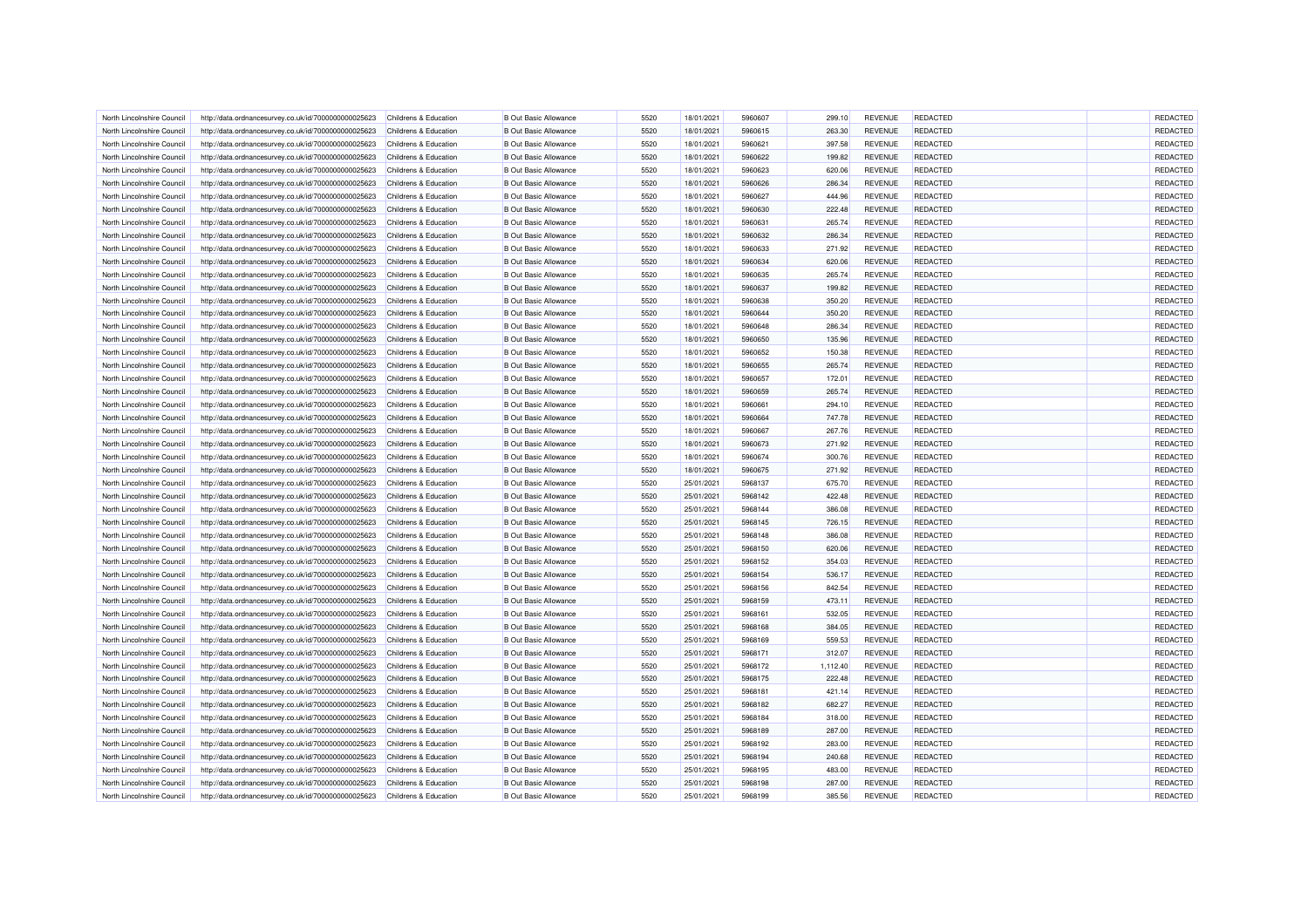| North Lincolnshire Council | http://data.ordnancesurvey.co.uk/id/7000000000025623 | Childrens & Education            | <b>B</b> Out Basic Allowance | 5520 | 18/01/2021 | 5960607 | 299.10   | <b>REVENUE</b> | REDACTED        | REDACTED |
|----------------------------|------------------------------------------------------|----------------------------------|------------------------------|------|------------|---------|----------|----------------|-----------------|----------|
| North Lincolnshire Council | http://data.ordnancesurvey.co.uk/id/7000000000025623 | Childrens & Education            | <b>B</b> Out Basic Allowance | 5520 | 18/01/2021 | 5960615 | 263.30   | <b>REVENUE</b> | REDACTED        | REDACTED |
|                            |                                                      |                                  |                              |      |            |         |          |                |                 |          |
| North Lincolnshire Council | http://data.ordnancesurvey.co.uk/id/7000000000025623 | Childrens & Education            | <b>B Out Basic Allowance</b> | 5520 | 18/01/2021 | 5960621 | 397.58   | <b>REVENUE</b> | <b>REDACTED</b> | REDACTED |
| North Lincolnshire Counci  | http://data.ordnancesurvey.co.uk/id/7000000000025623 | Childrens & Education            | <b>B</b> Out Basic Allowance | 5520 | 18/01/2021 | 5960622 | 199.82   | <b>REVENUE</b> | REDACTED        | REDACTED |
| North Lincolnshire Council | http://data.ordnancesurvey.co.uk/id/7000000000025623 | Childrens & Education            | <b>B</b> Out Basic Allowance | 5520 | 18/01/2021 | 5960623 | 620.06   | <b>REVENUE</b> | REDACTED        | REDACTED |
| North Lincolnshire Council | http://data.ordnancesurvey.co.uk/id/7000000000025623 | Childrens & Education            | <b>B</b> Out Basic Allowance | 5520 | 18/01/2021 | 5960626 | 286.34   | <b>REVENUE</b> | <b>REDACTED</b> | REDACTED |
| North Lincolnshire Council | http://data.ordnancesurvey.co.uk/id/7000000000025623 | Childrens & Education            | <b>B Out Basic Allowance</b> | 5520 | 18/01/2021 | 5960627 | 444.96   | <b>REVENUE</b> | <b>REDACTED</b> | REDACTED |
| North Lincolnshire Council | http://data.ordnancesurvey.co.uk/id/7000000000025623 | Childrens & Education            | <b>B</b> Out Basic Allowance | 5520 | 18/01/2021 | 5960630 | 222.48   | <b>REVENUE</b> | REDACTED        | REDACTED |
| North Lincolnshire Council | http://data.ordnancesurvey.co.uk/id/7000000000025623 | Childrens & Education            | <b>B Out Basic Allowance</b> | 5520 | 18/01/2021 | 5960631 | 265.74   | <b>REVENUE</b> | <b>REDACTED</b> | REDACTED |
| North Lincolnshire Council | http://data.ordnancesurvey.co.uk/id/7000000000025623 | Childrens & Education            | <b>B Out Basic Allowance</b> | 5520 | 18/01/2021 | 5960632 | 286.34   | <b>REVENUE</b> | REDACTED        | REDACTED |
| North Lincolnshire Council | http://data.ordnancesurvey.co.uk/id/7000000000025623 | Childrens & Education            | <b>B Out Basic Allowance</b> | 5520 | 18/01/2021 | 5960633 | 271.92   | <b>REVENUE</b> | <b>REDACTED</b> | REDACTED |
| North Lincolnshire Council | http://data.ordnancesurvey.co.uk/id/7000000000025623 | Childrens & Education            | <b>B Out Basic Allowance</b> | 5520 | 18/01/2021 | 5960634 | 620.06   | <b>REVENUE</b> | REDACTED        | REDACTED |
| North Lincolnshire Council | http://data.ordnancesurvey.co.uk/id/7000000000025623 | Childrens & Education            | <b>B Out Basic Allowance</b> | 5520 | 18/01/2021 | 5960635 | 265.74   | <b>REVENUE</b> | REDACTED        | REDACTED |
| North Lincolnshire Council | http://data.ordnancesurvey.co.uk/id/7000000000025623 | Childrens & Education            | <b>B Out Basic Allowance</b> | 5520 | 18/01/2021 | 5960637 | 199.82   | <b>REVENUE</b> | REDACTED        | REDACTED |
| North Lincolnshire Council | http://data.ordnancesurvey.co.uk/id/7000000000025623 | Childrens & Education            | <b>B Out Basic Allowance</b> | 5520 | 18/01/2021 | 5960638 | 350.20   | <b>REVENUE</b> | <b>REDACTED</b> | REDACTED |
| North Lincolnshire Council | http://data.ordnancesurvey.co.uk/id/7000000000025623 | Childrens & Education            | <b>B Out Basic Allowance</b> | 5520 | 18/01/2021 | 5960644 | 350.20   | <b>REVENUE</b> | REDACTED        | REDACTED |
| North Lincolnshire Council | http://data.ordnancesurvey.co.uk/id/7000000000025623 | Childrens & Education            | <b>B Out Basic Allowance</b> | 5520 | 18/01/2021 | 5960648 | 286.34   | <b>REVENUE</b> | <b>REDACTED</b> | REDACTED |
| North Lincolnshire Council | http://data.ordnancesurvey.co.uk/id/7000000000025623 | Childrens & Education            | <b>B Out Basic Allowance</b> | 5520 | 18/01/2021 | 5960650 | 135.96   | <b>REVENUE</b> | <b>REDACTED</b> | REDACTED |
| North Lincolnshire Council | http://data.ordnancesurvey.co.uk/id/7000000000025623 | Childrens & Education            | <b>B Out Basic Allowance</b> | 5520 | 18/01/2021 | 5960652 | 150.38   | <b>REVENUE</b> | <b>REDACTED</b> | REDACTED |
| North Lincolnshire Counci  | http://data.ordnancesurvey.co.uk/id/7000000000025623 | Childrens & Education            | <b>B Out Basic Allowance</b> | 5520 | 18/01/2021 | 5960655 | 265.74   | <b>REVENUE</b> | REDACTED        | REDACTED |
|                            |                                                      |                                  | <b>B Out Basic Allowance</b> | 5520 | 18/01/2021 | 5960657 |          | <b>REVENUE</b> | REDACTED        | REDACTED |
| North Lincolnshire Council | http://data.ordnancesurvey.co.uk/id/7000000000025623 | Childrens & Education            |                              |      |            |         | 172.01   |                |                 |          |
| North Lincolnshire Council | http://data.ordnancesurvey.co.uk/id/7000000000025623 | Childrens & Education            | <b>B Out Basic Allowance</b> | 5520 | 18/01/2021 | 5960659 | 265.74   | <b>REVENUE</b> | <b>REDACTED</b> | REDACTED |
| North Lincolnshire Council | http://data.ordnancesurvey.co.uk/id/7000000000025623 | Childrens & Education            | <b>B Out Basic Allowance</b> | 5520 | 18/01/2021 | 5960661 | 294.10   | <b>REVENUE</b> | <b>REDACTED</b> | REDACTED |
| North Lincolnshire Council | http://data.ordnancesurvey.co.uk/id/7000000000025623 | Childrens & Education            | <b>B Out Basic Allowance</b> | 5520 | 18/01/2021 | 5960664 | 747.78   | <b>REVENUE</b> | REDACTED        | REDACTED |
| North Lincolnshire Council | http://data.ordnancesurvey.co.uk/id/7000000000025623 | Childrens & Education            | <b>B Out Basic Allowance</b> | 5520 | 18/01/2021 | 5960667 | 267.76   | <b>REVENUE</b> | REDACTED        | REDACTED |
| North Lincolnshire Council | http://data.ordnancesurvey.co.uk/id/7000000000025623 | Childrens & Education            | <b>B Out Basic Allowance</b> | 5520 | 18/01/2021 | 5960673 | 271.92   | <b>REVENUE</b> | <b>REDACTED</b> | REDACTED |
| North Lincolnshire Council | http://data.ordnancesurvey.co.uk/id/7000000000025623 | Childrens & Education            | <b>B Out Basic Allowance</b> | 5520 | 18/01/2021 | 5960674 | 300.76   | <b>REVENUE</b> | REDACTED        | REDACTED |
| North Lincolnshire Council | http://data.ordnancesurvey.co.uk/id/7000000000025623 | Childrens & Education            | <b>B Out Basic Allowance</b> | 5520 | 18/01/2021 | 5960675 | 271.92   | <b>REVENUE</b> | REDACTED        | REDACTED |
| North Lincolnshire Council | http://data.ordnancesurvey.co.uk/id/7000000000025623 | Childrens & Education            | <b>B Out Basic Allowance</b> | 5520 | 25/01/2021 | 5968137 | 675.70   | <b>REVENUE</b> | REDACTED        | REDACTED |
| North Lincolnshire Council | http://data.ordnancesurvey.co.uk/id/7000000000025623 | Childrens & Education            | <b>B Out Basic Allowance</b> | 5520 | 25/01/2021 | 5968142 | 422.48   | <b>REVENUE</b> | REDACTED        | REDACTED |
| North Lincolnshire Council | http://data.ordnancesurvey.co.uk/id/7000000000025623 | Childrens & Education            | <b>B Out Basic Allowance</b> | 5520 | 25/01/2021 | 5968144 | 386.08   | <b>REVENUE</b> | REDACTED        | REDACTED |
| North Lincolnshire Council | http://data.ordnancesurvey.co.uk/id/7000000000025623 | Childrens & Education            | <b>B Out Basic Allowance</b> | 5520 | 25/01/2021 | 5968145 | 726.15   | <b>REVENUE</b> | REDACTED        | REDACTED |
| North Lincolnshire Council | http://data.ordnancesurvey.co.uk/id/7000000000025623 | Childrens & Education            | <b>B Out Basic Allowance</b> | 5520 | 25/01/2021 | 5968148 | 386.08   | <b>REVENUE</b> | <b>REDACTED</b> | REDACTED |
| North Lincolnshire Council | http://data.ordnancesurvey.co.uk/id/7000000000025623 | Childrens & Education            | <b>B Out Basic Allowance</b> | 5520 | 25/01/2021 | 5968150 | 620.06   | <b>REVENUE</b> | <b>REDACTED</b> | REDACTED |
| North Lincolnshire Council | http://data.ordnancesurvey.co.uk/id/7000000000025623 | Childrens & Education            | <b>B Out Basic Allowance</b> | 5520 | 25/01/2021 | 5968152 | 354.03   | <b>REVENUE</b> | REDACTED        | REDACTED |
| North Lincolnshire Council | http://data.ordnancesurvey.co.uk/id/7000000000025623 | <b>Childrens &amp; Education</b> | <b>B Out Basic Allowance</b> | 5520 | 25/01/2021 | 5968154 | 536.17   | <b>REVENUE</b> | <b>REDACTED</b> | REDACTED |
| North Lincolnshire Council | http://data.ordnancesurvey.co.uk/id/7000000000025623 | Childrens & Education            | <b>B Out Basic Allowance</b> | 5520 | 25/01/2021 | 5968156 | 842.54   | <b>REVENUE</b> | REDACTED        | REDACTED |
| North Lincolnshire Council | http://data.ordnancesurvey.co.uk/id/7000000000025623 | Childrens & Education            | <b>B Out Basic Allowance</b> | 5520 | 25/01/2021 | 5968159 | 473.11   | <b>REVENUE</b> | <b>REDACTED</b> | REDACTED |
| North Lincolnshire Council | http://data.ordnancesurvey.co.uk/id/7000000000025623 | Childrens & Education            | <b>B Out Basic Allowance</b> | 5520 | 25/01/2021 | 5968161 | 532.05   | <b>REVENUE</b> | REDACTED        | REDACTED |
| North Lincolnshire Council | http://data.ordnancesurvey.co.uk/id/7000000000025623 | Childrens & Education            | <b>B Out Basic Allowance</b> | 5520 | 25/01/2021 | 5968168 | 384.05   | <b>REVENUE</b> | REDACTED        | REDACTED |
|                            |                                                      |                                  |                              |      |            |         |          |                |                 | REDACTED |
| North Lincolnshire Council | http://data.ordnancesurvey.co.uk/id/7000000000025623 | Childrens & Education            | <b>B Out Basic Allowance</b> | 5520 | 25/01/2021 | 5968169 | 559.53   | <b>REVENUE</b> | REDACTED        |          |
| North Lincolnshire Council | http://data.ordnancesurvey.co.uk/id/7000000000025623 | Childrens & Education            | <b>B Out Basic Allowance</b> | 5520 | 25/01/2021 | 5968171 | 312.07   | <b>REVENUE</b> | <b>REDACTED</b> | REDACTED |
| North Lincolnshire Council | http://data.ordnancesurvey.co.uk/id/7000000000025623 | Childrens & Education            | <b>B Out Basic Allowance</b> | 5520 | 25/01/2021 | 5968172 | 1,112.40 | REVENUE        | REDACTED        | REDACTED |
| North Lincolnshire Council | http://data.ordnancesurvey.co.uk/id/7000000000025623 | Childrens & Education            | <b>B Out Basic Allowance</b> | 5520 | 25/01/2021 | 5968175 | 222.48   | <b>REVENUE</b> | <b>REDACTED</b> | REDACTED |
| North Lincolnshire Council | http://data.ordnancesurvey.co.uk/id/7000000000025623 | Childrens & Education            | <b>B Out Basic Allowance</b> | 5520 | 25/01/2021 | 5968181 | 421.14   | <b>REVENUE</b> | REDACTED        | REDACTED |
| North Lincolnshire Council | http://data.ordnancesurvey.co.uk/id/7000000000025623 | Childrens & Education            | <b>B Out Basic Allowance</b> | 5520 | 25/01/2021 | 5968182 | 682.27   | <b>REVENUE</b> | REDACTED        | REDACTED |
| North Lincolnshire Council | http://data.ordnancesurvey.co.uk/id/7000000000025623 | Childrens & Education            | <b>B Out Basic Allowance</b> | 5520 | 25/01/2021 | 5968184 | 318.00   | <b>REVENUE</b> | REDACTED        | REDACTED |
| North Lincolnshire Council | http://data.ordnancesurvey.co.uk/id/7000000000025623 | Childrens & Education            | <b>B Out Basic Allowance</b> | 5520 | 25/01/2021 | 5968189 | 287.00   | <b>REVENUE</b> | REDACTED        | REDACTED |
| North Lincolnshire Council | http://data.ordnancesurvey.co.uk/id/7000000000025623 | Childrens & Education            | <b>B Out Basic Allowance</b> | 5520 | 25/01/2021 | 5968192 | 283.00   | <b>REVENUE</b> | REDACTED        | REDACTED |
| North Lincolnshire Council | http://data.ordnancesurvey.co.uk/id/7000000000025623 | Childrens & Education            | <b>B Out Basic Allowance</b> | 5520 | 25/01/2021 | 5968194 | 240.68   | <b>REVENUE</b> | <b>REDACTED</b> | REDACTED |
| North Lincolnshire Council | http://data.ordnancesurvey.co.uk/id/7000000000025623 | Childrens & Education            | <b>B Out Basic Allowance</b> | 5520 | 25/01/2021 | 5968195 | 483.00   | REVENUE        | REDACTED        | REDACTED |
| North Lincolnshire Council | http://data.ordnancesurvey.co.uk/id/7000000000025623 | Childrens & Education            | <b>B Out Basic Allowance</b> | 5520 | 25/01/2021 | 5968198 | 287.00   | <b>REVENUE</b> | REDACTED        | REDACTED |
| North Lincolnshire Council | http://data.ordnancesurvey.co.uk/id/7000000000025623 | Childrens & Education            | <b>B Out Basic Allowance</b> | 5520 | 25/01/2021 | 5968199 | 385.56   | <b>REVENUE</b> | REDACTED        | REDACTED |
|                            |                                                      |                                  |                              |      |            |         |          |                |                 |          |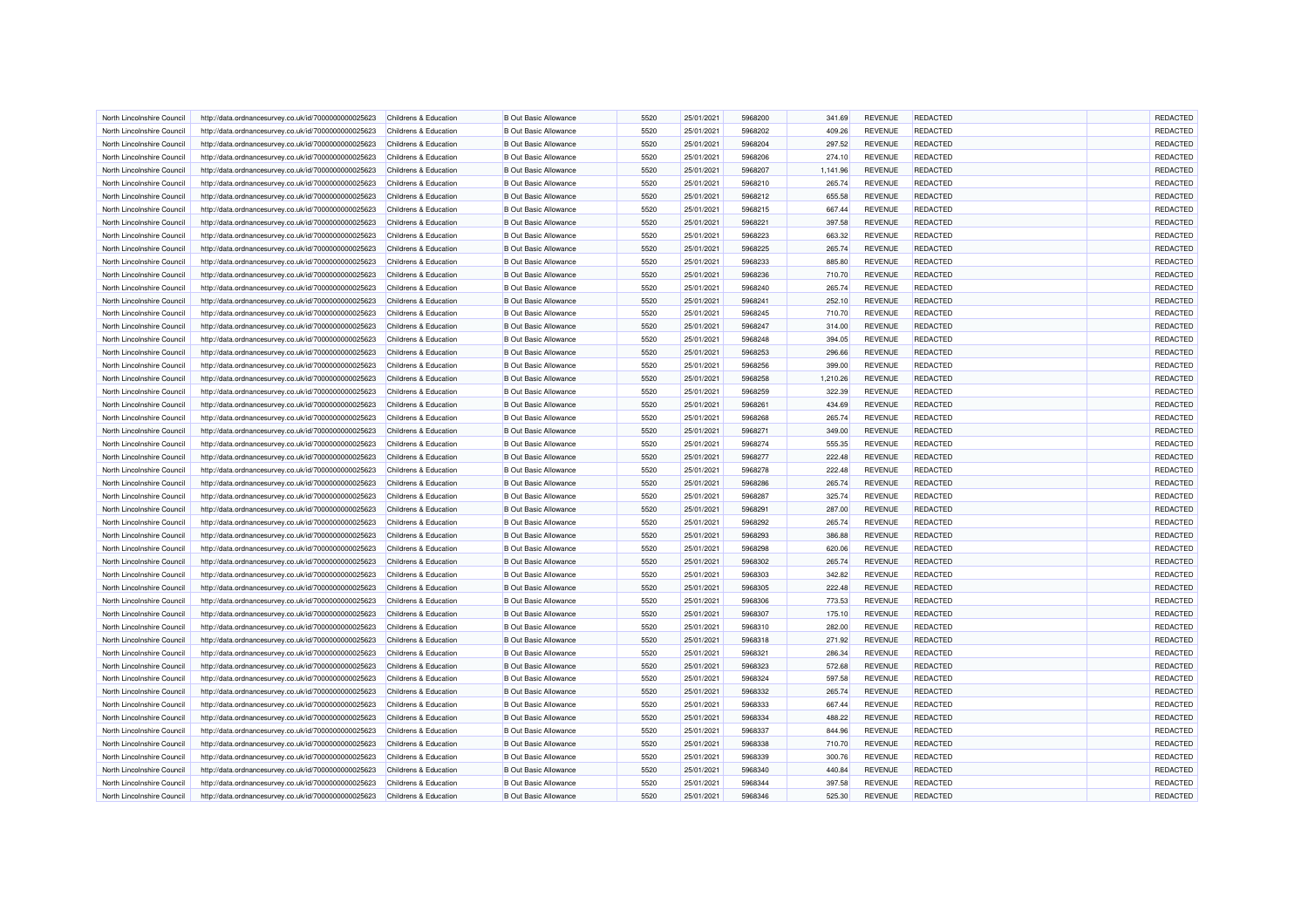| North Lincolnshire Council | http://data.ordnancesurvey.co.uk/id/7000000000025623 | Childrens & Education            | <b>B Out Basic Allowance</b> | 5520 | 25/01/2021 | 5968200 | 341.69   | <b>REVENUE</b> | REDACTED        | REDACTED |
|----------------------------|------------------------------------------------------|----------------------------------|------------------------------|------|------------|---------|----------|----------------|-----------------|----------|
| North Lincolnshire Council | http://data.ordnancesurvey.co.uk/id/7000000000025623 | Childrens & Education            | <b>B</b> Out Basic Allowance | 5520 | 25/01/2021 | 5968202 | 409.26   | <b>REVENUE</b> | REDACTED        | REDACTED |
| North Lincolnshire Council | http://data.ordnancesurvey.co.uk/id/7000000000025623 | Childrens & Education            | <b>B Out Basic Allowance</b> | 5520 | 25/01/2021 | 5968204 | 297.52   | <b>REVENUE</b> | <b>REDACTED</b> | REDACTED |
|                            |                                                      |                                  |                              |      |            |         |          |                |                 |          |
| North Lincolnshire Counci  | http://data.ordnancesurvey.co.uk/id/7000000000025623 | Childrens & Education            | <b>B</b> Out Basic Allowance | 5520 | 25/01/2021 | 5968206 | 274.10   | <b>REVENUE</b> | REDACTED        | REDACTED |
| North Lincolnshire Council | http://data.ordnancesurvey.co.uk/id/7000000000025623 | Childrens & Education            | <b>B</b> Out Basic Allowance | 5520 | 25/01/2021 | 5968207 | 1,141.96 | <b>REVENUE</b> | REDACTED        | REDACTED |
| North Lincolnshire Council | http://data.ordnancesurvey.co.uk/id/7000000000025623 | Childrens & Education            | <b>B Out Basic Allowance</b> | 5520 | 25/01/2021 | 5968210 | 265.74   | <b>REVENUE</b> | <b>REDACTED</b> | REDACTED |
| North Lincolnshire Council | http://data.ordnancesurvey.co.uk/id/7000000000025623 | Childrens & Education            | <b>B</b> Out Basic Allowance | 5520 | 25/01/2021 | 5968212 | 655.58   | <b>REVENUE</b> | <b>REDACTED</b> | REDACTED |
| North Lincolnshire Council | http://data.ordnancesurvey.co.uk/id/7000000000025623 | Childrens & Education            | <b>B</b> Out Basic Allowance | 5520 | 25/01/2021 | 5968215 | 667.44   | <b>REVENUE</b> | REDACTED        | REDACTED |
| North Lincolnshire Council | http://data.ordnancesurvey.co.uk/id/7000000000025623 | <b>Childrens &amp; Education</b> | <b>B Out Basic Allowance</b> | 5520 | 25/01/2021 | 5968221 | 397.58   | <b>REVENUE</b> | <b>REDACTED</b> | REDACTED |
| North Lincolnshire Council | http://data.ordnancesurvey.co.uk/id/7000000000025623 | Childrens & Education            | <b>B Out Basic Allowance</b> | 5520 | 25/01/2021 | 5968223 | 663.32   | <b>REVENUE</b> | REDACTED        | REDACTED |
| North Lincolnshire Council | http://data.ordnancesurvey.co.uk/id/7000000000025623 | Childrens & Education            | <b>B Out Basic Allowance</b> | 5520 | 25/01/2021 | 5968225 | 265.74   | <b>REVENUE</b> | <b>REDACTED</b> | REDACTED |
| North Lincolnshire Council | http://data.ordnancesurvey.co.uk/id/7000000000025623 | Childrens & Education            | <b>B Out Basic Allowance</b> | 5520 | 25/01/2021 | 5968233 | 885.80   | <b>REVENUE</b> | REDACTED        | REDACTED |
| North Lincolnshire Council | http://data.ordnancesurvey.co.uk/id/7000000000025623 | Childrens & Education            | <b>B Out Basic Allowance</b> | 5520 | 25/01/2021 | 5968236 | 710.70   | <b>REVENUE</b> | REDACTED        | REDACTED |
| North Lincolnshire Council | http://data.ordnancesurvey.co.uk/id/7000000000025623 | Childrens & Education            | <b>B Out Basic Allowance</b> | 5520 | 25/01/2021 | 5968240 | 265.74   | <b>REVENUE</b> | REDACTED        | REDACTED |
| North Lincolnshire Council | http://data.ordnancesurvey.co.uk/id/7000000000025623 | Childrens & Education            | <b>B Out Basic Allowance</b> | 5520 | 25/01/2021 | 5968241 | 252.10   | <b>REVENUE</b> | <b>REDACTED</b> | REDACTED |
| North Lincolnshire Council | http://data.ordnancesurvey.co.uk/id/7000000000025623 | Childrens & Education            | <b>B Out Basic Allowance</b> | 5520 | 25/01/2021 | 5968245 | 710.70   | <b>REVENUE</b> | REDACTED        | REDACTED |
| North Lincolnshire Council | http://data.ordnancesurvey.co.uk/id/7000000000025623 | Childrens & Education            | <b>B Out Basic Allowance</b> | 5520 | 25/01/2021 | 5968247 | 314.00   | <b>REVENUE</b> | <b>REDACTED</b> | REDACTED |
| North Lincolnshire Council | http://data.ordnancesurvey.co.uk/id/7000000000025623 | Childrens & Education            | <b>B Out Basic Allowance</b> | 5520 | 25/01/2021 | 5968248 | 394.05   | <b>REVENUE</b> | <b>REDACTED</b> | REDACTED |
| North Lincolnshire Council | http://data.ordnancesurvey.co.uk/id/7000000000025623 | Childrens & Education            | <b>B Out Basic Allowance</b> | 5520 | 25/01/2021 | 5968253 | 296.66   | <b>REVENUE</b> | <b>REDACTED</b> | REDACTED |
| North Lincolnshire Counci  | http://data.ordnancesurvey.co.uk/id/7000000000025623 | Childrens & Education            | <b>B Out Basic Allowance</b> | 5520 | 25/01/2021 | 5968256 | 399.00   | <b>REVENUE</b> | REDACTED        | REDACTED |
| North Lincolnshire Council | http://data.ordnancesurvey.co.uk/id/7000000000025623 | Childrens & Education            | <b>B Out Basic Allowance</b> | 5520 | 25/01/2021 | 5968258 | 1,210.26 | <b>REVENUE</b> | REDACTED        | REDACTED |
| North Lincolnshire Council | http://data.ordnancesurvey.co.uk/id/7000000000025623 | Childrens & Education            | <b>B Out Basic Allowance</b> | 5520 | 25/01/2021 | 5968259 | 322.39   | <b>REVENUE</b> | <b>REDACTED</b> | REDACTED |
| North Lincolnshire Council | http://data.ordnancesurvey.co.uk/id/7000000000025623 | Childrens & Education            | <b>B Out Basic Allowance</b> | 5520 | 25/01/2021 | 5968261 | 434.69   | <b>REVENUE</b> | <b>REDACTED</b> | REDACTED |
|                            |                                                      |                                  |                              |      |            |         |          |                |                 |          |
| North Lincolnshire Council | http://data.ordnancesurvey.co.uk/id/7000000000025623 | Childrens & Education            | <b>B Out Basic Allowance</b> | 5520 | 25/01/2021 | 5968268 | 265.74   | <b>REVENUE</b> | REDACTED        | REDACTED |
| North Lincolnshire Council | http://data.ordnancesurvey.co.uk/id/7000000000025623 | Childrens & Education            | <b>B Out Basic Allowance</b> | 5520 | 25/01/2021 | 5968271 | 349.00   | <b>REVENUE</b> | REDACTED        | REDACTED |
| North Lincolnshire Council | http://data.ordnancesurvey.co.uk/id/7000000000025623 | Childrens & Education            | <b>B Out Basic Allowance</b> | 5520 | 25/01/2021 | 5968274 | 555.35   | <b>REVENUE</b> | <b>REDACTED</b> | REDACTED |
| North Lincolnshire Council | http://data.ordnancesurvey.co.uk/id/7000000000025623 | Childrens & Education            | <b>B Out Basic Allowance</b> | 5520 | 25/01/2021 | 5968277 | 222.48   | <b>REVENUE</b> | <b>REDACTED</b> | REDACTED |
| North Lincolnshire Council | http://data.ordnancesurvey.co.uk/id/7000000000025623 | Childrens & Education            | <b>B Out Basic Allowance</b> | 5520 | 25/01/2021 | 5968278 | 222.48   | <b>REVENUE</b> | REDACTED        | REDACTED |
| North Lincolnshire Council | http://data.ordnancesurvey.co.uk/id/7000000000025623 | Childrens & Education            | <b>B Out Basic Allowance</b> | 5520 | 25/01/2021 | 5968286 | 265.74   | <b>REVENUE</b> | REDACTED        | REDACTED |
| North Lincolnshire Council | http://data.ordnancesurvey.co.uk/id/7000000000025623 | Childrens & Education            | <b>B Out Basic Allowance</b> | 5520 | 25/01/2021 | 5968287 | 325.74   | <b>REVENUE</b> | REDACTED        | REDACTED |
| North Lincolnshire Counci  | http://data.ordnancesurvey.co.uk/id/7000000000025623 | <b>Childrens &amp; Education</b> | <b>B Out Basic Allowance</b> | 5520 | 25/01/2021 | 5968291 | 287.00   | <b>REVENUE</b> | REDACTED        | REDACTED |
| North Lincolnshire Council | http://data.ordnancesurvey.co.uk/id/7000000000025623 | Childrens & Education            | <b>B Out Basic Allowance</b> | 5520 | 25/01/2021 | 5968292 | 265.74   | <b>REVENUE</b> | REDACTED        | REDACTED |
| North Lincolnshire Council | http://data.ordnancesurvey.co.uk/id/7000000000025623 | Childrens & Education            | <b>B Out Basic Allowance</b> | 5520 | 25/01/2021 | 5968293 | 386.88   | <b>REVENUE</b> | <b>REDACTED</b> | REDACTED |
| North Lincolnshire Council | http://data.ordnancesurvey.co.uk/id/7000000000025623 | Childrens & Education            | <b>B Out Basic Allowance</b> | 5520 | 25/01/2021 | 5968298 | 620.06   | <b>REVENUE</b> | <b>REDACTED</b> | REDACTED |
| North Lincolnshire Council | http://data.ordnancesurvey.co.uk/id/7000000000025623 | Childrens & Education            | <b>B Out Basic Allowance</b> | 5520 | 25/01/2021 | 5968302 | 265.74   | <b>REVENUE</b> | REDACTED        | REDACTED |
| North Lincolnshire Council | http://data.ordnancesurvey.co.uk/id/7000000000025623 | Childrens & Education            | <b>B Out Basic Allowance</b> | 5520 | 25/01/2021 | 5968303 | 342.82   | <b>REVENUE</b> | <b>REDACTED</b> | REDACTED |
| North Lincolnshire Council | http://data.ordnancesurvey.co.uk/id/7000000000025623 | Childrens & Education            | <b>B Out Basic Allowance</b> | 5520 | 25/01/2021 | 5968305 | 222.48   | <b>REVENUE</b> | <b>REDACTED</b> | REDACTED |
| North Lincolnshire Council | http://data.ordnancesurvey.co.uk/id/7000000000025623 | Childrens & Education            | <b>B Out Basic Allowance</b> | 5520 | 25/01/2021 | 5968306 | 773.53   | <b>REVENUE</b> | REDACTED        | REDACTED |
| North Lincolnshire Council | http://data.ordnancesurvey.co.uk/id/7000000000025623 | Childrens & Education            | <b>B Out Basic Allowance</b> | 5520 | 25/01/2021 | 5968307 | 175.10   | <b>REVENUE</b> | REDACTED        | REDACTED |
| North Lincolnshire Council | http://data.ordnancesurvey.co.uk/id/7000000000025623 | Childrens & Education            | <b>B Out Basic Allowance</b> | 5520 | 25/01/2021 | 5968310 | 282.00   | <b>REVENUE</b> | REDACTED        | REDACTED |
| North Lincolnshire Council | http://data.ordnancesurvey.co.uk/id/7000000000025623 | Childrens & Education            | <b>B Out Basic Allowance</b> | 5520 | 25/01/2021 | 5968318 | 271.92   | <b>REVENUE</b> | REDACTED        | REDACTED |
| North Lincolnshire Council | http://data.ordnancesurvey.co.uk/id/7000000000025623 | Childrens & Education            | <b>B Out Basic Allowance</b> | 5520 | 25/01/2021 | 5968321 | 286.34   | <b>REVENUE</b> | <b>REDACTED</b> | REDACTED |
| North Lincolnshire Council | http://data.ordnancesurvey.co.uk/id/7000000000025623 | Childrens & Education            | <b>B Out Basic Allowance</b> | 5520 | 25/01/2021 | 5968323 | 572.68   | <b>REVENUE</b> | REDACTED        | REDACTED |
| North Lincolnshire Council | http://data.ordnancesurvey.co.uk/id/7000000000025623 | Childrens & Education            | <b>B Out Basic Allowance</b> | 5520 | 25/01/2021 | 5968324 | 597.58   | <b>REVENUE</b> | <b>REDACTED</b> | REDACTED |
| North Lincolnshire Council | http://data.ordnancesurvey.co.uk/id/7000000000025623 | Childrens & Education            | <b>B Out Basic Allowance</b> | 5520 | 25/01/2021 | 5968332 | 265.74   | <b>REVENUE</b> | <b>REDACTED</b> | REDACTED |
|                            |                                                      |                                  |                              | 5520 | 25/01/2021 |         | 667.44   |                | REDACTED        | REDACTED |
| North Lincolnshire Council | http://data.ordnancesurvey.co.uk/id/7000000000025623 | Childrens & Education            | <b>B Out Basic Allowance</b> |      |            | 5968333 |          | <b>REVENUE</b> |                 |          |
| North Lincolnshire Council | http://data.ordnancesurvey.co.uk/id/7000000000025623 | Childrens & Education            | <b>B Out Basic Allowance</b> | 5520 | 25/01/2021 | 5968334 | 488.22   | <b>REVENUE</b> | REDACTED        | REDACTED |
| North Lincolnshire Council | http://data.ordnancesurvey.co.uk/id/7000000000025623 | Childrens & Education            | <b>B Out Basic Allowance</b> | 5520 | 25/01/2021 | 5968337 | 844.96   | <b>REVENUE</b> | REDACTED        | REDACTED |
| North Lincolnshire Council | http://data.ordnancesurvey.co.uk/id/7000000000025623 | Childrens & Education            | <b>B Out Basic Allowance</b> | 5520 | 25/01/2021 | 5968338 | 710.70   | <b>REVENUE</b> | <b>REDACTED</b> | REDACTED |
| North Lincolnshire Council | http://data.ordnancesurvey.co.uk/id/7000000000025623 | Childrens & Education            | <b>B Out Basic Allowance</b> | 5520 | 25/01/2021 | 5968339 | 300.76   | <b>REVENUE</b> | <b>REDACTED</b> | REDACTED |
| North Lincolnshire Council | http://data.ordnancesurvey.co.uk/id/7000000000025623 | Childrens & Education            | <b>B Out Basic Allowance</b> | 5520 | 25/01/2021 | 5968340 | 440.84   | REVENUE        | REDACTED        | REDACTED |
| North Lincolnshire Council | http://data.ordnancesurvey.co.uk/id/7000000000025623 | Childrens & Education            | <b>B Out Basic Allowance</b> | 5520 | 25/01/2021 | 5968344 | 397.58   | REVENUE        | REDACTED        | REDACTED |
| North Lincolnshire Council | http://data.ordnancesurvey.co.uk/id/7000000000025623 | Childrens & Education            | <b>B Out Basic Allowance</b> | 5520 | 25/01/2021 | 5968346 | 525.30   | <b>REVENUE</b> | REDACTED        | REDACTED |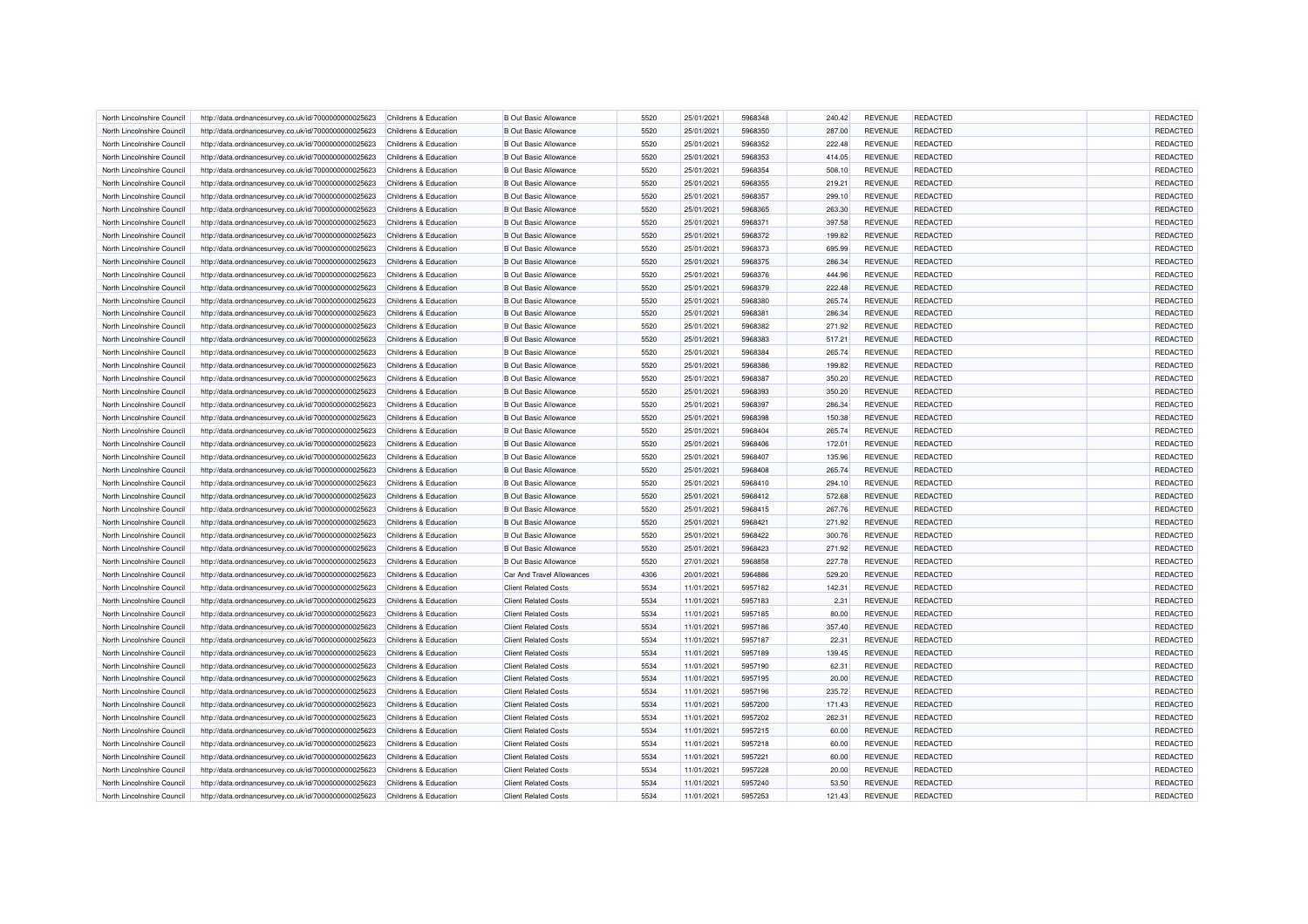| North Lincolnshire Council | http://data.ordnancesurvey.co.uk/id/7000000000025623 | Childrens & Education | B Out Basic Allowance            | 5520         | 25/01/2021 | 5968348 | 240.42 | <b>REVENUE</b> | <b>REDACTED</b> | REDACTED             |
|----------------------------|------------------------------------------------------|-----------------------|----------------------------------|--------------|------------|---------|--------|----------------|-----------------|----------------------|
| North Lincolnshire Council | http://data.ordnancesurvey.co.uk/id/7000000000025623 | Childrens & Education | <b>B</b> Out Basic Allowance     | 5520         | 25/01/2021 | 5968350 | 287.00 | <b>REVENUE</b> | REDACTED        | REDACTED             |
| North Lincolnshire Council | http://data.ordnancesurvey.co.uk/id/7000000000025623 | Childrens & Education | <b>B</b> Out Basic Allowance     | 5520         | 25/01/2021 | 5968352 | 222.48 | <b>REVENUE</b> | REDACTED        | REDACTED             |
| North Lincolnshire Council | http://data.ordnancesurvey.co.uk/id/7000000000025623 | Childrens & Education | <b>B Out Basic Allowance</b>     | 5520         | 25/01/2021 | 5968353 | 414.05 | <b>REVENUE</b> | <b>REDACTED</b> | REDACTED             |
| North Lincolnshire Council | http://data.ordnancesurvey.co.uk/id/7000000000025623 | Childrens & Education | <b>B</b> Out Basic Allowance     | 5520         | 25/01/2021 | 5968354 | 508.10 | <b>REVENUE</b> | REDACTED        | REDACTED             |
| North Lincolnshire Council | http://data.ordnancesurvey.co.uk/id/7000000000025623 | Childrens & Education | <b>B</b> Out Basic Allowance     | 5520         | 25/01/2021 | 5968355 | 219.21 | <b>REVENUE</b> | REDACTED        | REDACTED             |
| North Lincolnshire Council | http://data.ordnancesurvey.co.uk/id/7000000000025623 | Childrens & Education | <b>B</b> Out Basic Allowance     | 5520         | 25/01/2021 | 5968357 | 299.10 | <b>REVENUE</b> | <b>REDACTED</b> | REDACTED             |
| North Lincolnshire Council | http://data.ordnancesurvey.co.uk/id/7000000000025623 | Childrens & Education | <b>B</b> Out Basic Allowance     | 5520         | 25/01/2021 | 5968365 | 263.30 | <b>REVENUE</b> | REDACTED        | REDACTED             |
| North Lincolnshire Council | http://data.ordnancesurvey.co.uk/id/7000000000025623 | Childrens & Education | <b>B Out Basic Allowance</b>     | 5520         | 25/01/2021 | 5968371 | 397.58 | <b>REVENUE</b> | REDACTED        | REDACTED             |
| North Lincolnshire Counci  | http://data.ordnancesurvey.co.uk/id/7000000000025623 | Childrens & Education | <b>B Out Basic Allowance</b>     | 5520         | 25/01/2021 | 5968372 | 199.82 | <b>REVENUE</b> | <b>REDACTED</b> | REDACTED             |
| North Lincolnshire Council | http://data.ordnancesurvey.co.uk/id/7000000000025623 | Childrens & Education | <b>B Out Basic Allowance</b>     | 5520         | 25/01/2021 | 5968373 | 695.99 | <b>REVENUE</b> | <b>REDACTED</b> | REDACTED             |
| North Lincolnshire Council | http://data.ordnancesurvey.co.uk/id/7000000000025623 | Childrens & Education | <b>B Out Basic Allowance</b>     | 5520         | 25/01/2021 | 5968375 | 286.34 | <b>REVENUE</b> | <b>REDACTED</b> | REDACTED             |
| North Lincolnshire Council | http://data.ordnancesurvey.co.uk/id/7000000000025623 | Childrens & Education | <b>B Out Basic Allowance</b>     | 5520         | 25/01/2021 | 5968376 | 444.96 | <b>REVENUE</b> | REDACTED        | REDACTED             |
| North Lincolnshire Council | http://data.ordnancesurvey.co.uk/id/7000000000025623 | Childrens & Education | <b>B Out Basic Allowance</b>     | 5520         | 25/01/2021 | 5968379 | 222.48 | <b>REVENUE</b> | <b>REDACTED</b> | REDACTED             |
| North Lincolnshire Council | http://data.ordnancesurvey.co.uk/id/7000000000025623 | Childrens & Education | <b>B Out Basic Allowance</b>     | 5520         | 25/01/2021 | 5968380 | 265.74 | <b>REVENUE</b> | REDACTED        | REDACTED             |
| North Lincolnshire Council | http://data.ordnancesurvey.co.uk/id/7000000000025623 | Childrens & Education | <b>B Out Basic Allowance</b>     | 5520         | 25/01/2021 | 5968381 | 286.34 | <b>REVENUE</b> | REDACTED        | REDACTED             |
| North Lincolnshire Council | http://data.ordnancesurvey.co.uk/id/7000000000025623 | Childrens & Education | <b>B Out Basic Allowance</b>     | 5520         | 25/01/2021 | 5968382 | 271.92 | <b>REVENUE</b> | REDACTED        | REDACTED             |
| North Lincolnshire Council | http://data.ordnancesurvey.co.uk/id/7000000000025623 | Childrens & Education | <b>B Out Basic Allowance</b>     | 5520         | 25/01/2021 | 5968383 | 517.21 | <b>REVENUE</b> | <b>REDACTED</b> | REDACTED             |
| North Lincolnshire Council | http://data.ordnancesurvey.co.uk/id/7000000000025623 | Childrens & Education | <b>B Out Basic Allowance</b>     | 5520         | 25/01/2021 | 5968384 | 265.74 | <b>REVENUE</b> | REDACTED        | REDACTED             |
| North Lincolnshire Council | http://data.ordnancesurvey.co.uk/id/7000000000025623 | Childrens & Education | <b>B Out Basic Allowance</b>     | 5520         | 25/01/2021 | 5968386 | 199.82 | <b>REVENUE</b> | <b>REDACTED</b> | REDACTED             |
| North Lincolnshire Council | http://data.ordnancesurvey.co.uk/id/7000000000025623 | Childrens & Education | <b>B Out Basic Allowance</b>     | 5520         | 25/01/2021 | 5968387 | 350.20 | <b>REVENUE</b> | REDACTED        | REDACTED             |
| North Lincolnshire Council | http://data.ordnancesurvey.co.uk/id/7000000000025623 | Childrens & Education | <b>B Out Basic Allowance</b>     | 5520         | 25/01/2021 | 5968393 | 350.20 | <b>REVENUE</b> | REDACTED        | REDACTED             |
| North Lincolnshire Council | http://data.ordnancesurvey.co.uk/id/7000000000025623 | Childrens & Education | <b>B Out Basic Allowance</b>     | 5520         | 25/01/2021 | 5968397 | 286.34 | <b>REVENUE</b> | REDACTED        | REDACTED             |
| North Lincolnshire Council | http://data.ordnancesurvey.co.uk/id/7000000000025623 | Childrens & Education | <b>B Out Basic Allowance</b>     | 5520         | 25/01/2021 | 5968398 | 150.38 | <b>REVENUE</b> | REDACTED        | REDACTED             |
| North Lincolnshire Council | http://data.ordnancesurvey.co.uk/id/7000000000025623 | Childrens & Education | <b>B Out Basic Allowance</b>     | 5520         | 25/01/2021 | 5968404 | 265.74 | <b>REVENUE</b> | REDACTED        | REDACTED             |
|                            |                                                      |                       |                                  |              |            |         |        |                |                 |                      |
| North Lincolnshire Counci  | http://data.ordnancesurvey.co.uk/id/7000000000025623 | Childrens & Education | <b>B Out Basic Allowance</b>     | 5520<br>5520 | 25/01/2021 | 5968406 | 172.01 | <b>REVENUE</b> | REDACTED        | REDACTED<br>REDACTED |
| North Lincolnshire Council | http://data.ordnancesurvey.co.uk/id/7000000000025623 | Childrens & Education | <b>B Out Basic Allowance</b>     | 5520         | 25/01/2021 | 5968407 | 135.96 | REVENUE        | REDACTED        |                      |
| North Lincolnshire Council | http://data.ordnancesurvey.co.uk/id/7000000000025623 | Childrens & Education | <b>B Out Basic Allowance</b>     |              | 25/01/2021 | 5968408 | 265.74 | <b>REVENUE</b> | REDACTED        | REDACTED             |
| North Lincolnshire Council | http://data.ordnancesurvey.co.uk/id/7000000000025623 | Childrens & Education | <b>B Out Basic Allowance</b>     | 5520         | 25/01/2021 | 5968410 | 294.10 | <b>REVENUE</b> | <b>REDACTED</b> | REDACTED             |
| North Lincolnshire Council | http://data.ordnancesurvey.co.uk/id/7000000000025623 | Childrens & Education | <b>B Out Basic Allowance</b>     | 5520         | 25/01/2021 | 5968412 | 572.68 | <b>REVENUE</b> | REDACTED        | REDACTED             |
| North Lincolnshire Council | http://data.ordnancesurvey.co.uk/id/7000000000025623 | Childrens & Education | <b>B Out Basic Allowance</b>     | 5520         | 25/01/2021 | 5968415 | 267.76 | <b>REVENUE</b> | REDACTED        | REDACTED             |
| North Lincolnshire Council | http://data.ordnancesurvey.co.uk/id/7000000000025623 | Childrens & Education | <b>B Out Basic Allowance</b>     | 5520         | 25/01/2021 | 5968421 | 271.92 | <b>REVENUE</b> | <b>REDACTED</b> | REDACTED             |
| North Lincolnshire Council | http://data.ordnancesurvey.co.uk/id/7000000000025623 | Childrens & Education | <b>B Out Basic Allowance</b>     | 5520         | 25/01/2021 | 5968422 | 300.76 | <b>REVENUE</b> | REDACTED        | REDACTED             |
| North Lincolnshire Council | http://data.ordnancesurvey.co.uk/id/7000000000025623 | Childrens & Education | <b>B Out Basic Allowance</b>     | 5520         | 25/01/2021 | 5968423 | 271.92 | <b>REVENUE</b> | REDACTED        | REDACTED             |
| North Lincolnshire Council | http://data.ordnancesurvey.co.uk/id/7000000000025623 | Childrens & Education | <b>B Out Basic Allowance</b>     | 5520         | 27/01/2021 | 5968858 | 227.78 | <b>REVENUE</b> | REDACTED        | REDACTED             |
| North Lincolnshire Council | http://data.ordnancesurvey.co.uk/id/7000000000025623 | Childrens & Education | <b>Car And Travel Allowances</b> | 4306         | 20/01/2021 | 5964886 | 529.20 | <b>REVENUE</b> | <b>REDACTED</b> | REDACTED             |
| North Lincolnshire Council | http://data.ordnancesurvey.co.uk/id/7000000000025623 | Childrens & Education | <b>Client Related Costs</b>      | 5534         | 11/01/2021 | 5957182 | 142.31 | <b>REVENUE</b> | <b>REDACTED</b> | REDACTED             |
| North Lincolnshire Council | http://data.ordnancesurvey.co.uk/id/7000000000025623 | Childrens & Education | <b>Client Related Costs</b>      | 5534         | 11/01/2021 | 5957183 | 2.31   | <b>REVENUE</b> | REDACTED        | REDACTED             |
| North Lincolnshire Council | http://data.ordnancesurvey.co.uk/id/7000000000025623 | Childrens & Education | <b>Client Related Costs</b>      | 5534         | 11/01/2021 | 5957185 | 80.00  | <b>REVENUE</b> | REDACTED        | REDACTED             |
| North Lincolnshire Council | http://data.ordnancesurvey.co.uk/id/7000000000025623 | Childrens & Education | <b>Client Related Costs</b>      | 5534         | 11/01/2021 | 5957186 | 357.40 | <b>REVENUE</b> | REDACTED        | REDACTED             |
| North Lincolnshire Council | http://data.ordnancesurvey.co.uk/id/7000000000025623 | Childrens & Education | <b>Client Related Costs</b>      | 5534         | 11/01/2021 | 5957187 | 22.31  | <b>REVENUE</b> | REDACTED        | REDACTED             |
| North Lincolnshire Council | http://data.ordnancesurvey.co.uk/id/7000000000025623 | Childrens & Education | <b>Client Related Costs</b>      | 5534         | 11/01/2021 | 5957189 | 139.45 | <b>REVENUE</b> | <b>REDACTED</b> | REDACTED             |
| North Lincolnshire Council | http://data.ordnancesurvey.co.uk/id/7000000000025623 | Childrens & Education | <b>Client Related Costs</b>      | 5534         | 11/01/2021 | 5957190 | 62.31  | <b>REVENUE</b> | <b>REDACTED</b> | REDACTED             |
| North Lincolnshire Council | http://data.ordnancesurvey.co.uk/id/7000000000025623 | Childrens & Education | <b>Client Related Costs</b>      | 5534         | 11/01/2021 | 5957195 | 20.00  | <b>REVENUE</b> | <b>REDACTED</b> | REDACTED             |
| North Lincolnshire Council | http://data.ordnancesurvey.co.uk/id/7000000000025623 | Childrens & Education | <b>Client Related Costs</b>      | 5534         | 11/01/2021 | 5957196 | 235.72 | <b>REVENUE</b> | REDACTED        | REDACTED             |
| North Lincolnshire Council | http://data.ordnancesurvey.co.uk/id/7000000000025623 | Childrens & Education | <b>Client Related Costs</b>      | 5534         | 11/01/2021 | 5957200 | 171.43 | <b>REVENUE</b> | REDACTED        | REDACTED             |
| North Lincolnshire Council | http://data.ordnancesurvey.co.uk/id/7000000000025623 | Childrens & Education | <b>Client Related Costs</b>      | 5534         | 11/01/2021 | 5957202 | 262.31 | <b>REVENUE</b> | REDACTED        | REDACTED             |
| North Lincolnshire Council | http://data.ordnancesurvey.co.uk/id/7000000000025623 | Childrens & Education | <b>Client Related Costs</b>      | 5534         | 11/01/2021 | 5957215 | 60.00  | <b>REVENUE</b> | REDACTED        | REDACTED             |
| North Lincolnshire Council | http://data.ordnancesurvey.co.uk/id/7000000000025623 | Childrens & Education | <b>Client Related Costs</b>      | 5534         | 11/01/2021 | 5957218 | 60.00  | <b>REVENUE</b> | REDACTED        | REDACTED             |
| North Lincolnshire Council | http://data.ordnancesurvey.co.uk/id/7000000000025623 | Childrens & Education | <b>Client Related Costs</b>      | 5534         | 11/01/2021 | 5957221 | 60.00  | <b>REVENUE</b> | <b>REDACTED</b> | REDACTED             |
| North Lincolnshire Council | http://data.ordnancesurvey.co.uk/id/7000000000025623 | Childrens & Education | <b>Client Related Costs</b>      | 5534         | 11/01/2021 | 5957228 | 20.00  | REVENUE        | REDACTED        | REDACTED             |
| North Lincolnshire Council | http://data.ordnancesurvey.co.uk/id/7000000000025623 | Childrens & Education | <b>Client Related Costs</b>      | 5534         | 11/01/2021 | 5957240 | 53.50  | REVENUE        | REDACTED        | REDACTED             |
| North Lincolnshire Council | http://data.ordnancesurvey.co.uk/id/7000000000025623 | Childrens & Education | <b>Client Related Costs</b>      | 5534         | 11/01/2021 | 5957253 | 121.43 | <b>REVENUE</b> | <b>REDACTED</b> | REDACTED             |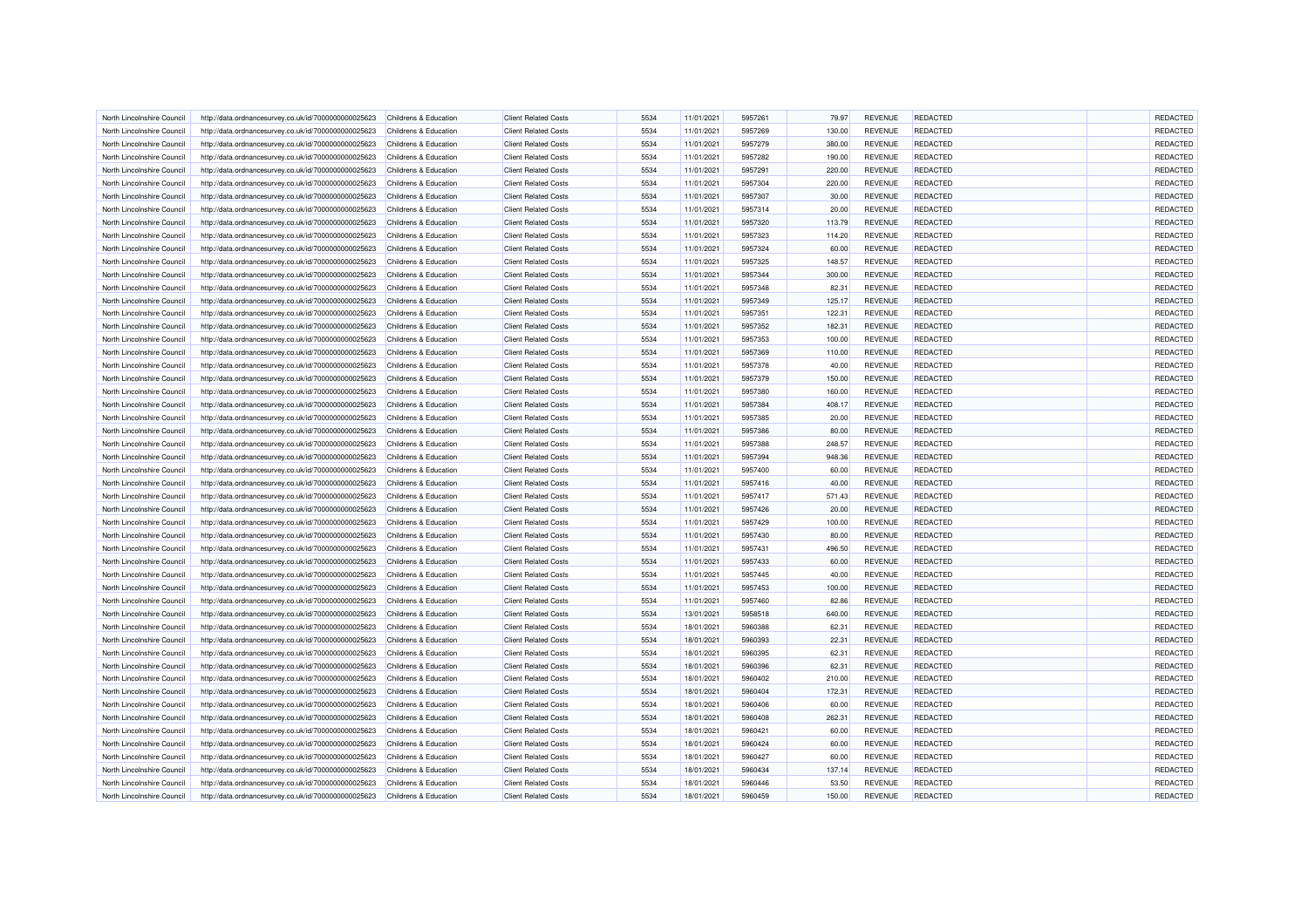| North Lincolnshire Council | http://data.ordnancesurvey.co.uk/id/7000000000025623 | Childrens & Education | <b>Client Related Costs</b> | 5534 | 11/01/2021 | 5957261            | 79.97  | <b>REVENUE</b> | <b>REDACTED</b> | REDACTED |
|----------------------------|------------------------------------------------------|-----------------------|-----------------------------|------|------------|--------------------|--------|----------------|-----------------|----------|
| North Lincolnshire Council | http://data.ordnancesurvey.co.uk/id/7000000000025623 | Childrens & Education | <b>Client Related Costs</b> | 5534 | 11/01/2021 | 5957269            | 130.00 | <b>REVENUE</b> | REDACTED        | REDACTED |
| North Lincolnshire Council | http://data.ordnancesurvey.co.uk/id/7000000000025623 | Childrens & Education | <b>Client Related Costs</b> | 5534 | 11/01/2021 | 5957279            | 380.00 | <b>REVENUE</b> | <b>REDACTED</b> | REDACTED |
| North Lincolnshire Counci  | http://data.ordnancesurvey.co.uk/id/7000000000025623 | Childrens & Education | <b>Client Related Costs</b> | 5534 | 11/01/2021 | 5957282            | 190.00 | <b>REVENUE</b> | REDACTED        | REDACTED |
| North Lincolnshire Council | http://data.ordnancesurvey.co.uk/id/7000000000025623 | Childrens & Education | <b>Client Related Costs</b> | 5534 | 11/01/2021 | 5957291            | 220.00 | <b>REVENUE</b> | REDACTED        | REDACTED |
| North Lincolnshire Council | http://data.ordnancesurvey.co.uk/id/7000000000025623 | Childrens & Education | <b>Client Related Costs</b> | 5534 | 11/01/2021 | 5957304            | 220.00 | <b>REVENUE</b> | <b>REDACTED</b> | REDACTED |
| North Lincolnshire Council | http://data.ordnancesurvey.co.uk/id/7000000000025623 | Childrens & Education | <b>Client Related Costs</b> | 5534 | 11/01/2021 | 5957307            | 30.00  | <b>REVENUE</b> | <b>REDACTED</b> | REDACTED |
| North Lincolnshire Council | http://data.ordnancesurvey.co.uk/id/7000000000025623 | Childrens & Education | <b>Client Related Costs</b> | 5534 | 11/01/2021 | 5957314            | 20.00  | <b>REVENUE</b> | REDACTED        | REDACTED |
| North Lincolnshire Council | http://data.ordnancesurvey.co.uk/id/7000000000025623 | Childrens & Education | <b>Client Related Costs</b> | 5534 | 11/01/2021 | 5957320            | 113.79 | <b>REVENUE</b> | <b>REDACTED</b> | REDACTED |
| North Lincolnshire Council | http://data.ordnancesurvey.co.uk/id/7000000000025623 | Childrens & Education | <b>Client Related Costs</b> | 5534 | 11/01/2021 | 5957323            | 114.20 | <b>REVENUE</b> | REDACTED        | REDACTED |
| North Lincolnshire Council | http://data.ordnancesurvey.co.uk/id/7000000000025623 | Childrens & Education | <b>Client Related Costs</b> | 5534 | 11/01/2021 | 5957324            | 60.00  | <b>REVENUE</b> | <b>REDACTED</b> | REDACTED |
| North Lincolnshire Council | http://data.ordnancesurvey.co.uk/id/7000000000025623 | Childrens & Education | <b>Client Related Costs</b> | 5534 | 11/01/2021 | 5957325            | 148.57 | <b>REVENUE</b> | <b>REDACTED</b> | REDACTED |
| North Lincolnshire Council | http://data.ordnancesurvey.co.uk/id/7000000000025623 | Childrens & Education | <b>Client Related Costs</b> | 5534 | 11/01/2021 | 5957344            | 300.00 | <b>REVENUE</b> | REDACTED        | REDACTED |
| North Lincolnshire Council | http://data.ordnancesurvey.co.uk/id/7000000000025623 | Childrens & Education | <b>Client Related Costs</b> | 5534 | 11/01/2021 | 5957348            | 82.31  | <b>REVENUE</b> | <b>REDACTED</b> | REDACTED |
| North Lincolnshire Council | http://data.ordnancesurvey.co.uk/id/7000000000025623 | Childrens & Education | <b>Client Related Costs</b> | 5534 | 11/01/2021 | 5957349            | 125.17 | <b>REVENUE</b> | <b>REDACTED</b> | REDACTED |
| North Lincolnshire Council | http://data.ordnancesurvey.co.uk/id/7000000000025623 | Childrens & Education | <b>Client Related Costs</b> | 5534 | 11/01/2021 | 5957351            | 122.31 | <b>REVENUE</b> | REDACTED        | REDACTED |
| North Lincolnshire Council | http://data.ordnancesurvey.co.uk/id/7000000000025623 | Childrens & Education | <b>Client Related Costs</b> | 5534 | 11/01/2021 | 5957352            | 182.31 | <b>REVENUE</b> | REDACTED        | REDACTED |
| North Lincolnshire Council | http://data.ordnancesurvey.co.uk/id/7000000000025623 | Childrens & Education | <b>Client Related Costs</b> | 5534 | 11/01/2021 | 5957353            | 100.00 | <b>REVENUE</b> | <b>REDACTED</b> | REDACTED |
| North Lincolnshire Council | http://data.ordnancesurvey.co.uk/id/7000000000025623 | Childrens & Education | <b>Client Related Costs</b> | 5534 | 11/01/2021 | 5957369            | 110.00 | <b>REVENUE</b> | REDACTED        | REDACTED |
| North Lincolnshire Counci  | http://data.ordnancesurvey.co.uk/id/7000000000025623 | Childrens & Education | <b>Client Related Costs</b> | 5534 | 11/01/2021 | 5957378            | 40.00  | <b>REVENUE</b> | REDACTED        | REDACTED |
|                            |                                                      |                       |                             | 5534 | 11/01/2021 | 5957379            |        | <b>REVENUE</b> | REDACTED        | REDACTED |
| North Lincolnshire Council | http://data.ordnancesurvey.co.uk/id/7000000000025623 | Childrens & Education | <b>Client Related Costs</b> |      |            |                    | 150.00 |                |                 |          |
| North Lincolnshire Council | http://data.ordnancesurvey.co.uk/id/7000000000025623 | Childrens & Education | <b>Client Related Costs</b> | 5534 | 11/01/2021 | 5957380            | 160.00 | <b>REVENUE</b> | <b>REDACTED</b> | REDACTED |
| North Lincolnshire Council | http://data.ordnancesurvey.co.uk/id/7000000000025623 | Childrens & Education | <b>Client Related Costs</b> | 5534 | 11/01/2021 | 5957384            | 408.17 | <b>REVENUE</b> | <b>REDACTED</b> | REDACTED |
| North Lincolnshire Council | http://data.ordnancesurvey.co.uk/id/7000000000025623 | Childrens & Education | <b>Client Related Costs</b> | 5534 | 11/01/2021 | 5957385            | 20.00  | <b>REVENUE</b> | REDACTED        | REDACTED |
| North Lincolnshire Council | http://data.ordnancesurvey.co.uk/id/7000000000025623 | Childrens & Education | <b>Client Related Costs</b> | 5534 | 11/01/2021 | 5957386            | 80.00  | <b>REVENUE</b> | REDACTED        | REDACTED |
| North Lincolnshire Counci  | http://data.ordnancesurvey.co.uk/id/7000000000025623 | Childrens & Education | <b>Client Related Costs</b> | 5534 | 11/01/2021 | 5957388            | 248.57 | <b>REVENUE</b> | <b>REDACTED</b> | REDACTED |
| North Lincolnshire Council | http://data.ordnancesurvey.co.uk/id/7000000000025623 | Childrens & Education | <b>Client Related Costs</b> | 5534 | 11/01/2021 | 5957394            | 948.36 | <b>REVENUE</b> | <b>REDACTED</b> | REDACTED |
| North Lincolnshire Council | http://data.ordnancesurvey.co.uk/id/7000000000025623 | Childrens & Education | <b>Client Related Costs</b> | 5534 | 11/01/2021 | 5957400            | 60.00  | <b>REVENUE</b> | <b>REDACTED</b> | REDACTED |
| North Lincolnshire Council | http://data.ordnancesurvey.co.uk/id/7000000000025623 | Childrens & Education | <b>Client Related Costs</b> | 5534 | 11/01/2021 | 5957416            | 40.00  | <b>REVENUE</b> | REDACTED        | REDACTED |
| North Lincolnshire Council | http://data.ordnancesurvey.co.uk/id/7000000000025623 | Childrens & Education | <b>Client Related Costs</b> | 5534 | 11/01/2021 | 5957417            | 571.43 | <b>REVENUE</b> | <b>REDACTED</b> | REDACTED |
| North Lincolnshire Counci  | http://data.ordnancesurvey.co.uk/id/7000000000025623 | Childrens & Education | <b>Client Related Costs</b> | 5534 | 11/01/2021 | 5957426            | 20.00  | <b>REVENUE</b> | REDACTED        | REDACTED |
| North Lincolnshire Council | http://data.ordnancesurvey.co.uk/id/7000000000025623 | Childrens & Education | <b>Client Related Costs</b> | 5534 | 11/01/2021 | 5957429            | 100.00 | <b>REVENUE</b> | REDACTED        | REDACTED |
| North Lincolnshire Council | http://data.ordnancesurvey.co.uk/id/7000000000025623 | Childrens & Education | <b>Client Related Costs</b> | 5534 | 11/01/2021 | 5957430            | 80.00  | <b>REVENUE</b> | <b>REDACTED</b> | REDACTED |
| North Lincolnshire Council | http://data.ordnancesurvey.co.uk/id/7000000000025623 | Childrens & Education | <b>Client Related Costs</b> | 5534 | 11/01/2021 | 5957431            | 496.50 | REVENUE        | <b>REDACTED</b> | REDACTED |
| North Lincolnshire Council | http://data.ordnancesurvey.co.uk/id/7000000000025623 | Childrens & Education | <b>Client Related Costs</b> | 5534 | 11/01/2021 | 5957433            | 60.00  | <b>REVENUE</b> | REDACTED        | REDACTED |
| North Lincolnshire Council | http://data.ordnancesurvey.co.uk/id/7000000000025623 | Childrens & Education | <b>Client Related Costs</b> | 5534 | 11/01/2021 | 5957445            | 40.00  | <b>REVENUE</b> | <b>REDACTED</b> | REDACTED |
| North Lincolnshire Council | http://data.ordnancesurvey.co.uk/id/7000000000025623 | Childrens & Education | <b>Client Related Costs</b> | 5534 | 11/01/2021 | 5957453            | 100.00 | <b>REVENUE</b> | REDACTED        | REDACTED |
| North Lincolnshire Council | http://data.ordnancesurvey.co.uk/id/7000000000025623 | Childrens & Education | <b>Client Related Costs</b> | 5534 | 11/01/2021 | 5957460            | 82.86  | <b>REVENUE</b> | <b>REDACTED</b> | REDACTED |
| North Lincolnshire Council | http://data.ordnancesurvey.co.uk/id/7000000000025623 | Childrens & Education | <b>Client Related Costs</b> | 5534 | 13/01/2021 | 5958518            | 640.00 | <b>REVENUE</b> | REDACTED        | REDACTED |
| North Lincolnshire Council | http://data.ordnancesurvey.co.uk/id/7000000000025623 | Childrens & Education | <b>Client Related Costs</b> | 5534 | 18/01/2021 | 5960388            | 62.31  | <b>REVENUE</b> | REDACTED        | REDACTED |
| North Lincolnshire Council | http://data.ordnancesurvey.co.uk/id/7000000000025623 | Childrens & Education | <b>Client Related Costs</b> | 5534 | 18/01/2021 | 5960393            | 22.31  | <b>REVENUE</b> | REDACTED        | REDACTED |
| North Lincolnshire Council | http://data.ordnancesurvey.co.uk/id/7000000000025623 | Childrens & Education | <b>Client Related Costs</b> | 5534 | 18/01/2021 | 5960395            | 62.31  | <b>REVENUE</b> | <b>REDACTED</b> | REDACTED |
| North Lincolnshire Council | http://data.ordnancesurvey.co.uk/id/7000000000025623 | Childrens & Education | <b>Client Related Costs</b> | 5534 | 18/01/2021 | 5960396            | 62.31  | <b>REVENUE</b> | REDACTED        | REDACTED |
| North Lincolnshire Council | http://data.ordnancesurvey.co.uk/id/7000000000025623 | Childrens & Education | <b>Client Related Costs</b> | 5534 | 18/01/2021 | 5960402            | 210.00 | <b>REVENUE</b> | <b>REDACTED</b> | REDACTED |
| North Lincolnshire Council | http://data.ordnancesurvey.co.uk/id/7000000000025623 | Childrens & Education | <b>Client Related Costs</b> | 5534 | 18/01/2021 | 5960404            | 172.31 | <b>REVENUE</b> | REDACTED        | REDACTED |
|                            |                                                      |                       |                             | 5534 |            |                    |        |                | REDACTED        |          |
| North Lincolnshire Council | http://data.ordnancesurvey.co.uk/id/7000000000025623 | Childrens & Education | <b>Client Related Costs</b> |      | 18/01/2021 | 5960406<br>5960408 | 60.00  | <b>REVENUE</b> |                 | REDACTED |
| North Lincolnshire Counci  | http://data.ordnancesurvey.co.uk/id/7000000000025623 | Childrens & Education | <b>Client Related Costs</b> | 5534 | 18/01/2021 |                    | 262.31 | <b>REVENUE</b> | REDACTED        | REDACTED |
| North Lincolnshire Council | http://data.ordnancesurvey.co.uk/id/7000000000025623 | Childrens & Education | <b>Client Related Costs</b> | 5534 | 18/01/2021 | 5960421            | 60.00  | <b>REVENUE</b> | REDACTED        | REDACTED |
| North Lincolnshire Council | http://data.ordnancesurvey.co.uk/id/7000000000025623 | Childrens & Education | <b>Client Related Costs</b> | 5534 | 18/01/2021 | 5960424            | 60.00  | <b>REVENUE</b> | <b>REDACTED</b> | REDACTED |
| North Lincolnshire Council | http://data.ordnancesurvey.co.uk/id/7000000000025623 | Childrens & Education | <b>Client Related Costs</b> | 5534 | 18/01/2021 | 5960427            | 60.00  | <b>REVENUE</b> | <b>REDACTED</b> | REDACTED |
| North Lincolnshire Counci  | http://data.ordnancesurvey.co.uk/id/7000000000025623 | Childrens & Education | <b>Client Related Costs</b> | 5534 | 18/01/2021 | 5960434            | 137.14 | REVENUE        | REDACTED        | REDACTED |
| North Lincolnshire Council | http://data.ordnancesurvey.co.uk/id/7000000000025623 | Childrens & Education | <b>Client Related Costs</b> | 5534 | 18/01/2021 | 5960446            | 53.50  | REVENUE        | REDACTED        | REDACTED |
| North Lincolnshire Council | http://data.ordnancesurvey.co.uk/id/7000000000025623 | Childrens & Education | <b>Client Related Costs</b> | 5534 | 18/01/2021 | 5960459            | 150.00 | <b>REVENUE</b> | REDACTED        | REDACTED |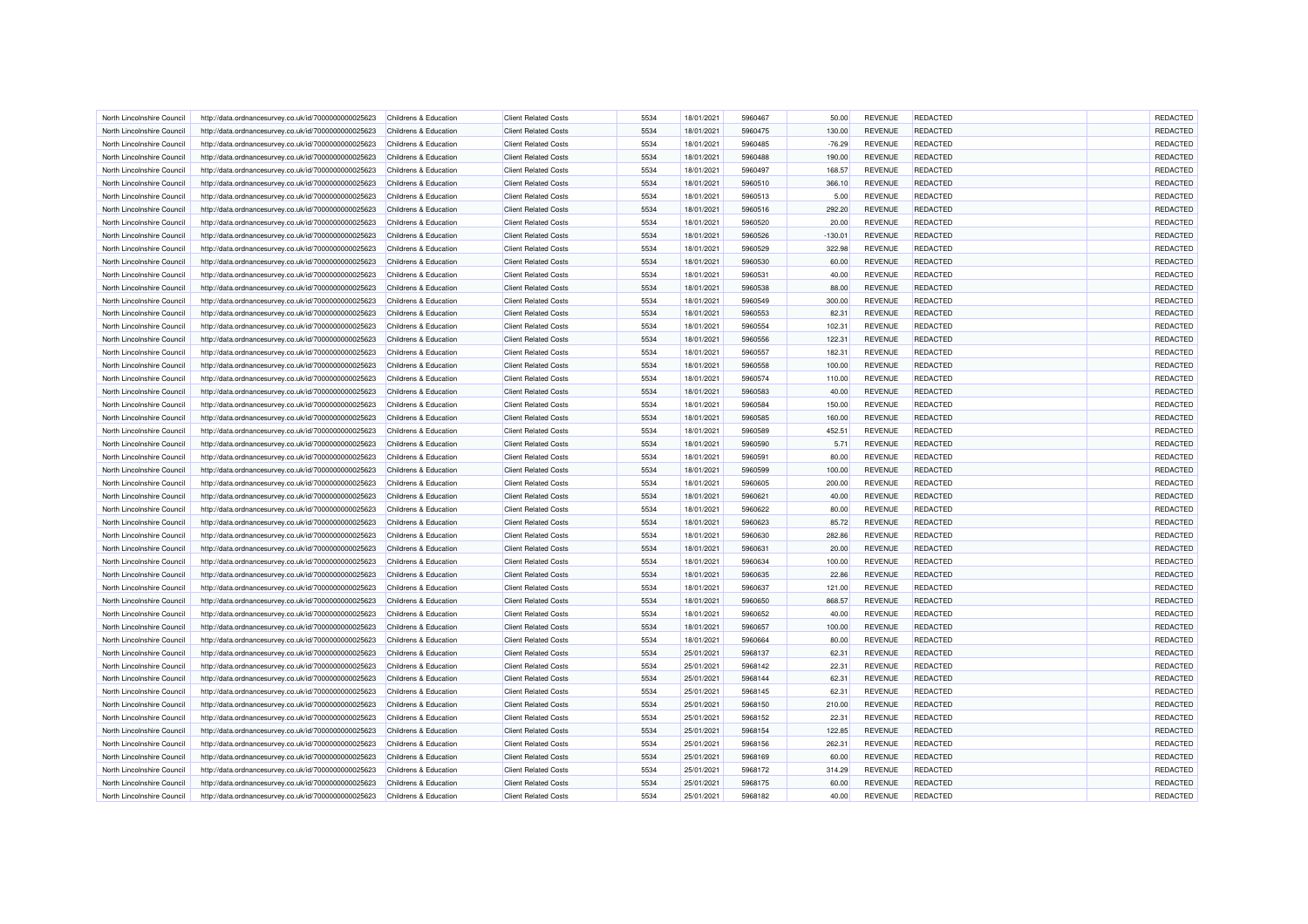| North Lincolnshire Council | http://data.ordnancesurvey.co.uk/id/7000000000025623 | Childrens & Education            | <b>Client Related Costs</b> | 5534 | 18/01/2021 | 5960467 | 50.00     | <b>REVENUE</b> | REDACTED        | REDACTED |
|----------------------------|------------------------------------------------------|----------------------------------|-----------------------------|------|------------|---------|-----------|----------------|-----------------|----------|
| North Lincolnshire Council | http://data.ordnancesurvey.co.uk/id/7000000000025623 | Childrens & Education            | <b>Client Related Costs</b> | 5534 | 18/01/2021 | 5960475 | 130.00    | <b>REVENUE</b> | REDACTED        | REDACTED |
| North Lincolnshire Council | http://data.ordnancesurvey.co.uk/id/7000000000025623 | Childrens & Education            | <b>Client Related Costs</b> | 5534 | 18/01/2021 | 5960485 | $-76.29$  | <b>REVENUE</b> | REDACTED        | REDACTED |
| North Lincolnshire Counci  | http://data.ordnancesurvey.co.uk/id/7000000000025623 | Childrens & Education            | <b>Client Related Costs</b> | 5534 | 18/01/2021 | 5960488 | 190.00    | <b>REVENUE</b> | REDACTED        | REDACTED |
| North Lincolnshire Council | http://data.ordnancesurvey.co.uk/id/7000000000025623 | Childrens & Education            | <b>Client Related Costs</b> | 5534 | 18/01/2021 | 5960497 | 168.57    | <b>REVENUE</b> | REDACTED        | REDACTED |
| North Lincolnshire Council | http://data.ordnancesurvey.co.uk/id/7000000000025623 | Childrens & Education            | <b>Client Related Costs</b> | 5534 | 18/01/2021 | 5960510 | 366.10    | <b>REVENUE</b> | <b>REDACTED</b> | REDACTED |
| North Lincolnshire Council | http://data.ordnancesurvey.co.uk/id/7000000000025623 | Childrens & Education            | <b>Client Related Costs</b> | 5534 | 18/01/2021 | 5960513 | 5.00      | REVENUE        | <b>REDACTED</b> | REDACTED |
| North Lincolnshire Council | http://data.ordnancesurvey.co.uk/id/7000000000025623 | Childrens & Education            | <b>Client Related Costs</b> | 5534 | 18/01/2021 | 5960516 | 292.20    | <b>REVENUE</b> | REDACTED        | REDACTED |
| North Lincolnshire Council | http://data.ordnancesurvey.co.uk/id/7000000000025623 | Childrens & Education            | <b>Client Related Costs</b> | 5534 | 18/01/2021 | 5960520 | 20.00     | <b>REVENUE</b> | <b>REDACTED</b> | REDACTED |
| North Lincolnshire Council | http://data.ordnancesurvey.co.uk/id/7000000000025623 | Childrens & Education            | <b>Client Related Costs</b> | 5534 | 18/01/2021 | 5960526 | $-130.01$ | <b>REVENUE</b> | REDACTED        | REDACTED |
| North Lincolnshire Council | http://data.ordnancesurvey.co.uk/id/7000000000025623 | Childrens & Education            | <b>Client Related Costs</b> | 5534 | 18/01/2021 | 5960529 | 322.98    | <b>REVENUE</b> | REDACTED        | REDACTED |
| North Lincolnshire Council | http://data.ordnancesurvey.co.uk/id/7000000000025623 | Childrens & Education            | <b>Client Related Costs</b> | 5534 | 18/01/2021 | 5960530 | 60.00     | <b>REVENUE</b> | REDACTED        | REDACTED |
| North Lincolnshire Council | http://data.ordnancesurvey.co.uk/id/7000000000025623 | Childrens & Education            | <b>Client Related Costs</b> | 5534 | 18/01/2021 | 5960531 | 40.00     | <b>REVENUE</b> | REDACTED        | REDACTED |
| North Lincolnshire Council | http://data.ordnancesurvey.co.uk/id/7000000000025623 | Childrens & Education            | <b>Client Related Costs</b> | 5534 | 18/01/2021 | 5960538 | 88.00     | <b>REVENUE</b> | <b>REDACTED</b> | REDACTED |
| North Lincolnshire Council | http://data.ordnancesurvey.co.uk/id/7000000000025623 | Childrens & Education            | <b>Client Related Costs</b> | 5534 | 18/01/2021 | 5960549 | 300.00    | <b>REVENUE</b> | <b>REDACTED</b> | REDACTED |
| North Lincolnshire Council | http://data.ordnancesurvey.co.uk/id/7000000000025623 | Childrens & Education            | <b>Client Related Costs</b> | 5534 | 18/01/2021 | 5960553 | 82.31     | <b>REVENUE</b> | REDACTED        | REDACTED |
| North Lincolnshire Council | http://data.ordnancesurvey.co.uk/id/7000000000025623 | Childrens & Education            | <b>Client Related Costs</b> | 5534 | 18/01/2021 | 5960554 | 102.31    | <b>REVENUE</b> | REDACTED        | REDACTED |
| North Lincolnshire Council | http://data.ordnancesurvey.co.uk/id/7000000000025623 | Childrens & Education            | <b>Client Related Costs</b> | 5534 | 18/01/2021 | 5960556 | 122.31    | <b>REVENUE</b> | <b>REDACTED</b> | REDACTED |
| North Lincolnshire Council | http://data.ordnancesurvey.co.uk/id/7000000000025623 | Childrens & Education            | <b>Client Related Costs</b> | 5534 | 18/01/2021 | 5960557 | 182.31    | <b>REVENUE</b> | REDACTED        | REDACTED |
| North Lincolnshire Counci  | http://data.ordnancesurvey.co.uk/id/7000000000025623 | Childrens & Education            | <b>Client Related Costs</b> | 5534 | 18/01/2021 | 5960558 | 100.00    | <b>REVENUE</b> | REDACTED        | REDACTED |
| North Lincolnshire Council |                                                      | Childrens & Education            | <b>Client Related Costs</b> | 5534 | 18/01/2021 | 5960574 |           | <b>REVENUE</b> | REDACTED        | REDACTED |
|                            | http://data.ordnancesurvey.co.uk/id/7000000000025623 |                                  |                             |      |            |         | 110.00    |                |                 |          |
| North Lincolnshire Council | http://data.ordnancesurvey.co.uk/id/7000000000025623 | Childrens & Education            | <b>Client Related Costs</b> | 5534 | 18/01/2021 | 5960583 | 40.00     | <b>REVENUE</b> | <b>REDACTED</b> | REDACTED |
| North Lincolnshire Council | http://data.ordnancesurvey.co.uk/id/7000000000025623 | Childrens & Education            | <b>Client Related Costs</b> | 5534 | 18/01/2021 | 5960584 | 150.00    | <b>REVENUE</b> | <b>REDACTED</b> | REDACTED |
| North Lincolnshire Council | http://data.ordnancesurvey.co.uk/id/7000000000025623 | Childrens & Education            | <b>Client Related Costs</b> | 5534 | 18/01/2021 | 5960585 | 160.00    | <b>REVENUE</b> | REDACTED        | REDACTED |
| North Lincolnshire Council | http://data.ordnancesurvey.co.uk/id/7000000000025623 | Childrens & Education            | <b>Client Related Costs</b> | 5534 | 18/01/2021 | 5960589 | 452.51    | <b>REVENUE</b> | REDACTED        | REDACTED |
| North Lincolnshire Counci  | http://data.ordnancesurvey.co.uk/id/7000000000025623 | Childrens & Education            | <b>Client Related Costs</b> | 5534 | 18/01/2021 | 5960590 | 5.71      | <b>REVENUE</b> | <b>REDACTED</b> | REDACTED |
| North Lincolnshire Council | http://data.ordnancesurvey.co.uk/id/7000000000025623 | Childrens & Education            | <b>Client Related Costs</b> | 5534 | 18/01/2021 | 5960591 | 80.00     | <b>REVENUE</b> | REDACTED        | REDACTED |
| North Lincolnshire Council | http://data.ordnancesurvey.co.uk/id/7000000000025623 | Childrens & Education            | <b>Client Related Costs</b> | 5534 | 18/01/2021 | 5960599 | 100.00    | <b>REVENUE</b> | <b>REDACTED</b> | REDACTED |
| North Lincolnshire Council | http://data.ordnancesurvey.co.uk/id/7000000000025623 | Childrens & Education            | <b>Client Related Costs</b> | 5534 | 18/01/2021 | 5960605 | 200.00    | <b>REVENUE</b> | REDACTED        | REDACTED |
| North Lincolnshire Council | http://data.ordnancesurvey.co.uk/id/7000000000025623 | Childrens & Education            | <b>Client Related Costs</b> | 5534 | 18/01/2021 | 5960621 | 40.00     | <b>REVENUE</b> | <b>REDACTED</b> | REDACTED |
| North Lincolnshire Counci  | http://data.ordnancesurvey.co.uk/id/7000000000025623 | Childrens & Education            | <b>Client Related Costs</b> | 5534 | 18/01/2021 | 5960622 | 80.00     | <b>REVENUE</b> | REDACTED        | REDACTED |
| North Lincolnshire Council | http://data.ordnancesurvey.co.uk/id/7000000000025623 | Childrens & Education            | <b>Client Related Costs</b> | 5534 | 18/01/2021 | 5960623 | 85.72     | <b>REVENUE</b> | REDACTED        | REDACTED |
| North Lincolnshire Council | http://data.ordnancesurvey.co.uk/id/7000000000025623 | Childrens & Education            | <b>Client Related Costs</b> | 5534 | 18/01/2021 | 5960630 | 282.86    | <b>REVENUE</b> | <b>REDACTED</b> | REDACTED |
| North Lincolnshire Council | http://data.ordnancesurvey.co.uk/id/7000000000025623 | Childrens & Education            | <b>Client Related Costs</b> | 5534 | 18/01/2021 | 5960631 | 20.00     | <b>REVENUE</b> | <b>REDACTED</b> | REDACTED |
| North Lincolnshire Council | http://data.ordnancesurvey.co.uk/id/7000000000025623 | Childrens & Education            | <b>Client Related Costs</b> | 5534 | 18/01/2021 | 5960634 | 100.00    | <b>REVENUE</b> | REDACTED        | REDACTED |
| North Lincolnshire Council | http://data.ordnancesurvey.co.uk/id/7000000000025623 | <b>Childrens &amp; Education</b> | <b>Client Related Costs</b> | 5534 | 18/01/2021 | 5960635 | 22.86     | <b>REVENUE</b> | <b>REDACTED</b> | REDACTED |
| North Lincolnshire Council | http://data.ordnancesurvey.co.uk/id/7000000000025623 | Childrens & Education            | <b>Client Related Costs</b> | 5534 | 18/01/2021 | 5960637 | 121.00    | <b>REVENUE</b> | REDACTED        | REDACTED |
| North Lincolnshire Council | http://data.ordnancesurvey.co.uk/id/7000000000025623 | Childrens & Education            | <b>Client Related Costs</b> | 5534 | 18/01/2021 | 5960650 | 868.57    | <b>REVENUE</b> | <b>REDACTED</b> | REDACTED |
| North Lincolnshire Council | http://data.ordnancesurvey.co.uk/id/7000000000025623 | Childrens & Education            | <b>Client Related Costs</b> | 5534 | 18/01/2021 | 5960652 | 40.00     | <b>REVENUE</b> | REDACTED        | REDACTED |
| North Lincolnshire Council | http://data.ordnancesurvey.co.uk/id/7000000000025623 | Childrens & Education            | <b>Client Related Costs</b> | 5534 | 18/01/2021 | 5960657 | 100.00    | <b>REVENUE</b> | REDACTED        | REDACTED |
| North Lincolnshire Council | http://data.ordnancesurvey.co.uk/id/7000000000025623 | Childrens & Education            | <b>Client Related Costs</b> | 5534 | 18/01/2021 | 5960664 | 80.00     | <b>REVENUE</b> | REDACTED        | REDACTED |
| North Lincolnshire Council | http://data.ordnancesurvey.co.uk/id/7000000000025623 | Childrens & Education            | <b>Client Related Costs</b> | 5534 | 25/01/2021 | 5968137 | 62.31     | <b>REVENUE</b> | <b>REDACTED</b> | REDACTED |
| North Lincolnshire Council | http://data.ordnancesurvey.co.uk/id/7000000000025623 | Childrens & Education            | <b>Client Related Costs</b> | 5534 | 25/01/2021 | 5968142 | 22.31     | <b>REVENUE</b> | REDACTED        | REDACTED |
| North Lincolnshire Council | http://data.ordnancesurvey.co.uk/id/7000000000025623 | Childrens & Education            | <b>Client Related Costs</b> | 5534 | 25/01/2021 | 5968144 | 62.31     | <b>REVENUE</b> | REDACTED        | REDACTED |
| North Lincolnshire Council | http://data.ordnancesurvey.co.uk/id/7000000000025623 | Childrens & Education            | <b>Client Related Costs</b> | 5534 | 25/01/2021 | 5968145 | 62.31     | <b>REVENUE</b> | REDACTED        | REDACTED |
| North Lincolnshire Council | http://data.ordnancesurvey.co.uk/id/7000000000025623 | Childrens & Education            | <b>Client Related Costs</b> | 5534 | 25/01/2021 | 5968150 | 210.00    | <b>REVENUE</b> | <b>REDACTED</b> | REDACTED |
| North Lincolnshire Council | http://data.ordnancesurvey.co.uk/id/7000000000025623 | Childrens & Education            | <b>Client Related Costs</b> | 5534 | 25/01/2021 | 5968152 | 22.31     | <b>REVENUE</b> | REDACTED        | REDACTED |
| North Lincolnshire Council |                                                      | Childrens & Education            | <b>Client Related Costs</b> | 5534 | 25/01/2021 | 5968154 | 122.85    | <b>REVENUE</b> | REDACTED        | REDACTED |
|                            | http://data.ordnancesurvey.co.uk/id/7000000000025623 |                                  |                             |      |            |         |           |                |                 |          |
| North Lincolnshire Council | http://data.ordnancesurvey.co.uk/id/7000000000025623 | Childrens & Education            | <b>Client Related Costs</b> | 5534 | 25/01/2021 | 5968156 | 262.31    | <b>REVENUE</b> | <b>REDACTED</b> | REDACTED |
| North Lincolnshire Council | http://data.ordnancesurvey.co.uk/id/7000000000025623 | Childrens & Education            | <b>Client Related Costs</b> | 5534 | 25/01/2021 | 5968169 | 60.00     | <b>REVENUE</b> | <b>REDACTED</b> | REDACTED |
| North Lincolnshire Council | http://data.ordnancesurvey.co.uk/id/7000000000025623 | Childrens & Education            | <b>Client Related Costs</b> | 5534 | 25/01/2021 | 5968172 | 314.29    | REVENUE        | REDACTED        | REDACTED |
| North Lincolnshire Council | http://data.ordnancesurvey.co.uk/id/7000000000025623 | Childrens & Education            | <b>Client Related Costs</b> | 5534 | 25/01/2021 | 5968175 | 60.00     | <b>REVENUE</b> | REDACTED        | REDACTED |
| North Lincolnshire Council | http://data.ordnancesurvey.co.uk/id/7000000000025623 | Childrens & Education            | <b>Client Related Costs</b> | 5534 | 25/01/2021 | 5968182 | 40.00     | <b>REVENUE</b> | REDACTED        | REDACTED |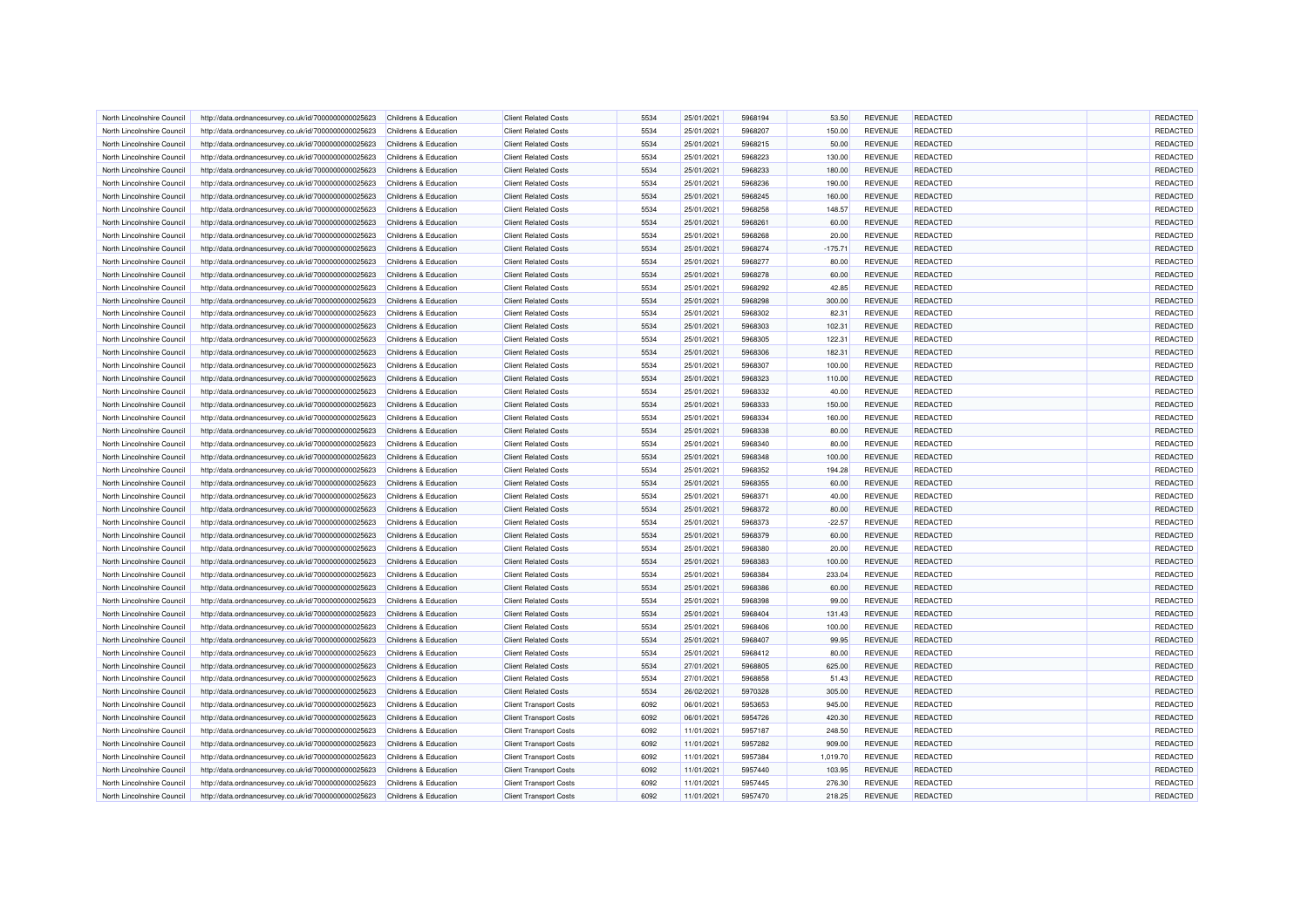| North Lincolnshire Council | http://data.ordnancesurvey.co.uk/id/7000000000025623 | Childrens & Education                          | <b>Client Related Costs</b>   | 5534 | 25/01/2021 | 5968194            | 53.50     | <b>REVENUE</b> | REDACTED        | <b>REDACTED</b> |
|----------------------------|------------------------------------------------------|------------------------------------------------|-------------------------------|------|------------|--------------------|-----------|----------------|-----------------|-----------------|
| North Lincolnshire Council | http://data.ordnancesurvey.co.uk/id/7000000000025623 | Childrens & Education                          | <b>Client Related Costs</b>   | 5534 | 25/01/2021 | 5968207            | 150.00    | <b>REVENUE</b> | REDACTED        | REDACTED        |
| North Lincolnshire Counci  | http://data.ordnancesurvey.co.uk/id/7000000000025623 | Childrens & Education                          | <b>Client Related Costs</b>   | 5534 | 25/01/2021 | 5968215            | 50.00     | <b>REVENUE</b> | REDACTED        | REDACTED        |
| North Lincolnshire Council | http://data.ordnancesurvey.co.uk/id/7000000000025623 | Childrens & Education                          | <b>Client Related Costs</b>   | 5534 | 25/01/2021 | 5968223            | 130.00    | <b>REVENUE</b> | REDACTED        | REDACTED        |
| North Lincolnshire Council | http://data.ordnancesurvey.co.uk/id/7000000000025623 | Childrens & Education                          | <b>Client Related Costs</b>   | 5534 | 25/01/2021 | 5968233            | 180.00    | <b>REVENUE</b> | REDACTED        | REDACTED        |
| North Lincolnshire Council | http://data.ordnancesurvey.co.uk/id/7000000000025623 | Childrens & Education                          | <b>Client Related Costs</b>   | 5534 | 25/01/2021 | 5968236            | 190.00    | <b>REVENUE</b> | <b>REDACTED</b> | REDACTED        |
| North Lincolnshire Council | http://data.ordnancesurvey.co.uk/id/7000000000025623 |                                                | <b>Client Related Costs</b>   | 5534 | 25/01/2021 | 5968245            | 160.00    | <b>REVENUE</b> | REDACTED        | REDACTED        |
| North Lincolnshire Council | http://data.ordnancesurvey.co.uk/id/7000000000025623 | Childrens & Education<br>Childrens & Education | <b>Client Related Costs</b>   | 5534 | 25/01/2021 | 5968258            | 148.57    | <b>REVENUE</b> | <b>REDACTED</b> | REDACTED        |
|                            |                                                      |                                                |                               |      |            |                    |           |                |                 |                 |
| North Lincolnshire Counci  | http://data.ordnancesurvey.co.uk/id/7000000000025623 | Childrens & Education                          | <b>Client Related Costs</b>   | 5534 | 25/01/2021 | 5968261            | 60.00     | <b>REVENUE</b> | <b>REDACTED</b> | REDACTED        |
| North Lincolnshire Council | http://data.ordnancesurvey.co.uk/id/7000000000025623 | Childrens & Education                          | <b>Client Related Costs</b>   | 5534 | 25/01/2021 | 5968268            | 20.00     | <b>REVENUE</b> | REDACTED        | REDACTED        |
| North Lincolnshire Council | http://data.ordnancesurvey.co.uk/id/7000000000025623 | Childrens & Education                          | <b>Client Related Costs</b>   | 5534 | 25/01/2021 | 5968274            | $-175.71$ | <b>REVENUE</b> | REDACTED        | REDACTED        |
| North Lincolnshire Council | http://data.ordnancesurvey.co.uk/id/7000000000025623 | Childrens & Education                          | <b>Client Related Costs</b>   | 5534 | 25/01/2021 | 5968277            | 80.00     | REVENUE        | REDACTED        | REDACTED        |
| North Lincolnshire Council | http://data.ordnancesurvey.co.uk/id/7000000000025623 | Childrens & Education                          | <b>Client Related Costs</b>   | 5534 | 25/01/2021 | 5968278            | 60.00     | <b>REVENUE</b> | REDACTED        | REDACTED        |
| North Lincolnshire Council | http://data.ordnancesurvey.co.uk/id/7000000000025623 | Childrens & Education                          | <b>Client Related Costs</b>   | 5534 | 25/01/2021 | 5968292            | 42.85     | <b>REVENUE</b> | REDACTED        | REDACTED        |
| North Lincolnshire Council | http://data.ordnancesurvey.co.uk/id/7000000000025623 | Childrens & Education                          | <b>Client Related Costs</b>   | 5534 | 25/01/2021 | 5968298            | 300.00    | <b>REVENUE</b> | REDACTED        | REDACTED        |
| North Lincolnshire Council | http://data.ordnancesurvey.co.uk/id/7000000000025623 | Childrens & Education                          | <b>Client Related Costs</b>   | 5534 | 25/01/2021 | 5968302            | 82.31     | <b>REVENUE</b> | <b>REDACTED</b> | REDACTED        |
| North Lincolnshire Council | http://data.ordnancesurvey.co.uk/id/7000000000025623 | Childrens & Education                          | <b>Client Related Costs</b>   | 5534 | 25/01/2021 | 5968303            | 102.31    | <b>REVENUE</b> | REDACTED        | REDACTED        |
| North Lincolnshire Council | http://data.ordnancesurvey.co.uk/id/7000000000025623 | Childrens & Education                          | <b>Client Related Costs</b>   | 5534 | 25/01/2021 | 5968305            | 122.31    | <b>REVENUE</b> | REDACTED        | REDACTED        |
| North Lincolnshire Council | http://data.ordnancesurvey.co.uk/id/7000000000025623 | Childrens & Education                          | <b>Client Related Costs</b>   | 5534 | 25/01/2021 | 5968306            | 182.31    | <b>REVENUE</b> | <b>REDACTED</b> | REDACTED        |
| North Lincolnshire Council | http://data.ordnancesurvey.co.uk/id/7000000000025623 | Childrens & Education                          | <b>Client Related Costs</b>   | 5534 | 25/01/2021 | 5968307            | 100.00    | <b>REVENUE</b> | <b>REDACTED</b> | REDACTED        |
| North Lincolnshire Council | http://data.ordnancesurvey.co.uk/id/7000000000025623 | Childrens & Education                          | <b>Client Related Costs</b>   | 5534 | 25/01/2021 | 5968323            | 110.00    | <b>REVENUE</b> | REDACTED        | REDACTED        |
| North Lincolnshire Council | http://data.ordnancesurvey.co.uk/id/7000000000025623 | Childrens & Education                          | <b>Client Related Costs</b>   | 5534 | 25/01/2021 | 5968332            | 40.00     | <b>REVENUE</b> | REDACTED        | REDACTED        |
| North Lincolnshire Council | http://data.ordnancesurvey.co.uk/id/7000000000025623 | Childrens & Education                          | <b>Client Related Costs</b>   | 5534 | 25/01/2021 | 5968333            | 150.00    | <b>REVENUE</b> | <b>REDACTED</b> | REDACTED        |
| North Lincolnshire Council | http://data.ordnancesurvey.co.uk/id/7000000000025623 | Childrens & Education                          | <b>Client Related Costs</b>   | 5534 | 25/01/2021 | 5968334            | 160.00    | <b>REVENUE</b> | REDACTED        | REDACTED        |
| North Lincolnshire Council | http://data.ordnancesurvey.co.uk/id/7000000000025623 | Childrens & Education                          | <b>Client Related Costs</b>   | 5534 | 25/01/2021 | 5968338            | 80.00     | <b>REVENUE</b> | REDACTED        | REDACTED        |
|                            |                                                      |                                                |                               | 5534 |            |                    |           |                |                 |                 |
| North Lincolnshire Council | http://data.ordnancesurvey.co.uk/id/7000000000025623 | Childrens & Education                          | <b>Client Related Costs</b>   |      | 25/01/2021 | 5968340            | 80.00     | <b>REVENUE</b> | REDACTED        | REDACTED        |
| North Lincolnshire Council | http://data.ordnancesurvey.co.uk/id/7000000000025623 | Childrens & Education                          | <b>Client Related Costs</b>   | 5534 | 25/01/2021 | 5968348            | 100.00    | <b>REVENUE</b> | <b>REDACTED</b> | REDACTED        |
| North Lincolnshire Council | http://data.ordnancesurvey.co.uk/id/7000000000025623 | Childrens & Education                          | <b>Client Related Costs</b>   | 5534 | 25/01/2021 | 5968352            | 194.28    | <b>REVENUE</b> | <b>REDACTED</b> | REDACTED        |
| North Lincolnshire Council | http://data.ordnancesurvey.co.uk/id/7000000000025623 | Childrens & Education                          | <b>Client Related Costs</b>   | 5534 | 25/01/2021 | 5968355            | 60.00     | <b>REVENUE</b> | REDACTED        | REDACTED        |
| North Lincolnshire Council | http://data.ordnancesurvey.co.uk/id/7000000000025623 | Childrens & Education                          | <b>Client Related Costs</b>   | 5534 | 25/01/2021 | 5968371            | 40.00     | <b>REVENUE</b> | REDACTED        | REDACTED        |
| North Lincolnshire Council | http://data.ordnancesurvey.co.uk/id/7000000000025623 | Childrens & Education                          | <b>Client Related Costs</b>   | 5534 | 25/01/2021 | 5968372            | 80.00     | <b>REVENUE</b> | <b>REDACTED</b> | REDACTED        |
| North Lincolnshire Council | http://data.ordnancesurvey.co.uk/id/7000000000025623 | Childrens & Education                          | <b>Client Related Costs</b>   | 5534 | 25/01/2021 | 5968373            | $-22.57$  | <b>REVENUE</b> | REDACTED        | REDACTED        |
| North Lincolnshire Council | http://data.ordnancesurvey.co.uk/id/7000000000025623 | Childrens & Education                          | <b>Client Related Costs</b>   | 5534 | 25/01/2021 | 5968379            | 60.00     | <b>REVENUE</b> | REDACTED        | REDACTED        |
| North Lincolnshire Council | http://data.ordnancesurvey.co.uk/id/7000000000025623 | Childrens & Education                          | <b>Client Related Costs</b>   | 5534 | 25/01/2021 | 5968380            | 20.00     | <b>REVENUE</b> | REDACTED        | REDACTED        |
| North Lincolnshire Council | http://data.ordnancesurvey.co.uk/id/7000000000025623 | Childrens & Education                          | <b>Client Related Costs</b>   | 5534 | 25/01/2021 | 5968383            | 100.00    | <b>REVENUE</b> | REDACTED        | REDACTED        |
| North Lincolnshire Council | http://data.ordnancesurvey.co.uk/id/7000000000025623 | Childrens & Education                          | <b>Client Related Costs</b>   | 5534 | 25/01/2021 | 5968384            | 233.04    | <b>REVENUE</b> | REDACTED        | REDACTED        |
| North Lincolnshire Council | http://data.ordnancesurvey.co.uk/id/7000000000025623 | Childrens & Education                          | <b>Client Related Costs</b>   | 5534 | 25/01/2021 | 5968386            | 60.00     | <b>REVENUE</b> | REDACTED        | REDACTED        |
| North Lincolnshire Council | http://data.ordnancesurvey.co.uk/id/7000000000025623 | Childrens & Education                          | <b>Client Related Costs</b>   | 5534 | 25/01/2021 | 5968398            | 99.00     | <b>REVENUE</b> | <b>REDACTED</b> | REDACTED        |
| North Lincolnshire Council | http://data.ordnancesurvey.co.uk/id/7000000000025623 | Childrens & Education                          | <b>Client Related Costs</b>   | 5534 | 25/01/2021 | 5968404            | 131.43    | <b>REVENUE</b> | REDACTED        | REDACTED        |
| North Lincolnshire Council | http://data.ordnancesurvey.co.uk/id/7000000000025623 | Childrens & Education                          | <b>Client Related Costs</b>   | 5534 | 25/01/2021 | 5968406            | 100.00    | <b>REVENUE</b> | REDACTED        | REDACTED        |
| North Lincolnshire Council | http://data.ordnancesurvey.co.uk/id/7000000000025623 | Childrens & Education                          | <b>Client Related Costs</b>   | 5534 | 25/01/2021 | 5968407            | 99.95     | <b>REVENUE</b> | <b>REDACTED</b> | REDACTED        |
| North Lincolnshire Council | http://data.ordnancesurvey.co.uk/id/7000000000025623 | Childrens & Education                          | <b>Client Related Costs</b>   | 5534 | 25/01/2021 | 5968412            | 80.00     | <b>REVENUE</b> | <b>REDACTED</b> | REDACTED        |
| North Lincolnshire Council | http://data.ordnancesurvey.co.uk/id/7000000000025623 | Childrens & Education                          | <b>Client Related Costs</b>   | 5534 | 27/01/2021 | 5968805            | 625.00    | <b>REVENUE</b> | REDACTED        | REDACTED        |
| North Lincolnshire Council | http://data.ordnancesurvey.co.uk/id/7000000000025623 | Childrens & Education                          | <b>Client Related Costs</b>   | 5534 | 27/01/2021 | 5968858            | 51.43     | <b>REVENUE</b> | REDACTED        | REDACTED        |
|                            | http://data.ordnancesurvey.co.uk/id/7000000000025623 |                                                | <b>Client Related Costs</b>   | 5534 | 26/02/2021 | 5970328            | 305.00    | <b>REVENUE</b> | REDACTED        | REDACTED        |
| North Lincolnshire Council |                                                      | Childrens & Education<br>Childrens & Education |                               | 6092 | 06/01/2021 |                    |           | <b>REVENUE</b> | <b>REDACTED</b> | REDACTED        |
| North Lincolnshire Council | http://data.ordnancesurvey.co.uk/id/7000000000025623 |                                                | <b>Client Transport Costs</b> | 6092 |            | 5953653<br>5954726 | 945.00    |                |                 |                 |
| North Lincolnshire Council | http://data.ordnancesurvey.co.uk/id/7000000000025623 | Childrens & Education                          | <b>Client Transport Costs</b> |      | 06/01/2021 |                    | 420.30    | <b>REVENUE</b> | REDACTED        | REDACTED        |
| North Lincolnshire Council | http://data.ordnancesurvey.co.uk/id/7000000000025623 | Childrens & Education                          | <b>Client Transport Costs</b> | 6092 | 11/01/2021 | 5957187            | 248.50    | <b>REVENUE</b> | REDACTED        | REDACTED        |
| North Lincolnshire Council | http://data.ordnancesurvey.co.uk/id/7000000000025623 | Childrens & Education                          | <b>Client Transport Costs</b> | 6092 | 11/01/2021 | 5957282            | 909.00    | <b>REVENUE</b> | <b>REDACTED</b> | REDACTED        |
| North Lincolnshire Council | http://data.ordnancesurvey.co.uk/id/7000000000025623 | Childrens & Education                          | <b>Client Transport Costs</b> | 6092 | 11/01/2021 | 5957384            | 1,019.70  | <b>REVENUE</b> | <b>REDACTED</b> | REDACTED        |
| North Lincolnshire Council | http://data.ordnancesurvey.co.uk/id/7000000000025623 | Childrens & Education                          | <b>Client Transport Costs</b> | 6092 | 11/01/2021 | 5957440            | 103.95    | REVENUE        | REDACTED        | REDACTED        |
| North Lincolnshire Council | http://data.ordnancesurvey.co.uk/id/7000000000025623 | Childrens & Education                          | <b>Client Transport Costs</b> | 6092 | 11/01/2021 | 5957445            | 276.30    | REVENUE        | REDACTED        | REDACTED        |
| North Lincolnshire Council | http://data.ordnancesurvey.co.uk/id/7000000000025623 | Childrens & Education                          | <b>Client Transport Costs</b> | 6092 | 11/01/2021 | 5957470            | 218.25    | <b>REVENUE</b> | REDACTED        | REDACTED        |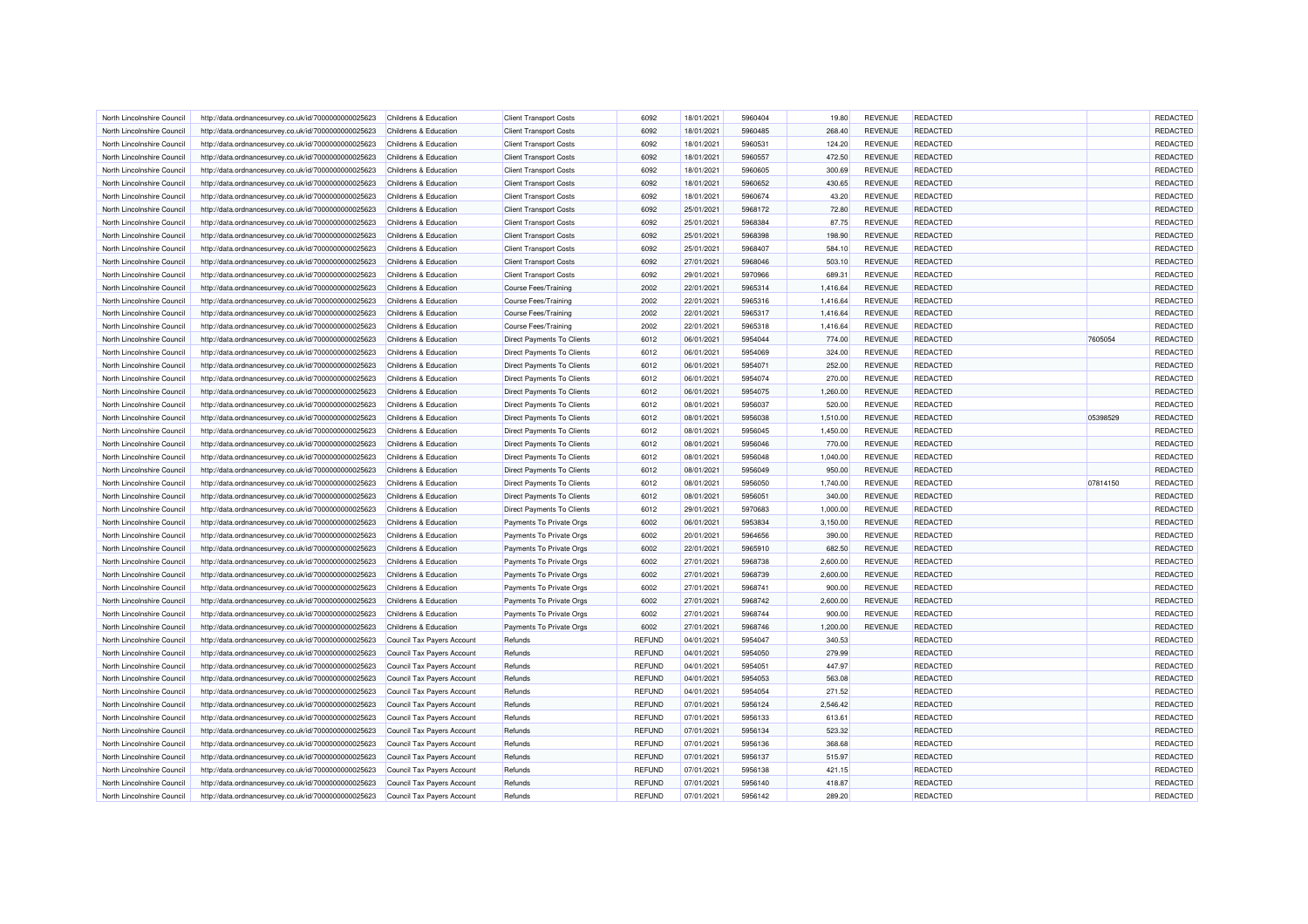| North Lincolnshire Council | http://data.ordnancesurvey.co.uk/id/7000000000025623 | Childrens & Education            | <b>Client Transport Costs</b>     | 6092          | 18/01/2021 | 5960404 | 19.80    | <b>REVENUE</b> | REDACTED        |          | REDACTED |
|----------------------------|------------------------------------------------------|----------------------------------|-----------------------------------|---------------|------------|---------|----------|----------------|-----------------|----------|----------|
| North Lincolnshire Council | http://data.ordnancesurvey.co.uk/id/7000000000025623 | Childrens & Education            | <b>Client Transport Costs</b>     | 6092          | 18/01/2021 | 5960485 | 268.40   | <b>REVENUE</b> | REDACTED        |          | REDACTED |
| North Lincolnshire Council | http://data.ordnancesurvey.co.uk/id/7000000000025623 | Childrens & Education            | <b>Client Transport Costs</b>     | 6092          | 18/01/2021 | 5960531 | 124.20   | <b>REVENUE</b> | <b>REDACTED</b> |          | REDACTED |
| North Lincolnshire Counci  | http://data.ordnancesurvey.co.uk/id/7000000000025623 | Childrens & Education            | <b>Client Transport Costs</b>     | 6092          | 18/01/2021 | 5960557 | 472.50   | <b>REVENUE</b> | REDACTED        |          | REDACTED |
| North Lincolnshire Council | http://data.ordnancesurvey.co.uk/id/7000000000025623 | Childrens & Education            | <b>Client Transport Costs</b>     | 6092          | 18/01/2021 | 5960605 | 300.69   | <b>REVENUE</b> | REDACTED        |          | REDACTED |
| North Lincolnshire Council | http://data.ordnancesurvey.co.uk/id/7000000000025623 | Childrens & Education            | <b>Client Transport Costs</b>     | 6092          | 18/01/2021 | 5960652 | 430.65   | <b>REVENUE</b> | <b>REDACTED</b> |          | REDACTED |
| North Lincolnshire Council | http://data.ordnancesurvey.co.uk/id/7000000000025623 | Childrens & Education            | <b>Client Transport Costs</b>     | 6092          | 18/01/2021 | 5960674 | 43.20    | <b>REVENUE</b> | <b>REDACTED</b> |          | REDACTED |
| North Lincolnshire Council | http://data.ordnancesurvey.co.uk/id/7000000000025623 | Childrens & Education            | <b>Client Transport Costs</b>     | 6092          | 25/01/2021 | 5968172 | 72.80    | <b>REVENUE</b> | REDACTED        |          | REDACTED |
| North Lincolnshire Council | http://data.ordnancesurvey.co.uk/id/7000000000025623 | <b>Childrens &amp; Education</b> | <b>Client Transport Costs</b>     | 6092          | 25/01/2021 | 5968384 | 87.75    | <b>REVENUE</b> | <b>REDACTED</b> |          | REDACTED |
| North Lincolnshire Council | http://data.ordnancesurvey.co.uk/id/7000000000025623 | Childrens & Education            | <b>Client Transport Costs</b>     | 6092          | 25/01/2021 | 5968398 | 198.90   | <b>REVENUE</b> | REDACTED        |          | REDACTED |
| North Lincolnshire Council | http://data.ordnancesurvey.co.uk/id/7000000000025623 | Childrens & Education            | <b>Client Transport Costs</b>     | 6092          | 25/01/2021 | 5968407 | 584.10   | <b>REVENUE</b> | <b>REDACTED</b> |          | REDACTED |
| North Lincolnshire Council | http://data.ordnancesurvey.co.uk/id/7000000000025623 | Childrens & Education            | <b>Client Transport Costs</b>     | 6092          | 27/01/2021 | 5968046 | 503.10   | <b>REVENUE</b> | REDACTED        |          | REDACTED |
| North Lincolnshire Council | http://data.ordnancesurvey.co.uk/id/7000000000025623 | Childrens & Education            | <b>Client Transport Costs</b>     | 6092          | 29/01/2021 | 5970966 | 689.31   | <b>REVENUE</b> | REDACTED        |          | REDACTED |
| North Lincolnshire Council | http://data.ordnancesurvey.co.uk/id/7000000000025623 | Childrens & Education            | <b>Course Fees/Training</b>       | 2002          | 22/01/2021 | 5965314 | 1,416.64 | <b>REVENUE</b> | REDACTED        |          | REDACTED |
| North Lincolnshire Council | http://data.ordnancesurvey.co.uk/id/7000000000025623 | Childrens & Education            | <b>Course Fees/Training</b>       | 2002          | 22/01/2021 | 5965316 | 1,416.64 | <b>REVENUE</b> | <b>REDACTED</b> |          | REDACTED |
| North Lincolnshire Council | http://data.ordnancesurvey.co.uk/id/7000000000025623 | Childrens & Education            | <b>Course Fees/Training</b>       | 2002          | 22/01/2021 | 5965317 | 1,416.64 | <b>REVENUE</b> | REDACTED        |          | REDACTED |
| North Lincolnshire Council | http://data.ordnancesurvey.co.uk/id/7000000000025623 | Childrens & Education            | Course Fees/Training              | 2002          | 22/01/2021 | 5965318 | 1,416.64 | <b>REVENUE</b> | REDACTED        |          | REDACTED |
| North Lincolnshire Council | http://data.ordnancesurvey.co.uk/id/7000000000025623 | Childrens & Education            | Direct Payments To Clients        | 6012          | 06/01/2021 | 5954044 | 774.00   | <b>REVENUE</b> | <b>REDACTED</b> | 7605054  | REDACTED |
| North Lincolnshire Council | http://data.ordnancesurvey.co.uk/id/7000000000025623 | Childrens & Education            | Direct Payments To Clients        | 6012          | 06/01/2021 | 5954069 | 324.00   | <b>REVENUE</b> | REDACTED        |          | REDACTED |
| North Lincolnshire Counci  | http://data.ordnancesurvey.co.uk/id/7000000000025623 | Childrens & Education            | <b>Direct Payments To Clients</b> | 6012          | 06/01/2021 | 5954071 | 252.00   | <b>REVENUE</b> | REDACTED        |          | REDACTED |
| North Lincolnshire Council | http://data.ordnancesurvey.co.uk/id/7000000000025623 | Childrens & Education            | Direct Payments To Clients        | 6012          | 06/01/2021 | 5954074 | 270.00   | <b>REVENUE</b> | REDACTED        |          | REDACTED |
| North Lincolnshire Council |                                                      | Childrens & Education            | Direct Payments To Clients        | 6012          | 06/01/2021 | 5954075 | 1,260.00 | <b>REVENUE</b> | <b>REDACTED</b> |          | REDACTED |
|                            | http://data.ordnancesurvey.co.uk/id/7000000000025623 |                                  |                                   |               |            |         |          |                |                 |          |          |
| North Lincolnshire Council | http://data.ordnancesurvey.co.uk/id/7000000000025623 | Childrens & Education            | Direct Payments To Clients        | 6012          | 08/01/2021 | 5956037 | 520.00   | <b>REVENUE</b> | <b>REDACTED</b> |          | REDACTED |
| North Lincolnshire Council | http://data.ordnancesurvey.co.uk/id/7000000000025623 | Childrens & Education            | Direct Payments To Clients        | 6012          | 08/01/2021 | 5956038 | 1,510.00 | <b>REVENUE</b> | REDACTED        | 05398529 | REDACTED |
| North Lincolnshire Council | http://data.ordnancesurvey.co.uk/id/7000000000025623 | Childrens & Education            | Direct Payments To Clients        | 6012          | 08/01/2021 | 5956045 | 1,450.00 | <b>REVENUE</b> | REDACTED        |          | REDACTED |
| North Lincolnshire Counci  | http://data.ordnancesurvey.co.uk/id/7000000000025623 | Childrens & Education            | <b>Direct Payments To Clients</b> | 6012          | 08/01/2021 | 5956046 | 770.00   | <b>REVENUE</b> | <b>REDACTED</b> |          | REDACTED |
| North Lincolnshire Council | http://data.ordnancesurvey.co.uk/id/7000000000025623 | Childrens & Education            | <b>Direct Payments To Clients</b> | 6012          | 08/01/2021 | 5956048 | 1,040.00 | <b>REVENUE</b> | <b>REDACTED</b> |          | REDACTED |
| North Lincolnshire Council | http://data.ordnancesurvey.co.uk/id/7000000000025623 | Childrens & Education            | <b>Direct Payments To Clients</b> | 6012          | 08/01/2021 | 5956049 | 950.00   | <b>REVENUE</b> | REDACTED        |          | REDACTED |
| North Lincolnshire Council | http://data.ordnancesurvey.co.uk/id/7000000000025623 | Childrens & Education            | <b>Direct Payments To Clients</b> | 6012          | 08/01/2021 | 5956050 | 1,740.00 | <b>REVENUE</b> | REDACTED        | 07814150 | REDACTED |
| North Lincolnshire Council | http://data.ordnancesurvey.co.uk/id/7000000000025623 | Childrens & Education            | Direct Payments To Clients        | 6012          | 08/01/2021 | 5956051 | 340.00   | <b>REVENUE</b> | REDACTED        |          | REDACTED |
| North Lincolnshire Counci  | http://data.ordnancesurvey.co.uk/id/7000000000025623 | Childrens & Education            | <b>Direct Payments To Clients</b> | 6012          | 29/01/2021 | 5970683 | 1,000.00 | <b>REVENUE</b> | REDACTED        |          | REDACTED |
| North Lincolnshire Council | http://data.ordnancesurvey.co.uk/id/7000000000025623 | Childrens & Education            | Payments To Private Orgs          | 6002          | 06/01/2021 | 5953834 | 3,150.00 | <b>REVENUE</b> | REDACTED        |          | REDACTED |
| North Lincolnshire Council | http://data.ordnancesurvey.co.uk/id/7000000000025623 | Childrens & Education            | Payments To Private Orgs          | 6002          | 20/01/2021 | 5964656 | 390.00   | <b>REVENUE</b> | <b>REDACTED</b> |          | REDACTED |
| North Lincolnshire Council | http://data.ordnancesurvey.co.uk/id/7000000000025623 | Childrens & Education            | Payments To Private Orgs          | 6002          | 22/01/2021 | 5965910 | 682.50   | <b>REVENUE</b> | <b>REDACTED</b> |          | REDACTED |
| North Lincolnshire Council | http://data.ordnancesurvey.co.uk/id/7000000000025623 | Childrens & Education            | Payments To Private Orgs          | 6002          | 27/01/2021 | 5968738 | 2,600.00 | <b>REVENUE</b> | REDACTED        |          | REDACTED |
| North Lincolnshire Council | http://data.ordnancesurvey.co.uk/id/7000000000025623 | Childrens & Education            | Payments To Private Oras          | 6002          | 27/01/2021 | 5968739 | 2,600.00 | <b>REVENUE</b> | <b>REDACTED</b> |          | REDACTED |
| North Lincolnshire Council | http://data.ordnancesurvey.co.uk/id/7000000000025623 | Childrens & Education            | Payments To Private Orgs          | 6002          | 27/01/2021 | 5968741 | 900.00   | <b>REVENUE</b> | REDACTED        |          | REDACTED |
| North Lincolnshire Council | http://data.ordnancesurvey.co.uk/id/7000000000025623 | Childrens & Education            | Payments To Private Orgs          | 6002          | 27/01/2021 | 5968742 | 2,600.00 | <b>REVENUE</b> | <b>REDACTED</b> |          | REDACTED |
| North Lincolnshire Council | http://data.ordnancesurvey.co.uk/id/7000000000025623 | Childrens & Education            | Payments To Private Orgs          | 6002          | 27/01/2021 | 5968744 | 900.00   | <b>REVENUE</b> | REDACTED        |          | REDACTED |
| North Lincolnshire Council | http://data.ordnancesurvey.co.uk/id/7000000000025623 | Childrens & Education            | Payments To Private Orgs          | 6002          | 27/01/2021 | 5968746 | 1,200.00 | <b>REVENUE</b> | REDACTED        |          | REDACTED |
| North Lincolnshire Council | http://data.ordnancesurvey.co.uk/id/7000000000025623 | Council Tax Payers Account       | Refunds                           | <b>REFUND</b> | 04/01/2021 | 5954047 | 340.53   |                | REDACTED        |          | REDACTED |
| North Lincolnshire Council | http://data.ordnancesurvey.co.uk/id/7000000000025623 | Council Tax Payers Account       | Refunds                           | <b>REFUND</b> | 04/01/2021 | 5954050 | 279.99   |                | <b>REDACTED</b> |          | REDACTED |
| North Lincolnshire Council | http://data.ordnancesurvey.co.uk/id/7000000000025623 | Council Tax Payers Account       | Refunds                           | <b>REFUND</b> | 04/01/2021 | 5954051 | 447.97   |                | REDACTED        |          | REDACTED |
| North Lincolnshire Council | http://data.ordnancesurvey.co.uk/id/7000000000025623 | Council Tax Payers Account       | Refunds                           | <b>REFUND</b> | 04/01/2021 | 5954053 | 563.08   |                | REDACTED        |          | REDACTED |
| North Lincolnshire Council | http://data.ordnancesurvey.co.uk/id/7000000000025623 | Council Tax Payers Account       | Refunds                           | <b>REFUND</b> | 04/01/2021 | 5954054 | 271.52   |                | <b>REDACTED</b> |          | REDACTED |
| North Lincolnshire Council | http://data.ordnancesurvey.co.uk/id/7000000000025623 | Council Tax Payers Account       | Refunds                           | <b>REFUND</b> | 07/01/2021 | 5956124 | 2,546.42 |                | REDACTED        |          | REDACTED |
| North Lincolnshire Counci  | http://data.ordnancesurvey.co.uk/id/7000000000025623 | Council Tax Payers Account       | Refunds                           | <b>REFUND</b> | 07/01/2021 | 5956133 | 613.61   |                | REDACTED        |          | REDACTED |
| North Lincolnshire Council | http://data.ordnancesurvey.co.uk/id/7000000000025623 | Council Tax Payers Account       | Refunds                           | <b>REFUND</b> | 07/01/2021 | 5956134 | 523.32   |                | REDACTED        |          | REDACTED |
| North Lincolnshire Council | http://data.ordnancesurvey.co.uk/id/7000000000025623 | Council Tax Payers Account       | Refunds                           | <b>REFUND</b> | 07/01/2021 | 5956136 | 368.68   |                | <b>REDACTED</b> |          | REDACTED |
| North Lincolnshire Council | http://data.ordnancesurvey.co.uk/id/7000000000025623 | Council Tax Payers Account       | Refunds                           | <b>REFUND</b> | 07/01/2021 | 5956137 | 515.97   |                | REDACTED        |          | REDACTED |
| North Lincolnshire Council | http://data.ordnancesurvey.co.uk/id/7000000000025623 | Council Tax Payers Account       | Refunds                           | <b>REFUND</b> | 07/01/2021 | 5956138 | 421.15   |                | REDACTED        |          | REDACTED |
| North Lincolnshire Council | http://data.ordnancesurvey.co.uk/id/7000000000025623 | Council Tax Payers Account       | Refunds                           | <b>REFUND</b> | 07/01/2021 | 5956140 | 418.87   |                | REDACTED        |          | REDACTED |
| North Lincolnshire Council | http://data.ordnancesurvey.co.uk/id/7000000000025623 | Council Tax Payers Account       | Refunds                           | <b>REFUND</b> | 07/01/2021 | 5956142 | 289.20   |                | REDACTED        |          | REDACTED |
|                            |                                                      |                                  |                                   |               |            |         |          |                |                 |          |          |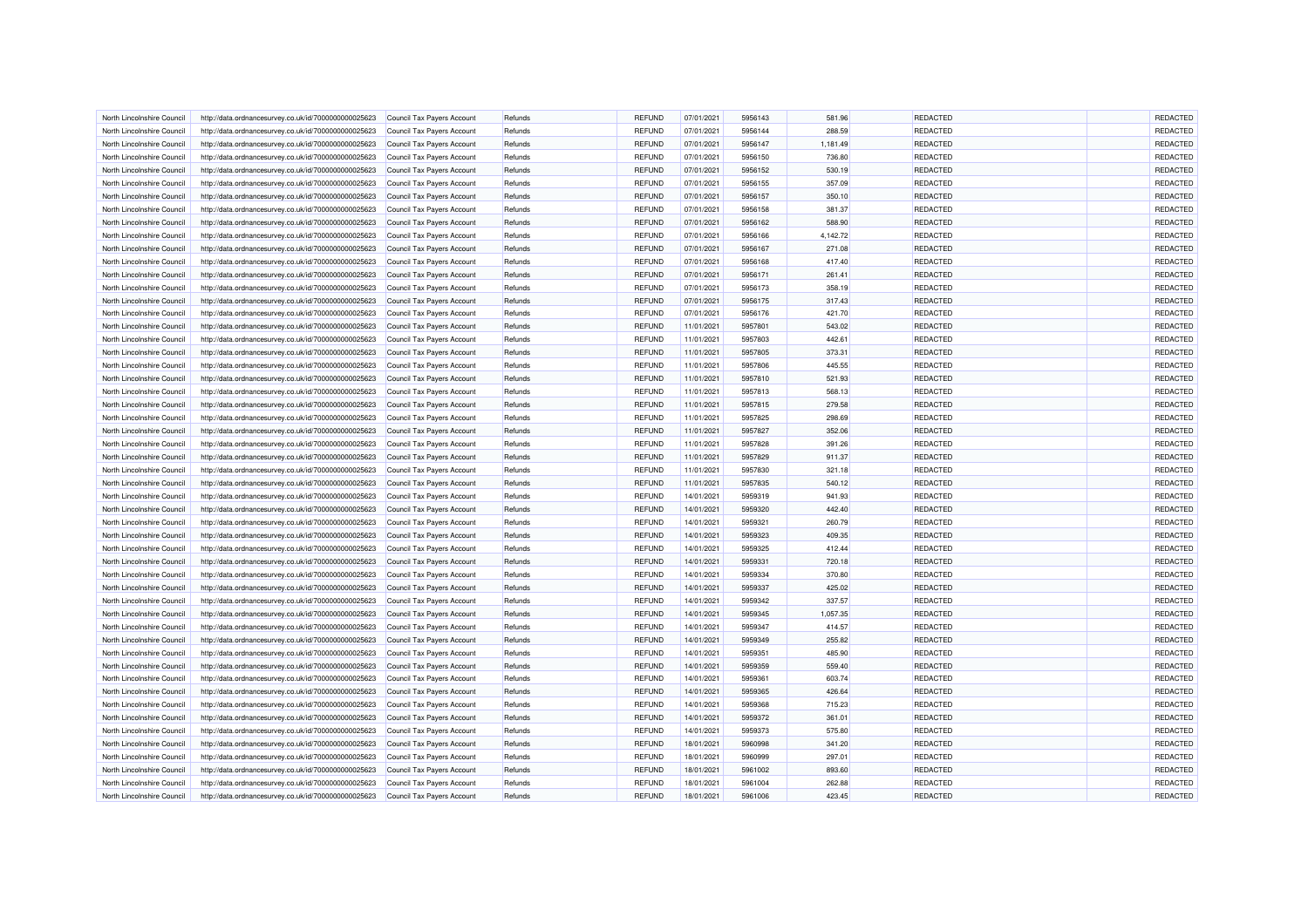| North Lincolnshire Council | http://data.ordnancesurvey.co.uk/id/7000000000025623 | Council Tax Payers Account | Refunds | <b>REFUND</b> | 07/01/2021 | 5956143 | 581.96   | REDACTED        | REDACTED |
|----------------------------|------------------------------------------------------|----------------------------|---------|---------------|------------|---------|----------|-----------------|----------|
| North Lincolnshire Council | http://data.ordnancesurvey.co.uk/id/7000000000025623 | Council Tax Payers Account | Refunds | <b>REFUND</b> | 07/01/2021 | 5956144 | 288.59   | REDACTED        | REDACTED |
| North Lincolnshire Council | http://data.ordnancesurvey.co.uk/id/7000000000025623 | Council Tax Payers Account | Refunds | <b>REFUND</b> | 07/01/2021 | 5956147 | 1,181.49 | REDACTED        | REDACTED |
| North Lincolnshire Counci  | http://data.ordnancesurvey.co.uk/id/7000000000025623 | Council Tax Payers Account | Refunds | <b>REFUND</b> | 07/01/2021 | 5956150 | 736.80   | REDACTED        | REDACTED |
| North Lincolnshire Council | http://data.ordnancesurvey.co.uk/id/7000000000025623 | Council Tax Payers Account | Refunds | REFUND        | 07/01/2021 | 5956152 | 530.19   | REDACTED        | REDACTED |
| North Lincolnshire Council | http://data.ordnancesurvey.co.uk/id/7000000000025623 | Council Tax Payers Account | Refunds | <b>REFUND</b> | 07/01/2021 | 5956155 | 357.09   | REDACTED        | REDACTED |
| North Lincolnshire Council | http://data.ordnancesurvey.co.uk/id/7000000000025623 | Council Tax Payers Account | Refunds | <b>REFUND</b> | 07/01/2021 | 5956157 | 350.10   | <b>REDACTED</b> | REDACTED |
| North Lincolnshire Council | http://data.ordnancesurvey.co.uk/id/7000000000025623 | Council Tax Payers Account | Refunds | <b>REFUND</b> | 07/01/2021 | 5956158 | 381.37   | <b>REDACTED</b> | REDACTED |
| North Lincolnshire Counci  | http://data.ordnancesurvey.co.uk/id/7000000000025623 | Council Tax Payers Account | Refunds | <b>REFUND</b> | 07/01/2021 | 5956162 | 588.90   | <b>REDACTED</b> | REDACTED |
| North Lincolnshire Council | http://data.ordnancesurvey.co.uk/id/7000000000025623 | Council Tax Payers Account | Refunds | <b>REFUND</b> | 07/01/2021 | 5956166 | 4,142.72 | <b>REDACTED</b> | REDACTED |
| North Lincolnshire Council | http://data.ordnancesurvey.co.uk/id/7000000000025623 | Council Tax Payers Account | Refunds | <b>REFUND</b> | 07/01/2021 | 5956167 | 271.08   | <b>REDACTED</b> | REDACTED |
| North Lincolnshire Council | http://data.ordnancesurvey.co.uk/id/7000000000025623 | Council Tax Payers Account | Refunds | <b>REFUND</b> | 07/01/2021 | 5956168 | 417.40   | REDACTED        | REDACTED |
| North Lincolnshire Council | http://data.ordnancesurvey.co.uk/id/7000000000025623 | Council Tax Payers Account | Refunds | <b>REFUND</b> | 07/01/2021 | 5956171 | 261.41   | <b>REDACTED</b> | REDACTED |
| North Lincolnshire Council | http://data.ordnancesurvey.co.uk/id/7000000000025623 | Council Tax Payers Account | Refunds | <b>REFUND</b> | 07/01/2021 | 5956173 | 358.19   | REDACTED        | REDACTED |
| North Lincolnshire Council | http://data.ordnancesurvey.co.uk/id/7000000000025623 | Council Tax Payers Account | Refunds | <b>REFUND</b> | 07/01/2021 | 5956175 | 317.43   | <b>REDACTED</b> | REDACTED |
| North Lincolnshire Council | http://data.ordnancesurvey.co.uk/id/7000000000025623 | Council Tax Payers Account | Refunds | <b>REFUND</b> | 07/01/2021 | 5956176 | 421.70   | REDACTED        | REDACTED |
| North Lincolnshire Council | http://data.ordnancesurvey.co.uk/id/7000000000025623 | Council Tax Payers Account | Refunds | <b>REFUND</b> | 11/01/2021 | 5957801 | 543.02   | REDACTED        | REDACTED |
| North Lincolnshire Council | http://data.ordnancesurvey.co.uk/id/7000000000025623 | Council Tax Payers Account | Refunds | <b>REFUND</b> | 11/01/2021 | 5957803 | 442.61   | <b>REDACTED</b> | REDACTED |
| North Lincolnshire Council | http://data.ordnancesurvey.co.uk/id/7000000000025623 | Council Tax Payers Account | Refunds | <b>REFUND</b> | 11/01/2021 | 5957805 | 373.31   | REDACTED        | REDACTED |
| North Lincolnshire Counci  | http://data.ordnancesurvey.co.uk/id/7000000000025623 | Council Tax Payers Account | Refunds | <b>REFUND</b> | 11/01/2021 | 5957806 | 445.55   | REDACTED        | REDACTED |
| North Lincolnshire Council |                                                      |                            | Refunds | <b>REFUND</b> | 11/01/2021 | 5957810 | 521.93   | REDACTED        | REDACTED |
| North Lincolnshire Council | http://data.ordnancesurvey.co.uk/id/7000000000025623 | Council Tax Payers Account | Refunds |               | 11/01/2021 | 5957813 | 568.13   | REDACTED        |          |
|                            | http://data.ordnancesurvey.co.uk/id/7000000000025623 | Council Tax Payers Account |         | <b>REFUND</b> |            |         |          |                 | REDACTED |
| North Lincolnshire Council | http://data.ordnancesurvey.co.uk/id/7000000000025623 | Council Tax Payers Account | Refunds | <b>REFUND</b> | 11/01/2021 | 5957815 | 279.58   | <b>REDACTED</b> | REDACTED |
| North Lincolnshire Council | http://data.ordnancesurvey.co.uk/id/7000000000025623 | Council Tax Payers Account | Refunds | <b>REFUND</b> | 11/01/2021 | 5957825 | 298.69   | REDACTED        | REDACTED |
| North Lincolnshire Council | http://data.ordnancesurvey.co.uk/id/7000000000025623 | Council Tax Payers Account | Refunds | <b>REFUND</b> | 11/01/2021 | 5957827 | 352.06   | REDACTED        | REDACTED |
| North Lincolnshire Counci  | http://data.ordnancesurvey.co.uk/id/7000000000025623 | Council Tax Payers Account | Refunds | REFUND        | 11/01/2021 | 5957828 | 391.26   | REDACTED        | REDACTED |
| North Lincolnshire Council | http://data.ordnancesurvey.co.uk/id/7000000000025623 | Council Tax Payers Account | Refunds | <b>REFUND</b> | 11/01/2021 | 5957829 | 911.37   | REDACTED        | REDACTED |
| North Lincolnshire Council | http://data.ordnancesurvey.co.uk/id/7000000000025623 | Council Tax Payers Account | Refunds | <b>REFUND</b> | 11/01/2021 | 5957830 | 321.18   | REDACTED        | REDACTED |
| North Lincolnshire Council | http://data.ordnancesurvey.co.uk/id/7000000000025623 | Council Tax Payers Account | Refunds | <b>REFUND</b> | 11/01/2021 | 5957835 | 540.12   | REDACTED        | REDACTED |
| North Lincolnshire Council | http://data.ordnancesurvey.co.uk/id/7000000000025623 | Council Tax Payers Account | Refunds | <b>REFUND</b> | 14/01/2021 | 5959319 | 941.93   | REDACTED        | REDACTED |
| North Lincolnshire Counci  | http://data.ordnancesurvey.co.uk/id/7000000000025623 | Council Tax Payers Account | Refunds | <b>REFUND</b> | 14/01/2021 | 5959320 | 442.40   | REDACTED        | REDACTED |
| North Lincolnshire Council | http://data.ordnancesurvey.co.uk/id/7000000000025623 | Council Tax Payers Account | Refunds | REFUND        | 14/01/2021 | 5959321 | 260.79   | REDACTED        | REDACTED |
| North Lincolnshire Council | http://data.ordnancesurvey.co.uk/id/7000000000025623 | Council Tax Payers Account | Refunds | <b>REFUND</b> | 14/01/2021 | 5959323 | 409.35   | REDACTED        | REDACTED |
| North Lincolnshire Council | http://data.ordnancesurvey.co.uk/id/7000000000025623 | Council Tax Payers Account | Refunds | <b>REFUND</b> | 14/01/2021 | 5959325 | 412.44   | <b>REDACTED</b> | REDACTED |
| North Lincolnshire Council | http://data.ordnancesurvey.co.uk/id/7000000000025623 | Council Tax Payers Account | Refunds | <b>REFUND</b> | 14/01/2021 | 5959331 | 720.18   | REDACTED        | REDACTED |
| North Lincolnshire Council | http://data.ordnancesurvey.co.uk/id/7000000000025623 | Council Tax Payers Account | Refunds | <b>REFUND</b> | 14/01/2021 | 5959334 | 370.80   | <b>REDACTED</b> | REDACTED |
| North Lincolnshire Council | http://data.ordnancesurvey.co.uk/id/7000000000025623 | Council Tax Payers Account | Refunds | <b>REFUND</b> | 14/01/2021 | 5959337 | 425.02   | <b>REDACTED</b> | REDACTED |
| North Lincolnshire Council | http://data.ordnancesurvey.co.uk/id/7000000000025623 | Council Tax Payers Account | Refunds | <b>REFUND</b> | 14/01/2021 | 5959342 | 337.57   | REDACTED        | REDACTED |
| North Lincolnshire Council | http://data.ordnancesurvey.co.uk/id/7000000000025623 | Council Tax Payers Account | Refunds | <b>REFUND</b> | 14/01/2021 | 5959345 | 1,057.35 | REDACTED        | REDACTED |
| North Lincolnshire Council | http://data.ordnancesurvey.co.uk/id/7000000000025623 | Council Tax Payers Account | Refunds | <b>REFUND</b> | 14/01/2021 | 5959347 | 414.57   | <b>REDACTED</b> | REDACTED |
| North Lincolnshire Council | http://data.ordnancesurvey.co.uk/id/7000000000025623 | Council Tax Payers Account | Refunds | <b>REFUND</b> | 14/01/2021 | 5959349 | 255.82   | REDACTED        | REDACTED |
| North Lincolnshire Council | http://data.ordnancesurvey.co.uk/id/7000000000025623 | Council Tax Payers Account | Refunds | <b>REFUND</b> | 14/01/2021 | 5959351 | 485.90   | <b>REDACTED</b> | REDACTED |
| North Lincolnshire Council | http://data.ordnancesurvey.co.uk/id/7000000000025623 | Council Tax Payers Account | Refunds | <b>REFUND</b> | 14/01/2021 | 5959359 | 559.40   | REDACTED        | REDACTED |
| North Lincolnshire Council | http://data.ordnancesurvey.co.uk/id/7000000000025623 | Council Tax Payers Account | Refunds | <b>REFUND</b> | 14/01/2021 | 5959361 | 603.74   | REDACTED        | REDACTED |
| North Lincolnshire Council | http://data.ordnancesurvey.co.uk/id/7000000000025623 | Council Tax Payers Account | Refunds | <b>REFUND</b> | 14/01/2021 | 5959365 | 426.64   | <b>REDACTED</b> | REDACTED |
| North Lincolnshire Council | http://data.ordnancesurvey.co.uk/id/7000000000025623 | Council Tax Payers Account | Refunds | <b>REFUND</b> | 14/01/2021 | 5959368 | 715.23   | REDACTED        | REDACTED |
| North Lincolnshire Counci  | http://data.ordnancesurvey.co.uk/id/7000000000025623 | Council Tax Payers Account | Refunds | <b>REFUND</b> | 14/01/2021 | 5959372 | 361.01   | REDACTED        | REDACTED |
| North Lincolnshire Council | http://data.ordnancesurvey.co.uk/id/7000000000025623 | Council Tax Payers Account | Refunds | <b>REFUND</b> | 14/01/2021 | 5959373 | 575.80   | REDACTED        | REDACTED |
| North Lincolnshire Council | http://data.ordnancesurvey.co.uk/id/7000000000025623 | Council Tax Payers Account | Refunds | <b>REFUND</b> | 18/01/2021 | 5960998 | 341.20   | REDACTED        | REDACTED |
| North Lincolnshire Council | http://data.ordnancesurvey.co.uk/id/7000000000025623 | Council Tax Payers Account | Refunds | <b>REFUND</b> | 18/01/2021 | 5960999 | 297.01   | <b>REDACTED</b> | REDACTED |
| North Lincolnshire Counci  |                                                      |                            |         |               |            |         |          | REDACTED        | REDACTED |
|                            | http://data.ordnancesurvey.co.uk/id/7000000000025623 | Council Tax Payers Account | Refunds | <b>REFUND</b> | 18/01/2021 | 5961002 | 893.60   | REDACTED        | REDACTED |
| North Lincolnshire Council | http://data.ordnancesurvey.co.uk/id/7000000000025623 | Council Tax Payers Account | Refunds | <b>REFUND</b> | 18/01/2021 | 5961004 | 262.88   |                 |          |
| North Lincolnshire Council | http://data.ordnancesurvey.co.uk/id/7000000000025623 | Council Tax Payers Account | Refunds | <b>REFUND</b> | 18/01/2021 | 5961006 | 423.45   | REDACTED        | REDACTED |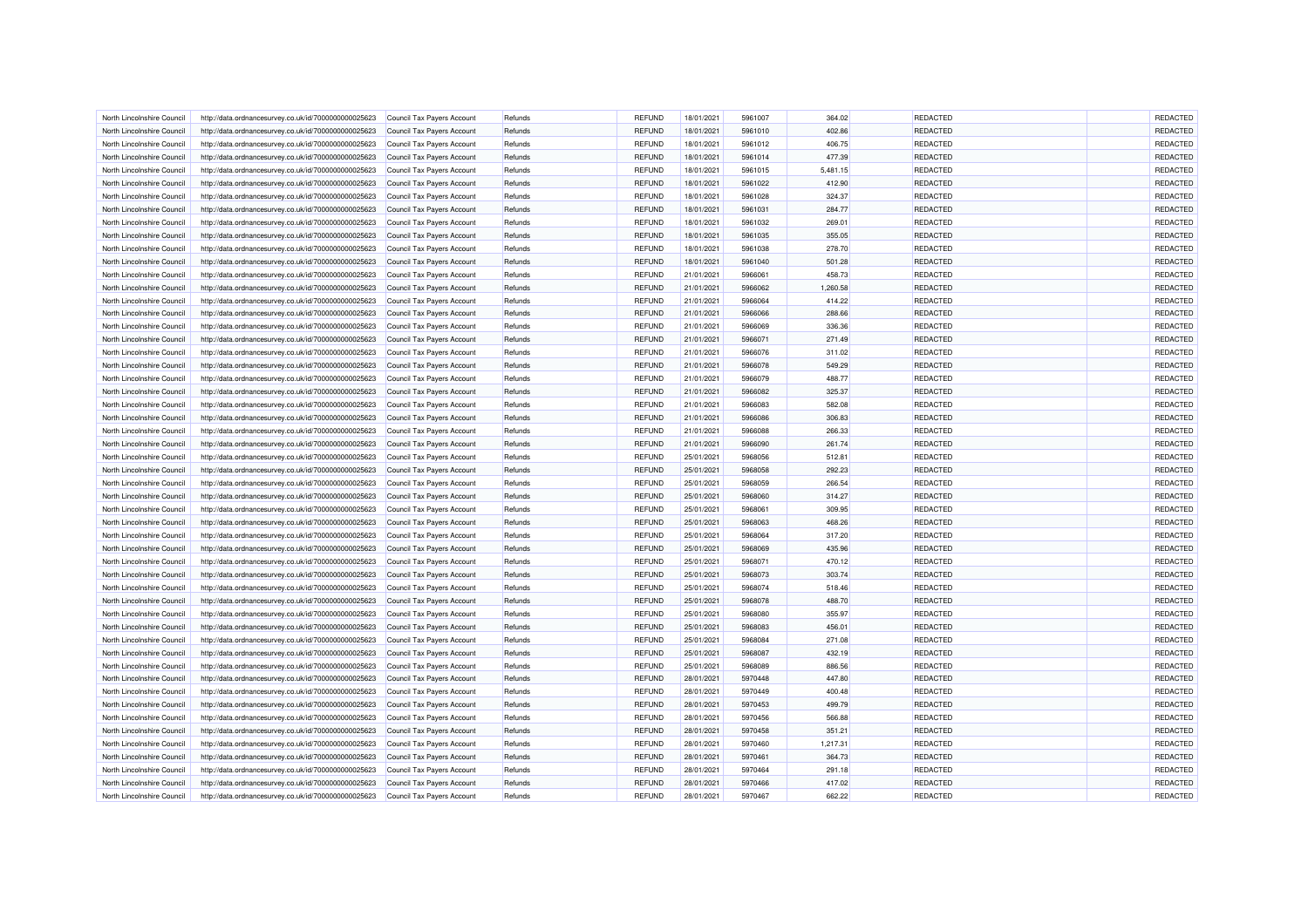| North Lincolnshire Council | http://data.ordnancesurvey.co.uk/id/7000000000025623 | Council Tax Payers Account | Refunds | REFUND        | 18/01/2021 | 5961007 | 364.02   | REDACTED        | <b>REDACTED</b> |
|----------------------------|------------------------------------------------------|----------------------------|---------|---------------|------------|---------|----------|-----------------|-----------------|
| North Lincolnshire Council | http://data.ordnancesurvey.co.uk/id/7000000000025623 | Council Tax Payers Account | Refunds | <b>REFUND</b> | 18/01/2021 | 5961010 | 402.86   | REDACTED        | REDACTED        |
| North Lincolnshire Council | http://data.ordnancesurvey.co.uk/id/7000000000025623 | Council Tax Payers Account | Refunds | <b>REFUND</b> | 18/01/2021 | 5961012 | 406.75   | REDACTED        | REDACTED        |
| North Lincolnshire Council | http://data.ordnancesurvey.co.uk/id/7000000000025623 | Council Tax Payers Account | Refunds | <b>REFUND</b> | 18/01/2021 | 5961014 | 477.39   | REDACTED        | REDACTED        |
| North Lincolnshire Council | http://data.ordnancesurvey.co.uk/id/7000000000025623 | Council Tax Payers Account | Refunds | <b>REFUND</b> | 18/01/2021 | 5961015 | 5,481.15 | <b>REDACTED</b> | REDACTED        |
| North Lincolnshire Council | http://data.ordnancesurvey.co.uk/id/7000000000025623 | Council Tax Payers Account | Refunds | <b>REFUND</b> | 18/01/2021 | 5961022 | 412.90   | <b>REDACTED</b> | REDACTED        |
| North Lincolnshire Council | http://data.ordnancesurvey.co.uk/id/7000000000025623 | Council Tax Payers Account | Refunds | <b>REFUND</b> | 18/01/2021 | 5961028 | 324.37   | REDACTED        | REDACTED        |
| North Lincolnshire Council | http://data.ordnancesurvey.co.uk/id/7000000000025623 | Council Tax Payers Account | Refunds | <b>REFUND</b> | 18/01/2021 | 5961031 | 284.77   | <b>REDACTED</b> | REDACTED        |
| North Lincolnshire Counci  | http://data.ordnancesurvey.co.uk/id/7000000000025623 | Council Tax Payers Account | Refunds | <b>REFUND</b> | 18/01/2021 | 5961032 | 269.01   | REDACTED        | REDACTED        |
| North Lincolnshire Council | http://data.ordnancesurvey.co.uk/id/7000000000025623 | Council Tax Payers Account | Refunds | <b>REFUND</b> | 18/01/2021 | 5961035 | 355.05   | <b>REDACTED</b> | REDACTED        |
| North Lincolnshire Council | http://data.ordnancesurvey.co.uk/id/7000000000025623 | Council Tax Payers Account | Refunds | <b>REFUND</b> | 18/01/2021 | 5961038 | 278.70   | REDACTED        | REDACTED        |
|                            |                                                      |                            |         | <b>REFUND</b> |            |         |          | REDACTED        | REDACTED        |
| North Lincolnshire Council | http://data.ordnancesurvey.co.uk/id/7000000000025623 | Council Tax Payers Account | Refunds |               | 18/01/2021 | 5961040 | 501.28   |                 |                 |
| North Lincolnshire Council | http://data.ordnancesurvey.co.uk/id/7000000000025623 | Council Tax Payers Account | Refunds | <b>REFUND</b> | 21/01/2021 | 5966061 | 458.73   | REDACTED        | REDACTED        |
| North Lincolnshire Council | http://data.ordnancesurvey.co.uk/id/7000000000025623 | Council Tax Payers Account | Refunds | <b>REFUND</b> | 21/01/2021 | 5966062 | 1,260.58 | REDACTED        | REDACTED        |
| North Lincolnshire Council | http://data.ordnancesurvey.co.uk/id/7000000000025623 | Council Tax Payers Account | Refunds | REFUND        | 21/01/2021 | 5966064 | 414.22   | <b>REDACTED</b> | REDACTED        |
| North Lincolnshire Council | http://data.ordnancesurvey.co.uk/id/7000000000025623 | Council Tax Payers Account | Refunds | <b>REFUND</b> | 21/01/2021 | 5966066 | 288.66   | <b>REDACTED</b> | REDACTED        |
| North Lincolnshire Council | http://data.ordnancesurvey.co.uk/id/7000000000025623 | Council Tax Payers Account | Refunds | <b>REFUND</b> | 21/01/2021 | 5966069 | 336.36   | REDACTED        | REDACTED        |
| North Lincolnshire Council | http://data.ordnancesurvey.co.uk/id/7000000000025623 | Council Tax Payers Account | Refunds | <b>REFUND</b> | 21/01/2021 | 5966071 | 271.49   | REDACTED        | REDACTED        |
| North Lincolnshire Council | http://data.ordnancesurvey.co.uk/id/7000000000025623 | Council Tax Payers Account | Refunds | <b>REFUND</b> | 21/01/2021 | 5966076 | 311.02   | REDACTED        | REDACTED        |
| North Lincolnshire Council | http://data.ordnancesurvey.co.uk/id/7000000000025623 | Council Tax Payers Account | Refunds | <b>REFUND</b> | 21/01/2021 | 5966078 | 549.29   | <b>REDACTED</b> | REDACTED        |
| North Lincolnshire Council | http://data.ordnancesurvey.co.uk/id/7000000000025623 | Council Tax Payers Account | Refunds | <b>REFUND</b> | 21/01/2021 | 5966079 | 488.77   | REDACTED        | REDACTED        |
| North Lincolnshire Council | http://data.ordnancesurvey.co.uk/id/7000000000025623 | Council Tax Payers Account | Refunds | <b>REFUND</b> | 21/01/2021 | 5966082 | 325.37   | REDACTED        | REDACTED        |
| North Lincolnshire Council | http://data.ordnancesurvey.co.uk/id/7000000000025623 | Council Tax Payers Account | Refunds | <b>REFUND</b> | 21/01/2021 | 5966083 | 582.08   | <b>REDACTED</b> | REDACTED        |
| North Lincolnshire Council | http://data.ordnancesurvey.co.uk/id/7000000000025623 | Council Tax Payers Account | Refunds | <b>REFUND</b> | 21/01/2021 | 5966086 | 306.83   | REDACTED        | REDACTED        |
| North Lincolnshire Council | http://data.ordnancesurvey.co.uk/id/7000000000025623 | Council Tax Payers Account | Refunds | <b>REFUND</b> | 21/01/2021 | 5966088 | 266.33   | REDACTED        | REDACTED        |
| North Lincolnshire Council | http://data.ordnancesurvey.co.uk/id/7000000000025623 | Council Tax Payers Account | Refunds | <b>REFUND</b> | 21/01/2021 | 5966090 | 261.74   | REDACTED        | REDACTED        |
| North Lincolnshire Council | http://data.ordnancesurvey.co.uk/id/7000000000025623 | Council Tax Payers Account | Refunds | <b>REFUND</b> | 25/01/2021 | 5968056 | 512.81   | REDACTED        | REDACTED        |
| North Lincolnshire Council | http://data.ordnancesurvey.co.uk/id/7000000000025623 | Council Tax Payers Account | Refunds | <b>REFUND</b> | 25/01/2021 | 5968058 | 292.23   | <b>REDACTED</b> | REDACTED        |
| North Lincolnshire Council | http://data.ordnancesurvey.co.uk/id/7000000000025623 | Council Tax Payers Account | Refunds | REFUND        | 25/01/2021 | 5968059 | 266.54   | REDACTED        | REDACTED        |
| North Lincolnshire Council | http://data.ordnancesurvey.co.uk/id/7000000000025623 | Council Tax Payers Account | Refunds | <b>REFUND</b> | 25/01/2021 | 5968060 | 314.27   | REDACTED        | REDACTED        |
| North Lincolnshire Council | http://data.ordnancesurvey.co.uk/id/7000000000025623 | Council Tax Payers Account | Refunds | <b>REFUND</b> | 25/01/2021 | 5968061 | 309.95   | REDACTED        | REDACTED        |
| North Lincolnshire Council | http://data.ordnancesurvey.co.uk/id/7000000000025623 | Council Tax Payers Account | Refunds | <b>REFUND</b> | 25/01/2021 | 5968063 | 468.26   | <b>REDACTED</b> | REDACTED        |
| North Lincolnshire Council | http://data.ordnancesurvey.co.uk/id/7000000000025623 | Council Tax Payers Account | Refunds | <b>REFUND</b> | 25/01/2021 | 5968064 | 317.20   | REDACTED        | REDACTED        |
| North Lincolnshire Council | http://data.ordnancesurvey.co.uk/id/7000000000025623 | Council Tax Payers Account | Refunds | <b>REFUND</b> | 25/01/2021 | 5968069 | 435.96   | <b>REDACTED</b> | REDACTED        |
| North Lincolnshire Council | http://data.ordnancesurvey.co.uk/id/7000000000025623 | Council Tax Payers Account | Refunds | <b>REFUND</b> | 25/01/2021 | 5968071 | 470.12   | REDACTED        | REDACTED        |
| North Lincolnshire Counci  | http://data.ordnancesurvey.co.uk/id/7000000000025623 | Council Tax Payers Account | Refunds | <b>REFUND</b> | 25/01/2021 | 5968073 | 303.74   | REDACTED        | REDACTED        |
| North Lincolnshire Council | http://data.ordnancesurvey.co.uk/id/7000000000025623 | Council Tax Payers Account | Refunds | REFUND        | 25/01/2021 | 5968074 | 518.46   | <b>REDACTED</b> | REDACTED        |
| North Lincolnshire Council | http://data.ordnancesurvey.co.uk/id/7000000000025623 | Council Tax Payers Account | Refunds | <b>REFUND</b> | 25/01/2021 | 5968078 | 488.70   | <b>REDACTED</b> | REDACTED        |
| North Lincolnshire Council | http://data.ordnancesurvey.co.uk/id/7000000000025623 | Council Tax Payers Account | Refunds | <b>REFUND</b> | 25/01/2021 | 5968080 | 355.97   | REDACTED        | REDACTED        |
| North Lincolnshire Council | http://data.ordnancesurvey.co.uk/id/7000000000025623 | Council Tax Payers Account | Refunds | REFUND        | 25/01/2021 | 5968083 | 456.01   | REDACTED        | REDACTED        |
| North Lincolnshire Council | http://data.ordnancesurvey.co.uk/id/7000000000025623 | Council Tax Payers Account | Refunds | <b>REFUND</b> | 25/01/2021 | 5968084 | 271.08   | REDACTED        | REDACTED        |
| North Lincolnshire Council | http://data.ordnancesurvey.co.uk/id/7000000000025623 | Council Tax Payers Account | Refunds | <b>REFUND</b> | 25/01/2021 | 5968087 | 432.19   | <b>REDACTED</b> | REDACTED        |
| North Lincolnshire Council | http://data.ordnancesurvey.co.uk/id/7000000000025623 | Council Tax Payers Account | Refunds | <b>REFUND</b> | 25/01/2021 | 5968089 | 886.56   | REDACTED        | REDACTED        |
| North Lincolnshire Council | http://data.ordnancesurvey.co.uk/id/7000000000025623 | Council Tax Payers Account | Refunds | <b>REFUND</b> | 28/01/2021 | 5970448 | 447.80   | REDACTED        | REDACTED        |
|                            |                                                      |                            |         |               |            |         |          | <b>REDACTED</b> | REDACTED        |
| North Lincolnshire Council | http://data.ordnancesurvey.co.uk/id/7000000000025623 | Council Tax Payers Account | Refunds | REFUND        | 28/01/2021 | 5970449 | 400.48   |                 |                 |
| North Lincolnshire Council | http://data.ordnancesurvey.co.uk/id/7000000000025623 | Council Tax Payers Account | Refunds | <b>REFUND</b> | 28/01/2021 | 5970453 | 499.79   | REDACTED        | REDACTED        |
| North Lincolnshire Council | http://data.ordnancesurvey.co.uk/id/7000000000025623 | Council Tax Payers Account | Refunds | <b>REFUND</b> | 28/01/2021 | 5970456 | 566.88   | REDACTED        | REDACTED        |
| North Lincolnshire Council | http://data.ordnancesurvey.co.uk/id/7000000000025623 | Council Tax Payers Account | Refunds | <b>REFUND</b> | 28/01/2021 | 5970458 | 351.21   | REDACTED        | REDACTED        |
| North Lincolnshire Council | http://data.ordnancesurvey.co.uk/id/7000000000025623 | Council Tax Payers Account | Refunds | <b>REFUND</b> | 28/01/2021 | 5970460 | 1.217.31 | REDACTED        | REDACTED        |
| North Lincolnshire Council | http://data.ordnancesurvey.co.uk/id/7000000000025623 | Council Tax Payers Account | Refunds | <b>REFUND</b> | 28/01/2021 | 5970461 | 364.73   | <b>REDACTED</b> | REDACTED        |
| North Lincolnshire Counci  | http://data.ordnancesurvey.co.uk/id/7000000000025623 | Council Tax Payers Account | Refunds | <b>REFUND</b> | 28/01/2021 | 5970464 | 291.18   | REDACTED        | REDACTED        |
| North Lincolnshire Council | http://data.ordnancesurvey.co.uk/id/7000000000025623 | Council Tax Payers Account | Refunds | <b>REFUND</b> | 28/01/2021 | 5970466 | 417.02   | REDACTED        | REDACTED        |
| North Lincolnshire Council | http://data.ordnancesurvey.co.uk/id/7000000000025623 | Council Tax Payers Account | Refunds | <b>REFUND</b> | 28/01/2021 | 5970467 | 662.22   | REDACTED        | REDACTED        |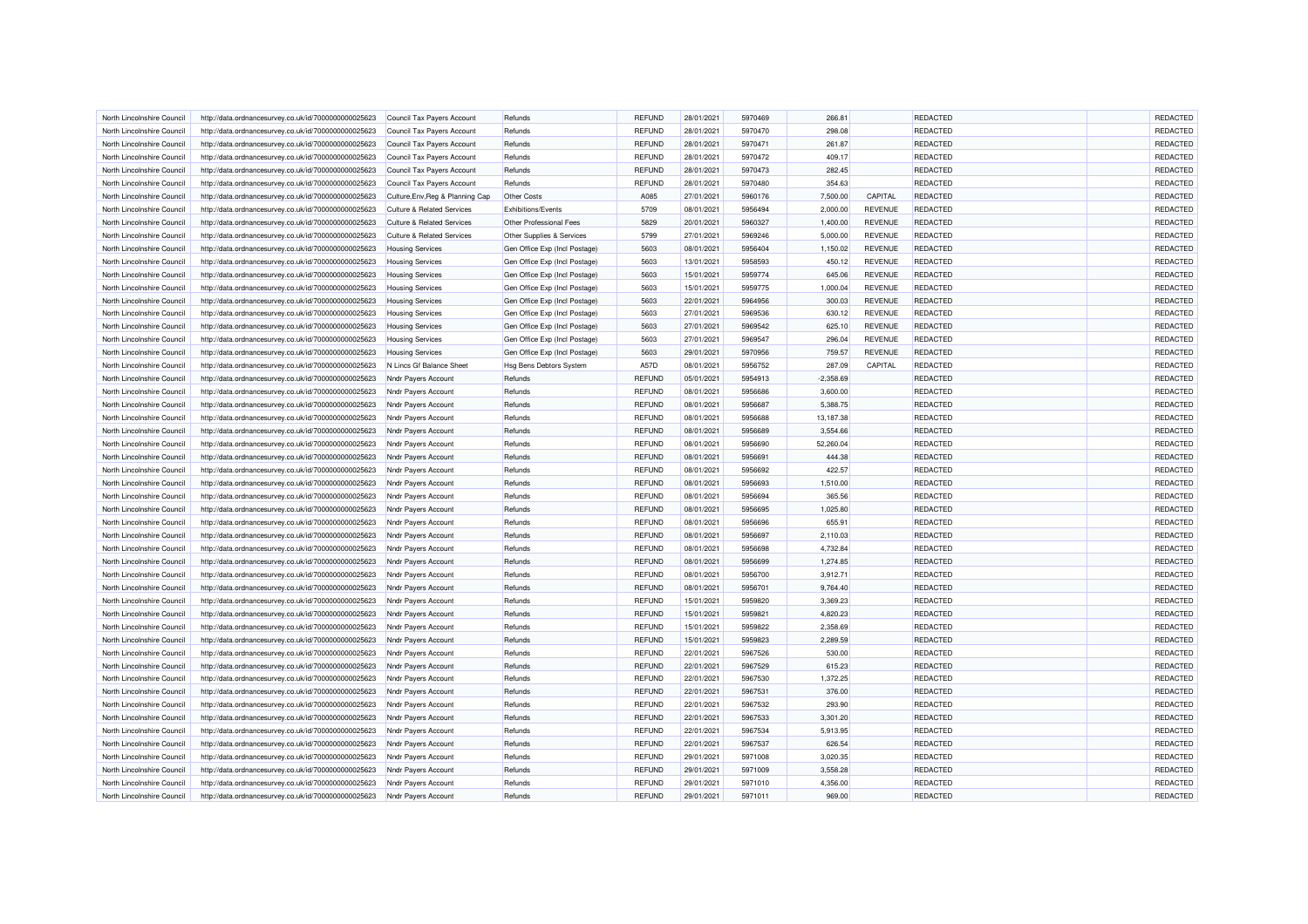| North Lincolnshire Council                               | http://data.ordnancesurvey.co.uk/id/7000000000025623 | Council Tax Payers Account            | Refunds                        | REFUND        | 28/01/2021               | 5970469            | 266.81              |                | REDACTED                    | <b>REDACTED</b>      |
|----------------------------------------------------------|------------------------------------------------------|---------------------------------------|--------------------------------|---------------|--------------------------|--------------------|---------------------|----------------|-----------------------------|----------------------|
| North Lincolnshire Council                               | http://data.ordnancesurvey.co.uk/id/7000000000025623 | Council Tax Payers Account            | Refunds                        | REFUND        | 28/01/2021               | 5970470            | 298.08              |                | REDACTED                    | REDACTED             |
| North Lincolnshire Counci                                | http://data.ordnancesurvey.co.uk/id/7000000000025623 | Council Tax Payers Account            | Refunds                        | <b>REFUND</b> | 28/01/2021               | 5970471            | 261.87              |                | REDACTED                    | REDACTED             |
| North Lincolnshire Council                               | http://data.ordnancesurvey.co.uk/id/7000000000025623 | Council Tax Payers Account            | Refunds                        | <b>REFUND</b> | 28/01/2021               | 5970472            | 409.17              |                | REDACTED                    | REDACTED             |
| North Lincolnshire Council                               | http://data.ordnancesurvey.co.uk/id/7000000000025623 | Council Tax Payers Account            | Refunds                        | <b>REFUND</b> | 28/01/2021               | 5970473            | 282.45              |                | <b>REDACTED</b>             | REDACTED             |
| North Lincolnshire Council                               | http://data.ordnancesurvey.co.uk/id/7000000000025623 | Council Tax Payers Account            | Refunds                        | <b>REFUND</b> | 28/01/2021               | 5970480            | 354.63              |                | <b>REDACTED</b>             | REDACTED             |
| North Lincolnshire Council                               | http://data.ordnancesurvey.co.uk/id/7000000000025623 | Culture, Env, Reg & Planning Cap      | Other Costs                    | A085          | 27/01/2021               | 5960176            | 7,500.00            | CAPITAL        | REDACTED                    | REDACTED             |
| North Lincolnshire Council                               | http://data.ordnancesurvey.co.uk/id/7000000000025623 | <b>Culture &amp; Related Services</b> | <b>Exhibitions/Events</b>      | 5709          | 08/01/2021               | 5956494            | 2,000.00            | <b>REVENUE</b> | <b>REDACTED</b>             | REDACTED             |
| North Lincolnshire Counci                                | http://data.ordnancesurvey.co.uk/id/7000000000025623 | <b>Culture &amp; Related Services</b> | Other Professional Fees        | 5829          | 20/01/2021               | 5960327            | 1,400.00            | <b>REVENUE</b> | <b>REDACTED</b>             | REDACTED             |
| North Lincolnshire Council                               | http://data.ordnancesurvey.co.uk/id/7000000000025623 | <b>Culture &amp; Related Services</b> | Other Supplies & Services      | 5799          | 27/01/2021               | 5969246            | 5,000.00            | <b>REVENUE</b> | REDACTED                    | REDACTED             |
| North Lincolnshire Council                               | http://data.ordnancesurvey.co.uk/id/7000000000025623 | <b>Housing Services</b>               | Gen Office Exp (Incl Postage)  | 5603          | 08/01/2021               | 5956404            | 1,150.02            | <b>REVENUE</b> | REDACTED                    | REDACTED             |
| North Lincolnshire Council                               | http://data.ordnancesurvey.co.uk/id/7000000000025623 | <b>Housing Services</b>               | Gen Office Exp (Incl Postage   | 5603          | 13/01/2021               | 5958593            | 450.12              | REVENUE        | REDACTED                    | REDACTED             |
| North Lincolnshire Council                               | http://data.ordnancesurvey.co.uk/id/7000000000025623 | <b>Housing Services</b>               | Gen Office Exp (Incl Postage)  | 5603          | 15/01/2021               | 5959774            | 645.06              | <b>REVENUE</b> | REDACTED                    | REDACTED             |
| North Lincolnshire Council                               | http://data.ordnancesurvey.co.uk/id/7000000000025623 | <b>Housing Services</b>               | Gen Office Exp (Incl Postage)  | 5603          | 15/01/2021               | 5959775            | 1,000.04            | <b>REVENUE</b> | REDACTED                    | REDACTED             |
| North Lincolnshire Council                               | http://data.ordnancesurvey.co.uk/id/7000000000025623 | <b>Housing Services</b>               | Gen Office Exp (Incl Postage)  | 5603          | 22/01/2021               | 5964956            | 300.03              | <b>REVENUE</b> | REDACTED                    | REDACTED             |
| North Lincolnshire Council                               | http://data.ordnancesurvey.co.uk/id/7000000000025623 | <b>Housing Services</b>               | Gen Office Exp (Incl Postage)  | 5603          | 27/01/2021               | 5969536            | 630.12              | <b>REVENUE</b> | REDACTED                    | REDACTED             |
| North Lincolnshire Council                               | http://data.ordnancesurvey.co.uk/id/7000000000025623 | <b>Housing Services</b>               | Gen Office Exp (Incl Postage)  | 5603          | 27/01/2021               | 5969542            | 625.10              | <b>REVENUE</b> | REDACTED                    | REDACTED             |
| North Lincolnshire Council                               | http://data.ordnancesurvey.co.uk/id/7000000000025623 | <b>Housing Services</b>               | Gen Office Exp (Incl Postage)  | 5603          | 27/01/2021               | 5969547            | 296.04              | <b>REVENUE</b> | REDACTED                    | REDACTED             |
| North Lincolnshire Council                               | http://data.ordnancesurvey.co.uk/id/7000000000025623 | <b>Housing Services</b>               | Gen Office Exp (Incl Postage)  | 5603          | 29/01/2021               | 5970956            | 759.57              | <b>REVENUE</b> | REDACTED                    | REDACTED             |
| North Lincolnshire Council                               | http://data.ordnancesurvey.co.uk/id/7000000000025623 | N Lincs Gf Balance Sheet              | <b>Hsg Bens Debtors System</b> | A57D          | 08/01/2021               | 5956752            | 287.09              | CAPITAL        | <b>REDACTED</b>             | REDACTED             |
| North Lincolnshire Council                               | http://data.ordnancesurvey.co.uk/id/7000000000025623 | Nndr Payers Account                   | Refunds                        | <b>REFUND</b> | 05/01/2021               | 5954913            | $-2,358.69$         |                | REDACTED                    | REDACTED             |
| North Lincolnshire Council                               | http://data.ordnancesurvey.co.uk/id/7000000000025623 | Nndr Payers Account                   | Refunds                        | <b>REFUND</b> | 08/01/2021               | 5956686            | 3,600.00            |                | REDACTED                    | REDACTED             |
| North Lincolnshire Council                               | http://data.ordnancesurvey.co.uk/id/7000000000025623 | Nndr Payers Account                   | Refunds                        | <b>REFUND</b> | 08/01/2021               | 5956687            | 5,388.75            |                | <b>REDACTED</b>             | REDACTED             |
| North Lincolnshire Council                               | http://data.ordnancesurvey.co.uk/id/7000000000025623 | Nndr Payers Account                   | Refunds                        | REFUND        | 08/01/2021               | 5956688            | 13,187.38           |                | REDACTED                    | REDACTED             |
| North Lincolnshire Council                               | http://data.ordnancesurvey.co.uk/id/7000000000025623 | Nndr Payers Account                   | Refunds                        | <b>REFUND</b> | 08/01/2021               | 5956689            | 3,554.66            |                | REDACTED                    | REDACTED             |
|                                                          |                                                      |                                       |                                |               |                          |                    |                     |                |                             |                      |
| North Lincolnshire Council<br>North Lincolnshire Council | http://data.ordnancesurvey.co.uk/id/7000000000025623 | Nndr Payers Account                   | Refunds<br>Refunds             | <b>REFUND</b> | 08/01/2021<br>08/01/2021 | 5956690<br>5956691 | 52,260.04<br>444.38 |                | REDACTED<br><b>REDACTED</b> | REDACTED             |
|                                                          | http://data.ordnancesurvey.co.uk/id/7000000000025623 | Nndr Payers Account                   |                                | <b>REFUND</b> |                          |                    | 422.57              |                | <b>REDACTED</b>             | REDACTED<br>REDACTED |
| North Lincolnshire Council                               | http://data.ordnancesurvey.co.uk/id/7000000000025623 | Nndr Payers Account                   | Refunds                        | <b>REFUND</b> | 08/01/2021               | 5956692            |                     |                |                             |                      |
| North Lincolnshire Council                               | http://data.ordnancesurvey.co.uk/id/7000000000025623 | Nndr Payers Account                   | Refunds                        | REFUND        | 08/01/2021               | 5956693            | 1,510.00            |                | REDACTED                    | REDACTED             |
| North Lincolnshire Council                               | http://data.ordnancesurvey.co.uk/id/7000000000025623 | Nndr Payers Account                   | Refunds                        | <b>REFUND</b> | 08/01/2021               | 5956694            | 365.56              |                | REDACTED                    | REDACTED             |
| North Lincolnshire Counci                                | http://data.ordnancesurvey.co.uk/id/7000000000025623 | Nndr Payers Account                   | Refunds                        | <b>REFUND</b> | 08/01/2021               | 5956695            | 1,025.80            |                | REDACTED                    | REDACTED             |
| North Lincolnshire Council                               | http://data.ordnancesurvey.co.uk/id/7000000000025623 | Nndr Payers Account                   | Refunds                        | REFUND        | 08/01/2021               | 5956696            | 655.91              |                | REDACTED                    | REDACTED             |
| North Lincolnshire Council                               | http://data.ordnancesurvey.co.uk/id/7000000000025623 | Nndr Payers Account                   | Refunds                        | <b>REFUND</b> | 08/01/2021               | 5956697            | 2,110.03            |                | REDACTED                    | REDACTED             |
| North Lincolnshire Council                               | http://data.ordnancesurvey.co.uk/id/7000000000025623 | Nndr Payers Account                   | Refunds                        | <b>REFUND</b> | 08/01/2021               | 5956698            | 4,732.84            |                | <b>REDACTED</b>             | REDACTED             |
| North Lincolnshire Council                               | http://data.ordnancesurvey.co.uk/id/7000000000025623 | Nndr Payers Account                   | Refunds                        | <b>REFUND</b> | 08/01/2021               | 5956699            | 1,274.85            |                | <b>REDACTED</b>             | REDACTED             |
| North Lincolnshire Counci                                | http://data.ordnancesurvey.co.uk/id/7000000000025623 | Nndr Payers Account                   | Refunds                        | <b>REFUND</b> | 08/01/2021               | 5956700            | 3,912.71            |                | REDACTED                    | REDACTED             |
| North Lincolnshire Council                               | http://data.ordnancesurvey.co.uk/id/7000000000025623 | Nndr Payers Account                   | Refunds                        | REFUND        | 08/01/2021               | 5956701            | 9,764.40            |                | <b>REDACTED</b>             | REDACTED             |
| North Lincolnshire Council                               | http://data.ordnancesurvey.co.uk/id/7000000000025623 | Nndr Payers Account                   | Refunds                        | <b>REFUND</b> | 15/01/2021               | 5959820            | 3,369.23            |                | REDACTED                    | REDACTED             |
| North Lincolnshire Council                               | http://data.ordnancesurvey.co.uk/id/7000000000025623 | Nndr Payers Account                   | Refunds                        | <b>REFUND</b> | 15/01/2021               | 5959821            | 4.820.23            |                | REDACTED                    | REDACTED             |
| North Lincolnshire Council                               | http://data.ordnancesurvey.co.uk/id/7000000000025623 | Nndr Payers Account                   | Refunds                        | REFUND        | 15/01/2021               | 5959822            | 2,358.69            |                | <b>REDACTED</b>             | REDACTED             |
| North Lincolnshire Council                               | http://data.ordnancesurvey.co.uk/id/7000000000025623 | Nndr Payers Account                   | Refunds                        | <b>REFUND</b> | 15/01/2021               | 5959823            | 2,289.59            |                | REDACTED                    | REDACTED             |
| North Lincolnshire Council                               | http://data.ordnancesurvey.co.uk/id/7000000000025623 | Nndr Payers Account                   | Refunds                        | <b>REFUND</b> | 22/01/2021               | 5967526            | 530.00              |                | <b>REDACTED</b>             | REDACTED             |
| North Lincolnshire Council                               | http://data.ordnancesurvey.co.uk/id/7000000000025623 | Nndr Payers Account                   | Refunds                        | <b>REFUND</b> | 22/01/2021               | 5967529            | 615.23              |                | REDACTED                    | REDACTED             |
| North Lincolnshire Council                               | http://data.ordnancesurvey.co.uk/id/7000000000025623 | Nndr Payers Account                   | Refunds                        | <b>REFUND</b> | 22/01/2021               | 5967530            | 1,372.25            |                | REDACTED                    | REDACTED             |
| North Lincolnshire Council                               | http://data.ordnancesurvey.co.uk/id/7000000000025623 | Nndr Payers Account                   | Refunds                        | REFUND        | 22/01/2021               | 5967531            | 376.00              |                | <b>REDACTED</b>             | REDACTED             |
| North Lincolnshire Council                               | http://data.ordnancesurvey.co.uk/id/7000000000025623 | Nndr Payers Account                   | Refunds                        | <b>REFUND</b> | 22/01/2021               | 5967532            | 293.90              |                | REDACTED                    | REDACTED             |
| North Lincolnshire Counci                                | http://data.ordnancesurvey.co.uk/id/7000000000025623 | Nndr Payers Account                   | Refunds                        | <b>REFUND</b> | 22/01/2021               | 5967533            | 3,301.20            |                | REDACTED                    | REDACTED             |
| North Lincolnshire Council                               | http://data.ordnancesurvey.co.uk/id/7000000000025623 | Nndr Payers Account                   | Refunds                        | <b>REFUND</b> | 22/01/2021               | 5967534            | 5,913.95            |                | REDACTED                    | REDACTED             |
| North Lincolnshire Council                               | http://data.ordnancesurvey.co.uk/id/7000000000025623 | Nndr Payers Account                   | Refunds                        | <b>REFUND</b> | 22/01/2021               | 5967537            | 626.54              |                | <b>REDACTED</b>             | REDACTED             |
| North Lincolnshire Council                               | http://data.ordnancesurvey.co.uk/id/7000000000025623 | Nndr Payers Account                   | Refunds                        | <b>REFUND</b> | 29/01/2021               | 5971008            | 3,020.35            |                | REDACTED                    | REDACTED             |
| North Lincolnshire Council                               | http://data.ordnancesurvey.co.uk/id/7000000000025623 | Nndr Payers Account                   | Refunds                        | <b>REFUND</b> | 29/01/2021               | 5971009            | 3,558.28            |                | REDACTED                    | REDACTED             |
| North Lincolnshire Council                               | http://data.ordnancesurvey.co.uk/id/7000000000025623 | Nndr Payers Account                   | Refunds                        | <b>REFUND</b> | 29/01/2021               | 5971010            | 4,356.00            |                | REDACTED                    | REDACTED             |
| North Lincolnshire Council                               | http://data.ordnancesurvey.co.uk/id/7000000000025623 | Nndr Payers Account                   | Refunds                        | <b>REFUND</b> | 29/01/2021               | 5971011            | 969.00              |                | REDACTED                    | REDACTED             |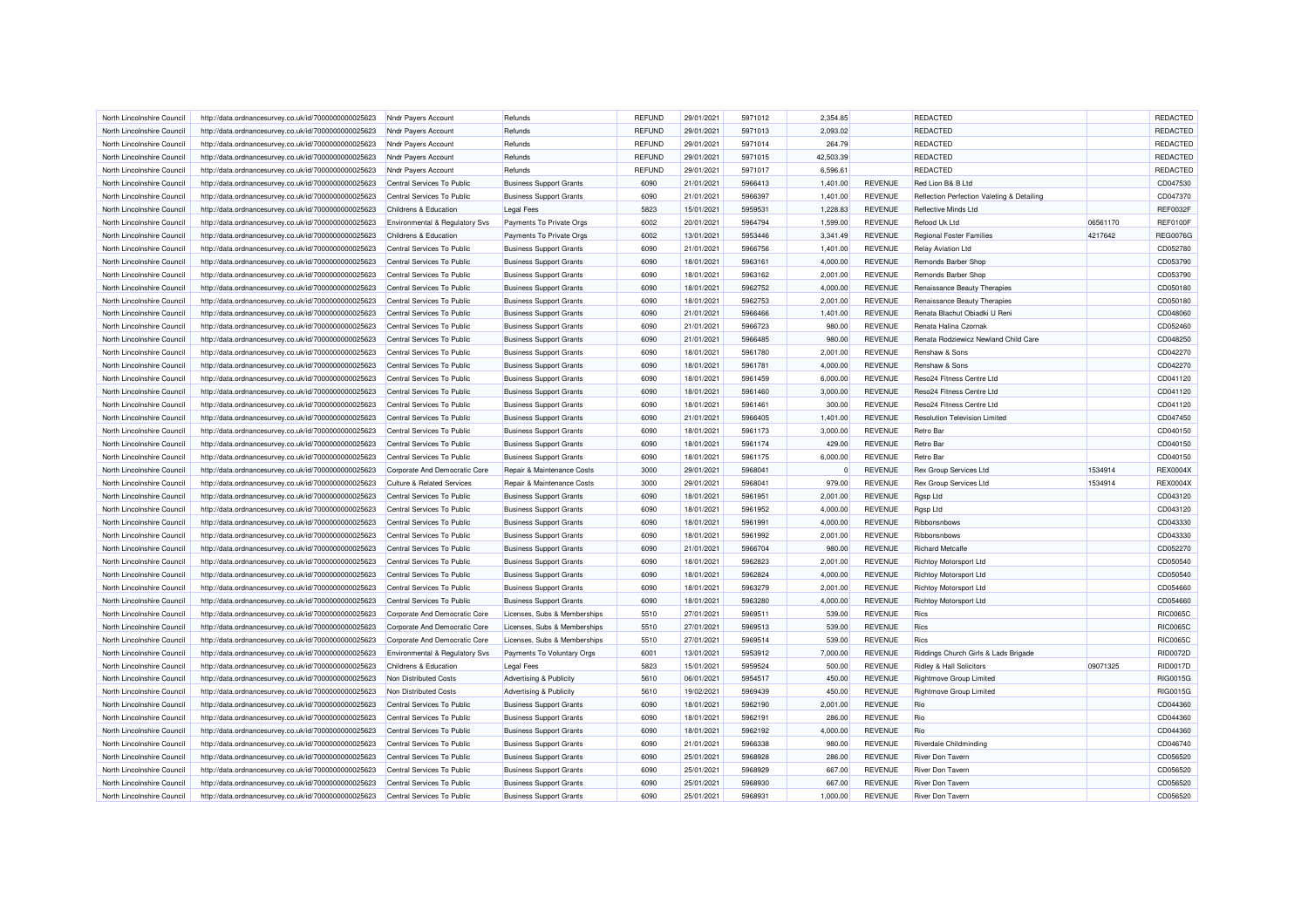| North Lincolnshire Council | http://data.ordnancesurvey.co.uk/id/7000000000025623 | Nndr Payers Account                   | Refunds                        | <b>REFUND</b> | 29/01/2021 | 5971012 | 2.354.85    |                | <b>REDACTED</b>                            |          | REDACTED        |
|----------------------------|------------------------------------------------------|---------------------------------------|--------------------------------|---------------|------------|---------|-------------|----------------|--------------------------------------------|----------|-----------------|
| North Lincolnshire Council | http://data.ordnancesurvey.co.uk/id/7000000000025623 | Nndr Payers Account                   | Refunds                        | <b>REFUND</b> | 29/01/2021 | 5971013 | 2,093.02    |                | <b>REDACTED</b>                            |          | REDACTED        |
| North Lincolnshire Council | http://data.ordnancesurvey.co.uk/id/7000000000025623 | Nndr Payers Account                   | Refunds                        | <b>REFUND</b> | 29/01/2021 | 5971014 | 264.79      |                | REDACTED                                   |          | REDACTED        |
| North Lincolnshire Council | http://data.ordnancesurvey.co.uk/id/7000000000025623 | Nndr Payers Account                   | Refunds                        | <b>REFUND</b> | 29/01/2021 | 5971015 | 42,503.39   |                | REDACTED                                   |          | <b>REDACTED</b> |
| North Lincolnshire Council | http://data.ordnancesurvey.co.uk/id/7000000000025623 | Nndr Payers Account                   | Refunds                        | <b>REFUND</b> | 29/01/2021 | 5971017 | 6,596.61    |                | <b>REDACTED</b>                            |          | REDACTED        |
| North Lincolnshire Council | http://data.ordnancesurvey.co.uk/id/7000000000025623 | Central Services To Public            | <b>Business Support Grants</b> | 6090          | 21/01/2021 | 5966413 | 1,401.00    | <b>REVENUE</b> | Red Lion B& B Ltd                          |          | CD047530        |
| North Lincolnshire Council | http://data.ordnancesurvey.co.uk/id/7000000000025623 | Central Services To Public            | <b>Business Support Grants</b> | 6090          | 21/01/2021 | 5966397 | 1,401.00    | <b>REVENUE</b> | Reflection Perfection Valeting & Detailing |          | CD047370        |
| North Lincolnshire Council | http://data.ordnancesurvey.co.uk/id/7000000000025623 | Childrens & Education                 | <b>Legal Fees</b>              | 5823          | 15/01/2021 | 5959531 | 1,228.83    | <b>REVENUE</b> | Reflective Minds Ltd                       |          | <b>REF0032F</b> |
| North Lincolnshire Council | http://data.ordnancesurvey.co.uk/id/7000000000025623 | Environmental & Regulatory Svs        | Payments To Private Orgs       | 6002          | 20/01/2021 | 5964794 | 1,599.00    | <b>REVENUE</b> | Refood Uk Ltd                              | 06561170 | <b>REF0100F</b> |
| North Lincolnshire Council | http://data.ordnancesurvey.co.uk/id/7000000000025623 | Childrens & Education                 | Payments To Private Orgs       | 6002          | 13/01/2021 | 5953446 | 3,341.49    | <b>REVENUE</b> | <b>Regional Foster Families</b>            | 4217642  | <b>REG00760</b> |
| North Lincolnshire Council | http://data.ordnancesurvey.co.uk/id/7000000000025623 | Central Services To Public            | <b>Business Support Grants</b> | 6090          | 21/01/2021 | 5966756 | 1,401.00    | <b>REVENUE</b> | <b>Relay Aviation Ltd</b>                  |          | CD052780        |
| North Lincolnshire Council | http://data.ordnancesurvey.co.uk/id/7000000000025623 | Central Services To Public            | <b>Business Support Grants</b> | 6090          | 18/01/2021 | 5963161 | 4,000.00    | <b>REVENUE</b> | Remonds Barber Shop                        |          | CD053790        |
| North Lincolnshire Council | http://data.ordnancesurvey.co.uk/id/7000000000025623 | Central Services To Public            | <b>Business Support Grants</b> | 6090          | 18/01/2021 | 5963162 | 2,001.00    | <b>REVENUE</b> | Remonds Barber Shop                        |          | CD053790        |
| North Lincolnshire Council | http://data.ordnancesurvey.co.uk/id/7000000000025623 | Central Services To Public            | <b>Business Support Grants</b> | 6090          | 18/01/2021 | 5962752 | 4,000.00    | <b>REVENUE</b> | Renaissance Beauty Therapies               |          | CD050180        |
| North Lincolnshire Council | http://data.ordnancesurvey.co.uk/id/7000000000025623 | Central Services To Public            | <b>Business Support Grants</b> | 6090          | 18/01/2021 | 5962753 | 2,001.00    | REVENUE        | Renaissance Beauty Therapies               |          | CD050180        |
| North Lincolnshire Council | http://data.ordnancesurvey.co.uk/id/7000000000025623 | Central Services To Public            | <b>Business Support Grants</b> | 6090          | 21/01/2021 | 5966466 | 1,401.00    | <b>REVENUE</b> | Renata Blachut Obiadki U Reni              |          | CD048060        |
| North Lincolnshire Council |                                                      | Central Services To Public            | <b>Business Support Grants</b> | 6090          | 21/01/2021 | 5966723 | 980.00      | REVENUE        | Renata Halina Czornak                      |          | CD052460        |
| North Lincolnshire Council | http://data.ordnancesurvey.co.uk/id/7000000000025623 |                                       | <b>Business Support Grants</b> | 6090          | 21/01/2021 | 5966485 | 980.00      | <b>REVENUE</b> | Renata Rodziewicz Newland Child Care       |          | CD048250        |
|                            | http://data.ordnancesurvey.co.uk/id/7000000000025623 | Central Services To Public            |                                |               |            |         |             |                |                                            |          |                 |
| North Lincolnshire Council | http://data.ordnancesurvey.co.uk/id/7000000000025623 | Central Services To Public            | <b>Business Support Grants</b> | 6090          | 18/01/2021 | 5961780 | 2,001.00    | REVENUE        | Renshaw & Sons                             |          | CD042270        |
| North Lincolnshire Council | http://data.ordnancesurvey.co.uk/id/7000000000025623 | Central Services To Public            | <b>Business Support Grants</b> | 6090          | 18/01/2021 | 5961781 | 4,000.00    | <b>REVENUE</b> | Renshaw & Sons                             |          | CD042270        |
| North Lincolnshire Council | http://data.ordnancesurvey.co.uk/id/7000000000025623 | Central Services To Public            | <b>Business Support Grants</b> | 6090          | 18/01/2021 | 5961459 | 6,000.00    | <b>REVENUE</b> | Reso24 Fitness Centre Ltd                  |          | CD041120        |
| North Lincolnshire Council | http://data.ordnancesurvey.co.uk/id/7000000000025623 | Central Services To Public            | <b>Business Support Grants</b> | 6090          | 18/01/2021 | 5961460 | 3,000.00    | <b>REVENUE</b> | Reso24 Fitness Centre Ltd                  |          | CD041120        |
| North Lincolnshire Council | http://data.ordnancesurvey.co.uk/id/7000000000025623 | Central Services To Public            | <b>Business Support Grants</b> | 6090          | 18/01/2021 | 5961461 | 300.00      | <b>REVENUE</b> | Reso24 Fitness Centre Ltd                  |          | CD041120        |
| North Lincolnshire Council | http://data.ordnancesurvey.co.uk/id/7000000000025623 | Central Services To Public            | <b>Business Support Grants</b> | 6090          | 21/01/2021 | 5966405 | 1,401.00    | <b>REVENUE</b> | <b>Resolution Television Limited</b>       |          | CD047450        |
| North Lincolnshire Council | http://data.ordnancesurvey.co.uk/id/7000000000025623 | Central Services To Public            | <b>Business Support Grants</b> | 6090          | 18/01/2021 | 5961173 | 3,000.00    | <b>REVENUE</b> | <b>Retro Bar</b>                           |          | CD040150        |
| North Lincolnshire Council | http://data.ordnancesurvey.co.uk/id/7000000000025623 | Central Services To Public            | <b>Business Support Grants</b> | 6090          | 18/01/2021 | 5961174 | 429.00      | <b>REVENUE</b> | <b>Retro Bar</b>                           |          | CD040150        |
| North Lincolnshire Council | http://data.ordnancesurvey.co.uk/id/7000000000025623 | Central Services To Public            | <b>Business Support Grants</b> | 6090          | 18/01/2021 | 5961175 | 6,000.00    | <b>REVENUE</b> | <b>Retro Bar</b>                           |          | CD040150        |
| North Lincolnshire Council | http://data.ordnancesurvey.co.uk/id/7000000000025623 | Corporate And Democratic Core         | Repair & Maintenance Costs     | 3000          | 29/01/2021 | 5968041 | $\mathbf 0$ | <b>REVENUE</b> | <b>Rex Group Services Ltd</b>              | 1534914  | REX0004X        |
| North Lincolnshire Council | http://data.ordnancesurvey.co.uk/id/7000000000025623 | <b>Culture &amp; Related Services</b> | Repair & Maintenance Costs     | 3000          | 29/01/2021 | 5968041 | 979.00      | <b>REVENUE</b> | <b>Rex Group Services Ltd</b>              | 1534914  | REX0004X        |
| North Lincolnshire Council | http://data.ordnancesurvey.co.uk/id/7000000000025623 | Central Services To Public            | <b>Business Support Grants</b> | 6090          | 18/01/2021 | 5961951 | 2,001.00    | <b>REVENUE</b> | Rgsp Ltd                                   |          | CD043120        |
| North Lincolnshire Council | http://data.ordnancesurvey.co.uk/id/7000000000025623 | Central Services To Public            | <b>Business Support Grants</b> | 6090          | 18/01/2021 | 5961952 | 4,000.00    | <b>REVENUE</b> | Rgsp Ltd                                   |          | CD043120        |
| North Lincolnshire Council | http://data.ordnancesurvey.co.uk/id/7000000000025623 | Central Services To Public            | <b>Business Support Grants</b> | 6090          | 18/01/2021 | 5961991 | 4,000.00    | <b>REVENUE</b> | Ribbonsnbows                               |          | CD043330        |
| North Lincolnshire Council | http://data.ordnancesurvey.co.uk/id/7000000000025623 | Central Services To Public            | <b>Business Support Grants</b> | 6090          | 18/01/2021 | 5961992 | 2,001.00    | <b>REVENUE</b> | Ribbonsnbows                               |          | CD043330        |
| North Lincolnshire Council | http://data.ordnancesurvey.co.uk/id/7000000000025623 | Central Services To Public            | <b>Business Support Grants</b> | 6090          | 21/01/2021 | 5966704 | 980.00      | <b>REVENUE</b> | <b>Richard Metcalfe</b>                    |          | CD052270        |
| North Lincolnshire Council | http://data.ordnancesurvey.co.uk/id/7000000000025623 | Central Services To Public            | <b>Business Support Grants</b> | 6090          | 18/01/2021 | 5962823 | 2,001.00    | <b>REVENUE</b> | Richtoy Motorsport Ltd                     |          | CD050540        |
| North Lincolnshire Council | http://data.ordnancesurvey.co.uk/id/7000000000025623 | Central Services To Public            | <b>Business Support Grants</b> | 6090          | 18/01/2021 | 5962824 | 4,000.00    | <b>REVENUE</b> | <b>Richtoy Motorsport Ltd</b>              |          | CD050540        |
| North Lincolnshire Council | http://data.ordnancesurvey.co.uk/id/7000000000025623 | Central Services To Public            | <b>Business Support Grants</b> | 6090          | 18/01/2021 | 5963279 | 2,001.00    | <b>REVENUE</b> | <b>Richtoy Motorsport Ltd</b>              |          | CD054660        |
| North Lincolnshire Council | http://data.ordnancesurvey.co.uk/id/7000000000025623 | Central Services To Public            | <b>Business Support Grants</b> | 6090          | 18/01/2021 | 5963280 | 4,000.00    | <b>REVENUE</b> | <b>Richtoy Motorsport Ltd</b>              |          | CD054660        |
| North Lincolnshire Council | http://data.ordnancesurvey.co.uk/id/7000000000025623 | Corporate And Democratic Core         | Licenses, Subs & Memberships   | 5510          | 27/01/2021 | 5969511 | 539.00      | <b>REVENUE</b> | <b>Rics</b>                                |          | <b>RIC0065C</b> |
| North Lincolnshire Council | http://data.ordnancesurvey.co.uk/id/7000000000025623 | Corporate And Democratic Core         | Licenses, Subs & Memberships   | 5510          | 27/01/2021 | 5969513 | 539.00      | <b>REVENUE</b> | <b>Rics</b>                                |          | <b>RIC0065C</b> |
| North Lincolnshire Council | http://data.ordnancesurvey.co.uk/id/7000000000025623 | Corporate And Democratic Core         | Licenses, Subs & Memberships   | 5510          | 27/01/2021 | 5969514 | 539.00      | <b>REVENUE</b> | <b>Rics</b>                                |          | <b>RIC0065C</b> |
| North Lincolnshire Council | http://data.ordnancesurvey.co.uk/id/7000000000025623 | Environmental & Regulatory Svs        | Payments To Voluntary Orgs     | 6001          | 13/01/2021 | 5953912 | 7,000.00    | <b>REVENUE</b> | Riddings Church Girls & Lads Brigade       |          | <b>RID0072D</b> |
| North Lincolnshire Council | http://data.ordnancesurvey.co.uk/id/7000000000025623 | Childrens & Education                 | <b>Legal Fees</b>              | 5823          | 15/01/2021 | 5959524 | 500.00      | <b>REVENUE</b> | Ridley & Hall Solicitors                   | 09071325 | <b>RID0017D</b> |
| North Lincolnshire Council | http://data.ordnancesurvey.co.uk/id/7000000000025623 | Non Distributed Costs                 | Advertising & Publicity        | 5610          | 06/01/2021 | 5954517 | 450.00      | <b>REVENUE</b> | <b>Rightmove Group Limited</b>             |          | RIG0015G        |
| North Lincolnshire Council | http://data.ordnancesurvey.co.uk/id/7000000000025623 | Non Distributed Costs                 | Advertising & Publicity        | 5610          | 19/02/2021 | 5969439 | 450.00      | <b>REVENUE</b> | <b>Rightmove Group Limited</b>             |          | RIG0015G        |
| North Lincolnshire Council | http://data.ordnancesurvey.co.uk/id/7000000000025623 | Central Services To Public            | <b>Business Support Grants</b> | 6090          | 18/01/2021 | 5962190 | 2,001.00    | <b>REVENUE</b> | Rio                                        |          | CD044360        |
| North Lincolnshire Council | http://data.ordnancesurvey.co.uk/id/7000000000025623 | Central Services To Public            | <b>Business Support Grants</b> | 6090          | 18/01/2021 | 5962191 | 286.00      | <b>REVENUE</b> | Rio                                        |          | CD044360        |
| North Lincolnshire Council | http://data.ordnancesurvey.co.uk/id/7000000000025623 | Central Services To Public            | <b>Business Support Grants</b> | 6090          | 18/01/2021 | 5962192 | 4,000.00    | <b>REVENUE</b> | Rio                                        |          | CD044360        |
| North Lincolnshire Council | http://data.ordnancesurvey.co.uk/id/7000000000025623 | Central Services To Public            | <b>Business Support Grants</b> | 6090          | 21/01/2021 | 5966338 | 980.00      | <b>REVENUE</b> | Riverdale Childminding                     |          | CD046740        |
| North Lincolnshire Council | http://data.ordnancesurvey.co.uk/id/7000000000025623 | Central Services To Public            | <b>Business Support Grants</b> | 6090          | 25/01/2021 | 5968928 | 286.00      | <b>REVENUE</b> | <b>River Don Tavern</b>                    |          | CD056520        |
| North Lincolnshire Council | http://data.ordnancesurvey.co.uk/id/7000000000025623 | Central Services To Public            | <b>Business Support Grants</b> | 6090          | 25/01/2021 | 5968929 | 667.00      | <b>REVENUE</b> | <b>River Don Tavern</b>                    |          | CD056520        |
| North Lincolnshire Council | http://data.ordnancesurvey.co.uk/id/7000000000025623 | Central Services To Public            | <b>Business Support Grants</b> | 6090          | 25/01/2021 | 5968930 | 667.00      | <b>REVENUE</b> | <b>River Don Tavern</b>                    |          | CD056520        |
| North Lincolnshire Council | http://data.ordnancesurvey.co.uk/id/7000000000025623 | Central Services To Public            | <b>Business Support Grants</b> | 6090          | 25/01/2021 | 596893  | 1,000.00    | <b>REVENUE</b> | <b>River Don Tavern</b>                    |          | CD056520        |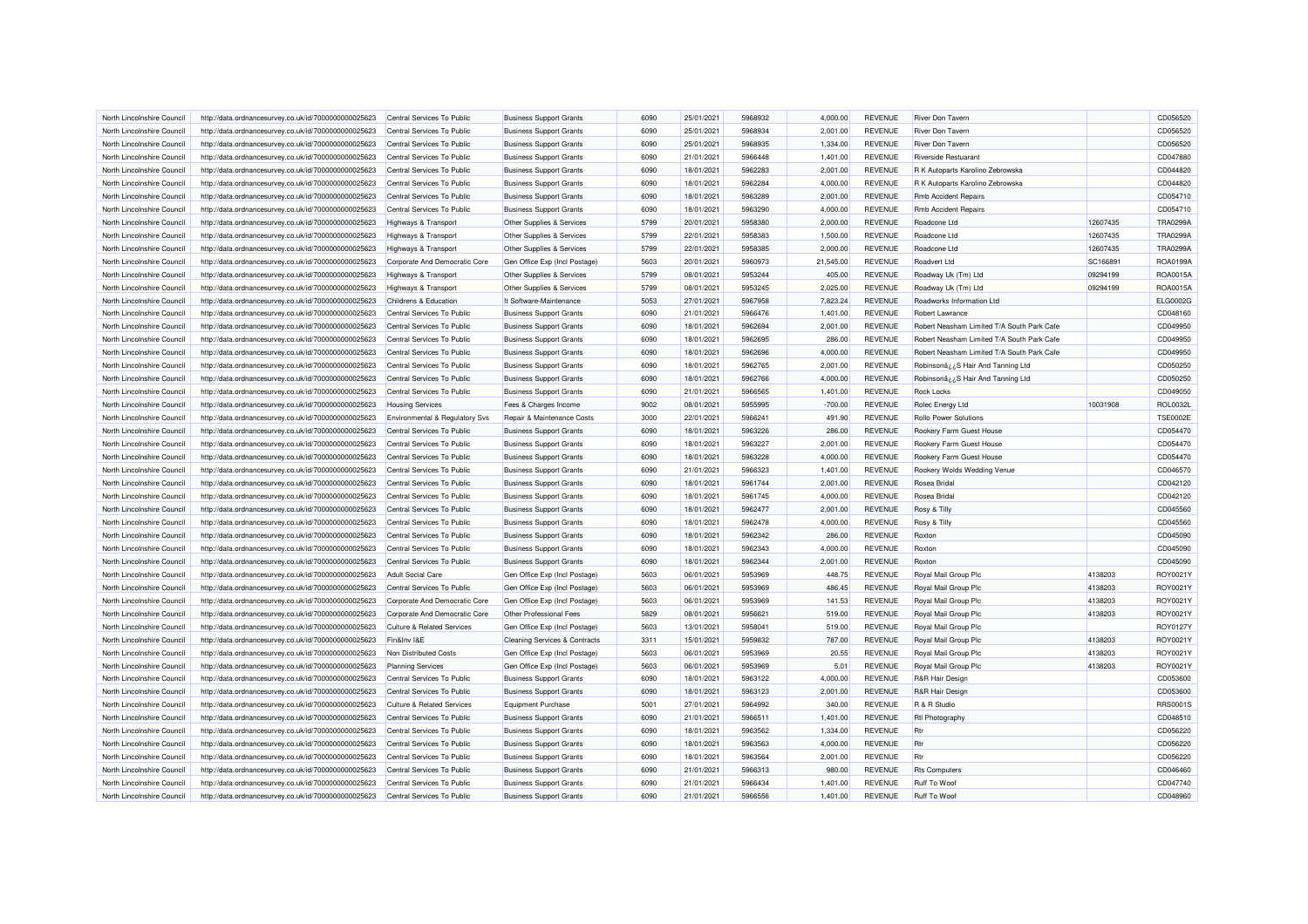| North Lincolnshire Council                               | http://data.ordnancesurvey.co.uk/id/7000000000025623 | Central Services To Public            | <b>Business Support Grants</b>           | 6090         | 25/01/2021 | 5968932            | 4,000.00  | <b>REVENUE</b> | <b>River Don Taverr</b>                    |          | CD056520        |
|----------------------------------------------------------|------------------------------------------------------|---------------------------------------|------------------------------------------|--------------|------------|--------------------|-----------|----------------|--------------------------------------------|----------|-----------------|
| North Lincolnshire Council                               | http://data.ordnancesurvey.co.uk/id/7000000000025623 | Central Services To Public            | <b>Business Support Grants</b>           | 6090         | 25/01/2021 | 5968934            | 2,001.00  | <b>REVENUE</b> | <b>River Don Tavern</b>                    |          | CD056520        |
| North Lincolnshire Council                               | http://data.ordnancesurvey.co.uk/id/7000000000025623 | Central Services To Public            | <b>Business Support Grants</b>           | 6090         | 25/01/2021 | 5968935            | 1,334.00  | <b>REVENUE</b> | <b>River Don Tavern</b>                    |          | CD056520        |
| North Lincolnshire Council                               | http://data.ordnancesurvey.co.uk/id/7000000000025623 | Central Services To Public            | <b>Business Support Grants</b>           | 6090         | 21/01/2021 | 5966448            | 1,401.00  | <b>REVENUE</b> | <b>Riverside Restuarant</b>                |          | CD047880        |
| North Lincolnshire Council                               | http://data.ordnancesurvey.co.uk/id/7000000000025623 | Central Services To Public            | <b>Business Support Grants</b>           | 6090         | 18/01/2021 | 5962283            | 2,001.00  | <b>REVENUE</b> | R K Autoparts Karolino Zebrowska           |          | CD044820        |
| North Lincolnshire Council                               | http://data.ordnancesurvey.co.uk/id/7000000000025623 | Central Services To Public            | <b>Business Support Grants</b>           | 6090         | 18/01/2021 | 5962284            | 4.000.00  | <b>REVENUE</b> | R K Autoparts Karolino Zebrowska           |          | CD044820        |
| North Lincolnshire Council                               | http://data.ordnancesurvey.co.uk/id/7000000000025623 | Central Services To Public            | <b>Business Support Grants</b>           | 6090         | 18/01/2021 | 5963289            | 2,001.00  | <b>REVENUE</b> | <b>Rmb Accident Repairs</b>                |          | CD054710        |
| North Lincolnshire Council                               | http://data.ordnancesurvey.co.uk/id/7000000000025623 | Central Services To Public            | <b>Business Support Grants</b>           | 6090         | 18/01/2021 | 5963290            | 4,000.00  | <b>REVENUE</b> | <b>Rmb Accident Repairs</b>                |          | CD054710        |
| North Lincolnshire Council                               | http://data.ordnancesurvey.co.uk/id/7000000000025623 | <b>Highways &amp; Transport</b>       | Other Supplies & Services                | 5799         | 20/01/2021 | 5958380            | 2,000.00  | <b>REVENUE</b> | Roadcone Ltd                               | 12607435 | <b>TRA0299A</b> |
| North Lincolnshire Council                               | http://data.ordnancesurvey.co.uk/id/7000000000025623 | <b>Highways &amp; Transport</b>       | Other Supplies & Services                | 5799         | 22/01/2021 | 5958383            | 1,500.00  | <b>REVENUE</b> | Roadcone Ltd                               | 12607435 | TRA0299/        |
| North Lincolnshire Council                               | http://data.ordnancesurvey.co.uk/id/7000000000025623 | <b>Highways &amp; Transport</b>       | Other Supplies & Services                | 5799         | 22/01/2021 | 5958385            | 2,000.00  | <b>REVENUE</b> | Roadcone Ltd                               | 12607435 | <b>TRA0299A</b> |
| North Lincolnshire Council                               | http://data.ordnancesurvey.co.uk/id/7000000000025623 | Corporate And Democratic Core         | Gen Office Exp (Incl Postage)            | 5603         | 20/01/2021 | 5960973            | 21.545.00 | <b>REVENUE</b> | Roadvert Ltd                               | SC166891 | <b>ROA0199A</b> |
| North Lincolnshire Council                               | http://data.ordnancesurvey.co.uk/id/7000000000025623 | <b>Highways &amp; Transport</b>       | Other Supplies & Services                | 5799         | 08/01/2021 | 5953244            | 405.00    | <b>REVENUE</b> | Roadway Uk (Tm) Ltd                        | 09294199 | ROA0015A        |
| North Lincolnshire Council                               | http://data.ordnancesurvey.co.uk/id/7000000000025623 | <b>Highways &amp; Transport</b>       | Other Supplies & Services                | 5799         | 08/01/2021 | 5953245            | 2,025.00  | <b>REVENUE</b> | Roadway Uk (Tm) Ltd                        | 09294199 | ROA0015A        |
| North Lincolnshire Council                               | http://data.ordnancesurvey.co.uk/id/7000000000025623 | Childrens & Education                 | It Software-Maintenance                  | 5053         | 27/01/2021 | 5967958            | 7,823.24  | <b>REVENUE</b> | Roadworks Information Ltd                  |          | ELG0002G        |
| North Lincolnshire Council                               | http://data.ordnancesurvey.co.uk/id/7000000000025623 | Central Services To Public            | <b>Business Support Grants</b>           | 6090         | 21/01/2021 | 5966476            | 1,401.00  | <b>REVENUE</b> | Robert Lawrance                            |          | CD048160        |
| North Lincolnshire Council                               | http://data.ordnancesurvey.co.uk/id/7000000000025623 | Central Services To Public            | <b>Business Support Grants</b>           | 6090         | 18/01/2021 | 5962694            | 2,001.00  | <b>REVENUE</b> | Robert Neasham Limited T/A South Park Cafe |          | CD049950        |
| North Lincolnshire Council                               | http://data.ordnancesurvey.co.uk/id/7000000000025623 | Central Services To Public            | <b>Business Support Grants</b>           | 6090         | 18/01/2021 | 5962695            | 286.00    | <b>REVENUE</b> | Robert Neasham Limited T/A South Park Cafe |          | CD049950        |
| North Lincolnshire Council                               | http://data.ordnancesurvey.co.uk/id/7000000000025623 | Central Services To Public            | <b>Business Support Grants</b>           | 6090         | 18/01/2021 | 5962696            | 4,000.00  | <b>REVENUE</b> | Robert Neasham Limited T/A South Park Cafe |          | CD049950        |
| North Lincolnshire Council                               | http://data.ordnancesurvey.co.uk/id/7000000000025623 | Central Services To Public            | <b>Business Support Grants</b>           | 6090         | 18/01/2021 | 5962765            | 2,001.00  | <b>REVENUE</b> | Robinsonâ ¿¿S Hair And Tanning Ltd         |          | CD050250        |
| North Lincolnshire Council                               | http://data.ordnancesurvey.co.uk/id/7000000000025623 | Central Services To Public            | <b>Business Support Grants</b>           | 6090         | 18/01/2021 | 5962766            | 4,000.00  | <b>REVENUE</b> | Robinsonâ ¿¿S Hair And Tanning Ltd         |          | CD050250        |
| North Lincolnshire Council                               | http://data.ordnancesurvey.co.uk/id/7000000000025623 | Central Services To Public            | <b>Business Support Grants</b>           | 6090         | 21/01/2021 | 5966565            | 1,401.00  | <b>REVENUE</b> | <b>Rock Locks</b>                          |          | CD049050        |
| North Lincolnshire Council                               | http://data.ordnancesurvey.co.uk/id/7000000000025623 | <b>Housing Services</b>               | Fees & Charges Income                    | 9002         | 08/01/2021 | 5955995            | $-700.00$ | <b>REVENUE</b> | Rolec Energy Ltd                           | 10031908 | <b>ROL0032L</b> |
| North Lincolnshire Council                               | http://data.ordnancesurvey.co.uk/id/7000000000025623 | Environmental & Regulatory Svs        | Repair & Maintenance Costs               | 3000         | 22/01/2021 | 5966241            | 491.90    | <b>REVENUE</b> | <b>Rollo Power Solutions</b>               |          | <b>TSE0002E</b> |
| North Lincolnshire Council                               | http://data.ordnancesurvey.co.uk/id/7000000000025623 | Central Services To Public            | <b>Business Support Grants</b>           | 6090         | 18/01/2021 | 5963226            | 286.00    | <b>REVENUE</b> | Rookery Farm Guest House                   |          | CD054470        |
| North Lincolnshire Council                               |                                                      | Central Services To Public            |                                          | 6090         |            | 5963227            |           | <b>REVENUE</b> |                                            |          |                 |
|                                                          | http://data.ordnancesurvey.co.uk/id/7000000000025623 |                                       | <b>Business Support Grants</b>           |              | 18/01/2021 |                    | 2,001.00  |                | Rookery Farm Guest House                   |          | CD054470        |
| North Lincolnshire Council<br>North Lincolnshire Council | http://data.ordnancesurvey.co.uk/id/7000000000025623 | Central Services To Public            | <b>Business Support Grants</b>           | 6090<br>6090 | 18/01/2021 | 5963228<br>5966323 | 4,000.00  | <b>REVENUE</b> | Rookery Farm Guest House                   |          | CD054470        |
|                                                          | http://data.ordnancesurvey.co.uk/id/7000000000025623 | Central Services To Public            | <b>Business Support Grants</b>           |              | 21/01/2021 |                    | 1,401.00  | <b>REVENUE</b> | Rookery Wolds Wedding Venue                |          | CD046570        |
| North Lincolnshire Council                               | http://data.ordnancesurvey.co.uk/id/7000000000025623 | Central Services To Public            | <b>Business Support Grants</b>           | 6090         | 18/01/2021 | 5961744            | 2,001.00  | <b>REVENUE</b> | Rosea Bridal                               |          | CD042120        |
| North Lincolnshire Council                               | http://data.ordnancesurvey.co.uk/id/7000000000025623 | Central Services To Public            | <b>Business Support Grants</b>           | 6090         | 18/01/2021 | 5961745            | 4,000.00  | <b>REVENUE</b> | Rosea Bridal                               |          | CD042120        |
| North Lincolnshire Council                               | http://data.ordnancesurvey.co.uk/id/7000000000025623 | Central Services To Public            | <b>Business Support Grants</b>           | 6090         | 18/01/2021 | 5962477            | 2,001.00  | <b>REVENUE</b> | Rosy & Tilly                               |          | CD045560        |
| North Lincolnshire Council                               | http://data.ordnancesurvey.co.uk/id/7000000000025623 | Central Services To Public            | <b>Business Support Grants</b>           | 6090         | 18/01/2021 | 5962478            | 4,000.00  | <b>REVENUE</b> | Rosy & Tilly                               |          | CD045560        |
| North Lincolnshire Council                               | http://data.ordnancesurvey.co.uk/id/7000000000025623 | Central Services To Public            | <b>Business Support Grants</b>           | 6090         | 18/01/2021 | 5962342            | 286.00    | <b>REVENUE</b> | Roxton                                     |          | CD045090        |
| North Lincolnshire Council                               | http://data.ordnancesurvey.co.uk/id/7000000000025623 | Central Services To Public            | <b>Business Support Grants</b>           | 6090         | 18/01/2021 | 5962343            | 4,000.00  | <b>REVENUE</b> | Roxton                                     |          | CD045090        |
| North Lincolnshire Council                               | http://data.ordnancesurvey.co.uk/id/7000000000025623 | Central Services To Public            | <b>Business Support Grants</b>           | 6090         | 18/01/2021 | 5962344            | 2,001.00  | <b>REVENUE</b> | Roxton                                     |          | CD045090        |
| North Lincolnshire Council                               | http://data.ordnancesurvey.co.uk/id/7000000000025623 | <b>Adult Social Care</b>              | Gen Office Exp (Incl Postage)            | 5603         | 06/01/2021 | 5953969            | 448.75    | <b>REVENUE</b> | Royal Mail Group Plc                       | 4138203  | ROY0021Y        |
| North Lincolnshire Council                               | http://data.ordnancesurvey.co.uk/id/7000000000025623 | Central Services To Public            | Gen Office Exp (Incl Postage)            | 5603         | 06/01/2021 | 5953969            | 486.45    | <b>REVENUE</b> | Royal Mail Group Plc                       | 4138203  | ROY0021Y        |
| North Lincolnshire Council                               | http://data.ordnancesurvey.co.uk/id/7000000000025623 | Corporate And Democratic Core         | Gen Office Exp (Incl Postage)            | 5603         | 06/01/2021 | 5953969            | 141.53    | <b>REVENUE</b> | Royal Mail Group Plo                       | 4138203  | ROY0021Y        |
| North Lincolnshire Council                               | http://data.ordnancesurvey.co.uk/id/7000000000025623 | Corporate And Democratic Core         | Other Professional Fees                  | 5829         | 08/01/2021 | 5956621            | 519.00    | <b>REVENUE</b> | Royal Mail Group Plc                       | 4138203  | ROY0021Y        |
| North Lincolnshire Council                               | http://data.ordnancesurvey.co.uk/id/7000000000025623 | <b>Culture &amp; Related Services</b> | Gen Office Exp (Incl Postage)            | 5603         | 13/01/2021 | 5958041            | 519.00    | <b>REVENUE</b> | Royal Mail Group Plc                       |          | ROY0127Y        |
| North Lincolnshire Council                               | http://data.ordnancesurvey.co.uk/id/7000000000025623 | Fin&Inv I&E                           | <b>Cleaning Services &amp; Contracts</b> | 3311         | 15/01/2021 | 5959832            | 787.00    | <b>REVENUE</b> | Royal Mail Group Plc                       | 4138203  | ROY0021Y        |
| North Lincolnshire Council                               | http://data.ordnancesurvey.co.uk/id/7000000000025623 | Non Distributed Costs                 | Gen Office Exp (Incl Postage)            | 5603         | 06/01/2021 | 5953969            | 20.55     | <b>REVENUE</b> | Royal Mail Group Plc                       | 4138203  | ROY0021Y        |
| North Lincolnshire Council                               | http://data.ordnancesurvey.co.uk/id/7000000000025623 | <b>Planning Services</b>              | Gen Office Exp (Incl Postage)            | 5603         | 06/01/2021 | 5953969            | 5.01      | <b>REVENUE</b> | Royal Mail Group Plc                       | 4138203  | ROY0021Y        |
| North Lincolnshire Council                               | http://data.ordnancesurvey.co.uk/id/7000000000025623 | Central Services To Public            | <b>Business Support Grants</b>           | 6090         | 18/01/2021 | 5963122            | 4,000.00  | <b>REVENUE</b> | <b>R&amp;R Hair Design</b>                 |          | CD053600        |
| North Lincolnshire Council                               | http://data.ordnancesurvey.co.uk/id/7000000000025623 | Central Services To Public            | <b>Business Support Grants</b>           | 6090         | 18/01/2021 | 5963123            | 2,001.00  | <b>REVENUE</b> | <b>R&amp;R Hair Design</b>                 |          | CD053600        |
| North Lincolnshire Council                               | http://data.ordnancesurvey.co.uk/id/7000000000025623 | <b>Culture &amp; Related Services</b> | <b>Equipment Purchase</b>                | 5001         | 27/01/2021 | 5964992            | 340.00    | <b>REVENUE</b> | R & R Studio                               |          | <b>RRS0001S</b> |
| North Lincolnshire Council                               | http://data.ordnancesurvey.co.uk/id/7000000000025623 | Central Services To Public            | <b>Business Support Grants</b>           | 6090         | 21/01/2021 | 5966511            | 1,401.00  | <b>REVENUE</b> | <b>Rtl Photography</b>                     |          | CD048510        |
| North Lincolnshire Council                               | http://data.ordnancesurvey.co.uk/id/7000000000025623 | Central Services To Public            | <b>Business Support Grants</b>           | 6090         | 18/01/2021 | 5963562            | 1.334.00  | <b>REVENUE</b> | <b>Rtr</b>                                 |          | CD056220        |
| North Lincolnshire Council                               | http://data.ordnancesurvey.co.uk/id/7000000000025623 | Central Services To Public            | <b>Business Support Grants</b>           | 6090         | 18/01/2021 | 5963563            | 4,000.00  | <b>REVENUE</b> | <b>Rtr</b>                                 |          | CD056220        |
| North Lincolnshire Council                               | http://data.ordnancesurvey.co.uk/id/7000000000025623 | Central Services To Public            | <b>Business Support Grants</b>           | 6090         | 18/01/2021 | 5963564            | 2,001.00  | REVENUE        | <b>Rtr</b>                                 |          | CD056220        |
| North Lincolnshire Council                               | http://data.ordnancesurvey.co.uk/id/7000000000025623 | Central Services To Public            | <b>Business Support Grants</b>           | 6090         | 21/01/2021 | 5966313            | 980.00    | <b>REVENUE</b> | <b>Rts Computers</b>                       |          | CD046460        |
| North Lincolnshire Council                               | http://data.ordnancesurvey.co.uk/id/7000000000025623 | Central Services To Public            | <b>Business Support Grants</b>           | 6090         | 21/01/2021 | 5966434            | 1,401.00  | <b>REVENUE</b> | <b>Ruff To Woof</b>                        |          | CD047740        |
| North Lincolnshire Council                               | http://data.ordnancesurvey.co.uk/id/7000000000025623 | Central Services To Public            | <b>Business Support Grants</b>           | 6090         | 21/01/2021 | 5966556            | 1.401.00  | <b>REVENUE</b> | <b>Ruff To Woof</b>                        |          | CD048960        |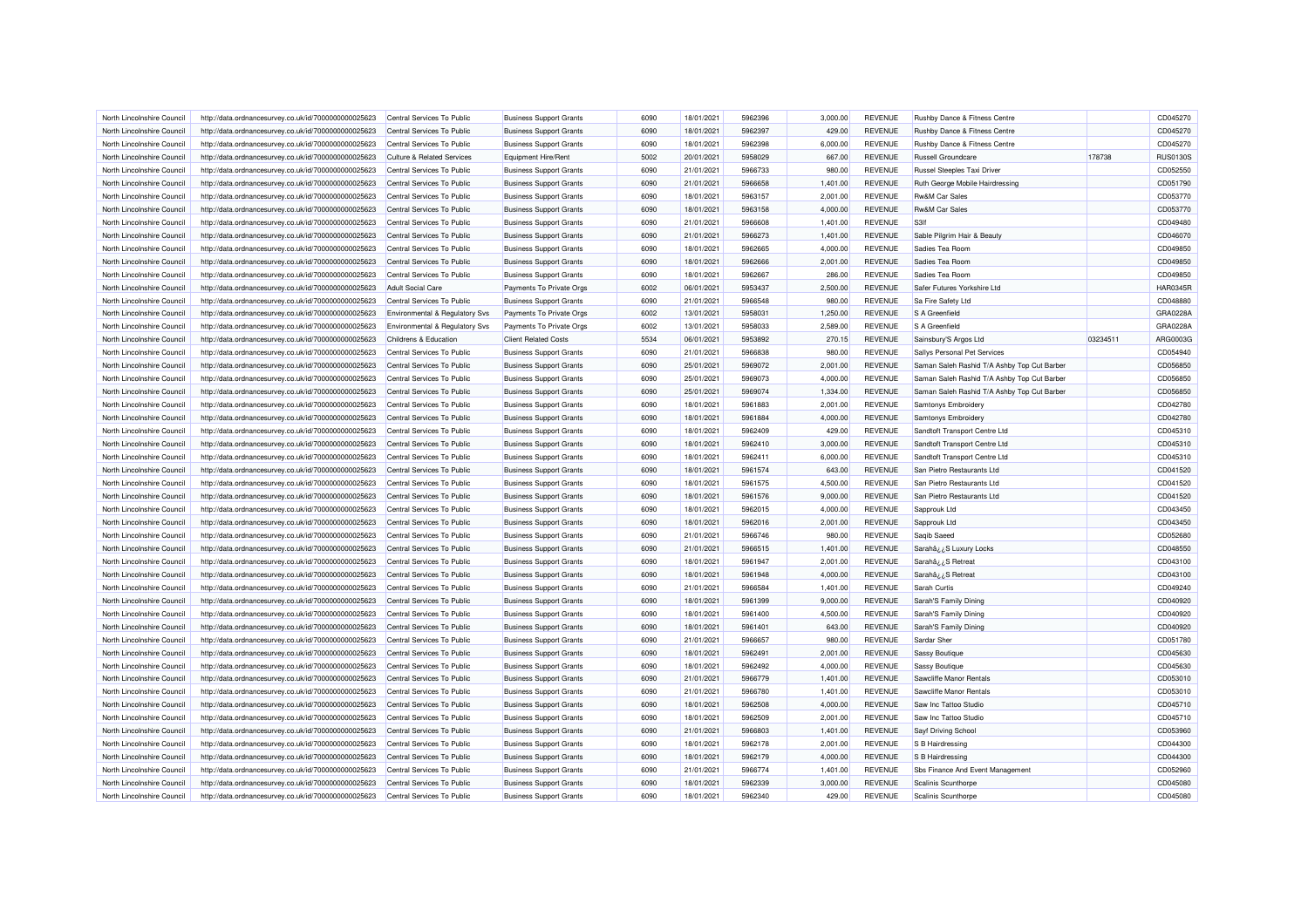| North Lincolnshire Council | http://data.ordnancesurvey.co.uk/id/7000000000025623 | Central Services To Public            | <b>Business Support Grants</b> | 6090 | 18/01/2021 | 5962396 | 3,000.00 | <b>REVENUE</b> | Rushby Dance & Fitness Centre               |          | CD045270        |
|----------------------------|------------------------------------------------------|---------------------------------------|--------------------------------|------|------------|---------|----------|----------------|---------------------------------------------|----------|-----------------|
| North Lincolnshire Council | http://data.ordnancesurvey.co.uk/id/7000000000025623 | Central Services To Public            | <b>Business Support Grants</b> | 6090 | 18/01/2021 | 5962397 | 429.00   | <b>REVENUE</b> | Rushby Dance & Fitness Centre               |          | CD045270        |
| North Lincolnshire Council | http://data.ordnancesurvey.co.uk/id/7000000000025623 | Central Services To Public            | <b>Business Support Grants</b> | 6090 | 18/01/2021 | 5962398 | 6,000.00 | <b>REVENUE</b> | Rushby Dance & Fitness Centre               |          | CD045270        |
| North Lincolnshire Council | http://data.ordnancesurvey.co.uk/id/7000000000025623 | <b>Culture &amp; Related Services</b> | Equipment Hire/Rent            | 5002 | 20/01/2021 | 5958029 | 667.00   | <b>REVENUE</b> | <b>Russell Groundcare</b>                   | 178738   | <b>RUS0130S</b> |
| North Lincolnshire Council | http://data.ordnancesurvey.co.uk/id/7000000000025623 | Central Services To Public            | <b>Business Support Grants</b> | 6090 | 21/01/2021 | 5966733 | 980.00   | <b>REVENUE</b> | Russel Steeples Taxi Driver                 |          | CD052550        |
| North Lincolnshire Council | http://data.ordnancesurvey.co.uk/id/7000000000025623 | Central Services To Public            | <b>Business Support Grants</b> | 6090 | 21/01/2021 | 5966658 | 1,401.00 | <b>REVENUE</b> | Ruth George Mobile Hairdressing             |          | CD051790        |
| North Lincolnshire Council | http://data.ordnancesurvey.co.uk/id/7000000000025623 | Central Services To Public            | <b>Business Support Grants</b> | 6090 | 18/01/2021 | 5963157 | 2,001.00 | <b>REVENUE</b> | <b>Rw&amp;M Car Sales</b>                   |          | CD053770        |
| North Lincolnshire Council | http://data.ordnancesurvey.co.uk/id/7000000000025623 | Central Services To Public            | <b>Business Support Grants</b> | 6090 | 18/01/2021 | 5963158 | 4,000.00 | <b>REVENUE</b> | <b>Rw&amp;M Car Sales</b>                   |          | CD053770        |
| North Lincolnshire Council | http://data.ordnancesurvey.co.uk/id/7000000000025623 | Central Services To Public            | <b>Business Support Grants</b> | 6090 | 21/01/2021 | 5966608 | 1,401.00 | <b>REVENUE</b> | S <sub>3</sub> If                           |          | CD049480        |
| North Lincolnshire Council | http://data.ordnancesurvey.co.uk/id/7000000000025623 | Central Services To Public            | <b>Business Support Grants</b> | 6090 | 21/01/2021 | 5966273 | 1,401.00 | <b>REVENUE</b> | Sable Pilgrim Hair & Beauty                 |          | CD046070        |
| North Lincolnshire Council | http://data.ordnancesurvey.co.uk/id/7000000000025623 | Central Services To Public            | <b>Business Support Grants</b> | 6090 | 18/01/2021 | 5962665 | 4,000.00 | <b>REVENUE</b> | Sadies Tea Room                             |          | CD049850        |
| North Lincolnshire Council | http://data.ordnancesurvey.co.uk/id/7000000000025623 | Central Services To Public            | <b>Business Support Grants</b> | 6090 | 18/01/2021 | 5962666 | 2,001.00 | <b>REVENUE</b> | Sadies Tea Room                             |          | CD049850        |
| North Lincolnshire Council | http://data.ordnancesurvey.co.uk/id/7000000000025623 | Central Services To Public            | <b>Business Support Grants</b> | 6090 | 18/01/2021 | 5962667 | 286.00   | <b>REVENUE</b> | Sadies Tea Room                             |          | CD049850        |
| North Lincolnshire Council | http://data.ordnancesurvey.co.uk/id/7000000000025623 | <b>Adult Social Care</b>              | Payments To Private Orgs       | 6002 | 06/01/2021 | 5953437 | 2,500.00 | <b>REVENUE</b> | Safer Futures Yorkshire Ltd                 |          | <b>HAR0345R</b> |
| North Lincolnshire Council | http://data.ordnancesurvey.co.uk/id/7000000000025623 | Central Services To Public            | <b>Business Support Grants</b> | 6090 | 21/01/2021 | 5966548 | 980.00   | <b>REVENUE</b> | Sa Fire Safety Ltd                          |          | CD048880        |
| North Lincolnshire Council | http://data.ordnancesurvey.co.uk/id/7000000000025623 | Environmental & Regulatory Svs        | Payments To Private Orgs       | 6002 | 13/01/2021 | 5958031 | 1,250.00 | <b>REVENUE</b> | S A Greenfield                              |          | GRA0228/        |
| North Lincolnshire Council | http://data.ordnancesurvey.co.uk/id/7000000000025623 | Environmental & Regulatory Svs        | Payments To Private Orgs       | 6002 | 13/01/2021 | 5958033 | 2,589.00 | <b>REVENUE</b> | S A Greenfield                              |          | GRA0228/        |
| North Lincolnshire Council |                                                      | Childrens & Education                 | <b>Client Related Costs</b>    | 5534 | 06/01/2021 | 5953892 | 270.15   | <b>REVENUE</b> |                                             | 03234511 | ARG0003G        |
|                            | http://data.ordnancesurvey.co.uk/id/7000000000025623 |                                       |                                |      |            |         |          |                | Sainsbury'S Argos Ltd                       |          |                 |
| North Lincolnshire Council | http://data.ordnancesurvey.co.uk/id/7000000000025623 | Central Services To Public            | <b>Business Support Grants</b> | 6090 | 21/01/2021 | 5966838 | 980.00   | <b>REVENUE</b> | Sallys Personal Pet Services                |          | CD054940        |
| North Lincolnshire Council | http://data.ordnancesurvey.co.uk/id/7000000000025623 | Central Services To Public            | <b>Business Support Grants</b> | 6090 | 25/01/2021 | 5969072 | 2,001.00 | <b>REVENUE</b> | Saman Saleh Rashid T/A Ashby Top Cut Barber |          | CD056850        |
| North Lincolnshire Council | http://data.ordnancesurvey.co.uk/id/7000000000025623 | Central Services To Public            | <b>Business Support Grants</b> | 6090 | 25/01/2021 | 5969073 | 4,000.00 | <b>REVENUE</b> | Saman Saleh Rashid T/A Ashby Top Cut Barber |          | CD056850        |
| North Lincolnshire Council | http://data.ordnancesurvey.co.uk/id/7000000000025623 | Central Services To Public            | <b>Business Support Grants</b> | 6090 | 25/01/2021 | 5969074 | 1,334.00 | <b>REVENUE</b> | Saman Saleh Rashid T/A Ashby Top Cut Barber |          | CD056850        |
| North Lincolnshire Council | http://data.ordnancesurvey.co.uk/id/7000000000025623 | Central Services To Public            | <b>Business Support Grants</b> | 6090 | 18/01/2021 | 5961883 | 2,001.00 | <b>REVENUE</b> | Samtonys Embroidery                         |          | CD042780        |
| North Lincolnshire Council | http://data.ordnancesurvey.co.uk/id/7000000000025623 | Central Services To Public            | <b>Business Support Grants</b> | 6090 | 18/01/2021 | 5961884 | 4,000.00 | <b>REVENUE</b> | Samtonys Embroidery                         |          | CD042780        |
| North Lincolnshire Council | http://data.ordnancesurvey.co.uk/id/7000000000025623 | Central Services To Public            | <b>Business Support Grants</b> | 6090 | 18/01/2021 | 5962409 | 429.00   | <b>REVENUE</b> | Sandtoft Transport Centre Ltd               |          | CD045310        |
| North Lincolnshire Council | http://data.ordnancesurvey.co.uk/id/7000000000025623 | Central Services To Public            | <b>Business Support Grants</b> | 6090 | 18/01/2021 | 5962410 | 3,000.00 | <b>REVENUE</b> | Sandtoft Transport Centre Ltd               |          | CD045310        |
| North Lincolnshire Council | http://data.ordnancesurvey.co.uk/id/7000000000025623 | Central Services To Public            | <b>Business Support Grants</b> | 6090 | 18/01/2021 | 5962411 | 6,000.00 | <b>REVENUE</b> | Sandtoft Transport Centre Ltd               |          | CD045310        |
| North Lincolnshire Council | http://data.ordnancesurvey.co.uk/id/7000000000025623 | Central Services To Public            | <b>Business Support Grants</b> | 6090 | 18/01/2021 | 5961574 | 643.00   | <b>REVENUE</b> | San Pietro Restaurants Ltd                  |          | CD041520        |
| North Lincolnshire Council | http://data.ordnancesurvey.co.uk/id/7000000000025623 | Central Services To Public            | <b>Business Support Grants</b> | 6090 | 18/01/2021 | 5961575 | 4,500.00 | <b>REVENUE</b> | San Pietro Restaurants Ltd                  |          | CD041520        |
| North Lincolnshire Council | http://data.ordnancesurvey.co.uk/id/7000000000025623 | Central Services To Public            | <b>Business Support Grants</b> | 6090 | 18/01/2021 | 5961576 | 9,000.00 | <b>REVENUE</b> | San Pietro Restaurants Ltd                  |          | CD041520        |
| North Lincolnshire Council | http://data.ordnancesurvey.co.uk/id/7000000000025623 | Central Services To Public            | <b>Business Support Grants</b> | 6090 | 18/01/2021 | 5962015 | 4,000.00 | <b>REVENUE</b> | Sapprouk Ltd                                |          | CD043450        |
| North Lincolnshire Council | http://data.ordnancesurvey.co.uk/id/7000000000025623 | Central Services To Public            | <b>Business Support Grants</b> | 6090 | 18/01/2021 | 5962016 | 2,001.00 | <b>REVENUE</b> | Sapprouk Ltd                                |          | CD043450        |
| North Lincolnshire Council | http://data.ordnancesurvey.co.uk/id/7000000000025623 | Central Services To Public            | <b>Business Support Grants</b> | 6090 | 21/01/2021 | 5966746 | 980.00   | <b>REVENUE</b> | Saqib Saeed                                 |          | CD052680        |
| North Lincolnshire Council | http://data.ordnancesurvey.co.uk/id/7000000000025623 | Central Services To Public            | <b>Business Support Grants</b> | 6090 | 21/01/2021 | 5966515 | 1,401.00 | <b>REVENUE</b> | Sarahâ¿¿S Luxury Locks                      |          | CD048550        |
| North Lincolnshire Council | http://data.ordnancesurvey.co.uk/id/7000000000025623 | Central Services To Public            | <b>Business Support Grants</b> | 6090 | 18/01/2021 | 5961947 | 2,001.00 | <b>REVENUE</b> | Sarahâ ¿¿S Retreat                          |          | CD043100        |
| North Lincolnshire Council | http://data.ordnancesurvey.co.uk/id/7000000000025623 | Central Services To Public            | <b>Business Support Grants</b> | 6090 | 18/01/2021 | 5961948 | 4,000.00 | <b>REVENUE</b> | Sarahâ ¿¿S Retreat                          |          | CD043100        |
| North Lincolnshire Council | http://data.ordnancesurvey.co.uk/id/7000000000025623 | Central Services To Public            | <b>Business Support Grants</b> | 6090 | 21/01/2021 | 5966584 | 1,401.00 | <b>REVENUE</b> | Sarah Curtis                                |          | CD049240        |
| North Lincolnshire Council | http://data.ordnancesurvey.co.uk/id/7000000000025623 | Central Services To Public            | <b>Business Support Grants</b> | 6090 | 18/01/2021 | 5961399 | 9,000.00 | <b>REVENUE</b> | Sarah'S Family Dining                       |          | CD040920        |
| North Lincolnshire Council | http://data.ordnancesurvey.co.uk/id/7000000000025623 | Central Services To Public            | <b>Business Support Grants</b> | 6090 | 18/01/2021 | 5961400 | 4,500.00 | <b>REVENUE</b> | Sarah'S Family Dining                       |          | CD040920        |
| North Lincolnshire Council | http://data.ordnancesurvey.co.uk/id/7000000000025623 | Central Services To Public            | <b>Business Support Grants</b> | 6090 | 18/01/2021 | 5961401 | 643.00   | <b>REVENUE</b> | Sarah'S Family Dining                       |          | CD040920        |
| North Lincolnshire Council | http://data.ordnancesurvey.co.uk/id/7000000000025623 | Central Services To Public            | <b>Business Support Grants</b> | 6090 | 21/01/2021 | 5966657 | 980.00   | <b>REVENUE</b> | Sardar Sher                                 |          | CD051780        |
| North Lincolnshire Council | http://data.ordnancesurvey.co.uk/id/7000000000025623 | Central Services To Public            | <b>Business Support Grants</b> | 6090 | 18/01/2021 | 5962491 | 2.001.00 | <b>REVENUE</b> | <b>Sassy Boutique</b>                       |          | CD045630        |
| North Lincolnshire Council | http://data.ordnancesurvey.co.uk/id/7000000000025623 | Central Services To Public            | <b>Business Support Grants</b> | 6090 | 18/01/2021 | 5962492 | 4,000.00 | <b>REVENUE</b> | Sassy Boutique                              |          | CD045630        |
|                            |                                                      |                                       |                                |      |            |         |          |                |                                             |          |                 |
| North Lincolnshire Council | http://data.ordnancesurvey.co.uk/id/7000000000025623 | Central Services To Public            | <b>Business Support Grants</b> | 6090 | 21/01/2021 | 5966779 | 1,401.00 | <b>REVENUE</b> | Sawcliffe Manor Rentals                     |          | CD053010        |
| North Lincolnshire Council | http://data.ordnancesurvey.co.uk/id/7000000000025623 | Central Services To Public            | <b>Business Support Grants</b> | 6090 | 21/01/2021 | 5966780 | 1,401.00 | <b>REVENUE</b> | Sawcliffe Manor Rentals                     |          | CD053010        |
| North Lincolnshire Council | http://data.ordnancesurvey.co.uk/id/7000000000025623 | Central Services To Public            | <b>Business Support Grants</b> | 6090 | 18/01/2021 | 5962508 | 4,000.00 | <b>REVENUE</b> | Saw Inc Tattoo Studio                       |          | CD045710        |
| North Lincolnshire Council | http://data.ordnancesurvey.co.uk/id/7000000000025623 | Central Services To Public            | <b>Business Support Grants</b> | 6090 | 18/01/2021 | 5962509 | 2,001.00 | <b>REVENUE</b> | Saw Inc Tattoo Studio                       |          | CD045710        |
| North Lincolnshire Council | http://data.ordnancesurvey.co.uk/id/7000000000025623 | Central Services To Public            | <b>Business Support Grants</b> | 6090 | 21/01/2021 | 5966803 | 1,401.00 | <b>REVENUE</b> | Sayf Driving School                         |          | CD053960        |
| North Lincolnshire Council | http://data.ordnancesurvey.co.uk/id/7000000000025623 | Central Services To Public            | <b>Business Support Grants</b> | 6090 | 18/01/2021 | 5962178 | 2,001.00 | <b>REVENUE</b> | S B Hairdressing                            |          | CD044300        |
| North Lincolnshire Council | http://data.ordnancesurvey.co.uk/id/7000000000025623 | Central Services To Public            | <b>Business Support Grants</b> | 6090 | 18/01/2021 | 5962179 | 4,000.00 | <b>REVENUE</b> | S B Hairdressing                            |          | CD044300        |
| North Lincolnshire Council | http://data.ordnancesurvey.co.uk/id/7000000000025623 | Central Services To Public            | <b>Business Support Grants</b> | 6090 | 21/01/2021 | 5966774 | 1,401.00 | <b>REVENUE</b> | Sbs Finance And Event Management            |          | CD052960        |
| North Lincolnshire Council | http://data.ordnancesurvey.co.uk/id/7000000000025623 | Central Services To Public            | <b>Business Support Grants</b> | 6090 | 18/01/2021 | 5962339 | 3,000.00 | <b>REVENUE</b> | Scalinis Scunthorpe                         |          | CD045080        |
| North Lincolnshire Council | http://data.ordnancesurvey.co.uk/id/7000000000025623 | Central Services To Public            | <b>Business Support Grants</b> | 6090 | 18/01/2021 | 5962340 | 429.00   | <b>REVENUE</b> | Scalinis Scunthorpe                         |          | CD045080        |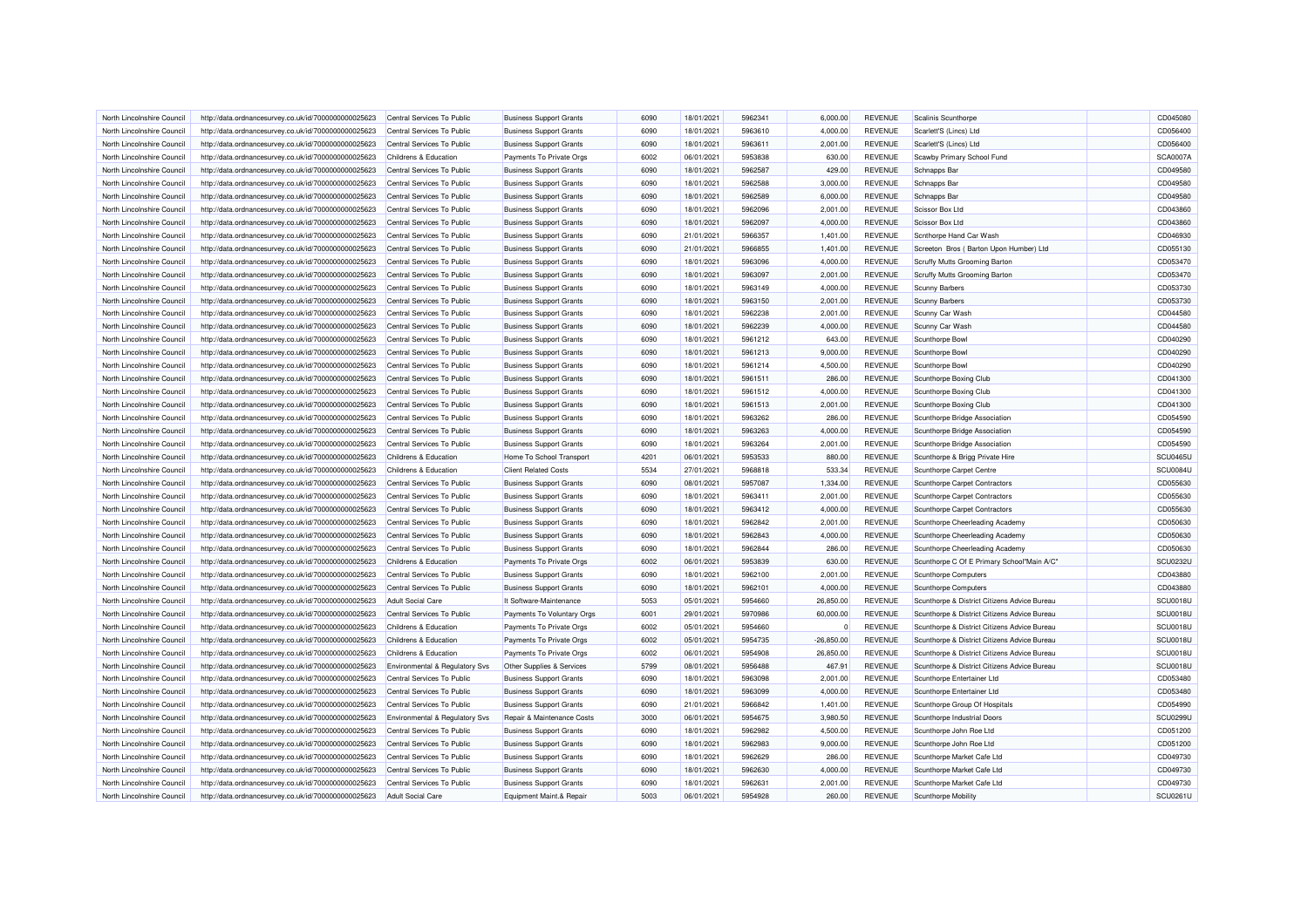| North Lincolnshire Council | http://data.ordnancesurvey.co.uk/id/7000000000025623 | Central Services To Public     | <b>Business Support Grants</b> | 6090 | 18/01/2021 | 5962341            | 6,000.00     | <b>REVENUE</b> | Scalinis Scunthorpe                          | CD045080        |
|----------------------------|------------------------------------------------------|--------------------------------|--------------------------------|------|------------|--------------------|--------------|----------------|----------------------------------------------|-----------------|
| North Lincolnshire Council | http://data.ordnancesurvey.co.uk/id/7000000000025623 | Central Services To Public     | <b>Business Support Grants</b> | 6090 | 18/01/2021 | 5963610            | 4,000.00     | <b>REVENUE</b> | Scarlett'S (Lincs) Ltd                       | CD056400        |
| North Lincolnshire Council | http://data.ordnancesurvey.co.uk/id/7000000000025623 | Central Services To Public     | <b>Business Support Grants</b> | 6090 | 18/01/2021 | 5963611            | 2,001.00     | <b>REVENUE</b> | Scarlett'S (Lincs) Ltd                       | CD056400        |
|                            |                                                      |                                |                                |      |            |                    |              |                |                                              |                 |
| North Lincolnshire Council | http://data.ordnancesurvey.co.uk/id/7000000000025623 | Childrens & Education          | Payments To Private Orgs       | 6002 | 06/01/2021 | 5953838            | 630.00       | <b>REVENUE</b> | Scawby Primary School Fund                   | <b>SCA0007A</b> |
| North Lincolnshire Council | http://data.ordnancesurvey.co.uk/id/7000000000025623 | Central Services To Public     | <b>Business Support Grants</b> | 6090 | 18/01/2021 | 5962587            | 429.00       | REVENUE        | Schnapps Bar                                 | CD049580        |
| North Lincolnshire Council | http://data.ordnancesurvey.co.uk/id/7000000000025623 | Central Services To Public     | <b>Business Support Grants</b> | 6090 | 18/01/2021 | 5962588            | 3,000.00     | <b>REVENUE</b> | Schnapps Bar                                 | CD049580        |
| North Lincolnshire Council | http://data.ordnancesurvey.co.uk/id/7000000000025623 | Central Services To Public     | <b>Business Support Grants</b> | 6090 | 18/01/2021 | 5962589            | 6,000.00     | <b>REVENUE</b> | Schnapps Bar                                 | CD049580        |
| North Lincolnshire Council | http://data.ordnancesurvey.co.uk/id/7000000000025623 | Central Services To Public     | <b>Business Support Grants</b> | 6090 | 18/01/2021 | 5962096            | 2,001.00     | <b>REVENUE</b> | Scissor Box Ltd                              | CD043860        |
| North Lincolnshire Council | http://data.ordnancesurvey.co.uk/id/7000000000025623 | Central Services To Public     | <b>Business Support Grants</b> | 6090 | 18/01/2021 | 5962097            | 4.000.00     | <b>REVENUE</b> | Scissor Box Ltd                              | CD043860        |
| North Lincolnshire Council | http://data.ordnancesurvey.co.uk/id/7000000000025623 | Central Services To Public     | <b>Business Support Grants</b> | 6090 | 21/01/2021 | 5966357            | 1,401.00     | REVENUE        | Scnthorpe Hand Car Wash                      | CD046930        |
| North Lincolnshire Council | http://data.ordnancesurvey.co.uk/id/7000000000025623 | Central Services To Public     | <b>Business Support Grants</b> | 6090 | 21/01/2021 | 5966855            | 1.401.00     | <b>REVENUE</b> | Screeton Bros (Barton Upon Humber) Ltd       | CD055130        |
| North Lincolnshire Council | http://data.ordnancesurvey.co.uk/id/7000000000025623 | Central Services To Public     | <b>Business Support Grants</b> | 6090 | 18/01/2021 | 5963096            | 4,000.00     | <b>REVENUE</b> | Scruffy Mutts Grooming Barton                | CD053470        |
| North Lincolnshire Council | http://data.ordnancesurvey.co.uk/id/7000000000025623 | Central Services To Public     | <b>Business Support Grants</b> | 6090 | 18/01/2021 | 5963097            | 2,001.00     | <b>REVENUE</b> | Scruffy Mutts Grooming Barton                | CD053470        |
| North Lincolnshire Council | http://data.ordnancesurvey.co.uk/id/7000000000025623 | Central Services To Public     | <b>Business Support Grants</b> | 6090 | 18/01/2021 | 5963149            | 4,000.00     | <b>REVENUE</b> | <b>Scunny Barbers</b>                        | CD053730        |
| North Lincolnshire Council | http://data.ordnancesurvey.co.uk/id/7000000000025623 | Central Services To Public     | <b>Business Support Grants</b> | 6090 | 18/01/2021 | 5963150            | 2,001.00     | <b>REVENUE</b> | <b>Scunny Barbers</b>                        | CD053730        |
| North Lincolnshire Council | http://data.ordnancesurvey.co.uk/id/7000000000025623 | Central Services To Public     | <b>Business Support Grants</b> | 6090 | 18/01/2021 | 5962238            | 2,001.00     | <b>REVENUE</b> | Scunny Car Wash                              | CD044580        |
| North Lincolnshire Council | http://data.ordnancesurvey.co.uk/id/7000000000025623 | Central Services To Public     | <b>Business Support Grants</b> | 6090 | 18/01/2021 | 5962239            | 4,000.00     | <b>REVENUE</b> | Scunny Car Wash                              | CD044580        |
| North Lincolnshire Council | http://data.ordnancesurvey.co.uk/id/7000000000025623 | Central Services To Public     | <b>Business Support Grants</b> | 6090 | 18/01/2021 | 5961212            | 643.00       | <b>REVENUE</b> | Scunthorpe Bowl                              | CD040290        |
| North Lincolnshire Council | http://data.ordnancesurvey.co.uk/id/7000000000025623 | Central Services To Public     | <b>Business Support Grants</b> | 6090 | 18/01/2021 | 5961213            | 9,000.00     | <b>REVENUE</b> | Scunthorpe Bowl                              | CD040290        |
| North Lincolnshire Council | http://data.ordnancesurvey.co.uk/id/7000000000025623 | Central Services To Public     | <b>Business Support Grants</b> | 6090 | 18/01/2021 | 5961214            | 4,500.00     | <b>REVENUE</b> | Scunthorpe Bowl                              | CD040290        |
| North Lincolnshire Council | http://data.ordnancesurvey.co.uk/id/7000000000025623 | Central Services To Public     | <b>Business Support Grants</b> | 6090 | 18/01/2021 | 5961511            | 286.00       | <b>REVENUE</b> | Scunthorpe Boxing Club                       | CD041300        |
| North Lincolnshire Council |                                                      | Central Services To Public     | <b>Business Support Grants</b> | 6090 | 18/01/2021 | 5961512            | 4,000.00     | <b>REVENUE</b> | Scunthorpe Boxing Club                       | CD041300        |
|                            | http://data.ordnancesurvey.co.uk/id/7000000000025623 |                                |                                | 6090 |            | 5961513            |              |                |                                              | CD041300        |
| North Lincolnshire Council | http://data.ordnancesurvey.co.uk/id/7000000000025623 | Central Services To Public     | <b>Business Support Grants</b> |      | 18/01/2021 |                    | 2,001.00     | <b>REVENUE</b> | Scunthorpe Boxing Club                       |                 |
| North Lincolnshire Council | http://data.ordnancesurvey.co.uk/id/7000000000025623 | Central Services To Public     | <b>Business Support Grants</b> | 6090 | 18/01/2021 | 5963262            | 286.00       | <b>REVENUE</b> | Scunthorpe Bridge Association                | CD054590        |
| North Lincolnshire Council | http://data.ordnancesurvey.co.uk/id/7000000000025623 | Central Services To Public     | <b>Business Support Grants</b> | 6090 | 18/01/2021 | 5963263            | 4,000.00     | <b>REVENUE</b> | Scunthorpe Bridge Association                | CD054590        |
| North Lincolnshire Council | http://data.ordnancesurvey.co.uk/id/7000000000025623 | Central Services To Public     | <b>Business Support Grants</b> | 6090 | 18/01/2021 | 5963264            | 2,001.00     | <b>REVENUE</b> | Scunthorpe Bridge Association                | CD054590        |
| North Lincolnshire Council | http://data.ordnancesurvey.co.uk/id/7000000000025623 | Childrens & Education          | Home To School Transport       | 4201 | 06/01/2021 | 5953533            | 880.00       | <b>REVENUE</b> | Scunthorpe & Brigg Private Hire              | <b>SCU0465U</b> |
| North Lincolnshire Council | http://data.ordnancesurvey.co.uk/id/7000000000025623 | Childrens & Education          | <b>Client Related Costs</b>    | 5534 | 27/01/2021 | 5968818            | 533.34       | <b>REVENUE</b> | Scunthorpe Carpet Centre                     | SCU0084L        |
| North Lincolnshire Council | http://data.ordnancesurvey.co.uk/id/7000000000025623 | Central Services To Public     | <b>Business Support Grants</b> | 6090 | 08/01/2021 | 5957087            | 1,334.00     | <b>REVENUE</b> | Scunthorpe Carpet Contractors                | CD055630        |
| North Lincolnshire Council | http://data.ordnancesurvey.co.uk/id/7000000000025623 | Central Services To Public     | <b>Business Support Grants</b> | 6090 | 18/01/2021 | 5963411            | 2.001.00     | <b>REVENUE</b> | Scunthorpe Carpet Contractors                | CD055630        |
| North Lincolnshire Council | http://data.ordnancesurvey.co.uk/id/7000000000025623 | Central Services To Public     | <b>Business Support Grants</b> | 6090 | 18/01/2021 | 5963412            | 4,000.00     | <b>REVENUE</b> | Scunthorpe Carpet Contractors                | CD055630        |
| North Lincolnshire Council | http://data.ordnancesurvey.co.uk/id/7000000000025623 | Central Services To Public     | <b>Business Support Grants</b> | 6090 | 18/01/2021 | 5962842            | 2,001.00     | <b>REVENUE</b> | Scunthorpe Cheerleading Academy              | CD050630        |
| North Lincolnshire Council | http://data.ordnancesurvey.co.uk/id/7000000000025623 | Central Services To Public     | <b>Business Support Grants</b> | 6090 | 18/01/2021 | 5962843            | 4,000.00     | <b>REVENUE</b> | Scunthorpe Cheerleading Academy              | CD050630        |
| North Lincolnshire Council | http://data.ordnancesurvey.co.uk/id/7000000000025623 | Central Services To Public     | <b>Business Support Grants</b> | 6090 | 18/01/2021 | 5962844            | 286.00       | <b>REVENUE</b> | Scunthorpe Cheerleading Academy              | CD050630        |
| North Lincolnshire Council | http://data.ordnancesurvey.co.uk/id/7000000000025623 | Childrens & Education          | Payments To Private Orgs       | 6002 | 06/01/2021 | 5953839            | 630.00       | <b>REVENUE</b> | Scunthorpe C Of E Primary School"Main A/C"   | <b>SCU0232U</b> |
| North Lincolnshire Council | http://data.ordnancesurvey.co.uk/id/7000000000025623 | Central Services To Public     | <b>Business Support Grants</b> | 6090 | 18/01/2021 | 5962100            | 2,001.00     | <b>REVENUE</b> | Scunthorpe Computers                         | CD043880        |
| North Lincolnshire Council | http://data.ordnancesurvey.co.uk/id/7000000000025623 | Central Services To Public     | <b>Business Support Grants</b> | 6090 | 18/01/2021 | 5962101            | 4,000.00     | <b>REVENUE</b> | <b>Scunthorpe Computers</b>                  | CD043880        |
| North Lincolnshire Council | http://data.ordnancesurvey.co.uk/id/7000000000025623 | Adult Social Care              | It Software-Maintenance        | 5053 | 05/01/2021 | 5954660            | 26.850.00    | <b>REVENUE</b> | Scunthorpe & District Citizens Advice Bureau | SCU0018U        |
| North Lincolnshire Council | http://data.ordnancesurvey.co.uk/id/7000000000025623 | Central Services To Public     | Payments To Voluntary Orgs     | 6001 | 29/01/2021 | 5970986            | 60,000.00    | <b>REVENUE</b> | Scunthorpe & District Citizens Advice Bureau | <b>SCU0018U</b> |
| North Lincolnshire Council | http://data.ordnancesurvey.co.uk/id/7000000000025623 | Childrens & Education          | Payments To Private Orgs       | 6002 | 05/01/2021 | 5954660            | $\Omega$     | <b>REVENUE</b> | Scunthorpe & District Citizens Advice Bureau | SCU0018U        |
| North Lincolnshire Council | http://data.ordnancesurvey.co.uk/id/7000000000025623 | Childrens & Education          | Payments To Private Orgs       | 6002 | 05/01/2021 | 5954735            | $-26,850.00$ | <b>REVENUE</b> | Scunthorpe & District Citizens Advice Bureau | <b>SCU0018U</b> |
| North Lincolnshire Council | http://data.ordnancesurvey.co.uk/id/7000000000025623 | Childrens & Education          | Payments To Private Orgs       | 6002 | 06/01/2021 | 5954908            | 26,850.00    | <b>REVENUE</b> | Scunthorpe & District Citizens Advice Bureau | SCU0018L        |
| North Lincolnshire Council | http://data.ordnancesurvey.co.uk/id/7000000000025623 | Environmental & Regulatory Svs | Other Supplies & Services      | 5799 | 08/01/2021 | 5956488            | 467.91       | REVENUE        | Scunthorpe & District Citizens Advice Bureau | <b>SCU0018U</b> |
|                            |                                                      |                                |                                | 6090 |            |                    |              |                |                                              | CD053480        |
| North Lincolnshire Council | http://data.ordnancesurvey.co.uk/id/7000000000025623 | Central Services To Public     | <b>Business Support Grants</b> | 6090 | 18/01/2021 | 5963098<br>5963099 | 2,001.00     | <b>REVENUE</b> | Scunthorpe Entertainer Ltd                   |                 |
| North Lincolnshire Council | http://data.ordnancesurvey.co.uk/id/7000000000025623 | Central Services To Public     | <b>Business Support Grants</b> |      | 18/01/2021 |                    | 4,000.00     | <b>REVENUE</b> | Scunthorpe Entertainer Ltd                   | CD053480        |
| North Lincolnshire Council | http://data.ordnancesurvey.co.uk/id/7000000000025623 | Central Services To Public     | <b>Business Support Grants</b> | 6090 | 21/01/2021 | 5966842            | 1,401.00     | <b>REVENUE</b> | Scunthorpe Group Of Hospitals                | CD054990        |
| North Lincolnshire Council | http://data.ordnancesurvey.co.uk/id/7000000000025623 | Environmental & Regulatory Svs | Repair & Maintenance Costs     | 3000 | 06/01/2021 | 5954675            | 3,980.50     | <b>REVENUE</b> | Scunthorpe Industrial Doors                  | <b>SCU0299L</b> |
| North Lincolnshire Council | http://data.ordnancesurvey.co.uk/id/7000000000025623 | Central Services To Public     | <b>Business Support Grants</b> | 6090 | 18/01/2021 | 5962982            | 4,500.00     | <b>REVENUE</b> | Scunthorpe John Roe Ltd                      | CD051200        |
| North Lincolnshire Council | http://data.ordnancesurvey.co.uk/id/7000000000025623 | Central Services To Public     | <b>Business Support Grants</b> | 6090 | 18/01/2021 | 5962983            | 9,000.00     | <b>REVENUE</b> | Scunthorpe John Roe Ltd                      | CD051200        |
| North Lincolnshire Council | http://data.ordnancesurvey.co.uk/id/7000000000025623 | Central Services To Public     | <b>Business Support Grants</b> | 6090 | 18/01/2021 | 5962629            | 286.00       | <b>REVENUE</b> | Scunthorpe Market Cafe Ltd                   | CD049730        |
| North Lincolnshire Council | http://data.ordnancesurvey.co.uk/id/7000000000025623 | Central Services To Public     | <b>Business Support Grants</b> | 6090 | 18/01/2021 | 5962630            | 4,000.00     | <b>REVENUE</b> | Scunthorpe Market Cafe Ltd                   | CD049730        |
| North Lincolnshire Council | http://data.ordnancesurvey.co.uk/id/7000000000025623 | Central Services To Public     | <b>Business Support Grants</b> | 6090 | 18/01/2021 | 5962631            | 2,001.00     | <b>REVENUE</b> | Scunthorpe Market Cafe Ltd                   | CD049730        |
| North Lincolnshire Council | http://data.ordnancesurvey.co.uk/id/7000000000025623 | <b>Adult Social Care</b>       | Equipment Maint.& Repair       | 5003 | 06/01/2021 | 5954928            | 260.00       | <b>REVENUE</b> | Scunthorpe Mobility                          | SCU0261U        |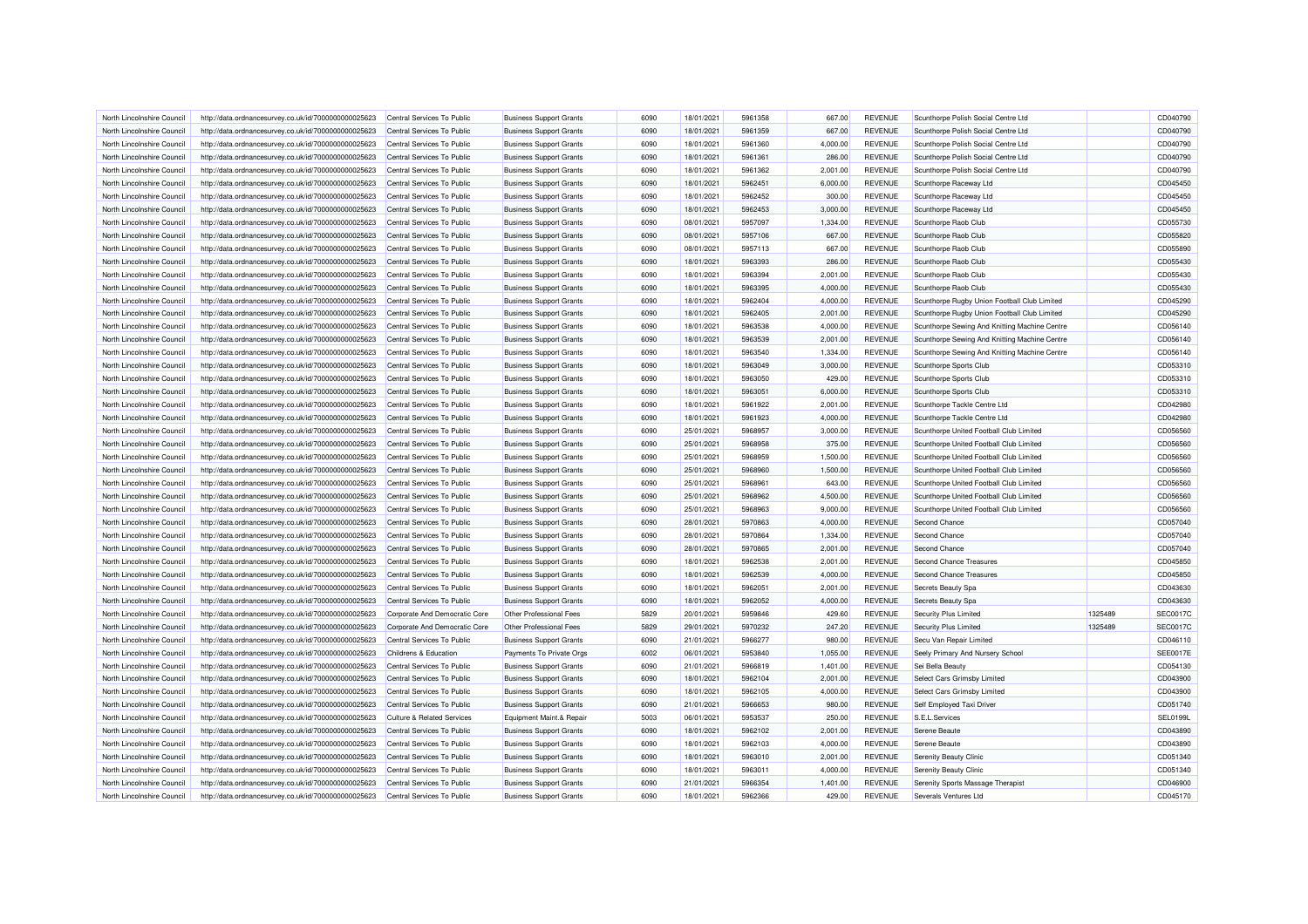| North Lincolnshire Council | http://data.ordnancesurvey.co.uk/id/7000000000025623 | Central Services To Public            | <b>Business Support Grants</b> | 6090 | 18/01/2021 | 5961358 | 667.00   | <b>REVENUE</b> | Scunthorpe Polish Social Centre Ltd           |         | CD040790        |
|----------------------------|------------------------------------------------------|---------------------------------------|--------------------------------|------|------------|---------|----------|----------------|-----------------------------------------------|---------|-----------------|
| North Lincolnshire Council | http://data.ordnancesurvey.co.uk/id/7000000000025623 | Central Services To Public            | <b>Business Support Grants</b> | 6090 | 18/01/2021 | 5961359 | 667.00   | <b>REVENUE</b> | Scunthorpe Polish Social Centre Ltd           |         | CD040790        |
| North Lincolnshire Council | http://data.ordnancesurvey.co.uk/id/7000000000025623 | Central Services To Public            | <b>Business Support Grants</b> | 6090 | 18/01/2021 | 5961360 | 4,000.00 | <b>REVENUE</b> | Scunthorpe Polish Social Centre Ltd           |         | CD040790        |
| North Lincolnshire Council | http://data.ordnancesurvey.co.uk/id/7000000000025623 | Central Services To Public            | <b>Business Support Grants</b> | 6090 | 18/01/2021 | 5961361 | 286.00   | <b>REVENUE</b> | Scunthorpe Polish Social Centre Ltd           |         | CD040790        |
| North Lincolnshire Council | http://data.ordnancesurvey.co.uk/id/7000000000025623 | Central Services To Public            | <b>Business Support Grants</b> | 6090 | 18/01/2021 | 5961362 | 2,001.00 | <b>REVENUE</b> | Scunthorpe Polish Social Centre Ltd           |         | CD040790        |
| North Lincolnshire Council | http://data.ordnancesurvey.co.uk/id/7000000000025623 | Central Services To Public            | <b>Business Support Grants</b> | 6090 | 18/01/2021 | 5962451 | 6,000.00 | <b>REVENUE</b> | Scunthorpe Raceway Ltd                        |         | CD045450        |
| North Lincolnshire Council | http://data.ordnancesurvey.co.uk/id/7000000000025623 | Central Services To Public            | <b>Business Support Grants</b> | 6090 | 18/01/2021 | 5962452 | 300.00   | <b>REVENUE</b> | Scunthorpe Raceway Ltd                        |         | CD045450        |
| North Lincolnshire Council | http://data.ordnancesurvey.co.uk/id/7000000000025623 | Central Services To Public            | <b>Business Support Grants</b> | 6090 | 18/01/2021 | 5962453 | 3,000.00 | <b>REVENUE</b> | Scunthorpe Raceway Ltd                        |         | CD045450        |
| North Lincolnshire Council | http://data.ordnancesurvey.co.uk/id/7000000000025623 | Central Services To Public            | <b>Business Support Grants</b> | 6090 | 08/01/2021 | 5957097 | 1,334.00 | <b>REVENUE</b> | Scunthorpe Raob Club                          |         | CD055730        |
| North Lincolnshire Council | http://data.ordnancesurvey.co.uk/id/7000000000025623 | Central Services To Public            | <b>Business Support Grants</b> | 6090 | 08/01/2021 | 5957106 | 667.00   | <b>REVENUE</b> | Scunthorpe Raob Club                          |         | CD055820        |
| North Lincolnshire Council | http://data.ordnancesurvey.co.uk/id/7000000000025623 | Central Services To Public            | <b>Business Support Grants</b> | 6090 | 08/01/2021 | 5957113 | 667.00   | <b>REVENUE</b> | Scunthorpe Raob Club                          |         | CD055890        |
| North Lincolnshire Council | http://data.ordnancesurvey.co.uk/id/7000000000025623 | Central Services To Public            | <b>Business Support Grants</b> | 6090 | 18/01/2021 | 5963393 | 286.00   | <b>REVENUE</b> | Scunthorpe Raob Club                          |         | CD055430        |
| North Lincolnshire Council | http://data.ordnancesurvey.co.uk/id/7000000000025623 | Central Services To Public            | <b>Business Support Grants</b> | 6090 | 18/01/2021 | 5963394 | 2,001.00 | <b>REVENUE</b> | Scunthorpe Raob Club                          |         | CD055430        |
| North Lincolnshire Council | http://data.ordnancesurvey.co.uk/id/7000000000025623 | Central Services To Public            | <b>Business Support Grants</b> | 6090 | 18/01/2021 | 5963395 | 4,000.00 | <b>REVENUE</b> | Scunthorpe Raob Club                          |         | CD055430        |
| North Lincolnshire Council | http://data.ordnancesurvey.co.uk/id/7000000000025623 | Central Services To Public            | <b>Business Support Grants</b> | 6090 | 18/01/2021 | 5962404 | 4,000.00 | <b>REVENUE</b> | Scunthorpe Rugby Union Football Club Limited  |         | CD045290        |
| North Lincolnshire Council | http://data.ordnancesurvey.co.uk/id/7000000000025623 | Central Services To Public            | <b>Business Support Grants</b> | 6090 | 18/01/2021 | 5962405 | 2,001.00 | <b>REVENUE</b> | Scunthorpe Rugby Union Football Club Limited  |         | CD045290        |
| North Lincolnshire Council | http://data.ordnancesurvey.co.uk/id/7000000000025623 | Central Services To Public            | <b>Business Support Grants</b> | 6090 | 18/01/2021 | 5963538 | 4,000.00 | <b>REVENUE</b> | Scunthorpe Sewing And Knitting Machine Centre |         | CD056140        |
| North Lincolnshire Council |                                                      | Central Services To Public            |                                | 6090 | 18/01/2021 | 5963539 | 2,001.00 | <b>REVENUE</b> |                                               |         | CD056140        |
|                            | http://data.ordnancesurvey.co.uk/id/7000000000025623 |                                       | <b>Business Support Grants</b> |      |            |         |          |                | Scunthorpe Sewing And Knitting Machine Centre |         |                 |
| North Lincolnshire Council | http://data.ordnancesurvey.co.uk/id/7000000000025623 | Central Services To Public            | <b>Business Support Grants</b> | 6090 | 18/01/2021 | 5963540 | 1,334.00 | <b>REVENUE</b> | Scunthorpe Sewing And Knitting Machine Centre |         | CD056140        |
| North Lincolnshire Council | http://data.ordnancesurvey.co.uk/id/7000000000025623 | Central Services To Public            | <b>Business Support Grants</b> | 6090 | 18/01/2021 | 5963049 | 3,000.00 | <b>REVENUE</b> | Scunthorpe Sports Club                        |         | CD053310        |
| North Lincolnshire Council | http://data.ordnancesurvey.co.uk/id/7000000000025623 | Central Services To Public            | <b>Business Support Grants</b> | 6090 | 18/01/2021 | 5963050 | 429.00   | <b>REVENUE</b> | Scunthorpe Sports Club                        |         | CD053310        |
| North Lincolnshire Council | http://data.ordnancesurvey.co.uk/id/7000000000025623 | Central Services To Public            | <b>Business Support Grants</b> | 6090 | 18/01/2021 | 5963051 | 6,000.00 | <b>REVENUE</b> | Scunthorpe Sports Club                        |         | CD053310        |
| North Lincolnshire Council | http://data.ordnancesurvey.co.uk/id/7000000000025623 | Central Services To Public            | <b>Business Support Grants</b> | 6090 | 18/01/2021 | 5961922 | 2,001.00 | <b>REVENUE</b> | Scunthorpe Tackle Centre Ltd                  |         | CD042980        |
| North Lincolnshire Council | http://data.ordnancesurvey.co.uk/id/7000000000025623 | Central Services To Public            | <b>Business Support Grants</b> | 6090 | 18/01/2021 | 5961923 | 4,000.00 | <b>REVENUE</b> | Scunthorpe Tackle Centre Ltd                  |         | CD042980        |
| North Lincolnshire Council | http://data.ordnancesurvey.co.uk/id/7000000000025623 | Central Services To Public            | <b>Business Support Grants</b> | 6090 | 25/01/2021 | 5968957 | 3,000.00 | <b>REVENUE</b> | Scunthorpe United Football Club Limited       |         | CD056560        |
| North Lincolnshire Council | http://data.ordnancesurvey.co.uk/id/7000000000025623 | Central Services To Public            | <b>Business Support Grants</b> | 6090 | 25/01/2021 | 5968958 | 375.00   | <b>REVENUE</b> | Scunthorpe United Football Club Limited       |         | CD056560        |
| North Lincolnshire Council | http://data.ordnancesurvey.co.uk/id/7000000000025623 | Central Services To Public            | <b>Business Support Grants</b> | 6090 | 25/01/2021 | 5968959 | 1,500.00 | <b>REVENUE</b> | Scunthorpe United Football Club Limited       |         | CD056560        |
| North Lincolnshire Council | http://data.ordnancesurvey.co.uk/id/7000000000025623 | Central Services To Public            | <b>Business Support Grants</b> | 6090 | 25/01/2021 | 5968960 | 1,500.00 | <b>REVENUE</b> | Scunthorpe United Football Club Limited       |         | CD056560        |
| North Lincolnshire Council | http://data.ordnancesurvey.co.uk/id/7000000000025623 | Central Services To Public            | <b>Business Support Grants</b> | 6090 | 25/01/2021 | 596896  | 643.00   | <b>REVENUE</b> | Scunthorpe United Football Club Limited       |         | CD056560        |
| North Lincolnshire Council | http://data.ordnancesurvey.co.uk/id/7000000000025623 | Central Services To Public            | <b>Business Support Grants</b> | 6090 | 25/01/2021 | 5968962 | 4,500.00 | <b>REVENUE</b> | Scunthorpe United Football Club Limited       |         | CD056560        |
| North Lincolnshire Council | http://data.ordnancesurvey.co.uk/id/7000000000025623 | Central Services To Public            | <b>Business Support Grants</b> | 6090 | 25/01/2021 | 5968963 | 9,000.00 | <b>REVENUE</b> | Scunthorpe United Football Club Limited       |         | CD056560        |
| North Lincolnshire Council | http://data.ordnancesurvey.co.uk/id/7000000000025623 | Central Services To Public            | <b>Business Support Grants</b> | 6090 | 28/01/2021 | 5970863 | 4,000.00 | <b>REVENUE</b> | Second Chance                                 |         | CD057040        |
| North Lincolnshire Council | http://data.ordnancesurvey.co.uk/id/7000000000025623 | Central Services To Public            | <b>Business Support Grants</b> | 6090 | 28/01/2021 | 5970864 | 1,334.00 | <b>REVENUE</b> | Second Chance                                 |         | CD057040        |
| North Lincolnshire Council | http://data.ordnancesurvey.co.uk/id/7000000000025623 | Central Services To Public            | <b>Business Support Grants</b> | 6090 | 28/01/2021 | 5970865 | 2.001.00 | <b>REVENUE</b> | Second Chance                                 |         | CD057040        |
| North Lincolnshire Council | http://data.ordnancesurvey.co.uk/id/7000000000025623 | Central Services To Public            | <b>Business Support Grants</b> | 6090 | 18/01/2021 | 5962538 | 2,001.00 | <b>REVENUE</b> | Second Chance Treasures                       |         | CD045850        |
| North Lincolnshire Council | http://data.ordnancesurvey.co.uk/id/7000000000025623 | Central Services To Public            | <b>Business Support Grants</b> | 6090 | 18/01/2021 | 5962539 | 4,000.00 | <b>REVENUE</b> | Second Chance Treasures                       |         | CD045850        |
| North Lincolnshire Council | http://data.ordnancesurvey.co.uk/id/7000000000025623 | Central Services To Public            | <b>Business Support Grants</b> | 6090 | 18/01/2021 | 5962051 | 2,001.00 | <b>REVENUE</b> | Secrets Beauty Spa                            |         | CD043630        |
| North Lincolnshire Council | http://data.ordnancesurvey.co.uk/id/7000000000025623 | Central Services To Public            | <b>Business Support Grants</b> | 6090 | 18/01/2021 | 5962052 | 4,000.00 | <b>REVENUE</b> | Secrets Beauty Spa                            |         | CD043630        |
| North Lincolnshire Council | http://data.ordnancesurvey.co.uk/id/7000000000025623 | Corporate And Democratic Core         | Other Professional Fees        | 5829 | 20/01/2021 | 5959846 | 429.60   | <b>REVENUE</b> | Security Plus Limited                         | 1325489 | <b>SEC0017C</b> |
| North Lincolnshire Council | http://data.ordnancesurvey.co.uk/id/7000000000025623 | Corporate And Democratic Core         | Other Professional Fees        | 5829 | 29/01/2021 | 5970232 | 247.20   | <b>REVENUE</b> | Security Plus Limited                         | 1325489 | <b>SEC0017C</b> |
| North Lincolnshire Council | http://data.ordnancesurvey.co.uk/id/7000000000025623 | Central Services To Public            | <b>Business Support Grants</b> | 6090 | 21/01/2021 | 5966277 | 980.00   | <b>REVENUE</b> | Secu Van Repair Limited                       |         | CD046110        |
| North Lincolnshire Council | http://data.ordnancesurvey.co.uk/id/7000000000025623 | Childrens & Education                 | Payments To Private Orgs       | 6002 | 06/01/2021 | 5953840 | 1,055.00 | <b>REVENUE</b> | Seely Primary And Nursery School              |         | <b>SEE0017E</b> |
| North Lincolnshire Council | http://data.ordnancesurvey.co.uk/id/7000000000025623 | Central Services To Public            | <b>Business Support Grants</b> | 6090 | 21/01/2021 | 5966819 | 1,401.00 | <b>REVENUE</b> | Sei Bella Beauty                              |         | CD054130        |
| North Lincolnshire Council | http://data.ordnancesurvey.co.uk/id/7000000000025623 | Central Services To Public            | <b>Business Support Grants</b> | 6090 | 18/01/2021 | 5962104 | 2,001.00 | <b>REVENUE</b> | Select Cars Grimsby Limited                   |         | CD043900        |
| North Lincolnshire Council | http://data.ordnancesurvey.co.uk/id/7000000000025623 | Central Services To Public            | <b>Business Support Grants</b> | 6090 | 18/01/2021 | 5962105 | 4,000.00 | <b>REVENUE</b> | Select Cars Grimsby Limited                   |         | CD043900        |
| North Lincolnshire Council | http://data.ordnancesurvey.co.uk/id/7000000000025623 | Central Services To Public            | <b>Business Support Grants</b> | 6090 | 21/01/2021 | 5966653 | 980.00   | <b>REVENUE</b> | Self Employed Taxi Driver                     |         | CD051740        |
| North Lincolnshire Council | http://data.ordnancesurvey.co.uk/id/7000000000025623 | <b>Culture &amp; Related Services</b> | Equipment Maint.& Repair       | 5003 | 06/01/2021 | 5953537 | 250.00   | <b>REVENUE</b> | S.E.L.Services                                |         | <b>SEL0199L</b> |
| North Lincolnshire Council | http://data.ordnancesurvey.co.uk/id/7000000000025623 | Central Services To Public            | <b>Business Support Grants</b> | 6090 | 18/01/2021 | 5962102 | 2,001.00 | <b>REVENUE</b> | Serene Beaute                                 |         | CD043890        |
| North Lincolnshire Council | http://data.ordnancesurvey.co.uk/id/7000000000025623 | Central Services To Public            | <b>Business Support Grants</b> | 6090 | 18/01/2021 | 5962103 | 4,000.00 | <b>REVENUE</b> | Serene Beaute                                 |         | CD043890        |
| North Lincolnshire Council | http://data.ordnancesurvey.co.uk/id/7000000000025623 | Central Services To Public            | <b>Business Support Grants</b> | 6090 | 18/01/2021 | 5963010 | 2,001.00 | <b>REVENUE</b> | Serenity Beauty Clinic                        |         | CD051340        |
| North Lincolnshire Council | http://data.ordnancesurvey.co.uk/id/7000000000025623 | Central Services To Public            | <b>Business Support Grants</b> | 6090 | 18/01/2021 | 596301  | 4,000.00 | <b>REVENUE</b> | Serenity Beauty Clinic                        |         | CD051340        |
| North Lincolnshire Council | http://data.ordnancesurvey.co.uk/id/7000000000025623 | Central Services To Public            | <b>Business Support Grants</b> | 6090 | 21/01/2021 | 5966354 | 1,401.00 | <b>REVENUE</b> | Serenity Sports Massage Therapist             |         | CD046900        |
| North Lincolnshire Council | http://data.ordnancesurvey.co.uk/id/7000000000025623 | Central Services To Public            | <b>Business Support Grants</b> | 6090 | 18/01/2021 | 5962366 | 429.00   | <b>REVENUE</b> | Severals Ventures Ltd                         |         | CD045170        |
|                            |                                                      |                                       |                                |      |            |         |          |                |                                               |         |                 |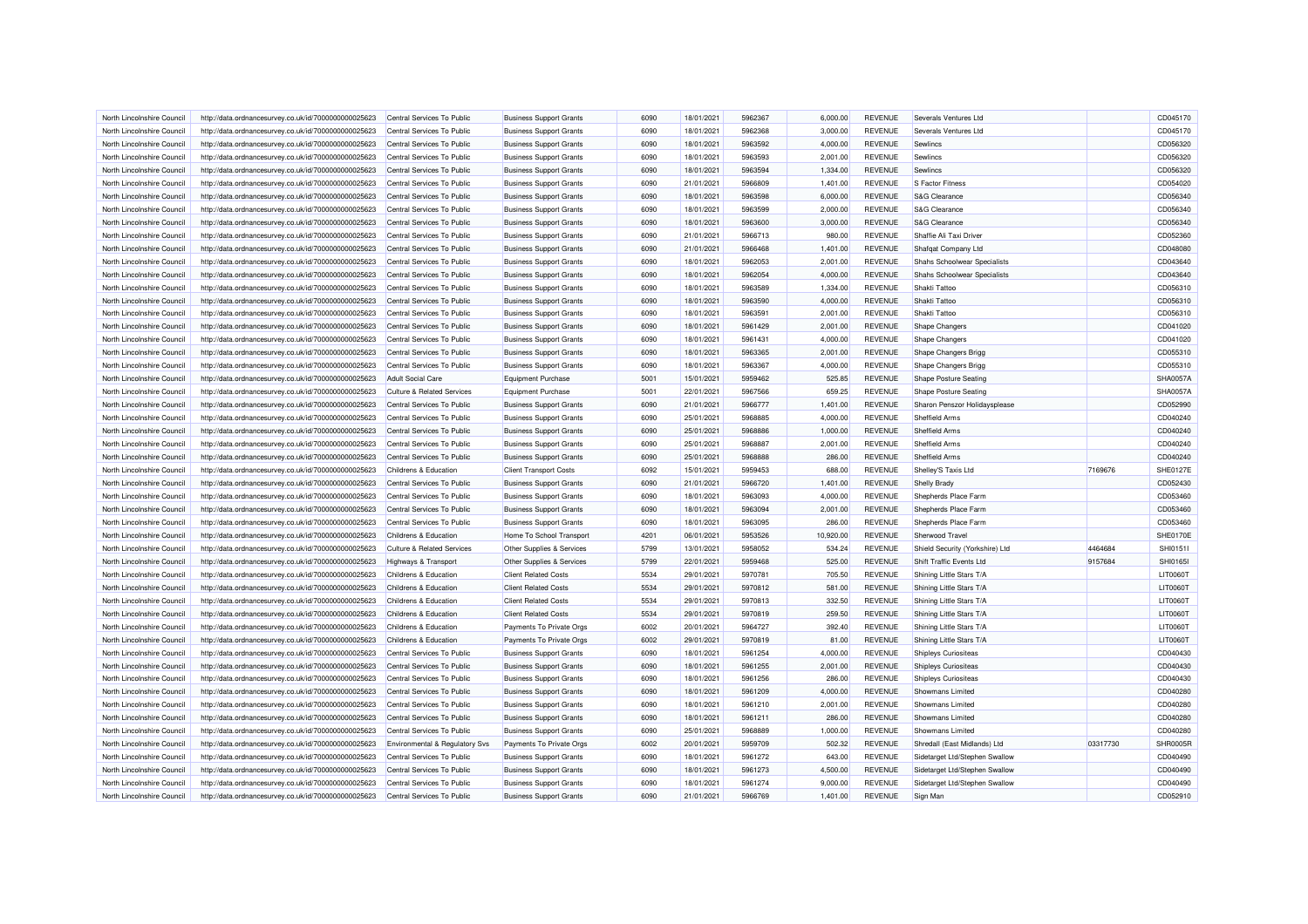| North Lincolnshire Council | http://data.ordnancesurvey.co.uk/id/7000000000025623                                                         | Central Services To Public                               | <b>Business Support Grants</b>                                   | 6090 | 18/01/2021 | 5962367 | 6.000.00  | <b>REVENUE</b> | Severals Ventures Ltd               |          | CD045170        |
|----------------------------|--------------------------------------------------------------------------------------------------------------|----------------------------------------------------------|------------------------------------------------------------------|------|------------|---------|-----------|----------------|-------------------------------------|----------|-----------------|
| North Lincolnshire Council | http://data.ordnancesurvey.co.uk/id/7000000000025623                                                         | Central Services To Public                               | <b>Business Support Grants</b>                                   | 6090 | 18/01/2021 | 5962368 | 3,000.00  | <b>REVENUE</b> | Severals Ventures Ltd               |          | CD045170        |
| North Lincolnshire Council | http://data.ordnancesurvey.co.uk/id/7000000000025623                                                         | Central Services To Public                               | <b>Business Support Grants</b>                                   | 6090 | 18/01/2021 | 5963592 | 4,000.00  | <b>REVENUE</b> | Sewlincs                            |          | CD056320        |
| North Lincolnshire Council | http://data.ordnancesurvey.co.uk/id/7000000000025623                                                         | Central Services To Public                               | <b>Business Support Grants</b>                                   | 6090 | 18/01/2021 | 5963593 | 2,001.00  | <b>REVENUE</b> | Sewlincs                            |          | CD056320        |
| North Lincolnshire Council | http://data.ordnancesurvey.co.uk/id/7000000000025623                                                         | Central Services To Public                               | <b>Business Support Grants</b>                                   | 6090 | 18/01/2021 | 5963594 | 1,334.00  | <b>REVENUE</b> | Sewlincs                            |          | CD056320        |
| North Lincolnshire Council | http://data.ordnancesurvey.co.uk/id/7000000000025623                                                         | Central Services To Public                               | <b>Business Support Grants</b>                                   | 6090 | 21/01/2021 | 5966809 | 1,401.00  | <b>REVENUE</b> | <b>S Factor Fitness</b>             |          | CD054020        |
| North Lincolnshire Council | http://data.ordnancesurvey.co.uk/id/7000000000025623                                                         | Central Services To Public                               | <b>Business Support Grants</b>                                   | 6090 | 18/01/2021 | 5963598 | 6,000.00  | <b>REVENUE</b> | S&G Clearance                       |          | CD056340        |
| North Lincolnshire Council | http://data.ordnancesurvey.co.uk/id/7000000000025623                                                         | Central Services To Public                               | <b>Business Support Grants</b>                                   | 6090 | 18/01/2021 | 5963599 | 2,000.00  | <b>REVENUE</b> | S&G Clearance                       |          | CD056340        |
| North Lincolnshire Council | http://data.ordnancesurvey.co.uk/id/7000000000025623                                                         | Central Services To Public                               | <b>Business Support Grants</b>                                   | 6090 | 18/01/2021 | 5963600 | 3,000.00  | <b>REVENUE</b> | S&G Clearance                       |          | CD056340        |
| North Lincolnshire Council | http://data.ordnancesurvey.co.uk/id/7000000000025623                                                         | Central Services To Public                               | <b>Business Support Grants</b>                                   | 6090 | 21/01/2021 | 5966713 | 980.00    | <b>REVENUE</b> | Shaffie Ali Taxi Driver             |          | CD052360        |
| North Lincolnshire Council | http://data.ordnancesurvey.co.uk/id/7000000000025623                                                         | Central Services To Public                               | <b>Business Support Grants</b>                                   | 6090 | 21/01/2021 | 5966468 | 1,401.00  | <b>REVENUE</b> | Shafqat Company Ltd                 |          | CD048080        |
| North Lincolnshire Council | http://data.ordnancesurvey.co.uk/id/7000000000025623                                                         | Central Services To Public                               | <b>Business Support Grants</b>                                   | 6090 | 18/01/2021 | 5962053 | 2,001.00  | <b>REVENUE</b> | <b>Shahs Schoolwear Specialists</b> |          | CD043640        |
| North Lincolnshire Council | http://data.ordnancesurvey.co.uk/id/7000000000025623                                                         | Central Services To Public                               | <b>Business Support Grants</b>                                   | 6090 | 18/01/2021 | 5962054 | 4,000.00  | <b>REVENUE</b> | Shahs Schoolwear Specialists        |          | CD043640        |
| North Lincolnshire Council | http://data.ordnancesurvey.co.uk/id/7000000000025623                                                         | Central Services To Public                               | <b>Business Support Grants</b>                                   | 6090 | 18/01/2021 | 5963589 | 1,334.00  | <b>REVENUE</b> | Shakti Tattoo                       |          | CD056310        |
| North Lincolnshire Council | http://data.ordnancesurvey.co.uk/id/7000000000025623                                                         | Central Services To Public                               | <b>Business Support Grants</b>                                   | 6090 | 18/01/2021 | 5963590 | 4,000.00  | <b>REVENUE</b> | Shakti Tattoo                       |          | CD056310        |
| North Lincolnshire Council | http://data.ordnancesurvey.co.uk/id/7000000000025623                                                         | Central Services To Public                               | <b>Business Support Grants</b>                                   | 6090 | 18/01/2021 | 5963591 | 2,001.00  | <b>REVENUE</b> | Shakti Tattoo                       |          | CD056310        |
| North Lincolnshire Council | http://data.ordnancesurvey.co.uk/id/7000000000025623                                                         | Central Services To Public                               | <b>Business Support Grants</b>                                   | 6090 | 18/01/2021 | 5961429 | 2,001.00  | <b>REVENUE</b> | <b>Shape Changers</b>               |          | CD041020        |
| North Lincolnshire Council | http://data.ordnancesurvey.co.uk/id/7000000000025623                                                         | Central Services To Public                               | <b>Business Support Grants</b>                                   | 6090 | 18/01/2021 | 5961431 | 4,000.00  | <b>REVENUE</b> | <b>Shape Changers</b>               |          | CD041020        |
|                            |                                                                                                              |                                                          |                                                                  |      |            |         |           |                |                                     |          |                 |
| North Lincolnshire Council | http://data.ordnancesurvey.co.uk/id/7000000000025623                                                         | Central Services To Public                               | <b>Business Support Grants</b>                                   | 6090 | 18/01/2021 | 5963365 | 2,001.00  | <b>REVENUE</b> | Shape Changers Brigg                |          | CD055310        |
| North Lincolnshire Council | http://data.ordnancesurvey.co.uk/id/7000000000025623                                                         | Central Services To Public                               | <b>Business Support Grants</b>                                   | 6090 | 18/01/2021 | 5963367 | 4,000.00  | <b>REVENUE</b> | <b>Shape Changers Brigg</b>         |          | CD055310        |
| North Lincolnshire Council | http://data.ordnancesurvey.co.uk/id/7000000000025623                                                         | <b>Adult Social Care</b>                                 | <b>Equipment Purchase</b>                                        | 5001 | 15/01/2021 | 5959462 | 525.85    | <b>REVENUE</b> | <b>Shape Posture Seating</b>        |          | SHA0057A        |
| North Lincolnshire Council | http://data.ordnancesurvey.co.uk/id/7000000000025623                                                         | Culture & Related Services                               | <b>Equipment Purchase</b>                                        | 5001 | 22/01/2021 | 5967566 | 659.25    | <b>REVENUE</b> | <b>Shape Posture Seating</b>        |          | SHA0057A        |
| North Lincolnshire Council | http://data.ordnancesurvey.co.uk/id/7000000000025623                                                         | Central Services To Public                               | <b>Business Support Grants</b>                                   | 6090 | 21/01/2021 | 5966777 | 1,401.00  | <b>REVENUE</b> | Sharon Penszor Holidaysplease       |          | CD052990        |
| North Lincolnshire Council | http://data.ordnancesurvey.co.uk/id/7000000000025623                                                         | Central Services To Public                               | <b>Business Support Grants</b>                                   | 6090 | 25/01/2021 | 5968885 | 4,000.00  | <b>REVENUE</b> | Sheffield Arms                      |          | CD040240        |
| North Lincolnshire Council | http://data.ordnancesurvey.co.uk/id/7000000000025623                                                         | Central Services To Public                               | <b>Business Support Grants</b>                                   | 6090 | 25/01/2021 | 5968886 | 1,000.00  | <b>REVENUE</b> | Sheffield Arms                      |          | CD040240        |
| North Lincolnshire Council | http://data.ordnancesurvey.co.uk/id/7000000000025623                                                         | Central Services To Public                               | <b>Business Support Grants</b>                                   | 6090 | 25/01/2021 | 5968887 | 2,001.00  | <b>REVENUE</b> | Sheffield Arms                      |          | CD040240        |
| North Lincolnshire Council | http://data.ordnancesurvey.co.uk/id/7000000000025623                                                         | Central Services To Public                               | <b>Business Support Grants</b>                                   | 6090 | 25/01/2021 | 5968888 | 286.00    | <b>REVENUE</b> | Sheffield Arms                      |          | CD040240        |
| North Lincolnshire Council | http://data.ordnancesurvey.co.uk/id/7000000000025623                                                         | Childrens & Education                                    | <b>Client Transport Costs</b>                                    | 6092 | 15/01/2021 | 5959453 | 688.00    | <b>REVENUE</b> | Shelley'S Taxis Ltd                 | 7169676  | <b>SHE0127E</b> |
| North Lincolnshire Council | http://data.ordnancesurvey.co.uk/id/7000000000025623                                                         | Central Services To Public                               | <b>Business Support Grants</b>                                   | 6090 | 21/01/2021 | 5966720 | 1,401.00  | <b>REVENUE</b> | <b>Shelly Brady</b>                 |          | CD052430        |
| North Lincolnshire Council | http://data.ordnancesurvey.co.uk/id/7000000000025623                                                         | Central Services To Public                               | <b>Business Support Grants</b>                                   | 6090 | 18/01/2021 | 5963093 | 4,000.00  | <b>REVENUE</b> | Shepherds Place Farm                |          | CD053460        |
| North Lincolnshire Council | http://data.ordnancesurvey.co.uk/id/7000000000025623                                                         | Central Services To Public                               | <b>Business Support Grants</b>                                   | 6090 | 18/01/2021 | 5963094 | 2,001.00  | <b>REVENUE</b> | Shepherds Place Farm                |          | CD053460        |
| North Lincolnshire Council | http://data.ordnancesurvey.co.uk/id/7000000000025623                                                         | Central Services To Public                               | <b>Business Support Grants</b>                                   | 6090 | 18/01/2021 | 5963095 | 286.00    | <b>REVENUE</b> | Shepherds Place Farm                |          | CD053460        |
| North Lincolnshire Council | http://data.ordnancesurvey.co.uk/id/7000000000025623                                                         | Childrens & Education                                    | Home To School Transport                                         | 4201 | 06/01/2021 | 5953526 | 10,920.00 | <b>REVENUE</b> | Sherwood Travel                     |          | <b>SHE0170E</b> |
| North Lincolnshire Council | http://data.ordnancesurvey.co.uk/id/7000000000025623                                                         | <b>Culture &amp; Related Services</b>                    | Other Supplies & Services                                        | 5799 | 13/01/2021 | 5958052 | 534.24    | <b>REVENUE</b> | Shield Security (Yorkshire) Ltd     | 4464684  | SHI01511        |
| North Lincolnshire Council | http://data.ordnancesurvey.co.uk/id/7000000000025623                                                         | <b>Highways &amp; Transport</b>                          | Other Supplies & Services                                        | 5799 | 22/01/2021 | 5959468 | 525.00    | <b>REVENUE</b> | Shift Traffic Events Ltd            | 9157684  | SHI01651        |
| North Lincolnshire Council | http://data.ordnancesurvey.co.uk/id/7000000000025623                                                         | Childrens & Education                                    | <b>Client Related Costs</b>                                      | 5534 | 29/01/2021 | 5970781 | 705.50    | <b>REVENUE</b> | Shining Little Stars T/A            |          | LIT0060T        |
| North Lincolnshire Council | http://data.ordnancesurvey.co.uk/id/7000000000025623                                                         | Childrens & Education                                    | <b>Client Related Costs</b>                                      | 5534 | 29/01/2021 | 5970812 | 581.00    | <b>REVENUE</b> | Shining Little Stars T/A            |          | <b>LIT0060T</b> |
| North Lincolnshire Council | http://data.ordnancesurvey.co.uk/id/7000000000025623                                                         | Childrens & Education                                    | <b>Client Related Costs</b>                                      | 5534 | 29/01/2021 | 5970813 | 332.50    | <b>REVENUE</b> | Shining Little Stars T/A            |          | LIT0060T        |
| North Lincolnshire Council | http://data.ordnancesurvey.co.uk/id/7000000000025623                                                         | Childrens & Education                                    | <b>Client Related Costs</b>                                      | 5534 | 29/01/2021 | 5970819 | 259.50    | <b>REVENUE</b> | Shining Little Stars T/A            |          | <b>LIT0060T</b> |
| North Lincolnshire Council | http://data.ordnancesurvey.co.uk/id/7000000000025623                                                         | Childrens & Education                                    | Payments To Private Orgs                                         | 6002 | 20/01/2021 | 5964727 | 392.40    | <b>REVENUE</b> | Shining Little Stars T/A            |          | LIT0060T        |
| North Lincolnshire Council | http://data.ordnancesurvey.co.uk/id/7000000000025623                                                         | Childrens & Education                                    | Payments To Private Orgs                                         | 6002 | 29/01/2021 | 5970819 | 81.00     | <b>REVENUE</b> | Shining Little Stars T/A            |          | LIT0060T        |
| North Lincolnshire Council | http://data.ordnancesurvey.co.uk/id/7000000000025623                                                         | Central Services To Public                               | <b>Business Support Grants</b>                                   | 6090 | 18/01/2021 | 5961254 | 4.000.00  | <b>REVENUE</b> | Shipleys Curiositeas                |          | CD040430        |
| North Lincolnshire Council | http://data.ordnancesurvey.co.uk/id/7000000000025623                                                         | Central Services To Public                               | <b>Business Support Grants</b>                                   | 6090 | 18/01/2021 | 5961255 | 2,001.00  | <b>REVENUE</b> | <b>Shipleys Curiositeas</b>         |          | CD040430        |
| North Lincolnshire Council | http://data.ordnancesurvey.co.uk/id/7000000000025623                                                         | Central Services To Public                               | <b>Business Support Grants</b>                                   | 6090 | 18/01/2021 | 5961256 | 286.00    | <b>REVENUE</b> | Shipleys Curiositeas                |          | CD040430        |
| North Lincolnshire Council | http://data.ordnancesurvey.co.uk/id/7000000000025623                                                         | Central Services To Public                               | <b>Business Support Grants</b>                                   | 6090 | 18/01/2021 | 5961209 | 4,000.00  | <b>REVENUE</b> | Showmans Limited                    |          | CD040280        |
| North Lincolnshire Council | http://data.ordnancesurvey.co.uk/id/7000000000025623                                                         | Central Services To Public                               | <b>Business Support Grants</b>                                   | 6090 | 18/01/2021 | 5961210 | 2,001.00  | <b>REVENUE</b> | Showmans Limited                    |          | CD040280        |
| North Lincolnshire Council |                                                                                                              |                                                          |                                                                  | 6090 | 18/01/2021 | 5961211 | 286.00    | <b>REVENUE</b> | Showmans Limited                    |          | CD040280        |
| North Lincolnshire Council | http://data.ordnancesurvey.co.uk/id/7000000000025623<br>http://data.ordnancesurvey.co.uk/id/7000000000025623 | Central Services To Public<br>Central Services To Public | <b>Business Support Grants</b><br><b>Business Support Grants</b> | 6090 | 25/01/2021 | 5968889 | 1,000.00  | <b>REVENUE</b> | Showmans I imited                   |          | CD040280        |
|                            |                                                                                                              |                                                          |                                                                  |      |            |         |           |                |                                     |          |                 |
| North Lincolnshire Council | http://data.ordnancesurvey.co.uk/id/7000000000025623                                                         | Environmental & Regulatory Svs                           | Payments To Private Orgs                                         | 6002 | 20/01/2021 | 5959709 | 502.32    | <b>REVENUE</b> | Shredall (East Midlands) Ltd        | 03317730 | SHR0005R        |
| North Lincolnshire Council | http://data.ordnancesurvey.co.uk/id/7000000000025623                                                         | Central Services To Public                               | <b>Business Support Grants</b>                                   | 6090 | 18/01/2021 | 5961272 | 643.00    | <b>REVENUE</b> | Sidetarget Ltd/Stephen Swallow      |          | CD040490        |
| North Lincolnshire Council | http://data.ordnancesurvey.co.uk/id/7000000000025623                                                         | Central Services To Public                               | <b>Business Support Grants</b>                                   | 6090 | 18/01/2021 | 5961273 | 4,500.00  | <b>REVENUE</b> | Sidetarget Ltd/Stephen Swallow      |          | CD040490        |
| North Lincolnshire Council | http://data.ordnancesurvey.co.uk/id/7000000000025623                                                         | Central Services To Public                               | <b>Business Support Grants</b>                                   | 6090 | 18/01/2021 | 5961274 | 9,000.00  | <b>REVENUE</b> | Sidetarget Ltd/Stephen Swallow      |          | CD040490        |
| North Lincolnshire Council | http://data.ordnancesurvey.co.uk/id/7000000000025623                                                         | Central Services To Public                               | <b>Business Support Grants</b>                                   | 6090 | 21/01/2021 | 5966769 | 1,401.00  | <b>REVENUE</b> | Sign Man                            |          | CD052910        |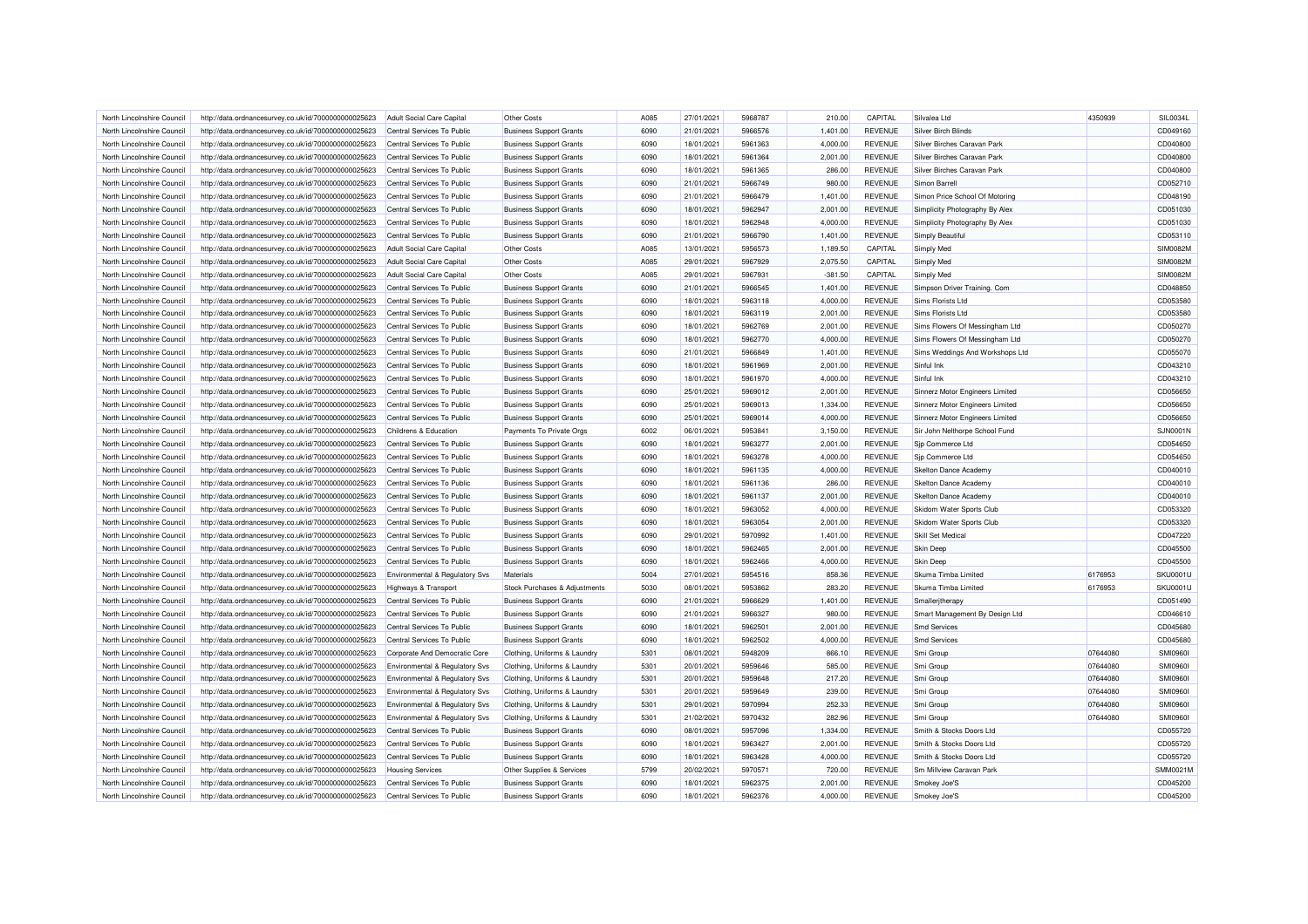| North Lincolnshire Council | http://data.ordnancesurvey.co.uk/id/7000000000025623 | Adult Social Care Capital                 | Other Costs                    | A085 | 27/01/2021 | 5968787 | 210.00    | CAPITAL        | Silvalea Ltd                    | 4350939  | SIL0034L        |
|----------------------------|------------------------------------------------------|-------------------------------------------|--------------------------------|------|------------|---------|-----------|----------------|---------------------------------|----------|-----------------|
| North Lincolnshire Council | http://data.ordnancesurvey.co.uk/id/7000000000025623 | Central Services To Public                | <b>Business Support Grants</b> | 6090 | 21/01/2021 | 5966576 | 1,401.00  | <b>REVENUE</b> | Silver Birch Blinds             |          | CD049160        |
| North Lincolnshire Council | http://data.ordnancesurvey.co.uk/id/7000000000025623 | Central Services To Public                | <b>Business Support Grants</b> | 6090 | 18/01/2021 | 5961363 | 4,000.00  | <b>REVENUE</b> | Silver Birches Caravan Park     |          | CD040800        |
| North Lincolnshire Council | http://data.ordnancesurvey.co.uk/id/7000000000025623 | Central Services To Public                | <b>Business Support Grants</b> | 6090 | 18/01/2021 | 5961364 | 2,001.00  | <b>REVENUE</b> | Silver Birches Caravan Park     |          | CD040800        |
| North Lincolnshire Council | http://data.ordnancesurvey.co.uk/id/7000000000025623 | Central Services To Public                | <b>Business Support Grants</b> | 6090 | 18/01/2021 | 5961365 | 286.00    | <b>REVENUE</b> | Silver Birches Caravan Park     |          | CD040800        |
| North Lincolnshire Council | http://data.ordnancesurvey.co.uk/id/7000000000025623 | Central Services To Public                | <b>Business Support Grants</b> | 6090 | 21/01/2021 | 5966749 | 980.00    | <b>REVENUE</b> | Simon Barrell                   |          | CD052710        |
| North Lincolnshire Council | http://data.ordnancesurvey.co.uk/id/7000000000025623 | Central Services To Public                | <b>Business Support Grants</b> | 6090 | 21/01/2021 | 5966479 | 1,401.00  | <b>REVENUE</b> | Simon Price School Of Motoring  |          | CD048190        |
| North Lincolnshire Council | http://data.ordnancesurvey.co.uk/id/7000000000025623 | Central Services To Public                | <b>Business Support Grants</b> | 6090 | 18/01/2021 | 5962947 | 2,001.00  | <b>REVENUE</b> | Simplicity Photography By Alex  |          | CD051030        |
| North Lincolnshire Council | http://data.ordnancesurvey.co.uk/id/7000000000025623 | Central Services To Public                | <b>Business Support Grants</b> | 6090 | 18/01/2021 | 5962948 | 4,000.00  | <b>REVENUE</b> | Simplicity Photography By Alex  |          | CD051030        |
| North Lincolnshire Council | http://data.ordnancesurvey.co.uk/id/7000000000025623 | Central Services To Public                | <b>Business Support Grants</b> | 6090 | 21/01/2021 | 5966790 | 1,401.00  | <b>REVENUE</b> | Simply Beautiful                |          | CD053110        |
| North Lincolnshire Council | http://data.ordnancesurvey.co.uk/id/7000000000025623 | Adult Social Care Capital                 | <b>Other Costs</b>             | A085 | 13/01/2021 | 5956573 | 1,189.50  | CAPITAL        | Simply Med                      |          | <b>SIM0082M</b> |
| North Lincolnshire Council | http://data.ordnancesurvey.co.uk/id/7000000000025623 | Adult Social Care Capital                 | Other Costs                    | A085 | 29/01/2021 | 5967929 | 2.075.50  | CAPITAL        | Simply Med                      |          | <b>SIM0082M</b> |
| North Lincolnshire Council | http://data.ordnancesurvey.co.uk/id/7000000000025623 | <b>Adult Social Care Capital</b>          | Other Costs                    | A085 | 29/01/2021 | 5967931 | $-381.50$ | CAPITAL        | Simply Med                      |          | <b>SIM0082M</b> |
| North Lincolnshire Council | http://data.ordnancesurvey.co.uk/id/7000000000025623 | Central Services To Public                | <b>Business Support Grants</b> | 6090 | 21/01/2021 | 5966545 | 1,401.00  | <b>REVENUE</b> | Simpson Driver Training. Com    |          | CD048850        |
| North Lincolnshire Council | http://data.ordnancesurvey.co.uk/id/7000000000025623 | Central Services To Public                | <b>Business Support Grants</b> | 6090 | 18/01/2021 | 5963118 | 4,000.00  | <b>REVENUE</b> | Sims Florists Ltd               |          | CD053580        |
| North Lincolnshire Council | http://data.ordnancesurvey.co.uk/id/7000000000025623 | Central Services To Public                | <b>Business Support Grants</b> | 6090 | 18/01/2021 | 5963119 | 2,001.00  | <b>REVENUE</b> | Sims Florists I td              |          | CD053580        |
| North Lincolnshire Council | http://data.ordnancesurvey.co.uk/id/7000000000025623 | Central Services To Public                | <b>Business Support Grants</b> | 6090 | 18/01/2021 | 5962769 | 2,001.00  | <b>REVENUE</b> | Sims Flowers Of Messingham Ltd  |          | CD050270        |
| North Lincolnshire Council |                                                      | Central Services To Public                |                                | 6090 | 18/01/2021 | 5962770 | 4,000.00  | <b>REVENUE</b> | Sims Flowers Of Messingham Ltd  |          | CD050270        |
|                            | http://data.ordnancesurvey.co.uk/id/7000000000025623 |                                           | <b>Business Support Grants</b> |      |            |         |           |                |                                 |          |                 |
| North Lincolnshire Council | http://data.ordnancesurvey.co.uk/id/7000000000025623 | Central Services To Public                | <b>Business Support Grants</b> | 6090 | 21/01/2021 | 5966849 | 1,401.00  | <b>REVENUE</b> | Sims Weddings And Workshops Ltd |          | CD055070        |
| North Lincolnshire Council | http://data.ordnancesurvey.co.uk/id/7000000000025623 | Central Services To Public                | <b>Business Support Grants</b> | 6090 | 18/01/2021 | 5961969 | 2,001.00  | <b>REVENUE</b> | Sinful Ink                      |          | CD043210        |
| North Lincolnshire Council | http://data.ordnancesurvey.co.uk/id/7000000000025623 | Central Services To Public                | <b>Business Support Grants</b> | 6090 | 18/01/2021 | 5961970 | 4,000.00  | REVENUE        | Sinful Ink                      |          | CD043210        |
| North Lincolnshire Council | http://data.ordnancesurvey.co.uk/id/7000000000025623 | Central Services To Public                | <b>Business Support Grants</b> | 6090 | 25/01/2021 | 5969012 | 2,001.00  | <b>REVENUE</b> | Sinnerz Motor Engineers Limited |          | CD056650        |
| North Lincolnshire Council | http://data.ordnancesurvey.co.uk/id/7000000000025623 | Central Services To Public                | <b>Business Support Grants</b> | 6090 | 25/01/2021 | 5969013 | 1,334.00  | <b>REVENUE</b> | Sinnerz Motor Engineers Limited |          | CD056650        |
| North Lincolnshire Council | http://data.ordnancesurvey.co.uk/id/7000000000025623 | Central Services To Public                | <b>Business Support Grants</b> | 6090 | 25/01/2021 | 5969014 | 4,000.00  | <b>REVENUE</b> | Sinnerz Motor Engineers Limited |          | CD056650        |
| North Lincolnshire Council | http://data.ordnancesurvey.co.uk/id/7000000000025623 | Childrens & Education                     | Payments To Private Orgs       | 6002 | 06/01/2021 | 5953841 | 3,150.00  | <b>REVENUE</b> | Sir John Nelthorpe School Fund  |          | <b>SJN0001N</b> |
| North Lincolnshire Council | http://data.ordnancesurvey.co.uk/id/7000000000025623 | Central Services To Public                | <b>Business Support Grants</b> | 6090 | 18/01/2021 | 5963277 | 2,001.00  | <b>REVENUE</b> | Sip Commerce Ltd                |          | CD054650        |
| North Lincolnshire Council | http://data.ordnancesurvey.co.uk/id/7000000000025623 | Central Services To Public                | <b>Business Support Grants</b> | 6090 | 18/01/2021 | 5963278 | 4,000.00  | <b>REVENUE</b> | Sjp Commerce Ltd                |          | CD054650        |
| North Lincolnshire Council | http://data.ordnancesurvey.co.uk/id/7000000000025623 | Central Services To Public                | <b>Business Support Grants</b> | 6090 | 18/01/2021 | 5961135 | 4,000.00  | <b>REVENUE</b> | Skelton Dance Academy           |          | CD040010        |
| North Lincolnshire Council | http://data.ordnancesurvey.co.uk/id/7000000000025623 | Central Services To Public                | <b>Business Support Grants</b> | 6090 | 18/01/2021 | 5961136 | 286.00    | <b>REVENUE</b> | Skelton Dance Academy           |          | CD040010        |
| North Lincolnshire Council | http://data.ordnancesurvey.co.uk/id/7000000000025623 | Central Services To Public                | <b>Business Support Grants</b> | 6090 | 18/01/2021 | 5961137 | 2,001.00  | <b>REVENUE</b> | <b>Skelton Dance Academy</b>    |          | CD040010        |
| North Lincolnshire Council | http://data.ordnancesurvey.co.uk/id/7000000000025623 | Central Services To Public                | <b>Business Support Grants</b> | 6090 | 18/01/2021 | 5963052 | 4,000.00  | <b>REVENUE</b> | Skidom Water Sports Club        |          | CD053320        |
| North Lincolnshire Council | http://data.ordnancesurvey.co.uk/id/7000000000025623 | Central Services To Public                | <b>Business Support Grants</b> | 6090 | 18/01/2021 | 5963054 | 2,001.00  | <b>REVENUE</b> | Skidom Water Sports Club        |          | CD053320        |
| North Lincolnshire Council | http://data.ordnancesurvey.co.uk/id/7000000000025623 | Central Services To Public                | <b>Business Support Grants</b> | 6090 | 29/01/2021 | 5970992 | 1.401.00  | <b>REVENUE</b> | <b>Skill Set Medical</b>        |          | CD047220        |
| North Lincolnshire Council | http://data.ordnancesurvey.co.uk/id/7000000000025623 | Central Services To Public                | <b>Business Support Grants</b> | 6090 | 18/01/2021 | 5962465 | 2,001.00  | <b>REVENUE</b> | <b>Skin Deep</b>                |          | CD045500        |
| North Lincolnshire Council | http://data.ordnancesurvey.co.uk/id/7000000000025623 | Central Services To Public                | <b>Business Support Grants</b> | 6090 | 18/01/2021 | 5962466 | 4,000.00  | <b>REVENUE</b> | <b>Skin Deep</b>                |          | CD045500        |
| North Lincolnshire Council | http://data.ordnancesurvey.co.uk/id/7000000000025623 | Environmental & Regulatory Svs            | Materials                      | 5004 | 27/01/2021 | 5954516 | 858.36    | <b>REVENUE</b> | Skuma Timba Limited             | 6176953  | <b>SKU0001L</b> |
| North Lincolnshire Council | http://data.ordnancesurvey.co.uk/id/7000000000025623 | <b>Highways &amp; Transport</b>           | Stock Purchases & Adjustments  | 5030 | 08/01/2021 | 5953862 | 283.20    | <b>REVENUE</b> | Skuma Timba Limited             | 6176953  | SKU0001L        |
| North Lincolnshire Council | http://data.ordnancesurvey.co.uk/id/7000000000025623 | Central Services To Public                | <b>Business Support Grants</b> | 6090 | 21/01/2021 | 5966629 | 1,401.00  | <b>REVENUE</b> | Smalleritherapy                 |          | CD051490        |
| North Lincolnshire Council | http://data.ordnancesurvey.co.uk/id/7000000000025623 | Central Services To Public                | <b>Business Support Grants</b> | 6090 | 21/01/2021 | 5966327 | 980.00    | <b>REVENUE</b> | Smart Management By Design Ltd  |          | CD046610        |
| North Lincolnshire Council | http://data.ordnancesurvey.co.uk/id/7000000000025623 | Central Services To Public                | <b>Business Support Grants</b> | 6090 | 18/01/2021 | 5962501 | 2,001.00  | <b>REVENUE</b> | <b>Smd Services</b>             |          | CD045680        |
| North Lincolnshire Council | http://data.ordnancesurvey.co.uk/id/7000000000025623 | Central Services To Public                | <b>Business Support Grants</b> | 6090 | 18/01/2021 | 5962502 | 4,000.00  | <b>REVENUE</b> | <b>Smd Services</b>             |          | CD045680        |
| North Lincolnshire Council | http://data.ordnancesurvey.co.uk/id/7000000000025623 | Corporate And Democratic Core             | Clothing, Uniforms & Laundry   | 5301 | 08/01/2021 | 5948209 | 866.10    | <b>REVENUE</b> | Smi Group                       | 07644080 | <b>SMI09601</b> |
| North Lincolnshire Council | http://data.ordnancesurvey.co.uk/id/7000000000025623 | Environmental & Regulatory Svs            | Clothing, Uniforms & Laundry   | 5301 | 20/01/2021 | 5959646 | 585.00    | <b>REVENUE</b> | Smi Group                       | 07644080 | <b>SMI09601</b> |
| North Lincolnshire Council | http://data.ordnancesurvey.co.uk/id/7000000000025623 | Environmental & Regulatory Svs            | Clothing, Uniforms & Laundry   | 5301 | 20/01/2021 | 5959648 | 217.20    | <b>REVENUE</b> | Smi Group                       | 07644080 | <b>SMI09601</b> |
| North Lincolnshire Council | http://data.ordnancesurvey.co.uk/id/7000000000025623 | <b>Environmental &amp; Regulatory Svs</b> | Clothing, Uniforms & Laundry   | 5301 | 20/01/2021 | 5959649 | 239.00    | <b>REVENUE</b> | Smi Group                       | 07644080 | <b>SMI09601</b> |
| North Lincolnshire Council | http://data.ordnancesurvey.co.uk/id/7000000000025623 | Environmental & Regulatory Svs            | Clothing, Uniforms & Laundry   | 5301 | 29/01/2021 | 5970994 | 252.33    | <b>REVENUE</b> | Smi Group                       | 07644080 | <b>SMI09601</b> |
| North Lincolnshire Council | http://data.ordnancesurvey.co.uk/id/7000000000025623 | Environmental & Regulatory Svs            | Clothing, Uniforms & Laundry   | 5301 | 21/02/2021 | 5970432 | 282.96    | <b>REVENUE</b> | Smi Group                       | 07644080 | <b>SMI09601</b> |
| North Lincolnshire Council | http://data.ordnancesurvey.co.uk/id/7000000000025623 | Central Services To Public                | <b>Business Support Grants</b> | 6090 | 08/01/2021 | 5957096 | 1,334.00  | <b>REVENUE</b> | Smith & Stocks Doors Ltd        |          | CD055720        |
| North Lincolnshire Council | http://data.ordnancesurvey.co.uk/id/7000000000025623 | Central Services To Public                | <b>Business Support Grants</b> | 6090 | 18/01/2021 | 5963427 | 2,001.00  | <b>REVENUE</b> | Smith & Stocks Doors Ltd        |          | CD055720        |
| North Lincolnshire Council | http://data.ordnancesurvey.co.uk/id/7000000000025623 | Central Services To Public                | <b>Business Support Grants</b> | 6090 | 18/01/2021 | 5963428 | 4,000.00  | <b>REVENUE</b> | Smith & Stocks Doors Ltd        |          | CD055720        |
| North Lincolnshire Council | http://data.ordnancesurvey.co.uk/id/7000000000025623 | <b>Housing Services</b>                   | Other Supplies & Services      | 5799 | 20/02/2021 | 5970571 | 720.00    | <b>REVENUE</b> | Sm Millview Caravan Park        |          | <b>SMM0021M</b> |
| North Lincolnshire Council | http://data.ordnancesurvey.co.uk/id/7000000000025623 | Central Services To Public                | <b>Business Support Grants</b> | 6090 | 18/01/2021 | 5962375 | 2,001.00  | <b>REVENUE</b> | Smokey Joe'S                    |          | CD045200        |
| North Lincolnshire Council | http://data.ordnancesurvey.co.uk/id/7000000000025623 | Central Services To Public                | <b>Business Support Grants</b> | 6090 | 18/01/2021 | 5962376 | 4,000.00  | <b>REVENUE</b> | Smokey Joe'S                    |          | CD045200        |
|                            |                                                      |                                           |                                |      |            |         |           |                |                                 |          |                 |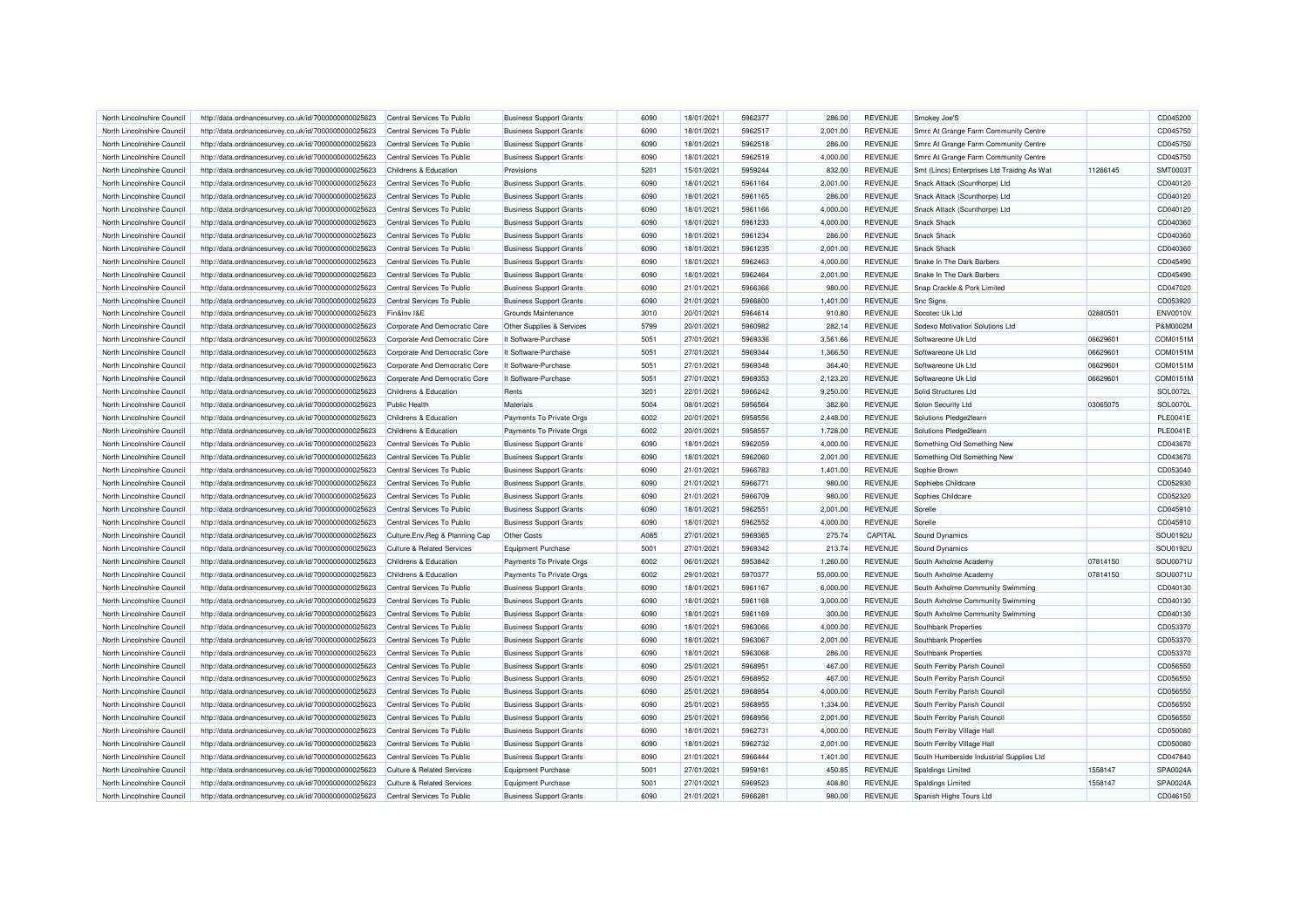| North Lincolnshire Council | http://data.ordnancesurvey.co.uk/id/7000000000025623 | Central Services To Public            | <b>Business Support Grants</b> | 6090 | 18/01/2021               | 5962377            | 286.00           | <b>REVENUE</b> | Smokey Joe'S                               |          | CD045200 |
|----------------------------|------------------------------------------------------|---------------------------------------|--------------------------------|------|--------------------------|--------------------|------------------|----------------|--------------------------------------------|----------|----------|
| North Lincolnshire Council | http://data.ordnancesurvey.co.uk/id/7000000000025623 | Central Services To Public            | <b>Business Support Grants</b> | 6090 | 18/01/2021               | 5962517            | 2,001.00         | <b>REVENUE</b> | Smrc At Grange Farm Community Centre       |          | CD045750 |
| North Lincolnshire Council | http://data.ordnancesurvey.co.uk/id/7000000000025623 | Central Services To Public            | <b>Business Support Grants</b> | 6090 | 18/01/2021               | 5962518            | 286.00           | <b>REVENUE</b> | Smrc At Grange Farm Community Centre       |          | CD045750 |
| North Lincolnshire Council | http://data.ordnancesurvey.co.uk/id/7000000000025623 | Central Services To Public            | <b>Business Support Grants</b> | 6090 | 18/01/2021               | 5962519            | 4,000.00         | <b>REVENUE</b> | Smrc At Grange Farm Community Centre       |          | CD045750 |
| North Lincolnshire Council | http://data.ordnancesurvey.co.uk/id/7000000000025623 | Childrens & Education                 | Provisions                     | 5201 | 15/01/2021               | 5959244            | 832.00           | REVENUE        | Smt (Lincs) Enterprises Ltd Traidng As Wat | 11266145 | SMT00031 |
| North Lincolnshire Council | http://data.ordnancesurvey.co.uk/id/7000000000025623 | Central Services To Public            | <b>Business Support Grants</b> | 6090 | 18/01/2021               | 5961164            | 2,001.00         | <b>REVENUE</b> | Snack Attack (Scunthorpe) Ltd              |          | CD040120 |
| North Lincolnshire Council | http://data.ordnancesurvey.co.uk/id/7000000000025623 | Central Services To Public            | <b>Business Support Grants</b> | 6090 | 18/01/2021               | 5961165            | 286.00           | <b>REVENUE</b> | Snack Attack (Scunthorpe) Ltd              |          | CD040120 |
| North Lincolnshire Council | http://data.ordnancesurvey.co.uk/id/7000000000025623 | Central Services To Public            | <b>Business Support Grants</b> | 6090 | 18/01/2021               | 5961166            | 4,000.00         | <b>REVENUE</b> | Snack Attack (Scunthorpe) Ltd              |          | CD040120 |
| North Lincolnshire Council | http://data.ordnancesurvey.co.uk/id/7000000000025623 | Central Services To Public            | <b>Business Support Grants</b> | 6090 | 18/01/2021               | 5961233            | 4,000.00         | <b>REVENUE</b> | <b>Snack Shack</b>                         |          | CD040360 |
| North Lincolnshire Council | http://data.ordnancesurvey.co.uk/id/7000000000025623 | Central Services To Public            | <b>Business Support Grants</b> | 6090 | 18/01/2021               | 5961234            | 286.00           | <b>REVENUE</b> | <b>Snack Shack</b>                         |          | CD040360 |
| North Lincolnshire Council | http://data.ordnancesurvey.co.uk/id/7000000000025623 | Central Services To Public            | <b>Business Support Grants</b> | 6090 | 18/01/2021               | 5961235            | 2,001.00         | <b>REVENUE</b> | Snack Shack                                |          | CD040360 |
| North Lincolnshire Council | http://data.ordnancesurvey.co.uk/id/7000000000025623 | Central Services To Public            | <b>Business Support Grants</b> | 6090 | 18/01/2021               | 5962463            | 4,000.00         | <b>REVENUE</b> | Snake In The Dark Barbers                  |          | CD045490 |
| North Lincolnshire Council | http://data.ordnancesurvey.co.uk/id/7000000000025623 | Central Services To Public            | <b>Business Support Grants</b> | 6090 | 18/01/2021               | 5962464            | 2,001.00         | <b>REVENUE</b> | Snake In The Dark Barbers                  |          | CD045490 |
| North Lincolnshire Council | http://data.ordnancesurvey.co.uk/id/7000000000025623 | Central Services To Public            | <b>Business Support Grants</b> | 6090 | 21/01/2021               | 5966366            | 980.00           | <b>REVENUE</b> | Snap Crackle & Pork Limited                |          | CD047020 |
| North Lincolnshire Council | http://data.ordnancesurvey.co.uk/id/7000000000025623 | Central Services To Public            | <b>Business Support Grants</b> | 6090 | 21/01/2021               | 5966800            | 1,401.00         | <b>REVENUE</b> | <b>Snc Signs</b>                           |          | CD053920 |
| North Lincolnshire Council |                                                      | Fin&Inv I&E                           | Grounds Maintenance            | 3010 | 20/01/2021               | 5964614            | 910.80           | <b>REVENUE</b> | Socotec Uk Ltd                             | 02880501 | ENV0010\ |
| North Lincolnshire Council | http://data.ordnancesurvey.co.uk/id/7000000000025623 | Corporate And Democratic Core         |                                | 5799 | 20/01/2021               | 5960982            | 282.14           | <b>REVENUE</b> | Sodexo Motivation Solutions Ltd            |          | P&M0002M |
|                            | http://data.ordnancesurvey.co.uk/id/7000000000025623 |                                       | Other Supplies & Services      |      |                          |                    |                  |                |                                            |          |          |
| North Lincolnshire Council | http://data.ordnancesurvey.co.uk/id/7000000000025623 | Corporate And Democratic Core         | It Software-Purchase           | 5051 | 27/01/2021               | 5969336            | 3,561.66         | <b>REVENUE</b> | Softwareone Uk Ltd                         | 06629601 | COM0151M |
| North Lincolnshire Council | http://data.ordnancesurvey.co.uk/id/7000000000025623 | Corporate And Democratic Core         | It Software-Purchase           | 5051 | 27/01/2021               | 5969344            | 1,366.50         | <b>REVENUE</b> | Softwareone Uk Ltd                         | 06629601 | COM0151M |
| North Lincolnshire Council | http://data.ordnancesurvey.co.uk/id/7000000000025623 | Corporate And Democratic Core         | It Software-Purchase           | 5051 | 27/01/2021               | 5969348            | 364.40           | <b>REVENUE</b> | Softwareone Uk Ltd                         | 06629601 | COM0151M |
| North Lincolnshire Council | http://data.ordnancesurvey.co.uk/id/7000000000025623 | Corporate And Democratic Core         | It Software-Purchase           | 5051 | 27/01/2021               | 5969353            | 2,123.20         | <b>REVENUE</b> | Softwareone Uk Ltd                         | 06629601 | COM0151M |
| North Lincolnshire Council | http://data.ordnancesurvey.co.uk/id/7000000000025623 | Childrens & Education                 | Rents                          | 3201 | 22/01/2021               | 5966242            | 9,250.00         | <b>REVENUE</b> | Solid Structures Ltd                       |          | SOL0072L |
| North Lincolnshire Council | http://data.ordnancesurvey.co.uk/id/7000000000025623 | Public Health                         | Materials                      | 5004 | 08/01/2021               | 5956564            | 382.60           | <b>REVENUE</b> | Solon Security Ltd                         | 03065075 | SOL0070L |
| North Lincolnshire Council | http://data.ordnancesurvey.co.uk/id/7000000000025623 | Childrens & Education                 | Payments To Private Orgs       | 6002 | 20/01/2021               | 5958556            | 2,448.00         | <b>REVENUE</b> | Solutions Pledge2learn                     |          | PLE0041E |
| North Lincolnshire Council | http://data.ordnancesurvey.co.uk/id/7000000000025623 | Childrens & Education                 | Payments To Private Orgs       | 6002 | 20/01/2021               | 5958557            | 1,728.00         | <b>REVENUE</b> | Solutions Pledge2learn                     |          | PLE0041E |
| North Lincolnshire Council | http://data.ordnancesurvey.co.uk/id/7000000000025623 | Central Services To Public            | <b>Business Support Grants</b> | 6090 | 18/01/2021               | 5962059            | 4,000.00         | <b>REVENUE</b> | Something Old Something New                |          | CD043670 |
| North Lincolnshire Council | http://data.ordnancesurvey.co.uk/id/7000000000025623 | Central Services To Public            | <b>Business Support Grants</b> | 6090 | 18/01/2021               | 5962060            | 2,001.00         | <b>REVENUE</b> | Something Old Something New                |          | CD043670 |
| North Lincolnshire Council | http://data.ordnancesurvey.co.uk/id/7000000000025623 | Central Services To Public            | <b>Business Support Grants</b> | 6090 | 21/01/2021               | 5966783            | 1.401.00         | <b>REVENUE</b> | Sophie Brown                               |          | CD053040 |
| North Lincolnshire Council | http://data.ordnancesurvey.co.uk/id/7000000000025623 | Central Services To Public            | <b>Business Support Grants</b> | 6090 | 21/01/2021               | 5966771            | 980.00           | <b>REVENUE</b> | Sophiebs Childcare                         |          | CD052930 |
| North Lincolnshire Council | http://data.ordnancesurvey.co.uk/id/7000000000025623 | Central Services To Public            | <b>Business Support Grants</b> | 6090 | 21/01/2021               | 5966709            | 980.00           | <b>REVENUE</b> | Sophies Childcare                          |          | CD052320 |
| North Lincolnshire Council | http://data.ordnancesurvey.co.uk/id/7000000000025623 | Central Services To Public            | <b>Business Support Grants</b> | 6090 | 18/01/2021               | 5962551            | 2,001.00         | <b>REVENUE</b> | Sorelle                                    |          | CD045910 |
| North Lincolnshire Council | http://data.ordnancesurvey.co.uk/id/7000000000025623 | Central Services To Public            | <b>Business Support Grants</b> | 6090 | 18/01/2021               | 5962552            | 4,000.00         | <b>REVENUE</b> | Sorelle                                    |          | CD045910 |
| North Lincolnshire Council | http://data.ordnancesurvey.co.uk/id/7000000000025623 | Culture, Env, Reg & Planning Cap      | Other Costs                    | A085 | 27/01/2021               | 5969365            | 275.74           | CAPITAL        | Sound Dynamics                             |          | SOU0192U |
| North Lincolnshire Council | http://data.ordnancesurvey.co.uk/id/7000000000025623 | Culture & Related Services            | <b>Equipment Purchase</b>      | 5001 | 27/01/2021               | 5969342            | 213.74           | <b>REVENUE</b> | <b>Sound Dynamics</b>                      |          | SOU0192U |
| North Lincolnshire Council | http://data.ordnancesurvey.co.uk/id/7000000000025623 | Childrens & Education                 | Payments To Private Orgs       | 6002 | 06/01/2021               | 5953842            | 1,260.00         | <b>REVENUE</b> | South Axholme Academy                      | 07814150 | SOU0071L |
| North Lincolnshire Council | http://data.ordnancesurvey.co.uk/id/7000000000025623 | Childrens & Education                 | Payments To Private Orgs       | 6002 | 29/01/2021               | 5970377            | 55,000.00        | <b>REVENUE</b> | South Axholme Academy                      | 07814150 | SOU0071L |
| North Lincolnshire Council | http://data.ordnancesurvey.co.uk/id/7000000000025623 | Central Services To Public            | <b>Business Support Grants</b> | 6090 | 18/01/2021               | 5961167            | 6,000.00         | <b>REVENUE</b> | South Axholme Community Swimming           |          | CD040130 |
| North Lincolnshire Council | http://data.ordnancesurvey.co.uk/id/7000000000025623 | Central Services To Public            | <b>Business Support Grants</b> | 6090 | 18/01/2021               | 5961168            | 3,000.00         | REVENUE        | South Axholme Community Swimming           |          | CD040130 |
| North Lincolnshire Council | http://data.ordnancesurvey.co.uk/id/7000000000025623 | Central Services To Public            | <b>Business Support Grants</b> | 6090 | 18/01/2021               | 5961169            | 300.00           | <b>REVENUE</b> | South Axholme Community Swimming           |          | CD040130 |
| North Lincolnshire Council | http://data.ordnancesurvey.co.uk/id/7000000000025623 | Central Services To Public            | <b>Business Support Grants</b> | 6090 | 18/01/2021               | 5963066            | 4,000.00         | <b>REVENUE</b> | Southbank Properties                       |          | CD053370 |
| North Lincolnshire Council | http://data.ordnancesurvey.co.uk/id/7000000000025623 | Central Services To Public            | <b>Business Support Grants</b> | 6090 | 18/01/2021               | 5963067            | 2,001.00         | <b>REVENUE</b> | Southbank Properties                       |          | CD053370 |
| North Lincolnshire Council | http://data.ordnancesurvey.co.uk/id/7000000000025623 | Central Services To Public            | <b>Business Support Grants</b> | 6090 | 18/01/2021               | 5963068            | 286.00           | <b>REVENUE</b> | Southbank Properties                       |          | CD053370 |
| North Lincolnshire Council | http://data.ordnancesurvey.co.uk/id/7000000000025623 | Central Services To Public            | <b>Business Support Grants</b> | 6090 | 25/01/2021               | 5968951            | 467.00           | <b>REVENUE</b> | South Ferriby Parish Council               |          | CD056550 |
| North Lincolnshire Council | http://data.ordnancesurvey.co.uk/id/7000000000025623 | Central Services To Public            | <b>Business Support Grants</b> | 6090 | 25/01/2021               | 5968952            | 467.00           | <b>REVENUE</b> | South Ferriby Parish Council               |          | CD056550 |
| North Lincolnshire Council | http://data.ordnancesurvey.co.uk/id/7000000000025623 | Central Services To Public            | <b>Business Support Grants</b> | 6090 | 25/01/2021               | 5968954            | 4,000.00         | <b>REVENUE</b> | South Ferriby Parish Council               |          | CD056550 |
| North Lincolnshire Council | http://data.ordnancesurvey.co.uk/id/7000000000025623 | Central Services To Public            | <b>Business Support Grants</b> | 6090 | 25/01/2021               | 5968955            | 1,334.00         | <b>REVENUE</b> | South Ferriby Parish Council               |          | CD056550 |
| North Lincolnshire Council | http://data.ordnancesurvey.co.uk/id/7000000000025623 | Central Services To Public            | <b>Business Support Grants</b> | 6090 | 25/01/2021               | 5968956            | 2,001.00         | <b>REVENUE</b> | South Ferriby Parish Council               |          | CD056550 |
| North Lincolnshire Council | http://data.ordnancesurvey.co.uk/id/7000000000025623 | Central Services To Public            | <b>Business Support Grants</b> | 6090 | 18/01/2021               | 5962731            | 4,000.00         | <b>REVENUE</b> | South Ferriby Village Hall                 |          | CD050080 |
| North Lincolnshire Council | http://data.ordnancesurvey.co.uk/id/7000000000025623 | Central Services To Public            | <b>Business Support Grants</b> | 6090 | 18/01/2021               | 5962732            | 2,001.00         | <b>REVENUE</b> | South Ferriby Village Hall                 |          | CD050080 |
| North Lincolnshire Council | http://data.ordnancesurvey.co.uk/id/7000000000025623 | Central Services To Public            | <b>Business Support Grants</b> | 6090 | 21/01/2021               | 5966444            | 1,401.00         | <b>REVENUE</b> | South Humberside Industrial Supplies Ltd   |          | CD047840 |
|                            |                                                      |                                       | <b>Equipment Purchase</b>      | 5001 |                          |                    |                  |                |                                            | 1558147  | SPA0024A |
| North Lincolnshire Council | http://data.ordnancesurvey.co.uk/id/7000000000025623 | <b>Culture &amp; Related Services</b> |                                | 5001 | 27/01/2021               | 5959161<br>5969523 | 450.85           | <b>REVENUE</b> | Spaldings Limited                          | 1558147  | SPA0024A |
| North Lincolnshire Council | http://data.ordnancesurvey.co.uk/id/7000000000025623 | <b>Culture &amp; Related Services</b> | Equipment Purchase             | 6090 | 27/01/2021<br>21/01/2021 | 596628             | 408.80<br>980.00 | <b>REVENUE</b> | Spaldings Limited                          |          | CD046150 |
| North Lincolnshire Council | http://data.ordnancesurvey.co.uk/id/7000000000025623 | Central Services To Public            | <b>Business Support Grants</b> |      |                          |                    |                  | <b>REVENUE</b> | Spanish Highs Tours Ltd                    |          |          |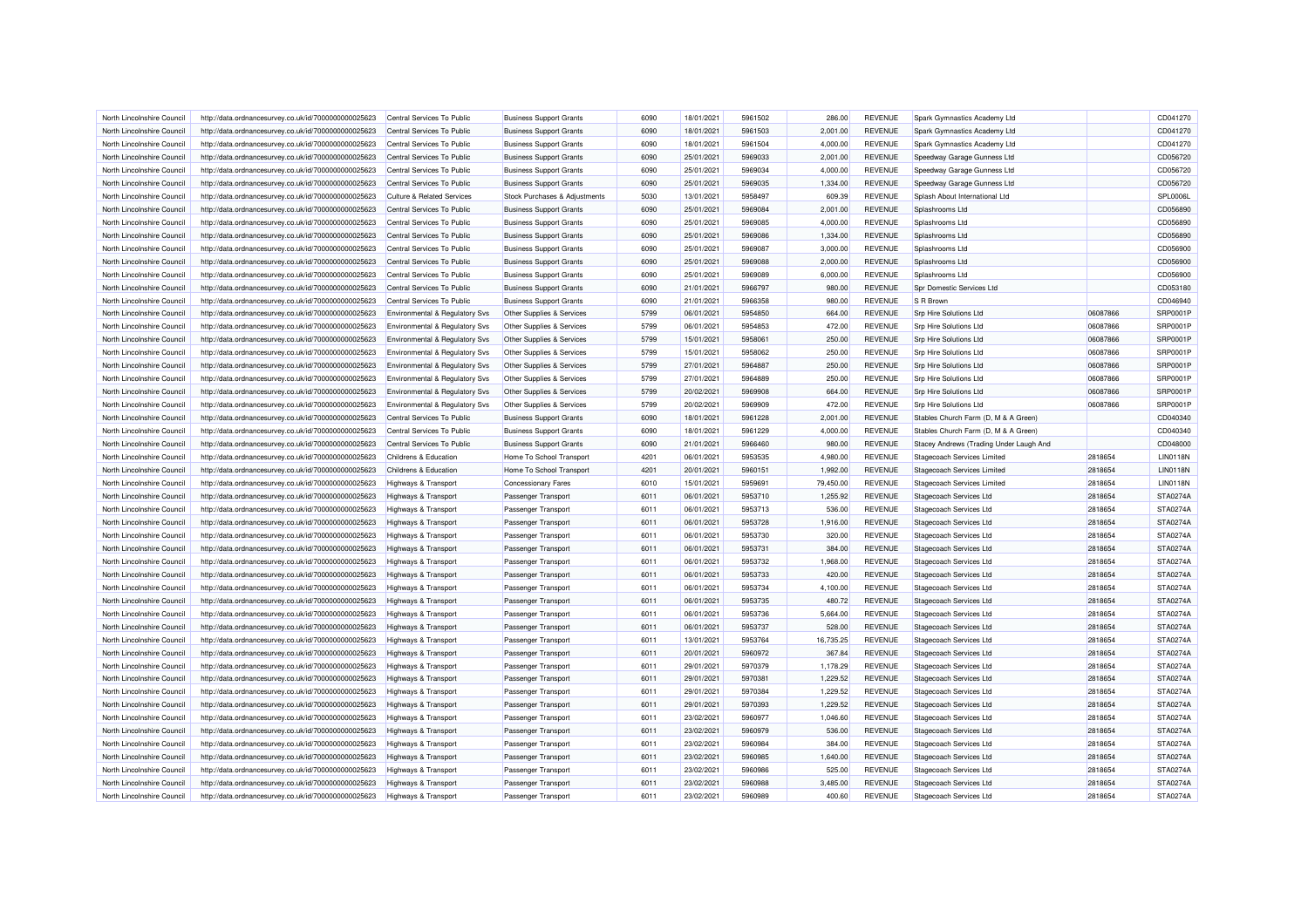| North Lincolnshire Council | http://data.ordnancesurvey.co.uk/id/7000000000025623 | Central Services To Public                | <b>Business Support Grants</b> | 6090 | 18/01/2021 | 5961502 | 286.00    | <b>REVENUE</b> | Spark Gymnastics Academy Ltd            |          | CD041270        |
|----------------------------|------------------------------------------------------|-------------------------------------------|--------------------------------|------|------------|---------|-----------|----------------|-----------------------------------------|----------|-----------------|
| North Lincolnshire Council | http://data.ordnancesurvey.co.uk/id/7000000000025623 | Central Services To Public                | <b>Business Support Grants</b> | 6090 | 18/01/2021 | 5961503 | 2,001.00  | <b>REVENUE</b> | Spark Gymnastics Academy Ltd            |          | CD041270        |
| North Lincolnshire Council | http://data.ordnancesurvey.co.uk/id/7000000000025623 | Central Services To Public                | <b>Business Support Grants</b> | 6090 | 18/01/2021 | 5961504 | 4,000.00  | <b>REVENUE</b> | Spark Gymnastics Academy Ltd            |          | CD041270        |
| North Lincolnshire Council | http://data.ordnancesurvey.co.uk/id/7000000000025623 | Central Services To Public                | <b>Business Support Grants</b> | 6090 | 25/01/2021 | 5969033 | 2,001.00  | <b>REVENUE</b> | Speedway Garage Gunness Ltd             |          | CD056720        |
| North Lincolnshire Council | http://data.ordnancesurvey.co.uk/id/7000000000025623 | Central Services To Public                | <b>Business Support Grants</b> | 6090 | 25/01/2021 | 5969034 | 4,000.00  | <b>REVENUE</b> | Speedway Garage Gunness Ltd             |          | CD056720        |
| North Lincolnshire Council | http://data.ordnancesurvey.co.uk/id/7000000000025623 | Central Services To Public                | <b>Business Support Grants</b> | 6090 | 25/01/2021 | 5969035 | 1,334.00  | <b>REVENUE</b> | Speedway Garage Gunness Ltd             |          | CD056720        |
| North Lincolnshire Council | http://data.ordnancesurvey.co.uk/id/7000000000025623 | <b>Culture &amp; Related Services</b>     | Stock Purchases & Adjustments  | 5030 | 13/01/2021 | 5958497 | 609.39    | <b>REVENUE</b> | Splash About International Ltd          |          | SPL0006L        |
| North Lincolnshire Council | http://data.ordnancesurvey.co.uk/id/7000000000025623 | Central Services To Public                | <b>Business Support Grants</b> | 6090 | 25/01/2021 | 5969084 | 2,001.00  | <b>REVENUE</b> | Splashrooms Ltd                         |          | CD056890        |
| North Lincolnshire Council | http://data.ordnancesurvey.co.uk/id/7000000000025623 | Central Services To Public                | <b>Business Support Grants</b> | 6090 | 25/01/2021 | 5969085 | 4,000.00  | <b>REVENUE</b> | Splashrooms Ltd                         |          | CD056890        |
| North Lincolnshire Council | http://data.ordnancesurvey.co.uk/id/7000000000025623 | Central Services To Public                | <b>Business Support Grants</b> | 6090 | 25/01/2021 | 5969086 | 1,334.00  | <b>REVENUE</b> | Splashrooms Ltd                         |          | CD056890        |
| North Lincolnshire Council | http://data.ordnancesurvey.co.uk/id/7000000000025623 | Central Services To Public                | <b>Business Support Grants</b> | 6090 | 25/01/2021 | 5969087 | 3,000.00  | <b>REVENUE</b> | Splashrooms Ltd                         |          | CD056900        |
| North Lincolnshire Council | http://data.ordnancesurvey.co.uk/id/7000000000025623 | Central Services To Public                | <b>Business Support Grants</b> | 6090 | 25/01/2021 | 5969088 | 2,000.00  | <b>REVENUE</b> | Splashrooms Ltd                         |          | CD056900        |
| North Lincolnshire Council | http://data.ordnancesurvey.co.uk/id/7000000000025623 | Central Services To Public                | <b>Business Support Grants</b> | 6090 | 25/01/2021 | 5969089 | 6,000.00  | <b>REVENUE</b> | Splashrooms Ltd                         |          | CD056900        |
| North Lincolnshire Council | http://data.ordnancesurvey.co.uk/id/7000000000025623 | Central Services To Public                | <b>Business Support Grants</b> | 6090 | 21/01/2021 | 5966797 | 980.00    | <b>REVENUE</b> | Spr Domestic Services Ltd               |          | CD053180        |
| North Lincolnshire Council | http://data.ordnancesurvey.co.uk/id/7000000000025623 | Central Services To Public                | <b>Business Support Grants</b> | 6090 | 21/01/2021 | 5966358 | 980.00    | <b>REVENUE</b> | S R Brown                               |          | CD046940        |
| North Lincolnshire Council | http://data.ordnancesurvey.co.uk/id/7000000000025623 | Environmental & Regulatory Svs            | Other Supplies & Services      | 5799 | 06/01/2021 | 5954850 | 664.00    | <b>REVENUE</b> | <b>Srp Hire Solutions Ltd</b>           | 06087866 | SRP0001P        |
| North Lincolnshire Council | http://data.ordnancesurvey.co.uk/id/7000000000025623 | Environmental & Regulatory Svs            | Other Supplies & Services      | 5799 | 06/01/2021 | 5954853 | 472.00    | <b>REVENUE</b> | Srp Hire Solutions Ltd                  | 06087866 | SRP0001P        |
| North Lincolnshire Council | http://data.ordnancesurvey.co.uk/id/7000000000025623 | Environmental & Regulatory Svs            | Other Supplies & Services      | 5799 | 15/01/2021 | 5958061 | 250.00    | <b>REVENUE</b> | <b>Srp Hire Solutions Ltd</b>           | 06087866 | <b>SRP0001F</b> |
|                            |                                                      |                                           |                                |      |            |         |           |                |                                         |          |                 |
| North Lincolnshire Council | http://data.ordnancesurvey.co.uk/id/7000000000025623 | Environmental & Regulatory Svs            | Other Supplies & Services      | 5799 | 15/01/2021 | 5958062 | 250.00    | <b>REVENUE</b> | Srp Hire Solutions Ltd                  | 06087866 | SRP0001P        |
| North Lincolnshire Council | http://data.ordnancesurvey.co.uk/id/7000000000025623 | Environmental & Regulatory Svs            | Other Supplies & Services      | 5799 | 27/01/2021 | 5964887 | 250.00    | <b>REVENUE</b> | <b>Srp Hire Solutions Ltd</b>           | 06087866 | SRP0001P        |
| North Lincolnshire Council | http://data.ordnancesurvey.co.uk/id/7000000000025623 | <b>Environmental &amp; Regulatory Svs</b> | Other Supplies & Services      | 5799 | 27/01/2021 | 5964889 | 250.00    | <b>REVENUE</b> | <b>Srp Hire Solutions Ltd</b>           | 06087866 | SRP0001P        |
| North Lincolnshire Council | http://data.ordnancesurvey.co.uk/id/7000000000025623 | Environmental & Regulatory Svs            | Other Supplies & Services      | 5799 | 20/02/2021 | 5969908 | 664.00    | <b>REVENUE</b> | Srp Hire Solutions Ltd                  | 06087866 | <b>SRP0001P</b> |
| North Lincolnshire Council | http://data.ordnancesurvey.co.uk/id/7000000000025623 | Environmental & Regulatory Svs            | Other Supplies & Services      | 5799 | 20/02/2021 | 5969909 | 472.00    | <b>REVENUE</b> | <b>Srp Hire Solutions Ltd</b>           | 06087866 | <b>SRP0001F</b> |
| North Lincolnshire Council | http://data.ordnancesurvey.co.uk/id/7000000000025623 | Central Services To Public                | <b>Business Support Grants</b> | 6090 | 18/01/2021 | 5961228 | 2,001.00  | <b>REVENUE</b> | Stables Church Farm (D, M & A Green)    |          | CD040340        |
| North Lincolnshire Council | http://data.ordnancesurvey.co.uk/id/7000000000025623 | Central Services To Public                | <b>Business Support Grants</b> | 6090 | 18/01/2021 | 5961229 | 4,000.00  | <b>REVENUE</b> | Stables Church Farm (D, M & A Green)    |          | CD040340        |
| North Lincolnshire Council | http://data.ordnancesurvey.co.uk/id/7000000000025623 | Central Services To Public                | <b>Business Support Grants</b> | 6090 | 21/01/2021 | 5966460 | 980.00    | <b>REVENUE</b> | Stacey Andrews (Trading Under Laugh And |          | CD048000        |
| North Lincolnshire Council | http://data.ordnancesurvey.co.uk/id/7000000000025623 | Childrens & Education                     | Home To School Transport       | 4201 | 06/01/2021 | 5953535 | 4,980.00  | <b>REVENUE</b> | Stagecoach Services Limited             | 2818654  | <b>LIN0118N</b> |
| North Lincolnshire Council | http://data.ordnancesurvey.co.uk/id/7000000000025623 | Childrens & Education                     | Home To School Transport       | 4201 | 20/01/2021 | 5960151 | 1.992.00  | <b>REVENUE</b> | Stagecoach Services Limited             | 2818654  | <b>LIN0118N</b> |
| North Lincolnshire Council | http://data.ordnancesurvey.co.uk/id/7000000000025623 | <b>Highways &amp; Transport</b>           | <b>Concessionary Fares</b>     | 6010 | 15/01/2021 | 5959691 | 79,450.00 | <b>REVENUE</b> | Stagecoach Services Limited             | 2818654  | <b>LIN0118N</b> |
| North Lincolnshire Council | http://data.ordnancesurvey.co.uk/id/7000000000025623 | Highways & Transport                      | Passenger Transport            | 6011 | 06/01/2021 | 5953710 | 1,255.92  | <b>REVENUE</b> | <b>Stagecoach Services Ltd</b>          | 2818654  | STA0274A        |
| North Lincolnshire Council | http://data.ordnancesurvey.co.uk/id/7000000000025623 | <b>Highways &amp; Transport</b>           | <b>Passenger Transport</b>     | 6011 | 06/01/2021 | 5953713 | 536.00    | <b>REVENUE</b> | <b>Stagecoach Services Ltd</b>          | 2818654  | STA0274A        |
| North Lincolnshire Council | http://data.ordnancesurvey.co.uk/id/7000000000025623 | Highways & Transport                      | Passenger Transport            | 6011 | 06/01/2021 | 5953728 | 1,916.00  | <b>REVENUE</b> | Stagecoach Services Ltd                 | 2818654  | STA0274A        |
| North Lincolnshire Council | http://data.ordnancesurvey.co.uk/id/7000000000025623 | Highways & Transport                      | Passenger Transport            | 6011 | 06/01/2021 | 5953730 | 320.00    | <b>REVENUE</b> | <b>Stagecoach Services Ltd</b>          | 2818654  | STA0274A        |
| North Lincolnshire Council | http://data.ordnancesurvey.co.uk/id/7000000000025623 | Highways & Transport                      | Passenger Transport            | 6011 | 06/01/2021 | 5953731 | 384.00    | <b>REVENUE</b> | Stagecoach Services Ltd                 | 2818654  | <b>STA0274A</b> |
| North Lincolnshire Council | http://data.ordnancesurvey.co.uk/id/7000000000025623 | <b>Highways &amp; Transport</b>           | Passenger Transport            | 6011 | 06/01/2021 | 5953732 | 1,968.00  | <b>REVENUE</b> | Stagecoach Services Ltd                 | 2818654  | STA0274A        |
| North Lincolnshire Council | http://data.ordnancesurvey.co.uk/id/7000000000025623 | Highways & Transport                      | Passenger Transport            | 6011 | 06/01/2021 | 5953733 | 420.00    | <b>REVENUE</b> | Stagecoach Services Ltd                 | 2818654  | STA0274A        |
| North Lincolnshire Council | http://data.ordnancesurvey.co.uk/id/7000000000025623 | <b>Highways &amp; Transport</b>           | Passenger Transport            | 6011 | 06/01/2021 | 5953734 | 4,100.00  | <b>REVENUE</b> | <b>Stagecoach Services Ltd</b>          | 2818654  | STA0274A        |
| North Lincolnshire Council | http://data.ordnancesurvey.co.uk/id/7000000000025623 | Highways & Transport                      | Passenger Transport            | 6011 | 06/01/2021 | 5953735 | 480.72    | <b>REVENUE</b> | <b>Stagecoach Services Ltd</b>          | 2818654  | STA0274A        |
| North Lincolnshire Council | http://data.ordnancesurvey.co.uk/id/7000000000025623 | Highways & Transport                      | Passenger Transport            | 6011 | 06/01/2021 | 5953736 | 5,664.00  | <b>REVENUE</b> | <b>Stagecoach Services Ltd</b>          | 2818654  | STA0274A        |
| North Lincolnshire Council | http://data.ordnancesurvey.co.uk/id/7000000000025623 | Highways & Transport                      | Passenger Transport            | 6011 | 06/01/2021 | 5953737 | 528.00    | <b>REVENUE</b> | Stagecoach Services Ltd                 | 2818654  | STA0274A        |
| North Lincolnshire Council | http://data.ordnancesurvey.co.uk/id/7000000000025623 | <b>Highways &amp; Transport</b>           | Passenger Transport            | 6011 | 13/01/2021 | 5953764 | 16,735.25 | <b>REVENUE</b> | Stagecoach Services Ltd                 | 2818654  | STA0274A        |
| North Lincolnshire Council | http://data.ordnancesurvey.co.uk/id/7000000000025623 | Highways & Transport                      | Passenger Transport            | 6011 | 20/01/2021 | 5960972 | 367.84    | <b>REVENUE</b> | <b>Stagecoach Services Ltd</b>          | 2818654  | STA0274A        |
| North Lincolnshire Council | http://data.ordnancesurvey.co.uk/id/7000000000025623 | Highways & Transport                      | Passenger Transport            | 6011 | 29/01/2021 | 5970379 | 1,178.29  | <b>REVENUE</b> | Stagecoach Services Ltd                 | 2818654  | STA0274A        |
| North Lincolnshire Council | http://data.ordnancesurvey.co.uk/id/7000000000025623 |                                           | Passenger Transport            | 6011 | 29/01/2021 | 5970381 | 1,229.52  | <b>REVENUE</b> | <b>Stagecoach Services Ltd</b>          | 2818654  | STA0274A        |
|                            |                                                      | Highways & Transport                      |                                | 6011 | 29/01/2021 |         | 1,229.52  | <b>REVENUE</b> |                                         |          | STA0274A        |
| North Lincolnshire Council | http://data.ordnancesurvey.co.uk/id/7000000000025623 | Highways & Transport                      | Passenger Transport            |      |            | 5970384 |           |                | Stagecoach Services Ltd                 | 2818654  |                 |
| North Lincolnshire Council | http://data.ordnancesurvey.co.uk/id/7000000000025623 | <b>Highways &amp; Transport</b>           | Passenger Transport            | 6011 | 29/01/2021 | 5970393 | 1,229.52  | <b>REVENUE</b> | <b>Stagecoach Services Ltd</b>          | 2818654  | STA0274A        |
| North Lincolnshire Council | http://data.ordnancesurvey.co.uk/id/7000000000025623 | Highways & Transport                      | Passenger Transport            | 6011 | 23/02/2021 | 5960977 | 1,046.60  | <b>REVENUE</b> | Stagecoach Services Ltd                 | 2818654  | STA0274A        |
| North Lincolnshire Council | http://data.ordnancesurvey.co.uk/id/7000000000025623 | <b>Highways &amp; Transport</b>           | Passenger Transport            | 6011 | 23/02/2021 | 5960979 | 536.00    | <b>REVENUE</b> | <b>Stagecoach Services Ltd</b>          | 2818654  | STA0274A        |
| North Lincolnshire Council | http://data.ordnancesurvey.co.uk/id/7000000000025623 | Highways & Transport                      | Passenger Transport            | 6011 | 23/02/2021 | 5960984 | 384.00    | <b>REVENUE</b> | Stagecoach Services Ltd                 | 2818654  | STA0274A        |
| North Lincolnshire Council | http://data.ordnancesurvey.co.uk/id/7000000000025623 | Highways & Transport                      | Passenger Transport            | 6011 | 23/02/2021 | 5960985 | 1,640.00  | <b>REVENUE</b> | <b>Stagecoach Services Ltd</b>          | 2818654  | STA0274A        |
| North Lincolnshire Council | http://data.ordnancesurvey.co.uk/id/7000000000025623 | <b>Highways &amp; Transport</b>           | Passenger Transport            | 6011 | 23/02/2021 | 5960986 | 525.00    | <b>REVENUE</b> | Stagecoach Services Ltd                 | 2818654  | STA0274A        |
| North Lincolnshire Council | http://data.ordnancesurvey.co.uk/id/7000000000025623 | Highways & Transport                      | Passenger Transport            | 6011 | 23/02/2021 | 5960988 | 3,485.00  | <b>REVENUE</b> | Stagecoach Services Ltd                 | 2818654  | STA0274A        |
| North Lincolnshire Council | http://data.ordnancesurvey.co.uk/id/7000000000025623 | <b>Highways &amp; Transport</b>           | Passenger Transport            | 6011 | 23/02/2021 | 5960989 | 400.60    | <b>REVENUE</b> | Stagecoach Services Ltd                 | 2818654  | STA0274A        |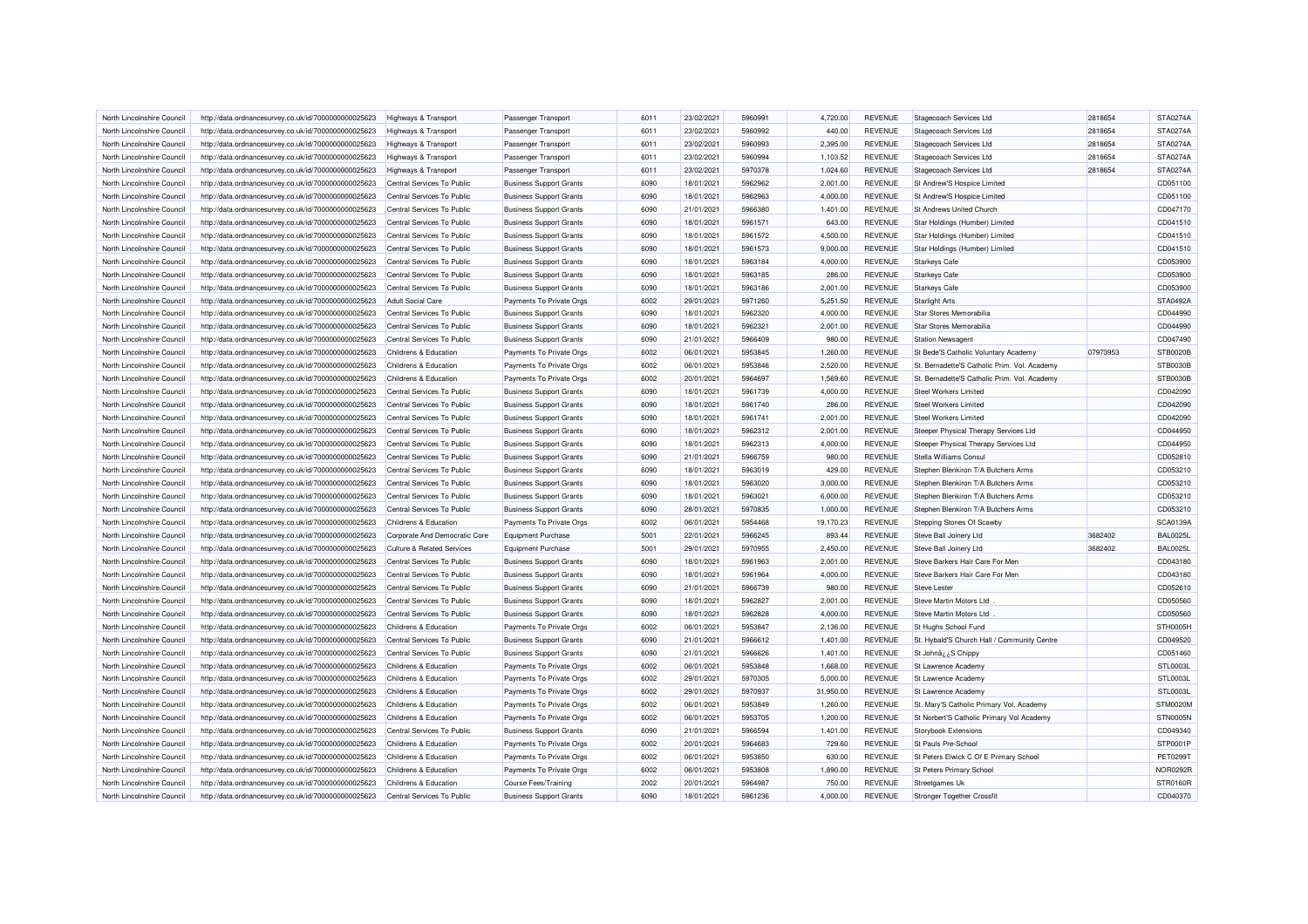| North Lincolnshire Council | http://data.ordnancesurvey.co.uk/id/7000000000025623 | Highways & Transport                  | Passenger Transport            | 6011 | 23/02/2021 | 5960991 | 4.720.00  | <b>REVENUE</b> | Stagecoach Services Ltd                      | 2818654  | <b>STA0274A</b> |
|----------------------------|------------------------------------------------------|---------------------------------------|--------------------------------|------|------------|---------|-----------|----------------|----------------------------------------------|----------|-----------------|
| North Lincolnshire Council | http://data.ordnancesurvey.co.uk/id/7000000000025623 | <b>Highways &amp; Transport</b>       | Passenger Transport            | 6011 | 23/02/2021 | 5960992 | 440.00    | <b>REVENUE</b> | Stagecoach Services Ltd                      | 2818654  | STA0274A        |
| North Lincolnshire Council | http://data.ordnancesurvey.co.uk/id/7000000000025623 | Highways & Transport                  | Passenger Transport            | 6011 | 23/02/2021 | 5960993 | 2,395.00  | <b>REVENUE</b> | <b>Stagecoach Services Ltd</b>               | 2818654  | STA0274A        |
| North Lincolnshire Council | http://data.ordnancesurvey.co.uk/id/7000000000025623 | Highways & Transport                  | Passenger Transport            | 6011 | 23/02/2021 | 5960994 | 1,103.52  | <b>REVENUE</b> | Stagecoach Services Ltd                      | 2818654  | STA0274A        |
| North Lincolnshire Council | http://data.ordnancesurvey.co.uk/id/7000000000025623 | Highways & Transport                  | Passenger Transport            | 6011 | 23/02/2021 | 5970378 | 1,024.60  | <b>REVENUE</b> | <b>Stagecoach Services Ltd</b>               | 2818654  | STA0274A        |
| North Lincolnshire Council | http://data.ordnancesurvey.co.uk/id/7000000000025623 | Central Services To Public            | <b>Business Support Grants</b> | 6090 | 18/01/2021 | 5962962 | 2,001.00  | <b>REVENUE</b> | St Andrew'S Hospice Limited                  |          | CD051100        |
| North Lincolnshire Council | http://data.ordnancesurvey.co.uk/id/7000000000025623 | Central Services To Public            | <b>Business Support Grants</b> | 6090 | 18/01/2021 | 5962963 | 4,000.00  | <b>REVENUE</b> | St Andrew'S Hospice Limited                  |          | CD051100        |
| North Lincolnshire Council | http://data.ordnancesurvey.co.uk/id/7000000000025623 | Central Services To Public            | <b>Business Support Grants</b> | 6090 | 21/01/2021 | 5966380 | 1,401.00  | <b>REVENUE</b> | St Andrews United Church                     |          | CD047170        |
| North Lincolnshire Council | http://data.ordnancesurvey.co.uk/id/7000000000025623 | Central Services To Public            | <b>Business Support Grants</b> | 6090 | 18/01/2021 | 5961571 | 643.00    | <b>REVENUE</b> | Star Holdings (Humber) Limited               |          | CD041510        |
| North Lincolnshire Council | http://data.ordnancesurvey.co.uk/id/7000000000025623 | Central Services To Public            | <b>Business Support Grants</b> | 6090 | 18/01/2021 | 5961572 | 4,500.00  | <b>REVENUE</b> | Star Holdings (Humber) Limited               |          | CD041510        |
| North Lincolnshire Council | http://data.ordnancesurvey.co.uk/id/7000000000025623 | Central Services To Public            | <b>Business Support Grants</b> | 6090 | 18/01/2021 | 5961573 | 9,000.00  | <b>REVENUE</b> | Star Holdings (Humber) Limited               |          | CD041510        |
| North Lincolnshire Council | http://data.ordnancesurvey.co.uk/id/7000000000025623 | Central Services To Public            | <b>Business Support Grants</b> | 6090 | 18/01/2021 | 5963184 | 4,000.00  | <b>REVENUE</b> | <b>Starkeys Cafe</b>                         |          | CD053900        |
| North Lincolnshire Council | http://data.ordnancesurvey.co.uk/id/7000000000025623 | Central Services To Public            | <b>Business Support Grants</b> | 6090 | 18/01/2021 | 5963185 | 286.00    | <b>REVENUE</b> | <b>Starkeys Cafe</b>                         |          | CD053900        |
| North Lincolnshire Council | http://data.ordnancesurvey.co.uk/id/7000000000025623 | Central Services To Public            | <b>Business Support Grants</b> | 6090 | 18/01/2021 | 5963186 | 2,001.00  | <b>REVENUE</b> | <b>Starkeys Cafe</b>                         |          | CD053900        |
| North Lincolnshire Council | http://data.ordnancesurvey.co.uk/id/7000000000025623 | <b>Adult Social Care</b>              | Payments To Private Orgs       | 6002 | 29/01/2021 | 5971260 | 5,251.50  | <b>REVENUE</b> | <b>Starlight Arts</b>                        |          | STA0492A        |
| North Lincolnshire Council | http://data.ordnancesurvey.co.uk/id/7000000000025623 | Central Services To Public            | <b>Business Support Grants</b> | 6090 | 18/01/2021 | 5962320 | 4,000.00  | <b>REVENUE</b> | Star Stores Memorabilia                      |          | CD044990        |
| North Lincolnshire Council | http://data.ordnancesurvey.co.uk/id/7000000000025623 | Central Services To Public            | <b>Business Support Grants</b> | 6090 | 18/01/2021 | 5962321 | 2,001.00  | <b>REVENUE</b> | Star Stores Memorabilia                      |          | CD044990        |
| North Lincolnshire Council | http://data.ordnancesurvey.co.uk/id/7000000000025623 | Central Services To Public            | <b>Business Support Grants</b> | 6090 | 21/01/2021 | 5966409 | 980.00    | <b>REVENUE</b> | <b>Station Newsagent</b>                     |          | CD047490        |
| North Lincolnshire Council | http://data.ordnancesurvey.co.uk/id/7000000000025623 | Childrens & Education                 | Payments To Private Orgs       | 6002 | 06/01/2021 | 5953845 | 1,260.00  | <b>REVENUE</b> | St Bede'S Catholic Voluntary Academy         | 07973953 | STB0020B        |
| North Lincolnshire Council | http://data.ordnancesurvey.co.uk/id/7000000000025623 | Childrens & Education                 | Payments To Private Orgs       | 6002 | 06/01/2021 | 5953846 | 2,520.00  | REVENUE        | St. Bernadette'S Catholic Prim. Vol. Academy |          | STB0030E        |
| North Lincolnshire Council | http://data.ordnancesurvey.co.uk/id/7000000000025623 | Childrens & Education                 | Payments To Private Orgs       | 6002 | 20/01/2021 | 5964697 | 1,569.60  | <b>REVENUE</b> | St. Bernadette'S Catholic Prim. Vol. Academy |          | STB0030B        |
| North Lincolnshire Council | http://data.ordnancesurvey.co.uk/id/7000000000025623 | Central Services To Public            | <b>Business Support Grants</b> | 6090 | 18/01/2021 | 5961739 | 4,000.00  | <b>REVENUE</b> | <b>Steel Workers Limited</b>                 |          | CD042090        |
| North Lincolnshire Council |                                                      |                                       |                                | 6090 | 18/01/2021 | 5961740 | 286.00    | <b>REVENUE</b> | Steel Workers Limited                        |          | CD042090        |
|                            | http://data.ordnancesurvey.co.uk/id/7000000000025623 | Central Services To Public            | <b>Business Support Grants</b> |      |            |         |           |                |                                              |          |                 |
| North Lincolnshire Council | http://data.ordnancesurvey.co.uk/id/7000000000025623 | Central Services To Public            | <b>Business Support Grants</b> | 6090 | 18/01/2021 | 5961741 | 2,001.00  | <b>REVENUE</b> | <b>Steel Workers Limited</b>                 |          | CD042090        |
| North Lincolnshire Council | http://data.ordnancesurvey.co.uk/id/7000000000025623 | Central Services To Public            | <b>Business Support Grants</b> | 6090 | 18/01/2021 | 5962312 | 2,001.00  | <b>REVENUE</b> | Steeper Physical Therapy Services Ltd        |          | CD044950        |
| North Lincolnshire Council | http://data.ordnancesurvey.co.uk/id/7000000000025623 | Central Services To Public            | <b>Business Support Grants</b> | 6090 | 18/01/2021 | 5962313 | 4,000.00  | <b>REVENUE</b> | Steeper Physical Therapy Services Ltd        |          | CD044950        |
| North Lincolnshire Council | http://data.ordnancesurvey.co.uk/id/7000000000025623 | Central Services To Public            | <b>Business Support Grants</b> | 6090 | 21/01/2021 | 5966759 | 980.00    | <b>REVENUE</b> | Stella Williams Consul                       |          | CD052810        |
| North Lincolnshire Council | http://data.ordnancesurvey.co.uk/id/7000000000025623 | Central Services To Public            | <b>Business Support Grants</b> | 6090 | 18/01/2021 | 5963019 | 429.00    | <b>REVENUE</b> | Stephen Blenkiron T/A Butchers Arms          |          | CD053210        |
| North Lincolnshire Council | http://data.ordnancesurvey.co.uk/id/7000000000025623 | Central Services To Public            | <b>Business Support Grants</b> | 6090 | 18/01/2021 | 5963020 | 3,000.00  | <b>REVENUE</b> | Stephen Blenkiron T/A Butchers Arms          |          | CD053210        |
| North Lincolnshire Council | http://data.ordnancesurvey.co.uk/id/7000000000025623 | Central Services To Public            | <b>Business Support Grants</b> | 6090 | 18/01/2021 | 5963021 | 6,000.00  | <b>REVENUE</b> | Stephen Blenkiron T/A Butchers Arms          |          | CD053210        |
| North Lincolnshire Council | http://data.ordnancesurvey.co.uk/id/7000000000025623 | Central Services To Public            | <b>Business Support Grants</b> | 6090 | 28/01/2021 | 5970835 | 1,000.00  | <b>REVENUE</b> | Stephen Blenkiron T/A Butchers Arms          |          | CD053210        |
| North Lincolnshire Council | http://data.ordnancesurvey.co.uk/id/7000000000025623 | Childrens & Education                 | Payments To Private Orgs       | 6002 | 06/01/2021 | 5954468 | 19,170.23 | <b>REVENUE</b> | Stepping Stones Of Scawby                    |          | SCA0139A        |
| North Lincolnshire Council | http://data.ordnancesurvey.co.uk/id/7000000000025623 | Corporate And Democratic Core         | Equipment Purchase             | 5001 | 22/01/2021 | 5966245 | 893.44    | <b>REVENUE</b> | Steve Ball Joinery Ltd                       | 3682402  | <b>BAL0025L</b> |
| North Lincolnshire Council | http://data.ordnancesurvey.co.uk/id/7000000000025623 | <b>Culture &amp; Related Services</b> | <b>Equipment Purchase</b>      | 5001 | 29/01/2021 | 5970955 | 2,450.00  | <b>REVENUE</b> | Steve Ball Joinery Ltd                       | 3682402  | <b>BAL0025L</b> |
| North Lincolnshire Council | http://data.ordnancesurvey.co.uk/id/7000000000025623 | Central Services To Public            | <b>Business Support Grants</b> | 6090 | 18/01/2021 | 5961963 | 2,001.00  | <b>REVENUE</b> | Steve Barkers Hair Care For Men              |          | CD043180        |
| North Lincolnshire Council | http://data.ordnancesurvey.co.uk/id/7000000000025623 | Central Services To Public            | <b>Business Support Grants</b> | 6090 | 18/01/2021 | 5961964 | 4,000.00  | <b>REVENUE</b> | Steve Barkers Hair Care For Men              |          | CD043180        |
| North Lincolnshire Council | http://data.ordnancesurvey.co.uk/id/7000000000025623 | Central Services To Public            | <b>Business Support Grants</b> | 6090 | 21/01/2021 | 5966739 | 980.00    | <b>REVENUE</b> | <b>Steve Lester</b>                          |          | CD052610        |
| North Lincolnshire Council | http://data.ordnancesurvey.co.uk/id/7000000000025623 | Central Services To Public            | <b>Business Support Grants</b> | 6090 | 18/01/2021 | 5962827 | 2.001.00  | <b>REVENUE</b> | Steve Martin Motors Ltd                      |          | CD050560        |
| North Lincolnshire Council | http://data.ordnancesurvey.co.uk/id/7000000000025623 | Central Services To Public            | <b>Business Support Grants</b> | 6090 | 18/01/2021 | 5962828 | 4,000.00  | <b>REVENUE</b> | Steve Martin Motors Ltd                      |          | CD050560        |
| North Lincolnshire Council | http://data.ordnancesurvey.co.uk/id/7000000000025623 | Childrens & Education                 | Payments To Private Orgs       | 6002 | 06/01/2021 | 5953847 | 2,136.00  | <b>REVENUE</b> | St Hughs School Fund                         |          | STH0005H        |
| North Lincolnshire Council | http://data.ordnancesurvey.co.uk/id/7000000000025623 | Central Services To Public            | <b>Business Support Grants</b> | 6090 | 21/01/2021 | 5966612 | 1,401.00  | <b>REVENUE</b> | St. Hybald'S Church Hall / Community Centre  |          | CD049520        |
| North Lincolnshire Council | http://data.ordnancesurvey.co.uk/id/7000000000025623 | Central Services To Public            | <b>Business Support Grants</b> | 6090 | 21/01/2021 | 5966626 | 1,401.00  | <b>REVENUE</b> | St Johnâ¿¿S Chippy                           |          | CD051460        |
| North Lincolnshire Council | http://data.ordnancesurvey.co.uk/id/7000000000025623 | Childrens & Education                 | Payments To Private Orgs       | 6002 | 06/01/2021 | 5953848 | 1,668.00  | <b>REVENUE</b> | St Lawrence Academy                          |          | STL0003L        |
| North Lincolnshire Council | http://data.ordnancesurvey.co.uk/id/7000000000025623 | Childrens & Education                 | Payments To Private Orgs       | 6002 | 29/01/2021 | 5970305 | 5.000.00  | <b>REVENUE</b> | St Lawrence Academy                          |          | STL0003L        |
| North Lincolnshire Council | http://data.ordnancesurvey.co.uk/id/7000000000025623 | Childrens & Education                 | Payments To Private Orgs       | 6002 | 29/01/2021 | 5970937 | 31,950.00 | <b>REVENUE</b> | St Lawrence Academy                          |          | STL0003L        |
| North Lincolnshire Council | http://data.ordnancesurvey.co.uk/id/7000000000025623 | Childrens & Education                 | Payments To Private Orgs       | 6002 | 06/01/2021 | 5953849 | 1,260.00  | <b>REVENUE</b> | St. Mary'S Catholic Primary Vol. Academy     |          | <b>STM0020M</b> |
| North Lincolnshire Council | http://data.ordnancesurvey.co.uk/id/7000000000025623 | Childrens & Education                 | Payments To Private Orgs       | 6002 | 06/01/2021 | 5953705 | 1,200.00  | <b>REVENUE</b> | St Norbert'S Catholic Primary Vol Academy    |          | STN0005N        |
| North Lincolnshire Council | http://data.ordnancesurvey.co.uk/id/7000000000025623 | Central Services To Public            | <b>Business Support Grants</b> | 6090 | 21/01/2021 | 5966594 | 1,401.00  | <b>REVENUE</b> | <b>Storybook Extensions</b>                  |          | CD049340        |
| North Lincolnshire Council | http://data.ordnancesurvey.co.uk/id/7000000000025623 | Childrens & Education                 | Payments To Private Orgs       | 6002 | 20/01/2021 | 5964683 | 729.60    | <b>REVENUE</b> | St Pauls Pre-School                          |          | STP0001F        |
| North Lincolnshire Council | http://data.ordnancesurvey.co.uk/id/7000000000025623 | Childrens & Education                 | Payments To Private Orgs       | 6002 | 06/01/2021 | 5953850 | 630.00    | <b>REVENUE</b> | St Peters Elwick C Of E Primary School       |          | PET02991        |
| North Lincolnshire Council | http://data.ordnancesurvey.co.uk/id/7000000000025623 | Childrens & Education                 | Payments To Private Orgs       | 6002 | 06/01/2021 | 5953808 | 1,890.00  | <b>REVENUE</b> | St Peters Primary School                     |          | NOR0292F        |
| North Lincolnshire Council | http://data.ordnancesurvey.co.uk/id/7000000000025623 | Childrens & Education                 | <b>Course Fees/Training</b>    | 2002 | 20/01/2021 | 5964987 | 750.00    | <b>REVENUE</b> | Streetgames Uk                               |          | STR0160R        |
| North Lincolnshire Council | http://data.ordnancesurvey.co.uk/id/7000000000025623 | Central Services To Public            | <b>Business Support Grants</b> | 6090 | 18/01/2021 | 5961236 | 4,000.00  | <b>REVENUE</b> | <b>Stronger Together Crossfit</b>            |          | CD040370        |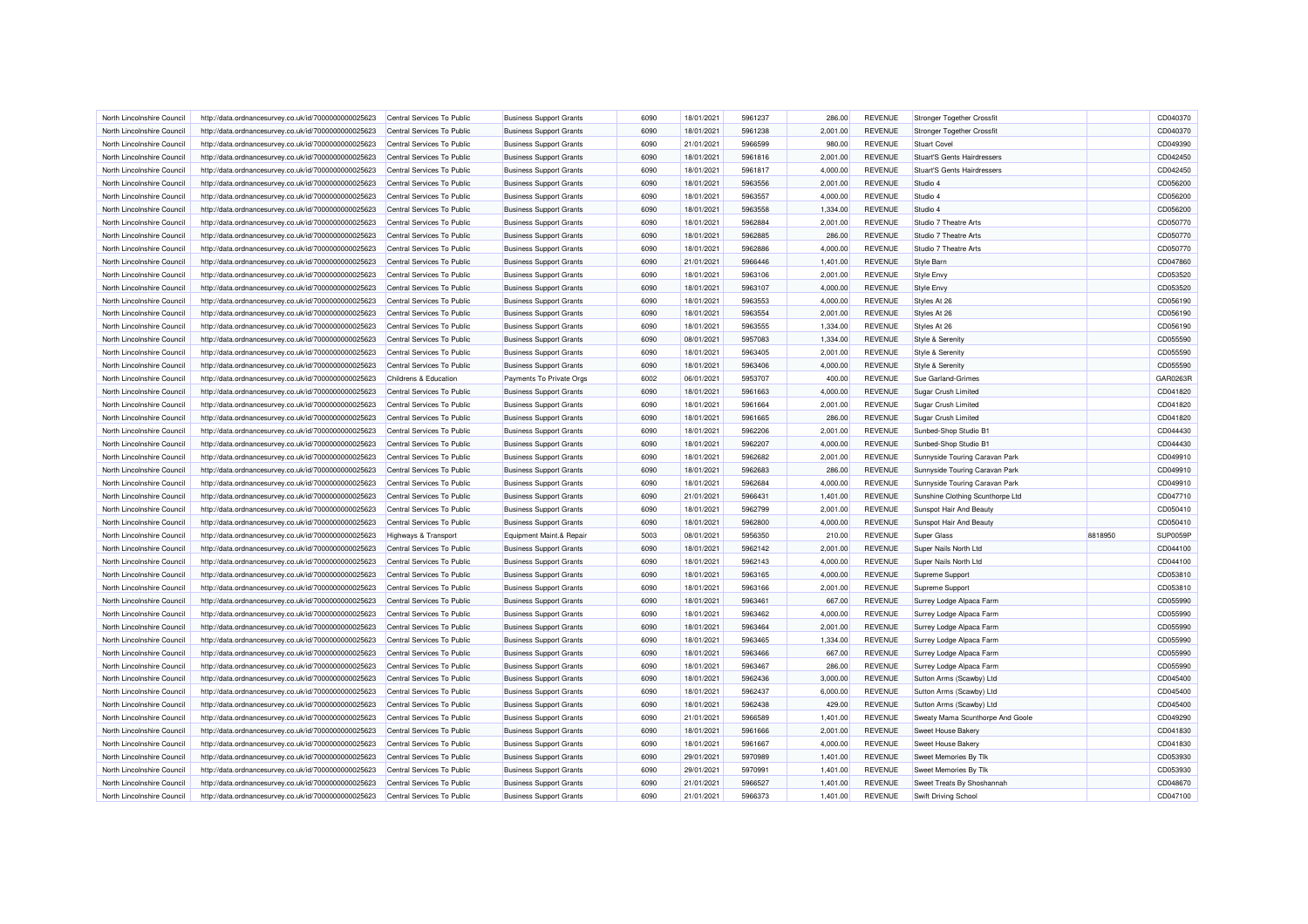| North Lincolnshire Council | http://data.ordnancesurvey.co.uk/id/7000000000025623 | Central Services To Public | <b>Business Support Grants</b> | 6090 | 18/01/2021 | 5961237 | 286.00   | <b>REVENUE</b> | <b>Stronger Together Crossfit</b>  |         | CD040370 |
|----------------------------|------------------------------------------------------|----------------------------|--------------------------------|------|------------|---------|----------|----------------|------------------------------------|---------|----------|
| North Lincolnshire Council | http://data.ordnancesurvey.co.uk/id/7000000000025623 | Central Services To Public | <b>Business Support Grants</b> | 6090 | 18/01/2021 | 5961238 | 2,001.00 | <b>REVENUE</b> | Stronger Together Crossfit         |         | CD040370 |
| North Lincolnshire Council | http://data.ordnancesurvey.co.uk/id/7000000000025623 | Central Services To Public | <b>Business Support Grants</b> | 6090 | 21/01/2021 | 5966599 | 980.00   | <b>REVENUE</b> | <b>Stuart Covel</b>                |         | CD049390 |
| North Lincolnshire Council | http://data.ordnancesurvey.co.uk/id/7000000000025623 | Central Services To Public | <b>Business Support Grants</b> | 6090 | 18/01/2021 | 5961816 | 2,001.00 | <b>REVENUE</b> | <b>Stuart'S Gents Hairdressers</b> |         | CD042450 |
| North Lincolnshire Council | http://data.ordnancesurvey.co.uk/id/7000000000025623 | Central Services To Public | <b>Business Support Grants</b> | 6090 | 18/01/2021 | 5961817 | 4,000.00 | <b>REVENUE</b> | <b>Stuart'S Gents Hairdressers</b> |         | CD042450 |
| North Lincolnshire Council | http://data.ordnancesurvey.co.uk/id/7000000000025623 | Central Services To Public | <b>Business Support Grants</b> | 6090 | 18/01/2021 | 5963556 | 2,001.00 | <b>REVENUE</b> | Studio 4                           |         | CD056200 |
| North Lincolnshire Council | http://data.ordnancesurvey.co.uk/id/7000000000025623 | Central Services To Public | <b>Business Support Grants</b> | 6090 | 18/01/2021 | 5963557 | 4,000.00 | <b>REVENUE</b> | Studio 4                           |         | CD056200 |
| North Lincolnshire Council | http://data.ordnancesurvey.co.uk/id/7000000000025623 | Central Services To Public | <b>Business Support Grants</b> | 6090 | 18/01/2021 | 5963558 | 1,334.00 | <b>REVENUE</b> | Studio 4                           |         | CD056200 |
| North Lincolnshire Council | http://data.ordnancesurvey.co.uk/id/7000000000025623 | Central Services To Public | <b>Business Support Grants</b> | 6090 | 18/01/2021 | 5962884 | 2,001.00 | <b>REVENUE</b> | Studio 7 Theatre Arts              |         | CD050770 |
| North Lincolnshire Council | http://data.ordnancesurvey.co.uk/id/7000000000025623 | Central Services To Public | <b>Business Support Grants</b> | 6090 | 18/01/2021 | 5962885 | 286.00   | <b>REVENUE</b> | Studio 7 Theatre Arts              |         | CD050770 |
| North Lincolnshire Council | http://data.ordnancesurvey.co.uk/id/7000000000025623 | Central Services To Public | <b>Business Support Grants</b> | 6090 | 18/01/2021 | 5962886 | 4,000.00 | <b>REVENUE</b> | Studio 7 Theatre Arts              |         | CD050770 |
| North Lincolnshire Council | http://data.ordnancesurvey.co.uk/id/7000000000025623 | Central Services To Public | <b>Business Support Grants</b> | 6090 | 21/01/2021 | 5966446 | 1,401.00 | <b>REVENUE</b> | <b>Style Barn</b>                  |         | CD047860 |
| North Lincolnshire Council | http://data.ordnancesurvey.co.uk/id/7000000000025623 | Central Services To Public | <b>Business Support Grants</b> | 6090 | 18/01/2021 | 5963106 | 2,001.00 | <b>REVENUE</b> | Style Envy                         |         | CD053520 |
| North Lincolnshire Council | http://data.ordnancesurvey.co.uk/id/7000000000025623 | Central Services To Public | <b>Business Support Grants</b> | 6090 | 18/01/2021 | 5963107 | 4,000.00 | <b>REVENUE</b> | Style Envy                         |         | CD053520 |
| North Lincolnshire Council | http://data.ordnancesurvey.co.uk/id/7000000000025623 | Central Services To Public | <b>Business Support Grants</b> | 6090 | 18/01/2021 | 5963553 | 4,000.00 | <b>REVENUE</b> | Styles At 26                       |         | CD056190 |
| North Lincolnshire Council |                                                      | Central Services To Public |                                | 6090 | 18/01/2021 | 5963554 | 2,001.00 | <b>REVENUE</b> |                                    |         | CD056190 |
|                            | http://data.ordnancesurvey.co.uk/id/7000000000025623 |                            | <b>Business Support Grants</b> |      |            |         |          |                | Styles At 26                       |         |          |
| North Lincolnshire Council | http://data.ordnancesurvey.co.uk/id/7000000000025623 | Central Services To Public | <b>Business Support Grants</b> | 6090 | 18/01/2021 | 5963555 | 1,334.00 | <b>REVENUE</b> | Styles At 26                       |         | CD056190 |
| North Lincolnshire Council | http://data.ordnancesurvey.co.uk/id/7000000000025623 | Central Services To Public | <b>Business Support Grants</b> | 6090 | 08/01/2021 | 5957083 | 1,334.00 | <b>REVENUE</b> | Style & Serenity                   |         | CD055590 |
| North Lincolnshire Council | http://data.ordnancesurvey.co.uk/id/7000000000025623 | Central Services To Public | <b>Business Support Grants</b> | 6090 | 18/01/2021 | 5963405 | 2,001.00 | <b>REVENUE</b> | Style & Serenity                   |         | CD055590 |
| North Lincolnshire Council | http://data.ordnancesurvey.co.uk/id/7000000000025623 | Central Services To Public | <b>Business Support Grants</b> | 6090 | 18/01/2021 | 5963406 | 4,000.00 | <b>REVENUE</b> | Style & Serenity                   |         | CD055590 |
| North Lincolnshire Council | http://data.ordnancesurvey.co.uk/id/7000000000025623 | Childrens & Education      | Payments To Private Orgs       | 6002 | 06/01/2021 | 5953707 | 400.00   | <b>REVENUE</b> | Sue Garland-Grimes                 |         | GAR0263F |
| North Lincolnshire Council | http://data.ordnancesurvey.co.uk/id/7000000000025623 | Central Services To Public | <b>Business Support Grants</b> | 6090 | 18/01/2021 | 5961663 | 4,000.00 | <b>REVENUE</b> | Sugar Crush Limited                |         | CD041820 |
| North Lincolnshire Council | http://data.ordnancesurvey.co.uk/id/7000000000025623 | Central Services To Public | <b>Business Support Grants</b> | 6090 | 18/01/2021 | 5961664 | 2,001.00 | <b>REVENUE</b> | <b>Sugar Crush Limited</b>         |         | CD041820 |
| North Lincolnshire Council | http://data.ordnancesurvey.co.uk/id/7000000000025623 | Central Services To Public | <b>Business Support Grants</b> | 6090 | 18/01/2021 | 5961665 | 286.00   | <b>REVENUE</b> | Sugar Crush Limited                |         | CD041820 |
| North Lincolnshire Council | http://data.ordnancesurvey.co.uk/id/7000000000025623 | Central Services To Public | <b>Business Support Grants</b> | 6090 | 18/01/2021 | 5962206 | 2,001.00 | <b>REVENUE</b> | Sunbed-Shop Studio B1              |         | CD044430 |
| North Lincolnshire Council | http://data.ordnancesurvey.co.uk/id/7000000000025623 | Central Services To Public | <b>Business Support Grants</b> | 6090 | 18/01/2021 | 5962207 | 4,000.00 | <b>REVENUE</b> | Sunbed-Shop Studio B1              |         | CD044430 |
| North Lincolnshire Council | http://data.ordnancesurvey.co.uk/id/7000000000025623 | Central Services To Public | <b>Business Support Grants</b> | 6090 | 18/01/2021 | 5962682 | 2,001.00 | <b>REVENUE</b> | Sunnyside Touring Caravan Park     |         | CD049910 |
| North Lincolnshire Council | http://data.ordnancesurvey.co.uk/id/7000000000025623 | Central Services To Public | <b>Business Support Grants</b> | 6090 | 18/01/2021 | 5962683 | 286.00   | <b>REVENUE</b> | Sunnyside Touring Caravan Park     |         | CD049910 |
| North Lincolnshire Council | http://data.ordnancesurvey.co.uk/id/7000000000025623 | Central Services To Public | <b>Business Support Grants</b> | 6090 | 18/01/2021 | 5962684 | 4,000.00 | <b>REVENUE</b> | Sunnyside Touring Caravan Park     |         | CD049910 |
| North Lincolnshire Council | http://data.ordnancesurvey.co.uk/id/7000000000025623 | Central Services To Public | <b>Business Support Grants</b> | 6090 | 21/01/2021 | 5966431 | 1,401.00 | <b>REVENUE</b> | Sunshine Clothing Scunthorpe Ltd   |         | CD047710 |
| North Lincolnshire Council | http://data.ordnancesurvey.co.uk/id/7000000000025623 | Central Services To Public | <b>Business Support Grants</b> | 6090 | 18/01/2021 | 5962799 | 2,001.00 | <b>REVENUE</b> | Sunspot Hair And Beauty            |         | CD050410 |
| North Lincolnshire Council | http://data.ordnancesurvey.co.uk/id/7000000000025623 | Central Services To Public | <b>Business Support Grants</b> | 6090 | 18/01/2021 | 5962800 | 4,000.00 | <b>REVENUE</b> | Sunspot Hair And Beauty            |         | CD050410 |
| North Lincolnshire Council | http://data.ordnancesurvey.co.uk/id/7000000000025623 | Highways & Transport       | Equipment Maint.& Repair       | 5003 | 08/01/2021 | 5956350 | 210.00   | <b>REVENUE</b> | <b>Super Glass</b>                 | 8818950 | SUP0059P |
| North Lincolnshire Council | http://data.ordnancesurvey.co.uk/id/7000000000025623 | Central Services To Public | <b>Business Support Grants</b> | 6090 | 18/01/2021 | 5962142 | 2.001.00 | <b>REVENUE</b> | Super Nails North Ltd              |         | CD044100 |
| North Lincolnshire Council | http://data.ordnancesurvey.co.uk/id/7000000000025623 | Central Services To Public | <b>Business Support Grants</b> | 6090 | 18/01/2021 | 5962143 | 4,000.00 | <b>REVENUE</b> | Super Nails North Ltd              |         | CD044100 |
| North Lincolnshire Council | http://data.ordnancesurvey.co.uk/id/7000000000025623 | Central Services To Public | <b>Business Support Grants</b> | 6090 | 18/01/2021 | 5963165 | 4,000.00 | <b>REVENUE</b> | Supreme Support                    |         | CD053810 |
| North Lincolnshire Council | http://data.ordnancesurvey.co.uk/id/7000000000025623 | Central Services To Public | <b>Business Support Grants</b> | 6090 | 18/01/2021 | 5963166 | 2,001.00 | <b>REVENUE</b> | Supreme Support                    |         | CD053810 |
| North Lincolnshire Council | http://data.ordnancesurvey.co.uk/id/7000000000025623 | Central Services To Public | <b>Business Support Grants</b> | 6090 | 18/01/2021 | 5963461 | 667.00   | <b>REVENUE</b> | Surrey Lodge Alpaca Farm           |         | CD055990 |
| North Lincolnshire Council | http://data.ordnancesurvey.co.uk/id/7000000000025623 | Central Services To Public | <b>Business Support Grants</b> | 6090 | 18/01/2021 | 5963462 | 4,000.00 | <b>REVENUE</b> | Surrey Lodge Alpaca Farm           |         | CD055990 |
| North Lincolnshire Council | http://data.ordnancesurvey.co.uk/id/7000000000025623 | Central Services To Public | <b>Business Support Grants</b> | 6090 | 18/01/2021 | 5963464 | 2.001.00 | <b>REVENUE</b> | Surrey Lodge Alpaca Farm           |         | CD055990 |
| North Lincolnshire Council | http://data.ordnancesurvey.co.uk/id/7000000000025623 | Central Services To Public | <b>Business Support Grants</b> | 6090 | 18/01/2021 | 5963465 | 1,334.00 | <b>REVENUE</b> | Surrey Lodge Alpaca Farm           |         | CD055990 |
| North Lincolnshire Council | http://data.ordnancesurvey.co.uk/id/7000000000025623 | Central Services To Public | <b>Business Support Grants</b> | 6090 | 18/01/2021 | 5963466 | 667.00   | <b>REVENUE</b> | Surrey Lodge Alpaca Farm           |         | CD055990 |
| North Lincolnshire Council | http://data.ordnancesurvey.co.uk/id/7000000000025623 | Central Services To Public | <b>Business Support Grants</b> | 6090 | 18/01/2021 | 5963467 | 286.00   | <b>REVENUE</b> | Surrey Lodge Alpaca Farm           |         | CD055990 |
|                            |                                                      |                            |                                |      |            |         |          |                |                                    |         |          |
| North Lincolnshire Council | http://data.ordnancesurvey.co.uk/id/7000000000025623 | Central Services To Public | <b>Business Support Grants</b> | 6090 | 18/01/2021 | 5962436 | 3,000.00 | <b>REVENUE</b> | Sutton Arms (Scawby) Ltd           |         | CD045400 |
| North Lincolnshire Council | http://data.ordnancesurvey.co.uk/id/7000000000025623 | Central Services To Public | <b>Business Support Grants</b> | 6090 | 18/01/2021 | 5962437 | 6,000.00 | <b>REVENUE</b> | Sutton Arms (Scawby) Ltd           |         | CD045400 |
| North Lincolnshire Council | http://data.ordnancesurvey.co.uk/id/7000000000025623 | Central Services To Public | <b>Business Support Grants</b> | 6090 | 18/01/2021 | 5962438 | 429.00   | <b>REVENUE</b> | Sutton Arms (Scawby) Ltd           |         | CD045400 |
| North Lincolnshire Council | http://data.ordnancesurvey.co.uk/id/7000000000025623 | Central Services To Public | <b>Business Support Grants</b> | 6090 | 21/01/2021 | 5966589 | 1,401.00 | <b>REVENUE</b> | Sweaty Mama Scunthorpe And Goole   |         | CD049290 |
| North Lincolnshire Council | http://data.ordnancesurvey.co.uk/id/7000000000025623 | Central Services To Public | <b>Business Support Grants</b> | 6090 | 18/01/2021 | 5961666 | 2,001.00 | <b>REVENUE</b> | Sweet House Bakery                 |         | CD041830 |
| North Lincolnshire Council | http://data.ordnancesurvey.co.uk/id/7000000000025623 | Central Services To Public | <b>Business Support Grants</b> | 6090 | 18/01/2021 | 5961667 | 4,000.00 | <b>REVENUE</b> | Sweet House Bakery                 |         | CD041830 |
| North Lincolnshire Council | http://data.ordnancesurvey.co.uk/id/7000000000025623 | Central Services To Public | <b>Business Support Grants</b> | 6090 | 29/01/2021 | 5970989 | 1,401.00 | <b>REVENUE</b> | Sweet Memories By Tlk              |         | CD053930 |
| North Lincolnshire Council | http://data.ordnancesurvey.co.uk/id/7000000000025623 | Central Services To Public | <b>Business Support Grants</b> | 6090 | 29/01/2021 | 5970991 | 1,401.00 | <b>REVENUE</b> | Sweet Memories By Tlk              |         | CD053930 |
| North Lincolnshire Council | http://data.ordnancesurvey.co.uk/id/7000000000025623 | Central Services To Public | <b>Business Support Grants</b> | 6090 | 21/01/2021 | 5966527 | 1,401.00 | <b>REVENUE</b> | Sweet Treats By Shoshannah         |         | CD048670 |
| North Lincolnshire Council | http://data.ordnancesurvey.co.uk/id/7000000000025623 | Central Services To Public | <b>Business Support Grants</b> | 6090 | 21/01/2021 | 5966373 | 1,401.00 | <b>REVENUE</b> | Swift Driving School               |         | CD047100 |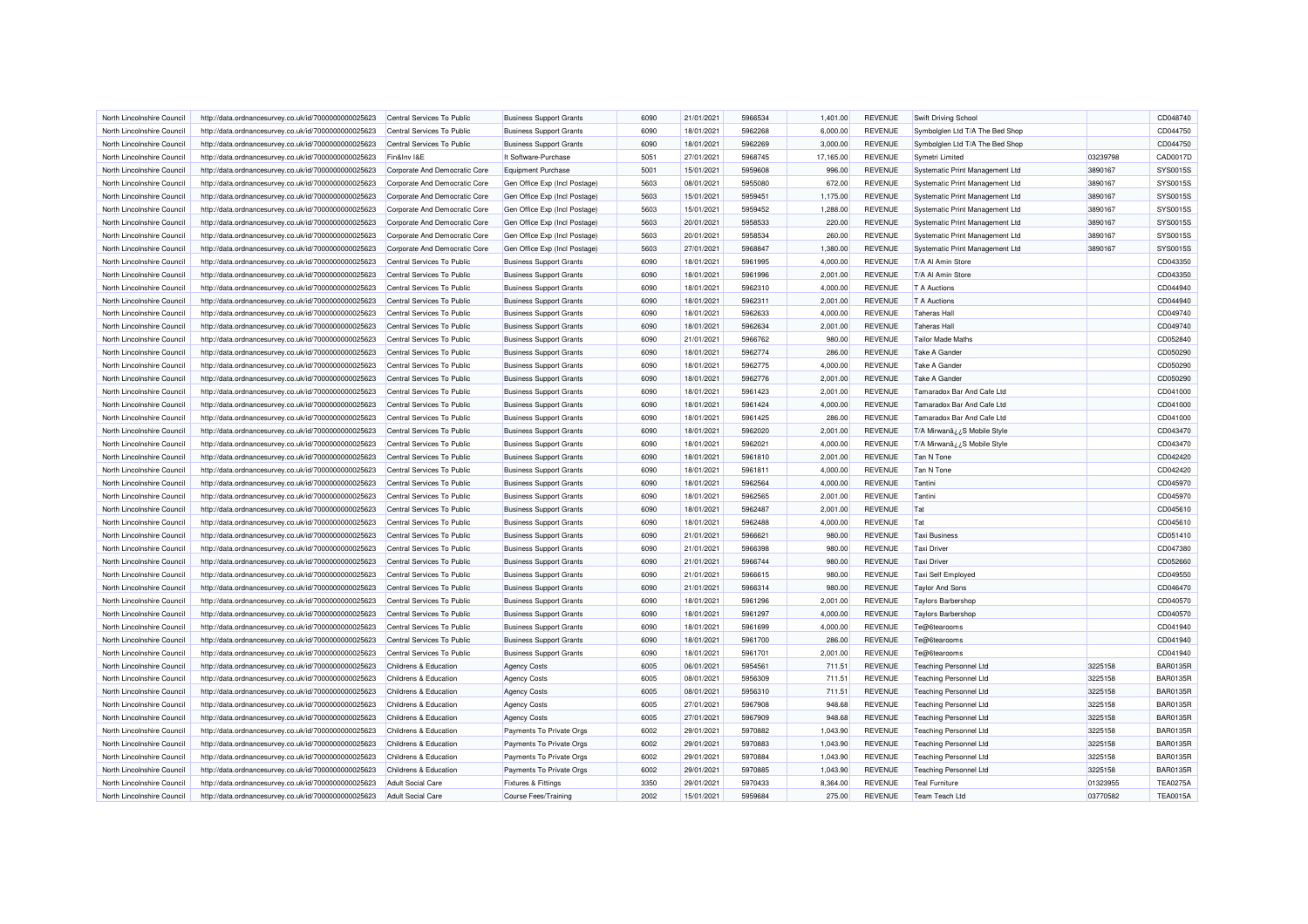| North Lincolnshire Council | http://data.ordnancesurvey.co.uk/id/7000000000025623 | Central Services To Public    | <b>Business Support Grants</b> | 6090 | 21/01/2021 | 5966534 | 1,401.00  | <b>REVENUE</b> | Swift Driving School            |          | CD048740        |
|----------------------------|------------------------------------------------------|-------------------------------|--------------------------------|------|------------|---------|-----------|----------------|---------------------------------|----------|-----------------|
| North Lincolnshire Council | http://data.ordnancesurvey.co.uk/id/7000000000025623 | Central Services To Public    | <b>Business Support Grants</b> | 6090 | 18/01/2021 | 5962268 | 6,000.00  | <b>REVENUE</b> | Symbolglen Ltd T/A The Bed Shop |          | CD044750        |
| North Lincolnshire Council | http://data.ordnancesurvey.co.uk/id/7000000000025623 | Central Services To Public    | <b>Business Support Grants</b> | 6090 | 18/01/2021 | 5962269 | 3,000.00  | <b>REVENUE</b> | Symbolglen Ltd T/A The Bed Shop |          | CD044750        |
| North Lincolnshire Council | http://data.ordnancesurvey.co.uk/id/7000000000025623 | Fin&Inv I&E                   | It Software-Purchase           | 5051 | 27/01/2021 | 5968745 | 17,165.00 | <b>REVENUE</b> | Symetri Limited                 | 03239798 | CAD0017D        |
| North Lincolnshire Council | http://data.ordnancesurvey.co.uk/id/7000000000025623 | Corporate And Democratic Core | Equipment Purchase             | 5001 | 15/01/2021 | 5959608 | 996.00    | <b>REVENUE</b> | Systematic Print Management Ltd | 3890167  | SYS0015S        |
| North Lincolnshire Council | http://data.ordnancesurvey.co.uk/id/7000000000025623 | Corporate And Democratic Core | Gen Office Exp (Incl Postage)  | 5603 | 08/01/2021 | 5955080 | 672.00    | <b>REVENUE</b> | Systematic Print Management Ltd | 3890167  | <b>SYS0015S</b> |
| North Lincolnshire Council | http://data.ordnancesurvey.co.uk/id/7000000000025623 | Corporate And Democratic Core | Gen Office Exp (Incl Postage)  | 5603 | 15/01/2021 | 5959451 | 1,175.00  | <b>REVENUE</b> | Systematic Print Management Ltd | 3890167  | <b>SYS0015S</b> |
| North Lincolnshire Council | http://data.ordnancesurvey.co.uk/id/7000000000025623 | Corporate And Democratic Core | Gen Office Exp (Incl Postage)  | 5603 | 15/01/2021 | 5959452 | 1,288.00  | REVENUE        | Systematic Print Management Ltd | 3890167  | SYS0015S        |
| North Lincolnshire Council | http://data.ordnancesurvey.co.uk/id/7000000000025623 | Corporate And Democratic Core | Gen Office Exp (Incl Postage)  | 5603 | 20/01/2021 | 5958533 | 220.00    | <b>REVENUE</b> | Systematic Print Management Ltd | 3890167  | SYS0015S        |
| North Lincolnshire Council | http://data.ordnancesurvey.co.uk/id/7000000000025623 | Corporate And Democratic Core | Gen Office Exp (Incl Postage)  | 5603 | 20/01/2021 | 5958534 | 260.00    | <b>REVENUE</b> | Systematic Print Management Ltd | 3890167  | SYS00155        |
| North Lincolnshire Council | http://data.ordnancesurvey.co.uk/id/7000000000025623 | Corporate And Democratic Core | Gen Office Exp (Incl Postage)  | 5603 | 27/01/2021 | 5968847 | 1,380.00  | <b>REVENUE</b> | Systematic Print Management Ltd | 3890167  | SYS0015S        |
| North Lincolnshire Council | http://data.ordnancesurvey.co.uk/id/7000000000025623 | Central Services To Public    | <b>Business Support Grants</b> | 6090 | 18/01/2021 | 5961995 | 4,000.00  | <b>REVENUE</b> | T/A Al Amin Store               |          | CD043350        |
| North Lincolnshire Council | http://data.ordnancesurvey.co.uk/id/7000000000025623 | Central Services To Public    | <b>Business Support Grants</b> | 6090 | 18/01/2021 | 5961996 | 2,001.00  | <b>REVENUE</b> | T/A Al Amin Store               |          | CD043350        |
| North Lincolnshire Council | http://data.ordnancesurvey.co.uk/id/7000000000025623 | Central Services To Public    | <b>Business Support Grants</b> | 6090 | 18/01/2021 | 5962310 | 4,000.00  | <b>REVENUE</b> | <b>T</b> A Auctions             |          | CD044940        |
| North Lincolnshire Council | http://data.ordnancesurvey.co.uk/id/7000000000025623 | Central Services To Public    | <b>Business Support Grants</b> | 6090 | 18/01/2021 | 5962311 | 2,001.00  | <b>REVENUE</b> | <b>T</b> A Auctions             |          | CD044940        |
| North Lincolnshire Council | http://data.ordnancesurvey.co.uk/id/7000000000025623 | Central Services To Public    | <b>Business Support Grants</b> | 6090 | 18/01/2021 | 5962633 | 4,000.00  | <b>REVENUE</b> | <b>Taheras Hal</b>              |          | CD049740        |
| North Lincolnshire Council | http://data.ordnancesurvey.co.uk/id/7000000000025623 | Central Services To Public    | <b>Business Support Grants</b> | 6090 | 18/01/2021 | 5962634 | 2,001.00  | <b>REVENUE</b> | <b>Taheras Hall</b>             |          | CD049740        |
| North Lincolnshire Council | http://data.ordnancesurvey.co.uk/id/7000000000025623 | Central Services To Public    | <b>Business Support Grants</b> | 6090 | 21/01/2021 | 5966762 | 980.00    | <b>REVENUE</b> | <b>Tailor Made Maths</b>        |          | CD052840        |
| North Lincolnshire Council | http://data.ordnancesurvey.co.uk/id/7000000000025623 | Central Services To Public    | <b>Business Support Grants</b> | 6090 | 18/01/2021 | 5962774 | 286.00    | <b>REVENUE</b> | <b>Take A Gander</b>            |          | CD050290        |
| North Lincolnshire Council | http://data.ordnancesurvey.co.uk/id/7000000000025623 | Central Services To Public    | <b>Business Support Grants</b> | 6090 | 18/01/2021 | 5962775 | 4,000.00  | <b>REVENUE</b> | Take A Gander                   |          | CD050290        |
| North Lincolnshire Council | http://data.ordnancesurvey.co.uk/id/7000000000025623 | Central Services To Public    | <b>Business Support Grants</b> | 6090 | 18/01/2021 | 5962776 | 2,001.00  | <b>REVENUE</b> | Take A Gander                   |          | CD050290        |
| North Lincolnshire Council | http://data.ordnancesurvey.co.uk/id/7000000000025623 | Central Services To Public    | <b>Business Support Grants</b> | 6090 | 18/01/2021 | 5961423 | 2,001.00  | <b>REVENUE</b> | Tamaradox Bar And Cafe Ltd      |          | CD041000        |
| North Lincolnshire Council | http://data.ordnancesurvey.co.uk/id/7000000000025623 | Central Services To Public    | <b>Business Support Grants</b> | 6090 | 18/01/2021 | 5961424 | 4,000.00  | <b>REVENUE</b> | Tamaradox Bar And Cafe Ltd      |          | CD041000        |
|                            |                                                      |                               |                                |      |            |         |           |                |                                 |          |                 |
| North Lincolnshire Council | http://data.ordnancesurvey.co.uk/id/7000000000025623 | Central Services To Public    | <b>Business Support Grants</b> | 6090 | 18/01/2021 | 5961425 | 286.00    | <b>REVENUE</b> | Tamaradox Bar And Cafe Ltd      |          | CD041000        |
| North Lincolnshire Council | http://data.ordnancesurvey.co.uk/id/7000000000025623 | Central Services To Public    | <b>Business Support Grants</b> | 6090 | 18/01/2021 | 5962020 | 2,001.00  | <b>REVENUE</b> | T/A Mirwanâ¿¿S Mobile Style     |          | CD043470        |
| North Lincolnshire Council | http://data.ordnancesurvey.co.uk/id/7000000000025623 | Central Services To Public    | <b>Business Support Grants</b> | 6090 | 18/01/2021 | 5962021 | 4,000.00  | <b>REVENUE</b> | T/A Mirwanâ ¿ ¿S Mobile Style   |          | CD043470        |
| North Lincolnshire Council | http://data.ordnancesurvey.co.uk/id/7000000000025623 | Central Services To Public    | <b>Business Support Grants</b> | 6090 | 18/01/2021 | 5961810 | 2,001.00  | <b>REVENUE</b> | Tan N Tone                      |          | CD042420        |
| North Lincolnshire Council | http://data.ordnancesurvey.co.uk/id/7000000000025623 | Central Services To Public    | <b>Business Support Grants</b> | 6090 | 18/01/2021 | 5961811 | 4.000.00  | <b>REVENUE</b> | Tan N Tone                      |          | CD042420        |
| North Lincolnshire Council | http://data.ordnancesurvey.co.uk/id/7000000000025623 | Central Services To Public    | <b>Business Support Grants</b> | 6090 | 18/01/2021 | 5962564 | 4,000.00  | <b>REVENUE</b> | Tantini                         |          | CD045970        |
| North Lincolnshire Council | http://data.ordnancesurvey.co.uk/id/7000000000025623 | Central Services To Public    | <b>Business Support Grants</b> | 6090 | 18/01/2021 | 5962565 | 2,001.00  | <b>REVENUE</b> | Tantini                         |          | CD045970        |
| North Lincolnshire Council | http://data.ordnancesurvey.co.uk/id/7000000000025623 | Central Services To Public    | <b>Business Support Grants</b> | 6090 | 18/01/2021 | 5962487 | 2,001.00  | <b>REVENUE</b> | Tat                             |          | CD045610        |
| North Lincolnshire Council | http://data.ordnancesurvey.co.uk/id/7000000000025623 | Central Services To Public    | <b>Business Support Grants</b> | 6090 | 18/01/2021 | 5962488 | 4,000.00  | <b>REVENUE</b> | Tat                             |          | CD045610        |
| North Lincolnshire Council | http://data.ordnancesurvey.co.uk/id/7000000000025623 | Central Services To Public    | <b>Business Support Grants</b> | 6090 | 21/01/2021 | 5966621 | 980.00    | <b>REVENUE</b> | <b>Taxi Business</b>            |          | CD051410        |
| North Lincolnshire Council | http://data.ordnancesurvey.co.uk/id/7000000000025623 | Central Services To Public    | <b>Business Support Grants</b> | 6090 | 21/01/2021 | 5966398 | 980.00    | <b>REVENUE</b> | <b>Taxi Driver</b>              |          | CD047380        |
| North Lincolnshire Council | http://data.ordnancesurvey.co.uk/id/7000000000025623 | Central Services To Public    | <b>Business Support Grants</b> | 6090 | 21/01/2021 | 5966744 | 980.00    | <b>REVENUE</b> | <b>Taxi Driver</b>              |          | CD052660        |
| North Lincolnshire Council | http://data.ordnancesurvey.co.uk/id/7000000000025623 | Central Services To Public    | <b>Business Support Grants</b> | 6090 | 21/01/2021 | 5966615 | 980.00    | <b>REVENUE</b> | Taxi Self Employed              |          | CD049550        |
| North Lincolnshire Council | http://data.ordnancesurvey.co.uk/id/7000000000025623 | Central Services To Public    | <b>Business Support Grants</b> | 6090 | 21/01/2021 | 5966314 | 980.00    | <b>REVENUE</b> | <b>Taylor And Sons</b>          |          | CD046470        |
| North Lincolnshire Council | http://data.ordnancesurvey.co.uk/id/7000000000025623 | Central Services To Public    | <b>Business Support Grants</b> | 6090 | 18/01/2021 | 5961296 | 2,001.00  | <b>REVENUE</b> | Taylors Barbershop              |          | CD040570        |
| North Lincolnshire Council | http://data.ordnancesurvey.co.uk/id/7000000000025623 | Central Services To Public    | <b>Business Support Grants</b> | 6090 | 18/01/2021 | 5961297 | 4,000.00  | <b>REVENUE</b> | <b>Taylors Barbershop</b>       |          | CD040570        |
| North Lincolnshire Council | http://data.ordnancesurvey.co.uk/id/7000000000025623 | Central Services To Public    | <b>Business Support Grants</b> | 6090 | 18/01/2021 | 5961699 | 4,000.00  | <b>REVENUE</b> | Te@6tearooms                    |          | CD041940        |
| North Lincolnshire Council | http://data.ordnancesurvey.co.uk/id/7000000000025623 | Central Services To Public    | <b>Business Support Grants</b> | 6090 | 18/01/2021 | 5961700 | 286.00    | <b>REVENUE</b> | Te@6tearooms                    |          | CD041940        |
| North Lincolnshire Council | http://data.ordnancesurvey.co.uk/id/7000000000025623 | Central Services To Public    | <b>Business Support Grants</b> | 6090 | 18/01/2021 | 5961701 | 2.001.00  | <b>REVENUE</b> | Te@6tearooms                    |          | CD041940        |
| North Lincolnshire Council | http://data.ordnancesurvey.co.uk/id/7000000000025623 | Childrens & Education         | <b>Agency Costs</b>            | 6005 | 06/01/2021 | 5954561 | 711.51    | <b>REVENUE</b> | <b>Teaching Personnel Ltd</b>   | 3225158  | <b>BAR0135R</b> |
| North Lincolnshire Council | http://data.ordnancesurvey.co.uk/id/7000000000025623 | Childrens & Education         | <b>Agency Costs</b>            | 6005 | 08/01/2021 | 5956309 | 711.51    | <b>REVENUE</b> | <b>Teaching Personnel Ltd</b>   | 3225158  | <b>BAR0135R</b> |
| North Lincolnshire Council | http://data.ordnancesurvey.co.uk/id/7000000000025623 | Childrens & Education         | <b>Agency Costs</b>            | 6005 | 08/01/2021 | 5956310 | 711.51    | <b>REVENUE</b> | <b>Teaching Personnel Ltd</b>   | 3225158  | <b>BAR0135R</b> |
| North Lincolnshire Council | http://data.ordnancesurvey.co.uk/id/7000000000025623 | Childrens & Education         | <b>Agency Costs</b>            | 6005 | 27/01/2021 | 5967908 | 948.68    | <b>REVENUE</b> | <b>Teaching Personnel Ltd</b>   | 3225158  | <b>BAR0135R</b> |
| North Lincolnshire Council | http://data.ordnancesurvey.co.uk/id/7000000000025623 | Childrens & Education         | <b>Agency Costs</b>            | 6005 | 27/01/2021 | 5967909 | 948.68    | <b>REVENUE</b> | <b>Teaching Personnel Ltd</b>   | 3225158  | <b>BAR0135R</b> |
| North Lincolnshire Council | http://data.ordnancesurvey.co.uk/id/7000000000025623 | Childrens & Education         | Payments To Private Orgs       | 6002 | 29/01/2021 | 5970882 | 1,043.90  | <b>REVENUE</b> | <b>Teaching Personnel Ltd</b>   | 3225158  | <b>BAR0135R</b> |
| North Lincolnshire Council | http://data.ordnancesurvey.co.uk/id/7000000000025623 | Childrens & Education         | Payments To Private Orgs       | 6002 | 29/01/2021 | 5970883 | 1,043.90  | <b>REVENUE</b> | <b>Teaching Personnel Ltd</b>   | 3225158  | <b>BAR0135R</b> |
| North Lincolnshire Council | http://data.ordnancesurvey.co.uk/id/7000000000025623 | Childrens & Education         | Payments To Private Orgs       | 6002 | 29/01/2021 | 5970884 | 1,043.90  | <b>REVENUE</b> | <b>Teaching Personnel Ltd</b>   | 3225158  | <b>BAR0135R</b> |
| North Lincolnshire Council | http://data.ordnancesurvey.co.uk/id/7000000000025623 | Childrens & Education         | Payments To Private Orgs       | 6002 | 29/01/2021 | 5970885 | 1,043.90  | <b>REVENUE</b> | <b>Teaching Personnel Ltd</b>   | 3225158  | <b>BAR0135R</b> |
| North Lincolnshire Council | http://data.ordnancesurvey.co.uk/id/7000000000025623 | <b>Adult Social Care</b>      | <b>Fixtures &amp; Fittings</b> | 3350 | 29/01/2021 | 5970433 | 8,364.00  | <b>REVENUE</b> | <b>Teal Furniture</b>           | 01323955 | <b>TEA0275A</b> |
| North Lincolnshire Council | http://data.ordnancesurvey.co.uk/id/7000000000025623 | <b>Adult Social Care</b>      | <b>Course Fees/Training</b>    | 2002 | 15/01/2021 | 5959684 | 275.00    | <b>REVENUE</b> | Team Teach Ltd                  | 03770582 | <b>TEA0015A</b> |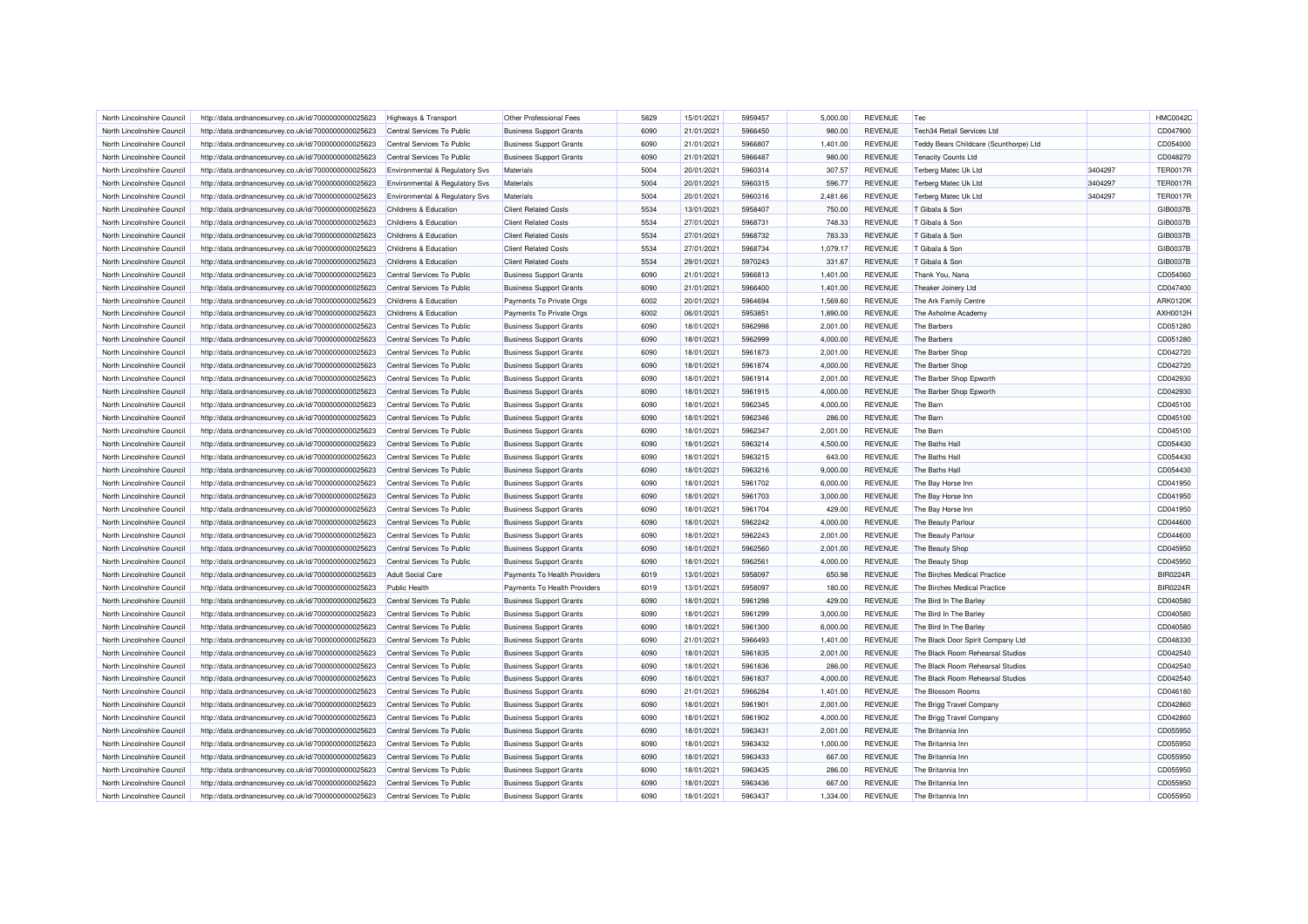| North Lincolnshire Council | http://data.ordnancesurvey.co.uk/id/7000000000025623 | Highways & Transport             | Other Professional Fees        | 5829 | 15/01/2021 | 5959457 | 5.000.00 | <b>REVENUE</b> | Tec                                    |         | <b>HMC0042C</b> |
|----------------------------|------------------------------------------------------|----------------------------------|--------------------------------|------|------------|---------|----------|----------------|----------------------------------------|---------|-----------------|
| North Lincolnshire Council | http://data.ordnancesurvey.co.uk/id/7000000000025623 | Central Services To Public       | <b>Business Support Grants</b> | 6090 | 21/01/2021 | 5966450 | 980.00   | <b>REVENUE</b> | Tech34 Retail Services Ltd             |         | CD047900        |
| North Lincolnshire Council | http://data.ordnancesurvey.co.uk/id/7000000000025623 | Central Services To Public       | <b>Business Support Grants</b> | 6090 | 21/01/2021 | 5966807 | 1,401.00 | <b>REVENUE</b> | Teddy Bears Childcare (Scunthorpe) Ltd |         | CD054000        |
| North Lincolnshire Council | http://data.ordnancesurvey.co.uk/id/7000000000025623 | Central Services To Public       | <b>Business Support Grants</b> | 6090 | 21/01/2021 | 5966487 | 980.00   | <b>REVENUE</b> | <b>Tenacity Counts Ltd</b>             |         | CD048270        |
| North Lincolnshire Council | http://data.ordnancesurvey.co.uk/id/7000000000025623 | Environmental & Regulatory Svs   | Materials                      | 5004 | 20/01/2021 | 5960314 | 307.57   | <b>REVENUE</b> | Terberg Matec Uk Ltd                   | 3404297 | <b>TER0017F</b> |
| North Lincolnshire Council | http://data.ordnancesurvey.co.uk/id/7000000000025623 | Environmental & Regulatory Svs   | Materials                      | 5004 | 20/01/2021 | 5960315 | 596.77   | <b>REVENUE</b> | Terberg Matec Uk Ltd                   | 3404297 | <b>TER0017R</b> |
| North Lincolnshire Council | http://data.ordnancesurvey.co.uk/id/7000000000025623 | Environmental & Regulatory Svs   | <b>Materials</b>               | 5004 | 20/01/2021 | 5960316 | 2,481.66 | <b>REVENUE</b> | Terberg Matec Uk Ltd                   | 3404297 | <b>TER0017R</b> |
| North Lincolnshire Council | http://data.ordnancesurvey.co.uk/id/7000000000025623 | <b>Childrens &amp; Education</b> | <b>Client Related Costs</b>    | 5534 | 13/01/2021 | 5958407 | 750.00   | <b>REVENUE</b> | T Gibala & Son                         |         | GIB0037E        |
| North Lincolnshire Council | http://data.ordnancesurvey.co.uk/id/7000000000025623 | Childrens & Education            | <b>Client Related Costs</b>    | 5534 | 27/01/2021 | 5968731 | 748.33   | <b>REVENUE</b> | T Gibala & Son                         |         | GIB0037E        |
| North Lincolnshire Council | http://data.ordnancesurvey.co.uk/id/7000000000025623 | Childrens & Education            | <b>Client Related Costs</b>    | 5534 | 27/01/2021 | 5968732 | 783.33   | <b>REVENUE</b> | T Gibala & Son                         |         | GIB0037E        |
| North Lincolnshire Council | http://data.ordnancesurvey.co.uk/id/7000000000025623 | Childrens & Education            | <b>Client Related Costs</b>    | 5534 | 27/01/2021 | 5968734 | 1,079.17 | <b>REVENUE</b> | T Gibala & Son                         |         | GIB0037E        |
| North Lincolnshire Council | http://data.ordnancesurvey.co.uk/id/7000000000025623 | Childrens & Education            | <b>Client Related Costs</b>    | 5534 | 29/01/2021 | 5970243 | 331.67   | <b>REVENUE</b> | T Gibala & Son                         |         | GIB0037B        |
| North Lincolnshire Council | http://data.ordnancesurvey.co.uk/id/7000000000025623 | Central Services To Public       | <b>Business Support Grants</b> | 6090 | 21/01/2021 | 5966813 | 1,401.00 | <b>REVENUE</b> | Thank You, Nana                        |         | CD054060        |
|                            |                                                      | Central Services To Public       |                                | 6090 |            | 5966400 |          | <b>REVENUE</b> |                                        |         | CD047400        |
| North Lincolnshire Council | http://data.ordnancesurvey.co.uk/id/7000000000025623 |                                  | <b>Business Support Grants</b> | 6002 | 21/01/2021 |         | 1,401.00 |                | Theaker Joinery Ltd                    |         | ARK0120K        |
| North Lincolnshire Council | http://data.ordnancesurvey.co.uk/id/7000000000025623 | Childrens & Education            | Payments To Private Orgs       |      | 20/01/2021 | 5964694 | 1,569.60 | <b>REVENUE</b> | The Ark Family Centre                  |         |                 |
| North Lincolnshire Council | http://data.ordnancesurvey.co.uk/id/7000000000025623 | Childrens & Education            | Payments To Private Orgs       | 6002 | 06/01/2021 | 5953851 | 1,890.00 | <b>REVENUE</b> | The Axholme Academy                    |         | AXH0012H        |
| North Lincolnshire Council | http://data.ordnancesurvey.co.uk/id/7000000000025623 | Central Services To Public       | <b>Business Support Grants</b> | 6090 | 18/01/2021 | 5962998 | 2,001.00 | <b>REVENUE</b> | The Barbers                            |         | CD051280        |
| North Lincolnshire Council | http://data.ordnancesurvey.co.uk/id/7000000000025623 | Central Services To Public       | <b>Business Support Grants</b> | 6090 | 18/01/2021 | 5962999 | 4,000.00 | <b>REVENUE</b> | The Barbers                            |         | CD051280        |
| North Lincolnshire Council | http://data.ordnancesurvey.co.uk/id/7000000000025623 | Central Services To Public       | <b>Business Support Grants</b> | 6090 | 18/01/2021 | 5961873 | 2,001.00 | <b>REVENUE</b> | The Barber Shop                        |         | CD042720        |
| North Lincolnshire Council | http://data.ordnancesurvey.co.uk/id/7000000000025623 | Central Services To Public       | <b>Business Support Grants</b> | 6090 | 18/01/2021 | 5961874 | 4,000.00 | <b>REVENUE</b> | The Barber Shop                        |         | CD042720        |
| North Lincolnshire Council | http://data.ordnancesurvey.co.uk/id/7000000000025623 | Central Services To Public       | <b>Business Support Grants</b> | 6090 | 18/01/2021 | 5961914 | 2,001.00 | <b>REVENUE</b> | The Barber Shop Epworth                |         | CD042930        |
| North Lincolnshire Council | http://data.ordnancesurvey.co.uk/id/7000000000025623 | Central Services To Public       | <b>Business Support Grants</b> | 6090 | 18/01/2021 | 5961915 | 4,000.00 | <b>REVENUE</b> | The Barber Shop Epworth                |         | CD042930        |
| North Lincolnshire Council | http://data.ordnancesurvey.co.uk/id/7000000000025623 | Central Services To Public       | <b>Business Support Grants</b> | 6090 | 18/01/2021 | 5962345 | 4.000.00 | <b>REVENUE</b> | The Barn                               |         | CD045100        |
| North Lincolnshire Council | http://data.ordnancesurvey.co.uk/id/7000000000025623 | Central Services To Public       | <b>Business Support Grants</b> | 6090 | 18/01/2021 | 5962346 | 286.00   | <b>REVENUE</b> | The Barn                               |         | CD045100        |
| North Lincolnshire Council | http://data.ordnancesurvey.co.uk/id/7000000000025623 | Central Services To Public       | <b>Business Support Grants</b> | 6090 | 18/01/2021 | 5962347 | 2,001.00 | <b>REVENUE</b> | The Barn                               |         | CD045100        |
| North Lincolnshire Council | http://data.ordnancesurvey.co.uk/id/7000000000025623 | Central Services To Public       | <b>Business Support Grants</b> | 6090 | 18/01/2021 | 5963214 | 4,500.00 | <b>REVENUE</b> | The Baths Hall                         |         | CD054430        |
| North Lincolnshire Council | http://data.ordnancesurvey.co.uk/id/7000000000025623 | Central Services To Public       | <b>Business Support Grants</b> | 6090 | 18/01/2021 | 5963215 | 643.00   | <b>REVENUE</b> | The Baths Hall                         |         | CD054430        |
| North Lincolnshire Council | http://data.ordnancesurvey.co.uk/id/7000000000025623 | Central Services To Public       | <b>Business Support Grants</b> | 6090 | 18/01/2021 | 5963216 | 9,000.00 | <b>REVENUE</b> | The Baths Hall                         |         | CD054430        |
| North Lincolnshire Council | http://data.ordnancesurvey.co.uk/id/7000000000025623 | Central Services To Public       | <b>Business Support Grants</b> | 6090 | 18/01/2021 | 5961702 | 6,000.00 | <b>REVENUE</b> | The Bay Horse Inn                      |         | CD041950        |
| North Lincolnshire Council | http://data.ordnancesurvey.co.uk/id/7000000000025623 | Central Services To Public       | <b>Business Support Grants</b> | 6090 | 18/01/2021 | 5961703 | 3,000.00 | <b>REVENUE</b> | The Bay Horse Inn                      |         | CD041950        |
| North Lincolnshire Council | http://data.ordnancesurvey.co.uk/id/7000000000025623 | Central Services To Public       | <b>Business Support Grants</b> | 6090 | 18/01/2021 | 5961704 | 429.00   | <b>REVENUE</b> | The Bay Horse Inn                      |         | CD041950        |
| North Lincolnshire Council | http://data.ordnancesurvey.co.uk/id/7000000000025623 | Central Services To Public       | <b>Business Support Grants</b> | 6090 | 18/01/2021 | 5962242 | 4,000.00 | <b>REVENUE</b> | The Beauty Parlour                     |         | CD044600        |
| North Lincolnshire Council | http://data.ordnancesurvey.co.uk/id/7000000000025623 | Central Services To Public       | <b>Business Support Grants</b> | 6090 | 18/01/2021 | 5962243 | 2,001.00 | <b>REVENUE</b> | The Beauty Parlour                     |         | CD044600        |
| North Lincolnshire Council | http://data.ordnancesurvey.co.uk/id/7000000000025623 | Central Services To Public       | <b>Business Support Grants</b> | 6090 | 18/01/2021 | 5962560 | 2,001.00 | <b>REVENUE</b> | The Beauty Shop                        |         | CD045950        |
| North Lincolnshire Council | http://data.ordnancesurvey.co.uk/id/7000000000025623 | Central Services To Public       | <b>Business Support Grants</b> | 6090 | 18/01/2021 | 5962561 | 4,000.00 | <b>REVENUE</b> | The Beauty Shop                        |         | CD045950        |
| North Lincolnshire Council | http://data.ordnancesurvey.co.uk/id/7000000000025623 | <b>Adult Social Care</b>         | Payments To Health Providers   | 6019 | 13/01/2021 | 5958097 | 650.98   | <b>REVENUE</b> | The Birches Medical Practice           |         | <b>BIR0224F</b> |
| North Lincolnshire Council | http://data.ordnancesurvey.co.uk/id/7000000000025623 | <b>Public Health</b>             | Payments To Health Providers   | 6019 | 13/01/2021 | 5958097 | 180.00   | <b>REVENUE</b> | The Birches Medical Practice           |         | <b>BIR0224F</b> |
| North Lincolnshire Council | http://data.ordnancesurvey.co.uk/id/7000000000025623 | Central Services To Public       | <b>Business Support Grants</b> | 6090 | 18/01/2021 | 5961298 | 429.00   | <b>REVENUE</b> | The Bird In The Barley                 |         | CD040580        |
| North Lincolnshire Council | http://data.ordnancesurvey.co.uk/id/7000000000025623 | Central Services To Public       | <b>Business Support Grants</b> | 6090 | 18/01/2021 | 5961299 | 3,000.00 | <b>REVENUE</b> | The Bird In The Barley                 |         | CD040580        |
| North Lincolnshire Council | http://data.ordnancesurvey.co.uk/id/7000000000025623 | Central Services To Public       | <b>Business Support Grants</b> | 6090 | 18/01/2021 | 5961300 | 6,000.00 | <b>REVENUE</b> | The Bird In The Barley                 |         | CD040580        |
| North Lincolnshire Council | http://data.ordnancesurvey.co.uk/id/7000000000025623 | Central Services To Public       | <b>Business Support Grants</b> | 6090 | 21/01/2021 | 5966493 | 1,401.00 | <b>REVENUE</b> | The Black Door Spirit Company Ltd      |         | CD048330        |
| North Lincolnshire Council | http://data.ordnancesurvey.co.uk/id/7000000000025623 | Central Services To Public       | <b>Business Support Grants</b> | 6090 | 18/01/2021 | 5961835 | 2,001.00 | <b>REVENUE</b> | The Black Room Rehearsal Studios       |         | CD042540        |
| North Lincolnshire Council | http://data.ordnancesurvey.co.uk/id/7000000000025623 | Central Services To Public       | <b>Business Support Grants</b> | 6090 | 18/01/2021 | 5961836 | 286.00   | <b>REVENUE</b> | The Black Room Rehearsal Studios       |         | CD042540        |
|                            |                                                      |                                  |                                |      |            |         |          | <b>REVENUE</b> | The Black Room Rehearsal Studios       |         | CD042540        |
| North Lincolnshire Council | http://data.ordnancesurvey.co.uk/id/7000000000025623 | Central Services To Public       | <b>Business Support Grants</b> | 6090 | 18/01/2021 | 5961837 | 4,000.00 |                |                                        |         |                 |
| North Lincolnshire Council | http://data.ordnancesurvey.co.uk/id/7000000000025623 | Central Services To Public       | <b>Business Support Grants</b> | 6090 | 21/01/2021 | 5966284 | 1,401.00 | <b>REVENUE</b> | The Blossom Rooms                      |         | CD046180        |
| North Lincolnshire Council | http://data.ordnancesurvey.co.uk/id/7000000000025623 | Central Services To Public       | <b>Business Support Grants</b> | 6090 | 18/01/2021 | 5961901 | 2,001.00 | <b>REVENUE</b> | The Brigg Travel Company               |         | CD042860        |
| North Lincolnshire Council | http://data.ordnancesurvey.co.uk/id/7000000000025623 | Central Services To Public       | <b>Business Support Grants</b> | 6090 | 18/01/2021 | 5961902 | 4,000.00 | <b>REVENUE</b> | The Brigg Travel Company               |         | CD042860        |
| North Lincolnshire Council | http://data.ordnancesurvey.co.uk/id/7000000000025623 | Central Services To Public       | <b>Business Support Grants</b> | 6090 | 18/01/2021 | 5963431 | 2,001.00 | REVENUE        | The Britannia Inn                      |         | CD055950        |
| North Lincolnshire Council | http://data.ordnancesurvey.co.uk/id/7000000000025623 | Central Services To Public       | <b>Business Support Grants</b> | 6090 | 18/01/2021 | 5963432 | 1,000.00 | <b>REVENUE</b> | The Britannia Inn                      |         | CD055950        |
| North Lincolnshire Council | http://data.ordnancesurvey.co.uk/id/7000000000025623 | Central Services To Public       | <b>Business Support Grants</b> | 6090 | 18/01/2021 | 5963433 | 667.00   | <b>REVENUE</b> | The Britannia Inn                      |         | CD055950        |
| North Lincolnshire Council | http://data.ordnancesurvey.co.uk/id/7000000000025623 | Central Services To Public       | <b>Business Support Grants</b> | 6090 | 18/01/2021 | 5963435 | 286.00   | <b>REVENUE</b> | The Britannia Inn                      |         | CD055950        |
| North Lincolnshire Council | http://data.ordnancesurvey.co.uk/id/7000000000025623 | Central Services To Public       | <b>Business Support Grants</b> | 6090 | 18/01/2021 | 5963436 | 667.00   | <b>REVENUE</b> | The Britannia Inn                      |         | CD055950        |
| North Lincolnshire Council | http://data.ordnancesurvey.co.uk/id/7000000000025623 | Central Services To Public       | <b>Business Support Grants</b> | 6090 | 18/01/2021 | 5963437 | 1,334.00 | <b>REVENUE</b> | The Britannia Inn                      |         | CD055950        |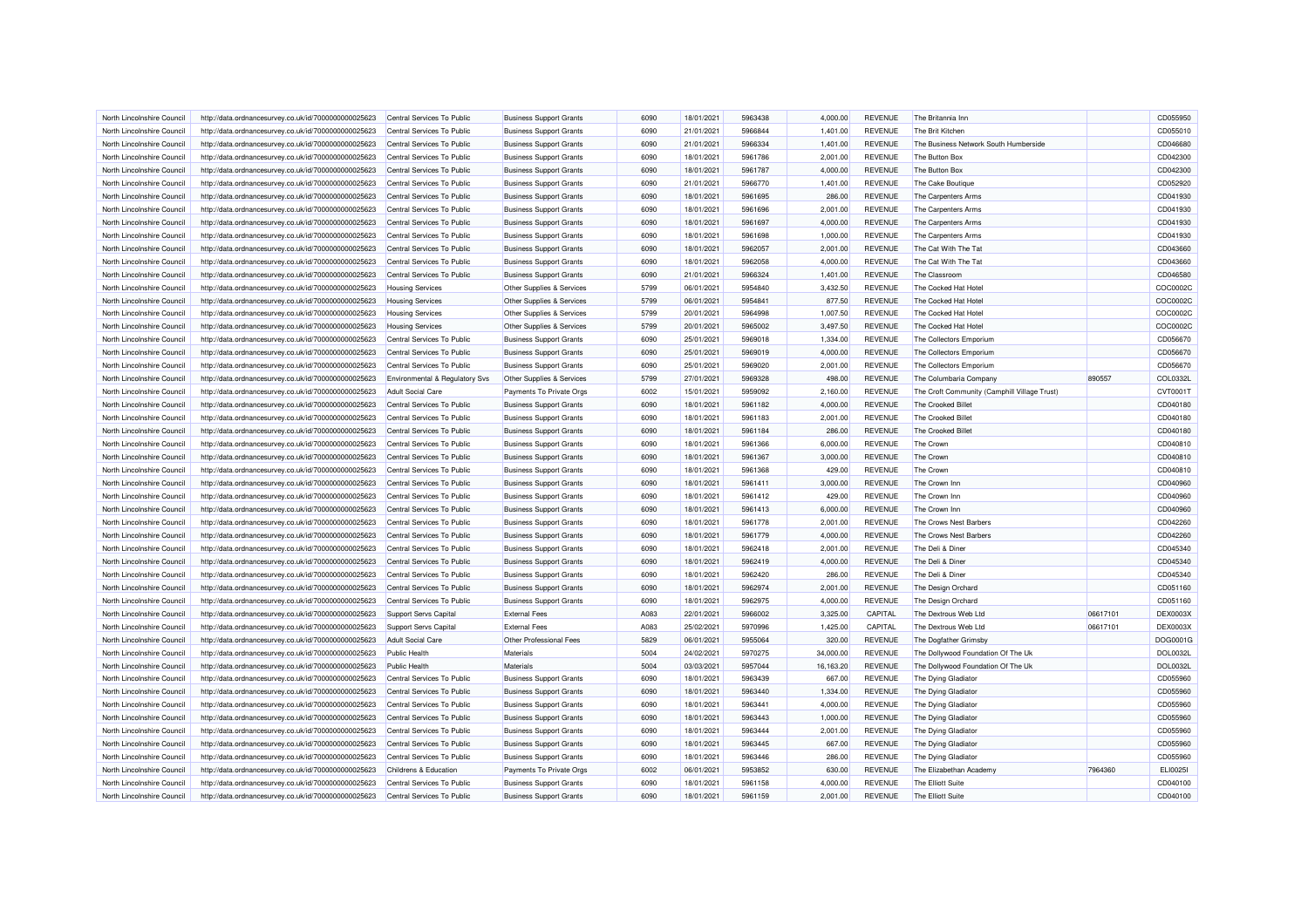| North Lincolnshire Council | http://data.ordnancesurvey.co.uk/id/7000000000025623 | Central Services To Public       | <b>Business Support Grants</b> | 6090         | 18/01/2021 | 5963438 | 4.000.00  | <b>REVENUE</b> | The Britannia Inn                            |          | CD055950             |
|----------------------------|------------------------------------------------------|----------------------------------|--------------------------------|--------------|------------|---------|-----------|----------------|----------------------------------------------|----------|----------------------|
| North Lincolnshire Council | http://data.ordnancesurvey.co.uk/id/7000000000025623 | Central Services To Public       | <b>Business Support Grants</b> | 6090         | 21/01/2021 | 5966844 | 1,401.00  | <b>REVENUE</b> | The Brit Kitchen                             |          | CD055010             |
| North Lincolnshire Council | http://data.ordnancesurvey.co.uk/id/7000000000025623 | Central Services To Public       | <b>Business Support Grants</b> | 6090         | 21/01/2021 | 5966334 | 1,401.00  | <b>REVENUE</b> | The Business Network South Humberside        |          | CD046680             |
| North Lincolnshire Council | http://data.ordnancesurvey.co.uk/id/7000000000025623 | Central Services To Public       | <b>Business Support Grants</b> | 6090         | 18/01/2021 | 5961786 | 2,001.00  | <b>REVENUE</b> | The Button Box                               |          | CD042300             |
| North Lincolnshire Council | http://data.ordnancesurvey.co.uk/id/7000000000025623 | Central Services To Public       | <b>Business Support Grants</b> | 6090         | 18/01/2021 | 5961787 | 4,000.00  | <b>REVENUE</b> | The Button Box                               |          | CD042300             |
| North Lincolnshire Council | http://data.ordnancesurvey.co.uk/id/7000000000025623 | Central Services To Public       | <b>Business Support Grants</b> | 6090         | 21/01/2021 | 5966770 | 1,401.00  | <b>REVENUE</b> | The Cake Boutique                            |          | CD052920             |
| North Lincolnshire Council | http://data.ordnancesurvey.co.uk/id/7000000000025623 | Central Services To Public       | <b>Business Support Grants</b> | 6090         | 18/01/2021 | 5961695 | 286.00    | <b>REVENUE</b> | The Carpenters Arms                          |          | CD041930             |
| North Lincolnshire Council | http://data.ordnancesurvey.co.uk/id/7000000000025623 | Central Services To Public       | <b>Business Support Grants</b> | 6090         | 18/01/2021 | 5961696 | 2,001.00  | <b>REVENUE</b> | The Carpenters Arms                          |          | CD041930             |
| North Lincolnshire Council | http://data.ordnancesurvey.co.uk/id/7000000000025623 | Central Services To Public       | <b>Business Support Grants</b> | 6090         | 18/01/2021 | 5961697 | 4,000.00  | <b>REVENUE</b> | The Carpenters Arms                          |          | CD041930             |
| North Lincolnshire Council | http://data.ordnancesurvey.co.uk/id/7000000000025623 | Central Services To Public       | <b>Business Support Grants</b> | 6090         | 18/01/2021 | 5961698 | 1,000.00  | <b>REVENUE</b> | The Carpenters Arms                          |          | CD041930             |
| North Lincolnshire Council | http://data.ordnancesurvey.co.uk/id/7000000000025623 | Central Services To Public       | <b>Business Support Grants</b> | 6090         | 18/01/2021 | 5962057 | 2,001.00  | <b>REVENUE</b> | The Cat With The Tat                         |          | CD043660             |
| North Lincolnshire Council | http://data.ordnancesurvey.co.uk/id/7000000000025623 | Central Services To Public       | <b>Business Support Grants</b> | 6090         | 18/01/2021 | 5962058 | 4,000.00  | <b>REVENUE</b> | The Cat With The Tat                         |          | CD043660             |
| North Lincolnshire Council | http://data.ordnancesurvey.co.uk/id/7000000000025623 | Central Services To Public       | <b>Business Support Grants</b> | 6090         | 21/01/2021 | 5966324 | 1,401.00  | <b>REVENUE</b> | The Classroom                                |          | CD046580             |
| North Lincolnshire Council | http://data.ordnancesurvey.co.uk/id/7000000000025623 | <b>Housing Services</b>          | Other Supplies & Services      | 5799         | 06/01/2021 | 5954840 | 3,432.50  | <b>REVENUE</b> | The Cocked Hat Hotel                         |          | COC0002C             |
| North Lincolnshire Council | http://data.ordnancesurvey.co.uk/id/7000000000025623 | <b>Housing Services</b>          | Other Supplies & Services      | 5799         | 06/01/2021 | 5954841 | 877.50    | <b>REVENUE</b> | The Cocked Hat Hotel                         |          | COC0002C             |
| North Lincolnshire Council | http://data.ordnancesurvey.co.uk/id/7000000000025623 | <b>Housing Services</b>          | Other Supplies & Services      | 5799         | 20/01/2021 | 5964998 | 1,007.50  | <b>REVENUE</b> | The Cocked Hat Hotel                         |          | COC0002C             |
| North Lincolnshire Council | http://data.ordnancesurvey.co.uk/id/7000000000025623 | <b>Housing Services</b>          | Other Supplies & Services      | 5799         | 20/01/2021 | 5965002 | 3,497.50  | <b>REVENUE</b> | The Cocked Hat Hotel                         |          | COC0002C             |
| North Lincolnshire Council | http://data.ordnancesurvey.co.uk/id/7000000000025623 | Central Services To Public       | <b>Business Support Grants</b> | 6090         | 25/01/2021 | 5969018 | 1,334.00  | <b>REVENUE</b> | The Collectors Emporium                      |          | CD056670             |
| North Lincolnshire Council |                                                      | Central Services To Public       |                                | 6090         | 25/01/2021 | 5969019 | 4,000.00  | <b>REVENUE</b> | The Collectors Emporium                      |          | CD056670             |
| North Lincolnshire Council | http://data.ordnancesurvey.co.uk/id/7000000000025623 | Central Services To Public       | <b>Business Support Grants</b> | 6090         | 25/01/2021 | 5969020 | 2,001.00  | <b>REVENUE</b> | The Collectors Emporium                      |          | CD056670             |
| North Lincolnshire Council | http://data.ordnancesurvey.co.uk/id/7000000000025623 |                                  | <b>Business Support Grants</b> | 5799         | 27/01/2021 | 5969328 | 498.00    | <b>REVENUE</b> |                                              | 890557   | COL0332I             |
|                            | http://data.ordnancesurvey.co.uk/id/7000000000025623 | Environmental & Regulatory Svs   | Other Supplies & Services      |              |            |         |           |                | The Columbaria Company                       |          |                      |
| North Lincolnshire Council | http://data.ordnancesurvey.co.uk/id/7000000000025623 | Adult Social Care                | Payments To Private Orgs       | 6002<br>6090 | 15/01/2021 | 5959092 | 2,160.00  | REVENUE        | The Croft Community (Camphill Village Trust) |          | CVT0001T<br>CD040180 |
| North Lincolnshire Council | http://data.ordnancesurvey.co.uk/id/7000000000025623 | Central Services To Public       | <b>Business Support Grants</b> |              | 18/01/2021 | 5961182 | 4.000.00  | <b>REVENUE</b> | <b>The Crooked Billet</b>                    |          |                      |
| North Lincolnshire Council | http://data.ordnancesurvey.co.uk/id/7000000000025623 | Central Services To Public       | <b>Business Support Grants</b> | 6090         | 18/01/2021 | 5961183 | 2,001.00  | <b>REVENUE</b> | The Crooked Billet                           |          | CD040180             |
| North Lincolnshire Council | http://data.ordnancesurvey.co.uk/id/7000000000025623 | Central Services To Public       | <b>Business Support Grants</b> | 6090         | 18/01/2021 | 5961184 | 286.00    | <b>REVENUE</b> | The Crooked Billet                           |          | CD040180             |
| North Lincolnshire Council | http://data.ordnancesurvey.co.uk/id/7000000000025623 | Central Services To Public       | <b>Business Support Grants</b> | 6090         | 18/01/2021 | 5961366 | 6,000.00  | <b>REVENUE</b> | The Crown                                    |          | CD040810             |
| North Lincolnshire Council | http://data.ordnancesurvey.co.uk/id/7000000000025623 | Central Services To Public       | <b>Business Support Grants</b> | 6090         | 18/01/2021 | 5961367 | 3,000.00  | <b>REVENUE</b> | The Crown                                    |          | CD040810             |
| North Lincolnshire Council | http://data.ordnancesurvey.co.uk/id/7000000000025623 | Central Services To Public       | <b>Business Support Grants</b> | 6090         | 18/01/2021 | 5961368 | 429.00    | <b>REVENUE</b> | The Crown                                    |          | CD040810             |
| North Lincolnshire Council | http://data.ordnancesurvey.co.uk/id/7000000000025623 | Central Services To Public       | <b>Business Support Grants</b> | 6090         | 18/01/2021 | 5961411 | 3,000.00  | <b>REVENUE</b> | The Crown Inn                                |          | CD040960             |
| North Lincolnshire Council | http://data.ordnancesurvey.co.uk/id/7000000000025623 | Central Services To Public       | <b>Business Support Grants</b> | 6090         | 18/01/2021 | 5961412 | 429.00    | REVENUE        | The Crown Inn                                |          | CD040960             |
| North Lincolnshire Council | http://data.ordnancesurvey.co.uk/id/7000000000025623 | Central Services To Public       | <b>Business Support Grants</b> | 6090         | 18/01/2021 | 5961413 | 6,000.00  | <b>REVENUE</b> | The Crown Inn                                |          | CD040960             |
| North Lincolnshire Council | http://data.ordnancesurvey.co.uk/id/7000000000025623 | Central Services To Public       | <b>Business Support Grants</b> | 6090         | 18/01/2021 | 5961778 | 2,001.00  | <b>REVENUE</b> | The Crows Nest Barbers                       |          | CD042260             |
| North Lincolnshire Council | http://data.ordnancesurvey.co.uk/id/7000000000025623 | Central Services To Public       | <b>Business Support Grants</b> | 6090         | 18/01/2021 | 5961779 | 4,000.00  | <b>REVENUE</b> | The Crows Nest Barbers                       |          | CD042260             |
| North Lincolnshire Council | http://data.ordnancesurvey.co.uk/id/7000000000025623 | Central Services To Public       | <b>Business Support Grants</b> | 6090         | 18/01/2021 | 5962418 | 2,001.00  | <b>REVENUE</b> | The Deli & Diner                             |          | CD045340             |
| North Lincolnshire Council | http://data.ordnancesurvey.co.uk/id/7000000000025623 | Central Services To Public       | <b>Business Support Grants</b> | 6090         | 18/01/2021 | 5962419 | 4,000.00  | <b>REVENUE</b> | The Deli & Diner                             |          | CD045340             |
| North Lincolnshire Council | http://data.ordnancesurvey.co.uk/id/7000000000025623 | Central Services To Public       | <b>Business Support Grants</b> | 6090         | 18/01/2021 | 5962420 | 286.00    | <b>REVENUE</b> | The Deli & Diner                             |          | CD045340             |
| North Lincolnshire Council | http://data.ordnancesurvey.co.uk/id/7000000000025623 | Central Services To Public       | <b>Business Support Grants</b> | 6090         | 18/01/2021 | 5962974 | 2,001.00  | <b>REVENUE</b> | The Design Orchard                           |          | CD051160             |
| North Lincolnshire Council | http://data.ordnancesurvey.co.uk/id/7000000000025623 | Central Services To Public       | <b>Business Support Grants</b> | 6090         | 18/01/2021 | 5962975 | 4,000.00  | <b>REVENUE</b> | The Design Orchard                           |          | CD051160             |
| North Lincolnshire Council | http://data.ordnancesurvey.co.uk/id/7000000000025623 | Support Servs Capital            | <b>External Fees</b>           | A083         | 22/01/2021 | 5966002 | 3,325.00  | CAPITAL        | The Dextrous Web Ltd                         | 06617101 | DEX0003>             |
| North Lincolnshire Council | http://data.ordnancesurvey.co.uk/id/7000000000025623 | Support Servs Capital            | <b>External Fees</b>           | A083         | 25/02/2021 | 5970996 | 1,425.00  | CAPITAL        | The Dextrous Web Ltd                         | 06617101 | DEX0003X             |
| North Lincolnshire Council | http://data.ordnancesurvey.co.uk/id/7000000000025623 | <b>Adult Social Care</b>         | Other Professional Fees        | 5829         | 06/01/2021 | 5955064 | 320.00    | <b>REVENUE</b> | The Dogfather Grimsby                        |          | DOG0001G             |
| North Lincolnshire Council | http://data.ordnancesurvey.co.uk/id/7000000000025623 | Public Health                    | Materials                      | 5004         | 24/02/2021 | 5970275 | 34,000.00 | <b>REVENUE</b> | The Dollywood Foundation Of The Uk           |          | <b>DOL0032I</b>      |
| North Lincolnshire Council | http://data.ordnancesurvey.co.uk/id/7000000000025623 | <b>Public Health</b>             | <b>Materials</b>               | 5004         | 03/03/2021 | 5957044 | 16,163.20 | <b>REVENUE</b> | The Dollywood Foundation Of The Uk           |          | <b>DOL0032I</b>      |
| North Lincolnshire Council | http://data.ordnancesurvey.co.uk/id/7000000000025623 | Central Services To Public       | <b>Business Support Grants</b> | 6090         | 18/01/2021 | 5963439 | 667.00    | <b>REVENUE</b> | The Dying Gladiator                          |          | CD055960             |
| North Lincolnshire Council | http://data.ordnancesurvey.co.uk/id/7000000000025623 | Central Services To Public       | <b>Business Support Grants</b> | 6090         | 18/01/2021 | 5963440 | 1,334.00  | <b>REVENUE</b> | The Dying Gladiator                          |          | CD055960             |
| North Lincolnshire Council | http://data.ordnancesurvey.co.uk/id/7000000000025623 | Central Services To Public       | <b>Business Support Grants</b> | 6090         | 18/01/2021 | 5963441 | 4,000.00  | <b>REVENUE</b> | The Dying Gladiato                           |          | CD055960             |
| North Lincolnshire Council | http://data.ordnancesurvey.co.uk/id/7000000000025623 | Central Services To Public       | <b>Business Support Grants</b> | 6090         | 18/01/2021 | 5963443 | 1,000.00  | <b>REVENUE</b> | The Dying Gladiato                           |          | CD055960             |
| North Lincolnshire Council | http://data.ordnancesurvey.co.uk/id/7000000000025623 | Central Services To Public       | <b>Business Support Grants</b> | 6090         | 18/01/2021 | 5963444 | 2,001.00  | <b>REVENUE</b> | The Dying Gladiato                           |          | CD055960             |
| North Lincolnshire Council | http://data.ordnancesurvey.co.uk/id/7000000000025623 | Central Services To Public       | <b>Business Support Grants</b> | 6090         | 18/01/2021 | 5963445 | 667.00    | <b>REVENUE</b> | The Dying Gladiator                          |          | CD055960             |
| North Lincolnshire Council | http://data.ordnancesurvey.co.uk/id/7000000000025623 | Central Services To Public       | <b>Business Support Grants</b> | 6090         | 18/01/2021 | 5963446 | 286.00    | <b>REVENUE</b> | The Dying Gladiator                          |          | CD055960             |
| North Lincolnshire Council | http://data.ordnancesurvey.co.uk/id/7000000000025623 | <b>Childrens &amp; Education</b> | Payments To Private Orgs       | 6002         | 06/01/2021 | 5953852 | 630.00    | <b>REVENUE</b> | The Elizabethan Academy                      | 7964360  | ELI00251             |
| North Lincolnshire Council | http://data.ordnancesurvey.co.uk/id/7000000000025623 | Central Services To Public       | <b>Business Support Grants</b> | 6090         | 18/01/2021 | 5961158 | 4,000.00  | <b>REVENUE</b> | The Elliott Suite                            |          | CD040100             |
| North Lincolnshire Council | http://data.ordnancesurvey.co.uk/id/7000000000025623 | Central Services To Public       | <b>Business Support Grants</b> | 6090         | 18/01/2021 | 5961159 | 2,001.00  | <b>REVENUE</b> | The Elliott Suite                            |          | CD040100             |
|                            |                                                      |                                  |                                |              |            |         |           |                |                                              |          |                      |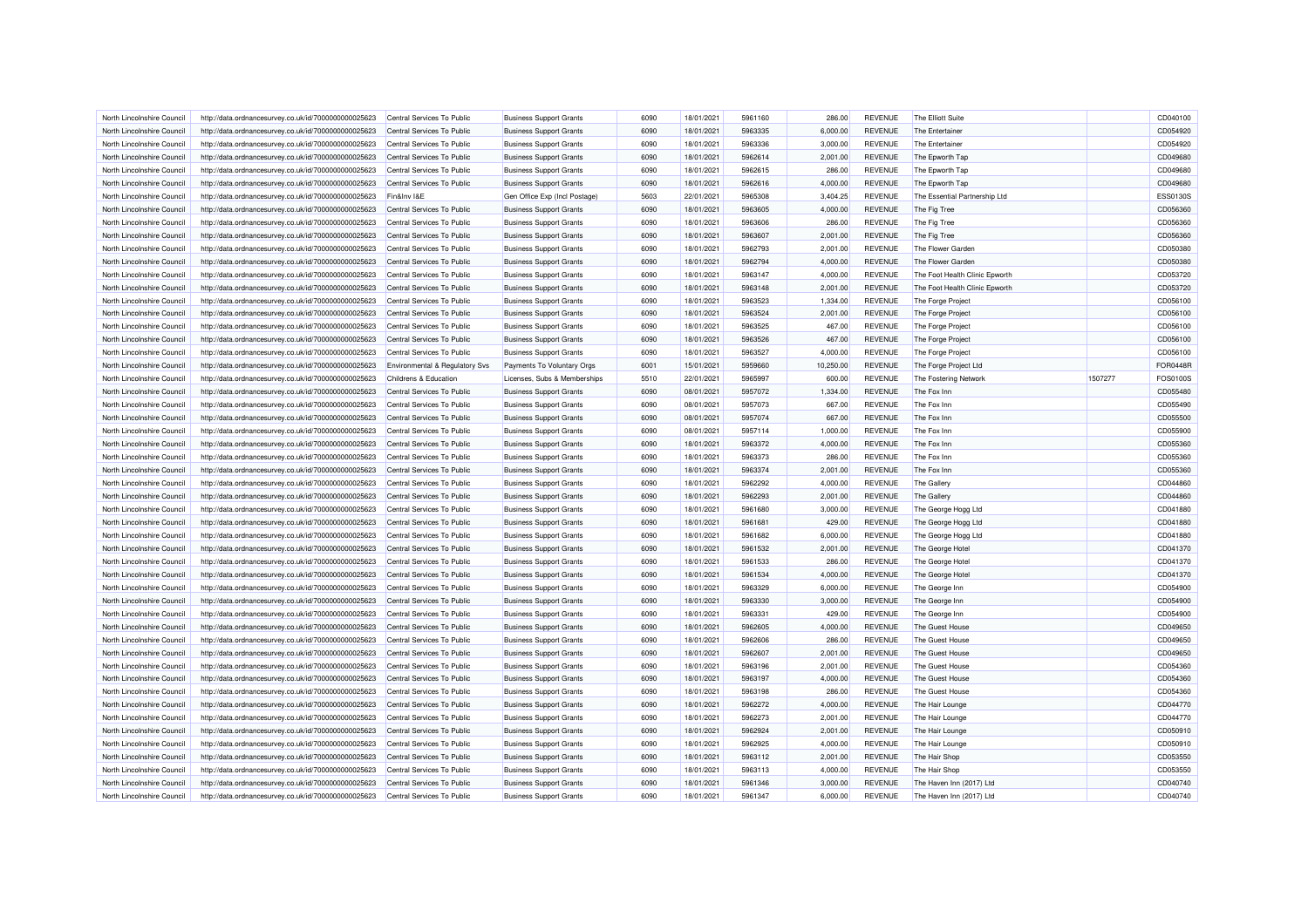| North Lincolnshire Council                               | http://data.ordnancesurvey.co.uk/id/7000000000025623 | Central Services To Public     | <b>Business Support Grants</b>                                   | 6090 | 18/01/2021               | 5961160 | 286.00               | <b>REVENUE</b>                   | The Elliott Suite              |         | CD040100             |
|----------------------------------------------------------|------------------------------------------------------|--------------------------------|------------------------------------------------------------------|------|--------------------------|---------|----------------------|----------------------------------|--------------------------------|---------|----------------------|
| North Lincolnshire Council                               | http://data.ordnancesurvey.co.uk/id/7000000000025623 | Central Services To Public     | <b>Business Support Grants</b>                                   | 6090 | 18/01/2021               | 5963335 | 6,000.00             | <b>REVENUE</b>                   | The Entertainer                |         | CD054920             |
| North Lincolnshire Council                               | http://data.ordnancesurvey.co.uk/id/7000000000025623 | Central Services To Public     | <b>Business Support Grants</b>                                   | 6090 | 18/01/2021               | 5963336 | 3,000.00             | <b>REVENUE</b>                   | The Entertainer                |         | CD054920             |
| North Lincolnshire Council                               | http://data.ordnancesurvey.co.uk/id/7000000000025623 | Central Services To Public     | <b>Business Support Grants</b>                                   | 6090 | 18/01/2021               | 5962614 | 2,001.00             | <b>REVENUE</b>                   | The Epworth Tap                |         | CD049680             |
| North Lincolnshire Council                               | http://data.ordnancesurvey.co.uk/id/7000000000025623 | Central Services To Public     | <b>Business Support Grants</b>                                   | 6090 | 18/01/2021               | 5962615 | 286.00               | <b>REVENUE</b>                   | The Epworth Tap                |         | CD049680             |
| North Lincolnshire Council                               | http://data.ordnancesurvey.co.uk/id/7000000000025623 | Central Services To Public     | <b>Business Support Grants</b>                                   | 6090 | 18/01/2021               | 5962616 | 4,000.00             | <b>REVENUE</b>                   | The Epworth Tap                |         | CD049680             |
| North Lincolnshire Council                               | http://data.ordnancesurvey.co.uk/id/7000000000025623 | Fin&Inv I&E                    | Gen Office Exp (Incl Postage)                                    | 5603 | 22/01/2021               | 5965308 | 3,404.25             | <b>REVENUE</b>                   | The Essential Partnership Ltd  |         | <b>ESS0130S</b>      |
| North Lincolnshire Council                               | http://data.ordnancesurvey.co.uk/id/7000000000025623 | Central Services To Public     | <b>Business Support Grants</b>                                   | 6090 | 18/01/2021               | 5963605 | 4,000.00             | <b>REVENUE</b>                   | The Fig Tree                   |         | CD056360             |
| North Lincolnshire Council                               | http://data.ordnancesurvey.co.uk/id/7000000000025623 | Central Services To Public     | <b>Business Support Grants</b>                                   | 6090 | 18/01/2021               | 5963606 | 286.00               | <b>REVENUE</b>                   | The Fig Tree                   |         | CD056360             |
| North Lincolnshire Council                               | http://data.ordnancesurvey.co.uk/id/7000000000025623 | Central Services To Public     | <b>Business Support Grants</b>                                   | 6090 | 18/01/2021               | 5963607 | 2,001.00             | <b>REVENUE</b>                   | The Fig Tree                   |         | CD056360             |
| North Lincolnshire Council                               | http://data.ordnancesurvey.co.uk/id/7000000000025623 | Central Services To Public     | <b>Business Support Grants</b>                                   | 6090 | 18/01/2021               | 5962793 | 2,001.00             | <b>REVENUE</b>                   | The Flower Garden              |         | CD050380             |
| North Lincolnshire Council                               | http://data.ordnancesurvey.co.uk/id/7000000000025623 | Central Services To Public     | <b>Business Support Grants</b>                                   | 6090 | 18/01/2021               | 5962794 | 4,000.00             | <b>REVENUE</b>                   | The Flower Garden              |         | CD050380             |
| North Lincolnshire Council                               | http://data.ordnancesurvey.co.uk/id/7000000000025623 | Central Services To Public     | <b>Business Support Grants</b>                                   | 6090 | 18/01/2021               | 5963147 | 4,000.00             | <b>REVENUE</b>                   | The Foot Health Clinic Epworth |         | CD053720             |
| North Lincolnshire Council                               | http://data.ordnancesurvey.co.uk/id/7000000000025623 | Central Services To Public     | <b>Business Support Grants</b>                                   | 6090 | 18/01/2021               | 5963148 | 2,001.00             | <b>REVENUE</b>                   | The Foot Health Clinic Epworth |         | CD053720             |
| North Lincolnshire Council                               | http://data.ordnancesurvey.co.uk/id/7000000000025623 | Central Services To Public     | <b>Business Support Grants</b>                                   | 6090 | 18/01/2021               | 5963523 | 1,334.00             | <b>REVENUE</b>                   | The Forge Project              |         | CD056100             |
| North Lincolnshire Council                               | http://data.ordnancesurvey.co.uk/id/7000000000025623 | Central Services To Public     | <b>Business Support Grants</b>                                   | 6090 | 18/01/2021               | 5963524 | 2,001.00             | <b>REVENUE</b>                   | The Forge Project              |         | CD056100             |
| North Lincolnshire Council                               | http://data.ordnancesurvey.co.uk/id/7000000000025623 | Central Services To Public     | <b>Business Support Grants</b>                                   | 6090 | 18/01/2021               | 5963525 | 467.00               | <b>REVENUE</b>                   | The Forge Project              |         | CD056100             |
| North Lincolnshire Council                               |                                                      |                                |                                                                  | 6090 | 18/01/2021               | 5963526 | 467.00               | <b>REVENUE</b>                   |                                |         | CD056100             |
|                                                          | http://data.ordnancesurvey.co.uk/id/7000000000025623 | Central Services To Public     | <b>Business Support Grants</b>                                   |      |                          |         |                      |                                  | The Forge Project              |         |                      |
| North Lincolnshire Council                               | http://data.ordnancesurvey.co.uk/id/7000000000025623 | Central Services To Public     | <b>Business Support Grants</b>                                   | 6090 | 18/01/2021               | 5963527 | 4,000.00             | <b>REVENUE</b>                   | The Forge Project              |         | CD056100             |
| North Lincolnshire Council                               | http://data.ordnancesurvey.co.uk/id/7000000000025623 | Environmental & Regulatory Svs | Payments To Voluntary Orgs                                       | 6001 | 15/01/2021               | 5959660 | 10,250.00            | <b>REVENUE</b>                   | The Forge Project Ltd          |         | <b>FOR0448R</b>      |
| North Lincolnshire Council                               | http://data.ordnancesurvey.co.uk/id/7000000000025623 | Childrens & Education          | Licenses, Subs & Memberships                                     | 5510 | 22/01/2021               | 5965997 | 600.00               | <b>REVENUE</b>                   | The Fostering Network          | 1507277 | FOS0100S             |
| North Lincolnshire Council                               | http://data.ordnancesurvey.co.uk/id/7000000000025623 | Central Services To Public     | <b>Business Support Grants</b>                                   | 6090 | 08/01/2021               | 5957072 | 1,334.00             | <b>REVENUE</b>                   | The Fox Inn                    |         | CD055480             |
| North Lincolnshire Council                               | http://data.ordnancesurvey.co.uk/id/7000000000025623 | Central Services To Public     | <b>Business Support Grants</b>                                   | 6090 | 08/01/2021               | 5957073 | 667.00               | <b>REVENUE</b>                   | The Fox Inn                    |         | CD055490             |
| North Lincolnshire Council                               | http://data.ordnancesurvey.co.uk/id/7000000000025623 | Central Services To Public     | <b>Business Support Grants</b>                                   | 6090 | 08/01/2021               | 5957074 | 667.00               | <b>REVENUE</b>                   | The Fox Inn                    |         | CD055500             |
| North Lincolnshire Council                               | http://data.ordnancesurvey.co.uk/id/7000000000025623 | Central Services To Public     | <b>Business Support Grants</b>                                   | 6090 | 08/01/2021               | 5957114 | 1,000.00             | <b>REVENUE</b>                   | The Fox Inn                    |         | CD055900             |
| North Lincolnshire Council                               | http://data.ordnancesurvey.co.uk/id/7000000000025623 | Central Services To Public     | <b>Business Support Grants</b>                                   | 6090 | 18/01/2021               | 5963372 | 4,000.00             | <b>REVENUE</b>                   | The Fox Inn                    |         | CD055360             |
| North Lincolnshire Council                               | http://data.ordnancesurvey.co.uk/id/7000000000025623 | Central Services To Public     | <b>Business Support Grants</b>                                   | 6090 | 18/01/2021               | 5963373 | 286.00               | <b>REVENUE</b>                   | The Fox Inn                    |         | CD055360             |
| North Lincolnshire Council                               | http://data.ordnancesurvey.co.uk/id/7000000000025623 | Central Services To Public     | <b>Business Support Grants</b>                                   | 6090 | 18/01/2021               | 5963374 | 2,001.00             | <b>REVENUE</b>                   | The Fox Inn                    |         | CD055360             |
| North Lincolnshire Council                               | http://data.ordnancesurvey.co.uk/id/7000000000025623 | Central Services To Public     | <b>Business Support Grants</b>                                   | 6090 | 18/01/2021               | 5962292 | 4,000.00             | <b>REVENUE</b>                   | The Gallery                    |         | CD044860             |
| North Lincolnshire Council                               | http://data.ordnancesurvey.co.uk/id/7000000000025623 | Central Services To Public     | <b>Business Support Grants</b>                                   | 6090 | 18/01/2021               | 5962293 | 2,001.00             | <b>REVENUE</b>                   | The Gallery                    |         | CD044860             |
| North Lincolnshire Council                               | http://data.ordnancesurvey.co.uk/id/7000000000025623 | Central Services To Public     | <b>Business Support Grants</b>                                   | 6090 | 18/01/2021               | 5961680 | 3,000.00             | <b>REVENUE</b>                   | The George Hogg Ltd            |         | CD041880             |
| North Lincolnshire Council                               | http://data.ordnancesurvey.co.uk/id/7000000000025623 | Central Services To Public     | <b>Business Support Grants</b>                                   | 6090 | 18/01/2021               | 5961681 | 429.00               | <b>REVENUE</b>                   | The George Hogg Ltd            |         | CD041880             |
| North Lincolnshire Counci                                | http://data.ordnancesurvey.co.uk/id/7000000000025623 | Central Services To Public     | <b>Business Support Grants</b>                                   | 6090 | 18/01/2021               | 5961682 | 6,000.00             | <b>REVENUE</b>                   | The George Hogg Ltd            |         | CD041880             |
| North Lincolnshire Council                               | http://data.ordnancesurvey.co.uk/id/7000000000025623 | Central Services To Public     | <b>Business Support Grants</b>                                   | 6090 | 18/01/2021               | 5961532 | 2,001.00             | <b>REVENUE</b>                   | The George Hotel               |         | CD041370             |
| North Lincolnshire Council                               | http://data.ordnancesurvey.co.uk/id/7000000000025623 | Central Services To Public     | <b>Business Support Grants</b>                                   | 6090 | 18/01/2021               | 5961533 | 286.00               | <b>REVENUE</b>                   | The George Hotel               |         | CD041370             |
| North Lincolnshire Council                               | http://data.ordnancesurvey.co.uk/id/7000000000025623 | Central Services To Public     | <b>Business Support Grants</b>                                   | 6090 | 18/01/2021               | 5961534 | 4,000.00             | <b>REVENUE</b>                   | The George Hotel               |         | CD041370             |
| North Lincolnshire Council                               | http://data.ordnancesurvey.co.uk/id/7000000000025623 | Central Services To Public     | <b>Business Support Grants</b>                                   | 6090 | 18/01/2021               | 5963329 | 6,000.00             | <b>REVENUE</b>                   | The George Inn                 |         | CD054900             |
| North Lincolnshire Council                               | http://data.ordnancesurvey.co.uk/id/7000000000025623 | Central Services To Public     | <b>Business Support Grants</b>                                   | 6090 | 18/01/2021               | 5963330 | 3,000.00             | <b>REVENUE</b>                   | The George Inn                 |         | CD054900             |
| North Lincolnshire Council                               | http://data.ordnancesurvey.co.uk/id/7000000000025623 | Central Services To Public     | <b>Business Support Grants</b>                                   | 6090 | 18/01/2021               | 5963331 | 429.00               | <b>REVENUE</b>                   | The George Inn                 |         | CD054900             |
| North Lincolnshire Council                               | http://data.ordnancesurvey.co.uk/id/7000000000025623 | Central Services To Public     | <b>Business Support Grants</b>                                   | 6090 | 18/01/2021               | 5962605 | 4,000.00             | <b>REVENUE</b>                   | The Guest House                |         | CD049650             |
| North Lincolnshire Council                               | http://data.ordnancesurvey.co.uk/id/7000000000025623 | Central Services To Public     | <b>Business Support Grants</b>                                   | 6090 | 18/01/2021               | 5962606 | 286.00               | <b>REVENUE</b>                   | The Guest House                |         | CD049650             |
| North Lincolnshire Council                               | http://data.ordnancesurvey.co.uk/id/7000000000025623 | Central Services To Public     | <b>Business Support Grants</b>                                   | 6090 | 18/01/2021               | 5962607 | 2,001.00             | <b>REVENUE</b>                   | The Guest House                |         | CD049650             |
| North Lincolnshire Council                               | http://data.ordnancesurvey.co.uk/id/7000000000025623 | Central Services To Public     | <b>Business Support Grants</b>                                   | 6090 | 18/01/2021               | 5963196 | 2,001.00             | <b>REVENUE</b>                   | The Guest House                |         | CD054360             |
| North Lincolnshire Council                               | http://data.ordnancesurvey.co.uk/id/7000000000025623 | Central Services To Public     | <b>Business Support Grants</b>                                   | 6090 | 18/01/2021               | 5963197 | 4,000.00             | <b>REVENUE</b>                   | The Guest House                |         | CD054360             |
| North Lincolnshire Council                               | http://data.ordnancesurvey.co.uk/id/7000000000025623 | Central Services To Public     | <b>Business Support Grants</b>                                   | 6090 | 18/01/2021               | 5963198 | 286.00               | <b>REVENUE</b>                   | The Guest House                |         | CD054360             |
|                                                          |                                                      |                                |                                                                  | 6090 |                          | 5962272 |                      |                                  |                                |         |                      |
| North Lincolnshire Council                               | http://data.ordnancesurvey.co.uk/id/7000000000025623 | Central Services To Public     | <b>Business Support Grants</b>                                   | 6090 | 18/01/2021<br>18/01/2021 | 5962273 | 4,000.00<br>2,001.00 | <b>REVENUE</b><br><b>REVENUE</b> | The Hair Lounge                |         | CD044770<br>CD044770 |
| North Lincolnshire Council<br>North Lincolnshire Council | http://data.ordnancesurvey.co.uk/id/7000000000025623 | Central Services To Public     | <b>Business Support Grants</b><br><b>Business Support Grants</b> | 6090 | 18/01/2021               | 5962924 | 2,001.00             | <b>REVENUE</b>                   | The Hair Lounge                |         | CD050910             |
|                                                          | http://data.ordnancesurvey.co.uk/id/7000000000025623 | Central Services To Public     |                                                                  |      |                          |         |                      |                                  | The Hair Lounge                |         |                      |
| North Lincolnshire Council                               | http://data.ordnancesurvey.co.uk/id/7000000000025623 | Central Services To Public     | <b>Business Support Grants</b>                                   | 6090 | 18/01/2021               | 5962925 | 4,000.00             | <b>REVENUE</b>                   | The Hair Lounge                |         | CD050910             |
| North Lincolnshire Council                               | http://data.ordnancesurvey.co.uk/id/7000000000025623 | Central Services To Public     | <b>Business Support Grants</b>                                   | 6090 | 18/01/2021               | 5963112 | 2,001.00             | <b>REVENUE</b>                   | The Hair Shop                  |         | CD053550             |
| North Lincolnshire Council                               | http://data.ordnancesurvey.co.uk/id/7000000000025623 | Central Services To Public     | <b>Business Support Grants</b>                                   | 6090 | 18/01/2021               | 5963113 | 4,000.00             | <b>REVENUE</b>                   | The Hair Shop                  |         | CD053550             |
| North Lincolnshire Council                               | http://data.ordnancesurvey.co.uk/id/7000000000025623 | Central Services To Public     | <b>Business Support Grants</b>                                   | 6090 | 18/01/2021               | 5961346 | 3,000.00             | <b>REVENUE</b>                   | The Haven Inn (2017) Ltd       |         | CD040740             |
| North Lincolnshire Council                               | http://data.ordnancesurvey.co.uk/id/7000000000025623 | Central Services To Public     | <b>Business Support Grants</b>                                   | 6090 | 18/01/2021               | 5961347 | 6,000.00             | <b>REVENUE</b>                   | The Haven Inn (2017) Ltd       |         | CD040740             |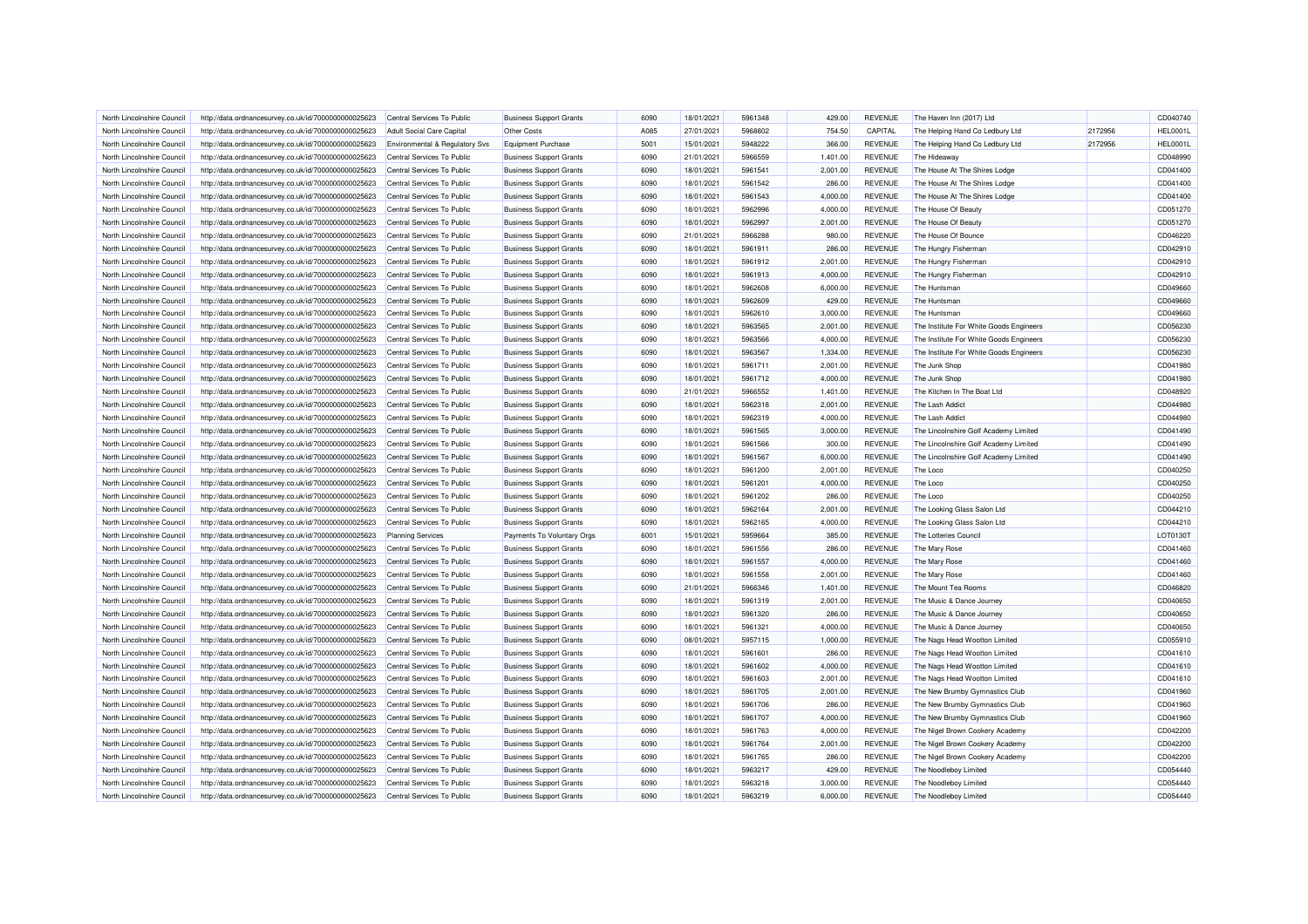| North Lincolnshire Council | http://data.ordnancesurvey.co.uk/id/7000000000025623 | Central Services To Public       | <b>Business Support Grants</b> | 6090 | 18/01/2021 | 5961348 | 429.00   | <b>REVENUE</b> | The Haven Inn (2017) Ltd                |         | CD040740        |
|----------------------------|------------------------------------------------------|----------------------------------|--------------------------------|------|------------|---------|----------|----------------|-----------------------------------------|---------|-----------------|
| North Lincolnshire Council | http://data.ordnancesurvey.co.uk/id/7000000000025623 | <b>Adult Social Care Capital</b> | Other Costs                    | A085 | 27/01/2021 | 5968802 | 754.50   | CAPITAL        | The Helping Hand Co Ledbury Ltd         | 2172956 | <b>HEL0001L</b> |
| North Lincolnshire Council | http://data.ordnancesurvey.co.uk/id/7000000000025623 | Environmental & Regulatory Svs   | Equipment Purchase             | 5001 | 15/01/2021 | 5948222 | 366.00   | <b>REVENUE</b> | The Helping Hand Co Ledbury Ltd         | 2172956 | <b>HEL0001L</b> |
| North Lincolnshire Council | http://data.ordnancesurvey.co.uk/id/7000000000025623 | Central Services To Public       | <b>Business Support Grants</b> | 6090 | 21/01/2021 | 5966559 | 1,401.00 | <b>REVENUE</b> | The Hideaway                            |         | CD048990        |
| North Lincolnshire Council | http://data.ordnancesurvey.co.uk/id/7000000000025623 | Central Services To Public       | <b>Business Support Grants</b> | 6090 | 18/01/2021 | 5961541 | 2,001.00 | <b>REVENUE</b> | The House At The Shires Lodge           |         | CD041400        |
| North Lincolnshire Council | http://data.ordnancesurvey.co.uk/id/7000000000025623 | Central Services To Public       | <b>Business Support Grants</b> | 6090 | 18/01/2021 | 5961542 | 286.00   | <b>REVENUE</b> | The House At The Shires Lodge           |         | CD041400        |
| North Lincolnshire Council | http://data.ordnancesurvey.co.uk/id/7000000000025623 | Central Services To Public       | <b>Business Support Grants</b> | 6090 | 18/01/2021 | 5961543 | 4,000.00 | <b>REVENUE</b> | The House At The Shires Lodge           |         | CD041400        |
| North Lincolnshire Council | http://data.ordnancesurvey.co.uk/id/7000000000025623 | Central Services To Public       | <b>Business Support Grants</b> | 6090 | 18/01/2021 | 5962996 | 4,000.00 | <b>REVENUE</b> | The House Of Beauty                     |         | CD051270        |
| North Lincolnshire Council | http://data.ordnancesurvey.co.uk/id/7000000000025623 | Central Services To Public       | <b>Business Support Grants</b> | 6090 | 18/01/2021 | 5962997 | 2,001.00 | <b>REVENUE</b> | The House Of Beauty                     |         | CD051270        |
| North Lincolnshire Council | http://data.ordnancesurvey.co.uk/id/7000000000025623 | Central Services To Public       | <b>Business Support Grants</b> | 6090 | 21/01/2021 | 5966288 | 980.00   | <b>REVENUE</b> | The House Of Bounce                     |         | CD046220        |
| North Lincolnshire Council | http://data.ordnancesurvey.co.uk/id/7000000000025623 | Central Services To Public       | <b>Business Support Grants</b> | 6090 | 18/01/2021 | 5961911 | 286.00   | <b>REVENUE</b> | The Hungry Fisherman                    |         | CD042910        |
| North Lincolnshire Council | http://data.ordnancesurvey.co.uk/id/7000000000025623 | Central Services To Public       | <b>Business Support Grants</b> | 6090 | 18/01/2021 | 5961912 | 2,001.00 | <b>REVENUE</b> | The Hungry Fisherman                    |         | CD042910        |
| North Lincolnshire Council | http://data.ordnancesurvey.co.uk/id/7000000000025623 | Central Services To Public       | <b>Business Support Grants</b> | 6090 | 18/01/2021 | 5961913 | 4,000.00 | <b>REVENUE</b> | The Hungry Fisherman                    |         | CD042910        |
| North Lincolnshire Council | http://data.ordnancesurvey.co.uk/id/7000000000025623 | Central Services To Public       | <b>Business Support Grants</b> | 6090 | 18/01/2021 | 5962608 | 6,000.00 | <b>REVENUE</b> | The Huntsman                            |         | CD049660        |
| North Lincolnshire Council | http://data.ordnancesurvey.co.uk/id/7000000000025623 | Central Services To Public       | <b>Business Support Grants</b> | 6090 | 18/01/2021 | 5962609 | 429.00   | <b>REVENUE</b> | The Huntsman                            |         | CD049660        |
| North Lincolnshire Council | http://data.ordnancesurvey.co.uk/id/7000000000025623 | Central Services To Public       | <b>Business Support Grants</b> | 6090 | 18/01/2021 | 5962610 | 3,000.00 | <b>REVENUE</b> | The Huntsman                            |         | CD049660        |
| North Lincolnshire Council |                                                      | Central Services To Public       |                                | 6090 | 18/01/2021 | 5963565 | 2,001.00 | <b>REVENUE</b> | The Institute For White Goods Engineers |         | CD056230        |
| North Lincolnshire Council | http://data.ordnancesurvey.co.uk/id/7000000000025623 |                                  | <b>Business Support Grants</b> | 6090 | 18/01/2021 | 5963566 | 4,000.00 | <b>REVENUE</b> | The Institute For White Goods Engineers |         | CD056230        |
|                            | http://data.ordnancesurvey.co.uk/id/7000000000025623 | Central Services To Public       | <b>Business Support Grants</b> |      |            |         |          |                |                                         |         |                 |
| North Lincolnshire Council | http://data.ordnancesurvey.co.uk/id/7000000000025623 | Central Services To Public       | <b>Business Support Grants</b> | 6090 | 18/01/2021 | 5963567 | 1,334.00 | <b>REVENUE</b> | The Institute For White Goods Engineers |         | CD056230        |
| North Lincolnshire Council | http://data.ordnancesurvey.co.uk/id/7000000000025623 | Central Services To Public       | <b>Business Support Grants</b> | 6090 | 18/01/2021 | 5961711 | 2,001.00 | <b>REVENUE</b> | The Junk Shop                           |         | CD041980        |
| North Lincolnshire Council | http://data.ordnancesurvey.co.uk/id/7000000000025623 | Central Services To Public       | <b>Business Support Grants</b> | 6090 | 18/01/2021 | 5961712 | 4,000.00 | <b>REVENUE</b> | The Junk Shop                           |         | CD041980        |
| North Lincolnshire Council | http://data.ordnancesurvey.co.uk/id/7000000000025623 | Central Services To Public       | <b>Business Support Grants</b> | 6090 | 21/01/2021 | 5966552 | 1,401.00 | <b>REVENUE</b> | The Kitchen In The Boat Ltd             |         | CD048920        |
| North Lincolnshire Council | http://data.ordnancesurvey.co.uk/id/7000000000025623 | Central Services To Public       | <b>Business Support Grants</b> | 6090 | 18/01/2021 | 5962318 | 2.001.00 | <b>REVENUE</b> | The Lash Addict                         |         | CD044980        |
| North Lincolnshire Council | http://data.ordnancesurvey.co.uk/id/7000000000025623 | Central Services To Public       | <b>Business Support Grants</b> | 6090 | 18/01/2021 | 5962319 | 4,000.00 | <b>REVENUE</b> | The Lash Addict                         |         | CD044980        |
| North Lincolnshire Council | http://data.ordnancesurvey.co.uk/id/7000000000025623 | Central Services To Public       | <b>Business Support Grants</b> | 6090 | 18/01/2021 | 5961565 | 3,000.00 | <b>REVENUE</b> | The Lincolnshire Golf Academy Limited   |         | CD041490        |
| North Lincolnshire Council | http://data.ordnancesurvey.co.uk/id/7000000000025623 | Central Services To Public       | <b>Business Support Grants</b> | 6090 | 18/01/2021 | 5961566 | 300.00   | <b>REVENUE</b> | The Lincolnshire Golf Academy Limited   |         | CD041490        |
| North Lincolnshire Council | http://data.ordnancesurvey.co.uk/id/7000000000025623 | Central Services To Public       | <b>Business Support Grants</b> | 6090 | 18/01/2021 | 5961567 | 6,000.00 | <b>REVENUE</b> | The Lincolnshire Golf Academy Limited   |         | CD041490        |
| North Lincolnshire Council | http://data.ordnancesurvey.co.uk/id/7000000000025623 | Central Services To Public       | <b>Business Support Grants</b> | 6090 | 18/01/2021 | 5961200 | 2,001.00 | <b>REVENUE</b> | The Loco                                |         | CD040250        |
| North Lincolnshire Council | http://data.ordnancesurvey.co.uk/id/7000000000025623 | Central Services To Public       | <b>Business Support Grants</b> | 6090 | 18/01/2021 | 5961201 | 4,000.00 | <b>REVENUE</b> | The Loco                                |         | CD040250        |
| North Lincolnshire Council | http://data.ordnancesurvey.co.uk/id/7000000000025623 | Central Services To Public       | <b>Business Support Grants</b> | 6090 | 18/01/2021 | 5961202 | 286.00   | <b>REVENUE</b> | The Loco                                |         | CD040250        |
| North Lincolnshire Council | http://data.ordnancesurvey.co.uk/id/7000000000025623 | Central Services To Public       | <b>Business Support Grants</b> | 6090 | 18/01/2021 | 5962164 | 2,001.00 | <b>REVENUE</b> | The Looking Glass Salon Ltd             |         | CD044210        |
| North Lincolnshire Council | http://data.ordnancesurvey.co.uk/id/7000000000025623 | Central Services To Public       | <b>Business Support Grants</b> | 6090 | 18/01/2021 | 5962165 | 4,000.00 | <b>REVENUE</b> | The Looking Glass Salon Ltd             |         | CD044210        |
| North Lincolnshire Council | http://data.ordnancesurvey.co.uk/id/7000000000025623 | <b>Planning Services</b>         | Payments To Voluntary Orgs     | 6001 | 15/01/2021 | 5959664 | 385.00   | <b>REVENUE</b> | The Lotteries Council                   |         | LOT0130T        |
| North Lincolnshire Council | http://data.ordnancesurvey.co.uk/id/7000000000025623 | Central Services To Public       | <b>Business Support Grants</b> | 6090 | 18/01/2021 | 5961556 | 286.00   | <b>REVENUE</b> | The Mary Rose                           |         | CD041460        |
| North Lincolnshire Council | http://data.ordnancesurvey.co.uk/id/7000000000025623 | Central Services To Public       | <b>Business Support Grants</b> | 6090 | 18/01/2021 | 5961557 | 4,000.00 | <b>REVENUE</b> | The Mary Rose                           |         | CD041460        |
| North Lincolnshire Council | http://data.ordnancesurvey.co.uk/id/7000000000025623 | Central Services To Public       | <b>Business Support Grants</b> | 6090 | 18/01/2021 | 5961558 | 2,001.00 | <b>REVENUE</b> | The Mary Rose                           |         | CD041460        |
| North Lincolnshire Council | http://data.ordnancesurvey.co.uk/id/7000000000025623 | Central Services To Public       | <b>Business Support Grants</b> | 6090 | 21/01/2021 | 5966346 | 1,401.00 | <b>REVENUE</b> | The Mount Tea Rooms                     |         | CD046820        |
| North Lincolnshire Council | http://data.ordnancesurvey.co.uk/id/7000000000025623 | Central Services To Public       | <b>Business Support Grants</b> | 6090 | 18/01/2021 | 5961319 | 2,001.00 | <b>REVENUE</b> | The Music & Dance Journey               |         | CD040650        |
| North Lincolnshire Council | http://data.ordnancesurvey.co.uk/id/7000000000025623 | Central Services To Public       | <b>Business Support Grants</b> | 6090 | 18/01/2021 | 5961320 | 286.00   | <b>REVENUE</b> | The Music & Dance Journey               |         | CD040650        |
| North Lincolnshire Council | http://data.ordnancesurvey.co.uk/id/7000000000025623 | Central Services To Public       | <b>Business Support Grants</b> | 6090 | 18/01/2021 | 5961321 | 4,000.00 | <b>REVENUE</b> | The Music & Dance Journey               |         | CD040650        |
| North Lincolnshire Council | http://data.ordnancesurvey.co.uk/id/7000000000025623 | Central Services To Public       | <b>Business Support Grants</b> | 6090 | 08/01/2021 | 5957115 | 1,000.00 | <b>REVENUE</b> | The Nags Head Wootton Limited           |         | CD055910        |
| North Lincolnshire Council | http://data.ordnancesurvey.co.uk/id/7000000000025623 | Central Services To Public       | <b>Business Support Grants</b> | 6090 | 18/01/2021 | 5961601 | 286.00   | <b>REVENUE</b> | The Nags Head Wootton Limited           |         | CD041610        |
| North Lincolnshire Council | http://data.ordnancesurvey.co.uk/id/7000000000025623 | Central Services To Public       | <b>Business Support Grants</b> | 6090 | 18/01/2021 | 5961602 | 4,000.00 | <b>REVENUE</b> | The Nags Head Wootton Limited           |         | CD041610        |
| North Lincolnshire Council | http://data.ordnancesurvey.co.uk/id/7000000000025623 | Central Services To Public       | <b>Business Support Grants</b> | 6090 | 18/01/2021 | 5961603 | 2,001.00 | <b>REVENUE</b> | The Nags Head Wootton Limited           |         | CD041610        |
| North Lincolnshire Council | http://data.ordnancesurvey.co.uk/id/7000000000025623 | Central Services To Public       | <b>Business Support Grants</b> | 6090 | 18/01/2021 | 5961705 | 2,001.00 | <b>REVENUE</b> | The New Brumby Gymnastics Club          |         | CD041960        |
| North Lincolnshire Council | http://data.ordnancesurvey.co.uk/id/7000000000025623 | Central Services To Public       | <b>Business Support Grants</b> | 6090 | 18/01/2021 | 5961706 | 286.00   | <b>REVENUE</b> | The New Brumby Gymnastics Club          |         | CD041960        |
| North Lincolnshire Council | http://data.ordnancesurvey.co.uk/id/7000000000025623 | Central Services To Public       | <b>Business Support Grants</b> | 6090 | 18/01/2021 | 5961707 | 4,000.00 | <b>REVENUE</b> | The New Brumby Gymnastics Club          |         | CD041960        |
| North Lincolnshire Council | http://data.ordnancesurvey.co.uk/id/7000000000025623 | Central Services To Public       | <b>Business Support Grants</b> | 6090 | 18/01/2021 | 5961763 | 4,000.00 | <b>REVENUE</b> | The Nigel Brown Cookery Academy         |         | CD042200        |
| North Lincolnshire Council | http://data.ordnancesurvey.co.uk/id/7000000000025623 | Central Services To Public       | <b>Business Support Grants</b> | 6090 | 18/01/2021 | 5961764 | 2,001.00 | <b>REVENUE</b> | The Nigel Brown Cookery Academy         |         | CD042200        |
| North Lincolnshire Council | http://data.ordnancesurvey.co.uk/id/7000000000025623 | Central Services To Public       | <b>Business Support Grants</b> | 6090 | 18/01/2021 | 5961765 | 286.00   | <b>REVENUE</b> | The Nigel Brown Cookery Academy         |         | CD042200        |
| North Lincolnshire Council | http://data.ordnancesurvey.co.uk/id/7000000000025623 | Central Services To Public       | <b>Business Support Grants</b> | 6090 | 18/01/2021 | 5963217 | 429.00   | <b>REVENUE</b> | The Noodleboy Limited                   |         | CD054440        |
| North Lincolnshire Council | http://data.ordnancesurvey.co.uk/id/7000000000025623 | Central Services To Public       | <b>Business Support Grants</b> | 6090 | 18/01/2021 | 5963218 | 3,000.00 | <b>REVENUE</b> | The Noodleboy Limited                   |         | CD054440        |
| North Lincolnshire Council | http://data.ordnancesurvey.co.uk/id/7000000000025623 | Central Services To Public       | <b>Business Support Grants</b> | 6090 | 18/01/2021 | 5963219 | 6,000.00 | <b>REVENUE</b> | The Noodleboy Limited                   |         | CD054440        |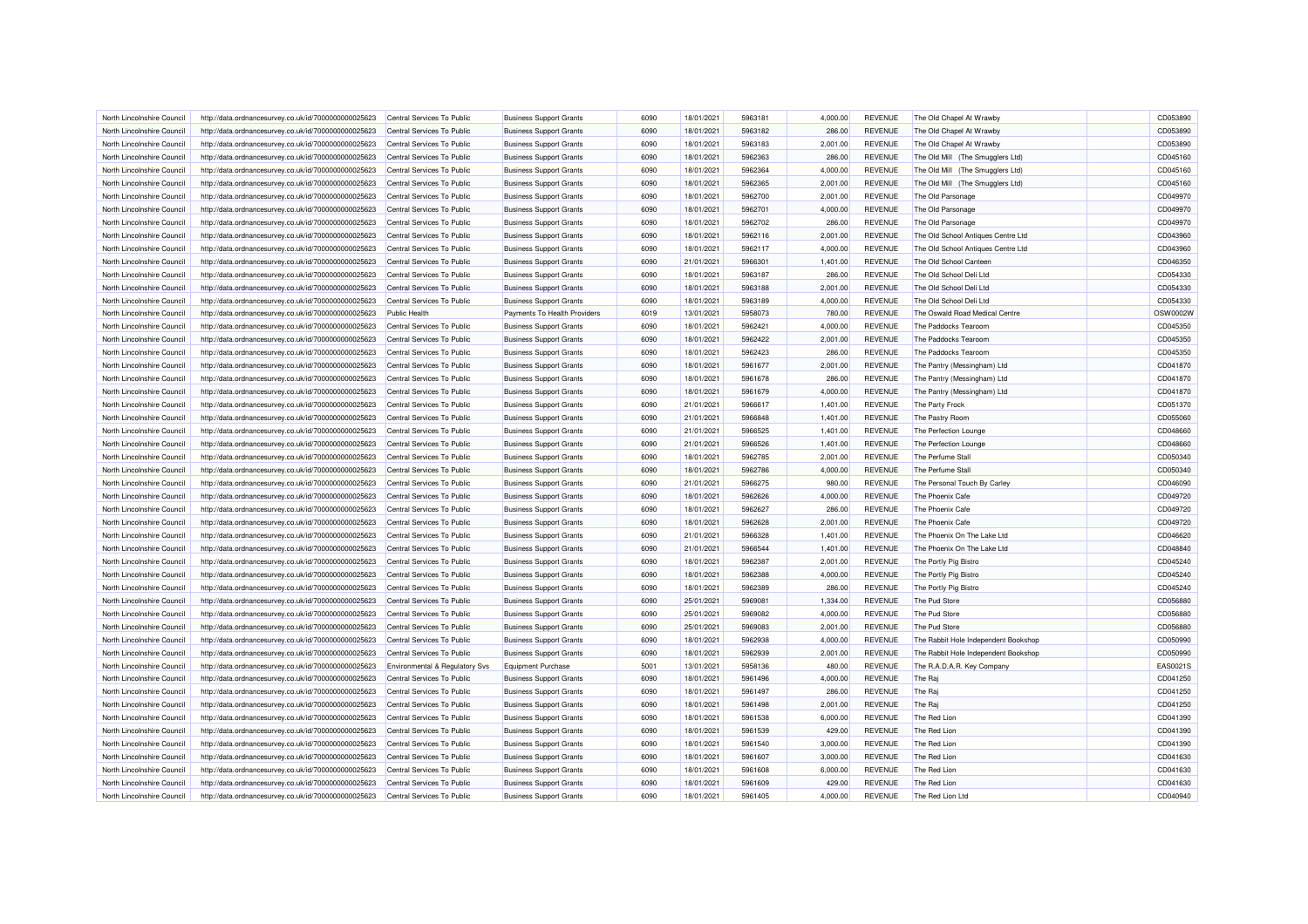| North Lincolnshire Council | http://data.ordnancesurvey.co.uk/id/7000000000025623 | Central Services To Public     | <b>Business Support Grants</b> | 6090         | 18/01/2021 | 5963181 | 4,000.00           | <b>REVENUE</b>                   | The Old Chapel At Wrawby                                   | CD053890             |
|----------------------------|------------------------------------------------------|--------------------------------|--------------------------------|--------------|------------|---------|--------------------|----------------------------------|------------------------------------------------------------|----------------------|
| North Lincolnshire Council | http://data.ordnancesurvey.co.uk/id/7000000000025623 | Central Services To Public     | <b>Business Support Grants</b> | 6090         | 18/01/2021 | 5963182 | 286.00             | <b>REVENUE</b>                   | The Old Chapel At Wrawby                                   | CD053890             |
| North Lincolnshire Council | http://data.ordnancesurvey.co.uk/id/7000000000025623 | Central Services To Public     | <b>Business Support Grants</b> | 6090         | 18/01/2021 | 5963183 | 2,001.00           | <b>REVENUE</b>                   | The Old Chapel At Wrawby                                   | CD053890             |
| North Lincolnshire Council | http://data.ordnancesurvey.co.uk/id/7000000000025623 | Central Services To Public     | <b>Business Support Grants</b> | 6090         | 18/01/2021 | 5962363 | 286.00             | <b>REVENUE</b>                   | The Old Mill (The Smugglers Ltd)                           | CD045160             |
| North Lincolnshire Council | http://data.ordnancesurvey.co.uk/id/7000000000025623 | Central Services To Public     | <b>Business Support Grants</b> | 6090         | 18/01/2021 | 5962364 | 4,000.00           | <b>REVENUE</b>                   | The Old Mill (The Smugglers Ltd)                           | CD045160             |
| North Lincolnshire Council | http://data.ordnancesurvey.co.uk/id/7000000000025623 | Central Services To Public     | <b>Business Support Grants</b> | 6090         | 18/01/2021 | 5962365 | 2,001.00           | <b>REVENUE</b>                   | The Old Mill (The Smugglers Ltd)                           | CD045160             |
| North Lincolnshire Council | http://data.ordnancesurvey.co.uk/id/7000000000025623 | Central Services To Public     | <b>Business Support Grants</b> | 6090         | 18/01/2021 | 5962700 | 2,001.00           | <b>REVENUE</b>                   | The Old Parsonage                                          | CD049970             |
| North Lincolnshire Council | http://data.ordnancesurvey.co.uk/id/7000000000025623 | Central Services To Public     | <b>Business Support Grants</b> | 6090         | 18/01/2021 | 5962701 | 4,000.00           | <b>REVENUE</b>                   | The Old Parsonage                                          | CD049970             |
| North Lincolnshire Council | http://data.ordnancesurvey.co.uk/id/7000000000025623 | Central Services To Public     | <b>Business Support Grants</b> | 6090         | 18/01/2021 | 5962702 | 286.00             | <b>REVENUE</b>                   | The Old Parsonage                                          | CD049970             |
| North Lincolnshire Council | http://data.ordnancesurvey.co.uk/id/7000000000025623 | Central Services To Public     | <b>Business Support Grants</b> | 6090         | 18/01/2021 | 5962116 | 2,001.00           | <b>REVENUE</b>                   | The Old School Antiques Centre Ltd                         | CD043960             |
| North Lincolnshire Council | http://data.ordnancesurvey.co.uk/id/7000000000025623 | Central Services To Public     | <b>Business Support Grants</b> | 6090         | 18/01/2021 | 5962117 | 4,000.00           | <b>REVENUE</b>                   | The Old School Antiques Centre Ltd                         | CD043960             |
| North Lincolnshire Council | http://data.ordnancesurvey.co.uk/id/7000000000025623 | Central Services To Public     | <b>Business Support Grants</b> | 6090         | 21/01/2021 | 5966301 | 1,401.00           | <b>REVENUE</b>                   | The Old School Canteen                                     | CD046350             |
| North Lincolnshire Council | http://data.ordnancesurvey.co.uk/id/7000000000025623 | Central Services To Public     | <b>Business Support Grants</b> | 6090         | 18/01/2021 | 5963187 | 286.00             | <b>REVENUE</b>                   | The Old School Deli Ltd                                    | CD054330             |
| North Lincolnshire Council | http://data.ordnancesurvey.co.uk/id/7000000000025623 | Central Services To Public     | <b>Business Support Grants</b> | 6090         | 18/01/2021 | 5963188 | 2,001.00           | <b>REVENUE</b>                   | The Old School Deli Ltd                                    | CD054330             |
| North Lincolnshire Council | http://data.ordnancesurvey.co.uk/id/7000000000025623 | Central Services To Public     | <b>Business Support Grants</b> | 6090         | 18/01/2021 | 5963189 | 4,000.00           | <b>REVENUE</b>                   | The Old School Deli Ltd                                    | CD054330             |
| North Lincolnshire Council | http://data.ordnancesurvey.co.uk/id/7000000000025623 | <b>Public Health</b>           | Payments To Health Providers   | 6019         | 13/01/2021 | 5958073 | 780.00             | <b>REVENUE</b>                   | The Oswald Road Medical Centre                             | OSW0002W             |
| North Lincolnshire Council | http://data.ordnancesurvey.co.uk/id/7000000000025623 | Central Services To Public     | <b>Business Support Grants</b> | 6090         | 18/01/2021 | 5962421 | 4,000.00           | <b>REVENUE</b>                   | The Paddocks Tearoom                                       | CD045350             |
| North Lincolnshire Council | http://data.ordnancesurvey.co.uk/id/7000000000025623 | Central Services To Public     | <b>Business Support Grants</b> | 6090         | 18/01/2021 | 5962422 | 2,001.00           | <b>REVENUE</b>                   | The Paddocks Tearoom                                       | CD045350             |
| North Lincolnshire Council |                                                      | Central Services To Public     |                                | 6090         |            | 5962423 |                    | <b>REVENUE</b>                   | The Paddocks Tearoom                                       | CD045350             |
|                            | http://data.ordnancesurvey.co.uk/id/7000000000025623 |                                | <b>Business Support Grants</b> |              | 18/01/2021 |         | 286.00             |                                  |                                                            |                      |
| North Lincolnshire Council | http://data.ordnancesurvey.co.uk/id/7000000000025623 | Central Services To Public     | <b>Business Support Grants</b> | 6090<br>6090 | 18/01/2021 | 5961677 | 2,001.00<br>286.00 | <b>REVENUE</b><br><b>REVENUE</b> | The Pantry (Messingham) Ltd<br>The Pantry (Messingham) Ltd | CD041870<br>CD041870 |
| North Lincolnshire Council | http://data.ordnancesurvey.co.uk/id/7000000000025623 | Central Services To Public     | <b>Business Support Grants</b> |              | 18/01/2021 | 5961678 |                    |                                  |                                                            |                      |
| North Lincolnshire Council | http://data.ordnancesurvey.co.uk/id/7000000000025623 | Central Services To Public     | <b>Business Support Grants</b> | 6090         | 18/01/2021 | 5961679 | 4,000.00           | <b>REVENUE</b>                   | The Pantry (Messingham) Ltd                                | CD041870             |
| North Lincolnshire Council | http://data.ordnancesurvey.co.uk/id/7000000000025623 | Central Services To Public     | <b>Business Support Grants</b> | 6090         | 21/01/2021 | 5966617 | 1,401.00           | <b>REVENUE</b>                   | The Party Frock                                            | CD051370             |
| North Lincolnshire Council | http://data.ordnancesurvey.co.uk/id/7000000000025623 | Central Services To Public     | <b>Business Support Grants</b> | 6090         | 21/01/2021 | 5966848 | 1,401.00           | <b>REVENUE</b>                   | The Pastry Room                                            | CD055060             |
| North Lincolnshire Council | http://data.ordnancesurvey.co.uk/id/7000000000025623 | Central Services To Public     | <b>Business Support Grants</b> | 6090         | 21/01/2021 | 5966525 | 1,401.00           | <b>REVENUE</b>                   | The Perfection Lounge                                      | CD048660             |
| North Lincolnshire Council | http://data.ordnancesurvey.co.uk/id/7000000000025623 | Central Services To Public     | <b>Business Support Grants</b> | 6090         | 21/01/2021 | 5966526 | 1,401.00           | <b>REVENUE</b>                   | The Perfection Lounge                                      | CD048660             |
| North Lincolnshire Council | http://data.ordnancesurvey.co.uk/id/7000000000025623 | Central Services To Public     | <b>Business Support Grants</b> | 6090         | 18/01/2021 | 5962785 | 2,001.00           | <b>REVENUE</b>                   | The Perfume Stall                                          | CD050340             |
| North Lincolnshire Council | http://data.ordnancesurvey.co.uk/id/7000000000025623 | Central Services To Public     | <b>Business Support Grants</b> | 6090         | 18/01/2021 | 5962786 | 4.000.00           | <b>REVENUE</b>                   | The Perfume Stall                                          | CD050340             |
| North Lincolnshire Council | http://data.ordnancesurvey.co.uk/id/7000000000025623 | Central Services To Public     | <b>Business Support Grants</b> | 6090         | 21/01/2021 | 5966275 | 980.00             | <b>REVENUE</b>                   | The Personal Touch By Carley                               | CD046090             |
| North Lincolnshire Council | http://data.ordnancesurvey.co.uk/id/7000000000025623 | Central Services To Public     | <b>Business Support Grants</b> | 6090         | 18/01/2021 | 5962626 | 4,000.00           | <b>REVENUE</b>                   | The Phoenix Cafe                                           | CD049720             |
| North Lincolnshire Council | http://data.ordnancesurvey.co.uk/id/7000000000025623 | Central Services To Public     | <b>Business Support Grants</b> | 6090         | 18/01/2021 | 5962627 | 286.00             | <b>REVENUE</b>                   | The Phoenix Cafe                                           | CD049720             |
| North Lincolnshire Council | http://data.ordnancesurvey.co.uk/id/7000000000025623 | Central Services To Public     | <b>Business Support Grants</b> | 6090         | 18/01/2021 | 5962628 | 2,001.00           | <b>REVENUE</b>                   | The Phoenix Cafe                                           | CD049720             |
| North Lincolnshire Council | http://data.ordnancesurvey.co.uk/id/7000000000025623 | Central Services To Public     | <b>Business Support Grants</b> | 6090         | 21/01/2021 | 5966328 | 1,401.00           | <b>REVENUE</b>                   | The Phoenix On The Lake Ltd                                | CD046620             |
| North Lincolnshire Council | http://data.ordnancesurvey.co.uk/id/7000000000025623 | Central Services To Public     | <b>Business Support Grants</b> | 6090         | 21/01/2021 | 5966544 | 1,401.00           | <b>REVENUE</b>                   | The Phoenix On The Lake Ltd                                | CD048840             |
| North Lincolnshire Council | http://data.ordnancesurvey.co.uk/id/7000000000025623 | Central Services To Public     | <b>Business Support Grants</b> | 6090         | 18/01/2021 | 5962387 | 2,001.00           | <b>REVENUE</b>                   | The Portly Pig Bistro                                      | CD045240             |
| North Lincolnshire Council | http://data.ordnancesurvey.co.uk/id/7000000000025623 | Central Services To Public     | <b>Business Support Grants</b> | 6090         | 18/01/2021 | 5962388 | 4,000.00           | <b>REVENUE</b>                   | The Portly Pig Bistro                                      | CD045240             |
| North Lincolnshire Council | http://data.ordnancesurvey.co.uk/id/7000000000025623 | Central Services To Public     | <b>Business Support Grants</b> | 6090         | 18/01/2021 | 5962389 | 286.00             | <b>REVENUE</b>                   | The Portly Pig Bistro                                      | CD045240             |
| North Lincolnshire Council | http://data.ordnancesurvey.co.uk/id/7000000000025623 | Central Services To Public     | <b>Business Support Grants</b> | 6090         | 25/01/2021 | 5969081 | 1,334.00           | <b>REVENUE</b>                   | The Pud Store                                              | CD056880             |
| North Lincolnshire Council | http://data.ordnancesurvey.co.uk/id/7000000000025623 | Central Services To Public     | <b>Business Support Grants</b> | 6090         | 25/01/2021 | 5969082 | 4,000.00           | <b>REVENUE</b>                   | The Pud Store                                              | CD056880             |
| North Lincolnshire Council | http://data.ordnancesurvey.co.uk/id/7000000000025623 | Central Services To Public     | <b>Business Support Grants</b> | 6090         | 25/01/2021 | 5969083 | 2,001.00           | <b>REVENUE</b>                   | The Pud Store                                              | CD056880             |
| North Lincolnshire Council | http://data.ordnancesurvey.co.uk/id/7000000000025623 | Central Services To Public     | <b>Business Support Grants</b> | 6090         | 18/01/2021 | 5962938 | 4,000.00           | <b>REVENUE</b>                   | The Rabbit Hole Independent Bookshop                       | CD050990             |
| North Lincolnshire Council | http://data.ordnancesurvey.co.uk/id/7000000000025623 | Central Services To Public     | <b>Business Support Grants</b> | 6090         | 18/01/2021 | 5962939 | 2.001.00           | <b>REVENUE</b>                   | The Rabbit Hole Independent Bookshop                       | CD050990             |
| North Lincolnshire Council | http://data.ordnancesurvey.co.uk/id/7000000000025623 | Environmental & Regulatory Svs | Equipment Purchase             | 5001         | 13/01/2021 | 5958136 | 480.00             | <b>REVENUE</b>                   | The R.A.D.A.R. Key Company                                 | EAS0021S             |
| North Lincolnshire Council | http://data.ordnancesurvey.co.uk/id/7000000000025623 | Central Services To Public     | <b>Business Support Grants</b> | 6090         | 18/01/2021 | 5961496 | 4,000.00           | <b>REVENUE</b>                   | The Raj                                                    | CD041250             |
| North Lincolnshire Council | http://data.ordnancesurvey.co.uk/id/7000000000025623 | Central Services To Public     | <b>Business Support Grants</b> | 6090         | 18/01/2021 | 5961497 | 286.00             | <b>REVENUE</b>                   | The Raj                                                    | CD041250             |
| North Lincolnshire Council | http://data.ordnancesurvey.co.uk/id/7000000000025623 | Central Services To Public     | <b>Business Support Grants</b> | 6090         | 18/01/2021 | 5961498 | 2,001.00           | <b>REVENUE</b>                   | The Raj                                                    | CD041250             |
| North Lincolnshire Council | http://data.ordnancesurvey.co.uk/id/7000000000025623 | Central Services To Public     | <b>Business Support Grants</b> | 6090         | 18/01/2021 | 5961538 | 6,000.00           | <b>REVENUE</b>                   | The Red Lion                                               | CD041390             |
| North Lincolnshire Council | http://data.ordnancesurvey.co.uk/id/7000000000025623 | Central Services To Public     | <b>Business Support Grants</b> | 6090         | 18/01/2021 | 5961539 | 429.00             | <b>REVENUE</b>                   | The Red Lion                                               | CD041390             |
| North Lincolnshire Council |                                                      | Central Services To Public     | <b>Business Support Grants</b> | 6090         | 18/01/2021 | 5961540 | 3,000.00           | <b>REVENUE</b>                   | The Red Lion                                               | CD041390             |
| North Lincolnshire Council | http://data.ordnancesurvey.co.uk/id/7000000000025623 | Central Services To Public     | <b>Business Support Grants</b> | 6090         | 18/01/2021 | 5961607 | 3,000.00           | <b>REVENUE</b>                   | The Red Lion                                               | CD041630             |
|                            | http://data.ordnancesurvey.co.uk/id/7000000000025623 |                                |                                | 6090         |            |         |                    |                                  |                                                            |                      |
| North Lincolnshire Council | http://data.ordnancesurvey.co.uk/id/7000000000025623 | Central Services To Public     | <b>Business Support Grants</b> |              | 18/01/2021 | 5961608 | 6,000.00           | <b>REVENUE</b>                   | The Red Lion                                               | CD041630             |
| North Lincolnshire Council | http://data.ordnancesurvey.co.uk/id/7000000000025623 | Central Services To Public     | <b>Business Support Grants</b> | 6090         | 18/01/2021 | 5961609 | 429.00             | <b>REVENUE</b>                   | The Red Lion                                               | CD041630             |
| North Lincolnshire Council | http://data.ordnancesurvey.co.uk/id/7000000000025623 | Central Services To Public     | <b>Business Support Grants</b> | 6090         | 18/01/2021 | 5961405 | 4,000.00           | <b>REVENUE</b>                   | The Red Lion Ltd                                           | CD040940             |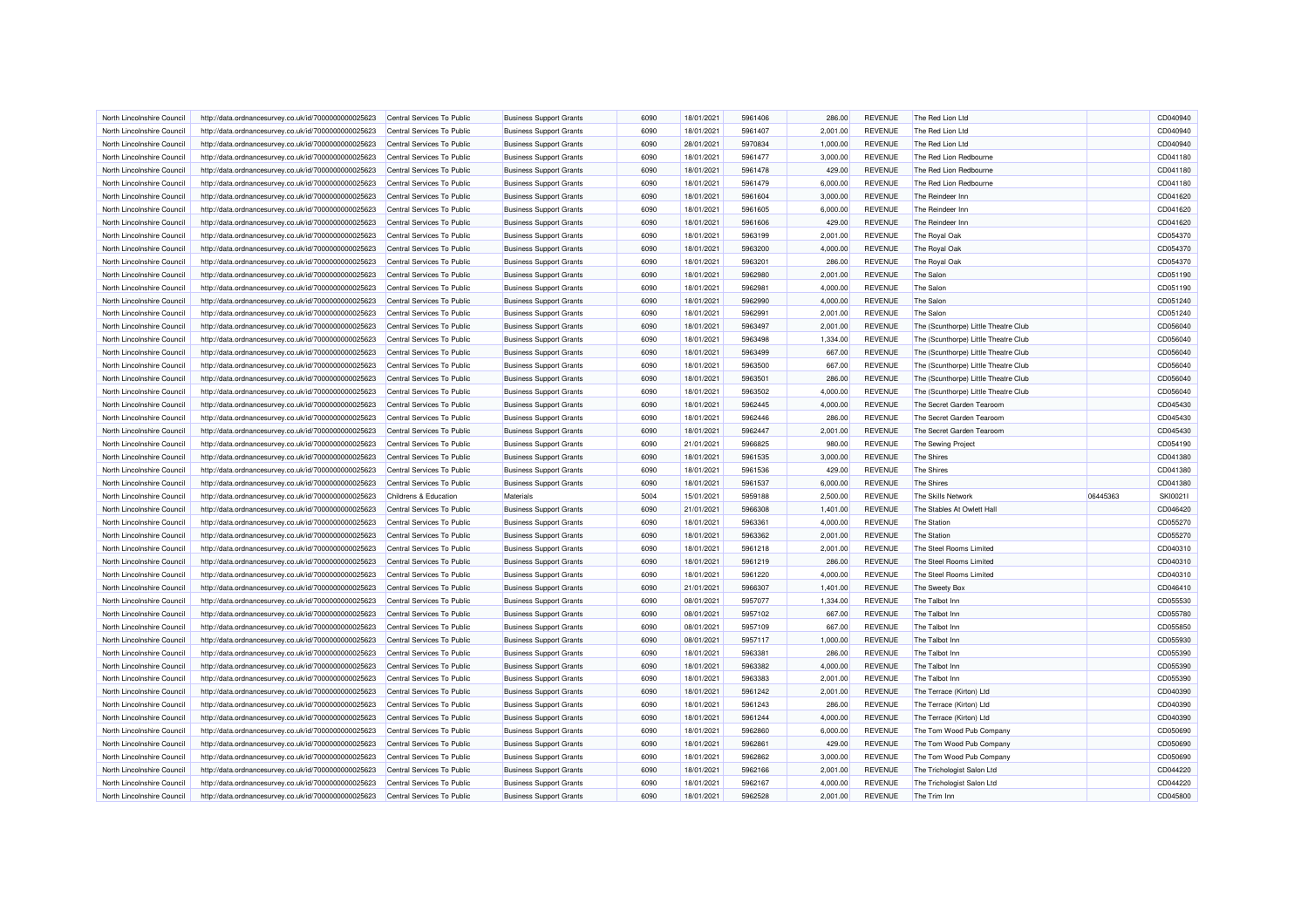| North Lincolnshire Council                               | http://data.ordnancesurvey.co.uk/id/7000000000025623 | Central Services To Public | <b>Business Support Grants</b> | 6090         | 18/01/2021 | 5961406            | 286.00           | <b>REVENUE</b>                   | The Red Lion Ltd                     |          | CD040940             |
|----------------------------------------------------------|------------------------------------------------------|----------------------------|--------------------------------|--------------|------------|--------------------|------------------|----------------------------------|--------------------------------------|----------|----------------------|
| North Lincolnshire Council                               | http://data.ordnancesurvey.co.uk/id/7000000000025623 | Central Services To Public | <b>Business Support Grants</b> | 6090         | 18/01/2021 | 5961407            | 2,001.00         | <b>REVENUE</b>                   | The Red Lion Ltd                     |          | CD040940             |
| North Lincolnshire Council                               | http://data.ordnancesurvey.co.uk/id/7000000000025623 | Central Services To Public | <b>Business Support Grants</b> | 6090         | 28/01/2021 | 5970834            | 1,000.00         | <b>REVENUE</b>                   | The Red Lion Ltd                     |          | CD040940             |
| North Lincolnshire Council                               | http://data.ordnancesurvey.co.uk/id/7000000000025623 | Central Services To Public | <b>Business Support Grants</b> | 6090         | 18/01/2021 | 5961477            | 3,000.00         | <b>REVENUE</b>                   | The Red Lion Redbourne               |          | CD041180             |
| North Lincolnshire Council                               | http://data.ordnancesurvey.co.uk/id/7000000000025623 | Central Services To Public | <b>Business Support Grants</b> | 6090         | 18/01/2021 | 5961478            | 429.00           | <b>REVENUE</b>                   | The Red Lion Redbourne               |          | CD041180             |
| North Lincolnshire Council                               | http://data.ordnancesurvey.co.uk/id/7000000000025623 | Central Services To Public | <b>Business Support Grants</b> | 6090         | 18/01/2021 | 5961479            | 6,000.00         | <b>REVENUE</b>                   | The Red Lion Redbourne               |          | CD041180             |
| North Lincolnshire Council                               | http://data.ordnancesurvey.co.uk/id/7000000000025623 | Central Services To Public | <b>Business Support Grants</b> | 6090         | 18/01/2021 | 5961604            | 3,000.00         | <b>REVENUE</b>                   | The Reindeer Inn                     |          | CD041620             |
| North Lincolnshire Council                               | http://data.ordnancesurvey.co.uk/id/7000000000025623 | Central Services To Public | <b>Business Support Grants</b> | 6090         | 18/01/2021 | 5961605            | 6,000.00         | <b>REVENUE</b>                   | The Reindeer Inn                     |          | CD041620             |
| North Lincolnshire Council                               | http://data.ordnancesurvey.co.uk/id/7000000000025623 | Central Services To Public | <b>Business Support Grants</b> | 6090         | 18/01/2021 | 5961606            | 429.00           | <b>REVENUE</b>                   | The Reindeer Inn                     |          | CD041620             |
| North Lincolnshire Council                               | http://data.ordnancesurvey.co.uk/id/7000000000025623 | Central Services To Public | <b>Business Support Grants</b> | 6090         | 18/01/2021 | 5963199            | 2,001.00         | <b>REVENUE</b>                   | The Royal Oak                        |          | CD054370             |
| North Lincolnshire Council                               | http://data.ordnancesurvey.co.uk/id/7000000000025623 | Central Services To Public | <b>Business Support Grants</b> | 6090         | 18/01/2021 | 5963200            | 4,000.00         | <b>REVENUE</b>                   | The Royal Oak                        |          | CD054370             |
| North Lincolnshire Council                               | http://data.ordnancesurvey.co.uk/id/7000000000025623 | Central Services To Public | <b>Business Support Grants</b> | 6090         | 18/01/2021 | 5963201            | 286.00           | <b>REVENUE</b>                   | The Royal Oak                        |          | CD054370             |
| North Lincolnshire Council                               | http://data.ordnancesurvey.co.uk/id/7000000000025623 | Central Services To Public | <b>Business Support Grants</b> | 6090         | 18/01/2021 | 5962980            | 2,001.00         | <b>REVENUE</b>                   | The Salon                            |          | CD051190             |
| North Lincolnshire Council                               | http://data.ordnancesurvey.co.uk/id/7000000000025623 | Central Services To Public | <b>Business Support Grants</b> | 6090         | 18/01/2021 | 5962981            | 4,000.00         | <b>REVENUE</b>                   | The Salon                            |          | CD051190             |
| North Lincolnshire Council                               | http://data.ordnancesurvey.co.uk/id/7000000000025623 | Central Services To Public | <b>Business Support Grants</b> | 6090         | 18/01/2021 | 5962990            | 4,000.00         | <b>REVENUE</b>                   | The Salon                            |          | CD051240             |
| North Lincolnshire Council                               | http://data.ordnancesurvey.co.uk/id/7000000000025623 | Central Services To Public | <b>Business Support Grants</b> | 6090         | 18/01/2021 | 5962991            | 2,001.00         | <b>REVENUE</b>                   | The Salon                            |          | CD051240             |
| North Lincolnshire Council                               | http://data.ordnancesurvey.co.uk/id/7000000000025623 | Central Services To Public | <b>Business Support Grants</b> | 6090         | 18/01/2021 | 5963497            | 2,001.00         | <b>REVENUE</b>                   | The (Scunthorpe) Little Theatre Club |          | CD056040             |
| North Lincolnshire Council                               | http://data.ordnancesurvey.co.uk/id/7000000000025623 | Central Services To Public | <b>Business Support Grants</b> | 6090         | 18/01/2021 | 5963498            | 1,334.00         | <b>REVENUE</b>                   | The (Scunthorpe) Little Theatre Club |          | CD056040             |
|                                                          |                                                      |                            |                                |              |            |                    |                  |                                  |                                      |          |                      |
| North Lincolnshire Council                               | http://data.ordnancesurvey.co.uk/id/7000000000025623 | Central Services To Public | <b>Business Support Grants</b> | 6090<br>6090 | 18/01/2021 | 5963499            | 667.00           | <b>REVENUE</b>                   | The (Scunthorpe) Little Theatre Club |          | CD056040<br>CD056040 |
| North Lincolnshire Council<br>North Lincolnshire Council | http://data.ordnancesurvey.co.uk/id/7000000000025623 | Central Services To Public | <b>Business Support Grants</b> | 6090         | 18/01/2021 | 5963500<br>5963501 | 667.00<br>286.00 | <b>REVENUE</b><br><b>REVENUE</b> | The (Scunthorpe) Little Theatre Club |          | CD056040             |
|                                                          | http://data.ordnancesurvey.co.uk/id/7000000000025623 | Central Services To Public | <b>Business Support Grants</b> |              | 18/01/2021 |                    |                  |                                  | The (Scunthorpe) Little Theatre Club |          |                      |
| North Lincolnshire Council                               | http://data.ordnancesurvey.co.uk/id/7000000000025623 | Central Services To Public | <b>Business Support Grants</b> | 6090         | 18/01/2021 | 5963502            | 4,000.00         | <b>REVENUE</b>                   | The (Scunthorpe) Little Theatre Club |          | CD056040             |
| North Lincolnshire Council                               | http://data.ordnancesurvey.co.uk/id/7000000000025623 | Central Services To Public | <b>Business Support Grants</b> | 6090         | 18/01/2021 | 5962445            | 4,000.00         | <b>REVENUE</b>                   | The Secret Garden Tearoom            |          | CD045430             |
| North Lincolnshire Council                               | http://data.ordnancesurvey.co.uk/id/7000000000025623 | Central Services To Public | <b>Business Support Grants</b> | 6090         | 18/01/2021 | 5962446            | 286.00           | <b>REVENUE</b>                   | The Secret Garden Tearoom            |          | CD045430             |
| North Lincolnshire Council                               | http://data.ordnancesurvey.co.uk/id/7000000000025623 | Central Services To Public | <b>Business Support Grants</b> | 6090         | 18/01/2021 | 5962447            | 2,001.00         | <b>REVENUE</b>                   | The Secret Garden Tearoom            |          | CD045430             |
| North Lincolnshire Council                               | http://data.ordnancesurvey.co.uk/id/7000000000025623 | Central Services To Public | <b>Business Support Grants</b> | 6090         | 21/01/2021 | 5966825            | 980.00           | <b>REVENUE</b>                   | The Sewing Project                   |          | CD054190             |
| North Lincolnshire Council                               | http://data.ordnancesurvey.co.uk/id/7000000000025623 | Central Services To Public | <b>Business Support Grants</b> | 6090         | 18/01/2021 | 5961535            | 3,000.00         | <b>REVENUE</b>                   | <b>The Shires</b>                    |          | CD041380             |
| North Lincolnshire Council                               | http://data.ordnancesurvey.co.uk/id/7000000000025623 | Central Services To Public | <b>Business Support Grants</b> | 6090         | 18/01/2021 | 5961536            | 429.00           | <b>REVENUE</b>                   | The Shires                           |          | CD041380             |
| North Lincolnshire Council                               | http://data.ordnancesurvey.co.uk/id/7000000000025623 | Central Services To Public | <b>Business Support Grants</b> | 6090         | 18/01/2021 | 5961537            | 6,000.00         | <b>REVENUE</b>                   | The Shires                           |          | CD041380             |
| North Lincolnshire Council                               | http://data.ordnancesurvey.co.uk/id/7000000000025623 | Childrens & Education      | Materials                      | 5004         | 15/01/2021 | 5959188            | 2,500.00         | <b>REVENUE</b>                   | The Skills Network                   | 06445363 | SKI0021              |
| North Lincolnshire Council                               | http://data.ordnancesurvey.co.uk/id/7000000000025623 | Central Services To Public | <b>Business Support Grants</b> | 6090         | 21/01/2021 | 5966308            | 1,401.00         | <b>REVENUE</b>                   | The Stables At Owlett Hall           |          | CD046420             |
| North Lincolnshire Council                               | http://data.ordnancesurvey.co.uk/id/7000000000025623 | Central Services To Public | <b>Business Support Grants</b> | 6090         | 18/01/2021 | 5963361            | 4,000.00         | <b>REVENUE</b>                   | The Station                          |          | CD055270             |
| North Lincolnshire Council                               | http://data.ordnancesurvey.co.uk/id/7000000000025623 | Central Services To Public | <b>Business Support Grants</b> | 6090         | 18/01/2021 | 5963362            | 2,001.00         | <b>REVENUE</b>                   | <b>The Station</b>                   |          | CD055270             |
| North Lincolnshire Council                               | http://data.ordnancesurvey.co.uk/id/7000000000025623 | Central Services To Public | <b>Business Support Grants</b> | 6090         | 18/01/2021 | 5961218            | 2.001.00         | <b>REVENUE</b>                   | The Steel Rooms Limited              |          | CD040310             |
| North Lincolnshire Council                               | http://data.ordnancesurvey.co.uk/id/7000000000025623 | Central Services To Public | <b>Business Support Grants</b> | 6090         | 18/01/2021 | 5961219            | 286.00           | <b>REVENUE</b>                   | The Steel Rooms Limited              |          | CD040310             |
| North Lincolnshire Council                               | http://data.ordnancesurvey.co.uk/id/7000000000025623 | Central Services To Public | <b>Business Support Grants</b> | 6090         | 18/01/2021 | 5961220            | 4,000.00         | <b>REVENUE</b>                   | The Steel Rooms Limited              |          | CD040310             |
| North Lincolnshire Council                               | http://data.ordnancesurvey.co.uk/id/7000000000025623 | Central Services To Public | <b>Business Support Grants</b> | 6090         | 21/01/2021 | 5966307            | 1,401.00         | <b>REVENUE</b>                   | The Sweety Box                       |          | CD046410             |
| North Lincolnshire Council                               | http://data.ordnancesurvey.co.uk/id/7000000000025623 | Central Services To Public | <b>Business Support Grants</b> | 6090         | 08/01/2021 | 5957077            | 1,334.00         | <b>REVENUE</b>                   | The Talbot Inn                       |          | CD055530             |
| North Lincolnshire Council                               | http://data.ordnancesurvey.co.uk/id/7000000000025623 | Central Services To Public | <b>Business Support Grants</b> | 6090         | 08/01/2021 | 5957102            | 667.00           | <b>REVENUE</b>                   | The Talbot Inn                       |          | CD055780             |
| North Lincolnshire Council                               | http://data.ordnancesurvey.co.uk/id/7000000000025623 | Central Services To Public | <b>Business Support Grants</b> | 6090         | 08/01/2021 | 5957109            | 667.00           | <b>REVENUE</b>                   | The Talbot Inn                       |          | CD055850             |
| North Lincolnshire Council                               | http://data.ordnancesurvey.co.uk/id/7000000000025623 | Central Services To Public | <b>Business Support Grants</b> | 6090         | 08/01/2021 | 5957117            | 1,000.00         | <b>REVENUE</b>                   | The Talbot Inn                       |          | CD055930             |
| North Lincolnshire Council                               | http://data.ordnancesurvey.co.uk/id/7000000000025623 | Central Services To Public | <b>Business Support Grants</b> | 6090         | 18/01/2021 | 5963381            | 286.00           | <b>REVENUE</b>                   | The Talbot Inn                       |          | CD055390             |
| North Lincolnshire Council                               | http://data.ordnancesurvey.co.uk/id/7000000000025623 | Central Services To Public | <b>Business Support Grants</b> | 6090         | 18/01/2021 | 5963382            | 4,000.00         | <b>REVENUE</b>                   | The Talbot Inn                       |          | CD055390             |
| North Lincolnshire Council                               | http://data.ordnancesurvey.co.uk/id/7000000000025623 | Central Services To Public | <b>Business Support Grants</b> | 6090         | 18/01/2021 | 5963383            | 2,001.00         | <b>REVENUE</b>                   | The Talbot Inn                       |          | CD055390             |
| North Lincolnshire Council                               | http://data.ordnancesurvey.co.uk/id/7000000000025623 | Central Services To Public | <b>Business Support Grants</b> | 6090         | 18/01/2021 | 5961242            | 2,001.00         | <b>REVENUE</b>                   | The Terrace (Kirton) Ltd             |          | CD040390             |
| North Lincolnshire Council                               | http://data.ordnancesurvey.co.uk/id/7000000000025623 | Central Services To Public | <b>Business Support Grants</b> | 6090         | 18/01/2021 | 5961243            | 286.00           | <b>REVENUE</b>                   | The Terrace (Kirton) Ltd             |          | CD040390             |
| North Lincolnshire Council                               | http://data.ordnancesurvey.co.uk/id/7000000000025623 | Central Services To Public | <b>Business Support Grants</b> | 6090         | 18/01/2021 | 5961244            | 4,000.00         | <b>REVENUE</b>                   | The Terrace (Kirton) Ltd             |          | CD040390             |
| North Lincolnshire Council                               | http://data.ordnancesurvey.co.uk/id/7000000000025623 | Central Services To Public | <b>Business Support Grants</b> | 6090         | 18/01/2021 | 5962860            | 6,000.00         | <b>REVENUE</b>                   | The Tom Wood Pub Company             |          | CD050690             |
| North Lincolnshire Council                               | http://data.ordnancesurvey.co.uk/id/7000000000025623 | Central Services To Public | <b>Business Support Grants</b> | 6090         | 18/01/2021 | 5962861            | 429.00           | <b>REVENUE</b>                   | The Tom Wood Pub Company             |          | CD050690             |
| North Lincolnshire Council                               | http://data.ordnancesurvey.co.uk/id/7000000000025623 | Central Services To Public | <b>Business Support Grants</b> | 6090         | 18/01/2021 | 5962862            | 3,000.00         | <b>REVENUE</b>                   | The Tom Wood Pub Company             |          | CD050690             |
| North Lincolnshire Council                               | http://data.ordnancesurvey.co.uk/id/7000000000025623 | Central Services To Public | <b>Business Support Grants</b> | 6090         | 18/01/2021 | 5962166            | 2,001.00         | <b>REVENUE</b>                   | The Trichologist Salon Ltd           |          | CD044220             |
| North Lincolnshire Council                               | http://data.ordnancesurvey.co.uk/id/7000000000025623 | Central Services To Public | <b>Business Support Grants</b> | 6090         | 18/01/2021 | 5962167            | 4,000.00         | REVENUE                          | The Trichologist Salon Ltd           |          | CD044220             |
|                                                          |                                                      |                            |                                |              |            |                    |                  |                                  |                                      |          |                      |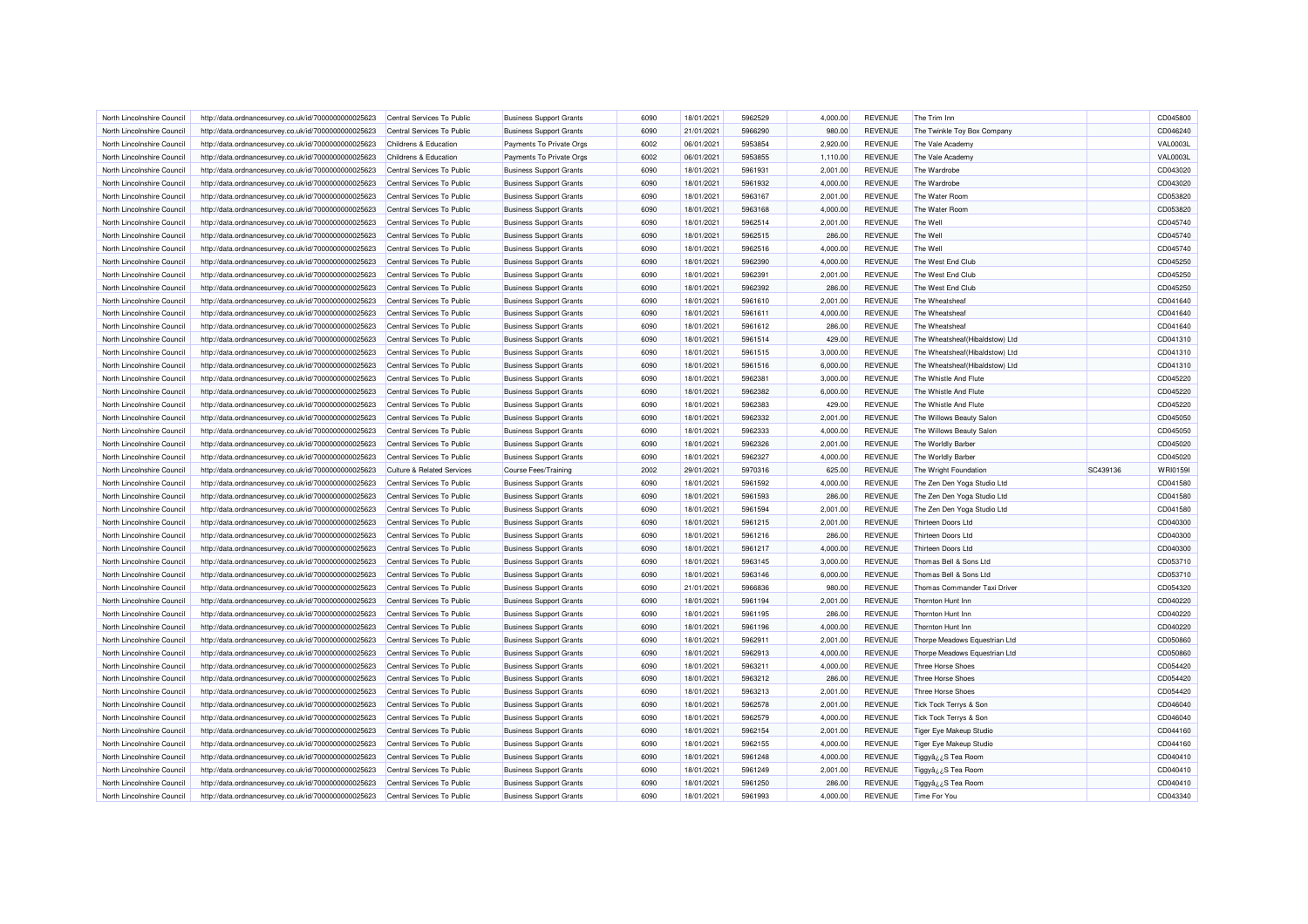| North Lincolnshire Council | http://data.ordnancesurvey.co.uk/id/7000000000025623 | Central Services To Public            | <b>Business Support Grants</b> | 6090 | 18/01/2021 | 5962529 | 4.000.00 | <b>REVENUE</b> | The Trim Inn                    |          | CD045800        |
|----------------------------|------------------------------------------------------|---------------------------------------|--------------------------------|------|------------|---------|----------|----------------|---------------------------------|----------|-----------------|
| North Lincolnshire Council | http://data.ordnancesurvey.co.uk/id/7000000000025623 | Central Services To Public            | <b>Business Support Grants</b> | 6090 | 21/01/2021 | 5966290 | 980.00   | <b>REVENUE</b> | The Twinkle Toy Box Company     |          | CD046240        |
| North Lincolnshire Council | http://data.ordnancesurvey.co.uk/id/7000000000025623 | Childrens & Education                 | Payments To Private Orgs       | 6002 | 06/01/2021 | 5953854 | 2,920.00 | <b>REVENUE</b> | The Vale Academy                |          | <b>VAL0003I</b> |
| North Lincolnshire Council | http://data.ordnancesurvey.co.uk/id/7000000000025623 | Childrens & Education                 | Payments To Private Orgs       | 6002 | 06/01/2021 | 5953855 | 1,110.00 | <b>REVENUE</b> | The Vale Academy                |          | <b>VAL0003L</b> |
| North Lincolnshire Council | http://data.ordnancesurvey.co.uk/id/7000000000025623 | Central Services To Public            | <b>Business Support Grants</b> | 6090 | 18/01/2021 | 5961931 | 2,001.00 | <b>REVENUE</b> | The Wardrobe                    |          | CD043020        |
| North Lincolnshire Council | http://data.ordnancesurvey.co.uk/id/7000000000025623 | Central Services To Public            | <b>Business Support Grants</b> | 6090 | 18/01/2021 | 5961932 | 4,000.00 | <b>REVENUE</b> | The Wardrobe                    |          | CD043020        |
| North Lincolnshire Council | http://data.ordnancesurvey.co.uk/id/7000000000025623 | Central Services To Public            | <b>Business Support Grants</b> | 6090 | 18/01/2021 | 5963167 | 2,001.00 | <b>REVENUE</b> | The Water Room                  |          | CD053820        |
| North Lincolnshire Council | http://data.ordnancesurvey.co.uk/id/7000000000025623 | Central Services To Public            | <b>Business Support Grants</b> | 6090 | 18/01/2021 | 5963168 | 4,000.00 | <b>REVENUE</b> | The Water Room                  |          | CD053820        |
| North Lincolnshire Council | http://data.ordnancesurvey.co.uk/id/7000000000025623 | Central Services To Public            | <b>Business Support Grants</b> | 6090 | 18/01/2021 | 5962514 | 2,001.00 | <b>REVENUE</b> | The Well                        |          | CD045740        |
| North Lincolnshire Council | http://data.ordnancesurvey.co.uk/id/7000000000025623 | Central Services To Public            | <b>Business Support Grants</b> | 6090 | 18/01/2021 | 5962515 | 286.00   | <b>REVENUE</b> | The Well                        |          | CD045740        |
| North Lincolnshire Council | http://data.ordnancesurvey.co.uk/id/7000000000025623 | Central Services To Public            | <b>Business Support Grants</b> | 6090 | 18/01/2021 | 5962516 | 4,000.00 | <b>REVENUE</b> | The Well                        |          | CD045740        |
| North Lincolnshire Council | http://data.ordnancesurvey.co.uk/id/7000000000025623 | Central Services To Public            | <b>Business Support Grants</b> | 6090 | 18/01/2021 | 5962390 | 4,000.00 | <b>REVENUE</b> | The West End Club               |          | CD045250        |
| North Lincolnshire Council | http://data.ordnancesurvey.co.uk/id/7000000000025623 | Central Services To Public            | <b>Business Support Grants</b> | 6090 | 18/01/2021 | 5962391 | 2,001.00 | <b>REVENUE</b> | The West End Club               |          | CD045250        |
| North Lincolnshire Council | http://data.ordnancesurvey.co.uk/id/7000000000025623 | Central Services To Public            | <b>Business Support Grants</b> | 6090 | 18/01/2021 | 5962392 | 286.00   | <b>REVENUE</b> | The West End Club               |          | CD045250        |
| North Lincolnshire Council | http://data.ordnancesurvey.co.uk/id/7000000000025623 | Central Services To Public            | <b>Business Support Grants</b> | 6090 | 18/01/2021 | 5961610 | 2,001.00 | <b>REVENUE</b> | The Wheatsheaf                  |          | CD041640        |
| North Lincolnshire Council | http://data.ordnancesurvey.co.uk/id/7000000000025623 | Central Services To Public            | <b>Business Support Grants</b> | 6090 | 18/01/2021 | 5961611 | 4,000.00 | <b>REVENUE</b> | The Wheatsheat                  |          | CD041640        |
| North Lincolnshire Council | http://data.ordnancesurvey.co.uk/id/7000000000025623 | Central Services To Public            | <b>Business Support Grants</b> | 6090 | 18/01/2021 | 5961612 | 286.00   | <b>REVENUE</b> | The Wheatsheaf                  |          | CD041640        |
| North Lincolnshire Council | http://data.ordnancesurvey.co.uk/id/7000000000025623 | Central Services To Public            | <b>Business Support Grants</b> | 6090 | 18/01/2021 | 5961514 | 429.00   | <b>REVENUE</b> | The Wheatsheaf(Hibaldstow) Ltd  |          | CD041310        |
| North Lincolnshire Council |                                                      | Central Services To Public            | <b>Business Support Grants</b> | 6090 | 18/01/2021 | 5961515 | 3,000.00 | <b>REVENUE</b> | The Wheatsheaf (Hibaldstow) Ltd |          | CD041310        |
| North Lincolnshire Council | http://data.ordnancesurvey.co.uk/id/7000000000025623 |                                       |                                | 6090 | 18/01/2021 | 5961516 | 6,000.00 | <b>REVENUE</b> | The Wheatsheaf (Hibaldstow) Ltd |          | CD041310        |
|                            | http://data.ordnancesurvey.co.uk/id/7000000000025623 | Central Services To Public            | <b>Business Support Grants</b> |      |            |         |          |                |                                 |          |                 |
| North Lincolnshire Council | http://data.ordnancesurvey.co.uk/id/7000000000025623 | Central Services To Public            | <b>Business Support Grants</b> | 6090 | 18/01/2021 | 5962381 | 3,000.00 | <b>REVENUE</b> | The Whistle And Flute           |          | CD045220        |
| North Lincolnshire Council | http://data.ordnancesurvey.co.uk/id/7000000000025623 | Central Services To Public            | <b>Business Support Grants</b> | 6090 | 18/01/2021 | 5962382 | 6,000.00 | <b>REVENUE</b> | The Whistle And Flute           |          | CD045220        |
| North Lincolnshire Council | http://data.ordnancesurvey.co.uk/id/7000000000025623 | Central Services To Public            | <b>Business Support Grants</b> | 6090 | 18/01/2021 | 5962383 | 429.00   | <b>REVENUE</b> | The Whistle And Flute           |          | CD045220        |
| North Lincolnshire Council | http://data.ordnancesurvey.co.uk/id/7000000000025623 | Central Services To Public            | <b>Business Support Grants</b> | 6090 | 18/01/2021 | 5962332 | 2,001.00 | <b>REVENUE</b> | The Willows Beauty Salon        |          | CD045050        |
| North Lincolnshire Council | http://data.ordnancesurvey.co.uk/id/7000000000025623 | Central Services To Public            | <b>Business Support Grants</b> | 6090 | 18/01/2021 | 5962333 | 4,000.00 | <b>REVENUE</b> | The Willows Beauty Salon        |          | CD045050        |
|                            | http://data.ordnancesurvey.co.uk/id/7000000000025623 | Central Services To Public            | <b>Business Support Grants</b> | 6090 | 18/01/2021 | 5962326 | 2,001.00 | <b>REVENUE</b> | The Worldly Barber              |          | CD045020        |
| North Lincolnshire Council |                                                      |                                       |                                |      |            |         |          |                |                                 |          |                 |
| North Lincolnshire Council | http://data.ordnancesurvey.co.uk/id/7000000000025623 | Central Services To Public            | <b>Business Support Grants</b> | 6090 | 18/01/2021 | 5962327 | 4,000.00 | <b>REVENUE</b> | The Worldly Barber              |          | CD045020        |
| North Lincolnshire Council | http://data.ordnancesurvey.co.uk/id/7000000000025623 | <b>Culture &amp; Related Services</b> | <b>Course Fees/Training</b>    | 2002 | 29/01/2021 | 5970316 | 625.00   | <b>REVENUE</b> | The Wright Foundation           | SC439136 | WRI0159         |
| North Lincolnshire Council | http://data.ordnancesurvey.co.uk/id/7000000000025623 | Central Services To Public            | <b>Business Support Grants</b> | 6090 | 18/01/2021 | 5961592 | 4,000.00 | <b>REVENUE</b> | The Zen Den Yoga Studio Ltd     |          | CD041580        |
| North Lincolnshire Council | http://data.ordnancesurvey.co.uk/id/7000000000025623 | Central Services To Public            | <b>Business Support Grants</b> | 6090 | 18/01/2021 | 5961593 | 286.00   | <b>REVENUE</b> | The Zen Den Yoga Studio Ltd     |          | CD041580        |
| North Lincolnshire Council | http://data.ordnancesurvey.co.uk/id/7000000000025623 | Central Services To Public            | <b>Business Support Grants</b> | 6090 | 18/01/2021 | 5961594 | 2,001.00 | <b>REVENUE</b> | The Zen Den Yoga Studio Ltd     |          | CD041580        |
| North Lincolnshire Council | http://data.ordnancesurvey.co.uk/id/7000000000025623 | Central Services To Public            | <b>Business Support Grants</b> | 6090 | 18/01/2021 | 5961215 | 2,001.00 | <b>REVENUE</b> | Thirteen Doors Ltd              |          | CD040300        |
| North Lincolnshire Council | http://data.ordnancesurvey.co.uk/id/7000000000025623 | Central Services To Public            | <b>Business Support Grants</b> | 6090 | 18/01/2021 | 5961216 | 286.00   | <b>REVENUE</b> | Thirteen Doors I to             |          | CD040300        |
| North Lincolnshire Council | http://data.ordnancesurvey.co.uk/id/7000000000025623 | Central Services To Public            | <b>Business Support Grants</b> | 6090 | 18/01/2021 | 5961217 | 4,000.00 | <b>REVENUE</b> | Thirteen Doors Ltd              |          | CD040300        |
| North Lincolnshire Council | http://data.ordnancesurvey.co.uk/id/7000000000025623 | Central Services To Public            | <b>Business Support Grants</b> | 6090 | 18/01/2021 | 5963145 | 3,000.00 | <b>REVENUE</b> | Thomas Bell & Sons Ltd          |          | CD053710        |
| North Lincolnshire Council | http://data.ordnancesurvey.co.uk/id/7000000000025623 | Central Services To Public            | <b>Business Support Grants</b> | 6090 | 18/01/2021 | 5963146 | 6,000.00 | <b>REVENUE</b> | Thomas Bell & Sons Ltd          |          | CD053710        |
| North Lincolnshire Council | http://data.ordnancesurvey.co.uk/id/7000000000025623 | Central Services To Public            | <b>Business Support Grants</b> | 6090 | 21/01/2021 | 5966836 | 980.00   | <b>REVENUE</b> | Thomas Commander Taxi Driver    |          | CD054320        |
| North Lincolnshire Council | http://data.ordnancesurvey.co.uk/id/7000000000025623 | Central Services To Public            | <b>Business Support Grants</b> | 6090 | 18/01/2021 | 5961194 | 2,001.00 | <b>REVENUE</b> | Thornton Hunt Inn               |          | CD040220        |
| North Lincolnshire Council | http://data.ordnancesurvey.co.uk/id/7000000000025623 | Central Services To Public            | <b>Business Support Grants</b> | 6090 | 18/01/2021 | 5961195 | 286.00   | <b>REVENUE</b> | Thornton Hunt Inn               |          | CD040220        |
| North Lincolnshire Council | http://data.ordnancesurvey.co.uk/id/7000000000025623 | Central Services To Public            | <b>Business Support Grants</b> | 6090 | 18/01/2021 | 5961196 | 4,000.00 | <b>REVENUE</b> | Thornton Hunt Inn               |          | CD040220        |
| North Lincolnshire Council | http://data.ordnancesurvey.co.uk/id/7000000000025623 | Central Services To Public            | <b>Business Support Grants</b> | 6090 | 18/01/2021 | 5962911 | 2,001.00 | <b>REVENUE</b> | Thorpe Meadows Equestrian Ltd   |          | CD050860        |
| North Lincolnshire Council | http://data.ordnancesurvey.co.uk/id/7000000000025623 | Central Services To Public            | <b>Business Support Grants</b> | 6090 | 18/01/2021 | 5962913 | 4,000.00 | <b>REVENUE</b> | Thorpe Meadows Equestrian Ltd   |          | CD050860        |
| North Lincolnshire Council | http://data.ordnancesurvey.co.uk/id/7000000000025623 | Central Services To Public            | <b>Business Support Grants</b> | 6090 | 18/01/2021 | 5963211 | 4,000.00 | <b>REVENUE</b> | Three Horse Shoes               |          | CD054420        |
| North Lincolnshire Council | http://data.ordnancesurvey.co.uk/id/7000000000025623 | Central Services To Public            | <b>Business Support Grants</b> | 6090 | 18/01/2021 | 5963212 | 286.00   | <b>REVENUE</b> | <b>Three Horse Shoes</b>        |          | CD054420        |
| North Lincolnshire Council | http://data.ordnancesurvey.co.uk/id/7000000000025623 | Central Services To Public            | <b>Business Support Grants</b> | 6090 | 18/01/2021 | 5963213 | 2,001.00 | <b>REVENUE</b> | Three Horse Shoes               |          | CD054420        |
| North Lincolnshire Council | http://data.ordnancesurvey.co.uk/id/7000000000025623 | Central Services To Public            | <b>Business Support Grants</b> | 6090 | 18/01/2021 | 5962578 | 2,001.00 | <b>REVENUE</b> | Tick Tock Terrys & Son          |          | CD046040        |
| North Lincolnshire Council | http://data.ordnancesurvey.co.uk/id/7000000000025623 | Central Services To Public            | <b>Business Support Grants</b> | 6090 | 18/01/2021 | 5962579 | 4,000.00 | <b>REVENUE</b> | Tick Tock Terrys & Son          |          | CD046040        |
| North Lincolnshire Council | http://data.ordnancesurvey.co.uk/id/7000000000025623 | Central Services To Public            | <b>Business Support Grants</b> | 6090 | 18/01/2021 | 5962154 | 2,001.00 | <b>REVENUE</b> | Tiger Eye Makeup Studio         |          | CD044160        |
| North Lincolnshire Council | http://data.ordnancesurvey.co.uk/id/7000000000025623 | Central Services To Public            | <b>Business Support Grants</b> | 6090 | 18/01/2021 | 5962155 | 4,000.00 | <b>REVENUE</b> | Tiger Eye Makeup Studio         |          | CD044160        |
| North Lincolnshire Council | http://data.ordnancesurvey.co.uk/id/7000000000025623 | Central Services To Public            | <b>Business Support Grants</b> | 6090 | 18/01/2021 | 5961248 | 4,000.00 | <b>REVENUE</b> | Tiggyå¿¿S Tea Room              |          | CD040410        |
| North Lincolnshire Council | http://data.ordnancesurvey.co.uk/id/7000000000025623 | Central Services To Public            | <b>Business Support Grants</b> | 6090 | 18/01/2021 | 5961249 | 2,001.00 | <b>REVENUE</b> | Tiggyâ¿¿S Tea Room              |          | CD040410        |
| North Lincolnshire Council | http://data.ordnancesurvey.co.uk/id/7000000000025623 | Central Services To Public            | <b>Business Support Grants</b> | 6090 | 18/01/2021 | 5961250 | 286.00   | <b>REVENUE</b> | Tiggyå¿¿S Tea Room              |          | CD040410        |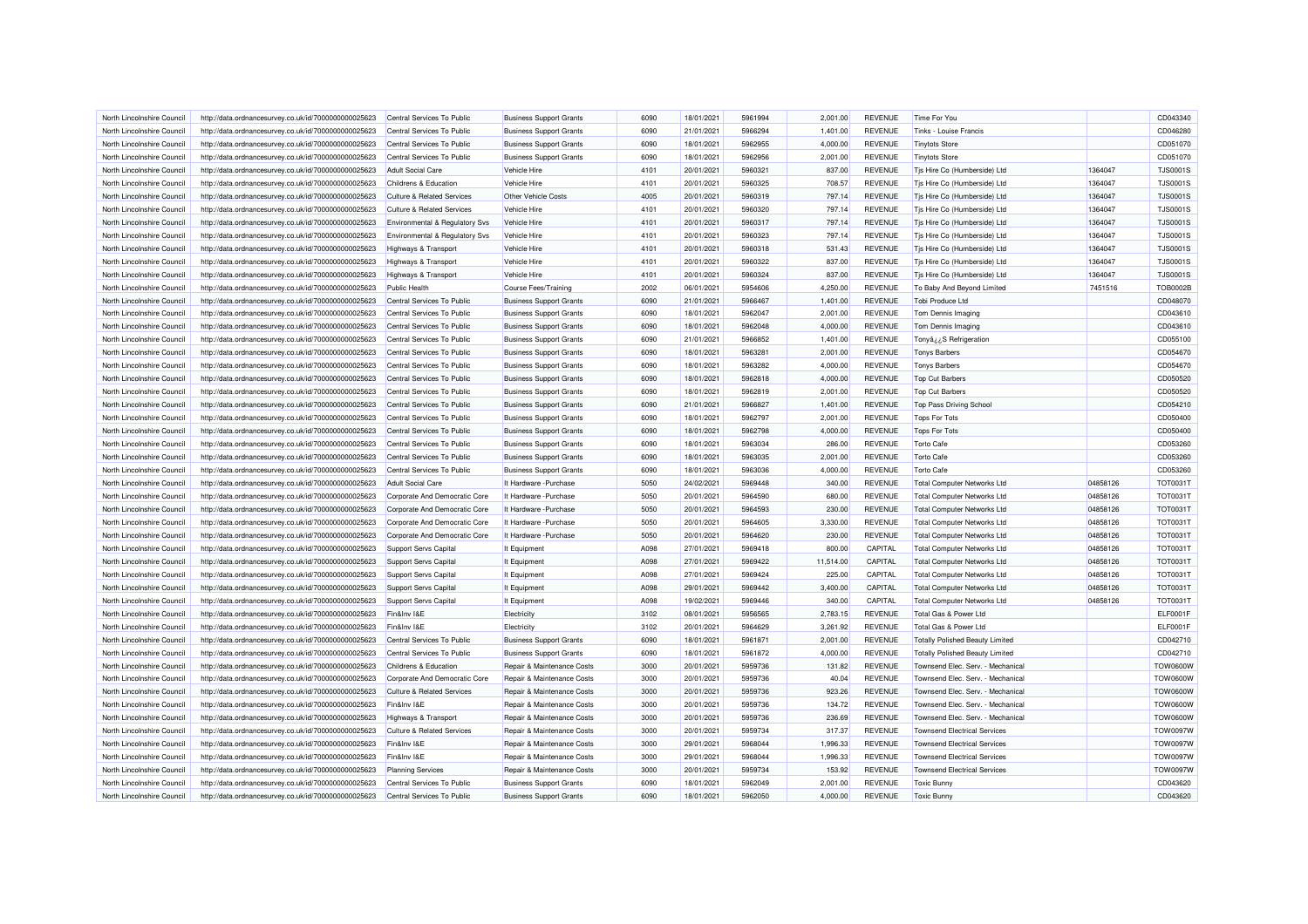| North Lincolnshire Council | http://data.ordnancesurvey.co.uk/id/7000000000025623 | Central Services To Public                | <b>Business Support Grants</b> | 6090 | 18/01/2021 | 5961994 | 2.001.00  | <b>REVENUE</b> | Time For You                           |          | CD043340        |
|----------------------------|------------------------------------------------------|-------------------------------------------|--------------------------------|------|------------|---------|-----------|----------------|----------------------------------------|----------|-----------------|
| North Lincolnshire Council | http://data.ordnancesurvey.co.uk/id/7000000000025623 | Central Services To Public                | <b>Business Support Grants</b> | 6090 | 21/01/2021 | 5966294 | 1,401.00  | <b>REVENUE</b> | Tinks - Louise Francis                 |          | CD046280        |
| North Lincolnshire Council | http://data.ordnancesurvey.co.uk/id/7000000000025623 | Central Services To Public                | <b>Business Support Grants</b> | 6090 | 18/01/2021 | 5962955 | 4,000.00  | <b>REVENUE</b> | <b>Tinytots Store</b>                  |          | CD051070        |
| North Lincolnshire Council | http://data.ordnancesurvey.co.uk/id/7000000000025623 | Central Services To Public                | <b>Business Support Grants</b> | 6090 | 18/01/2021 | 5962956 | 2,001.00  | <b>REVENUE</b> | <b>Tinytots Store</b>                  |          | CD051070        |
| North Lincolnshire Council | http://data.ordnancesurvey.co.uk/id/7000000000025623 | <b>Adult Social Care</b>                  | Vehicle Hire                   | 4101 | 20/01/2021 | 5960321 | 837.00    | <b>REVENUE</b> | Tjs Hire Co (Humberside) Ltd           | 1364047  | TJS0001S        |
| North Lincolnshire Council | http://data.ordnancesurvey.co.uk/id/7000000000025623 | Childrens & Education                     | Vehicle Hire                   | 4101 | 20/01/2021 | 5960325 | 708.57    | <b>REVENUE</b> | Tis Hire Co (Humberside) Ltd           | 1364047  | <b>TJS0001S</b> |
| North Lincolnshire Council | http://data.ordnancesurvey.co.uk/id/7000000000025623 | <b>Culture &amp; Related Services</b>     | <b>Other Vehicle Costs</b>     | 4005 | 20/01/2021 | 5960319 | 797.14    | <b>REVENUE</b> | Tjs Hire Co (Humberside) Ltd           | 1364047  | <b>TJS0001S</b> |
| North Lincolnshire Council | http://data.ordnancesurvey.co.uk/id/7000000000025623 | <b>Culture &amp; Related Services</b>     | Vehicle Hire                   | 4101 | 20/01/2021 | 5960320 | 797.14    | <b>REVENUE</b> | Tis Hire Co (Humberside) Ltd           | 1364047  | <b>TJS0001S</b> |
| North Lincolnshire Council | http://data.ordnancesurvey.co.uk/id/7000000000025623 | <b>Environmental &amp; Regulatory Svs</b> | Vehicle Hire                   | 4101 | 20/01/2021 | 5960317 | 797.14    | <b>REVENUE</b> | Tjs Hire Co (Humberside) Ltd           | 1364047  | <b>TJS0001S</b> |
| North Lincolnshire Council | http://data.ordnancesurvey.co.uk/id/7000000000025623 | Environmental & Regulatory Svs            | Vehicle Hire                   | 4101 | 20/01/2021 | 5960323 | 797.14    | <b>REVENUE</b> | Tjs Hire Co (Humberside) Ltd           | 1364047  | <b>TJS0001S</b> |
| North Lincolnshire Council | http://data.ordnancesurvey.co.uk/id/7000000000025623 | <b>Highways &amp; Transport</b>           | Vehicle Hire                   | 4101 | 20/01/2021 | 5960318 | 531.43    | <b>REVENUE</b> | Tjs Hire Co (Humberside) Ltd           | 1364047  | <b>TJS0001S</b> |
| North Lincolnshire Council | http://data.ordnancesurvey.co.uk/id/7000000000025623 | Highways & Transport                      | Vehicle Hire                   | 4101 | 20/01/2021 | 5960322 | 837.00    | <b>REVENUE</b> | Tis Hire Co (Humberside) Ltd           | 1364047  | <b>TJS0001S</b> |
| North Lincolnshire Council | http://data.ordnancesurvey.co.uk/id/7000000000025623 | <b>Highways &amp; Transport</b>           | Vehicle Hire                   | 4101 | 20/01/2021 | 5960324 | 837.00    | <b>REVENUE</b> | Tjs Hire Co (Humberside) Ltd           | 1364047  | <b>TJS0001S</b> |
| North Lincolnshire Council | http://data.ordnancesurvey.co.uk/id/7000000000025623 | <b>Public Health</b>                      | <b>Course Fees/Training</b>    | 2002 | 06/01/2021 | 5954606 | 4,250.00  | <b>REVENUE</b> | To Baby And Beyond Limited             | 7451516  | <b>TOB0002B</b> |
| North Lincolnshire Council | http://data.ordnancesurvey.co.uk/id/7000000000025623 | Central Services To Public                | <b>Business Support Grants</b> | 6090 | 21/01/2021 | 5966467 | 1,401.00  | <b>REVENUE</b> | Tobi Produce Ltd                       |          | CD048070        |
| North Lincolnshire Council | http://data.ordnancesurvey.co.uk/id/7000000000025623 | Central Services To Public                | <b>Business Support Grants</b> | 6090 | 18/01/2021 | 5962047 | 2,001.00  | <b>REVENUE</b> | Tom Dennis Imaging                     |          | CD043610        |
| North Lincolnshire Council | http://data.ordnancesurvey.co.uk/id/7000000000025623 | Central Services To Public                | <b>Business Support Grants</b> | 6090 | 18/01/2021 | 5962048 | 4,000.00  | <b>REVENUE</b> | Tom Dennis Imaging                     |          | CD043610        |
| North Lincolnshire Council |                                                      | Central Services To Public                |                                | 6090 | 21/01/2021 | 5966852 | 1,401.00  | <b>REVENUE</b> |                                        |          | CD055100        |
|                            | http://data.ordnancesurvey.co.uk/id/7000000000025623 |                                           | <b>Business Support Grants</b> |      |            |         |           |                | Tonyâ ¿¿S Refrigeration                |          |                 |
| North Lincolnshire Council | http://data.ordnancesurvey.co.uk/id/7000000000025623 | Central Services To Public                | <b>Business Support Grants</b> | 6090 | 18/01/2021 | 5963281 | 2,001.00  | <b>REVENUE</b> | <b>Tonys Barbers</b>                   |          | CD054670        |
| North Lincolnshire Council | http://data.ordnancesurvey.co.uk/id/7000000000025623 | Central Services To Public                | <b>Business Support Grants</b> | 6090 | 18/01/2021 | 5963282 | 4,000.00  | <b>REVENUE</b> | <b>Tonys Barbers</b>                   |          | CD054670        |
| North Lincolnshire Council | http://data.ordnancesurvey.co.uk/id/7000000000025623 | Central Services To Public                | <b>Business Support Grants</b> | 6090 | 18/01/2021 | 5962818 | 4,000.00  | <b>REVENUE</b> | <b>Top Cut Barbers</b>                 |          | CD050520        |
| North Lincolnshire Council | http://data.ordnancesurvey.co.uk/id/7000000000025623 | Central Services To Public                | <b>Business Support Grants</b> | 6090 | 18/01/2021 | 5962819 | 2,001.00  | <b>REVENUE</b> | <b>Top Cut Barbers</b>                 |          | CD050520        |
| North Lincolnshire Council | http://data.ordnancesurvey.co.uk/id/7000000000025623 | Central Services To Public                | <b>Business Support Grants</b> | 6090 | 21/01/2021 | 5966827 | 1,401.00  | <b>REVENUE</b> | <b>Top Pass Driving School</b>         |          | CD054210        |
| North Lincolnshire Council | http://data.ordnancesurvey.co.uk/id/7000000000025623 | Central Services To Public                | <b>Business Support Grants</b> | 6090 | 18/01/2021 | 5962797 | 2,001.00  | <b>REVENUE</b> | <b>Tops For Tots</b>                   |          | CD050400        |
| North Lincolnshire Council | http://data.ordnancesurvey.co.uk/id/7000000000025623 | Central Services To Public                | <b>Business Support Grants</b> | 6090 | 18/01/2021 | 5962798 | 4,000.00  | <b>REVENUE</b> | <b>Tops For Tots</b>                   |          | CD050400        |
| North Lincolnshire Council | http://data.ordnancesurvey.co.uk/id/7000000000025623 | Central Services To Public                | <b>Business Support Grants</b> | 6090 | 18/01/2021 | 5963034 | 286.00    | <b>REVENUE</b> | <b>Torto Cafe</b>                      |          | CD053260        |
| North Lincolnshire Council | http://data.ordnancesurvey.co.uk/id/7000000000025623 | Central Services To Public                | <b>Business Support Grants</b> | 6090 | 18/01/2021 | 5963035 | 2,001.00  | <b>REVENUE</b> | <b>Torto Cafe</b>                      |          | CD053260        |
| North Lincolnshire Council | http://data.ordnancesurvey.co.uk/id/7000000000025623 | Central Services To Public                | <b>Business Support Grants</b> | 6090 | 18/01/2021 | 5963036 | 4.000.00  | <b>REVENUE</b> | <b>Torto Cafe</b>                      |          | CD053260        |
| North Lincolnshire Council | http://data.ordnancesurvey.co.uk/id/7000000000025623 | <b>Adult Social Care</b>                  | It Hardware - Purchase         | 5050 | 24/02/2021 | 5969448 | 340.00    | <b>REVENUE</b> | <b>Total Computer Networks Ltd</b>     | 04858126 | TOT0031T        |
| North Lincolnshire Council | http://data.ordnancesurvey.co.uk/id/7000000000025623 | Corporate And Democratic Core             | It Hardware - Purchase         | 5050 | 20/01/2021 | 5964590 | 680.00    | REVENUE        | <b>Total Computer Networks Ltd</b>     | 04858126 | TOT0031T        |
| North Lincolnshire Council | http://data.ordnancesurvey.co.uk/id/7000000000025623 | Corporate And Democratic Core             | It Hardware - Purchase         | 5050 | 20/01/2021 | 5964593 | 230.00    | <b>REVENUE</b> | <b>Total Computer Networks Ltd</b>     | 04858126 | TOT0031T        |
| North Lincolnshire Council | http://data.ordnancesurvey.co.uk/id/7000000000025623 | Corporate And Democratic Core             | It Hardware - Purchase         | 5050 | 20/01/2021 | 5964605 | 3,330.00  | <b>REVENUE</b> | <b>Total Computer Networks Ltd</b>     | 04858126 | TOT0031T        |
| North Lincolnshire Council | http://data.ordnancesurvey.co.uk/id/7000000000025623 | Corporate And Democratic Core             | It Hardware - Purchase         | 5050 | 20/01/2021 | 5964620 | 230.00    | <b>REVENUE</b> | <b>Total Computer Networks Ltd</b>     | 04858126 | TOT0031T        |
| North Lincolnshire Council | http://data.ordnancesurvey.co.uk/id/7000000000025623 | <b>Support Servs Capital</b>              | It Equipment                   | A098 | 27/01/2021 | 5969418 | 800.00    | CAPITAL        | <b>Total Computer Networks Ltd</b>     | 04858126 | <b>TOT0031T</b> |
| North Lincolnshire Council | http://data.ordnancesurvey.co.uk/id/7000000000025623 | Support Servs Capital                     | It Equipment                   | A098 | 27/01/2021 | 5969422 | 11,514.00 | CAPITAL        | <b>Total Computer Networks Ltd</b>     | 04858126 | TOT0031T        |
| North Lincolnshire Council | http://data.ordnancesurvey.co.uk/id/7000000000025623 | Support Servs Capital                     | It Equipment                   | A098 | 27/01/2021 | 5969424 | 225.00    | CAPITAL        | <b>Total Computer Networks Ltd</b>     | 04858126 | TOT0031T        |
| North Lincolnshire Council | http://data.ordnancesurvey.co.uk/id/7000000000025623 | Support Servs Capital                     | It Equipment                   | A098 | 29/01/2021 | 5969442 | 3,400.00  | CAPITAL        | <b>Total Computer Networks Ltd</b>     | 04858126 | <b>TOT0031T</b> |
| North Lincolnshire Council | http://data.ordnancesurvey.co.uk/id/7000000000025623 | Support Servs Capital                     | It Equipment                   | A098 | 19/02/2021 | 5969446 | 340.00    | CAPITAL        | <b>Total Computer Networks Ltd</b>     | 04858126 | TOT0031T        |
| North Lincolnshire Council | http://data.ordnancesurvey.co.uk/id/7000000000025623 | Fin&Inv I&E                               | Electricity                    | 3102 | 08/01/2021 | 5956565 | 2,783.15  | <b>REVENUE</b> | Total Gas & Power Ltd                  |          | ELF0001F        |
| North Lincolnshire Council | http://data.ordnancesurvey.co.uk/id/7000000000025623 | Fin&Inv I&E                               | Electricity                    | 3102 | 20/01/2021 | 5964629 | 3,261.92  | <b>REVENUE</b> | Total Gas & Power Ltd                  |          | ELF0001F        |
| North Lincolnshire Council | http://data.ordnancesurvey.co.uk/id/7000000000025623 | Central Services To Public                | <b>Business Support Grants</b> | 6090 | 18/01/2021 | 5961871 | 2,001.00  | <b>REVENUE</b> | <b>Totally Polished Beauty Limited</b> |          | CD042710        |
| North Lincolnshire Council | http://data.ordnancesurvey.co.uk/id/7000000000025623 | Central Services To Public                | <b>Business Support Grants</b> | 6090 | 18/01/2021 | 5961872 | 4.000.00  | <b>REVENUE</b> | <b>Totally Polished Beauty Limited</b> |          | CD042710        |
| North Lincolnshire Council | http://data.ordnancesurvey.co.uk/id/7000000000025623 | Childrens & Education                     | Repair & Maintenance Costs     | 3000 | 20/01/2021 | 5959736 | 131.82    | <b>REVENUE</b> | Townsend Elec. Serv. - Mechanical      |          | <b>TOW0600W</b> |
| North Lincolnshire Council | http://data.ordnancesurvey.co.uk/id/7000000000025623 | Corporate And Democratic Core             | Repair & Maintenance Costs     | 3000 | 20/01/2021 | 5959736 | 40.04     | <b>REVENUE</b> | Townsend Elec. Serv. - Mechanical      |          | <b>TOW0600W</b> |
| North Lincolnshire Council | http://data.ordnancesurvey.co.uk/id/7000000000025623 | <b>Culture &amp; Related Services</b>     | Repair & Maintenance Costs     | 3000 | 20/01/2021 | 5959736 | 923.26    | <b>REVENUE</b> | Townsend Elec. Serv. - Mechanical      |          | <b>TOW0600W</b> |
| North Lincolnshire Council | http://data.ordnancesurvey.co.uk/id/7000000000025623 | Fin&Inv I&E                               | Repair & Maintenance Costs     | 3000 | 20/01/2021 | 5959736 | 134.72    | <b>REVENUE</b> | Townsend Elec. Serv. - Mechanical      |          | <b>TOW0600W</b> |
| North Lincolnshire Council | http://data.ordnancesurvey.co.uk/id/7000000000025623 | <b>Highways &amp; Transport</b>           | Repair & Maintenance Costs     | 3000 | 20/01/2021 | 5959736 | 236.69    | <b>REVENUE</b> | Townsend Elec. Serv. - Mechanical      |          | <b>TOW0600W</b> |
| North Lincolnshire Council | http://data.ordnancesurvey.co.uk/id/7000000000025623 | Culture & Related Services                | Repair & Maintenance Costs     | 3000 | 20/01/2021 | 5959734 | 317.37    | <b>REVENUE</b> | <b>Townsend Electrical Services</b>    |          | <b>TOW0097W</b> |
| North Lincolnshire Council | http://data.ordnancesurvey.co.uk/id/7000000000025623 | Fin&Inv I&E                               | Repair & Maintenance Costs     | 3000 | 29/01/2021 | 5968044 | 1,996.33  | <b>REVENUE</b> | <b>Townsend Electrical Services</b>    |          | <b>TOW0097W</b> |
| North Lincolnshire Council | http://data.ordnancesurvey.co.uk/id/7000000000025623 | Fin&Inv I&E                               | Repair & Maintenance Costs     | 3000 | 29/01/2021 | 5968044 | 1,996.33  | <b>REVENUE</b> | <b>Townsend Electrical Services</b>    |          | <b>TOW0097W</b> |
| North Lincolnshire Council | http://data.ordnancesurvey.co.uk/id/7000000000025623 | <b>Planning Services</b>                  | Repair & Maintenance Costs     | 3000 | 20/01/2021 | 5959734 | 153.92    | <b>REVENUE</b> | <b>Townsend Electrical Services</b>    |          | <b>TOW0097W</b> |
| North Lincolnshire Council | http://data.ordnancesurvey.co.uk/id/7000000000025623 | Central Services To Public                | <b>Business Support Grants</b> | 6090 | 18/01/2021 | 5962049 | 2,001.00  | <b>REVENUE</b> | <b>Toxic Bunny</b>                     |          | CD043620        |
| North Lincolnshire Council | http://data.ordnancesurvey.co.uk/id/7000000000025623 | Central Services To Public                | <b>Business Support Grants</b> | 6090 | 18/01/2021 | 5962050 | 4,000.00  | <b>REVENUE</b> | <b>Toxic Bunny</b>                     |          | CD043620        |
|                            |                                                      |                                           |                                |      |            |         |           |                |                                        |          |                 |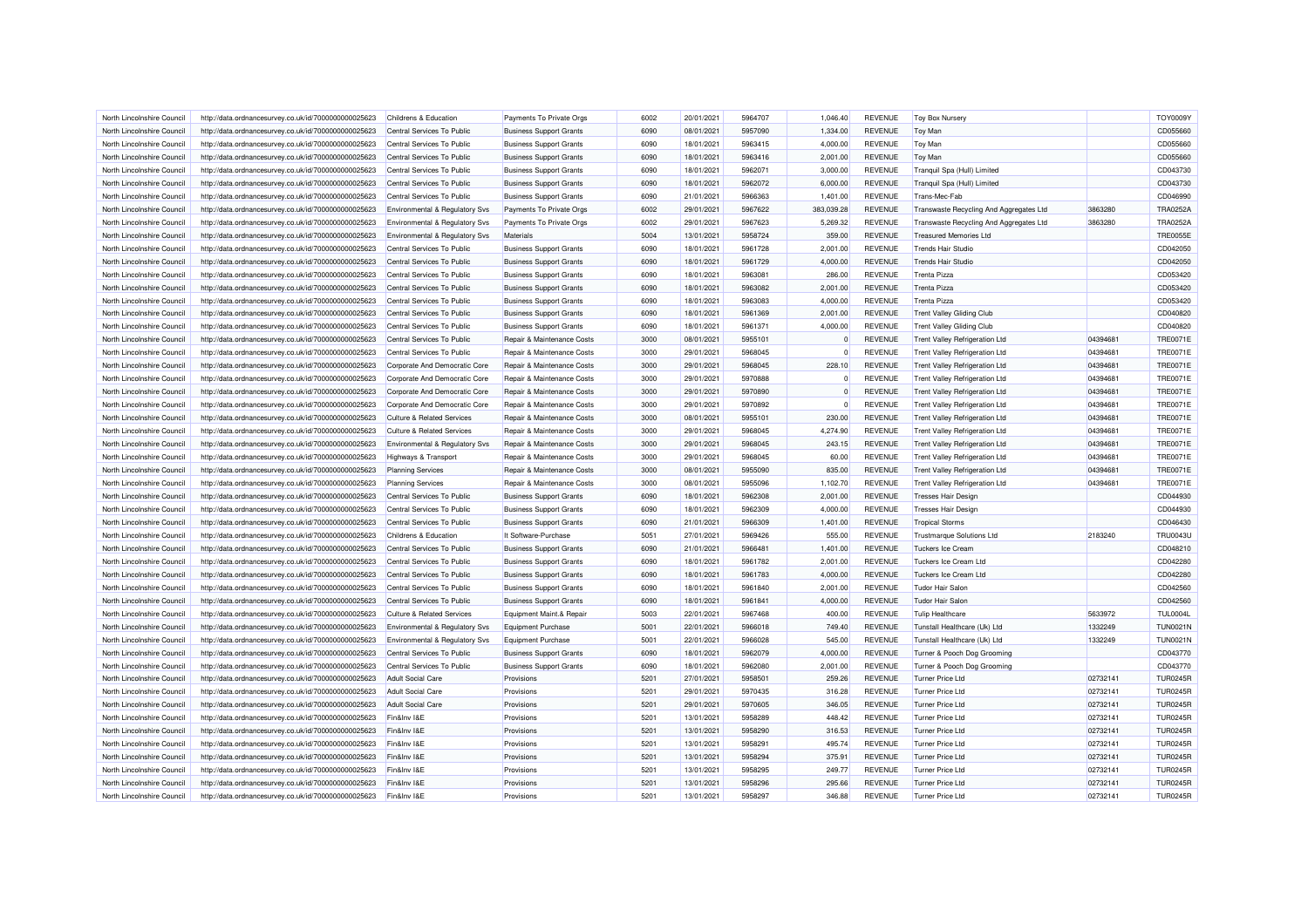| North Lincolnshire Council | http://data.ordnancesurvey.co.uk/id/7000000000025623 | Childrens & Education                     | Payments To Private Orgs       | 6002 | 20/01/2021 | 5964707 | 1,046.40     | <b>REVENUE</b> | <b>Toy Box Nursery</b>                  |          | TOY0009\        |
|----------------------------|------------------------------------------------------|-------------------------------------------|--------------------------------|------|------------|---------|--------------|----------------|-----------------------------------------|----------|-----------------|
| North Lincolnshire Council | http://data.ordnancesurvey.co.uk/id/7000000000025623 | Central Services To Public                | <b>Business Support Grants</b> | 6090 | 08/01/2021 | 5957090 | 1,334.00     | <b>REVENUE</b> | Toy Man                                 |          | CD055660        |
| North Lincolnshire Council | http://data.ordnancesurvey.co.uk/id/7000000000025623 | Central Services To Public                | <b>Business Support Grants</b> | 6090 | 18/01/2021 | 5963415 | 4,000.00     | <b>REVENUE</b> | <b>Toy Man</b>                          |          | CD055660        |
| North Lincolnshire Council | http://data.ordnancesurvey.co.uk/id/7000000000025623 | Central Services To Public                | <b>Business Support Grants</b> | 6090 | 18/01/2021 | 5963416 | 2,001.00     | <b>REVENUE</b> | <b>Toy Man</b>                          |          | CD055660        |
| North Lincolnshire Council | http://data.ordnancesurvey.co.uk/id/7000000000025623 | Central Services To Public                | <b>Business Support Grants</b> | 6090 | 18/01/2021 | 5962071 | 3,000.00     | <b>REVENUE</b> | Tranquil Spa (Hull) Limited             |          | CD043730        |
| North Lincolnshire Council | http://data.ordnancesurvey.co.uk/id/7000000000025623 | Central Services To Public                | <b>Business Support Grants</b> | 6090 | 18/01/2021 | 5962072 | 6,000.00     | <b>REVENUE</b> | Tranquil Spa (Hull) Limited             |          | CD043730        |
| North Lincolnshire Council | http://data.ordnancesurvey.co.uk/id/7000000000025623 | Central Services To Public                | <b>Business Support Grants</b> | 6090 | 21/01/2021 | 5966363 | 1,401.00     | <b>REVENUE</b> | Trans-Mec-Fab                           |          | CD046990        |
| North Lincolnshire Council | http://data.ordnancesurvey.co.uk/id/7000000000025623 | Environmental & Regulatory Svs            | Payments To Private Orgs       | 6002 | 29/01/2021 | 5967622 | 383,039.28   | <b>REVENUE</b> | Transwaste Recycling And Aggregates Ltd | 3863280  | TRA0252A        |
| North Lincolnshire Council | http://data.ordnancesurvey.co.uk/id/7000000000025623 | <b>Environmental &amp; Regulatory Svs</b> | Payments To Private Oras       | 6002 | 29/01/2021 | 5967623 | 5,269.32     | <b>REVENUE</b> | Transwaste Recycling And Aggregates Ltd | 3863280  | TRA0252A        |
| North Lincolnshire Council | http://data.ordnancesurvey.co.uk/id/7000000000025623 | Environmental & Regulatory Svs            | <b>Materials</b>               | 5004 | 13/01/2021 | 5958724 | 359.00       | <b>REVENUE</b> | <b>Treasured Memories Ltd</b>           |          | <b>TRE0055E</b> |
| North Lincolnshire Council | http://data.ordnancesurvey.co.uk/id/7000000000025623 | Central Services To Public                | <b>Business Support Grants</b> | 6090 | 18/01/2021 | 5961728 | 2,001.00     | <b>REVENUE</b> | <b>Trends Hair Studio</b>               |          | CD042050        |
| North Lincolnshire Council | http://data.ordnancesurvey.co.uk/id/7000000000025623 | Central Services To Public                | <b>Business Support Grants</b> | 6090 | 18/01/2021 | 5961729 | 4,000.00     | <b>REVENUE</b> | <b>Trends Hair Studio</b>               |          | CD042050        |
|                            |                                                      |                                           |                                | 6090 |            | 5963081 |              |                | <b>Trenta Pizza</b>                     |          | CD053420        |
| North Lincolnshire Council | http://data.ordnancesurvey.co.uk/id/7000000000025623 | Central Services To Public                | <b>Business Support Grants</b> |      | 18/01/2021 |         | 286.00       | <b>REVENUE</b> |                                         |          |                 |
| North Lincolnshire Council | http://data.ordnancesurvey.co.uk/id/7000000000025623 | Central Services To Public                | <b>Business Support Grants</b> | 6090 | 18/01/2021 | 5963082 | 2,001.00     | <b>REVENUE</b> | <b>Trenta Pizza</b>                     |          | CD053420        |
| North Lincolnshire Council | http://data.ordnancesurvey.co.uk/id/7000000000025623 | Central Services To Public                | <b>Business Support Grants</b> | 6090 | 18/01/2021 | 5963083 | 4,000.00     | <b>REVENUE</b> | <b>Trenta Pizza</b>                     |          | CD053420        |
| North Lincolnshire Council | http://data.ordnancesurvey.co.uk/id/7000000000025623 | Central Services To Public                | <b>Business Support Grants</b> | 6090 | 18/01/2021 | 5961369 | 2,001.00     | <b>REVENUE</b> | <b>Trent Valley Gliding Club</b>        |          | CD040820        |
| North Lincolnshire Council | http://data.ordnancesurvey.co.uk/id/7000000000025623 | Central Services To Public                | <b>Business Support Grants</b> | 6090 | 18/01/2021 | 5961371 | 4,000.00     | <b>REVENUE</b> | <b>Trent Valley Gliding Club</b>        |          | CD040820        |
| North Lincolnshire Council | http://data.ordnancesurvey.co.uk/id/7000000000025623 | Central Services To Public                | Repair & Maintenance Costs     | 3000 | 08/01/2021 | 5955101 | 0            | <b>REVENUE</b> | <b>Trent Valley Refrigeration Ltd</b>   | 04394681 | <b>TRE0071E</b> |
| North Lincolnshire Council | http://data.ordnancesurvey.co.uk/id/7000000000025623 | Central Services To Public                | Repair & Maintenance Costs     | 3000 | 29/01/2021 | 5968045 | $\mathbf{0}$ | <b>REVENUE</b> | <b>Trent Valley Refrigeration Ltd</b>   | 04394681 | <b>TRE0071E</b> |
| North Lincolnshire Council | http://data.ordnancesurvey.co.uk/id/7000000000025623 | Corporate And Democratic Core             | Repair & Maintenance Costs     | 3000 | 29/01/2021 | 5968045 | 228.10       | <b>REVENUE</b> | <b>Trent Valley Refrigeration Ltd</b>   | 04394681 | <b>TRE0071E</b> |
| North Lincolnshire Council | http://data.ordnancesurvey.co.uk/id/7000000000025623 | Corporate And Democratic Core             | Repair & Maintenance Costs     | 3000 | 29/01/2021 | 5970888 | $\mathbf{0}$ | <b>REVENUE</b> | <b>Trent Valley Refrigeration Ltd</b>   | 04394681 | <b>TRE0071E</b> |
| North Lincolnshire Council | http://data.ordnancesurvey.co.uk/id/7000000000025623 | Corporate And Democratic Core             | Repair & Maintenance Costs     | 3000 | 29/01/2021 | 5970890 | $\Omega$     | <b>REVENUE</b> | <b>Trent Valley Refrigeration Ltd</b>   | 04394681 | <b>TRE0071E</b> |
| North Lincolnshire Council | http://data.ordnancesurvey.co.uk/id/7000000000025623 | Corporate And Democratic Core             | Repair & Maintenance Costs     | 3000 | 29/01/2021 | 5970892 | $\Omega$     | <b>REVENUE</b> | Trent Valley Refrigeration Ltd          | 04394681 | <b>TRE0071E</b> |
| North Lincolnshire Council | http://data.ordnancesurvey.co.uk/id/7000000000025623 | <b>Culture &amp; Related Services</b>     | Repair & Maintenance Costs     | 3000 | 08/01/2021 | 5955101 | 230.00       | <b>REVENUE</b> | Trent Valley Refrigeration Ltd          | 04394681 | <b>TRE0071E</b> |
| North Lincolnshire Council | http://data.ordnancesurvey.co.uk/id/7000000000025623 | <b>Culture &amp; Related Services</b>     | Repair & Maintenance Costs     | 3000 | 29/01/2021 | 5968045 | 4,274.90     | <b>REVENUE</b> | <b>Trent Valley Refrigeration Ltd</b>   | 04394681 | <b>TRE0071E</b> |
| North Lincolnshire Council | http://data.ordnancesurvey.co.uk/id/7000000000025623 | Environmental & Regulatory Svs            | Repair & Maintenance Costs     | 3000 | 29/01/2021 | 5968045 | 243.15       | <b>REVENUE</b> | <b>Trent Valley Refrigeration Ltd</b>   | 04394681 | <b>TRE0071E</b> |
| North Lincolnshire Council | http://data.ordnancesurvey.co.uk/id/7000000000025623 | <b>Highways &amp; Transport</b>           | Repair & Maintenance Costs     | 3000 | 29/01/2021 | 5968045 | 60.00        | <b>REVENUE</b> | <b>Trent Valley Refrigeration Ltd</b>   | 04394681 | <b>TRE0071E</b> |
| North Lincolnshire Council | http://data.ordnancesurvey.co.uk/id/7000000000025623 | <b>Planning Services</b>                  | Repair & Maintenance Costs     | 3000 | 08/01/2021 | 5955090 | 835.00       | <b>REVENUE</b> | <b>Trent Valley Refrigeration Ltd</b>   | 04394681 | <b>TRE0071E</b> |
| North Lincolnshire Council | http://data.ordnancesurvey.co.uk/id/7000000000025623 | <b>Planning Services</b>                  | Repair & Maintenance Costs     | 3000 | 08/01/2021 | 5955096 | 1,102.70     | <b>REVENUE</b> | <b>Trent Valley Refrigeration Ltd</b>   | 04394681 | <b>TRE0071E</b> |
| North Lincolnshire Council | http://data.ordnancesurvey.co.uk/id/7000000000025623 | Central Services To Public                | <b>Business Support Grants</b> | 6090 | 18/01/2021 | 5962308 | 2,001.00     | <b>REVENUE</b> | <b>Tresses Hair Design</b>              |          | CD044930        |
| North Lincolnshire Council | http://data.ordnancesurvey.co.uk/id/7000000000025623 | Central Services To Public                | <b>Business Support Grants</b> | 6090 | 18/01/2021 | 5962309 | 4,000.00     | <b>REVENUE</b> | <b>Tresses Hair Design</b>              |          | CD044930        |
| North Lincolnshire Council | http://data.ordnancesurvey.co.uk/id/7000000000025623 | Central Services To Public                | <b>Business Support Grants</b> | 6090 | 21/01/2021 | 5966309 | 1,401.00     | <b>REVENUE</b> | <b>Tropical Storms</b>                  |          | CD046430        |
| North Lincolnshire Council |                                                      | Childrens & Education                     | It Software-Purchase           | 5051 | 27/01/2021 | 5969426 | 555.00       | <b>REVENUE</b> |                                         | 2183240  | <b>TRU0043L</b> |
|                            | http://data.ordnancesurvey.co.uk/id/7000000000025623 |                                           |                                |      |            |         |              |                | <b>Trustmarque Solutions Ltd</b>        |          |                 |
| North Lincolnshire Council | http://data.ordnancesurvey.co.uk/id/7000000000025623 | Central Services To Public                | <b>Business Support Grants</b> | 6090 | 21/01/2021 | 5966481 | 1.401.00     | <b>REVENUE</b> | <b>Tuckers Ice Cream</b>                |          | CD048210        |
| North Lincolnshire Council | http://data.ordnancesurvey.co.uk/id/7000000000025623 | Central Services To Public                | <b>Business Support Grants</b> | 6090 | 18/01/2021 | 5961782 | 2,001.00     | <b>REVENUE</b> | Tuckers Ice Cream Ltd                   |          | CD042280        |
| North Lincolnshire Council | http://data.ordnancesurvey.co.uk/id/7000000000025623 | Central Services To Public                | <b>Business Support Grants</b> | 6090 | 18/01/2021 | 5961783 | 4,000.00     | <b>REVENUE</b> | Tuckers Ice Cream Ltd                   |          | CD042280        |
| North Lincolnshire Council | http://data.ordnancesurvey.co.uk/id/7000000000025623 | Central Services To Public                | <b>Business Support Grants</b> | 6090 | 18/01/2021 | 5961840 | 2,001.00     | <b>REVENUE</b> | <b>Tudor Hair Salon</b>                 |          | CD042560        |
| North Lincolnshire Council | http://data.ordnancesurvey.co.uk/id/7000000000025623 | Central Services To Public                | <b>Business Support Grants</b> | 6090 | 18/01/2021 | 5961841 | 4,000.00     | <b>REVENUE</b> | <b>Tudor Hair Salon</b>                 |          | CD042560        |
| North Lincolnshire Council | http://data.ordnancesurvey.co.uk/id/7000000000025623 | <b>Culture &amp; Related Services</b>     | Equipment Maint.& Repair       | 5003 | 22/01/2021 | 5967468 | 400.00       | <b>REVENUE</b> | <b>Tulip Healthcare</b>                 | 5633972  | <b>TUL0004L</b> |
| North Lincolnshire Council | http://data.ordnancesurvey.co.uk/id/7000000000025623 | Environmental & Regulatory Svs            | Equipment Purchase             | 5001 | 22/01/2021 | 5966018 | 749.40       | <b>REVENUE</b> | Tunstall Healthcare (Uk) Ltd            | 1332249  | <b>TUN0021N</b> |
| North Lincolnshire Council | http://data.ordnancesurvey.co.uk/id/7000000000025623 | Environmental & Regulatory Svs            | Equipment Purchase             | 5001 | 22/01/2021 | 5966028 | 545.00       | <b>REVENUE</b> | Tunstall Healthcare (Uk) Ltd            | 1332249  | <b>TUN0021N</b> |
| North Lincolnshire Council | http://data.ordnancesurvey.co.uk/id/7000000000025623 | Central Services To Public                | <b>Business Support Grants</b> | 6090 | 18/01/2021 | 5962079 | 4.000.00     | <b>REVENUE</b> | Turner & Pooch Dog Grooming             |          | CD043770        |
| North Lincolnshire Council | http://data.ordnancesurvey.co.uk/id/7000000000025623 | Central Services To Public                | <b>Business Support Grants</b> | 6090 | 18/01/2021 | 5962080 | 2,001.00     | <b>REVENUE</b> | Turner & Pooch Dog Grooming             |          | CD043770        |
| North Lincolnshire Council | http://data.ordnancesurvey.co.uk/id/7000000000025623 | <b>Adult Social Care</b>                  | Provisions                     | 5201 | 27/01/2021 | 5958501 | 259.26       | <b>REVENUE</b> | <b>Turner Price Ltd</b>                 | 02732141 | <b>TUR0245R</b> |
| North Lincolnshire Council | http://data.ordnancesurvey.co.uk/id/7000000000025623 | <b>Adult Social Care</b>                  | Provisions                     | 5201 | 29/01/2021 | 5970435 | 316.28       | <b>REVENUE</b> | <b>Turner Price Ltd</b>                 | 02732141 | <b>TUR0245R</b> |
| North Lincolnshire Council | http://data.ordnancesurvey.co.uk/id/7000000000025623 | <b>Adult Social Care</b>                  | Provisions                     | 5201 | 29/01/2021 | 5970605 | 346.05       | <b>REVENUE</b> | <b>Turner Price Ltd</b>                 | 02732141 | <b>TUR0245R</b> |
| North Lincolnshire Council | http://data.ordnancesurvey.co.uk/id/7000000000025623 | Fin&Inv I&E                               | Provisions                     | 5201 | 13/01/2021 | 5958289 | 448.42       | <b>REVENUE</b> | <b>Turner Price Ltd</b>                 | 02732141 | <b>TUR0245R</b> |
| North Lincolnshire Council | http://data.ordnancesurvey.co.uk/id/7000000000025623 | Fin&Inv I&E                               | Provisions                     | 5201 | 13/01/2021 | 5958290 | 316.53       | <b>REVENUE</b> | <b>Turner Price Ltd</b>                 | 02732141 | <b>TUR0245R</b> |
| North Lincolnshire Council | http://data.ordnancesurvey.co.uk/id/7000000000025623 | Fin&Inv I&E                               | Provisions                     | 5201 | 13/01/2021 | 5958291 | 495.74       | <b>REVENUE</b> | Turner Price Ltd                        | 02732141 | <b>TUR0245R</b> |
| North Lincolnshire Council | http://data.ordnancesurvey.co.uk/id/7000000000025623 | Fin&Inv I&E                               | Provisions                     | 5201 | 13/01/2021 | 5958294 | 375.91       | <b>REVENUE</b> | <b>Turner Price Ltd</b>                 | 02732141 | <b>TUR0245R</b> |
| North Lincolnshire Council | http://data.ordnancesurvey.co.uk/id/7000000000025623 | Fin&Inv I&E                               | Provisions                     | 5201 | 13/01/2021 | 5958295 | 249.77       | <b>REVENUE</b> | Turner Price Ltd                        | 02732141 | <b>TUR0245R</b> |
| North Lincolnshire Council | http://data.ordnancesurvey.co.uk/id/7000000000025623 | Fin&Inv I&E                               | Provisions                     | 5201 | 13/01/2021 | 5958296 | 295.66       | <b>REVENUE</b> | <b>Turner Price Ltd</b>                 | 02732141 | <b>TUR0245R</b> |
| North Lincolnshire Council | http://data.ordnancesurvey.co.uk/id/7000000000025623 | Fin&Inv I&E                               | Provisions                     | 5201 | 13/01/2021 | 5958297 | 346.88       | <b>REVENUE</b> | <b>Turner Price Ltd</b>                 | 02732141 | <b>TUR0245R</b> |
|                            |                                                      |                                           |                                |      |            |         |              |                |                                         |          |                 |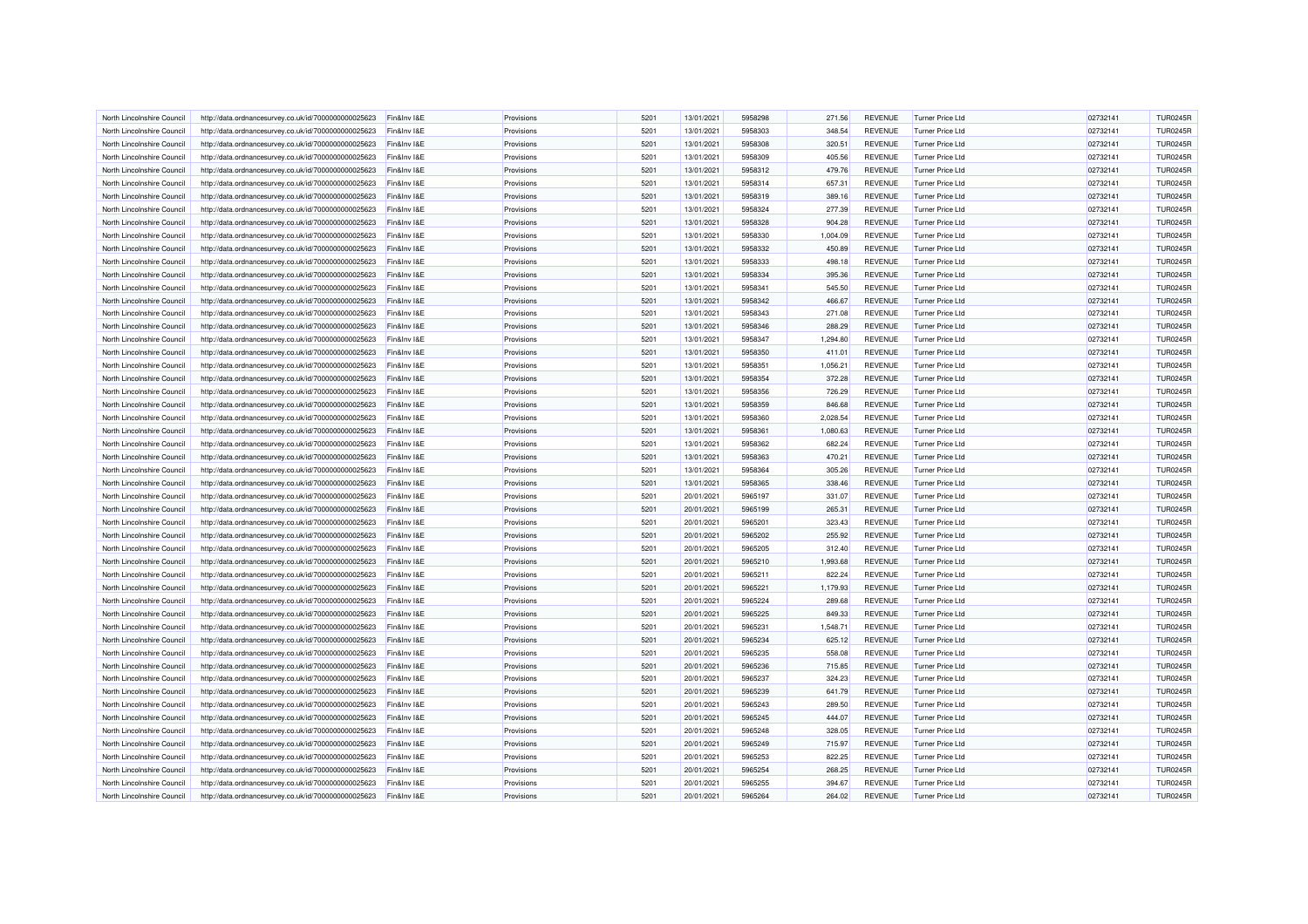| North Lincolnshire Council | http://data.ordnancesurvey.co.uk/id/7000000000025623 | Fin&Inv I&E | Provisions | 5201 | 13/01/2021 | 5958298 | 271.56   | <b>REVENUE</b> | Turner Price Ltd        | 02732141 | <b>TUR0245R</b> |
|----------------------------|------------------------------------------------------|-------------|------------|------|------------|---------|----------|----------------|-------------------------|----------|-----------------|
| North Lincolnshire Council | http://data.ordnancesurvey.co.uk/id/7000000000025623 | Fin&Inv I&E | Provisions | 5201 | 13/01/2021 | 5958303 | 348.54   | <b>REVENUE</b> | Turner Price Ltd        | 02732141 | <b>TUR0245R</b> |
| North Lincolnshire Council | http://data.ordnancesurvey.co.uk/id/7000000000025623 | Fin&Inv I&E | Provisions | 5201 | 13/01/2021 | 5958308 | 320.51   | <b>REVENUE</b> | Turner Price Ltd        | 02732141 | <b>TUR0245R</b> |
| North Lincolnshire Council | http://data.ordnancesurvey.co.uk/id/7000000000025623 | Fin&Inv I&E | Provisions | 5201 | 13/01/2021 | 5958309 | 405.56   | <b>REVENUE</b> | <b>Turner Price Ltd</b> | 02732141 | <b>TUR0245R</b> |
| North Lincolnshire Council |                                                      | Fin&Inv I&E |            | 5201 |            | 5958312 |          |                | <b>Turner Price Ltd</b> |          | <b>TUR0245R</b> |
|                            | http://data.ordnancesurvey.co.uk/id/7000000000025623 |             | Provisions |      | 13/01/2021 |         | 479.76   | REVENUE        |                         | 02732141 |                 |
| North Lincolnshire Council | http://data.ordnancesurvey.co.uk/id/7000000000025623 | Fin&Inv I&E | Provisions | 5201 | 13/01/2021 | 5958314 | 657.31   | <b>REVENUE</b> | <b>Turner Price Ltd</b> | 02732141 | <b>TUR0245R</b> |
| North Lincolnshire Council | http://data.ordnancesurvey.co.uk/id/7000000000025623 | Fin&Inv I&E | Provisions | 5201 | 13/01/2021 | 5958319 | 389.16   | <b>REVENUE</b> | <b>Turner Price Ltd</b> | 02732141 | <b>TUR0245R</b> |
| North Lincolnshire Council | http://data.ordnancesurvey.co.uk/id/7000000000025623 | Fin&Inv I&E | Provisions | 5201 | 13/01/2021 | 5958324 | 277.39   | <b>REVENUE</b> | Turner Price Ltd        | 02732141 | <b>TUR0245R</b> |
| North Lincolnshire Council | http://data.ordnancesurvey.co.uk/id/7000000000025623 | Fin&Inv I&E | Provisions | 5201 | 13/01/2021 | 5958328 | 904.28   | <b>REVENUE</b> | <b>Turner Price Ltd</b> | 02732141 | <b>TUR0245R</b> |
| North Lincolnshire Council | http://data.ordnancesurvey.co.uk/id/7000000000025623 | Fin&Inv I&E | Provisions | 5201 | 13/01/2021 | 5958330 | 1,004.09 | <b>REVENUE</b> | <b>Turner Price Ltd</b> | 02732141 | <b>TUR0245R</b> |
| North Lincolnshire Council | http://data.ordnancesurvey.co.uk/id/7000000000025623 | Fin&Inv I&E | Provisions | 5201 | 13/01/2021 | 5958332 | 450.89   | <b>REVENUE</b> | <b>Turner Price Ltd</b> | 02732141 | <b>TUR0245R</b> |
| North Lincolnshire Council | http://data.ordnancesurvey.co.uk/id/7000000000025623 | Fin&Inv I&E | Provisions | 5201 | 13/01/2021 | 5958333 | 498.18   | <b>REVENUE</b> | <b>Turner Price Ltd</b> | 02732141 | <b>TUR0245R</b> |
| North Lincolnshire Council | http://data.ordnancesurvey.co.uk/id/7000000000025623 | Fin&Inv I&E | Provisions | 5201 | 13/01/2021 | 5958334 | 395.36   | <b>REVENUE</b> | Turner Price Ltd        | 02732141 | <b>TUR0245R</b> |
| North Lincolnshire Council | http://data.ordnancesurvey.co.uk/id/7000000000025623 | Fin&Inv I&E | Provisions | 5201 | 13/01/2021 | 5958341 | 545.50   | <b>REVENUE</b> | <b>Turner Price Ltd</b> | 02732141 | <b>TUR0245R</b> |
| North Lincolnshire Council | http://data.ordnancesurvey.co.uk/id/7000000000025623 | Fin&Inv I&E | Provisions | 5201 | 13/01/2021 | 5958342 | 466.67   | <b>REVENUE</b> | <b>Turner Price Ltd</b> | 02732141 | <b>TUR0245R</b> |
| North Lincolnshire Council | http://data.ordnancesurvey.co.uk/id/7000000000025623 | Fin&Inv I&E | Provisions | 5201 | 13/01/2021 | 5958343 | 271.08   | <b>REVENUE</b> | Turner Price Ltd        | 02732141 | <b>TUR0245R</b> |
| North Lincolnshire Council | http://data.ordnancesurvey.co.uk/id/7000000000025623 | Fin&Inv I&E | Provisions | 5201 | 13/01/2021 | 5958346 | 288.29   | <b>REVENUE</b> | Turner Price Ltd        | 02732141 | <b>TUR0245R</b> |
| North Lincolnshire Council | http://data.ordnancesurvey.co.uk/id/7000000000025623 | Fin&Inv I&E | Provisions | 5201 | 13/01/2021 | 5958347 | 1,294.80 | <b>REVENUE</b> | <b>Turner Price Ltd</b> | 02732141 | <b>TUR0245R</b> |
| North Lincolnshire Council | http://data.ordnancesurvey.co.uk/id/7000000000025623 | Fin&Inv I&E | Provisions | 5201 | 13/01/2021 | 5958350 | 411.01   | <b>REVENUE</b> | <b>Turner Price Ltd</b> | 02732141 | <b>TUR0245R</b> |
| North Lincolnshire Council | http://data.ordnancesurvey.co.uk/id/7000000000025623 | Fin&Inv I&E | Provisions | 5201 | 13/01/2021 | 5958351 | 1,056.21 | <b>REVENUE</b> | <b>Turner Price Ltd</b> | 02732141 | <b>TUR0245R</b> |
| North Lincolnshire Council | http://data.ordnancesurvey.co.uk/id/7000000000025623 | Fin&Inv I&E | Provisions | 5201 | 13/01/2021 | 5958354 | 372.28   | <b>REVENUE</b> | <b>Turner Price Ltd</b> | 02732141 | <b>TUR0245R</b> |
|                            |                                                      |             |            | 5201 |            | 5958356 |          |                | <b>Turner Price Ltd</b> |          |                 |
| North Lincolnshire Council | http://data.ordnancesurvey.co.uk/id/7000000000025623 | Fin&Inv I&E | Provisions |      | 13/01/2021 |         | 726.29   | <b>REVENUE</b> |                         | 02732141 | <b>TUR0245R</b> |
| North Lincolnshire Council | http://data.ordnancesurvey.co.uk/id/7000000000025623 | Fin&Inv I&E | Provisions | 5201 | 13/01/2021 | 5958359 | 846.68   | <b>REVENUE</b> | <b>Turner Price Ltd</b> | 02732141 | <b>TUR0245R</b> |
| North Lincolnshire Council | http://data.ordnancesurvey.co.uk/id/7000000000025623 | Fin&Inv I&E | Provisions | 5201 | 13/01/2021 | 5958360 | 2,028.54 | <b>REVENUE</b> | <b>Turner Price Ltd</b> | 02732141 | <b>TUR0245R</b> |
| North Lincolnshire Council | http://data.ordnancesurvey.co.uk/id/7000000000025623 | Fin&Inv I&E | Provisions | 5201 | 13/01/2021 | 5958361 | 1,080.63 | <b>REVENUE</b> | <b>Turner Price Ltd</b> | 02732141 | <b>TUR0245R</b> |
| North Lincolnshire Council | http://data.ordnancesurvey.co.uk/id/7000000000025623 | Fin&Inv I&E | Provisions | 5201 | 13/01/2021 | 5958362 | 682.24   | <b>REVENUE</b> | <b>Turner Price Ltd</b> | 02732141 | <b>TUR0245R</b> |
| North Lincolnshire Council | http://data.ordnancesurvey.co.uk/id/7000000000025623 | Fin&Inv I&E | Provisions | 5201 | 13/01/2021 | 5958363 | 470.21   | <b>REVENUE</b> | Turner Price Ltd        | 02732141 | <b>TUR0245R</b> |
| North Lincolnshire Council | http://data.ordnancesurvey.co.uk/id/7000000000025623 | Fin&Inv I&E | Provisions | 5201 | 13/01/2021 | 5958364 | 305.26   | <b>REVENUE</b> | Turner Price Ltd        | 02732141 | <b>TUR0245R</b> |
| North Lincolnshire Council | http://data.ordnancesurvey.co.uk/id/7000000000025623 | Fin&Inv I&E | Provisions | 5201 | 13/01/2021 | 5958365 | 338.46   | <b>REVENUE</b> | Turner Price Ltd        | 02732141 | <b>TUR0245R</b> |
| North Lincolnshire Council | http://data.ordnancesurvey.co.uk/id/7000000000025623 | Fin&Inv I&E | Provisions | 5201 | 20/01/2021 | 5965197 | 331.07   | <b>REVENUE</b> | Turner Price Ltd        | 02732141 | <b>TUR0245R</b> |
| North Lincolnshire Council | http://data.ordnancesurvey.co.uk/id/7000000000025623 | Fin&Inv I&E | Provisions | 5201 | 20/01/2021 | 5965199 | 265.31   | <b>REVENUE</b> | Turner Price Ltd        | 02732141 | <b>TUR0245R</b> |
| North Lincolnshire Council | http://data.ordnancesurvey.co.uk/id/7000000000025623 | Fin&Inv I&E | Provisions | 5201 | 20/01/2021 | 5965201 | 323.43   | <b>REVENUE</b> | <b>Turner Price Ltd</b> | 02732141 | <b>TUR0245R</b> |
| North Lincolnshire Council | http://data.ordnancesurvey.co.uk/id/7000000000025623 | Fin&Inv I&E | Provisions | 5201 | 20/01/2021 | 5965202 | 255.92   | <b>REVENUE</b> | <b>Turner Price Ltd</b> | 02732141 | <b>TUR0245R</b> |
| North Lincolnshire Council | http://data.ordnancesurvey.co.uk/id/7000000000025623 | Fin&Inv I&E | Provisions | 5201 | 20/01/2021 | 5965205 | 312.40   | <b>REVENUE</b> | Turner Price Ltd        | 02732141 | <b>TUR0245R</b> |
| North Lincolnshire Council | http://data.ordnancesurvey.co.uk/id/7000000000025623 | Fin&Inv I&E | Provisions | 5201 | 20/01/2021 | 5965210 | 1,993.68 | <b>REVENUE</b> | <b>Turner Price Ltd</b> | 02732141 | <b>TUR0245R</b> |
| North Lincolnshire Council | http://data.ordnancesurvey.co.uk/id/7000000000025623 | Fin&Inv I&E | Provisions | 5201 | 20/01/2021 | 5965211 | 822.24   | <b>REVENUE</b> | <b>Turner Price Ltd</b> | 02732141 | <b>TUR0245R</b> |
| North Lincolnshire Council | http://data.ordnancesurvey.co.uk/id/7000000000025623 | Fin&Inv I&E | Provisions | 5201 | 20/01/2021 | 5965221 | 1,179.93 | <b>REVENUE</b> | <b>Turner Price Ltd</b> | 02732141 | <b>TUR0245R</b> |
| North Lincolnshire Council | http://data.ordnancesurvey.co.uk/id/7000000000025623 | Fin&Inv I&E | Provisions | 5201 | 20/01/2021 | 5965224 | 289.68   | <b>REVENUE</b> | <b>Turner Price Ltd</b> | 02732141 | <b>TUR0245R</b> |
| North Lincolnshire Council | http://data.ordnancesurvey.co.uk/id/7000000000025623 | Fin&Inv I&E | Provisions | 5201 | 20/01/2021 | 5965225 | 849.33   | <b>REVENUE</b> | <b>Turner Price Ltd</b> | 02732141 | <b>TUR0245R</b> |
| North Lincolnshire Council |                                                      | Fin&Inv I&E | Provisions | 5201 | 20/01/2021 | 5965231 | 1,548.71 | <b>REVENUE</b> | <b>Turner Price Ltd</b> | 02732141 | <b>TUR0245R</b> |
|                            | http://data.ordnancesurvey.co.uk/id/7000000000025623 |             |            | 5201 |            |         |          |                |                         |          |                 |
| North Lincolnshire Council | http://data.ordnancesurvey.co.uk/id/7000000000025623 | Fin&Inv I&E | Provisions |      | 20/01/2021 | 5965234 | 625.12   | <b>REVENUE</b> | <b>Turner Price Ltd</b> | 02732141 | <b>TUR0245R</b> |
| North Lincolnshire Council | http://data.ordnancesurvey.co.uk/id/7000000000025623 | Fin&Inv I&E | Provisions | 5201 | 20/01/2021 | 5965235 | 558.08   | <b>REVENUE</b> | Turner Price Ltd        | 02732141 | <b>TUR0245R</b> |
| North Lincolnshire Council | http://data.ordnancesurvey.co.uk/id/7000000000025623 | Fin&Inv I&E | Provisions | 5201 | 20/01/2021 | 5965236 | 715.85   | <b>REVENUE</b> | <b>Turner Price Ltd</b> | 02732141 | <b>TUR0245R</b> |
| North Lincolnshire Council | http://data.ordnancesurvey.co.uk/id/7000000000025623 | Fin&Inv I&E | Provisions | 5201 | 20/01/2021 | 5965237 | 324.23   | REVENUE        | <b>Turner Price Ltd</b> | 02732141 | <b>TUR0245R</b> |
| North Lincolnshire Council | http://data.ordnancesurvey.co.uk/id/7000000000025623 | Fin&Inv I&E | Provisions | 5201 | 20/01/2021 | 5965239 | 641.79   | <b>REVENUE</b> | <b>Turner Price Ltd</b> | 02732141 | <b>TUR0245R</b> |
| North Lincolnshire Council | http://data.ordnancesurvey.co.uk/id/7000000000025623 | Fin&Inv I&E | Provisions | 5201 | 20/01/2021 | 5965243 | 289.50   | <b>REVENUE</b> | <b>Turner Price Ltd</b> | 02732141 | <b>TUR0245R</b> |
| North Lincolnshire Council | http://data.ordnancesurvey.co.uk/id/7000000000025623 | Fin&Inv I&E | Provisions | 5201 | 20/01/2021 | 5965245 | 444.07   | <b>REVENUE</b> | <b>Turner Price Ltd</b> | 02732141 | <b>TUR0245R</b> |
| North Lincolnshire Council | http://data.ordnancesurvey.co.uk/id/7000000000025623 | Fin&Inv I&E | Provisions | 5201 | 20/01/2021 | 5965248 | 328.05   | <b>REVENUE</b> | <b>Turner Price Ltd</b> | 02732141 | <b>TUR0245R</b> |
| North Lincolnshire Council | http://data.ordnancesurvey.co.uk/id/7000000000025623 | Fin&Inv I&E | Provisions | 5201 | 20/01/2021 | 5965249 | 715.97   | <b>REVENUE</b> | <b>Turner Price Ltd</b> | 02732141 | <b>TUR0245R</b> |
| North Lincolnshire Council | http://data.ordnancesurvey.co.uk/id/7000000000025623 | Fin&Inv I&E | Provisions | 5201 | 20/01/2021 | 5965253 | 822.25   | <b>REVENUE</b> | Turner Price Ltd        | 02732141 | <b>TUR0245R</b> |
| North Lincolnshire Council | http://data.ordnancesurvey.co.uk/id/7000000000025623 | Fin&Inv I&E | Provisions | 5201 | 20/01/2021 | 5965254 | 268.25   | <b>REVENUE</b> | <b>Turner Price Ltd</b> | 02732141 | <b>TUR0245R</b> |
| North Lincolnshire Council | http://data.ordnancesurvey.co.uk/id/7000000000025623 | Fin&Inv I&E | Provisions | 5201 | 20/01/2021 | 5965255 | 394.67   | <b>REVENUE</b> | Turner Price Ltd        | 02732141 | <b>TUR0245R</b> |
| North Lincolnshire Council | http://data.ordnancesurvey.co.uk/id/7000000000025623 | Fin&Inv I&E | Provisions | 5201 | 20/01/2021 | 5965264 | 264.02   | <b>REVENUE</b> | <b>Turner Price Ltd</b> | 02732141 | <b>TUR0245R</b> |
|                            |                                                      |             |            |      |            |         |          |                |                         |          |                 |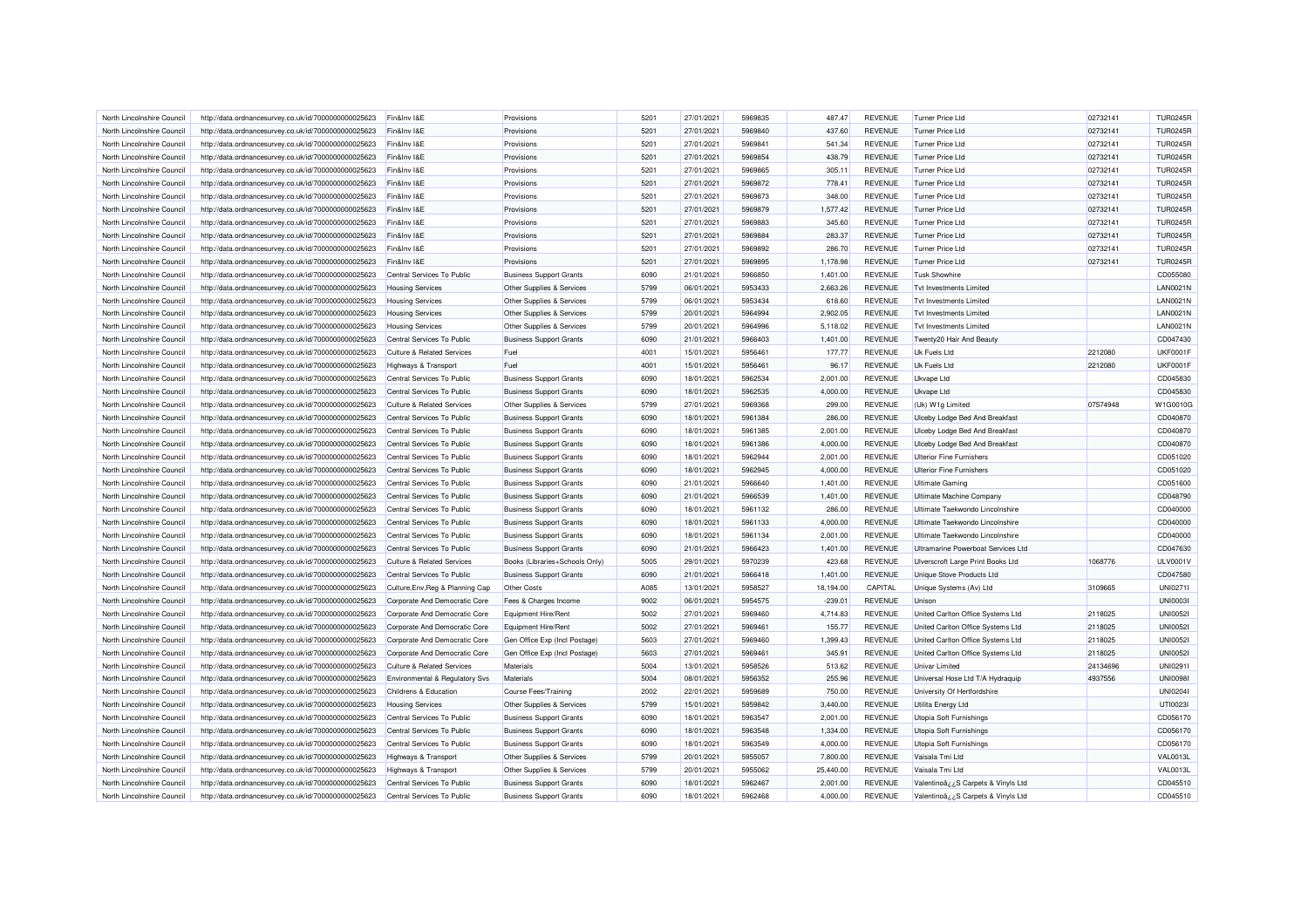| North Lincolnshire Council                               | http://data.ordnancesurvey.co.uk/id/7000000000025623                                                         | Fin&Inv I&E                                           | Provisions                                                       | 5201 | 27/01/2021               | 5969835 | 487.47               | <b>REVENUE</b> | <b>Turner Price Ltd</b>                       | 02732141 | <b>TUR0245R</b>      |
|----------------------------------------------------------|--------------------------------------------------------------------------------------------------------------|-------------------------------------------------------|------------------------------------------------------------------|------|--------------------------|---------|----------------------|----------------|-----------------------------------------------|----------|----------------------|
| North Lincolnshire Council                               | http://data.ordnancesurvey.co.uk/id/7000000000025623                                                         | Fin&Inv I&E                                           | Provisions                                                       | 5201 | 27/01/2021               | 5969840 | 437.60               | <b>REVENUE</b> | <b>Turner Price Ltd</b>                       | 02732141 | <b>TUR0245R</b>      |
| North Lincolnshire Council                               | http://data.ordnancesurvey.co.uk/id/7000000000025623                                                         | Fin&Inv I&E                                           | Provisions                                                       | 5201 | 27/01/2021               | 5969841 | 541.34               | <b>REVENUE</b> | <b>Turner Price Ltd</b>                       | 02732141 | <b>TUR0245R</b>      |
| North Lincolnshire Council                               | http://data.ordnancesurvey.co.uk/id/7000000000025623                                                         | Fin&Inv I&E                                           | Provisions                                                       | 5201 | 27/01/2021               | 5969854 | 438.79               | <b>REVENUE</b> | <b>Turner Price Ltd</b>                       | 02732141 | <b>TUR0245R</b>      |
| North Lincolnshire Council                               | http://data.ordnancesurvey.co.uk/id/7000000000025623                                                         | Fin&Inv I&E                                           | Provisions                                                       | 5201 | 27/01/2021               | 5969865 | 305.11               | <b>REVENUE</b> | <b>Turner Price Ltd</b>                       | 02732141 | <b>TUR0245R</b>      |
| North Lincolnshire Council                               | http://data.ordnancesurvey.co.uk/id/7000000000025623                                                         | Fin&Inv I&E                                           | Provisions                                                       | 5201 | 27/01/2021               | 5969872 | 778.41               | <b>REVENUE</b> | <b>Turner Price Ltd</b>                       | 02732141 | <b>TUR0245R</b>      |
| North Lincolnshire Council                               | http://data.ordnancesurvey.co.uk/id/7000000000025623                                                         | Fin&Inv I&E                                           | Provisions                                                       | 5201 | 27/01/2021               | 5969873 | 348.00               | <b>REVENUE</b> | <b>Turner Price Ltd</b>                       | 02732141 | <b>TUR0245R</b>      |
| North Lincolnshire Council                               | http://data.ordnancesurvey.co.uk/id/7000000000025623                                                         | Fin&Inv I&E                                           | Provisions                                                       | 5201 | 27/01/2021               | 5969879 | 1,577.42             | <b>REVENUE</b> | <b>Turner Price Ltd</b>                       | 02732141 | <b>TUR0245R</b>      |
| North Lincolnshire Council                               | http://data.ordnancesurvey.co.uk/id/7000000000025623                                                         | Fin&Inv I&E                                           | Provisions                                                       | 5201 | 27/01/2021               | 5969883 | 345.60               | <b>REVENUE</b> | <b>Turner Price Ltd</b>                       | 02732141 | <b>TUR0245R</b>      |
| North Lincolnshire Council                               | http://data.ordnancesurvey.co.uk/id/7000000000025623                                                         | Fin&Inv I&E                                           | Provisions                                                       | 5201 | 27/01/2021               | 5969884 | 283.37               | <b>REVENUE</b> | <b>Turner Price Ltd</b>                       | 02732141 | <b>TUR0245R</b>      |
| North Lincolnshire Council                               | http://data.ordnancesurvey.co.uk/id/7000000000025623                                                         | Fin&Inv I&E                                           | Provisions                                                       | 5201 | 27/01/2021               | 5969892 | 286.70               | <b>REVENUE</b> | <b>Turner Price Ltd</b>                       | 02732141 | <b>TUR0245R</b>      |
| North Lincolnshire Council                               | http://data.ordnancesurvey.co.uk/id/7000000000025623                                                         | Fin&Inv I&E                                           | Provisions                                                       | 5201 | 27/01/2021               | 5969895 | 1,178.98             | <b>REVENUE</b> | <b>Turner Price Ltd</b>                       | 02732141 | <b>TUR0245R</b>      |
| North Lincolnshire Council                               | http://data.ordnancesurvey.co.uk/id/7000000000025623                                                         | Central Services To Public                            | <b>Business Support Grants</b>                                   | 6090 | 21/01/2021               | 5966850 | 1,401.00             | <b>REVENUE</b> | <b>Tusk Showhire</b>                          |          | CD055080             |
|                                                          |                                                                                                              |                                                       | Other Supplies & Services                                        | 5799 | 06/01/2021               | 5953433 | 2,663.26             | <b>REVENUE</b> | <b>Tvt Investments Limited</b>                |          | <b>LAN0021N</b>      |
| North Lincolnshire Council<br>North Lincolnshire Council | http://data.ordnancesurvey.co.uk/id/7000000000025623                                                         | <b>Housing Services</b>                               |                                                                  | 5799 | 06/01/2021               | 5953434 | 618.60               | <b>REVENUE</b> | <b>Tvt Investments Limited</b>                |          | LAN0021N             |
| North Lincolnshire Council                               | http://data.ordnancesurvey.co.uk/id/7000000000025623<br>http://data.ordnancesurvey.co.uk/id/7000000000025623 | <b>Housing Services</b><br><b>Housing Services</b>    | Other Supplies & Services<br>Other Supplies & Services           | 5799 | 20/01/2021               | 5964994 | 2,902.05             | <b>REVENUE</b> | Tyt Investments I imited                      |          | LAN0021N             |
|                                                          |                                                                                                              |                                                       |                                                                  |      |                          |         |                      |                |                                               |          |                      |
| North Lincolnshire Council                               | http://data.ordnancesurvey.co.uk/id/7000000000025623                                                         | <b>Housing Services</b>                               | Other Supplies & Services                                        | 5799 | 20/01/2021               | 5964996 | 5,118.02             | <b>REVENUE</b> | <b>Tvt Investments Limited</b>                |          | <b>LAN0021N</b>      |
| North Lincolnshire Council                               | http://data.ordnancesurvey.co.uk/id/7000000000025623                                                         | Central Services To Public                            | <b>Business Support Grants</b>                                   | 6090 | 21/01/2021               | 5966403 | 1,401.00             | <b>REVENUE</b> | Twenty20 Hair And Beauty                      |          | CD047430             |
| North Lincolnshire Council                               | http://data.ordnancesurvey.co.uk/id/7000000000025623                                                         | <b>Culture &amp; Related Services</b>                 | Fuel                                                             | 4001 | 15/01/2021               | 5956461 | 177.77               | <b>REVENUE</b> | <b>Uk Fuels Ltd</b>                           | 2212080  | <b>UKF0001F</b>      |
| North Lincolnshire Council                               | http://data.ordnancesurvey.co.uk/id/7000000000025623                                                         | <b>Highways &amp; Transport</b>                       | Fuel                                                             | 4001 | 15/01/2021               | 5956461 | 96.17                | <b>REVENUE</b> | Uk Fuels Ltd                                  | 2212080  | <b>UKF0001F</b>      |
| North Lincolnshire Council                               | http://data.ordnancesurvey.co.uk/id/7000000000025623                                                         | Central Services To Public                            | <b>Business Support Grants</b>                                   | 6090 | 18/01/2021               | 5962534 | 2,001.00             | <b>REVENUE</b> | Ukvape Ltd                                    |          | CD045830             |
| North Lincolnshire Council                               | http://data.ordnancesurvey.co.uk/id/7000000000025623                                                         | Central Services To Public                            | <b>Business Support Grants</b>                                   | 6090 | 18/01/2021               | 5962535 | 4,000.00             | <b>REVENUE</b> | <b>Ukvape Ltd</b>                             |          | CD045830             |
| North Lincolnshire Council                               | http://data.ordnancesurvey.co.uk/id/7000000000025623                                                         | <b>Culture &amp; Related Services</b>                 | Other Supplies & Services                                        | 5799 | 27/01/2021               | 5969368 | 299.00               | <b>REVENUE</b> | (Uk) W1g Limited                              | 07574948 | W1G0010G             |
| North Lincolnshire Council                               | http://data.ordnancesurvey.co.uk/id/7000000000025623                                                         | Central Services To Public                            | <b>Business Support Grants</b>                                   | 6090 | 18/01/2021               | 5961384 | 286.00               | <b>REVENUE</b> | Ulceby Lodge Bed And Breakfast                |          | CD040870             |
| North Lincolnshire Council                               | http://data.ordnancesurvey.co.uk/id/7000000000025623                                                         | Central Services To Public                            | <b>Business Support Grants</b>                                   | 6090 | 18/01/2021               | 5961385 | 2,001.00             | <b>REVENUE</b> | Ulceby Lodge Bed And Breakfast                |          | CD040870             |
| North Lincolnshire Council                               | http://data.ordnancesurvey.co.uk/id/7000000000025623                                                         | Central Services To Public                            | <b>Business Support Grants</b>                                   | 6090 | 18/01/2021               | 5961386 | 4,000.00             | <b>REVENUE</b> | Ulceby Lodge Bed And Breakfast                |          | CD040870             |
| North Lincolnshire Council                               | http://data.ordnancesurvey.co.uk/id/7000000000025623                                                         | Central Services To Public                            | <b>Business Support Grants</b>                                   | 6090 | 18/01/2021               | 5962944 | 2,001.00             | <b>REVENUE</b> | <b>Ulterior Fine Furnishers</b>               |          | CD051020             |
| North Lincolnshire Council                               | http://data.ordnancesurvey.co.uk/id/7000000000025623                                                         | Central Services To Public                            | <b>Business Support Grants</b>                                   | 6090 | 18/01/2021               | 5962945 | 4,000.00             | <b>REVENUE</b> | <b>Ulterior Fine Furnishers</b>               |          | CD051020             |
| North Lincolnshire Council                               | http://data.ordnancesurvey.co.uk/id/7000000000025623                                                         | Central Services To Public                            | <b>Business Support Grants</b>                                   | 6090 | 21/01/2021               | 5966640 | 1,401.00             | <b>REVENUE</b> | <b>Ultimate Gaming</b>                        |          | CD051600             |
| North Lincolnshire Council                               | http://data.ordnancesurvey.co.uk/id/7000000000025623                                                         | Central Services To Public                            | <b>Business Support Grants</b>                                   | 6090 | 21/01/2021               | 5966539 | 1,401.00             | <b>REVENUE</b> | Ultimate Machine Company                      |          | CD048790             |
| North Lincolnshire Council                               | http://data.ordnancesurvey.co.uk/id/7000000000025623                                                         | Central Services To Public                            | <b>Business Support Grants</b>                                   | 6090 | 18/01/2021               | 5961132 | 286.00               | <b>REVENUE</b> | Ultimate Taekwondo Lincolnshire               |          | CD040000             |
| North Lincolnshire Council                               | http://data.ordnancesurvey.co.uk/id/7000000000025623                                                         | Central Services To Public                            | <b>Business Support Grants</b>                                   | 6090 | 18/01/2021               | 5961133 | 4,000.00             | <b>REVENUE</b> | Ultimate Taekwondo Lincolnshire               |          | CD040000             |
| North Lincolnshire Council                               | http://data.ordnancesurvey.co.uk/id/7000000000025623                                                         | Central Services To Public                            | <b>Business Support Grants</b>                                   | 6090 | 18/01/2021               | 5961134 | 2,001.00             | <b>REVENUE</b> | Ultimate Taekwondo Lincolnshire               |          | CD040000             |
| North Lincolnshire Council                               | http://data.ordnancesurvey.co.uk/id/7000000000025623                                                         | Central Services To Public                            | <b>Business Support Grants</b>                                   | 6090 | 21/01/2021               | 5966423 | 1,401.00             | <b>REVENUE</b> | Ultramarine Powerboat Services Ltd            |          | CD047630             |
| North Lincolnshire Council                               | http://data.ordnancesurvey.co.uk/id/7000000000025623                                                         | <b>Culture &amp; Related Services</b>                 | Books (Libraries+Schools Only)                                   | 5005 | 29/01/2021               | 5970239 | 423.68               | <b>REVENUE</b> | Ulverscroft Large Print Books Ltd             | 1068776  | ULV0001V             |
| North Lincolnshire Council                               | http://data.ordnancesurvey.co.uk/id/7000000000025623                                                         | Central Services To Public                            | <b>Business Support Grants</b>                                   | 6090 | 21/01/2021               | 5966418 | 1,401.00             | <b>REVENUE</b> | <b>Unique Stove Products Ltd</b>              |          | CD047580             |
| North Lincolnshire Council                               | http://data.ordnancesurvey.co.uk/id/7000000000025623                                                         | Culture, Env, Reg & Planning Cap                      | <b>Other Costs</b>                                               | A085 | 13/01/2021               | 5958527 | 18,194.00            | CAPITAL        | Unique Systems (Av) Ltd                       | 3109665  | UNI0271I             |
| North Lincolnshire Council                               | http://data.ordnancesurvey.co.uk/id/7000000000025623                                                         | Corporate And Democratic Core                         | Fees & Charges Income                                            | 9002 | 06/01/2021               | 5954575 | $-239.01$            | <b>REVENUE</b> | Unison                                        |          | <b>UNI0003I</b>      |
| North Lincolnshire Council                               | http://data.ordnancesurvey.co.uk/id/7000000000025623                                                         | Corporate And Democratic Core                         | Equipment Hire/Rent                                              | 5002 | 27/01/2021               | 5969460 | 4,714.83             | <b>REVENUE</b> | United Carlton Office Systems Ltd             | 2118025  | <b>UNI00521</b>      |
| North Lincolnshire Council                               | http://data.ordnancesurvey.co.uk/id/7000000000025623                                                         | Corporate And Democratic Core                         | Equipment Hire/Rent                                              | 5002 | 27/01/2021               | 5969461 | 155.77               | <b>REVENUE</b> | United Carlton Office Systems Ltd             | 2118025  | <b>UNI0052I</b>      |
| North Lincolnshire Council                               | http://data.ordnancesurvey.co.uk/id/7000000000025623                                                         | Corporate And Democratic Core                         | Gen Office Exp (Incl Postage)                                    | 5603 | 27/01/2021               | 5969460 | 1,399.43             | <b>REVENUE</b> | United Carlton Office Systems Ltd             | 2118025  | <b>UNI00521</b>      |
| North Lincolnshire Council                               | http://data.ordnancesurvey.co.uk/id/7000000000025623                                                         | Corporate And Democratic Core                         | Gen Office Exp (Incl Postage)                                    | 5603 | 27/01/2021               | 5969461 | 345.91               | <b>REVENUE</b> | United Carlton Office Systems Ltd             | 2118025  | <b>UNI0052I</b>      |
| North Lincolnshire Council                               | http://data.ordnancesurvey.co.uk/id/7000000000025623                                                         | <b>Culture &amp; Related Services</b>                 | Materials                                                        | 5004 | 13/01/2021               | 5958526 | 513.62               | <b>REVENUE</b> | Univar Limited                                | 24134696 | UNI0291              |
| North Lincolnshire Council                               | http://data.ordnancesurvey.co.uk/id/7000000000025623                                                         | Environmental & Regulatory Svs                        | <b>Materials</b>                                                 | 5004 | 08/01/2021               | 5956352 | 255.96               | <b>REVENUE</b> | Universal Hose Ltd T/A Hydraquip              | 4937556  | <b>UNI0098I</b>      |
| North Lincolnshire Council                               | http://data.ordnancesurvey.co.uk/id/7000000000025623                                                         | Childrens & Education                                 | <b>Course Fees/Training</b>                                      | 2002 | 22/01/2021               | 5959689 | 750.00               | <b>REVENUE</b> | University Of Hertfordshire                   |          | <b>UNI02041</b>      |
| North Lincolnshire Council                               |                                                                                                              |                                                       |                                                                  | 5799 |                          | 5959842 |                      | <b>REVENUE</b> |                                               |          |                      |
| North Lincolnshire Council                               | http://data.ordnancesurvey.co.uk/id/7000000000025623                                                         | <b>Housing Services</b><br>Central Services To Public | Other Supplies & Services                                        | 6090 | 15/01/2021<br>18/01/2021 | 5963547 | 3,440.00<br>2,001.00 | <b>REVENUE</b> | Utilita Energy Ltd<br>Utopia Soft Furnishings |          | UTI00231<br>CD056170 |
| North Lincolnshire Council                               | http://data.ordnancesurvey.co.uk/id/7000000000025623                                                         |                                                       | <b>Business Support Grants</b><br><b>Business Support Grants</b> | 6090 | 18/01/2021               | 5963548 | 1,334.00             | <b>REVENUE</b> | Utopia Soft Furnishings                       |          | CD056170             |
|                                                          | http://data.ordnancesurvey.co.uk/id/7000000000025623                                                         | Central Services To Public                            |                                                                  |      |                          |         |                      |                |                                               |          |                      |
| North Lincolnshire Council                               | http://data.ordnancesurvey.co.uk/id/7000000000025623                                                         | Central Services To Public                            | <b>Business Support Grants</b>                                   | 6090 | 18/01/2021               | 5963549 | 4,000.00             | <b>REVENUE</b> | Utopia Soft Furnishings                       |          | CD056170             |
| North Lincolnshire Council                               | http://data.ordnancesurvey.co.uk/id/7000000000025623                                                         | <b>Highways &amp; Transport</b>                       | Other Supplies & Services                                        | 5799 | 20/01/2021               | 5955057 | 7,800.00             | <b>REVENUE</b> | Vaisala Tmi Ltd                               |          | <b>VAL0013L</b>      |
| North Lincolnshire Council                               | http://data.ordnancesurvey.co.uk/id/7000000000025623                                                         | Highways & Transport                                  | Other Supplies & Services                                        | 5799 | 20/01/2021               | 5955062 | 25,440.00            | <b>REVENUE</b> | Vaisala Tmi Ltd                               |          | <b>VAL0013L</b>      |
| North Lincolnshire Council                               | http://data.ordnancesurvey.co.uk/id/7000000000025623                                                         | Central Services To Public                            | <b>Business Support Grants</b>                                   | 6090 | 18/01/2021               | 5962467 | 2,001.00             | <b>REVENUE</b> | Valentinoâ ¿¿S Carpets & Vinyls Ltd           |          | CD045510             |
| North Lincolnshire Council                               | http://data.ordnancesurvey.co.uk/id/7000000000025623                                                         | Central Services To Public                            | <b>Business Support Grants</b>                                   | 6090 | 18/01/2021               | 5962468 | 4,000.00             | <b>REVENUE</b> | Valentinoâ ¿¿S Carpets & Vinyls Ltd           |          | CD045510             |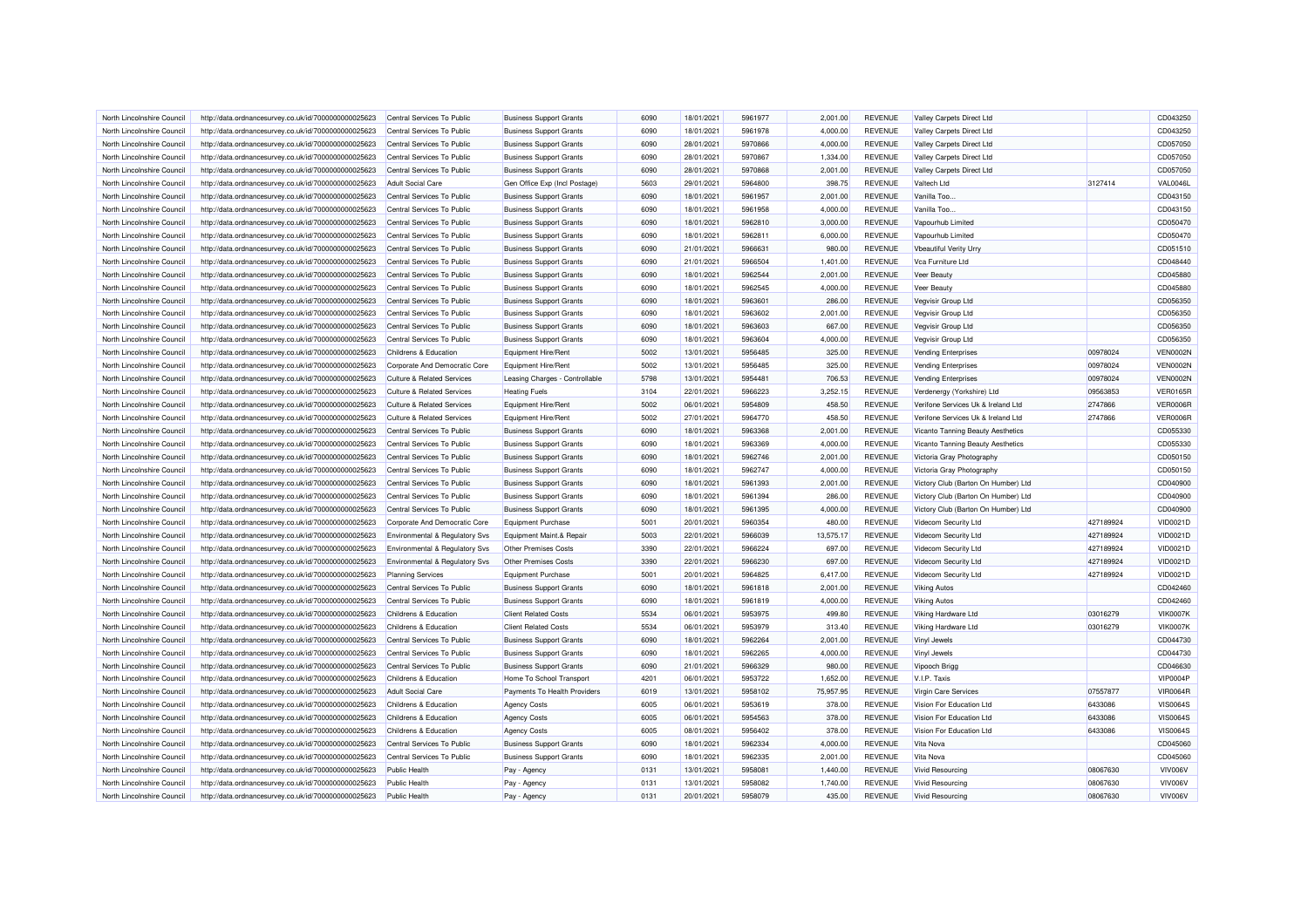| North Lincolnshire Council | http://data.ordnancesurvey.co.uk/id/7000000000025623                                                         | Central Services To Public                | <b>Business Support Grants</b> | 6090 | 18/01/2021 | 5961977 | 2.001.00  | <b>REVENUE</b> | Valley Carpets Direct Ltd           |           | CD043250        |
|----------------------------|--------------------------------------------------------------------------------------------------------------|-------------------------------------------|--------------------------------|------|------------|---------|-----------|----------------|-------------------------------------|-----------|-----------------|
| North Lincolnshire Council | http://data.ordnancesurvey.co.uk/id/7000000000025623                                                         | Central Services To Public                | <b>Business Support Grants</b> | 6090 | 18/01/2021 | 5961978 | 4,000.00  | <b>REVENUE</b> | <b>Valley Carpets Direct Ltd</b>    |           | CD043250        |
| North Lincolnshire Council | http://data.ordnancesurvey.co.uk/id/7000000000025623                                                         | Central Services To Public                | <b>Business Support Grants</b> | 6090 | 28/01/2021 | 5970866 | 4,000.00  | <b>REVENUE</b> | <b>Valley Carpets Direct Ltd</b>    |           | CD057050        |
| North Lincolnshire Council | http://data.ordnancesurvey.co.uk/id/7000000000025623                                                         | Central Services To Public                | <b>Business Support Grants</b> | 6090 | 28/01/2021 | 5970867 | 1,334.00  | <b>REVENUE</b> | Valley Carpets Direct Ltd           |           | CD057050        |
| North Lincolnshire Council | http://data.ordnancesurvey.co.uk/id/7000000000025623                                                         | Central Services To Public                | <b>Business Support Grants</b> | 6090 | 28/01/2021 | 5970868 | 2,001.00  | <b>REVENUE</b> | Valley Carpets Direct Ltd           |           | CD057050        |
| North Lincolnshire Council | http://data.ordnancesurvey.co.uk/id/7000000000025623                                                         | <b>Adult Social Care</b>                  | Gen Office Exp (Incl Postage)  | 5603 | 29/01/2021 | 5964800 | 398.75    | <b>REVENUE</b> | Valtech Ltd                         | 3127414   | <b>VAL0046L</b> |
| North Lincolnshire Council | http://data.ordnancesurvey.co.uk/id/7000000000025623                                                         | Central Services To Public                | <b>Business Support Grants</b> | 6090 | 18/01/2021 | 5961957 | 2,001.00  | <b>REVENUE</b> | Vanilla Too.                        |           | CD043150        |
| North Lincolnshire Council | http://data.ordnancesurvey.co.uk/id/7000000000025623                                                         | Central Services To Public                | <b>Business Support Grants</b> | 6090 | 18/01/2021 | 5961958 | 4,000.00  | <b>REVENUE</b> | Vanilla Too.                        |           | CD043150        |
| North Lincolnshire Council | http://data.ordnancesurvey.co.uk/id/7000000000025623                                                         | Central Services To Public                | <b>Business Support Grants</b> | 6090 | 18/01/2021 | 5962810 | 3,000.00  | <b>REVENUE</b> | Vapourhub Limited                   |           | CD050470        |
| North Lincolnshire Council | http://data.ordnancesurvey.co.uk/id/7000000000025623                                                         | Central Services To Public                | <b>Business Support Grants</b> | 6090 | 18/01/2021 | 5962811 | 6,000.00  | <b>REVENUE</b> | Vapourhub Limited                   |           | CD050470        |
| North Lincolnshire Council | http://data.ordnancesurvey.co.uk/id/7000000000025623                                                         | Central Services To Public                | <b>Business Support Grants</b> | 6090 | 21/01/2021 | 5966631 | 980.00    | <b>REVENUE</b> | Vbeautiful Verity Urry              |           | CD051510        |
| North Lincolnshire Council | http://data.ordnancesurvey.co.uk/id/7000000000025623                                                         | Central Services To Public                | <b>Business Support Grants</b> | 6090 | 21/01/2021 | 5966504 | 1,401.00  | <b>REVENUE</b> | Vca Furniture Ltd                   |           | CD048440        |
| North Lincolnshire Council | http://data.ordnancesurvey.co.uk/id/7000000000025623                                                         | Central Services To Public                | <b>Business Support Grants</b> | 6090 | 18/01/2021 | 5962544 | 2,001.00  | <b>REVENUE</b> | Veer Beauty                         |           | CD045880        |
| North Lincolnshire Council | http://data.ordnancesurvey.co.uk/id/7000000000025623                                                         | Central Services To Public                | <b>Business Support Grants</b> | 6090 | 18/01/2021 | 5962545 | 4,000.00  | <b>REVENUE</b> | Veer Beauty                         |           | CD045880        |
| North Lincolnshire Council | http://data.ordnancesurvey.co.uk/id/7000000000025623                                                         | Central Services To Public                | <b>Business Support Grants</b> | 6090 | 18/01/2021 | 5963601 | 286.00    | <b>REVENUE</b> | Vegvisir Group Ltd                  |           | CD056350        |
| North Lincolnshire Council | http://data.ordnancesurvey.co.uk/id/7000000000025623                                                         | Central Services To Public                | <b>Business Support Grants</b> | 6090 | 18/01/2021 | 5963602 | 2,001.00  | <b>REVENUE</b> | Vegvisir Group Ltd                  |           | CD056350        |
| North Lincolnshire Council | http://data.ordnancesurvey.co.uk/id/7000000000025623                                                         | Central Services To Public                | <b>Business Support Grants</b> | 6090 | 18/01/2021 | 5963603 | 667.00    | <b>REVENUE</b> | Vegvisir Group Ltd                  |           | CD056350        |
| North Lincolnshire Council | http://data.ordnancesurvey.co.uk/id/7000000000025623                                                         | Central Services To Public                | <b>Business Support Grants</b> | 6090 | 18/01/2021 | 5963604 | 4,000.00  | <b>REVENUE</b> | Vegvisir Group Ltd                  |           | CD056350        |
| North Lincolnshire Council | http://data.ordnancesurvey.co.uk/id/7000000000025623                                                         | Childrens & Education                     | Equipment Hire/Rent            | 5002 | 13/01/2021 | 5956485 | 325.00    | <b>REVENUE</b> | <b>Vending Enterprises</b>          | 00978024  | <b>VEN0002N</b> |
| North Lincolnshire Council | http://data.ordnancesurvey.co.uk/id/7000000000025623                                                         | Corporate And Democratic Core             | Equipment Hire/Rent            | 5002 | 13/01/2021 | 5956485 | 325.00    | <b>REVENUE</b> | <b>Vending Enterprises</b>          | 00978024  | <b>VEN0002N</b> |
| North Lincolnshire Council | http://data.ordnancesurvey.co.uk/id/7000000000025623                                                         | <b>Culture &amp; Related Services</b>     | Leasing Charges - Controllable | 5798 | 13/01/2021 | 5954481 | 706.53    | <b>REVENUE</b> | <b>Vending Enterprises</b>          | 00978024  | <b>VEN0002N</b> |
| North Lincolnshire Council |                                                                                                              | Culture & Related Services                | <b>Heating Fuels</b>           | 3104 | 22/01/2021 | 5966223 | 3,252.15  | <b>REVENUE</b> | Verdenergy (Yorkshire) Ltd          | 09563853  | <b>VER0165R</b> |
| North Lincolnshire Council | http://data.ordnancesurvey.co.uk/id/7000000000025623<br>http://data.ordnancesurvey.co.uk/id/7000000000025623 | <b>Culture &amp; Related Services</b>     | <b>Equipment Hire/Rent</b>     | 5002 | 06/01/2021 | 5954809 | 458.50    | <b>REVENUE</b> | Verifone Services Uk & Ireland Ltd  | 2747866   | <b>VER0006R</b> |
|                            |                                                                                                              |                                           |                                |      |            |         |           |                |                                     |           |                 |
| North Lincolnshire Council | http://data.ordnancesurvey.co.uk/id/7000000000025623                                                         | <b>Culture &amp; Related Services</b>     | Equipment Hire/Rent            | 5002 | 27/01/2021 | 5964770 | 458.50    | <b>REVENUE</b> | Verifone Services Uk & Ireland Ltd  | 2747866   | <b>VER0006F</b> |
| North Lincolnshire Council | http://data.ordnancesurvey.co.uk/id/7000000000025623                                                         | Central Services To Public                | <b>Business Support Grants</b> | 6090 | 18/01/2021 | 5963368 | 2,001.00  | <b>REVENUE</b> | Vicanto Tanning Beauty Aesthetics   |           | CD055330        |
| North Lincolnshire Council | http://data.ordnancesurvey.co.uk/id/7000000000025623                                                         | Central Services To Public                | <b>Business Support Grants</b> | 6090 | 18/01/2021 | 5963369 | 4,000.00  | <b>REVENUE</b> | Vicanto Tanning Beauty Aesthetics   |           | CD055330        |
| North Lincolnshire Council | http://data.ordnancesurvey.co.uk/id/7000000000025623                                                         | Central Services To Public                | <b>Business Support Grants</b> | 6090 | 18/01/2021 | 5962746 | 2,001.00  | <b>REVENUE</b> | Victoria Gray Photography           |           | CD050150        |
| North Lincolnshire Council | http://data.ordnancesurvey.co.uk/id/7000000000025623                                                         | Central Services To Public                | <b>Business Support Grants</b> | 6090 | 18/01/2021 | 5962747 | 4.000.00  | <b>REVENUE</b> | Victoria Gray Photography           |           | CD050150        |
| North Lincolnshire Council | http://data.ordnancesurvey.co.uk/id/7000000000025623                                                         | Central Services To Public                | <b>Business Support Grants</b> | 6090 | 18/01/2021 | 5961393 | 2,001.00  | <b>REVENUE</b> | Victory Club (Barton On Humber) Ltd |           | CD040900        |
| North Lincolnshire Council | http://data.ordnancesurvey.co.uk/id/7000000000025623                                                         | Central Services To Public                | <b>Business Support Grants</b> | 6090 | 18/01/2021 | 5961394 | 286.00    | REVENUE        | Victory Club (Barton On Humber) Ltd |           | CD040900        |
| North Lincolnshire Council | http://data.ordnancesurvey.co.uk/id/7000000000025623                                                         | Central Services To Public                | <b>Business Support Grants</b> | 6090 | 18/01/2021 | 5961395 | 4,000.00  | <b>REVENUE</b> | Victory Club (Barton On Humber) Ltd |           | CD040900        |
| North Lincolnshire Council | http://data.ordnancesurvey.co.uk/id/7000000000025623                                                         | Corporate And Democratic Core             | Equipment Purchase             | 5001 | 20/01/2021 | 5960354 | 480.00    | <b>REVENUE</b> | Videcom Security Ltd                | 427189924 | VID0021D        |
| North Lincolnshire Council | http://data.ordnancesurvey.co.uk/id/7000000000025623                                                         | Environmental & Regulatory Svs            | Equipment Maint.& Repair       | 5003 | 22/01/2021 | 5966039 | 13,575.17 | <b>REVENUE</b> | Videcom Security Ltd                | 427189924 | VID0021D        |
| North Lincolnshire Council | http://data.ordnancesurvey.co.uk/id/7000000000025623                                                         | Environmental & Regulatory Svs            | Other Premises Costs           | 3390 | 22/01/2021 | 5966224 | 697.00    | <b>REVENUE</b> | Videcom Security Ltd                | 427189924 | <b>VID0021D</b> |
| North Lincolnshire Council | http://data.ordnancesurvey.co.uk/id/7000000000025623                                                         | <b>Environmental &amp; Regulatory Svs</b> | Other Premises Costs           | 3390 | 22/01/2021 | 5966230 | 697.00    | <b>REVENUE</b> | Videcom Security Ltd                | 427189924 | VID0021D        |
| North Lincolnshire Council | http://data.ordnancesurvey.co.uk/id/7000000000025623                                                         | <b>Planning Services</b>                  | <b>Equipment Purchase</b>      | 5001 | 20/01/2021 | 5964825 | 6,417.00  | <b>REVENUE</b> | Videcom Security Ltd                | 427189924 | <b>VID0021D</b> |
| North Lincolnshire Council | http://data.ordnancesurvey.co.uk/id/7000000000025623                                                         | Central Services To Public                | <b>Business Support Grants</b> | 6090 | 18/01/2021 | 5961818 | 2,001.00  | <b>REVENUE</b> | <b>Viking Autos</b>                 |           | CD042460        |
| North Lincolnshire Council | http://data.ordnancesurvey.co.uk/id/7000000000025623                                                         | Central Services To Public                | <b>Business Support Grants</b> | 6090 | 18/01/2021 | 5961819 | 4,000.00  | <b>REVENUE</b> | <b>Viking Autos</b>                 |           | CD042460        |
| North Lincolnshire Council | http://data.ordnancesurvey.co.uk/id/7000000000025623                                                         | Childrens & Education                     | <b>Client Related Costs</b>    | 5534 | 06/01/2021 | 5953975 | 499.80    | <b>REVENUE</b> | Viking Hardware Ltd                 | 03016279  | <b>VIK0007K</b> |
| North Lincolnshire Council | http://data.ordnancesurvey.co.uk/id/7000000000025623                                                         | <b>Childrens &amp; Education</b>          | <b>Client Related Costs</b>    | 5534 | 06/01/2021 | 5953979 | 313.40    | <b>REVENUE</b> | Viking Hardware Ltd                 | 03016279  | <b>VIK0007K</b> |
| North Lincolnshire Council | http://data.ordnancesurvey.co.uk/id/7000000000025623                                                         | Central Services To Public                | <b>Business Support Grants</b> | 6090 | 18/01/2021 | 5962264 | 2,001.00  | <b>REVENUE</b> | Vinyl Jewels                        |           | CD044730        |
| North Lincolnshire Council | http://data.ordnancesurvey.co.uk/id/7000000000025623                                                         | Central Services To Public                | <b>Business Support Grants</b> | 6090 | 18/01/2021 | 5962265 | 4.000.00  | <b>REVENUE</b> | Vinyl Jewels                        |           | CD044730        |
| North Lincolnshire Council | http://data.ordnancesurvey.co.uk/id/7000000000025623                                                         | Central Services To Public                | <b>Business Support Grants</b> | 6090 | 21/01/2021 | 5966329 | 980.00    | <b>REVENUE</b> | Vipooch Brigg                       |           | CD046630        |
| North Lincolnshire Council | http://data.ordnancesurvey.co.uk/id/7000000000025623                                                         | Childrens & Education                     | Home To School Transport       | 4201 | 06/01/2021 | 5953722 | 1,652.00  | <b>REVENUE</b> | V.I.P. Taxis                        |           | <b>VIP0004P</b> |
| North Lincolnshire Council | http://data.ordnancesurvey.co.uk/id/7000000000025623                                                         | <b>Adult Social Care</b>                  | Payments To Health Providers   | 6019 | 13/01/2021 | 5958102 | 75,957.95 | <b>REVENUE</b> | Virgin Care Services                | 07557877  | <b>VIR0064R</b> |
| North Lincolnshire Council | http://data.ordnancesurvey.co.uk/id/7000000000025623                                                         | Childrens & Education                     | <b>Agency Costs</b>            | 6005 | 06/01/2021 | 5953619 | 378.00    | <b>REVENUE</b> | Vision For Education Ltd            | 6433086   | <b>VIS0064S</b> |
| North Lincolnshire Council | http://data.ordnancesurvey.co.uk/id/7000000000025623                                                         | Childrens & Education                     | <b>Agency Costs</b>            | 6005 | 06/01/2021 | 5954563 | 378.00    | <b>REVENUE</b> | Vision For Education Ltd            | 6433086   | <b>VIS0064S</b> |
| North Lincolnshire Council | http://data.ordnancesurvey.co.uk/id/7000000000025623                                                         | Childrens & Education                     | <b>Agency Costs</b>            | 6005 | 08/01/2021 | 5956402 | 378.00    | <b>REVENUE</b> | Vision For Education Ltd            | 6433086   | <b>VIS0064S</b> |
| North Lincolnshire Council | http://data.ordnancesurvey.co.uk/id/7000000000025623                                                         | Central Services To Public                | <b>Business Support Grants</b> | 6090 | 18/01/2021 | 5962334 | 4,000.00  | <b>REVENUE</b> | Vita Nova                           |           | CD045060        |
| North Lincolnshire Council | http://data.ordnancesurvey.co.uk/id/7000000000025623                                                         | Central Services To Public                | <b>Business Support Grants</b> | 6090 | 18/01/2021 | 5962335 | 2,001.00  | <b>REVENUE</b> | Vita Nova                           |           | CD045060        |
| North Lincolnshire Council | http://data.ordnancesurvey.co.uk/id/7000000000025623                                                         | <b>Public Health</b>                      | Pay - Agency                   | 0131 | 13/01/2021 | 5958081 | 1,440.00  | <b>REVENUE</b> | <b>Vivid Resourcing</b>             | 08067630  | VIV006V         |
| North Lincolnshire Council | http://data.ordnancesurvey.co.uk/id/7000000000025623                                                         | <b>Public Health</b>                      | Pay - Agency                   | 0131 | 13/01/2021 | 5958082 | 1,740.00  | <b>REVENUE</b> | <b>Vivid Resourcing</b>             | 08067630  | VIV006V         |
| North Lincolnshire Council | http://data.ordnancesurvey.co.uk/id/7000000000025623                                                         | <b>Public Health</b>                      | Pay - Agency                   | 0131 | 20/01/2021 | 5958079 | 435.00    | <b>REVENUE</b> | <b>Vivid Resourcing</b>             | 08067630  | VIV006V         |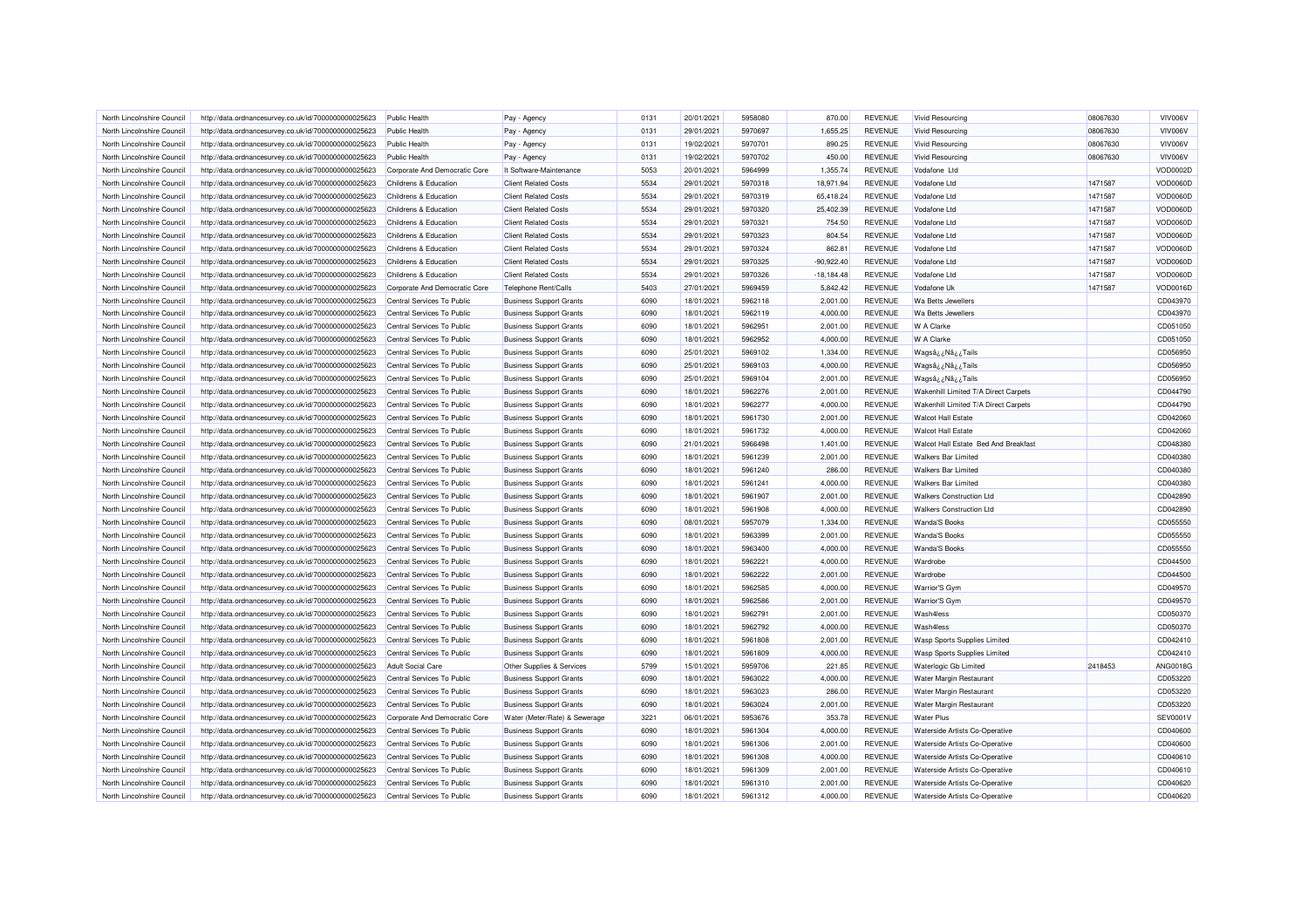| North Lincolnshire Council                               | http://data.ordnancesurvey.co.uk/id/7000000000025623 | Public Health                                            | Pay - Agency                   | 0131         | 20/01/2021               | 5958080            | 870.00               | <b>REVENUE</b>                   | Vivid Resourcing                                                             | 08067630 | VIV006V              |
|----------------------------------------------------------|------------------------------------------------------|----------------------------------------------------------|--------------------------------|--------------|--------------------------|--------------------|----------------------|----------------------------------|------------------------------------------------------------------------------|----------|----------------------|
| North Lincolnshire Council                               | http://data.ordnancesurvey.co.uk/id/7000000000025623 | Public Health                                            | Pay - Agency                   | 0131         | 29/01/2021               | 5970697            | 1,655.25             | <b>REVENUE</b>                   | <b>Vivid Resourcing</b>                                                      | 08067630 | VIV006V              |
| North Lincolnshire Council                               | http://data.ordnancesurvey.co.uk/id/7000000000025623 | <b>Public Health</b>                                     | Pay - Agency                   | 0131         | 19/02/2021               | 5970701            | 890.25               | <b>REVENUE</b>                   | <b>Vivid Resourcing</b>                                                      | 08067630 | VIV006V              |
| North Lincolnshire Council                               | http://data.ordnancesurvey.co.uk/id/7000000000025623 | <b>Public Health</b>                                     | Pay - Agency                   | 0131         | 19/02/2021               | 5970702            | 450.00               | <b>REVENUE</b>                   | <b>Vivid Resourcing</b>                                                      | 08067630 | VIV006V              |
| North Lincolnshire Council                               | http://data.ordnancesurvey.co.uk/id/7000000000025623 | Corporate And Democratic Core                            | It Software-Maintenance        | 5053         | 20/01/2021               | 5964999            | 1,355.74             | <b>REVENUE</b>                   | Vodafone Ltd                                                                 |          | VOD0002D             |
| North Lincolnshire Council                               | http://data.ordnancesurvey.co.uk/id/7000000000025623 | Childrens & Education                                    | <b>Client Related Costs</b>    | 5534         | 29/01/2021               | 5970318            | 18,971.94            | <b>REVENUE</b>                   | Vodafone Ltd                                                                 | 1471587  | VOD0060D             |
| North Lincolnshire Council                               | http://data.ordnancesurvey.co.uk/id/7000000000025623 | Childrens & Education                                    | <b>Client Related Costs</b>    | 5534         | 29/01/2021               | 5970319            | 65,418.24            | <b>REVENUE</b>                   | Vodafone Ltd                                                                 | 1471587  | VOD0060D             |
| North Lincolnshire Council                               | http://data.ordnancesurvey.co.uk/id/7000000000025623 | <b>Childrens &amp; Education</b>                         | <b>Client Related Costs</b>    | 5534         | 29/01/2021               | 5970320            | 25,402.39            | <b>REVENUE</b>                   | Vodafone I td                                                                | 1471587  | VOD0060D             |
| North Lincolnshire Council                               | http://data.ordnancesurvey.co.uk/id/7000000000025623 | Childrens & Education                                    | <b>Client Related Costs</b>    | 5534         | 29/01/2021               | 5970321            | 754.50               | <b>REVENUE</b>                   | Vodafone Ltd                                                                 | 1471587  | VOD0060D             |
| North Lincolnshire Council                               | http://data.ordnancesurvey.co.uk/id/7000000000025623 | Childrens & Education                                    | <b>Client Related Costs</b>    | 5534         | 29/01/2021               | 5970323            | 804.54               | <b>REVENUE</b>                   | Vodafone Ltd                                                                 | 1471587  | VOD0060D             |
| North Lincolnshire Council                               | http://data.ordnancesurvey.co.uk/id/7000000000025623 | Childrens & Education                                    | <b>Client Related Costs</b>    | 5534         | 29/01/2021               | 5970324            | 862.81               | <b>REVENUE</b>                   | Vodafone Ltd                                                                 | 1471587  | VOD0060D             |
| North Lincolnshire Council                               | http://data.ordnancesurvey.co.uk/id/7000000000025623 | Childrens & Education                                    | <b>Client Related Costs</b>    | 5534         | 29/01/2021               | 5970325            | $-90,922.40$         | <b>REVENUE</b>                   | Vodafone Ltd                                                                 | 1471587  | VOD0060D             |
| North Lincolnshire Council                               | http://data.ordnancesurvey.co.uk/id/7000000000025623 | Childrens & Education                                    | <b>Client Related Costs</b>    | 5534         | 29/01/2021               | 5970326            | $-18,184.48$         | <b>REVENUE</b>                   | Vodafone Ltd                                                                 | 1471587  | VOD0060D             |
| North Lincolnshire Council                               | http://data.ordnancesurvey.co.uk/id/7000000000025623 | Corporate And Democratic Core                            | Telephone Rent/Calls           | 5403         | 27/01/2021               | 5969459            | 5,842.42             | <b>REVENUE</b>                   | Vodafone Uk                                                                  | 1471587  | <b>VOD0016D</b>      |
| North Lincolnshire Council                               | http://data.ordnancesurvey.co.uk/id/7000000000025623 | Central Services To Public                               | <b>Business Support Grants</b> | 6090         | 18/01/2021               | 5962118            | 2,001.00             | <b>REVENUE</b>                   | Wa Betts Jewellers                                                           |          | CD043970             |
| North Lincolnshire Council                               | http://data.ordnancesurvey.co.uk/id/7000000000025623 | Central Services To Public                               | <b>Business Support Grants</b> | 6090         | 18/01/2021               | 5962119            | 4,000.00             | <b>REVENUE</b>                   | Wa Betts Jewellers                                                           |          | CD043970             |
| North Lincolnshire Council                               | http://data.ordnancesurvey.co.uk/id/7000000000025623 | Central Services To Public                               | <b>Business Support Grants</b> | 6090         | 18/01/2021               | 5962951            | 2,001.00             | <b>REVENUE</b>                   | W A Clarke                                                                   |          | CD051050             |
| North Lincolnshire Council                               | http://data.ordnancesurvey.co.uk/id/7000000000025623 | Central Services To Public                               | <b>Business Support Grants</b> | 6090         | 18/01/2021               | 5962952            | 4,000.00             | <b>REVENUE</b>                   | W A Clarke                                                                   |          | CD051050             |
| North Lincolnshire Council                               | http://data.ordnancesurvey.co.uk/id/7000000000025623 | Central Services To Public                               | <b>Business Support Grants</b> | 6090         | 25/01/2021               | 5969102            | 1,334.00             | <b>REVENUE</b>                   | Wagsâ ¿Nâ ¿Tails                                                             |          | CD056950             |
| North Lincolnshire Council                               | http://data.ordnancesurvey.co.uk/id/7000000000025623 | Central Services To Public                               | <b>Business Support Grants</b> | 6090         | 25/01/2021               | 5969103            | 4,000.00             | <b>REVENUE</b>                   |                                                                              |          | CD056950             |
| North Lincolnshire Council                               | http://data.ordnancesurvey.co.uk/id/7000000000025623 | Central Services To Public                               | <b>Business Support Grants</b> | 6090         | 25/01/2021               | 5969104            | 2,001.00             | <b>REVENUE</b>                   | Wagsâ ¿ Nâ ¿ Tails<br>Wagsâ ¿Nâ ¿Tails                                       |          | CD056950             |
|                                                          |                                                      |                                                          |                                |              |                          |                    |                      |                                  |                                                                              |          |                      |
| North Lincolnshire Council<br>North Lincolnshire Council | http://data.ordnancesurvey.co.uk/id/7000000000025623 | Central Services To Public<br>Central Services To Public | <b>Business Support Grants</b> | 6090<br>6090 | 18/01/2021<br>18/01/2021 | 5962276<br>5962277 | 2,001.00<br>4.000.00 | <b>REVENUE</b><br><b>REVENUE</b> | Wakenhill Limited T/A Direct Carpets<br>Wakenhill Limited T/A Direct Carpets |          | CD044790<br>CD044790 |
|                                                          | http://data.ordnancesurvey.co.uk/id/7000000000025623 |                                                          | <b>Business Support Grants</b> |              |                          |                    |                      |                                  |                                                                              |          |                      |
| North Lincolnshire Council                               | http://data.ordnancesurvey.co.uk/id/7000000000025623 | Central Services To Public                               | <b>Business Support Grants</b> | 6090         | 18/01/2021               | 5961730            | 2,001.00             | <b>REVENUE</b>                   | <b>Walcot Hall Estate</b>                                                    |          | CD042060             |
| North Lincolnshire Council                               | http://data.ordnancesurvey.co.uk/id/7000000000025623 | Central Services To Public                               | <b>Business Support Grants</b> | 6090         | 18/01/2021               | 5961732            | 4,000.00             | <b>REVENUE</b>                   | <b>Walcot Hall Estate</b>                                                    |          | CD042060             |
| North Lincolnshire Council                               | http://data.ordnancesurvey.co.uk/id/7000000000025623 | Central Services To Public                               | <b>Business Support Grants</b> | 6090         | 21/01/2021               | 5966498            | 1,401.00             | <b>REVENUE</b>                   | Walcot Hall Estate Bed And Breakfast                                         |          | CD048380             |
| North Lincolnshire Council                               | http://data.ordnancesurvey.co.uk/id/7000000000025623 | Central Services To Public                               | <b>Business Support Grants</b> | 6090         | 18/01/2021               | 5961239            | 2,001.00             | <b>REVENUE</b>                   | <b>Walkers Bar Limited</b>                                                   |          | CD040380             |
| North Lincolnshire Council                               | http://data.ordnancesurvey.co.uk/id/7000000000025623 | Central Services To Public                               | <b>Business Support Grants</b> | 6090         | 18/01/2021               | 5961240            | 286.00               | <b>REVENUE</b>                   | <b>Walkers Bar Limited</b>                                                   |          | CD040380             |
| North Lincolnshire Council                               | http://data.ordnancesurvey.co.uk/id/7000000000025623 | Central Services To Public                               | <b>Business Support Grants</b> | 6090         | 18/01/2021               | 5961241            | 4,000.00             | <b>REVENUE</b>                   | <b>Walkers Bar Limited</b>                                                   |          | CD040380             |
| North Lincolnshire Council                               | http://data.ordnancesurvey.co.uk/id/7000000000025623 | Central Services To Public                               | <b>Business Support Grants</b> | 6090         | 18/01/2021               | 5961907            | 2,001.00             | <b>REVENUE</b>                   | <b>Walkers Construction Ltd</b>                                              |          | CD042890             |
| North Lincolnshire Council                               | http://data.ordnancesurvey.co.uk/id/7000000000025623 | Central Services To Public                               | <b>Business Support Grants</b> | 6090         | 18/01/2021               | 5961908            | 4,000.00             | <b>REVENUE</b>                   | <b>Walkers Construction Ltd</b>                                              |          | CD042890             |
| North Lincolnshire Council                               | http://data.ordnancesurvey.co.uk/id/7000000000025623 | Central Services To Public                               | <b>Business Support Grants</b> | 6090         | 08/01/2021               | 5957079            | 1,334.00             | <b>REVENUE</b>                   | <b>Wanda'S Books</b>                                                         |          | CD055550             |
| North Lincolnshire Council                               | http://data.ordnancesurvey.co.uk/id/7000000000025623 | Central Services To Public                               | <b>Business Support Grants</b> | 6090         | 18/01/2021               | 5963399            | 2,001.00             | <b>REVENUE</b>                   | <b>Wanda'S Books</b>                                                         |          | CD055550             |
| North Lincolnshire Council                               | http://data.ordnancesurvey.co.uk/id/7000000000025623 | Central Services To Public                               | <b>Business Support Grants</b> | 6090         | 18/01/2021               | 5963400            | 4,000.00             | <b>REVENUE</b>                   | <b>Wanda'S Books</b>                                                         |          | CD055550             |
| North Lincolnshire Council                               | http://data.ordnancesurvey.co.uk/id/7000000000025623 | Central Services To Public                               | <b>Business Support Grants</b> | 6090         | 18/01/2021               | 5962221            | 4,000.00             | <b>REVENUE</b>                   | Wardrobe                                                                     |          | CD044500             |
| North Lincolnshire Council                               | http://data.ordnancesurvey.co.uk/id/7000000000025623 | Central Services To Public                               | <b>Business Support Grants</b> | 6090         | 18/01/2021               | 5962222            | 2,001.00             | <b>REVENUE</b>                   | Wardrobe                                                                     |          | CD044500             |
| North Lincolnshire Council                               | http://data.ordnancesurvey.co.uk/id/7000000000025623 | Central Services To Public                               | <b>Business Support Grants</b> | 6090         | 18/01/2021               | 5962585            | 4,000.00             | <b>REVENUE</b>                   | Warrior'S Gym                                                                |          | CD049570             |
| North Lincolnshire Council                               | http://data.ordnancesurvey.co.uk/id/7000000000025623 | Central Services To Public                               | <b>Business Support Grants</b> | 6090         | 18/01/2021               | 5962586            | 2,001.00             | <b>REVENUE</b>                   | Warrior'S Gym                                                                |          | CD049570             |
| North Lincolnshire Council                               | http://data.ordnancesurvey.co.uk/id/7000000000025623 | Central Services To Public                               | <b>Business Support Grants</b> | 6090         | 18/01/2021               | 5962791            | 2,001.00             | <b>REVENUE</b>                   | Wash4less                                                                    |          | CD050370             |
| North Lincolnshire Council                               | http://data.ordnancesurvey.co.uk/id/7000000000025623 | Central Services To Public                               | <b>Business Support Grants</b> | 6090         | 18/01/2021               | 5962792            | 4,000.00             | <b>REVENUE</b>                   | Wash4less                                                                    |          | CD050370             |
| North Lincolnshire Council                               | http://data.ordnancesurvey.co.uk/id/7000000000025623 | Central Services To Public                               | <b>Business Support Grants</b> | 6090         | 18/01/2021               | 5961808            | 2,001.00             | <b>REVENUE</b>                   | Wasp Sports Supplies Limited                                                 |          | CD042410             |
| North Lincolnshire Council                               | http://data.ordnancesurvey.co.uk/id/7000000000025623 | Central Services To Public                               | <b>Business Support Grants</b> | 6090         | 18/01/2021               | 5961809            | 4,000.00             | <b>REVENUE</b>                   | Wasp Sports Supplies Limited                                                 |          | CD042410             |
| North Lincolnshire Council                               | http://data.ordnancesurvey.co.uk/id/7000000000025623 | <b>Adult Social Care</b>                                 | Other Supplies & Services      | 5799         | 15/01/2021               | 5959706            | 221.85               | <b>REVENUE</b>                   | Waterlogic Gb Limited                                                        | 2418453  | <b>ANG0018G</b>      |
| North Lincolnshire Council                               | http://data.ordnancesurvey.co.uk/id/7000000000025623 | Central Services To Public                               | <b>Business Support Grants</b> | 6090         | 18/01/2021               | 5963022            | 4,000.00             | <b>REVENUE</b>                   | Water Margin Restaurant                                                      |          | CD053220             |
| North Lincolnshire Council                               | http://data.ordnancesurvey.co.uk/id/7000000000025623 | Central Services To Public                               | <b>Business Support Grants</b> | 6090         | 18/01/2021               | 5963023            | 286.00               | <b>REVENUE</b>                   | Water Margin Restaurant                                                      |          | CD053220             |
| North Lincolnshire Council                               | http://data.ordnancesurvey.co.uk/id/7000000000025623 | Central Services To Public                               | <b>Business Support Grants</b> | 6090         | 18/01/2021               | 5963024            | 2,001.00             | <b>REVENUE</b>                   | Water Margin Restaurant                                                      |          | CD053220             |
| North Lincolnshire Council                               | http://data.ordnancesurvey.co.uk/id/7000000000025623 | Corporate And Democratic Core                            | Water (Meter/Rate) & Sewerage  | 3221         | 06/01/2021               | 5953676            | 353.78               | <b>REVENUE</b>                   | <b>Water Plus</b>                                                            |          | SEV0001\             |
| North Lincolnshire Council                               | http://data.ordnancesurvey.co.uk/id/7000000000025623 | Central Services To Public                               | <b>Business Support Grants</b> | 6090         | 18/01/2021               | 5961304            | 4,000.00             | <b>REVENUE</b>                   | Waterside Artists Co-Operative                                               |          | CD040600             |
| North Lincolnshire Council                               | http://data.ordnancesurvey.co.uk/id/7000000000025623 | Central Services To Public                               | <b>Business Support Grants</b> | 6090         | 18/01/2021               | 5961306            | 2,001.00             | <b>REVENUE</b>                   | Waterside Artists Co-Operative                                               |          | CD040600             |
| North Lincolnshire Council                               | http://data.ordnancesurvey.co.uk/id/7000000000025623 | Central Services To Public                               | <b>Business Support Grants</b> | 6090         | 18/01/2021               | 5961308            | 4,000.00             | <b>REVENUE</b>                   | Waterside Artists Co-Operative                                               |          | CD040610             |
| North Lincolnshire Council                               | http://data.ordnancesurvey.co.uk/id/7000000000025623 | Central Services To Public                               | <b>Business Support Grants</b> | 6090         | 18/01/2021               | 5961309            | 2,001.00             | <b>REVENUE</b>                   | Waterside Artists Co-Operative                                               |          | CD040610             |
| North Lincolnshire Council                               | http://data.ordnancesurvey.co.uk/id/7000000000025623 | Central Services To Public                               | <b>Business Support Grants</b> | 6090         | 18/01/2021               | 5961310            | 2,001.00             | <b>REVENUE</b>                   | Waterside Artists Co-Operative                                               |          | CD040620             |
| North Lincolnshire Council                               | http://data.ordnancesurvey.co.uk/id/7000000000025623 | Central Services To Public                               | <b>Business Support Grants</b> | 6090         | 18/01/2021               | 5961312            | 4,000.00             | <b>REVENUE</b>                   | Waterside Artists Co-Operative                                               |          | CD040620             |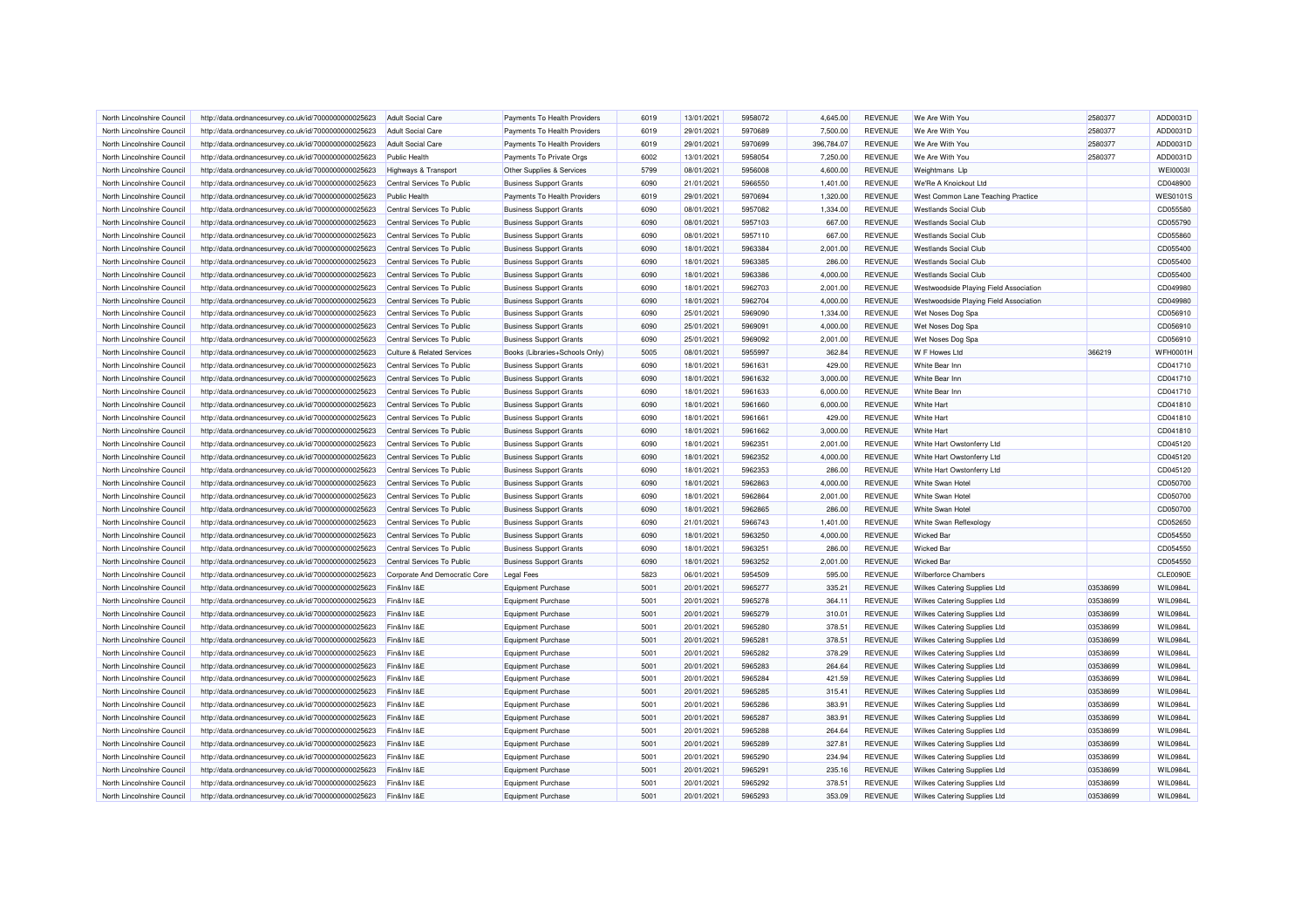| North Lincolnshire Council | http://data.ordnancesurvey.co.uk/id/7000000000025623 | <b>Adult Social Care</b>              | Payments To Health Providers   | 6019 | 13/01/2021 | 5958072 | 4,645.00   | <b>REVENUE</b> | We Are With You                        | 2580377  | ADD0031D        |
|----------------------------|------------------------------------------------------|---------------------------------------|--------------------------------|------|------------|---------|------------|----------------|----------------------------------------|----------|-----------------|
| North Lincolnshire Council | http://data.ordnancesurvey.co.uk/id/7000000000025623 | Adult Social Care                     | Payments To Health Providers   | 6019 | 29/01/2021 | 5970689 | 7,500.00   | <b>REVENUE</b> | We Are With You                        | 2580377  | ADD0031D        |
| North Lincolnshire Council | http://data.ordnancesurvey.co.uk/id/7000000000025623 | <b>Adult Social Care</b>              | Payments To Health Providers   | 6019 | 29/01/2021 | 5970699 | 396,784.07 | <b>REVENUE</b> | We Are With You                        | 2580377  | ADD0031D        |
| North Lincolnshire Council | http://data.ordnancesurvey.co.uk/id/7000000000025623 | <b>Public Health</b>                  | Payments To Private Orgs       | 6002 | 13/01/2021 | 5958054 | 7,250.00   | <b>REVENUE</b> | We Are With You                        | 2580377  | ADD0031D        |
| North Lincolnshire Council | http://data.ordnancesurvey.co.uk/id/7000000000025623 | Highways & Transport                  | Other Supplies & Services      | 5799 | 08/01/2021 | 5956008 | 4,600.00   | <b>REVENUE</b> | Weightmans Llp                         |          | <b>WEI0003I</b> |
| North Lincolnshire Council | http://data.ordnancesurvey.co.uk/id/7000000000025623 | Central Services To Public            | <b>Business Support Grants</b> | 6090 | 21/01/2021 | 5966550 | 1,401.00   | <b>REVENUE</b> | We'Re A Knoickout Ltd                  |          | CD048900        |
| North Lincolnshire Council | http://data.ordnancesurvey.co.uk/id/7000000000025623 | Public Health                         | Payments To Health Providers   | 6019 | 29/01/2021 | 5970694 | 1,320.00   | <b>REVENUE</b> | West Common Lane Teaching Practice     |          | <b>WES0101S</b> |
| North Lincolnshire Council | http://data.ordnancesurvey.co.uk/id/7000000000025623 | Central Services To Public            | <b>Business Support Grants</b> | 6090 | 08/01/2021 | 5957082 | 1,334.00   | <b>REVENUE</b> | <b>Westlands Social Club</b>           |          | CD055580        |
| North Lincolnshire Council | http://data.ordnancesurvey.co.uk/id/7000000000025623 | Central Services To Public            | <b>Business Support Grants</b> | 6090 | 08/01/2021 | 5957103 | 667.00     | <b>REVENUE</b> | <b>Westlands Social Club</b>           |          | CD055790        |
| North Lincolnshire Council | http://data.ordnancesurvey.co.uk/id/7000000000025623 | Central Services To Public            | <b>Business Support Grants</b> | 6090 | 08/01/2021 | 5957110 | 667.00     | <b>REVENUE</b> | <b>Westlands Social Club</b>           |          | CD055860        |
| North Lincolnshire Council | http://data.ordnancesurvey.co.uk/id/7000000000025623 | Central Services To Public            | <b>Business Support Grants</b> | 6090 | 18/01/2021 | 5963384 | 2,001.00   | <b>REVENUE</b> | <b>Westlands Social Club</b>           |          | CD055400        |
| North Lincolnshire Council | http://data.ordnancesurvey.co.uk/id/7000000000025623 | Central Services To Public            | <b>Business Support Grants</b> | 6090 | 18/01/2021 | 5963385 | 286.00     | <b>REVENUE</b> | <b>Westlands Social Club</b>           |          | CD055400        |
| North Lincolnshire Council | http://data.ordnancesurvey.co.uk/id/7000000000025623 | Central Services To Public            | <b>Business Support Grants</b> | 6090 | 18/01/2021 | 5963386 | 4,000.00   | <b>REVENUE</b> | <b>Westlands Social Club</b>           |          | CD055400        |
| North Lincolnshire Council | http://data.ordnancesurvey.co.uk/id/7000000000025623 | Central Services To Public            | <b>Business Support Grants</b> | 6090 | 18/01/2021 | 5962703 | 2,001.00   | <b>REVENUE</b> | Westwoodside Playing Field Association |          | CD049980        |
| North Lincolnshire Council | http://data.ordnancesurvey.co.uk/id/7000000000025623 | Central Services To Public            | <b>Business Support Grants</b> | 6090 | 18/01/2021 | 5962704 | 4,000.00   | <b>REVENUE</b> | Westwoodside Playing Field Association |          | CD049980        |
| North Lincolnshire Council | http://data.ordnancesurvey.co.uk/id/7000000000025623 | Central Services To Public            | <b>Business Support Grants</b> | 6090 | 25/01/2021 | 5969090 | 1,334.00   | <b>REVENUE</b> | Wet Noses Dog Spa                      |          | CD056910        |
| North Lincolnshire Council | http://data.ordnancesurvey.co.uk/id/7000000000025623 | Central Services To Public            | <b>Business Support Grants</b> | 6090 | 25/01/2021 | 5969091 | 4,000.00   | <b>REVENUE</b> | Wet Noses Dog Spa                      |          | CD056910        |
| North Lincolnshire Council | http://data.ordnancesurvey.co.uk/id/7000000000025623 | Central Services To Public            | <b>Business Support Grants</b> | 6090 | 25/01/2021 | 5969092 | 2,001.00   | <b>REVENUE</b> | Wet Noses Dog Spa                      |          | CD056910        |
| North Lincolnshire Council | http://data.ordnancesurvey.co.uk/id/7000000000025623 | <b>Culture &amp; Related Services</b> | Books (Libraries+Schools Only) | 5005 | 08/01/2021 | 5955997 | 362.84     | <b>REVENUE</b> | W F Howes Ltd                          | 366219   | <b>WFH0001H</b> |
| North Lincolnshire Council | http://data.ordnancesurvey.co.uk/id/7000000000025623 | Central Services To Public            | <b>Business Support Grants</b> | 6090 | 18/01/2021 | 5961631 | 429.00     | <b>REVENUE</b> | White Bear Inn                         |          | CD041710        |
| North Lincolnshire Council | http://data.ordnancesurvey.co.uk/id/7000000000025623 | Central Services To Public            | <b>Business Support Grants</b> | 6090 | 18/01/2021 | 5961632 | 3,000.00   | <b>REVENUE</b> | White Bear Inn                         |          | CD041710        |
|                            |                                                      |                                       |                                | 6090 |            |         |            | <b>REVENUE</b> | White Bear Inn                         |          |                 |
| North Lincolnshire Council | http://data.ordnancesurvey.co.uk/id/7000000000025623 | Central Services To Public            | <b>Business Support Grants</b> |      | 18/01/2021 | 5961633 | 6,000.00   |                |                                        |          | CD041710        |
| North Lincolnshire Council | http://data.ordnancesurvey.co.uk/id/7000000000025623 | Central Services To Public            | <b>Business Support Grants</b> | 6090 | 18/01/2021 | 5961660 | 6,000.00   | <b>REVENUE</b> | <b>White Hart</b>                      |          | CD041810        |
| North Lincolnshire Council | http://data.ordnancesurvey.co.uk/id/7000000000025623 | Central Services To Public            | <b>Business Support Grants</b> | 6090 | 18/01/2021 | 5961661 | 429.00     | <b>REVENUE</b> | <b>White Hart</b>                      |          | CD041810        |
| North Lincolnshire Council | http://data.ordnancesurvey.co.uk/id/7000000000025623 | Central Services To Public            | <b>Business Support Grants</b> | 6090 | 18/01/2021 | 5961662 | 3,000.00   | <b>REVENUE</b> | <b>White Hart</b>                      |          | CD041810        |
| North Lincolnshire Council | http://data.ordnancesurvey.co.uk/id/7000000000025623 | Central Services To Public            | <b>Business Support Grants</b> | 6090 | 18/01/2021 | 5962351 | 2,001.00   | <b>REVENUE</b> | White Hart Owstonferry Ltd             |          | CD045120        |
| North Lincolnshire Council | http://data.ordnancesurvey.co.uk/id/7000000000025623 | Central Services To Public            | <b>Business Support Grants</b> | 6090 | 18/01/2021 | 5962352 | 4.000.00   | <b>REVENUE</b> | White Hart Owstonferry Ltd             |          | CD045120        |
| North Lincolnshire Council | http://data.ordnancesurvey.co.uk/id/7000000000025623 | Central Services To Public            | <b>Business Support Grants</b> | 6090 | 18/01/2021 | 5962353 | 286.00     | <b>REVENUE</b> | White Hart Owstonferry Ltd             |          | CD045120        |
| North Lincolnshire Council | http://data.ordnancesurvey.co.uk/id/7000000000025623 | Central Services To Public            | <b>Business Support Grants</b> | 6090 | 18/01/2021 | 5962863 | 4,000.00   | <b>REVENUE</b> | <b>White Swan Hotel</b>                |          | CD050700        |
| North Lincolnshire Council | http://data.ordnancesurvey.co.uk/id/7000000000025623 | Central Services To Public            | <b>Business Support Grants</b> | 6090 | 18/01/2021 | 5962864 | 2,001.00   | <b>REVENUE</b> | White Swan Hotel                       |          | CD050700        |
| North Lincolnshire Council | http://data.ordnancesurvey.co.uk/id/7000000000025623 | Central Services To Public            | <b>Business Support Grants</b> | 6090 | 18/01/2021 | 5962865 | 286.00     | <b>REVENUE</b> | White Swan Hotel                       |          | CD050700        |
| North Lincolnshire Council | http://data.ordnancesurvey.co.uk/id/7000000000025623 | Central Services To Public            | <b>Business Support Grants</b> | 6090 | 21/01/2021 | 5966743 | 1,401.00   | <b>REVENUE</b> | White Swan Reflexology                 |          | CD052650        |
| North Lincolnshire Council | http://data.ordnancesurvey.co.uk/id/7000000000025623 | Central Services To Public            | <b>Business Support Grants</b> | 6090 | 18/01/2021 | 5963250 | 4,000.00   | <b>REVENUE</b> | <b>Wicked Bar</b>                      |          | CD054550        |
| North Lincolnshire Council | http://data.ordnancesurvey.co.uk/id/7000000000025623 | Central Services To Public            | <b>Business Support Grants</b> | 6090 | 18/01/2021 | 5963251 | 286.00     | <b>REVENUE</b> | <b>Wicked Bar</b>                      |          | CD054550        |
| North Lincolnshire Council | http://data.ordnancesurvey.co.uk/id/7000000000025623 | Central Services To Public            | <b>Business Support Grants</b> | 6090 | 18/01/2021 | 5963252 | 2,001.00   | <b>REVENUE</b> | <b>Wicked Bar</b>                      |          | CD054550        |
| North Lincolnshire Council | http://data.ordnancesurvey.co.uk/id/7000000000025623 | Corporate And Democratic Core         | <b>Legal Fees</b>              | 5823 | 06/01/2021 | 5954509 | 595.00     | <b>REVENUE</b> | <b>Wilberforce Chambers</b>            |          | <b>CLE0090E</b> |
| North Lincolnshire Council | http://data.ordnancesurvey.co.uk/id/7000000000025623 | Fin&Inv I&E                           | Equipment Purchase             | 5001 | 20/01/2021 | 5965277 | 335.21     | <b>REVENUE</b> | Wilkes Catering Supplies Ltd           | 03538699 | WIL0984L        |
| North Lincolnshire Council | http://data.ordnancesurvey.co.uk/id/7000000000025623 | Fin&Inv I&E                           | <b>Equipment Purchase</b>      | 5001 | 20/01/2021 | 5965278 | 364.11     | <b>REVENUE</b> | Wilkes Catering Supplies Ltd           | 03538699 | WIL0984L        |
| North Lincolnshire Council | http://data.ordnancesurvey.co.uk/id/7000000000025623 | Fin&Inv I&E                           | <b>Equipment Purchase</b>      | 5001 | 20/01/2021 | 5965279 | 310.01     | <b>REVENUE</b> | Wilkes Catering Supplies Ltd           | 03538699 | <b>WIL0984L</b> |
| North Lincolnshire Council | http://data.ordnancesurvey.co.uk/id/7000000000025623 | Fin&Inv I&E                           | <b>Equipment Purchase</b>      | 5001 | 20/01/2021 | 5965280 | 378.51     | <b>REVENUE</b> | Wilkes Catering Supplies Ltd           | 03538699 | WIL0984L        |
| North Lincolnshire Council | http://data.ordnancesurvey.co.uk/id/7000000000025623 | Fin&Inv I&E                           | <b>Equipment Purchase</b>      | 5001 | 20/01/2021 | 5965281 | 378.51     | <b>REVENUE</b> | Wilkes Catering Supplies Ltd           | 03538699 | WIL0984L        |
| North Lincolnshire Council | http://data.ordnancesurvey.co.uk/id/7000000000025623 | Fin&Inv I&E                           | Equipment Purchase             | 5001 | 20/01/2021 | 5965282 | 378.29     | <b>REVENUE</b> | Wilkes Catering Supplies Ltd           | 03538699 | WIL0984L        |
| North Lincolnshire Council | http://data.ordnancesurvey.co.uk/id/7000000000025623 | Fin&Inv I&E                           | <b>Equipment Purchase</b>      | 5001 | 20/01/2021 | 5965283 | 264.64     | <b>REVENUE</b> | Wilkes Catering Supplies Ltd           | 03538699 | WIL0984L        |
| North Lincolnshire Council | http://data.ordnancesurvey.co.uk/id/7000000000025623 | Fin&Inv I&E                           | <b>Equipment Purchase</b>      | 5001 | 20/01/2021 | 5965284 | 421.59     | <b>REVENUE</b> | Wilkes Catering Supplies Ltd           | 03538699 | WIL0984L        |
| North Lincolnshire Council | http://data.ordnancesurvey.co.uk/id/7000000000025623 | Fin&Inv I&E                           | <b>Equipment Purchase</b>      | 5001 | 20/01/2021 | 5965285 | 315.41     | <b>REVENUE</b> | Wilkes Catering Supplies Ltd           | 03538699 | WIL0984L        |
| North Lincolnshire Council | http://data.ordnancesurvey.co.uk/id/7000000000025623 | Fin&Inv I&E                           | Equipment Purchase             | 5001 | 20/01/2021 | 5965286 | 383.91     | <b>REVENUE</b> | Wilkes Catering Supplies Ltd           | 03538699 | WIL0984L        |
| North Lincolnshire Council | http://data.ordnancesurvey.co.uk/id/7000000000025623 | Fin&Inv I&E                           | <b>Equipment Purchase</b>      | 5001 | 20/01/2021 | 5965287 | 383.91     | <b>REVENUE</b> | Wilkes Catering Supplies Ltd           | 03538699 | WIL0984L        |
| North Lincolnshire Council | http://data.ordnancesurvey.co.uk/id/7000000000025623 | Fin&Inv I&E                           | <b>Equipment Purchase</b>      | 5001 | 20/01/2021 | 5965288 | 264.64     | <b>REVENUE</b> | Wilkes Catering Supplies Ltd           | 03538699 | WIL0984L        |
| North Lincolnshire Council | http://data.ordnancesurvey.co.uk/id/7000000000025623 | Fin&Inv I&E                           | <b>Equipment Purchase</b>      | 5001 | 20/01/2021 | 5965289 | 327.81     | <b>REVENUE</b> | Wilkes Catering Supplies Ltd           | 03538699 | WIL0984L        |
| North Lincolnshire Council | http://data.ordnancesurvey.co.uk/id/7000000000025623 | Fin&Inv I&E                           | <b>Equipment Purchase</b>      | 5001 | 20/01/2021 | 5965290 | 234.94     | <b>REVENUE</b> | Wilkes Catering Supplies Ltd           | 03538699 | WIL0984L        |
| North Lincolnshire Council | http://data.ordnancesurvey.co.uk/id/7000000000025623 | Fin&Inv I&E                           | <b>Equipment Purchase</b>      | 5001 | 20/01/2021 | 5965291 | 235.16     | <b>REVENUE</b> | Wilkes Catering Supplies Ltd           | 03538699 | <b>WIL0984L</b> |
| North Lincolnshire Council | http://data.ordnancesurvey.co.uk/id/7000000000025623 | Fin&Inv I&E                           | <b>Equipment Purchase</b>      | 5001 | 20/01/2021 | 5965292 | 378.51     | <b>REVENUE</b> | Wilkes Catering Supplies Ltd           | 03538699 | WIL0984L        |
| North Lincolnshire Council | http://data.ordnancesurvey.co.uk/id/7000000000025623 | Fin&Inv I&E                           | <b>Equipment Purchase</b>      | 5001 | 20/01/2021 | 5965293 | 353.09     | <b>REVENUE</b> | Wilkes Catering Supplies Ltd           | 03538699 | WIL0984L        |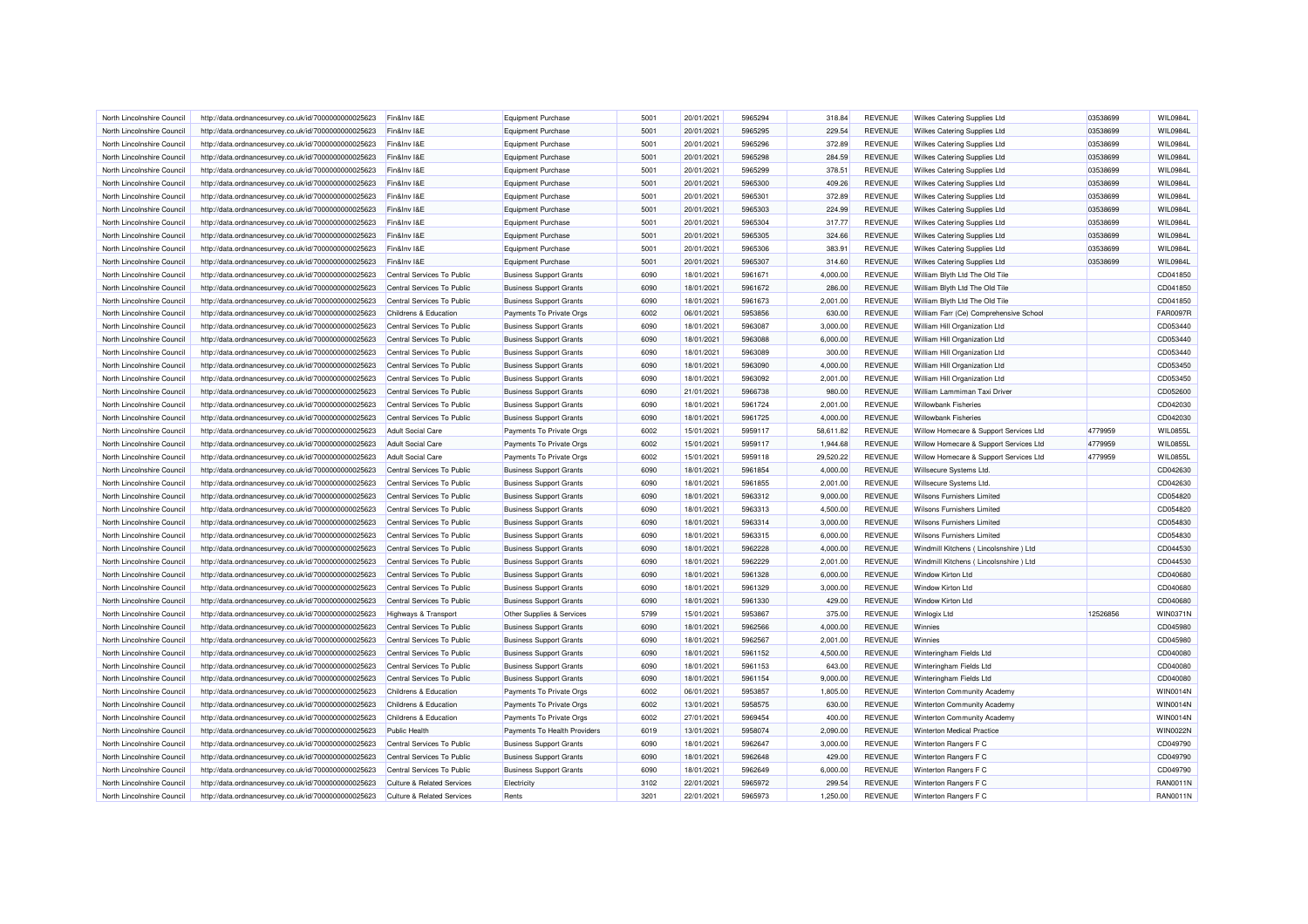| North Lincolnshire Council                               | http://data.ordnancesurvey.co.uk/id/7000000000025623                                                         | Fin&Inv I&E                                     | <b>Equipment Purchase</b>      | 5001 | 20/01/2021               | 5965294            | 318.84    | <b>REVENUE</b>                   | Wilkes Catering Supplies Ltd           | 03538699 | WIL0984L        |
|----------------------------------------------------------|--------------------------------------------------------------------------------------------------------------|-------------------------------------------------|--------------------------------|------|--------------------------|--------------------|-----------|----------------------------------|----------------------------------------|----------|-----------------|
| North Lincolnshire Council                               | http://data.ordnancesurvey.co.uk/id/7000000000025623                                                         | Fin&Inv I&E                                     | <b>Equipment Purchase</b>      | 5001 | 20/01/2021               | 5965295            | 229.54    | <b>REVENUE</b>                   | Wilkes Catering Supplies Ltd           | 03538699 | WIL0984L        |
| North Lincolnshire Council                               | http://data.ordnancesurvey.co.uk/id/7000000000025623                                                         | Fin&Inv I&E                                     | Equipment Purchase             | 5001 | 20/01/2021               | 5965296            | 372.89    | <b>REVENUE</b>                   | Wilkes Catering Supplies Ltd           | 03538699 | WIL0984L        |
| North Lincolnshire Council                               | http://data.ordnancesurvey.co.uk/id/7000000000025623                                                         | Fin&Inv I&E                                     | <b>Equipment Purchase</b>      | 5001 | 20/01/2021               | 5965298            | 284.59    | <b>REVENUE</b>                   | Wilkes Catering Supplies Ltd           | 03538699 | WIL0984L        |
| North Lincolnshire Council                               | http://data.ordnancesurvey.co.uk/id/7000000000025623                                                         | Fin&Inv I&E                                     | <b>Equipment Purchase</b>      | 5001 | 20/01/2021               | 5965299            | 378.51    | <b>REVENUE</b>                   | Wilkes Catering Supplies Ltd           | 03538699 | WIL0984L        |
| North Lincolnshire Council                               | http://data.ordnancesurvey.co.uk/id/7000000000025623                                                         | Fin&Inv I&E                                     | <b>Equipment Purchase</b>      | 5001 | 20/01/2021               | 5965300            | 409.26    | <b>REVENUE</b>                   | Wilkes Catering Supplies Ltd           | 03538699 | WIL0984L        |
| North Lincolnshire Council                               | http://data.ordnancesurvey.co.uk/id/7000000000025623                                                         | Fin&Inv I&E                                     | <b>Equipment Purchase</b>      | 5001 | 20/01/2021               | 5965301            | 372.89    | <b>REVENUE</b>                   | Wilkes Catering Supplies Ltd           | 03538699 | WIL0984L        |
| North Lincolnshire Council                               | http://data.ordnancesurvey.co.uk/id/7000000000025623                                                         | Fin&Inv I&E                                     | Equipment Purchase             | 5001 | 20/01/2021               | 5965303            | 224.99    | <b>REVENUE</b>                   | Wilkes Catering Supplies Ltd           | 03538699 | WIL0984L        |
| North Lincolnshire Council                               | http://data.ordnancesurvey.co.uk/id/7000000000025623                                                         | Fin&Inv I&E                                     | <b>Equipment Purchase</b>      | 5001 | 20/01/2021               | 5965304            | 317.77    | <b>REVENUE</b>                   | Wilkes Catering Supplies Ltd           | 03538699 | WIL0984L        |
| North Lincolnshire Council                               | http://data.ordnancesurvey.co.uk/id/7000000000025623                                                         | Fin&Inv I&E                                     | Equipment Purchase             | 5001 | 20/01/2021               | 5965305            | 324.66    | <b>REVENUE</b>                   | Wilkes Catering Supplies Ltd           | 03538699 | <b>WIL0984L</b> |
| North Lincolnshire Council                               | http://data.ordnancesurvey.co.uk/id/7000000000025623                                                         | Fin&Inv I&E                                     | <b>Equipment Purchase</b>      | 5001 | 20/01/2021               | 5965306            | 383.91    | <b>REVENUE</b>                   | Wilkes Catering Supplies Ltd           | 03538699 | WIL0984L        |
| North Lincolnshire Council                               | http://data.ordnancesurvey.co.uk/id/7000000000025623                                                         | Fin&Inv I&E                                     | <b>Equipment Purchase</b>      | 5001 | 20/01/2021               | 5965307            | 314.60    | <b>REVENUE</b>                   | Wilkes Catering Supplies Ltd           | 03538699 | WIL0984L        |
| North Lincolnshire Council                               | http://data.ordnancesurvey.co.uk/id/7000000000025623                                                         | Central Services To Public                      | <b>Business Support Grants</b> | 6090 | 18/01/2021               | 5961671            | 4,000.00  | <b>REVENUE</b>                   | William Blyth Ltd The Old Tile         |          | CD041850        |
| North Lincolnshire Council                               | http://data.ordnancesurvey.co.uk/id/7000000000025623                                                         | Central Services To Public                      | <b>Business Support Grants</b> | 6090 | 18/01/2021               | 5961672            | 286.00    | <b>REVENUE</b>                   | William Blyth Ltd The Old Tile         |          | CD041850        |
| North Lincolnshire Council                               | http://data.ordnancesurvey.co.uk/id/7000000000025623                                                         | Central Services To Public                      | <b>Business Support Grants</b> | 6090 | 18/01/2021               | 5961673            | 2,001.00  | <b>REVENUE</b>                   | William Blyth Ltd The Old Tile         |          | CD041850        |
| North Lincolnshire Council                               | http://data.ordnancesurvey.co.uk/id/7000000000025623                                                         | Childrens & Education                           | Payments To Private Orgs       | 6002 | 06/01/2021               | 5953856            | 630.00    | <b>REVENUE</b>                   | William Farr (Ce) Comprehensive School |          | <b>FAR0097R</b> |
| North Lincolnshire Council                               | http://data.ordnancesurvey.co.uk/id/7000000000025623                                                         | Central Services To Public                      | <b>Business Support Grants</b> | 6090 | 18/01/2021               | 5963087            | 3,000.00  | <b>REVENUE</b>                   | William Hill Organization Ltd          |          | CD053440        |
| North Lincolnshire Council                               | http://data.ordnancesurvey.co.uk/id/7000000000025623                                                         | Central Services To Public                      | <b>Business Support Grants</b> | 6090 | 18/01/2021               | 5963088            | 6,000.00  | <b>REVENUE</b>                   | William Hill Organization Ltd          |          | CD053440        |
| North Lincolnshire Council                               | http://data.ordnancesurvey.co.uk/id/7000000000025623                                                         | Central Services To Public                      | <b>Business Support Grants</b> | 6090 | 18/01/2021               | 5963089            | 300.00    | <b>REVENUE</b>                   | William Hill Organization Ltd          |          | CD053440        |
| North Lincolnshire Council                               | http://data.ordnancesurvey.co.uk/id/7000000000025623                                                         | Central Services To Public                      | <b>Business Support Grants</b> | 6090 | 18/01/2021               | 5963090            | 4,000.00  | <b>REVENUE</b>                   | William Hill Organization Ltd          |          | CD053450        |
| North Lincolnshire Council                               | http://data.ordnancesurvey.co.uk/id/7000000000025623                                                         | Central Services To Public                      | <b>Business Support Grants</b> | 6090 | 18/01/2021               | 5963092            | 2,001.00  | <b>REVENUE</b>                   | William Hill Organization Ltd          |          | CD053450        |
| North Lincolnshire Council                               |                                                                                                              | Central Services To Public                      | <b>Business Support Grants</b> | 6090 | 21/01/2021               | 5966738            | 980.00    | <b>REVENUE</b>                   | William Lammiman Taxi Driver           |          | CD052600        |
| North Lincolnshire Council                               | http://data.ordnancesurvey.co.uk/id/7000000000025623<br>http://data.ordnancesurvey.co.uk/id/7000000000025623 | Central Services To Public                      | <b>Business Support Grants</b> | 6090 | 18/01/2021               | 5961724            | 2,001.00  | <b>REVENUE</b>                   | <b>Willowbank Fisheries</b>            |          | CD042030        |
|                                                          |                                                                                                              |                                                 |                                | 6090 |                          |                    |           |                                  |                                        |          | CD042030        |
| North Lincolnshire Council<br>North Lincolnshire Council | http://data.ordnancesurvey.co.uk/id/7000000000025623                                                         | Central Services To Public<br>Adult Social Care | <b>Business Support Grants</b> | 6002 | 18/01/2021<br>15/01/2021 | 5961725<br>5959117 | 4,000.00  | <b>REVENUE</b><br><b>REVENUE</b> | <b>Willowbank Fisheries</b>            | 4779959  | WIL0855L        |
|                                                          | http://data.ordnancesurvey.co.uk/id/7000000000025623                                                         |                                                 | Payments To Private Orgs       |      |                          |                    | 58,611.82 |                                  | Willow Homecare & Support Services Ltd |          |                 |
| North Lincolnshire Council                               | http://data.ordnancesurvey.co.uk/id/7000000000025623                                                         | <b>Adult Social Care</b>                        | Payments To Private Orgs       | 6002 | 15/01/2021               | 5959117            | 1,944.68  | <b>REVENUE</b>                   | Willow Homecare & Support Services Ltd | 4779959  | <b>WIL0855L</b> |
| North Lincolnshire Council                               | http://data.ordnancesurvey.co.uk/id/7000000000025623                                                         | <b>Adult Social Care</b>                        | Payments To Private Orgs       | 6002 | 15/01/2021               | 5959118            | 29,520.22 | <b>REVENUE</b>                   | Willow Homecare & Support Services Ltd | 4779959  | WIL0855L        |
| North Lincolnshire Council                               | http://data.ordnancesurvey.co.uk/id/7000000000025623                                                         | Central Services To Public                      | <b>Business Support Grants</b> | 6090 | 18/01/2021               | 5961854            | 4,000.00  | <b>REVENUE</b>                   | Willsecure Systems Ltd.                |          | CD042630        |
| North Lincolnshire Council                               | http://data.ordnancesurvey.co.uk/id/7000000000025623                                                         | Central Services To Public                      | <b>Business Support Grants</b> | 6090 | 18/01/2021               | 5961855            | 2,001.00  | <b>REVENUE</b>                   | Willsecure Systems Ltd.                |          | CD042630        |
| North Lincolnshire Council                               | http://data.ordnancesurvey.co.uk/id/7000000000025623                                                         | Central Services To Public                      | <b>Business Support Grants</b> | 6090 | 18/01/2021               | 5963312            | 9,000.00  | <b>REVENUE</b>                   | <b>Wilsons Furnishers Limited</b>      |          | CD054820        |
| North Lincolnshire Council                               | http://data.ordnancesurvey.co.uk/id/7000000000025623                                                         | Central Services To Public                      | <b>Business Support Grants</b> | 6090 | 18/01/2021               | 5963313            | 4,500.00  | <b>REVENUE</b>                   | Wilsons Furnishers Limited             |          | CD054820        |
| North Lincolnshire Council                               | http://data.ordnancesurvey.co.uk/id/7000000000025623                                                         | Central Services To Public                      | <b>Business Support Grants</b> | 6090 | 18/01/2021               | 5963314            | 3,000.00  | <b>REVENUE</b>                   | <b>Wilsons Furnishers Limited</b>      |          | CD054830        |
| North Lincolnshire Council                               | http://data.ordnancesurvey.co.uk/id/7000000000025623                                                         | Central Services To Public                      | <b>Business Support Grants</b> | 6090 | 18/01/2021               | 5963315            | 6.000.00  | <b>REVENUE</b>                   | <b>Wilsons Furnishers Limited</b>      |          | CD054830        |
| North Lincolnshire Council                               | http://data.ordnancesurvey.co.uk/id/7000000000025623                                                         | Central Services To Public                      | <b>Business Support Grants</b> | 6090 | 18/01/2021               | 5962228            | 4,000.00  | <b>REVENUE</b>                   | Windmill Kitchens (Lincolsnshire) Ltd  |          | CD044530        |
| North Lincolnshire Council                               | http://data.ordnancesurvey.co.uk/id/7000000000025623                                                         | Central Services To Public                      | <b>Business Support Grants</b> | 6090 | 18/01/2021               | 5962229            | 2,001.00  | <b>REVENUE</b>                   | Windmill Kitchens (Lincolsnshire) Ltd  |          | CD044530        |
| North Lincolnshire Council                               | http://data.ordnancesurvey.co.uk/id/7000000000025623                                                         | Central Services To Public                      | <b>Business Support Grants</b> | 6090 | 18/01/2021               | 5961328            | 6,000.00  | <b>REVENUE</b>                   | <b>Window Kirton Ltd</b>               |          | CD040680        |
| North Lincolnshire Council                               | http://data.ordnancesurvey.co.uk/id/7000000000025623                                                         | Central Services To Public                      | <b>Business Support Grants</b> | 6090 | 18/01/2021               | 5961329            | 3,000.00  | <b>REVENUE</b>                   | <b>Window Kirton Ltd</b>               |          | CD040680        |
| North Lincolnshire Council                               | http://data.ordnancesurvey.co.uk/id/7000000000025623                                                         | Central Services To Public                      | <b>Business Support Grants</b> | 6090 | 18/01/2021               | 5961330            | 429.00    | <b>REVENUE</b>                   | <b>Window Kirton Ltd</b>               |          | CD040680        |
| North Lincolnshire Council                               | http://data.ordnancesurvey.co.uk/id/7000000000025623                                                         | Highways & Transport                            | Other Supplies & Services      | 5799 | 15/01/2021               | 5953867            | 375.00    | <b>REVENUE</b>                   | Winlogix Ltd                           | 12526856 | WIN0371N        |
| North Lincolnshire Council                               | http://data.ordnancesurvey.co.uk/id/7000000000025623                                                         | Central Services To Public                      | <b>Business Support Grants</b> | 6090 | 18/01/2021               | 5962566            | 4,000.00  | <b>REVENUE</b>                   | Winnies                                |          | CD045980        |
| North Lincolnshire Council                               | http://data.ordnancesurvey.co.uk/id/7000000000025623                                                         | Central Services To Public                      | <b>Business Support Grants</b> | 6090 | 18/01/2021               | 5962567            | 2,001.00  | <b>REVENUE</b>                   | Winnies                                |          | CD045980        |
| North Lincolnshire Council                               | http://data.ordnancesurvey.co.uk/id/7000000000025623                                                         | Central Services To Public                      | <b>Business Support Grants</b> | 6090 | 18/01/2021               | 5961152            | 4,500.00  | <b>REVENUE</b>                   | Winteringham Fields Ltd                |          | CD040080        |
| North Lincolnshire Council                               | http://data.ordnancesurvey.co.uk/id/7000000000025623                                                         | Central Services To Public                      | <b>Business Support Grants</b> | 6090 | 18/01/2021               | 5961153            | 643.00    | <b>REVENUE</b>                   | Winteringham Fields Ltd                |          | CD040080        |
| North Lincolnshire Council                               | http://data.ordnancesurvey.co.uk/id/7000000000025623                                                         | Central Services To Public                      | <b>Business Support Grants</b> | 6090 | 18/01/2021               | 5961154            | 9.000.00  | <b>REVENUE</b>                   | Winteringham Fields Ltd                |          | CD040080        |
| North Lincolnshire Council                               | http://data.ordnancesurvey.co.uk/id/7000000000025623                                                         | Childrens & Education                           | Payments To Private Orgs       | 6002 | 06/01/2021               | 5953857            | 1,805.00  | <b>REVENUE</b>                   | Winterton Community Academy            |          | <b>WIN0014N</b> |
| North Lincolnshire Council                               | http://data.ordnancesurvey.co.uk/id/7000000000025623                                                         | Childrens & Education                           | Payments To Private Orgs       | 6002 | 13/01/2021               | 5958575            | 630.00    | <b>REVENUE</b>                   | Winterton Community Academy            |          | <b>WIN0014N</b> |
| North Lincolnshire Council                               | http://data.ordnancesurvey.co.uk/id/7000000000025623                                                         | Childrens & Education                           | Payments To Private Orgs       | 6002 | 27/01/2021               | 5969454            | 400.00    | <b>REVENUE</b>                   | Winterton Community Academy            |          | <b>WIN0014N</b> |
| North Lincolnshire Council                               | http://data.ordnancesurvey.co.uk/id/7000000000025623                                                         | <b>Public Health</b>                            | Payments To Health Providers   | 6019 | 13/01/2021               | 5958074            | 2,090.00  | <b>REVENUE</b>                   | <b>Winterton Medical Practice</b>      |          | WIN0022M        |
| North Lincolnshire Council                               | http://data.ordnancesurvey.co.uk/id/7000000000025623                                                         | Central Services To Public                      | <b>Business Support Grants</b> | 6090 | 18/01/2021               | 5962647            | 3,000.00  | <b>REVENUE</b>                   | Winterton Rangers F C                  |          | CD049790        |
| North Lincolnshire Council                               | http://data.ordnancesurvey.co.uk/id/7000000000025623                                                         | Central Services To Public                      | <b>Business Support Grants</b> | 6090 | 18/01/2021               | 5962648            | 429.00    | <b>REVENUE</b>                   | Winterton Rangers F C                  |          | CD049790        |
| North Lincolnshire Council                               | http://data.ordnancesurvey.co.uk/id/7000000000025623                                                         | Central Services To Public                      | <b>Business Support Grants</b> | 6090 | 18/01/2021               | 5962649            | 6,000.00  | <b>REVENUE</b>                   | Winterton Rangers F C                  |          | CD049790        |
| North Lincolnshire Council                               | http://data.ordnancesurvey.co.uk/id/7000000000025623                                                         | <b>Culture &amp; Related Services</b>           | Electricity                    | 3102 | 22/01/2021               | 5965972            | 299.54    | <b>REVENUE</b>                   | Winterton Rangers F C                  |          | <b>RAN0011N</b> |
| North Lincolnshire Council                               | http://data.ordnancesurvey.co.uk/id/7000000000025623                                                         | <b>Culture &amp; Related Services</b>           | Rents                          | 3201 | 22/01/2021               | 5965973            | 1,250.00  | <b>REVENUE</b>                   | Winterton Rangers F C                  |          | RAN0011N        |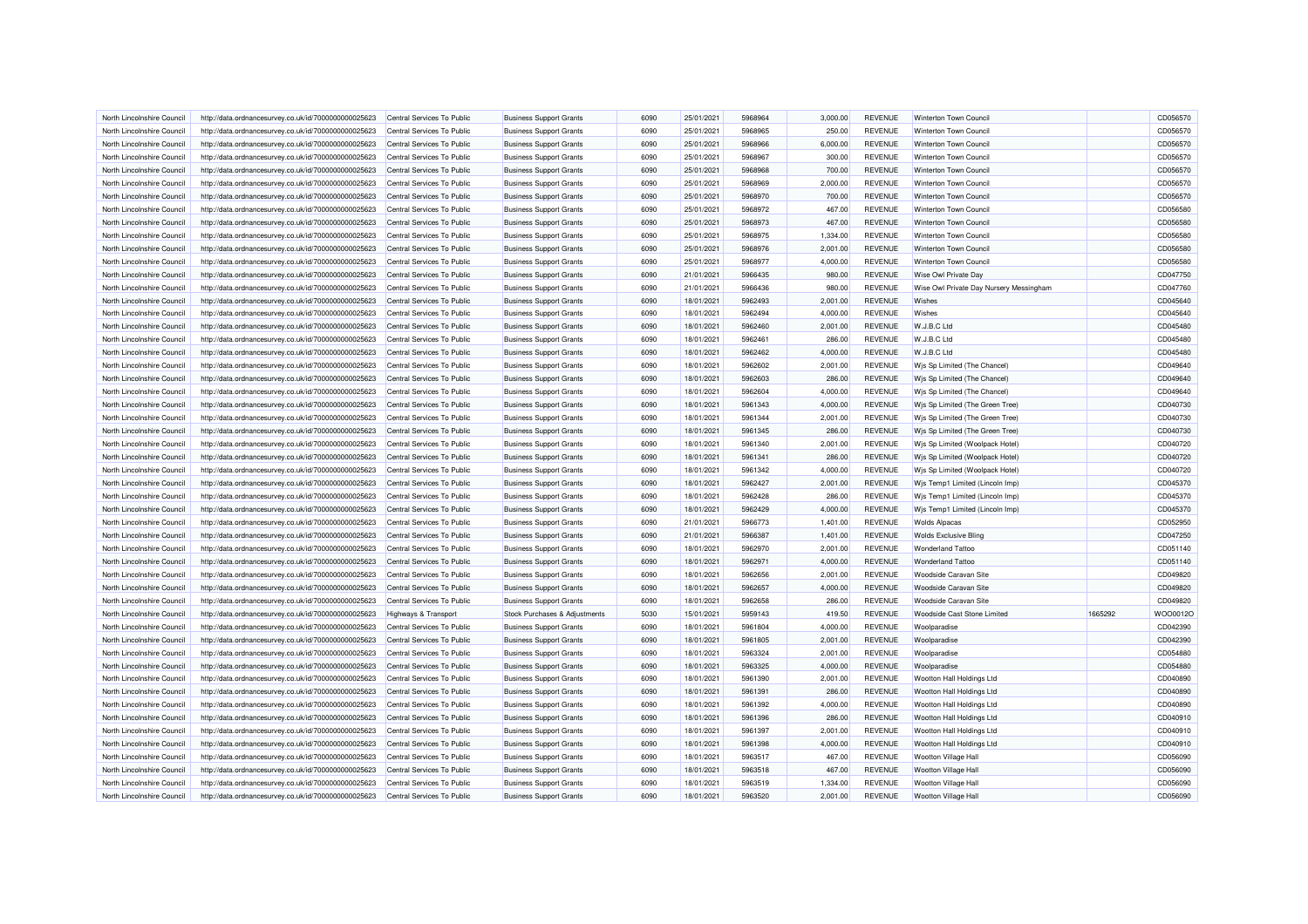| North Lincolnshire Council                               | http://data.ordnancesurvey.co.uk/id/7000000000025623 | Central Services To Public                               | <b>Business Support Grants</b> | 6090         | 25/01/2021               | 5968964            | 3,000.00             | <b>REVENUE</b>                   | Winterton Town Council                         |         | CD056570 |
|----------------------------------------------------------|------------------------------------------------------|----------------------------------------------------------|--------------------------------|--------------|--------------------------|--------------------|----------------------|----------------------------------|------------------------------------------------|---------|----------|
| North Lincolnshire Council                               | http://data.ordnancesurvey.co.uk/id/7000000000025623 | Central Services To Public                               | <b>Business Support Grants</b> | 6090         | 25/01/2021               | 5968965            | 250.00               | <b>REVENUE</b>                   | Winterton Town Council                         |         | CD056570 |
| North Lincolnshire Council                               | http://data.ordnancesurvey.co.uk/id/7000000000025623 | Central Services To Public                               | <b>Business Support Grants</b> | 6090         | 25/01/2021               | 5968966            | 6,000.00             | <b>REVENUE</b>                   | Winterton Town Council                         |         | CD056570 |
| North Lincolnshire Council                               | http://data.ordnancesurvey.co.uk/id/7000000000025623 | Central Services To Public                               | <b>Business Support Grants</b> | 6090         | 25/01/2021               | 5968967            | 300.00               | <b>REVENUE</b>                   | Winterton Town Council                         |         | CD056570 |
| North Lincolnshire Council                               | http://data.ordnancesurvey.co.uk/id/7000000000025623 | Central Services To Public                               | <b>Business Support Grants</b> | 6090         | 25/01/2021               | 5968968            | 700.00               | <b>REVENUE</b>                   | Winterton Town Council                         |         | CD056570 |
| North Lincolnshire Council                               | http://data.ordnancesurvey.co.uk/id/7000000000025623 | Central Services To Public                               | <b>Business Support Grants</b> | 6090         | 25/01/2021               | 5968969            | 2,000.00             | <b>REVENUE</b>                   | Winterton Town Council                         |         | CD056570 |
| North Lincolnshire Council                               | http://data.ordnancesurvey.co.uk/id/7000000000025623 | Central Services To Public                               | <b>Business Support Grants</b> | 6090         | 25/01/2021               | 5968970            | 700.00               | <b>REVENUE</b>                   | Winterton Town Council                         |         | CD056570 |
| North Lincolnshire Council                               | http://data.ordnancesurvey.co.uk/id/7000000000025623 | Central Services To Public                               | <b>Business Support Grants</b> | 6090         | 25/01/2021               | 5968972            | 467.00               | <b>REVENUE</b>                   | Winterton Town Council                         |         | CD056580 |
| North Lincolnshire Council                               | http://data.ordnancesurvey.co.uk/id/7000000000025623 | Central Services To Public                               | <b>Business Support Grants</b> | 6090         | 25/01/2021               | 5968973            | 467.00               | <b>REVENUE</b>                   | Winterton Town Council                         |         | CD056580 |
| North Lincolnshire Council                               | http://data.ordnancesurvey.co.uk/id/7000000000025623 | Central Services To Public                               | <b>Business Support Grants</b> | 6090         | 25/01/2021               | 5968975            | 1,334.00             | <b>REVENUE</b>                   | Winterton Town Council                         |         | CD056580 |
| North Lincolnshire Council                               | http://data.ordnancesurvey.co.uk/id/7000000000025623 | Central Services To Public                               | <b>Business Support Grants</b> | 6090         | 25/01/2021               | 5968976            | 2,001.00             | <b>REVENUE</b>                   | Winterton Town Council                         |         | CD056580 |
| North Lincolnshire Council                               | http://data.ordnancesurvey.co.uk/id/7000000000025623 | Central Services To Public                               | <b>Business Support Grants</b> | 6090         | 25/01/2021               | 5968977            | 4,000.00             | <b>REVENUE</b>                   | Winterton Town Council                         |         | CD056580 |
| North Lincolnshire Council                               | http://data.ordnancesurvey.co.uk/id/7000000000025623 | Central Services To Public                               | <b>Business Support Grants</b> | 6090         | 21/01/2021               | 5966435            | 980.00               | <b>REVENUE</b>                   | Wise Owl Private Day                           |         | CD047750 |
| North Lincolnshire Council                               | http://data.ordnancesurvey.co.uk/id/7000000000025623 | Central Services To Public                               | <b>Business Support Grants</b> | 6090         | 21/01/2021               | 5966436            | 980.00               | <b>REVENUE</b>                   | Wise Owl Private Day Nursery Messingham        |         | CD047760 |
| North Lincolnshire Council                               | http://data.ordnancesurvey.co.uk/id/7000000000025623 | Central Services To Public                               | <b>Business Support Grants</b> | 6090         | 18/01/2021               | 5962493            | 2,001.00             | <b>REVENUE</b>                   | Wishes                                         |         | CD045640 |
| North Lincolnshire Council                               | http://data.ordnancesurvey.co.uk/id/7000000000025623 | Central Services To Public                               | <b>Business Support Grants</b> | 6090         | 18/01/2021               | 5962494            | 4,000.00             | <b>REVENUE</b>                   | Wishes                                         |         | CD045640 |
| North Lincolnshire Council                               | http://data.ordnancesurvey.co.uk/id/7000000000025623 | Central Services To Public                               | <b>Business Support Grants</b> | 6090         | 18/01/2021               | 5962460            | 2,001.00             | <b>REVENUE</b>                   | W.J.B.C Ltd                                    |         | CD045480 |
| North Lincolnshire Council                               | http://data.ordnancesurvey.co.uk/id/7000000000025623 | Central Services To Public                               | <b>Business Support Grants</b> | 6090         | 18/01/2021               | 5962461            | 286.00               | <b>REVENUE</b>                   | W.J.B.C Ltd                                    |         | CD045480 |
| North Lincolnshire Council                               | http://data.ordnancesurvey.co.uk/id/7000000000025623 | Central Services To Public                               | <b>Business Support Grants</b> | 6090         | 18/01/2021               | 5962462            | 4,000.00             | <b>REVENUE</b>                   | W.J.B.C Ltd                                    |         | CD045480 |
| North Lincolnshire Council                               | http://data.ordnancesurvey.co.uk/id/7000000000025623 | Central Services To Public                               | <b>Business Support Grants</b> | 6090         | 18/01/2021               | 5962602            | 2,001.00             | <b>REVENUE</b>                   | Wis Sp Limited (The Chancel)                   |         | CD049640 |
| North Lincolnshire Council                               | http://data.ordnancesurvey.co.uk/id/7000000000025623 | Central Services To Public                               | <b>Business Support Grants</b> | 6090         | 18/01/2021               | 5962603            | 286.00               | <b>REVENUE</b>                   | Wis Sp Limited (The Chancel)                   |         | CD049640 |
| North Lincolnshire Council                               | http://data.ordnancesurvey.co.uk/id/7000000000025623 | Central Services To Public                               | <b>Business Support Grants</b> | 6090         | 18/01/2021               | 5962604            | 4,000.00             | <b>REVENUE</b>                   | Wis Sp Limited (The Chancel)                   |         | CD049640 |
| North Lincolnshire Council                               | http://data.ordnancesurvey.co.uk/id/7000000000025623 | Central Services To Public                               | <b>Business Support Grants</b> | 6090         | 18/01/2021               | 5961343            | 4,000.00             | <b>REVENUE</b>                   | Wis Sp Limited (The Green Tree)                |         | CD040730 |
| North Lincolnshire Council                               | http://data.ordnancesurvey.co.uk/id/7000000000025623 | Central Services To Public                               | <b>Business Support Grants</b> | 6090         | 18/01/2021               | 5961344            | 2,001.00             | <b>REVENUE</b>                   | Wis Sp Limited (The Green Tree)                |         | CD040730 |
| North Lincolnshire Council                               | http://data.ordnancesurvey.co.uk/id/7000000000025623 | Central Services To Public                               | <b>Business Support Grants</b> | 6090         | 18/01/2021               | 5961345            | 286.00               | <b>REVENUE</b>                   | Wis Sp Limited (The Green Tree)                |         | CD040730 |
| North Lincolnshire Council                               | http://data.ordnancesurvey.co.uk/id/7000000000025623 | Central Services To Public                               | <b>Business Support Grants</b> | 6090         | 18/01/2021               | 5961340            | 2,001.00             | <b>REVENUE</b>                   | Wis Sp Limited (Woolpack Hotel)                |         | CD040720 |
| North Lincolnshire Council                               | http://data.ordnancesurvey.co.uk/id/7000000000025623 | Central Services To Public                               | <b>Business Support Grants</b> | 6090         | 18/01/2021               | 5961341            | 286.00               | <b>REVENUE</b>                   | Wis Sp Limited (Woolpack Hotel)                |         | CD040720 |
| North Lincolnshire Council                               | http://data.ordnancesurvey.co.uk/id/7000000000025623 | Central Services To Public                               | <b>Business Support Grants</b> | 6090         | 18/01/2021               | 5961342            | 4,000.00             | <b>REVENUE</b>                   | Wis Sp Limited (Woolpack Hotel)                |         | CD040720 |
| North Lincolnshire Council                               | http://data.ordnancesurvey.co.uk/id/7000000000025623 | Central Services To Public                               | <b>Business Support Grants</b> | 6090         | 18/01/2021               | 5962427            | 2,001.00             | <b>REVENUE</b>                   | Wis Temp1 Limited (Lincoln Imp)                |         | CD045370 |
| North Lincolnshire Council                               | http://data.ordnancesurvey.co.uk/id/7000000000025623 | Central Services To Public                               | <b>Business Support Grants</b> | 6090         | 18/01/2021               | 5962428            | 286.00               | <b>REVENUE</b>                   | Wis Temp1 Limited (Lincoln Imp)                |         | CD045370 |
| North Lincolnshire Council                               | http://data.ordnancesurvey.co.uk/id/7000000000025623 | Central Services To Public                               | <b>Business Support Grants</b> | 6090         | 18/01/2021               | 5962429            | 4,000.00             | <b>REVENUE</b>                   | Wjs Temp1 Limited (Lincoln Imp)                |         | CD045370 |
| North Lincolnshire Council                               | http://data.ordnancesurvey.co.uk/id/7000000000025623 | Central Services To Public                               | <b>Business Support Grants</b> | 6090         | 21/01/2021               | 5966773            | 1.401.00             | <b>REVENUE</b>                   | <b>Wolds Alpacas</b>                           |         | CD052950 |
| North Lincolnshire Council                               | http://data.ordnancesurvey.co.uk/id/7000000000025623 | Central Services To Public                               | <b>Business Support Grants</b> | 6090         | 21/01/2021               | 5966387            | 1,401.00             | <b>REVENUE</b>                   | <b>Wolds Exclusive Bling</b>                   |         | CD047250 |
|                                                          |                                                      |                                                          |                                | 6090         |                          | 5962970            |                      | <b>REVENUE</b>                   | <b>Wonderland Tattoo</b>                       |         | CD051140 |
| North Lincolnshire Council<br>North Lincolnshire Council | http://data.ordnancesurvey.co.uk/id/7000000000025623 | Central Services To Public<br>Central Services To Public | <b>Business Support Grants</b> | 6090         | 18/01/2021<br>18/01/2021 | 5962971            | 2,001.00<br>4,000.00 | <b>REVENUE</b>                   | <b>Wonderland Tattoo</b>                       |         | CD051140 |
|                                                          | http://data.ordnancesurvey.co.uk/id/7000000000025623 |                                                          | <b>Business Support Grants</b> |              |                          |                    |                      |                                  |                                                |         |          |
| North Lincolnshire Council                               | http://data.ordnancesurvey.co.uk/id/7000000000025623 | Central Services To Public                               | <b>Business Support Grants</b> | 6090         | 18/01/2021               | 5962656            | 2,001.00             | <b>REVENUE</b>                   | <b>Woodside Caravan Site</b>                   |         | CD049820 |
| North Lincolnshire Council                               | http://data.ordnancesurvey.co.uk/id/7000000000025623 | Central Services To Public                               | <b>Business Support Grants</b> | 6090<br>6090 | 18/01/2021               | 5962657<br>5962658 | 4,000.00             | <b>REVENUE</b><br><b>REVENUE</b> | Woodside Caravan Site<br>Woodside Caravan Site |         | CD049820 |
| North Lincolnshire Council                               | http://data.ordnancesurvey.co.uk/id/7000000000025623 | Central Services To Public                               | <b>Business Support Grants</b> |              | 18/01/2021               |                    | 286.00               |                                  |                                                |         | CD049820 |
| North Lincolnshire Council                               | http://data.ordnancesurvey.co.uk/id/7000000000025623 | <b>Highways &amp; Transport</b>                          | Stock Purchases & Adjustments  | 5030         | 15/01/2021               | 5959143            | 419.50               | <b>REVENUE</b>                   | Woodside Cast Stone Limited                    | 1665292 | WOO0012C |
| North Lincolnshire Council                               | http://data.ordnancesurvey.co.uk/id/7000000000025623 | Central Services To Public                               | <b>Business Support Grants</b> | 6090         | 18/01/2021               | 5961804            | 4,000.00             | <b>REVENUE</b>                   | Woolparadise                                   |         | CD042390 |
| North Lincolnshire Council                               | http://data.ordnancesurvey.co.uk/id/7000000000025623 | Central Services To Public                               | <b>Business Support Grants</b> | 6090         | 18/01/2021               | 5961805            | 2,001.00             | <b>REVENUE</b>                   | Woolparadise                                   |         | CD042390 |
| North Lincolnshire Council                               | http://data.ordnancesurvey.co.uk/id/7000000000025623 | Central Services To Public                               | <b>Business Support Grants</b> | 6090         | 18/01/2021               | 5963324            | 2,001.00             | <b>REVENUE</b>                   | Woolparadise                                   |         | CD054880 |
| North Lincolnshire Council                               | http://data.ordnancesurvey.co.uk/id/7000000000025623 | Central Services To Public                               | <b>Business Support Grants</b> | 6090         | 18/01/2021               | 5963325            | 4.000.00             | <b>REVENUE</b>                   | Woolparadise                                   |         | CD054880 |
| North Lincolnshire Council                               | http://data.ordnancesurvey.co.uk/id/7000000000025623 | Central Services To Public                               | <b>Business Support Grants</b> | 6090         | 18/01/2021               | 5961390            | 2,001.00             | <b>REVENUE</b>                   | Wootton Hall Holdings Ltd                      |         | CD040890 |
| North Lincolnshire Council                               | http://data.ordnancesurvey.co.uk/id/7000000000025623 | Central Services To Public                               | <b>Business Support Grants</b> | 6090         | 18/01/2021               | 5961391            | 286.00               | <b>REVENUE</b>                   | Wootton Hall Holdings Ltd                      |         | CD040890 |
| North Lincolnshire Council                               | http://data.ordnancesurvey.co.uk/id/7000000000025623 | Central Services To Public                               | <b>Business Support Grants</b> | 6090         | 18/01/2021               | 5961392            | 4,000.00             | <b>REVENUE</b>                   | Wootton Hall Holdings Ltd                      |         | CD040890 |
| North Lincolnshire Council                               | http://data.ordnancesurvey.co.uk/id/7000000000025623 | Central Services To Public                               | <b>Business Support Grants</b> | 6090         | 18/01/2021               | 5961396            | 286.00               | <b>REVENUE</b>                   | Wootton Hall Holdings Ltd                      |         | CD040910 |
| North Lincolnshire Council                               | http://data.ordnancesurvey.co.uk/id/7000000000025623 | Central Services To Public                               | <b>Business Support Grants</b> | 6090         | 18/01/2021               | 5961397            | 2,001.00             | <b>REVENUE</b>                   | Wootton Hall Holdings Ltd                      |         | CD040910 |
| North Lincolnshire Council                               | http://data.ordnancesurvey.co.uk/id/7000000000025623 | Central Services To Public                               | <b>Business Support Grants</b> | 6090         | 18/01/2021               | 5961398            | 4,000.00             | <b>REVENUE</b>                   | Wootton Hall Holdings Ltd                      |         | CD040910 |
| North Lincolnshire Council                               | http://data.ordnancesurvey.co.uk/id/7000000000025623 | Central Services To Public                               | <b>Business Support Grants</b> | 6090         | 18/01/2021               | 5963517            | 467.00               | <b>REVENUE</b>                   | <b>Wootton Village Hal</b>                     |         | CD056090 |
| North Lincolnshire Council                               | http://data.ordnancesurvey.co.uk/id/7000000000025623 | Central Services To Public                               | <b>Business Support Grants</b> | 6090         | 18/01/2021               | 5963518            | 467.00               | <b>REVENUE</b>                   | <b>Wootton Village Hall</b>                    |         | CD056090 |
| North Lincolnshire Council                               | http://data.ordnancesurvey.co.uk/id/7000000000025623 | Central Services To Public                               | <b>Business Support Grants</b> | 6090         | 18/01/2021               | 5963519            | 1,334.00             | <b>REVENUE</b>                   | <b>Wootton Village Hall</b>                    |         | CD056090 |
| North Lincolnshire Council                               | http://data.ordnancesurvey.co.uk/id/7000000000025623 | Central Services To Public                               | <b>Business Support Grants</b> | 6090         | 18/01/2021               | 5963520            | 2,001.00             | <b>REVENUE</b>                   | Wootton Village Hall                           |         | CD056090 |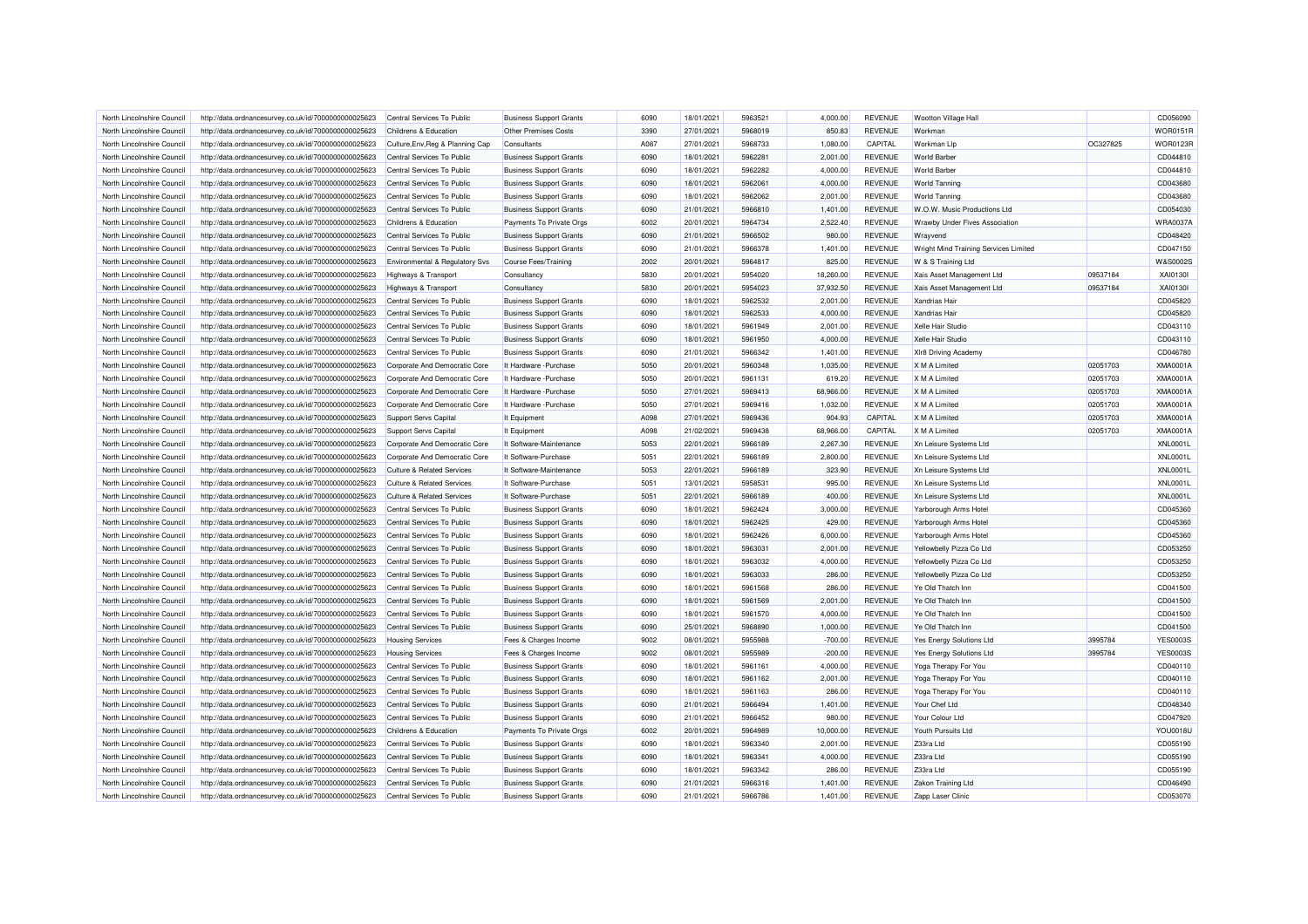| North Lincolnshire Council                               | http://data.ordnancesurvey.co.uk/id/7000000000025623 | Central Services To Public                | <b>Business Support Grants</b>                           | 6090 | 18/01/2021               | 5963521 | 4.000.00             | <b>REVENUE</b>                   | Wootton Village Hall                  |          | CD056090        |
|----------------------------------------------------------|------------------------------------------------------|-------------------------------------------|----------------------------------------------------------|------|--------------------------|---------|----------------------|----------------------------------|---------------------------------------|----------|-----------------|
| North Lincolnshire Council                               | http://data.ordnancesurvey.co.uk/id/7000000000025623 | Childrens & Education                     | <b>Other Premises Costs</b>                              | 3390 | 27/01/2021               | 5968019 | 850.83               | <b>REVENUE</b>                   | Workman                               |          | <b>WOR0151R</b> |
| North Lincolnshire Council                               | http://data.ordnancesurvey.co.uk/id/7000000000025623 | Culture, Env, Reg & Planning Cap          | Consultants                                              | A087 | 27/01/2021               | 5968733 | 1,080.00             | CAPITAL                          | Workman Llp                           | OC327825 | <b>WOR0123R</b> |
| North Lincolnshire Council                               | http://data.ordnancesurvey.co.uk/id/7000000000025623 | Central Services To Public                | <b>Business Support Grants</b>                           | 6090 | 18/01/2021               | 5962281 | 2,001.00             | <b>REVENUE</b>                   | <b>World Barber</b>                   |          | CD044810        |
| North Lincolnshire Council                               | http://data.ordnancesurvey.co.uk/id/7000000000025623 | Central Services To Public                | <b>Business Support Grants</b>                           | 6090 | 18/01/2021               | 5962282 | 4,000.00             | <b>REVENUE</b>                   | <b>World Barber</b>                   |          | CD044810        |
| North Lincolnshire Council                               | http://data.ordnancesurvey.co.uk/id/7000000000025623 | Central Services To Public                | <b>Business Support Grants</b>                           | 6090 | 18/01/2021               | 5962061 | 4,000.00             | <b>REVENUE</b>                   | <b>World Tanning</b>                  |          | CD043680        |
| North Lincolnshire Council                               | http://data.ordnancesurvey.co.uk/id/7000000000025623 | Central Services To Public                | <b>Business Support Grants</b>                           | 6090 | 18/01/2021               | 5962062 | 2,001.00             | <b>REVENUE</b>                   | <b>World Tanning</b>                  |          | CD043680        |
| North Lincolnshire Council                               | http://data.ordnancesurvey.co.uk/id/7000000000025623 | Central Services To Public                | <b>Business Support Grants</b>                           | 6090 | 21/01/2021               | 5966810 | 1,401.00             | <b>REVENUE</b>                   | W.O.W. Music Productions Ltd          |          | CD054030        |
| North Lincolnshire Council                               | http://data.ordnancesurvey.co.uk/id/7000000000025623 | Childrens & Education                     | Payments To Private Orgs                                 | 6002 | 20/01/2021               | 5964734 | 2,522.40             | <b>REVENUE</b>                   | Wrawby Under Fives Association        |          | WRA0037A        |
| North Lincolnshire Council                               | http://data.ordnancesurvey.co.uk/id/7000000000025623 | Central Services To Public                | <b>Business Support Grants</b>                           | 6090 | 21/01/2021               | 5966502 | 980.00               | <b>REVENUE</b>                   | Wrayvend                              |          | CD048420        |
| North Lincolnshire Council                               | http://data.ordnancesurvey.co.uk/id/7000000000025623 | Central Services To Public                | <b>Business Support Grants</b>                           | 6090 | 21/01/2021               | 5966378 | 1,401.00             | <b>REVENUE</b>                   | Wright Mind Training Services Limited |          | CD047150        |
| North Lincolnshire Council                               | http://data.ordnancesurvey.co.uk/id/7000000000025623 | <b>Environmental &amp; Regulatory Svs</b> | Course Fees/Training                                     | 2002 | 20/01/2021               | 5964817 | 825.00               | <b>REVENUE</b>                   | W & S Training Ltd                    |          | W&S0002S        |
| North Lincolnshire Council                               | http://data.ordnancesurvey.co.uk/id/7000000000025623 | Highways & Transport                      | Consultancy                                              | 5830 | 20/01/2021               | 5954020 | 18,260.00            | <b>REVENUE</b>                   | Xais Asset Management Ltd             | 09537184 | XAI01301        |
| North Lincolnshire Council                               | http://data.ordnancesurvey.co.uk/id/7000000000025623 | <b>Highways &amp; Transport</b>           | Consultancy                                              | 5830 | 20/01/2021               | 5954023 | 37,932.50            | <b>REVENUE</b>                   | Xais Asset Management Ltd             | 09537184 | XAI01301        |
| North Lincolnshire Council                               | http://data.ordnancesurvey.co.uk/id/7000000000025623 | Central Services To Public                | <b>Business Support Grants</b>                           | 6090 | 18/01/2021               | 5962532 | 2,001.00             | <b>REVENUE</b>                   | Xandrias Hair                         |          | CD045820        |
| North Lincolnshire Council                               | http://data.ordnancesurvey.co.uk/id/7000000000025623 | Central Services To Public                | <b>Business Support Grants</b>                           | 6090 | 18/01/2021               | 5962533 | 4,000.00             | <b>REVENUE</b>                   | <b>Xandrias Hair</b>                  |          | CD045820        |
| North Lincolnshire Council                               | http://data.ordnancesurvey.co.uk/id/7000000000025623 | Central Services To Public                | <b>Business Support Grants</b>                           | 6090 | 18/01/2021               | 5961949 | 2,001.00             | <b>REVENUE</b>                   | Xelle Hair Studio                     |          | CD043110        |
| North Lincolnshire Council                               | http://data.ordnancesurvey.co.uk/id/7000000000025623 | Central Services To Public                | <b>Business Support Grants</b>                           | 6090 | 18/01/2021               | 5961950 | 4,000.00             | <b>REVENUE</b>                   | Xelle Hair Studio                     |          | CD043110        |
|                                                          |                                                      |                                           |                                                          | 6090 |                          | 5966342 |                      |                                  |                                       |          | CD046780        |
| North Lincolnshire Council<br>North Lincolnshire Council | http://data.ordnancesurvey.co.uk/id/7000000000025623 | Central Services To Public                | <b>Business Support Grants</b><br>It Hardware - Purchase | 5050 | 21/01/2021<br>20/01/2021 | 5960348 | 1,401.00<br>1,035.00 | <b>REVENUE</b><br><b>REVENUE</b> | XIr8 Driving Academy<br>X M A Limited | 02051703 | XMA0001/        |
|                                                          | http://data.ordnancesurvey.co.uk/id/7000000000025623 | Corporate And Democratic Core             |                                                          |      |                          |         |                      |                                  |                                       |          |                 |
| North Lincolnshire Council                               | http://data.ordnancesurvey.co.uk/id/7000000000025623 | Corporate And Democratic Core             | It Hardware - Purchase                                   | 5050 | 20/01/2021               | 5961131 | 619.20               | <b>REVENUE</b>                   | X M A Limited                         | 02051703 | XMA0001/        |
| North Lincolnshire Council                               | http://data.ordnancesurvey.co.uk/id/7000000000025623 | Corporate And Democratic Core             | It Hardware - Purchase                                   | 5050 | 27/01/2021               | 5969413 | 68,966.00            | <b>REVENUE</b>                   | X M A Limited                         | 02051703 | XMA0001/        |
| North Lincolnshire Council                               | http://data.ordnancesurvey.co.uk/id/7000000000025623 | Corporate And Democratic Core             | It Hardware - Purchase                                   | 5050 | 27/01/2021               | 5969416 | 1,032.00             | <b>REVENUE</b>                   | X M A Limited                         | 02051703 | <b>XMA0001A</b> |
| North Lincolnshire Council                               | http://data.ordnancesurvey.co.uk/id/7000000000025623 | <b>Support Servs Capital</b>              | It Equipment                                             | A098 | 27/01/2021               | 5969436 | 904.93               | CAPITAL                          | X M A Limited                         | 02051703 | <b>XMA0001A</b> |
| North Lincolnshire Council                               | http://data.ordnancesurvey.co.uk/id/7000000000025623 | Support Servs Capital                     | It Equipment                                             | A098 | 21/02/2021               | 5969438 | 68,966.00            | CAPITAL                          | X M A Limited                         | 02051703 | XMA0001/        |
| North Lincolnshire Council                               | http://data.ordnancesurvey.co.uk/id/7000000000025623 | Corporate And Democratic Core             | It Software-Maintenance                                  | 5053 | 22/01/2021               | 5966189 | 2,267.30             | <b>REVENUE</b>                   | Xn Leisure Systems Ltd                |          | <b>XNL0001L</b> |
| North Lincolnshire Council                               | http://data.ordnancesurvey.co.uk/id/7000000000025623 | Corporate And Democratic Core             | It Software-Purchase                                     | 5051 | 22/01/2021               | 5966189 | 2,800.00             | <b>REVENUE</b>                   | Xn Leisure Systems Ltd                |          | <b>XNL0001L</b> |
| North Lincolnshire Council                               | http://data.ordnancesurvey.co.uk/id/7000000000025623 | <b>Culture &amp; Related Services</b>     | It Software-Maintenance                                  | 5053 | 22/01/2021               | 5966189 | 323.90               | <b>REVENUE</b>                   | Xn Leisure Systems Ltd                |          | <b>XNL0001L</b> |
| North Lincolnshire Council                               | http://data.ordnancesurvey.co.uk/id/7000000000025623 | <b>Culture &amp; Related Services</b>     | It Software-Purchase                                     | 5051 | 13/01/2021               | 5958531 | 995.00               | <b>REVENUE</b>                   | Xn Leisure Systems Ltd                |          | <b>XNL0001L</b> |
| North Lincolnshire Council                               | http://data.ordnancesurvey.co.uk/id/7000000000025623 | <b>Culture &amp; Related Services</b>     | It Software-Purchase                                     | 5051 | 22/01/2021               | 5966189 | 400.00               | <b>REVENUE</b>                   | Xn Leisure Systems Ltd                |          | <b>XNL0001L</b> |
| North Lincolnshire Council                               | http://data.ordnancesurvey.co.uk/id/7000000000025623 | Central Services To Public                | <b>Business Support Grants</b>                           | 6090 | 18/01/2021               | 5962424 | 3,000.00             | <b>REVENUE</b>                   | Yarborough Arms Hotel                 |          | CD045360        |
| North Lincolnshire Council                               | http://data.ordnancesurvey.co.uk/id/7000000000025623 | Central Services To Public                | <b>Business Support Grants</b>                           | 6090 | 18/01/2021               | 5962425 | 429.00               | <b>REVENUE</b>                   | Yarborough Arms Hotel                 |          | CD045360        |
| North Lincolnshire Council                               | http://data.ordnancesurvey.co.uk/id/7000000000025623 | Central Services To Public                | <b>Business Support Grants</b>                           | 6090 | 18/01/2021               | 5962426 | 6,000.00             | <b>REVENUE</b>                   | Yarborough Arms Hotel                 |          | CD045360        |
| North Lincolnshire Council                               | http://data.ordnancesurvey.co.uk/id/7000000000025623 | Central Services To Public                | <b>Business Support Grants</b>                           | 6090 | 18/01/2021               | 5963031 | 2,001.00             | <b>REVENUE</b>                   | Yellowbelly Pizza Co Ltd              |          | CD053250        |
| North Lincolnshire Council                               | http://data.ordnancesurvey.co.uk/id/7000000000025623 | Central Services To Public                | <b>Business Support Grants</b>                           | 6090 | 18/01/2021               | 5963032 | 4,000.00             | <b>REVENUE</b>                   | Yellowbelly Pizza Co Ltd              |          | CD053250        |
| North Lincolnshire Council                               | http://data.ordnancesurvey.co.uk/id/7000000000025623 | Central Services To Public                | <b>Business Support Grants</b>                           | 6090 | 18/01/2021               | 5963033 | 286.00               | <b>REVENUE</b>                   | Yellowbelly Pizza Co Ltd              |          | CD053250        |
| North Lincolnshire Council                               | http://data.ordnancesurvey.co.uk/id/7000000000025623 | Central Services To Public                | <b>Business Support Grants</b>                           | 6090 | 18/01/2021               | 5961568 | 286.00               | <b>REVENUE</b>                   | Ye Old Thatch Inn                     |          | CD041500        |
| North Lincolnshire Council                               | http://data.ordnancesurvey.co.uk/id/7000000000025623 | Central Services To Public                | <b>Business Support Grants</b>                           | 6090 | 18/01/2021               | 5961569 | 2,001.00             | <b>REVENUE</b>                   | Ye Old Thatch Inn                     |          | CD041500        |
| North Lincolnshire Council                               | http://data.ordnancesurvey.co.uk/id/7000000000025623 | Central Services To Public                | <b>Business Support Grants</b>                           | 6090 | 18/01/2021               | 5961570 | 4,000.00             | <b>REVENUE</b>                   | Ye Old Thatch Inn                     |          | CD041500        |
| North Lincolnshire Council                               | http://data.ordnancesurvey.co.uk/id/7000000000025623 | Central Services To Public                | <b>Business Support Grants</b>                           | 6090 | 25/01/2021               | 5968890 | 1,000.00             | <b>REVENUE</b>                   | Ye Old Thatch Inn                     |          | CD041500        |
| North Lincolnshire Council                               | http://data.ordnancesurvey.co.uk/id/7000000000025623 | <b>Housing Services</b>                   | Fees & Charges Income                                    | 9002 | 08/01/2021               | 5955988 | $-700.00$            | <b>REVENUE</b>                   | Yes Energy Solutions Ltd              | 3995784  | <b>YES00035</b> |
| North Lincolnshire Council                               | http://data.ordnancesurvey.co.uk/id/7000000000025623 | <b>Housing Services</b>                   | Fees & Charges Income                                    | 9002 | 08/01/2021               | 5955989 | $-200.00$            | <b>REVENUE</b>                   | Yes Energy Solutions Ltd              | 3995784  | <b>YES0003S</b> |
| North Lincolnshire Council                               | http://data.ordnancesurvey.co.uk/id/7000000000025623 | Central Services To Public                | <b>Business Support Grants</b>                           | 6090 | 18/01/2021               | 5961161 | 4,000.00             | <b>REVENUE</b>                   | Yoga Therapy For You                  |          | CD040110        |
| North Lincolnshire Council                               | http://data.ordnancesurvey.co.uk/id/7000000000025623 | Central Services To Public                | <b>Business Support Grants</b>                           | 6090 | 18/01/2021               | 5961162 | 2,001.00             | <b>REVENUE</b>                   | Yoga Therapy For You                  |          | CD040110        |
| North Lincolnshire Council                               | http://data.ordnancesurvey.co.uk/id/7000000000025623 | Central Services To Public                | <b>Business Support Grants</b>                           | 6090 | 18/01/2021               | 5961163 | 286.00               | <b>REVENUE</b>                   | Yoga Therapy For You                  |          | CD040110        |
| North Lincolnshire Council                               | http://data.ordnancesurvey.co.uk/id/7000000000025623 | Central Services To Public                | <b>Business Support Grants</b>                           | 6090 | 21/01/2021               | 5966494 | 1,401.00             | <b>REVENUE</b>                   | Your Chef Ltd                         |          | CD048340        |
| North Lincolnshire Council                               | http://data.ordnancesurvey.co.uk/id/7000000000025623 | Central Services To Public                | <b>Business Support Grants</b>                           | 6090 | 21/01/2021               | 5966452 | 980.00               | <b>REVENUE</b>                   | Your Colour Ltd                       |          | CD047920        |
| North Lincolnshire Council                               | http://data.ordnancesurvey.co.uk/id/7000000000025623 | Childrens & Education                     | Payments To Private Orgs                                 | 6002 | 20/01/2021               | 5964989 | 10,000.00            | <b>REVENUE</b>                   | Youth Pursuits Ltd                    |          | <b>YOU0018L</b> |
| North Lincolnshire Council                               | http://data.ordnancesurvey.co.uk/id/7000000000025623 | Central Services To Public                | <b>Business Support Grants</b>                           | 6090 | 18/01/2021               | 5963340 | 2,001.00             | <b>REVENUE</b>                   | Z33ra Ltd                             |          | CD055190        |
| North Lincolnshire Council                               | http://data.ordnancesurvey.co.uk/id/7000000000025623 | Central Services To Public                | <b>Business Support Grants</b>                           | 6090 | 18/01/2021               | 5963341 | 4,000.00             | <b>REVENUE</b>                   | Z33ra Ltd                             |          | CD055190        |
| North Lincolnshire Council                               | http://data.ordnancesurvey.co.uk/id/7000000000025623 | Central Services To Public                | <b>Business Support Grants</b>                           | 6090 | 18/01/2021               | 5963342 | 286.00               | <b>REVENUE</b>                   | Z33ra Ltd                             |          | CD055190        |
| North Lincolnshire Council                               | http://data.ordnancesurvey.co.uk/id/7000000000025623 | Central Services To Public                | <b>Business Support Grants</b>                           | 6090 | 21/01/2021               | 5966316 | 1,401.00             | <b>REVENUE</b>                   | Zakon Training Ltd                    |          | CD046490        |
| North Lincolnshire Council                               | http://data.ordnancesurvey.co.uk/id/7000000000025623 | Central Services To Public                | <b>Business Support Grants</b>                           | 6090 | 21/01/2021               | 5966786 | 1,401.00             | <b>REVENUE</b>                   | Zapp Laser Clinic                     |          | CD053070        |
|                                                          |                                                      |                                           |                                                          |      |                          |         |                      |                                  |                                       |          |                 |